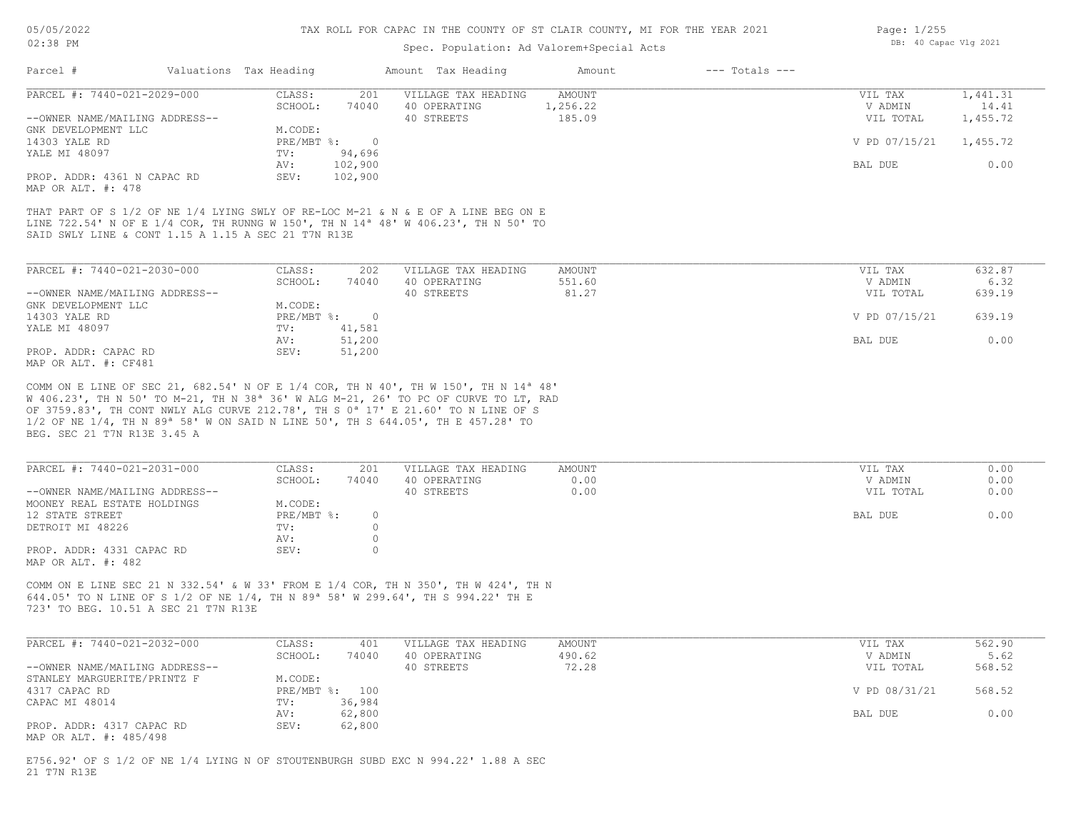#### Spec. Population: Ad Valorem+Special Acts

| Parcel #                       | Valuations Tax Heading |         | Amount Tax Heading  | Amount   | $---$ Totals $---$ |               |          |
|--------------------------------|------------------------|---------|---------------------|----------|--------------------|---------------|----------|
| PARCEL #: 7440-021-2029-000    | CLASS:                 | 201     | VILLAGE TAX HEADING | AMOUNT   |                    | VIL TAX       | 1,441.31 |
|                                | SCHOOL:                | 74040   | 40 OPERATING        | 1,256.22 |                    | V ADMIN       | 14.41    |
| --OWNER NAME/MAILING ADDRESS-- |                        |         | 40 STREETS          | 185.09   |                    | VIL TOTAL     | 1,455.72 |
| GNK DEVELOPMENT LLC            | M.CODE:                |         |                     |          |                    |               |          |
| 14303 YALE RD                  | PRE/MBT %:             |         |                     |          |                    | V PD 07/15/21 | 1,455.72 |
| YALE MI 48097                  | TV:                    | 94,696  |                     |          |                    |               |          |
|                                | AV:                    | 102,900 |                     |          |                    | BAL DUE       | 0.00     |
| PROP. ADDR: 4361 N CAPAC RD    | SEV:                   | 102,900 |                     |          |                    |               |          |
| MAP OR ALT. #: 478             |                        |         |                     |          |                    |               |          |

SAID SWLY LINE & CONT 1.15 A 1.15 A SEC 21 T7N R13E LINE 722.54' N OF E 1/4 COR, TH RUNNG W 150', TH N 14ª 48' W 406.23', TH N 50' TO THAT PART OF S 1/2 OF NE 1/4 LYING SWLY OF RE-LOC M-21 & N & E OF A LINE BEG ON E

| PARCEL #: 7440-021-2030-000    | CLASS:       | 202    | VILLAGE TAX HEADING | AMOUNT | VIL TAX       | 632.87 |
|--------------------------------|--------------|--------|---------------------|--------|---------------|--------|
|                                | SCHOOL:      | 74040  | 40 OPERATING        | 551.60 | V ADMIN       | 6.32   |
| --OWNER NAME/MAILING ADDRESS-- |              |        | 40 STREETS          | 81.27  | VIL TOTAL     | 639.19 |
| GNK DEVELOPMENT LLC            | M.CODE:      |        |                     |        |               |        |
| 14303 YALE RD                  | $PRE/MBT$ %: |        |                     |        | V PD 07/15/21 | 639.19 |
| YALE MI 48097                  | TV:          | 41,581 |                     |        |               |        |
|                                | AV:          | 51,200 |                     |        | BAL DUE       | 0.00   |
| PROP. ADDR: CAPAC RD           | SEV:         | 51,200 |                     |        |               |        |
| MAP OR ALT. #: CF481           |              |        |                     |        |               |        |

BEG. SEC 21 T7N R13E 3.45 A 1/2 OF NE 1/4, TH N 89ª 58' W ON SAID N LINE 50', TH S 644.05', TH E 457.28' TO OF 3759.83', TH CONT NWLY ALG CURVE 212.78', TH S 0ª 17' E 21.60' TO N LINE OF S W 406.23', TH N 50' TO M-21, TH N 38ª 36' W ALG M-21, 26' TO PC OF CURVE TO LT, RAD COMM ON E LINE OF SEC 21, 682.54' N OF E 1/4 COR, TH N 40', TH W 150', TH N 14ª 48'

| PARCEL #: 7440-021-2031-000    | CLASS:     | 201   | VILLAGE TAX HEADING | AMOUNT | VIL TAX   | 0.00 |
|--------------------------------|------------|-------|---------------------|--------|-----------|------|
|                                | SCHOOL:    | 74040 | 40 OPERATING        | 0.00   | V ADMIN   | 0.00 |
| --OWNER NAME/MAILING ADDRESS-- |            |       | 40 STREETS          | 0.00   | VIL TOTAL | 0.00 |
| MOONEY REAL ESTATE HOLDINGS    | M.CODE:    |       |                     |        |           |      |
| 12 STATE STREET                | PRE/MBT %: |       |                     |        | BAL DUE   | 0.00 |
| DETROIT MI 48226               | TV:        |       |                     |        |           |      |
|                                | AV:        |       |                     |        |           |      |
| PROP. ADDR: 4331 CAPAC RD      | SEV:       |       |                     |        |           |      |
| MAP OR ALT. #: 482             |            |       |                     |        |           |      |

723' TO BEG. 10.51 A SEC 21 T7N R13E 644.05' TO N LINE OF S 1/2 OF NE 1/4, TH N 89ª 58' W 299.64', TH S 994.22' TH E COMM ON E LINE SEC 21 N 332.54' & W 33' FROM E 1/4 COR, TH N 350', TH W 424', TH N

| PARCEL #: 7440-021-2032-000    | CLASS:  | 401            | VILLAGE TAX HEADING | AMOUNT | VIL TAX       | 562.90 |
|--------------------------------|---------|----------------|---------------------|--------|---------------|--------|
|                                | SCHOOL: | 74040          | 40 OPERATING        | 490.62 | V ADMIN       | 5.62   |
| --OWNER NAME/MAILING ADDRESS-- |         |                | 40 STREETS          | 72.28  | VIL TOTAL     | 568.52 |
| STANLEY MARGUERITE/PRINTZ F    | M.CODE: |                |                     |        |               |        |
| 4317 CAPAC RD                  |         | PRE/MBT %: 100 |                     |        | V PD 08/31/21 | 568.52 |
| CAPAC MI 48014                 | TV:     | 36,984         |                     |        |               |        |
|                                | AV:     | 62,800         |                     |        | BAL DUE       | 0.00   |
| PROP. ADDR: 4317 CAPAC RD      | SEV:    | 62,800         |                     |        |               |        |
| MAP OR ALT. #: 485/498         |         |                |                     |        |               |        |

21 T7N R13E E756.92' OF S 1/2 OF NE 1/4 LYING N OF STOUTENBURGH SUBD EXC N 994.22' 1.88 A SEC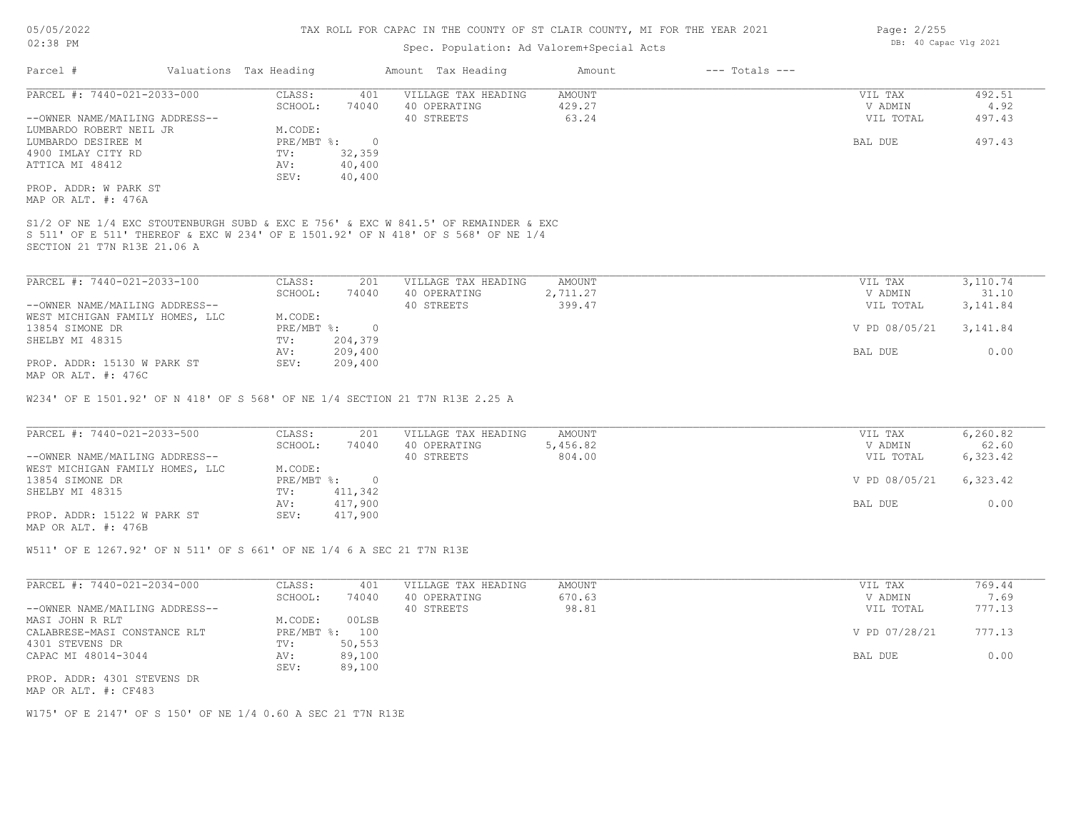#### Spec. Population: Ad Valorem+Special Acts

| Parcel #                        | Valuations Tax Heading |                | Amount Tax Heading                                                                  | Amount   | $---$ Totals $---$ |               |           |
|---------------------------------|------------------------|----------------|-------------------------------------------------------------------------------------|----------|--------------------|---------------|-----------|
| PARCEL #: 7440-021-2033-000     | CLASS:                 | 401            | VILLAGE TAX HEADING                                                                 | AMOUNT   |                    | VIL TAX       | 492.51    |
|                                 | SCHOOL:                | 74040          | 40 OPERATING                                                                        | 429.27   |                    | V ADMIN       | 4.92      |
| --OWNER NAME/MAILING ADDRESS--  |                        |                | 40 STREETS                                                                          | 63.24    |                    | VIL TOTAL     | 497.43    |
| LUMBARDO ROBERT NEIL JR         | M.CODE:                |                |                                                                                     |          |                    |               |           |
| LUMBARDO DESIREE M              | PRE/MBT %:             | $\overline{0}$ |                                                                                     |          |                    | BAL DUE       | 497.43    |
| 4900 IMLAY CITY RD              | TV:                    | 32,359         |                                                                                     |          |                    |               |           |
| ATTICA MI 48412                 | AV:                    | 40,400         |                                                                                     |          |                    |               |           |
|                                 | SEV:                   | 40,400         |                                                                                     |          |                    |               |           |
| PROP. ADDR: W PARK ST           |                        |                |                                                                                     |          |                    |               |           |
| MAP OR ALT. #: 476A             |                        |                |                                                                                     |          |                    |               |           |
|                                 |                        |                |                                                                                     |          |                    |               |           |
|                                 |                        |                | S1/2 OF NE 1/4 EXC STOUTENBURGH SUBD & EXC E 756' & EXC W 841.5' OF REMAINDER & EXC |          |                    |               |           |
|                                 |                        |                | S 511' OF E 511' THEREOF & EXC W 234' OF E 1501.92' OF N 418' OF S 568' OF NE 1/4   |          |                    |               |           |
| SECTION 21 T7N R13E 21.06 A     |                        |                |                                                                                     |          |                    |               |           |
|                                 |                        |                |                                                                                     |          |                    |               |           |
|                                 |                        |                |                                                                                     |          |                    |               |           |
| PARCEL #: 7440-021-2033-100     | CLASS:                 | 201            | VILLAGE TAX HEADING                                                                 | AMOUNT   |                    | VIL TAX       | 3,110.74  |
|                                 | SCHOOL:                | 74040          | 40 OPERATING                                                                        | 2,711.27 |                    | V ADMIN       | 31.10     |
| --OWNER NAME/MAILING ADDRESS--  |                        |                | 40 STREETS                                                                          | 399.47   |                    | VIL TOTAL     | 3,141.84  |
| WEST MICHIGAN FAMILY HOMES, LLC | M.CODE:                |                |                                                                                     |          |                    |               |           |
| 13854 SIMONE DR                 | PRE/MBT %:             |                |                                                                                     |          |                    | V PD 08/05/21 | 3, 141.84 |

| SHELBY MI 48315             | TVI  | 204,379 |         |      |
|-----------------------------|------|---------|---------|------|
|                             | AV:  | 209,400 | BAL DUE | 0.00 |
| PROP. ADDR: 15130 W PARK ST | SEV: | 209,400 |         |      |

MAP OR ALT. #: 476C

W234' OF E 1501.92' OF N 418' OF S 568' OF NE 1/4 SECTION 21 T7N R13E 2.25 A

| PARCEL #: 7440-021-2033-500     | CLASS:       | 201     | VILLAGE TAX HEADING | AMOUNT   | VIL TAX       | 6,260.82 |
|---------------------------------|--------------|---------|---------------------|----------|---------------|----------|
|                                 | SCHOOL:      | 74040   | 40 OPERATING        | 5,456.82 | V ADMIN       | 62.60    |
| --OWNER NAME/MAILING ADDRESS--  |              |         | 40 STREETS          | 804.00   | VIL TOTAL     | 6,323.42 |
| WEST MICHIGAN FAMILY HOMES, LLC | M.CODE:      |         |                     |          |               |          |
| 13854 SIMONE DR                 | $PRE/MBT$ %: | $\cap$  |                     |          | V PD 08/05/21 | 6,323.42 |
| SHELBY MI 48315                 | TV:          | 411,342 |                     |          |               |          |
|                                 | AV:          | 417,900 |                     |          | BAL DUE       | 0.00     |
| PROP. ADDR: 15122 W PARK ST     | SEV:         | 417,900 |                     |          |               |          |
| MAP OR ALT. #: 476B             |              |         |                     |          |               |          |

 $\_$  , and the state of the state of the state of the state of the state of the state of the state of the state of the state of the state of the state of the state of the state of the state of the state of the state of the

W511' OF E 1267.92' OF N 511' OF S 661' OF NE 1/4 6 A SEC 21 T7N R13E

| PARCEL #: 7440-021-2034-000    | CLASS:       | 401    | VILLAGE TAX HEADING | AMOUNT | VIL TAX       | 769.44 |
|--------------------------------|--------------|--------|---------------------|--------|---------------|--------|
|                                | SCHOOL:      | 74040  | 40 OPERATING        | 670.63 | V ADMIN       | 7.69   |
| --OWNER NAME/MAILING ADDRESS-- |              |        | 40 STREETS          | 98.81  | VIL TOTAL     | 777.13 |
| MASI JOHN R RLT                | M.CODE:      | 00LSB  |                     |        |               |        |
| CALABRESE-MASI CONSTANCE RLT   | $PRE/MBT$ %: | 100    |                     |        | V PD 07/28/21 | 777.13 |
| 4301 STEVENS DR                | TV:          | 50,553 |                     |        |               |        |
| CAPAC MI 48014-3044            | AV:          | 89,100 |                     |        | BAL DUE       | 0.00   |
|                                | SEV:         | 89,100 |                     |        |               |        |
| PROP. ADDR: 4301 STEVENS DR    |              |        |                     |        |               |        |

MAP OR ALT. #: CF483

W175' OF E 2147' OF S 150' OF NE 1/4 0.60 A SEC 21 T7N R13E

Page: 2/255 DB: 40 Capac Vlg 2021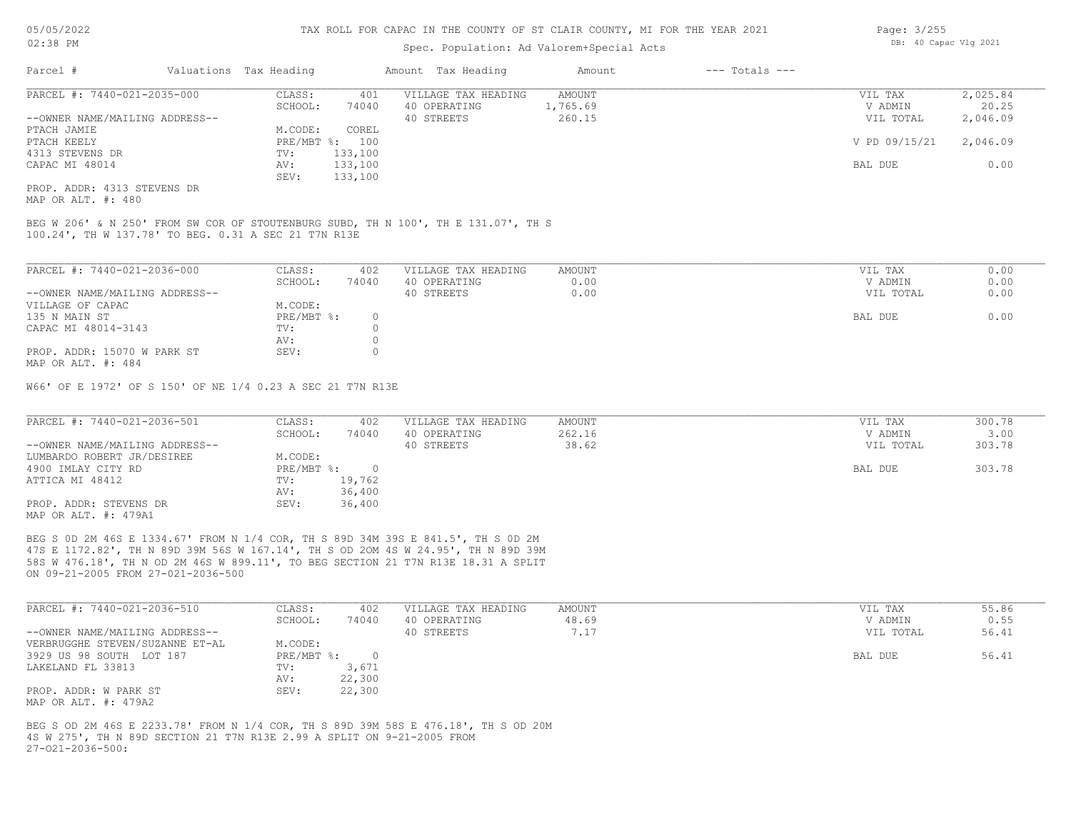### Spec. Population: Ad Valorem+Special Acts

CAPAC MI 48014 AV: 133,100 BAL DUE 0.00

| Parcel #                       | Valuations Tax Heading |                | Amount Tax Heading  | Amount   | $---$ Totals $---$ |               |          |
|--------------------------------|------------------------|----------------|---------------------|----------|--------------------|---------------|----------|
| PARCEL #: 7440-021-2035-000    | CLASS:                 | 401            | VILLAGE TAX HEADING | AMOUNT   |                    | VIL TAX       | 2,025.84 |
|                                | SCHOOL:                | 74040          | 40 OPERATING        | 1,765.69 |                    | V ADMIN       | 20.25    |
| --OWNER NAME/MAILING ADDRESS-- |                        |                | 40 STREETS          | 260.15   |                    | VIL TOTAL     | 2,046.09 |
| PTACH JAMIE                    | M.CODE:                | COREL          |                     |          |                    |               |          |
| PTACH KEELY                    |                        | PRE/MBT %: 100 |                     |          |                    | V PD 09/15/21 | 2,046.09 |
| 4313 STEVENS DR                | TV:                    | 133,100        |                     |          |                    |               |          |

MAP OR ALT. #: 480 PROP. ADDR: 4313 STEVENS DR

100.24', TH W 137.78' TO BEG. 0.31 A SEC 21 T7N R13E BEG W 206' & N 250' FROM SW COR OF STOUTENBURG SUBD, TH N 100', TH E 131.07', TH S

SEV: 133,100

| PARCEL #: 7440-021-2036-000    | CLASS:     | 402   | VILLAGE TAX HEADING | AMOUNT | VIL TAX   | 0.00 |
|--------------------------------|------------|-------|---------------------|--------|-----------|------|
|                                | SCHOOL:    | 74040 | 40 OPERATING        | 0.00   | V ADMIN   | 0.00 |
| --OWNER NAME/MAILING ADDRESS-- |            |       | 40 STREETS          | 0.00   | VIL TOTAL | 0.00 |
| VILLAGE OF CAPAC               | M.CODE:    |       |                     |        |           |      |
| 135 N MAIN ST                  | PRE/MBT %: |       |                     |        | BAL DUE   | 0.00 |
| CAPAC MI 48014-3143            | TV:        |       |                     |        |           |      |
|                                | AV:        |       |                     |        |           |      |
| PROP. ADDR: 15070 W PARK ST    | SEV:       |       |                     |        |           |      |
| MAP OR ALT. #: 484             |            |       |                     |        |           |      |

W66' OF E 1972' OF S 150' OF NE 1/4 0.23 A SEC 21 T7N R13E

| PARCEL #: 7440-021-2036-501    | CLASS:     | 402    | VILLAGE TAX HEADING | AMOUNT | VIL TAX   | 300.78 |
|--------------------------------|------------|--------|---------------------|--------|-----------|--------|
|                                | SCHOOL:    | 74040  | 40 OPERATING        | 262.16 | V ADMIN   | 3.00   |
| --OWNER NAME/MAILING ADDRESS-- |            |        | 40 STREETS          | 38.62  | VIL TOTAL | 303.78 |
| LUMBARDO ROBERT JR/DESIREE     | M.CODE:    |        |                     |        |           |        |
| 4900 IMLAY CITY RD             | PRE/MBT %: |        |                     |        | BAL DUE   | 303.78 |
| ATTICA MI 48412                | TV:        | 19,762 |                     |        |           |        |
|                                | AV:        | 36,400 |                     |        |           |        |
| PROP. ADDR: STEVENS DR         | SEV:       | 36,400 |                     |        |           |        |
| MAP OR ALT. #: 479A1           |            |        |                     |        |           |        |

ON 09-21-2005 FROM 27-021-2036-500 58S W 476.18', TH N OD 2M 46S W 899.11', TO BEG SECTION 21 T7N R13E 18.31 A SPLIT 47S E 1172.82', TH N 89D 39M 56S W 167.14', TH S OD 2OM 4S W 24.95', TH N 89D 39M BEG S 0D 2M 46S E 1334.67' FROM N 1/4 COR, TH S 89D 34M 39S E 841.5', TH S 0D 2M

| PARCEL #: 7440-021-2036-510     | CLASS:     | 402    | VILLAGE TAX HEADING | AMOUNT | VIL TAX   | 55.86 |
|---------------------------------|------------|--------|---------------------|--------|-----------|-------|
|                                 | SCHOOL:    | 74040  | 40 OPERATING        | 48.69  | V ADMIN   | 0.55  |
| --OWNER NAME/MAILING ADDRESS--  |            |        | 40 STREETS          | 7.17   | VIL TOTAL | 56.41 |
| VERBRUGGHE STEVEN/SUZANNE ET-AL | M.CODE:    |        |                     |        |           |       |
| 3929 US 98 SOUTH LOT 187        | PRE/MBT %: |        |                     |        | BAL DUE   | 56.41 |
| LAKELAND FL 33813               | TV:        | 3,671  |                     |        |           |       |
|                                 | AV:        | 22,300 |                     |        |           |       |
| PROP. ADDR: W PARK ST           | SEV:       | 22,300 |                     |        |           |       |
| MAP OR ALT. #: 479A2            |            |        |                     |        |           |       |

27-O21-2036-500: 4S W 275', TH N 89D SECTION 21 T7N R13E 2.99 A SPLIT ON 9-21-2005 FROM BEG S OD 2M 46S E 2233.78' FROM N 1/4 COR, TH S 89D 39M 58S E 476.18', TH S OD 20M Page: 3/255 DB: 40 Capac Vlg 2021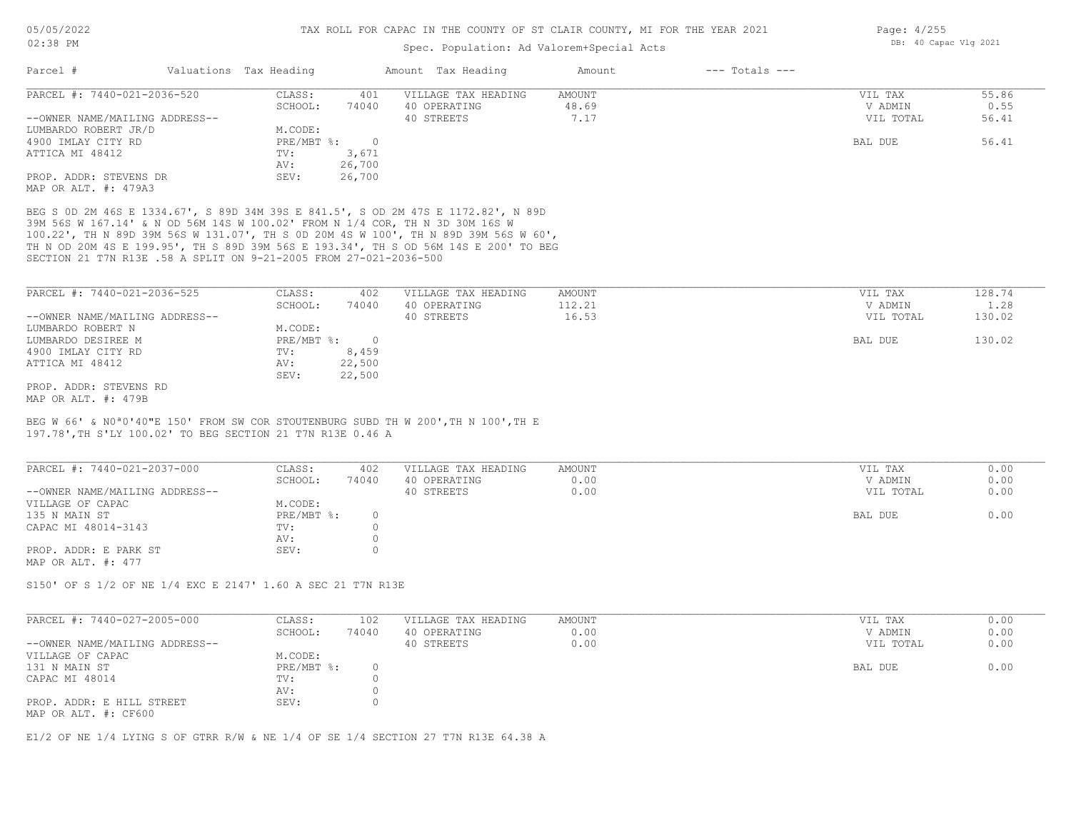#### Spec. Population: Ad Valorem+Special Acts

| Parcel #                       | Valuations Tax Heading |        | Amount Tax Heading  | Amount | $---$ Totals $---$ |           |       |
|--------------------------------|------------------------|--------|---------------------|--------|--------------------|-----------|-------|
| PARCEL #: 7440-021-2036-520    | CLASS:                 | 401    | VILLAGE TAX HEADING | AMOUNT |                    | VIL TAX   | 55.86 |
|                                | SCHOOL:                | 74040  | 40 OPERATING        | 48.69  |                    | V ADMIN   | 0.55  |
| --OWNER NAME/MAILING ADDRESS-- |                        |        | 40 STREETS          | 7.17   |                    | VIL TOTAL | 56.41 |
| LUMBARDO ROBERT JR/D           | M.CODE:                |        |                     |        |                    |           |       |
| 4900 IMLAY CITY RD             | $PRE/MBT$ %:           |        |                     |        |                    | BAL DUE   | 56.41 |
| ATTICA MI 48412                | TV:                    | 3,671  |                     |        |                    |           |       |
|                                | AV:                    | 26,700 |                     |        |                    |           |       |
| PROP. ADDR: STEVENS DR         | SEV:                   | 26,700 |                     |        |                    |           |       |
| MAP OR ALT. #: 479A3           |                        |        |                     |        |                    |           |       |

SECTION 21 T7N R13E .58 A SPLIT ON 9-21-2005 FROM 27-021-2036-500 TH N OD 20M 4S E 199.95', TH S 89D 39M 56S E 193.34', TH S OD 56M 14S E 200' TO BEG 100.22', TH N 89D 39M 56S W 131.07', TH S 0D 20M 4S W 100', TH N 89D 39M 56S W 60', 39M 56S W 167.14' & N OD 56M 14S W 100.02' FROM N 1/4 COR, TH N 3D 30M 16S W BEG S 0D 2M 46S E 1334.67', S 89D 34M 39S E 841.5', S OD 2M 47S E 1172.82', N 89D

| PARCEL #: 7440-021-2036-525    | CLASS:       | 402    | VILLAGE TAX HEADING | AMOUNT | VIL TAX   | 128.74 |
|--------------------------------|--------------|--------|---------------------|--------|-----------|--------|
|                                | SCHOOL:      | 74040  | 40 OPERATING        | 112.21 | V ADMIN   | 1.28   |
| --OWNER NAME/MAILING ADDRESS-- |              |        | 40 STREETS          | 16.53  | VIL TOTAL | 130.02 |
| LUMBARDO ROBERT N              | M.CODE:      |        |                     |        |           |        |
| LUMBARDO DESIREE M             | $PRE/MBT$ %: |        |                     |        | BAL DUE   | 130.02 |
| 4900 IMLAY CITY RD             | TV:          | 8,459  |                     |        |           |        |
| ATTICA MI 48412                | AV:          | 22,500 |                     |        |           |        |
|                                | SEV:         | 22,500 |                     |        |           |        |
| PROP. ADDR: STEVENS RD         |              |        |                     |        |           |        |
| MAP OR ALT. #: 479B            |              |        |                     |        |           |        |

197.78',TH S'LY 100.02' TO BEG SECTION 21 T7N R13E 0.46 A BEG W 66' & N0ª0'40"E 150' FROM SW COR STOUTENBURG SUBD TH W 200',TH N 100',TH E

| PARCEL #: 7440-021-2037-000    | CLASS:       | 402   | VILLAGE TAX HEADING | AMOUNT | VIL TAX   | 0.00 |
|--------------------------------|--------------|-------|---------------------|--------|-----------|------|
|                                | SCHOOL:      | 74040 | 40 OPERATING        | 0.00   | V ADMIN   | 0.00 |
| --OWNER NAME/MAILING ADDRESS-- |              |       | 40 STREETS          | 0.00   | VIL TOTAL | 0.00 |
| VILLAGE OF CAPAC               | M.CODE:      |       |                     |        |           |      |
| 135 N MAIN ST                  | $PRE/MBT$ %: |       |                     |        | BAL DUE   | 0.00 |
| CAPAC MI 48014-3143            | TV:          |       |                     |        |           |      |
|                                | AV:          |       |                     |        |           |      |
| PROP. ADDR: E PARK ST          | SEV:         |       |                     |        |           |      |
| MAP OR ALT. $\#: 477$          |              |       |                     |        |           |      |

S150' OF S 1/2 OF NE 1/4 EXC E 2147' 1.60 A SEC 21 T7N R13E

| PARCEL #: 7440-027-2005-000                       | CLASS:     | 102   | VILLAGE TAX HEADING | AMOUNT | VIL TAX   | 0.00 |
|---------------------------------------------------|------------|-------|---------------------|--------|-----------|------|
|                                                   | SCHOOL:    | 74040 | 40 OPERATING        | 0.00   | V ADMIN   | 0.00 |
| --OWNER NAME/MAILING ADDRESS--                    |            |       | 40 STREETS          | 0.00   | VIL TOTAL | 0.00 |
| VILLAGE OF CAPAC                                  | M.CODE:    |       |                     |        |           |      |
| 131 N MAIN ST                                     | PRE/MBT %: |       |                     |        | BAL DUE   | 0.00 |
| CAPAC MI 48014                                    | TV:        |       |                     |        |           |      |
|                                                   | AV:        |       |                     |        |           |      |
| PROP. ADDR: E HILL STREET<br>MAP OR ALT. #: CF600 | SEV:       |       |                     |        |           |      |

 $\_$  , and the state of the state of the state of the state of the state of the state of the state of the state of the state of the state of the state of the state of the state of the state of the state of the state of the

E1/2 OF NE 1/4 LYING S OF GTRR R/W & NE 1/4 OF SE 1/4 SECTION 27 T7N R13E 64.38 A

Page: 4/255 DB: 40 Capac Vlg 2021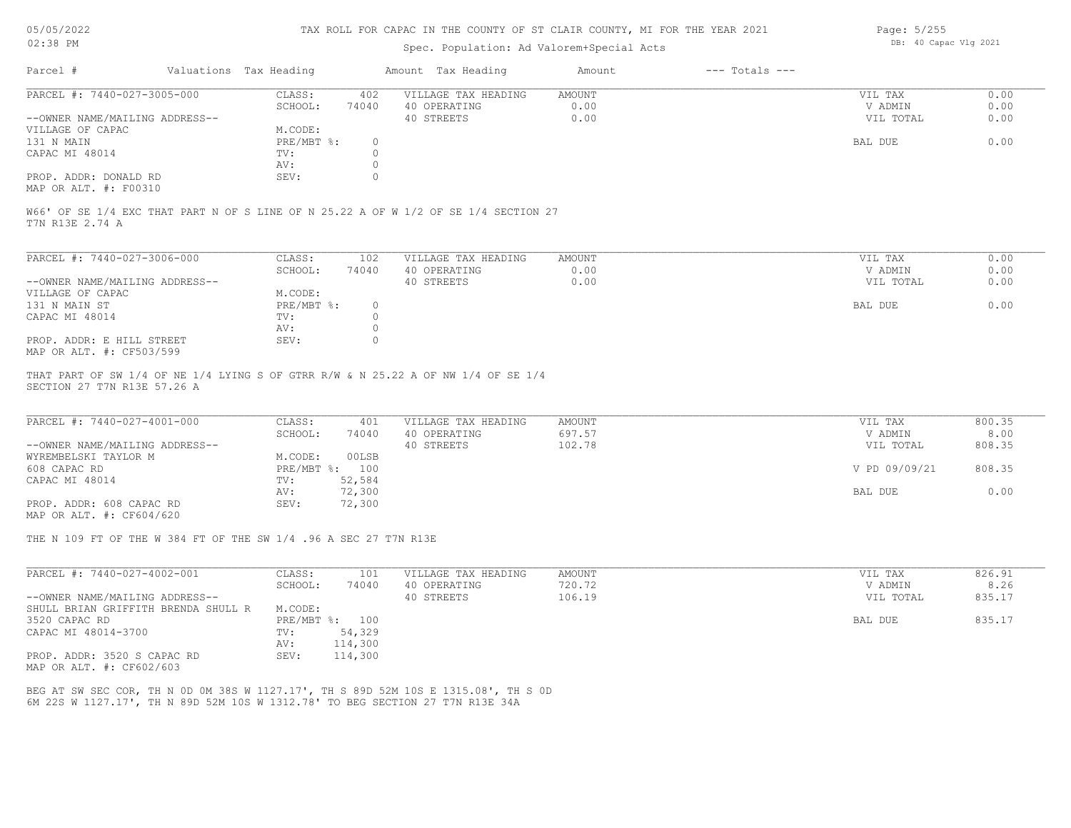## Spec. Population: Ad Valorem+Special Acts

| Page: 5/255 |                       |  |
|-------------|-----------------------|--|
|             | DB: 40 Capac Vlg 2021 |  |

| Parcel #                       |         | Valuations Tax Heading |              | Amount Tax Heading  | Amount | $---$ Totals $---$ |           |      |
|--------------------------------|---------|------------------------|--------------|---------------------|--------|--------------------|-----------|------|
| PARCEL #: 7440-027-3005-000    |         | CLASS:                 | 402          | VILLAGE TAX HEADING | AMOUNT |                    | VIL TAX   | 0.00 |
|                                | SCHOOL: | 74040                  | 40 OPERATING | 0.00                |        | V ADMIN            | 0.00      |      |
| --OWNER NAME/MAILING ADDRESS-- |         |                        |              | 40 STREETS          | 0.00   |                    | VIL TOTAL | 0.00 |
| VILLAGE OF CAPAC               |         | M.CODE:                |              |                     |        |                    |           |      |
| 131 N MAIN                     |         | PRE/MBT %:             |              |                     |        |                    | BAL DUE   | 0.00 |
| CAPAC MI 48014                 |         | TV:                    |              |                     |        |                    |           |      |
|                                |         | AV:                    |              |                     |        |                    |           |      |
| PROP. ADDR: DONALD RD          |         | SEV:                   |              |                     |        |                    |           |      |
|                                |         |                        |              |                     |        |                    |           |      |

MAP OR ALT. #: F00310

T7N R13E 2.74 A W66' OF SE 1/4 EXC THAT PART N OF S LINE OF N 25.22 A OF W 1/2 OF SE 1/4 SECTION 27

| PARCEL #: 7440-027-3006-000    | CLASS:     | 102   | VILLAGE TAX HEADING | AMOUNT | VIL TAX   | 0.00 |
|--------------------------------|------------|-------|---------------------|--------|-----------|------|
|                                | SCHOOL:    | 74040 | 40 OPERATING        | 0.00   | V ADMIN   | 0.00 |
| --OWNER NAME/MAILING ADDRESS-- |            |       | 40 STREETS          | 0.00   | VIL TOTAL | 0.00 |
| VILLAGE OF CAPAC               | M.CODE:    |       |                     |        |           |      |
| 131 N MAIN ST                  | PRE/MBT %: |       |                     |        | BAL DUE   | 0.00 |
| CAPAC MI 48014                 | TV:        |       |                     |        |           |      |
|                                | AV:        |       |                     |        |           |      |
| PROP. ADDR: E HILL STREET      | SEV:       |       |                     |        |           |      |
| MAP OR ALT. #: CF503/599       |            |       |                     |        |           |      |

SECTION 27 T7N R13E 57.26 A THAT PART OF SW 1/4 OF NE 1/4 LYING S OF GTRR R/W & N 25.22 A OF NW 1/4 OF SE 1/4

| PARCEL #: 7440-027-4001-000    | CLASS:  | 401            | VILLAGE TAX HEADING | AMOUNT | VIL TAX       | 800.35 |
|--------------------------------|---------|----------------|---------------------|--------|---------------|--------|
|                                | SCHOOL: | 74040          | 40 OPERATING        | 697.57 | V ADMIN       | 8.00   |
| --OWNER NAME/MAILING ADDRESS-- |         |                | 40 STREETS          | 102.78 | VIL TOTAL     | 808.35 |
| WYREMBELSKI TAYLOR M           | M.CODE: | 00LSB          |                     |        |               |        |
| 608 CAPAC RD                   |         | PRE/MBT %: 100 |                     |        | V PD 09/09/21 | 808.35 |
| CAPAC MI 48014                 | TV:     | 52,584         |                     |        |               |        |
|                                | AV:     | 72,300         |                     |        | BAL DUE       | 0.00   |
| PROP. ADDR: 608 CAPAC RD       | SEV:    | 72,300         |                     |        |               |        |
|                                |         |                |                     |        |               |        |

MAP OR ALT. #: CF604/620

THE N 109 FT OF THE W 384 FT OF THE SW 1/4 .96 A SEC 27 T7N R13E

| PARCEL #: 7440-027-4002-001         | CLASS:       | 101     | VILLAGE TAX HEADING | AMOUNT | VIL TAX   | 826.91 |
|-------------------------------------|--------------|---------|---------------------|--------|-----------|--------|
|                                     | SCHOOL:      | 74040   | 40 OPERATING        | 720.72 | V ADMIN   | 8.26   |
| --OWNER NAME/MAILING ADDRESS--      |              |         | 40 STREETS          | 106.19 | VIL TOTAL | 835.17 |
| SHULL BRIAN GRIFFITH BRENDA SHULL R | M.CODE:      |         |                     |        |           |        |
| 3520 CAPAC RD                       | $PRE/MBT$ %: | 100     |                     |        | BAL DUE   | 835.17 |
| CAPAC MI 48014-3700                 | TV:          | 54,329  |                     |        |           |        |
|                                     | AV:          | 114,300 |                     |        |           |        |
| PROP. ADDR: 3520 S CAPAC RD         | SEV:         | 114,300 |                     |        |           |        |
| MAP OR ALT. #: CF602/603            |              |         |                     |        |           |        |

6M 22S W 1127.17', TH N 89D 52M 10S W 1312.78' TO BEG SECTION 27 T7N R13E 34A BEG AT SW SEC COR, TH N 0D 0M 38S W 1127.17', TH S 89D 52M 10S E 1315.08', TH S 0D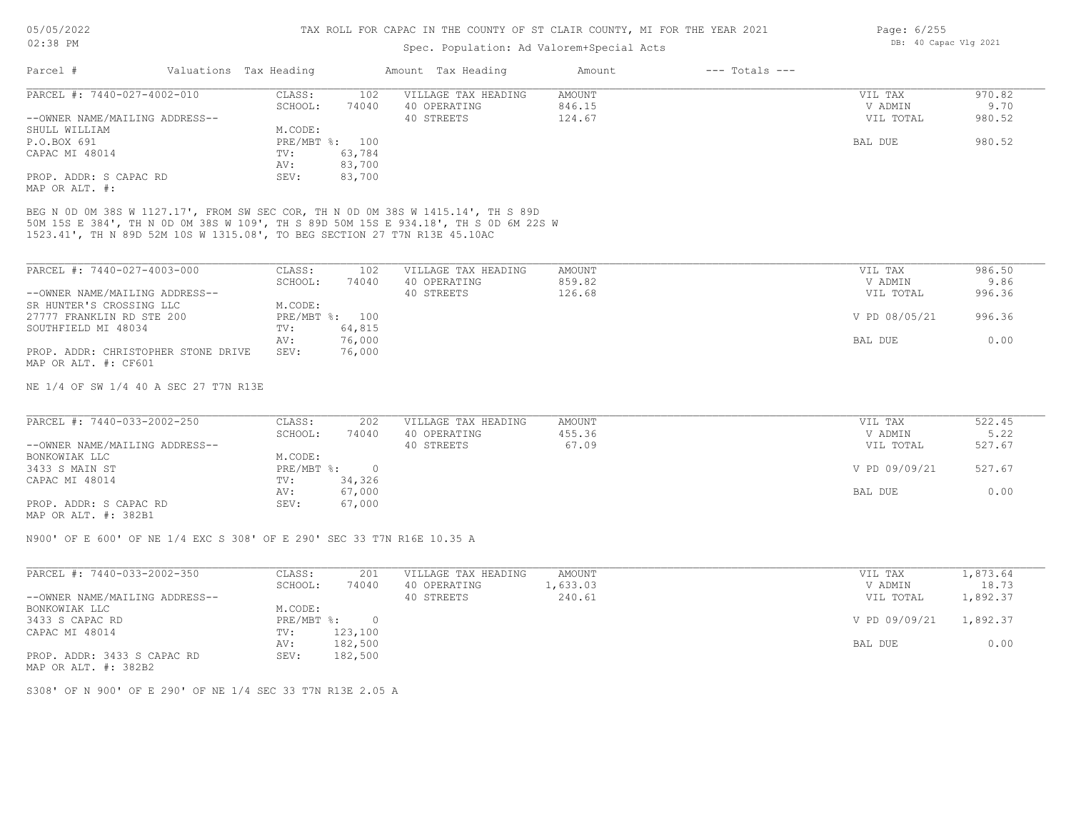#### Spec. Population: Ad Valorem+Special Acts

| Page: 6/255 |                       |  |
|-------------|-----------------------|--|
|             | DB: 40 Capac Vlg 2021 |  |

| PARCEL #: 7440-027-4002-010    | CLASS:  | 102            | VILLAGE TAX HEADING | AMOUNT | VIL TAX   | 970.82 |
|--------------------------------|---------|----------------|---------------------|--------|-----------|--------|
|                                | SCHOOL: | 74040          | 40 OPERATING        | 846.15 | V ADMIN   | 9.70   |
| --OWNER NAME/MAILING ADDRESS-- |         |                | 40 STREETS          | 124.67 | VIL TOTAL | 980.52 |
| SHULL WILLIAM                  | M.CODE: |                |                     |        |           |        |
| P.O.BOX 691                    |         | PRE/MBT %: 100 |                     |        | BAL DUE   | 980.52 |
| CAPAC MI 48014                 | TV:     | 63,784         |                     |        |           |        |
|                                | AV:     | 83,700         |                     |        |           |        |
| PROP. ADDR: S CAPAC RD         | SEV:    | 83,700         |                     |        |           |        |
| MAP OR ALT. #:                 |         |                |                     |        |           |        |

1523.41', TH N 89D 52M 10S W 1315.08', TO BEG SECTION 27 T7N R13E 45.10AC 50M 15S E 384', TH N 0D 0M 38S W 109', TH S 89D 50M 15S E 934.18', TH S 0D 6M 22S W

| PARCEL #: 7440-027-4003-000         | CLASS:  | 102            | VILLAGE TAX HEADING | AMOUNT | VIL TAX       | 986.50 |
|-------------------------------------|---------|----------------|---------------------|--------|---------------|--------|
|                                     | SCHOOL: | 74040          | 40 OPERATING        | 859.82 | V ADMIN       | 9.86   |
| --OWNER NAME/MAILING ADDRESS--      |         |                | 40 STREETS          | 126.68 | VIL TOTAL     | 996.36 |
| SR HUNTER'S CROSSING LLC            | M.CODE: |                |                     |        |               |        |
| 27777 FRANKLIN RD STE 200           |         | PRE/MBT %: 100 |                     |        | V PD 08/05/21 | 996.36 |
| SOUTHFIELD MI 48034                 | TV:     | 64,815         |                     |        |               |        |
|                                     | AV:     | 76,000         |                     |        | BAL DUE       | 0.00   |
| PROP. ADDR: CHRISTOPHER STONE DRIVE | SEV:    | 76,000         |                     |        |               |        |
| MAP OR ALT. #: CF601                |         |                |                     |        |               |        |

NE 1/4 OF SW 1/4 40 A SEC 27 T7N R13E

| PARCEL #: 7440-033-2002-250    | CLASS:     | 202    | VILLAGE TAX HEADING | AMOUNT | VIL TAX       | 522.45 |
|--------------------------------|------------|--------|---------------------|--------|---------------|--------|
|                                | SCHOOL:    | 74040  | 40 OPERATING        | 455.36 | V ADMIN       | 5.22   |
| --OWNER NAME/MAILING ADDRESS-- |            |        | 40 STREETS          | 67.09  | VIL TOTAL     | 527.67 |
| BONKOWIAK LLC                  | M.CODE:    |        |                     |        |               |        |
| 3433 S MAIN ST                 | PRE/MBT %: |        |                     |        | V PD 09/09/21 | 527.67 |
| CAPAC MI 48014                 | TV:        | 34,326 |                     |        |               |        |
|                                | AV:        | 67,000 |                     |        | BAL DUE       | 0.00   |
| PROP. ADDR: S CAPAC RD         | SEV:       | 67,000 |                     |        |               |        |
| $\frac{1}{2}$                  |            |        |                     |        |               |        |

MAP OR ALT. #: 382B1

N900' OF E 600' OF NE 1/4 EXC S 308' OF E 290' SEC 33 T7N R16E 10.35 A

| PARCEL #: 7440-033-2002-350                                                          | CLASS:     | 201      | VILLAGE TAX HEADING | AMOUNT   | VIL TAX       | 1,873.64 |
|--------------------------------------------------------------------------------------|------------|----------|---------------------|----------|---------------|----------|
|                                                                                      | SCHOOL:    | 74040    | 40 OPERATING        | 1,633.03 | V ADMIN       | 18.73    |
| --OWNER NAME/MAILING ADDRESS--                                                       |            |          | 40 STREETS          | 240.61   | VIL TOTAL     | 1,892.37 |
| BONKOWIAK LLC                                                                        | M.CODE:    |          |                     |          |               |          |
| 3433 S CAPAC RD                                                                      | PRE/MBT %: | $\Omega$ |                     |          | V PD 09/09/21 | 1,892.37 |
| CAPAC MI 48014                                                                       | TV:        | 123,100  |                     |          |               |          |
|                                                                                      | AV:        | 182,500  |                     |          | BAL DUE       | 0.00     |
| PROP. ADDR: 3433 S CAPAC RD<br>$\cdots$ $\cdots$ $\cdots$ $\cdots$ $\cdots$ $\cdots$ | SEV:       | 182,500  |                     |          |               |          |

MAP OR ALT. #: 382B2

S308' OF N 900' OF E 290' OF NE 1/4 SEC 33 T7N R13E 2.05 A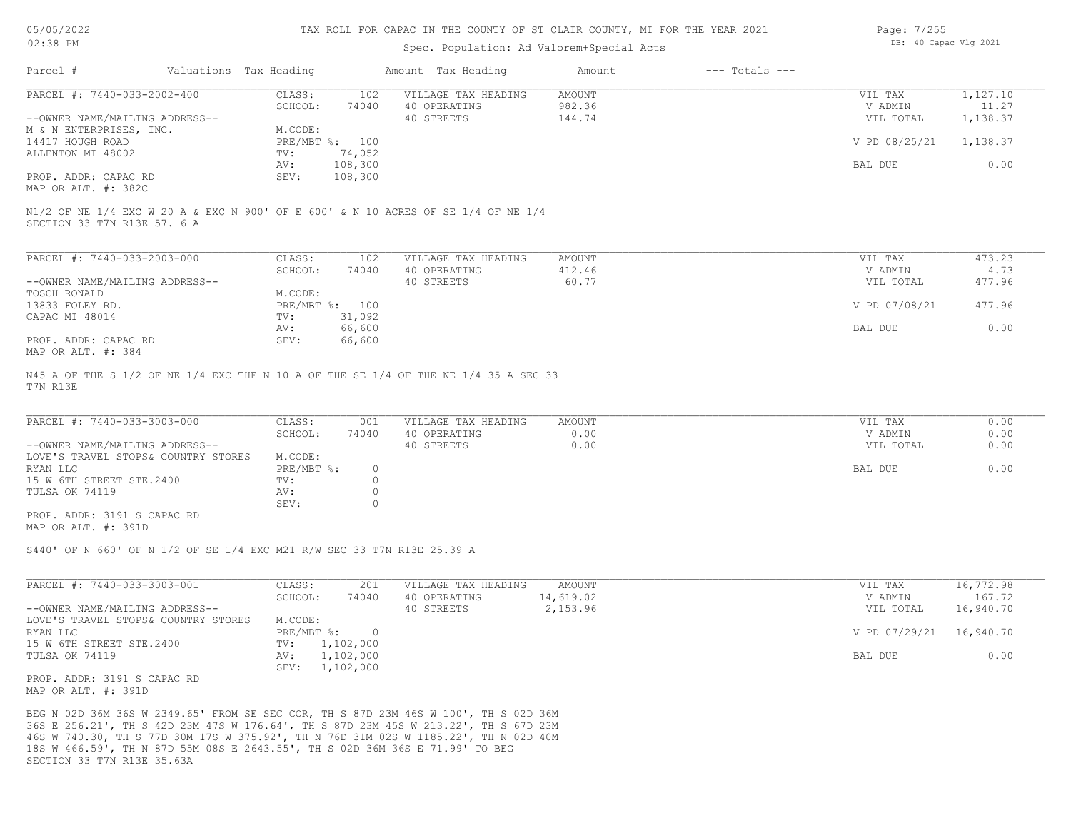#### Spec. Population: Ad Valorem+Special Acts

| Page: 7/255 |                       |  |
|-------------|-----------------------|--|
|             | DB: 40 Capac Vlg 2021 |  |

| Parcel #                       | Valuations Tax Heading |                | Amount Tax Heading  | Amount | $---$ Totals $---$ |               |          |
|--------------------------------|------------------------|----------------|---------------------|--------|--------------------|---------------|----------|
| PARCEL #: 7440-033-2002-400    | CLASS:                 | 102            | VILLAGE TAX HEADING | AMOUNT |                    | VIL TAX       | 1,127.10 |
|                                | SCHOOL:                | 74040          | 40 OPERATING        | 982.36 |                    | V ADMIN       | 11.27    |
| --OWNER NAME/MAILING ADDRESS-- |                        |                | 40 STREETS          | 144.74 |                    | VIL TOTAL     | 1,138.37 |
| M & N ENTERPRISES, INC.        | M.CODE:                |                |                     |        |                    |               |          |
| 14417 HOUGH ROAD               |                        | PRE/MBT %: 100 |                     |        |                    | V PD 08/25/21 | 1,138.37 |
| ALLENTON MI 48002              | TV:                    | 74,052         |                     |        |                    |               |          |
|                                | AV:                    | 108,300        |                     |        |                    | BAL DUE       | 0.00     |
| PROP. ADDR: CAPAC RD           | SEV:                   | 108,300        |                     |        |                    |               |          |
| MAP OR ALT. #: 382C            |                        |                |                     |        |                    |               |          |

SECTION 33 T7N R13E 57. 6 A

| PARCEL #: 7440-033-2003-000    | CLASS:     | 102    | VILLAGE TAX HEADING | AMOUNT | VIL TAX       | 473.23 |
|--------------------------------|------------|--------|---------------------|--------|---------------|--------|
|                                | SCHOOL:    | 74040  | 40 OPERATING        | 412.46 | V ADMIN       | 4.73   |
| --OWNER NAME/MAILING ADDRESS-- |            |        | 40 STREETS          | 60.77  | VIL TOTAL     | 477.96 |
| TOSCH RONALD                   | M.CODE:    |        |                     |        |               |        |
| 13833 FOLEY RD.                | PRE/MBT %: | 100    |                     |        | V PD 07/08/21 | 477.96 |
| CAPAC MI 48014                 | TV:        | 31,092 |                     |        |               |        |
|                                | AV:        | 66,600 |                     |        | BAL DUE       | 0.00   |
| PROP. ADDR: CAPAC RD           | SEV:       | 66,600 |                     |        |               |        |
| MAP OR ALT. #: 384             |            |        |                     |        |               |        |

T7N R13E N45 A OF THE S 1/2 OF NE 1/4 EXC THE N 10 A OF THE SE 1/4 OF THE NE 1/4 35 A SEC 33

| PARCEL #: 7440-033-3003-000         | CLASS:       | 001   | VILLAGE TAX HEADING | AMOUNT | VIL TAX   | 0.00 |
|-------------------------------------|--------------|-------|---------------------|--------|-----------|------|
|                                     | SCHOOL:      | 74040 | 40 OPERATING        | 0.00   | V ADMIN   | 0.00 |
| --OWNER NAME/MAILING ADDRESS--      |              |       | 40 STREETS          | 0.00   | VIL TOTAL | 0.00 |
| LOVE'S TRAVEL STOPS& COUNTRY STORES | M.CODE:      |       |                     |        |           |      |
| RYAN LLC                            | $PRE/MBT$ %: |       |                     |        | BAL DUE   | 0.00 |
| 15 W 6TH STREET STE.2400            | TV:          |       |                     |        |           |      |
| TULSA OK 74119                      | AV:          |       |                     |        |           |      |
|                                     | SEV:         |       |                     |        |           |      |
| PROP. ADDR: 3191 S CAPAC RD         |              |       |                     |        |           |      |

MAP OR ALT. #: 391D

S440' OF N 660' OF N 1/2 OF SE 1/4 EXC M21 R/W SEC 33 T7N R13E 25.39 A

| PARCEL #: 7440-033-3003-001         | CLASS:     | 201       | VILLAGE TAX HEADING | AMOUNT    | VIL TAX       | 16,772.98 |
|-------------------------------------|------------|-----------|---------------------|-----------|---------------|-----------|
|                                     | SCHOOL:    | 74040     | 40 OPERATING        | 14,619.02 | V ADMIN       | 167.72    |
| --OWNER NAME/MAILING ADDRESS--      |            |           | 40 STREETS          | 2,153.96  | VIL TOTAL     | 16,940.70 |
| LOVE'S TRAVEL STOPS& COUNTRY STORES | M.CODE:    |           |                     |           |               |           |
| RYAN LLC                            | PRE/MBT %: |           |                     |           | V PD 07/29/21 | 16,940.70 |
| 15 W 6TH STREET STE.2400            | TV:        | 1,102,000 |                     |           |               |           |
| TULSA OK 74119                      | AV:        | 1,102,000 |                     |           | BAL DUE       | 0.00      |
|                                     | SEV:       | 1,102,000 |                     |           |               |           |
| PROP. ADDR: 3191 S CAPAC RD         |            |           |                     |           |               |           |
| MAP OR ALT. #: 391D                 |            |           |                     |           |               |           |

SECTION 33 T7N R13E 35.63A 18S W 466.59', TH N 87D 55M 08S E 2643.55', TH S 02D 36M 36S E 71.99' TO BEG 46S W 740.30, TH S 77D 30M 17S W 375.92', TH N 76D 31M 02S W 1185.22', TH N 02D 40M 36S E 256.21', TH S 42D 23M 47S W 176.64', TH S 87D 23M 45S W 213.22', TH S 67D 23M BEG N 02D 36M 36S W 2349.65' FROM SE SEC COR, TH S 87D 23M 46S W 100', TH S 02D 36M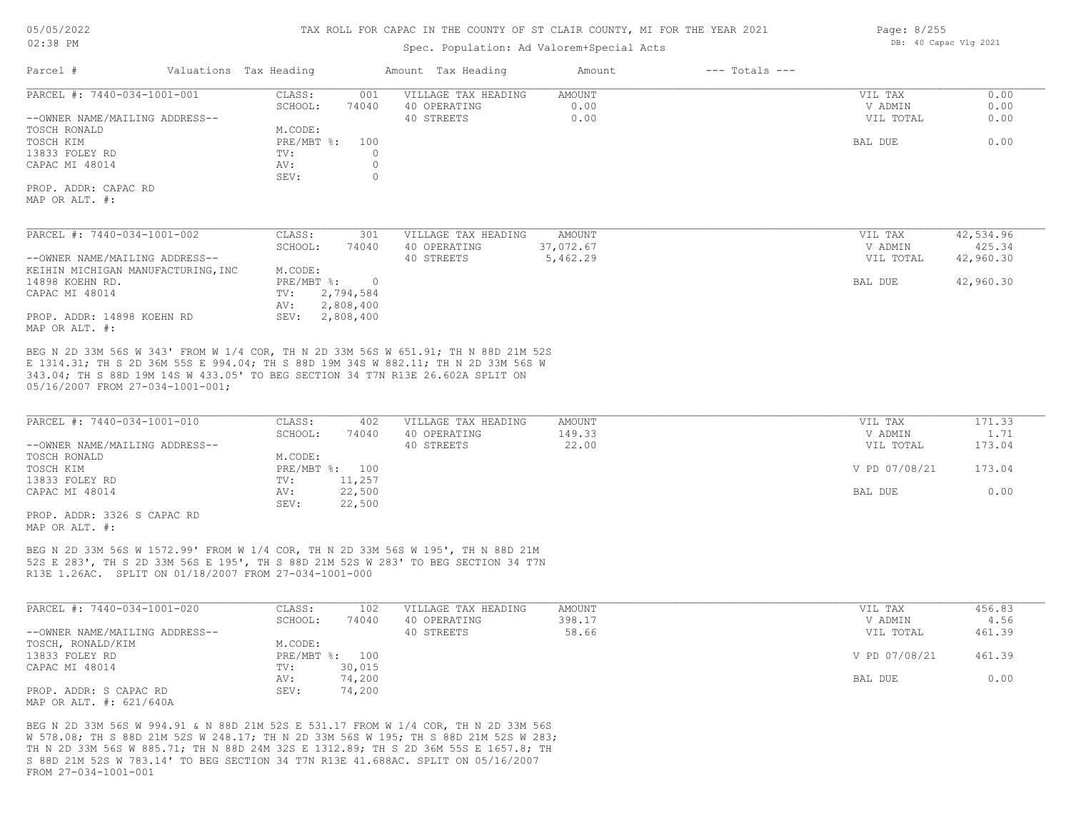# Spec. Population: Ad Valorem+Special Acts

| Valuations Tax Heading<br>Parcel #                                                                                                                                                                                                                                                            |                                  | Amount Tax Heading  | Amount    | $---$ Totals $---$ |               |           |
|-----------------------------------------------------------------------------------------------------------------------------------------------------------------------------------------------------------------------------------------------------------------------------------------------|----------------------------------|---------------------|-----------|--------------------|---------------|-----------|
| PARCEL #: 7440-034-1001-001                                                                                                                                                                                                                                                                   | CLASS:<br>001                    | VILLAGE TAX HEADING | AMOUNT    |                    | VIL TAX       | 0.00      |
|                                                                                                                                                                                                                                                                                               | SCHOOL:<br>74040                 | 40 OPERATING        | 0.00      |                    | V ADMIN       | 0.00      |
| --OWNER NAME/MAILING ADDRESS--                                                                                                                                                                                                                                                                |                                  | 40 STREETS          | 0.00      |                    | VIL TOTAL     | 0.00      |
| TOSCH RONALD                                                                                                                                                                                                                                                                                  | M.CODE:                          |                     |           |                    |               |           |
| TOSCH KIM                                                                                                                                                                                                                                                                                     | $PRE/MBT$ $\frac{1}{6}$ :<br>100 |                     |           |                    | BAL DUE       | 0.00      |
| 13833 FOLEY RD                                                                                                                                                                                                                                                                                | $\circ$<br>TV:                   |                     |           |                    |               |           |
| CAPAC MI 48014                                                                                                                                                                                                                                                                                | $\circ$<br>AV:                   |                     |           |                    |               |           |
|                                                                                                                                                                                                                                                                                               | $\circ$<br>SEV:                  |                     |           |                    |               |           |
| PROP. ADDR: CAPAC RD                                                                                                                                                                                                                                                                          |                                  |                     |           |                    |               |           |
| MAP OR ALT. #:                                                                                                                                                                                                                                                                                |                                  |                     |           |                    |               |           |
| PARCEL #: 7440-034-1001-002                                                                                                                                                                                                                                                                   | CLASS:<br>301                    | VILLAGE TAX HEADING | AMOUNT    |                    | VIL TAX       | 42,534.96 |
|                                                                                                                                                                                                                                                                                               | SCHOOL:<br>74040                 | 40 OPERATING        | 37,072.67 |                    | V ADMIN       | 425.34    |
| --OWNER NAME/MAILING ADDRESS--                                                                                                                                                                                                                                                                |                                  | 40 STREETS          | 5,462.29  |                    | VIL TOTAL     | 42,960.30 |
| KEIHIN MICHIGAN MANUFACTURING, INC                                                                                                                                                                                                                                                            | M.CODE:                          |                     |           |                    |               |           |
| 14898 KOEHN RD.                                                                                                                                                                                                                                                                               | $PRE/MBT$ %:<br>$\overline{0}$   |                     |           |                    | BAL DUE       | 42,960.30 |
| CAPAC MI 48014                                                                                                                                                                                                                                                                                | 2,794,584<br>TV:                 |                     |           |                    |               |           |
|                                                                                                                                                                                                                                                                                               | 2,808,400<br>AV:                 |                     |           |                    |               |           |
| PROP. ADDR: 14898 KOEHN RD                                                                                                                                                                                                                                                                    | SEV: 2,808,400                   |                     |           |                    |               |           |
| MAP OR ALT. #:                                                                                                                                                                                                                                                                                |                                  |                     |           |                    |               |           |
| BEG N 2D 33M 56S W 343' FROM W 1/4 COR, TH N 2D 33M 56S W 651.91; TH N 88D 21M 52S<br>E 1314.31; TH S 2D 36M 55S E 994.04; TH S 88D 19M 34S W 882.11; TH N 2D 33M 56S W<br>343.04; TH S 88D 19M 14S W 433.05' TO BEG SECTION 34 T7N R13E 26.602A SPLIT ON<br>05/16/2007 FROM 27-034-1001-001; |                                  |                     |           |                    |               |           |
| PARCEL #: 7440-034-1001-010                                                                                                                                                                                                                                                                   | CLASS:<br>402                    | VILLAGE TAX HEADING | AMOUNT    |                    | VIL TAX       | 171.33    |
|                                                                                                                                                                                                                                                                                               | SCHOOL:<br>74040                 | 40 OPERATING        | 149.33    |                    | V ADMIN       | 1.71      |
| --OWNER NAME/MAILING ADDRESS--                                                                                                                                                                                                                                                                |                                  | 40 STREETS          | 22.00     |                    | VIL TOTAL     | 173.04    |
| TOSCH RONALD                                                                                                                                                                                                                                                                                  | M.CODE:                          |                     |           |                    |               |           |
| TOSCH KIM                                                                                                                                                                                                                                                                                     | PRE/MBT %: 100                   |                     |           |                    | V PD 07/08/21 | 173.04    |
| 13833 FOLEY RD                                                                                                                                                                                                                                                                                | 11,257<br>TV:                    |                     |           |                    |               |           |
| CAPAC MI 48014                                                                                                                                                                                                                                                                                | 22,500<br>AV:                    |                     |           |                    | BAL DUE       | 0.00      |
|                                                                                                                                                                                                                                                                                               | SEV:<br>22,500                   |                     |           |                    |               |           |
| PROP. ADDR: 3326 S CAPAC RD                                                                                                                                                                                                                                                                   |                                  |                     |           |                    |               |           |
| MAP OR ALT. #:                                                                                                                                                                                                                                                                                |                                  |                     |           |                    |               |           |
| BEG N 2D 33M 56S W 1572.99' FROM W 1/4 COR, TH N 2D 33M 56S W 195', TH N 88D 21M                                                                                                                                                                                                              |                                  |                     |           |                    |               |           |
| 52S E 283', TH S 2D 33M 56S E 195', TH S 88D 21M 52S W 283' TO BEG SECTION 34 T7N                                                                                                                                                                                                             |                                  |                     |           |                    |               |           |
| R13E 1.26AC. SPLIT ON 01/18/2007 FROM 27-034-1001-000                                                                                                                                                                                                                                         |                                  |                     |           |                    |               |           |
|                                                                                                                                                                                                                                                                                               |                                  |                     |           |                    |               |           |
|                                                                                                                                                                                                                                                                                               |                                  |                     |           |                    |               |           |

| PARCEL #: 7440-034-1001-020    | CLASS:  | 102            | VILLAGE TAX HEADING | AMOUNT | VIL TAX       | 456.83 |
|--------------------------------|---------|----------------|---------------------|--------|---------------|--------|
|                                | SCHOOL: | 74040          | 40 OPERATING        | 398.17 | V ADMIN       | 4.56   |
| --OWNER NAME/MAILING ADDRESS-- |         |                | 40 STREETS          | 58.66  | VIL TOTAL     | 461.39 |
| TOSCH, RONALD/KIM              | M.CODE: |                |                     |        |               |        |
| 13833 FOLEY RD                 |         | PRE/MBT %: 100 |                     |        | V PD 07/08/21 | 461.39 |
| CAPAC MI 48014                 | TV:     | 30,015         |                     |        |               |        |
|                                | AV:     | 74,200         |                     |        | BAL DUE       | 0.00   |
| PROP. ADDR: S CAPAC RD         | SEV:    | 74,200         |                     |        |               |        |
| MAP OR ALT. #: 621/640A        |         |                |                     |        |               |        |

FROM 27-034-1001-001 S 88D 21M 52S W 783.14' TO BEG SECTION 34 T7N R13E 41.688AC. SPLIT ON 05/16/2007 TH N 2D 33M 56S W 885.71; TH N 88D 24M 32S E 1312.89; TH S 2D 36M 55S E 1657.8; TH W 578.08; TH S 88D 21M 52S W 248.17; TH N 2D 33M 56S W 195; TH S 88D 21M 52S W 283; BEG N 2D 33M 56S W 994.91 & N 88D 21M 52S E 531.17 FROM W 1/4 COR, TH N 2D 33M 56S Page: 8/255 DB: 40 Capac Vlg 2021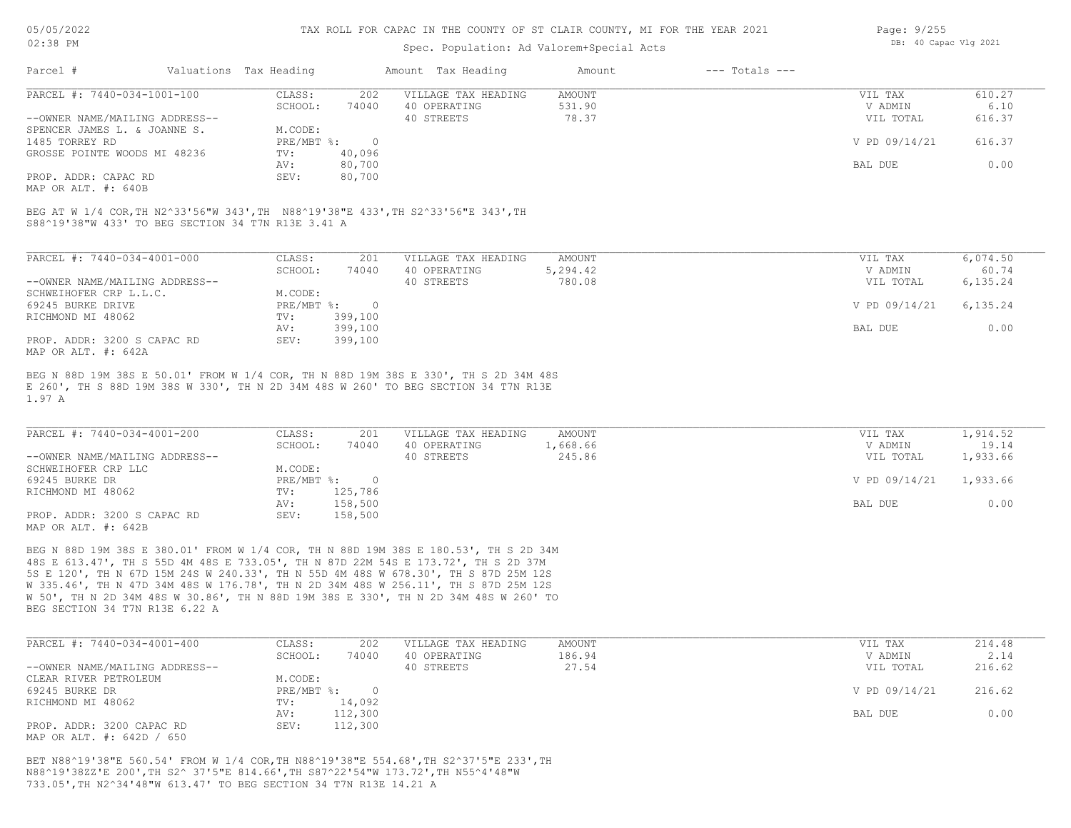#### Spec. Population: Ad Valorem+Special Acts

| Page: 9/255 |                       |  |
|-------------|-----------------------|--|
|             | DB: 40 Capac Vlg 2021 |  |

| Parcel #<br>Valuations Tax Heading      |        | Amount Tax Heading  | Amount | $---$ Totals $---$ |               |        |
|-----------------------------------------|--------|---------------------|--------|--------------------|---------------|--------|
| PARCEL #: 7440-034-1001-100<br>CLASS:   | 202    | VILLAGE TAX HEADING | AMOUNT |                    | VIL TAX       | 610.27 |
| SCHOOL:                                 | 74040  | 40 OPERATING        | 531.90 |                    | V ADMIN       | 6.10   |
| --OWNER NAME/MAILING ADDRESS--          |        | 40 STREETS          | 78.37  |                    | VIL TOTAL     | 616.37 |
| M.CODE:<br>SPENCER JAMES L. & JOANNE S. |        |                     |        |                    |               |        |
| PRE/MBT %:<br>1485 TORREY RD            |        |                     |        |                    | V PD 09/14/21 | 616.37 |
| GROSSE POINTE WOODS MI 48236<br>TV:     | 40,096 |                     |        |                    |               |        |
| AV:                                     | 80,700 |                     |        |                    | BAL DUE       | 0.00   |
| PROP. ADDR: CAPAC RD<br>SEV:            | 80,700 |                     |        |                    |               |        |

MAP OR ALT. #: 640B

S88^19'38"W 433' TO BEG SECTION 34 T7N R13E 3.41 A BEG AT W 1/4 COR,TH N2^33'56"W 343',TH N88^19'38"E 433',TH S2^33'56"E 343',TH

| PARCEL #: 7440-034-4001-000    | CLASS:     | 201     | VILLAGE TAX HEADING | AMOUNT   | VIL TAX       | 6,074.50 |
|--------------------------------|------------|---------|---------------------|----------|---------------|----------|
|                                | SCHOOL:    | 74040   | 40 OPERATING        | 5,294.42 | V ADMIN       | 60.74    |
| --OWNER NAME/MAILING ADDRESS-- |            |         | 40 STREETS          | 780.08   | VIL TOTAL     | 6,135.24 |
| SCHWEIHOFER CRP L.L.C.         | M.CODE:    |         |                     |          |               |          |
| 69245 BURKE DRIVE              | PRE/MBT %: |         |                     |          | V PD 09/14/21 | 6,135.24 |
| RICHMOND MI 48062              | TV:        | 399,100 |                     |          |               |          |
|                                | AV:        | 399,100 |                     |          | BAL DUE       | 0.00     |
| PROP. ADDR: 3200 S CAPAC RD    | SEV:       | 399,100 |                     |          |               |          |
| MAP OR ALT. #: 642A            |            |         |                     |          |               |          |

1.97 A E 260', TH S 88D 19M 38S W 330', TH N 2D 34M 48S W 260' TO BEG SECTION 34 T7N R13E BEG N 88D 19M 38S E 50.01' FROM W 1/4 COR, TH N 88D 19M 38S E 330', TH S 2D 34M 48S

| PARCEL #: 7440-034-4001-200    | CLASS:     | 201     | VILLAGE TAX HEADING | AMOUNT   | VIL TAX       | 1,914.52 |
|--------------------------------|------------|---------|---------------------|----------|---------------|----------|
|                                | SCHOOL:    | 74040   | 40 OPERATING        | 1,668.66 | V ADMIN       | 19.14    |
| --OWNER NAME/MAILING ADDRESS-- |            |         | 40 STREETS          | 245.86   | VIL TOTAL     | 1,933.66 |
| SCHWEIHOFER CRP LLC            | M.CODE:    |         |                     |          |               |          |
| 69245 BURKE DR                 | PRE/MBT %: |         |                     |          | V PD 09/14/21 | 1,933.66 |
| RICHMOND MI 48062              | TV:        | 125,786 |                     |          |               |          |
|                                | AV:        | 158,500 |                     |          | BAL DUE       | 0.00     |
| PROP. ADDR: 3200 S CAPAC RD    | SEV:       | 158,500 |                     |          |               |          |
| MAP OR ALT. #: 642B            |            |         |                     |          |               |          |

BEG SECTION 34 T7N R13E 6.22 A W 50', TH N 2D 34M 48S W 30.86', TH N 88D 19M 38S E 330', TH N 2D 34M 48S W 260' TO W 335.46', TH N 47D 34M 48S W 176.78', TH N 2D 34M 48S W 256.11', TH S 87D 25M 12S 5S E 120', TH N 67D 15M 24S W 240.33', TH N 55D 4M 48S W 678.30', TH S 87D 25M 12S 48S E 613.47', TH S 55D 4M 48S E 733.05', TH N 87D 22M 54S E 173.72', TH S 2D 37M BEG N 88D 19M 38S E 380.01' FROM W 1/4 COR, TH N 88D 19M 38S E 180.53', TH S 2D 34M

| PARCEL #: 7440-034-4001-400    | CLASS:       | 202     | VILLAGE TAX HEADING | AMOUNT | VIL TAX       | 214.48 |
|--------------------------------|--------------|---------|---------------------|--------|---------------|--------|
|                                | SCHOOL:      | 74040   | 40 OPERATING        | 186.94 | V ADMIN       | 2.14   |
| --OWNER NAME/MAILING ADDRESS-- |              |         | 40 STREETS          | 27.54  | VIL TOTAL     | 216.62 |
| CLEAR RIVER PETROLEUM          | M.CODE:      |         |                     |        |               |        |
| 69245 BURKE DR                 | $PRE/MBT$ %: |         |                     |        | V PD 09/14/21 | 216.62 |
| RICHMOND MI 48062              | TV:          | 14,092  |                     |        |               |        |
|                                | AV:          | 112,300 |                     |        | BAL DUE       | 0.00   |
| PROP. ADDR: 3200 CAPAC RD      | SEV:         | 112,300 |                     |        |               |        |
| MAP OR ALT. #: 642D / 650      |              |         |                     |        |               |        |

733.05',TH N2^34'48"W 613.47' TO BEG SECTION 34 T7N R13E 14.21 A N88^19'38ZZ'E 200',TH S2^ 37'5"E 814.66',TH S87^22'54"W 173.72',TH N55^4'48"W BET N88^19'38"E 560.54' FROM W 1/4 COR,TH N88^19'38"E 554.68',TH S2^37'5"E 233',TH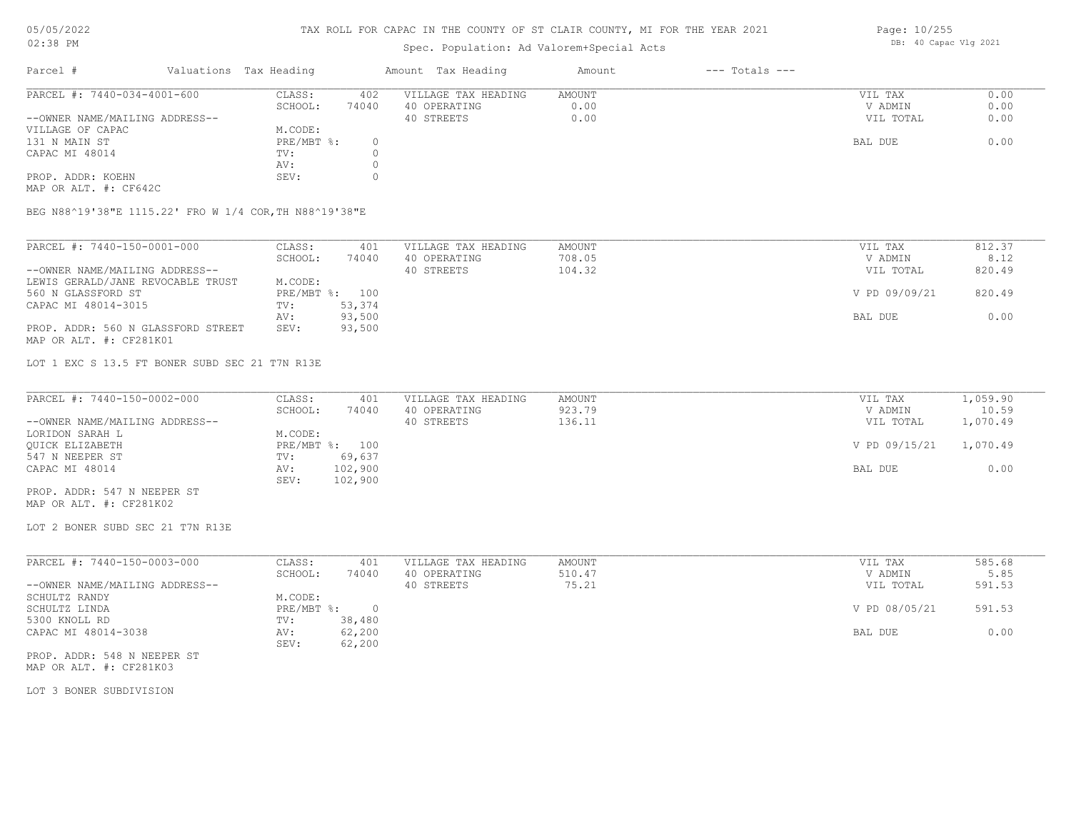#### TAX ROLL FOR CAPAC IN THE COUNTY OF ST CLAIR COUNTY, MI FOR THE YEAR 2021

## Spec. Population: Ad Valorem+Special Acts

| Parcel #                       | Valuations Tax Heading |       | Amount Tax Heading  | Amount | $---$ Totals $---$ |           |      |
|--------------------------------|------------------------|-------|---------------------|--------|--------------------|-----------|------|
| PARCEL #: 7440-034-4001-600    | CLASS:                 | 402   | VILLAGE TAX HEADING | AMOUNT |                    | VIL TAX   | 0.00 |
|                                | SCHOOL:                | 74040 | 40 OPERATING        | 0.00   |                    | V ADMIN   | 0.00 |
| --OWNER NAME/MAILING ADDRESS-- |                        |       | 40 STREETS          | 0.00   |                    | VIL TOTAL | 0.00 |
| VILLAGE OF CAPAC               | M.CODE:                |       |                     |        |                    |           |      |
| 131 N MAIN ST                  | PRE/MBT %:             |       |                     |        |                    | BAL DUE   | 0.00 |
| CAPAC MI 48014                 | TV:                    |       |                     |        |                    |           |      |
|                                | AV:                    |       |                     |        |                    |           |      |
| PROP. ADDR: KOEHN              | SEV:                   |       |                     |        |                    |           |      |

MAP OR ALT. #: CF642C

BEG N88^19'38"E 1115.22' FRO W 1/4 COR,TH N88^19'38"E

| PARCEL #: 7440-150-0001-000        | CLASS:  | 401            | VILLAGE TAX HEADING | AMOUNT | VIL TAX       | 812.37 |
|------------------------------------|---------|----------------|---------------------|--------|---------------|--------|
|                                    | SCHOOL: | 74040          | 40 OPERATING        | 708.05 | V ADMIN       | 8.12   |
| --OWNER NAME/MAILING ADDRESS--     |         |                | 40 STREETS          | 104.32 | VIL TOTAL     | 820.49 |
| LEWIS GERALD/JANE REVOCABLE TRUST  | M.CODE: |                |                     |        |               |        |
| 560 N GLASSFORD ST                 |         | PRE/MBT %: 100 |                     |        | V PD 09/09/21 | 820.49 |
| CAPAC MI 48014-3015                | TV:     | 53,374         |                     |        |               |        |
|                                    | AV:     | 93,500         |                     |        | BAL DUE       | 0.00   |
| PROP. ADDR: 560 N GLASSFORD STREET | SEV:    | 93,500         |                     |        |               |        |
| MAP OR ALT. #: CF281K01            |         |                |                     |        |               |        |

LOT 1 EXC S 13.5 FT BONER SUBD SEC 21 T7N R13E

| PARCEL #: 7440-150-0002-000    | CLASS:  | 401            | VILLAGE TAX HEADING | AMOUNT | VIL TAX       | 1,059.90 |
|--------------------------------|---------|----------------|---------------------|--------|---------------|----------|
|                                | SCHOOL: | 74040          | 40 OPERATING        | 923.79 | V ADMIN       | 10.59    |
| --OWNER NAME/MAILING ADDRESS-- |         |                | 40 STREETS          | 136.11 | VIL TOTAL     | 1,070.49 |
| LORIDON SARAH L                | M.CODE: |                |                     |        |               |          |
| OUICK ELIZABETH                |         | PRE/MBT %: 100 |                     |        | V PD 09/15/21 | 1,070.49 |
| 547 N NEEPER ST                | TV:     | 69,637         |                     |        |               |          |
| CAPAC MI 48014                 | AV:     | 102,900        |                     |        | BAL DUE       | 0.00     |
|                                | SEV:    | 102,900        |                     |        |               |          |
| PROP. ADDR: 547 N NEEPER ST    |         |                |                     |        |               |          |

MAP OR ALT. #: CF281K02

LOT 2 BONER SUBD SEC 21 T7N R13E

| PARCEL #: 7440-150-0003-000    | CLASS:     | 401    | VILLAGE TAX HEADING | AMOUNT | VIL TAX       | 585.68 |
|--------------------------------|------------|--------|---------------------|--------|---------------|--------|
|                                | SCHOOL:    | 74040  | 40 OPERATING        | 510.47 | V ADMIN       | 5.85   |
| --OWNER NAME/MAILING ADDRESS-- |            |        | 40 STREETS          | 75.21  | VIL TOTAL     | 591.53 |
| SCHULTZ RANDY                  | M.CODE:    |        |                     |        |               |        |
| SCHULTZ LINDA                  | PRE/MBT %: |        |                     |        | V PD 08/05/21 | 591.53 |
| 5300 KNOLL RD                  | TV:        | 38,480 |                     |        |               |        |
| CAPAC MI 48014-3038            | AV:        | 62,200 |                     |        | BAL DUE       | 0.00   |
|                                | SEV:       | 62,200 |                     |        |               |        |

MAP OR ALT. #: CF281K03 PROP. ADDR: 548 N NEEPER ST

LOT 3 BONER SUBDIVISION

Page: 10/255 DB: 40 Capac Vlg 2021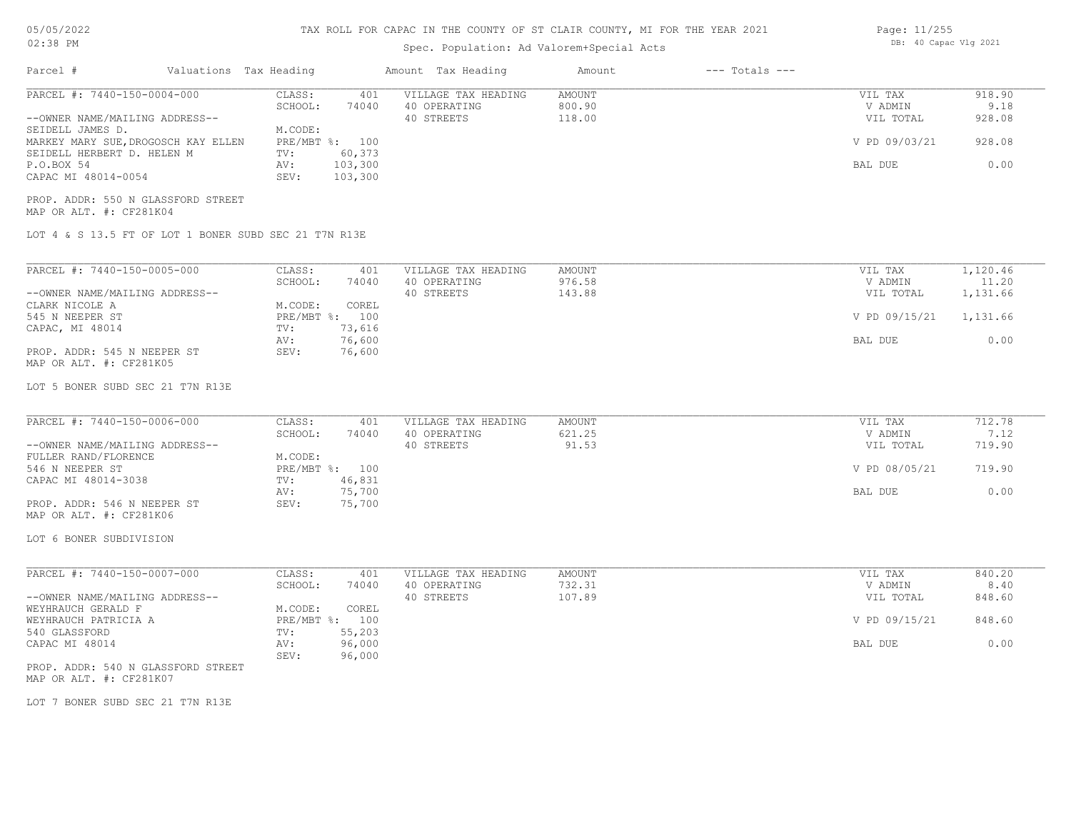## TAX ROLL FOR CAPAC IN THE COUNTY OF ST CLAIR COUNTY, MI FOR THE YEAR 2021

## Spec. Population: Ad Valorem+Special Acts

| Parcel #                                                                                                                                               | Valuations Tax Heading                                                          | Amount Tax Heading                                | Amount                     | $---$ Totals $---$ |                                                  |                                    |
|--------------------------------------------------------------------------------------------------------------------------------------------------------|---------------------------------------------------------------------------------|---------------------------------------------------|----------------------------|--------------------|--------------------------------------------------|------------------------------------|
| PARCEL #: 7440-150-0004-000<br>--OWNER NAME/MAILING ADDRESS--<br>SEIDELL JAMES D.<br>MARKEY MARY SUE, DROGOSCH KAY ELLEN<br>SEIDELL HERBERT D. HELEN M | CLASS:<br>401<br>74040<br>SCHOOL:<br>M.CODE:<br>PRE/MBT %: 100<br>60,373<br>TV: | VILLAGE TAX HEADING<br>40 OPERATING<br>40 STREETS | AMOUNT<br>800.90<br>118.00 |                    | VIL TAX<br>V ADMIN<br>VIL TOTAL<br>V PD 09/03/21 | 918.90<br>9.18<br>928.08<br>928.08 |
| P.O.BOX 54<br>CAPAC MI 48014-0054<br>PROP. ADDR: 550 N GLASSFORD STREET<br>MAP OR ALT. #: CF281K04                                                     | 103,300<br>AV:<br>103,300<br>SEV:                                               |                                                   |                            |                    | BAL DUE                                          | 0.00                               |
|                                                                                                                                                        | LOT 4 & S 13.5 FT OF LOT 1 BONER SUBD SEC 21 T7N R13E                           |                                                   |                            |                    |                                                  |                                    |
| PARCEL #: 7440-150-0005-000                                                                                                                            | CLASS:<br>401                                                                   | VILLAGE TAX HEADING                               | AMOUNT                     |                    | VIL TAX                                          | 1,120.46                           |
| --OWNER NAME/MAILING ADDRESS--                                                                                                                         | SCHOOL:<br>74040                                                                | 40 OPERATING<br>40 STREETS                        | 976.58<br>143.88           |                    | V ADMIN<br>VIL TOTAL                             | 11.20<br>1,131.66                  |
| CLARK NICOLE A<br>545 N NEEPER ST                                                                                                                      | M.CODE:<br>COREL<br>PRE/MBT %: 100<br>73,616                                    |                                                   |                            |                    | V PD 09/15/21                                    | 1,131.66                           |
| CAPAC, MI 48014<br>PROP. ADDR: 545 N NEEPER ST<br>MAP OR ALT. #: CF281K05                                                                              | TV:<br>76,600<br>AV:<br>SEV:<br>76,600                                          |                                                   |                            |                    | BAL DUE                                          | 0.00                               |
| LOT 5 BONER SUBD SEC 21 T7N R13E                                                                                                                       |                                                                                 |                                                   |                            |                    |                                                  |                                    |
| PARCEL #: 7440-150-0006-000                                                                                                                            | CLASS:<br>401                                                                   | VILLAGE TAX HEADING                               | AMOUNT                     |                    | VIL TAX                                          | 712.78                             |
| --OWNER NAME/MAILING ADDRESS--                                                                                                                         | SCHOOL:<br>74040                                                                | 40 OPERATING<br>40 STREETS                        | 621.25<br>91.53            |                    | V ADMIN<br>VIL TOTAL                             | 7.12<br>719.90                     |
| FULLER RAND/FLORENCE<br>546 N NEEPER ST<br>CAPAC MI 48014-3038                                                                                         | M.CODE:<br>PRE/MBT %: 100<br>TV:<br>46,831                                      |                                                   |                            |                    | V PD 08/05/21                                    | 719.90                             |
| PROP. ADDR: 546 N NEEPER ST<br>MAP OR ALT. #: CF281K06                                                                                                 | 75,700<br>AV:<br>SEV:<br>75,700                                                 |                                                   |                            |                    | BAL DUE                                          | 0.00                               |
| LOT 6 BONER SUBDIVISION                                                                                                                                |                                                                                 |                                                   |                            |                    |                                                  |                                    |
| PARCEL #: 7440-150-0007-000                                                                                                                            | CLASS:<br>401                                                                   | VILLAGE TAX HEADING                               | AMOUNT                     |                    | VIL TAX                                          | 840.20                             |
| --OWNER NAME/MAILING ADDRESS--                                                                                                                         | 74040<br>SCHOOL:                                                                | 40 OPERATING<br>40 STREETS                        | 732.31<br>107.89           |                    | V ADMIN<br>VIL TOTAL                             | 8.40<br>848.60                     |
| WEYHRAUCH GERALD F<br>WEYHRAUCH PATRICIA A                                                                                                             | COREL<br>M.CODE:<br>PRE/MBT %: 100                                              |                                                   |                            |                    | V PD 09/15/21                                    | 848.60                             |
| 540 GLASSFORD<br>CAPAC MI 48014                                                                                                                        | 55,203<br>TV:<br>96,000<br>AV:<br>SEV:<br>96,000                                |                                                   |                            |                    | BAL DUE                                          | 0.00                               |
| PROP. ADDR: 540 N GLASSFORD STREET<br>MAP OR ALT. #: CF281K07                                                                                          |                                                                                 |                                                   |                            |                    |                                                  |                                    |
| LOT 7 BONER SUBD SEC 21 T7N R13E                                                                                                                       |                                                                                 |                                                   |                            |                    |                                                  |                                    |
|                                                                                                                                                        |                                                                                 |                                                   |                            |                    |                                                  |                                    |
|                                                                                                                                                        |                                                                                 |                                                   |                            |                    |                                                  |                                    |
|                                                                                                                                                        |                                                                                 |                                                   |                            |                    |                                                  |                                    |

Page: 11/255 DB: 40 Capac Vlg 2021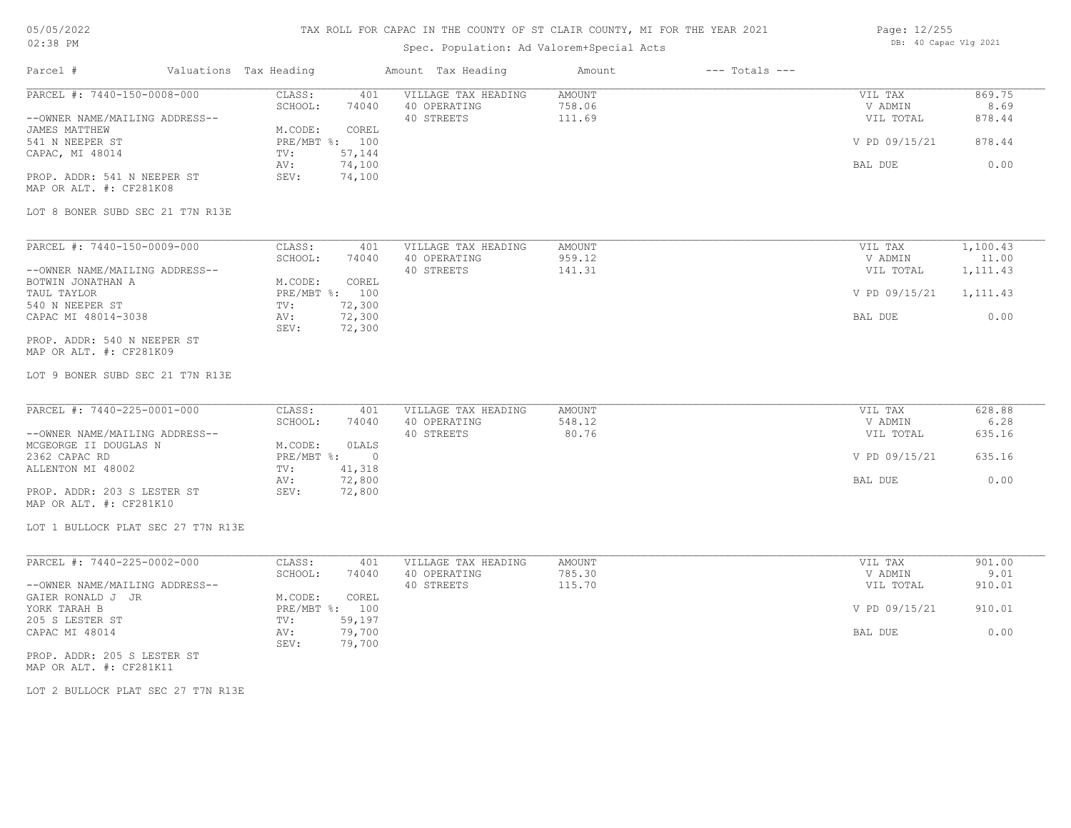### TAX ROLL FOR CAPAC IN THE COUNTY OF ST CLAIR COUNTY, MI FOR THE YEAR 2021

## Spec. Population: Ad Valorem+Special Acts

Parcel # Valuations Tax Heading Amount Tax Heading Amount --- Totals ---

| Page: 12/255 |                       |  |
|--------------|-----------------------|--|
|              | DB: 40 Capac Vlg 2021 |  |

| PARCEL #: 7440-150-0008-000                             | CLASS:<br>401<br>SCHOOL:<br>74040  | VILLAGE TAX HEADING<br>40 OPERATING | <b>AMOUNT</b><br>758.06 | VIL TAX<br>V ADMIN | 869.75<br>8.69 |
|---------------------------------------------------------|------------------------------------|-------------------------------------|-------------------------|--------------------|----------------|
| --OWNER NAME/MAILING ADDRESS--                          |                                    | 40 STREETS                          | 111.69                  | VIL TOTAL          | 878.44         |
| <b>JAMES MATTHEW</b><br>541 N NEEPER ST                 | M.CODE:<br>COREL<br>PRE/MBT %: 100 |                                     |                         | V PD 09/15/21      | 878.44         |
| CAPAC, MI 48014                                         | 57,144<br>TV:                      |                                     |                         |                    |                |
|                                                         | 74,100<br>AV:                      |                                     |                         | BAL DUE            | 0.00           |
| PROP. ADDR: 541 N NEEPER ST<br>MAP OR ALT. #: CF281K08  | SEV:<br>74,100                     |                                     |                         |                    |                |
| LOT 8 BONER SUBD SEC 21 T7N R13E                        |                                    |                                     |                         |                    |                |
| PARCEL #: 7440-150-0009-000                             | CLASS:<br>401                      | VILLAGE TAX HEADING                 | AMOUNT                  | VIL TAX            | 1,100.43       |
|                                                         | SCHOOL:<br>74040                   | 40 OPERATING                        | 959.12                  | V ADMIN            | 11.00          |
| --OWNER NAME/MAILING ADDRESS--<br>BOTWIN JONATHAN A     | M.CODE:<br>COREL                   | 40 STREETS                          | 141.31                  | VIL TOTAL          | 1,111.43       |
| TAUL TAYLOR                                             | PRE/MBT %: 100                     |                                     |                         | V PD 09/15/21      | 1,111.43       |
| 540 N NEEPER ST                                         | 72,300<br>TV:                      |                                     |                         |                    |                |
| CAPAC MI 48014-3038                                     | 72,300<br>AV:<br>SEV:<br>72,300    |                                     |                         | BAL DUE            | 0.00           |
| PROP. ADDR: 540 N NEEPER ST<br>MAP OR ALT. #: CF281K09  |                                    |                                     |                         |                    |                |
| LOT 9 BONER SUBD SEC 21 T7N R13E                        |                                    |                                     |                         |                    |                |
| PARCEL #: 7440-225-0001-000                             | CLASS:<br>401                      | VILLAGE TAX HEADING                 | <b>AMOUNT</b>           | VIL TAX            | 628.88         |
|                                                         | SCHOOL:<br>74040                   | 40 OPERATING                        | 548.12                  | V ADMIN            | 6.28           |
| --OWNER NAME/MAILING ADDRESS--<br>MCGEORGE II DOUGLAS N | M.CODE:<br>OLALS                   | 40 STREETS                          | 80.76                   | VIL TOTAL          | 635.16         |
| 2362 CAPAC RD                                           | $PRE/MBT$ $\div$<br>$\overline{0}$ |                                     |                         | V PD 09/15/21      | 635.16         |
| ALLENTON MI 48002                                       | 41,318<br>TV:                      |                                     |                         |                    |                |
|                                                         | 72,800<br>AV:                      |                                     |                         | BAL DUE            | 0.00           |
| PROP. ADDR: 203 S LESTER ST<br>MAP OR ALT. #: CF281K10  | SEV:<br>72,800                     |                                     |                         |                    |                |
| LOT 1 BULLOCK PLAT SEC 27 T7N R13E                      |                                    |                                     |                         |                    |                |
| PARCEL #: 7440-225-0002-000                             | CLASS:<br>401                      | VILLAGE TAX HEADING                 | AMOUNT                  | VIL TAX            | 901.00         |
|                                                         | SCHOOL:<br>74040                   | 40 OPERATING                        | 785.30                  | V ADMIN            | 9.01           |
| --OWNER NAME/MAILING ADDRESS--                          |                                    | 40 STREETS                          | 115.70                  | VIL TOTAL          | 910.01         |
| GAIER RONALD J JR                                       | M.CODE:<br>COREL                   |                                     |                         |                    |                |
| YORK TARAH B<br>205 S LESTER ST                         | PRE/MBT %: 100<br>TV:<br>59,197    |                                     |                         | V PD 09/15/21      | 910.01         |
| CAPAC MI 48014                                          | 79,700<br>AV:<br>SEV:              |                                     |                         | BAL DUE            | 0.00           |
| PROP. ADDR: 205 S LESTER ST                             | 79,700                             |                                     |                         |                    |                |

MAP OR ALT. #: CF281K11

LOT 2 BULLOCK PLAT SEC 27 T7N R13E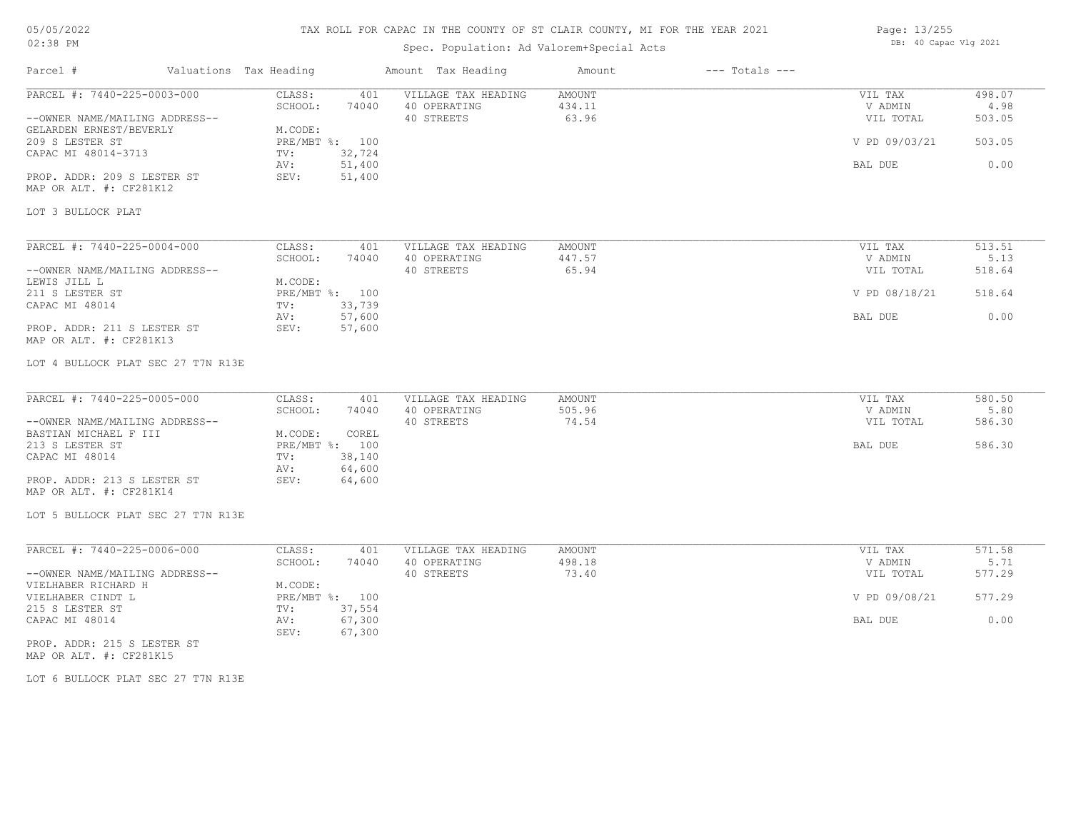### TAX ROLL FOR CAPAC IN THE COUNTY OF ST CLAIR COUNTY, MI FOR THE YEAR 2021

## Spec. Population: Ad Valorem+Special Acts

| Page: 13/255 |                       |  |
|--------------|-----------------------|--|
|              | DB: 40 Capac Vlg 2021 |  |

| Parcel #                                                                                 | Valuations Tax Heading                                               | Amount Tax Heading                                | Amount                           | $---$ Totals $---$ |                                 |                          |
|------------------------------------------------------------------------------------------|----------------------------------------------------------------------|---------------------------------------------------|----------------------------------|--------------------|---------------------------------|--------------------------|
| PARCEL #: 7440-225-0003-000<br>--OWNER NAME/MAILING ADDRESS--<br>GELARDEN ERNEST/BEVERLY | CLASS:<br>401<br>SCHOOL:<br>74040<br>M.CODE:                         | VILLAGE TAX HEADING<br>40 OPERATING<br>40 STREETS | <b>AMOUNT</b><br>434.11<br>63.96 |                    | VIL TAX<br>V ADMIN<br>VIL TOTAL | 498.07<br>4.98<br>503.05 |
| 209 S LESTER ST<br>CAPAC MI 48014-3713                                                   | PRE/MBT %: 100<br>32,724<br>TV:                                      |                                                   |                                  |                    | V PD 09/03/21                   | 503.05                   |
| PROP. ADDR: 209 S LESTER ST<br>MAP OR ALT. #: CF281K12                                   | 51,400<br>AV:<br>51,400<br>SEV:                                      |                                                   |                                  |                    | <b>BAL DUE</b>                  | 0.00                     |
| LOT 3 BULLOCK PLAT                                                                       |                                                                      |                                                   |                                  |                    |                                 |                          |
| PARCEL #: 7440-225-0004-000                                                              | CLASS:<br>401                                                        | VILLAGE TAX HEADING                               | AMOUNT                           |                    | VIL TAX                         | 513.51                   |
| --OWNER NAME/MAILING ADDRESS--<br>LEWIS JILL L                                           | SCHOOL:<br>74040<br>M.CODE:                                          | 40 OPERATING<br>40 STREETS                        | 447.57<br>65.94                  |                    | V ADMIN<br>VIL TOTAL            | 5.13<br>518.64           |
| 211 S LESTER ST<br>CAPAC MI 48014                                                        | PRE/MBT %: 100<br>33,739<br>TV:                                      |                                                   |                                  |                    | V PD 08/18/21                   | 518.64                   |
| PROP. ADDR: 211 S LESTER ST<br>MAP OR ALT. #: CF281K13                                   | 57,600<br>AV:<br>57,600<br>SEV:                                      |                                                   |                                  |                    | BAL DUE                         | 0.00                     |
| LOT 4 BULLOCK PLAT SEC 27 T7N R13E                                                       |                                                                      |                                                   |                                  |                    |                                 |                          |
| PARCEL #: 7440-225-0005-000                                                              | CLASS:<br>401                                                        | VILLAGE TAX HEADING                               | AMOUNT                           |                    | VIL TAX                         | 580.50                   |
| --OWNER NAME/MAILING ADDRESS--                                                           | SCHOOL:<br>74040                                                     | 40 OPERATING<br>40 STREETS                        | 505.96<br>74.54                  |                    | V ADMIN<br>VIL TOTAL            | 5.80<br>586.30           |
| BASTIAN MICHAEL F III<br>213 S LESTER ST<br>CAPAC MI 48014                               | M.CODE:<br>COREL<br>PRE/MBT %: 100<br>38,140<br>TV:<br>64,600<br>AV: |                                                   |                                  |                    | BAL DUE                         | 586.30                   |
| PROP. ADDR: 213 S LESTER ST<br>MAP OR ALT. #: CF281K14                                   | SEV:<br>64,600                                                       |                                                   |                                  |                    |                                 |                          |
| LOT 5 BULLOCK PLAT SEC 27 T7N R13E                                                       |                                                                      |                                                   |                                  |                    |                                 |                          |
| PARCEL #: 7440-225-0006-000                                                              | CLASS:<br>401                                                        | VILLAGE TAX HEADING                               | <b>AMOUNT</b>                    |                    | VIL TAX                         | 571.58                   |
| --OWNER NAME/MAILING ADDRESS--                                                           | SCHOOL:<br>74040                                                     | 40 OPERATING<br>40 STREETS                        | 498.18<br>73.40                  |                    | V ADMIN<br>VIL TOTAL            | 5.71<br>577.29           |
| VIELHABER RICHARD H<br>VIELHABER CINDT L                                                 | M.CODE:<br>PRE/MBT %: 100<br>TV:                                     |                                                   |                                  |                    | V PD 09/08/21                   | 577.29                   |
| 215 S LESTER ST<br>CAPAC MI 48014                                                        | 37,554<br>67,300<br>AV:<br>SEV:<br>67,300                            |                                                   |                                  |                    | BAL DUE                         | 0.00                     |
| PROP. ADDR: 215 S LESTER ST                                                              |                                                                      |                                                   |                                  |                    |                                 |                          |

MAP OR ALT. #: CF281K15

LOT 6 BULLOCK PLAT SEC 27 T7N R13E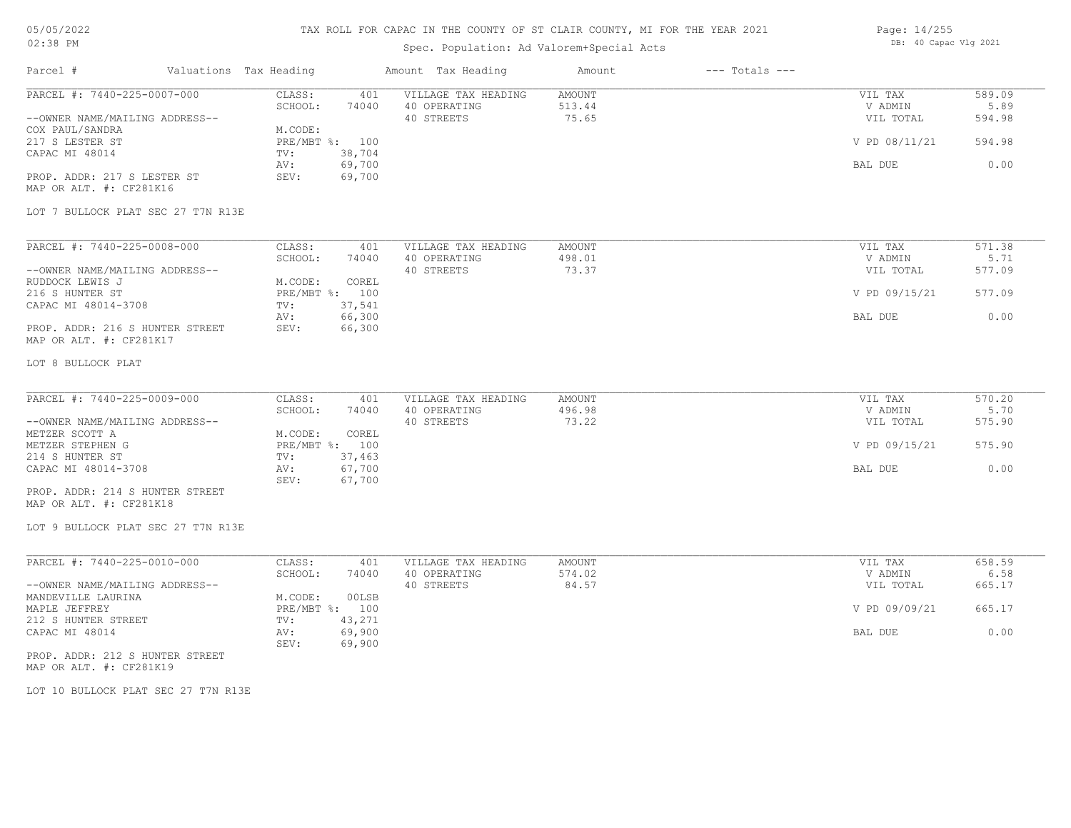### TAX ROLL FOR CAPAC IN THE COUNTY OF ST CLAIR COUNTY, MI FOR THE YEAR 2021

## Spec. Population: Ad Valorem+Special Acts

| Page: 14/255 |                       |  |
|--------------|-----------------------|--|
|              | DB: 40 Capac Vlg 2021 |  |

| Parcel #                                                                                                                                                                                                                                          | Valuations Tax Heading |                                                                                                                             | Amount Tax Heading                                | Amount                           | $---$ Totals $---$ |                                                             |                                            |
|---------------------------------------------------------------------------------------------------------------------------------------------------------------------------------------------------------------------------------------------------|------------------------|-----------------------------------------------------------------------------------------------------------------------------|---------------------------------------------------|----------------------------------|--------------------|-------------------------------------------------------------|--------------------------------------------|
| PARCEL #: 7440-225-0007-000<br>--OWNER NAME/MAILING ADDRESS--<br>COX PAUL/SANDRA<br>217 S LESTER ST<br>CAPAC MI 48014<br>PROP. ADDR: 217 S LESTER ST<br>MAP OR ALT. #: CF281K16                                                                   |                        | CLASS:<br>401<br>SCHOOL:<br>74040<br>M.CODE:<br>PRE/MBT %: 100<br>38,704<br>TV:<br>69,700<br>AV:<br>69,700<br>SEV:          | VILLAGE TAX HEADING<br>40 OPERATING<br>40 STREETS | <b>AMOUNT</b><br>513.44<br>75.65 |                    | VIL TAX<br>V ADMIN<br>VIL TOTAL<br>V PD 08/11/21<br>BAL DUE | 589.09<br>5.89<br>594.98<br>594.98<br>0.00 |
| LOT 7 BULLOCK PLAT SEC 27 T7N R13E                                                                                                                                                                                                                |                        |                                                                                                                             |                                                   |                                  |                    |                                                             |                                            |
| PARCEL #: 7440-225-0008-000<br>--OWNER NAME/MAILING ADDRESS--<br>RUDDOCK LEWIS J<br>216 S HUNTER ST<br>CAPAC MI 48014-3708<br>PROP. ADDR: 216 S HUNTER STREET<br>MAP OR ALT. #: CF281K17                                                          |                        | CLASS:<br>401<br>SCHOOL:<br>74040<br>M.CODE:<br>COREL<br>PRE/MBT %: 100<br>37,541<br>TV:<br>66,300<br>AV:<br>SEV:<br>66,300 | VILLAGE TAX HEADING<br>40 OPERATING<br>40 STREETS | <b>AMOUNT</b><br>498.01<br>73.37 |                    | VIL TAX<br>V ADMIN<br>VIL TOTAL<br>V PD 09/15/21<br>BAL DUE | 571.38<br>5.71<br>577.09<br>577.09<br>0.00 |
| LOT 8 BULLOCK PLAT                                                                                                                                                                                                                                |                        |                                                                                                                             |                                                   |                                  |                    |                                                             |                                            |
| PARCEL #: 7440-225-0009-000<br>--OWNER NAME/MAILING ADDRESS--<br>METZER SCOTT A<br>METZER STEPHEN G<br>214 S HUNTER ST<br>CAPAC MI 48014-3708<br>PROP. ADDR: 214 S HUNTER STREET<br>MAP OR ALT. #: CF281K18<br>LOT 9 BULLOCK PLAT SEC 27 T7N R13E |                        | CLASS:<br>401<br>SCHOOL:<br>74040<br>COREL<br>M.CODE:<br>PRE/MBT %: 100<br>37,463<br>TV:<br>67,700<br>AV:<br>SEV:<br>67,700 | VILLAGE TAX HEADING<br>40 OPERATING<br>40 STREETS | AMOUNT<br>496.98<br>73.22        |                    | VIL TAX<br>V ADMIN<br>VIL TOTAL<br>V PD 09/15/21<br>BAL DUE | 570.20<br>5.70<br>575.90<br>575.90<br>0.00 |
| PARCEL #: 7440-225-0010-000<br>--OWNER NAME/MAILING ADDRESS--<br>MANDEVILLE LAURINA<br>MAPLE JEFFREY<br>212 S HUNTER STREET<br>CAPAC MI 48014<br>PROP. ADDR: 212 S HUNTER STREET<br>MAP OR ALT. #: CF281K19                                       |                        | CLASS:<br>401<br>SCHOOL:<br>74040<br>M.CODE:<br>00LSB<br>PRE/MBT %: 100<br>43,271<br>TV:<br>69,900<br>AV:<br>69,900<br>SEV: | VILLAGE TAX HEADING<br>40 OPERATING<br>40 STREETS | <b>AMOUNT</b><br>574.02<br>84.57 |                    | VIL TAX<br>V ADMIN<br>VIL TOTAL<br>V PD 09/09/21<br>BAL DUE | 658.59<br>6.58<br>665.17<br>665.17<br>0.00 |

LOT 10 BULLOCK PLAT SEC 27 T7N R13E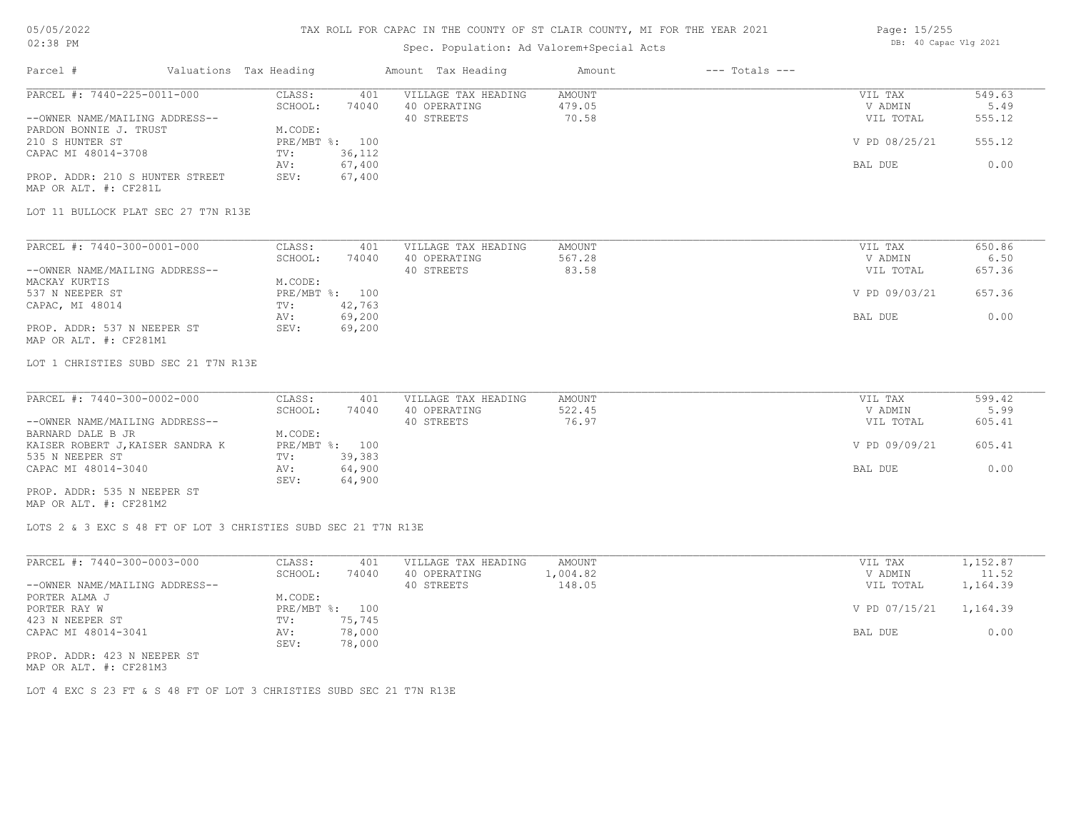#### TAX ROLL FOR CAPAC IN THE COUNTY OF ST CLAIR COUNTY, MI FOR THE YEAR 2021

## Spec. Population: Ad Valorem+Special Acts

| Page: 15/255 |                       |  |
|--------------|-----------------------|--|
|              | DB: 40 Capac Vlg 2021 |  |

| Parcel #                                                                                | Valuations Tax Heading                           | Amount Tax Heading                                | Amount                    | $---$ Totals $---$ |                                 |                          |
|-----------------------------------------------------------------------------------------|--------------------------------------------------|---------------------------------------------------|---------------------------|--------------------|---------------------------------|--------------------------|
| PARCEL #: 7440-225-0011-000<br>--OWNER NAME/MAILING ADDRESS--<br>PARDON BONNIE J. TRUST | CLASS:<br>401<br>SCHOOL:<br>74040<br>M.CODE:     | VILLAGE TAX HEADING<br>40 OPERATING<br>40 STREETS | AMOUNT<br>479.05<br>70.58 |                    | VIL TAX<br>V ADMIN<br>VIL TOTAL | 549.63<br>5.49<br>555.12 |
| 210 S HUNTER ST<br>CAPAC MI 48014-3708                                                  | PRE/MBT %: 100<br>36,112<br>TV:<br>67,400<br>AV: |                                                   |                           |                    | V PD 08/25/21<br>BAL DUE        | 555.12<br>0.00           |
| PROP. ADDR: 210 S HUNTER STREET<br>MAP OR ALT. #: CF281L                                | 67,400<br>SEV:                                   |                                                   |                           |                    |                                 |                          |
| LOT 11 BULLOCK PLAT SEC 27 T7N R13E                                                     |                                                  |                                                   |                           |                    |                                 |                          |
| PARCEL #: 7440-300-0001-000                                                             | CLASS:<br>401                                    | VILLAGE TAX HEADING                               | AMOUNT                    |                    | VIL TAX                         | 650.86                   |
| --OWNER NAME/MAILING ADDRESS--<br>MACKAY KURTIS                                         | SCHOOL:<br>74040<br>M.CODE:                      | 40 OPERATING<br>40 STREETS                        | 567.28<br>83.58           |                    | V ADMIN<br>VIL TOTAL            | 6.50<br>657.36           |
| 537 N NEEPER ST<br>CAPAC, MI 48014                                                      | PRE/MBT %: 100<br>42,763<br>TV:                  |                                                   |                           |                    | V PD 09/03/21                   | 657.36                   |
| PROP. ADDR: 537 N NEEPER ST<br>MAP OR ALT. #: CF281M1                                   | 69,200<br>AV:<br>69,200<br>SEV:                  |                                                   |                           |                    | <b>BAL DUE</b>                  | 0.00                     |
| LOT 1 CHRISTIES SUBD SEC 21 T7N R13E                                                    |                                                  |                                                   |                           |                    |                                 |                          |
| PARCEL #: 7440-300-0002-000                                                             | CLASS:<br>401                                    | VILLAGE TAX HEADING                               | AMOUNT                    |                    | VIL TAX                         | 599.42                   |
| --OWNER NAME/MAILING ADDRESS--<br>BARNARD DALE B JR                                     | SCHOOL:<br>74040<br>M.CODE:                      | 40 OPERATING<br>40 STREETS                        | 522.45<br>76.97           |                    | V ADMIN<br>VIL TOTAL            | 5.99<br>605.41           |
| KAISER ROBERT J, KAISER SANDRA K<br>535 N NEEPER ST                                     | PRE/MBT %: 100<br>39,383<br>TV:                  |                                                   |                           |                    | V PD 09/09/21                   | 605.41                   |
| CAPAC MI 48014-3040                                                                     | 64,900<br>AV:<br>64,900<br>SEV:                  |                                                   |                           |                    | BAL DUE                         | 0.00                     |
| PROP. ADDR: 535 N NEEPER ST<br>MAP OR ALT. #: CF281M2                                   |                                                  |                                                   |                           |                    |                                 |                          |
| LOTS 2 & 3 EXC S 48 FT OF LOT 3 CHRISTIES SUBD SEC 21 T7N R13E                          |                                                  |                                                   |                           |                    |                                 |                          |
| PARCEL #: 7440-300-0003-000                                                             | CLASS:<br>401<br>SCHOOL:<br>74040                | VILLAGE TAX HEADING<br>40 OPERATING               | AMOUNT<br>1,004.82        |                    | VIL TAX<br>V ADMIN              | 1,152.87<br>11.52        |
| --OWNER NAME/MAILING ADDRESS--<br>PORTER ALMA J                                         | M.CODE:                                          | 40 STREETS                                        | 148.05                    |                    | VIL TOTAL                       | 1,164.39                 |
| PORTER RAY W<br>423 N NEEPER ST                                                         | PRE/MBT %: 100<br>TV: 75,745                     |                                                   |                           |                    | V PD 07/15/21                   | 1,164.39                 |

CAPAC MI 48014-3041 **AV:** 78,000 **BAL DUE** 0.00

MAP OR ALT. #: CF281M3 PROP. ADDR: 423 N NEEPER ST

LOT 4 EXC S 23 FT & S 48 FT OF LOT 3 CHRISTIES SUBD SEC 21 T7N R13E

SEV: 78,000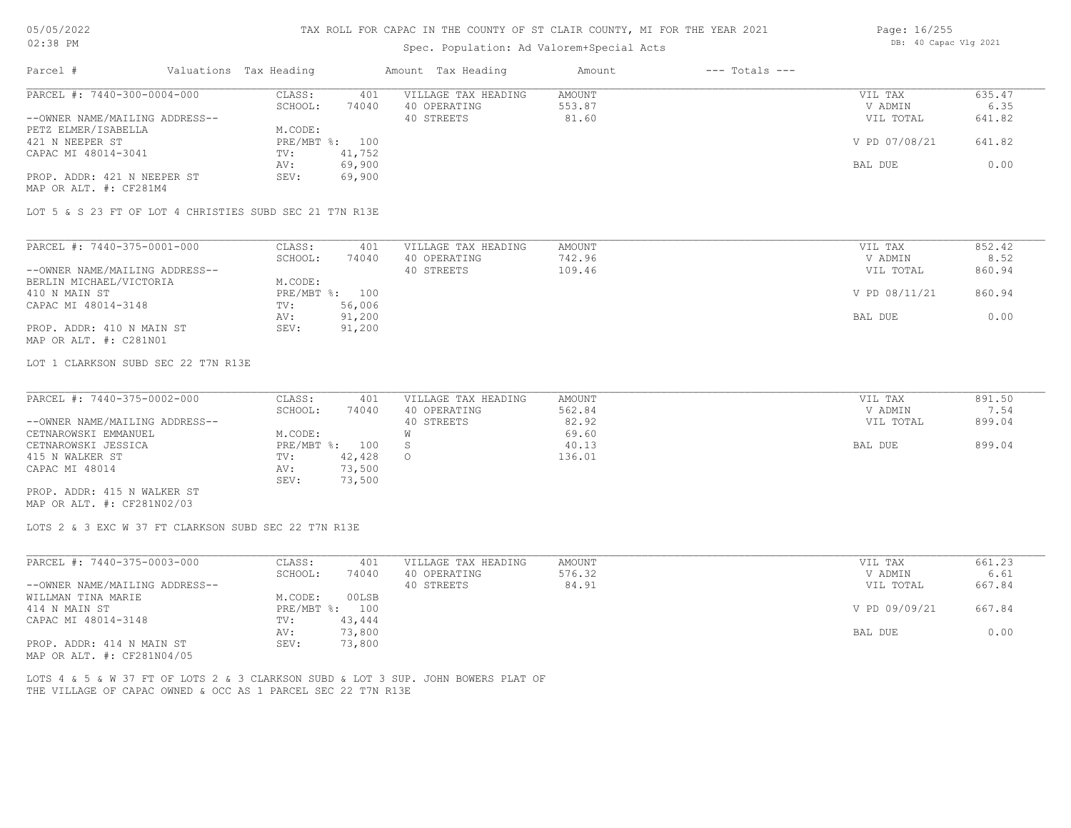### TAX ROLL FOR CAPAC IN THE COUNTY OF ST CLAIR COUNTY, MI FOR THE YEAR 2021

## Spec. Population: Ad Valorem+Special Acts

| Page: 16/255 |                       |  |
|--------------|-----------------------|--|
|              | DB: 40 Capac Vlg 2021 |  |

| PARCEL #: 7440-300-0004-000                                                       | CLASS:<br>401                             | VILLAGE TAX HEADING        | AMOUNT           | VIL TAX              | 635.47         |
|-----------------------------------------------------------------------------------|-------------------------------------------|----------------------------|------------------|----------------------|----------------|
| --OWNER NAME/MAILING ADDRESS--<br>PETZ ELMER/ISABELLA                             | SCHOOL:<br>74040<br>M.CODE:               | 40 OPERATING<br>40 STREETS | 553.87<br>81.60  | V ADMIN<br>VIL TOTAL | 6.35<br>641.82 |
| 421 N NEEPER ST                                                                   | PRE/MBT %: 100                            |                            |                  | V PD 07/08/21        | 641.82         |
| CAPAC MI 48014-3041                                                               | TV:<br>41,752<br>69,900<br>AV:            |                            |                  | BAL DUE              | 0.00           |
| PROP. ADDR: 421 N NEEPER ST<br>MAP OR ALT. #: CF281M4                             | SEV:<br>69,900                            |                            |                  |                      |                |
| LOT 5 & S 23 FT OF LOT 4 CHRISTIES SUBD SEC 21 T7N R13E                           |                                           |                            |                  |                      |                |
| PARCEL #: 7440-375-0001-000                                                       | CLASS:<br>401                             | VILLAGE TAX HEADING        | AMOUNT           | VIL TAX              | 852.42         |
| --OWNER NAME/MAILING ADDRESS--                                                    | SCHOOL:<br>74040                          | 40 OPERATING<br>40 STREETS | 742.96<br>109.46 | V ADMIN<br>VIL TOTAL | 8.52<br>860.94 |
| BERLIN MICHAEL/VICTORIA<br>410 N MAIN ST                                          | M.CODE:<br>PRE/MBT %: 100                 |                            |                  | V PD 08/11/21        | 860.94         |
| CAPAC MI 48014-3148                                                               | 56,006<br>$TV$ :                          |                            |                  |                      |                |
| PROP. ADDR: 410 N MAIN ST<br>MAP OR ALT. #: C281N01                               | 91,200<br>AV:<br>SEV:<br>91,200           |                            |                  | BAL DUE              | 0.00           |
| LOT 1 CLARKSON SUBD SEC 22 T7N R13E                                               |                                           |                            |                  |                      |                |
| PARCEL #: 7440-375-0002-000                                                       | CLASS:<br>401                             | VILLAGE TAX HEADING        | <b>AMOUNT</b>    | VIL TAX              | 891.50         |
|                                                                                   | SCHOOL:<br>74040                          | 40 OPERATING<br>40 STREETS | 562.84<br>82.92  | V ADMIN              | 7.54<br>899.04 |
| --OWNER NAME/MAILING ADDRESS--<br>CETNAROWSKI EMMANUEL                            | M.CODE:                                   | W                          | 69.60            | VIL TOTAL            |                |
| CETNAROWSKI JESSICA<br>415 N WALKER ST                                            | PRE/MBT %: 100<br>42,428<br>$\text{TV}$ : | S<br>$\circ$               | 40.13<br>136.01  | BAL DUE              | 899.04         |
| CAPAC MI 48014                                                                    | 73,500<br>AV:<br>73,500<br>SEV:           |                            |                  |                      |                |
| PROP. ADDR: 415 N WALKER ST<br>MAP OR ALT. #: CF281N02/03                         |                                           |                            |                  |                      |                |
| LOTS 2 & 3 EXC W 37 FT CLARKSON SUBD SEC 22 T7N R13E                              |                                           |                            |                  |                      |                |
| PARCEL #: 7440-375-0003-000                                                       | CLASS:<br>401                             | VILLAGE TAX HEADING        | AMOUNT           | VIL TAX              | 661.23         |
| --OWNER NAME/MAILING ADDRESS--                                                    | SCHOOL:<br>74040                          | 40 OPERATING<br>40 STREETS | 576.32<br>84.91  | V ADMIN<br>VIL TOTAL | 6.61<br>667.84 |
| WILLMAN TINA MARIE<br>414 N MAIN ST                                               | M.CODE:<br>00LSB<br>PRE/MBT %: 100        |                            |                  | V PD 09/09/21        | 667.84         |
| CAPAC MI 48014-3148                                                               | 43,444<br>TV:<br>73,800<br>AV:            |                            |                  | BAL DUE              | 0.00           |
| PROP. ADDR: 414 N MAIN ST<br>MAP OR ALT. #: CF281N04/05                           | SEV:<br>73,800                            |                            |                  |                      |                |
| LOTS 4 & 5 & W 37 FT OF LOTS 2 & 3 CLARKSON SUBD & LOT 3 SUP. JOHN BOWERS PLAT OF |                                           |                            |                  |                      |                |
| THE VILLAGE OF CAPAC OWNED & OCC AS 1 PARCEL SEC 22 T7N R13E                      |                                           |                            |                  |                      |                |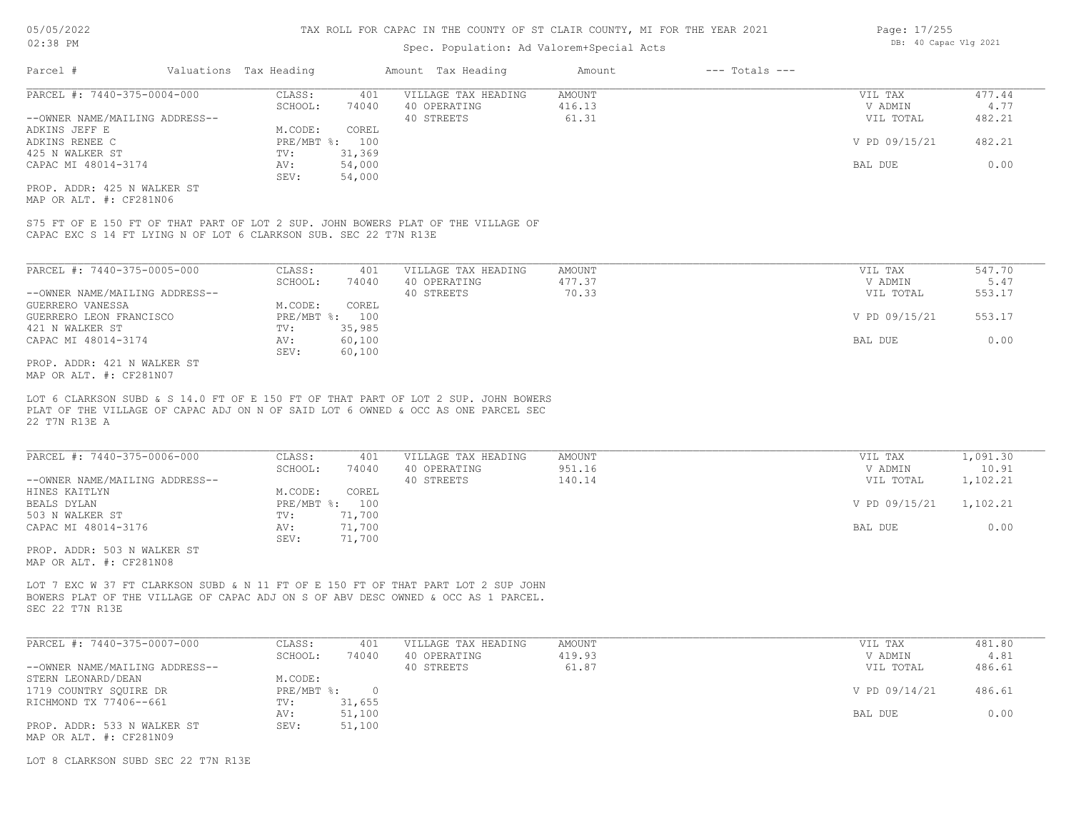### Spec. Population: Ad Valorem+Special Acts

| Parcel #                       | Valuations Tax Heading |                | Amount Tax Heading  | Amount | --- Totals --- |               |        |
|--------------------------------|------------------------|----------------|---------------------|--------|----------------|---------------|--------|
| PARCEL #: 7440-375-0004-000    | CLASS:                 | 401            | VILLAGE TAX HEADING | AMOUNT |                | VIL TAX       | 477.44 |
|                                | SCHOOL:                | 74040          | 40 OPERATING        | 416.13 |                | V ADMIN       | 4.77   |
| --OWNER NAME/MAILING ADDRESS-- |                        |                | 40 STREETS          | 61.31  |                | VIL TOTAL     | 482.21 |
| ADKINS JEFF E                  | M.CODE:                | COREL          |                     |        |                |               |        |
| ADKINS RENEE C                 |                        | PRE/MBT %: 100 |                     |        |                | V PD 09/15/21 | 482.21 |
| 425 N WALKER ST                | TV:                    | 31,369         |                     |        |                |               |        |
| CAPAC MI 48014-3174            | AV:                    | 54,000         |                     |        |                | BAL DUE       | 0.00   |
|                                | SEV:                   | 54,000         |                     |        |                |               |        |
|                                |                        |                |                     |        |                |               |        |

MAP OR ALT. #: CF281N06 PROP. ADDR: 425 N WALKER ST

CAPAC EXC S 14 FT LYING N OF LOT 6 CLARKSON SUB. SEC 22 T7N R13E S75 FT OF E 150 FT OF THAT PART OF LOT 2 SUP. JOHN BOWERS PLAT OF THE VILLAGE OF

| PARCEL #: 7440-375-0005-000    | CLASS:     | 401    | VILLAGE TAX HEADING | AMOUNT | VIL TAX       | 547.70 |
|--------------------------------|------------|--------|---------------------|--------|---------------|--------|
|                                | SCHOOL:    | 74040  | 40 OPERATING        | 477.37 | V ADMIN       | 5.47   |
| --OWNER NAME/MAILING ADDRESS-- |            |        | 40 STREETS          | 70.33  | VIL TOTAL     | 553.17 |
| GUERRERO VANESSA               | M.CODE:    | COREL  |                     |        |               |        |
| GUERRERO LEON FRANCISCO        | PRE/MBT %: | 100    |                     |        | V PD 09/15/21 | 553.17 |
| 421 N WALKER ST                | TV:        | 35,985 |                     |        |               |        |
| CAPAC MI 48014-3174            | AV:        | 60,100 |                     |        | BAL DUE       | 0.00   |
|                                | SEV:       | 60,100 |                     |        |               |        |
| PROP. ADDR: 421 N WALKER ST    |            |        |                     |        |               |        |

MAP OR ALT. #: CF281N07

22 T7N R13E A PLAT OF THE VILLAGE OF CAPAC ADJ ON N OF SAID LOT 6 OWNED & OCC AS ONE PARCEL SEC LOT 6 CLARKSON SUBD & S 14.0 FT OF E 150 FT OF THAT PART OF LOT 2 SUP. JOHN BOWERS

| PARCEL #: 7440-375-0006-000    | CLASS:       | 401    | VILLAGE TAX HEADING | AMOUNT | VIL TAX       | 1,091.30 |
|--------------------------------|--------------|--------|---------------------|--------|---------------|----------|
|                                | SCHOOL:      | 74040  | 40 OPERATING        | 951.16 | V ADMIN       | 10.91    |
| --OWNER NAME/MAILING ADDRESS-- |              |        | 40 STREETS          | 140.14 | VIL TOTAL     | 1,102.21 |
| HINES KAITLYN                  | M.CODE:      | COREL  |                     |        |               |          |
| BEALS DYLAN                    | $PRE/MBT$ %: | 100    |                     |        | V PD 09/15/21 | 1,102.21 |
| 503 N WALKER ST                | TV:          | 71,700 |                     |        |               |          |
| CAPAC MI 48014-3176            | AV:          | 71,700 |                     |        | BAL DUE       | 0.00     |
|                                | SEV:         | 71,700 |                     |        |               |          |
| PROP. ADDR: 503 N WALKER ST    |              |        |                     |        |               |          |

MAP OR ALT. #: CF281N08

SEC 22 T7N R13E BOWERS PLAT OF THE VILLAGE OF CAPAC ADJ ON S OF ABV DESC OWNED & OCC AS 1 PARCEL. LOT 7 EXC W 37 FT CLARKSON SUBD & N 11 FT OF E 150 FT OF THAT PART LOT 2 SUP JOHN

| PARCEL #: 7440-375-0007-000    | CLASS:     | 401    | VILLAGE TAX HEADING | AMOUNT | VIL TAX       | 481.80 |
|--------------------------------|------------|--------|---------------------|--------|---------------|--------|
|                                | SCHOOL:    | 74040  | 40 OPERATING        | 419.93 | V ADMIN       | 4.81   |
| --OWNER NAME/MAILING ADDRESS-- |            |        | 40 STREETS          | 61.87  | VIL TOTAL     | 486.61 |
| STERN LEONARD/DEAN             | M.CODE:    |        |                     |        |               |        |
| 1719 COUNTRY SOUIRE DR         | PRE/MBT %: |        |                     |        | V PD 09/14/21 | 486.61 |
| RICHMOND TX 77406--661         | TV:        | 31,655 |                     |        |               |        |
|                                | AV:        | 51,100 |                     |        | BAL DUE       | 0.00   |
| PROP. ADDR: 533 N WALKER ST    | SEV:       | 51,100 |                     |        |               |        |
| MAP OR ALT. #: CF281N09        |            |        |                     |        |               |        |

LOT 8 CLARKSON SUBD SEC 22 T7N R13E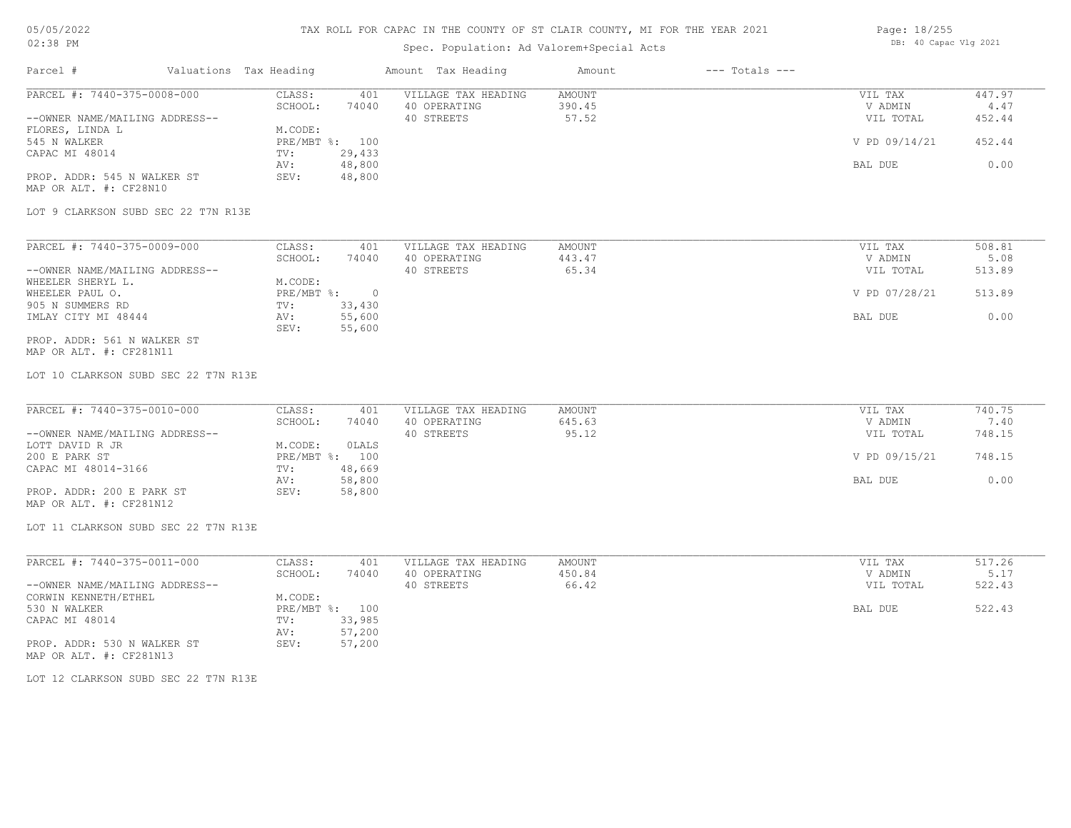## TAX ROLL FOR CAPAC IN THE COUNTY OF ST CLAIR COUNTY, MI FOR THE YEAR 2021

## Spec. Population: Ad Valorem+Special Acts

| Page: 18/255 |                       |  |
|--------------|-----------------------|--|
|              | DB: 40 Capac Vlg 2021 |  |

| PARCEL #: 7440-375-0008-000                            | CLASS:<br>401                   | VILLAGE TAX HEADING | <b>AMOUNT</b> | VIL TAX       | 447.97 |
|--------------------------------------------------------|---------------------------------|---------------------|---------------|---------------|--------|
|                                                        | SCHOOL:<br>74040                | 40 OPERATING        | 390.45        | V ADMIN       | 4.47   |
| --OWNER NAME/MAILING ADDRESS--                         |                                 | 40 STREETS          | 57.52         | VIL TOTAL     | 452.44 |
| FLORES, LINDA L                                        | M.CODE:                         |                     |               |               |        |
| 545 N WALKER                                           | PRE/MBT %: 100                  |                     |               | V PD 09/14/21 | 452.44 |
| CAPAC MI 48014                                         | 29,433<br>TV:<br>48,800<br>AV:  |                     |               | BAL DUE       | 0.00   |
| PROP. ADDR: 545 N WALKER ST                            | SEV:<br>48,800                  |                     |               |               |        |
| MAP OR ALT. #: CF28N10                                 |                                 |                     |               |               |        |
| LOT 9 CLARKSON SUBD SEC 22 T7N R13E                    |                                 |                     |               |               |        |
| PARCEL #: 7440-375-0009-000                            | CLASS:<br>401                   | VILLAGE TAX HEADING | <b>AMOUNT</b> | VIL TAX       | 508.81 |
|                                                        | SCHOOL:<br>74040                | 40 OPERATING        | 443.47        | V ADMIN       | 5.08   |
| --OWNER NAME/MAILING ADDRESS--                         |                                 | 40 STREETS          | 65.34         | VIL TOTAL     | 513.89 |
| WHEELER SHERYL L.                                      | M.CODE:                         |                     |               |               |        |
| WHEELER PAUL O.                                        | $PRE/MBT$ $\div$ 0              |                     |               | V PD 07/28/21 | 513.89 |
| 905 N SUMMERS RD                                       | TV:<br>33,430                   |                     |               |               |        |
| IMLAY CITY MI 48444                                    | 55,600<br>AV:<br>SEV:<br>55,600 |                     |               | BAL DUE       | 0.00   |
| PROP. ADDR: 561 N WALKER ST<br>MAP OR ALT. #: CF281N11 |                                 |                     |               |               |        |
| LOT 10 CLARKSON SUBD SEC 22 T7N R13E                   |                                 |                     |               |               |        |
| PARCEL #: 7440-375-0010-000                            | CLASS:<br>401                   | VILLAGE TAX HEADING | <b>AMOUNT</b> | VIL TAX       | 740.75 |
|                                                        | SCHOOL:<br>74040                | 40 OPERATING        | 645.63        | V ADMIN       | 7.40   |
| --OWNER NAME/MAILING ADDRESS--                         |                                 | 40 STREETS          | 95.12         | VIL TOTAL     | 748.15 |
| LOTT DAVID R JR                                        | M.CODE:<br>OLALS                |                     |               |               |        |
| 200 E PARK ST                                          | PRE/MBT %: 100                  |                     |               | V PD 09/15/21 | 748.15 |
| CAPAC MI 48014-3166                                    | TV:<br>48,669                   |                     |               |               |        |
|                                                        | 58,800<br>AV:                   |                     |               | BAL DUE       | 0.00   |
| PROP. ADDR: 200 E PARK ST<br>MAP OR ALT. #: CF281N12   | SEV:<br>58,800                  |                     |               |               |        |
| LOT 11 CLARKSON SUBD SEC 22 T7N R13E                   |                                 |                     |               |               |        |
| PARCEL #: 7440-375-0011-000                            | CLASS:<br>401                   | VILLAGE TAX HEADING | AMOUNT        | VIL TAX       | 517.26 |
|                                                        | SCHOOL:<br>74040                | 40 OPERATING        | 450.84        | V ADMIN       | 5.17   |
| --OWNER NAME/MAILING ADDRESS--                         |                                 | 40 STREETS          | 66.42         | VIL TOTAL     | 522.43 |
| CORWIN KENNETH/ETHEL                                   | M.CODE:                         |                     |               |               |        |
| 530 N WALKER                                           | PRE/MBT %: 100                  |                     |               | BAL DUE       | 522.43 |
| CAPAC MI 48014                                         | 33,985<br>TV:                   |                     |               |               |        |
|                                                        |                                 |                     |               |               |        |
|                                                        | 57,200<br>AV:                   |                     |               |               |        |
| PROP. ADDR: 530 N WALKER ST<br>MAP OR ALT. #: CF281N13 | SEV:<br>57,200                  |                     |               |               |        |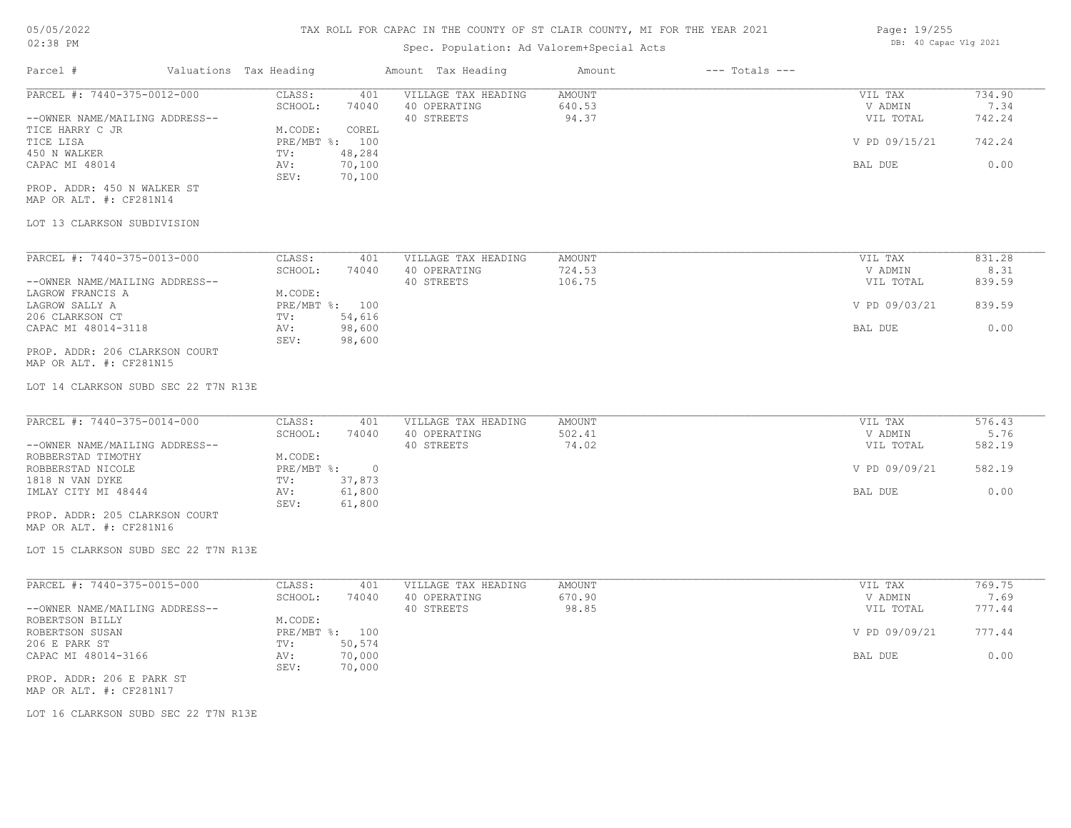### Spec. Population: Ad Valorem+Special Acts

| Parcel #                       | Valuations Tax Heading |        | Amount Tax Heading  | Amount | $---$ Totals $---$ |               |        |
|--------------------------------|------------------------|--------|---------------------|--------|--------------------|---------------|--------|
| PARCEL #: 7440-375-0012-000    | CLASS:                 | 401    | VILLAGE TAX HEADING | AMOUNT |                    | VIL TAX       | 734.90 |
|                                | SCHOOL:                | 74040  | 40 OPERATING        | 640.53 |                    | V ADMIN       | 7.34   |
| --OWNER NAME/MAILING ADDRESS-- |                        |        | 40 STREETS          | 94.37  |                    | VIL TOTAL     | 742.24 |
| TICE HARRY C JR                | M.CODE:                | COREL  |                     |        |                    |               |        |
| TICE LISA                      | $PRE/MBT$ %:           | 100    |                     |        |                    | V PD 09/15/21 | 742.24 |
| 450 N WALKER                   | TV:                    | 48,284 |                     |        |                    |               |        |
| CAPAC MI 48014                 | AV:                    | 70,100 |                     |        |                    | BAL DUE       | 0.00   |
|                                | SEV:                   | 70,100 |                     |        |                    |               |        |
| PROP. ADDR: 450 N WALKER ST    |                        |        |                     |        |                    |               |        |

MAP OR ALT. #: CF281N14

#### LOT 13 CLARKSON SUBDIVISION

| PARCEL #: 7440-375-0013-000    | CLASS:       | 401    | VILLAGE TAX HEADING | AMOUNT | VIL TAX       | 831.28 |
|--------------------------------|--------------|--------|---------------------|--------|---------------|--------|
|                                | SCHOOL:      | 74040  | 40 OPERATING        | 724.53 | V ADMIN       | 8.31   |
| --OWNER NAME/MAILING ADDRESS-- |              |        | 40 STREETS          | 106.75 | VIL TOTAL     | 839.59 |
| LAGROW FRANCIS A               | M.CODE:      |        |                     |        |               |        |
| LAGROW SALLY A                 | $PRE/MBT$ %: | 100    |                     |        | V PD 09/03/21 | 839.59 |
| 206 CLARKSON CT                | TV:          | 54,616 |                     |        |               |        |
| CAPAC MI 48014-3118            | AV:          | 98,600 |                     |        | BAL DUE       | 0.00   |
|                                | SEV:         | 98,600 |                     |        |               |        |
| PROP. ADDR: 206 CLARKSON COURT |              |        |                     |        |               |        |

MAP OR ALT. #: CF281N15

LOT 14 CLARKSON SUBD SEC 22 T7N R13E

| PARCEL #: 7440-375-0014-000    | CLASS:     | 401    | VILLAGE TAX HEADING | AMOUNT | VIL TAX       | 576.43 |
|--------------------------------|------------|--------|---------------------|--------|---------------|--------|
|                                | SCHOOL:    | 74040  | 40 OPERATING        | 502.41 | V ADMIN       | 5.76   |
| --OWNER NAME/MAILING ADDRESS-- |            |        | 40 STREETS          | 74.02  | VIL TOTAL     | 582.19 |
| ROBBERSTAD TIMOTHY             | M.CODE:    |        |                     |        |               |        |
| ROBBERSTAD NICOLE              | PRE/MBT %: |        |                     |        | V PD 09/09/21 | 582.19 |
| 1818 N VAN DYKE                | TV:        | 37,873 |                     |        |               |        |
| IMLAY CITY MI 48444            | AV:        | 61,800 |                     |        | BAL DUE       | 0.00   |
|                                | SEV:       | 61,800 |                     |        |               |        |
| PROP. ADDR: 205 CLARKSON COURT |            |        |                     |        |               |        |

MAP OR ALT. #: CF281N16

LOT 15 CLARKSON SUBD SEC 22 T7N R13E

| PARCEL #: 7440-375-0015-000    | CLASS:       | 401    | VILLAGE TAX HEADING | AMOUNT | VIL TAX       | 769.75 |
|--------------------------------|--------------|--------|---------------------|--------|---------------|--------|
|                                | SCHOOL:      | 74040  | 40 OPERATING        | 670.90 | V ADMIN       | 7.69   |
| --OWNER NAME/MAILING ADDRESS-- |              |        | 40 STREETS          | 98.85  | VIL TOTAL     | 777.44 |
| ROBERTSON BILLY                | M.CODE:      |        |                     |        |               |        |
| ROBERTSON SUSAN                | $PRE/MBT$ %: | 100    |                     |        | V PD 09/09/21 | 777.44 |
| 206 E PARK ST                  | TV:          | 50,574 |                     |        |               |        |
| CAPAC MI 48014-3166            | AV:          | 70,000 |                     |        | BAL DUE       | 0.00   |
|                                | SEV:         | 70,000 |                     |        |               |        |
| PROP. ADDR: 206 E PARK ST      |              |        |                     |        |               |        |

 $\_$  , and the state of the state of the state of the state of the state of the state of the state of the state of the state of the state of the state of the state of the state of the state of the state of the state of the

MAP OR ALT. #: CF281N17

LOT 16 CLARKSON SUBD SEC 22 T7N R13E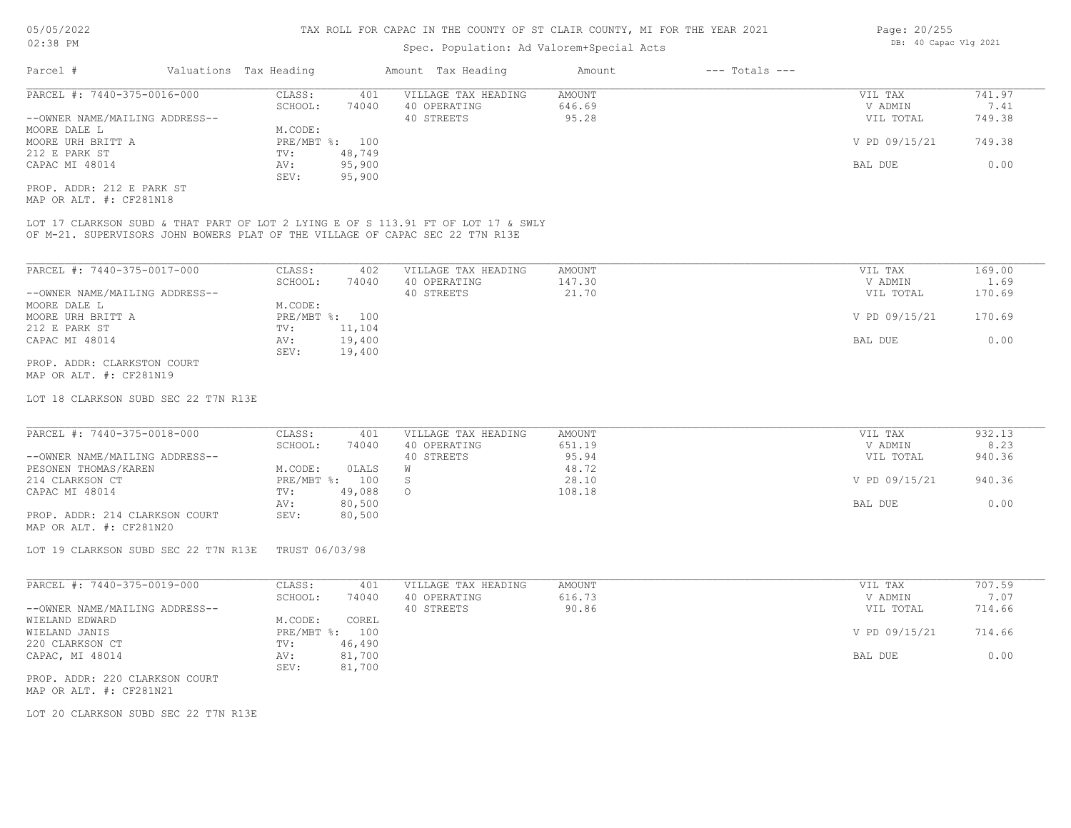### Spec. Population: Ad Valorem+Special Acts

| Parcel #                       | Valuations Tax Heading |        | Amount Tax Heading  | Amount | $---$ Totals $---$ |               |        |
|--------------------------------|------------------------|--------|---------------------|--------|--------------------|---------------|--------|
| PARCEL #: 7440-375-0016-000    | CLASS:                 | 401    | VILLAGE TAX HEADING | AMOUNT |                    | VIL TAX       | 741.97 |
|                                | SCHOOL:                | 74040  | 40 OPERATING        | 646.69 |                    | V ADMIN       | 7.41   |
| --OWNER NAME/MAILING ADDRESS-- |                        |        | 40 STREETS          | 95.28  |                    | VIL TOTAL     | 749.38 |
| MOORE DALE L                   | M.CODE:                |        |                     |        |                    |               |        |
| MOORE URH BRITT A              | PRE/MBT %: 100         |        |                     |        |                    | V PD 09/15/21 | 749.38 |
| 212 E PARK ST                  | TV:                    | 48,749 |                     |        |                    |               |        |
| CAPAC MI 48014                 | AV:                    | 95,900 |                     |        |                    | BAL DUE       | 0.00   |
|                                | SEV:                   | 95,900 |                     |        |                    |               |        |
| PROP. ADDR: 212 E PARK ST      |                        |        |                     |        |                    |               |        |

MAP OR ALT. #: CF281N18

OF M-21. SUPERVISORS JOHN BOWERS PLAT OF THE VILLAGE OF CAPAC SEC 22 T7N R13E LOT 17 CLARKSON SUBD & THAT PART OF LOT 2 LYING E OF S 113.91 FT OF LOT 17 & SWLY

| PARCEL #: 7440-375-0017-000    | CLASS:     | 402    | VILLAGE TAX HEADING | AMOUNT | VIL TAX       | 169.00 |
|--------------------------------|------------|--------|---------------------|--------|---------------|--------|
|                                | SCHOOL:    | 74040  | 40 OPERATING        | 147.30 | V ADMIN       | 1.69   |
| --OWNER NAME/MAILING ADDRESS-- |            |        | 40 STREETS          | 21.70  | VIL TOTAL     | 170.69 |
| MOORE DALE L                   | M.CODE:    |        |                     |        |               |        |
| MOORE URH BRITT A              | PRE/MBT %: | 100    |                     |        | V PD 09/15/21 | 170.69 |
| 212 E PARK ST                  | TV:        | 11,104 |                     |        |               |        |
| CAPAC MI 48014                 | AV:        | 19,400 |                     |        | BAL DUE       | 0.00   |
|                                | SEV:       | 19,400 |                     |        |               |        |
| PROP. ADDR: CLARKSTON COURT    |            |        |                     |        |               |        |

MAP OR ALT. #: CF281N19

LOT 18 CLARKSON SUBD SEC 22 T7N R13E

| PARCEL #: 7440-375-0018-000    | CLASS:     | 401    | VILLAGE TAX HEADING | AMOUNT | VIL TAX       | 932.13 |
|--------------------------------|------------|--------|---------------------|--------|---------------|--------|
|                                | SCHOOL:    | 74040  | 40 OPERATING        | 651.19 | V ADMIN       | 8.23   |
| --OWNER NAME/MAILING ADDRESS-- |            |        | 40 STREETS          | 95.94  | VIL TOTAL     | 940.36 |
| PESONEN THOMAS/KAREN           | M.CODE:    | OLALS  |                     | 48.72  |               |        |
| 214 CLARKSON CT                | PRE/MBT %: | 100    |                     | 28.10  | V PD 09/15/21 | 940.36 |
| CAPAC MI 48014                 | TV:        | 49,088 | $\circ$             | 108.18 |               |        |
|                                | AV:        | 80,500 |                     |        | BAL DUE       | 0.00   |
| PROP. ADDR: 214 CLARKSON COURT | SEV:       | 80,500 |                     |        |               |        |
| MAP OR ALT. #: CF281N20        |            |        |                     |        |               |        |

LOT 19 CLARKSON SUBD SEC 22 T7N R13E TRUST 06/03/98

| PARCEL #: 7440-375-0019-000    | CLASS:       | 401    | VILLAGE TAX HEADING | AMOUNT | VIL TAX       | 707.59 |
|--------------------------------|--------------|--------|---------------------|--------|---------------|--------|
|                                | SCHOOL:      | 74040  | 40 OPERATING        | 616.73 | V ADMIN       | 7.07   |
| --OWNER NAME/MAILING ADDRESS-- |              |        | 40 STREETS          | 90.86  | VIL TOTAL     | 714.66 |
| WIELAND EDWARD                 | M.CODE:      | COREL  |                     |        |               |        |
| WIELAND JANIS                  | $PRE/MBT$ %: | 100    |                     |        | V PD 09/15/21 | 714.66 |
| 220 CLARKSON CT                | TV:          | 46,490 |                     |        |               |        |
| CAPAC, MI 48014                | AV:          | 81,700 |                     |        | BAL DUE       | 0.00   |
|                                | SEV:         | 81,700 |                     |        |               |        |
| prop. then 000 grapuosis goupm |              |        |                     |        |               |        |

MAP OR ALT. #: CF281N21 PROP. ADDR: 220 CLARKSON COURT

LOT 20 CLARKSON SUBD SEC 22 T7N R13E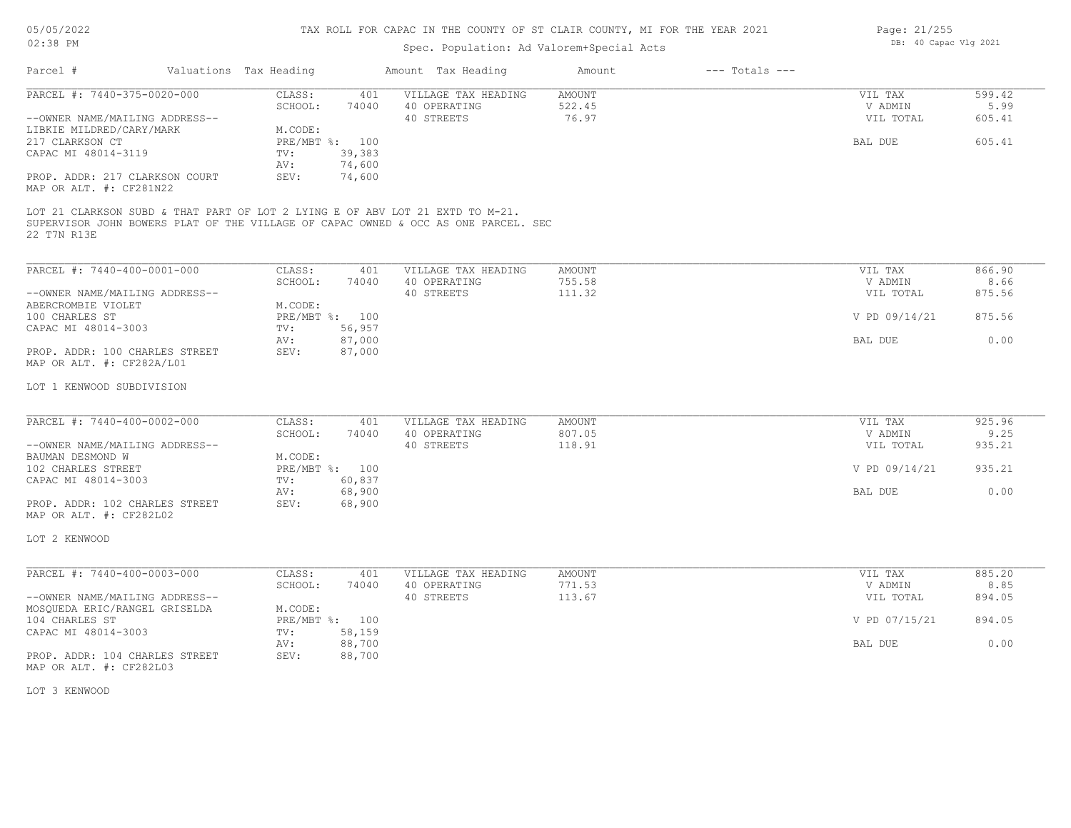## TAX ROLL FOR CAPAC IN THE COUNTY OF ST CLAIR COUNTY, MI FOR THE YEAR 2021

## Spec. Population: Ad Valorem+Special Acts

| Parcel #                                                                                     | Valuations Tax Heading                  |                  | Amount Tax Heading                                                                 | Amount                    | $---$ Totals $---$ |                                 |                          |
|----------------------------------------------------------------------------------------------|-----------------------------------------|------------------|------------------------------------------------------------------------------------|---------------------------|--------------------|---------------------------------|--------------------------|
| PARCEL #: 7440-375-0020-000<br>--OWNER NAME/MAILING ADDRESS--                                | CLASS:<br>SCHOOL:                       | 401<br>74040     | VILLAGE TAX HEADING<br>40 OPERATING<br>40 STREETS                                  | AMOUNT<br>522.45<br>76.97 |                    | VIL TAX<br>V ADMIN<br>VIL TOTAL | 599.42<br>5.99<br>605.41 |
| LIBKIE MILDRED/CARY/MARK<br>217 CLARKSON CT<br>CAPAC MI 48014-3119                           | M.CODE:<br>PRE/MBT %: 100<br>TV:<br>AV: | 39,383<br>74,600 |                                                                                    |                           |                    | BAL DUE                         | 605.41                   |
| PROP. ADDR: 217 CLARKSON COURT<br>MAP OR ALT. #: CF281N22                                    | SEV:                                    | 74,600           |                                                                                    |                           |                    |                                 |                          |
| LOT 21 CLARKSON SUBD & THAT PART OF LOT 2 LYING E OF ABV LOT 21 EXTD TO M-21.<br>22 T7N R13E |                                         |                  | SUPERVISOR JOHN BOWERS PLAT OF THE VILLAGE OF CAPAC OWNED & OCC AS ONE PARCEL. SEC |                           |                    |                                 |                          |
| PARCEL #: 7440-400-0001-000                                                                  | CLASS:                                  | 401              | VILLAGE TAX HEADING                                                                | AMOUNT                    |                    | VIL TAX                         | 866.90                   |
| --OWNER NAME/MAILING ADDRESS--<br>ABERCROMBIE VIOLET                                         | SCHOOL:<br>M.CODE:                      | 74040            | 40 OPERATING<br>40 STREETS                                                         | 755.58<br>111.32          |                    | V ADMIN<br>VIL TOTAL            | 8.66<br>875.56           |
| 100 CHARLES ST<br>CAPAC MI 48014-3003                                                        | PRE/MBT %: 100<br>$\texttt{TV}$ :       | 56,957           |                                                                                    |                           |                    | V PD 09/14/21                   | 875.56                   |
| PROP. ADDR: 100 CHARLES STREET                                                               | AV:<br>SEV:                             | 87,000<br>87,000 |                                                                                    |                           |                    | BAL DUE                         | 0.00                     |
| MAP OR ALT. #: CF282A/L01<br>LOT 1 KENWOOD SUBDIVISION                                       |                                         |                  |                                                                                    |                           |                    |                                 |                          |
|                                                                                              |                                         |                  |                                                                                    |                           |                    |                                 |                          |
| PARCEL #: 7440-400-0002-000                                                                  | CLASS:<br>SCHOOL:                       | 401<br>74040     | VILLAGE TAX HEADING<br>40 OPERATING                                                | AMOUNT<br>807.05          |                    | VIL TAX<br>V ADMIN              | 925.96<br>9.25           |
| --OWNER NAME/MAILING ADDRESS--<br>BAUMAN DESMOND W                                           | M.CODE:                                 |                  | 40 STREETS                                                                         | 118.91                    |                    | VIL TOTAL                       | 935.21                   |
| 102 CHARLES STREET<br>CAPAC MI 48014-3003                                                    | PRE/MBT %: 100<br>TV:                   | 60,837           |                                                                                    |                           |                    | V PD 09/14/21                   | 935.21                   |
| PROP. ADDR: 102 CHARLES STREET<br>MAP OR ALT. #: CF282L02                                    | AV:<br>SEV:                             | 68,900<br>68,900 |                                                                                    |                           |                    | BAL DUE                         | 0.00                     |
| LOT 2 KENWOOD                                                                                |                                         |                  |                                                                                    |                           |                    |                                 |                          |
| PARCEL #: 7440-400-0003-000                                                                  | CLASS:<br>SCHOOL:                       | 401<br>74040     | VILLAGE TAX HEADING<br>40 OPERATING                                                | <b>AMOUNT</b><br>771.53   |                    | VIL TAX                         | 885.20<br>8.85           |
| --OWNER NAME/MAILING ADDRESS--<br>MOSQUEDA ERIC/RANGEL GRISELDA                              | M.CODE:                                 |                  | 40 STREETS                                                                         | 113.67                    |                    | V ADMIN<br>VIL TOTAL            | 894.05                   |
| 104 CHARLES ST<br>CAPAC MI 48014-3003                                                        | PRE/MBT %: 100<br>TV:                   | 58,159           |                                                                                    |                           |                    | V PD 07/15/21                   | 894.05                   |
| PROP. ADDR: 104 CHARLES STREET<br>MAP OR ALT. #: CF282L03                                    | AV:<br>SEV:                             | 88,700<br>88,700 |                                                                                    |                           |                    | BAL DUE                         | 0.00                     |
| LOT 3 KENWOOD                                                                                |                                         |                  |                                                                                    |                           |                    |                                 |                          |
|                                                                                              |                                         |                  |                                                                                    |                           |                    |                                 |                          |

Page: 21/255 DB: 40 Capac Vlg 2021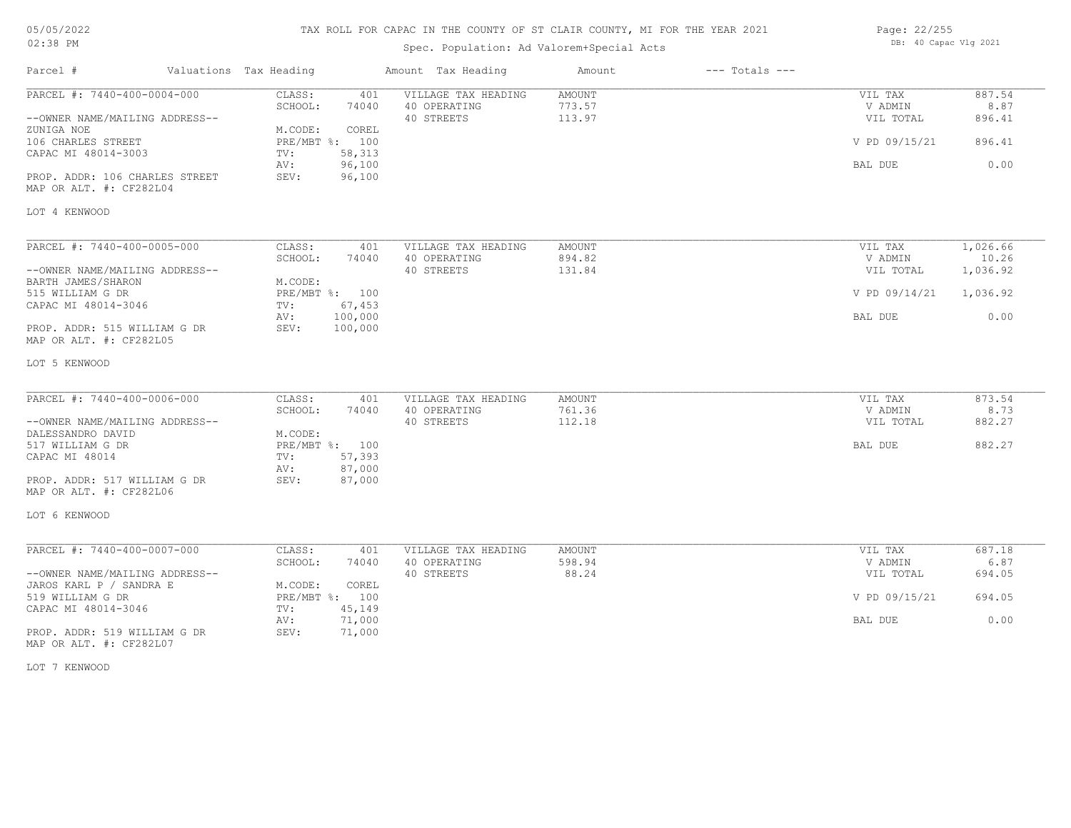### TAX ROLL FOR CAPAC IN THE COUNTY OF ST CLAIR COUNTY, MI FOR THE YEAR 2021

## Spec. Population: Ad Valorem+Special Acts

| Page: 22/255 |                       |  |
|--------------|-----------------------|--|
|              | DB: 40 Capac Vlg 2021 |  |

| Parcel #                                                  | Valuations Tax Heading             | Amount Tax Heading                         | Amount           | $---$ Totals $---$ |                    |                |
|-----------------------------------------------------------|------------------------------------|--------------------------------------------|------------------|--------------------|--------------------|----------------|
| PARCEL #: 7440-400-0004-000                               | CLASS:<br>SCHOOL:<br>74040         | VILLAGE TAX HEADING<br>401<br>40 OPERATING | AMOUNT<br>773.57 |                    | VIL TAX<br>V ADMIN | 887.54<br>8.87 |
| --OWNER NAME/MAILING ADDRESS--<br>ZUNIGA NOE              | M.CODE:<br>COREL                   | 40 STREETS                                 | 113.97           |                    | VIL TOTAL          | 896.41         |
| 106 CHARLES STREET<br>CAPAC MI 48014-3003                 | PRE/MBT %: 100<br>58,313<br>TV:    |                                            |                  |                    | V PD 09/15/21      | 896.41         |
| PROP. ADDR: 106 CHARLES STREET<br>MAP OR ALT. #: CF282L04 | AV:<br>96,100<br>96,100<br>SEV:    |                                            |                  |                    | BAL DUE            | 0.00           |
| LOT 4 KENWOOD                                             |                                    |                                            |                  |                    |                    |                |
| PARCEL #: 7440-400-0005-000                               | CLASS:                             | 401<br>VILLAGE TAX HEADING                 | AMOUNT           |                    | VIL TAX            | 1,026.66       |
|                                                           | SCHOOL:<br>74040                   | 40 OPERATING                               | 894.82           |                    | V ADMIN            | 10.26          |
| --OWNER NAME/MAILING ADDRESS--<br>BARTH JAMES/SHARON      | M.CODE:                            | 40 STREETS                                 | 131.84           |                    | VIL TOTAL          | 1,036.92       |
| 515 WILLIAM G DR                                          | PRE/MBT %: 100                     |                                            |                  |                    | V PD 09/14/21      | 1,036.92       |
| CAPAC MI 48014-3046                                       | 67,453<br>TV:<br>100,000<br>AV:    |                                            |                  |                    | BAL DUE            | 0.00           |
| PROP. ADDR: 515 WILLIAM G DR<br>MAP OR ALT. #: CF282L05   | SEV:<br>100,000                    |                                            |                  |                    |                    |                |
| LOT 5 KENWOOD                                             |                                    |                                            |                  |                    |                    |                |
| PARCEL #: 7440-400-0006-000                               | CLASS:                             | VILLAGE TAX HEADING<br>401                 | AMOUNT           |                    | VIL TAX            | 873.54         |
|                                                           | SCHOOL:<br>74040                   | 40 OPERATING                               | 761.36           |                    | V ADMIN            | 8.73           |
| --OWNER NAME/MAILING ADDRESS--                            |                                    | 40 STREETS                                 | 112.18           |                    | VIL TOTAL          | 882.27         |
| DALESSANDRO DAVID<br>517 WILLIAM G DR                     | M.CODE:<br>PRE/MBT %: 100          |                                            |                  |                    | BAL DUE            | 882.27         |
| CAPAC MI 48014                                            | 57,393<br>TV:                      |                                            |                  |                    |                    |                |
|                                                           | 87,000<br>AV:                      |                                            |                  |                    |                    |                |
| PROP. ADDR: 517 WILLIAM G DR<br>MAP OR ALT. #: CF282L06   | SEV:<br>87,000                     |                                            |                  |                    |                    |                |
| LOT 6 KENWOOD                                             |                                    |                                            |                  |                    |                    |                |
| PARCEL #: 7440-400-0007-000                               | CLASS:                             | 401<br>VILLAGE TAX HEADING                 | <b>AMOUNT</b>    |                    | VIL TAX            | 687.18         |
|                                                           | SCHOOL:<br>74040                   | 40 OPERATING                               | 598.94           |                    | V ADMIN            | 6.87           |
| --OWNER NAME/MAILING ADDRESS--                            |                                    | 40 STREETS                                 | 88.24            |                    | VIL TOTAL          | 694.05         |
| JAROS KARL P / SANDRA E<br>519 WILLIAM G DR               | M.CODE:<br>COREL<br>PRE/MBT %: 100 |                                            |                  |                    | V PD 09/15/21      | 694.05         |
| CAPAC MI 48014-3046                                       | 45,149<br>TV:                      |                                            |                  |                    |                    |                |
|                                                           | 71,000<br>AV:                      |                                            |                  |                    | BAL DUE            | 0.00           |
| PROP. ADDR: 519 WILLIAM G DR<br>MAP OR ALT. #: CF282L07   | SEV:<br>71,000                     |                                            |                  |                    |                    |                |

LOT 7 KENWOOD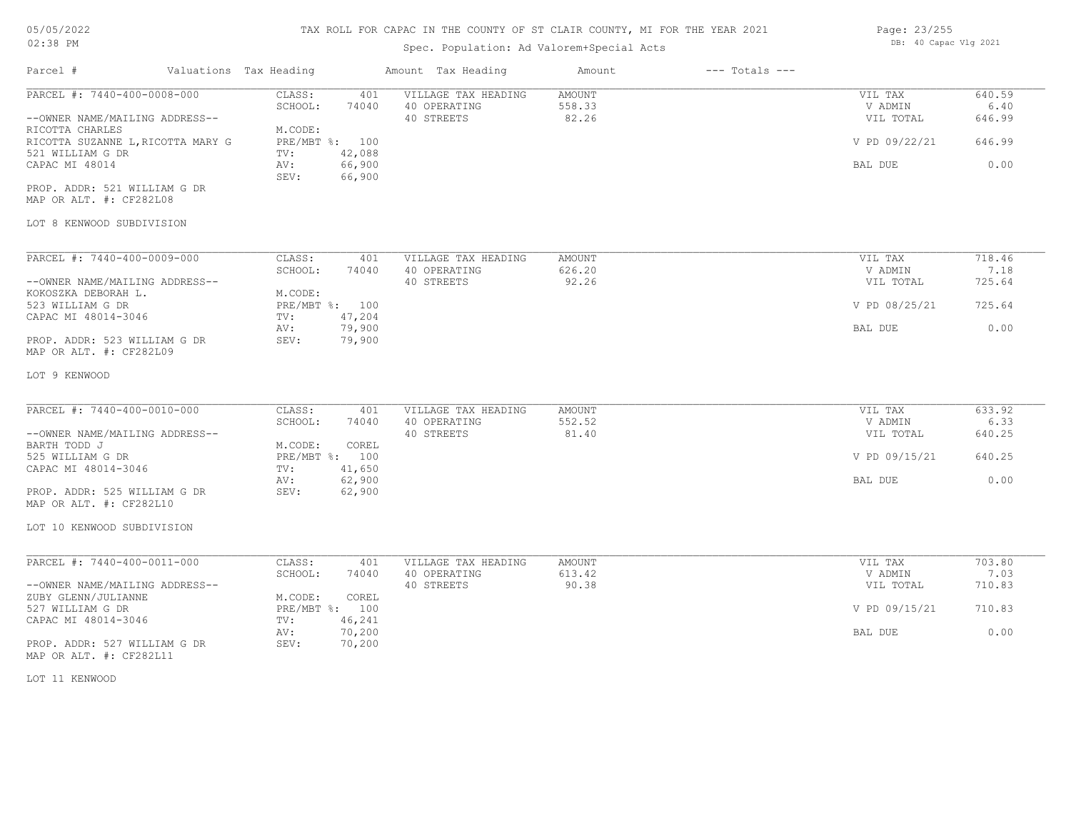#### TAX ROLL FOR CAPAC IN THE COUNTY OF ST CLAIR COUNTY, MI FOR THE YEAR 2021

# Spec. Population: Ad Valorem+Special Acts

| Parcel #                                                                                                                                                                                                                                            | Valuations Tax Heading |                                                                      |                                                     | Amount Tax Heading                                | Amount                           | $---$ Totals $---$ |                                                             |                                            |
|-----------------------------------------------------------------------------------------------------------------------------------------------------------------------------------------------------------------------------------------------------|------------------------|----------------------------------------------------------------------|-----------------------------------------------------|---------------------------------------------------|----------------------------------|--------------------|-------------------------------------------------------------|--------------------------------------------|
| PARCEL #: 7440-400-0008-000<br>--OWNER NAME/MAILING ADDRESS--<br>RICOTTA CHARLES<br>RICOTTA SUZANNE L, RICOTTA MARY G<br>521 WILLIAM G DR<br>CAPAC MI 48014<br>PROP. ADDR: 521 WILLIAM G DR<br>MAP OR ALT. #: CF282L08<br>LOT 8 KENWOOD SUBDIVISION |                        | CLASS:<br>SCHOOL:<br>M.CODE:<br>PRE/MBT %: 100<br>TV:<br>AV:<br>SEV: | 401<br>74040<br>42,088<br>66,900<br>66,900          | VILLAGE TAX HEADING<br>40 OPERATING<br>40 STREETS | AMOUNT<br>558.33<br>82.26        |                    | VIL TAX<br>V ADMIN<br>VIL TOTAL<br>V PD 09/22/21<br>BAL DUE | 640.59<br>6.40<br>646.99<br>646.99<br>0.00 |
|                                                                                                                                                                                                                                                     |                        |                                                                      |                                                     |                                                   |                                  |                    |                                                             |                                            |
| PARCEL #: 7440-400-0009-000<br>--OWNER NAME/MAILING ADDRESS--<br>KOKOSZKA DEBORAH L.<br>523 WILLIAM G DR                                                                                                                                            |                        | CLASS:<br>SCHOOL:<br>M.CODE:<br>PRE/MBT %: 100                       | 401<br>74040                                        | VILLAGE TAX HEADING<br>40 OPERATING<br>40 STREETS | <b>AMOUNT</b><br>626.20<br>92.26 |                    | VIL TAX<br>V ADMIN<br>VIL TOTAL<br>V PD 08/25/21            | 718.46<br>7.18<br>725.64<br>725.64         |
| CAPAC MI 48014-3046<br>PROP. ADDR: 523 WILLIAM G DR<br>MAP OR ALT. #: CF282L09                                                                                                                                                                      |                        | TV:<br>AV:<br>SEV:                                                   | 47,204<br>79,900<br>79,900                          |                                                   |                                  |                    | BAL DUE                                                     | 0.00                                       |
| LOT 9 KENWOOD                                                                                                                                                                                                                                       |                        |                                                                      |                                                     |                                                   |                                  |                    |                                                             |                                            |
| PARCEL #: 7440-400-0010-000<br>--OWNER NAME/MAILING ADDRESS--<br>BARTH TODD J<br>525 WILLIAM G DR<br>CAPAC MI 48014-3046<br>PROP. ADDR: 525 WILLIAM G DR<br>MAP OR ALT. #: CF282L10<br>LOT 10 KENWOOD SUBDIVISION                                   |                        | CLASS:<br>SCHOOL:<br>M.CODE:<br>PRE/MBT %: 100<br>TV:<br>AV:<br>SEV: | 401<br>74040<br>COREL<br>41,650<br>62,900<br>62,900 | VILLAGE TAX HEADING<br>40 OPERATING<br>40 STREETS | AMOUNT<br>552.52<br>81.40        |                    | VIL TAX<br>V ADMIN<br>VIL TOTAL<br>V PD 09/15/21<br>BAL DUE | 633.92<br>6.33<br>640.25<br>640.25<br>0.00 |
| PARCEL #: 7440-400-0011-000<br>--OWNER NAME/MAILING ADDRESS--<br>ZUBY GLENN/JULIANNE<br>527 WILLIAM G DR<br>CAPAC MI 48014-3046<br>PROP. ADDR: 527 WILLIAM G DR<br>MAP OR ALT. #: CF282L11<br>LOT 11 KENWOOD                                        |                        | CLASS:<br>SCHOOL:<br>M.CODE:<br>PRE/MBT %: 100<br>TV:<br>AV:<br>SEV: | 401<br>74040<br>COREL<br>46,241<br>70,200<br>70,200 | VILLAGE TAX HEADING<br>40 OPERATING<br>40 STREETS | AMOUNT<br>613.42<br>90.38        |                    | VIL TAX<br>V ADMIN<br>VIL TOTAL<br>V PD 09/15/21<br>BAL DUE | 703.80<br>7.03<br>710.83<br>710.83<br>0.00 |

Page: 23/255 DB: 40 Capac Vlg 2021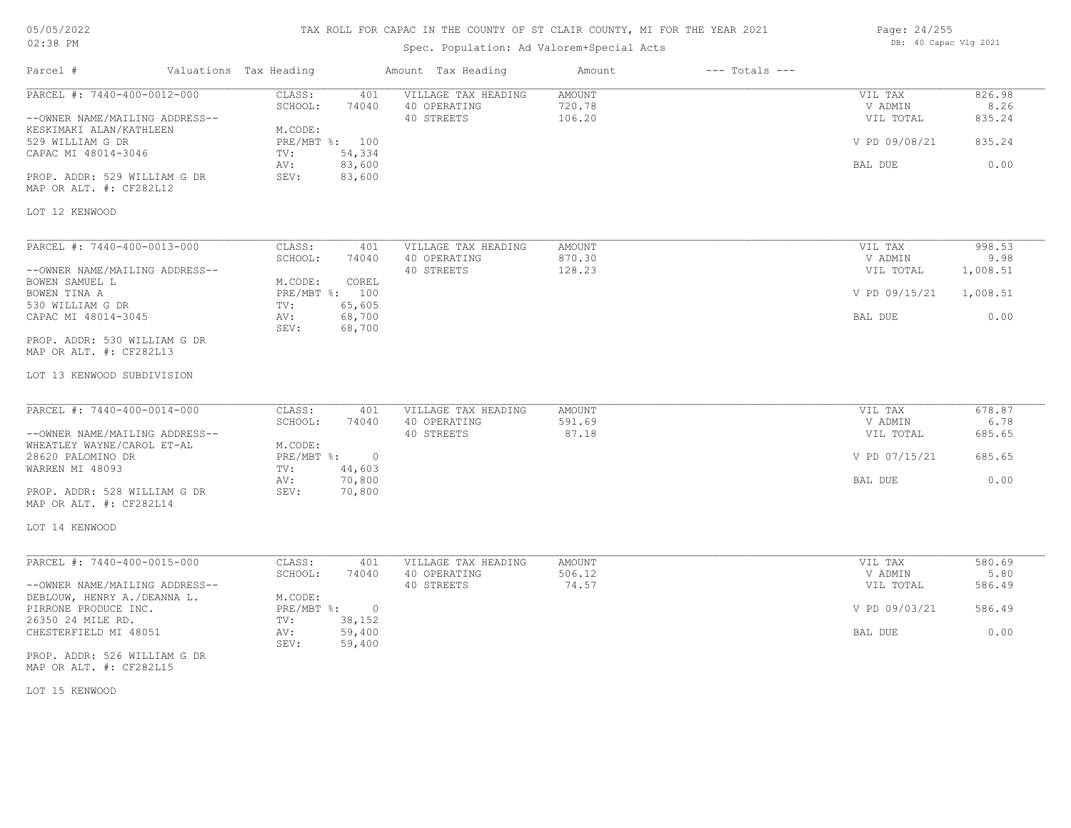## TAX ROLL FOR CAPAC IN THE COUNTY OF ST CLAIR COUNTY, MI FOR THE YEAR 2021

## Spec. Population: Ad Valorem+Special Acts

Parcel # Valuations Tax Heading Amount Tax Heading Amount --- Totals ---

| Page: 24/255 |                       |  |
|--------------|-----------------------|--|
|              | DB: 40 Capac Vlg 2021 |  |

| PARCEL #: 7440-400-0012-000                               | CLASS:<br>401<br>SCHOOL:<br>74040 | VILLAGE TAX HEADING<br>40 OPERATING | AMOUNT<br>720.78 | VIL TAX<br>V ADMIN | 826.98<br>8.26 |
|-----------------------------------------------------------|-----------------------------------|-------------------------------------|------------------|--------------------|----------------|
| --OWNER NAME/MAILING ADDRESS--<br>KESKIMAKI ALAN/KATHLEEN | M.CODE:                           | 40 STREETS                          | 106.20           | VIL TOTAL          | 835.24         |
| 529 WILLIAM G DR                                          | PRE/MBT %: 100                    |                                     |                  | V PD 09/08/21      | 835.24         |
| CAPAC MI 48014-3046                                       | 54,334<br>TV:                     |                                     |                  |                    |                |
|                                                           | 83,600<br>AV:                     |                                     |                  | BAL DUE            | 0.00           |
| PROP. ADDR: 529 WILLIAM G DR<br>MAP OR ALT. #: CF282L12   | SEV:<br>83,600                    |                                     |                  |                    |                |
|                                                           |                                   |                                     |                  |                    |                |
| LOT 12 KENWOOD                                            |                                   |                                     |                  |                    |                |
| PARCEL #: 7440-400-0013-000                               | CLASS:<br>401                     | VILLAGE TAX HEADING                 | AMOUNT           | VIL TAX            | 998.53         |
|                                                           | SCHOOL:<br>74040                  | 40 OPERATING                        | 870.30           | V ADMIN            | 9.98           |
| --OWNER NAME/MAILING ADDRESS--                            |                                   | 40 STREETS                          | 128.23           | VIL TOTAL          | 1,008.51       |
| BOWEN SAMUEL L                                            | M.CODE:<br>COREL                  |                                     |                  |                    |                |
| BOWEN TINA A                                              | PRE/MBT %: 100                    |                                     |                  | V PD 09/15/21      | 1,008.51       |
| 530 WILLIAM G DR                                          | 65,605<br>TV:                     |                                     |                  |                    |                |
| CAPAC MI 48014-3045                                       | 68,700<br>AV:<br>SEV:<br>68,700   |                                     |                  | BAL DUE            | 0.00           |
| PROP. ADDR: 530 WILLIAM G DR                              |                                   |                                     |                  |                    |                |
| MAP OR ALT. #: CF282L13                                   |                                   |                                     |                  |                    |                |
| LOT 13 KENWOOD SUBDIVISION                                |                                   |                                     |                  |                    |                |
| PARCEL #: 7440-400-0014-000                               | CLASS:<br>401                     | VILLAGE TAX HEADING                 | <b>AMOUNT</b>    | VIL TAX            | 678.87         |
|                                                           | SCHOOL:<br>74040                  | 40 OPERATING                        | 591.69           | V ADMIN            | 6.78           |
| --OWNER NAME/MAILING ADDRESS--                            |                                   | 40 STREETS                          | 87.18            | VIL TOTAL          | 685.65         |
| WHEATLEY WAYNE/CAROL ET-AL                                | M.CODE:                           |                                     |                  |                    |                |
| 28620 PALOMINO DR                                         | PRE/MBT %: 0                      |                                     |                  | V PD 07/15/21      | 685.65         |
| WARREN MI 48093                                           | 44,603<br>TV:                     |                                     |                  |                    |                |
|                                                           | 70,800<br>AV:                     |                                     |                  | BAL DUE            | 0.00           |
| PROP. ADDR: 528 WILLIAM G DR                              | SEV:<br>70,800                    |                                     |                  |                    |                |
| MAP OR ALT. #: CF282L14                                   |                                   |                                     |                  |                    |                |
| LOT 14 KENWOOD                                            |                                   |                                     |                  |                    |                |
| PARCEL #: 7440-400-0015-000                               | CLASS:<br>401                     | VILLAGE TAX HEADING                 | AMOUNT           | VIL TAX            | 580.69         |
|                                                           | 74040<br>SCHOOL:                  | 40 OPERATING                        | 506.12           | V ADMIN            | 5.80           |
| --OWNER NAME/MAILING ADDRESS--                            |                                   | 40 STREETS                          | 74.57            | VIL TOTAL          | 586.49         |
| DEBLOUW, HENRY A./DEANNA L.                               | M.CODE:                           |                                     |                  |                    |                |
| PIRRONE PRODUCE INC.                                      | PRE/MBT %: 0                      |                                     |                  | V PD 09/03/21      | 586.49         |
| 26350 24 MILE RD.                                         | 38,152<br>TV:                     |                                     |                  |                    |                |
| CHESTERFIELD MI 48051                                     | 59,400<br>AV:                     |                                     |                  | BAL DUE            | 0.00           |
|                                                           | 59,400<br>SEV:                    |                                     |                  |                    |                |
| PROP. ADDR: 526 WILLIAM G DR<br>MAP OR ALT. #: CF282L15   |                                   |                                     |                  |                    |                |

LOT 15 KENWOOD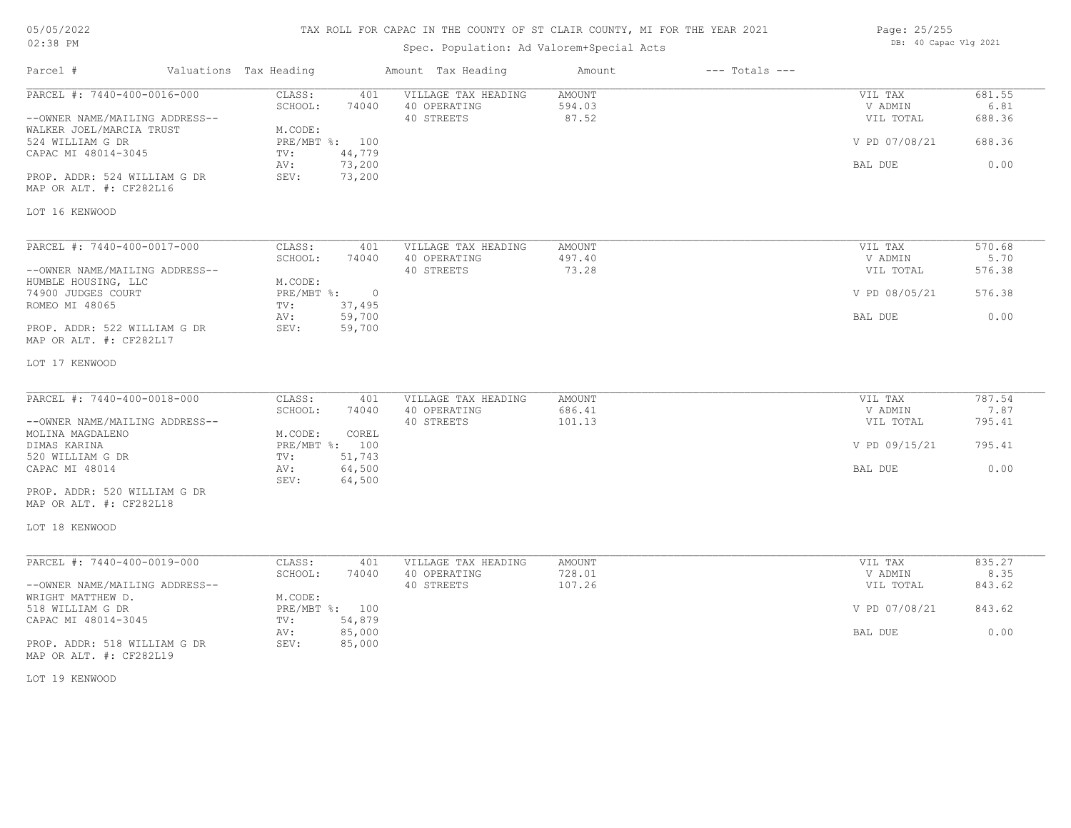## TAX ROLL FOR CAPAC IN THE COUNTY OF ST CLAIR COUNTY, MI FOR THE YEAR 2021

## Spec. Population: Ad Valorem+Special Acts

Parcel # Valuations Tax Heading Amount Tax Heading Amount --- Totals ---

| Page: 25/255 |                       |  |
|--------------|-----------------------|--|
|              | DB: 40 Capac Vlg 2021 |  |

| PARCEL #: 7440-400-0016-000                                | CLASS:<br>401<br>SCHOOL:<br>74040  | VILLAGE TAX HEADING<br>40 OPERATING | <b>AMOUNT</b><br>594.03 | VIL TAX<br>V ADMIN | 681.55<br>6.81 |
|------------------------------------------------------------|------------------------------------|-------------------------------------|-------------------------|--------------------|----------------|
| --OWNER NAME/MAILING ADDRESS--<br>WALKER JOEL/MARCIA TRUST | M.CODE:                            | 40 STREETS                          | 87.52                   | VIL TOTAL          | 688.36         |
| 524 WILLIAM G DR                                           | PRE/MBT %: 100                     |                                     |                         | V PD 07/08/21      | 688.36         |
| CAPAC MI 48014-3045                                        | 44,779<br>TV:                      |                                     |                         |                    |                |
|                                                            | 73,200<br>AV:                      |                                     |                         | BAL DUE            | 0.00           |
| PROP. ADDR: 524 WILLIAM G DR<br>MAP OR ALT. #: CF282L16    | SEV:<br>73,200                     |                                     |                         |                    |                |
| LOT 16 KENWOOD                                             |                                    |                                     |                         |                    |                |
| PARCEL #: 7440-400-0017-000                                | CLASS:<br>401                      | VILLAGE TAX HEADING                 | AMOUNT                  | VIL TAX            | 570.68         |
|                                                            | SCHOOL:<br>74040                   | 40 OPERATING                        | 497.40                  | V ADMIN            | 5.70           |
| --OWNER NAME/MAILING ADDRESS--                             |                                    | 40 STREETS                          | 73.28                   | VIL TOTAL          | 576.38         |
| HUMBLE HOUSING, LLC                                        | M.CODE:                            |                                     |                         |                    |                |
| 74900 JUDGES COURT<br>ROMEO MI 48065                       | PRE/MBT %: 0                       |                                     |                         | V PD 08/05/21      | 576.38         |
|                                                            | 37,495<br>TV:<br>59,700<br>AV:     |                                     |                         | BAL DUE            | 0.00           |
| PROP. ADDR: 522 WILLIAM G DR<br>MAP OR ALT. #: CF282L17    | SEV:<br>59,700                     |                                     |                         |                    |                |
| LOT 17 KENWOOD                                             |                                    |                                     |                         |                    |                |
| PARCEL #: 7440-400-0018-000                                | CLASS:<br>401                      | VILLAGE TAX HEADING                 | <b>AMOUNT</b>           | VIL TAX            | 787.54         |
|                                                            | SCHOOL:<br>74040                   | 40 OPERATING                        | 686.41                  | V ADMIN            | 7.87           |
| --OWNER NAME/MAILING ADDRESS--                             |                                    | 40 STREETS                          | 101.13                  | VIL TOTAL          | 795.41         |
| MOLINA MAGDALENO                                           | M.CODE:<br>COREL<br>PRE/MBT %: 100 |                                     |                         | V PD 09/15/21      | 795.41         |
| DIMAS KARINA<br>520 WILLIAM G DR                           | 51,743<br>TV:                      |                                     |                         |                    |                |
| CAPAC MI 48014                                             | 64,500<br>AV:                      |                                     |                         | BAL DUE            | 0.00           |
|                                                            | 64,500<br>SEV:                     |                                     |                         |                    |                |
| PROP. ADDR: 520 WILLIAM G DR<br>MAP OR ALT. #: CF282L18    |                                    |                                     |                         |                    |                |
| LOT 18 KENWOOD                                             |                                    |                                     |                         |                    |                |
| PARCEL #: 7440-400-0019-000                                | CLASS:<br>401                      | VILLAGE TAX HEADING                 | AMOUNT                  | VIL TAX            | 835.27         |
|                                                            | SCHOOL:<br>74040                   | 40 OPERATING                        | 728.01                  | V ADMIN            | 8.35           |
| --OWNER NAME/MAILING ADDRESS--                             |                                    | 40 STREETS                          | 107.26                  | VIL TOTAL          | 843.62         |
| WRIGHT MATTHEW D.<br>518 WILLIAM G DR                      | M.CODE:<br>PRE/MBT %: 100          |                                     |                         | V PD 07/08/21      | 843.62         |
| CAPAC MI 48014-3045                                        | 54,879<br>TV:                      |                                     |                         |                    |                |
|                                                            | 85,000<br>AV:                      |                                     |                         | BAL DUE            | 0.00           |
| PROP. ADDR: 518 WILLIAM G DR<br>MAP OR ALT. #: CF282L19    | SEV:<br>85,000                     |                                     |                         |                    |                |

LOT 19 KENWOOD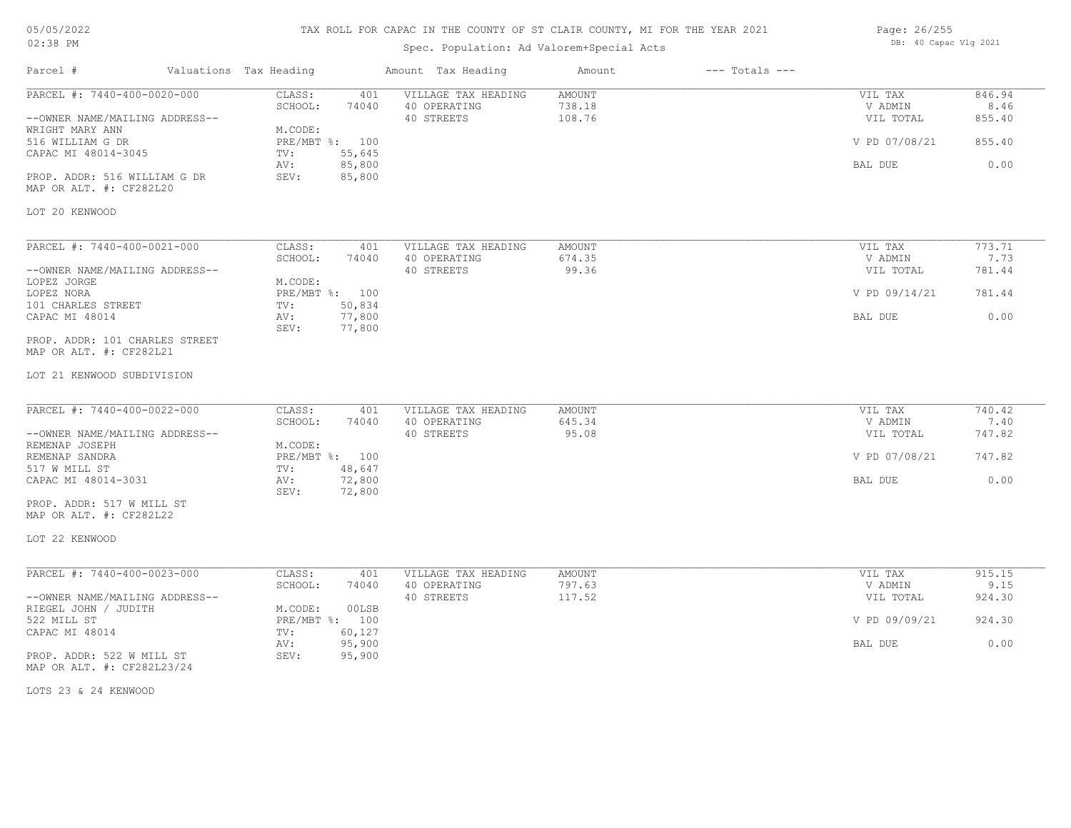### TAX ROLL FOR CAPAC IN THE COUNTY OF ST CLAIR COUNTY, MI FOR THE YEAR 2021

## Spec. Population: Ad Valorem+Special Acts

| Page: 26/255 |  |                       |  |  |
|--------------|--|-----------------------|--|--|
|              |  | DB: 40 Capac Vlg 2021 |  |  |

| Parcel #                                                                                                                                                                               | Valuations Tax Heading                             |                                                              | Amount Tax Heading                                | Amount                            | $---$ Totals $---$ |                                                             |                                            |
|----------------------------------------------------------------------------------------------------------------------------------------------------------------------------------------|----------------------------------------------------|--------------------------------------------------------------|---------------------------------------------------|-----------------------------------|--------------------|-------------------------------------------------------------|--------------------------------------------|
| PARCEL #: 7440-400-0020-000<br>--OWNER NAME/MAILING ADDRESS--<br>WRIGHT MARY ANN<br>516 WILLIAM G DR<br>CAPAC MI 48014-3045<br>PROP. ADDR: 516 WILLIAM G DR<br>MAP OR ALT. #: CF282L20 | CLASS:<br>SCHOOL:<br>M.CODE:<br>TV:<br>AV:<br>SEV: | 401<br>74040<br>PRE/MBT %: 100<br>55,645<br>85,800<br>85,800 | VILLAGE TAX HEADING<br>40 OPERATING<br>40 STREETS | <b>AMOUNT</b><br>738.18<br>108.76 |                    | VIL TAX<br>V ADMIN<br>VIL TOTAL<br>V PD 07/08/21<br>BAL DUE | 846.94<br>8.46<br>855.40<br>855.40<br>0.00 |
| LOT 20 KENWOOD                                                                                                                                                                         |                                                    |                                                              |                                                   |                                   |                    |                                                             |                                            |
| PARCEL #: 7440-400-0021-000<br>--OWNER NAME/MAILING ADDRESS--<br>LOPEZ JORGE                                                                                                           | CLASS:<br>SCHOOL:<br>M.CODE:                       | 401<br>74040                                                 | VILLAGE TAX HEADING<br>40 OPERATING<br>40 STREETS | AMOUNT<br>674.35<br>99.36         |                    | VIL TAX<br>V ADMIN<br>VIL TOTAL                             | 773.71<br>7.73<br>781.44                   |
| LOPEZ NORA                                                                                                                                                                             |                                                    | PRE/MBT %: 100<br>50,834                                     |                                                   |                                   |                    | V PD 09/14/21                                               | 781.44                                     |
| 101 CHARLES STREET<br>CAPAC MI 48014<br>PROP. ADDR: 101 CHARLES STREET                                                                                                                 | TV:<br>AV:<br>SEV:                                 | 77,800<br>77,800                                             |                                                   |                                   |                    | BAL DUE                                                     | 0.00                                       |
| MAP OR ALT. #: CF282L21                                                                                                                                                                |                                                    |                                                              |                                                   |                                   |                    |                                                             |                                            |
| LOT 21 KENWOOD SUBDIVISION                                                                                                                                                             |                                                    |                                                              |                                                   |                                   |                    |                                                             |                                            |
| PARCEL #: 7440-400-0022-000<br>--OWNER NAME/MAILING ADDRESS--<br>REMENAP JOSEPH                                                                                                        | CLASS:<br>SCHOOL:<br>M.CODE:                       | 401<br>74040                                                 | VILLAGE TAX HEADING<br>40 OPERATING<br>40 STREETS | <b>AMOUNT</b><br>645.34<br>95.08  |                    | VIL TAX<br>V ADMIN<br>VIL TOTAL                             | 740.42<br>7.40<br>747.82                   |
| REMENAP SANDRA                                                                                                                                                                         |                                                    | PRE/MBT %: 100                                               |                                                   |                                   |                    | V PD 07/08/21                                               | 747.82                                     |
| 517 W MILL ST<br>CAPAC MI 48014-3031                                                                                                                                                   | TV:<br>AV:<br>SEV:                                 | 48,647<br>72,800<br>72,800                                   |                                                   |                                   |                    | BAL DUE                                                     | 0.00                                       |
| PROP. ADDR: 517 W MILL ST<br>MAP OR ALT. #: CF282L22                                                                                                                                   |                                                    |                                                              |                                                   |                                   |                    |                                                             |                                            |
| LOT 22 KENWOOD                                                                                                                                                                         |                                                    |                                                              |                                                   |                                   |                    |                                                             |                                            |
| PARCEL #: 7440-400-0023-000                                                                                                                                                            | CLASS:                                             | 401                                                          | VILLAGE TAX HEADING                               | <b>AMOUNT</b>                     |                    | VIL TAX                                                     | 915.15                                     |
| --OWNER NAME/MAILING ADDRESS--                                                                                                                                                         | SCHOOL:                                            | 74040                                                        | 40 OPERATING<br>40 STREETS                        | 797.63<br>117.52                  |                    | V ADMIN<br>VIL TOTAL                                        | 9.15<br>924.30                             |
| RIEGEL JOHN / JUDITH<br>522 MILL ST                                                                                                                                                    | M.CODE:                                            | 00LSB<br>PRE/MBT %: 100                                      |                                                   |                                   |                    | V PD 09/09/21                                               | 924.30                                     |
| CAPAC MI 48014                                                                                                                                                                         | TV:<br>AV:                                         | 60,127<br>95,900                                             |                                                   |                                   |                    | BAL DUE                                                     | 0.00                                       |
| PROP. ADDR: 522 W MILL ST<br>MAP OR ALT. #: CF282L23/24                                                                                                                                | SEV:                                               | 95,900                                                       |                                                   |                                   |                    |                                                             |                                            |

LOTS 23 & 24 KENWOOD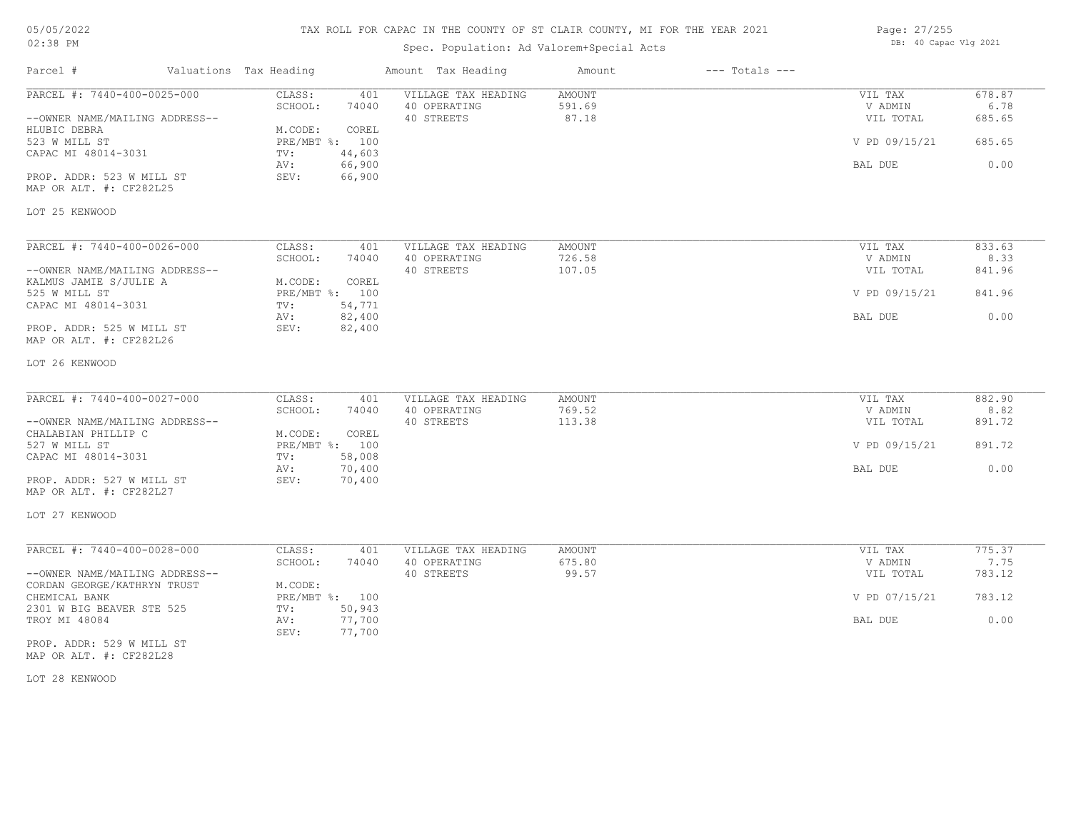## TAX ROLL FOR CAPAC IN THE COUNTY OF ST CLAIR COUNTY, MI FOR THE YEAR 2021

## Spec. Population: Ad Valorem+Special Acts

| Page: 27/255 |                       |  |
|--------------|-----------------------|--|
|              | DB: 40 Capac Vlg 2021 |  |

| Parcel #                                                      | Valuations Tax Heading |                           |                  | Amount Tax Heading                                | Amount                           | $---$ Totals $---$ |                                 |                          |
|---------------------------------------------------------------|------------------------|---------------------------|------------------|---------------------------------------------------|----------------------------------|--------------------|---------------------------------|--------------------------|
| PARCEL #: 7440-400-0025-000<br>--OWNER NAME/MAILING ADDRESS-- |                        | CLASS:<br>SCHOOL:         | 401<br>74040     | VILLAGE TAX HEADING<br>40 OPERATING<br>40 STREETS | <b>AMOUNT</b><br>591.69<br>87.18 |                    | VIL TAX<br>V ADMIN<br>VIL TOTAL | 678.87<br>6.78<br>685.65 |
| HLUBIC DEBRA                                                  |                        | M.CODE:                   | COREL            |                                                   |                                  |                    |                                 |                          |
| 523 W MILL ST<br>CAPAC MI 48014-3031                          |                        | PRE/MBT %: 100<br>TV:     | 44,603           |                                                   |                                  |                    | V PD 09/15/21                   | 685.65                   |
|                                                               |                        | AV:                       | 66,900           |                                                   |                                  |                    | BAL DUE                         | 0.00                     |
| PROP. ADDR: 523 W MILL ST<br>MAP OR ALT. #: CF282L25          |                        | SEV:                      | 66,900           |                                                   |                                  |                    |                                 |                          |
| LOT 25 KENWOOD                                                |                        |                           |                  |                                                   |                                  |                    |                                 |                          |
| PARCEL #: 7440-400-0026-000                                   |                        | CLASS:                    | 401              | VILLAGE TAX HEADING                               | AMOUNT                           |                    | VIL TAX                         | 833.63                   |
|                                                               |                        | SCHOOL:                   | 74040            | 40 OPERATING                                      | 726.58                           |                    | V ADMIN                         | 8.33                     |
| --OWNER NAME/MAILING ADDRESS--<br>KALMUS JAMIE S/JULIE A      |                        | M.CODE:                   | COREL            | 40 STREETS                                        | 107.05                           |                    | VIL TOTAL                       | 841.96                   |
| 525 W MILL ST                                                 |                        | PRE/MBT %: 100            |                  |                                                   |                                  |                    | V PD 09/15/21                   | 841.96                   |
| CAPAC MI 48014-3031                                           |                        | TV:<br>AV:                | 54,771<br>82,400 |                                                   |                                  |                    | BAL DUE                         | 0.00                     |
| PROP. ADDR: 525 W MILL ST<br>MAP OR ALT. #: CF282L26          |                        | SEV:                      | 82,400           |                                                   |                                  |                    |                                 |                          |
| LOT 26 KENWOOD                                                |                        |                           |                  |                                                   |                                  |                    |                                 |                          |
| PARCEL #: 7440-400-0027-000                                   |                        | CLASS:                    | 401              | VILLAGE TAX HEADING                               | <b>AMOUNT</b>                    |                    | VIL TAX                         | 882.90                   |
|                                                               |                        | SCHOOL:                   | 74040            | 40 OPERATING                                      | 769.52                           |                    | V ADMIN                         | 8.82                     |
| --OWNER NAME/MAILING ADDRESS--                                |                        |                           |                  | 40 STREETS                                        | 113.38                           |                    | VIL TOTAL                       | 891.72                   |
| CHALABIAN PHILLIP C<br>527 W MILL ST                          |                        | M.CODE:<br>PRE/MBT %: 100 | COREL            |                                                   |                                  |                    | V PD 09/15/21                   | 891.72                   |
| CAPAC MI 48014-3031                                           |                        | TV:                       | 58,008           |                                                   |                                  |                    |                                 |                          |
|                                                               |                        | AV:                       | 70,400           |                                                   |                                  |                    | BAL DUE                         | 0.00                     |
| PROP. ADDR: 527 W MILL ST<br>MAP OR ALT. #: CF282L27          |                        | SEV:                      | 70,400           |                                                   |                                  |                    |                                 |                          |
| LOT 27 KENWOOD                                                |                        |                           |                  |                                                   |                                  |                    |                                 |                          |
| PARCEL #: 7440-400-0028-000                                   |                        | CLASS:                    | 401              | VILLAGE TAX HEADING                               | AMOUNT                           |                    | VIL TAX                         | 775.37                   |
|                                                               |                        | SCHOOL:                   | 74040            | 40 OPERATING                                      | 675.80                           |                    | V ADMIN                         | 7.75                     |
| --OWNER NAME/MAILING ADDRESS--                                |                        |                           |                  | 40 STREETS                                        | 99.57                            |                    | VIL TOTAL                       | 783.12                   |
| CORDAN GEORGE/KATHRYN TRUST                                   |                        | M.CODE:                   |                  |                                                   |                                  |                    |                                 |                          |
| CHEMICAL BANK<br>2301 W BIG BEAVER STE 525                    |                        | PRE/MBT %: 100<br>TV:     | 50,943           |                                                   |                                  |                    | V PD 07/15/21                   | 783.12                   |
| TROY MI 48084                                                 |                        | AV:<br>SEV:               | 77,700<br>77,700 |                                                   |                                  |                    | BAL DUE                         | 0.00                     |
| PROP. ADDR: 529 W MILL ST                                     |                        |                           |                  |                                                   |                                  |                    |                                 |                          |

MAP OR ALT. #: CF282L28

LOT 28 KENWOOD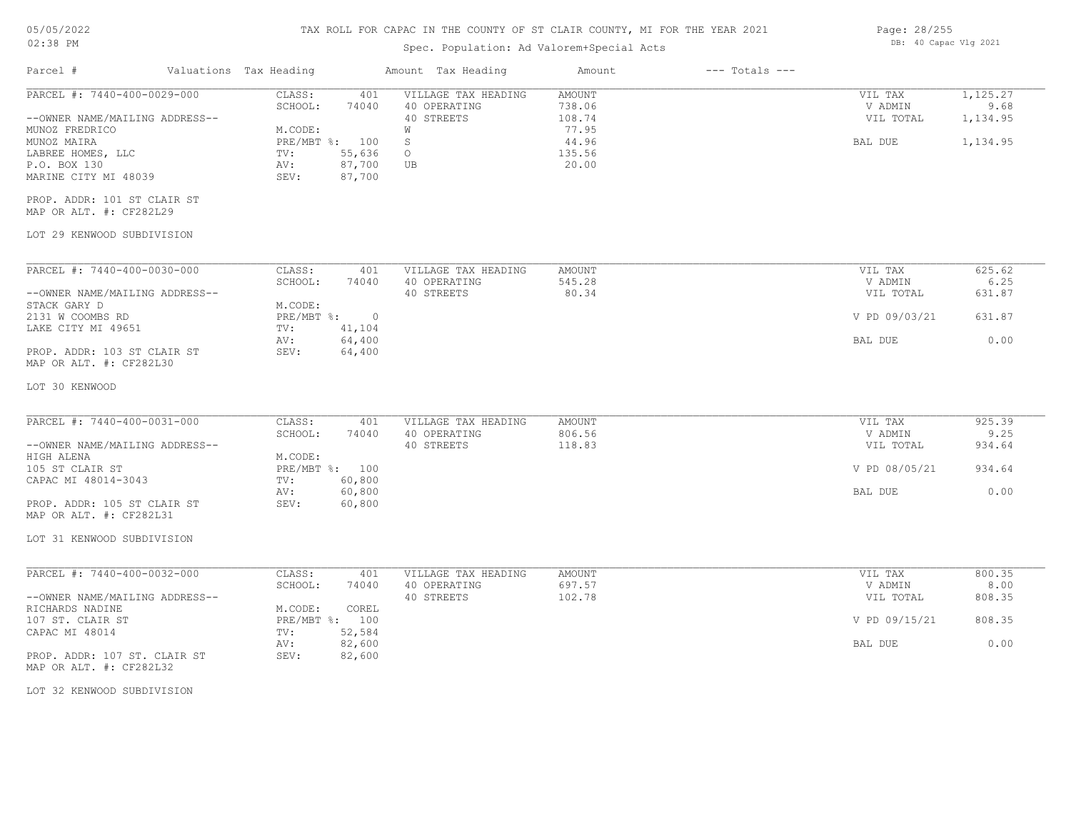#### TAX ROLL FOR CAPAC IN THE COUNTY OF ST CLAIR COUNTY, MI FOR THE YEAR 2021

| 02:38 PM                                                                                   |  |                               | Spec. Population: Ad Valorem+Special Acts    | DB: 40 Capac Vlg 2021                             |                                   |                    |                                 |                              |
|--------------------------------------------------------------------------------------------|--|-------------------------------|----------------------------------------------|---------------------------------------------------|-----------------------------------|--------------------|---------------------------------|------------------------------|
| Parcel #                                                                                   |  | Valuations Tax Heading        |                                              | Amount Tax Heading                                | Amount                            | $---$ Totals $---$ |                                 |                              |
| PARCEL #: 7440-400-0029-000<br>--OWNER NAME/MAILING ADDRESS--                              |  | CLASS:<br>SCHOOL:             | 401<br>74040                                 | VILLAGE TAX HEADING<br>40 OPERATING<br>40 STREETS | AMOUNT<br>738.06<br>108.74        |                    | VIL TAX<br>V ADMIN<br>VIL TOTAL | 1,125.27<br>9.68<br>1,134.95 |
| MUNOZ FREDRICO<br>MUNOZ MAIRA<br>LABREE HOMES, LLC<br>P.O. BOX 130<br>MARINE CITY MI 48039 |  | M.CODE:<br>TV:<br>AV:<br>SEV: | PRE/MBT %: 100<br>55,636<br>87,700<br>87,700 | W<br>S<br>$\circ$<br>UB                           | 77.95<br>44.96<br>135.56<br>20.00 |                    | BAL DUE                         | 1,134.95                     |
| PROP. ADDR: 101 ST CLAIR ST<br>MAP OR ALT. #: CF282L29                                     |  |                               |                                              |                                                   |                                   |                    |                                 |                              |
| LOT 29 KENWOOD SUBDIVISION                                                                 |  |                               |                                              |                                                   |                                   |                    |                                 |                              |
| PARCEL #: 7440-400-0030-000                                                                |  | CLASS:<br>SCHOOL:             | 401<br>74040                                 | VILLAGE TAX HEADING<br>40 OPERATING               | AMOUNT<br>545.28                  |                    | VIL TAX<br>V ADMIN              | 625.62<br>6.25               |
| --OWNER NAME/MAILING ADDRESS--<br>STACK GARY D                                             |  | M.CODE:                       |                                              | 40 STREETS                                        | 80.34                             |                    | VIL TOTAL                       | 631.87                       |
| 2131 W COOMBS RD<br>LAKE CITY MI 49651                                                     |  | PRE/MBT %:<br>TV:<br>AV:      | $\circ$<br>41,104<br>64,400                  |                                                   |                                   |                    | V PD 09/03/21<br>BAL DUE        | 631.87<br>0.00               |
| PROP. ADDR: 103 ST CLAIR ST<br>MAP OR ALT. #: CF282L30                                     |  | SEV:                          | 64,400                                       |                                                   |                                   |                    |                                 |                              |
| LOT 30 KENWOOD                                                                             |  |                               |                                              |                                                   |                                   |                    |                                 |                              |
| PARCEL #: 7440-400-0031-000<br>--OWNER NAME/MAILING ADDRESS--                              |  | CLASS:<br>SCHOOL:             | 401<br>74040                                 | VILLAGE TAX HEADING<br>40 OPERATING<br>40 STREETS | <b>AMOUNT</b><br>806.56<br>118.83 |                    | VIL TAX<br>V ADMIN<br>VIL TOTAL | 925.39<br>9.25<br>934.64     |
| HIGH ALENA<br>105 ST CLAIR ST<br>CAPAC MI 48014-3043                                       |  | M.CODE:<br>TV:                | PRE/MBT %: 100<br>60,800                     |                                                   |                                   |                    | V PD 08/05/21                   | 934.64                       |
| PROP. ADDR: 105 ST CLAIR ST<br>MAP OR ALT. #: CF282L31                                     |  | AV:<br>SEV:                   | 60,800<br>60,800                             |                                                   |                                   |                    | BAL DUE                         | 0.00                         |
| LOT 31 KENWOOD SUBDIVISION                                                                 |  |                               |                                              |                                                   |                                   |                    |                                 |                              |
| PARCEL #: 7440-400-0032-000                                                                |  | CLASS:<br>SCHOOL:             | 401<br>74040                                 | VILLAGE TAX HEADING<br>40 OPERATING               | AMOUNT<br>697.57                  |                    | VIL TAX<br>V ADMIN              | 800.35<br>8.00               |
| --OWNER NAME/MAILING ADDRESS--<br>RICHARDS NADINE                                          |  | M.CODE:                       | COREL                                        | 40 STREETS                                        | 102.78                            |                    | VIL TOTAL                       | 808.35                       |
| 107 ST. CLAIR ST<br>CAPAC MI 48014                                                         |  | TV:<br>AV:                    | PRE/MBT %: 100<br>52,584<br>82,600           |                                                   |                                   |                    | V PD 09/15/21<br>BAL DUE        | 808.35<br>0.00               |
| PROP. ADDR: 107 ST. CLAIR ST<br>MAP OR ALT. #: CF282L32                                    |  | SEV:                          | 82,600                                       |                                                   |                                   |                    |                                 |                              |
| LOT 32 KENWOOD SUBDIVISION                                                                 |  |                               |                                              |                                                   |                                   |                    |                                 |                              |
|                                                                                            |  |                               |                                              |                                                   |                                   |                    |                                 |                              |

Page: 28/255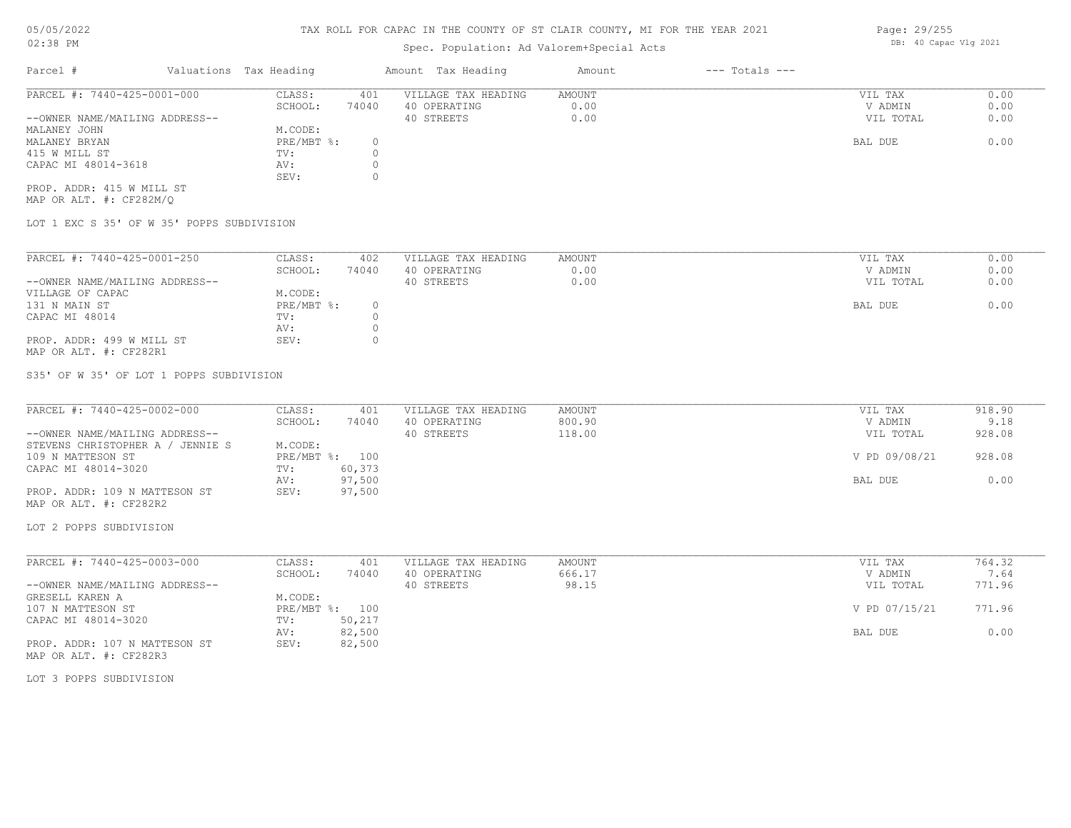## Spec. Population: Ad Valorem+Special Acts

| Parcel #                       | Valuations Tax Heading |       | Amount Tax Heading  | Amount | $---$ Totals $---$ |           |      |
|--------------------------------|------------------------|-------|---------------------|--------|--------------------|-----------|------|
| PARCEL #: 7440-425-0001-000    | CLASS:                 | 401   | VILLAGE TAX HEADING | AMOUNT |                    | VIL TAX   | 0.00 |
|                                | SCHOOL:                | 74040 | 40 OPERATING        | 0.00   |                    | V ADMIN   | 0.00 |
| --OWNER NAME/MAILING ADDRESS-- |                        |       | 40 STREETS          | 0.00   |                    | VIL TOTAL | 0.00 |
| MALANEY JOHN                   | M.CODE:                |       |                     |        |                    |           |      |
| MALANEY BRYAN                  | PRE/MBT %:             |       |                     |        |                    | BAL DUE   | 0.00 |
| 415 W MILL ST                  | TV:                    |       |                     |        |                    |           |      |
| CAPAC MI 48014-3618            | AV:                    |       |                     |        |                    |           |      |
|                                | SEV:                   |       |                     |        |                    |           |      |
| PROP. ADDR: 415 W MILL ST      |                        |       |                     |        |                    |           |      |

MAP OR ALT. #: CF282M/Q

LOT 1 EXC S 35' OF W 35' POPPS SUBDIVISION

| PARCEL #: 7440-425-0001-250    | CLASS:     | 402   | VILLAGE TAX HEADING | AMOUNT | VIL TAX<br>0.00   |
|--------------------------------|------------|-------|---------------------|--------|-------------------|
|                                | SCHOOL:    | 74040 | 40 OPERATING        | 0.00   | 0.00<br>V ADMIN   |
| --OWNER NAME/MAILING ADDRESS-- |            |       | 40 STREETS          | 0.00   | 0.00<br>VIL TOTAL |
| VILLAGE OF CAPAC               | M.CODE:    |       |                     |        |                   |
| 131 N MAIN ST                  | PRE/MBT %: |       |                     |        | 0.00<br>BAL DUE   |
| CAPAC MI 48014                 | TV:        |       |                     |        |                   |
|                                | AV:        |       |                     |        |                   |
| PROP. ADDR: 499 W MILL ST      | SEV:       |       |                     |        |                   |
| MAP OR ALT. #: CF282R1         |            |       |                     |        |                   |

S35' OF W 35' OF LOT 1 POPPS SUBDIVISION

| PARCEL #: 7440-425-0002-000      | CLASS:  | 401            | VILLAGE TAX HEADING | AMOUNT | VIL TAX       | 918.90 |
|----------------------------------|---------|----------------|---------------------|--------|---------------|--------|
|                                  | SCHOOL: | 74040          | 40 OPERATING        | 800.90 | V ADMIN       | 9.18   |
| --OWNER NAME/MAILING ADDRESS--   |         |                | 40 STREETS          | 118.00 | VIL TOTAL     | 928.08 |
| STEVENS CHRISTOPHER A / JENNIE S | M.CODE: |                |                     |        |               |        |
| 109 N MATTESON ST                |         | PRE/MBT %: 100 |                     |        | V PD 09/08/21 | 928.08 |
| CAPAC MI 48014-3020              | TV:     | 60,373         |                     |        |               |        |
|                                  | AV:     | 97,500         |                     |        | BAL DUE       | 0.00   |
| PROP. ADDR: 109 N MATTESON ST    | SEV:    | 97,500         |                     |        |               |        |
| MAP OR ALT. #: CF282R2           |         |                |                     |        |               |        |

LOT 2 POPPS SUBDIVISION

| PARCEL #: 7440-425-0003-000    | CLASS:     | 401    | VILLAGE TAX HEADING | AMOUNT | VIL TAX       | 764.32 |
|--------------------------------|------------|--------|---------------------|--------|---------------|--------|
|                                | SCHOOL:    | 74040  | 40 OPERATING        | 666.17 | V ADMIN       | 7.64   |
| --OWNER NAME/MAILING ADDRESS-- |            |        | 40 STREETS          | 98.15  | VIL TOTAL     | 771.96 |
| GRESELL KAREN A                | M.CODE:    |        |                     |        |               |        |
| 107 N MATTESON ST              | PRE/MBT %: | 100    |                     |        | V PD 07/15/21 | 771.96 |
| CAPAC MI 48014-3020            | TV:        | 50,217 |                     |        |               |        |
|                                | AV:        | 82,500 |                     |        | BAL DUE       | 0.00   |
| PROP. ADDR: 107 N MATTESON ST  | SEV:       | 82,500 |                     |        |               |        |
| MAP OR ALT. #: CF282R3         |            |        |                     |        |               |        |

LOT 3 POPPS SUBDIVISION

Page: 29/255 DB: 40 Capac Vlg 2021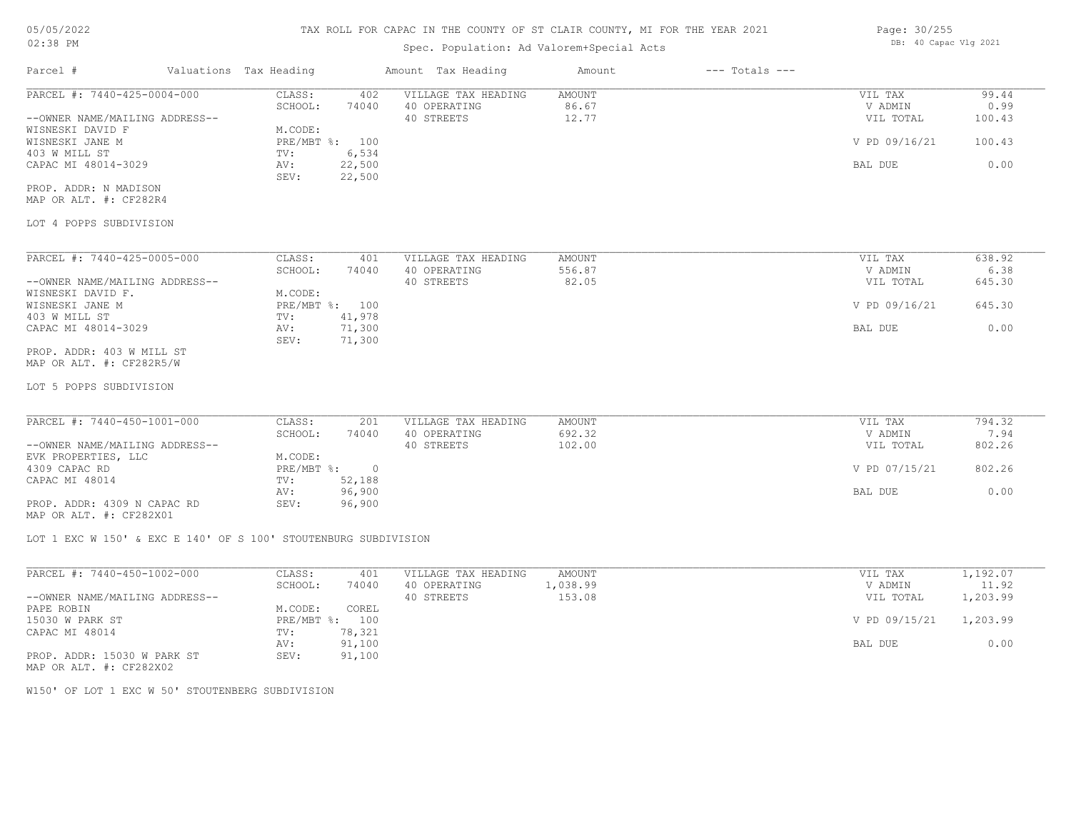# 05/05/2022

### 02:38 PM

### TAX ROLL FOR CAPAC IN THE COUNTY OF ST CLAIR COUNTY, MI FOR THE YEAR 2021

## Spec. Population: Ad Valorem+Special Acts

| Page: 30/255          |  |
|-----------------------|--|
| DB: 40 Capac Vlg 2021 |  |

| Parcel #                       | Valuations Tax Heading    |                  | Amount Tax Heading  | Amount        | $---$ Totals $---$ |               |        |
|--------------------------------|---------------------------|------------------|---------------------|---------------|--------------------|---------------|--------|
| PARCEL #: 7440-425-0004-000    | CLASS:                    | 402              | VILLAGE TAX HEADING | <b>AMOUNT</b> |                    | VIL TAX       | 99.44  |
|                                | SCHOOL:                   | 74040            | 40 OPERATING        | 86.67         |                    | V ADMIN       | 0.99   |
| --OWNER NAME/MAILING ADDRESS-- |                           |                  | 40 STREETS          | 12.77         |                    | VIL TOTAL     | 100.43 |
| WISNESKI DAVID F               | M.CODE:                   |                  |                     |               |                    |               |        |
| WISNESKI JANE M                | PRE/MBT %:                | 100              |                     |               |                    | V PD 09/16/21 | 100.43 |
| 403 W MILL ST                  | TV:                       | 6,534            |                     |               |                    |               |        |
| CAPAC MI 48014-3029            | AV:<br>SEV:               | 22,500<br>22,500 |                     |               |                    | BAL DUE       | 0.00   |
| PROP. ADDR: N MADISON          |                           |                  |                     |               |                    |               |        |
| MAP OR ALT. #: CF282R4         |                           |                  |                     |               |                    |               |        |
|                                |                           |                  |                     |               |                    |               |        |
| LOT 4 POPPS SUBDIVISION        |                           |                  |                     |               |                    |               |        |
|                                |                           |                  |                     |               |                    |               |        |
|                                |                           |                  |                     |               |                    |               |        |
| PARCEL #: 7440-425-0005-000    | CLASS:                    | 401              | VILLAGE TAX HEADING | AMOUNT        |                    | VIL TAX       | 638.92 |
|                                | SCHOOL:                   | 74040            | 40 OPERATING        | 556.87        |                    | V ADMIN       | 6.38   |
| --OWNER NAME/MAILING ADDRESS-- |                           |                  | 40 STREETS          | 82.05         |                    | VIL TOTAL     | 645.30 |
| WISNESKI DAVID F.              | M.CODE:                   |                  |                     |               |                    |               |        |
| WISNESKI JANE M                | $PRE/MBT$ $\frac{1}{6}$ : | 100              |                     |               |                    | V PD 09/16/21 | 645.30 |
| 403 W MILL ST                  | TV:                       | 41,978           |                     |               |                    |               |        |
| CAPAC MI 48014-3029            | AV:                       | 71,300           |                     |               |                    | BAL DUE       | 0.00   |
|                                | SEV:                      | 71,300           |                     |               |                    |               |        |
| PROP. ADDR: 403 W MILL ST      |                           |                  |                     |               |                    |               |        |
| MAP OR ALT. #: CF282R5/W       |                           |                  |                     |               |                    |               |        |
| LOT 5 POPPS SUBDIVISION        |                           |                  |                     |               |                    |               |        |
|                                |                           |                  |                     |               |                    |               |        |
|                                |                           |                  |                     |               |                    |               |        |

| PARCEL #: 7440-450-1001-000    | CLASS:     | 201    | VILLAGE TAX HEADING | AMOUNT | VIL TAX       | 794.32 |
|--------------------------------|------------|--------|---------------------|--------|---------------|--------|
|                                | SCHOOL:    | 74040  | 40 OPERATING        | 692.32 | V ADMIN       | 7.94   |
| --OWNER NAME/MAILING ADDRESS-- |            |        | 40 STREETS          | 102.00 | VIL TOTAL     | 802.26 |
| EVK PROPERTIES, LLC            | M.CODE:    |        |                     |        |               |        |
| 4309 CAPAC RD                  | PRE/MBT %: |        |                     |        | V PD 07/15/21 | 802.26 |
| CAPAC MI 48014                 | TV:        | 52,188 |                     |        |               |        |
|                                | AV:        | 96,900 |                     |        | BAL DUE       | 0.00   |
| PROP. ADDR: 4309 N CAPAC RD    | SEV:       | 96,900 |                     |        |               |        |
| MAP OR ALT. #: CF282X01        |            |        |                     |        |               |        |

LOT 1 EXC W 150' & EXC E 140' OF S 100' STOUTENBURG SUBDIVISION

| PARCEL #: 7440-450-1002-000                                                 | CLASS:     | 401    | VILLAGE TAX HEADING | AMOUNT   | VIL TAX       | 1,192.07 |
|-----------------------------------------------------------------------------|------------|--------|---------------------|----------|---------------|----------|
|                                                                             | SCHOOL:    | 74040  | 40 OPERATING        | 1,038.99 | V ADMIN       | 11.92    |
| --OWNER NAME/MAILING ADDRESS--                                              |            |        | 40 STREETS          | 153.08   | VIL TOTAL     | 1,203.99 |
| PAPE ROBIN                                                                  | M.CODE:    | COREL  |                     |          |               |          |
| 15030 W PARK ST                                                             | PRE/MBT %: | 100    |                     |          | V PD 09/15/21 | 1,203.99 |
| CAPAC MI 48014                                                              | TV:        | 78,321 |                     |          |               |          |
|                                                                             | AV:        | 91,100 |                     |          | BAL DUE       | 0.00     |
| PROP. ADDR: 15030 W PARK ST<br>$\cdots$ $\cdots$ $\cdots$ $\cdots$ $\cdots$ | SEV:       | 91,100 |                     |          |               |          |

MAP OR ALT. #: CF282X02

W150' OF LOT 1 EXC W 50' STOUTENBERG SUBDIVISION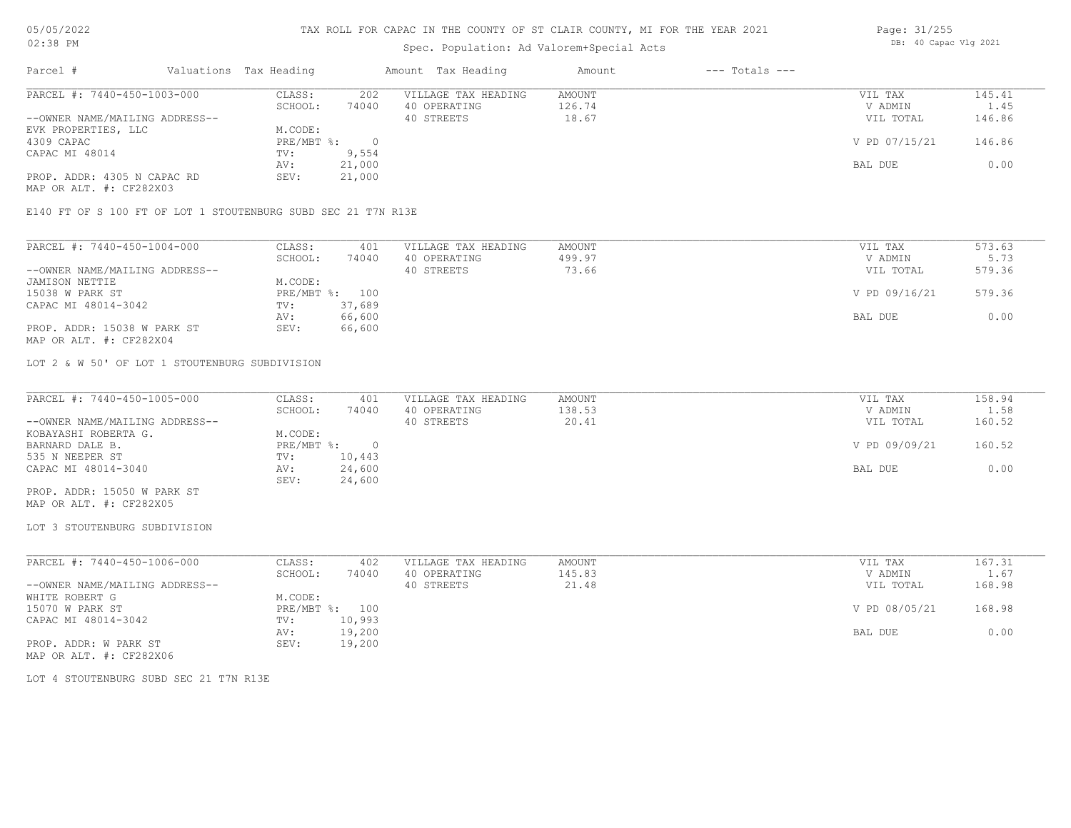## Spec. Population: Ad Valorem+Special Acts

| Page: 31/255 |                       |  |
|--------------|-----------------------|--|
|              | DB: 40 Capac Vlg 2021 |  |

| Parcel #                       | Valuations Tax Heading |        | Amount Tax Heading  | Amount | $---$ Totals $---$ |               |        |
|--------------------------------|------------------------|--------|---------------------|--------|--------------------|---------------|--------|
| PARCEL #: 7440-450-1003-000    | CLASS:                 | 202    | VILLAGE TAX HEADING | AMOUNT |                    | VIL TAX       | 145.41 |
|                                | SCHOOL:                | 74040  | 40 OPERATING        | 126.74 |                    | V ADMIN       | 1.45   |
| --OWNER NAME/MAILING ADDRESS-- |                        |        | 40 STREETS          | 18.67  |                    | VIL TOTAL     | 146.86 |
| EVK PROPERTIES, LLC            | M.CODE:                |        |                     |        |                    |               |        |
| 4309 CAPAC                     | $PRE/MBT$ %:           |        |                     |        |                    | V PD 07/15/21 | 146.86 |
| CAPAC MI 48014                 | TV:                    | 9,554  |                     |        |                    |               |        |
|                                | AV:                    | 21,000 |                     |        |                    | BAL DUE       | 0.00   |
| PROP. ADDR: 4305 N CAPAC RD    | SEV:                   | 21,000 |                     |        |                    |               |        |
| MAP OR ALT. #: CF282X03        |                        |        |                     |        |                    |               |        |

E140 FT OF S 100 FT OF LOT 1 STOUTENBURG SUBD SEC 21 T7N R13E

| PARCEL #: 7440-450-1004-000    | CLASS:  | 401            | VILLAGE TAX HEADING | AMOUNT | VIL TAX       | 573.63 |
|--------------------------------|---------|----------------|---------------------|--------|---------------|--------|
|                                | SCHOOL: | 74040          | 40 OPERATING        | 499.97 | V ADMIN       | 5.73   |
| --OWNER NAME/MAILING ADDRESS-- |         |                | 40 STREETS          | 73.66  | VIL TOTAL     | 579.36 |
| JAMISON NETTIE                 | M.CODE: |                |                     |        |               |        |
| 15038 W PARK ST                |         | PRE/MBT %: 100 |                     |        | V PD 09/16/21 | 579.36 |
| CAPAC MI 48014-3042            | TV:     | 37,689         |                     |        |               |        |
|                                | AV:     | 66,600         |                     |        | BAL DUE       | 0.00   |
| PROP. ADDR: 15038 W PARK ST    | SEV:    | 66,600         |                     |        |               |        |
| MAP OR ALT. #: CF282X04        |         |                |                     |        |               |        |

LOT 2 & W 50' OF LOT 1 STOUTENBURG SUBDIVISION

| PARCEL #: 7440-450-1005-000    | CLASS:     | 401    | VILLAGE TAX HEADING | AMOUNT | VIL TAX       | 158.94 |
|--------------------------------|------------|--------|---------------------|--------|---------------|--------|
|                                | SCHOOL:    | 74040  | 40 OPERATING        | 138.53 | V ADMIN       | 1.58   |
| --OWNER NAME/MAILING ADDRESS-- |            |        | 40 STREETS          | 20.41  | VIL TOTAL     | 160.52 |
| KOBAYASHI ROBERTA G.           | M.CODE:    |        |                     |        |               |        |
| BARNARD DALE B.                | PRE/MBT %: |        |                     |        | V PD 09/09/21 | 160.52 |
| 535 N NEEPER ST                | TV:        | 10,443 |                     |        |               |        |
| CAPAC MI 48014-3040            | AV:        | 24,600 |                     |        | BAL DUE       | 0.00   |
|                                | SEV:       | 24,600 |                     |        |               |        |
| PROP. ADDR: 15050 W PARK ST    |            |        |                     |        |               |        |

MAP OR ALT. #: CF282X05

#### LOT 3 STOUTENBURG SUBDIVISION

| PARCEL #: 7440-450-1006-000    | CLASS:  | 402            | VILLAGE TAX HEADING | AMOUNT | VIL TAX       | 167.31 |
|--------------------------------|---------|----------------|---------------------|--------|---------------|--------|
|                                | SCHOOL: | 74040          | 40 OPERATING        | 145.83 | V ADMIN       | 1.67   |
| --OWNER NAME/MAILING ADDRESS-- |         |                | 40 STREETS          | 21.48  | VIL TOTAL     | 168.98 |
| WHITE ROBERT G                 | M.CODE: |                |                     |        |               |        |
| 15070 W PARK ST                |         | PRE/MBT %: 100 |                     |        | V PD 08/05/21 | 168.98 |
| CAPAC MI 48014-3042            | TV:     | 10,993         |                     |        |               |        |
|                                | AV:     | 19,200         |                     |        | BAL DUE       | 0.00   |
| PROP. ADDR: W PARK ST          | SEV:    | 19,200         |                     |        |               |        |
| MAP OR ALT. #: CF282X06        |         |                |                     |        |               |        |

LOT 4 STOUTENBURG SUBD SEC 21 T7N R13E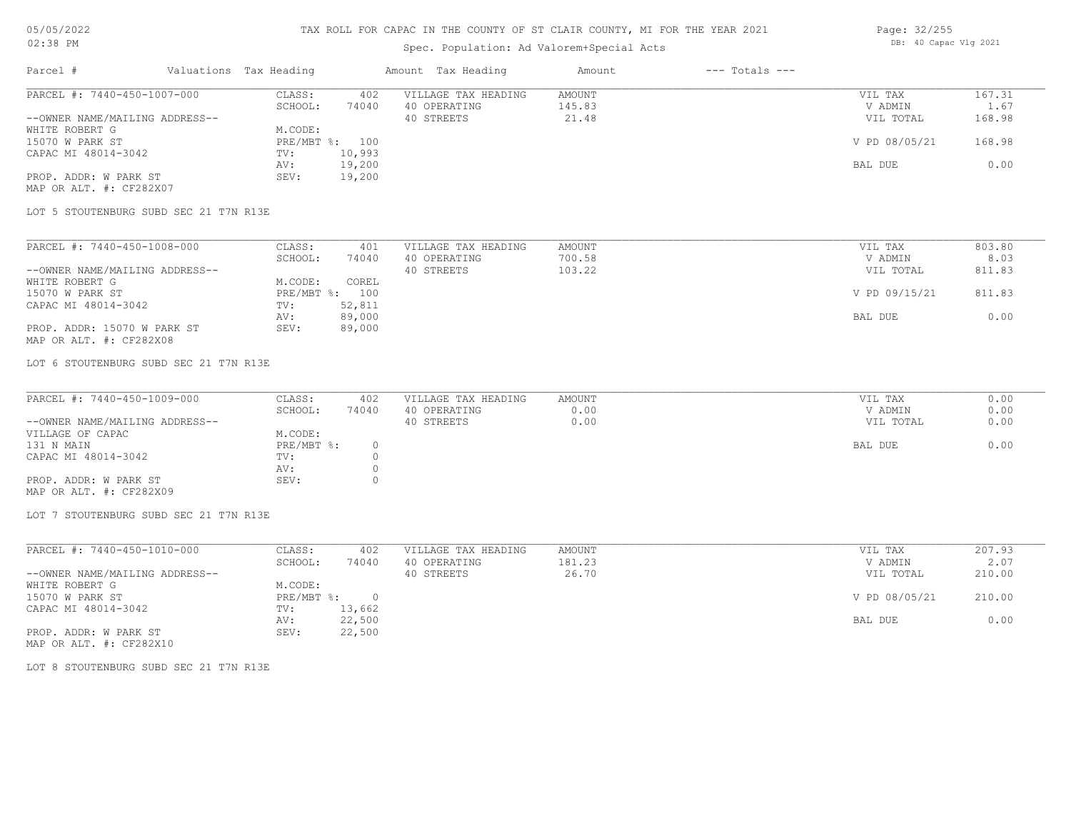### TAX ROLL FOR CAPAC IN THE COUNTY OF ST CLAIR COUNTY, MI FOR THE YEAR 2021

# Spec. Population: Ad Valorem+Special Acts

| Page: 32/255 |                       |  |
|--------------|-----------------------|--|
|              | DB: 40 Capac Vlg 2021 |  |

| Parcel #                       | Valuations Tax Heading |        | Amount Tax Heading  | Amount | $---$ Totals $---$ |               |        |
|--------------------------------|------------------------|--------|---------------------|--------|--------------------|---------------|--------|
| PARCEL #: 7440-450-1007-000    | CLASS:                 | 402    | VILLAGE TAX HEADING | AMOUNT |                    | VIL TAX       | 167.31 |
|                                | SCHOOL:                | 74040  | 40 OPERATING        | 145.83 |                    | V ADMIN       | 1.67   |
| --OWNER NAME/MAILING ADDRESS-- |                        |        | 40 STREETS          | 21.48  |                    | VIL TOTAL     | 168.98 |
| WHITE ROBERT G                 | M.CODE:                |        |                     |        |                    |               |        |
| 15070 W PARK ST                | PRE/MBT %: 100         |        |                     |        |                    | V PD 08/05/21 | 168.98 |
| CAPAC MI 48014-3042            | TV:                    | 10,993 |                     |        |                    |               |        |
|                                | AV:                    | 19,200 |                     |        |                    | BAL DUE       | 0.00   |
| PROP. ADDR: W PARK ST          | SEV:                   | 19,200 |                     |        |                    |               |        |
| MAP OR ALT. #: CF282X07        |                        |        |                     |        |                    |               |        |

LOT 5 STOUTENBURG SUBD SEC 21 T7N R13E

| PARCEL #: 7440-450-1008-000    | CLASS:  | 401            | VILLAGE TAX HEADING | AMOUNT | VIL TAX       | 803.80 |
|--------------------------------|---------|----------------|---------------------|--------|---------------|--------|
|                                | SCHOOL: | 74040          | 40 OPERATING        | 700.58 | V ADMIN       | 8.03   |
| --OWNER NAME/MAILING ADDRESS-- |         |                | 40 STREETS          | 103.22 | VIL TOTAL     | 811.83 |
| WHITE ROBERT G                 | M.CODE: | COREL          |                     |        |               |        |
| 15070 W PARK ST                |         | PRE/MBT %: 100 |                     |        | V PD 09/15/21 | 811.83 |
| CAPAC MI 48014-3042            | TV:     | 52,811         |                     |        |               |        |
|                                | AV:     | 89,000         |                     |        | BAL DUE       | 0.00   |
| PROP. ADDR: 15070 W PARK ST    | SEV:    | 89,000         |                     |        |               |        |
| MAP OR ALT. #: CF282X08        |         |                |                     |        |               |        |

LOT 6 STOUTENBURG SUBD SEC 21 T7N R13E

| PARCEL #: 7440-450-1009-000    | CLASS:     | 402   | VILLAGE TAX HEADING | AMOUNT | VIL TAX   | 0.00 |
|--------------------------------|------------|-------|---------------------|--------|-----------|------|
|                                | SCHOOL:    | 74040 | 40 OPERATING        | 0.00   | V ADMIN   | 0.00 |
| --OWNER NAME/MAILING ADDRESS-- |            |       | 40 STREETS          | 0.00   | VIL TOTAL | 0.00 |
| VILLAGE OF CAPAC               | M.CODE:    |       |                     |        |           |      |
| 131 N MAIN                     | PRE/MBT %: |       |                     |        | BAL DUE   | 0.00 |
| CAPAC MI 48014-3042            | TV:        |       |                     |        |           |      |
|                                | AV:        |       |                     |        |           |      |
| PROP. ADDR: W PARK ST          | SEV:       |       |                     |        |           |      |
| MAP OR ALT. #: CF282X09        |            |       |                     |        |           |      |

LOT 7 STOUTENBURG SUBD SEC 21 T7N R13E

| PARCEL #: 7440-450-1010-000    | CLASS:     | 402    | VILLAGE TAX HEADING | AMOUNT | VIL TAX       | 207.93 |
|--------------------------------|------------|--------|---------------------|--------|---------------|--------|
|                                | SCHOOL:    | 74040  | 40 OPERATING        | 181.23 | V ADMIN       | 2.07   |
| --OWNER NAME/MAILING ADDRESS-- |            |        | 40 STREETS          | 26.70  | VIL TOTAL     | 210.00 |
| WHITE ROBERT G                 | M.CODE:    |        |                     |        |               |        |
| 15070 W PARK ST                | PRE/MBT %: | 0.     |                     |        | V PD 08/05/21 | 210.00 |
| CAPAC MI 48014-3042            | TV:        | 13,662 |                     |        |               |        |
|                                | AV:        | 22,500 |                     |        | BAL DUE       | 0.00   |
| PROP. ADDR: W PARK ST          | SEV:       | 22,500 |                     |        |               |        |

MAP OR ALT. #: CF282X10

LOT 8 STOUTENBURG SUBD SEC 21 T7N R13E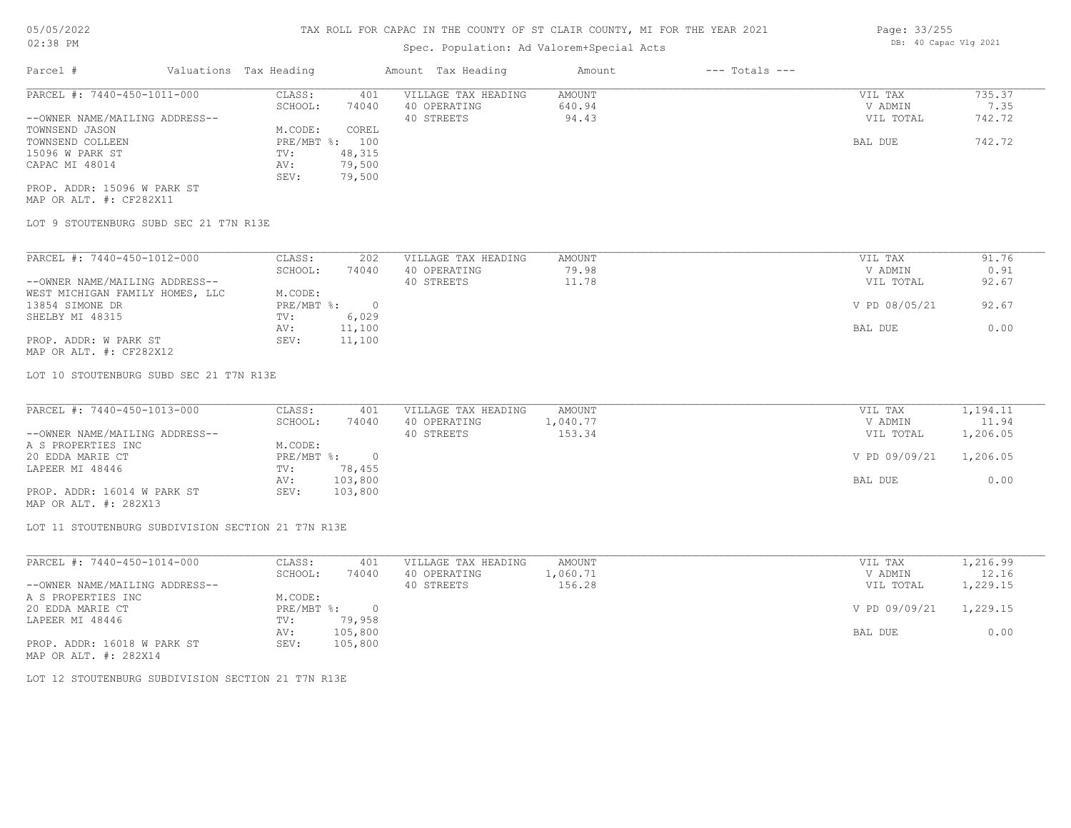## Spec. Population: Ad Valorem+Special Acts

| Parcel #                       | Valuations Tax Heading |        | Amount Tax Heading  | Amount | $---$ Totals $---$ |           |        |
|--------------------------------|------------------------|--------|---------------------|--------|--------------------|-----------|--------|
| PARCEL #: 7440-450-1011-000    | CLASS:                 | 401    | VILLAGE TAX HEADING | AMOUNT |                    | VIL TAX   | 735.37 |
|                                | SCHOOL:                | 74040  | 40 OPERATING        | 640.94 |                    | V ADMIN   | 7.35   |
| --OWNER NAME/MAILING ADDRESS-- |                        |        | 40 STREETS          | 94.43  |                    | VIL TOTAL | 742.72 |
| TOWNSEND JASON                 | M.CODE:                | COREL  |                     |        |                    |           |        |
| TOWNSEND COLLEEN               | PRE/MBT %: 100         |        |                     |        |                    | BAL DUE   | 742.72 |
| 15096 W PARK ST                | TV:                    | 48,315 |                     |        |                    |           |        |
| CAPAC MI 48014                 | AV:                    | 79,500 |                     |        |                    |           |        |
|                                | SEV:                   | 79,500 |                     |        |                    |           |        |
| PROP. ADDR: 15096 W PARK ST    |                        |        |                     |        |                    |           |        |

MAP OR ALT. #: CF282X11

LOT 9 STOUTENBURG SUBD SEC 21 T7N R13E

| PARCEL #: 7440-450-1012-000     | CLASS:     | 202    | VILLAGE TAX HEADING | AMOUNT | VIL TAX       | 91.76 |
|---------------------------------|------------|--------|---------------------|--------|---------------|-------|
|                                 | SCHOOL:    | 74040  | 40 OPERATING        | 79.98  | V ADMIN       | 0.91  |
| --OWNER NAME/MAILING ADDRESS--  |            |        | 40 STREETS          | 11.78  | VIL TOTAL     | 92.67 |
| WEST MICHIGAN FAMILY HOMES, LLC | M.CODE:    |        |                     |        |               |       |
| 13854 SIMONE DR                 | PRE/MBT %: |        |                     |        | V PD 08/05/21 | 92.67 |
| SHELBY MI 48315                 | TV:        | 6,029  |                     |        |               |       |
|                                 | AV:        | 11,100 |                     |        | BAL DUE       | 0.00  |
| PROP. ADDR: W PARK ST           | SEV:       | 11,100 |                     |        |               |       |
|                                 |            |        |                     |        |               |       |

MAP OR ALT. #: CF282X12

LOT 10 STOUTENBURG SUBD SEC 21 T7N R13E

| PARCEL #: 7440-450-1013-000    | CLASS:     | 401     | VILLAGE TAX HEADING | AMOUNT   | VIL TAX       | 1,194.11 |
|--------------------------------|------------|---------|---------------------|----------|---------------|----------|
|                                | SCHOOL:    | 74040   | 40 OPERATING        | 1,040.77 | V ADMIN       | 11.94    |
| --OWNER NAME/MAILING ADDRESS-- |            |         | 40 STREETS          | 153.34   | VIL TOTAL     | 1,206.05 |
| A S PROPERTIES INC             | M.CODE:    |         |                     |          |               |          |
| 20 EDDA MARIE CT               | PRE/MBT %: |         |                     |          | V PD 09/09/21 | 1,206.05 |
| LAPEER MI 48446                | TV:        | 78,455  |                     |          |               |          |
|                                | AV:        | 103,800 |                     |          | BAL DUE       | 0.00     |
| PROP. ADDR: 16014 W PARK ST    | SEV:       | 103,800 |                     |          |               |          |
|                                |            |         |                     |          |               |          |

MAP OR ALT. #: 282X13

LOT 11 STOUTENBURG SUBDIVISION SECTION 21 T7N R13E

| PARCEL #: 7440-450-1014-000    | CLASS:       | 401     | VILLAGE TAX HEADING | AMOUNT   | VIL TAX       | 1,216.99 |
|--------------------------------|--------------|---------|---------------------|----------|---------------|----------|
|                                | SCHOOL:      | 74040   | 40 OPERATING        | 1,060.71 | V ADMIN       | 12.16    |
| --OWNER NAME/MAILING ADDRESS-- |              |         | 40 STREETS          | 156.28   | VIL TOTAL     | 1,229.15 |
| A S PROPERTIES INC             | M.CODE:      |         |                     |          |               |          |
| 20 EDDA MARIE CT               | $PRE/MBT$ %: |         |                     |          | V PD 09/09/21 | 1,229.15 |
| LAPEER MI 48446                | TV:          | 79,958  |                     |          |               |          |
|                                | AV:          | 105,800 |                     |          | BAL DUE       | 0.00     |
| PROP. ADDR: 16018 W PARK ST    | SEV:         | 105,800 |                     |          |               |          |
| MAP OR ALT. #: 282X14          |              |         |                     |          |               |          |

LOT 12 STOUTENBURG SUBDIVISION SECTION 21 T7N R13E

Page: 33/255 DB: 40 Capac Vlg 2021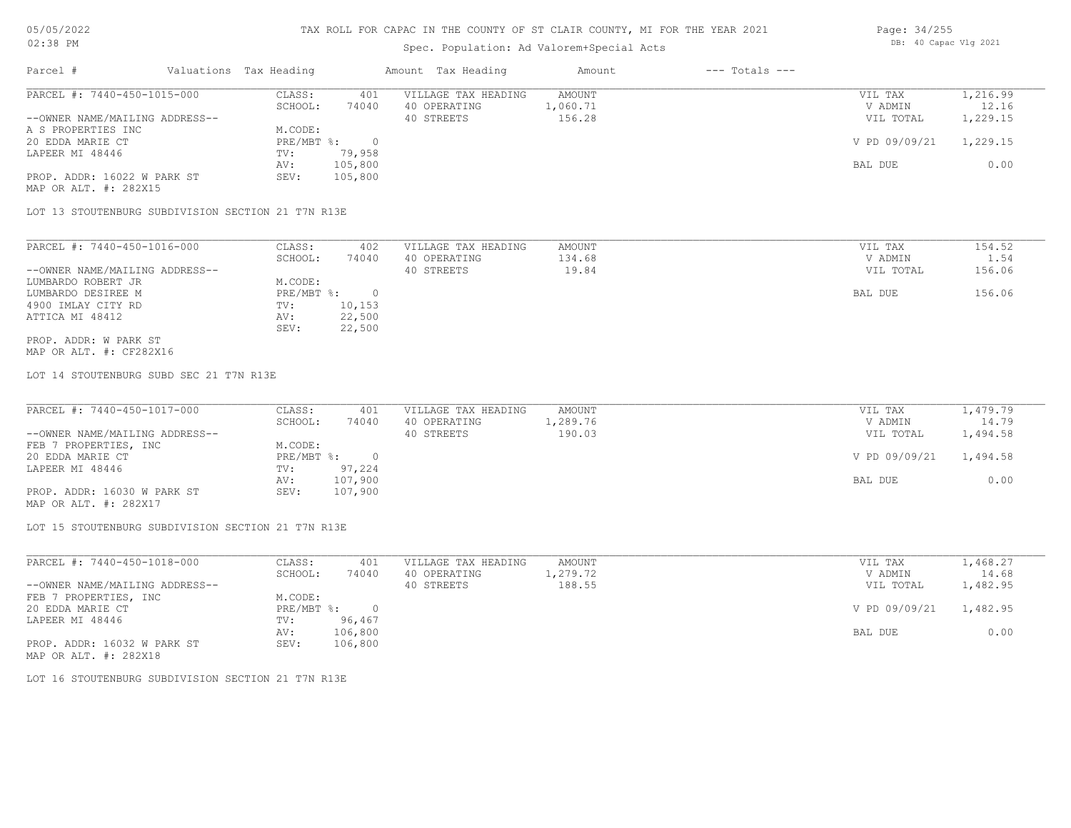#### Spec. Population: Ad Valorem+Special Acts

| Page: 34/255 |  |                       |  |
|--------------|--|-----------------------|--|
|              |  | DB: 40 Capac Vlg 2021 |  |

| Parcel #                       | Valuations Tax Heading |         | Amount Tax Heading  | Amount   | $---$ Totals $---$ |               |          |
|--------------------------------|------------------------|---------|---------------------|----------|--------------------|---------------|----------|
| PARCEL #: 7440-450-1015-000    | CLASS:                 | 401     | VILLAGE TAX HEADING | AMOUNT   |                    | VIL TAX       | 1,216.99 |
|                                | SCHOOL:                | 74040   | 40 OPERATING        | 1,060.71 |                    | V ADMIN       | 12.16    |
| --OWNER NAME/MAILING ADDRESS-- |                        |         | 40 STREETS          | 156.28   |                    | VIL TOTAL     | 1,229.15 |
| A S PROPERTIES INC             | M.CODE:                |         |                     |          |                    |               |          |
| 20 EDDA MARIE CT               | $PRE/MBT$ %:           |         |                     |          |                    | V PD 09/09/21 | 1,229.15 |
| LAPEER MI 48446                | TV:                    | 79,958  |                     |          |                    |               |          |
|                                | AV:                    | 105,800 |                     |          |                    | BAL DUE       | 0.00     |
| PROP. ADDR: 16022 W PARK ST    | SEV:                   | 105,800 |                     |          |                    |               |          |
| MAP OR ALT. #: 282X15          |                        |         |                     |          |                    |               |          |

LOT 13 STOUTENBURG SUBDIVISION SECTION 21 T7N R13E

| PARCEL #: 7440-450-1016-000    | CLASS:     | 402    | VILLAGE TAX HEADING | AMOUNT | VIL TAX   | 154.52 |
|--------------------------------|------------|--------|---------------------|--------|-----------|--------|
|                                | SCHOOL:    | 74040  | 40 OPERATING        | 134.68 | V ADMIN   | 1.54   |
| --OWNER NAME/MAILING ADDRESS-- |            |        | 40 STREETS          | 19.84  | VIL TOTAL | 156.06 |
| LUMBARDO ROBERT JR             | M.CODE:    |        |                     |        |           |        |
| LUMBARDO DESIREE M             | PRE/MBT %: |        |                     |        | BAL DUE   | 156.06 |
| 4900 IMLAY CITY RD             | TV:        | 10,153 |                     |        |           |        |
| ATTICA MI 48412                | AV:        | 22,500 |                     |        |           |        |
|                                | SEV:       | 22,500 |                     |        |           |        |
| PROP. ADDR: W PARK ST          |            |        |                     |        |           |        |

MAP OR ALT. #: CF282X16

LOT 14 STOUTENBURG SUBD SEC 21 T7N R13E

| PARCEL #: 7440-450-1017-000    | CLASS:       | 401     | VILLAGE TAX HEADING | AMOUNT        | VIL TAX   | 1,479.79 |
|--------------------------------|--------------|---------|---------------------|---------------|-----------|----------|
|                                | SCHOOL:      | 74040   | 40 OPERATING        | 1,289.76      | V ADMIN   | 14.79    |
| --OWNER NAME/MAILING ADDRESS-- |              |         | 40 STREETS          | 190.03        | VIL TOTAL | 1,494.58 |
| FEB 7 PROPERTIES, INC          | M.CODE:      |         |                     |               |           |          |
| 20 EDDA MARIE CT               | $PRE/MBT$ %: |         |                     | V PD 09/09/21 | 1,494.58  |          |
| LAPEER MI 48446                | TV:          | 97,224  |                     |               |           |          |
|                                | AV:          | 107,900 |                     |               | BAL DUE   | 0.00     |
| PROP. ADDR: 16030 W PARK ST    | SEV:         | 107,900 |                     |               |           |          |
| MAP OR ALT. #: 282X17          |              |         |                     |               |           |          |

LOT 15 STOUTENBURG SUBDIVISION SECTION 21 T7N R13E

| PARCEL #: 7440-450-1018-000    | CLASS:       | 401     | VILLAGE TAX HEADING | AMOUNT   | VIL TAX       | 1,468.27 |
|--------------------------------|--------------|---------|---------------------|----------|---------------|----------|
|                                | SCHOOL:      | 74040   | 40 OPERATING        | 1,279.72 | V ADMIN       | 14.68    |
| --OWNER NAME/MAILING ADDRESS-- |              |         | 40 STREETS          | 188.55   | VIL TOTAL     | 1,482.95 |
| FEB 7 PROPERTIES, INC          | M.CODE:      |         |                     |          |               |          |
| 20 EDDA MARIE CT               | $PRE/MBT$ %: |         |                     |          | V PD 09/09/21 | 1,482.95 |
| LAPEER MI 48446                | TV:          | 96,467  |                     |          |               |          |
|                                | AV:          | 106,800 |                     |          | BAL DUE       | 0.00     |
| PROP. ADDR: 16032 W PARK ST    | SEV:         | 106,800 |                     |          |               |          |
| MAP OR ALT. #: 282X18          |              |         |                     |          |               |          |

LOT 16 STOUTENBURG SUBDIVISION SECTION 21 T7N R13E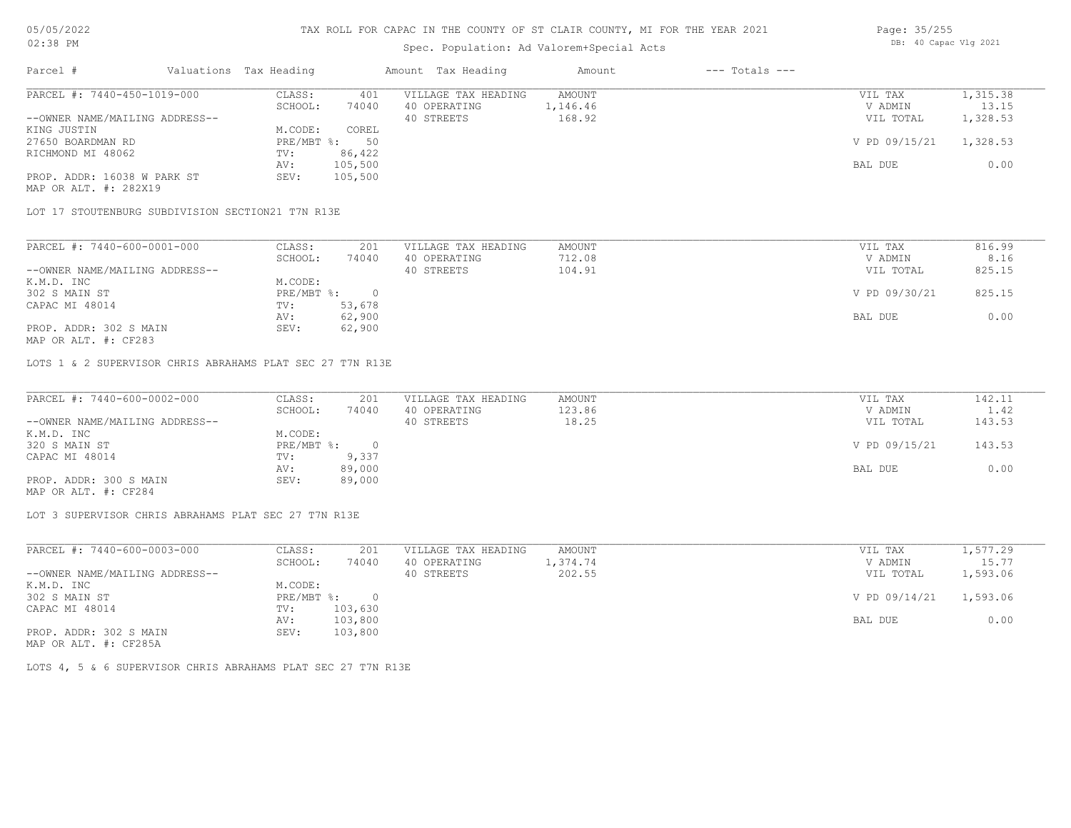## Spec. Population: Ad Valorem+Special Acts

| Page: 35/255 |                       |  |
|--------------|-----------------------|--|
|              | DB: 40 Capac Vlg 2021 |  |

| Parcel #                       | Valuations Tax Heading |         | Amount Tax Heading  | Amount   | $---$ Totals $---$ |               |          |
|--------------------------------|------------------------|---------|---------------------|----------|--------------------|---------------|----------|
| PARCEL #: 7440-450-1019-000    | CLASS:                 | 401     | VILLAGE TAX HEADING | AMOUNT   |                    | VIL TAX       | 1,315.38 |
|                                | SCHOOL:                | 74040   | 40 OPERATING        | 1,146.46 |                    | V ADMIN       | 13.15    |
| --OWNER NAME/MAILING ADDRESS-- |                        |         | 40 STREETS          | 168.92   |                    | VIL TOTAL     | 1,328.53 |
| KING JUSTIN                    | M.CODE:                | COREL   |                     |          |                    |               |          |
| 27650 BOARDMAN RD              | $PRE/MBT$ %:           | 50      |                     |          |                    | V PD 09/15/21 | 1,328.53 |
| RICHMOND MI 48062              | TV:                    | 86,422  |                     |          |                    |               |          |
|                                | AV:                    | 105,500 |                     |          |                    | BAL DUE       | 0.00     |
| PROP. ADDR: 16038 W PARK ST    | SEV:                   | 105,500 |                     |          |                    |               |          |
| MAP OR ALT. #: 282X19          |                        |         |                     |          |                    |               |          |

LOT 17 STOUTENBURG SUBDIVISION SECTION21 T7N R13E

| PARCEL #: 7440-600-0001-000    | CLASS:     | 201    | VILLAGE TAX HEADING | AMOUNT | VIL TAX       | 816.99 |
|--------------------------------|------------|--------|---------------------|--------|---------------|--------|
|                                | SCHOOL:    | 74040  | 40 OPERATING        | 712.08 | V ADMIN       | 8.16   |
| --OWNER NAME/MAILING ADDRESS-- |            |        | 40 STREETS          | 104.91 | VIL TOTAL     | 825.15 |
| K.M.D. INC                     | M.CODE:    |        |                     |        |               |        |
| 302 S MAIN ST                  | PRE/MBT %: |        |                     |        | V PD 09/30/21 | 825.15 |
| CAPAC MI 48014                 | TV:        | 53,678 |                     |        |               |        |
|                                | AV:        | 62,900 |                     |        | BAL DUE       | 0.00   |
| PROP. ADDR: 302 S MAIN         | SEV:       | 62,900 |                     |        |               |        |

MAP OR ALT. #: CF283

LOTS 1 & 2 SUPERVISOR CHRIS ABRAHAMS PLAT SEC 27 T7N R13E

| PARCEL #: 7440-600-0002-000    | CLASS:     | 201    | VILLAGE TAX HEADING | AMOUNT | VIL TAX       | 142.11 |
|--------------------------------|------------|--------|---------------------|--------|---------------|--------|
|                                | SCHOOL:    | 74040  | 40 OPERATING        | 123.86 | V ADMIN       | 1.42   |
| --OWNER NAME/MAILING ADDRESS-- |            |        | 40 STREETS          | 18.25  | VIL TOTAL     | 143.53 |
| K.M.D. INC                     | M.CODE:    |        |                     |        |               |        |
| 320 S MAIN ST                  | PRE/MBT %: | $\cap$ |                     |        | V PD 09/15/21 | 143.53 |
| CAPAC MI 48014                 | TV:        | 9,337  |                     |        |               |        |
|                                | AV:        | 89,000 |                     |        | BAL DUE       | 0.00   |
| PROP. ADDR: 300 S MAIN         | SEV:       | 89,000 |                     |        |               |        |
| MAP OR ALT. #: CF284           |            |        |                     |        |               |        |

 $\_$  , and the state of the state of the state of the state of the state of the state of the state of the state of the state of the state of the state of the state of the state of the state of the state of the state of the

LOT 3 SUPERVISOR CHRIS ABRAHAMS PLAT SEC 27 T7N R13E

| PARCEL #: 7440-600-0003-000                                                     | CLASS:     | 201     | VILLAGE TAX HEADING | AMOUNT   | VIL TAX       | 1,577.29 |
|---------------------------------------------------------------------------------|------------|---------|---------------------|----------|---------------|----------|
|                                                                                 | SCHOOL:    | 74040   | 40 OPERATING        | 1,374.74 | V ADMIN       | 15.77    |
| --OWNER NAME/MAILING ADDRESS--                                                  |            |         | 40 STREETS          | 202.55   | VIL TOTAL     | 1,593.06 |
| K.M.D. INC                                                                      | M.CODE:    |         |                     |          |               |          |
| 302 S MAIN ST                                                                   | PRE/MBT %: |         |                     |          | V PD 09/14/21 | 1,593.06 |
| CAPAC MI 48014                                                                  | TV:        | 103,630 |                     |          |               |          |
|                                                                                 | AV:        | 103,800 |                     |          | BAL DUE       | 0.00     |
| PROP. ADDR: 302 S MAIN<br>$\cdots$ $\cdots$ $\cdots$ $\cdots$ $\cdots$ $\cdots$ | SEV:       | 103,800 |                     |          |               |          |

MAP OR ALT. #: CF285A

LOTS 4, 5 & 6 SUPERVISOR CHRIS ABRAHAMS PLAT SEC 27 T7N R13E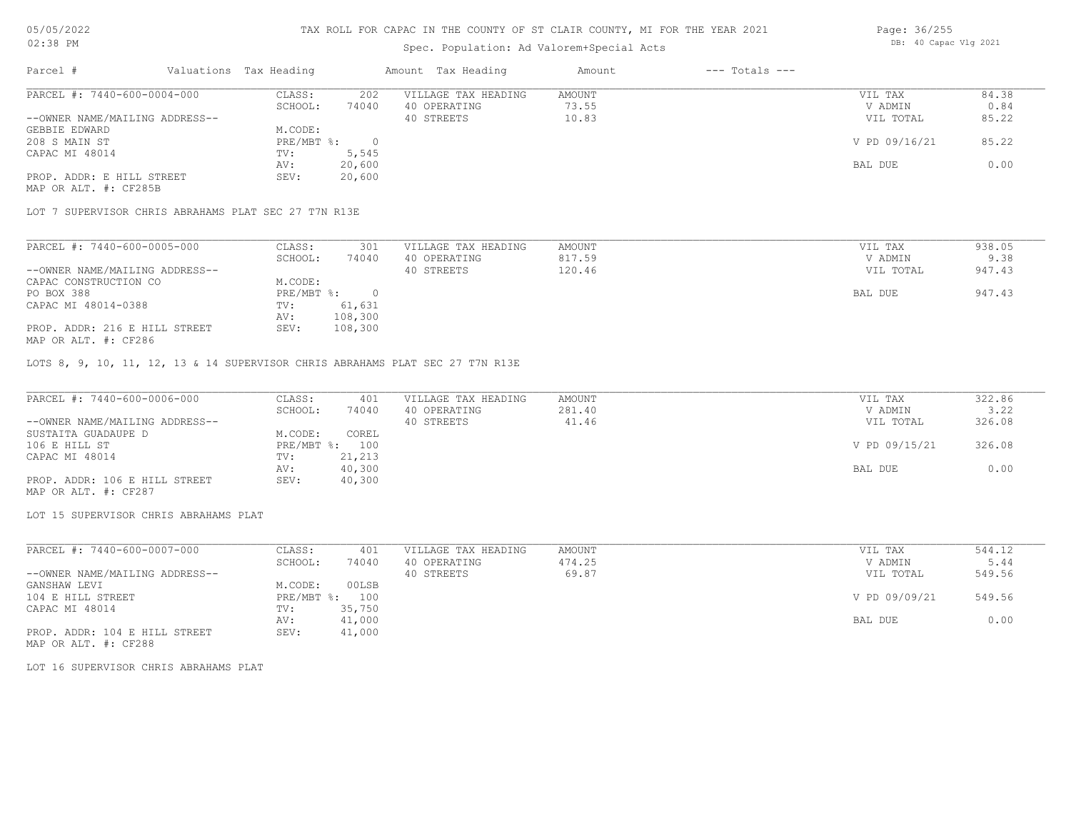### Spec. Population: Ad Valorem+Special Acts

| Page: 36/255 |  |                       |  |  |
|--------------|--|-----------------------|--|--|
|              |  | DB: 40 Capac Vlg 2021 |  |  |

| Parcel #                       | Valuations Tax Heading |        | Amount Tax Heading  | Amount | $---$ Totals $---$ |               |       |
|--------------------------------|------------------------|--------|---------------------|--------|--------------------|---------------|-------|
| PARCEL #: 7440-600-0004-000    | CLASS:                 | 202    | VILLAGE TAX HEADING | AMOUNT |                    | VIL TAX       | 84.38 |
|                                | SCHOOL:                | 74040  | 40 OPERATING        | 73.55  |                    | V ADMIN       | 0.84  |
| --OWNER NAME/MAILING ADDRESS-- |                        |        | 40 STREETS          | 10.83  |                    | VIL TOTAL     | 85.22 |
| GEBBIE EDWARD                  | M.CODE:                |        |                     |        |                    |               |       |
| 208 S MAIN ST                  | $PRE/MBT$ %:           |        |                     |        |                    | V PD 09/16/21 | 85.22 |
| CAPAC MI 48014                 | TV:                    | 5,545  |                     |        |                    |               |       |
|                                | AV:                    | 20,600 |                     |        |                    | BAL DUE       | 0.00  |
| PROP. ADDR: E HILL STREET      | SEV:                   | 20,600 |                     |        |                    |               |       |
| MAP OR ALT. #: CF285B          |                        |        |                     |        |                    |               |       |

LOT 7 SUPERVISOR CHRIS ABRAHAMS PLAT SEC 27 T7N R13E

| PARCEL #: 7440-600-0005-000    | CLASS:     | 301     | VILLAGE TAX HEADING | AMOUNT | VIL TAX   | 938.05 |
|--------------------------------|------------|---------|---------------------|--------|-----------|--------|
|                                | SCHOOL:    | 74040   | 40 OPERATING        | 817.59 | V ADMIN   | 9.38   |
| --OWNER NAME/MAILING ADDRESS-- |            |         | 40 STREETS          | 120.46 | VIL TOTAL | 947.43 |
| CAPAC CONSTRUCTION CO          | M.CODE:    |         |                     |        |           |        |
| PO BOX 388                     | PRE/MBT %: |         |                     |        | BAL DUE   | 947.43 |
| CAPAC MI 48014-0388            | TV:        | 61,631  |                     |        |           |        |
|                                | AV:        | 108,300 |                     |        |           |        |
| PROP. ADDR: 216 E HILL STREET  | SEV:       | 108,300 |                     |        |           |        |
| MAP OR ALT. #: CF286           |            |         |                     |        |           |        |

LOTS 8, 9, 10, 11, 12, 13 & 14 SUPERVISOR CHRIS ABRAHAMS PLAT SEC 27 T7N R13E

| PARCEL #: 7440-600-0006-000    | CLASS:  | 401            | VILLAGE TAX HEADING | AMOUNT | VIL TAX       | 322.86 |
|--------------------------------|---------|----------------|---------------------|--------|---------------|--------|
|                                | SCHOOL: | 74040          | 40 OPERATING        | 281.40 | V ADMIN       | 3.22   |
| --OWNER NAME/MAILING ADDRESS-- |         |                | 40 STREETS          | 41.46  | VIL TOTAL     | 326.08 |
| SUSTAITA GUADAUPE D            | M.CODE: | COREL          |                     |        |               |        |
| 106 E HILL ST                  |         | PRE/MBT %: 100 |                     |        | V PD 09/15/21 | 326.08 |
| CAPAC MI 48014                 | TV:     | 21,213         |                     |        |               |        |
|                                | AV:     | 40,300         |                     |        | BAL DUE       | 0.00   |
| PROP. ADDR: 106 E HILL STREET  | SEV:    | 40,300         |                     |        |               |        |
| MAP OR ALT. #: CF287           |         |                |                     |        |               |        |

LOT 15 SUPERVISOR CHRIS ABRAHAMS PLAT

| PARCEL #: 7440-600-0007-000    | CLASS:     | 401    | VILLAGE TAX HEADING | AMOUNT | VIL TAX       | 544.12 |
|--------------------------------|------------|--------|---------------------|--------|---------------|--------|
|                                | SCHOOL:    | 74040  | 40 OPERATING        | 474.25 | V ADMIN       | 5.44   |
| --OWNER NAME/MAILING ADDRESS-- |            |        | 40 STREETS          | 69.87  | VIL TOTAL     | 549.56 |
| GANSHAW LEVI                   | M.CODE:    | 00LSB  |                     |        |               |        |
| 104 E HILL STREET              | PRE/MBT %: | 100    |                     |        | V PD 09/09/21 | 549.56 |
| CAPAC MI 48014                 | TV:        | 35,750 |                     |        |               |        |
|                                | AV:        | 41,000 |                     |        | BAL DUE       | 0.00   |
| PROP. ADDR: 104 E HILL STREET  | SEV:       | 41,000 |                     |        |               |        |

MAP OR ALT. #: CF288

LOT 16 SUPERVISOR CHRIS ABRAHAMS PLAT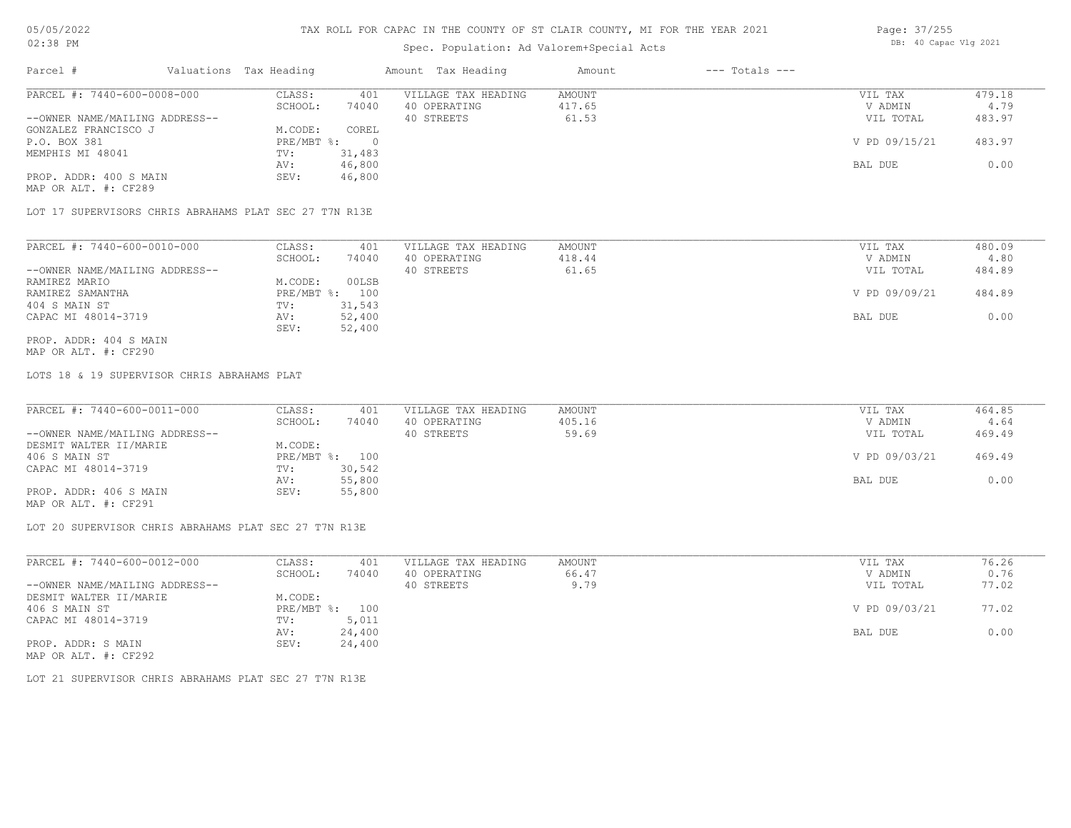# Spec. Population: Ad Valorem+Special Acts

| Page: 37/255 |                       |  |
|--------------|-----------------------|--|
|              | DB: 40 Capac Vlg 2021 |  |

| Parcel #                       | Valuations Tax Heading |        | Amount Tax Heading  | Amount | $---$ Totals $---$ |               |        |
|--------------------------------|------------------------|--------|---------------------|--------|--------------------|---------------|--------|
| PARCEL #: 7440-600-0008-000    | CLASS:                 | 401    | VILLAGE TAX HEADING | AMOUNT |                    | VIL TAX       | 479.18 |
|                                | SCHOOL:                | 74040  | 40 OPERATING        | 417.65 |                    | V ADMIN       | 4.79   |
| --OWNER NAME/MAILING ADDRESS-- |                        |        | 40 STREETS          | 61.53  |                    | VIL TOTAL     | 483.97 |
| GONZALEZ FRANCISCO J           | M.CODE:                | COREL  |                     |        |                    |               |        |
| P.O. BOX 381                   | PRE/MBT %:             |        |                     |        |                    | V PD 09/15/21 | 483.97 |
| MEMPHIS MI 48041               | TV:                    | 31,483 |                     |        |                    |               |        |
|                                | AV:                    | 46,800 |                     |        |                    | BAL DUE       | 0.00   |
| PROP. ADDR: 400 S MAIN         | SEV:                   | 46,800 |                     |        |                    |               |        |
| MAP OR ALT. #: CF289           |                        |        |                     |        |                    |               |        |

LOT 17 SUPERVISORS CHRIS ABRAHAMS PLAT SEC 27 T7N R13E

| PARCEL #: 7440-600-0010-000    | CLASS:     | 401    | VILLAGE TAX HEADING | AMOUNT | VIL TAX       | 480.09 |
|--------------------------------|------------|--------|---------------------|--------|---------------|--------|
|                                | SCHOOL:    | 74040  | 40 OPERATING        | 418.44 | V ADMIN       | 4.80   |
| --OWNER NAME/MAILING ADDRESS-- |            |        | 40 STREETS          | 61.65  | VIL TOTAL     | 484.89 |
| RAMIREZ MARIO                  | M.CODE:    | 00LSB  |                     |        |               |        |
| RAMIREZ SAMANTHA               | PRE/MBT %: | 100    |                     |        | V PD 09/09/21 | 484.89 |
| 404 S MAIN ST                  | TV:        | 31,543 |                     |        |               |        |
| CAPAC MI 48014-3719            | AV:        | 52,400 |                     |        | BAL DUE       | 0.00   |
|                                | SEV:       | 52,400 |                     |        |               |        |
| PROP. ADDR: 404 S MAIN         |            |        |                     |        |               |        |

MAP OR ALT. #: CF290

LOTS 18 & 19 SUPERVISOR CHRIS ABRAHAMS PLAT

| PARCEL #: 7440-600-0011-000    | CLASS:  | 401            | VILLAGE TAX HEADING | AMOUNT | VIL TAX       | 464.85 |
|--------------------------------|---------|----------------|---------------------|--------|---------------|--------|
|                                | SCHOOL: | 74040          | 40 OPERATING        | 405.16 | V ADMIN       | 4.64   |
| --OWNER NAME/MAILING ADDRESS-- |         |                | 40 STREETS          | 59.69  | VIL TOTAL     | 469.49 |
| DESMIT WALTER II/MARIE         | M.CODE: |                |                     |        |               |        |
| 406 S MAIN ST                  |         | PRE/MBT %: 100 |                     |        | V PD 09/03/21 | 469.49 |
| CAPAC MI 48014-3719            | TV:     | 30,542         |                     |        |               |        |
|                                | AV:     | 55,800         |                     |        | BAL DUE       | 0.00   |
| PROP. ADDR: 406 S MAIN         | SEV:    | 55,800         |                     |        |               |        |
|                                |         |                |                     |        |               |        |

MAP OR ALT. #: CF291

LOT 20 SUPERVISOR CHRIS ABRAHAMS PLAT SEC 27 T7N R13E

| PARCEL #: 7440-600-0012-000    | CLASS:     | 401    | VILLAGE TAX HEADING | AMOUNT | VIL TAX       | 76.26 |
|--------------------------------|------------|--------|---------------------|--------|---------------|-------|
|                                | SCHOOL:    | 74040  | 40 OPERATING        | 66.47  | V ADMIN       | 0.76  |
| --OWNER NAME/MAILING ADDRESS-- |            |        | 40 STREETS          | 9.79   | VIL TOTAL     | 77.02 |
| DESMIT WALTER II/MARIE         | M.CODE:    |        |                     |        |               |       |
| 406 S MAIN ST                  | PRE/MBT %: | 100    |                     |        | V PD 09/03/21 | 77.02 |
| CAPAC MI 48014-3719            | TV:        | 5,011  |                     |        |               |       |
|                                | AV:        | 24,400 |                     |        | BAL DUE       | 0.00  |
| PROP. ADDR: S MAIN             | SEV:       | 24,400 |                     |        |               |       |
| MAP OR ALT. #: CF292           |            |        |                     |        |               |       |

LOT 21 SUPERVISOR CHRIS ABRAHAMS PLAT SEC 27 T7N R13E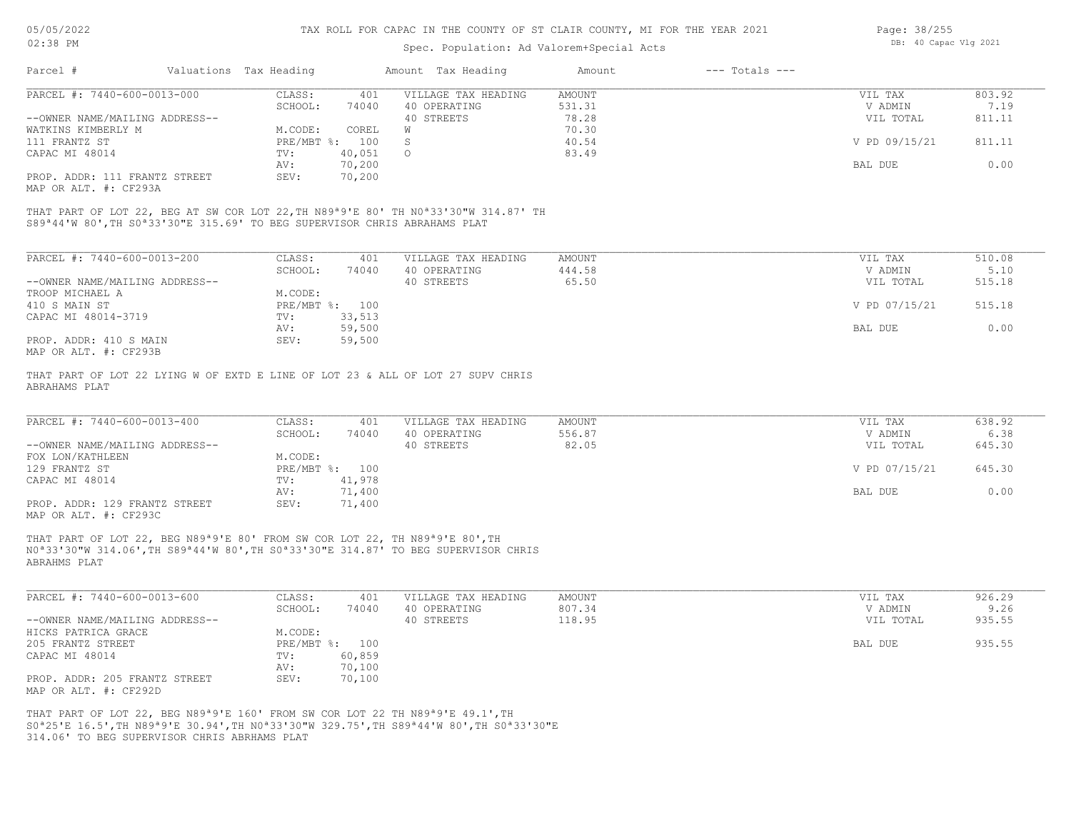# Spec. Population: Ad Valorem+Special Acts

| Page: 38/255 |                       |  |
|--------------|-----------------------|--|
|              | DB: 40 Capac Vlg 2021 |  |

| Parcel #                       | Valuations Tax Heading |        | Amount Tax Heading  | Amount | $---$ Totals $---$ |               |        |
|--------------------------------|------------------------|--------|---------------------|--------|--------------------|---------------|--------|
| PARCEL #: 7440-600-0013-000    | CLASS:                 | 401    | VILLAGE TAX HEADING | AMOUNT |                    | VIL TAX       | 803.92 |
|                                | SCHOOL:                | 74040  | 40 OPERATING        | 531.31 |                    | V ADMIN       | 7.19   |
| --OWNER NAME/MAILING ADDRESS-- |                        |        | 40 STREETS          | 78.28  |                    | VIL TOTAL     | 811.11 |
| WATKINS KIMBERLY M             | M.CODE:                | COREL  |                     | 70.30  |                    |               |        |
| 111 FRANTZ ST                  | $PRE/MBT$ %:           | 100    |                     | 40.54  |                    | V PD 09/15/21 | 811.11 |
| CAPAC MI 48014                 | TV:                    | 40,051 | $\Omega$            | 83.49  |                    |               |        |
|                                | AV:                    | 70,200 |                     |        |                    | BAL DUE       | 0.00   |
| PROP. ADDR: 111 FRANTZ STREET  | SEV:                   | 70,200 |                     |        |                    |               |        |
| MAP OR ALT. #: CF293A          |                        |        |                     |        |                    |               |        |

S89ª44'W 80',TH S0ª33'30"E 315.69' TO BEG SUPERVISOR CHRIS ABRAHAMS PLAT THAT PART OF LOT 22, BEG AT SW COR LOT 22,TH N89ª9'E 80' TH N0ª33'30"W 314.87' TH

| PARCEL #: 7440-600-0013-200    | CLASS:       | 401    | VILLAGE TAX HEADING | AMOUNT | VIL TAX       | 510.08 |
|--------------------------------|--------------|--------|---------------------|--------|---------------|--------|
|                                | SCHOOL:      | 74040  | 40 OPERATING        | 444.58 | V ADMIN       | 5.10   |
| --OWNER NAME/MAILING ADDRESS-- |              |        | 40 STREETS          | 65.50  | VIL TOTAL     | 515.18 |
| TROOP MICHAEL A                | M.CODE:      |        |                     |        |               |        |
| 410 S MAIN ST                  | $PRE/MBT$ %: | 100    |                     |        | V PD 07/15/21 | 515.18 |
| CAPAC MI 48014-3719            | TV:          | 33,513 |                     |        |               |        |
|                                | AV:          | 59,500 |                     |        | BAL DUE       | 0.00   |
| PROP. ADDR: 410 S MAIN         | SEV:         | 59,500 |                     |        |               |        |
| תכמכתים  וחזג תם תגזון         |              |        |                     |        |               |        |

MAP OR ALT. #: CF293B

ABRAHAMS PLAT THAT PART OF LOT 22 LYING W OF EXTD E LINE OF LOT 23 & ALL OF LOT 27 SUPV CHRIS

| PARCEL #: 7440-600-0013-400    | CLASS:         | 401    | VILLAGE TAX HEADING | AMOUNT | VIL TAX       | 638.92 |
|--------------------------------|----------------|--------|---------------------|--------|---------------|--------|
|                                | SCHOOL:        | 74040  | 40 OPERATING        | 556.87 | V ADMIN       | 6.38   |
| --OWNER NAME/MAILING ADDRESS-- |                |        | 40 STREETS          | 82.05  | VIL TOTAL     | 645.30 |
| FOX LON/KATHLEEN               | M.CODE:        |        |                     |        |               |        |
| 129 FRANTZ ST                  | PRE/MBT %: 100 |        |                     |        | V PD 07/15/21 | 645.30 |
| CAPAC MI 48014                 | TV:            | 41,978 |                     |        |               |        |
|                                | AV:            | 71,400 |                     |        | BAL DUE       | 0.00   |
| PROP. ADDR: 129 FRANTZ STREET  | SEV:           | 71,400 |                     |        |               |        |

MAP OR ALT. #: CF293C

ABRAHMS PLAT N0ª33'30"W 314.06',TH S89ª44'W 80',TH S0ª33'30"E 314.87' TO BEG SUPERVISOR CHRIS THAT PART OF LOT 22, BEG N89ª9'E 80' FROM SW COR LOT 22, TH N89ª9'E 80',TH

| PARCEL #: 7440-600-0013-600    | CLASS:  | 401            | VILLAGE TAX HEADING | AMOUNT | VIL TAX   | 926.29 |
|--------------------------------|---------|----------------|---------------------|--------|-----------|--------|
|                                | SCHOOL: | 74040          | 40 OPERATING        | 807.34 | V ADMIN   | 9.26   |
| --OWNER NAME/MAILING ADDRESS-- |         |                | 40 STREETS          | 118.95 | VIL TOTAL | 935.55 |
| HICKS PATRICA GRACE            | M.CODE: |                |                     |        |           |        |
| 205 FRANTZ STREET              |         | PRE/MBT %: 100 |                     |        | BAL DUE   | 935.55 |
| CAPAC MI 48014                 | TV:     | 60,859         |                     |        |           |        |
|                                | AV:     | 70,100         |                     |        |           |        |
| PROP. ADDR: 205 FRANTZ STREET  | SEV:    | 70,100         |                     |        |           |        |
| MAP OR ALT. #: CF292D          |         |                |                     |        |           |        |

314.06' TO BEG SUPERVISOR CHRIS ABRHAMS PLAT S0ª25'E 16.5',TH N89ª9'E 30.94',TH N0ª33'30"W 329.75',TH S89ª44'W 80',TH S0ª33'30"E THAT PART OF LOT 22, BEG N89ª9'E 160' FROM SW COR LOT 22 TH N89ª9'E 49.1',TH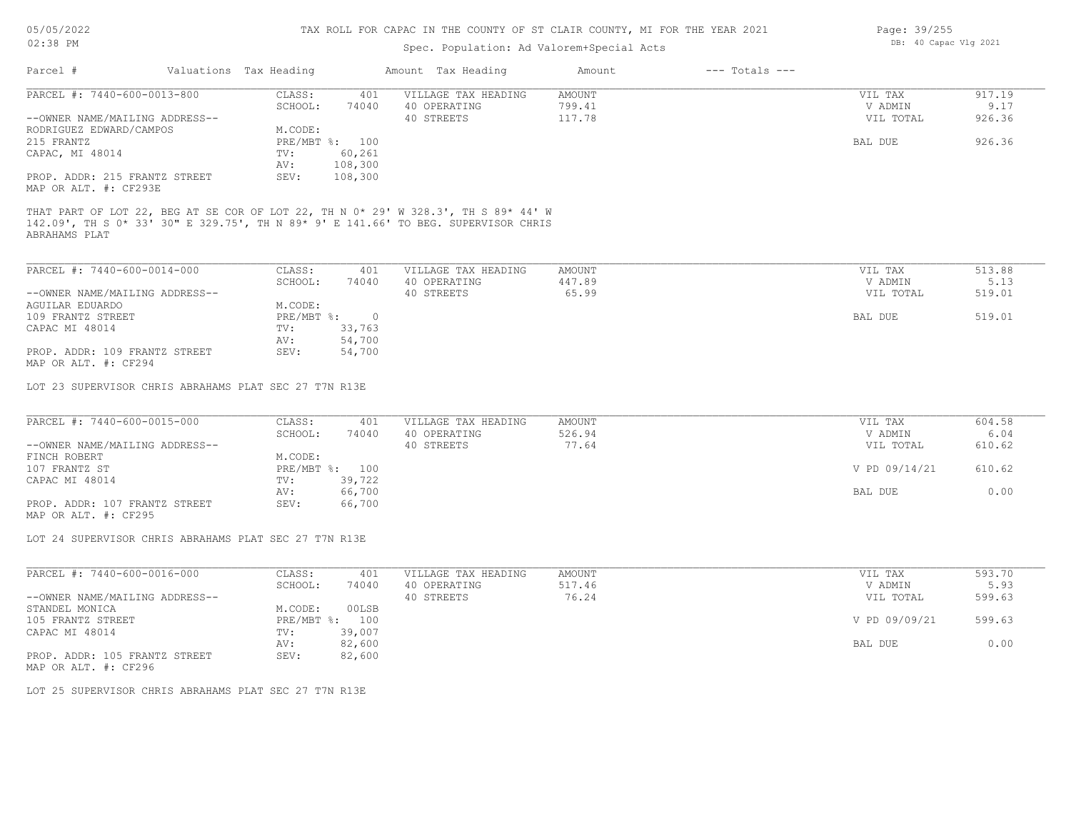| Page: 39/255 |                      |  |
|--------------|----------------------|--|
|              | DB: 40 Capac Vlg 202 |  |

| 02:38 PM                                              |  |                        |                | Spec. Population: Ad Valorem+Special Acts                                                                                                                                | DB: 40 Capac Vlg 2021 |                    |               |        |
|-------------------------------------------------------|--|------------------------|----------------|--------------------------------------------------------------------------------------------------------------------------------------------------------------------------|-----------------------|--------------------|---------------|--------|
| Parcel #                                              |  | Valuations Tax Heading |                | Amount Tax Heading                                                                                                                                                       | Amount                | $---$ Totals $---$ |               |        |
| PARCEL #: 7440-600-0013-800                           |  | CLASS:                 | 401            | VILLAGE TAX HEADING                                                                                                                                                      | <b>AMOUNT</b>         |                    | VIL TAX       | 917.19 |
|                                                       |  | SCHOOL:                | 74040          | 40 OPERATING                                                                                                                                                             | 799.41                |                    | V ADMIN       | 9.17   |
| --OWNER NAME/MAILING ADDRESS--                        |  |                        |                | 40 STREETS                                                                                                                                                               | 117.78                |                    | VIL TOTAL     | 926.36 |
| RODRIGUEZ EDWARD/CAMPOS                               |  | M.CODE:                |                |                                                                                                                                                                          |                       |                    |               |        |
| 215 FRANTZ                                            |  |                        | PRE/MBT %: 100 |                                                                                                                                                                          |                       |                    | BAL DUE       | 926.36 |
| CAPAC, MI 48014                                       |  | TV:                    | 60,261         |                                                                                                                                                                          |                       |                    |               |        |
|                                                       |  | AV:                    | 108,300        |                                                                                                                                                                          |                       |                    |               |        |
| PROP. ADDR: 215 FRANTZ STREET                         |  | SEV:                   | 108,300        |                                                                                                                                                                          |                       |                    |               |        |
| MAP OR ALT. #: CF293E                                 |  |                        |                |                                                                                                                                                                          |                       |                    |               |        |
| ABRAHAMS PLAT                                         |  |                        |                | THAT PART OF LOT 22, BEG AT SE COR OF LOT 22, TH N 0* 29' W 328.3', TH S 89* 44' W<br>142.09', TH S 0* 33' 30" E 329.75', TH N 89* 9' E 141.66' TO BEG. SUPERVISOR CHRIS |                       |                    |               |        |
| PARCEL #: 7440-600-0014-000                           |  | CLASS:                 | 401            | VILLAGE TAX HEADING                                                                                                                                                      | <b>AMOUNT</b>         |                    | VIL TAX       | 513.88 |
|                                                       |  | SCHOOL:                | 74040          | 40 OPERATING                                                                                                                                                             | 447.89                |                    | V ADMIN       | 5.13   |
| --OWNER NAME/MAILING ADDRESS--                        |  |                        |                | 40 STREETS                                                                                                                                                               | 65.99                 |                    | VIL TOTAL     | 519.01 |
| AGUILAR EDUARDO                                       |  | M.CODE:                |                |                                                                                                                                                                          |                       |                    |               |        |
| 109 FRANTZ STREET                                     |  | PRE/MBT %:             | $\overline{0}$ |                                                                                                                                                                          |                       |                    | BAL DUE       | 519.01 |
| CAPAC MI 48014                                        |  | TV:                    | 33,763         |                                                                                                                                                                          |                       |                    |               |        |
|                                                       |  | AV:                    | 54,700         |                                                                                                                                                                          |                       |                    |               |        |
| PROP. ADDR: 109 FRANTZ STREET                         |  | SEV:                   | 54,700         |                                                                                                                                                                          |                       |                    |               |        |
| MAP OR ALT. #: CF294                                  |  |                        |                |                                                                                                                                                                          |                       |                    |               |        |
| LOT 23 SUPERVISOR CHRIS ABRAHAMS PLAT SEC 27 T7N R13E |  |                        |                |                                                                                                                                                                          |                       |                    |               |        |
| PARCEL #: 7440-600-0015-000                           |  | CLASS:                 | 401            | VILLAGE TAX HEADING                                                                                                                                                      | <b>AMOUNT</b>         |                    | VIL TAX       | 604.58 |
|                                                       |  | SCHOOL:                | 74040          | 40 OPERATING                                                                                                                                                             | 526.94                |                    | V ADMIN       | 6.04   |
| --OWNER NAME/MAILING ADDRESS--                        |  |                        |                | 40 STREETS                                                                                                                                                               | 77.64                 |                    | VIL TOTAL     | 610.62 |
| FINCH ROBERT                                          |  | M.CODE:                |                |                                                                                                                                                                          |                       |                    |               |        |
| 107 FRANTZ ST                                         |  |                        | PRE/MBT %: 100 |                                                                                                                                                                          |                       |                    | V PD 09/14/21 | 610.62 |
| CAPAC MI 48014                                        |  | TV:                    | 39,722         |                                                                                                                                                                          |                       |                    |               |        |
|                                                       |  | AV:                    | 66,700         |                                                                                                                                                                          |                       |                    | BAL DUE       | 0.00   |
| PROP. ADDR: 107 FRANTZ STREET                         |  | SEV:                   | 66,700         |                                                                                                                                                                          |                       |                    |               |        |
| MAP OR ALT. #: CF295                                  |  |                        |                |                                                                                                                                                                          |                       |                    |               |        |
| LOT 24 SUPERVISOR CHRIS ABRAHAMS PLAT SEC 27 T7N R13E |  |                        |                |                                                                                                                                                                          |                       |                    |               |        |
|                                                       |  |                        |                |                                                                                                                                                                          |                       |                    |               |        |
| PARCEL #: 7440-600-0016-000                           |  | CLASS:                 | 401            | VILLAGE TAX HEADING                                                                                                                                                      | <b>AMOUNT</b>         |                    | VIL TAX       | 593.70 |
|                                                       |  | SCHOOL:                | 74040          | 40 OPERATING                                                                                                                                                             | 517.46                |                    | V ADMIN       | 5.93   |
| --OWNER NAME/MAILING ADDRESS--                        |  |                        |                | 40 STREETS                                                                                                                                                               | 76.24                 |                    | VIL TOTAL     | 599.63 |
| STANDEL MONICA                                        |  | M.CODE:                | 00LSB          |                                                                                                                                                                          |                       |                    |               |        |
| 105 FRANTZ STREET                                     |  |                        | PRE/MBT %: 100 |                                                                                                                                                                          |                       |                    | V PD 09/09/21 | 599.63 |
| CAPAC MI 48014                                        |  | TV:                    | 39,007         |                                                                                                                                                                          |                       |                    |               |        |
|                                                       |  | AV:                    | 82,600         |                                                                                                                                                                          |                       |                    | BAL DUE       | 0.00   |

AV: 82,600 BAL DUE 0.00

MAP OR ALT. #: CF296 PROP. ADDR: 105 FRANTZ STREET SEV: 82,600

LOT 25 SUPERVISOR CHRIS ABRAHAMS PLAT SEC 27 T7N R13E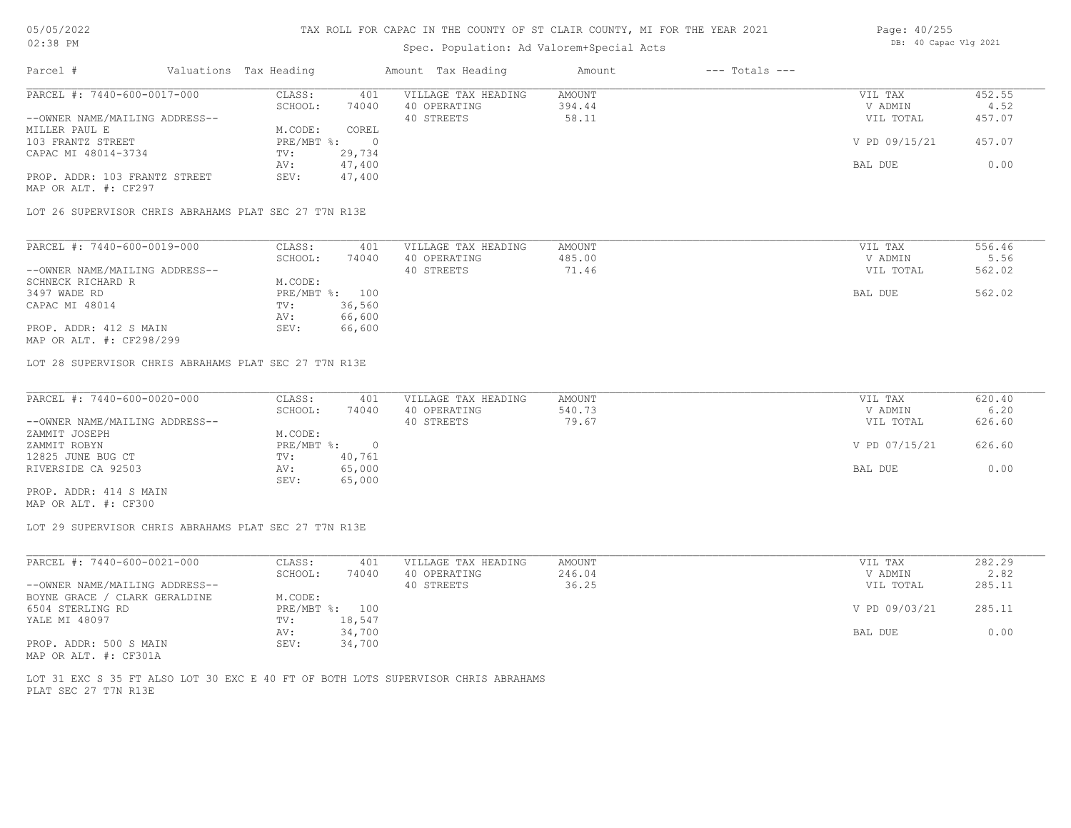# Spec. Population: Ad Valorem+Special Acts

| Page: 40/255 |                       |  |
|--------------|-----------------------|--|
|              | DB: 40 Capac Vlg 2021 |  |

| Parcel #                       | Valuations Tax Heading |        | Amount Tax Heading  | Amount | $---$ Totals $---$ |               |        |
|--------------------------------|------------------------|--------|---------------------|--------|--------------------|---------------|--------|
| PARCEL #: 7440-600-0017-000    | CLASS:                 | 401    | VILLAGE TAX HEADING | AMOUNT |                    | VIL TAX       | 452.55 |
|                                | SCHOOL:                | 74040  | 40 OPERATING        | 394.44 |                    | V ADMIN       | 4.52   |
| --OWNER NAME/MAILING ADDRESS-- |                        |        | 40 STREETS          | 58.11  |                    | VIL TOTAL     | 457.07 |
| MILLER PAUL E                  | M.CODE:                | COREL  |                     |        |                    |               |        |
| 103 FRANTZ STREET              | PRE/MBT %:             |        |                     |        |                    | V PD 09/15/21 | 457.07 |
| CAPAC MI 48014-3734            | TV:                    | 29,734 |                     |        |                    |               |        |
|                                | AV:                    | 47,400 |                     |        |                    | BAL DUE       | 0.00   |
| PROP. ADDR: 103 FRANTZ STREET  | SEV:                   | 47,400 |                     |        |                    |               |        |
| MAP OR ALT. #: CF297           |                        |        |                     |        |                    |               |        |

LOT 26 SUPERVISOR CHRIS ABRAHAMS PLAT SEC 27 T7N R13E

| PARCEL #: 7440-600-0019-000    | CLASS:  | 401            | VILLAGE TAX HEADING | AMOUNT | VIL TAX   | 556.46 |
|--------------------------------|---------|----------------|---------------------|--------|-----------|--------|
|                                | SCHOOL: | 74040          | 40 OPERATING        | 485.00 | V ADMIN   | 5.56   |
| --OWNER NAME/MAILING ADDRESS-- |         |                | 40 STREETS          | 71.46  | VIL TOTAL | 562.02 |
| SCHNECK RICHARD R              | M.CODE: |                |                     |        |           |        |
| 3497 WADE RD                   |         | PRE/MBT %: 100 |                     |        | BAL DUE   | 562.02 |
| CAPAC MI 48014                 | TV:     | 36,560         |                     |        |           |        |
|                                | AV:     | 66,600         |                     |        |           |        |
| PROP. ADDR: 412 S MAIN         | SEV:    | 66,600         |                     |        |           |        |
| MAP OR ALT. #: CF298/299       |         |                |                     |        |           |        |

LOT 28 SUPERVISOR CHRIS ABRAHAMS PLAT SEC 27 T7N R13E

| PARCEL #: 7440-600-0020-000    | CLASS:       | 401    | VILLAGE TAX HEADING | AMOUNT | VIL TAX       | 620.40 |
|--------------------------------|--------------|--------|---------------------|--------|---------------|--------|
|                                | SCHOOL:      | 74040  | 40 OPERATING        | 540.73 | V ADMIN       | 6.20   |
| --OWNER NAME/MAILING ADDRESS-- |              |        | 40 STREETS          | 79.67  | VIL TOTAL     | 626.60 |
| ZAMMIT JOSEPH                  | M.CODE:      |        |                     |        |               |        |
| ZAMMIT ROBYN                   | $PRE/MBT$ %: |        |                     |        | V PD 07/15/21 | 626.60 |
| 12825 JUNE BUG CT              | TV:          | 40,761 |                     |        |               |        |
| RIVERSIDE CA 92503             | AV:          | 65,000 |                     |        | BAL DUE       | 0.00   |
|                                | SEV:         | 65,000 |                     |        |               |        |
| PROP. ADDR: 414 S MAIN         |              |        |                     |        |               |        |

MAP OR ALT. #: CF300

LOT 29 SUPERVISOR CHRIS ABRAHAMS PLAT SEC 27 T7N R13E

| PARCEL #: 7440-600-0021-000    | CLASS:         | 401    | VILLAGE TAX HEADING | AMOUNT | VIL TAX       | 282.29 |
|--------------------------------|----------------|--------|---------------------|--------|---------------|--------|
|                                | SCHOOL:        | 74040  | 40 OPERATING        | 246.04 | V ADMIN       | 2.82   |
| --OWNER NAME/MAILING ADDRESS-- |                |        | 40 STREETS          | 36.25  | VIL TOTAL     | 285.11 |
| BOYNE GRACE / CLARK GERALDINE  | M.CODE:        |        |                     |        |               |        |
| 6504 STERLING RD               | PRE/MBT %: 100 |        |                     |        | V PD 09/03/21 | 285.11 |
| YALE MI 48097                  | TV:            | 18,547 |                     |        |               |        |
|                                | AV:            | 34,700 |                     |        | BAL DUE       | 0.00   |
| PROP. ADDR: 500 S MAIN         | SEV:           | 34,700 |                     |        |               |        |
|                                |                |        |                     |        |               |        |

MAP OR ALT. #: CF301A

PLAT SEC 27 T7N R13E LOT 31 EXC S 35 FT ALSO LOT 30 EXC E 40 FT OF BOTH LOTS SUPERVISOR CHRIS ABRAHAMS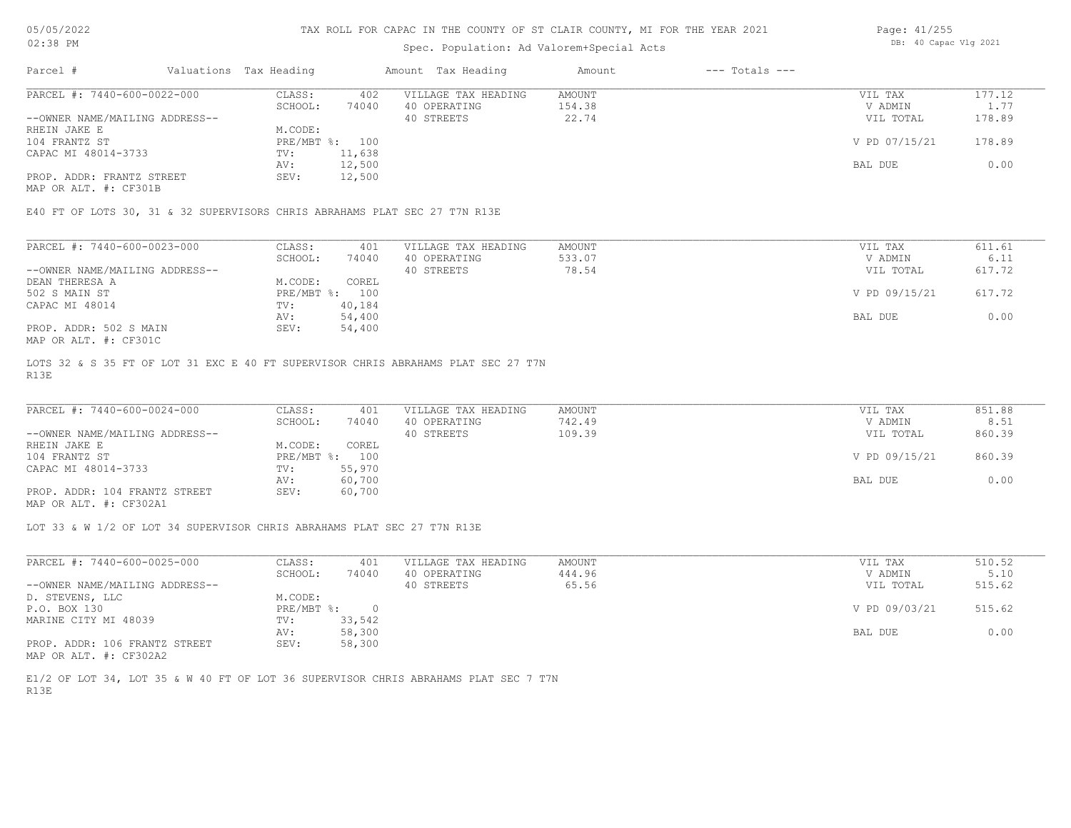# Spec. Population: Ad Valorem+Special Acts

| Page: 41/255 |                       |  |
|--------------|-----------------------|--|
|              | DB: 40 Capac Vlg 2021 |  |

| Parcel #                       | Valuations Tax Heading |        | Amount Tax Heading  | Amount | $---$ Totals $---$ |               |        |
|--------------------------------|------------------------|--------|---------------------|--------|--------------------|---------------|--------|
| PARCEL #: 7440-600-0022-000    | CLASS:                 | 402    | VILLAGE TAX HEADING | AMOUNT |                    | VIL TAX       | 177.12 |
|                                | SCHOOL:                | 74040  | 40 OPERATING        | 154.38 |                    | V ADMIN       | 1.77   |
| --OWNER NAME/MAILING ADDRESS-- |                        |        | 40 STREETS          | 22.74  |                    | VIL TOTAL     | 178.89 |
| RHEIN JAKE E                   | M.CODE:                |        |                     |        |                    |               |        |
| 104 FRANTZ ST                  | PRE/MBT %: 100         |        |                     |        |                    | V PD 07/15/21 | 178.89 |
| CAPAC MI 48014-3733            | TV:                    | 11,638 |                     |        |                    |               |        |
|                                | AV:                    | 12,500 |                     |        |                    | BAL DUE       | 0.00   |
| PROP. ADDR: FRANTZ STREET      | SEV:                   | 12,500 |                     |        |                    |               |        |
|                                |                        |        |                     |        |                    |               |        |

MAP OR ALT. #: CF301B

E40 FT OF LOTS 30, 31 & 32 SUPERVISORS CHRIS ABRAHAMS PLAT SEC 27 T7N R13E

| PARCEL #: 7440-600-0023-000    | CLASS:     | 401    | VILLAGE TAX HEADING | AMOUNT | VIL TAX       | 611.61 |
|--------------------------------|------------|--------|---------------------|--------|---------------|--------|
|                                | SCHOOL:    | 74040  | 40 OPERATING        | 533.07 | V ADMIN       | 6.11   |
| --OWNER NAME/MAILING ADDRESS-- |            |        | 40 STREETS          | 78.54  | VIL TOTAL     | 617.72 |
| DEAN THERESA A                 | M.CODE:    | COREL  |                     |        |               |        |
| 502 S MAIN ST                  | PRE/MBT %: | 100    |                     |        | V PD 09/15/21 | 617.72 |
| CAPAC MI 48014                 | TV:        | 40,184 |                     |        |               |        |
|                                | AV:        | 54,400 |                     |        | BAL DUE       | 0.00   |
| PROP. ADDR: 502 S MAIN         | SEV:       | 54,400 |                     |        |               |        |
| MAP OR ALT. #: CF301C          |            |        |                     |        |               |        |

R13E LOTS 32 & S 35 FT OF LOT 31 EXC E 40 FT SUPERVISOR CHRIS ABRAHAMS PLAT SEC 27 T7N

| PARCEL #: 7440-600-0024-000    | CLASS:       | 401    | VILLAGE TAX HEADING | AMOUNT | VIL TAX       | 851.88 |
|--------------------------------|--------------|--------|---------------------|--------|---------------|--------|
|                                | SCHOOL:      | 74040  | 40 OPERATING        | 742.49 | V ADMIN       | 8.51   |
| --OWNER NAME/MAILING ADDRESS-- |              |        | 40 STREETS          | 109.39 | VIL TOTAL     | 860.39 |
| RHEIN JAKE E                   | M.CODE:      | COREL  |                     |        |               |        |
| 104 FRANTZ ST                  | $PRE/MBT$ %: | 100    |                     |        | V PD 09/15/21 | 860.39 |
| CAPAC MI 48014-3733            | TV:          | 55,970 |                     |        |               |        |
|                                | AV:          | 60,700 |                     |        | BAL DUE       | 0.00   |
| PROP. ADDR: 104 FRANTZ STREET  | SEV:         | 60,700 |                     |        |               |        |
| MAP OR ALT. #: CF302A1         |              |        |                     |        |               |        |

 $\_$  , and the state of the state of the state of the state of the state of the state of the state of the state of the state of the state of the state of the state of the state of the state of the state of the state of the

LOT 33 & W 1/2 OF LOT 34 SUPERVISOR CHRIS ABRAHAMS PLAT SEC 27 T7N R13E

| PARCEL #: 7440-600-0025-000    | CLASS:     | 401    | VILLAGE TAX HEADING | AMOUNT | VIL TAX       | 510.52 |
|--------------------------------|------------|--------|---------------------|--------|---------------|--------|
|                                | SCHOOL:    | 74040  | 40 OPERATING        | 444.96 | V ADMIN       | 5.10   |
| --OWNER NAME/MAILING ADDRESS-- |            |        | 40 STREETS          | 65.56  | VIL TOTAL     | 515.62 |
| D. STEVENS, LLC                | M.CODE:    |        |                     |        |               |        |
| P.O. BOX 130                   | PRE/MBT %: |        |                     |        | V PD 09/03/21 | 515.62 |
| MARINE CITY MI 48039           | TV:        | 33,542 |                     |        |               |        |
|                                | AV:        | 58,300 |                     |        | BAL DUE       | 0.00   |
| PROP. ADDR: 106 FRANTZ STREET  | SEV:       | 58,300 |                     |        |               |        |
| MAP OR ALT. #: CF302A2         |            |        |                     |        |               |        |

R13E E1/2 OF LOT 34, LOT 35 & W 40 FT OF LOT 36 SUPERVISOR CHRIS ABRAHAMS PLAT SEC 7 T7N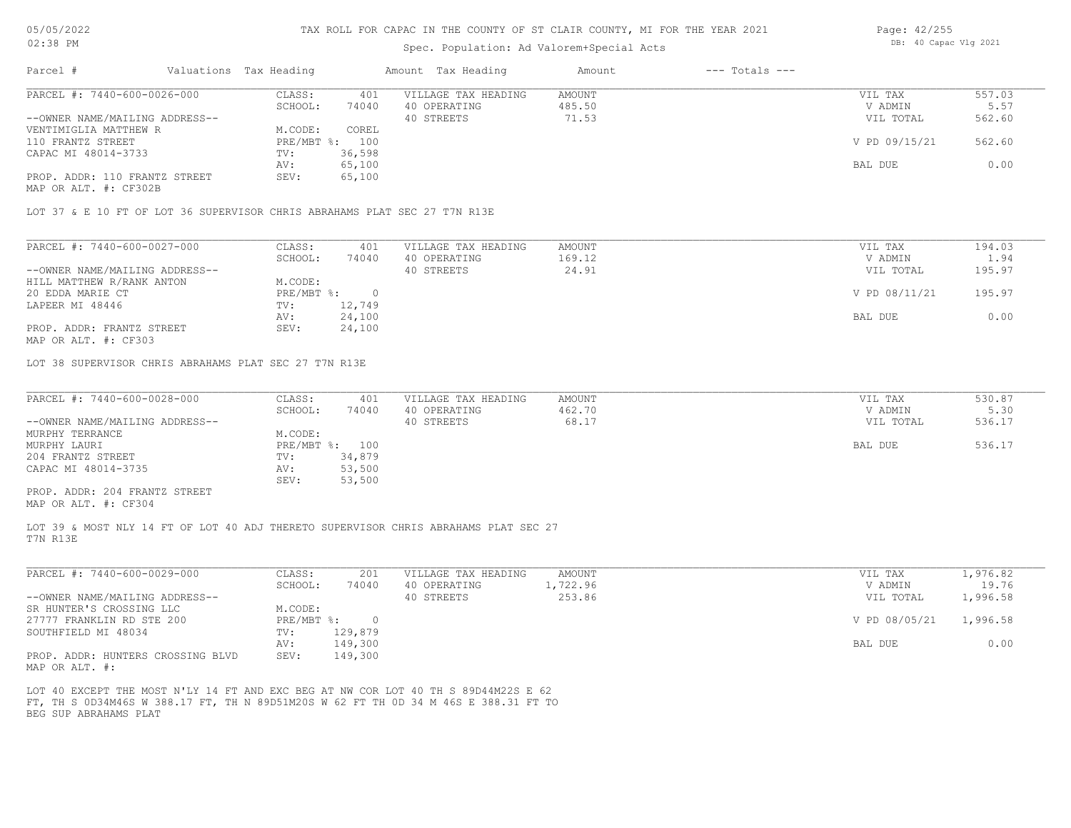| UZIJO FIL<br>Spec. Population: Ad Valorem+Special Acts |  |                        |       |                     |        |                    |               | DD. TU CADAC VIG ZUZI |  |  |
|--------------------------------------------------------|--|------------------------|-------|---------------------|--------|--------------------|---------------|-----------------------|--|--|
| Parcel #                                               |  | Valuations Tax Heading |       | Amount Tax Heading  | Amount | $---$ Totals $---$ |               |                       |  |  |
| PARCEL #: 7440-600-0026-000                            |  | CLASS:                 | 401   | VILLAGE TAX HEADING | AMOUNT |                    | VIL TAX       | 557.03                |  |  |
|                                                        |  | SCHOOL:                | 74040 | 40 OPERATING        | 485.50 |                    | V ADMIN       | 5.57                  |  |  |
| --OWNER NAME/MAILING ADDRESS--                         |  |                        |       | 40 STREETS          | 71.53  |                    | VIL TOTAL     | 562.60                |  |  |
| VENTIMIGLIA MATTHEW R                                  |  | M.CODE:                | COREL |                     |        |                    |               |                       |  |  |
| 110 FRANTZ STREET                                      |  | PRE/MBT %: 100         |       |                     |        |                    | V PD 09/15/21 | 562.60                |  |  |

MAP OR ALT. #: CF302B PROP. ADDR: 110 FRANTZ STREET SEV: 65,100 AV: 65,100 BAL DUE 0.00 CAPAC MI 48014-3733 TV: 36,598<br>AV: 65,100 VENTIMIGLIA MATTHEW R

LOT 37 & E 10 FT OF LOT 36 SUPERVISOR CHRIS ABRAHAMS PLAT SEC 27 T7N R13E

| PARCEL #: 7440-600-0027-000    | CLASS:     | 401    | VILLAGE TAX HEADING | AMOUNT | VIL TAX       | 194.03 |
|--------------------------------|------------|--------|---------------------|--------|---------------|--------|
|                                | SCHOOL:    | 74040  | 40 OPERATING        | 169.12 | V ADMIN       | 1.94   |
| --OWNER NAME/MAILING ADDRESS-- |            |        | 40 STREETS          | 24.91  | VIL TOTAL     | 195.97 |
| HILL MATTHEW R/RANK ANTON      | M.CODE:    |        |                     |        |               |        |
| 20 EDDA MARIE CT               | PRE/MBT %: |        |                     |        | V PD 08/11/21 | 195.97 |
| LAPEER MI 48446                | TV:        | 12,749 |                     |        |               |        |
|                                | AV:        | 24,100 |                     |        | BAL DUE       | 0.00   |
| PROP. ADDR: FRANTZ STREET      | SEV:       | 24,100 |                     |        |               |        |
|                                |            |        |                     |        |               |        |

MAP OR ALT. #: CF303

LOT 38 SUPERVISOR CHRIS ABRAHAMS PLAT SEC 27 T7N R13E

| PARCEL #: 7440-600-0028-000    | CLASS:         | 401    | VILLAGE TAX HEADING | AMOUNT | VIL TAX   | 530.87 |
|--------------------------------|----------------|--------|---------------------|--------|-----------|--------|
|                                | SCHOOL:        | 74040  | 40 OPERATING        | 462.70 | V ADMIN   | 5.30   |
| --OWNER NAME/MAILING ADDRESS-- |                |        | 40 STREETS          | 68.17  | VIL TOTAL | 536.17 |
| MURPHY TERRANCE                | M.CODE:        |        |                     |        |           |        |
| MURPHY LAURI                   | PRE/MBT %: 100 |        |                     |        | BAL DUE   | 536.17 |
| 204 FRANTZ STREET              | TV:            | 34,879 |                     |        |           |        |
| CAPAC MI 48014-3735            | AV:            | 53,500 |                     |        |           |        |
|                                | SEV:           | 53,500 |                     |        |           |        |
| PROP. ADDR: 204 FRANTZ STREET  |                |        |                     |        |           |        |

MAP OR ALT. #: CF304

T7N R13E LOT 39 & MOST NLY 14 FT OF LOT 40 ADJ THERETO SUPERVISOR CHRIS ABRAHAMS PLAT SEC 27

| PARCEL #: 7440-600-0029-000                        | CLASS:     | 201     | VILLAGE TAX HEADING | AMOUNT   | VIL TAX       | .,976.82 |
|----------------------------------------------------|------------|---------|---------------------|----------|---------------|----------|
|                                                    | SCHOOL:    | 74040   | 40 OPERATING        | 1,722.96 | V ADMIN       | 19.76    |
| --OWNER NAME/MAILING ADDRESS--                     |            |         | 40 STREETS          | 253.86   | VIL TOTAL     | 1,996.58 |
| SR HUNTER'S CROSSING LLC                           | M.CODE:    |         |                     |          |               |          |
| 27777 FRANKLIN RD STE 200                          | PRE/MBT %: |         |                     |          | V PD 08/05/21 | 1,996.58 |
| SOUTHFIELD MI 48034                                | TV:        | 129,879 |                     |          |               |          |
|                                                    | AV:        | 149,300 |                     |          | BAL DUE       | 0.00     |
| PROP. ADDR: HUNTERS CROSSING BLVD<br>$\frac{1}{2}$ | SEV:       | 149,300 |                     |          |               |          |

MAP OR ALT. #:

BEG SUP ABRAHAMS PLAT FT, TH S 0D34M46S W 388.17 FT, TH N 89D51M20S W 62 FT TH 0D 34 M 46S E 388.31 FT TO LOT 40 EXCEPT THE MOST N'LY 14 FT AND EXC BEG AT NW COR LOT 40 TH S 89D44M22S E 62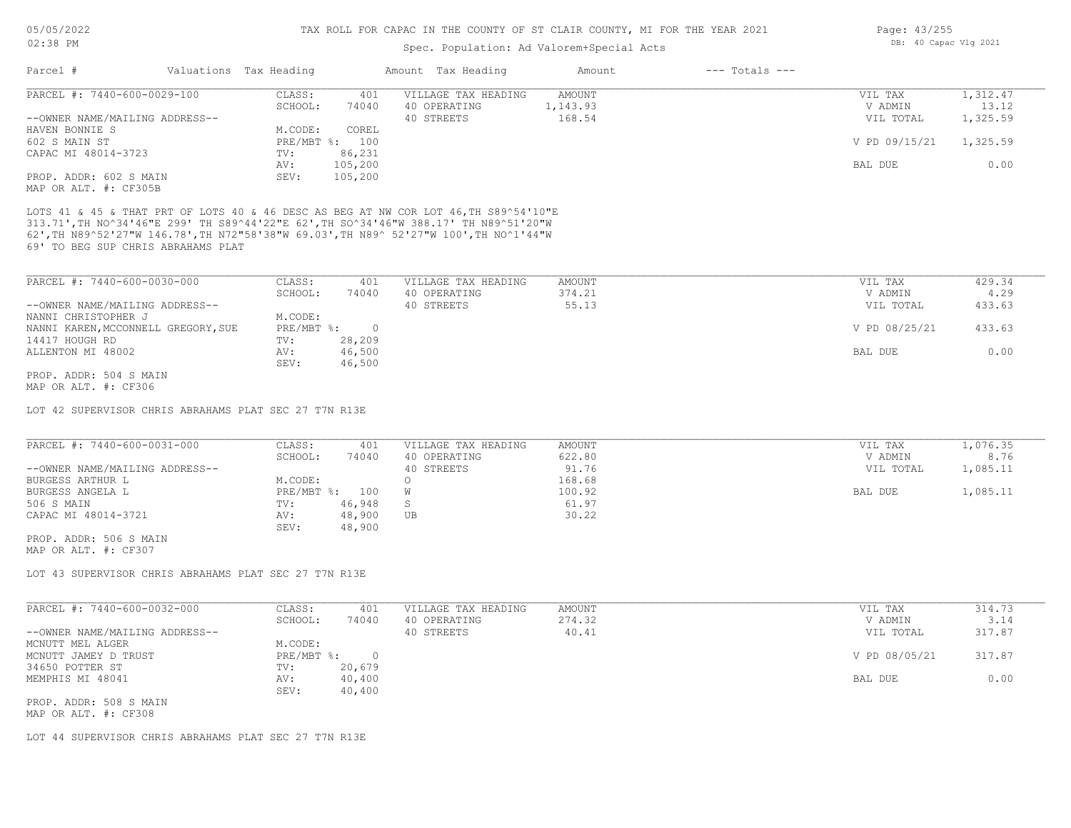# Spec. Population: Ad Valorem+Special Acts

| Parcel #                       | Valuations Tax Heading |                | Amount Tax Heading  | Amount   | $---$ Totals $---$ |               |          |
|--------------------------------|------------------------|----------------|---------------------|----------|--------------------|---------------|----------|
| PARCEL #: 7440-600-0029-100    | CLASS:                 | 401            | VILLAGE TAX HEADING | AMOUNT   |                    | VIL TAX       | 1,312.47 |
|                                | SCHOOL:                | 74040          | 40 OPERATING        | 1,143.93 |                    | V ADMIN       | 13.12    |
| --OWNER NAME/MAILING ADDRESS-- |                        |                | 40 STREETS          | 168.54   |                    | VIL TOTAL     | 1,325.59 |
| HAVEN BONNIE S                 | M.CODE:                | COREL          |                     |          |                    |               |          |
| 602 S MAIN ST                  |                        | PRE/MBT %: 100 |                     |          |                    | V PD 09/15/21 | 1,325.59 |
| CAPAC MI 48014-3723            | TV:                    | 86,231         |                     |          |                    |               |          |
|                                | AV:                    | 105,200        |                     |          |                    | BAL DUE       | 0.00     |
| PROP. ADDR: 602 S MAIN         | SEV:                   | 105,200        |                     |          |                    |               |          |
| MAP OR ALT. #: CF305B          |                        |                |                     |          |                    |               |          |

69' TO BEG SUP CHRIS ABRAHAMS PLAT 62',TH N89^52'27"W 146.78',TH N72"58'38"W 69.03',TH N89^ 52'27"W 100',TH NO^1'44"W 313.71',TH NO^34'46"E 299' TH S89^44'22"E 62',TH SO^34'46"W 388.17' TH N89^51'20"W LOTS 41 & 45 & THAT PRT OF LOTS 40 & 46 DESC AS BEG AT NW COR LOT 46,TH S89^54'10"E

| PARCEL #: 7440-600-0030-000         | CLASS:     | 401    | VILLAGE TAX HEADING | AMOUNT | VIL TAX       | 429.34 |
|-------------------------------------|------------|--------|---------------------|--------|---------------|--------|
|                                     | SCHOOL:    | 74040  | 40 OPERATING        | 374.21 | V ADMIN       | 4.29   |
| --OWNER NAME/MAILING ADDRESS--      |            |        | 40 STREETS          | 55.13  | VIL TOTAL     | 433.63 |
| NANNI CHRISTOPHER J                 | M.CODE:    |        |                     |        |               |        |
| NANNI KAREN, MCCONNELL GREGORY, SUE | PRE/MBT %: |        |                     |        | V PD 08/25/21 | 433.63 |
| 14417 HOUGH RD                      | TV:        | 28,209 |                     |        |               |        |
| ALLENTON MI 48002                   | AV:        | 46,500 |                     |        | BAL DUE       | 0.00   |
|                                     | SEV:       | 46,500 |                     |        |               |        |
| PROP. ADDR: 504 S MAIN              |            |        |                     |        |               |        |

MAP OR ALT. #: CF306

LOT 42 SUPERVISOR CHRIS ABRAHAMS PLAT SEC 27 T7N R13E

| PARCEL #: 7440-600-0031-000    | CLASS:     | 401    | VILLAGE TAX HEADING | AMOUNT | VIL TAX   | 1,076.35 |
|--------------------------------|------------|--------|---------------------|--------|-----------|----------|
|                                | SCHOOL:    | 74040  | 40 OPERATING        | 622.80 | V ADMIN   | 8.76     |
| --OWNER NAME/MAILING ADDRESS-- |            |        | 40 STREETS          | 91.76  | VIL TOTAL | 1,085.11 |
| BURGESS ARTHUR L               | M.CODE:    |        |                     | 168.68 |           |          |
| BURGESS ANGELA L               | PRE/MBT %: | 100    |                     | 100.92 | BAL DUE   | 1,085.11 |
| 506 S MAIN                     | TV:        | 46,948 |                     | 61.97  |           |          |
| CAPAC MI 48014-3721            | AV:        | 48,900 | UB                  | 30.22  |           |          |
|                                | SEV:       | 48,900 |                     |        |           |          |

MAP OR ALT. #: CF307 PROP. ADDR: 506 S MAIN

LOT 43 SUPERVISOR CHRIS ABRAHAMS PLAT SEC 27 T7N R13E

| PARCEL #: 7440-600-0032-000    | CLASS:     | 401    | VILLAGE TAX HEADING | AMOUNT | VIL TAX       | 314.73 |
|--------------------------------|------------|--------|---------------------|--------|---------------|--------|
|                                | SCHOOL:    | 74040  | 40 OPERATING        | 274.32 | V ADMIN       | 3.14   |
| --OWNER NAME/MAILING ADDRESS-- |            |        | 40 STREETS          | 40.41  | VIL TOTAL     | 317.87 |
| MCNUTT MEL ALGER               | M.CODE:    |        |                     |        |               |        |
| MCNUTT JAMEY D TRUST           | PRE/MBT %: |        |                     |        | V PD 08/05/21 | 317.87 |
| 34650 POTTER ST                | TV:        | 20,679 |                     |        |               |        |
| MEMPHIS MI 48041               | AV:        | 40,400 |                     |        | BAL DUE       | 0.00   |
|                                | SEV:       | 40,400 |                     |        |               |        |
| PROP. ADDR: 508 S MAIN         |            |        |                     |        |               |        |
|                                |            |        |                     |        |               |        |

MAP OR ALT. #: CF308

LOT 44 SUPERVISOR CHRIS ABRAHAMS PLAT SEC 27 T7N R13E

Page: 43/255 DB: 40 Capac Vlg 2021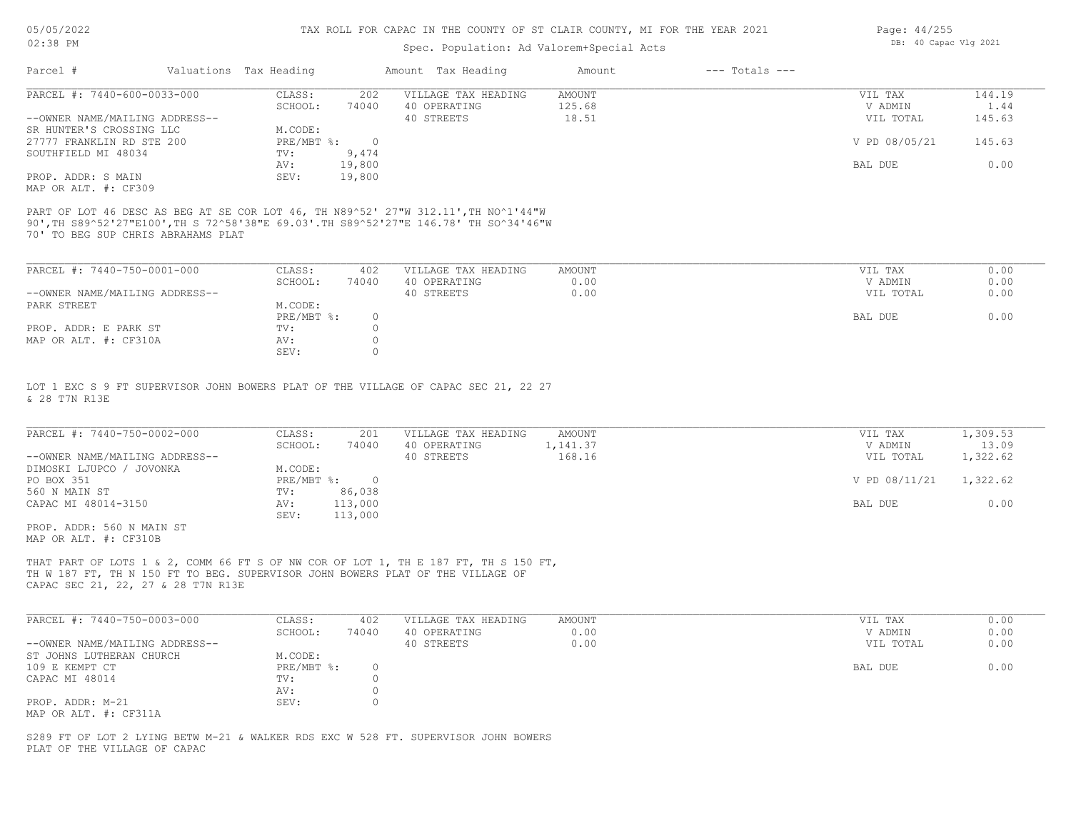# Spec. Population: Ad Valorem+Special Acts

| Page: 44/255 |                       |  |
|--------------|-----------------------|--|
|              | DB: 40 Capac Vlg 2021 |  |

| Parcel #                       | Valuations Tax Heading |        | Amount Tax Heading  | Amount | $---$ Totals $---$ |               |        |
|--------------------------------|------------------------|--------|---------------------|--------|--------------------|---------------|--------|
| PARCEL #: 7440-600-0033-000    | CLASS:                 | 202    | VILLAGE TAX HEADING | AMOUNT |                    | VIL TAX       | 144.19 |
|                                | SCHOOL:                | 74040  | 40 OPERATING        | 125.68 |                    | V ADMIN       | 1.44   |
| --OWNER NAME/MAILING ADDRESS-- |                        |        | 40 STREETS          | 18.51  |                    | VIL TOTAL     | 145.63 |
| SR HUNTER'S CROSSING LLC       | M.CODE:                |        |                     |        |                    |               |        |
| 27777 FRANKLIN RD STE 200      | PRE/MBT %:             |        |                     |        |                    | V PD 08/05/21 | 145.63 |
| SOUTHFIELD MI 48034            | TV:                    | 9,474  |                     |        |                    |               |        |
|                                | AV:                    | 19,800 |                     |        |                    | BAL DUE       | 0.00   |
| PROP. ADDR: S MAIN             | SEV:                   | 19,800 |                     |        |                    |               |        |
| MAP OR ALT. #: CF309           |                        |        |                     |        |                    |               |        |

70' TO BEG SUP CHRIS ABRAHAMS PLAT 90',TH S89^52'27"E100',TH S 72^58'38"E 69.03'.TH S89^52'27"E 146.78' TH SO^34'46"W PART OF LOT 46 DESC AS BEG AT SE COR LOT 46, TH N89^52' 27"W 312.11',TH NO^1'44"W

| PARCEL #: 7440-750-0001-000    | CLASS:     | 402   | VILLAGE TAX HEADING | AMOUNT | VIL TAX   | 0.00 |
|--------------------------------|------------|-------|---------------------|--------|-----------|------|
|                                | SCHOOL:    | 74040 | 40 OPERATING        | 0.00   | V ADMIN   | 0.00 |
| --OWNER NAME/MAILING ADDRESS-- |            |       | 40 STREETS          | 0.00   | VIL TOTAL | 0.00 |
| PARK STREET                    | M.CODE:    |       |                     |        |           |      |
|                                | PRE/MBT %: |       |                     |        | BAL DUE   | 0.00 |
| PROP. ADDR: E PARK ST          | TV:        |       |                     |        |           |      |
| MAP OR ALT. #: CF310A          | AV:        |       |                     |        |           |      |
|                                | SEV:       |       |                     |        |           |      |

& 28 T7N R13E LOT 1 EXC S 9 FT SUPERVISOR JOHN BOWERS PLAT OF THE VILLAGE OF CAPAC SEC 21, 22 27

| PARCEL #: 7440-750-0002-000    | CLASS:     | 201     | VILLAGE TAX HEADING | AMOUNT   | VIL TAX       | 1,309.53 |
|--------------------------------|------------|---------|---------------------|----------|---------------|----------|
|                                | SCHOOL:    | 74040   | 40 OPERATING        | 1,141.37 | V ADMIN       | 13.09    |
| --OWNER NAME/MAILING ADDRESS-- |            |         | 40 STREETS          | 168.16   | VIL TOTAL     | 1,322.62 |
| DIMOSKI LJUPCO / JOVONKA       | M.CODE:    |         |                     |          |               |          |
| PO BOX 351                     | PRE/MBT %: |         |                     |          | V PD 08/11/21 | 1,322.62 |
| 560 N MAIN ST                  | TV:        | 86,038  |                     |          |               |          |
| CAPAC MI 48014-3150            | AV:        | 113,000 |                     |          | BAL DUE       | 0.00     |
|                                | SEV:       | 113,000 |                     |          |               |          |
| PROP. ADDR: 560 N MAIN ST      |            |         |                     |          |               |          |

MAP OR ALT. #: CF310B

CAPAC SEC 21, 22, 27 & 28 T7N R13E TH W 187 FT, TH N 150 FT TO BEG. SUPERVISOR JOHN BOWERS PLAT OF THE VILLAGE OF THAT PART OF LOTS 1 & 2, COMM 66 FT S OF NW COR OF LOT 1, TH E 187 FT, TH S 150 FT,

| PARCEL #: 7440-750-0003-000    | CLASS:     | 402   | VILLAGE TAX HEADING | AMOUNT | VIL TAX   | 0.00 |
|--------------------------------|------------|-------|---------------------|--------|-----------|------|
|                                | SCHOOL:    | 74040 | 40 OPERATING        | 0.00   | V ADMIN   | 0.00 |
| --OWNER NAME/MAILING ADDRESS-- |            |       | 40 STREETS          | 0.00   | VIL TOTAL | 0.00 |
| ST JOHNS LUTHERAN CHURCH       | M.CODE:    |       |                     |        |           |      |
| 109 E KEMPT CT                 | PRE/MBT %: |       |                     |        | BAL DUE   | 0.00 |
| CAPAC MI 48014                 | TV:        |       |                     |        |           |      |
|                                | AV:        |       |                     |        |           |      |
| PROP. ADDR: M-21               | SEV:       |       |                     |        |           |      |
| MAP OR ALT. #: CF311A          |            |       |                     |        |           |      |

 $\_$  , and the state of the state of the state of the state of the state of the state of the state of the state of the state of the state of the state of the state of the state of the state of the state of the state of the

PLAT OF THE VILLAGE OF CAPAC S289 FT OF LOT 2 LYING BETW M-21 & WALKER RDS EXC W 528 FT. SUPERVISOR JOHN BOWERS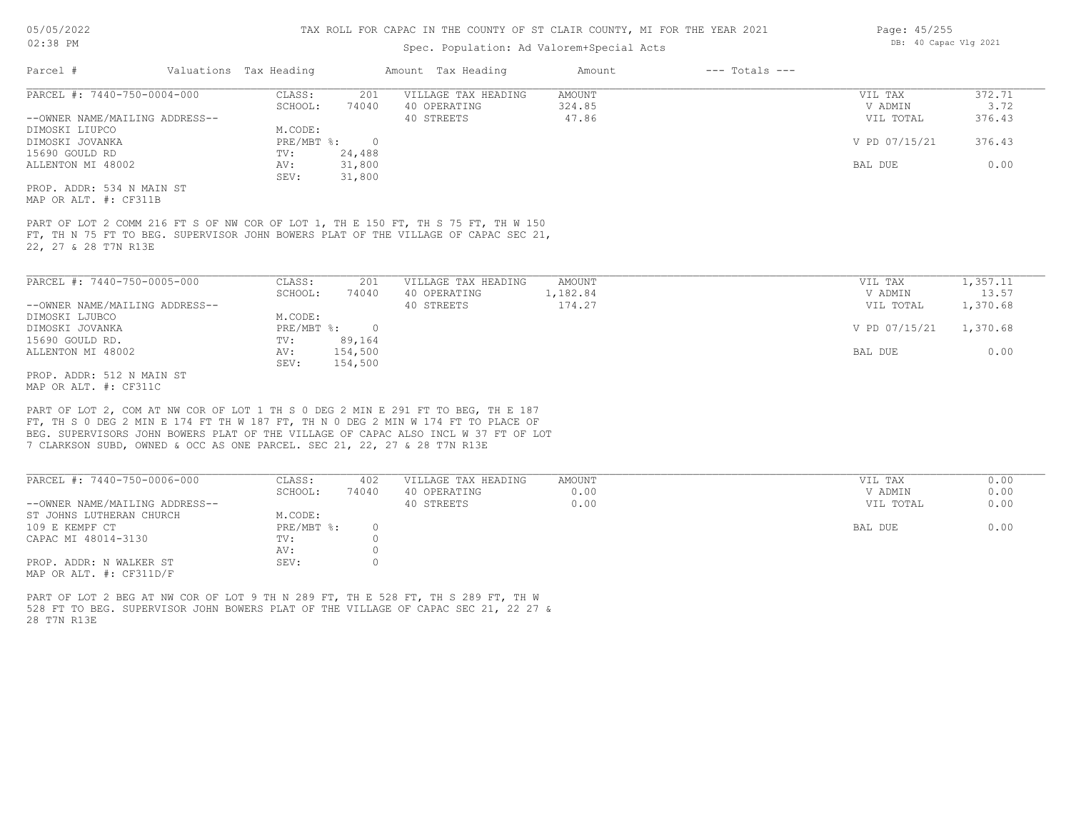# Spec. Population: Ad Valorem+Special Acts

| Parcel #                       |        | Valuations Tax Heading |                     | Amount Tax Heading | Amount | $---$ Totals $---$ |               |        |
|--------------------------------|--------|------------------------|---------------------|--------------------|--------|--------------------|---------------|--------|
| PARCEL #: 7440-750-0004-000    | CLASS: | 201                    | VILLAGE TAX HEADING | AMOUNT             |        | VIL TAX            | 372.71        |        |
|                                |        | SCHOOL:                | 74040               | 40 OPERATING       | 324.85 |                    | V ADMIN       | 3.72   |
| --OWNER NAME/MAILING ADDRESS-- |        |                        |                     | 40 STREETS         | 47.86  |                    | VIL TOTAL     | 376.43 |
| DIMOSKI LIUPCO                 |        | M.CODE:                |                     |                    |        |                    |               |        |
| DIMOSKI JOVANKA                |        | $PRE/MBT$ %:           |                     |                    |        |                    | V PD 07/15/21 | 376.43 |
| 15690 GOULD RD                 |        | TV:                    | 24,488              |                    |        |                    |               |        |
| ALLENTON MI 48002              |        | AV:                    | 31,800              |                    |        |                    | BAL DUE       | 0.00   |
|                                |        | SEV:                   | 31,800              |                    |        |                    |               |        |
| PROP. ADDR: 534 N MAIN ST      |        |                        |                     |                    |        |                    |               |        |

MAP OR ALT. #: CF311B

22, 27 & 28 T7N R13E FT, TH N 75 FT TO BEG. SUPERVISOR JOHN BOWERS PLAT OF THE VILLAGE OF CAPAC SEC 21, PART OF LOT 2 COMM 216 FT S OF NW COR OF LOT 1, TH E 150 FT, TH S 75 FT, TH W 150

| PARCEL #: 7440-750-0005-000    | CLASS:     | 201     | VILLAGE TAX HEADING | AMOUNT   | VIL TAX       | 1,357.11 |
|--------------------------------|------------|---------|---------------------|----------|---------------|----------|
|                                | SCHOOL:    | 74040   | 40 OPERATING        | 1,182.84 | V ADMIN       | 13.57    |
| --OWNER NAME/MAILING ADDRESS-- |            |         | 40 STREETS          | 174.27   | VIL TOTAL     | 1,370.68 |
| DIMOSKI LJUBCO                 | M.CODE:    |         |                     |          |               |          |
| DIMOSKI JOVANKA                | PRE/MBT %: |         |                     |          | V PD 07/15/21 | 1,370.68 |
| 15690 GOULD RD.                | TV:        | 89,164  |                     |          |               |          |
| ALLENTON MI 48002              | AV:        | 154,500 |                     |          | BAL DUE       | 0.00     |
|                                | SEV:       | 154,500 |                     |          |               |          |
| PROP. ADDR: 512 N MAIN ST      |            |         |                     |          |               |          |

MAP OR ALT. #: CF311C

7 CLARKSON SUBD, OWNED & OCC AS ONE PARCEL. SEC 21, 22, 27 & 28 T7N R13E BEG. SUPERVISORS JOHN BOWERS PLAT OF THE VILLAGE OF CAPAC ALSO INCL W 37 FT OF LOT FT, TH S 0 DEG 2 MIN E 174 FT TH W 187 FT, TH N 0 DEG 2 MIN W 174 FT TO PLACE OF PART OF LOT 2, COM AT NW COR OF LOT 1 TH S 0 DEG 2 MIN E 291 FT TO BEG, TH E 187

| PARCEL #: 7440-750-0006-000    | CLASS:     | 402   | VILLAGE TAX HEADING | AMOUNT | 0.00<br>VIL TAX   |
|--------------------------------|------------|-------|---------------------|--------|-------------------|
|                                | SCHOOL:    | 74040 | 40 OPERATING        | 0.00   | 0.00<br>V ADMIN   |
| --OWNER NAME/MAILING ADDRESS-- |            |       | 40 STREETS          | 0.00   | 0.00<br>VIL TOTAL |
| ST JOHNS LUTHERAN CHURCH       | M.CODE:    |       |                     |        |                   |
| 109 E KEMPF CT                 | PRE/MBT %: |       |                     |        | 0.00<br>BAL DUE   |
| CAPAC MI 48014-3130            | TV:        |       |                     |        |                   |
|                                | AV:        |       |                     |        |                   |
| PROP. ADDR: N WALKER ST        | SEV:       |       |                     |        |                   |
| MAP OR ALT. $\#$ : CF311D/F    |            |       |                     |        |                   |

28 T7N R13E 528 FT TO BEG. SUPERVISOR JOHN BOWERS PLAT OF THE VILLAGE OF CAPAC SEC 21, 22 27 & PART OF LOT 2 BEG AT NW COR OF LOT 9 TH N 289 FT, TH E 528 FT, TH S 289 FT, TH W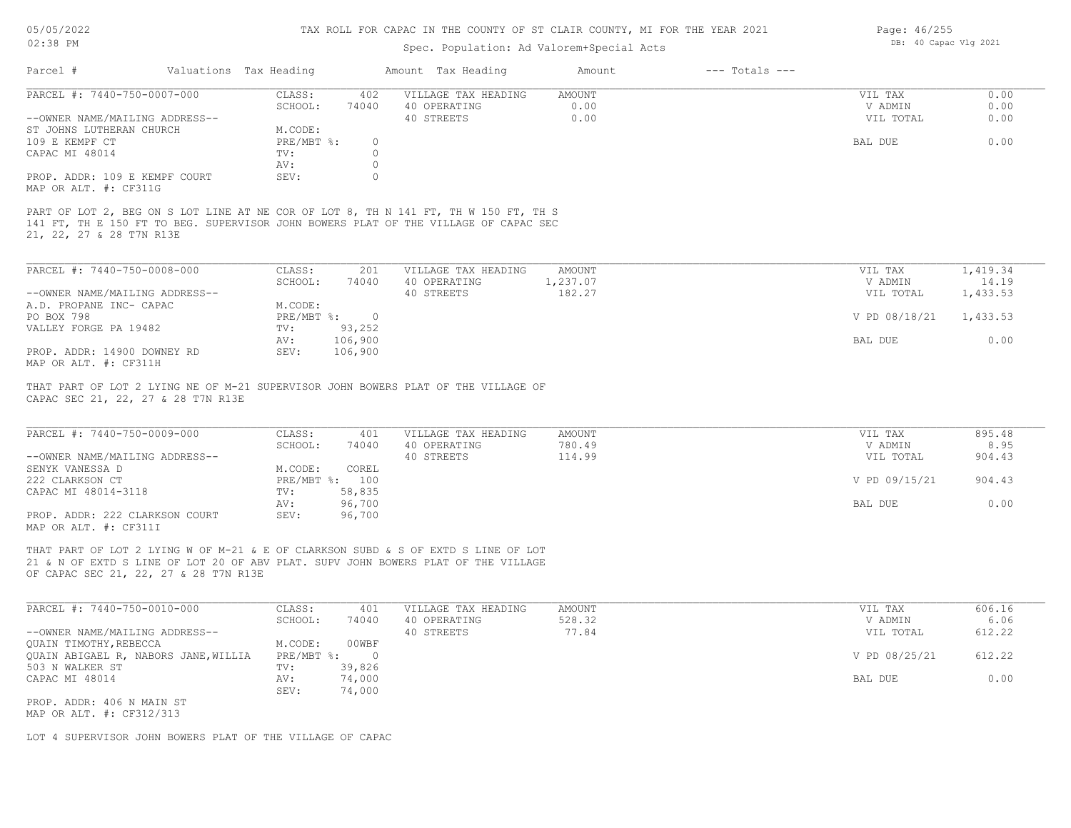# 05/05/2022

02:38 PM

#### TAX ROLL FOR CAPAC IN THE COUNTY OF ST CLAIR COUNTY, MI FOR THE YEAR 2021

# Spec. Population: Ad Valorem+Special Acts

Page: 46/255 DB: 40 Capac Vlg 2021

| Parcel #                       | Valuations Tax Heading |       | Amount Tax Heading                                                                  | Amount | $---$ Totals $---$ |           |      |
|--------------------------------|------------------------|-------|-------------------------------------------------------------------------------------|--------|--------------------|-----------|------|
| PARCEL #: 7440-750-0007-000    | CLASS:                 | 402   | VILLAGE TAX HEADING                                                                 | AMOUNT |                    | VIL TAX   | 0.00 |
|                                | SCHOOL:                | 74040 | 40 OPERATING                                                                        | 0.00   |                    | V ADMIN   | 0.00 |
| --OWNER NAME/MAILING ADDRESS-- |                        |       | 40 STREETS                                                                          | 0.00   |                    | VIL TOTAL | 0.00 |
| ST JOHNS LUTHERAN CHURCH       | M.CODE:                |       |                                                                                     |        |                    |           |      |
| 109 E KEMPF CT                 | PRE/MBT %:             |       |                                                                                     |        |                    | BAL DUE   | 0.00 |
| CAPAC MI 48014                 | TV:                    |       |                                                                                     |        |                    |           |      |
|                                | AV:                    |       |                                                                                     |        |                    |           |      |
| PROP. ADDR: 109 E KEMPF COURT  | SEV:                   |       |                                                                                     |        |                    |           |      |
| MAP OR ALT. #: CF311G          |                        |       |                                                                                     |        |                    |           |      |
|                                |                        |       | PART OF LOT 2, BEG ON S LOT LINE AT NE COR OF LOT 8, TH N 141 FT, TH W 150 FT, TH S |        |                    |           |      |
|                                |                        |       | 141 FT, TH E 150 FT TO BEG. SUPERVISOR JOHN BOWERS PLAT OF THE VILLAGE OF CAPAC SEC |        |                    |           |      |
| 21, 22, 27 & 28 T7N R13E       |                        |       |                                                                                     |        |                    |           |      |

| PARCEL #: 7440-750-0008-000    | CLASS:     | 201     | VILLAGE TAX HEADING | AMOUNT   | VIL TAX       | 1,419.34 |
|--------------------------------|------------|---------|---------------------|----------|---------------|----------|
|                                | SCHOOL:    | 74040   | 40 OPERATING        | 1,237.07 | V ADMIN       | 14.19    |
| --OWNER NAME/MAILING ADDRESS-- |            |         | 40 STREETS          | 182.27   | VIL TOTAL     | 1,433.53 |
| A.D. PROPANE INC- CAPAC        | M.CODE:    |         |                     |          |               |          |
| PO BOX 798                     | PRE/MBT %: |         |                     |          | V PD 08/18/21 | 1,433.53 |
| VALLEY FORGE PA 19482          | TV:        | 93,252  |                     |          |               |          |
|                                | AV:        | 106,900 |                     |          | BAL DUE       | 0.00     |
| PROP. ADDR: 14900 DOWNEY RD    | SEV:       | 106,900 |                     |          |               |          |
| MAP OR ALT. #: CF311H          |            |         |                     |          |               |          |

CAPAC SEC 21, 22, 27 & 28 T7N R13E THAT PART OF LOT 2 LYING NE OF M-21 SUPERVISOR JOHN BOWERS PLAT OF THE VILLAGE OF

| PARCEL #: 7440-750-0009-000    | CLASS:  | 401            | VILLAGE TAX HEADING | AMOUNT | VIL TAX       | 895.48 |
|--------------------------------|---------|----------------|---------------------|--------|---------------|--------|
|                                | SCHOOL: | 74040          | 40 OPERATING        | 780.49 | V ADMIN       | 8.95   |
| --OWNER NAME/MAILING ADDRESS-- |         |                | 40 STREETS          | 114.99 | VIL TOTAL     | 904.43 |
| SENYK VANESSA D                | M.CODE: | COREL          |                     |        |               |        |
| 222 CLARKSON CT                |         | PRE/MBT %: 100 |                     |        | V PD 09/15/21 | 904.43 |
| CAPAC MI 48014-3118            | TV:     | 58,835         |                     |        |               |        |
|                                | AV:     | 96,700         |                     |        | BAL DUE       | 0.00   |
| PROP. ADDR: 222 CLARKSON COURT | SEV:    | 96,700         |                     |        |               |        |
| MAP OR ALT. #: CF311I          |         |                |                     |        |               |        |

OF CAPAC SEC 21, 22, 27 & 28 T7N R13E 21 & N OF EXTD S LINE OF LOT 20 OF ABV PLAT. SUPV JOHN BOWERS PLAT OF THE VILLAGE THAT PART OF LOT 2 LYING W OF M-21 & E OF CLARKSON SUBD & S OF EXTD S LINE OF LOT

| PARCEL #: 7440-750-0010-000          | CLASS:       | 401    | VILLAGE TAX HEADING | AMOUNT | VIL TAX       | 606.16 |
|--------------------------------------|--------------|--------|---------------------|--------|---------------|--------|
|                                      | SCHOOL:      | 74040  | 40 OPERATING        | 528.32 | V ADMIN       | 6.06   |
| --OWNER NAME/MAILING ADDRESS--       |              |        | 40 STREETS          | 77.84  | VIL TOTAL     | 612.22 |
| QUAIN TIMOTHY, REBECCA               | M.CODE:      | 00WBF  |                     |        |               |        |
| QUAIN ABIGAEL R, NABORS JANE, WILLIA | $PRE/MBT$ %: |        |                     |        | V PD 08/25/21 | 612.22 |
| 503 N WALKER ST                      | TV:          | 39,826 |                     |        |               |        |
| CAPAC MI 48014                       | AV:          | 74,000 |                     |        | BAL DUE       | 0.00   |
|                                      | SEV:         | 74,000 |                     |        |               |        |
| PROP. ADDR: 406 N MAIN ST            |              |        |                     |        |               |        |

MAP OR ALT. #: CF312/313

LOT 4 SUPERVISOR JOHN BOWERS PLAT OF THE VILLAGE OF CAPAC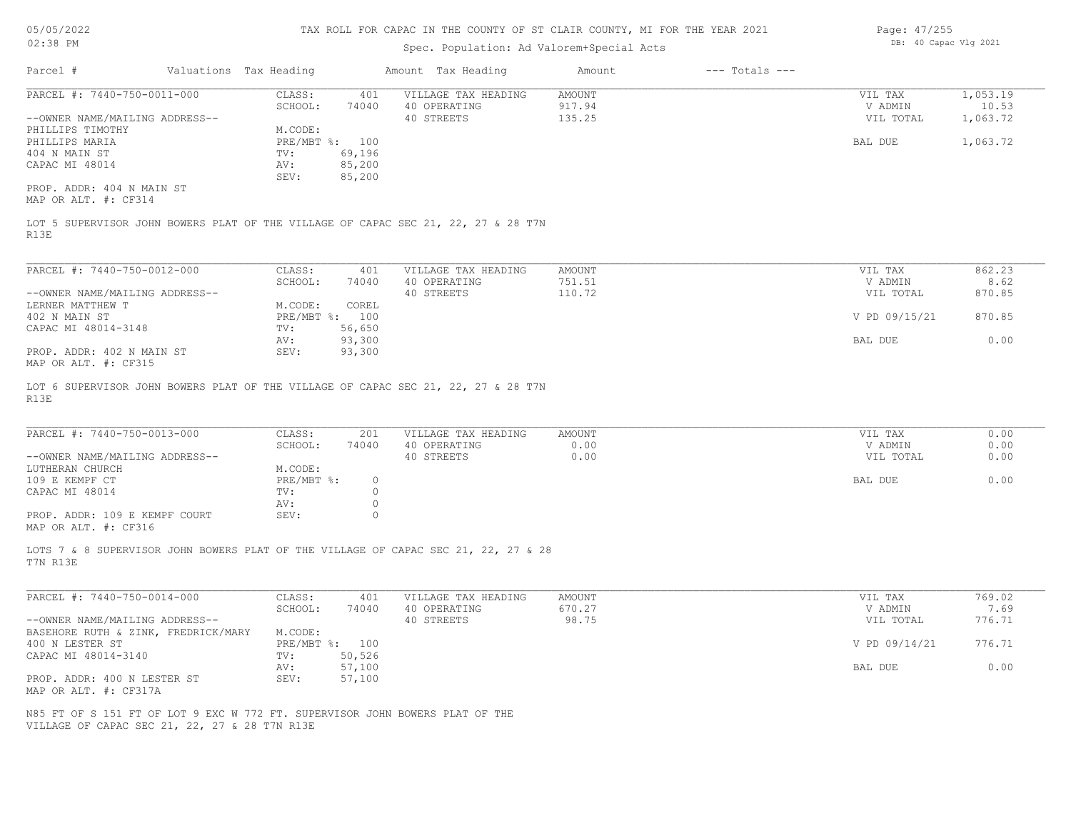| Page: 47/255 |                       |  |
|--------------|-----------------------|--|
|              | DB: 40 Capac Vlg 2021 |  |

| 02:38 PM                                                                                                                      |  |                        | Spec. Population: Ad Valorem+Special Acts | DB: 40 Capac Vlg 2021                                                              |        |                    |               |          |
|-------------------------------------------------------------------------------------------------------------------------------|--|------------------------|-------------------------------------------|------------------------------------------------------------------------------------|--------|--------------------|---------------|----------|
| Parcel #                                                                                                                      |  | Valuations Tax Heading |                                           | Amount Tax Heading                                                                 | Amount | $---$ Totals $---$ |               |          |
| PARCEL #: 7440-750-0011-000                                                                                                   |  | CLASS:                 | 401                                       | VILLAGE TAX HEADING                                                                | AMOUNT |                    | VIL TAX       | 1,053.19 |
|                                                                                                                               |  | SCHOOL:                | 74040                                     | 40 OPERATING                                                                       | 917.94 |                    | V ADMIN       | 10.53    |
| --OWNER NAME/MAILING ADDRESS--                                                                                                |  |                        |                                           | 40 STREETS                                                                         | 135.25 |                    | VIL TOTAL     | 1,063.72 |
| PHILLIPS TIMOTHY                                                                                                              |  | M.CODE:                |                                           |                                                                                    |        |                    |               |          |
| PHILLIPS MARIA                                                                                                                |  | PRE/MBT %: 100         |                                           |                                                                                    |        |                    | BAL DUE       | 1,063.72 |
| 404 N MAIN ST                                                                                                                 |  | TV:                    | 69,196                                    |                                                                                    |        |                    |               |          |
| CAPAC MI 48014                                                                                                                |  | AV:                    | 85,200                                    |                                                                                    |        |                    |               |          |
|                                                                                                                               |  | SEV:                   | 85,200                                    |                                                                                    |        |                    |               |          |
| PROP. ADDR: 404 N MAIN ST<br>MAP OR ALT. #: CF314                                                                             |  |                        |                                           |                                                                                    |        |                    |               |          |
| R13E                                                                                                                          |  |                        |                                           | LOT 5 SUPERVISOR JOHN BOWERS PLAT OF THE VILLAGE OF CAPAC SEC 21, 22, 27 & 28 T7N  |        |                    |               |          |
|                                                                                                                               |  |                        |                                           |                                                                                    |        |                    |               |          |
| PARCEL #: 7440-750-0012-000                                                                                                   |  | CLASS:                 | 401                                       | VILLAGE TAX HEADING                                                                | AMOUNT |                    | VIL TAX       | 862.23   |
|                                                                                                                               |  | SCHOOL:                | 74040                                     | 40 OPERATING                                                                       | 751.51 |                    | V ADMIN       | 8.62     |
| --OWNER NAME/MAILING ADDRESS--                                                                                                |  |                        |                                           | 40 STREETS                                                                         | 110.72 |                    | VIL TOTAL     | 870.85   |
| LERNER MATTHEW T                                                                                                              |  | M.CODE:                | COREL                                     |                                                                                    |        |                    |               |          |
| 402 N MAIN ST<br>CAPAC MI 48014-3148                                                                                          |  | PRE/MBT %: 100         |                                           |                                                                                    |        |                    | V PD 09/15/21 | 870.85   |
|                                                                                                                               |  | TV:<br>AV:             | 56,650<br>93,300                          |                                                                                    |        |                    | BAL DUE       | 0.00     |
| PROP. ADDR: 402 N MAIN ST                                                                                                     |  | SEV:                   | 93,300                                    |                                                                                    |        |                    |               |          |
| MAP OR ALT. #: CF315                                                                                                          |  |                        |                                           |                                                                                    |        |                    |               |          |
| R13E                                                                                                                          |  |                        |                                           | LOT 6 SUPERVISOR JOHN BOWERS PLAT OF THE VILLAGE OF CAPAC SEC 21, 22, 27 & 28 T7N  |        |                    |               |          |
| PARCEL #: 7440-750-0013-000                                                                                                   |  | CLASS:                 | 201                                       | VILLAGE TAX HEADING                                                                | AMOUNT |                    | VIL TAX       | 0.00     |
|                                                                                                                               |  | SCHOOL:                | 74040                                     | 40 OPERATING                                                                       | 0.00   |                    | V ADMIN       | 0.00     |
| --OWNER NAME/MAILING ADDRESS--                                                                                                |  |                        |                                           | 40 STREETS                                                                         | 0.00   |                    | VIL TOTAL     | 0.00     |
| LUTHERAN CHURCH<br>109 E KEMPF CT                                                                                             |  | M.CODE:<br>PRE/MBT %:  | $\circ$                                   |                                                                                    |        |                    | BAL DUE       | 0.00     |
| CAPAC MI 48014                                                                                                                |  | TV:                    | $\circ$                                   |                                                                                    |        |                    |               |          |
|                                                                                                                               |  | AV:                    | $\circ$                                   |                                                                                    |        |                    |               |          |
| PROP. ADDR: 109 E KEMPF COURT                                                                                                 |  | SEV:                   | $\circ$                                   |                                                                                    |        |                    |               |          |
| MAP OR ALT. #: CF316                                                                                                          |  |                        |                                           |                                                                                    |        |                    |               |          |
| T7N R13E                                                                                                                      |  |                        |                                           | LOTS 7 & 8 SUPERVISOR JOHN BOWERS PLAT OF THE VILLAGE OF CAPAC SEC 21, 22, 27 & 28 |        |                    |               |          |
| PARCEL #: 7440-750-0014-000                                                                                                   |  | CLASS:                 | 401                                       | VILLAGE TAX HEADING                                                                | AMOUNT |                    | VIL TAX       | 769.02   |
|                                                                                                                               |  | SCHOOL:                | 74040                                     | 40 OPERATING                                                                       | 670.27 |                    | V ADMIN       | 7.69     |
| --OWNER NAME/MAILING ADDRESS--                                                                                                |  |                        |                                           | 40 STREETS                                                                         | 98.75  |                    | VIL TOTAL     | 776.71   |
| BASEHORE RUTH & ZINK, FREDRICK/MARY                                                                                           |  | M.CODE:                |                                           |                                                                                    |        |                    |               |          |
| 400 N LESTER ST                                                                                                               |  | PRE/MBT %: 100         |                                           |                                                                                    |        |                    | V PD 09/14/21 | 776.71   |
| CAPAC MI 48014-3140                                                                                                           |  | TV:                    | 50,526                                    |                                                                                    |        |                    |               |          |
|                                                                                                                               |  | AV:                    | 57,100                                    |                                                                                    |        |                    | BAL DUE       | 0.00     |
| PROP. ADDR: 400 N LESTER ST                                                                                                   |  | SEV:                   | 57,100                                    |                                                                                    |        |                    |               |          |
| MAP OR ALT. #: CF317A                                                                                                         |  |                        |                                           |                                                                                    |        |                    |               |          |
| N85 FT OF S 151 FT OF LOT 9 EXC W 772 FT. SUPERVISOR JOHN BOWERS PLAT OF THE<br>VILLAGE OF CAPAC SEC 21, 22, 27 & 28 T7N R13E |  |                        |                                           |                                                                                    |        |                    |               |          |
|                                                                                                                               |  |                        |                                           |                                                                                    |        |                    |               |          |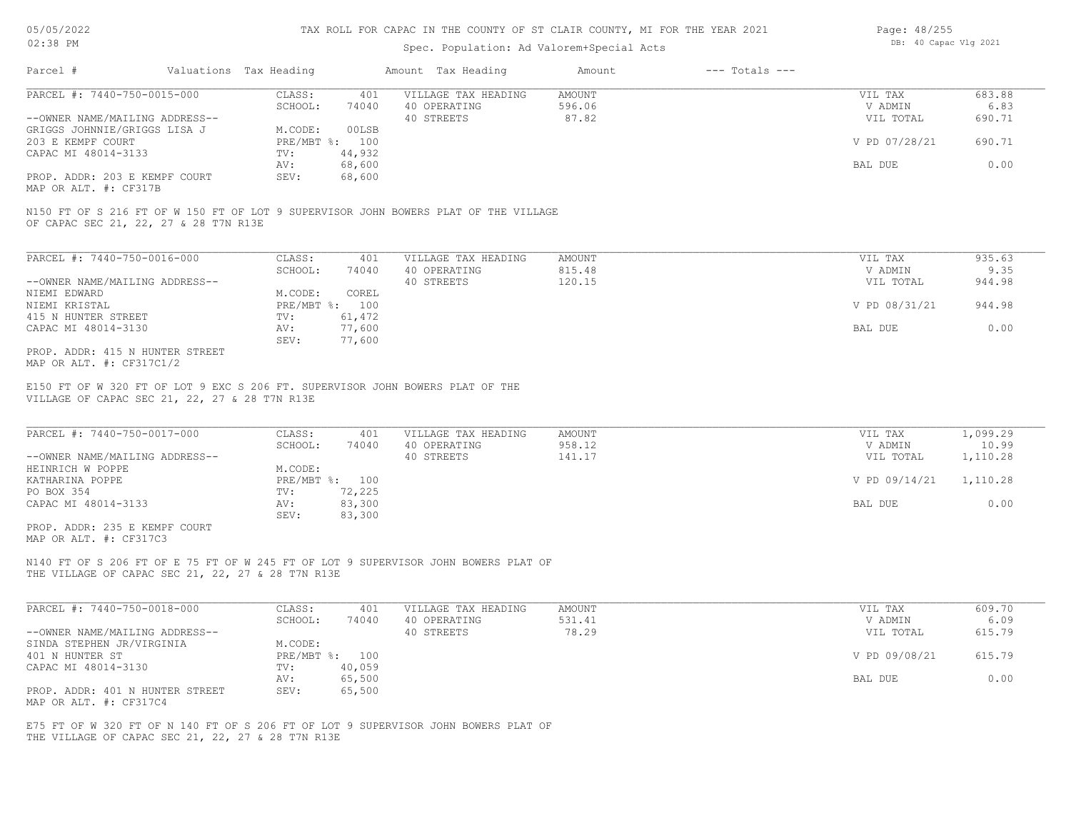# Spec. Population: Ad Valorem+Special Acts

| Page: 48/255 |                       |  |
|--------------|-----------------------|--|
|              | DB: 40 Capac Vlg 2021 |  |

| Parcel #                       | Valuations Tax Heading |        | Amount Tax Heading  | Amount | $---$ Totals $---$ |               |        |
|--------------------------------|------------------------|--------|---------------------|--------|--------------------|---------------|--------|
| PARCEL #: 7440-750-0015-000    | CLASS:                 | 401    | VILLAGE TAX HEADING | AMOUNT |                    | VIL TAX       | 683.88 |
|                                | SCHOOL:                | 74040  | 40 OPERATING        | 596.06 |                    | V ADMIN       | 6.83   |
| --OWNER NAME/MAILING ADDRESS-- |                        |        | 40 STREETS          | 87.82  |                    | VIL TOTAL     | 690.71 |
| GRIGGS JOHNNIE/GRIGGS LISA J   | M.CODE:                | 00LSB  |                     |        |                    |               |        |
| 203 E KEMPF COURT              | PRE/MBT %: 100         |        |                     |        |                    | V PD 07/28/21 | 690.71 |
| CAPAC MI 48014-3133            | TV:                    | 44,932 |                     |        |                    |               |        |
|                                | AV:                    | 68,600 |                     |        |                    | BAL DUE       | 0.00   |
| PROP. ADDR: 203 E KEMPF COURT  | SEV:                   | 68,600 |                     |        |                    |               |        |
|                                |                        |        |                     |        |                    |               |        |

MAP OR ALT. #: CF317B

OF CAPAC SEC 21, 22, 27 & 28 T7N R13E N150 FT OF S 216 FT OF W 150 FT OF LOT 9 SUPERVISOR JOHN BOWERS PLAT OF THE VILLAGE

| PARCEL #: 7440-750-0016-000     | CLASS:       | 401    | VILLAGE TAX HEADING | AMOUNT | VIL TAX       | 935.63 |
|---------------------------------|--------------|--------|---------------------|--------|---------------|--------|
|                                 | SCHOOL:      | 74040  | 40 OPERATING        | 815.48 | V ADMIN       | 9.35   |
| --OWNER NAME/MAILING ADDRESS--  |              |        | 40 STREETS          | 120.15 | VIL TOTAL     | 944.98 |
| NIEMI EDWARD                    | M.CODE:      | COREL  |                     |        |               |        |
| NIEMI KRISTAL                   | $PRE/MBT$ %: | 100    |                     |        | V PD 08/31/21 | 944.98 |
| 415 N HUNTER STREET             | TV:          | 61,472 |                     |        |               |        |
| CAPAC MI 48014-3130             | AV:          | 77,600 |                     |        | BAL DUE       | 0.00   |
|                                 | SEV:         | 77,600 |                     |        |               |        |
| PROP. ADDR: 415 N HUNTER STREET |              |        |                     |        |               |        |

MAP OR ALT. #: CF317C1/2

VILLAGE OF CAPAC SEC 21, 22, 27 & 28 T7N R13E E150 FT OF W 320 FT OF LOT 9 EXC S 206 FT. SUPERVISOR JOHN BOWERS PLAT OF THE

| PARCEL #: 7440-750-0017-000    | CLASS:         | 401    | VILLAGE TAX HEADING | AMOUNT | VIL TAX       | 1,099.29 |
|--------------------------------|----------------|--------|---------------------|--------|---------------|----------|
|                                | SCHOOL:        | 74040  | 40 OPERATING        | 958.12 | V ADMIN       | 10.99    |
| --OWNER NAME/MAILING ADDRESS-- |                |        | 40 STREETS          | 141.17 | VIL TOTAL     | 1,110.28 |
| HEINRICH W POPPE               | M.CODE:        |        |                     |        |               |          |
| KATHARINA POPPE                | PRE/MBT %: 100 |        |                     |        | V PD 09/14/21 | 1,110.28 |
| PO BOX 354                     | TV:            | 72,225 |                     |        |               |          |
| CAPAC MI 48014-3133            | AV:            | 83,300 |                     |        | BAL DUE       | 0.00     |
|                                | SEV:           | 83,300 |                     |        |               |          |
| PROP. ADDR: 235 E KEMPF COURT  |                |        |                     |        |               |          |

MAP OR ALT. #: CF317C3

THE VILLAGE OF CAPAC SEC 21, 22, 27 & 28 T7N R13E N140 FT OF S 206 FT OF E 75 FT OF W 245 FT OF LOT 9 SUPERVISOR JOHN BOWERS PLAT OF

| PARCEL #: 7440-750-0018-000     | CLASS:  | 401            | VILLAGE TAX HEADING | AMOUNT | VIL TAX       | 609.70 |
|---------------------------------|---------|----------------|---------------------|--------|---------------|--------|
|                                 | SCHOOL: | 74040          | 40 OPERATING        | 531.41 | V ADMIN       | 6.09   |
| --OWNER NAME/MAILING ADDRESS--  |         |                | 40 STREETS          | 78.29  | VIL TOTAL     | 615.79 |
| SINDA STEPHEN JR/VIRGINIA       | M.CODE: |                |                     |        |               |        |
| 401 N HUNTER ST                 |         | PRE/MBT %: 100 |                     |        | V PD 09/08/21 | 615.79 |
| CAPAC MI 48014-3130             | TV:     | 40,059         |                     |        |               |        |
|                                 | AV:     | 65,500         |                     |        | BAL DUE       | 0.00   |
| PROP. ADDR: 401 N HUNTER STREET | SEV:    | 65,500         |                     |        |               |        |
| MAP OR ALT. #: CF317C4          |         |                |                     |        |               |        |

THE VILLAGE OF CAPAC SEC 21, 22, 27 & 28 T7N R13E E75 FT OF W 320 FT OF N 140 FT OF S 206 FT OF LOT 9 SUPERVISOR JOHN BOWERS PLAT OF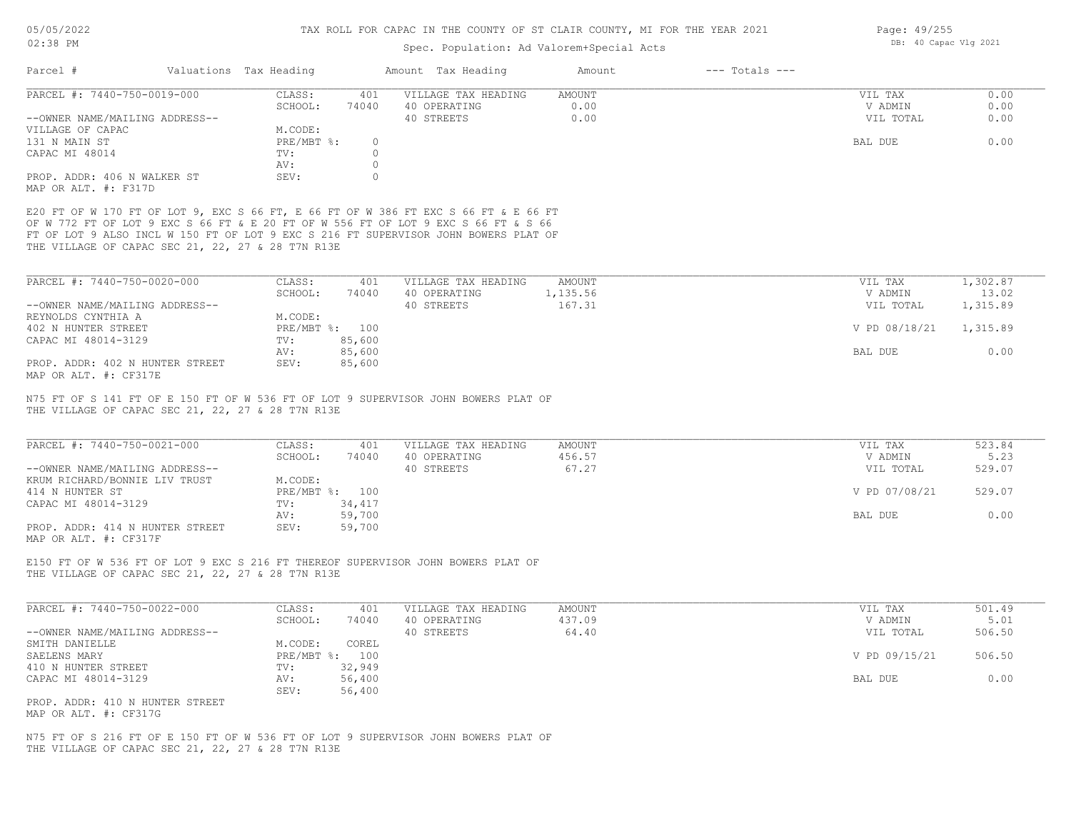Page: 49/255

# Spec. Population: Ad Valorem+Special Acts

| 02:38 PM                                                                                                                                                                                                                                                                                                              |  |                        |              | Spec. Population: Ad Valorem+Special Acts                                        | DB: 40 Capac Vlg 2021 |                    |                    |                |
|-----------------------------------------------------------------------------------------------------------------------------------------------------------------------------------------------------------------------------------------------------------------------------------------------------------------------|--|------------------------|--------------|----------------------------------------------------------------------------------|-----------------------|--------------------|--------------------|----------------|
| Parcel #                                                                                                                                                                                                                                                                                                              |  | Valuations Tax Heading |              | Amount Tax Heading                                                               | Amount                | $---$ Totals $---$ |                    |                |
| PARCEL #: 7440-750-0019-000                                                                                                                                                                                                                                                                                           |  | CLASS:                 | 401          | VILLAGE TAX HEADING                                                              | AMOUNT                |                    | VIL TAX            | 0.00           |
|                                                                                                                                                                                                                                                                                                                       |  | SCHOOL:                | 74040        | 40 OPERATING                                                                     | 0.00                  |                    | V ADMIN            | 0.00           |
| --OWNER NAME/MAILING ADDRESS--                                                                                                                                                                                                                                                                                        |  |                        |              | 40 STREETS                                                                       | 0.00                  |                    | VIL TOTAL          | 0.00           |
| VILLAGE OF CAPAC                                                                                                                                                                                                                                                                                                      |  | M.CODE:                |              |                                                                                  |                       |                    |                    |                |
| 131 N MAIN ST                                                                                                                                                                                                                                                                                                         |  | PRE/MBT %:             | $\circ$      |                                                                                  |                       |                    | BAL DUE            | 0.00           |
| CAPAC MI 48014                                                                                                                                                                                                                                                                                                        |  | TV:                    | $\circ$      |                                                                                  |                       |                    |                    |                |
|                                                                                                                                                                                                                                                                                                                       |  | AV:                    | $\circ$      |                                                                                  |                       |                    |                    |                |
| PROP. ADDR: 406 N WALKER ST                                                                                                                                                                                                                                                                                           |  | SEV:                   | $\circ$      |                                                                                  |                       |                    |                    |                |
| MAP OR ALT. #: F317D                                                                                                                                                                                                                                                                                                  |  |                        |              |                                                                                  |                       |                    |                    |                |
| E20 FT OF W 170 FT OF LOT 9, EXC S 66 FT, E 66 FT OF W 386 FT EXC S 66 FT & E 66 FT<br>OF W 772 FT OF LOT 9 EXC S 66 FT & E 20 FT OF W 556 FT OF LOT 9 EXC S 66 FT & S 66<br>FT OF LOT 9 ALSO INCL W 150 FT OF LOT 9 EXC S 216 FT SUPERVISOR JOHN BOWERS PLAT OF<br>THE VILLAGE OF CAPAC SEC 21, 22, 27 & 28 T7N R13E |  |                        |              |                                                                                  |                       |                    |                    |                |
| PARCEL #: 7440-750-0020-000                                                                                                                                                                                                                                                                                           |  | CLASS:                 | 401          | VILLAGE TAX HEADING                                                              | AMOUNT                |                    | VIL TAX            | 1,302.87       |
|                                                                                                                                                                                                                                                                                                                       |  | SCHOOL:                | 74040        | 40 OPERATING                                                                     | 1,135.56              |                    | V ADMIN            | 13.02          |
| --OWNER NAME/MAILING ADDRESS--                                                                                                                                                                                                                                                                                        |  |                        |              | 40 STREETS                                                                       | 167.31                |                    | VIL TOTAL          | 1,315.89       |
| REYNOLDS CYNTHIA A                                                                                                                                                                                                                                                                                                    |  | M.CODE:                |              |                                                                                  |                       |                    |                    |                |
| 402 N HUNTER STREET                                                                                                                                                                                                                                                                                                   |  | PRE/MBT %: 100         |              |                                                                                  |                       |                    | V PD 08/18/21      | 1,315.89       |
| CAPAC MI 48014-3129                                                                                                                                                                                                                                                                                                   |  | TV:                    | 85,600       |                                                                                  |                       |                    |                    |                |
|                                                                                                                                                                                                                                                                                                                       |  | AV:                    | 85,600       |                                                                                  |                       |                    | BAL DUE            | 0.00           |
| PROP. ADDR: 402 N HUNTER STREET<br>MAP OR ALT. #: CF317E                                                                                                                                                                                                                                                              |  | SEV:                   | 85,600       |                                                                                  |                       |                    |                    |                |
| PARCEL #: 7440-750-0021-000                                                                                                                                                                                                                                                                                           |  | CLASS:<br>SCHOOL:      | 401<br>74040 | VILLAGE TAX HEADING<br>40 OPERATING                                              | AMOUNT<br>456.57      |                    | VIL TAX<br>V ADMIN | 523.84<br>5.23 |
| --OWNER NAME/MAILING ADDRESS--                                                                                                                                                                                                                                                                                        |  |                        |              | 40 STREETS                                                                       | 67.27                 |                    | VIL TOTAL          | 529.07         |
| KRUM RICHARD/BONNIE LIV TRUST                                                                                                                                                                                                                                                                                         |  | M.CODE:                |              |                                                                                  |                       |                    |                    |                |
| 414 N HUNTER ST                                                                                                                                                                                                                                                                                                       |  | PRE/MBT %: 100         |              |                                                                                  |                       |                    | V PD 07/08/21      | 529.07         |
| CAPAC MI 48014-3129                                                                                                                                                                                                                                                                                                   |  | TV:                    | 34,417       |                                                                                  |                       |                    |                    |                |
|                                                                                                                                                                                                                                                                                                                       |  | AV:                    | 59,700       |                                                                                  |                       |                    | BAL DUE            | 0.00           |
| PROP. ADDR: 414 N HUNTER STREET<br>MAP OR ALT. #: CF317F                                                                                                                                                                                                                                                              |  | SEV:                   | 59,700       |                                                                                  |                       |                    |                    |                |
| THE VILLAGE OF CAPAC SEC 21, 22, 27 & 28 T7N R13E                                                                                                                                                                                                                                                                     |  |                        |              | E150 FT OF W 536 FT OF LOT 9 EXC S 216 FT THEREOF SUPERVISOR JOHN BOWERS PLAT OF |                       |                    |                    |                |
| PARCEL #: 7440-750-0022-000                                                                                                                                                                                                                                                                                           |  | CLASS:                 | 401          | VILLAGE TAX HEADING                                                              | AMOUNT                |                    | VIL TAX            | 501.49         |
|                                                                                                                                                                                                                                                                                                                       |  | SCHOOL:                | 74040        | 40 OPERATING                                                                     | 437.09                |                    | V ADMIN            | 5.01           |
| --OWNER NAME/MAILING ADDRESS--                                                                                                                                                                                                                                                                                        |  |                        |              | 40 STREETS                                                                       | 64.40                 |                    | VIL TOTAL          | 506.50         |
| SMITH DANIELLE                                                                                                                                                                                                                                                                                                        |  | M.CODE: COREL          |              |                                                                                  |                       |                    |                    |                |
| SAELENS MARY                                                                                                                                                                                                                                                                                                          |  | PRE/MBT %: 100         |              |                                                                                  |                       |                    | V PD 09/15/21      | 506.50         |
| 410 N HUNTER STREET                                                                                                                                                                                                                                                                                                   |  | TV:                    | 32,949       |                                                                                  |                       |                    |                    |                |
| CAPAC MI 48014-3129                                                                                                                                                                                                                                                                                                   |  | AV:                    | 56,400       |                                                                                  |                       |                    | BAL DUE            | 0.00           |
|                                                                                                                                                                                                                                                                                                                       |  | SEV:                   | 56,400       |                                                                                  |                       |                    |                    |                |
| PROP. ADDR: 410 N HUNTER STREET<br>MAP OR ALT. #: CF317G                                                                                                                                                                                                                                                              |  |                        |              |                                                                                  |                       |                    |                    |                |
| N75 FT OF S 216 FT OF E 150 FT OF W 536 FT OF LOT 9 SUPERVISOR JOHN BOWERS PLAT OF<br>THE VILLAGE OF CAPAC SEC 21, 22, 27 & 28 T7N R13E                                                                                                                                                                               |  |                        |              |                                                                                  |                       |                    |                    |                |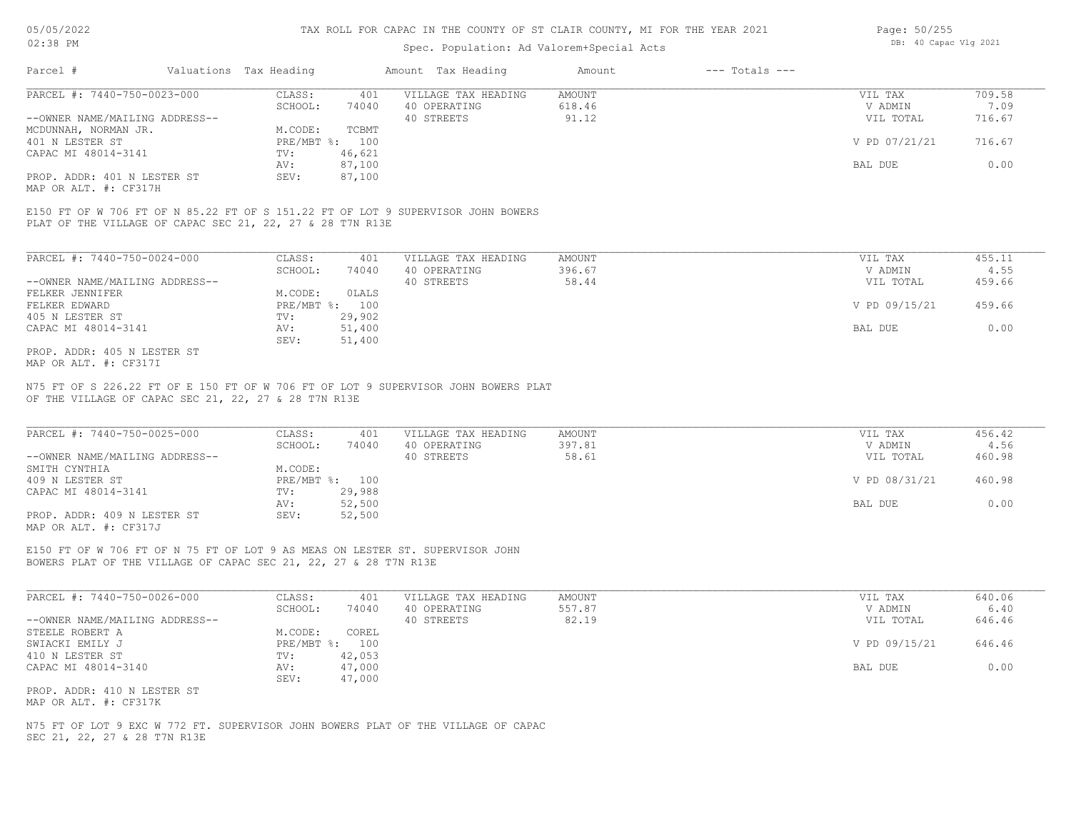# Spec. Population: Ad Valorem+Special Acts

| Page: 50/255 |                       |  |
|--------------|-----------------------|--|
|              | DB: 40 Capac Vlg 2021 |  |

| Parcel #                       | Valuations Tax Heading |        | Amount Tax Heading  | Amount | $---$ Totals $---$ |               |        |
|--------------------------------|------------------------|--------|---------------------|--------|--------------------|---------------|--------|
| PARCEL #: 7440-750-0023-000    | CLASS:                 | 401    | VILLAGE TAX HEADING | AMOUNT |                    | VIL TAX       | 709.58 |
|                                | SCHOOL:                | 74040  | 40 OPERATING        | 618.46 |                    | V ADMIN       | 7.09   |
| --OWNER NAME/MAILING ADDRESS-- |                        |        | 40 STREETS          | 91.12  |                    | VIL TOTAL     | 716.67 |
| MCDUNNAH, NORMAN JR.           | M.CODE:                | TCBMT  |                     |        |                    |               |        |
| 401 N LESTER ST                | PRE/MBT %: 100         |        |                     |        |                    | V PD 07/21/21 | 716.67 |
| CAPAC MI 48014-3141            | TV:                    | 46,621 |                     |        |                    |               |        |
|                                | AV:                    | 87,100 |                     |        |                    | BAL DUE       | 0.00   |
| PROP. ADDR: 401 N LESTER ST    | SEV:                   | 87,100 |                     |        |                    |               |        |
|                                |                        |        |                     |        |                    |               |        |

MAP OR ALT. #: CF317H

PLAT OF THE VILLAGE OF CAPAC SEC 21, 22, 27 & 28 T7N R13E E150 FT OF W 706 FT OF N 85.22 FT OF S 151.22 FT OF LOT 9 SUPERVISOR JOHN BOWERS

| PARCEL #: 7440-750-0024-000    | CLASS:     | 401    | VILLAGE TAX HEADING | AMOUNT | VIL TAX       | 455.11 |
|--------------------------------|------------|--------|---------------------|--------|---------------|--------|
|                                | SCHOOL:    | 74040  | 40 OPERATING        | 396.67 | V ADMIN       | 4.55   |
| --OWNER NAME/MAILING ADDRESS-- |            |        | 40 STREETS          | 58.44  | VIL TOTAL     | 459.66 |
| FELKER JENNIFER                | M.CODE:    | OLALS  |                     |        |               |        |
| FELKER EDWARD                  | PRE/MBT %: | 100    |                     |        | V PD 09/15/21 | 459.66 |
| 405 N LESTER ST                | TV:        | 29,902 |                     |        |               |        |
| CAPAC MI 48014-3141            | AV:        | 51,400 |                     |        | BAL DUE       | 0.00   |
|                                | SEV:       | 51,400 |                     |        |               |        |
| PROP. ADDR: 405 N LESTER ST    |            |        |                     |        |               |        |

MAP OR ALT. #: CF317I

OF THE VILLAGE OF CAPAC SEC 21, 22, 27 & 28 T7N R13E N75 FT OF S 226.22 FT OF E 150 FT OF W 706 FT OF LOT 9 SUPERVISOR JOHN BOWERS PLAT

| PARCEL #: 7440-750-0025-000    | CLASS:       | 401    | VILLAGE TAX HEADING | AMOUNT | VIL TAX       | 456.42 |
|--------------------------------|--------------|--------|---------------------|--------|---------------|--------|
|                                | SCHOOL:      | 74040  | 40 OPERATING        | 397.81 | V ADMIN       | 4.56   |
| --OWNER NAME/MAILING ADDRESS-- |              |        | 40 STREETS          | 58.61  | VIL TOTAL     | 460.98 |
| SMITH CYNTHIA                  | M.CODE:      |        |                     |        |               |        |
| 409 N LESTER ST                | $PRE/MBT$ %: | 100    |                     |        | V PD 08/31/21 | 460.98 |
| CAPAC MI 48014-3141            | TV:          | 29,988 |                     |        |               |        |
|                                | AV:          | 52,500 |                     |        | BAL DUE       | 0.00   |
| PROP. ADDR: 409 N LESTER ST    | SEV:         | 52,500 |                     |        |               |        |
| MAP OR ALT. #: CF317J          |              |        |                     |        |               |        |

 $\_$  , and the state of the state of the state of the state of the state of the state of the state of the state of the state of the state of the state of the state of the state of the state of the state of the state of the

BOWERS PLAT OF THE VILLAGE OF CAPAC SEC 21, 22, 27 & 28 T7N R13E E150 FT OF W 706 FT OF N 75 FT OF LOT 9 AS MEAS ON LESTER ST. SUPERVISOR JOHN

| PARCEL #: 7440-750-0026-000    | CLASS:  | 401            | VILLAGE TAX HEADING | AMOUNT | VIL TAX       | 640.06 |
|--------------------------------|---------|----------------|---------------------|--------|---------------|--------|
|                                | SCHOOL: | 74040          | 40 OPERATING        | 557.87 | V ADMIN       | 6.40   |
| --OWNER NAME/MAILING ADDRESS-- |         |                | 40 STREETS          | 82.19  | VIL TOTAL     | 646.46 |
| STEELE ROBERT A                | M.CODE: | COREL          |                     |        |               |        |
| SWIACKI EMILY J                |         | PRE/MBT %: 100 |                     |        | V PD 09/15/21 | 646.46 |
| 410 N LESTER ST                | TV:     | 42,053         |                     |        |               |        |
| CAPAC MI 48014-3140            | AV:     | 47,000         |                     |        | BAL DUE       | 0.00   |
|                                | SEV:    | 47,000         |                     |        |               |        |
| PROP. ADDR: 410 N LESTER ST    |         |                |                     |        |               |        |

MAP OR ALT. #: CF317K

SEC 21, 22, 27 & 28 T7N R13E N75 FT OF LOT 9 EXC W 772 FT. SUPERVISOR JOHN BOWERS PLAT OF THE VILLAGE OF CAPAC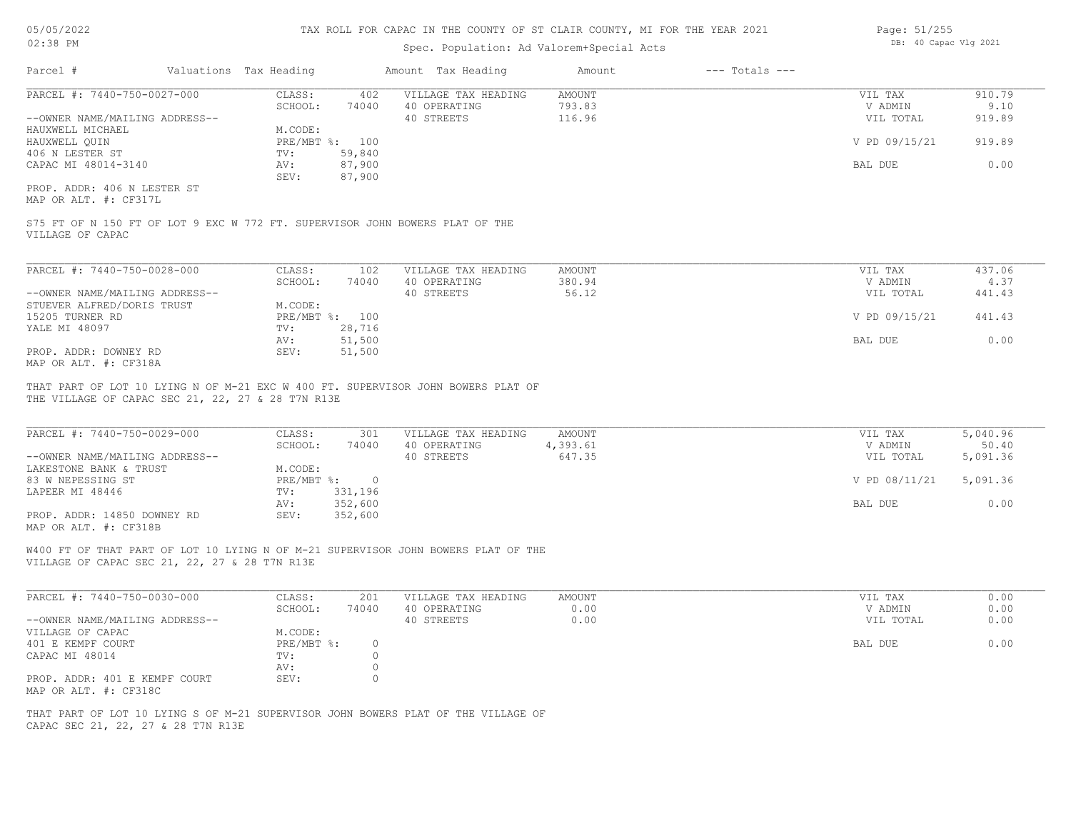# Spec. Population: Ad Valorem+Special Acts

| Page: 51/255 |                       |  |
|--------------|-----------------------|--|
|              | DB: 40 Capac Vlg 2021 |  |

| Parcel #                       | Valuations Tax Heading |        | Amount Tax Heading  | Amount | $---$ Totals $---$ |               |        |
|--------------------------------|------------------------|--------|---------------------|--------|--------------------|---------------|--------|
| PARCEL #: 7440-750-0027-000    | CLASS:                 | 402    | VILLAGE TAX HEADING | AMOUNT |                    | VIL TAX       | 910.79 |
|                                | SCHOOL:                | 74040  | 40 OPERATING        | 793.83 |                    | V ADMIN       | 9.10   |
| --OWNER NAME/MAILING ADDRESS-- |                        |        | 40 STREETS          | 116.96 |                    | VIL TOTAL     | 919.89 |
| HAUXWELL MICHAEL               | M.CODE:                |        |                     |        |                    |               |        |
| HAUXWELL QUIN                  | PRE/MBT %: 100         |        |                     |        |                    | V PD 09/15/21 | 919.89 |
| 406 N LESTER ST                | TV:                    | 59,840 |                     |        |                    |               |        |
| CAPAC MI 48014-3140            | AV:                    | 87,900 |                     |        |                    | BAL DUE       | 0.00   |
|                                | SEV:                   | 87,900 |                     |        |                    |               |        |
| PROP. ADDR: 406 N LESTER ST    |                        |        |                     |        |                    |               |        |

MAP OR ALT. #: CF317L

VILLAGE OF CAPAC S75 FT OF N 150 FT OF LOT 9 EXC W 772 FT. SUPERVISOR JOHN BOWERS PLAT OF THE

| PARCEL #: 7440-750-0028-000    | CLASS:  | 102            | VILLAGE TAX HEADING | AMOUNT | VIL TAX       | 437.06 |
|--------------------------------|---------|----------------|---------------------|--------|---------------|--------|
|                                | SCHOOL: | 74040          | 40 OPERATING        | 380.94 | V ADMIN       | 4.37   |
| --OWNER NAME/MAILING ADDRESS-- |         |                | 40 STREETS          | 56.12  | VIL TOTAL     | 441.43 |
| STUEVER ALFRED/DORIS TRUST     | M.CODE: |                |                     |        |               |        |
| 15205 TURNER RD                |         | PRE/MBT %: 100 |                     |        | V PD 09/15/21 | 441.43 |
| YALE MI 48097                  | TV:     | 28,716         |                     |        |               |        |
|                                | AV:     | 51,500         |                     |        | BAL DUE       | 0.00   |
| PROP. ADDR: DOWNEY RD          | SEV:    | 51,500         |                     |        |               |        |
| MAP OR ALT. #: CF318A          |         |                |                     |        |               |        |

THE VILLAGE OF CAPAC SEC 21, 22, 27 & 28 T7N R13E THAT PART OF LOT 10 LYING N OF M-21 EXC W 400 FT. SUPERVISOR JOHN BOWERS PLAT OF

| PARCEL #: 7440-750-0029-000    | CLASS:     | 301     | VILLAGE TAX HEADING | AMOUNT   | VIL TAX       | 5,040.96 |
|--------------------------------|------------|---------|---------------------|----------|---------------|----------|
|                                | SCHOOL:    | 74040   | 40 OPERATING        | 4,393.61 | V ADMIN       | 50.40    |
| --OWNER NAME/MAILING ADDRESS-- |            |         | 40 STREETS          | 647.35   | VIL TOTAL     | 5,091.36 |
| LAKESTONE BANK & TRUST         | M.CODE:    |         |                     |          |               |          |
| 83 W NEPESSING ST              | PRE/MBT %: |         |                     |          | V PD 08/11/21 | 5,091.36 |
| LAPEER MI 48446                | TV:        | 331,196 |                     |          |               |          |
|                                | AV:        | 352,600 |                     |          | BAL DUE       | 0.00     |
| PROP. ADDR: 14850 DOWNEY RD    | SEV:       | 352,600 |                     |          |               |          |
| MAP OR ALT. #: CF318B          |            |         |                     |          |               |          |

 $\_$  , and the state of the state of the state of the state of the state of the state of the state of the state of the state of the state of the state of the state of the state of the state of the state of the state of the

W400 FT OF THAT PART OF LOT 10 LYING N OF M-21 SUPERVISOR JOHN BOWERS PLAT OF THE

VILLAGE OF CAPAC SEC 21, 22, 27 & 28 T7N R13E

| PARCEL #: 7440-750-0030-000    | CLASS:       | 201   | VILLAGE TAX HEADING | AMOUNT | VIL TAX   | 0.00 |
|--------------------------------|--------------|-------|---------------------|--------|-----------|------|
|                                | SCHOOL:      | 74040 | 40 OPERATING        | 0.00   | V ADMIN   | 0.00 |
| --OWNER NAME/MAILING ADDRESS-- |              |       | 40 STREETS          | 0.00   | VIL TOTAL | 0.00 |
| VILLAGE OF CAPAC               | M.CODE:      |       |                     |        |           |      |
| 401 E KEMPF COURT              | $PRE/MBT$ %: |       |                     |        | BAL DUE   | 0.00 |
| CAPAC MI 48014                 | TV:          |       |                     |        |           |      |
|                                | AV:          |       |                     |        |           |      |
| PROP. ADDR: 401 E KEMPF COURT  | SEV:         |       |                     |        |           |      |
| MAP OR ALT. #: CF318C          |              |       |                     |        |           |      |

CAPAC SEC 21, 22, 27 & 28 T7N R13E THAT PART OF LOT 10 LYING S OF M-21 SUPERVISOR JOHN BOWERS PLAT OF THE VILLAGE OF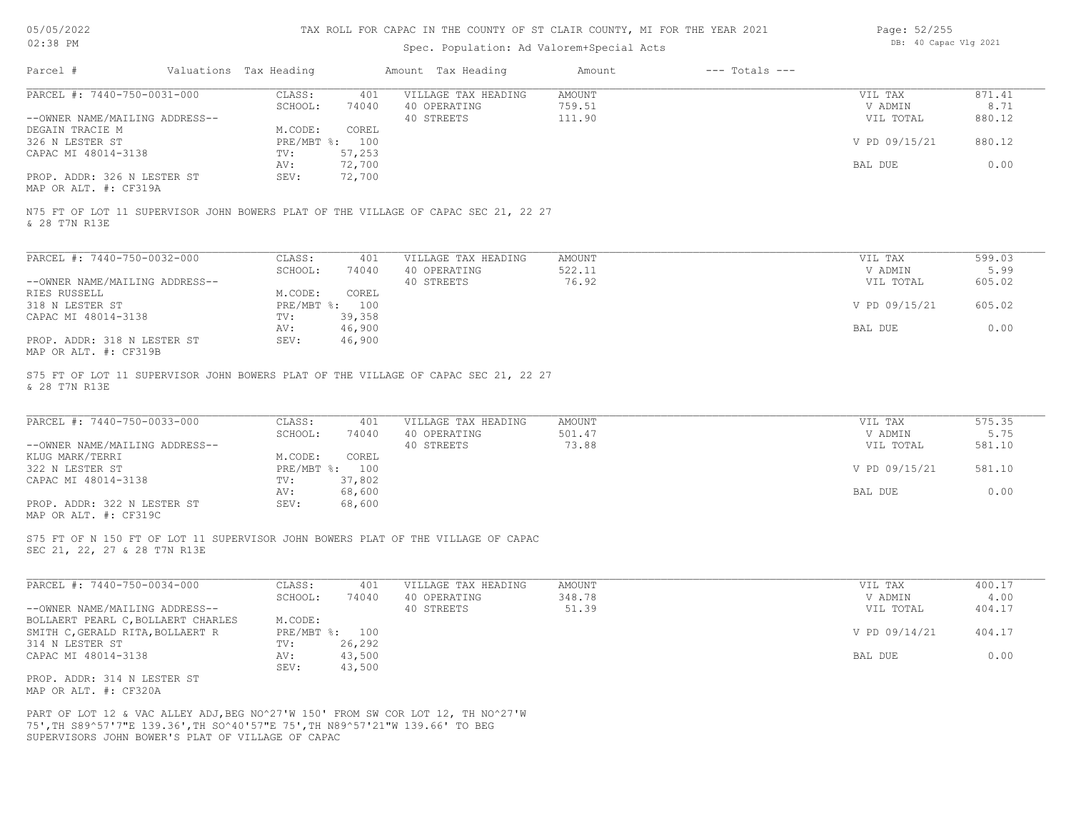# Spec. Population: Ad Valorem+Special Acts

| Page: 52/255 |                       |  |
|--------------|-----------------------|--|
|              | DB: 40 Capac Vlg 2021 |  |

| Parcel #                                                                                                                                                                                                             | Valuations Tax Heading |                  | Amount Tax Heading                  | Amount                  | $---$ Totals $---$ |                      |                |
|----------------------------------------------------------------------------------------------------------------------------------------------------------------------------------------------------------------------|------------------------|------------------|-------------------------------------|-------------------------|--------------------|----------------------|----------------|
| PARCEL #: 7440-750-0031-000                                                                                                                                                                                          | CLASS:<br>SCHOOL:      | 401<br>74040     | VILLAGE TAX HEADING<br>40 OPERATING | <b>AMOUNT</b><br>759.51 |                    | VIL TAX<br>V ADMIN   | 871.41<br>8.71 |
| --OWNER NAME/MAILING ADDRESS--                                                                                                                                                                                       |                        |                  | 40 STREETS                          | 111.90                  |                    | VIL TOTAL            | 880.12         |
| DEGAIN TRACIE M                                                                                                                                                                                                      | M.CODE:                | COREL            |                                     |                         |                    |                      |                |
| 326 N LESTER ST                                                                                                                                                                                                      |                        | PRE/MBT %: 100   |                                     |                         |                    | V PD 09/15/21        | 880.12         |
| CAPAC MI 48014-3138                                                                                                                                                                                                  | TV:                    | 57,253           |                                     |                         |                    |                      |                |
| PROP. ADDR: 326 N LESTER ST                                                                                                                                                                                          | AV:<br>SEV:            | 72,700<br>72,700 |                                     |                         |                    | BAL DUE              | 0.00           |
| MAP OR ALT. #: CF319A                                                                                                                                                                                                |                        |                  |                                     |                         |                    |                      |                |
| N75 FT OF LOT 11 SUPERVISOR JOHN BOWERS PLAT OF THE VILLAGE OF CAPAC SEC 21, 22 27<br>& 28 T7N R13E                                                                                                                  |                        |                  |                                     |                         |                    |                      |                |
|                                                                                                                                                                                                                      |                        |                  |                                     |                         |                    |                      |                |
| PARCEL #: 7440-750-0032-000                                                                                                                                                                                          | CLASS:                 | 401              | VILLAGE TAX HEADING                 | <b>AMOUNT</b>           |                    | VIL TAX              | 599.03         |
| --OWNER NAME/MAILING ADDRESS--                                                                                                                                                                                       | SCHOOL:                | 74040            | 40 OPERATING<br>40 STREETS          | 522.11<br>76.92         |                    | V ADMIN<br>VIL TOTAL | 5.99<br>605.02 |
| RIES RUSSELL                                                                                                                                                                                                         | M.CODE:                | COREL            |                                     |                         |                    |                      |                |
| 318 N LESTER ST                                                                                                                                                                                                      | PRE/MBT %: 100         |                  |                                     |                         |                    | V PD 09/15/21        | 605.02         |
| CAPAC MI 48014-3138                                                                                                                                                                                                  | TV:                    | 39,358           |                                     |                         |                    |                      |                |
|                                                                                                                                                                                                                      | AV:                    | 46,900           |                                     |                         |                    | BAL DUE              | 0.00           |
| PROP. ADDR: 318 N LESTER ST<br>MAP OR ALT. #: CF319B                                                                                                                                                                 | SEV:                   | 46,900           |                                     |                         |                    |                      |                |
| S75 FT OF LOT 11 SUPERVISOR JOHN BOWERS PLAT OF THE VILLAGE OF CAPAC SEC 21, 22 27<br>& 28 T7N R13E                                                                                                                  |                        |                  |                                     |                         |                    |                      |                |
| PARCEL #: 7440-750-0033-000                                                                                                                                                                                          | CLASS:                 | 401              | VILLAGE TAX HEADING                 | AMOUNT                  |                    | VIL TAX              | 575.35         |
|                                                                                                                                                                                                                      | SCHOOL:                | 74040            | 40 OPERATING                        | 501.47                  |                    | V ADMIN              | 5.75           |
| --OWNER NAME/MAILING ADDRESS--                                                                                                                                                                                       |                        |                  | 40 STREETS                          | 73.88                   |                    | VIL TOTAL            | 581.10         |
| KLUG MARK/TERRI                                                                                                                                                                                                      | M.CODE:                | COREL            |                                     |                         |                    |                      |                |
| 322 N LESTER ST<br>CAPAC MI 48014-3138                                                                                                                                                                               | PRE/MBT %: 100<br>TV:  | 37,802           |                                     |                         |                    | V PD 09/15/21        | 581.10         |
|                                                                                                                                                                                                                      | AV:                    | 68,600           |                                     |                         |                    | <b>BAL DUE</b>       | 0.00           |
| PROP. ADDR: 322 N LESTER ST<br>MAP OR ALT. #: CF319C                                                                                                                                                                 | SEV:                   | 68,600           |                                     |                         |                    |                      |                |
| S75 FT OF N 150 FT OF LOT 11 SUPERVISOR JOHN BOWERS PLAT OF THE VILLAGE OF CAPAC                                                                                                                                     |                        |                  |                                     |                         |                    |                      |                |
| SEC 21, 22, 27 & 28 T7N R13E                                                                                                                                                                                         |                        |                  |                                     |                         |                    |                      |                |
| PARCEL #: 7440-750-0034-000                                                                                                                                                                                          | CLASS:                 | 401              | VILLAGE TAX HEADING                 | <b>AMOUNT</b>           |                    | VIL TAX              | 400.17         |
|                                                                                                                                                                                                                      | SCHOOL:                | 74040            | 40 OPERATING                        | 348.78                  |                    | V ADMIN              | 4.00           |
| --OWNER NAME/MAILING ADDRESS--<br>BOLLAERT PEARL C, BOLLAERT CHARLES                                                                                                                                                 | M.CODE:                |                  | 40 STREETS                          | 51.39                   |                    | VIL TOTAL            | 404.17         |
| SMITH C, GERALD RITA, BOLLAERT R                                                                                                                                                                                     | PRE/MBT %: 100         |                  |                                     |                         |                    | V PD 09/14/21        | 404.17         |
| 314 N LESTER ST                                                                                                                                                                                                      | TV:                    | 26,292           |                                     |                         |                    |                      |                |
| CAPAC MI 48014-3138                                                                                                                                                                                                  | AV:                    | 43,500           |                                     |                         |                    | BAL DUE              | 0.00           |
|                                                                                                                                                                                                                      | SEV:                   | 43,500           |                                     |                         |                    |                      |                |
| PROP. ADDR: 314 N LESTER ST<br>MAP OR ALT. #: CF320A                                                                                                                                                                 |                        |                  |                                     |                         |                    |                      |                |
| PART OF LOT 12 & VAC ALLEY ADJ, BEG NO^27'W 150' FROM SW COR LOT 12, TH NO^27'W<br>75', TH S89^57'7"E 139.36', TH SO^40'57"E 75', TH N89^57'21"W 139.66' TO BEG<br>SUPERVISORS JOHN BOWER'S PLAT OF VILLAGE OF CAPAC |                        |                  |                                     |                         |                    |                      |                |
|                                                                                                                                                                                                                      |                        |                  |                                     |                         |                    |                      |                |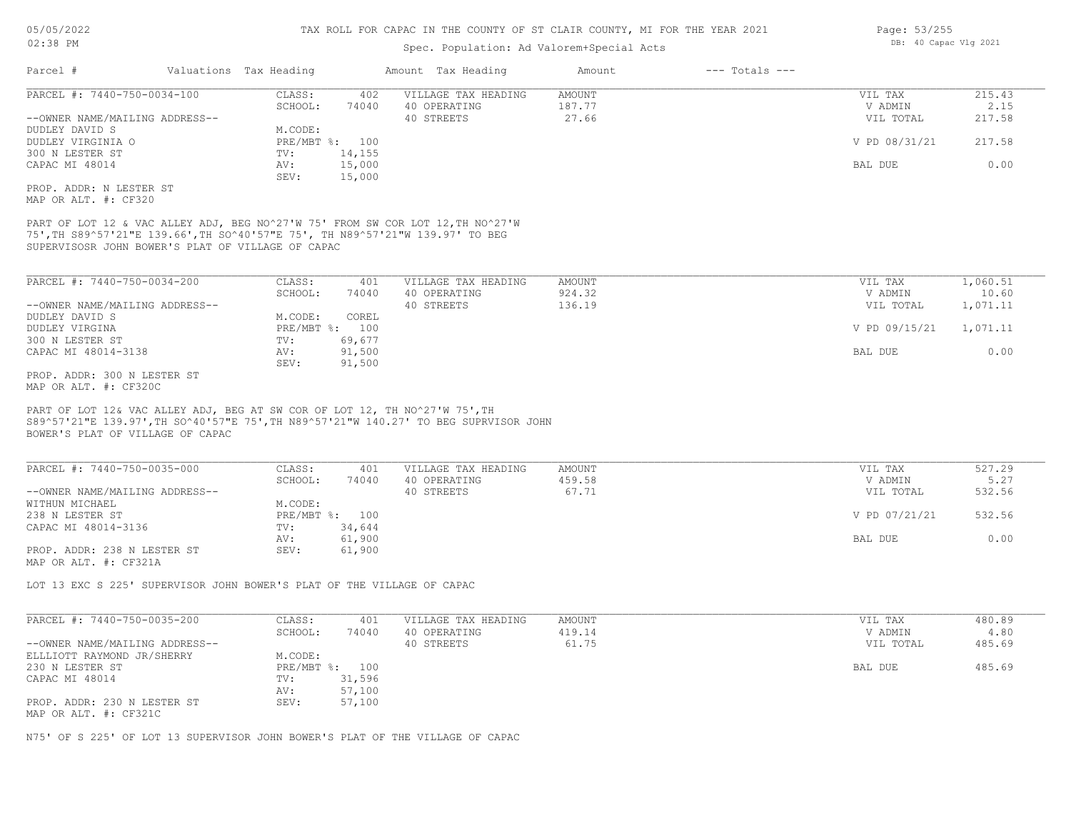# Spec. Population: Ad Valorem+Special Acts

| PARCEL #: 7440-750-0034-100                                                                                                                                                                                          | CLASS:<br>402                                                              | VILLAGE TAX HEADING        | <b>AMOUNT</b>   | VIL TAX              | 215.43         |
|----------------------------------------------------------------------------------------------------------------------------------------------------------------------------------------------------------------------|----------------------------------------------------------------------------|----------------------------|-----------------|----------------------|----------------|
| --OWNER NAME/MAILING ADDRESS--                                                                                                                                                                                       | SCHOOL:<br>74040                                                           | 40 OPERATING<br>40 STREETS | 187.77<br>27.66 | V ADMIN<br>VIL TOTAL | 2.15<br>217.58 |
| DUDLEY DAVID S                                                                                                                                                                                                       | M.CODE:                                                                    |                            |                 |                      |                |
| DUDLEY VIRGINIA O                                                                                                                                                                                                    | PRE/MBT %: 100                                                             |                            |                 | V PD 08/31/21        | 217.58         |
| 300 N LESTER ST                                                                                                                                                                                                      | 14,155<br>TV:                                                              |                            |                 |                      |                |
| CAPAC MI 48014                                                                                                                                                                                                       | 15,000<br>AV:                                                              |                            |                 | BAL DUE              | 0.00           |
|                                                                                                                                                                                                                      | SEV:<br>15,000                                                             |                            |                 |                      |                |
| PROP. ADDR: N LESTER ST<br>MAP OR ALT. #: CF320                                                                                                                                                                      |                                                                            |                            |                 |                      |                |
| PART OF LOT 12 & VAC ALLEY ADJ, BEG NO^27'W 75' FROM SW COR LOT 12, TH NO^27'W<br>75', TH S89^57'21"E 139.66', TH SO^40'57"E 75', TH N89^57'21"W 139.97' TO BEG<br>SUPERVISOSR JOHN BOWER'S PLAT OF VILLAGE OF CAPAC |                                                                            |                            |                 |                      |                |
| PARCEL #: 7440-750-0034-200                                                                                                                                                                                          | CLASS:<br>401                                                              | VILLAGE TAX HEADING        | <b>AMOUNT</b>   | VIL TAX              | 1,060.51       |
|                                                                                                                                                                                                                      | SCHOOL:<br>74040                                                           | 40 OPERATING               | 924.32          | V ADMIN              | 10.60          |
| --OWNER NAME/MAILING ADDRESS--                                                                                                                                                                                       |                                                                            | 40 STREETS                 | 136.19          | VIL TOTAL            | 1,071.11       |
| DUDLEY DAVID S                                                                                                                                                                                                       | M.CODE:<br>COREL                                                           |                            |                 |                      |                |
| DUDLEY VIRGINA                                                                                                                                                                                                       | PRE/MBT %: 100                                                             |                            |                 | V PD 09/15/21        | 1,071.11       |
| 300 N LESTER ST                                                                                                                                                                                                      | 69,677<br>TV:                                                              |                            |                 |                      |                |
| CAPAC MI 48014-3138                                                                                                                                                                                                  | 91,500<br>AV:<br>SEV:<br>91,500                                            |                            |                 | BAL DUE              | 0.00           |
| PROP. ADDR: 300 N LESTER ST<br>MAP OR ALT. #: CF320C                                                                                                                                                                 |                                                                            |                            |                 |                      |                |
|                                                                                                                                                                                                                      | PART OF LOT 12& VAC ALLEY ADJ, BEG AT SW COR OF LOT 12, TH NO^27'W 75', TH |                            |                 |                      |                |
| S89^57'21"E 139.97', TH SO^40'57"E 75', TH N89^57'21"W 140.27' TO BEG SUPRVISOR JOHN<br>BOWER'S PLAT OF VILLAGE OF CAPAC<br>PARCEL #: 7440-750-0035-000                                                              | CLASS:<br>401                                                              | VILLAGE TAX HEADING        | AMOUNT          | VIL TAX              | 527.29         |
|                                                                                                                                                                                                                      | SCHOOL:<br>74040                                                           | 40 OPERATING               | 459.58          | V ADMIN              | 5.27           |
|                                                                                                                                                                                                                      |                                                                            | 40 STREETS                 | 67.71           | VIL TOTAL            | 532.56         |
|                                                                                                                                                                                                                      | M.CODE:                                                                    |                            |                 |                      |                |
| --OWNER NAME/MAILING ADDRESS--<br>WITHUN MICHAEL<br>238 N LESTER ST<br>CAPAC MI 48014-3136                                                                                                                           | PRE/MBT %: 100<br>34,644<br>TV:                                            |                            |                 | V PD 07/21/21        | 532.56         |
|                                                                                                                                                                                                                      | 61,900<br>AV:                                                              |                            |                 | BAL DUE              | 0.00           |
|                                                                                                                                                                                                                      | 61,900<br>SEV:                                                             |                            |                 |                      |                |
| PROP. ADDR: 238 N LESTER ST<br>MAP OR ALT. #: CF321A<br>LOT 13 EXC S 225' SUPERVISOR JOHN BOWER'S PLAT OF THE VILLAGE OF CAPAC                                                                                       |                                                                            |                            |                 |                      |                |
| PARCEL #: 7440-750-0035-200                                                                                                                                                                                          | CLASS:<br>401                                                              | VILLAGE TAX HEADING        | <b>AMOUNT</b>   | VIL TAX              | 480.89         |
|                                                                                                                                                                                                                      | SCHOOL:<br>74040                                                           | 40 OPERATING               | 419.14          | V ADMIN              | 4.80           |
|                                                                                                                                                                                                                      |                                                                            | 40 STREETS                 | 61.75           | VIL TOTAL            | 485.69         |
| --OWNER NAME/MAILING ADDRESS--<br>ELLLIOTT RAYMOND JR/SHERRY                                                                                                                                                         | M.CODE:                                                                    |                            |                 |                      |                |
| 230 N LESTER ST                                                                                                                                                                                                      | PRE/MBT %: 100                                                             |                            |                 | BAL DUE              | 485.69         |
| CAPAC MI 48014                                                                                                                                                                                                       | 31,596<br>TV:                                                              |                            |                 |                      |                |
| PROP. ADDR: 230 N LESTER ST                                                                                                                                                                                          | 57,100<br>AV:<br>SEV:<br>57,100                                            |                            |                 |                      |                |
| MAP OR ALT. #: CF321C                                                                                                                                                                                                |                                                                            |                            |                 |                      |                |

Page: 53/255 DB: 40 Capac Vlg 2021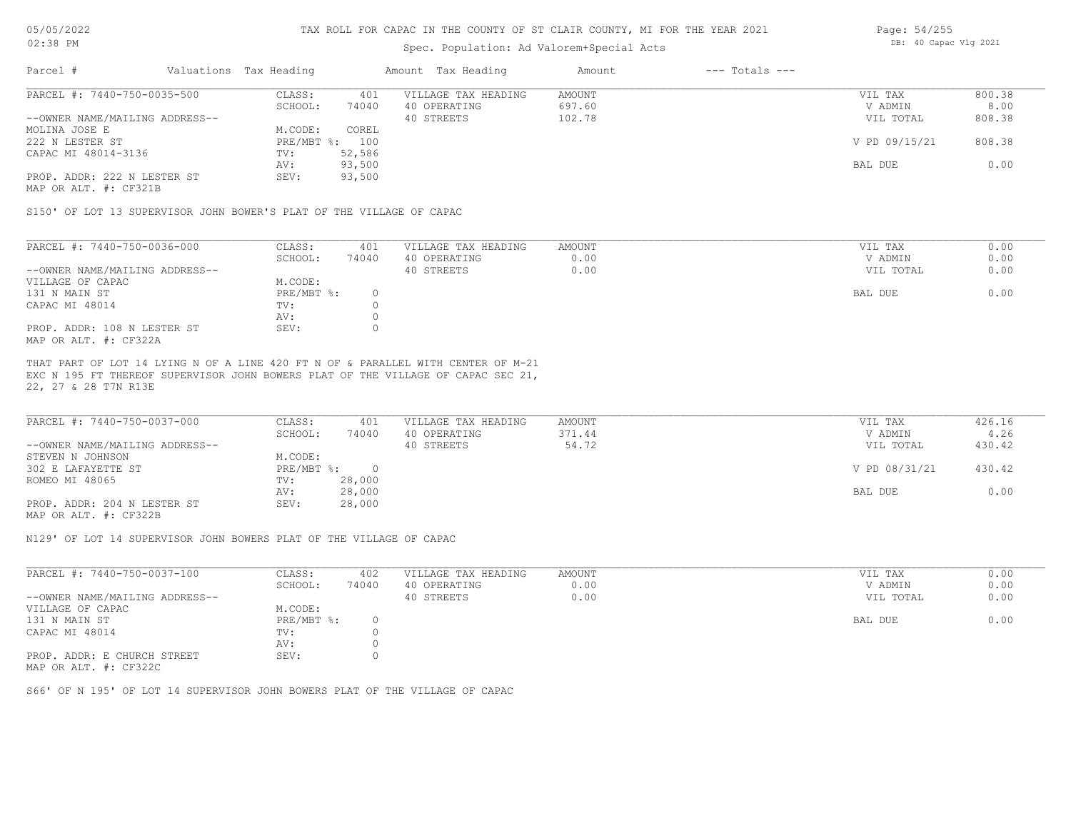# Spec. Population: Ad Valorem+Special Acts

| Page: 54/255 |                       |  |
|--------------|-----------------------|--|
|              | DB: 40 Capac Vlg 2021 |  |

| Parcel #                       | Valuations Tax Heading |        | Amount Tax Heading  | Amount | $---$ Totals $---$ |               |        |
|--------------------------------|------------------------|--------|---------------------|--------|--------------------|---------------|--------|
| PARCEL #: 7440-750-0035-500    | CLASS:                 | 401    | VILLAGE TAX HEADING | AMOUNT |                    | VIL TAX       | 800.38 |
|                                | SCHOOL:                | 74040  | 40 OPERATING        | 697.60 |                    | V ADMIN       | 8.00   |
| --OWNER NAME/MAILING ADDRESS-- |                        |        | 40 STREETS          | 102.78 |                    | VIL TOTAL     | 808.38 |
| MOLINA JOSE E                  | M.CODE:                | COREL  |                     |        |                    |               |        |
| 222 N LESTER ST                | PRE/MBT %: 100         |        |                     |        |                    | V PD 09/15/21 | 808.38 |
| CAPAC MI 48014-3136            | TV:                    | 52,586 |                     |        |                    |               |        |
|                                | AV:                    | 93,500 |                     |        |                    | BAL DUE       | 0.00   |
| PROP. ADDR: 222 N LESTER ST    | SEV:                   | 93,500 |                     |        |                    |               |        |
|                                |                        |        |                     |        |                    |               |        |

MAP OR ALT. #: CF321B

S150' OF LOT 13 SUPERVISOR JOHN BOWER'S PLAT OF THE VILLAGE OF CAPAC

| PARCEL #: 7440-750-0036-000    | CLASS:     | 401   | VILLAGE TAX HEADING | AMOUNT | VIL TAX   | 0.00 |
|--------------------------------|------------|-------|---------------------|--------|-----------|------|
|                                | SCHOOL:    | 74040 | 40 OPERATING        | 0.00   | V ADMIN   | 0.00 |
| --OWNER NAME/MAILING ADDRESS-- |            |       | 40 STREETS          | 0.00   | VIL TOTAL | 0.00 |
| VILLAGE OF CAPAC               | M.CODE:    |       |                     |        |           |      |
| 131 N MAIN ST                  | PRE/MBT %: |       |                     |        | BAL DUE   | 0.00 |
| CAPAC MI 48014                 | TV:        |       |                     |        |           |      |
|                                | AV:        |       |                     |        |           |      |
| PROP. ADDR: 108 N LESTER ST    | SEV:       |       |                     |        |           |      |
| MAP OR ALT. #: CF322A          |            |       |                     |        |           |      |

22, 27 & 28 T7N R13E EXC N 195 FT THEREOF SUPERVISOR JOHN BOWERS PLAT OF THE VILLAGE OF CAPAC SEC 21, THAT PART OF LOT 14 LYING N OF A LINE 420 FT N OF & PARALLEL WITH CENTER OF M-21

| PARCEL #: 7440-750-0037-000<br>VILLAGE TAX HEADING<br>AMOUNT<br>CLASS:<br>401 | 426.16<br>VIL TAX       |
|-------------------------------------------------------------------------------|-------------------------|
| 74040<br>371.44<br>40 OPERATING<br>SCHOOL:                                    | 4.26<br>V ADMIN         |
| --OWNER NAME/MAILING ADDRESS--<br>54.72<br>40 STREETS                         | 430.42<br>VIL TOTAL     |
| STEVEN N JOHNSON<br>M.CODE:                                                   |                         |
| 302 E LAFAYETTE ST<br>PRE/MBT %:                                              | V PD 08/31/21<br>430.42 |
| 28,000<br>ROMEO MI 48065<br>TV:                                               |                         |
| 28,000<br>AV:                                                                 | 0.00<br>BAL DUE         |
| 28,000<br>PROP. ADDR: 204 N LESTER ST<br>SEV:                                 |                         |

MAP OR ALT. #: CF322B

N129' OF LOT 14 SUPERVISOR JOHN BOWERS PLAT OF THE VILLAGE OF CAPAC

| CLASS:  | 402   | VILLAGE TAX HEADING | AMOUNT | VIL TAX   | 0.00 |
|---------|-------|---------------------|--------|-----------|------|
| SCHOOL: | 74040 | 40 OPERATING        | 0.00   | V ADMIN   | 0.00 |
|         |       | 40 STREETS          | 0.00   | VIL TOTAL | 0.00 |
| M.CODE: |       |                     |        |           |      |
|         |       |                     |        | BAL DUE   | 0.00 |
| TV:     |       |                     |        |           |      |
| AV:     |       |                     |        |           |      |
| SEV:    |       |                     |        |           |      |
|         |       | PRE/MBT %:          |        |           |      |

MAP OR ALT. #: CF322C

S66' OF N 195' OF LOT 14 SUPERVISOR JOHN BOWERS PLAT OF THE VILLAGE OF CAPAC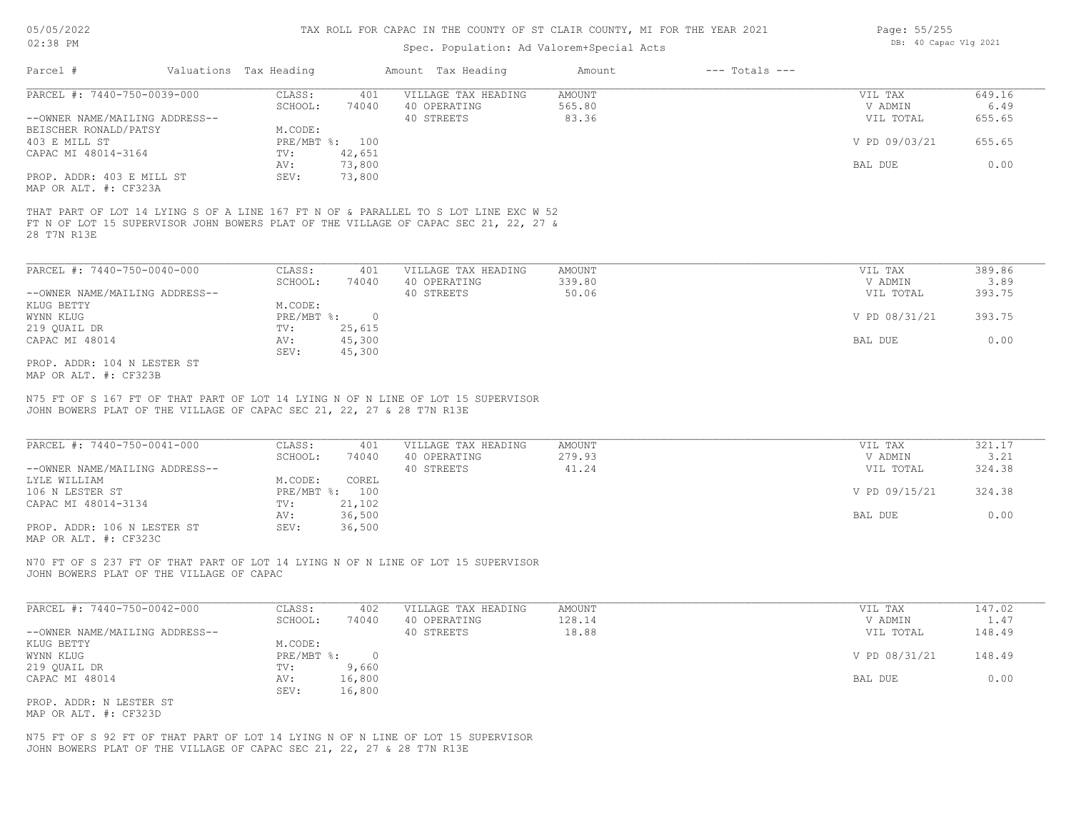# Spec. Population:

| OF ST CLAIR COUNTY, MI FOR THE YEAR 2021 |                    | Page: 55/255          |
|------------------------------------------|--------------------|-----------------------|
| Ad Valorem+Special Acts                  |                    | DB: 40 Capac Vlg 2021 |
| Amount                                   | $---$ Totals $---$ |                       |

| PARCEL #: 7440-750-0039-000    | CLASS:         | 401    | VILLAGE TAX HEADING | AMOUNT | VIL TAX        | 649.16 |
|--------------------------------|----------------|--------|---------------------|--------|----------------|--------|
|                                | SCHOOL:        | 74040  | 40 OPERATING        | 565.80 | V ADMIN        | 6.49   |
| --OWNER NAME/MAILING ADDRESS-- |                |        | 40 STREETS          | 83.36  | VIL TOTAL      | 655.65 |
| BEISCHER RONALD/PATSY          | M.CODE:        |        |                     |        |                |        |
| 403 E MILL ST                  | PRE/MBT %: 100 |        |                     |        | V PD 09/03/21  | 655.65 |
| CAPAC MI 48014-3164            | TV:            | 42,651 |                     |        |                |        |
|                                | AV:            | 73,800 |                     |        | <b>BAL DUE</b> | 0.00   |
| PROP. ADDR: 403 E MILL ST      | SEV:           | 73,800 |                     |        |                |        |
| MAP OR ALT. #: CF323A          |                |        |                     |        |                |        |

28 T7N R13E FT N OF LOT 15 SUPERVISOR JOHN BOWERS PLAT OF THE VILLAGE OF CAPAC SEC 21, 22, 27 & THAT PART OF LOT 14 LYING S OF A LINE 167 FT N OF & PARALLEL TO S LOT LINE EXC W 52

Parcel # Valuations Tax Heading Amount Tax Heading

| PARCEL #: 7440-750-0040-000    | CLASS:       | 401    | VILLAGE TAX HEADING | AMOUNT | VIL TAX       | 389.86 |
|--------------------------------|--------------|--------|---------------------|--------|---------------|--------|
|                                | SCHOOL:      | 74040  | 40 OPERATING        | 339.80 | V ADMIN       | 3.89   |
| --OWNER NAME/MAILING ADDRESS-- |              |        | 40 STREETS          | 50.06  | VIL TOTAL     | 393.75 |
| KLUG BETTY                     | M.CODE:      |        |                     |        |               |        |
| WYNN KLUG                      | $PRE/MBT$ %: |        |                     |        | V PD 08/31/21 | 393.75 |
| 219 QUAIL DR                   | TV:          | 25,615 |                     |        |               |        |
| CAPAC MI 48014                 | AV:          | 45,300 |                     |        | BAL DUE       | 0.00   |
|                                | SEV:         | 45,300 |                     |        |               |        |
| PROP. ADDR: 104 N LESTER ST    |              |        |                     |        |               |        |

MAP OR ALT. #: CF323B

JOHN BOWERS PLAT OF THE VILLAGE OF CAPAC SEC 21, 22, 27 & 28 T7N R13E N75 FT OF S 167 FT OF THAT PART OF LOT 14 LYING N OF N LINE OF LOT 15 SUPERVISOR

| PARCEL #: 7440-750-0041-000    | CLASS:       | 401    | VILLAGE TAX HEADING | AMOUNT | VIL TAX       | 321.17 |
|--------------------------------|--------------|--------|---------------------|--------|---------------|--------|
|                                | SCHOOL:      | 74040  | 40 OPERATING        | 279.93 | V ADMIN       | 3.21   |
| --OWNER NAME/MAILING ADDRESS-- |              |        | 40 STREETS          | 41.24  | VIL TOTAL     | 324.38 |
| LYLE WILLIAM                   | M.CODE:      | COREL  |                     |        |               |        |
| 106 N LESTER ST                | $PRE/MBT$ %: | 100    |                     |        | V PD 09/15/21 | 324.38 |
| CAPAC MI 48014-3134            | TV:          | 21,102 |                     |        |               |        |
|                                | AV:          | 36,500 |                     |        | BAL DUE       | 0.00   |
| PROP. ADDR: 106 N LESTER ST    | SEV:         | 36,500 |                     |        |               |        |
|                                |              |        |                     |        |               |        |

MAP OR ALT. #: CF323C

JOHN BOWERS PLAT OF THE VILLAGE OF CAPAC N70 FT OF S 237 FT OF THAT PART OF LOT 14 LYING N OF N LINE OF LOT 15 SUPERVISOR

| PARCEL #: 7440-750-0042-000    | CLASS:       | 402    | VILLAGE TAX HEADING | AMOUNT | VIL TAX       | 147.02 |
|--------------------------------|--------------|--------|---------------------|--------|---------------|--------|
|                                | SCHOOL:      | 74040  | 40 OPERATING        | 128.14 | V ADMIN       | 1.47   |
| --OWNER NAME/MAILING ADDRESS-- |              |        | 40 STREETS          | 18.88  | VIL TOTAL     | 148.49 |
| KLUG BETTY                     | M.CODE:      |        |                     |        |               |        |
| WYNN KLUG                      | $PRE/MBT$ %: |        |                     |        | V PD 08/31/21 | 148.49 |
| 219 QUAIL DR                   | TV:          | 9,660  |                     |        |               |        |
| CAPAC MI 48014                 | AV:          | 16,800 |                     |        | BAL DUE       | 0.00   |
|                                | SEV:         | 16,800 |                     |        |               |        |
| PROP. ADDR: N LESTER ST        |              |        |                     |        |               |        |

MAP OR ALT. #: CF323D

JOHN BOWERS PLAT OF THE VILLAGE OF CAPAC SEC 21, 22, 27 & 28 T7N R13E N75 FT OF S 92 FT OF THAT PART OF LOT 14 LYING N OF N LINE OF LOT 15 SUPERVISOR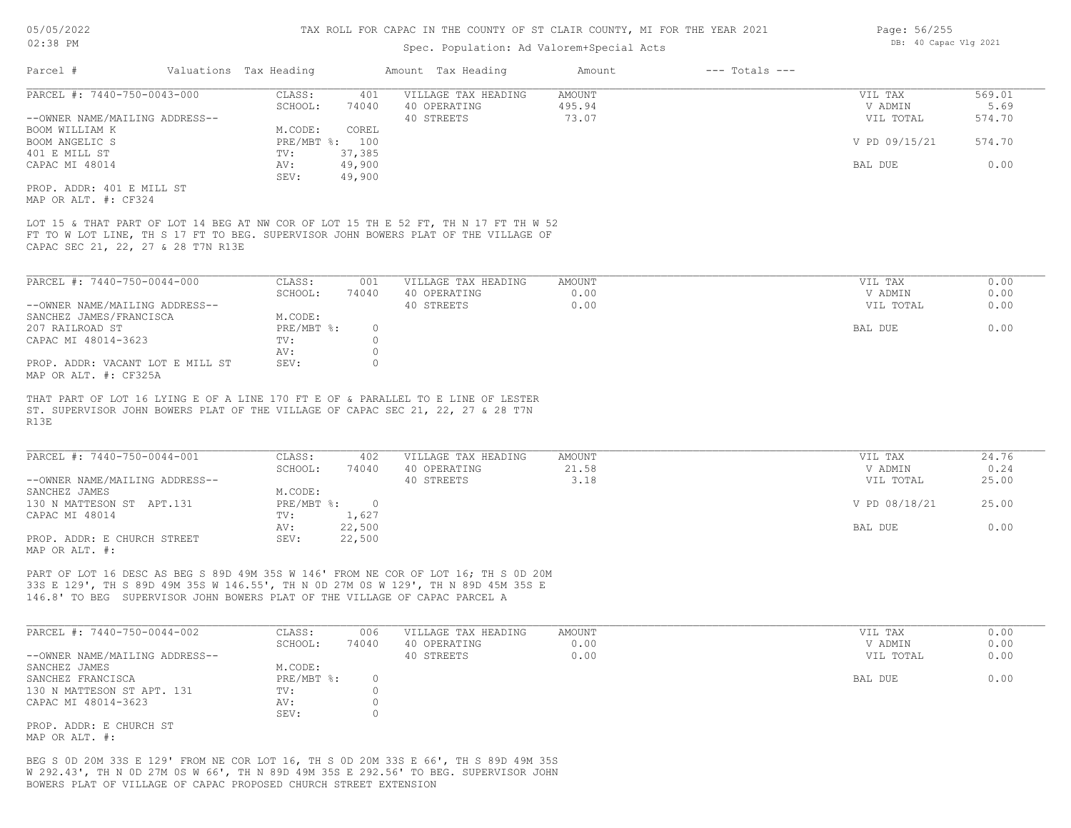| 05/05/2022                                        |                        |                | TAX ROLL FOR CAPAC IN THE COUNTY OF ST CLAIR COUNTY, MI FOR THE YEAR 2021           |               |                    | Page: 56/255          |        |  |
|---------------------------------------------------|------------------------|----------------|-------------------------------------------------------------------------------------|---------------|--------------------|-----------------------|--------|--|
| $02:38$ PM                                        |                        |                | Spec. Population: Ad Valorem+Special Acts                                           |               |                    | DB: 40 Capac Vlg 2021 |        |  |
| Parcel #                                          | Valuations Tax Heading |                | Amount Tax Heading                                                                  | Amount        | $---$ Totals $---$ |                       |        |  |
| PARCEL #: 7440-750-0043-000                       | CLASS:                 | 401            | VILLAGE TAX HEADING                                                                 | <b>AMOUNT</b> |                    | VIL TAX               | 569.01 |  |
|                                                   | SCHOOL:                | 74040          | 40 OPERATING                                                                        | 495.94        |                    | V ADMIN               | 5.69   |  |
| --OWNER NAME/MAILING ADDRESS--                    |                        |                | 40 STREETS                                                                          | 73.07         |                    | VIL TOTAL             | 574.70 |  |
| BOOM WILLIAM K                                    | M.CODE:                | COREL          |                                                                                     |               |                    |                       |        |  |
| BOOM ANGELIC S                                    |                        | PRE/MBT %: 100 |                                                                                     |               |                    | V PD 09/15/21         | 574.70 |  |
| 401 E MILL ST                                     | TV:                    | 37,385         |                                                                                     |               |                    |                       |        |  |
| CAPAC MI 48014                                    | AV:                    | 49,900         |                                                                                     |               |                    | BAL DUE               | 0.00   |  |
|                                                   |                        |                |                                                                                     |               |                    |                       |        |  |
|                                                   | SEV:                   | 49,900         |                                                                                     |               |                    |                       |        |  |
|                                                   |                        |                |                                                                                     |               |                    |                       |        |  |
| PROP. ADDR: 401 E MILL ST<br>MAP OR ALT. #: CF324 |                        |                | LOT 15 & THAT PART OF LOT 14 BEG AT NW COR OF LOT 15 TH E 52 FT, TH N 17 FT TH W 52 |               |                    |                       |        |  |
| CAPAC SEC 21, 22, 27 & 28 T7N R13E                |                        |                | FT TO W LOT LINE, TH S 17 FT TO BEG. SUPERVISOR JOHN BOWERS PLAT OF THE VILLAGE OF  |               |                    |                       |        |  |
| PARCEL #: 7440-750-0044-000                       | CLASS:                 | 001            | VILLAGE TAX HEADING                                                                 | <b>AMOUNT</b> |                    | VIL TAX               | 0.00   |  |
|                                                   | SCHOOL:                | 74040          | 40 OPERATING                                                                        | 0.00          |                    | V ADMIN               | 0.00   |  |
| --OWNER NAME/MAILING ADDRESS--                    |                        |                | 40 STREETS                                                                          | 0.00          |                    | VIL TOTAL             | 0.00   |  |
| SANCHEZ JAMES/FRANCISCA                           | M.CODE:                |                |                                                                                     |               |                    |                       |        |  |
| 207 RAILROAD ST                                   | PRE/MBT %:             | $\circ$        |                                                                                     |               |                    | BAL DUE               | 0.00   |  |
| CAPAC MI 48014-3623                               | TV:                    | $\Omega$       |                                                                                     |               |                    |                       |        |  |
| PROP. ADDR: VACANT LOT E MILL ST                  | AV:<br>SEV:            | $\Omega$       |                                                                                     |               |                    |                       |        |  |

R13E ST. SUPERVISOR JOHN BOWERS PLAT OF THE VILLAGE OF CAPAC SEC 21, 22, 27 & 28 T7N THAT PART OF LOT 16

| PARCEL #: 7440-750-0044-001    | CLASS:     | 402    | VILLAGE TAX HEADING | AMOUNT | VIL TAX       | 24.76 |
|--------------------------------|------------|--------|---------------------|--------|---------------|-------|
|                                | SCHOOL:    | 74040  | 40 OPERATING        | 21.58  | V ADMIN       | 0.24  |
| --OWNER NAME/MAILING ADDRESS-- |            |        | 40 STREETS          | 3.18   | VIL TOTAL     | 25.00 |
| SANCHEZ JAMES                  | M.CODE:    |        |                     |        |               |       |
| 130 N MATTESON ST APT.131      | PRE/MBT %: |        |                     |        | V PD 08/18/21 | 25.00 |
| CAPAC MI 48014                 | TV:        | 1,627  |                     |        |               |       |
|                                | AV:        | 22,500 |                     |        | BAL DUE       | 0.00  |
| PROP. ADDR: E CHURCH STREET    | SEV:       | 22,500 |                     |        |               |       |
| MAP OR ALT. #:                 |            |        |                     |        |               |       |

146.8' TO BEG SUPERVISOR JOHN BOWERS PLAT OF THE VILLAGE OF CAPAC PARCEL A 33S E 129', TH S 89D 49M 35S W 146.55', TH N 0D 27M 0S W 129', TH N 89D 45M 35S E PART OF LOT 16 DESC AS BEG S 89D 49M 35S W 146' FROM NE COR OF LOT 16; TH S 0D 20M

| PARCEL #: 7440-750-0044-002    | CLASS:     | 006   | VILLAGE TAX HEADING | AMOUNT | VIL TAX   | 0.00 |
|--------------------------------|------------|-------|---------------------|--------|-----------|------|
|                                | SCHOOL:    | 74040 | 40 OPERATING        | 0.00   | V ADMIN   | 0.00 |
| --OWNER NAME/MAILING ADDRESS-- |            |       | 40 STREETS          | 0.00   | VIL TOTAL | 0.00 |
| SANCHEZ JAMES                  | M.CODE:    |       |                     |        |           |      |
| SANCHEZ FRANCISCA              | PRE/MBT %: |       |                     |        | BAL DUE   | 0.00 |
| 130 N MATTESON ST APT. 131     | TV:        |       |                     |        |           |      |
| CAPAC MI 48014-3623            | AV:        |       |                     |        |           |      |
|                                | SEV:       |       |                     |        |           |      |
| PROP. ADDR: E CHURCH ST        |            |       |                     |        |           |      |

MAP OR ALT. #:

BOWERS PLAT OF VILLAGE OF CAPAC PROPOSED CHURCH STREET EXTENSION W 292.43', TH N 0D 27M 0S W 66', TH N 89D 49M 35S E 292.56' TO BEG. SUPERVISOR JOHN BEG S 0D 20M 33S E 129' FROM NE COR LOT 16, TH S 0D 20M 33S E 66', TH S 89D 49M 35S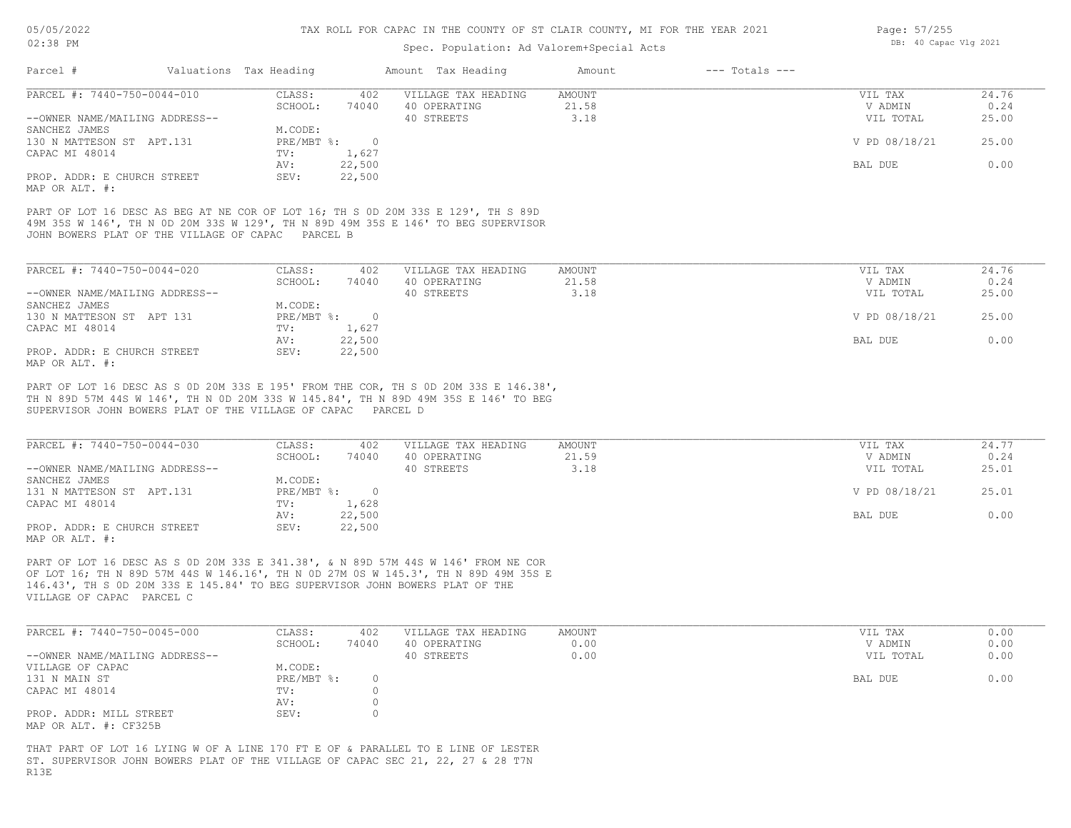#### Spec. Population: Ad Valorem+Special Acts

| Page: 57/255 |                       |  |  |  |  |  |
|--------------|-----------------------|--|--|--|--|--|
|              | DB: 40 Capac Vlg 2021 |  |  |  |  |  |

| Parcel #                                                                                       | Valuations Tax Heading |        | Amount Tax Heading  | Amount | $---$ Totals $---$ |               |       |
|------------------------------------------------------------------------------------------------|------------------------|--------|---------------------|--------|--------------------|---------------|-------|
| PARCEL #: 7440-750-0044-010                                                                    | CLASS:                 | 402    | VILLAGE TAX HEADING | AMOUNT |                    | VIL TAX       | 24.76 |
|                                                                                                | SCHOOL:                | 74040  | 40 OPERATING        | 21.58  |                    | V ADMIN       | 0.24  |
| --OWNER NAME/MAILING ADDRESS--                                                                 |                        |        | 40 STREETS          | 3.18   |                    | VIL TOTAL     | 25.00 |
| SANCHEZ JAMES                                                                                  | M.CODE:                |        |                     |        |                    |               |       |
| 130 N MATTESON ST APT.131                                                                      | PRE/MBT %:             |        |                     |        |                    | V PD 08/18/21 | 25.00 |
| CAPAC MI 48014                                                                                 | TV:                    | 1,627  |                     |        |                    |               |       |
|                                                                                                | AV:                    | 22,500 |                     |        |                    | BAL DUE       | 0.00  |
| PROP. ADDR: E CHURCH STREET<br>$M \wedge D$ $\wedge D$ $\wedge T$ $\wedge T$ $\wedge$ $\wedge$ | SEV:                   | 22,500 |                     |        |                    |               |       |

MAP OR ALT. #:

JOHN BOWERS PLAT OF THE VILLAGE OF CAPAC PARCEL B 49M 35S W 146', TH N 0D 20M 33S W 129', TH N 89D 49M 35S E 146' TO BEG SUPERVISOR PART OF LOT 16 DESC AS BEG AT NE COR OF LOT 16; TH S 0D 20M 33S E 129', TH S 89D

| PARCEL #: 7440-750-0044-020    | CLASS:       | 402    | VILLAGE TAX HEADING | AMOUNT | VIL TAX       | 24.76 |
|--------------------------------|--------------|--------|---------------------|--------|---------------|-------|
|                                | SCHOOL:      | 74040  | 40 OPERATING        | 21.58  | V ADMIN       | 0.24  |
| --OWNER NAME/MAILING ADDRESS-- |              |        | 40 STREETS          | 3.18   | VIL TOTAL     | 25.00 |
| SANCHEZ JAMES                  | M.CODE:      |        |                     |        |               |       |
| 130 N MATTESON ST APT 131      | $PRE/MBT$ %: |        |                     |        | V PD 08/18/21 | 25.00 |
| CAPAC MI 48014                 | TV:          | 1,627  |                     |        |               |       |
|                                | AV:          | 22,500 |                     |        | BAL DUE       | 0.00  |
| PROP. ADDR: E CHURCH STREET    | SEV:         | 22,500 |                     |        |               |       |
| MAP OR ALT. #:                 |              |        |                     |        |               |       |

SUPERVISOR JOHN BOWERS PLAT OF THE VILLAGE OF CAPAC PARCEL D TH N 89D 57M 44S W 146', TH N 0D 20M 33S W 145.84', TH N 89D 49M 35S E 146' TO BEG PART OF LOT 16 DESC AS S 0D 20M 33S E 195' FROM THE COR, TH S 0D 20M 33S E 146.38',

| PARCEL #: 7440-750-0044-030    | CLASS:     | 402    | VILLAGE TAX HEADING | AMOUNT | VIL TAX       | 24.77 |
|--------------------------------|------------|--------|---------------------|--------|---------------|-------|
|                                | SCHOOL:    | 74040  | 40 OPERATING        | 21.59  | V ADMIN       | 0.24  |
| --OWNER NAME/MAILING ADDRESS-- |            |        | 40 STREETS          | 3.18   | VIL TOTAL     | 25.01 |
| SANCHEZ JAMES                  | M.CODE:    |        |                     |        |               |       |
| 131 N MATTESON ST APT.131      | PRE/MBT %: |        |                     |        | V PD 08/18/21 | 25.01 |
| CAPAC MI 48014                 | TV:        | 1,628  |                     |        |               |       |
|                                | AV:        | 22,500 |                     |        | BAL DUE       | 0.00  |
| PROP. ADDR: E CHURCH STREET    | SEV:       | 22,500 |                     |        |               |       |
| MAP OR ALT. #:                 |            |        |                     |        |               |       |

VILLAGE OF CAPAC PARCEL C 146.43', TH S 0D 20M 33S E 145.84' TO BEG SUPERVISOR JOHN BOWERS PLAT OF THE OF LOT 16; TH N 89D 57M 44S W 146.16', TH N 0D 27M 0S W 145.3', TH N 89D 49M 35S E PART OF LOT 16 DESC AS S 0D 20M 33S E 341.38', & N 89D 57M 44S W 146' FROM NE COR

| PARCEL #: 7440-750-0045-000    | CLASS:       | 402   | VILLAGE TAX HEADING | AMOUNT | VIL TAX   | 0.00 |
|--------------------------------|--------------|-------|---------------------|--------|-----------|------|
|                                | SCHOOL:      | 74040 | 40 OPERATING        | 0.00   | V ADMIN   | 0.00 |
| --OWNER NAME/MAILING ADDRESS-- |              |       | 40 STREETS          | 0.00   | VIL TOTAL | 0.00 |
| VILLAGE OF CAPAC               | M.CODE:      |       |                     |        |           |      |
| 131 N MAIN ST                  | $PRE/MBT$ %: |       |                     |        | BAL DUE   | 0.00 |
| CAPAC MI 48014                 | TV:          |       |                     |        |           |      |
|                                | AV:          |       |                     |        |           |      |
| PROP. ADDR: MILL STREET        | SEV:         |       |                     |        |           |      |
| MAP OR ALT. #: CF325B          |              |       |                     |        |           |      |

R13E ST. SUPERVISOR JOHN BOWERS PLAT OF THE VILLAGE OF CAPAC SEC 21, 22, 27 & 28 T7N THAT PART OF LOT 16 LYING W OF A LINE 170 FT E OF & PARALLEL TO E LINE OF LESTER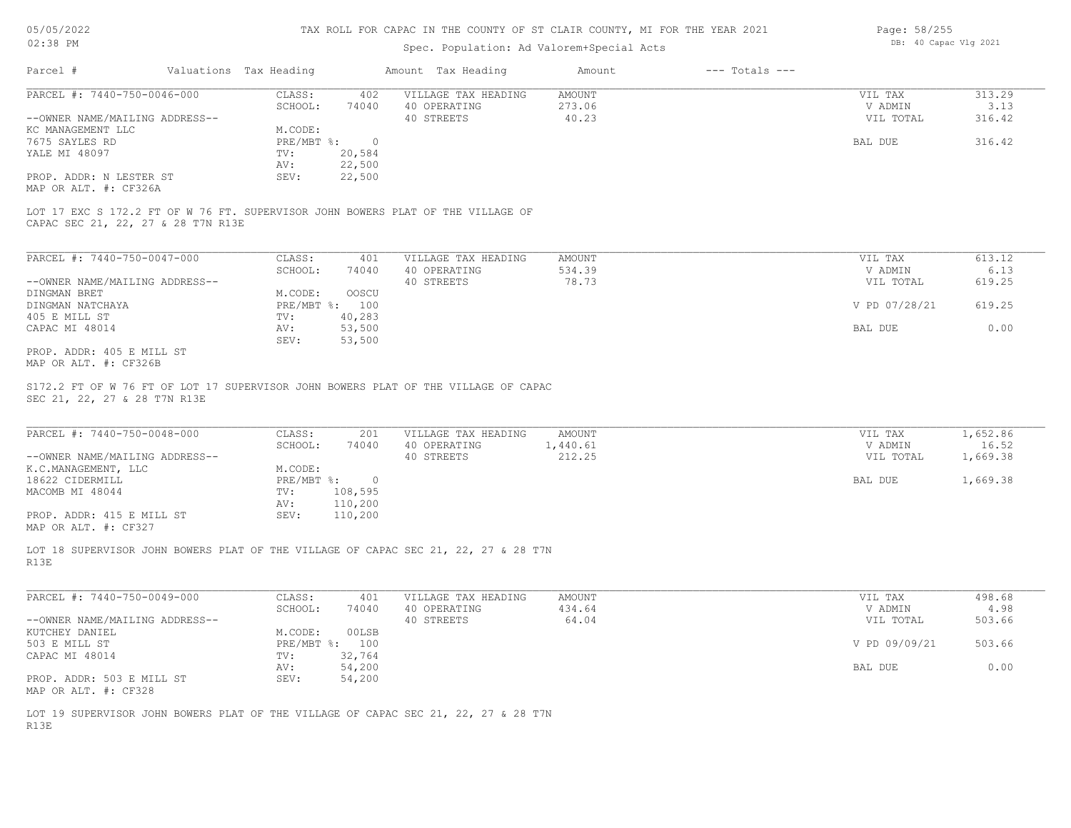# Spec. Population: Ad Valorem+Special Acts

| Page: 58/255 |                       |  |
|--------------|-----------------------|--|
|              | DB: 40 Capac Vlg 2021 |  |

| Parcel #                       | Valuations Tax Heading |        | Amount Tax Heading  | Amount | $---$ Totals $---$ |           |        |
|--------------------------------|------------------------|--------|---------------------|--------|--------------------|-----------|--------|
| PARCEL #: 7440-750-0046-000    | CLASS:                 | 402    | VILLAGE TAX HEADING | AMOUNT |                    | VIL TAX   | 313.29 |
|                                | SCHOOL:                | 74040  | 40 OPERATING        | 273.06 |                    | V ADMIN   | 3.13   |
| --OWNER NAME/MAILING ADDRESS-- |                        |        | 40 STREETS          | 40.23  |                    | VIL TOTAL | 316.42 |
| KC MANAGEMENT LLC              | M.CODE:                |        |                     |        |                    |           |        |
| 7675 SAYLES RD                 | PRE/MBT %:             |        |                     |        |                    | BAL DUE   | 316.42 |
| YALE MI 48097                  | TV:                    | 20,584 |                     |        |                    |           |        |
|                                | AV:                    | 22,500 |                     |        |                    |           |        |
| PROP. ADDR: N LESTER ST        | SEV:                   | 22,500 |                     |        |                    |           |        |
| MAP OR ALT. #: CF326A          |                        |        |                     |        |                    |           |        |

CAPAC SEC 21, 22, 27 & 28 T7N R13E LOT 17 EXC S 172.2 FT OF W 76 FT. SUPERVISOR JOHN BOWERS PLAT OF THE VILLAGE OF

| PARCEL #: 7440-750-0047-000    | CLASS:           | 401    | VILLAGE TAX HEADING | AMOUNT | VIL TAX       | 613.12 |
|--------------------------------|------------------|--------|---------------------|--------|---------------|--------|
|                                | SCHOOL:          | 74040  | 40 OPERATING        | 534.39 | V ADMIN       | 6.13   |
| --OWNER NAME/MAILING ADDRESS-- |                  |        | 40 STREETS          | 78.73  | VIL TOTAL     | 619.25 |
| DINGMAN BRET                   | M.CODE:          | OOSCU  |                     |        |               |        |
| DINGMAN NATCHAYA               | $PRE/MBT$ $\div$ | 100    |                     |        | V PD 07/28/21 | 619.25 |
| 405 E MILL ST                  | TV:              | 40,283 |                     |        |               |        |
| CAPAC MI 48014                 | AV:              | 53,500 |                     |        | BAL DUE       | 0.00   |
|                                | SEV:             | 53,500 |                     |        |               |        |
| PROP. ADDR: 405 E MILL ST      |                  |        |                     |        |               |        |

MAP OR ALT. #: CF326B

SEC 21, 22, 27 & 28 T7N R13E S172.2 FT OF W 76 FT OF LOT 17 SUPERVISOR JOHN BOWERS PLAT OF THE VILLAGE OF CAPAC

| PARCEL #: 7440-750-0048-000    | CLASS:     | 201     | VILLAGE TAX HEADING | AMOUNT  | VIL TAX   | 1,652.86 |
|--------------------------------|------------|---------|---------------------|---------|-----------|----------|
|                                | SCHOOL:    | 74040   | 40 OPERATING        | ,440.61 | V ADMIN   | 16.52    |
| --OWNER NAME/MAILING ADDRESS-- |            |         | 40 STREETS          | 212.25  | VIL TOTAL | 1,669.38 |
| K.C.MANAGEMENT, LLC            | M.CODE:    |         |                     |         |           |          |
| 18622 CIDERMILL                | PRE/MBT %: | $\cap$  |                     |         | BAL DUE   | 1,669.38 |
| MACOMB MI 48044                | TV:        | 108,595 |                     |         |           |          |
|                                | AV:        | 110,200 |                     |         |           |          |
| PROP. ADDR: 415 E MILL ST      | SEV:       | 110,200 |                     |         |           |          |
| MAP OR ALT. #: CF327           |            |         |                     |         |           |          |

 $\_$  , and the state of the state of the state of the state of the state of the state of the state of the state of the state of the state of the state of the state of the state of the state of the state of the state of the

R13E LOT 18 SUPERVISOR JOHN BOWERS PLAT OF THE VILLAGE OF CAPAC SEC 21, 22, 27 & 28 T7N

| PARCEL #: 7440-750-0049-000    | CLASS:       | 401    | VILLAGE TAX HEADING | AMOUNT | VIL TAX       | 498.68 |
|--------------------------------|--------------|--------|---------------------|--------|---------------|--------|
|                                | SCHOOL:      | 74040  | 40 OPERATING        | 434.64 | V ADMIN       | 4.98   |
| --OWNER NAME/MAILING ADDRESS-- |              |        | 40 STREETS          | 64.04  | VIL TOTAL     | 503.66 |
| KUTCHEY DANIEL                 | M.CODE:      | 00LSB  |                     |        |               |        |
| 503 E MILL ST                  | $PRE/MBT$ %: | 100    |                     |        | V PD 09/09/21 | 503.66 |
| CAPAC MI 48014                 | TV:          | 32,764 |                     |        |               |        |
|                                | AV:          | 54,200 |                     |        | BAL DUE       | 0.00   |
| PROP. ADDR: 503 E MILL ST      | SEV:         | 54,200 |                     |        |               |        |
| MAP OR ALT. #: CF328           |              |        |                     |        |               |        |

R13E LOT 19 SUPERVISOR JOHN BOWERS PLAT OF THE VILLAGE OF CAPAC SEC 21, 22, 27 & 28 T7N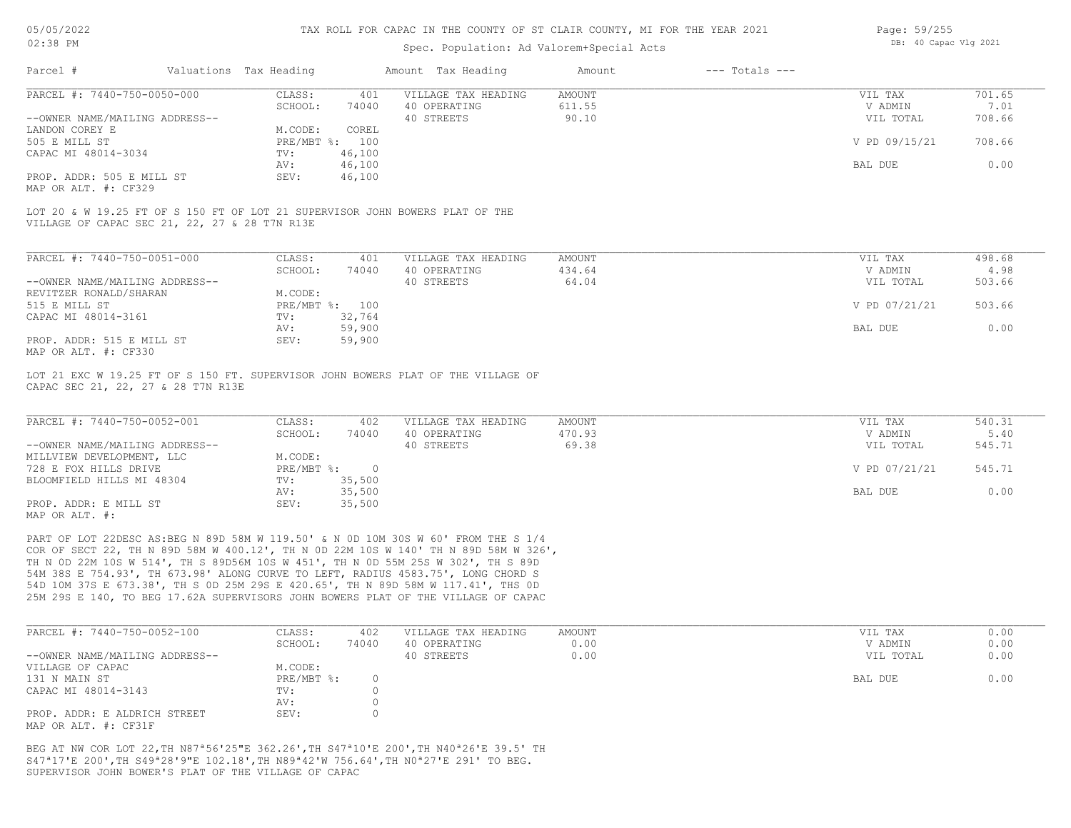# Spec. Population: Ad Valorem+Special Acts

| Page: 59/255 |                       |  |
|--------------|-----------------------|--|
|              | DB: 40 Capac Vlg 2021 |  |

| Parcel #                                      | Valuations Tax Heading |                | Amount Tax Heading                                                           | Amount | $---$ Totals $---$ |               |        |
|-----------------------------------------------|------------------------|----------------|------------------------------------------------------------------------------|--------|--------------------|---------------|--------|
| PARCEL #: 7440-750-0050-000                   | CLASS:                 | 401            | VILLAGE TAX HEADING                                                          | AMOUNT |                    | VIL TAX       | 701.65 |
|                                               | SCHOOL:                | 74040          | 40 OPERATING                                                                 | 611.55 |                    | V ADMIN       | 7.01   |
| --OWNER NAME/MAILING ADDRESS--                |                        |                | 40 STREETS                                                                   | 90.10  |                    | VIL TOTAL     | 708.66 |
| LANDON COREY E                                | M.CODE:                | COREL          |                                                                              |        |                    |               |        |
| 505 E MILL ST                                 |                        | PRE/MBT %: 100 |                                                                              |        |                    | V PD 09/15/21 | 708.66 |
| CAPAC MI 48014-3034                           | TV:                    | 46,100         |                                                                              |        |                    |               |        |
|                                               | AV:                    | 46,100         |                                                                              |        |                    | BAL DUE       | 0.00   |
| PROP. ADDR: 505 E MILL ST                     | SEV:                   | 46,100         |                                                                              |        |                    |               |        |
| MAP OR ALT. #: CF329                          |                        |                |                                                                              |        |                    |               |        |
|                                               |                        |                | LOT 20 & W 19.25 FT OF S 150 FT OF LOT 21 SUPERVISOR JOHN BOWERS PLAT OF THE |        |                    |               |        |
| VILLAGE OF CAPAC SEC 21, 22, 27 & 28 T7N R13E |                        |                |                                                                              |        |                    |               |        |
|                                               |                        |                |                                                                              |        |                    |               |        |

| PARCEL #: 7440-750-0051-000    | CLASS:     | 401    | VILLAGE TAX HEADING | AMOUNT | VIL TAX       | 498.68 |
|--------------------------------|------------|--------|---------------------|--------|---------------|--------|
|                                | SCHOOL:    | 74040  | 40 OPERATING        | 434.64 | V ADMIN       | 4.98   |
| --OWNER NAME/MAILING ADDRESS-- |            |        | 40 STREETS          | 64.04  | VIL TOTAL     | 503.66 |
| REVITZER RONALD/SHARAN         | M.CODE:    |        |                     |        |               |        |
| 515 E MILL ST                  | PRE/MBT %: | 100    |                     |        | V PD 07/21/21 | 503.66 |
| CAPAC MI 48014-3161            | TV:        | 32,764 |                     |        |               |        |
|                                | AV:        | 59,900 |                     |        | BAL DUE       | 0.00   |
| PROP. ADDR: 515 E MILL ST      | SEV:       | 59,900 |                     |        |               |        |
| MAP OR ALT. #: CF330           |            |        |                     |        |               |        |

CAPAC SEC 21, 22, 27 & 28 T7N R13E LOT 21 EXC W 19.25 FT OF S 150 FT. SUPERVISOR JOHN BOWERS PLAT OF THE VILLAGE OF

| PARCEL #: 7440-750-0052-001    | CLASS:       | 402    | VILLAGE TAX HEADING | AMOUNT | VIL TAX       | 540.31 |
|--------------------------------|--------------|--------|---------------------|--------|---------------|--------|
|                                | SCHOOL:      | 74040  | 40 OPERATING        | 470.93 | V ADMIN       | 5.40   |
| --OWNER NAME/MAILING ADDRESS-- |              |        | 40 STREETS          | 69.38  | VIL TOTAL     | 545.71 |
| MILLVIEW DEVELOPMENT, LLC      | M.CODE:      |        |                     |        |               |        |
| 728 E FOX HILLS DRIVE          | $PRE/MBT$ %: |        |                     |        | V PD 07/21/21 | 545.71 |
| BLOOMFIELD HILLS MI 48304      | TV:          | 35,500 |                     |        |               |        |
|                                | AV:          | 35,500 |                     |        | BAL DUE       | 0.00   |
| PROP. ADDR: E MILL ST          | SEV:         | 35,500 |                     |        |               |        |
| MAP OR ALT. #:                 |              |        |                     |        |               |        |

25M 29S E 140, TO BEG 17.62A SUPERVISORS JOHN BOWERS PLAT OF THE VILLAGE OF CAPAC 54D 10M 37S E 673.38', TH S 0D 25M 29S E 420.65', TH N 89D 58M W 117.41', THS 0D 54M 38S E 754.93', TH 673.98' ALONG CURVE TO LEFT, RADIUS 4583.75', LONG CHORD S TH N 0D 22M 10S W 514', TH S 89D56M 10S W 451', TH N 0D 55M 25S W 302', TH S 89D COR OF SECT 22, TH N 89D 58M W 400.12', TH N 0D 22M 10S W 140' TH N 89D 58M W 326', PART OF LOT 22DESC AS:BEG N 89D 58M W 119.50' & N 0D 10M 30S W 60' FROM THE S 1/4

| PARCEL #: 7440-750-0052-100    | CLASS:     | 402   | VILLAGE TAX HEADING | AMOUNT | VIL TAX   | 0.00 |
|--------------------------------|------------|-------|---------------------|--------|-----------|------|
|                                | SCHOOL:    | 74040 | 40 OPERATING        | 0.00   | V ADMIN   | 0.00 |
| --OWNER NAME/MAILING ADDRESS-- |            |       | 40 STREETS          | 0.00   | VIL TOTAL | 0.00 |
| VILLAGE OF CAPAC               | M.CODE:    |       |                     |        |           |      |
| 131 N MAIN ST                  | PRE/MBT %: |       |                     |        | BAL DUE   | 0.00 |
| CAPAC MI 48014-3143            | TV:        |       |                     |        |           |      |
|                                | AV:        |       |                     |        |           |      |
| PROP. ADDR: E ALDRICH STREET   | SEV:       |       |                     |        |           |      |
| MAP OR ALT. #: CF31F           |            |       |                     |        |           |      |

SUPERVISOR JOHN BOWER'S PLAT OF THE VILLAGE OF CAPAC S47ª17'E 200',TH S49ª28'9"E 102.18',TH N89ª42'W 756.64',TH N0ª27'E 291' TO BEG. BEG AT NW COR LOT 22,TH N87ª56'25"E 362.26',TH S47ª10'E 200',TH N40ª26'E 39.5' TH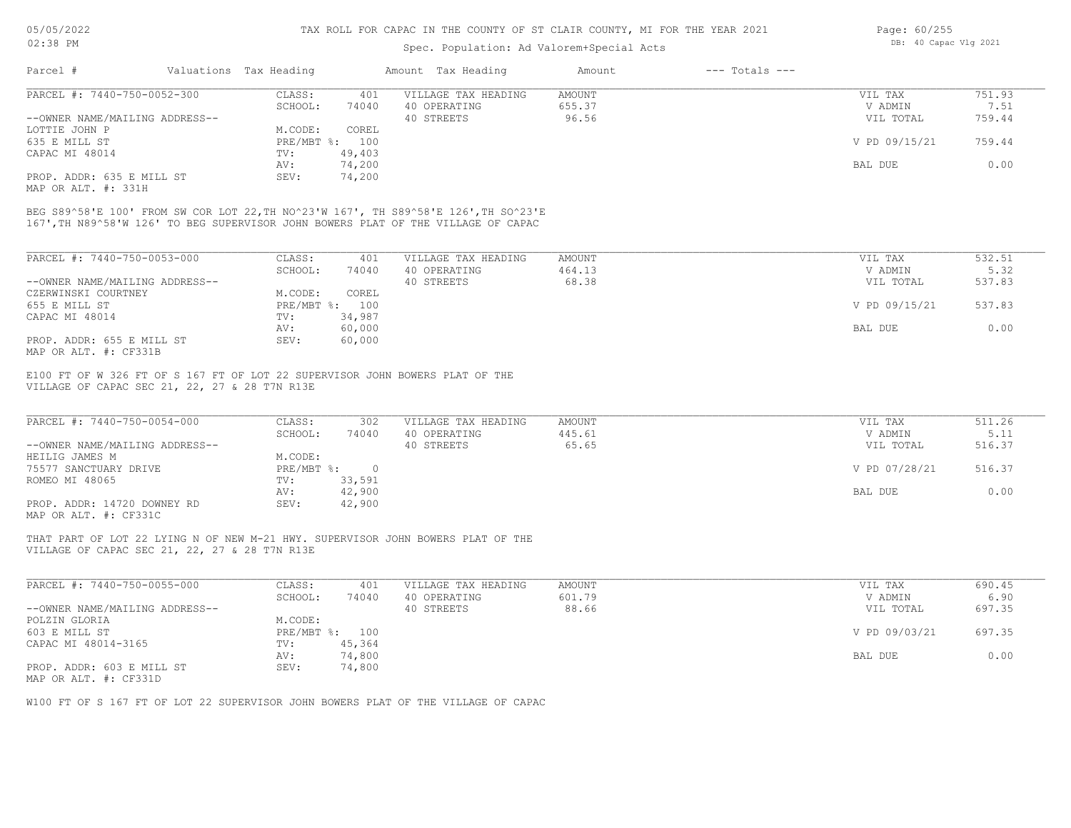# Spec. Population: Ad Valorem+Special Acts

| Page: 60/255 |                       |  |
|--------------|-----------------------|--|
|              | DB: 40 Capac Vlg 2021 |  |

| Parcel #                       | Valuations Tax Heading |        | Amount Tax Heading  | Amount | $---$ Totals $---$ |               |        |
|--------------------------------|------------------------|--------|---------------------|--------|--------------------|---------------|--------|
| PARCEL #: 7440-750-0052-300    | CLASS:                 | 401    | VILLAGE TAX HEADING | AMOUNT |                    | VIL TAX       | 751.93 |
|                                | SCHOOL:                | 74040  | 40 OPERATING        | 655.37 |                    | V ADMIN       | 7.51   |
| --OWNER NAME/MAILING ADDRESS-- |                        |        | 40 STREETS          | 96.56  |                    | VIL TOTAL     | 759.44 |
| LOTTIE JOHN P                  | M.CODE:                | COREL  |                     |        |                    |               |        |
| 635 E MILL ST                  | PRE/MBT %: 100         |        |                     |        |                    | V PD 09/15/21 | 759.44 |
| CAPAC MI 48014                 | TV:                    | 49,403 |                     |        |                    |               |        |
|                                | AV:                    | 74,200 |                     |        |                    | BAL DUE       | 0.00   |
| PROP. ADDR: 635 E MILL ST      | SEV:                   | 74,200 |                     |        |                    |               |        |
|                                |                        |        |                     |        |                    |               |        |

MAP OR ALT. #: 331H

167',TH N89^58'W 126' TO BEG SUPERVISOR JOHN BOWERS PLAT OF THE VILLAGE OF CAPAC BEG S89^58'E 100' FROM SW COR LOT 22,TH NO^23'W 167', TH S89^58'E 126',TH SO^23'E

| PARCEL #: 7440-750-0053-000    | CLASS:     | 401    | VILLAGE TAX HEADING | AMOUNT | VIL TAX       | 532.51 |
|--------------------------------|------------|--------|---------------------|--------|---------------|--------|
|                                | SCHOOL:    | 74040  | 40 OPERATING        | 464.13 | V ADMIN       | 5.32   |
| --OWNER NAME/MAILING ADDRESS-- |            |        | 40 STREETS          | 68.38  | VIL TOTAL     | 537.83 |
| CZERWINSKI COURTNEY            | M.CODE:    | COREL  |                     |        |               |        |
| 655 E MILL ST                  | PRE/MBT %: | 100    |                     |        | V PD 09/15/21 | 537.83 |
| CAPAC MI 48014                 | TV:        | 34,987 |                     |        |               |        |
|                                | AV:        | 60,000 |                     |        | BAL DUE       | 0.00   |
| PROP. ADDR: 655 E MILL ST      | SEV:       | 60,000 |                     |        |               |        |
| MAP OR ALT. #: CF331B          |            |        |                     |        |               |        |

VILLAGE OF CAPAC SEC 21, 22, 27 & 28 T7N R13E E100 FT OF W 326 FT OF S 167 FT OF LOT 22 SUPERVISOR JOHN BOWERS PLAT OF THE

| PARCEL #: 7440-750-0054-000    | CLASS:       | 302    | VILLAGE TAX HEADING | AMOUNT | VIL TAX       | 511.26 |
|--------------------------------|--------------|--------|---------------------|--------|---------------|--------|
|                                | SCHOOL:      | 74040  | 40 OPERATING        | 445.61 | V ADMIN       | 5.11   |
| --OWNER NAME/MAILING ADDRESS-- |              |        | 40 STREETS          | 65.65  | VIL TOTAL     | 516.37 |
| HEILIG JAMES M                 | M.CODE:      |        |                     |        |               |        |
| 75577 SANCTUARY DRIVE          | $PRE/MBT$ %: |        |                     |        | V PD 07/28/21 | 516.37 |
| ROMEO MI 48065                 | TV:          | 33,591 |                     |        |               |        |
|                                | AV:          | 42,900 |                     |        | BAL DUE       | 0.00   |
| PROP. ADDR: 14720 DOWNEY RD    | SEV:         | 42,900 |                     |        |               |        |
| MAP OR ALT. #: CF331C          |              |        |                     |        |               |        |

THAT PART OF LOT 22 LYING N OF NEW M-21 HWY. SUPERVISOR JOHN BOWERS PLAT OF THE

VILLAGE OF CAPAC SEC 21, 22, 27 & 28 T7N R13E

| PARCEL #: 7440-750-0055-000    | CLASS:  | 401            | VILLAGE TAX HEADING | AMOUNT | VIL TAX       | 690.45 |
|--------------------------------|---------|----------------|---------------------|--------|---------------|--------|
|                                | SCHOOL: | 74040          | 40 OPERATING        | 601.79 | V ADMIN       | 6.90   |
| --OWNER NAME/MAILING ADDRESS-- |         |                | 40 STREETS          | 88.66  | VIL TOTAL     | 697.35 |
| POLZIN GLORIA                  | M.CODE: |                |                     |        |               |        |
| 603 E MILL ST                  |         | PRE/MBT %: 100 |                     |        | V PD 09/03/21 | 697.35 |
| CAPAC MI 48014-3165            | TV:     | 45,364         |                     |        |               |        |
|                                | AV:     | 74,800         |                     |        | BAL DUE       | 0.00   |
| PROP. ADDR: 603 E MILL ST      | SEV:    | 74,800         |                     |        |               |        |
| MAP OR ALT. #: CF331D          |         |                |                     |        |               |        |

W100 FT OF S 167 FT OF LOT 22 SUPERVISOR JOHN BOWERS PLAT OF THE VILLAGE OF CAPAC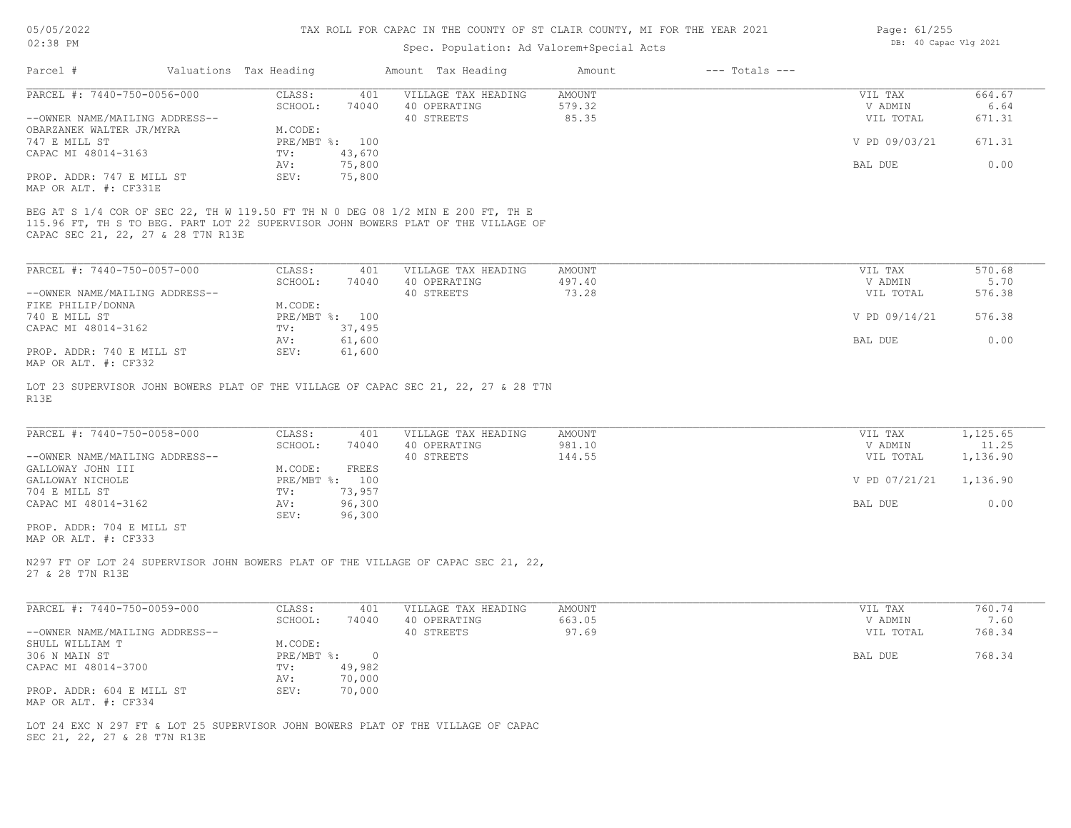# Spec. Population: Ad Valorem+Special Acts

| Page: 61/255 |                       |  |
|--------------|-----------------------|--|
|              | DB: 40 Capac Vlg 2021 |  |

|                                                     |                                                                                                                                                                      | spec. Population: Ad valorem+special Acts |                              |                      |                |
|-----------------------------------------------------|----------------------------------------------------------------------------------------------------------------------------------------------------------------------|-------------------------------------------|------------------------------|----------------------|----------------|
| Parcel #                                            | Valuations Tax Heading                                                                                                                                               | Amount Tax Heading                        | $---$ Totals $---$<br>Amount |                      |                |
| PARCEL #: 7440-750-0056-000                         | CLASS:<br>401                                                                                                                                                        | VILLAGE TAX HEADING                       | AMOUNT                       | VIL TAX              | 664.67         |
| --OWNER NAME/MAILING ADDRESS--                      | SCHOOL:<br>74040                                                                                                                                                     | 40 OPERATING<br>40 STREETS                | 579.32<br>85.35              | V ADMIN<br>VIL TOTAL | 6.64<br>671.31 |
| OBARZANEK WALTER JR/MYRA                            | M.CODE:                                                                                                                                                              |                                           |                              |                      |                |
| 747 E MILL ST                                       | PRE/MBT %: 100                                                                                                                                                       |                                           |                              | V PD 09/03/21        | 671.31         |
| CAPAC MI 48014-3163                                 | 43,670<br>TV:                                                                                                                                                        |                                           |                              |                      |                |
|                                                     | AV:<br>75,800                                                                                                                                                        |                                           |                              | BAL DUE              | 0.00           |
| PROP. ADDR: 747 E MILL ST<br>MAP OR ALT. #: CF331E  | SEV:<br>75,800                                                                                                                                                       |                                           |                              |                      |                |
| CAPAC SEC 21, 22, 27 & 28 T7N R13E                  | BEG AT S 1/4 COR OF SEC 22, TH W 119.50 FT TH N 0 DEG 08 1/2 MIN E 200 FT, TH E<br>115.96 FT, TH S TO BEG. PART LOT 22 SUPERVISOR JOHN BOWERS PLAT OF THE VILLAGE OF |                                           |                              |                      |                |
| PARCEL #: 7440-750-0057-000                         | CLASS:<br>401                                                                                                                                                        | VILLAGE TAX HEADING                       | <b>AMOUNT</b>                | VIL TAX              | 570.68         |
|                                                     | SCHOOL:<br>74040                                                                                                                                                     | 40 OPERATING                              | 497.40                       | V ADMIN              | 5.70           |
| --OWNER NAME/MAILING ADDRESS--<br>FIKE PHILIP/DONNA | M.CODE:                                                                                                                                                              | 40 STREETS                                | 73.28                        | VIL TOTAL            | 576.38         |
| 740 E MILL ST                                       | PRE/MBT %: 100                                                                                                                                                       |                                           |                              | V PD 09/14/21        | 576.38         |
| CAPAC MI 48014-3162                                 | 37,495<br>TV:                                                                                                                                                        |                                           |                              |                      |                |
|                                                     | 61,600<br>AV:                                                                                                                                                        |                                           |                              | BAL DUE              | 0.00           |
| PROP. ADDR: 740 E MILL ST<br>MAP OR ALT. #: CF332   | SEV:<br>61,600                                                                                                                                                       |                                           |                              |                      |                |
| R13E                                                | LOT 23 SUPERVISOR JOHN BOWERS PLAT OF THE VILLAGE OF CAPAC SEC 21, 22, 27 & 28 T7N                                                                                   |                                           |                              |                      |                |
| PARCEL #: 7440-750-0058-000                         | CLASS:<br>401                                                                                                                                                        | VILLAGE TAX HEADING                       | AMOUNT                       | VIL TAX              | 1,125.65       |
|                                                     | SCHOOL:<br>74040                                                                                                                                                     | 40 OPERATING                              | 981.10                       | V ADMIN              | 11.25          |
| --OWNER NAME/MAILING ADDRESS--                      |                                                                                                                                                                      | 40 STREETS                                | 144.55                       | VIL TOTAL            | 1,136.90       |
| GALLOWAY JOHN III<br>GALLOWAY NICHOLE               | M.CODE:<br>FREES<br>PRE/MBT %: 100                                                                                                                                   |                                           |                              | V PD 07/21/21        | 1,136.90       |
| 704 E MILL ST                                       | 73,957<br>TV:                                                                                                                                                        |                                           |                              |                      |                |
| CAPAC MI 48014-3162                                 | AV:<br>96,300                                                                                                                                                        |                                           |                              | BAL DUE              | 0.00           |
| PROP. ADDR: 704 E MILL ST                           | 96,300<br>SEV:                                                                                                                                                       |                                           |                              |                      |                |
| MAP OR ALT. #: CF333                                |                                                                                                                                                                      |                                           |                              |                      |                |
| 27 & 28 T7N R13E                                    | N297 FT OF LOT 24 SUPERVISOR JOHN BOWERS PLAT OF THE VILLAGE OF CAPAC SEC 21, 22,                                                                                    |                                           |                              |                      |                |
| PARCEL #: 7440-750-0059-000                         | CLASS:<br>401                                                                                                                                                        | VILLAGE TAX HEADING                       | AMOUNT                       | VIL TAX              | 760.74         |
|                                                     | SCHOOL:<br>74040                                                                                                                                                     | 40 OPERATING                              | 663.05                       | V ADMIN              | 7.60           |
| --OWNER NAME/MAILING ADDRESS--<br>SHULL WILLIAM T   | M.CODE:                                                                                                                                                              | 40 STREETS                                | 97.69                        | VIL TOTAL            | 768.34         |
| 306 N MAIN ST                                       | PRE/MBT %: 0                                                                                                                                                         |                                           |                              | BAL DUE              | 768.34         |
| CAPAC MI 48014-3700                                 | 49,982<br>TV:                                                                                                                                                        |                                           |                              |                      |                |
|                                                     | 70,000<br>AV:                                                                                                                                                        |                                           |                              |                      |                |
| PROP. ADDR: 604 E MILL ST<br>MAP OR ALT. #: CF334   | SEV:<br>70,000                                                                                                                                                       |                                           |                              |                      |                |
|                                                     | LOT 24 EXC N 297 FT & LOT 25 SUPERVISOR JOHN BOWERS PLAT OF THE VILLAGE OF CAPAC                                                                                     |                                           |                              |                      |                |
| SEC 21, 22, 27 & 28 T7N R13E                        |                                                                                                                                                                      |                                           |                              |                      |                |
|                                                     |                                                                                                                                                                      |                                           |                              |                      |                |
|                                                     |                                                                                                                                                                      |                                           |                              |                      |                |
|                                                     |                                                                                                                                                                      |                                           |                              |                      |                |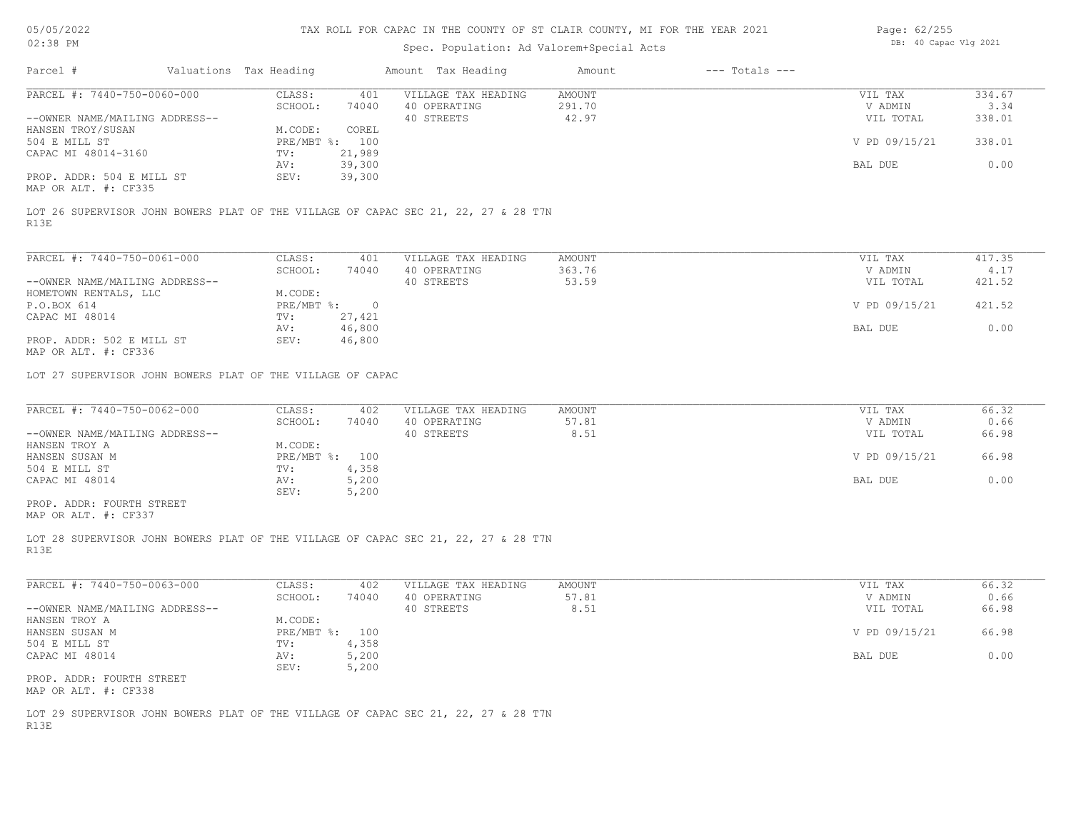# Spec. Population: Ad Valorem+Special Acts

| Page: 62/255 |                       |  |
|--------------|-----------------------|--|
|              | DB: 40 Capac Vlg 2021 |  |

| PARCEL #: 7440-750-0060-000<br>CLASS:<br>VILLAGE TAX HEADING<br>AMOUNT<br>401<br>VIL TAX<br>SCHOOL:<br>40 OPERATING<br>291.70<br>V ADMIN<br>74040<br>40 STREETS<br>42.97<br>--OWNER NAME/MAILING ADDRESS--<br>VIL TOTAL<br>HANSEN TROY/SUSAN<br>M.CODE:<br>COREL<br>504 E MILL ST<br>PRE/MBT %: 100<br>V PD 09/15/21<br>CAPAC MI 48014-3160<br>TV:<br>21,989<br>39,300<br>AV:<br>BAL DUE<br>PROP. ADDR: 504 E MILL ST<br>SEV:<br>39,300<br>MAP OR ALT. #: CF335<br>LOT 26 SUPERVISOR JOHN BOWERS PLAT OF THE VILLAGE OF CAPAC SEC 21, 22, 27 & 28 T7N<br>R13E<br>PARCEL #: 7440-750-0061-000<br>CLASS:<br>VILLAGE TAX HEADING<br>AMOUNT<br>401<br>VIL TAX<br>363.76<br>SCHOOL:<br>74040<br>40 OPERATING<br>V ADMIN<br>40 STREETS<br>53.59<br>--OWNER NAME/MAILING ADDRESS--<br>VIL TOTAL<br>M.CODE:<br>HOMETOWN RENTALS, LLC<br>V PD 09/15/21<br>421.52<br>P.O.BOX 614<br>$PRE/MBT$ $\div$ 0<br>CAPAC MI 48014<br>27,421<br>TV:<br>46,800<br>BAL DUE<br>AV:<br>PROP. ADDR: 502 E MILL ST<br>SEV:<br>46,800<br>MAP OR ALT. #: CF336<br>LOT 27 SUPERVISOR JOHN BOWERS PLAT OF THE VILLAGE OF CAPAC<br>PARCEL #: 7440-750-0062-000<br>CLASS:<br>VILLAGE TAX HEADING<br>AMOUNT<br>VIL TAX<br>402<br>SCHOOL:<br>40 OPERATING<br>74040<br>57.81<br>V ADMIN<br>40 STREETS<br>8.51<br>VIL TOTAL<br>--OWNER NAME/MAILING ADDRESS--<br>HANSEN TROY A<br>M.CODE:<br>V PD 09/15/21<br>HANSEN SUSAN M<br>PRE/MBT %: 100<br>4,358<br>504 E MILL ST<br>$\texttt{TV}$ :<br>CAPAC MI 48014<br>5,200<br>BAL DUE<br>AV:<br>5,200<br>SEV:<br>PROP. ADDR: FOURTH STREET<br>MAP OR ALT. #: CF337<br>LOT 28 SUPERVISOR JOHN BOWERS PLAT OF THE VILLAGE OF CAPAC SEC 21, 22, 27 & 28 T7N<br>R13E<br>PARCEL #: 7440-750-0063-000<br>CLASS:<br>402<br>VILLAGE TAX HEADING<br>AMOUNT<br>VIL TAX<br>40 OPERATING<br>57.81<br>V ADMIN<br>SCHOOL:<br>74040<br>40 STREETS<br>8.51<br>--OWNER NAME/MAILING ADDRESS--<br>VIL TOTAL | Amount Tax Heading<br>$---$ Totals $---$ | Amount |  | Valuations Tax Heading |  |
|---------------------------------------------------------------------------------------------------------------------------------------------------------------------------------------------------------------------------------------------------------------------------------------------------------------------------------------------------------------------------------------------------------------------------------------------------------------------------------------------------------------------------------------------------------------------------------------------------------------------------------------------------------------------------------------------------------------------------------------------------------------------------------------------------------------------------------------------------------------------------------------------------------------------------------------------------------------------------------------------------------------------------------------------------------------------------------------------------------------------------------------------------------------------------------------------------------------------------------------------------------------------------------------------------------------------------------------------------------------------------------------------------------------------------------------------------------------------------------------------------------------------------------------------------------------------------------------------------------------------------------------------------------------------------------------------------------------------------------------------------------------------------------------------------------------------------------------------------------------------------------------------------|------------------------------------------|--------|--|------------------------|--|
|                                                                                                                                                                                                                                                                                                                                                                                                                                                                                                                                                                                                                                                                                                                                                                                                                                                                                                                                                                                                                                                                                                                                                                                                                                                                                                                                                                                                                                                                                                                                                                                                                                                                                                                                                                                                                                                                                                   | 334.67<br>3.34                           |        |  |                        |  |
|                                                                                                                                                                                                                                                                                                                                                                                                                                                                                                                                                                                                                                                                                                                                                                                                                                                                                                                                                                                                                                                                                                                                                                                                                                                                                                                                                                                                                                                                                                                                                                                                                                                                                                                                                                                                                                                                                                   | 338.01                                   |        |  |                        |  |
|                                                                                                                                                                                                                                                                                                                                                                                                                                                                                                                                                                                                                                                                                                                                                                                                                                                                                                                                                                                                                                                                                                                                                                                                                                                                                                                                                                                                                                                                                                                                                                                                                                                                                                                                                                                                                                                                                                   | 338.01                                   |        |  |                        |  |
|                                                                                                                                                                                                                                                                                                                                                                                                                                                                                                                                                                                                                                                                                                                                                                                                                                                                                                                                                                                                                                                                                                                                                                                                                                                                                                                                                                                                                                                                                                                                                                                                                                                                                                                                                                                                                                                                                                   | 0.00                                     |        |  |                        |  |
|                                                                                                                                                                                                                                                                                                                                                                                                                                                                                                                                                                                                                                                                                                                                                                                                                                                                                                                                                                                                                                                                                                                                                                                                                                                                                                                                                                                                                                                                                                                                                                                                                                                                                                                                                                                                                                                                                                   |                                          |        |  |                        |  |
|                                                                                                                                                                                                                                                                                                                                                                                                                                                                                                                                                                                                                                                                                                                                                                                                                                                                                                                                                                                                                                                                                                                                                                                                                                                                                                                                                                                                                                                                                                                                                                                                                                                                                                                                                                                                                                                                                                   |                                          |        |  |                        |  |
|                                                                                                                                                                                                                                                                                                                                                                                                                                                                                                                                                                                                                                                                                                                                                                                                                                                                                                                                                                                                                                                                                                                                                                                                                                                                                                                                                                                                                                                                                                                                                                                                                                                                                                                                                                                                                                                                                                   | 417.35                                   |        |  |                        |  |
|                                                                                                                                                                                                                                                                                                                                                                                                                                                                                                                                                                                                                                                                                                                                                                                                                                                                                                                                                                                                                                                                                                                                                                                                                                                                                                                                                                                                                                                                                                                                                                                                                                                                                                                                                                                                                                                                                                   | 4.17<br>421.52                           |        |  |                        |  |
|                                                                                                                                                                                                                                                                                                                                                                                                                                                                                                                                                                                                                                                                                                                                                                                                                                                                                                                                                                                                                                                                                                                                                                                                                                                                                                                                                                                                                                                                                                                                                                                                                                                                                                                                                                                                                                                                                                   |                                          |        |  |                        |  |
|                                                                                                                                                                                                                                                                                                                                                                                                                                                                                                                                                                                                                                                                                                                                                                                                                                                                                                                                                                                                                                                                                                                                                                                                                                                                                                                                                                                                                                                                                                                                                                                                                                                                                                                                                                                                                                                                                                   |                                          |        |  |                        |  |
|                                                                                                                                                                                                                                                                                                                                                                                                                                                                                                                                                                                                                                                                                                                                                                                                                                                                                                                                                                                                                                                                                                                                                                                                                                                                                                                                                                                                                                                                                                                                                                                                                                                                                                                                                                                                                                                                                                   | 0.00                                     |        |  |                        |  |
|                                                                                                                                                                                                                                                                                                                                                                                                                                                                                                                                                                                                                                                                                                                                                                                                                                                                                                                                                                                                                                                                                                                                                                                                                                                                                                                                                                                                                                                                                                                                                                                                                                                                                                                                                                                                                                                                                                   |                                          |        |  |                        |  |
|                                                                                                                                                                                                                                                                                                                                                                                                                                                                                                                                                                                                                                                                                                                                                                                                                                                                                                                                                                                                                                                                                                                                                                                                                                                                                                                                                                                                                                                                                                                                                                                                                                                                                                                                                                                                                                                                                                   |                                          |        |  |                        |  |
|                                                                                                                                                                                                                                                                                                                                                                                                                                                                                                                                                                                                                                                                                                                                                                                                                                                                                                                                                                                                                                                                                                                                                                                                                                                                                                                                                                                                                                                                                                                                                                                                                                                                                                                                                                                                                                                                                                   | 66.32                                    |        |  |                        |  |
|                                                                                                                                                                                                                                                                                                                                                                                                                                                                                                                                                                                                                                                                                                                                                                                                                                                                                                                                                                                                                                                                                                                                                                                                                                                                                                                                                                                                                                                                                                                                                                                                                                                                                                                                                                                                                                                                                                   | 0.66<br>66.98                            |        |  |                        |  |
|                                                                                                                                                                                                                                                                                                                                                                                                                                                                                                                                                                                                                                                                                                                                                                                                                                                                                                                                                                                                                                                                                                                                                                                                                                                                                                                                                                                                                                                                                                                                                                                                                                                                                                                                                                                                                                                                                                   |                                          |        |  |                        |  |
|                                                                                                                                                                                                                                                                                                                                                                                                                                                                                                                                                                                                                                                                                                                                                                                                                                                                                                                                                                                                                                                                                                                                                                                                                                                                                                                                                                                                                                                                                                                                                                                                                                                                                                                                                                                                                                                                                                   | 66.98                                    |        |  |                        |  |
|                                                                                                                                                                                                                                                                                                                                                                                                                                                                                                                                                                                                                                                                                                                                                                                                                                                                                                                                                                                                                                                                                                                                                                                                                                                                                                                                                                                                                                                                                                                                                                                                                                                                                                                                                                                                                                                                                                   | 0.00                                     |        |  |                        |  |
|                                                                                                                                                                                                                                                                                                                                                                                                                                                                                                                                                                                                                                                                                                                                                                                                                                                                                                                                                                                                                                                                                                                                                                                                                                                                                                                                                                                                                                                                                                                                                                                                                                                                                                                                                                                                                                                                                                   |                                          |        |  |                        |  |
|                                                                                                                                                                                                                                                                                                                                                                                                                                                                                                                                                                                                                                                                                                                                                                                                                                                                                                                                                                                                                                                                                                                                                                                                                                                                                                                                                                                                                                                                                                                                                                                                                                                                                                                                                                                                                                                                                                   |                                          |        |  |                        |  |
|                                                                                                                                                                                                                                                                                                                                                                                                                                                                                                                                                                                                                                                                                                                                                                                                                                                                                                                                                                                                                                                                                                                                                                                                                                                                                                                                                                                                                                                                                                                                                                                                                                                                                                                                                                                                                                                                                                   | 66.32<br>0.66                            |        |  |                        |  |
|                                                                                                                                                                                                                                                                                                                                                                                                                                                                                                                                                                                                                                                                                                                                                                                                                                                                                                                                                                                                                                                                                                                                                                                                                                                                                                                                                                                                                                                                                                                                                                                                                                                                                                                                                                                                                                                                                                   | 66.98                                    |        |  |                        |  |
| HANSEN TROY A<br>M.CODE:<br>PRE/MBT %: 100<br>V PD 09/15/21<br>HANSEN SUSAN M                                                                                                                                                                                                                                                                                                                                                                                                                                                                                                                                                                                                                                                                                                                                                                                                                                                                                                                                                                                                                                                                                                                                                                                                                                                                                                                                                                                                                                                                                                                                                                                                                                                                                                                                                                                                                     | 66.98                                    |        |  |                        |  |
| 4,358<br>504 E MILL ST<br>TV:<br>CAPAC MI 48014<br>AV:<br>5,200<br>BAL DUE                                                                                                                                                                                                                                                                                                                                                                                                                                                                                                                                                                                                                                                                                                                                                                                                                                                                                                                                                                                                                                                                                                                                                                                                                                                                                                                                                                                                                                                                                                                                                                                                                                                                                                                                                                                                                        | 0.00                                     |        |  |                        |  |
| 5,200<br>SEV:<br>PROP. ADDR: FOURTH STREET<br>MAP OR ALT. #: CF338                                                                                                                                                                                                                                                                                                                                                                                                                                                                                                                                                                                                                                                                                                                                                                                                                                                                                                                                                                                                                                                                                                                                                                                                                                                                                                                                                                                                                                                                                                                                                                                                                                                                                                                                                                                                                                |                                          |        |  |                        |  |
| LOT 29 SUPERVISOR JOHN BOWERS PLAT OF THE VILLAGE OF CAPAC SEC 21, 22, 27 & 28 T7N<br>R13E                                                                                                                                                                                                                                                                                                                                                                                                                                                                                                                                                                                                                                                                                                                                                                                                                                                                                                                                                                                                                                                                                                                                                                                                                                                                                                                                                                                                                                                                                                                                                                                                                                                                                                                                                                                                        |                                          |        |  |                        |  |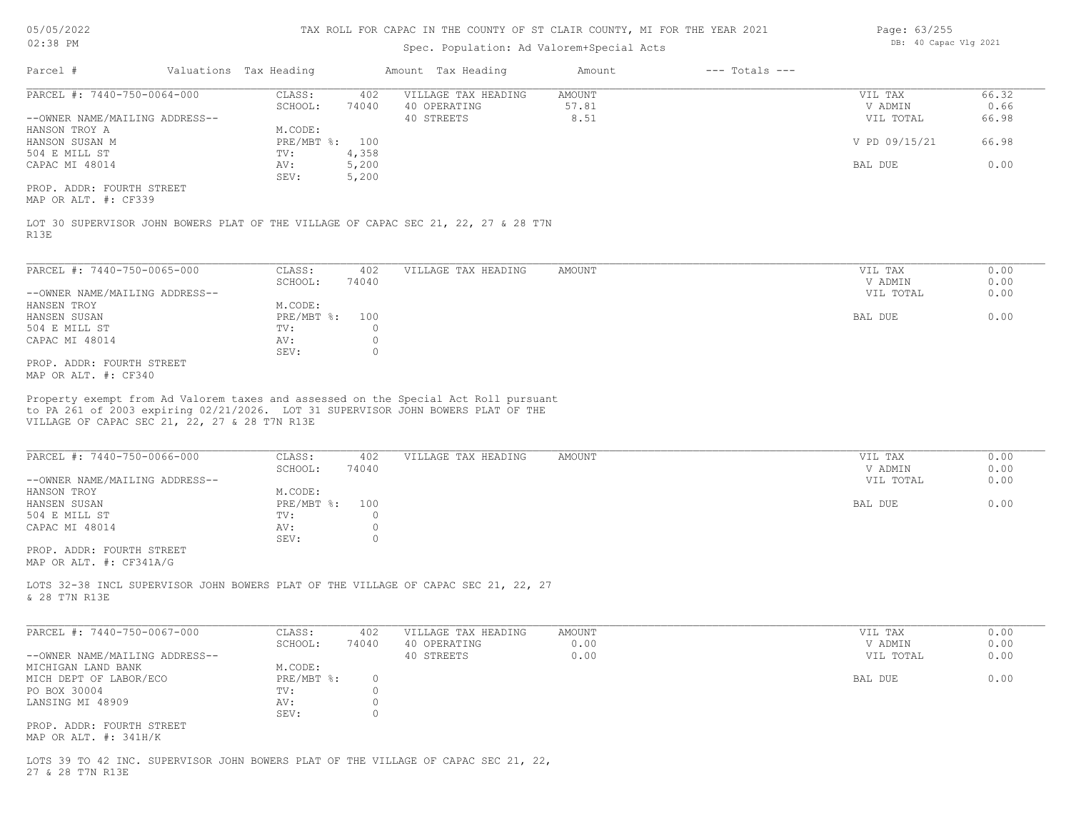## Spec. Population: Ad Valorem+Special Acts

| Page: 63/255 |                       |  |
|--------------|-----------------------|--|
|              | DB: 40 Capac Vlg 2021 |  |

| Parcel #                       | Valuations Tax Heading |       | Amount Tax Heading  | Amount | $---$ Totals $---$ |               |       |
|--------------------------------|------------------------|-------|---------------------|--------|--------------------|---------------|-------|
| PARCEL #: 7440-750-0064-000    | CLASS:                 | 402   | VILLAGE TAX HEADING | AMOUNT |                    | VIL TAX       | 66.32 |
|                                | SCHOOL:                | 74040 | 40 OPERATING        | 57.81  |                    | V ADMIN       | 0.66  |
| --OWNER NAME/MAILING ADDRESS-- |                        |       | 40 STREETS          | 8.51   |                    | VIL TOTAL     | 66.98 |
| HANSON TROY A                  | M.CODE:                |       |                     |        |                    |               |       |
| HANSON SUSAN M                 | $PRE/MBT$ %:           | 100   |                     |        |                    | V PD 09/15/21 | 66.98 |
| 504 E MILL ST                  | TV:                    | 4,358 |                     |        |                    |               |       |
| CAPAC MI 48014                 | AV:                    | 5,200 |                     |        |                    | BAL DUE       | 0.00  |
|                                | SEV:                   | 5,200 |                     |        |                    |               |       |
| PROP. ADDR: FOURTH STREET      |                        |       |                     |        |                    |               |       |
| MAP OR ALT. #: CF339           |                        |       |                     |        |                    |               |       |
|                                |                        |       |                     |        |                    |               |       |

R13E LOT 30 SUPERVISOR JOHN BOWERS PLAT OF THE VILLAGE OF CAPAC SEC 21, 22, 27 & 28 T7N

| PARCEL #: 7440-750-0065-000    | CLASS:         | 402   | VILLAGE TAX HEADING | AMOUNT | VIL TAX   | 0.00 |
|--------------------------------|----------------|-------|---------------------|--------|-----------|------|
|                                | SCHOOL:        | 74040 |                     |        | V ADMIN   | 0.00 |
| --OWNER NAME/MAILING ADDRESS-- |                |       |                     |        | VIL TOTAL | 0.00 |
| HANSEN TROY                    | M.CODE:        |       |                     |        |           |      |
| HANSEN SUSAN                   | PRE/MBT %: 100 |       |                     |        | BAL DUE   | 0.00 |
| 504 E MILL ST                  | TV:            |       |                     |        |           |      |
| CAPAC MI 48014                 | AV:            |       |                     |        |           |      |
|                                | SEV:           |       |                     |        |           |      |
| PROP. ADDR: FOURTH STREET      |                |       |                     |        |           |      |
|                                |                |       |                     |        |           |      |

MAP OR ALT. #: CF340

VILLAGE OF CAPAC SEC 21, 22, 27 & 28 T7N R13E to PA 261 of 2003 expiring 02/21/2026. LOT 31 SUPERVISOR JOHN BOWERS PLAT OF THE Property exempt from Ad Valorem taxes and assessed on the Special Act Roll pursuant

| PARCEL #: 7440-750-0066-000    | CLASS:     | 402   | VILLAGE TAX HEADING | AMOUNT | VIL TAX   | 0.00 |
|--------------------------------|------------|-------|---------------------|--------|-----------|------|
|                                | SCHOOL:    | 74040 |                     |        | V ADMIN   | 0.00 |
| --OWNER NAME/MAILING ADDRESS-- |            |       |                     |        | VIL TOTAL | 0.00 |
| HANSON TROY                    | M.CODE:    |       |                     |        |           |      |
| HANSEN SUSAN                   | PRE/MBT %: | 100   |                     |        | BAL DUE   | 0.00 |
| 504 E MILL ST                  | TV:        |       |                     |        |           |      |
| CAPAC MI 48014                 | AV:        |       |                     |        |           |      |
|                                | SEV:       |       |                     |        |           |      |
| PROP. ADDR: FOURTH STREET      |            |       |                     |        |           |      |
| MAP OR ALT. #: CF341A/G        |            |       |                     |        |           |      |

& 28 T7N R13E LOTS 32-38 INCL SUPERVISOR JOHN BOWERS PLAT OF THE VILLAGE OF CAPAC SEC 21, 22, 27

| PARCEL #: 7440-750-0067-000    | CLASS:       | 402   | VILLAGE TAX HEADING | AMOUNT | VIL TAX   | 0.00 |
|--------------------------------|--------------|-------|---------------------|--------|-----------|------|
|                                | SCHOOL:      | 74040 | 40 OPERATING        | 0.00   | V ADMIN   | 0.00 |
| --OWNER NAME/MAILING ADDRESS-- |              |       | 40 STREETS          | 0.00   | VIL TOTAL | 0.00 |
| MICHIGAN LAND BANK             | M.CODE:      |       |                     |        |           |      |
| MICH DEPT OF LABOR/ECO         | $PRE/MBT$ %: |       |                     |        | BAL DUE   | 0.00 |
| PO BOX 30004                   | TV:          |       |                     |        |           |      |
| LANSING MI 48909               | AV:          |       |                     |        |           |      |
|                                | SEV:         |       |                     |        |           |      |
| PROP. ADDR: FOURTH STREET      |              |       |                     |        |           |      |
| MAP OR ALT. #: 341H/K          |              |       |                     |        |           |      |

27 & 28 T7N R13E LOTS 39 TO 42 INC. SUPERVISOR JOHN BOWERS PLAT OF THE VILLAGE OF CAPAC SEC 21, 22,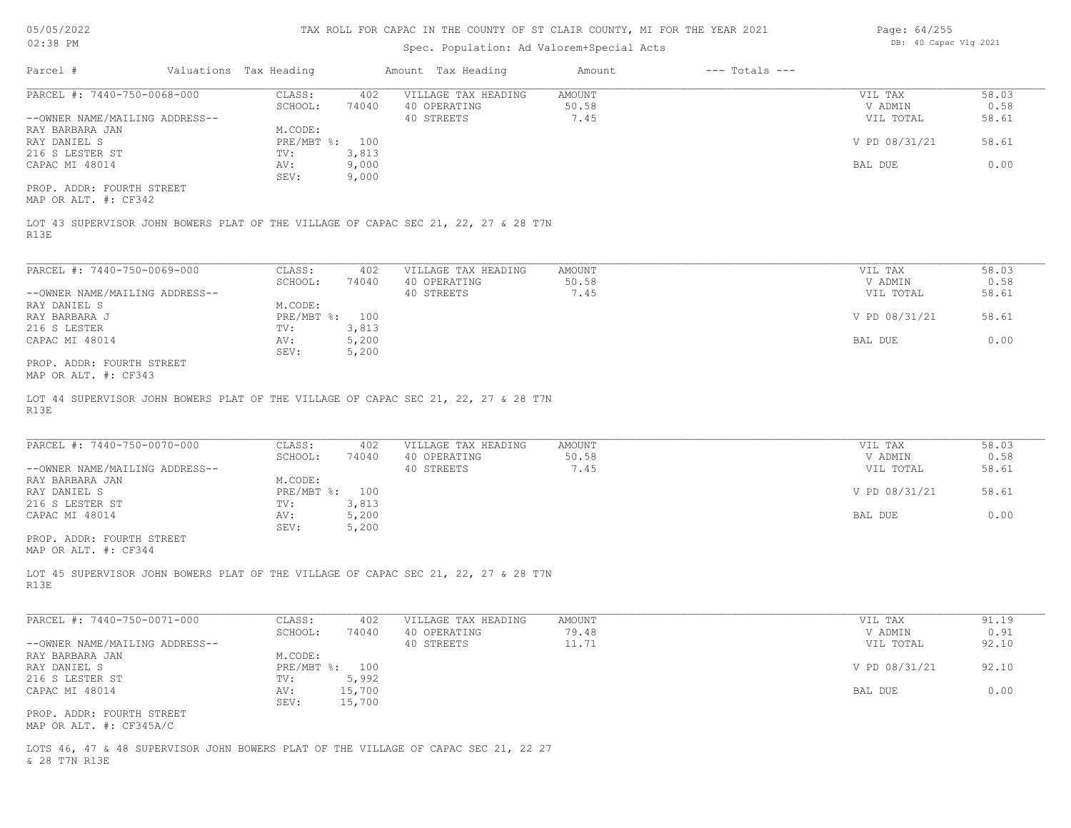| 05/05/2022 |  |
|------------|--|
|------------|--|

| 02:38 PM                                             |                        |                  | Spec. Population: Ad Valorem+Special Acts                                          |                 |                    | DB: 40 Capac Vlg 2021 |               |
|------------------------------------------------------|------------------------|------------------|------------------------------------------------------------------------------------|-----------------|--------------------|-----------------------|---------------|
| Parcel #                                             | Valuations Tax Heading |                  | Amount Tax Heading                                                                 | Amount          | $---$ Totals $---$ |                       |               |
| PARCEL #: 7440-750-0068-000                          | CLASS:                 | 402              | VILLAGE TAX HEADING<br>40 OPERATING                                                | AMOUNT          |                    | VIL TAX               | 58.03         |
|                                                      | SCHOOL:                | 74040            |                                                                                    | 50.58           |                    | V ADMIN               | 0.58          |
| --OWNER NAME/MAILING ADDRESS--                       |                        |                  | 40 STREETS                                                                         | 7.45            |                    | VIL TOTAL             | 58.61         |
| RAY BARBARA JAN                                      | M.CODE:                |                  |                                                                                    |                 |                    |                       |               |
| RAY DANIEL S                                         | PRE/MBT %: 100         |                  |                                                                                    |                 |                    | V PD 08/31/21         | 58.61         |
| 216 S LESTER ST                                      | TV:                    | 3,813            |                                                                                    |                 |                    |                       |               |
| CAPAC MI 48014                                       | AV:                    | 9,000            |                                                                                    |                 |                    | BAL DUE               | 0.00          |
| PROP. ADDR: FOURTH STREET<br>MAP OR ALT. #: CF342    | SEV:                   | 9,000            |                                                                                    |                 |                    |                       |               |
| R13E                                                 |                        |                  | LOT 43 SUPERVISOR JOHN BOWERS PLAT OF THE VILLAGE OF CAPAC SEC 21, 22, 27 & 28 T7N |                 |                    |                       |               |
|                                                      |                        |                  |                                                                                    |                 |                    |                       |               |
| PARCEL #: 7440-750-0069-000                          | CLASS:                 | 402              | VILLAGE TAX HEADING                                                                | AMOUNT          |                    | VIL TAX               | 58.03         |
|                                                      | SCHOOL:                | 74040            | 40 OPERATING                                                                       | 50.58           |                    | V ADMIN               | 0.58          |
| --OWNER NAME/MAILING ADDRESS--                       |                        |                  | 40 STREETS                                                                         | 7.45            |                    | VIL TOTAL             | 58.61         |
| RAY DANIEL S                                         | M.CODE:                |                  |                                                                                    |                 |                    |                       |               |
| RAY BARBARA J                                        | PRE/MBT %: 100         |                  |                                                                                    |                 |                    | V PD 08/31/21         | 58.61         |
| 216 S LESTER                                         | TV:                    | 3,813            |                                                                                    |                 |                    |                       |               |
| CAPAC MI 48014                                       | AV:                    | 5,200            |                                                                                    |                 |                    | BAL DUE               | 0.00          |
|                                                      | SEV:                   | 5,200            |                                                                                    |                 |                    |                       |               |
| PROP. ADDR: FOURTH STREET<br>MAP OR ALT. #: CF343    |                        |                  |                                                                                    |                 |                    |                       |               |
| R13E                                                 |                        |                  | LOT 44 SUPERVISOR JOHN BOWERS PLAT OF THE VILLAGE OF CAPAC SEC 21, 22, 27 & 28 T7N |                 |                    |                       |               |
| PARCEL #: 7440-750-0070-000                          | CLASS:<br>SCHOOL:      | 402<br>74040     | VILLAGE TAX HEADING<br>40 OPERATING                                                | AMOUNT<br>50.58 |                    | VIL TAX<br>V ADMIN    | 58.03<br>0.58 |
| --OWNER NAME/MAILING ADDRESS--                       |                        |                  | 40 STREETS                                                                         | 7.45            |                    | VIL TOTAL             | 58.61         |
| RAY BARBARA JAN                                      | M.CODE:                |                  |                                                                                    |                 |                    |                       |               |
| RAY DANIEL S                                         | PRE/MBT %: 100         |                  |                                                                                    |                 |                    | V PD 08/31/21         | 58.61         |
| 216 S LESTER ST                                      | TV:                    | 3,813            |                                                                                    |                 |                    |                       |               |
| CAPAC MI 48014                                       | AV:                    | 5,200            |                                                                                    |                 |                    | BAL DUE               | 0.00          |
|                                                      | SEV:                   | 5,200            |                                                                                    |                 |                    |                       |               |
| PROP. ADDR: FOURTH STREET<br>MAP OR ALT. #: CF344    |                        |                  |                                                                                    |                 |                    |                       |               |
| R13E                                                 |                        |                  | LOT 45 SUPERVISOR JOHN BOWERS PLAT OF THE VILLAGE OF CAPAC SEC 21, 22, 27 & 28 T7N |                 |                    |                       |               |
| PARCEL #: 7440-750-0071-000                          | CLASS:<br>SCHOOL:      | 402<br>74040     | VILLAGE TAX HEADING<br>40 OPERATING                                                | AMOUNT<br>79.48 |                    | VIL TAX<br>V ADMIN    | 91.19<br>0.91 |
| --OWNER NAME/MAILING ADDRESS--<br>RAY BARBARA JAN    | M.CODE:                |                  | 40 STREETS                                                                         | 11.71           |                    | VIL TOTAL             | 92.10         |
| RAY DANIEL S<br>216 S LESTER ST                      | PRE/MBT %: 100<br>TV:  | 5,992            |                                                                                    |                 |                    | V PD 08/31/21         | 92.10         |
| CAPAC MI 48014                                       | AV:<br>SEV:            | 15,700<br>15,700 |                                                                                    |                 |                    | BAL DUE               | 0.00          |
| PROP. ADDR: FOURTH STREET<br>MAP OR ALT. #: CF345A/C |                        |                  |                                                                                    |                 |                    |                       |               |
| & 28 T7N R13E                                        |                        |                  | LOTS 46, 47 & 48 SUPERVISOR JOHN BOWERS PLAT OF THE VILLAGE OF CAPAC SEC 21, 22 27 |                 |                    |                       |               |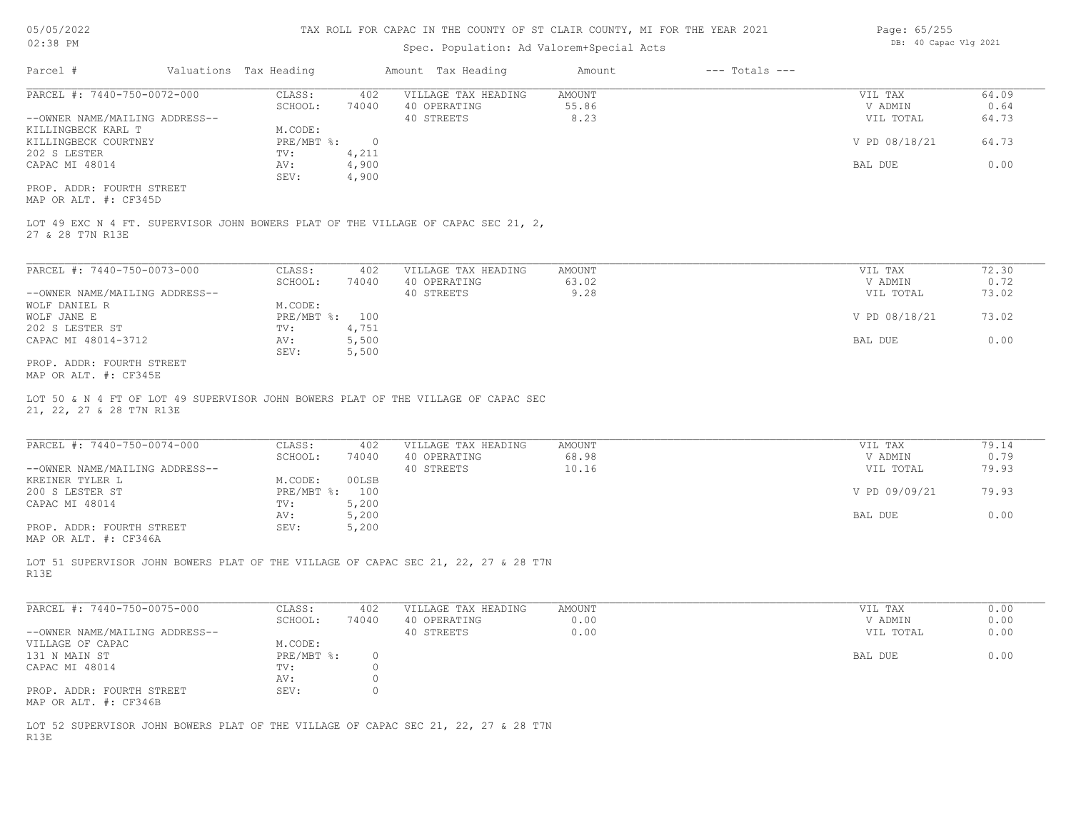# Spec. Population: Ad Valorem+Special Acts

| Page: 65/255 |                       |  |
|--------------|-----------------------|--|
|              | DB: 40 Capac Vlg 2021 |  |

| Parcel #                       | Valuations Tax Heading |       | Amount Tax Heading  | Amount | $---$ Totals $---$ |               |       |
|--------------------------------|------------------------|-------|---------------------|--------|--------------------|---------------|-------|
| PARCEL #: 7440-750-0072-000    | CLASS:                 | 402   | VILLAGE TAX HEADING | AMOUNT |                    | VIL TAX       | 64.09 |
|                                | SCHOOL:                | 74040 | 40 OPERATING        | 55.86  |                    | V ADMIN       | 0.64  |
| --OWNER NAME/MAILING ADDRESS-- |                        |       | 40 STREETS          | 8.23   |                    | VIL TOTAL     | 64.73 |
| KILLINGBECK KARL T             | M.CODE:                |       |                     |        |                    |               |       |
| KILLINGBECK COURTNEY           | $PRE/MBT$ %:           |       |                     |        |                    | V PD 08/18/21 | 64.73 |
| 202 S LESTER                   | TV:                    | 4,211 |                     |        |                    |               |       |
| CAPAC MI 48014                 | AV:                    | 4,900 |                     |        |                    | BAL DUE       | 0.00  |
|                                | SEV:                   | 4,900 |                     |        |                    |               |       |
| PROP. ADDR: FOURTH STREET      |                        |       |                     |        |                    |               |       |
|                                |                        |       |                     |        |                    |               |       |

MAP OR ALT. #: CF345D

27 & 28 T7N R13E LOT 49 EXC N 4 FT. SUPERVISOR JOHN BOWERS PLAT OF THE VILLAGE OF CAPAC SEC 21, 2,

| V ADMIN<br>VIL TOTAL | 0.72<br>73.02 |
|----------------------|---------------|
|                      |               |
|                      |               |
|                      |               |
| V PD 08/18/21        | 73.02         |
|                      |               |
| BAL DUE              | 0.00          |
|                      |               |
|                      |               |

MAP OR ALT. #: CF345E PROP. ADDR: FOURTH STREET

21, 22, 27 & 28 T7N R13E LOT 50 & N 4 FT OF LOT 49 SUPERVISOR JOHN BOWERS PLAT OF THE VILLAGE OF CAPAC SEC

| PARCEL #: 7440-750-0074-000    | CLASS:         | 402   | VILLAGE TAX HEADING | AMOUNT | VIL TAX | 79.14                  |  |
|--------------------------------|----------------|-------|---------------------|--------|---------|------------------------|--|
|                                | SCHOOL:        | 74040 | 40 OPERATING        | 68.98  | V ADMIN | 0.79                   |  |
| --OWNER NAME/MAILING ADDRESS-- |                |       | 40 STREETS          | 10.16  |         | VIL TOTAL<br>79.93     |  |
| KREINER TYLER L                | M.CODE:        | 00LSB |                     |        |         |                        |  |
| 200 S LESTER ST                | PRE/MBT %: 100 |       |                     |        |         | V PD 09/09/21<br>79.93 |  |
| CAPAC MI 48014                 | TV:            | 5,200 |                     |        |         |                        |  |
|                                | AV:            | 5,200 |                     |        | BAL DUE | 0.00                   |  |
| PROP. ADDR: FOURTH STREET      | SEV:           | 5,200 |                     |        |         |                        |  |
|                                |                |       |                     |        |         |                        |  |

MAP OR ALT. #: CF346A

R13E LOT 51 SUPERVISOR JOHN BOWERS PLAT OF THE VILLAGE OF CAPAC SEC 21, 22, 27 & 28 T7N

| PARCEL #: 7440-750-0075-000    | CLASS:       | 402   | VILLAGE TAX HEADING | AMOUNT | VIL TAX   | 0.00 |
|--------------------------------|--------------|-------|---------------------|--------|-----------|------|
|                                | SCHOOL:      | 74040 | 40 OPERATING        | 0.00   | V ADMIN   | 0.00 |
| --OWNER NAME/MAILING ADDRESS-- |              |       | 40 STREETS          | 0.00   | VIL TOTAL | 0.00 |
| VILLAGE OF CAPAC               | M.CODE:      |       |                     |        |           |      |
| 131 N MAIN ST                  | $PRE/MBT$ %: |       |                     |        | BAL DUE   | 0.00 |
| CAPAC MI 48014                 | TV:          |       |                     |        |           |      |
|                                | AV:          |       |                     |        |           |      |
| PROP. ADDR: FOURTH STREET      | SEV:         |       |                     |        |           |      |
| MAP OR ALT. #: CF346B          |              |       |                     |        |           |      |

R13E LOT 52 SUPERVISOR JOHN BOWERS PLAT OF THE VILLAGE OF CAPAC SEC 21, 22, 27 & 28 T7N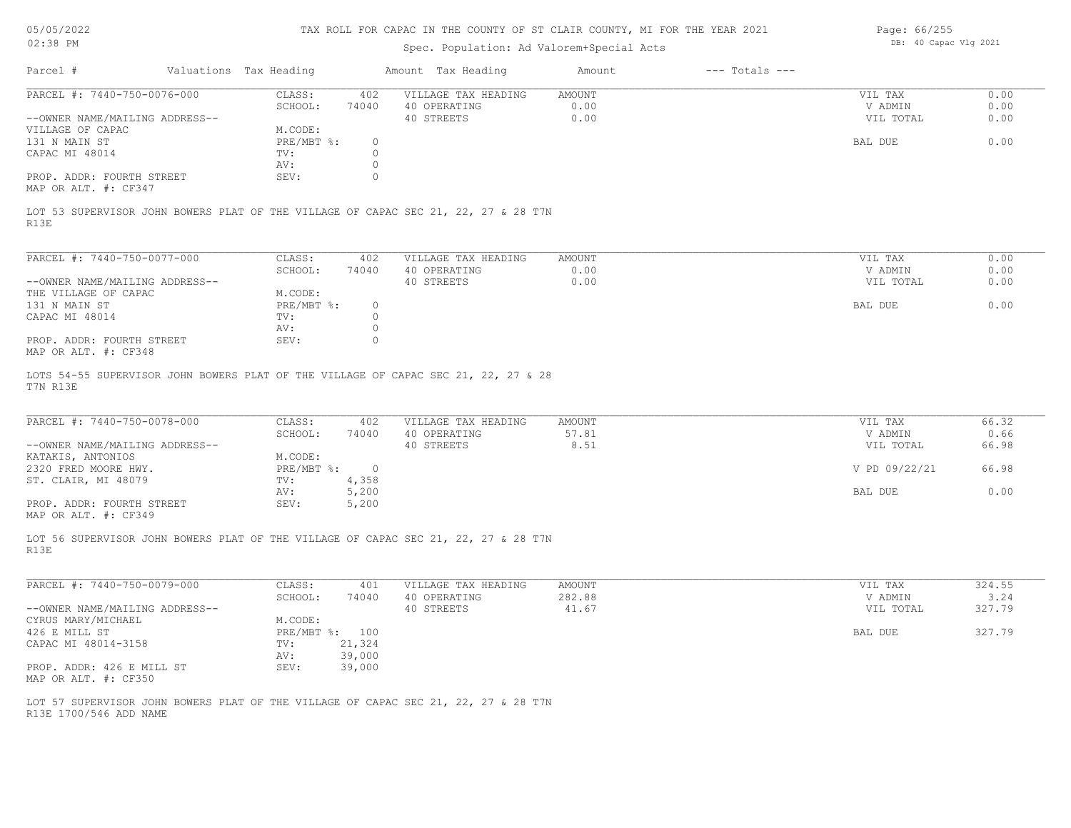| 05/05/2022                                        | TAX ROLL FOR CAPAC IN THE COUNTY OF ST CLAIR COUNTY, MI FOR THE YEAR 2021 |                        |                |                                                                                    |        |                    |                       | Page: 66/255 |  |
|---------------------------------------------------|---------------------------------------------------------------------------|------------------------|----------------|------------------------------------------------------------------------------------|--------|--------------------|-----------------------|--------------|--|
| 02:38 PM                                          |                                                                           |                        |                | Spec. Population: Ad Valorem+Special Acts                                          |        |                    | DB: 40 Capac Vlg 2021 |              |  |
| Parcel #                                          |                                                                           | Valuations Tax Heading |                | Amount Tax Heading                                                                 | Amount | $---$ Totals $---$ |                       |              |  |
| PARCEL #: 7440-750-0076-000                       |                                                                           | CLASS:                 | 402            | VILLAGE TAX HEADING                                                                | AMOUNT |                    | VIL TAX               | 0.00         |  |
|                                                   |                                                                           | SCHOOL:                | 74040          | 40 OPERATING                                                                       | 0.00   |                    | V ADMIN               | 0.00         |  |
| --OWNER NAME/MAILING ADDRESS--                    |                                                                           |                        |                | 40 STREETS                                                                         | 0.00   |                    | VIL TOTAL             | 0.00         |  |
| VILLAGE OF CAPAC                                  |                                                                           | M.CODE:                |                |                                                                                    |        |                    |                       |              |  |
| 131 N MAIN ST                                     |                                                                           | PRE/MBT %:             | $\circ$        |                                                                                    |        |                    | BAL DUE               | 0.00         |  |
| CAPAC MI 48014                                    |                                                                           | TV:                    | $\circ$        |                                                                                    |        |                    |                       |              |  |
|                                                   |                                                                           | AV:                    | $\circ$        |                                                                                    |        |                    |                       |              |  |
| PROP. ADDR: FOURTH STREET                         |                                                                           | SEV:                   | $\circ$        |                                                                                    |        |                    |                       |              |  |
| MAP OR ALT. #: CF347                              |                                                                           |                        |                |                                                                                    |        |                    |                       |              |  |
| R13E                                              |                                                                           |                        |                | LOT 53 SUPERVISOR JOHN BOWERS PLAT OF THE VILLAGE OF CAPAC SEC 21, 22, 27 & 28 T7N |        |                    |                       |              |  |
| PARCEL #: 7440-750-0077-000                       |                                                                           | CLASS:                 | 402            | VILLAGE TAX HEADING                                                                | AMOUNT |                    | VIL TAX               | 0.00         |  |
|                                                   |                                                                           | SCHOOL:                | 74040          | 40 OPERATING                                                                       | 0.00   |                    | V ADMIN               | 0.00         |  |
| --OWNER NAME/MAILING ADDRESS--                    |                                                                           |                        |                | 40 STREETS                                                                         | 0.00   |                    | VIL TOTAL             | 0.00         |  |
| THE VILLAGE OF CAPAC                              |                                                                           | M.CODE:                |                |                                                                                    |        |                    |                       |              |  |
| 131 N MAIN ST                                     |                                                                           | PRE/MBT %:             | $\circ$        |                                                                                    |        |                    | BAL DUE               | 0.00         |  |
| CAPAC MI 48014                                    |                                                                           | TV:                    | $\circ$        |                                                                                    |        |                    |                       |              |  |
|                                                   |                                                                           | AV:                    | $\circ$        |                                                                                    |        |                    |                       |              |  |
| PROP. ADDR: FOURTH STREET<br>MAP OR ALT. #: CF348 |                                                                           | SEV:                   | $\Omega$       |                                                                                    |        |                    |                       |              |  |
| T7N R13E                                          |                                                                           |                        |                | LOTS 54-55 SUPERVISOR JOHN BOWERS PLAT OF THE VILLAGE OF CAPAC SEC 21, 22, 27 & 28 |        |                    |                       |              |  |
|                                                   |                                                                           |                        |                |                                                                                    |        |                    |                       |              |  |
| PARCEL #: 7440-750-0078-000                       |                                                                           | CLASS:                 | 402            | VILLAGE TAX HEADING                                                                | AMOUNT |                    | VIL TAX               | 66.32        |  |
|                                                   |                                                                           | SCHOOL:                | 74040          | 40 OPERATING                                                                       | 57.81  |                    | V ADMIN               | 0.66         |  |
| --OWNER NAME/MAILING ADDRESS--                    |                                                                           |                        |                | 40 STREETS                                                                         | 8.51   |                    | VIL TOTAL             | 66.98        |  |
| KATAKIS, ANTONIOS                                 |                                                                           | M.CODE:                |                |                                                                                    |        |                    |                       |              |  |
| 2320 FRED MOORE HWY.                              |                                                                           | PRE/MBT %:             | $\overline{0}$ |                                                                                    |        |                    | V PD 09/22/21         | 66.98        |  |
| ST. CLAIR, MI 48079                               |                                                                           | TV:                    | 4,358          |                                                                                    |        |                    |                       |              |  |
|                                                   |                                                                           | AV:                    | 5,200          |                                                                                    |        |                    | BAL DUE               | 0.00         |  |
| PROP. ADDR: FOURTH STREET                         |                                                                           | SEV:                   | 5,200          |                                                                                    |        |                    |                       |              |  |
| MAP OR ALT. #: CF349                              |                                                                           |                        |                |                                                                                    |        |                    |                       |              |  |
|                                                   |                                                                           |                        |                |                                                                                    |        |                    |                       |              |  |
|                                                   |                                                                           |                        |                | LOT 56 SUPERVISOR JOHN BOWERS PLAT OF THE VILLAGE OF CAPAC SEC 21, 22, 27 & 28 T7N |        |                    |                       |              |  |
| R13E                                              |                                                                           |                        |                |                                                                                    |        |                    |                       |              |  |

| PARCEL #: 7440-750-0079-000    | CLASS:       | 401    | VILLAGE TAX HEADING | AMOUNT | VIL TAX   | 324.55 |
|--------------------------------|--------------|--------|---------------------|--------|-----------|--------|
|                                | SCHOOL:      | 74040  | 40 OPERATING        | 282.88 | V ADMIN   | 3.24   |
| --OWNER NAME/MAILING ADDRESS-- |              |        | 40 STREETS          | 41.67  | VIL TOTAL | 327.79 |
| CYRUS MARY/MICHAEL             | M.CODE:      |        |                     |        |           |        |
| 426 E MILL ST                  | $PRE/MBT$ %: | 100    |                     |        | BAL DUE   | 327.79 |
| CAPAC MI 48014-3158            | TV:          | 21,324 |                     |        |           |        |
|                                | AV:          | 39,000 |                     |        |           |        |
| PROP. ADDR: 426 E MILL ST      | SEV:         | 39,000 |                     |        |           |        |
| MAP OR ALT. #: CF350           |              |        |                     |        |           |        |

R13E 1700/546 ADD NAME LOT 57 SUPERVISOR JOHN BOWERS PLAT OF THE VILLAGE OF CAPAC SEC 21, 22, 27 & 28 T7N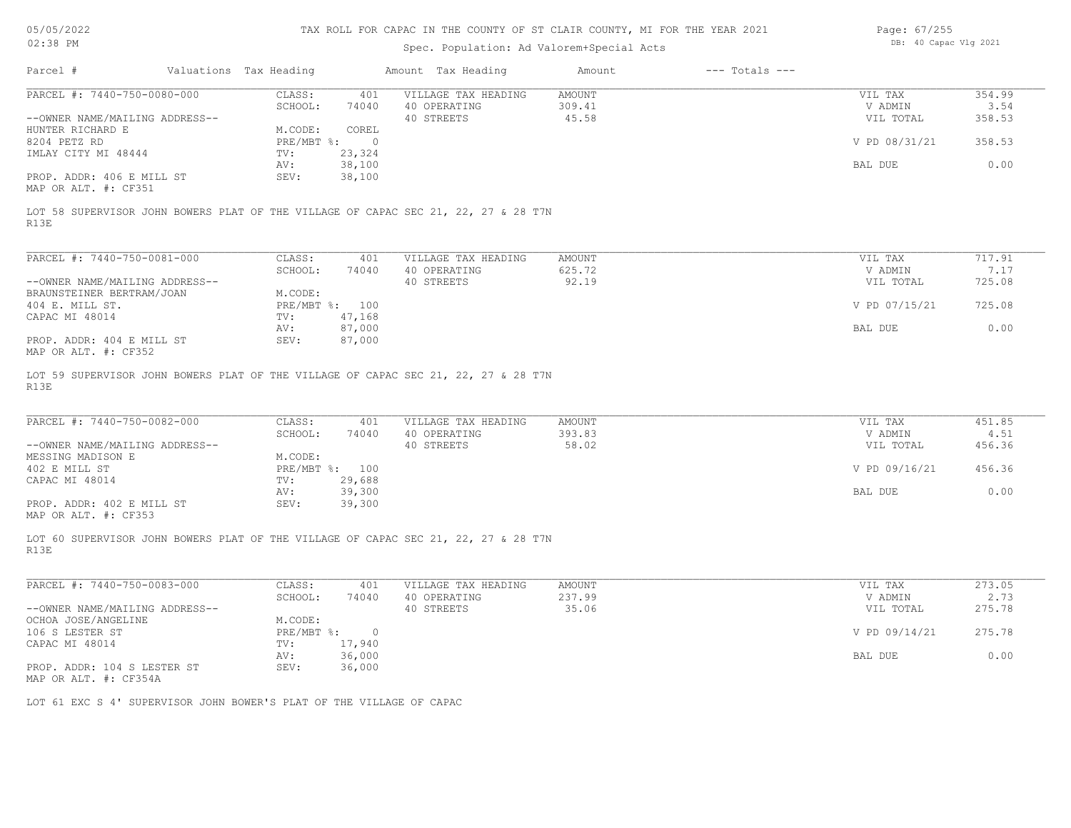| 05/05/2022 |
|------------|
|            |

| Page: 67/255 |                       |  |
|--------------|-----------------------|--|
|              | DB: 40 Capac Vlg 2021 |  |

| 0010012022                                           |                                                                      |                        |                  | this nome for chine in the countr of of centri country his fort the fenit goes     |               |                    | Lugu. VIILUU          |        |
|------------------------------------------------------|----------------------------------------------------------------------|------------------------|------------------|------------------------------------------------------------------------------------|---------------|--------------------|-----------------------|--------|
| 02:38 PM                                             |                                                                      |                        |                  | Spec. Population: Ad Valorem+Special Acts                                          |               |                    | DB: 40 Capac Vlg 2021 |        |
| Parcel #                                             |                                                                      | Valuations Tax Heading |                  | Amount Tax Heading                                                                 | Amount        | $---$ Totals $---$ |                       |        |
| PARCEL #: 7440-750-0080-000                          |                                                                      | CLASS:                 | 401              | VILLAGE TAX HEADING                                                                | AMOUNT        |                    | VIL TAX               | 354.99 |
|                                                      |                                                                      | SCHOOL:                | 74040            | 40 OPERATING                                                                       | 309.41        |                    | V ADMIN               | 3.54   |
| --OWNER NAME/MAILING ADDRESS--                       |                                                                      |                        |                  | 40 STREETS                                                                         | 45.58         |                    | VIL TOTAL             | 358.53 |
| HUNTER RICHARD E                                     |                                                                      | M.CODE:                | COREL            |                                                                                    |               |                    |                       |        |
| 8204 PETZ RD                                         |                                                                      |                        | PRE/MBT %: 0     |                                                                                    |               |                    | V PD 08/31/21         | 358.53 |
| IMLAY CITY MI 48444                                  |                                                                      | TV:                    | 23,324           |                                                                                    |               |                    |                       | 0.00   |
| PROP. ADDR: 406 E MILL ST<br>MAP OR ALT. #: CF351    |                                                                      | AV:<br>SEV:            | 38,100<br>38,100 |                                                                                    |               |                    | BAL DUE               |        |
| R13E                                                 |                                                                      |                        |                  | LOT 58 SUPERVISOR JOHN BOWERS PLAT OF THE VILLAGE OF CAPAC SEC 21, 22, 27 & 28 T7N |               |                    |                       |        |
| PARCEL #: 7440-750-0081-000                          |                                                                      | CLASS:                 | 401              | VILLAGE TAX HEADING                                                                | <b>AMOUNT</b> |                    | VIL TAX               | 717.91 |
|                                                      |                                                                      | SCHOOL:                | 74040            | 40 OPERATING                                                                       | 625.72        |                    | V ADMIN               | 7.17   |
| --OWNER NAME/MAILING ADDRESS--                       |                                                                      |                        |                  | 40 STREETS                                                                         | 92.19         |                    | VIL TOTAL             | 725.08 |
| BRAUNSTEINER BERTRAM/JOAN                            |                                                                      | M.CODE:                |                  |                                                                                    |               |                    |                       |        |
| 404 E. MILL ST.                                      |                                                                      |                        | PRE/MBT %: 100   |                                                                                    |               |                    | V PD 07/15/21         | 725.08 |
| CAPAC MI 48014                                       |                                                                      | TV:                    | 47,168           |                                                                                    |               |                    |                       |        |
|                                                      |                                                                      | AV:                    | 87,000           |                                                                                    |               |                    | BAL DUE               | 0.00   |
| PROP. ADDR: 404 E MILL ST<br>MAP OR ALT. #: CF352    |                                                                      | SEV:                   | 87,000           |                                                                                    |               |                    |                       |        |
| PARCEL #: 7440-750-0082-000                          |                                                                      | CLASS:                 | 401              | VILLAGE TAX HEADING                                                                | <b>AMOUNT</b> |                    | VIL TAX               | 451.85 |
|                                                      |                                                                      | SCHOOL:                | 74040            | 40 OPERATING                                                                       | 393.83        |                    | V ADMIN               | 4.51   |
| --OWNER NAME/MAILING ADDRESS--                       |                                                                      |                        |                  | 40 STREETS                                                                         | 58.02         |                    | VIL TOTAL             | 456.36 |
| MESSING MADISON E                                    |                                                                      | M.CODE:                |                  |                                                                                    |               |                    |                       |        |
| 402 E MILL ST                                        |                                                                      |                        | PRE/MBT %: 100   |                                                                                    |               |                    | V PD 09/16/21         | 456.36 |
| CAPAC MI 48014                                       |                                                                      | TV:                    | 29,688           |                                                                                    |               |                    |                       |        |
|                                                      |                                                                      | AV:                    | 39,300           |                                                                                    |               |                    | BAL DUE               | 0.00   |
| PROP. ADDR: 402 E MILL ST<br>MAP OR ALT. #: CF353    |                                                                      | SEV:                   | 39,300           |                                                                                    |               |                    |                       |        |
| R13E                                                 |                                                                      |                        |                  | LOT 60 SUPERVISOR JOHN BOWERS PLAT OF THE VILLAGE OF CAPAC SEC 21, 22, 27 & 28 T7N |               |                    |                       |        |
| PARCEL #: 7440-750-0083-000                          |                                                                      | CLASS:                 | 401              | VILLAGE TAX HEADING                                                                | <b>AMOUNT</b> |                    | VIL TAX               | 273.05 |
|                                                      |                                                                      | SCHOOL:                | 74040            | 40 OPERATING                                                                       | 237.99        |                    | V ADMIN               | 2.73   |
| --OWNER NAME/MAILING ADDRESS--                       |                                                                      |                        |                  | 40 STREETS                                                                         | 35.06         |                    | VIL TOTAL             | 275.78 |
| OCHOA JOSE/ANGELINE                                  |                                                                      | M.CODE:                |                  |                                                                                    |               |                    |                       |        |
| 106 S LESTER ST                                      |                                                                      |                        | PRE/MBT %: 0     |                                                                                    |               |                    | V PD 09/14/21         | 275.78 |
| CAPAC MI 48014                                       |                                                                      | TV:                    | 17,940           |                                                                                    |               |                    |                       |        |
| PROP. ADDR: 104 S LESTER ST<br>MAP OR ALT. #: CF354A |                                                                      | AV:<br>SEV:            | 36,000<br>36,000 |                                                                                    |               |                    | BAL DUE               | 0.00   |
|                                                      | LOT 61 EXC S 4' SUPERVISOR JOHN BOWER'S PLAT OF THE VILLAGE OF CAPAC |                        |                  |                                                                                    |               |                    |                       |        |
|                                                      |                                                                      |                        |                  |                                                                                    |               |                    |                       |        |
|                                                      |                                                                      |                        |                  |                                                                                    |               |                    |                       |        |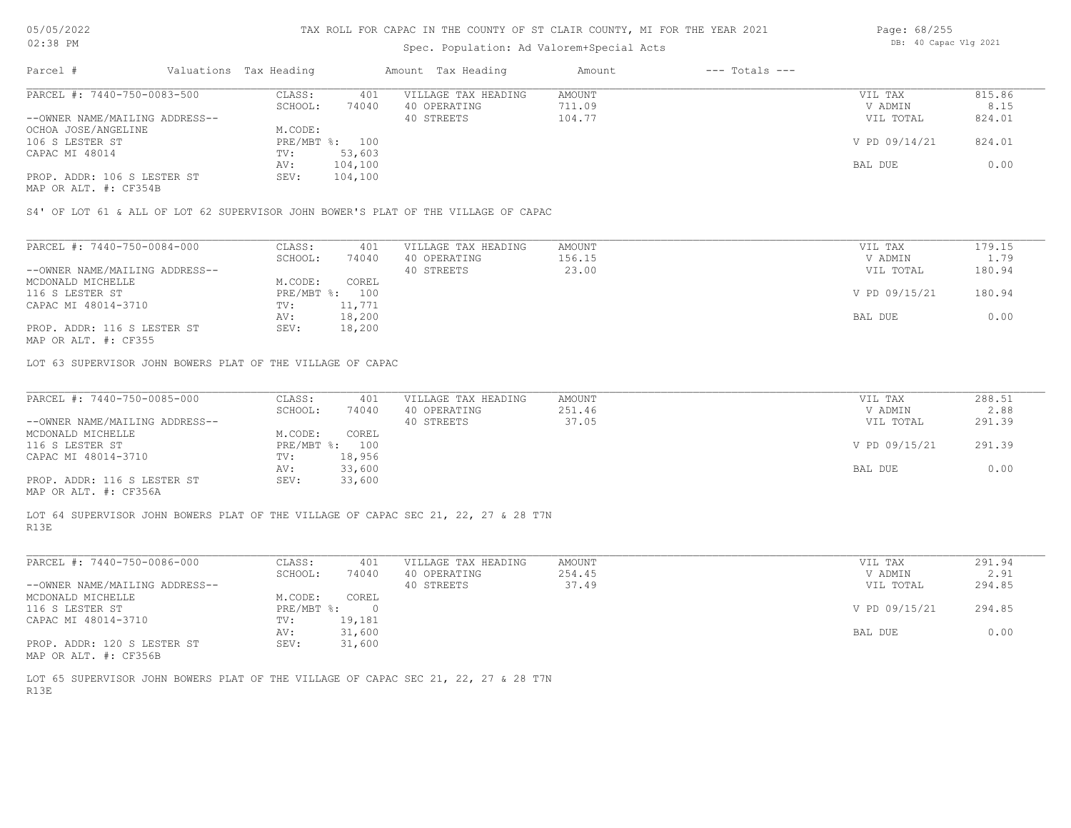# Spec. Population: Ad Valorem+Special Acts

| Page: 68/255 |                       |  |
|--------------|-----------------------|--|
|              | DB: 40 Capac Vlg 2021 |  |

| Parcel #                       | Valuations Tax Heading |                | Amount Tax Heading  | Amount | $---$ Totals $---$ |               |        |
|--------------------------------|------------------------|----------------|---------------------|--------|--------------------|---------------|--------|
| PARCEL #: 7440-750-0083-500    | CLASS:                 | 401            | VILLAGE TAX HEADING | AMOUNT |                    | VIL TAX       | 815.86 |
|                                | 74040<br>SCHOOL:       |                | 40 OPERATING        | 711.09 |                    | V ADMIN       | 8.15   |
| --OWNER NAME/MAILING ADDRESS-- |                        |                | 40 STREETS          | 104.77 |                    | VIL TOTAL     | 824.01 |
| OCHOA JOSE/ANGELINE            | M.CODE:                |                |                     |        |                    |               |        |
| 106 S LESTER ST                |                        | PRE/MBT %: 100 |                     |        |                    | V PD 09/14/21 | 824.01 |
| CAPAC MI 48014                 | TV:                    | 53,603         |                     |        |                    |               |        |
|                                | AV:                    | 104,100        |                     |        |                    | BAL DUE       | 0.00   |
| PROP. ADDR: 106 S LESTER ST    | SEV:                   | 104,100        |                     |        |                    |               |        |
|                                |                        |                |                     |        |                    |               |        |

MAP OR ALT. #: CF354B

S4' OF LOT 61 & ALL OF LOT 62 SUPERVISOR JOHN BOWER'S PLAT OF THE VILLAGE OF CAPAC

| PARCEL #: 7440-750-0084-000    | CLASS:     | 401    | VILLAGE TAX HEADING | AMOUNT | VIL TAX       | 179.15 |
|--------------------------------|------------|--------|---------------------|--------|---------------|--------|
|                                | SCHOOL:    | 74040  | 40 OPERATING        | 156.15 | V ADMIN       | 1.79   |
| --OWNER NAME/MAILING ADDRESS-- |            |        | 40 STREETS          | 23.00  | VIL TOTAL     | 180.94 |
| MCDONALD MICHELLE              | M.CODE:    | COREL  |                     |        |               |        |
| 116 S LESTER ST                | PRE/MBT %: | 100    |                     |        | V PD 09/15/21 | 180.94 |
| CAPAC MI 48014-3710            | TV:        | 11,771 |                     |        |               |        |
|                                | AV:        | 18,200 |                     |        | BAL DUE       | 0.00   |
| PROP. ADDR: 116 S LESTER ST    | SEV:       | 18,200 |                     |        |               |        |
|                                |            |        |                     |        |               |        |

MAP OR ALT. #: CF355

LOT 63 SUPERVISOR JOHN BOWERS PLAT OF THE VILLAGE OF CAPAC

| PARCEL #: 7440-750-0085-000     | CLASS:  | 401            | VILLAGE TAX HEADING | AMOUNT | VIL TAX       | 288.51 |
|---------------------------------|---------|----------------|---------------------|--------|---------------|--------|
|                                 | SCHOOL: | 74040          | 40 OPERATING        | 251.46 | V ADMIN       | 2.88   |
| --OWNER NAME/MAILING ADDRESS--  |         |                | 40 STREETS          | 37.05  | VIL TOTAL     | 291.39 |
| MCDONALD MICHELLE               | M.CODE: | COREL          |                     |        |               |        |
| 116 S LESTER ST                 |         | PRE/MBT %: 100 |                     |        | V PD 09/15/21 | 291.39 |
| CAPAC MI 48014-3710             | TV:     | 18,956         |                     |        |               |        |
|                                 | AV:     | 33,600         |                     |        | BAL DUE       | 0.00   |
| PROP. ADDR: 116 S LESTER ST     | SEV:    | 33,600         |                     |        |               |        |
| $MAD$ $CD$ $ATH$ $H$ , $CDDECA$ |         |                |                     |        |               |        |

MAP OR ALT. #: CF356A

R13E LOT 64 SUPERVISOR JOHN BOWERS PLAT OF THE VILLAGE OF CAPAC SEC 21, 22, 27 & 28 T7N

| PARCEL #: 7440-750-0086-000    | CLASS:       | 401    | VILLAGE TAX HEADING | AMOUNT | VIL TAX       | 291.94 |
|--------------------------------|--------------|--------|---------------------|--------|---------------|--------|
|                                | SCHOOL:      | 74040  | 40 OPERATING        | 254.45 | V ADMIN       | 2.91   |
| --OWNER NAME/MAILING ADDRESS-- |              |        | 40 STREETS          | 37.49  | VIL TOTAL     | 294.85 |
| MCDONALD MICHELLE              | M.CODE:      | COREL  |                     |        |               |        |
| 116 S LESTER ST                | $PRE/MBT$ %: |        |                     |        | V PD 09/15/21 | 294.85 |
| CAPAC MI 48014-3710            | TV:          | 19,181 |                     |        |               |        |
|                                | AV:          | 31,600 |                     |        | BAL DUE       | 0.00   |
| PROP. ADDR: 120 S LESTER ST    | SEV:         | 31,600 |                     |        |               |        |
| MAP OR ALT. #: CF356B          |              |        |                     |        |               |        |

R13E LOT 65 SUPERVISOR JOHN BOWERS PLAT OF THE VILLAGE OF CAPAC SEC 21, 22, 27 & 28 T7N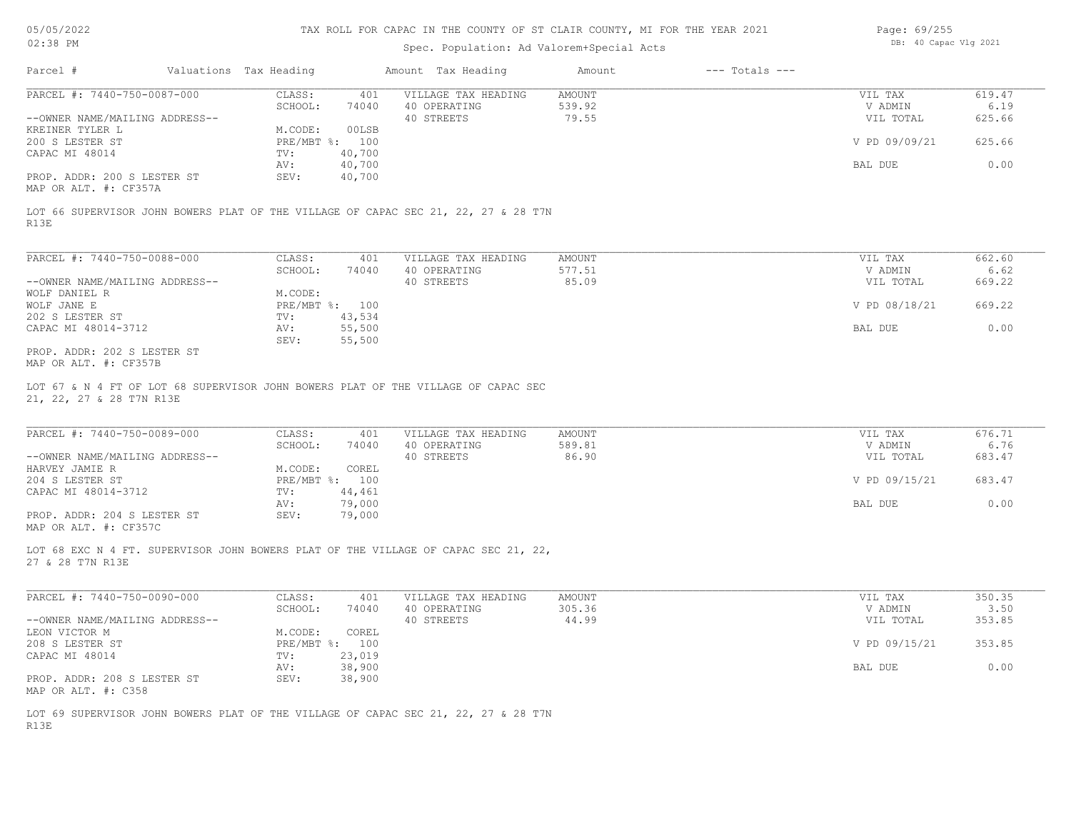# Spec. Population: Ad Valorem+Special Acts

| Page: 69/255 |                       |  |
|--------------|-----------------------|--|
|              | DB: 40 Capac Vlg 2021 |  |

| Parcel #                       | Valuations Tax Heading |        | Amount Tax Heading  | Amount | $---$ Totals $---$ |               |        |
|--------------------------------|------------------------|--------|---------------------|--------|--------------------|---------------|--------|
| PARCEL #: 7440-750-0087-000    | CLASS:                 | 401    | VILLAGE TAX HEADING | AMOUNT |                    | VIL TAX       | 619.47 |
|                                | SCHOOL:                | 74040  | 40 OPERATING        | 539.92 |                    | V ADMIN       | 6.19   |
| --OWNER NAME/MAILING ADDRESS-- |                        |        | 40 STREETS          | 79.55  |                    | VIL TOTAL     | 625.66 |
| KREINER TYLER L                | M.CODE:                | 00LSB  |                     |        |                    |               |        |
| 200 S LESTER ST                | PRE/MBT %: 100         |        |                     |        |                    | V PD 09/09/21 | 625.66 |
| CAPAC MI 48014                 | TV:                    | 40,700 |                     |        |                    |               |        |
|                                | AV:                    | 40,700 |                     |        |                    | BAL DUE       | 0.00   |
| PROP. ADDR: 200 S LESTER ST    | SEV:                   | 40,700 |                     |        |                    |               |        |
| MAP OR ALT. #: CF357A          |                        |        |                     |        |                    |               |        |

R13E LOT 66 SUPERVISOR JOHN BOWERS PLAT OF THE VILLAGE OF CAPAC SEC 21, 22, 27 & 28 T7N

| PARCEL #: 7440-750-0088-000    | CLASS:       | 401    | VILLAGE TAX HEADING | AMOUNT | VIL TAX       | 662.60 |
|--------------------------------|--------------|--------|---------------------|--------|---------------|--------|
|                                | SCHOOL:      | 74040  | 40 OPERATING        | 577.51 | V ADMIN       | 6.62   |
| --OWNER NAME/MAILING ADDRESS-- |              |        | 40 STREETS          | 85.09  | VIL TOTAL     | 669.22 |
| WOLF DANIEL R                  | M.CODE:      |        |                     |        |               |        |
| WOLF JANE E                    | $PRE/MBT$ %: | 100    |                     |        | V PD 08/18/21 | 669.22 |
| 202 S LESTER ST                | TV:          | 43,534 |                     |        |               |        |
| CAPAC MI 48014-3712            | AV:          | 55,500 |                     |        | BAL DUE       | 0.00   |
|                                | SEV:         | 55,500 |                     |        |               |        |
| PROP. ADDR: 202 S LESTER ST    |              |        |                     |        |               |        |

MAP OR ALT. #: CF357B

21, 22, 27 & 28 T7N R13E LOT 67 & N 4 FT OF LOT 68 SUPERVISOR JOHN BOWERS PLAT OF THE VILLAGE OF CAPAC SEC

| PARCEL #: 7440-750-0089-000    | CLASS:     | 401    | VILLAGE TAX HEADING | AMOUNT | VIL TAX       | 676.71 |
|--------------------------------|------------|--------|---------------------|--------|---------------|--------|
|                                | SCHOOL:    | 74040  | 40 OPERATING        | 589.81 | V ADMIN       | 6.76   |
| --OWNER NAME/MAILING ADDRESS-- |            |        | 40 STREETS          | 86.90  | VIL TOTAL     | 683.47 |
| HARVEY JAMIE R                 | M.CODE:    | COREL  |                     |        |               |        |
| 204 S LESTER ST                | PRE/MBT %: | 100    |                     |        | V PD 09/15/21 | 683.47 |
| CAPAC MI 48014-3712            | TV:        | 44,461 |                     |        |               |        |
|                                | AV:        | 79,000 |                     |        | BAL DUE       | 0.00   |
| PROP. ADDR: 204 S LESTER ST    | SEV:       | 79,000 |                     |        |               |        |
| MAP OR ALT. #: CF357C          |            |        |                     |        |               |        |

27 & 28 T7N R13E LOT 68 EXC N 4 FT. SUPERVISOR JOHN BOWERS PLAT OF THE VILLAGE OF CAPAC SEC 21, 22,

| PARCEL #: 7440-750-0090-000    | CLASS:  | 401            | VILLAGE TAX HEADING | AMOUNT | VIL TAX       | 350.35 |
|--------------------------------|---------|----------------|---------------------|--------|---------------|--------|
|                                | SCHOOL: | 74040          | 40 OPERATING        | 305.36 | V ADMIN       | 3.50   |
| --OWNER NAME/MAILING ADDRESS-- |         |                | 40 STREETS          | 44.99  | VIL TOTAL     | 353.85 |
| LEON VICTOR M                  | M.CODE: | COREL          |                     |        |               |        |
| 208 S LESTER ST                |         | PRE/MBT %: 100 |                     |        | V PD 09/15/21 | 353.85 |
| CAPAC MI 48014                 | TV:     | 23,019         |                     |        |               |        |
|                                | AV:     | 38,900         |                     |        | BAL DUE       | 0.00   |
| PROP. ADDR: 208 S LESTER ST    | SEV:    | 38,900         |                     |        |               |        |
| MAP OR ALT. #: C358            |         |                |                     |        |               |        |

R13E LOT 69 SUPERVISOR JOHN BOWERS PLAT OF THE VILLAGE OF CAPAC SEC 21, 22, 27 & 28 T7N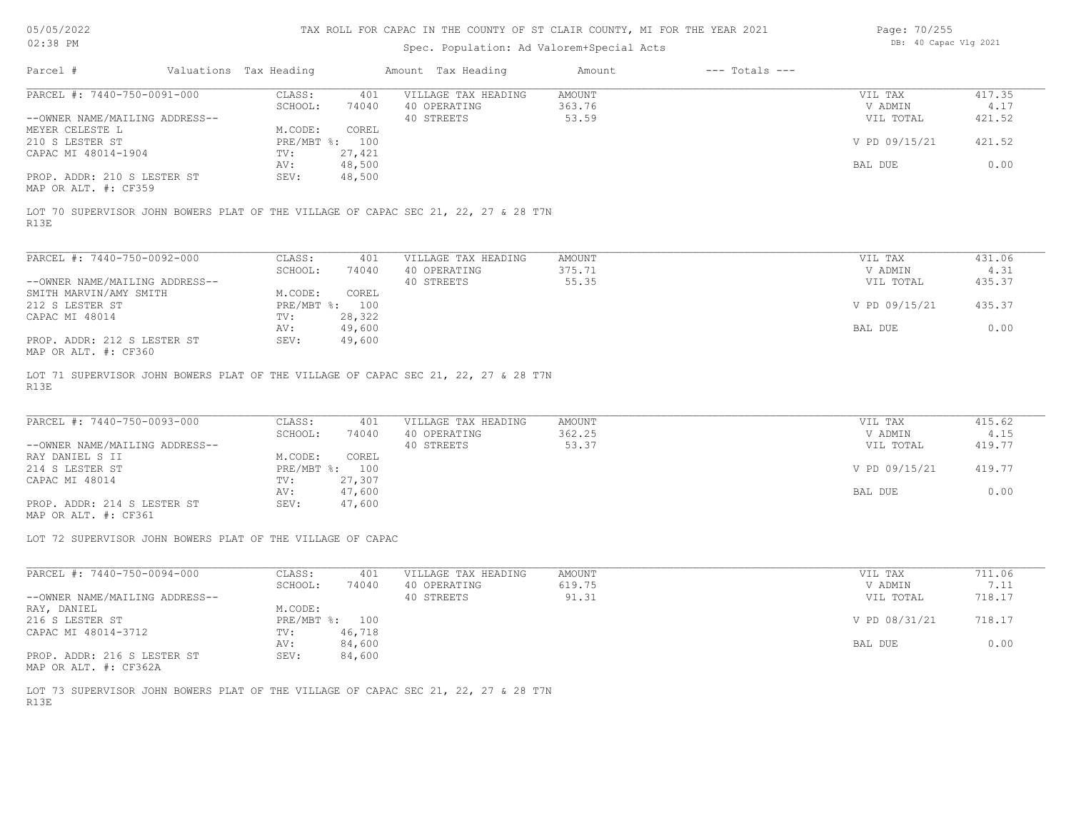# Spec. Population: Ad Valorem+Special Acts

| Page: 70/255 |                       |  |
|--------------|-----------------------|--|
|              | DB: 40 Capac Vlg 2021 |  |

| Parcel #                       | Valuations Tax Heading |        | Amount Tax Heading  | Amount | $---$ Totals $---$ |               |        |
|--------------------------------|------------------------|--------|---------------------|--------|--------------------|---------------|--------|
| PARCEL #: 7440-750-0091-000    | CLASS:                 | 401    | VILLAGE TAX HEADING | AMOUNT |                    | VIL TAX       | 417.35 |
|                                | SCHOOL:                | 74040  | 40 OPERATING        | 363.76 |                    | V ADMIN       | 4.17   |
| --OWNER NAME/MAILING ADDRESS-- |                        |        | 40 STREETS          | 53.59  |                    | VIL TOTAL     | 421.52 |
| MEYER CELESTE L                | M.CODE:                | COREL  |                     |        |                    |               |        |
| 210 S LESTER ST                | PRE/MBT %: 100         |        |                     |        |                    | V PD 09/15/21 | 421.52 |
| CAPAC MI 48014-1904            | TV:                    | 27,421 |                     |        |                    |               |        |
|                                | AV:                    | 48,500 |                     |        |                    | BAL DUE       | 0.00   |
| PROP. ADDR: 210 S LESTER ST    | SEV:                   | 48,500 |                     |        |                    |               |        |
| MAP OR ALT. #: CF359           |                        |        |                     |        |                    |               |        |

R13E LOT 70 SUPERVISOR JOHN BOWERS PLAT OF THE VILLAGE OF CAPAC SEC 21, 22, 27 & 28 T7N

| PARCEL #: 7440-750-0092-000                                   | CLASS:     | 401    | VILLAGE TAX HEADING | AMOUNT | VIL TAX       | 431.06 |
|---------------------------------------------------------------|------------|--------|---------------------|--------|---------------|--------|
|                                                               | SCHOOL:    | 74040  | 40 OPERATING        | 375.71 | V ADMIN       | 4.31   |
| --OWNER NAME/MAILING ADDRESS--                                |            |        | 40 STREETS          | 55.35  | VIL TOTAL     | 435.37 |
| SMITH MARVIN/AMY SMITH                                        | M.CODE:    | COREL  |                     |        |               |        |
| 212 S LESTER ST                                               | PRE/MBT %: | 100    |                     |        | V PD 09/15/21 | 435.37 |
| CAPAC MI 48014                                                | TV:        | 28,322 |                     |        |               |        |
|                                                               | AV:        | 49,600 |                     |        | BAL DUE       | 0.00   |
| PROP. ADDR: 212 S LESTER ST<br>$MAD$ $CD$ $ATM$ $H$ , $CDQCD$ | SEV:       | 49,600 |                     |        |               |        |

MAP OR ALT. #: CF360

R13E LOT 71 SUPERVISOR JOHN BOWERS PLAT OF THE VILLAGE OF CAPAC SEC 21, 22, 27 & 28 T7N

| PARCEL #: 7440-750-0093-000    | CLASS:  | 401            | VILLAGE TAX HEADING | AMOUNT | VIL TAX       | 415.62 |
|--------------------------------|---------|----------------|---------------------|--------|---------------|--------|
|                                | SCHOOL: | 74040          | 40 OPERATING        | 362.25 | V ADMIN       | 4.15   |
| --OWNER NAME/MAILING ADDRESS-- |         |                | 40 STREETS          | 53.37  | VIL TOTAL     | 419.77 |
| RAY DANIEL S II                | M.CODE: | COREL          |                     |        |               |        |
| 214 S LESTER ST                |         | PRE/MBT %: 100 |                     |        | V PD 09/15/21 | 419.77 |
| CAPAC MI 48014                 | TV:     | 27,307         |                     |        |               |        |
|                                | AV:     | 47,600         |                     |        | BAL DUE       | 0.00   |
| PROP. ADDR: 214 S LESTER ST    | SEV:    | 47,600         |                     |        |               |        |

MAP OR ALT. #: CF361

LOT 72 SUPERVISOR JOHN BOWERS PLAT OF THE VILLAGE OF CAPAC

| PARCEL #: 7440-750-0094-000    | CLASS:     | 401    | VILLAGE TAX HEADING | AMOUNT | VIL TAX       | 711.06 |
|--------------------------------|------------|--------|---------------------|--------|---------------|--------|
|                                | SCHOOL:    | 74040  | 40 OPERATING        | 619.75 | V ADMIN       | 7.11   |
| --OWNER NAME/MAILING ADDRESS-- |            |        | 40 STREETS          | 91.31  | VIL TOTAL     | 718.17 |
| RAY, DANIEL                    | M.CODE:    |        |                     |        |               |        |
| 216 S LESTER ST                | PRE/MBT %: | 100    |                     |        | V PD 08/31/21 | 718.17 |
| CAPAC MI 48014-3712            | TV:        | 46,718 |                     |        |               |        |
|                                | AV:        | 84,600 |                     |        | BAL DUE       | 0.00   |
| PROP. ADDR: 216 S LESTER ST    | SEV:       | 84,600 |                     |        |               |        |

MAP OR ALT. #: CF362A

R13E LOT 73 SUPERVISOR JOHN BOWERS PLAT OF THE VILLAGE OF CAPAC SEC 21, 22, 27 & 28 T7N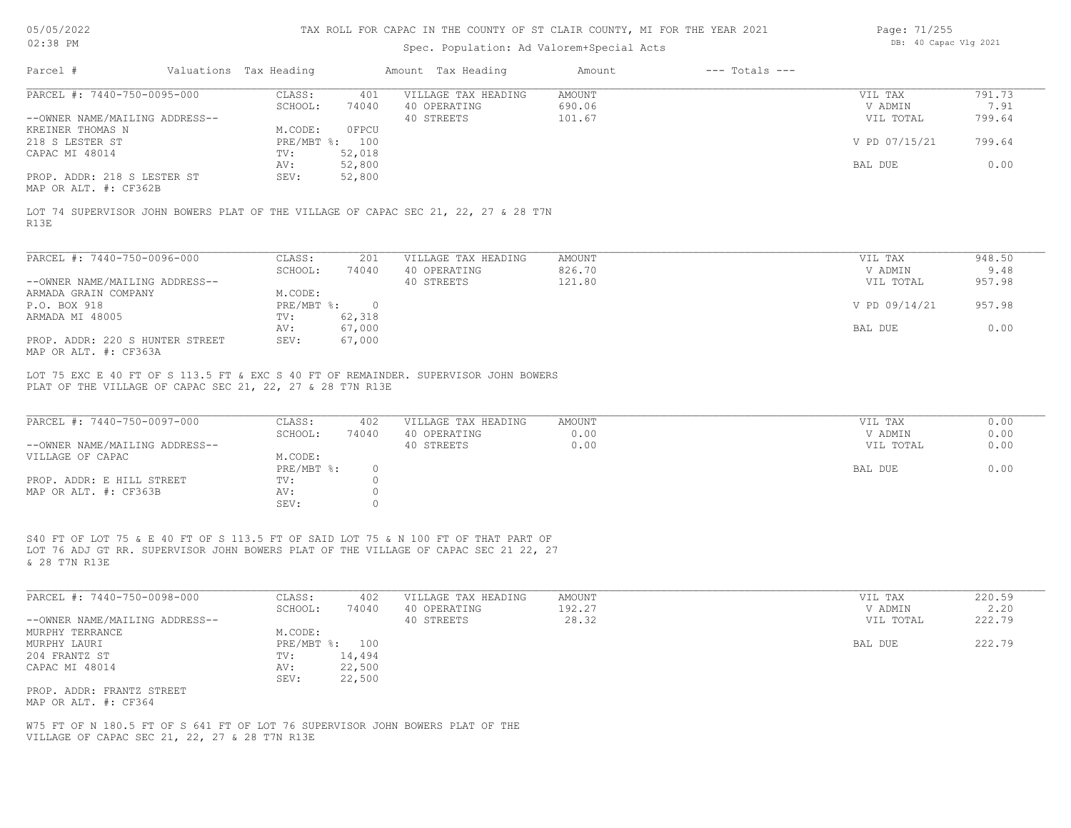| 05/05/2022 |  |
|------------|--|
| 02.38 PM   |  |

# Spec. Population: Ad Valorem+Special Acts

| Page: 71/255 |                       |  |
|--------------|-----------------------|--|
|              | DB: 40 Capac Vlg 2021 |  |

| PARCEL #: 7440-750-0095-000                                                                                                                                                                | CLASS:<br>401                                                                       | VILLAGE TAX HEADING                               | AMOUNT                        | VIL TAX                                    | 791.73                       |
|--------------------------------------------------------------------------------------------------------------------------------------------------------------------------------------------|-------------------------------------------------------------------------------------|---------------------------------------------------|-------------------------------|--------------------------------------------|------------------------------|
|                                                                                                                                                                                            | SCHOOL:<br>74040                                                                    | 40 OPERATING                                      | 690.06                        | V ADMIN                                    | 7.91                         |
| --OWNER NAME/MAILING ADDRESS--                                                                                                                                                             |                                                                                     | 40 STREETS                                        | 101.67                        | VIL TOTAL                                  | 799.64                       |
| KREINER THOMAS N                                                                                                                                                                           | OFPCU<br>M.CODE:                                                                    |                                                   |                               |                                            |                              |
| 218 S LESTER ST                                                                                                                                                                            | PRE/MBT %: 100                                                                      |                                                   |                               | V PD 07/15/21                              | 799.64                       |
| CAPAC MI 48014                                                                                                                                                                             | TV:<br>52,018                                                                       |                                                   |                               |                                            |                              |
|                                                                                                                                                                                            | 52,800<br>AV:                                                                       |                                                   |                               | BAL DUE                                    | 0.00                         |
| PROP. ADDR: 218 S LESTER ST<br>MAP OR ALT. #: CF362B                                                                                                                                       | 52,800<br>SEV:                                                                      |                                                   |                               |                                            |                              |
| LOT 74 SUPERVISOR JOHN BOWERS PLAT OF THE VILLAGE OF CAPAC SEC 21, 22, 27 & 28 T7N<br>R13E                                                                                                 |                                                                                     |                                                   |                               |                                            |                              |
|                                                                                                                                                                                            |                                                                                     |                                                   |                               |                                            |                              |
| PARCEL #: 7440-750-0096-000                                                                                                                                                                | CLASS:<br>201<br>SCHOOL:<br>74040                                                   | VILLAGE TAX HEADING<br>40 OPERATING               | AMOUNT<br>826.70              | VIL TAX<br>V ADMIN                         | 948.50<br>9.48               |
| --OWNER NAME/MAILING ADDRESS--                                                                                                                                                             |                                                                                     | 40 STREETS                                        | 121.80                        | VIL TOTAL                                  | 957.98                       |
| ARMADA GRAIN COMPANY                                                                                                                                                                       | M.CODE:                                                                             |                                                   |                               |                                            |                              |
| P.O. BOX 918                                                                                                                                                                               | PRE/MBT %: 0                                                                        |                                                   |                               | V PD 09/14/21                              | 957.98                       |
| ARMADA MI 48005                                                                                                                                                                            | 62,318<br>TV:                                                                       |                                                   |                               |                                            |                              |
|                                                                                                                                                                                            | 67,000<br>AV:                                                                       |                                                   |                               | BAL DUE                                    | 0.00                         |
| PROP. ADDR: 220 S HUNTER STREET<br>MAP OR ALT. #: CF363A                                                                                                                                   | 67,000<br>SEV:                                                                      |                                                   |                               |                                            |                              |
| PLAT OF THE VILLAGE OF CAPAC SEC 21, 22, 27 & 28 T7N R13E                                                                                                                                  | LOT 75 EXC E 40 FT OF S 113.5 FT & EXC S 40 FT OF REMAINDER. SUPERVISOR JOHN BOWERS |                                                   |                               |                                            |                              |
| PARCEL #: 7440-750-0097-000<br>--OWNER NAME/MAILING ADDRESS--<br>VILLAGE OF CAPAC                                                                                                          | CLASS:<br>402<br>SCHOOL:<br>74040<br>M.CODE:<br>PRE/MBT %:<br>$\circ$               | VILLAGE TAX HEADING<br>40 OPERATING<br>40 STREETS | <b>AMOUNT</b><br>0.00<br>0.00 | VIL TAX<br>V ADMIN<br>VIL TOTAL<br>BAL DUE | 0.00<br>0.00<br>0.00<br>0.00 |
| PROP. ADDR: E HILL STREET<br>MAP OR ALT. #: CF363B                                                                                                                                         | $\circ$<br>TV:<br>$\circ$<br>AV:<br>SEV:<br>$\circ$                                 |                                                   |                               |                                            |                              |
| S40 FT OF LOT 75 & E 40 FT OF S 113.5 FT OF SAID LOT 75 & N 100 FT OF THAT PART OF<br>LOT 76 ADJ GT RR. SUPERVISOR JOHN BOWERS PLAT OF THE VILLAGE OF CAPAC SEC 21 22, 27<br>& 28 T7N R13E |                                                                                     |                                                   |                               |                                            |                              |
| PARCEL #: 7440-750-0098-000                                                                                                                                                                | CLASS:<br>402                                                                       | VILLAGE TAX HEADING                               | AMOUNT                        | VIL TAX                                    | 220.59                       |
|                                                                                                                                                                                            | SCHOOL:<br>74040                                                                    | 40 OPERATING                                      | 192.27                        | V ADMIN                                    | 2.20                         |
| --OWNER NAME/MAILING ADDRESS--<br>MURPHY TERRANCE                                                                                                                                          | M.CODE:                                                                             | 40 STREETS                                        | 28.32                         | VIL TOTAL                                  | 222.79                       |
| MURPHY LAURI                                                                                                                                                                               | PRE/MBT %: 100                                                                      |                                                   |                               | BAL DUE                                    | 222.79                       |
| 204 FRANTZ ST                                                                                                                                                                              | 14,494<br>TV:                                                                       |                                                   |                               |                                            |                              |
| CAPAC MI 48014                                                                                                                                                                             | 22,500<br>AV:                                                                       |                                                   |                               |                                            |                              |
|                                                                                                                                                                                            | SEV:<br>22,500                                                                      |                                                   |                               |                                            |                              |
| PROP. ADDR: FRANTZ STREET                                                                                                                                                                  |                                                                                     |                                                   |                               |                                            |                              |
| MAP OR ALT. #: CF364                                                                                                                                                                       |                                                                                     |                                                   |                               |                                            |                              |
| W75 FT OF N 180.5 FT OF S 641 FT OF LOT 76 SUPERVISOR JOHN BOWERS PLAT OF THE                                                                                                              |                                                                                     |                                                   |                               |                                            |                              |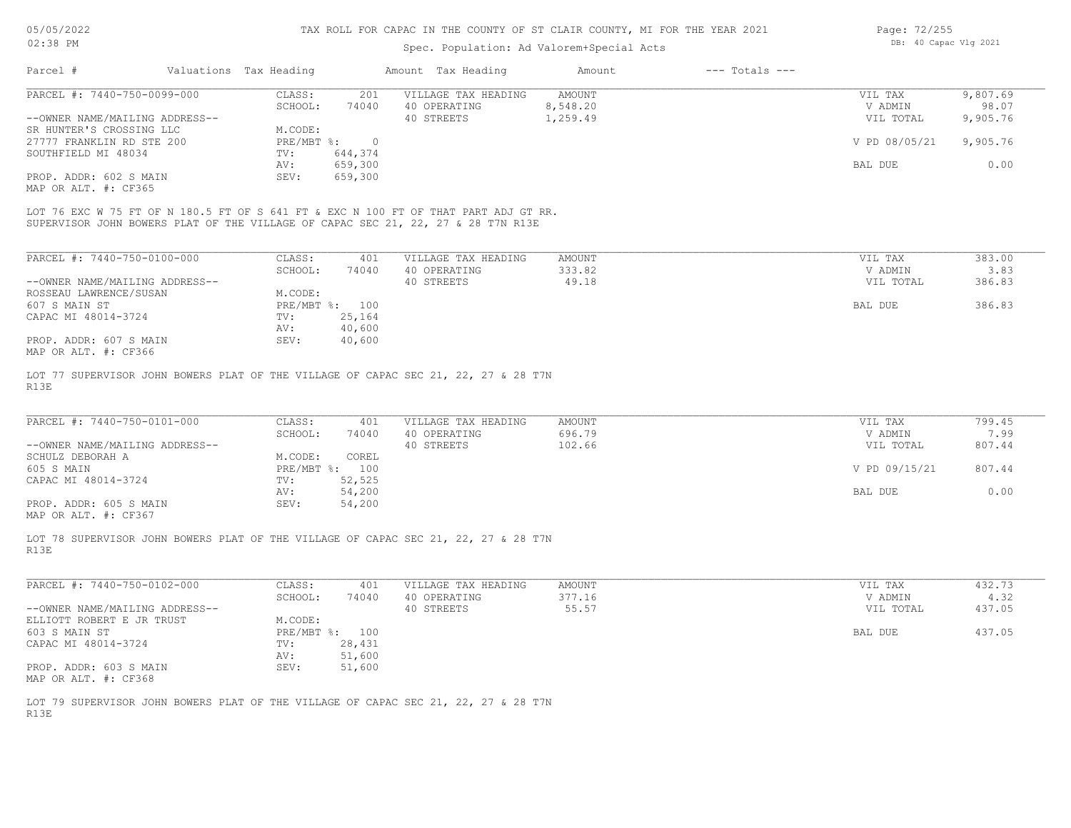#### Spec. Population: Ad Valorem+Special Acts

| Page: 72/255 |                       |  |
|--------------|-----------------------|--|
|              | DB: 40 Capac Vlg 2021 |  |

| Parcel #                       | Valuations Tax Heading |         | Amount Tax Heading  | Amount   | $---$ Totals $---$ |               |          |
|--------------------------------|------------------------|---------|---------------------|----------|--------------------|---------------|----------|
| PARCEL #: 7440-750-0099-000    | CLASS:                 | 201     | VILLAGE TAX HEADING | AMOUNT   |                    | VIL TAX       | 9,807.69 |
|                                | SCHOOL:                | 74040   | 40 OPERATING        | 8,548.20 |                    | V ADMIN       | 98.07    |
| --OWNER NAME/MAILING ADDRESS-- |                        |         | 40 STREETS          | 1,259.49 |                    | VIL TOTAL     | 9,905.76 |
| SR HUNTER'S CROSSING LLC       | M.CODE:                |         |                     |          |                    |               |          |
| 27777 FRANKLIN RD STE 200      | PRE/MBT %:             |         |                     |          |                    | V PD 08/05/21 | 9,905.76 |
| SOUTHFIELD MI 48034            | TV:                    | 644,374 |                     |          |                    |               |          |
|                                | AV:                    | 659,300 |                     |          |                    | BAL DUE       | 0.00     |
| PROP. ADDR: 602 S MAIN         | SEV:                   | 659,300 |                     |          |                    |               |          |
| MAP OR ALT. #: CF365           |                        |         |                     |          |                    |               |          |
|                                |                        |         |                     |          |                    |               |          |

SUPERVISOR JOHN BOWERS PLAT OF THE VILLAGE OF CAPAC SEC 21, 22, 27 & 28 T7N R13E LOT 76 EXC W 75 FT OF N 180.5 FT OF S 641 FT & EXC N 100 FT OF THAT PART ADJ GT RR.

| PARCEL #: 7440-750-0100-000    | CLASS:       | 401    | VILLAGE TAX HEADING | AMOUNT | 383.00<br>VIL TAX   |
|--------------------------------|--------------|--------|---------------------|--------|---------------------|
|                                | SCHOOL:      | 74040  | 40 OPERATING        | 333.82 | 3.83<br>V ADMIN     |
| --OWNER NAME/MAILING ADDRESS-- |              |        | 40 STREETS          | 49.18  | 386.83<br>VIL TOTAL |
| ROSSEAU LAWRENCE/SUSAN         | M.CODE:      |        |                     |        |                     |
| 607 S MAIN ST                  | $PRE/MBT$ %: | 100    |                     |        | 386.83<br>BAL DUE   |
| CAPAC MI 48014-3724            | TV:          | 25,164 |                     |        |                     |
|                                | AV:          | 40,600 |                     |        |                     |
| PROP. ADDR: 607 S MAIN         | SEV:         | 40,600 |                     |        |                     |
| MAP OR ALT. #: CF366           |              |        |                     |        |                     |

R13E LOT 77 SUPERVISOR JOHN BOWERS PLAT OF THE VILLAGE OF CAPAC SEC 21, 22, 27 & 28 T7N

| PARCEL #: 7440-750-0101-000    | CLASS:  | 401            | VILLAGE TAX HEADING | AMOUNT | VIL TAX       | 799.45 |
|--------------------------------|---------|----------------|---------------------|--------|---------------|--------|
|                                | SCHOOL: | 74040          | 40 OPERATING        | 696.79 | V ADMIN       | 7.99   |
| --OWNER NAME/MAILING ADDRESS-- |         |                | 40 STREETS          | 102.66 | VIL TOTAL     | 807.44 |
| SCHULZ DEBORAH A               | M.CODE: | COREL          |                     |        |               |        |
| 605 S MAIN                     |         | PRE/MBT %: 100 |                     |        | V PD 09/15/21 | 807.44 |
| CAPAC MI 48014-3724            | TV:     | 52,525         |                     |        |               |        |
|                                | AV:     | 54,200         |                     |        | BAL DUE       | 0.00   |
| PROP. ADDR: 605 S MAIN         | SEV:    | 54,200         |                     |        |               |        |
|                                |         |                |                     |        |               |        |

MAP OR ALT. #: CF367

R13E LOT 78 SUPERVISOR JOHN BOWERS PLAT OF THE VILLAGE OF CAPAC SEC 21, 22, 27 & 28 T7N

| PARCEL #: 7440-750-0102-000    | CLASS:       | 401    | VILLAGE TAX HEADING | AMOUNT | VIL TAX   | 432.73 |
|--------------------------------|--------------|--------|---------------------|--------|-----------|--------|
|                                | SCHOOL:      | 74040  | 40 OPERATING        | 377.16 | V ADMIN   | 4.32   |
| --OWNER NAME/MAILING ADDRESS-- |              |        | 40 STREETS          | 55.57  | VIL TOTAL | 437.05 |
| ELLIOTT ROBERT E JR TRUST      | M.CODE:      |        |                     |        |           |        |
| 603 S MAIN ST                  | $PRE/MBT$ %: | 100    |                     |        | BAL DUE   | 437.05 |
| CAPAC MI 48014-3724            | TV:          | 28,431 |                     |        |           |        |
|                                | AV:          | 51,600 |                     |        |           |        |
| PROP. ADDR: 603 S MAIN         | SEV:         | 51,600 |                     |        |           |        |
| MAP OR ALT. #: CF368           |              |        |                     |        |           |        |

R13E LOT 79 SUPERVISOR JOHN BOWERS PLAT OF THE VILLAGE OF CAPAC SEC 21, 22, 27 & 28 T7N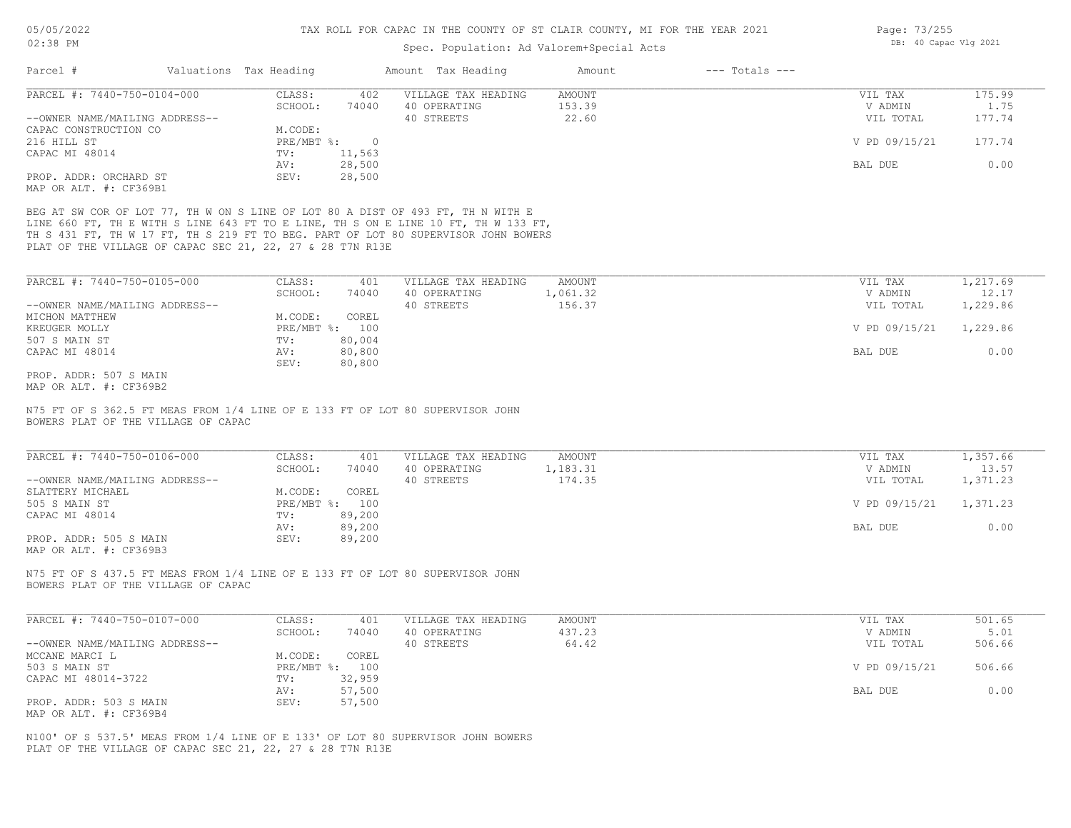# Spec. Population: Ad Valorem+Special Acts

| Page: 73/255 |                       |  |
|--------------|-----------------------|--|
|              | DB: 40 Capac Vlg 2021 |  |

|                                                               | Valuations Tax Heading                                                                                                                                                                                                                                                                                                   |                         | Amount Tax Heading                                | Amount                           | $---$ Totals $---$ |                                 |                          |
|---------------------------------------------------------------|--------------------------------------------------------------------------------------------------------------------------------------------------------------------------------------------------------------------------------------------------------------------------------------------------------------------------|-------------------------|---------------------------------------------------|----------------------------------|--------------------|---------------------------------|--------------------------|
| PARCEL #: 7440-750-0104-000<br>--OWNER NAME/MAILING ADDRESS-- | CLASS:<br>SCHOOL:                                                                                                                                                                                                                                                                                                        | 402<br>74040            | VILLAGE TAX HEADING<br>40 OPERATING<br>40 STREETS | <b>AMOUNT</b><br>153.39<br>22.60 |                    | VIL TAX<br>V ADMIN<br>VIL TOTAL | 175.99<br>1.75<br>177.74 |
| CAPAC CONSTRUCTION CO<br>216 HILL ST                          | M.CODE:                                                                                                                                                                                                                                                                                                                  | PRE/MBT %: 0            |                                                   |                                  |                    | V PD 09/15/21                   | 177.74                   |
| CAPAC MI 48014                                                | TV:<br>AV:                                                                                                                                                                                                                                                                                                               | 11,563<br>28,500        |                                                   |                                  |                    | BAL DUE                         | 0.00                     |
| PROP. ADDR: ORCHARD ST<br>MAP OR ALT. #: CF369B1              | SEV:                                                                                                                                                                                                                                                                                                                     | 28,500                  |                                                   |                                  |                    |                                 |                          |
|                                                               | BEG AT SW COR OF LOT 77, TH W ON S LINE OF LOT 80 A DIST OF 493 FT, TH N WITH E<br>LINE 660 FT, TH E WITH S LINE 643 FT TO E LINE, TH S ON E LINE 10 FT, TH W 133 FT,<br>TH S 431 FT, TH W 17 FT, TH S 219 FT TO BEG. PART OF LOT 80 SUPERVISOR JOHN BOWERS<br>PLAT OF THE VILLAGE OF CAPAC SEC 21, 22, 27 & 28 T7N R13E |                         |                                                   |                                  |                    |                                 |                          |
| PARCEL #: 7440-750-0105-000                                   | CLASS:                                                                                                                                                                                                                                                                                                                   | 401                     | VILLAGE TAX HEADING                               | AMOUNT                           |                    | VIL TAX                         | 1,217.69                 |
|                                                               | SCHOOL:                                                                                                                                                                                                                                                                                                                  | 74040                   | 40 OPERATING                                      | 1,061.32                         |                    | V ADMIN                         | 12.17                    |
| --OWNER NAME/MAILING ADDRESS--<br>MICHON MATTHEW              | M.CODE:                                                                                                                                                                                                                                                                                                                  | COREL                   | 40 STREETS                                        | 156.37                           |                    | VIL TOTAL                       | 1,229.86                 |
| KREUGER MOLLY                                                 |                                                                                                                                                                                                                                                                                                                          | PRE/MBT %: 100          |                                                   |                                  |                    | V PD 09/15/21                   | 1,229.86                 |
| 507 S MAIN ST                                                 | TV:                                                                                                                                                                                                                                                                                                                      | 80,004                  |                                                   |                                  |                    |                                 |                          |
| CAPAC MI 48014                                                | AV:                                                                                                                                                                                                                                                                                                                      | 80,800                  |                                                   |                                  |                    | BAL DUE                         | 0.00                     |
| PROP. ADDR: 507 S MAIN<br>MAP OR ALT. #: CF369B2              | SEV:                                                                                                                                                                                                                                                                                                                     | 80,800                  |                                                   |                                  |                    |                                 |                          |
|                                                               | N75 FT OF S 362.5 FT MEAS FROM 1/4 LINE OF E 133 FT OF LOT 80 SUPERVISOR JOHN                                                                                                                                                                                                                                            |                         |                                                   |                                  |                    |                                 |                          |
| BOWERS PLAT OF THE VILLAGE OF CAPAC                           |                                                                                                                                                                                                                                                                                                                          |                         |                                                   |                                  |                    |                                 |                          |
| PARCEL #: 7440-750-0106-000                                   | CLASS:                                                                                                                                                                                                                                                                                                                   | 401                     | VILLAGE TAX HEADING                               | AMOUNT                           |                    | VIL TAX                         | 1,357.66                 |
|                                                               | SCHOOL:                                                                                                                                                                                                                                                                                                                  | 74040                   | 40 OPERATING                                      | 1,183.31<br>174.35               |                    | V ADMIN                         | 13.57                    |
| --OWNER NAME/MAILING ADDRESS--<br>SLATTERY MICHAEL            | M.CODE:                                                                                                                                                                                                                                                                                                                  | COREL                   | 40 STREETS                                        |                                  |                    | VIL TOTAL                       | 1,371.23                 |
| 505 S MAIN ST                                                 |                                                                                                                                                                                                                                                                                                                          | PRE/MBT %: 100          |                                                   |                                  |                    | V PD 09/15/21                   | 1,371.23                 |
| CAPAC MI 48014                                                | TV:                                                                                                                                                                                                                                                                                                                      | 89,200                  |                                                   |                                  |                    |                                 |                          |
| PROP. ADDR: 505 S MAIN<br>MAP OR ALT. #: CF369B3              | AV:<br>SEV:                                                                                                                                                                                                                                                                                                              | 89,200<br>89,200        |                                                   |                                  |                    | BAL DUE                         | 0.00                     |
| BOWERS PLAT OF THE VILLAGE OF CAPAC                           | N75 FT OF S 437.5 FT MEAS FROM 1/4 LINE OF E 133 FT OF LOT 80 SUPERVISOR JOHN                                                                                                                                                                                                                                            |                         |                                                   |                                  |                    |                                 |                          |
| PARCEL #: 7440-750-0107-000                                   | CLASS:                                                                                                                                                                                                                                                                                                                   | 401                     | VILLAGE TAX HEADING                               | AMOUNT                           |                    | VIL TAX                         | 501.65                   |
|                                                               | SCHOOL:                                                                                                                                                                                                                                                                                                                  | 74040                   | 40 OPERATING                                      | 437.23                           |                    | V ADMIN                         | 5.01                     |
| --OWNER NAME/MAILING ADDRESS--                                |                                                                                                                                                                                                                                                                                                                          |                         | 40 STREETS                                        | 64.42                            |                    | VIL TOTAL                       | 506.66                   |
| MCCANE MARCI L<br>503 S MAIN ST                               | M.CODE:                                                                                                                                                                                                                                                                                                                  | COREL<br>PRE/MBT %: 100 |                                                   |                                  |                    | V PD 09/15/21                   | 506.66                   |
| CAPAC MI 48014-3722                                           | TV:                                                                                                                                                                                                                                                                                                                      | 32,959                  |                                                   |                                  |                    |                                 |                          |
|                                                               | AV:                                                                                                                                                                                                                                                                                                                      | 57,500                  |                                                   |                                  |                    | BAL DUE                         | 0.00                     |
| PROP. ADDR: 503 S MAIN<br>MAP OR ALT. #: CF369B4              | SEV:                                                                                                                                                                                                                                                                                                                     | 57,500                  |                                                   |                                  |                    |                                 |                          |

PLAT OF THE VILLAGE OF CAPAC SEC 21, 22, 27 & 28 T7N R13E N100' OF S 537.5' MEAS FROM 1/4 LINE OF E 133' OF LOT 80 SUPERVISOR JOHN BOWERS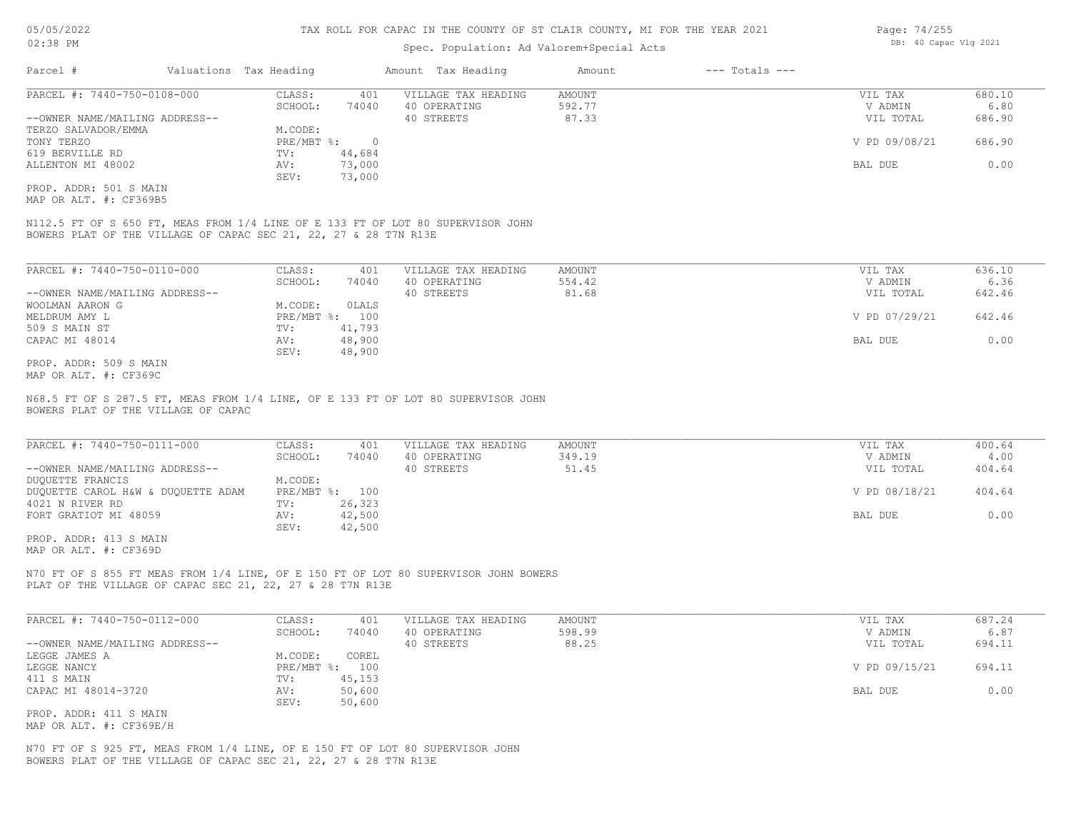#### Spec. Population: Ad Valorem+Special Acts

| Parcel #                       | Valuations Tax Heading |        | Amount Tax Heading  | Amount | $---$ Totals $---$ |               |        |
|--------------------------------|------------------------|--------|---------------------|--------|--------------------|---------------|--------|
| PARCEL #: 7440-750-0108-000    | CLASS:                 | 401    | VILLAGE TAX HEADING | AMOUNT |                    | VIL TAX       | 680.10 |
|                                | SCHOOL:                | 74040  | 40 OPERATING        | 592.77 |                    | V ADMIN       | 6.80   |
| --OWNER NAME/MAILING ADDRESS-- |                        |        | 40 STREETS          | 87.33  |                    | VIL TOTAL     | 686.90 |
| TERZO SALVADOR/EMMA            | M.CODE:                |        |                     |        |                    |               |        |
| TONY TERZO                     | $PRE/MBT$ %:           |        |                     |        |                    | V PD 09/08/21 | 686.90 |
| 619 BERVILLE RD                | TV:                    | 44,684 |                     |        |                    |               |        |
| ALLENTON MI 48002              | AV:                    | 73,000 |                     |        |                    | BAL DUE       | 0.00   |
|                                | SEV:                   | 73,000 |                     |        |                    |               |        |
| PROP, ADDR: 501 S MAIN         |                        |        |                     |        |                    |               |        |

MAP OR ALT. #: CF369B5

BOWERS PLAT OF THE VILLAGE OF CAPAC SEC 21, 22, 27 & 28 T7N R13E N112.5 FT OF S 650 FT, MEAS FROM 1/4 LINE OF E 133 FT OF LOT 80 SUPERVISOR JOHN

| PARCEL #: 7440-750-0110-000    | CLASS:       | 401    | VILLAGE TAX HEADING | AMOUNT | VIL TAX       | 636.10 |
|--------------------------------|--------------|--------|---------------------|--------|---------------|--------|
|                                | SCHOOL:      | 74040  | 40 OPERATING        | 554.42 | V ADMIN       | 6.36   |
| --OWNER NAME/MAILING ADDRESS-- |              |        | 40 STREETS          | 81.68  | VIL TOTAL     | 642.46 |
| WOOLMAN AARON G                | M.CODE:      | OLALS  |                     |        |               |        |
| MELDRUM AMY L                  | $PRE/MBT$ %: | 100    |                     |        | V PD 07/29/21 | 642.46 |
| 509 S MAIN ST                  | TV:          | 41,793 |                     |        |               |        |
| CAPAC MI 48014                 | AV:          | 48,900 |                     |        | BAL DUE       | 0.00   |
|                                | SEV:         | 48,900 |                     |        |               |        |
| PROP. ADDR: 509 S MAIN         |              |        |                     |        |               |        |

MAP OR ALT. #: CF369C

BOWERS PLAT OF THE VILLAGE OF CAPAC N68.5 FT OF S 287.5 FT, MEAS FROM 1/4 LINE, OF E 133 FT OF LOT 80 SUPERVISOR JOHN

| PARCEL #: 7440-750-0111-000        | CLASS:       | 401    | VILLAGE TAX HEADING | AMOUNT | VIL TAX       | 400.64 |
|------------------------------------|--------------|--------|---------------------|--------|---------------|--------|
|                                    | SCHOOL:      | 74040  | 40 OPERATING        | 349.19 | V ADMIN       | 4.00   |
| --OWNER NAME/MAILING ADDRESS--     |              |        | 40 STREETS          | 51.45  | VIL TOTAL     | 404.64 |
| DUQUETTE FRANCIS                   | M.CODE:      |        |                     |        |               |        |
| DUQUETTE CAROL H&W & DUQUETTE ADAM | $PRE/MBT$ %: | 100    |                     |        | V PD 08/18/21 | 404.64 |
| 4021 N RIVER RD                    | TV:          | 26,323 |                     |        |               |        |
| FORT GRATIOT MI 48059              | AV:          | 42,500 |                     |        | BAL DUE       | 0.00   |
|                                    | SEV:         | 42,500 |                     |        |               |        |

MAP OR ALT. #: CF369D PROP. ADDR: 413 S MAIN

PLAT OF THE VILLAGE OF CAPAC SEC 21, 22, 27 & 28 T7N R13E N70 FT OF S 855 FT MEAS FROM 1/4 LINE, OF E 150 FT OF LOT 80 SUPERVISOR JOHN BOWERS

| PARCEL #: 7440-750-0112-000    | CLASS:       | 401    | VILLAGE TAX HEADING | AMOUNT | VIL TAX       | 687.24 |
|--------------------------------|--------------|--------|---------------------|--------|---------------|--------|
|                                | SCHOOL:      | 74040  | 40 OPERATING        | 598.99 | V ADMIN       | 6.87   |
| --OWNER NAME/MAILING ADDRESS-- |              |        | 40 STREETS          | 88.25  | VIL TOTAL     | 694.11 |
| LEGGE JAMES A                  | M.CODE:      | COREL  |                     |        |               |        |
| LEGGE NANCY                    | $PRE/MBT$ %: | 100    |                     |        | V PD 09/15/21 | 694.11 |
| 411 S MAIN                     | TV:          | 45,153 |                     |        |               |        |
| CAPAC MI 48014-3720            | AV:          | 50,600 |                     |        | BAL DUE       | 0.00   |
|                                | SEV:         | 50,600 |                     |        |               |        |
| PROP. ADDR: 411 S MAIN         |              |        |                     |        |               |        |

MAP OR ALT. #: CF369E/H

BOWERS PLAT OF THE VILLAGE OF CAPAC SEC 21, 22, 27 & 28 T7N R13E N70 FT OF S 925 FT, MEAS FROM 1/4 LINE, OF E 150 FT OF LOT 80 SUPERVISOR JOHN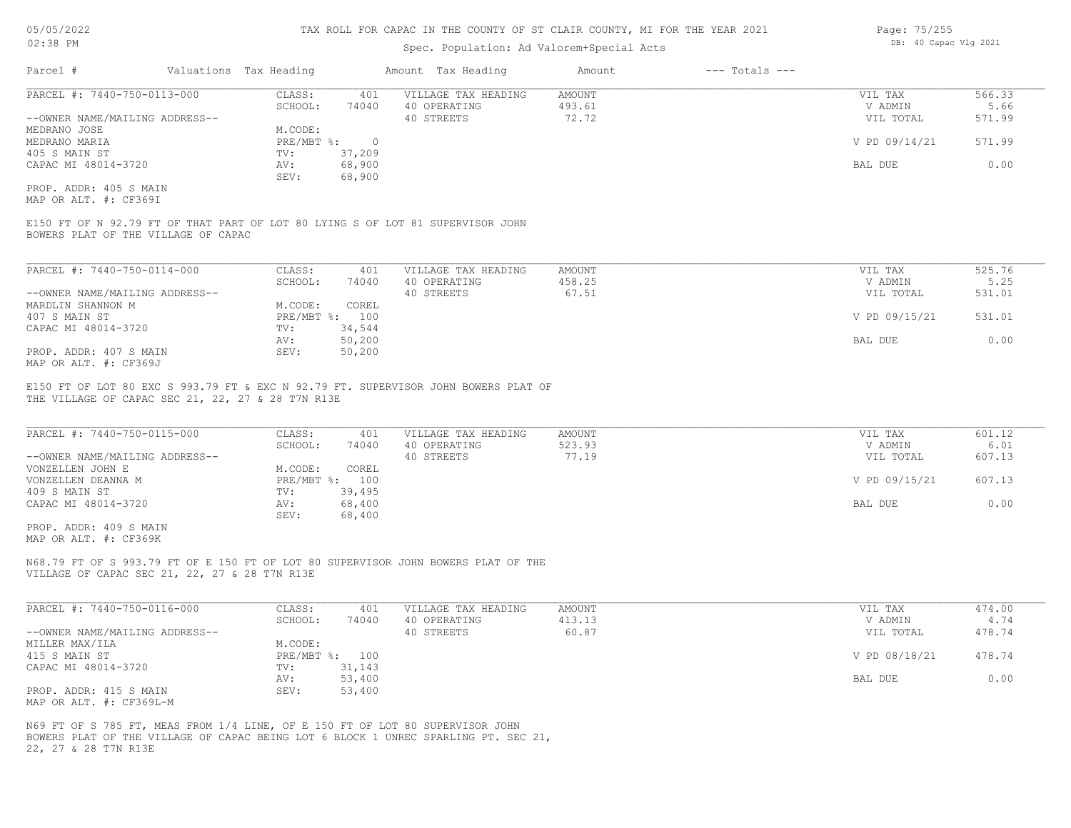#### Spec. Population: Ad Valorem+Special Acts

| Parcel #                       | Valuations Tax Heading |        | Amount Tax Heading  | Amount | $---$ Totals $---$ |               |        |
|--------------------------------|------------------------|--------|---------------------|--------|--------------------|---------------|--------|
| PARCEL #: 7440-750-0113-000    | CLASS:                 | 401    | VILLAGE TAX HEADING | AMOUNT |                    | VIL TAX       | 566.33 |
|                                | SCHOOL:                | 74040  | 40 OPERATING        | 493.61 |                    | V ADMIN       | 5.66   |
| --OWNER NAME/MAILING ADDRESS-- |                        |        | 40 STREETS          | 72.72  |                    | VIL TOTAL     | 571.99 |
| MEDRANO JOSE                   | M.CODE:                |        |                     |        |                    |               |        |
| MEDRANO MARIA                  | PRE/MBT %:             |        |                     |        |                    | V PD 09/14/21 | 571.99 |
| 405 S MAIN ST                  | TV:                    | 37,209 |                     |        |                    |               |        |
| CAPAC MI 48014-3720            | AV:                    | 68,900 |                     |        |                    | BAL DUE       | 0.00   |
|                                | SEV:                   | 68,900 |                     |        |                    |               |        |
| PROP. ADDR: 405 S MAIN         |                        |        |                     |        |                    |               |        |

MAP OR ALT. #: CF369I

BOWERS PLAT OF THE VILLAGE OF CAPAC E150 FT OF N 92.79 FT OF THAT PART OF LOT 80 LYING S OF LOT 81 SUPERVISOR JOHN

| PARCEL #: 7440-750-0114-000    | CLASS:  | 401            | VILLAGE TAX HEADING | AMOUNT | VIL TAX       | 525.76 |
|--------------------------------|---------|----------------|---------------------|--------|---------------|--------|
|                                | SCHOOL: | 74040          | 40 OPERATING        | 458.25 | V ADMIN       | 5.25   |
| --OWNER NAME/MAILING ADDRESS-- |         |                | 40 STREETS          | 67.51  | VIL TOTAL     | 531.01 |
| MARDLIN SHANNON M              | M.CODE: | COREL          |                     |        |               |        |
| 407 S MAIN ST                  |         | PRE/MBT %: 100 |                     |        | V PD 09/15/21 | 531.01 |
| CAPAC MI 48014-3720            | TV:     | 34,544         |                     |        |               |        |
|                                | AV:     | 50,200         |                     |        | BAL DUE       | 0.00   |
| PROP. ADDR: 407 S MAIN         | SEV:    | 50,200         |                     |        |               |        |
| MAP OR ALT. #: CF369J          |         |                |                     |        |               |        |

THE VILLAGE OF CAPAC SEC 21, 22, 27 & 28 T7N R13E E150 FT OF LOT 80 EXC S 993.79 FT & EXC N 92.79 FT. SUPERVISOR JOHN BOWERS PLAT OF

| PARCEL #: 7440-750-0115-000    | CLASS:  | 401            | VILLAGE TAX HEADING | AMOUNT | VIL TAX       | 601.12 |
|--------------------------------|---------|----------------|---------------------|--------|---------------|--------|
|                                | SCHOOL: | 74040          | 40 OPERATING        | 523.93 | V ADMIN       | 6.01   |
| --OWNER NAME/MAILING ADDRESS-- |         |                | 40 STREETS          | 77.19  | VIL TOTAL     | 607.13 |
| VONZELLEN JOHN E               | M.CODE: | COREL          |                     |        |               |        |
| VONZELLEN DEANNA M             |         | PRE/MBT %: 100 |                     |        | V PD 09/15/21 | 607.13 |
| 409 S MAIN ST                  | TV:     | 39,495         |                     |        |               |        |
| CAPAC MI 48014-3720            | AV:     | 68,400         |                     |        | BAL DUE       | 0.00   |
|                                | SEV:    | 68,400         |                     |        |               |        |
|                                |         |                |                     |        |               |        |

MAP OR ALT. #: CF369K PROP. ADDR: 409 S MAIN

VILLAGE OF CAPAC SEC 21, 22, 27 & 28 T7N R13E N68.79 FT OF S 993.79 FT OF E 150 FT OF LOT 80 SUPERVISOR JOHN BOWERS PLAT OF THE

| PARCEL #: 7440-750-0116-000    | CLASS:  | 401            | VILLAGE TAX HEADING | AMOUNT | VIL TAX       | 474.00 |
|--------------------------------|---------|----------------|---------------------|--------|---------------|--------|
|                                | SCHOOL: | 74040          | 40 OPERATING        | 413.13 | V ADMIN       | 4.74   |
| --OWNER NAME/MAILING ADDRESS-- |         |                | 40 STREETS          | 60.87  | VIL TOTAL     | 478.74 |
| MILLER MAX/ILA                 | M.CODE: |                |                     |        |               |        |
| 415 S MAIN ST                  |         | PRE/MBT %: 100 |                     |        | V PD 08/18/21 | 478.74 |
| CAPAC MI 48014-3720            | TV:     | 31,143         |                     |        |               |        |
|                                | AV:     | 53,400         |                     |        | BAL DUE       | 0.00   |
| PROP. ADDR: 415 S MAIN         | SEV:    | 53,400         |                     |        |               |        |
| MAP OR ALT. #: CF369L-M        |         |                |                     |        |               |        |

22, 27 & 28 T7N R13E BOWERS PLAT OF THE VILLAGE OF CAPAC BEING LOT 6 BLOCK 1 UNREC SPARLING PT. SEC 21, N69 FT OF S 785 FT, MEAS FROM 1/4 LINE, OF E 150 FT OF LOT 80 SUPERVISOR JOHN

Page: 75/255 DB: 40 Capac Vlg 2021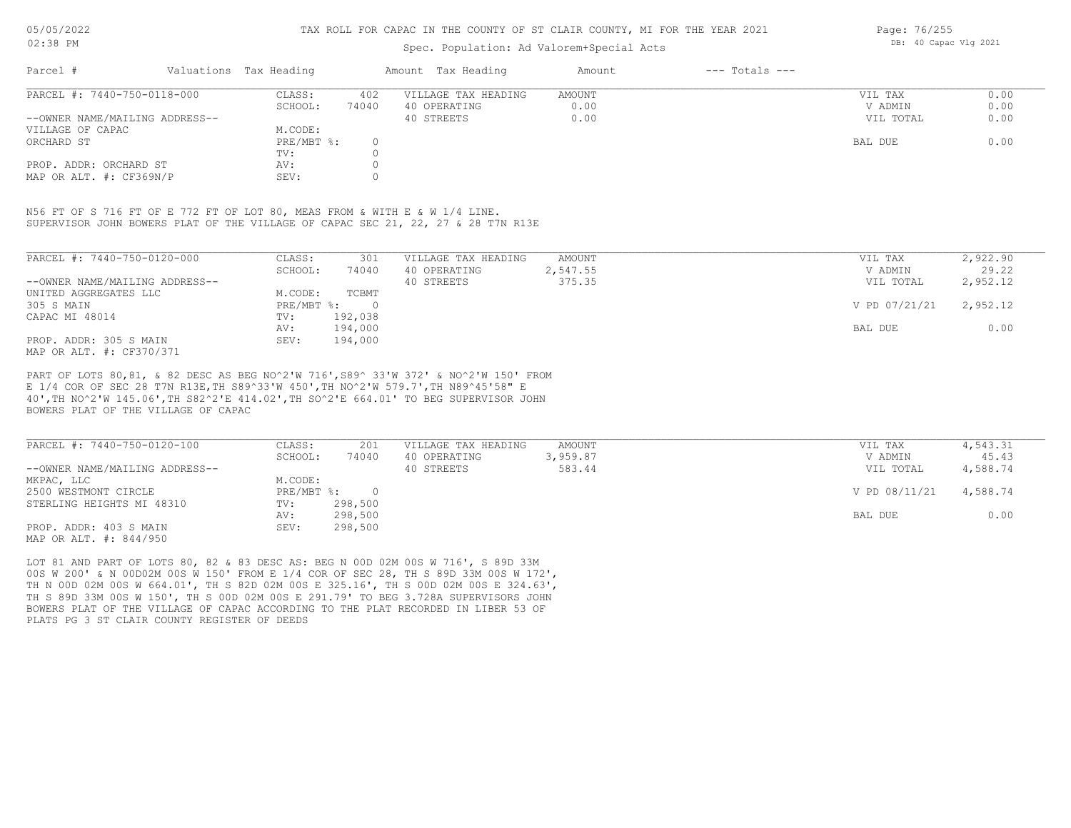#### Spec. Population: Ad Valorem+Special Acts

Page: 76/255 DB: 40 Capac Vlg 2021

| Parcel #                       | Valuations Tax Heading |       | Amount Tax Heading  | Amount | $---$ Totals $---$ |           |      |
|--------------------------------|------------------------|-------|---------------------|--------|--------------------|-----------|------|
| PARCEL #: 7440-750-0118-000    | CLASS:                 | 402   | VILLAGE TAX HEADING | AMOUNT |                    | VIL TAX   | 0.00 |
|                                | SCHOOL:                | 74040 | 40 OPERATING        | 0.00   |                    | V ADMIN   | 0.00 |
| --OWNER NAME/MAILING ADDRESS-- |                        |       | 40 STREETS          | 0.00   |                    | VIL TOTAL | 0.00 |
| VILLAGE OF CAPAC               | M.CODE:                |       |                     |        |                    |           |      |
| ORCHARD ST                     | PRE/MBT %:             |       |                     |        |                    | BAL DUE   | 0.00 |
|                                | TV:                    |       |                     |        |                    |           |      |
| PROP. ADDR: ORCHARD ST         | AV:                    |       |                     |        |                    |           |      |
| MAP OR ALT. #: CF369N/P        | SEV:                   |       |                     |        |                    |           |      |

SUPERVISOR JOHN BOWERS PLAT OF THE VILLAGE OF CAPAC SEC 21, 22, 27 & 28 T7N R13E N56 FT OF S 716 FT OF E 772 FT OF LOT 80, MEAS FROM & WITH E & W 1/4 LINE.

| PARCEL #: 7440-750-0120-000    | CLASS:     | 301<br>74040 | VILLAGE TAX HEADING | AMOUNT   | VIL TAX       | 2,922.90<br>29.22 |
|--------------------------------|------------|--------------|---------------------|----------|---------------|-------------------|
|                                | SCHOOL:    |              | 40 OPERATING        | 2,547.55 | V ADMIN       |                   |
| --OWNER NAME/MAILING ADDRESS-- |            |              | 40 STREETS          | 375.35   | VIL TOTAL     | 2,952.12          |
| UNITED AGGREGATES LLC          | M.CODE:    | TCBMT        |                     |          |               |                   |
| 305 S MAIN                     | PRE/MBT %: | $\Omega$     |                     |          | V PD 07/21/21 | 2,952.12          |
| CAPAC MI 48014                 | TV:        | 192,038      |                     |          |               |                   |
|                                | AV:        | 194,000      |                     |          | BAL DUE       | 0.00              |
| PROP. ADDR: 305 S MAIN         | SEV:       | 194,000      |                     |          |               |                   |
| MAP OR ALT. #: CF370/371       |            |              |                     |          |               |                   |

BOWERS PLAT OF THE VILLAGE OF CAPAC 40',TH NO^2'W 145.06',TH S82^2'E 414.02',TH SO^2'E 664.01' TO BEG SUPERVISOR JOHN E 1/4 COR OF SEC 28 T7N R13E,TH S89^33'W 450',TH NO^2'W 579.7',TH N89^45'58" E PART OF LOTS 80,81, & 82 DESC AS BEG NO^2'W 716',S89^ 33'W 372' & NO^2'W 150' FROM

| PARCEL #: 7440-750-0120-100    | CLASS:     | 201     | VILLAGE TAX HEADING | AMOUNT   | VIL TAX       | 4,543.31 |
|--------------------------------|------------|---------|---------------------|----------|---------------|----------|
|                                | SCHOOL:    | 74040   | 40 OPERATING        | 3,959.87 | V ADMIN       | 45.43    |
| --OWNER NAME/MAILING ADDRESS-- |            |         | 40 STREETS          | 583.44   | VIL TOTAL     | 4,588.74 |
| MKPAC, LLC                     | M.CODE:    |         |                     |          |               |          |
| 2500 WESTMONT CIRCLE           | PRE/MBT %: |         |                     |          | V PD 08/11/21 | 4,588.74 |
| STERLING HEIGHTS MI 48310      | TV:        | 298,500 |                     |          |               |          |
|                                | AV:        | 298,500 |                     |          | BAL DUE       | 0.00     |
| PROP. ADDR: 403 S MAIN         | SEV:       | 298,500 |                     |          |               |          |
| MAP OR ALT. #: 844/950         |            |         |                     |          |               |          |

PLATS PG 3 ST CLAIR COUNTY REGISTER OF DEEDS BOWERS PLAT OF THE VILLAGE OF CAPAC ACCORDING TO THE PLAT RECORDED IN LIBER 53 OF TH S 89D 33M 00S W 150', TH S 00D 02M 00S E 291.79' TO BEG 3.728A SUPERVISORS JOHN TH N 00D 02M 00S W 664.01', TH S 82D 02M 00S E 325.16', TH S 00D 02M 00S E 324.63', 00S W 200' & N 00D02M 00S W 150' FROM E 1/4 COR OF SEC 28, TH S 89D 33M 00S W 172', LOT 81 AND PART OF LOTS 80, 82 & 83 DESC AS: BEG N 00D 02M 00S W 716', S 89D 33M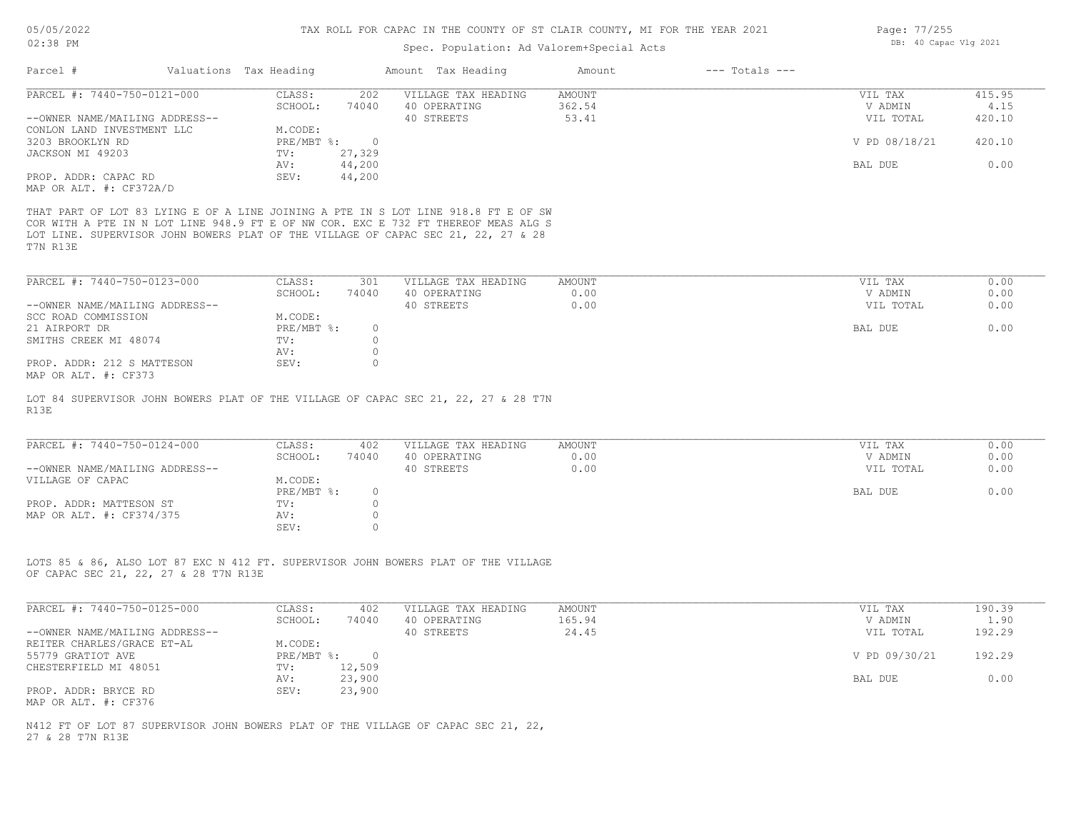# Spec. Population: Ad Valorem+Special Acts

| Parcel #                                           | Valuations Tax Heading |                             | Amount Tax Heading                                                                                                                                                                                                                                            | Amount        | $---$ Totals $---$ |               |        |
|----------------------------------------------------|------------------------|-----------------------------|---------------------------------------------------------------------------------------------------------------------------------------------------------------------------------------------------------------------------------------------------------------|---------------|--------------------|---------------|--------|
| PARCEL #: 7440-750-0121-000                        | CLASS:                 | 202                         | VILLAGE TAX HEADING                                                                                                                                                                                                                                           | AMOUNT        |                    | VIL TAX       | 415.95 |
|                                                    | SCHOOL:                | 74040                       | 40 OPERATING                                                                                                                                                                                                                                                  | 362.54        |                    | V ADMIN       | 4.15   |
| --OWNER NAME/MAILING ADDRESS--                     |                        |                             | 40 STREETS                                                                                                                                                                                                                                                    | 53.41         |                    | VIL TOTAL     | 420.10 |
| CONLON LAND INVESTMENT LLC                         | M.CODE:                |                             |                                                                                                                                                                                                                                                               |               |                    |               |        |
| 3203 BROOKLYN RD                                   |                        | PRE/MBT %: 0                |                                                                                                                                                                                                                                                               |               |                    | V PD 08/18/21 | 420.10 |
| JACKSON MI 49203                                   | TV:                    | 27,329                      |                                                                                                                                                                                                                                                               |               |                    |               |        |
|                                                    | AV:                    | 44,200                      |                                                                                                                                                                                                                                                               |               |                    | BAL DUE       | 0.00   |
| PROP. ADDR: CAPAC RD<br>MAP OR ALT. #: CF372A/D    | SEV:                   | 44,200                      |                                                                                                                                                                                                                                                               |               |                    |               |        |
| T7N R13E                                           |                        |                             | THAT PART OF LOT 83 LYING E OF A LINE JOINING A PTE IN S LOT LINE 918.8 FT E OF SW<br>COR WITH A PTE IN N LOT LINE 948.9 FT E OF NW COR. EXC E 732 FT THEREOF MEAS ALG S<br>LOT LINE. SUPERVISOR JOHN BOWERS PLAT OF THE VILLAGE OF CAPAC SEC 21, 22, 27 & 28 |               |                    |               |        |
| PARCEL #: 7440-750-0123-000                        | CLASS:                 | 301                         | VILLAGE TAX HEADING                                                                                                                                                                                                                                           | <b>AMOUNT</b> |                    | VIL TAX       | 0.00   |
|                                                    | SCHOOL:                | 74040                       | 40 OPERATING                                                                                                                                                                                                                                                  | 0.00          |                    | V ADMIN       | 0.00   |
| --OWNER NAME/MAILING ADDRESS--                     |                        |                             | 40 STREETS                                                                                                                                                                                                                                                    | 0.00          |                    | VIL TOTAL     | 0.00   |
| SCC ROAD COMMISSION                                | M.CODE:                |                             |                                                                                                                                                                                                                                                               |               |                    |               |        |
| 21 AIRPORT DR                                      | PRE/MBT %:             | $\circ$                     |                                                                                                                                                                                                                                                               |               |                    | BAL DUE       | 0.00   |
| SMITHS CREEK MI 48074                              | TV:                    | $\circ$                     |                                                                                                                                                                                                                                                               |               |                    |               |        |
|                                                    | AV:                    | $\circ$                     |                                                                                                                                                                                                                                                               |               |                    |               |        |
| PROP. ADDR: 212 S MATTESON<br>MAP OR ALT. #: CF373 | SEV:                   | $\circ$                     |                                                                                                                                                                                                                                                               |               |                    |               |        |
| PARCEL #: 7440-750-0124-000                        | CLASS:                 | 402                         | VILLAGE TAX HEADING                                                                                                                                                                                                                                           | AMOUNT        |                    | VIL TAX       | 0.00   |
|                                                    | SCHOOL:                | 74040                       | 40 OPERATING                                                                                                                                                                                                                                                  | 0.00          |                    | V ADMIN       | 0.00   |
| --OWNER NAME/MAILING ADDRESS--                     |                        |                             | 40 STREETS                                                                                                                                                                                                                                                    | 0.00          |                    | VIL TOTAL     | 0.00   |
| VILLAGE OF CAPAC                                   | M.CODE:                |                             |                                                                                                                                                                                                                                                               |               |                    |               |        |
|                                                    | PRE/MBT %:             | $\circ$                     |                                                                                                                                                                                                                                                               |               |                    | BAL DUE       | 0.00   |
| PROP. ADDR: MATTESON ST                            | TV:                    | $\circ$                     |                                                                                                                                                                                                                                                               |               |                    |               |        |
| MAP OR ALT. #: CF374/375                           | AV:<br>SEV:            | $\circ$<br>$\circ$          |                                                                                                                                                                                                                                                               |               |                    |               |        |
| OF CAPAC SEC 21, 22, 27 & 28 T7N R13E              |                        |                             | LOTS 85 & 86, ALSO LOT 87 EXC N 412 FT. SUPERVISOR JOHN BOWERS PLAT OF THE VILLAGE                                                                                                                                                                            |               |                    |               |        |
| PARCEL #: 7440-750-0125-000                        | CLASS:                 | 402                         | VILLAGE TAX HEADING                                                                                                                                                                                                                                           | AMOUNT        |                    | VIL TAX       | 190.39 |
|                                                    | SCHOOL:                | 74040                       | 40 OPERATING                                                                                                                                                                                                                                                  | 165.94        |                    | V ADMIN       | 1.90   |
| --OWNER NAME/MAILING ADDRESS--                     |                        |                             | 40 STREETS                                                                                                                                                                                                                                                    | 24.45         |                    | VIL TOTAL     | 192.29 |
| REITER CHARLES/GRACE ET-AL                         | M.CODE:                |                             |                                                                                                                                                                                                                                                               |               |                    |               |        |
| 55779 GRATIOT AVE                                  |                        | $PRE/MBT$ $\frac{1}{6}$ : 0 |                                                                                                                                                                                                                                                               |               |                    | V PD 09/30/21 | 192.29 |
| CHESTERFIELD MI 48051                              | TV:                    | 12,509                      |                                                                                                                                                                                                                                                               |               |                    |               |        |
|                                                    | AV:                    | 23,900                      |                                                                                                                                                                                                                                                               |               |                    | BAL DUE       | 0.00   |
| PROP. ADDR: BRYCE RD<br>MAP OR ALT. #: CF376       | SEV:                   | 23,900                      |                                                                                                                                                                                                                                                               |               |                    |               |        |
|                                                    |                        |                             | N412 FT OF LOT 87 SUPERVISOR JOHN BOWERS PLAT OF THE VILLAGE OF CAPAC SEC 21, 22,                                                                                                                                                                             |               |                    |               |        |

27 & 28 T7N R13E

Page: 77/255 DB: 40 Capac Vlg 2021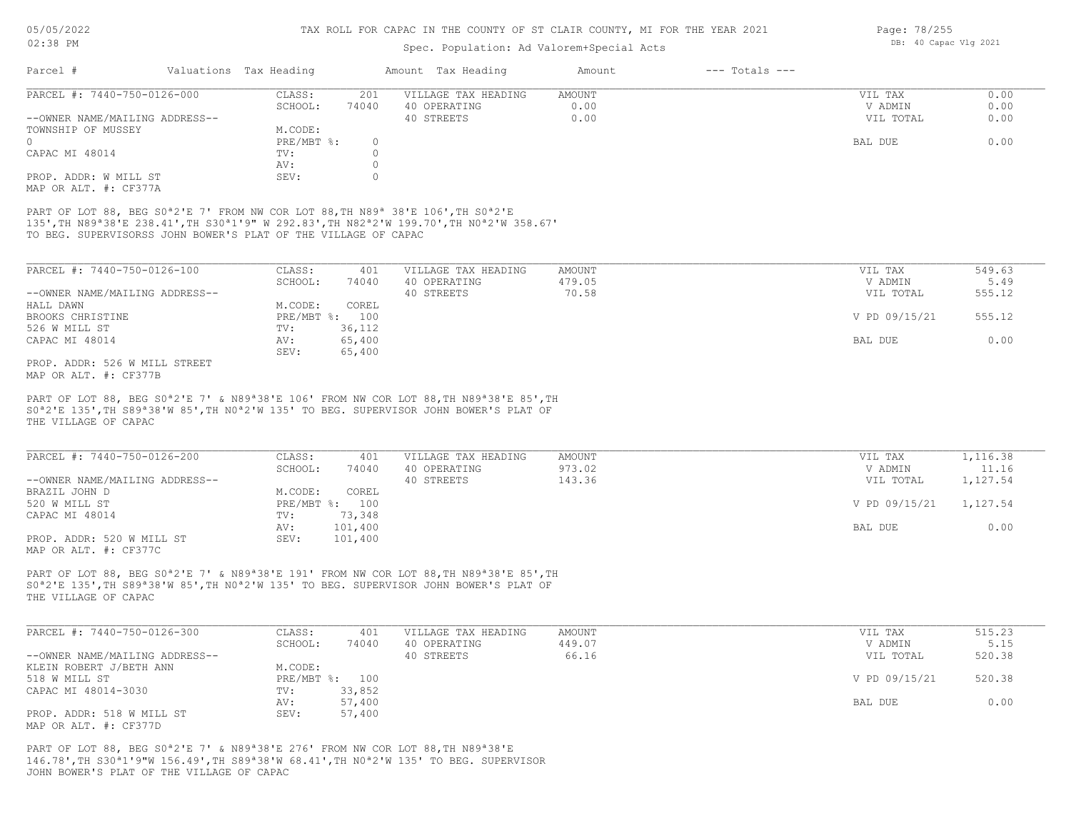#### Spec. Population: Ad Valorem+Special Acts

| Parcel #                       | Valuations Tax Heading |       | Amount Tax Heading  | Amount | $---$ Totals $---$ |           |      |
|--------------------------------|------------------------|-------|---------------------|--------|--------------------|-----------|------|
| PARCEL #: 7440-750-0126-000    | CLASS:                 | 201   | VILLAGE TAX HEADING | AMOUNT |                    | VIL TAX   | 0.00 |
|                                | SCHOOL:                | 74040 | 40 OPERATING        | 0.00   |                    | V ADMIN   | 0.00 |
| --OWNER NAME/MAILING ADDRESS-- |                        |       | 40 STREETS          | 0.00   |                    | VIL TOTAL | 0.00 |
| TOWNSHIP OF MUSSEY             | M.CODE:                |       |                     |        |                    |           |      |
| $\Omega$                       | PRE/MBT %:             |       |                     |        |                    | BAL DUE   | 0.00 |
| CAPAC MI 48014                 | TV:                    |       |                     |        |                    |           |      |
|                                | AV:                    |       |                     |        |                    |           |      |
| PROP. ADDR: W MILL ST          | SEV:                   |       |                     |        |                    |           |      |
| MAP OR ALT. #: CF377A          |                        |       |                     |        |                    |           |      |

TO BEG. SUPERVISORSS JOHN BOWER'S PLAT OF THE VILLAGE OF CAPAC 135',TH N89ª38'E 238.41',TH S30ª1'9" W 292.83',TH N82ª2'W 199.70',TH N0ª2'W 358.67' PART OF LOT 88, BEG S0<sup>ª</sup>2'E 7' FROM NW COR LOT 88, TH N89<sup>ª</sup> 38'E 106', TH S0<sup>ª2'E</sup>

| PARCEL #: 7440-750-0126-100    | CLASS:         | 401    | VILLAGE TAX HEADING | AMOUNT | VIL TAX       | 549.63 |
|--------------------------------|----------------|--------|---------------------|--------|---------------|--------|
|                                | SCHOOL:        | 74040  | 40 OPERATING        | 479.05 | V ADMIN       | 5.49   |
| --OWNER NAME/MAILING ADDRESS-- |                |        | 40 STREETS          | 70.58  | VIL TOTAL     | 555.12 |
| HALL DAWN                      | M.CODE:        | COREL  |                     |        |               |        |
| BROOKS CHRISTINE               | PRE/MBT %: 100 |        |                     |        | V PD 09/15/21 | 555.12 |
| 526 W MILL ST                  | TV:            | 36,112 |                     |        |               |        |
| CAPAC MI 48014                 | AV:            | 65,400 |                     |        | BAL DUE       | 0.00   |
|                                | SEV:           | 65,400 |                     |        |               |        |

MAP OR ALT. #: CF377B PROP. ADDR: 526 W MILL STREET

THE VILLAGE OF CAPAC S0ª2'E 135',TH S89ª38'W 85',TH N0ª2'W 135' TO BEG. SUPERVISOR JOHN BOWER'S PLAT OF PART OF LOT 88, BEG S0<sup>a</sup>2'E 7' & N89<sup>a</sup>38'E 106' FROM NW COR LOT 88, TH N89<sup>a</sup>38'E 85', TH

| PARCEL #: 7440-750-0126-200    | CLASS:  | 401            | VILLAGE TAX HEADING | AMOUNT | VIL TAX       | 1,116.38 |
|--------------------------------|---------|----------------|---------------------|--------|---------------|----------|
|                                | SCHOOL: | 74040          | 40 OPERATING        | 973.02 | V ADMIN       | 11.16    |
| --OWNER NAME/MAILING ADDRESS-- |         |                | 40 STREETS          | 143.36 | VIL TOTAL     | 1,127.54 |
| BRAZIL JOHN D                  | M.CODE: | COREL          |                     |        |               |          |
| 520 W MILL ST                  |         | PRE/MBT %: 100 |                     |        | V PD 09/15/21 | 1,127.54 |
| CAPAC MI 48014                 | TV:     | 73,348         |                     |        |               |          |
|                                | AV:     | 101,400        |                     |        | BAL DUE       | 0.00     |
| PROP. ADDR: 520 W MILL ST      | SEV:    | 101,400        |                     |        |               |          |
| MAP OR ALT. #: CF377C          |         |                |                     |        |               |          |

THE VILLAGE OF CAPAC S0ª2'E 135',TH S89ª38'W 85',TH N0ª2'W 135' TO BEG. SUPERVISOR JOHN BOWER'S PLAT OF PART OF LOT 88, BEG S0<sup>ª2'E</sup> 7' & N89<sup>ª38'E</sup> 191' FROM NW COR LOT 88, TH N89<sup>ª38'E</sup> 85', TH

| PARCEL #: 7440-750-0126-300    | CLASS:  | 401            | VILLAGE TAX HEADING | AMOUNT | VIL TAX       | 515.23 |
|--------------------------------|---------|----------------|---------------------|--------|---------------|--------|
|                                | SCHOOL: | 74040          | 40 OPERATING        | 449.07 | V ADMIN       | 5.15   |
| --OWNER NAME/MAILING ADDRESS-- |         |                | 40 STREETS          | 66.16  | VIL TOTAL     | 520.38 |
| KLEIN ROBERT J/BETH ANN        | M.CODE: |                |                     |        |               |        |
| 518 W MILL ST                  |         | PRE/MBT %: 100 |                     |        | V PD 09/15/21 | 520.38 |
| CAPAC MI 48014-3030            | TV:     | 33,852         |                     |        |               |        |
|                                | AV:     | 57,400         |                     |        | BAL DUE       | 0.00   |
| PROP. ADDR: 518 W MILL ST      | SEV:    | 57,400         |                     |        |               |        |
| MAP OR ALT. #: CF377D          |         |                |                     |        |               |        |

JOHN BOWER'S PLAT OF THE VILLAGE OF CAPAC 146.78',TH S30ª1'9"W 156.49',TH S89ª38'W 68.41',TH N0ª2'W 135' TO BEG. SUPERVISOR PART OF LOT 88, BEG S0ª2'E 7' & N89ª38'E 276' FROM NW COR LOT 88,TH N89ª38'E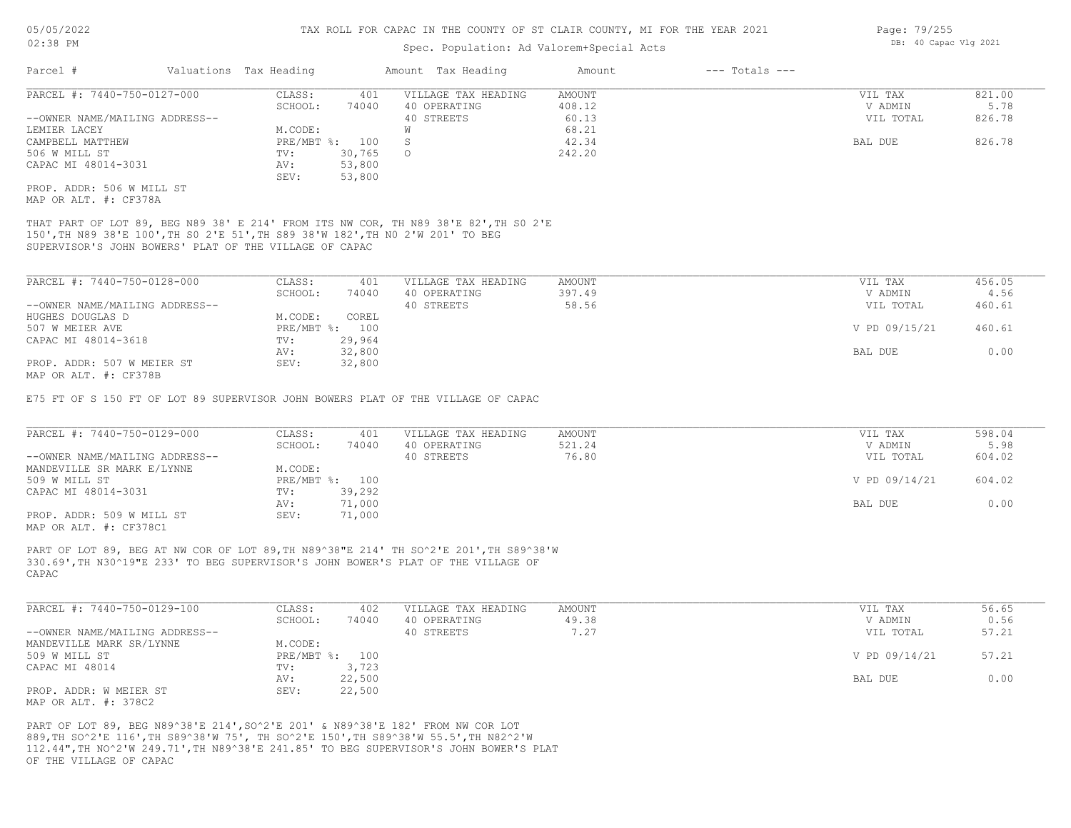#### Spec. Population: Ad Valorem+Special Acts

| Parcel #                       | Valuations Tax Heading |        | Amount Tax Heading  | Amount | $---$ Totals $---$ |           |        |
|--------------------------------|------------------------|--------|---------------------|--------|--------------------|-----------|--------|
| PARCEL #: 7440-750-0127-000    | CLASS:                 | 401    | VILLAGE TAX HEADING | AMOUNT |                    | VIL TAX   | 821.00 |
|                                | SCHOOL:                | 74040  | 40 OPERATING        | 408.12 |                    | V ADMIN   | 5.78   |
| --OWNER NAME/MAILING ADDRESS-- |                        |        | 40 STREETS          | 60.13  |                    | VIL TOTAL | 826.78 |
| LEMIER LACEY                   | M.CODE:                |        |                     | 68.21  |                    |           |        |
| CAMPBELL MATTHEW               | $PRE/MBT$ %:           | 100    |                     | 42.34  |                    | BAL DUE   | 826.78 |
| 506 W MILL ST                  | TV:                    | 30,765 | $\circ$             | 242.20 |                    |           |        |
| CAPAC MI 48014-3031            | AV:                    | 53,800 |                     |        |                    |           |        |
|                                | SEV:                   | 53,800 |                     |        |                    |           |        |
| PROP. ADDR: 506 W MILL ST      |                        |        |                     |        |                    |           |        |
| MAP OR ALT. #: CF378A          |                        |        |                     |        |                    |           |        |

SUPERVISOR'S JOHN BOWERS' PLAT OF THE VILLAGE OF CAPAC 150',TH N89 38'E 100',TH S0 2'E 51',TH S89 38'W 182',TH N0 2'W 201' TO BEG THAT PART OF LOT 89, BEG N89 38' E 214' FROM ITS NW COR, TH N89 38'E 82',TH S0 2'E

| PARCEL #: 7440-750-0128-000    | CLASS:     | 401    | VILLAGE TAX HEADING | AMOUNT | VIL TAX       | 456.05 |
|--------------------------------|------------|--------|---------------------|--------|---------------|--------|
|                                | SCHOOL:    | 74040  | 40 OPERATING        | 397.49 | V ADMIN       | 4.56   |
| --OWNER NAME/MAILING ADDRESS-- |            |        | 40 STREETS          | 58.56  | VIL TOTAL     | 460.61 |
| HUGHES DOUGLAS D               | M.CODE:    | COREL  |                     |        |               |        |
| 507 W MEIER AVE                | PRE/MBT %: | 100    |                     |        | V PD 09/15/21 | 460.61 |
| CAPAC MI 48014-3618            | TV:        | 29,964 |                     |        |               |        |
|                                | AV:        | 32,800 |                     |        | BAL DUE       | 0.00   |
| PROP. ADDR: 507 W MEIER ST     | SEV:       | 32,800 |                     |        |               |        |
| MAP OR ALT. #: CF378B          |            |        |                     |        |               |        |

E75 FT OF S 150 FT OF LOT 89 SUPERVISOR JOHN BOWERS PLAT OF THE VILLAGE OF CAPAC

| PARCEL #: 7440-750-0129-000    | CLASS:         | 401    | VILLAGE TAX HEADING | AMOUNT | VIL TAX       | 598.04 |
|--------------------------------|----------------|--------|---------------------|--------|---------------|--------|
|                                | SCHOOL:        | 74040  | 40 OPERATING        | 521.24 | V ADMIN       | 5.98   |
| --OWNER NAME/MAILING ADDRESS-- |                |        | 40 STREETS          | 76.80  | VIL TOTAL     | 604.02 |
| MANDEVILLE SR MARK E/LYNNE     | M.CODE:        |        |                     |        |               |        |
| 509 W MILL ST                  | PRE/MBT %: 100 |        |                     |        | V PD 09/14/21 | 604.02 |
| CAPAC MI 48014-3031            | TV:            | 39,292 |                     |        |               |        |
|                                | AV:            | 71,000 |                     |        | BAL DUE       | 0.00   |
| PROP. ADDR: 509 W MILL ST      | SEV:           | 71,000 |                     |        |               |        |
|                                |                |        |                     |        |               |        |

MAP OR ALT. #: CF378C1

CAPAC 330.69',TH N30^19"E 233' TO BEG SUPERVISOR'S JOHN BOWER'S PLAT OF THE VILLAGE OF PART OF LOT 89, BEG AT NW COR OF LOT 89,TH N89^38"E 214' TH SO^2'E 201',TH S89^38'W

| PARCEL #: 7440-750-0129-100    | CLASS:  | 402            | VILLAGE TAX HEADING | AMOUNT | VIL TAX       | 56.65 |
|--------------------------------|---------|----------------|---------------------|--------|---------------|-------|
|                                | SCHOOL: | 74040          | 40 OPERATING        | 49.38  | V ADMIN       | 0.56  |
| --OWNER NAME/MAILING ADDRESS-- |         |                | 40 STREETS          | 7.27   | VIL TOTAL     | 57.21 |
| MANDEVILLE MARK SR/LYNNE       | M.CODE: |                |                     |        |               |       |
| 509 W MILL ST                  |         | PRE/MBT %: 100 |                     |        | V PD 09/14/21 | 57.21 |
| CAPAC MI 48014                 | TV:     | 3,723          |                     |        |               |       |
|                                | AV:     | 22,500         |                     |        | BAL DUE       | 0.00  |
| PROP. ADDR: W MEIER ST         | SEV:    | 22,500         |                     |        |               |       |
| MAP OR ALT. #: 378C2           |         |                |                     |        |               |       |

OF THE VILLAGE OF CAPAC 112.44",TH NO^2'W 249.71',TH N89^38'E 241.85' TO BEG SUPERVISOR'S JOHN BOWER'S PLAT 889,TH SO^2'E 116',TH S89^38'W 75', TH SO^2'E 150',TH S89^38'W 55.5',TH N82^2'W PART OF LOT 89, BEG N89^38'E 214',SO^2'E 201' & N89^38'E 182' FROM NW COR LOT

Page: 79/255 DB: 40 Capac Vlg 2021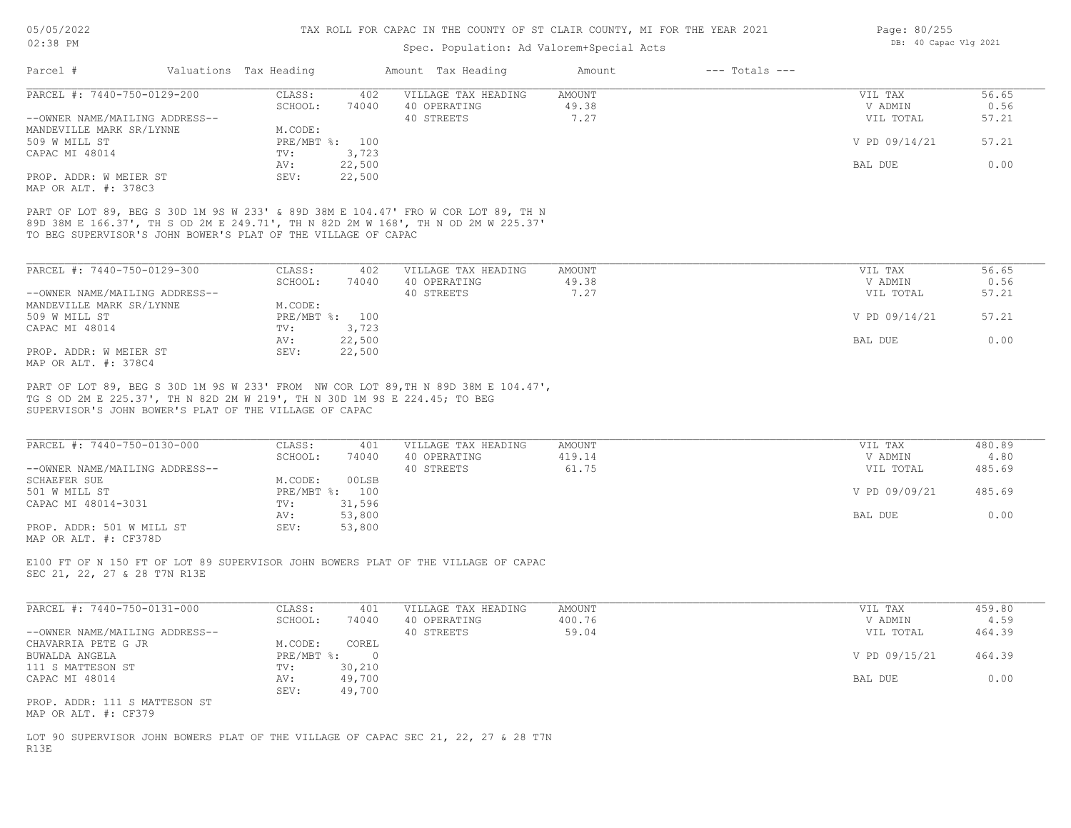#### Spec. Population: Ad Valorem+Special Acts

| Parcel #                       | Valuations Tax Heading |                | Amount Tax Heading  | Amount | $---$ Totals $---$ |               |       |
|--------------------------------|------------------------|----------------|---------------------|--------|--------------------|---------------|-------|
| PARCEL #: 7440-750-0129-200    | CLASS:                 | 402            | VILLAGE TAX HEADING | AMOUNT |                    | VIL TAX       | 56.65 |
|                                | SCHOOL:                | 74040          | 40 OPERATING        | 49.38  |                    | V ADMIN       | 0.56  |
| --OWNER NAME/MAILING ADDRESS-- |                        |                | 40 STREETS          | 7.27   |                    | VIL TOTAL     | 57.21 |
| MANDEVILLE MARK SR/LYNNE       | M.CODE:                |                |                     |        |                    |               |       |
| 509 W MILL ST                  |                        | PRE/MBT %: 100 |                     |        |                    | V PD 09/14/21 | 57.21 |
| CAPAC MI 48014                 | TV:                    | 3,723          |                     |        |                    |               |       |
|                                | AV:                    | 22,500         |                     |        |                    | BAL DUE       | 0.00  |
| PROP. ADDR: W MEIER ST         | SEV:                   | 22,500         |                     |        |                    |               |       |
|                                |                        |                |                     |        |                    |               |       |

MAP OR ALT. #: 378C3

TO BEG SUPERVISOR'S JOHN BOWER'S PLAT OF THE VILLAGE OF CAPAC 89D 38M E 166.37', TH S OD 2M E 249.71', TH N 82D 2M W 168', TH N OD 2M W 225.37' PART OF LOT 89, BEG S 30D 1M 9S W 233' & 89D 38M E 104.47' FRO W COR LOT 89, TH N

| PARCEL #: 7440-750-0129-300    | CLASS:     | 402    | VILLAGE TAX HEADING | AMOUNT | VIL TAX       | 56.65 |
|--------------------------------|------------|--------|---------------------|--------|---------------|-------|
|                                | SCHOOL:    | 74040  | 40 OPERATING        | 49.38  | V ADMIN       | 0.56  |
| --OWNER NAME/MAILING ADDRESS-- |            |        | 40 STREETS          | 7.27   | VIL TOTAL     | 57.21 |
| MANDEVILLE MARK SR/LYNNE       | M.CODE:    |        |                     |        |               |       |
| 509 W MILL ST                  | PRE/MBT %: | 100    |                     |        | V PD 09/14/21 | 57.21 |
| CAPAC MI 48014                 | TV:        | 3,723  |                     |        |               |       |
|                                | AV:        | 22,500 |                     |        | BAL DUE       | 0.00  |
| PROP. ADDR: W MEIER ST         | SEV:       | 22,500 |                     |        |               |       |
| MAP OR ALT. #: 378C4           |            |        |                     |        |               |       |

SUPERVISOR'S JOHN BOWER'S PLAT OF THE VILLAGE OF CAPAC TG S OD 2M E 225.37', TH N 82D 2M W 219', TH N 30D 1M 9S E 224.45; TO BEG PART OF LOT 89, BEG S 30D 1M 9S W 233' FROM NW COR LOT 89,TH N 89D 38M E 104.47',

| PARCEL #: 7440-750-0130-000    | CLASS:  | 401            | VILLAGE TAX HEADING | AMOUNT | VIL TAX       | 480.89 |
|--------------------------------|---------|----------------|---------------------|--------|---------------|--------|
|                                | SCHOOL: | 74040          | 40 OPERATING        | 419.14 | V ADMIN       | 4.80   |
| --OWNER NAME/MAILING ADDRESS-- |         |                | 40 STREETS          | 61.75  | VIL TOTAL     | 485.69 |
| SCHAEFER SUE                   | M.CODE: | 00LSB          |                     |        |               |        |
| 501 W MILL ST                  |         | PRE/MBT %: 100 |                     |        | V PD 09/09/21 | 485.69 |
| CAPAC MI 48014-3031            | TV:     | 31,596         |                     |        |               |        |
|                                | AV:     | 53,800         |                     |        | BAL DUE       | 0.00   |
| PROP. ADDR: 501 W MILL ST      | SEV:    | 53,800         |                     |        |               |        |
| MAP OR ALT. #: CF378D          |         |                |                     |        |               |        |

SEC 21, 22, 27 & 28 T7N R13E E100 FT OF N 150 FT OF LOT 89 SUPERVISOR JOHN BOWERS PLAT OF THE VILLAGE OF CAPAC

| PARCEL #: 7440-750-0131-000    | CLASS:     | 401    | VILLAGE TAX HEADING | AMOUNT | VIL TAX       | 459.80 |
|--------------------------------|------------|--------|---------------------|--------|---------------|--------|
|                                | SCHOOL:    | 74040  | 40 OPERATING        | 400.76 | V ADMIN       | 4.59   |
| --OWNER NAME/MAILING ADDRESS-- |            |        | 40 STREETS          | 59.04  | VIL TOTAL     | 464.39 |
| CHAVARRIA PETE G JR            | M.CODE:    | COREL  |                     |        |               |        |
| BUWALDA ANGELA                 | PRE/MBT %: |        |                     |        | V PD 09/15/21 | 464.39 |
| 111 S MATTESON ST              | TV:        | 30,210 |                     |        |               |        |
| CAPAC MI 48014                 | AV:        | 49,700 |                     |        | BAL DUE       | 0.00   |
|                                | SEV:       | 49,700 |                     |        |               |        |
| PROP. ADDR: 111 S MATTESON ST  |            |        |                     |        |               |        |

MAP OR ALT. #: CF379

R13E LOT 90 SUPERVISOR JOHN BOWERS PLAT OF THE VILLAGE OF CAPAC SEC 21, 22, 27 & 28 T7N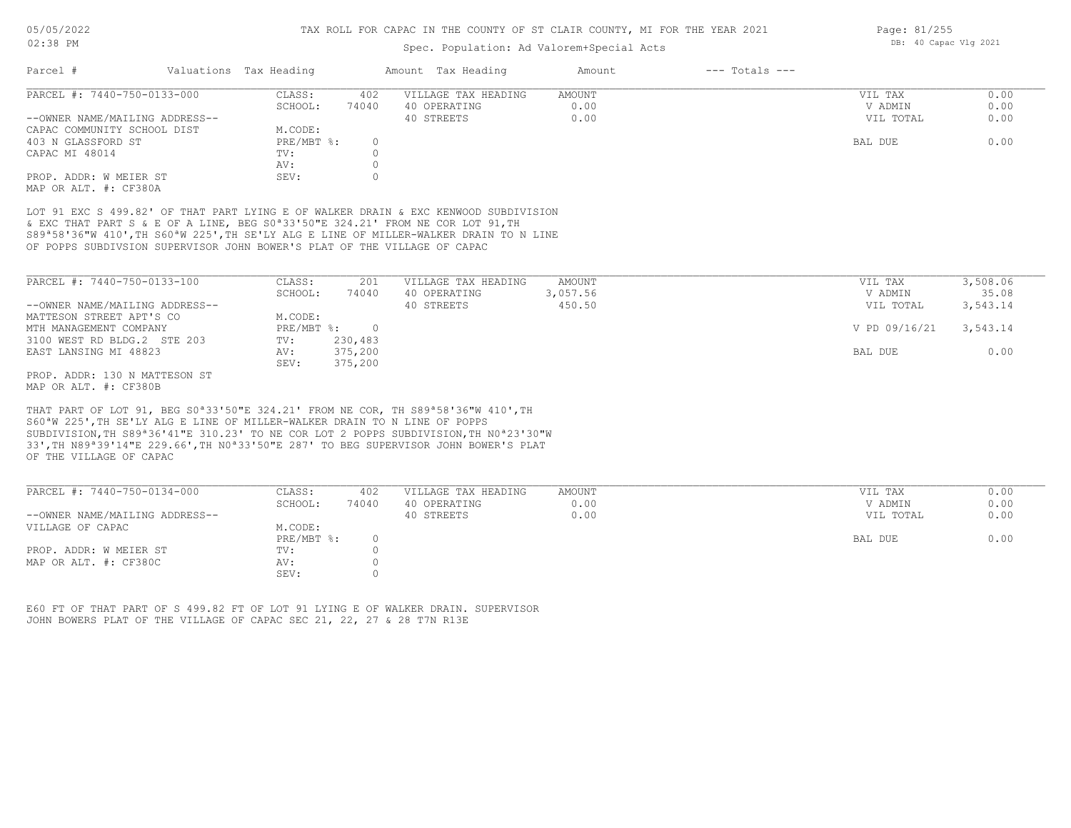#### Spec. Population: Ad Valorem+Special Acts

| Parcel #                       | Valuations Tax Heading |       | Amount Tax Heading  | Amount | $---$ Totals $---$ |           |      |
|--------------------------------|------------------------|-------|---------------------|--------|--------------------|-----------|------|
| PARCEL #: 7440-750-0133-000    | CLASS:                 | 402   | VILLAGE TAX HEADING | AMOUNT |                    | VIL TAX   | 0.00 |
|                                | SCHOOL:                | 74040 | 40 OPERATING        | 0.00   |                    | V ADMIN   | 0.00 |
| --OWNER NAME/MAILING ADDRESS-- |                        |       | 40 STREETS          | 0.00   |                    | VIL TOTAL | 0.00 |
| CAPAC COMMUNITY SCHOOL DIST    | M.CODE:                |       |                     |        |                    |           |      |
| 403 N GLASSFORD ST             | PRE/MBT %:             |       |                     |        |                    | BAL DUE   | 0.00 |
| CAPAC MI 48014                 | TV:                    |       |                     |        |                    |           |      |
|                                | AV:                    |       |                     |        |                    |           |      |
| PROP. ADDR: W MEIER ST         | SEV:                   |       |                     |        |                    |           |      |
| MAP OR ALT. #: CF380A          |                        |       |                     |        |                    |           |      |

OF POPPS SUBDIVSION SUPERVISOR JOHN BOWER'S PLAT OF THE VILLAGE OF CAPAC S89ª58'36"W 410',TH S60ªW 225',TH SE'LY ALG E LINE OF MILLER-WALKER DRAIN TO N LINE & EXC THAT PART S & E OF A LINE, BEG S0ª33'50"E 324.21' FROM NE COR LOT 91,TH LOT 91 EXC S 499.82' OF THAT PART LYING E OF WALKER DRAIN & EXC KENWOOD SUBDIVISION

| PARCEL #: 7440-750-0133-100    | CLASS:     | 201     | VILLAGE TAX HEADING | AMOUNT   | VIL TAX       | 3,508.06 |
|--------------------------------|------------|---------|---------------------|----------|---------------|----------|
|                                | SCHOOL:    | 74040   | 40 OPERATING        | 3,057.56 | V ADMIN       | 35.08    |
| --OWNER NAME/MAILING ADDRESS-- |            |         | 40 STREETS          | 450.50   | VIL TOTAL     | 3,543.14 |
| MATTESON STREET APT'S CO       | M.CODE:    |         |                     |          |               |          |
| MTH MANAGEMENT COMPANY         | PRE/MBT %: |         |                     |          | V PD 09/16/21 | 3,543.14 |
| 3100 WEST RD BLDG.2 STE 203    | TV:        | 230,483 |                     |          |               |          |
| EAST LANSING MI 48823          | AV:        | 375,200 |                     |          | BAL DUE       | 0.00     |
|                                | SEV:       | 375,200 |                     |          |               |          |
| PROP. ADDR: 130 N MATTESON ST  |            |         |                     |          |               |          |

MAP OR ALT. #: CF380B

OF THE VILLAGE OF CAPAC 33',TH N89ª39'14"E 229.66',TH N0ª33'50"E 287' TO BEG SUPERVISOR JOHN BOWER'S PLAT SUBDIVISION,TH S89ª36'41"E 310.23' TO NE COR LOT 2 POPPS SUBDIVISION,TH N0ª23'30"W S60ªW 225',TH SE'LY ALG E LINE OF MILLER-WALKER DRAIN TO N LINE OF POPPS THAT PART OF LOT 91, BEG S0ª33'50"E 324.21' FROM NE COR, TH S89ª58'36"W 410',TH

| PARCEL #: 7440-750-0134-000    | CLASS:     | 402   | VILLAGE TAX HEADING | AMOUNT | VIL TAX   | 0.00 |
|--------------------------------|------------|-------|---------------------|--------|-----------|------|
|                                | SCHOOL:    | 74040 | 40 OPERATING        | 0.00   | V ADMIN   | 0.00 |
| --OWNER NAME/MAILING ADDRESS-- |            |       | 40 STREETS          | 0.00   | VIL TOTAL | 0.00 |
| VILLAGE OF CAPAC               | M.CODE:    |       |                     |        |           |      |
|                                | PRE/MBT %: |       |                     |        | BAL DUE   | 0.00 |
| PROP. ADDR: W MEIER ST         | TV:        |       |                     |        |           |      |
| MAP OR ALT. #: CF380C          | AV:        |       |                     |        |           |      |
|                                | SEV:       |       |                     |        |           |      |

JOHN BOWERS PLAT OF THE VILLAGE OF CAPAC SEC 21, 22, 27 & 28 T7N R13E E60 FT OF THAT PART OF S 499.82 FT OF LOT 91 LYING E OF WALKER DRAIN. SUPERVISOR Page: 81/255 DB: 40 Capac Vlg 2021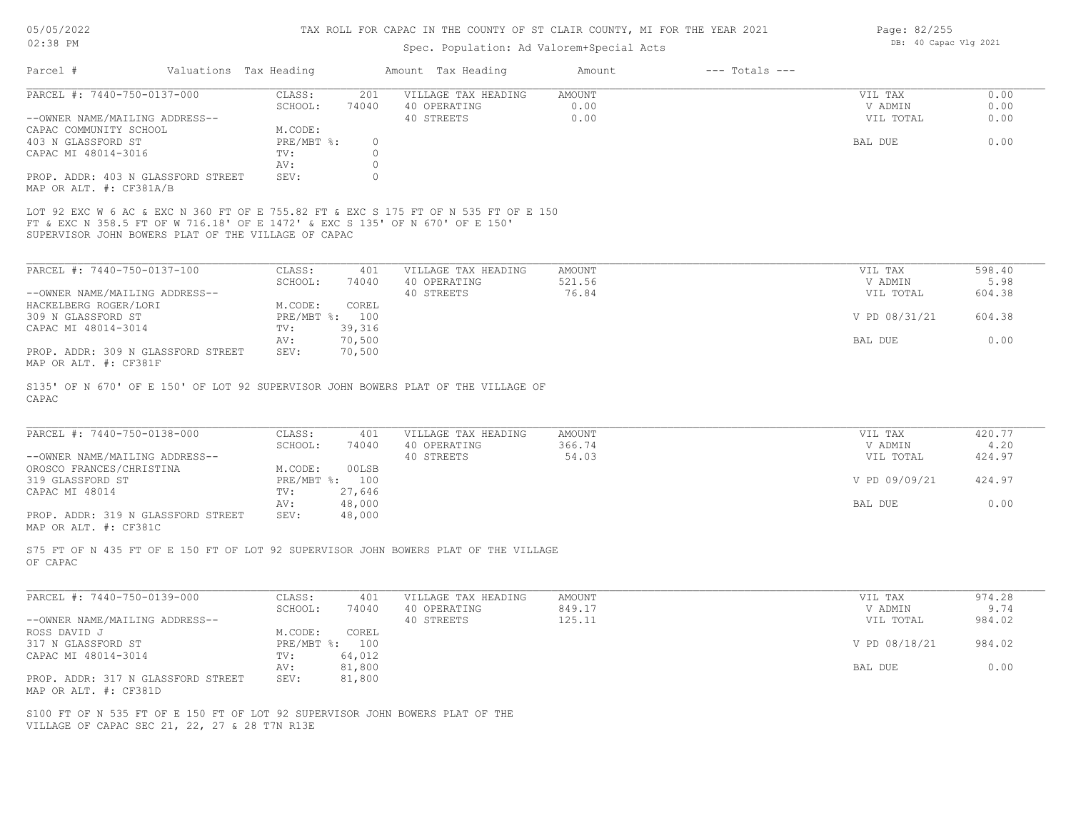#### 05/05/2022 02:38 PM

#### TAX ROLL FOR CAPAC IN THE COUNTY OF ST CLAIR COUNTY, MI FOR THE YEAR 2021

#### Spec. Population: Ad Valorem+Special Acts

| Parcel #                       |                                                     | Valuations Tax Heading |       | Amount Tax Heading                                                                  | Amount | $---$ Totals $---$ |           |      |
|--------------------------------|-----------------------------------------------------|------------------------|-------|-------------------------------------------------------------------------------------|--------|--------------------|-----------|------|
| PARCEL #: 7440-750-0137-000    |                                                     | CLASS:                 | 201   | VILLAGE TAX HEADING                                                                 | AMOUNT |                    | VIL TAX   | 0.00 |
|                                |                                                     | SCHOOL:                | 74040 | 40 OPERATING                                                                        | 0.00   |                    | V ADMIN   | 0.00 |
| --OWNER NAME/MAILING ADDRESS-- |                                                     |                        |       | 40 STREETS                                                                          | 0.00   |                    | VIL TOTAL | 0.00 |
| CAPAC COMMUNITY SCHOOL         |                                                     | M.CODE:                |       |                                                                                     |        |                    |           |      |
| 403 N GLASSFORD ST             |                                                     | PRE/MBT %:             |       |                                                                                     |        |                    | BAL DUE   | 0.00 |
| CAPAC MI 48014-3016            |                                                     | TV:                    |       |                                                                                     |        |                    |           |      |
|                                |                                                     | AV:                    |       |                                                                                     |        |                    |           |      |
|                                | PROP. ADDR: 403 N GLASSFORD STREET                  | SEV:                   |       |                                                                                     |        |                    |           |      |
| MAP OR ALT. #: CF381A/B        |                                                     |                        |       |                                                                                     |        |                    |           |      |
|                                |                                                     |                        |       | LOT 92 EXC W 6 AC & EXC N 360 FT OF E 755.82 FT & EXC S 175 FT OF N 535 FT OF E 150 |        |                    |           |      |
|                                |                                                     |                        |       | FT & EXC N 358.5 FT OF W 716.18' OF E 1472' & EXC S 135' OF N 670' OF E 150'        |        |                    |           |      |
|                                | SUPERVISOR JOHN BOWERS PLAT OF THE VILLAGE OF CAPAC |                        |       |                                                                                     |        |                    |           |      |

309 N GLASSFORD ST PRE/MBT %: 100 V PD 08/31/21 604.38 HACKELBERG ROGER/LORI M.CODE: COREL --OWNER NAME/MAILING ADDRESS-- 40 STREETS 76.84 VIL TOTAL 604.38 SCHOOL: 74040 40 OPERATING 521.56 521.56 V ADMIN 5.98 PARCEL #: 7440-750-0137-100 CLASS: 401 VILLAGE TAX HEADING AMOUNT VIL TAX 598.40<br>SCHOOL: 74040 40 OPERATING 521.56 VADMIN 5.98  $\mathcal{L}_\mathcal{L} = \mathcal{L}_\mathcal{L} = \mathcal{L}_\mathcal{L} = \mathcal{L}_\mathcal{L} = \mathcal{L}_\mathcal{L} = \mathcal{L}_\mathcal{L} = \mathcal{L}_\mathcal{L} = \mathcal{L}_\mathcal{L} = \mathcal{L}_\mathcal{L} = \mathcal{L}_\mathcal{L} = \mathcal{L}_\mathcal{L} = \mathcal{L}_\mathcal{L} = \mathcal{L}_\mathcal{L} = \mathcal{L}_\mathcal{L} = \mathcal{L}_\mathcal{L} = \mathcal{L}_\mathcal{L} = \mathcal{L}_\mathcal{L}$ 

MAP OR ALT. #: CF381F PROP. ADDR: 309 N GLASSFORD STREET SEV: 70,500 AV: 70,500 BAL DUE 0.00 CAPAC MI 48014-3014 TV: 39,316<br>
AV: 70,500

CAPAC S135' OF N 670' OF E 150' OF LOT 92 SUPERVISOR JOHN BOWERS PLAT OF THE VILLAGE OF

| PARCEL #: 7440-750-0138-000        | CLASS:       | 401    | VILLAGE TAX HEADING | AMOUNT | VIL TAX       | 420.77 |  |
|------------------------------------|--------------|--------|---------------------|--------|---------------|--------|--|
|                                    | SCHOOL:      | 74040  | 40 OPERATING        | 366.74 | V ADMIN       | 4.20   |  |
| --OWNER NAME/MAILING ADDRESS--     |              |        | 40 STREETS          | 54.03  | VIL TOTAL     | 424.97 |  |
| OROSCO FRANCES/CHRISTINA           | M.CODE:      | 00LSB  |                     |        |               |        |  |
| 319 GLASSFORD ST                   | $PRE/MBT$ %: | 100    |                     |        | V PD 09/09/21 | 424.97 |  |
| CAPAC MI 48014                     | TV:          | 27,646 |                     |        |               |        |  |
|                                    | AV:          | 48,000 |                     |        | BAL DUE       | 0.00   |  |
| PROP. ADDR: 319 N GLASSFORD STREET | SEV:         | 48,000 |                     |        |               |        |  |
| MAP OR ALT. #: CF381C              |              |        |                     |        |               |        |  |

 $\mathcal{L}_\mathcal{L} = \mathcal{L}_\mathcal{L} = \mathcal{L}_\mathcal{L} = \mathcal{L}_\mathcal{L} = \mathcal{L}_\mathcal{L} = \mathcal{L}_\mathcal{L} = \mathcal{L}_\mathcal{L} = \mathcal{L}_\mathcal{L} = \mathcal{L}_\mathcal{L} = \mathcal{L}_\mathcal{L} = \mathcal{L}_\mathcal{L} = \mathcal{L}_\mathcal{L} = \mathcal{L}_\mathcal{L} = \mathcal{L}_\mathcal{L} = \mathcal{L}_\mathcal{L} = \mathcal{L}_\mathcal{L} = \mathcal{L}_\mathcal{L}$ 

OF CAPAC S75 FT OF N 435 FT OF E 150 FT OF LOT 92 SUPERVISOR JOHN BOWERS PLAT OF THE VILLAGE

| PARCEL #: 7440-750-0139-000        | CLASS:  | 401            | VILLAGE TAX HEADING | AMOUNT | VIL TAX       | 974.28 |
|------------------------------------|---------|----------------|---------------------|--------|---------------|--------|
|                                    | SCHOOL: | 74040          | 40 OPERATING        | 849.17 | V ADMIN       | 9.74   |
| --OWNER NAME/MAILING ADDRESS--     |         |                | 40 STREETS          | 125.11 | VIL TOTAL     | 984.02 |
| ROSS DAVID J                       | M.CODE: | COREL          |                     |        |               |        |
| 317 N GLASSFORD ST                 |         | PRE/MBT %: 100 |                     |        | V PD 08/18/21 | 984.02 |
| CAPAC MI 48014-3014                | TV:     | 64,012         |                     |        |               |        |
|                                    | AV:     | 81,800         |                     |        | BAL DUE       | 0.00   |
| PROP. ADDR: 317 N GLASSFORD STREET | SEV:    | 81,800         |                     |        |               |        |
| MAP OR ALT. #: CF381D              |         |                |                     |        |               |        |

VILLAGE OF CAPAC SEC 21, 22, 27 & 28 T7N R13E S100 FT OF N 535 FT OF E 150 FT OF LOT 92 SUPERVISOR JOHN BOWERS PLAT OF THE Page: 82/255 DB: 40 Capac Vlg 2021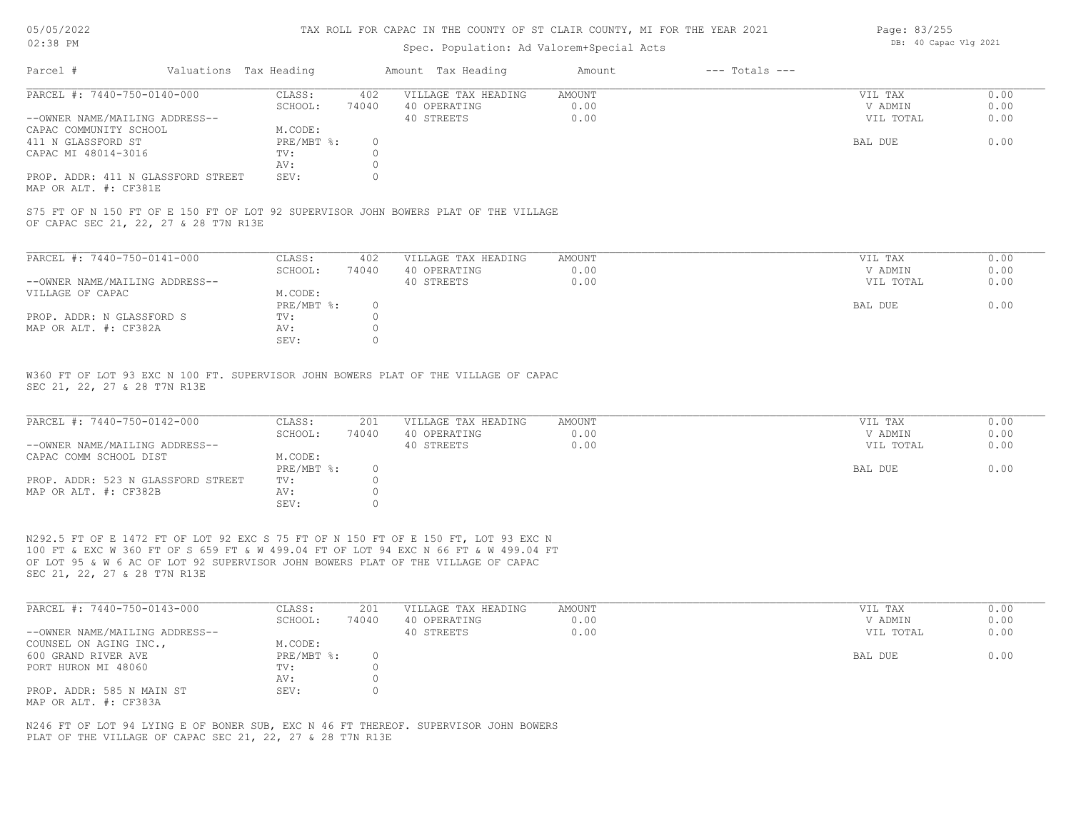#### 05/05/2022 02:38 PM

#### TAX ROLL FOR CAPAC IN THE COUNTY OF ST CLAIR COUNTY, MI FOR THE YEAR 2021

#### Spec. Population: Ad Valorem+Special Acts

| Parcel #                           | Valuations Tax Heading |       | Amount Tax Heading  | Amount | $---$ Totals $---$ |           |      |
|------------------------------------|------------------------|-------|---------------------|--------|--------------------|-----------|------|
| PARCEL #: 7440-750-0140-000        | CLASS:                 | 402   | VILLAGE TAX HEADING | AMOUNT |                    | VIL TAX   | 0.00 |
|                                    | SCHOOL:                | 74040 | 40 OPERATING        | 0.00   |                    | V ADMIN   | 0.00 |
| --OWNER NAME/MAILING ADDRESS--     |                        |       | 40 STREETS          | 0.00   |                    | VIL TOTAL | 0.00 |
| CAPAC COMMUNITY SCHOOL             | M.CODE:                |       |                     |        |                    |           |      |
| 411 N GLASSFORD ST                 | PRE/MBT %:             |       |                     |        |                    | BAL DUE   | 0.00 |
| CAPAC MI 48014-3016                | TV:                    |       |                     |        |                    |           |      |
|                                    | AV:                    |       |                     |        |                    |           |      |
| PROP. ADDR: 411 N GLASSFORD STREET | SEV:                   |       |                     |        |                    |           |      |
|                                    |                        |       |                     |        |                    |           |      |

MAP OR ALT. #: CF381E

OF CAPAC SEC 21, 22, 27 & 28 T7N R13E S75 FT OF N 150 FT OF E 150 FT OF LOT 92 SUPERVISOR JOHN BOWERS PLAT OF THE VILLAGE

| PARCEL #: 7440-750-0141-000    | CLASS:     | 402   | VILLAGE TAX HEADING | AMOUNT | VIL TAX   | 0.00 |
|--------------------------------|------------|-------|---------------------|--------|-----------|------|
|                                | SCHOOL:    | 74040 | 40 OPERATING        | 0.00   | V ADMIN   | 0.00 |
| --OWNER NAME/MAILING ADDRESS-- |            |       | 40 STREETS          | 0.00   | VIL TOTAL | 0.00 |
| VILLAGE OF CAPAC               | M.CODE:    |       |                     |        |           |      |
|                                | PRE/MBT %: |       |                     |        | BAL DUE   | 0.00 |
| PROP. ADDR: N GLASSFORD S      | TV:        |       |                     |        |           |      |
| MAP OR ALT. #: CF382A          | AV:        |       |                     |        |           |      |
|                                | SEV:       |       |                     |        |           |      |

SEC 21, 22, 27 & 28 T7N R13E W360 FT OF LOT 93 EXC N 100 FT. SUPERVISOR JOHN BOWERS PLAT OF THE VILLAGE OF CAPAC

| PARCEL #: 7440-750-0142-000        | CLASS:     | 201   | VILLAGE TAX HEADING | AMOUNT | VIL TAX   | 0.00 |
|------------------------------------|------------|-------|---------------------|--------|-----------|------|
|                                    | SCHOOL:    | 74040 | 40 OPERATING        | 0.00   | V ADMIN   | 0.00 |
| --OWNER NAME/MAILING ADDRESS--     |            |       | 40 STREETS          | 0.00   | VIL TOTAL | 0.00 |
| CAPAC COMM SCHOOL DIST             | M.CODE:    |       |                     |        |           |      |
|                                    | PRE/MBT %: |       |                     |        | BAL DUE   | 0.00 |
| PROP. ADDR: 523 N GLASSFORD STREET | TV:        |       |                     |        |           |      |
| MAP OR ALT. #: CF382B              | AV:        |       |                     |        |           |      |
|                                    | SEV:       |       |                     |        |           |      |

SEC 21, 22, 27 & 28 T7N R13E OF LOT 95 & W 6 AC OF LOT 92 SUPERVISOR JOHN BOWERS PLAT OF THE VILLAGE OF CAPAC 100 FT & EXC W 360 FT OF S 659 FT & W 499.04 FT OF LOT 94 EXC N 66 FT & W 499.04 FT N292.5 FT OF E 1472 FT OF LOT 92 EXC S 75 FT OF N 150 FT OF E 150 FT, LOT 93 EXC N

| PARCEL #: 7440-750-0143-000    | CLASS:       | 201   | VILLAGE TAX HEADING | AMOUNT | VIL TAX   | 0.00 |
|--------------------------------|--------------|-------|---------------------|--------|-----------|------|
|                                | SCHOOL:      | 74040 | 40 OPERATING        | 0.00   | V ADMIN   | 0.00 |
| --OWNER NAME/MAILING ADDRESS-- |              |       | 40 STREETS          | 0.00   | VIL TOTAL | 0.00 |
| COUNSEL ON AGING INC.,         | M.CODE:      |       |                     |        |           |      |
| 600 GRAND RIVER AVE            | $PRE/MBT$ %: |       |                     |        | BAL DUE   | 0.00 |
| PORT HURON MI 48060            | TV:          |       |                     |        |           |      |
|                                | AV:          |       |                     |        |           |      |
| PROP. ADDR: 585 N MAIN ST      | SEV:         |       |                     |        |           |      |
| MAP OR ALT. #: CF383A          |              |       |                     |        |           |      |

PLAT OF THE VILLAGE OF CAPAC SEC 21, 22, 27 & 28 T7N R13E N246 FT OF LOT 94 LYING E OF BONER SUB, EXC N 46 FT THEREOF. SUPERVISOR JOHN BOWERS Page: 83/255 DB: 40 Capac Vlg 2021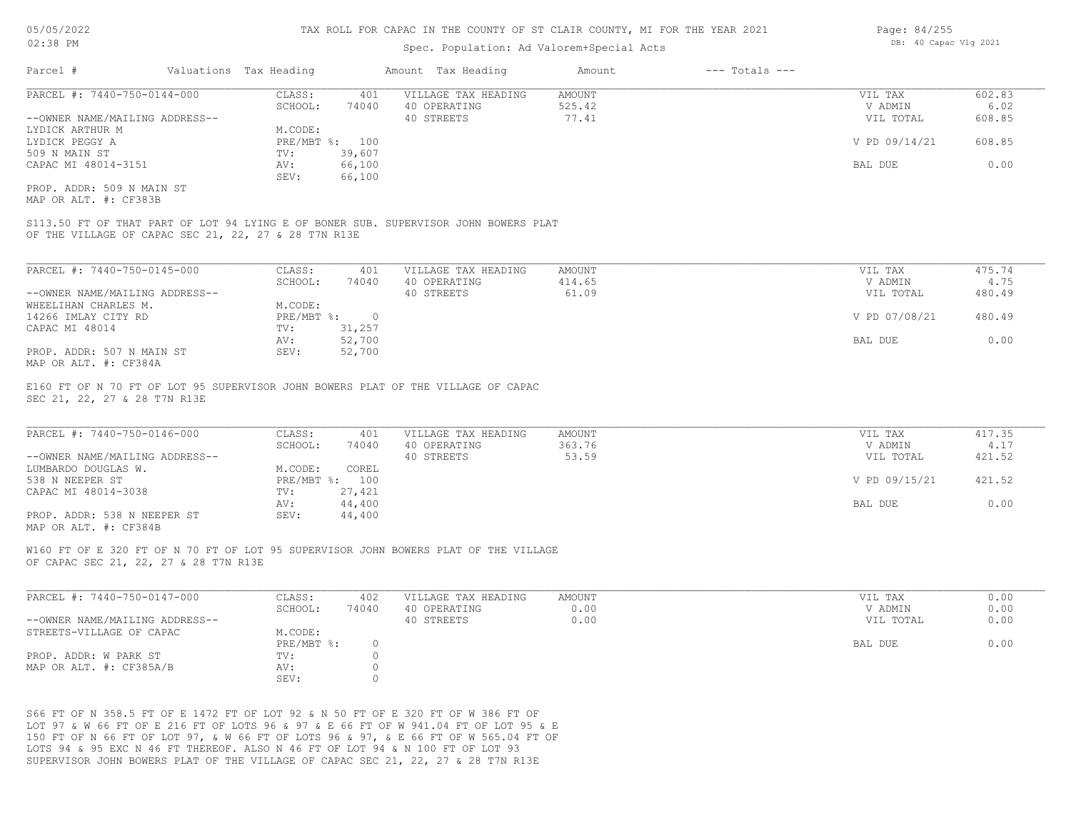#### Spec. Population: Ad Valorem+Special Acts

| Parcel #                       | Valuations Tax Heading |                | Amount Tax Heading  | Amount | $---$ Totals $---$ |               |        |
|--------------------------------|------------------------|----------------|---------------------|--------|--------------------|---------------|--------|
| PARCEL #: 7440-750-0144-000    | CLASS:                 | 401            | VILLAGE TAX HEADING | AMOUNT |                    | VIL TAX       | 602.83 |
|                                | SCHOOL:                | 74040          | 40 OPERATING        | 525.42 |                    | V ADMIN       | 6.02   |
| --OWNER NAME/MAILING ADDRESS-- |                        |                | 40 STREETS          | 77.41  |                    | VIL TOTAL     | 608.85 |
| LYDICK ARTHUR M                | M.CODE:                |                |                     |        |                    |               |        |
| LYDICK PEGGY A                 |                        | PRE/MBT %: 100 |                     |        |                    | V PD 09/14/21 | 608.85 |
| 509 N MAIN ST                  | TV:                    | 39,607         |                     |        |                    |               |        |
| CAPAC MI 48014-3151            | AV:                    | 66,100         |                     |        |                    | BAL DUE       | 0.00   |
|                                | SEV:                   | 66,100         |                     |        |                    |               |        |
|                                |                        |                |                     |        |                    |               |        |

MAP OR ALT. #: CF383B PROP. ADDR: 509 N MAIN ST

OF THE VILLAGE OF CAPAC SEC 21, 22, 27 & 28 T7N R13E S113.50 FT OF THAT PART OF LOT 94 LYING E OF BONER SUB. SUPERVISOR JOHN BOWERS PLAT

| PARCEL #: 7440-750-0145-000    | CLASS:       | 401    | VILLAGE TAX HEADING | AMOUNT | VIL TAX       | 475.74 |
|--------------------------------|--------------|--------|---------------------|--------|---------------|--------|
|                                | SCHOOL:      | 74040  | 40 OPERATING        | 414.65 | V ADMIN       | 4.75   |
| --OWNER NAME/MAILING ADDRESS-- |              |        | 40 STREETS          | 61.09  | VIL TOTAL     | 480.49 |
| WHEELIHAN CHARLES M.           | M.CODE:      |        |                     |        |               |        |
| 14266 IMLAY CITY RD            | $PRE/MBT$ %: |        |                     |        | V PD 07/08/21 | 480.49 |
| CAPAC MI 48014                 | TV:          | 31,257 |                     |        |               |        |
|                                | AV:          | 52,700 |                     |        | BAL DUE       | 0.00   |
| PROP. ADDR: 507 N MAIN ST      | SEV:         | 52,700 |                     |        |               |        |
| MAP OR ALT. #: CF384A          |              |        |                     |        |               |        |

SEC 21, 22, 27 & 28 T7N R13E E160 FT OF N 70 FT OF LOT 95 SUPERVISOR JOHN BOWERS PLAT OF THE VILLAGE OF CAPAC

| PARCEL #: 7440-750-0146-000    | CLASS:       | 401    | VILLAGE TAX HEADING | AMOUNT | VIL TAX       | 417.35 |
|--------------------------------|--------------|--------|---------------------|--------|---------------|--------|
|                                | SCHOOL:      | 74040  | 40 OPERATING        | 363.76 | V ADMIN       | 4.17   |
| --OWNER NAME/MAILING ADDRESS-- |              |        | 40 STREETS          | 53.59  | VIL TOTAL     | 421.52 |
| LUMBARDO DOUGLAS W.            | M.CODE:      | COREL  |                     |        |               |        |
| 538 N NEEPER ST                | $PRE/MBT$ %: | 100    |                     |        | V PD 09/15/21 | 421.52 |
| CAPAC MI 48014-3038            | TV:          | 27,421 |                     |        |               |        |
|                                | AV:          | 44,400 |                     |        | BAL DUE       | 0.00   |
| PROP. ADDR: 538 N NEEPER ST    | SEV:         | 44,400 |                     |        |               |        |
| MAP OR ALT. #: CF384B          |              |        |                     |        |               |        |

 $\mathcal{L}_\mathcal{L} = \mathcal{L}_\mathcal{L} = \mathcal{L}_\mathcal{L} = \mathcal{L}_\mathcal{L} = \mathcal{L}_\mathcal{L} = \mathcal{L}_\mathcal{L} = \mathcal{L}_\mathcal{L} = \mathcal{L}_\mathcal{L} = \mathcal{L}_\mathcal{L} = \mathcal{L}_\mathcal{L} = \mathcal{L}_\mathcal{L} = \mathcal{L}_\mathcal{L} = \mathcal{L}_\mathcal{L} = \mathcal{L}_\mathcal{L} = \mathcal{L}_\mathcal{L} = \mathcal{L}_\mathcal{L} = \mathcal{L}_\mathcal{L}$ 

W160 FT OF E 320 FT OF N 70 FT OF LOT 95 SUPERVISOR JOHN BOWERS PLAT OF THE VILLAGE

OF CAPAC SEC 21, 22, 27 & 28 T7N R13E

| PARCEL #: 7440-750-0147-000    | CLASS:       | 402   | VILLAGE TAX HEADING | AMOUNT | VIL TAX   | 0.00 |
|--------------------------------|--------------|-------|---------------------|--------|-----------|------|
|                                | SCHOOL:      | 74040 | 40 OPERATING        | 0.00   | V ADMIN   | 0.00 |
| --OWNER NAME/MAILING ADDRESS-- |              |       | 40 STREETS          | 0.00   | VIL TOTAL | 0.00 |
| STREETS-VILLAGE OF CAPAC       | M.CODE:      |       |                     |        |           |      |
|                                | $PRE/MBT$ %: |       |                     |        | BAL DUE   | 0.00 |
| PROP. ADDR: W PARK ST          | TV:          |       |                     |        |           |      |
| MAP OR ALT. #: CF385A/B        | AV:          |       |                     |        |           |      |
|                                | SEV:         |       |                     |        |           |      |

SUPERVISOR JOHN BOWERS PLAT OF THE VILLAGE OF CAPAC SEC 21, 22, 27 & 28 T7N R13E LOTS 94 & 95 EXC N 46 FT THEREOF. ALSO N 46 FT OF LOT 94 & N 100 FT OF LOT 93 150 FT OF N 66 FT OF LOT 97, & W 66 FT OF LOTS 96 & 97, & E 66 FT OF W 565.04 FT OF LOT 97 & W 66 FT OF E 216 FT OF LOTS 96 & 97 & E 66 FT OF W 941.04 FT OF LOT 95 & E S66 FT OF N 358.5 FT OF E 1472 FT OF LOT 92 & N 50 FT OF E 320 FT OF W 386 FT OF

Page: 84/255 DB: 40 Capac Vlg 2021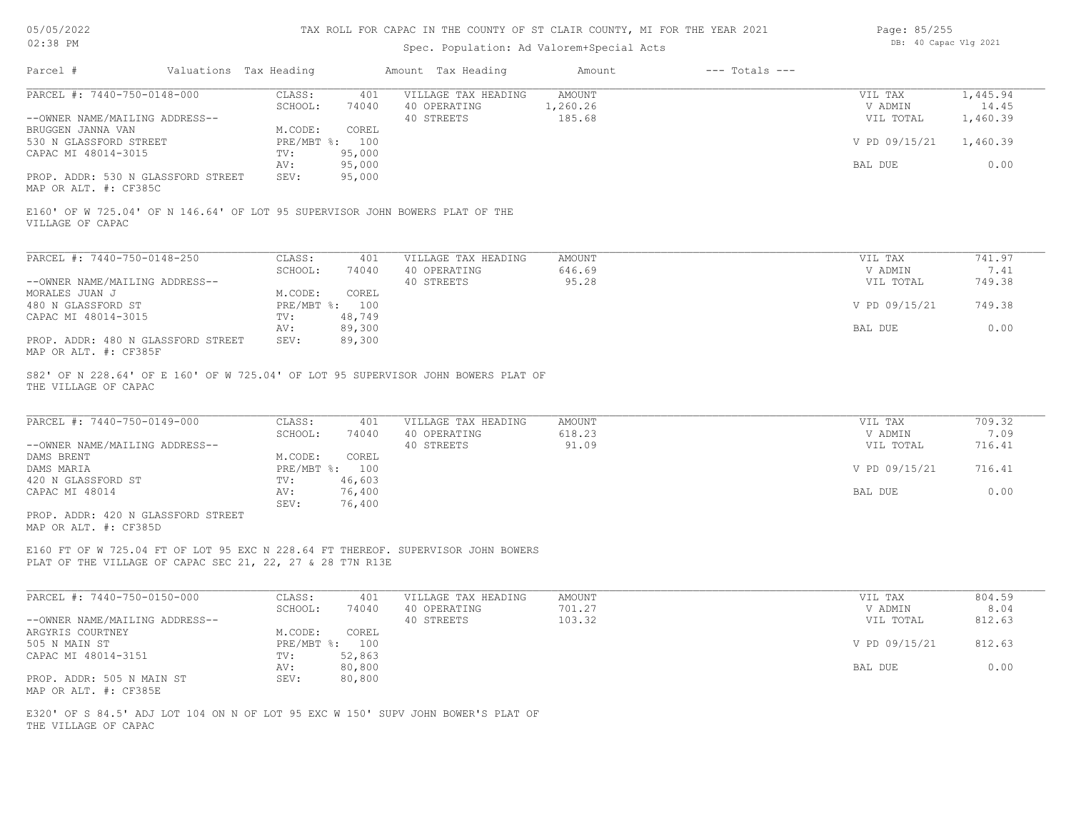| 05/05/2022 |  |
|------------|--|
| 02:38 PM   |  |

# Spec. Population: Ad Valorem+Special Acts

| Page: 85/255 |                       |  |
|--------------|-----------------------|--|
|              | DB: 40 Capac Vlg 2021 |  |

| Parcel #                                                                                                                                      | Valuations Tax Heading |                           |                  | Amount Tax Heading                                | Amount                       | $---$ Totals $---$ |                                 |                               |
|-----------------------------------------------------------------------------------------------------------------------------------------------|------------------------|---------------------------|------------------|---------------------------------------------------|------------------------------|--------------------|---------------------------------|-------------------------------|
| PARCEL #: 7440-750-0148-000<br>--OWNER NAME/MAILING ADDRESS--                                                                                 |                        | CLASS:<br>SCHOOL:         | 401<br>74040     | VILLAGE TAX HEADING<br>40 OPERATING<br>40 STREETS | AMOUNT<br>1,260.26<br>185.68 |                    | VIL TAX<br>V ADMIN<br>VIL TOTAL | 1,445.94<br>14.45<br>1,460.39 |
| BRUGGEN JANNA VAN<br>530 N GLASSFORD STREET                                                                                                   |                        | M.CODE:<br>PRE/MBT %: 100 | COREL            |                                                   |                              |                    | V PD 09/15/21                   | 1,460.39                      |
| CAPAC MI 48014-3015                                                                                                                           |                        | TV:<br>AV:                | 95,000<br>95,000 |                                                   |                              |                    | BAL DUE                         | 0.00                          |
| PROP. ADDR: 530 N GLASSFORD STREET<br>MAP OR ALT. #: CF385C                                                                                   |                        | SEV:                      | 95,000           |                                                   |                              |                    |                                 |                               |
| E160' OF W 725.04' OF N 146.64' OF LOT 95 SUPERVISOR JOHN BOWERS PLAT OF THE<br>VILLAGE OF CAPAC                                              |                        |                           |                  |                                                   |                              |                    |                                 |                               |
| PARCEL #: 7440-750-0148-250                                                                                                                   |                        | CLASS:                    | 401              | VILLAGE TAX HEADING                               | <b>AMOUNT</b>                |                    | VIL TAX                         | 741.97                        |
| --OWNER NAME/MAILING ADDRESS--                                                                                                                |                        | SCHOOL:                   | 74040            | 40 OPERATING<br>40 STREETS                        | 646.69<br>95.28              |                    | V ADMIN<br>VIL TOTAL            | 7.41<br>749.38                |
| MORALES JUAN J<br>480 N GLASSFORD ST                                                                                                          |                        | M.CODE:<br>PRE/MBT %: 100 | COREL            |                                                   |                              |                    | V PD 09/15/21                   | 749.38                        |
| CAPAC MI 48014-3015                                                                                                                           |                        | TV:<br>AV:                | 48,749<br>89,300 |                                                   |                              |                    | BAL DUE                         | 0.00                          |
| PROP. ADDR: 480 N GLASSFORD STREET<br>MAP OR ALT. #: CF385F                                                                                   |                        | SEV:                      | 89,300           |                                                   |                              |                    |                                 |                               |
| S82' OF N 228.64' OF E 160' OF W 725.04' OF LOT 95 SUPERVISOR JOHN BOWERS PLAT OF<br>THE VILLAGE OF CAPAC                                     |                        |                           |                  |                                                   |                              |                    |                                 |                               |
| PARCEL #: 7440-750-0149-000                                                                                                                   |                        | CLASS:<br>SCHOOL:         | 401<br>74040     | VILLAGE TAX HEADING<br>40 OPERATING               | AMOUNT<br>618.23             |                    | VIL TAX<br>V ADMIN              | 709.32<br>7.09                |
| --OWNER NAME/MAILING ADDRESS--                                                                                                                |                        |                           |                  | 40 STREETS                                        | 91.09                        |                    | VIL TOTAL                       | 716.41                        |
| DAMS BRENT<br>DAMS MARIA                                                                                                                      |                        | M.CODE:<br>PRE/MBT %: 100 | COREL            |                                                   |                              |                    | V PD 09/15/21                   | 716.41                        |
| 420 N GLASSFORD ST<br>CAPAC MI 48014                                                                                                          |                        | TV:<br>AV:                | 46,603<br>76,400 |                                                   |                              |                    | BAL DUE                         | 0.00                          |
| PROP. ADDR: 420 N GLASSFORD STREET<br>MAP OR ALT. #: CF385D                                                                                   |                        | SEV:                      | 76,400           |                                                   |                              |                    |                                 |                               |
| E160 FT OF W 725.04 FT OF LOT 95 EXC N 228.64 FT THEREOF. SUPERVISOR JOHN BOWERS<br>PLAT OF THE VILLAGE OF CAPAC SEC 21, 22, 27 & 28 T7N R13E |                        |                           |                  |                                                   |                              |                    |                                 |                               |
|                                                                                                                                               |                        |                           |                  |                                                   |                              |                    |                                 |                               |
| PARCEL #: 7440-750-0150-000                                                                                                                   |                        | CLASS:<br>SCHOOL:         | 401<br>74040     | VILLAGE TAX HEADING<br>40 OPERATING               | <b>AMOUNT</b><br>701.27      |                    | VIL TAX<br>V ADMIN              | 804.59<br>8.04                |
| --OWNER NAME/MAILING ADDRESS--<br>ARGYRIS COURTNEY                                                                                            |                        | M.CODE:                   | COREL            | 40 STREETS                                        | 103.32                       |                    | VIL TOTAL                       | 812.63                        |
| 505 N MAIN ST<br>CAPAC MI 48014-3151                                                                                                          |                        | PRE/MBT %: 100<br>TV:     | 52,863           |                                                   |                              |                    | V PD 09/15/21                   | 812.63                        |
|                                                                                                                                               |                        | AV:                       | 80,800           |                                                   |                              |                    | BAL DUE                         | 0.00                          |
| PROP. ADDR: 505 N MAIN ST<br>MAP OR ALT. #: CF385E                                                                                            |                        | SEV:                      | 80,800           |                                                   |                              |                    |                                 |                               |
| E320' OF S 84.5' ADJ LOT 104 ON N OF LOT 95 EXC W 150' SUPV JOHN BOWER'S PLAT OF                                                              |                        |                           |                  |                                                   |                              |                    |                                 |                               |

THE VILLAGE OF CAPAC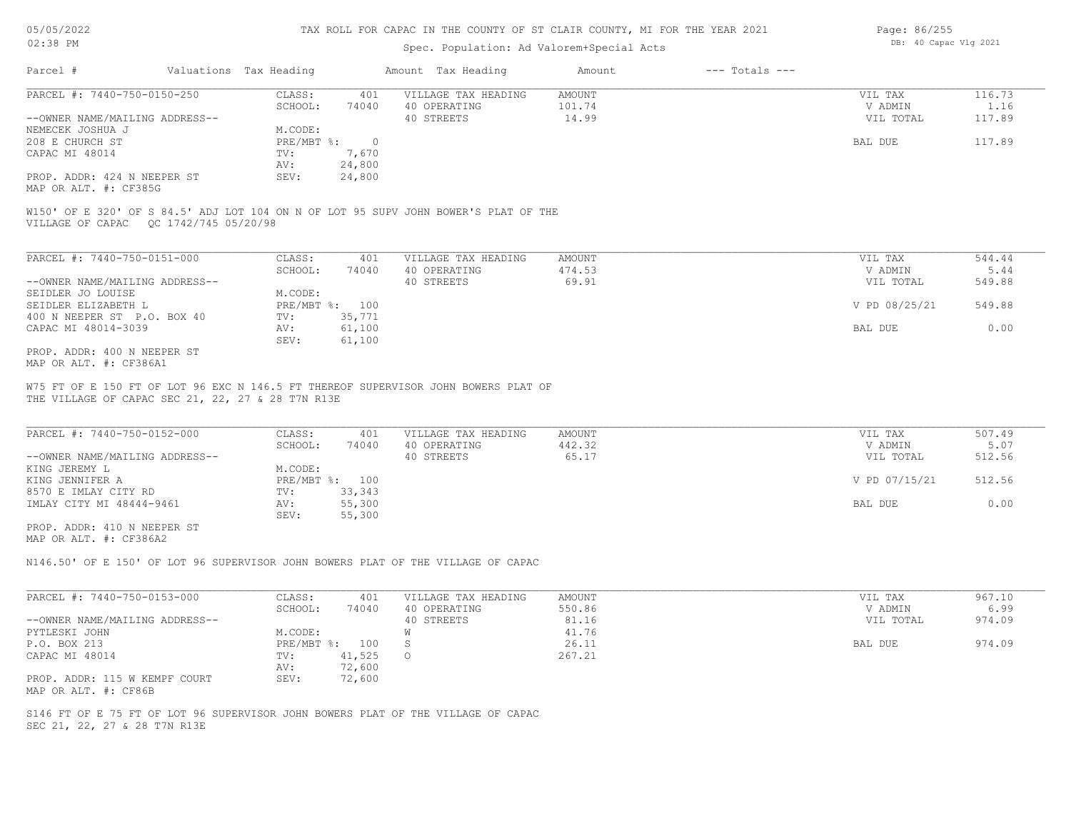#### Spec. Population: Ad Valorem+Special Acts

| Page: 86/255 |                       |  |
|--------------|-----------------------|--|
|              | DB: 40 Capac Vlg 2021 |  |

| Parcel #                                                                | Valuations Tax Heading |        | Amount Tax Heading  | Amount | $---$ Totals $---$ |           |        |
|-------------------------------------------------------------------------|------------------------|--------|---------------------|--------|--------------------|-----------|--------|
| PARCEL #: 7440-750-0150-250                                             | CLASS:                 | 401    | VILLAGE TAX HEADING | AMOUNT |                    | VIL TAX   | 116.73 |
|                                                                         | SCHOOL:                | 74040  | 40 OPERATING        | 101.74 |                    | V ADMIN   | 1.16   |
| --OWNER NAME/MAILING ADDRESS--                                          |                        |        | 40 STREETS          | 14.99  |                    | VIL TOTAL | 117.89 |
| NEMECEK JOSHUA J                                                        | M.CODE:                |        |                     |        |                    |           |        |
| 208 E CHURCH ST                                                         | PRE/MBT %:             |        |                     |        |                    | BAL DUE   | 117.89 |
| CAPAC MI 48014                                                          | TV:                    | 7,670  |                     |        |                    |           |        |
|                                                                         | AV:                    | 24,800 |                     |        |                    |           |        |
| PROP. ADDR: 424 N NEEPER ST                                             | SEV:                   | 24,800 |                     |        |                    |           |        |
| $\cdots$ $\cdots$ $\cdots$ $\cdots$ $\cdots$ $\cdots$ $\cdots$ $\cdots$ |                        |        |                     |        |                    |           |        |

MAP OR ALT. #: CF385G

VILLAGE OF CAPAC QC 1742/745 05/20/98 W150' OF E 320' OF S 84.5' ADJ LOT 104 ON N OF LOT 95 SUPV JOHN BOWER'S PLAT OF THE

| PARCEL #: 7440-750-0151-000    | CLASS:     | 401    | VILLAGE TAX HEADING | AMOUNT | VIL TAX       | 544.44 |
|--------------------------------|------------|--------|---------------------|--------|---------------|--------|
|                                | SCHOOL:    | 74040  | 40 OPERATING        | 474.53 | V ADMIN       | 5.44   |
| --OWNER NAME/MAILING ADDRESS-- |            |        | 40 STREETS          | 69.91  | VIL TOTAL     | 549.88 |
| SEIDLER JO LOUISE              | M.CODE:    |        |                     |        |               |        |
| SEIDLER ELIZABETH L            | PRE/MBT %: | 100    |                     |        | V PD 08/25/21 | 549.88 |
| 400 N NEEPER ST P.O. BOX 40    | TV:        | 35,771 |                     |        |               |        |
| CAPAC MI 48014-3039            | AV:        | 61,100 |                     |        | BAL DUE       | 0.00   |
|                                | SEV:       | 61,100 |                     |        |               |        |
| PROP. ADDR: 400 N NEEPER ST    |            |        |                     |        |               |        |

MAP OR ALT. #: CF386A1

THE VILLAGE OF CAPAC SEC 21, 22, 27 & 28 T7N R13E W75 FT OF E 150 FT OF LOT 96 EXC N 146.5 FT THEREOF SUPERVISOR JOHN BOWERS PLAT OF

| PARCEL #: 7440-750-0152-000    | CLASS:       | 401    | VILLAGE TAX HEADING | AMOUNT | VIL TAX       | 507.49 |
|--------------------------------|--------------|--------|---------------------|--------|---------------|--------|
|                                | SCHOOL:      | 74040  | 40 OPERATING        | 442.32 | V ADMIN       | 5.07   |
| --OWNER NAME/MAILING ADDRESS-- |              |        | 40 STREETS          | 65.17  | VIL TOTAL     | 512.56 |
| KING JEREMY L                  | M.CODE:      |        |                     |        |               |        |
| KING JENNIFER A                | $PRE/MBT$ %: | 100    |                     |        | V PD 07/15/21 | 512.56 |
| 8570 E IMLAY CITY RD           | TV:          | 33,343 |                     |        |               |        |
| IMLAY CITY MI 48444-9461       | AV:          | 55,300 |                     |        | BAL DUE       | 0.00   |
|                                | SEV:         | 55,300 |                     |        |               |        |
| PROP. ADDR: 410 N NEEPER ST    |              |        |                     |        |               |        |

 $\mathcal{L}_\mathcal{L} = \mathcal{L}_\mathcal{L} = \mathcal{L}_\mathcal{L} = \mathcal{L}_\mathcal{L} = \mathcal{L}_\mathcal{L} = \mathcal{L}_\mathcal{L} = \mathcal{L}_\mathcal{L} = \mathcal{L}_\mathcal{L} = \mathcal{L}_\mathcal{L} = \mathcal{L}_\mathcal{L} = \mathcal{L}_\mathcal{L} = \mathcal{L}_\mathcal{L} = \mathcal{L}_\mathcal{L} = \mathcal{L}_\mathcal{L} = \mathcal{L}_\mathcal{L} = \mathcal{L}_\mathcal{L} = \mathcal{L}_\mathcal{L}$ 

MAP OR ALT. #: CF386A2

N146.50' OF E 150' OF LOT 96 SUPERVISOR JOHN BOWERS PLAT OF THE VILLAGE OF CAPAC

| PARCEL #: 7440-750-0153-000    | CLASS:       | 401    | VILLAGE TAX HEADING | AMOUNT | VIL TAX   | 967.10 |
|--------------------------------|--------------|--------|---------------------|--------|-----------|--------|
|                                | SCHOOL:      | 74040  | 40 OPERATING        | 550.86 | V ADMIN   | 6.99   |
| --OWNER NAME/MAILING ADDRESS-- |              |        | 40 STREETS          | 81.16  | VIL TOTAL | 974.09 |
| PYTLESKI JOHN                  | M.CODE:      |        |                     | 41.76  |           |        |
| P.O. BOX 213                   | $PRE/MBT$ %: | 100    |                     | 26.11  | BAL DUE   | 974.09 |
| CAPAC MI 48014                 | TV:          | 41,525 | $\circ$             | 267.21 |           |        |
|                                | AV:          | 72,600 |                     |        |           |        |
| PROP. ADDR: 115 W KEMPF COURT  | SEV:         | 72,600 |                     |        |           |        |
| MAP OR ALT. #: CF86B           |              |        |                     |        |           |        |

SEC 21, 22, 27 & 28 T7N R13E S146 FT OF E 75 FT OF LOT 96 SUPERVISOR JOHN BOWERS PLAT OF THE VILLAGE OF CAPAC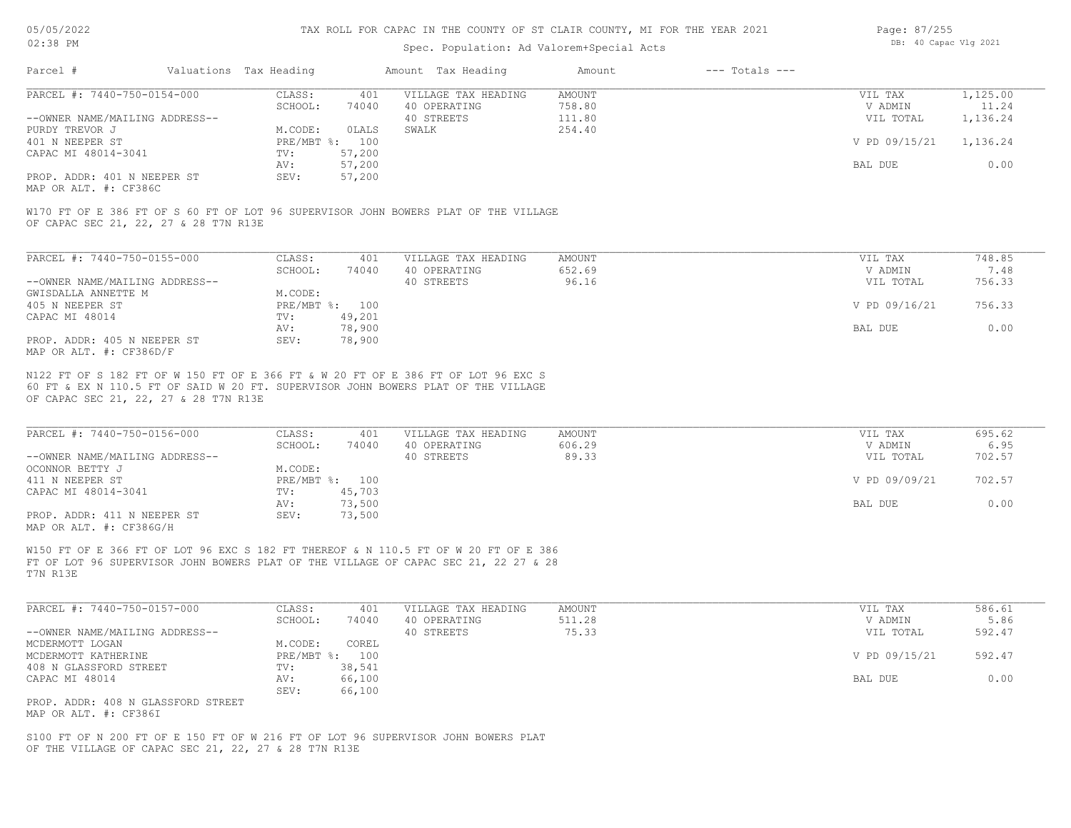#### Spec. Population: Ad Valorem+Special Acts

| Page: 87/255 |                       |  |
|--------------|-----------------------|--|
|              | DB: 40 Capac Vlg 2021 |  |

| Parcel #                       | Valuations Tax Heading |        | Amount Tax Heading  | Amount | $---$ Totals $---$ |               |          |
|--------------------------------|------------------------|--------|---------------------|--------|--------------------|---------------|----------|
| PARCEL #: 7440-750-0154-000    | CLASS:                 | 401    | VILLAGE TAX HEADING | AMOUNT |                    | VIL TAX       | 1,125.00 |
|                                | SCHOOL:                | 74040  | 40 OPERATING        | 758.80 |                    | V ADMIN       | 11.24    |
| --OWNER NAME/MAILING ADDRESS-- |                        |        | 40 STREETS          | 111.80 |                    | VIL TOTAL     | 1,136.24 |
| PURDY TREVOR J                 | M.CODE:                | OLALS  | SWALK               | 254.40 |                    |               |          |
| 401 N NEEPER ST                | PRE/MBT %: 100         |        |                     |        |                    | V PD 09/15/21 | 1,136.24 |
| CAPAC MI 48014-3041            | TV:                    | 57,200 |                     |        |                    |               |          |
|                                | AV:                    | 57,200 |                     |        |                    | BAL DUE       | 0.00     |
| PROP. ADDR: 401 N NEEPER ST    | SEV:                   | 57,200 |                     |        |                    |               |          |
|                                |                        |        |                     |        |                    |               |          |

MAP OR ALT. #: CF386C

OF CAPAC SEC 21, 22, 27 & 28 T7N R13E W170 FT OF E 386 FT OF S 60 FT OF LOT 96 SUPERVISOR JOHN BOWERS PLAT OF THE VILLAGE

| PARCEL #: 7440-750-0155-000    | CLASS:     | 401    | VILLAGE TAX HEADING | AMOUNT | VIL TAX       | 748.85 |
|--------------------------------|------------|--------|---------------------|--------|---------------|--------|
|                                | SCHOOL:    | 74040  | 40 OPERATING        | 652.69 | V ADMIN       | 7.48   |
| --OWNER NAME/MAILING ADDRESS-- |            |        | 40 STREETS          | 96.16  | VIL TOTAL     | 756.33 |
| GWISDALLA ANNETTE M            | M.CODE:    |        |                     |        |               |        |
| 405 N NEEPER ST                | PRE/MBT %: | 100    |                     |        | V PD 09/16/21 | 756.33 |
| CAPAC MI 48014                 | TV:        | 49,201 |                     |        |               |        |
|                                | AV:        | 78,900 |                     |        | BAL DUE       | 0.00   |
| PROP. ADDR: 405 N NEEPER ST    | SEV:       | 78,900 |                     |        |               |        |
| MAP OR ALT. #: CF386D/F        |            |        |                     |        |               |        |

OF CAPAC SEC 21, 22, 27 & 28 T7N R13E 60 FT & EX N 110.5 FT OF SAID W 20 FT. SUPERVISOR JOHN BOWERS PLAT OF THE VILLAGE N122 FT OF S 182 FT OF W 150 FT OF E 366 FT & W 20 FT OF E 386 FT OF LOT 96 EXC S

| PARCEL #: 7440-750-0156-000    | CLASS:       | 401    | VILLAGE TAX HEADING | AMOUNT | VIL TAX       | 695.62 |
|--------------------------------|--------------|--------|---------------------|--------|---------------|--------|
|                                | SCHOOL:      | 74040  | 40 OPERATING        | 606.29 | V ADMIN       | 6.95   |
| --OWNER NAME/MAILING ADDRESS-- |              |        | 40 STREETS          | 89.33  | VIL TOTAL     | 702.57 |
| OCONNOR BETTY J                | M.CODE:      |        |                     |        |               |        |
| 411 N NEEPER ST                | $PRE/MBT$ %: | 100    |                     |        | V PD 09/09/21 | 702.57 |
| CAPAC MI 48014-3041            | TV:          | 45,703 |                     |        |               |        |
|                                | AV:          | 73,500 |                     |        | BAL DUE       | 0.00   |
| PROP. ADDR: 411 N NEEPER ST    | SEV:         | 73,500 |                     |        |               |        |
| MAP OR ALT. #: CF386G/H        |              |        |                     |        |               |        |

 $\mathcal{L}_\mathcal{L} = \mathcal{L}_\mathcal{L} = \mathcal{L}_\mathcal{L} = \mathcal{L}_\mathcal{L} = \mathcal{L}_\mathcal{L} = \mathcal{L}_\mathcal{L} = \mathcal{L}_\mathcal{L} = \mathcal{L}_\mathcal{L} = \mathcal{L}_\mathcal{L} = \mathcal{L}_\mathcal{L} = \mathcal{L}_\mathcal{L} = \mathcal{L}_\mathcal{L} = \mathcal{L}_\mathcal{L} = \mathcal{L}_\mathcal{L} = \mathcal{L}_\mathcal{L} = \mathcal{L}_\mathcal{L} = \mathcal{L}_\mathcal{L}$ 

T7N R13E FT OF LOT 96 SUPERVISOR JOHN BOWERS PLAT OF THE VILLAGE OF CAPAC SEC 21, 22 27 & 28 W150 FT OF E 366 FT OF LOT 96 EXC S 182 FT THEREOF & N 110.5 FT OF W 20 FT OF E 386

| PARCEL #: 7440-750-0157-000        | CLASS:       | 401    | VILLAGE TAX HEADING | AMOUNT | VIL TAX       | 586.61 |
|------------------------------------|--------------|--------|---------------------|--------|---------------|--------|
|                                    | SCHOOL:      | 74040  | 40 OPERATING        | 511.28 | V ADMIN       | 5.86   |
| --OWNER NAME/MAILING ADDRESS--     |              |        | 40 STREETS          | 75.33  | VIL TOTAL     | 592.47 |
| MCDERMOTT LOGAN                    | M.CODE:      | COREL  |                     |        |               |        |
| MCDERMOTT KATHERINE                | $PRE/MBT$ %: | 100    |                     |        | V PD 09/15/21 | 592.47 |
| 408 N GLASSFORD STREET             | TV:          | 38,541 |                     |        |               |        |
| CAPAC MI 48014                     | AV:          | 66,100 |                     |        | BAL DUE       | 0.00   |
|                                    | SEV:         | 66,100 |                     |        |               |        |
| PROP. ADDR: 408 N GLASSFORD STREET |              |        |                     |        |               |        |

MAP OR ALT. #: CF386I

OF THE VILLAGE OF CAPAC SEC 21, 22, 27 & 28 T7N R13E S100 FT OF N 200 FT OF E 150 FT OF W 216 FT OF LOT 96 SUPERVISOR JOHN BOWERS PLAT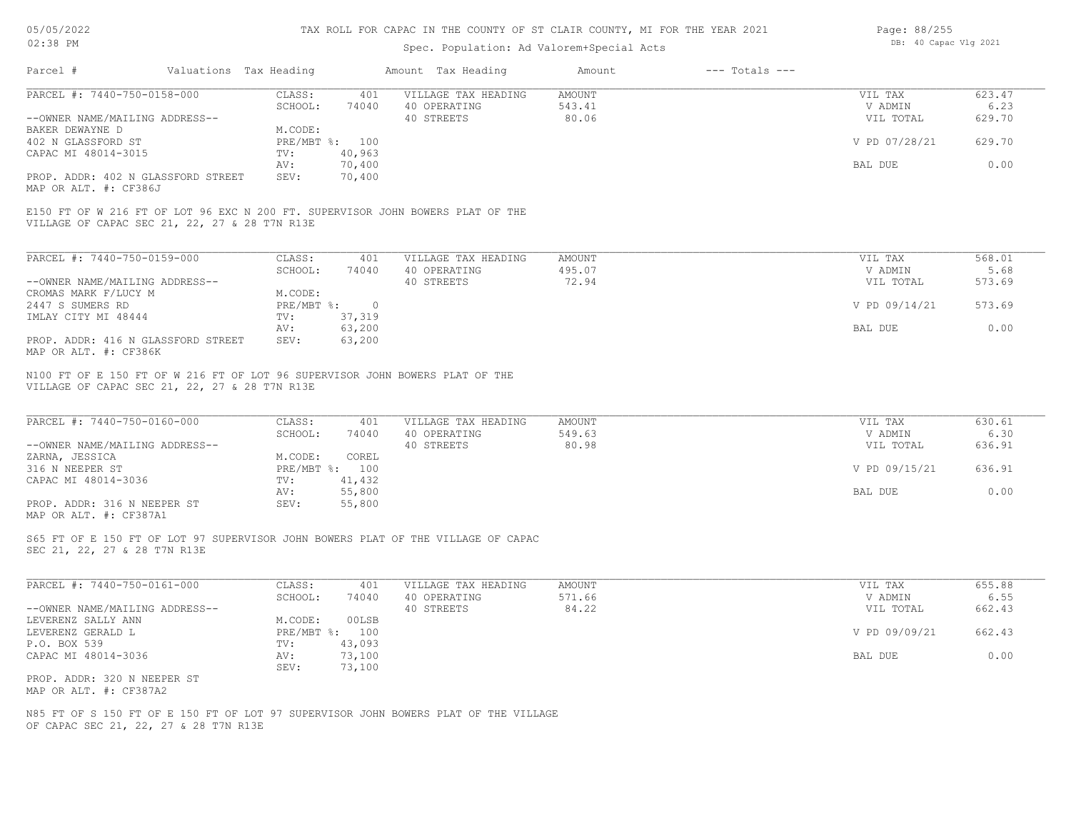### 05/05/2022 02:38 PM

#### TAX ROLL FOR CAPAC IN THE COUNTY OF ST CLAIR COUNTY, MI FOR THE YEAR 2021

# Spec. Population: Ad Valorem+Special Acts

| Page: 88/255 |                       |  |
|--------------|-----------------------|--|
|              | DB: 40 Capac Vlg 2021 |  |

| PARCEL #: 7440-750-0158-000                                                                                                                                                               | CLASS:<br>401                          | VILLAGE TAX HEADING                 | AMOUNT                  | VIL TAX              | 623.47         |
|-------------------------------------------------------------------------------------------------------------------------------------------------------------------------------------------|----------------------------------------|-------------------------------------|-------------------------|----------------------|----------------|
|                                                                                                                                                                                           | SCHOOL:<br>74040                       | 40 OPERATING                        | 543.41                  | V ADMIN              | 6.23           |
| --OWNER NAME/MAILING ADDRESS--                                                                                                                                                            |                                        | 40 STREETS                          | 80.06                   | VIL TOTAL            | 629.70         |
| BAKER DEWAYNE D                                                                                                                                                                           | M.CODE:                                |                                     |                         |                      |                |
| 402 N GLASSFORD ST                                                                                                                                                                        | PRE/MBT %: 100                         |                                     |                         | V PD 07/28/21        | 629.70         |
| CAPAC MI 48014-3015                                                                                                                                                                       | 40,963<br>TV:                          |                                     |                         |                      |                |
| PROP. ADDR: 402 N GLASSFORD STREET                                                                                                                                                        | 70,400<br>AV:<br>SEV:<br>70,400        |                                     |                         | BAL DUE              | 0.00           |
| MAP OR ALT. #: CF386J                                                                                                                                                                     |                                        |                                     |                         |                      |                |
| E150 FT OF W 216 FT OF LOT 96 EXC N 200 FT. SUPERVISOR JOHN BOWERS PLAT OF THE<br>VILLAGE OF CAPAC SEC 21, 22, 27 & 28 T7N R13E                                                           |                                        |                                     |                         |                      |                |
|                                                                                                                                                                                           |                                        |                                     |                         |                      |                |
| PARCEL #: 7440-750-0159-000                                                                                                                                                               | CLASS:<br>401                          | VILLAGE TAX HEADING                 | AMOUNT                  | VIL TAX              | 568.01         |
| --OWNER NAME/MAILING ADDRESS--                                                                                                                                                            | SCHOOL:<br>74040                       | 40 OPERATING<br>40 STREETS          | 495.07<br>72.94         | V ADMIN<br>VIL TOTAL | 5.68<br>573.69 |
| CROMAS MARK F/LUCY M                                                                                                                                                                      | M.CODE:                                |                                     |                         |                      |                |
| 2447 S SUMERS RD                                                                                                                                                                          | PRE/MBT %:<br>$\overline{\phantom{0}}$ |                                     |                         | V PD 09/14/21        | 573.69         |
| IMLAY CITY MI 48444                                                                                                                                                                       | 37,319<br>TV:                          |                                     |                         |                      |                |
|                                                                                                                                                                                           | 63,200<br>AV:                          |                                     |                         | BAL DUE              | 0.00           |
| PROP. ADDR: 416 N GLASSFORD STREET<br>MAP OR ALT. #: CF386K                                                                                                                               | SEV:<br>63,200                         |                                     |                         |                      |                |
|                                                                                                                                                                                           |                                        |                                     |                         |                      |                |
| PARCEL #: 7440-750-0160-000                                                                                                                                                               | CLASS:<br>401<br>SCHOOL:<br>74040      | VILLAGE TAX HEADING<br>40 OPERATING | <b>AMOUNT</b><br>549.63 | VIL TAX<br>V ADMIN   | 630.61<br>6.30 |
| --OWNER NAME/MAILING ADDRESS--                                                                                                                                                            |                                        | 40 STREETS                          | 80.98                   | VIL TOTAL            | 636.91         |
|                                                                                                                                                                                           | COREL<br>M.CODE:                       |                                     |                         |                      |                |
|                                                                                                                                                                                           | PRE/MBT %: 100                         |                                     |                         | V PD 09/15/21        | 636.91         |
| N100 FT OF E 150 FT OF W 216 FT OF LOT 96 SUPERVISOR JOHN BOWERS PLAT OF THE<br>VILLAGE OF CAPAC SEC 21, 22, 27 & 28 T7N R13E<br>ZARNA, JESSICA<br>316 N NEEPER ST<br>CAPAC MI 48014-3036 | 41,432<br>TV:                          |                                     |                         |                      |                |
| PROP. ADDR: 316 N NEEPER ST                                                                                                                                                               | 55,800<br>AV:<br>SEV:<br>55,800        |                                     |                         | BAL DUE              | 0.00           |
| MAP OR ALT. #: CF387A1                                                                                                                                                                    |                                        |                                     |                         |                      |                |
| S65 FT OF E 150 FT OF LOT 97 SUPERVISOR JOHN BOWERS PLAT OF THE VILLAGE OF CAPAC<br>SEC 21, 22, 27 & 28 T7N R13E                                                                          |                                        |                                     |                         |                      |                |
|                                                                                                                                                                                           | CLASS:<br>401                          | VILLAGE TAX HEADING                 | <b>AMOUNT</b>           | VIL TAX              | 655.88         |
|                                                                                                                                                                                           | SCHOOL:<br>74040                       | 40 OPERATING                        | 571.66                  | V ADMIN              | 6.55           |
|                                                                                                                                                                                           |                                        | 40 STREETS                          | 84.22                   | VIL TOTAL            | 662.43         |
|                                                                                                                                                                                           | 00LSB<br>M.CODE:                       |                                     |                         |                      |                |
| PARCEL #: 7440-750-0161-000<br>--OWNER NAME/MAILING ADDRESS--                                                                                                                             | PRE/MBT %: 100                         |                                     |                         | V PD 09/09/21        | 662.43         |
|                                                                                                                                                                                           | TV:<br>43,093                          |                                     |                         |                      |                |
| LEVERENZ SALLY ANN<br>LEVERENZ GERALD L<br>P.O. BOX 539<br>CAPAC MI 48014-3036                                                                                                            | 73,100<br>AV:<br>SEV:<br>73,100        |                                     |                         | BAL DUE              | 0.00           |

OF CAPAC SEC 21, 22, 27 & 28 T7N R13E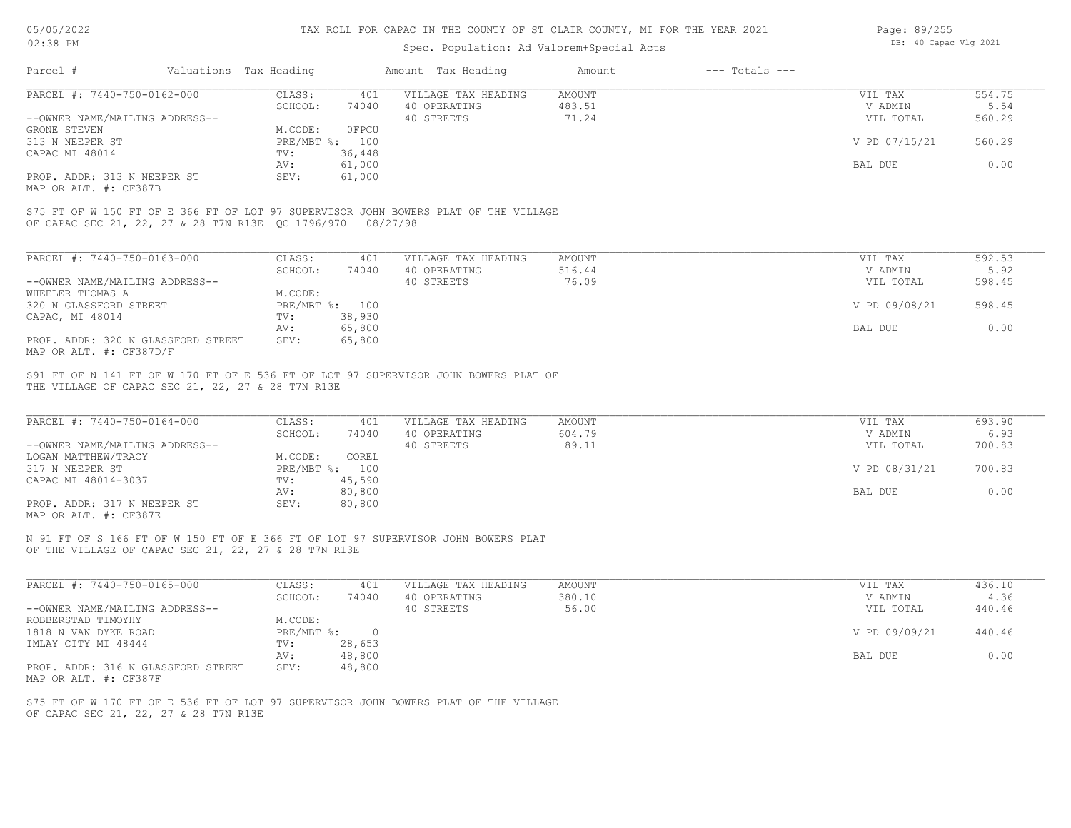#### Spec. Population: Ad Valorem+Special Acts

| Page: 89/255 |                       |  |
|--------------|-----------------------|--|
|              | DB: 40 Capac Vlg 2021 |  |

| Parcel #                                             | Valuations Tax Heading |        | Amount Tax Heading  | Amount | $---$ Totals $---$ |               |        |
|------------------------------------------------------|------------------------|--------|---------------------|--------|--------------------|---------------|--------|
| PARCEL #: 7440-750-0162-000                          | CLASS:                 | 401    | VILLAGE TAX HEADING | AMOUNT |                    | VIL TAX       | 554.75 |
|                                                      | SCHOOL:                | 74040  | 40 OPERATING        | 483.51 |                    | V ADMIN       | 5.54   |
| --OWNER NAME/MAILING ADDRESS--                       |                        |        | 40 STREETS          | 71.24  |                    | VIL TOTAL     | 560.29 |
| GRONE STEVEN                                         | M.CODE:                | OFPCU  |                     |        |                    |               |        |
| 313 N NEEPER ST                                      | $PRE/MBT$ %:           | 100    |                     |        |                    | V PD 07/15/21 | 560.29 |
| CAPAC MI 48014                                       | TV:                    | 36,448 |                     |        |                    |               |        |
|                                                      | AV:                    | 61,000 |                     |        |                    | BAL DUE       | 0.00   |
| PROP. ADDR: 313 N NEEPER ST<br>MAP OR ALT. #: CF387B | SEV:                   | 61,000 |                     |        |                    |               |        |

OF CAPAC SEC 21, 22, 27 & 28 T7N R13E QC 1796/970 08/27/98 S75 FT OF W 150 FT OF E 366 FT OF LOT 97 SUPERVISOR JOHN BOWERS PLAT OF THE VILLAGE

| PARCEL #: 7440-750-0163-000        | CLASS:     | 401    | VILLAGE TAX HEADING | AMOUNT | VIL TAX | 592.53                  |  |
|------------------------------------|------------|--------|---------------------|--------|---------|-------------------------|--|
|                                    | SCHOOL:    | 74040  | 40 OPERATING        | 516.44 |         | 5.92<br>V ADMIN         |  |
| --OWNER NAME/MAILING ADDRESS--     |            |        | 40 STREETS          | 76.09  |         | 598.45<br>VIL TOTAL     |  |
| WHEELER THOMAS A                   | M.CODE:    |        |                     |        |         |                         |  |
| 320 N GLASSFORD STREET             | PRE/MBT %: | 100    |                     |        |         | V PD 09/08/21<br>598.45 |  |
| CAPAC, MI 48014                    | TV:        | 38,930 |                     |        |         |                         |  |
|                                    | AV:        | 65,800 |                     |        | BAL DUE | 0.00                    |  |
| PROP. ADDR: 320 N GLASSFORD STREET | SEV:       | 65,800 |                     |        |         |                         |  |
| MAP OR ALT. #: CF387D/F            |            |        |                     |        |         |                         |  |

THE VILLAGE OF CAPAC SEC 21, 22, 27 & 28 T7N R13E S91 FT OF N 141 FT OF W 170 FT OF E 536 FT OF LOT 97 SUPERVISOR JOHN BOWERS PLAT OF

| PARCEL #: 7440-750-0164-000    | CLASS:  | 401            | VILLAGE TAX HEADING | AMOUNT | VIL TAX       | 693.90 |
|--------------------------------|---------|----------------|---------------------|--------|---------------|--------|
|                                | SCHOOL: | 74040          | 40 OPERATING        | 604.79 | V ADMIN       | 6.93   |
| --OWNER NAME/MAILING ADDRESS-- |         |                | 40 STREETS          | 89.11  | VIL TOTAL     | 700.83 |
| LOGAN MATTHEW/TRACY            | M.CODE: | COREL          |                     |        |               |        |
| 317 N NEEPER ST                |         | PRE/MBT %: 100 |                     |        | V PD 08/31/21 | 700.83 |
| CAPAC MI 48014-3037            | TV:     | 45,590         |                     |        |               |        |
|                                | AV:     | 80,800         |                     |        | BAL DUE       | 0.00   |
| PROP. ADDR: 317 N NEEPER ST    | SEV:    | 80,800         |                     |        |               |        |
|                                |         |                |                     |        |               |        |

MAP OR ALT. #: CF387E

OF THE VILLAGE OF CAPAC SEC 21, 22, 27 & 28 T7N R13E N 91 FT OF S 166 FT OF W 150 FT OF E 366 FT OF LOT 97 SUPERVISOR JOHN BOWERS PLAT

| PARCEL #: 7440-750-0165-000        | CLASS:     | 401    | VILLAGE TAX HEADING | AMOUNT | VIL TAX       | 436.10 |
|------------------------------------|------------|--------|---------------------|--------|---------------|--------|
|                                    | SCHOOL:    | 74040  | 40 OPERATING        | 380.10 | V ADMIN       | 4.36   |
| --OWNER NAME/MAILING ADDRESS--     |            |        | 40 STREETS          | 56.00  | VIL TOTAL     | 440.46 |
| ROBBERSTAD TIMOYHY                 | M.CODE:    |        |                     |        |               |        |
| 1818 N VAN DYKE ROAD               | PRE/MBT %: |        |                     |        | V PD 09/09/21 | 440.46 |
| IMLAY CITY MI 48444                | TV:        | 28,653 |                     |        |               |        |
|                                    | AV:        | 48,800 |                     |        | BAL DUE       | 0.00   |
| PROP. ADDR: 316 N GLASSFORD STREET | SEV:       | 48,800 |                     |        |               |        |
| MAP OR ALT. #: CF387F              |            |        |                     |        |               |        |

OF CAPAC SEC 21, 22, 27 & 28 T7N R13E S75 FT OF W 170 FT OF E 536 FT OF LOT 97 SUPERVISOR JOHN BOWERS PLAT OF THE VILLAGE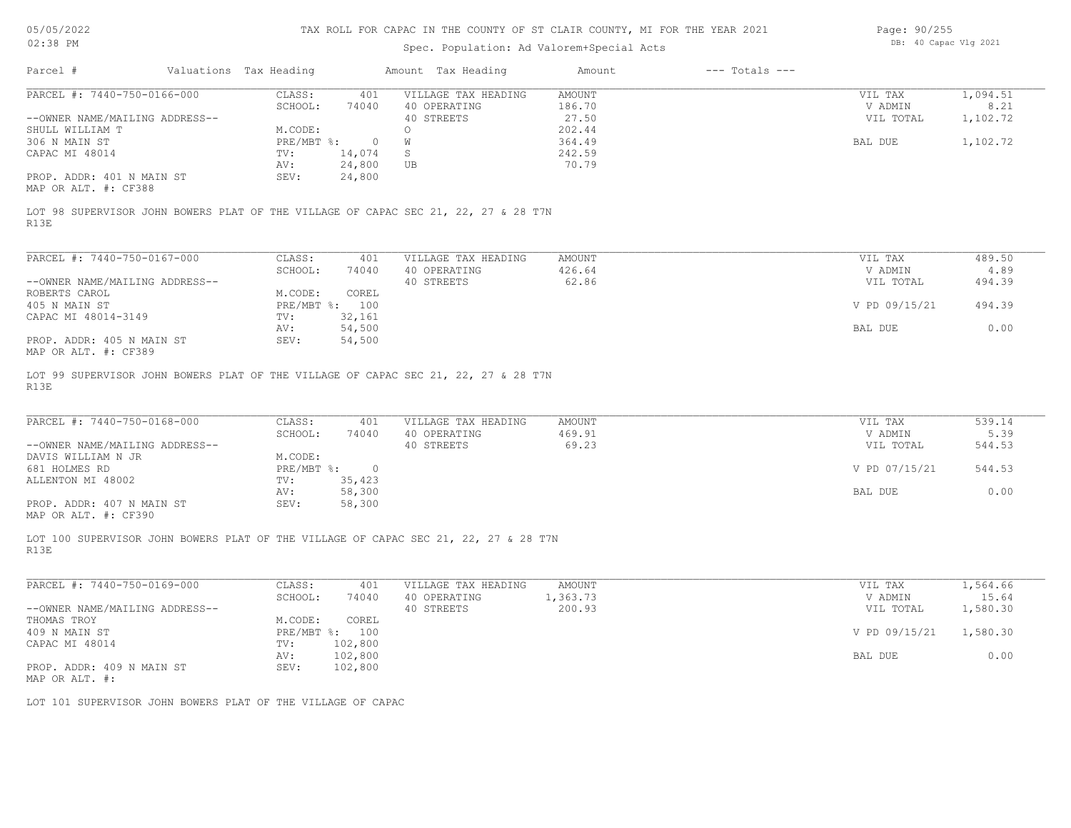### Spec. Population: Ad Valorem+Special Acts

| Page: 90/255 |                       |  |
|--------------|-----------------------|--|
|              | DB: 40 Capac Vlg 2021 |  |

| Parcel #                       | Valuations Tax Heading    |          | Amount Tax Heading                                                                 | Amount | $---$ Totals $---$ |                    |          |
|--------------------------------|---------------------------|----------|------------------------------------------------------------------------------------|--------|--------------------|--------------------|----------|
| PARCEL #: 7440-750-0166-000    | CLASS:                    | 401      | VILLAGE TAX HEADING                                                                | AMOUNT |                    | VIL TAX            | 1,094.51 |
|                                | SCHOOL:                   | 74040    | 40 OPERATING                                                                       | 186.70 |                    | V ADMIN            | 8.21     |
| --OWNER NAME/MAILING ADDRESS-- |                           |          | 40 STREETS                                                                         | 27.50  |                    | VIL TOTAL          | 1,102.72 |
| SHULL WILLIAM T                | M.CODE:                   |          |                                                                                    | 202.44 |                    |                    |          |
| 306 N MAIN ST                  | $PRE/MBT$ $\frac{1}{6}$ : | $\Omega$ |                                                                                    | 364.49 |                    | BAL DUE            | 1,102.72 |
| CAPAC MI 48014                 | TV:                       | 14,074   | S                                                                                  | 242.59 |                    |                    |          |
|                                | AV:                       | 24,800   | UB                                                                                 | 70.79  |                    |                    |          |
| PROP. ADDR: 401 N MAIN ST      | SEV:                      | 24,800   |                                                                                    |        |                    |                    |          |
| MAP OR ALT. #: CF388           |                           |          |                                                                                    |        |                    |                    |          |
| R13E                           |                           |          | LOT 98 SUPERVISOR JOHN BOWERS PLAT OF THE VILLAGE OF CAPAC SEC 21, 22, 27 & 28 T7N |        |                    |                    |          |
| PARCEL #: 7440-750-0167-000    | CLASS:                    | 401      | VILLAGE TAX HEADING                                                                | AMOUNT |                    | VIL TAX            | 489.50   |
|                                | $CCTI\cap T$ .            | $71010$  | 10.00000000000                                                                     | 1222   |                    | <b>IT A DIATIT</b> | $\wedge$ |

|                                | SCHOOL:      | 74040  | 40 OPERATING | 426.64 | V ADMIN       | 4.89   |
|--------------------------------|--------------|--------|--------------|--------|---------------|--------|
| --OWNER NAME/MAILING ADDRESS-- |              |        | 40 STREETS   | 62.86  | VIL TOTAL     | 494.39 |
| ROBERTS CAROL                  | M.CODE:      | COREL  |              |        |               |        |
| 405 N MAIN ST                  | $PRE/MBT$ %: | 100    |              |        | V PD 09/15/21 | 494.39 |
| CAPAC MI 48014-3149            | TV:          | 32,161 |              |        |               |        |
|                                | AV:          | 54,500 |              |        | BAL DUE       | 0.00   |
| PROP. ADDR: 405 N MAIN ST      | SEV:         | 54,500 |              |        |               |        |
| MAP OR ALT. #: CF389           |              |        |              |        |               |        |

R13E LOT 99 SUPERVISOR JOHN BOWERS PLAT OF THE VILLAGE OF CAPAC SEC 21, 22, 27 & 28 T7N

| PARCEL #: 7440-750-0168-000    | CLASS:     | 401    | VILLAGE TAX HEADING | AMOUNT | VIL TAX       | 539.14 |
|--------------------------------|------------|--------|---------------------|--------|---------------|--------|
|                                | SCHOOL:    | 74040  | 40 OPERATING        | 469.91 | V ADMIN       | 5.39   |
| --OWNER NAME/MAILING ADDRESS-- |            |        | 40 STREETS          | 69.23  | VIL TOTAL     | 544.53 |
| DAVIS WILLIAM N JR             | M.CODE:    |        |                     |        |               |        |
| 681 HOLMES RD                  | PRE/MBT %: |        |                     |        | V PD 07/15/21 | 544.53 |
| ALLENTON MI 48002              | TV:        | 35,423 |                     |        |               |        |
|                                | AV:        | 58,300 |                     |        | BAL DUE       | 0.00   |
| PROP. ADDR: 407 N MAIN ST      | SEV:       | 58,300 |                     |        |               |        |
|                                |            |        |                     |        |               |        |

MAP OR ALT. #: CF390

R13E LOT 100 SUPERVISOR JOHN BOWERS PLAT OF THE VILLAGE OF CAPAC SEC 21, 22, 27 & 28 T7N

| PARCEL #: 7440-750-0169-000    | CLASS:       | 401     | VILLAGE TAX HEADING | AMOUNT   | VIL TAX       | 1,564.66 |
|--------------------------------|--------------|---------|---------------------|----------|---------------|----------|
|                                | SCHOOL:      | 74040   | 40 OPERATING        | 1,363.73 | V ADMIN       | 15.64    |
| --OWNER NAME/MAILING ADDRESS-- |              |         | 40 STREETS          | 200.93   | VIL TOTAL     | 1,580.30 |
| THOMAS TROY                    | M.CODE:      | COREL   |                     |          |               |          |
| 409 N MAIN ST                  | $PRE/MBT$ %: | 100     |                     |          | V PD 09/15/21 | 1,580.30 |
| CAPAC MI 48014                 | TV:          | 102,800 |                     |          |               |          |
|                                | AV:          | 102,800 |                     |          | BAL DUE       | 0.00     |
| PROP. ADDR: 409 N MAIN ST      | SEV:         | 102,800 |                     |          |               |          |
| MAP OR ALT. #:                 |              |         |                     |          |               |          |

 $\mathcal{L}_\mathcal{L} = \mathcal{L}_\mathcal{L} = \mathcal{L}_\mathcal{L} = \mathcal{L}_\mathcal{L} = \mathcal{L}_\mathcal{L} = \mathcal{L}_\mathcal{L} = \mathcal{L}_\mathcal{L} = \mathcal{L}_\mathcal{L} = \mathcal{L}_\mathcal{L} = \mathcal{L}_\mathcal{L} = \mathcal{L}_\mathcal{L} = \mathcal{L}_\mathcal{L} = \mathcal{L}_\mathcal{L} = \mathcal{L}_\mathcal{L} = \mathcal{L}_\mathcal{L} = \mathcal{L}_\mathcal{L} = \mathcal{L}_\mathcal{L}$ 

LOT 101 SUPERVISOR JOHN BOWERS PLAT OF THE VILLAGE OF CAPAC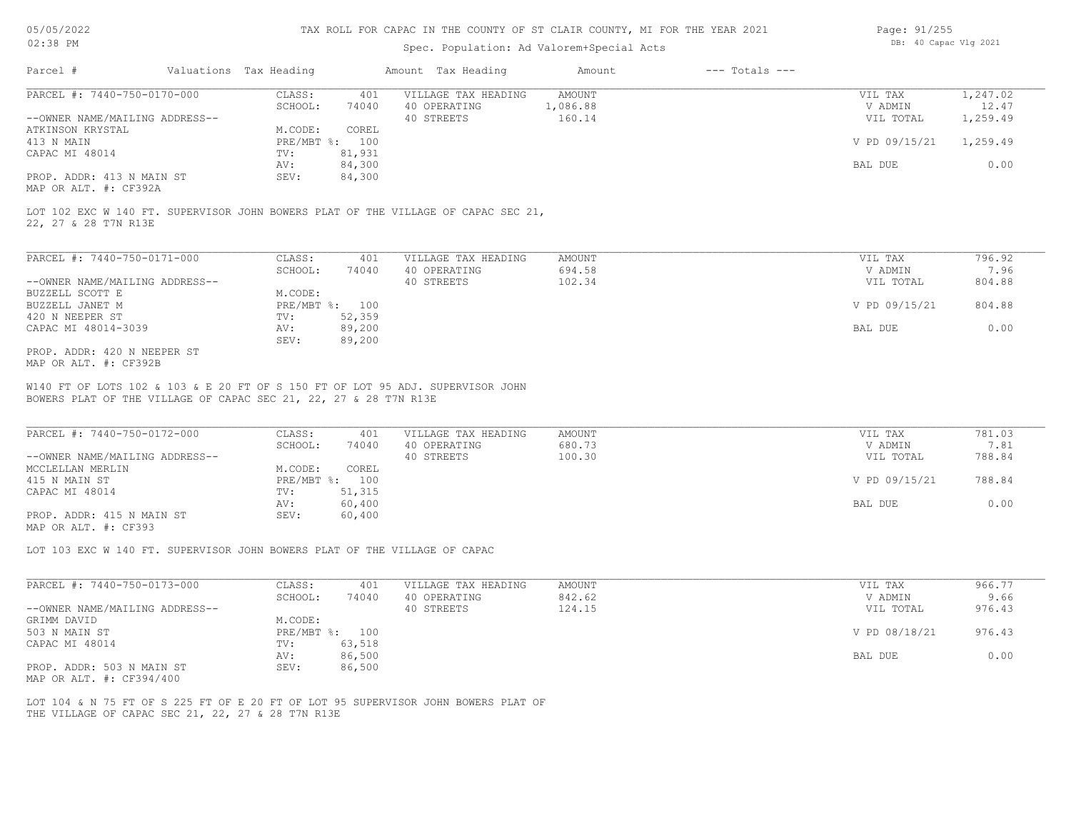#### Spec. Population: Ad Valorem+Special Acts

| Page: 91/255 |                       |  |
|--------------|-----------------------|--|
|              | DB: 40 Capac Vlg 2021 |  |

| Parcel #                       | Valuations Tax Heading |                | Amount Tax Heading  | Amount   | $---$ Totals $---$ |               |          |
|--------------------------------|------------------------|----------------|---------------------|----------|--------------------|---------------|----------|
| PARCEL #: 7440-750-0170-000    | CLASS:                 | 401            | VILLAGE TAX HEADING | AMOUNT   |                    | VIL TAX       | 1,247.02 |
|                                | SCHOOL:                | 74040          | 40 OPERATING        | 1,086.88 |                    | V ADMIN       | 12.47    |
| --OWNER NAME/MAILING ADDRESS-- |                        |                | 40 STREETS          | 160.14   |                    | VIL TOTAL     | 1,259.49 |
| ATKINSON KRYSTAL               | M.CODE:                | COREL          |                     |          |                    |               |          |
| 413 N MAIN                     |                        | PRE/MBT %: 100 |                     |          |                    | V PD 09/15/21 | 1,259.49 |
| CAPAC MI 48014                 | TV:                    | 81,931         |                     |          |                    |               |          |
|                                | AV:                    | 84,300         |                     |          |                    | BAL DUE       | 0.00     |
| PROP. ADDR: 413 N MAIN ST      | SEV:                   | 84,300         |                     |          |                    |               |          |
|                                |                        |                |                     |          |                    |               |          |

MAP OR ALT. #: CF392A

22, 27 & 28 T7N R13E LOT 102 EXC W 140 FT. SUPERVISOR JOHN BOWERS PLAT OF THE VILLAGE OF CAPAC SEC 21,

| PARCEL #: 7440-750-0171-000    | CLASS:       | 401    | VILLAGE TAX HEADING | AMOUNT | VIL TAX       | 796.92 |
|--------------------------------|--------------|--------|---------------------|--------|---------------|--------|
|                                | SCHOOL:      | 74040  | 40 OPERATING        | 694.58 | V ADMIN       | 7.96   |
| --OWNER NAME/MAILING ADDRESS-- |              |        | 40 STREETS          | 102.34 | VIL TOTAL     | 804.88 |
| BUZZELL SCOTT E                | M.CODE:      |        |                     |        |               |        |
| BUZZELL JANET M                | $PRE/MBT$ %: | 100    |                     |        | V PD 09/15/21 | 804.88 |
| 420 N NEEPER ST                | TV:          | 52,359 |                     |        |               |        |
| CAPAC MI 48014-3039            | AV:          | 89,200 |                     |        | BAL DUE       | 0.00   |
|                                | SEV:         | 89,200 |                     |        |               |        |
| PROP. ADDR: 420 N NEEPER ST    |              |        |                     |        |               |        |

MAP OR ALT. #: CF392B

BOWERS PLAT OF THE VILLAGE OF CAPAC SEC 21, 22, 27 & 28 T7N R13E W140 FT OF LOTS 102 & 103 & E 20 FT OF S 150 FT OF LOT 95 ADJ. SUPERVISOR JOHN

| PARCEL #: 7440-750-0172-000    | CLASS:       | 401    | VILLAGE TAX HEADING | AMOUNT | VIL TAX       | 781.03 |  |
|--------------------------------|--------------|--------|---------------------|--------|---------------|--------|--|
|                                | SCHOOL:      | 74040  | 40 OPERATING        | 680.73 | V ADMIN       | 7.81   |  |
| --OWNER NAME/MAILING ADDRESS-- |              |        | 40 STREETS          | 100.30 | VIL TOTAL     | 788.84 |  |
| MCCLELLAN MERLIN               | M.CODE:      | COREL  |                     |        |               |        |  |
| 415 N MAIN ST                  | $PRE/MBT$ %: | 100    |                     |        | V PD 09/15/21 | 788.84 |  |
| CAPAC MI 48014                 | TV:          | 51,315 |                     |        |               |        |  |
|                                | AV:          | 60,400 |                     |        | BAL DUE       | 0.00   |  |
| PROP. ADDR: 415 N MAIN ST      | SEV:         | 60,400 |                     |        |               |        |  |
|                                |              |        |                     |        |               |        |  |

 $\mathcal{L}_\mathcal{L} = \mathcal{L}_\mathcal{L} = \mathcal{L}_\mathcal{L} = \mathcal{L}_\mathcal{L} = \mathcal{L}_\mathcal{L} = \mathcal{L}_\mathcal{L} = \mathcal{L}_\mathcal{L} = \mathcal{L}_\mathcal{L} = \mathcal{L}_\mathcal{L} = \mathcal{L}_\mathcal{L} = \mathcal{L}_\mathcal{L} = \mathcal{L}_\mathcal{L} = \mathcal{L}_\mathcal{L} = \mathcal{L}_\mathcal{L} = \mathcal{L}_\mathcal{L} = \mathcal{L}_\mathcal{L} = \mathcal{L}_\mathcal{L}$ 

MAP OR ALT. #: CF393

LOT 103 EXC W 140 FT. SUPERVISOR JOHN BOWERS PLAT OF THE VILLAGE OF CAPAC

| PARCEL #: 7440-750-0173-000    | CLASS:     | 401    | VILLAGE TAX HEADING | AMOUNT | VIL TAX       | 966.77 |
|--------------------------------|------------|--------|---------------------|--------|---------------|--------|
|                                | SCHOOL:    | 74040  | 40 OPERATING        | 842.62 | V ADMIN       | 9.66   |
| --OWNER NAME/MAILING ADDRESS-- |            |        | 40 STREETS          | 124.15 | VIL TOTAL     | 976.43 |
| GRIMM DAVID                    | M.CODE:    |        |                     |        |               |        |
| 503 N MAIN ST                  | PRE/MBT %: | 100    |                     |        | V PD 08/18/21 | 976.43 |
| CAPAC MI 48014                 | TV:        | 63,518 |                     |        |               |        |
|                                | AV:        | 86,500 |                     |        | BAL DUE       | 0.00   |
| PROP. ADDR: 503 N MAIN ST      | SEV:       | 86,500 |                     |        |               |        |
| MAP OR ALT. #: CF394/400       |            |        |                     |        |               |        |

THE VILLAGE OF CAPAC SEC 21, 22, 27 & 28 T7N R13E LOT 104 & N 75 FT OF S 225 FT OF E 20 FT OF LOT 95 SUPERVISOR JOHN BOWERS PLAT OF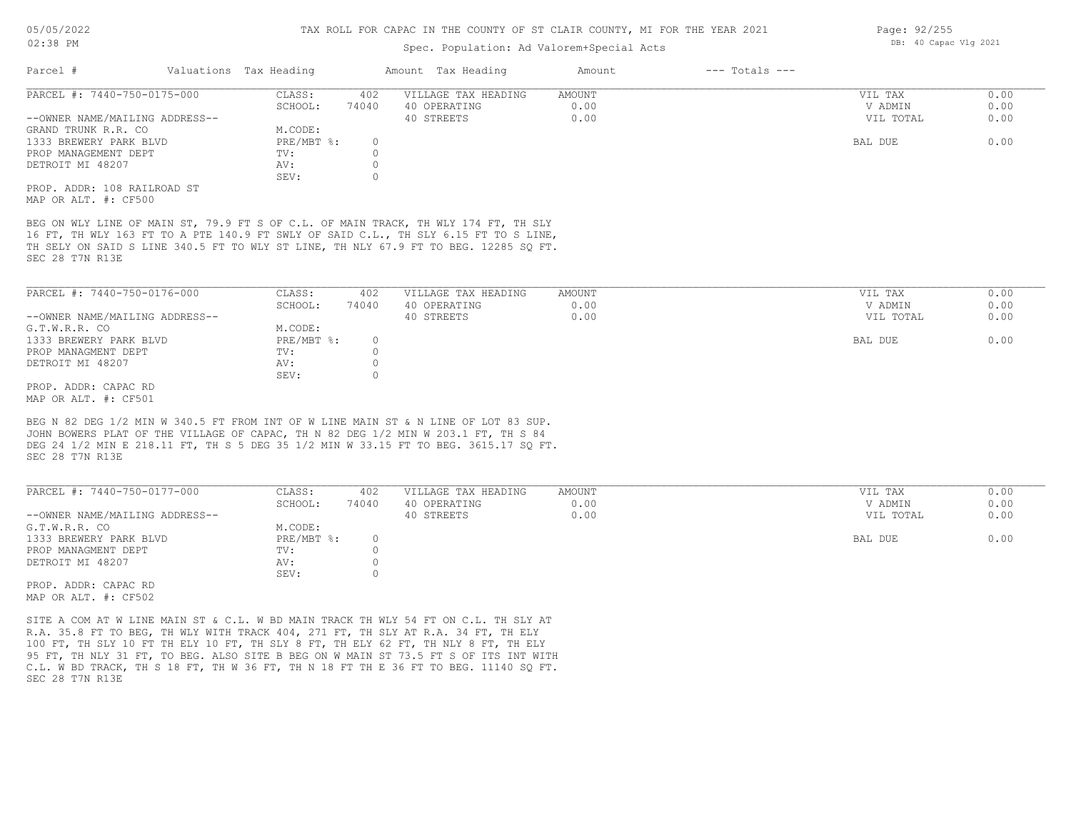#### Spec. Population: Ad Valorem+Special Acts

| Parcel #                       | Valuations Tax Heading |       | Amount Tax Heading  | Amount | $---$ Totals $---$ |           |      |
|--------------------------------|------------------------|-------|---------------------|--------|--------------------|-----------|------|
| PARCEL #: 7440-750-0175-000    | CLASS:                 | 402   | VILLAGE TAX HEADING | AMOUNT |                    | VIL TAX   | 0.00 |
|                                | SCHOOL:                | 74040 | 40 OPERATING        | 0.00   |                    | V ADMIN   | 0.00 |
| --OWNER NAME/MAILING ADDRESS-- |                        |       | 40 STREETS          | 0.00   |                    | VIL TOTAL | 0.00 |
| GRAND TRUNK R.R. CO            | M.CODE:                |       |                     |        |                    |           |      |
| 1333 BREWERY PARK BLVD         | PRE/MBT %:             |       |                     |        |                    | BAL DUE   | 0.00 |
| PROP MANAGEMENT DEPT           | TV:                    |       |                     |        |                    |           |      |
| DETROIT MI 48207               | AV:                    |       |                     |        |                    |           |      |
|                                | SEV:                   |       |                     |        |                    |           |      |
| PROP. ADDR: 108 RAILROAD ST    |                        |       |                     |        |                    |           |      |
|                                |                        |       |                     |        |                    |           |      |

MAP OR ALT. #: CF500

SEC 28 T7N R13E TH SELY ON SAID S LINE 340.5 FT TO WLY ST LINE, TH NLY 67.9 FT TO BEG. 12285 SQ FT. 16 FT, TH WLY 163 FT TO A PTE 140.9 FT SWLY OF SAID C.L., TH SLY 6.15 FT TO S LINE, BEG ON WLY LINE OF MAIN ST, 79.9 FT S OF C.L. OF MAIN TRACK, TH WLY 174 FT, TH SLY

| PARCEL #: 7440-750-0176-000    | CLASS:       | 402   | VILLAGE TAX HEADING | AMOUNT | VIL TAX   | 0.00 |
|--------------------------------|--------------|-------|---------------------|--------|-----------|------|
|                                | SCHOOL:      | 74040 | 40 OPERATING        | 0.00   | V ADMIN   | 0.00 |
| --OWNER NAME/MAILING ADDRESS-- |              |       | 40 STREETS          | 0.00   | VIL TOTAL | 0.00 |
| G.T.W.R.R. CO                  | M.CODE:      |       |                     |        |           |      |
| 1333 BREWERY PARK BLVD         | $PRE/MBT$ %: |       |                     |        | BAL DUE   | 0.00 |
| PROP MANAGMENT DEPT            | TV:          |       |                     |        |           |      |
| DETROIT MI 48207               | AV:          |       |                     |        |           |      |
|                                | SEV:         |       |                     |        |           |      |
| PROP. ADDR: CAPAC RD           |              |       |                     |        |           |      |

MAP OR ALT. #: CF501

SEC 28 T7N R13E DEG 24 1/2 MIN E 218.11 FT, TH S 5 DEG 35 1/2 MIN W 33.15 FT TO BEG. 3615.17 SQ FT. JOHN BOWERS PLAT OF THE VILLAGE OF CAPAC, TH N 82 DEG 1/2 MIN W 203.1 FT, TH S 84 BEG N 82 DEG 1/2 MIN W 340.5 FT FROM INT OF W LINE MAIN ST & N LINE OF LOT 83 SUP.

| PARCEL #: 7440-750-0177-000    | CLASS:     | 402   | VILLAGE TAX HEADING | AMOUNT | VIL TAX   | 0.00 |
|--------------------------------|------------|-------|---------------------|--------|-----------|------|
|                                | SCHOOL:    | 74040 | 40 OPERATING        | 0.00   | V ADMIN   | 0.00 |
| --OWNER NAME/MAILING ADDRESS-- |            |       | 40 STREETS          | 0.00   | VIL TOTAL | 0.00 |
| G.T.W.R.R. CO                  | M.CODE:    |       |                     |        |           |      |
| 1333 BREWERY PARK BLVD         | PRE/MBT %: |       |                     |        | BAL DUE   | 0.00 |
| PROP MANAGMENT DEPT            | TV:        |       |                     |        |           |      |
| DETROIT MI 48207               | AV:        |       |                     |        |           |      |
|                                | SEV:       |       |                     |        |           |      |
| <b>PROP. PROP.</b> 21912.PR    |            |       |                     |        |           |      |

MAP OR ALT. #: CF502 PROP. ADDR: CAPAC RD

SEC 28 T7N R13E C.L. W BD TRACK, TH S 18 FT, TH W 36 FT, TH N 18 FT TH E 36 FT TO BEG. 11140 SQ FT. 95 FT, TH NLY 31 FT, TO BEG. ALSO SITE B BEG ON W MAIN ST 73.5 FT S OF ITS INT WITH 100 FT, TH SLY 10 FT TH ELY 10 FT, TH SLY 8 FT, TH ELY 62 FT, TH NLY 8 FT, TH ELY R.A. 35.8 FT TO BEG, TH WLY WITH TRACK 404, 271 FT, TH SLY AT R.A. 34 FT, TH ELY SITE A COM AT W LINE MAIN ST & C.L. W BD MAIN TRACK TH WLY 54 FT ON C.L. TH SLY AT

Page: 92/255 DB: 40 Capac Vlg 2021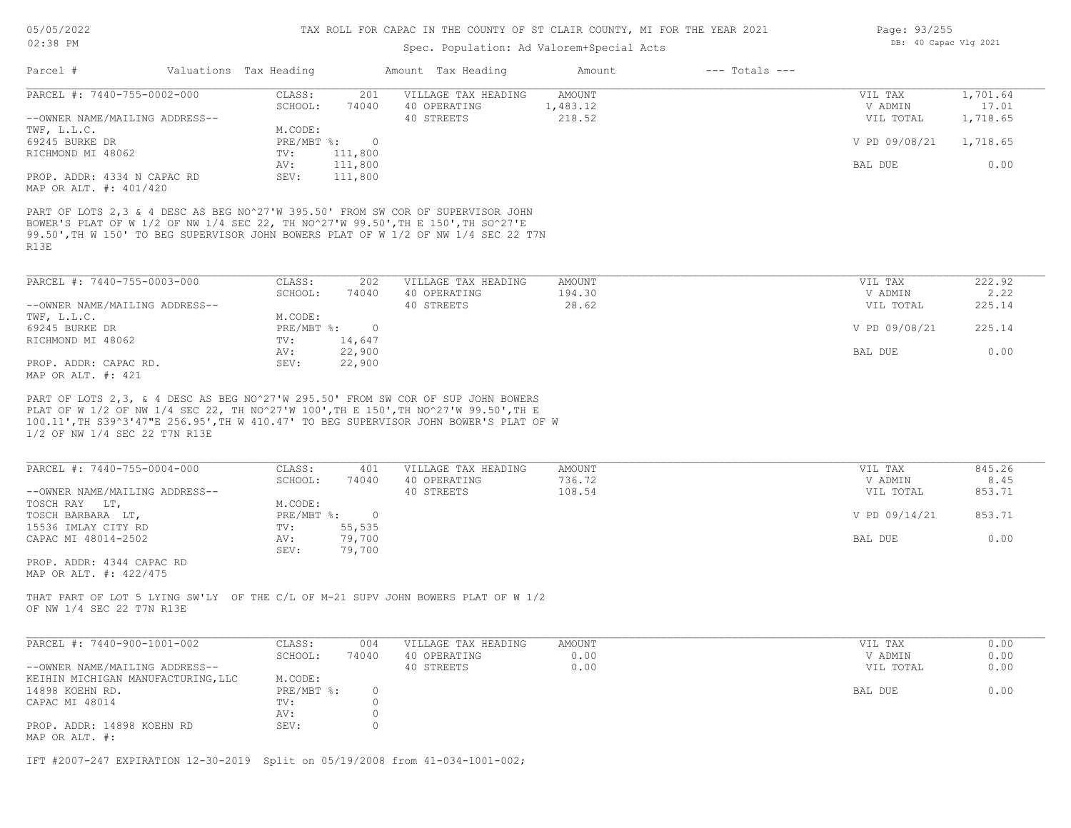# Spec. Population: Ad Valorem+Special Acts

| Parcel #                                                                                                                                                                                                                                                          | Valuations Tax Heading |                              | Amount Tax Heading                  | Amount             | $---$ Totals $---$ |                      |                   |
|-------------------------------------------------------------------------------------------------------------------------------------------------------------------------------------------------------------------------------------------------------------------|------------------------|------------------------------|-------------------------------------|--------------------|--------------------|----------------------|-------------------|
| PARCEL #: 7440-755-0002-000                                                                                                                                                                                                                                       | CLASS:<br>SCHOOL:      | 201<br>74040                 | VILLAGE TAX HEADING<br>40 OPERATING | AMOUNT<br>1,483.12 |                    | VIL TAX<br>V ADMIN   | 1,701.64<br>17.01 |
| --OWNER NAME/MAILING ADDRESS--<br>TWF, L.L.C.                                                                                                                                                                                                                     | M.CODE:                |                              | 40 STREETS                          | 218.52             |                    | VIL TOTAL            | 1,718.65          |
| 69245 BURKE DR<br>RICHMOND MI 48062                                                                                                                                                                                                                               |                        | PRE/MBT %: 0<br>111,800      |                                     |                    |                    | V PD 09/08/21        | 1,718.65          |
|                                                                                                                                                                                                                                                                   | TV:<br>AV:             | 111,800                      |                                     |                    |                    | BAL DUE              | 0.00              |
| PROP. ADDR: 4334 N CAPAC RD<br>MAP OR ALT. #: 401/420                                                                                                                                                                                                             | SEV:                   | 111,800                      |                                     |                    |                    |                      |                   |
| PART OF LOTS 2,3 & 4 DESC AS BEG NO^27'W 395.50' FROM SW COR OF SUPERVISOR JOHN<br>BOWER'S PLAT OF W 1/2 OF NW 1/4 SEC 22, TH NO^27'W 99.50', TH E 150', TH SO^27'E<br>99.50', TH W 150' TO BEG SUPERVISOR JOHN BOWERS PLAT OF W 1/2 OF NW 1/4 SEC 22 T7N<br>R13E |                        |                              |                                     |                    |                    |                      |                   |
| PARCEL #: 7440-755-0003-000                                                                                                                                                                                                                                       | CLASS:                 | 202                          | VILLAGE TAX HEADING                 | AMOUNT             |                    | VIL TAX              | 222.92            |
| --OWNER NAME/MAILING ADDRESS--                                                                                                                                                                                                                                    | SCHOOL:                | 74040                        | 40 OPERATING<br>40 STREETS          | 194.30<br>28.62    |                    | V ADMIN<br>VIL TOTAL | 2.22<br>225.14    |
| TWF, L.L.C.                                                                                                                                                                                                                                                       | M.CODE:                |                              |                                     |                    |                    |                      |                   |
| 69245 BURKE DR                                                                                                                                                                                                                                                    |                        | $PRE/MBT$ $\div$ 0           |                                     |                    |                    | V PD 09/08/21        | 225.14            |
| RICHMOND MI 48062                                                                                                                                                                                                                                                 | TV:                    | 14,647                       |                                     |                    |                    |                      |                   |
| PROP. ADDR: CAPAC RD.<br>MAP OR ALT. #: 421                                                                                                                                                                                                                       | AV:<br>SEV:            | 22,900<br>22,900             |                                     |                    |                    | BAL DUE              | 0.00              |
| 1/2 OF NW 1/4 SEC 22 T7N R13E                                                                                                                                                                                                                                     |                        |                              |                                     |                    |                    |                      |                   |
| PARCEL #: 7440-755-0004-000                                                                                                                                                                                                                                       | CLASS:<br>SCHOOL:      | 401<br>74040                 | VILLAGE TAX HEADING<br>40 OPERATING | AMOUNT<br>736.72   |                    | VIL TAX<br>V ADMIN   | 845.26<br>8.45    |
| --OWNER NAME/MAILING ADDRESS--                                                                                                                                                                                                                                    |                        |                              | 40 STREETS                          | 108.54             |                    | VIL TOTAL            | 853.71            |
| TOSCH RAY LT,                                                                                                                                                                                                                                                     | M.CODE:                |                              |                                     |                    |                    |                      |                   |
| TOSCH BARBARA LT,<br>15536 IMLAY CITY RD                                                                                                                                                                                                                          | TV:                    | $PRE/MBT$ $\div$ 0<br>55,535 |                                     |                    |                    | V PD 09/14/21        | 853.71            |
| CAPAC MI 48014-2502                                                                                                                                                                                                                                               | AV:<br>SEV:            | 79,700<br>79,700             |                                     |                    |                    | BAL DUE              | 0.00              |
| PROP. ADDR: 4344 CAPAC RD<br>MAP OR ALT. #: 422/475                                                                                                                                                                                                               |                        |                              |                                     |                    |                    |                      |                   |
| THAT PART OF LOT 5 LYING SW'LY OF THE C/L OF M-21 SUPV JOHN BOWERS PLAT OF W 1/2<br>OF NW 1/4 SEC 22 T7N R13E                                                                                                                                                     |                        |                              |                                     |                    |                    |                      |                   |
| PARCEL #: 7440-900-1001-002                                                                                                                                                                                                                                       | CLASS:                 | 004                          | VILLAGE TAX HEADING                 | AMOUNT             |                    | VIL TAX              | 0.00              |
|                                                                                                                                                                                                                                                                   | SCHOOL:                | 74040                        | 40 OPERATING                        | 0.00               |                    | V ADMIN              | 0.00              |
| --OWNER NAME/MAILING ADDRESS--<br>KEIHIN MICHIGAN MANUFACTURING, LLC                                                                                                                                                                                              | M.CODE:                |                              | 40 STREETS                          | 0.00               |                    | VIL TOTAL            | 0.00              |
| 14898 KOEHN RD.<br>CAPAC MI 48014                                                                                                                                                                                                                                 | PRE/MBT %:<br>TV:      | $\circ$<br>0                 |                                     |                    |                    | BAL DUE              | 0.00              |
|                                                                                                                                                                                                                                                                   | AV:                    | 0                            |                                     |                    |                    |                      |                   |
| PROP. ADDR: 14898 KOEHN RD<br>MAP OR ALT. #:                                                                                                                                                                                                                      | SEV:                   | 0                            |                                     |                    |                    |                      |                   |
| IFT #2007-247 EXPIRATION 12-30-2019 Split on 05/19/2008 from 41-034-1001-002;                                                                                                                                                                                     |                        |                              |                                     |                    |                    |                      |                   |

Page: 93/255 DB: 40 Capac Vlg 2021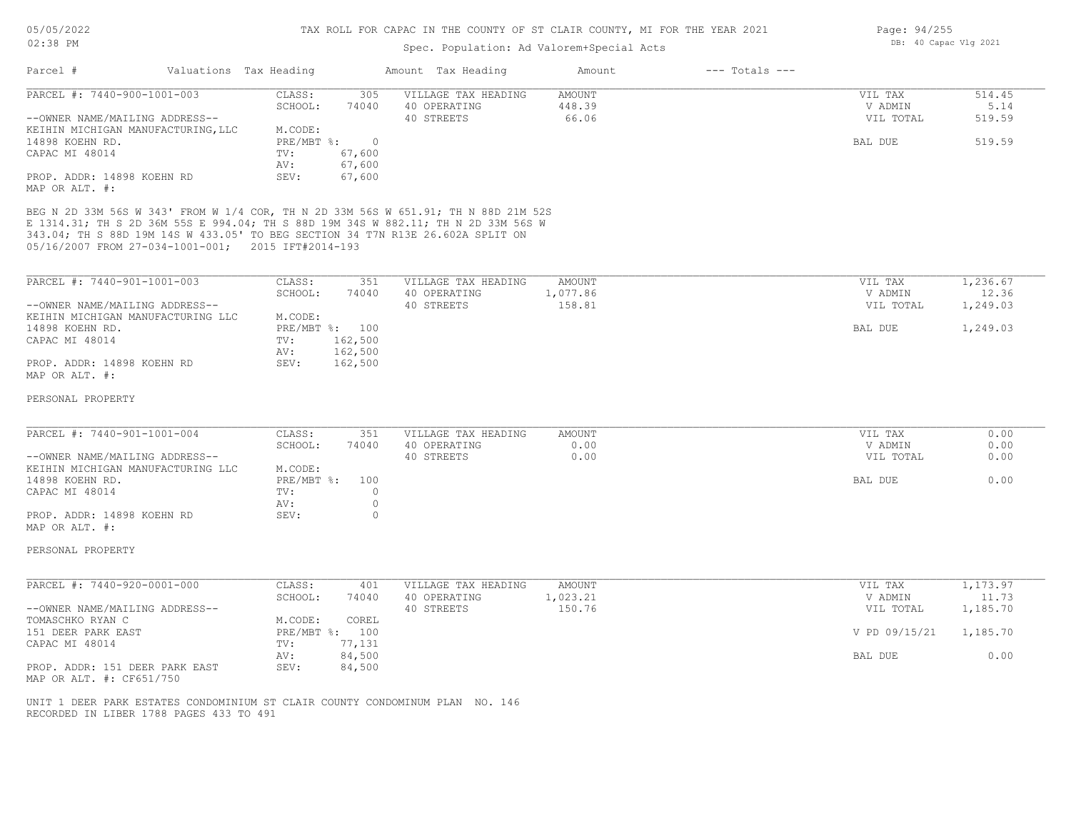# Spec. Population: Ad Valorem+Special Acts

| Parcel #                                                                                                                                                                                                                                                                                                        | Valuations Tax Heading                                           |                                                              | Amount Tax Heading                                | Amount                        | $---$ Totals $---$ |                                            |                                    |
|-----------------------------------------------------------------------------------------------------------------------------------------------------------------------------------------------------------------------------------------------------------------------------------------------------------------|------------------------------------------------------------------|--------------------------------------------------------------|---------------------------------------------------|-------------------------------|--------------------|--------------------------------------------|------------------------------------|
| PARCEL #: 7440-900-1001-003<br>--OWNER NAME/MAILING ADDRESS--<br>KEIHIN MICHIGAN MANUFACTURING, LLC<br>14898 KOEHN RD.<br>CAPAC MI 48014<br>PROP. ADDR: 14898 KOEHN RD<br>MAP OR ALT. #:                                                                                                                        | CLASS:<br>SCHOOL:<br>M.CODE:<br>PRE/MBT %:<br>TV:<br>AV:<br>SEV: | 305<br>74040<br>$\overline{0}$<br>67,600<br>67,600<br>67,600 | VILLAGE TAX HEADING<br>40 OPERATING<br>40 STREETS | AMOUNT<br>448.39<br>66.06     |                    | VIL TAX<br>V ADMIN<br>VIL TOTAL<br>BAL DUE | 514.45<br>5.14<br>519.59<br>519.59 |
| BEG N 2D 33M 56S W 343' FROM W 1/4 COR, TH N 2D 33M 56S W 651.91; TH N 88D 21M 52S<br>E 1314.31; TH S 2D 36M 55S E 994.04; TH S 88D 19M 34S W 882.11; TH N 2D 33M 56S W<br>343.04; TH S 88D 19M 14S W 433.05' TO BEG SECTION 34 T7N R13E 26.602A SPLIT ON<br>05/16/2007 FROM 27-034-1001-001; 2015 IFT#2014-193 |                                                                  |                                                              |                                                   |                               |                    |                                            |                                    |
| PARCEL #: 7440-901-1001-003<br>--OWNER NAME/MAILING ADDRESS--<br>KEIHIN MICHIGAN MANUFACTURING LLC                                                                                                                                                                                                              | CLASS:<br>SCHOOL:<br>M.CODE:                                     | 351<br>74040                                                 | VILLAGE TAX HEADING<br>40 OPERATING<br>40 STREETS | AMOUNT<br>1,077.86<br>158.81  |                    | VIL TAX<br>V ADMIN<br>VIL TOTAL            | 1,236.67<br>12.36<br>1,249.03      |
| 14898 KOEHN RD.<br>CAPAC MI 48014<br>PROP. ADDR: 14898 KOEHN RD<br>MAP OR ALT. #:                                                                                                                                                                                                                               | TV:<br>AV:<br>SEV:                                               | PRE/MBT %: 100<br>162,500<br>162,500<br>162,500              |                                                   |                               |                    | BAL DUE                                    | 1,249.03                           |
| PERSONAL PROPERTY                                                                                                                                                                                                                                                                                               |                                                                  |                                                              |                                                   |                               |                    |                                            |                                    |
| PARCEL #: 7440-901-1001-004<br>--OWNER NAME/MAILING ADDRESS--                                                                                                                                                                                                                                                   | CLASS:<br>SCHOOL:                                                | 351<br>74040                                                 | VILLAGE TAX HEADING<br>40 OPERATING<br>40 STREETS | <b>AMOUNT</b><br>0.00<br>0.00 |                    | VIL TAX<br>V ADMIN<br>VIL TOTAL            | 0.00<br>0.00<br>0.00               |
| KEIHIN MICHIGAN MANUFACTURING LLC<br>14898 KOEHN RD.<br>CAPAC MI 48014<br>PROP. ADDR: 14898 KOEHN RD<br>MAP OR ALT. #:                                                                                                                                                                                          | M.CODE:<br>PRE/MBT %:<br>TV:<br>AV:<br>SEV:                      | 100<br>$\circ$<br>$\circ$<br>$\circ$                         |                                                   |                               |                    | <b>BAL DUE</b>                             | 0.00                               |
| PERSONAL PROPERTY                                                                                                                                                                                                                                                                                               |                                                                  |                                                              |                                                   |                               |                    |                                            |                                    |
| PARCEL #: 7440-920-0001-000<br>--OWNER NAME/MAILING ADDRESS--                                                                                                                                                                                                                                                   | CLASS:<br>SCHOOL:                                                | 401<br>74040                                                 | VILLAGE TAX HEADING<br>40 OPERATING<br>40 STREETS | AMOUNT<br>1,023.21<br>150.76  |                    | VIL TAX<br>V ADMIN<br>VIL TOTAL            | 1,173.97<br>11.73<br>1,185.70      |
| TOMASCHKO RYAN C<br>151 DEER PARK EAST<br>CAPAC MI 48014                                                                                                                                                                                                                                                        | M.CODE:<br>PRE/MBT %: 100<br>TV:                                 | COREL<br>77,131                                              |                                                   |                               |                    | V PD 09/15/21                              | 1,185.70                           |
| PROP. ADDR: 151 DEER PARK EAST<br>MAP OR ALT. #: CF651/750                                                                                                                                                                                                                                                      | AV:<br>SEV:                                                      | 84,500<br>84,500                                             |                                                   |                               |                    | BAL DUE                                    | 0.00                               |
| UNIT 1 DEER PARK ESTATES CONDOMINIUM ST CLAIR COUNTY CONDOMINUM PLAN NO. 146<br>RECORDED IN LIBER 1788 PAGES 433 TO 491                                                                                                                                                                                         |                                                                  |                                                              |                                                   |                               |                    |                                            |                                    |

Page: 94/255 DB: 40 Capac Vlg 2021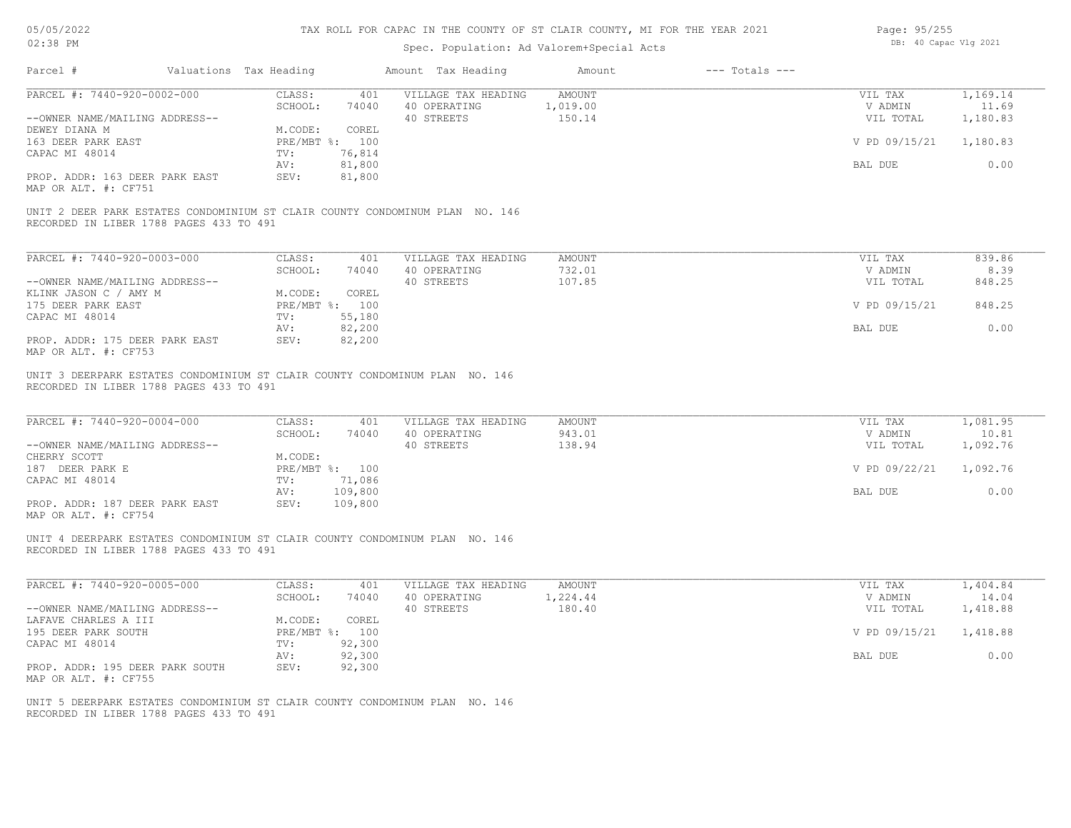| 05/05/2022 |  |
|------------|--|
| 02:38 PM   |  |

| Page: 95/255 |                       |  |
|--------------|-----------------------|--|
|              | DB: 40 Capac Vlg 2021 |  |

| Parcel #                                                                                                                | Valuations Tax Heading |                         | Amount Tax Heading                  | Amount                    | $---$ Totals $---$ |                      |                   |
|-------------------------------------------------------------------------------------------------------------------------|------------------------|-------------------------|-------------------------------------|---------------------------|--------------------|----------------------|-------------------|
| PARCEL #: 7440-920-0002-000                                                                                             | CLASS:<br>SCHOOL:      | 401<br>74040            | VILLAGE TAX HEADING<br>40 OPERATING | <b>AMOUNT</b><br>1,019.00 |                    | VIL TAX<br>V ADMIN   | 1,169.14<br>11.69 |
| --OWNER NAME/MAILING ADDRESS--                                                                                          |                        |                         | 40 STREETS                          | 150.14                    |                    | VIL TOTAL            | 1,180.83          |
| DEWEY DIANA M                                                                                                           | M.CODE:                | COREL                   |                                     |                           |                    |                      |                   |
| 163 DEER PARK EAST                                                                                                      |                        | PRE/MBT %: 100          |                                     |                           |                    | V PD 09/15/21        | 1,180.83          |
| CAPAC MI 48014                                                                                                          | TV:<br>AV:             | 76,814<br>81,800        |                                     |                           |                    | BAL DUE              | 0.00              |
| PROP. ADDR: 163 DEER PARK EAST<br>MAP OR ALT. #: CF751                                                                  | SEV:                   | 81,800                  |                                     |                           |                    |                      |                   |
| UNIT 2 DEER PARK ESTATES CONDOMINIUM ST CLAIR COUNTY CONDOMINUM PLAN NO. 146<br>RECORDED IN LIBER 1788 PAGES 433 TO 491 |                        |                         |                                     |                           |                    |                      |                   |
| PARCEL #: 7440-920-0003-000                                                                                             | CLASS:                 | 401                     | VILLAGE TAX HEADING                 | <b>AMOUNT</b>             |                    | VIL TAX              | 839.86            |
|                                                                                                                         | SCHOOL:                | 74040                   | 40 OPERATING                        | 732.01                    |                    | V ADMIN              | 8.39              |
| --OWNER NAME/MAILING ADDRESS--                                                                                          |                        |                         | 40 STREETS                          | 107.85                    |                    | VIL TOTAL            | 848.25            |
| KLINK JASON C / AMY M<br>175 DEER PARK EAST                                                                             | M.CODE:                | COREL<br>PRE/MBT %: 100 |                                     |                           |                    | V PD 09/15/21        | 848.25            |
| CAPAC MI 48014                                                                                                          | TV:                    | 55,180                  |                                     |                           |                    |                      |                   |
| PROP. ADDR: 175 DEER PARK EAST<br>MAP OR ALT. #: CF753                                                                  | AV:<br>SEV:            | 82,200<br>82,200        |                                     |                           |                    | <b>BAL DUE</b>       | 0.00              |
| UNIT 3 DEERPARK ESTATES CONDOMINIUM ST CLAIR COUNTY CONDOMINUM PLAN NO. 146<br>RECORDED IN LIBER 1788 PAGES 433 TO 491  |                        |                         |                                     |                           |                    |                      |                   |
| PARCEL #: 7440-920-0004-000                                                                                             | CLASS:<br>SCHOOL:      | 401<br>74040            | VILLAGE TAX HEADING<br>40 OPERATING | <b>AMOUNT</b><br>943.01   |                    | VIL TAX<br>V ADMIN   | 1,081.95<br>10.81 |
| --OWNER NAME/MAILING ADDRESS--<br>CHERRY SCOTT                                                                          | M.CODE:                |                         | 40 STREETS                          | 138.94                    |                    | VIL TOTAL            | 1,092.76          |
| 187 DEER PARK E                                                                                                         |                        | PRE/MBT %: 100          |                                     |                           |                    | V PD 09/22/21        | 1,092.76          |
| CAPAC MI 48014                                                                                                          | TV:                    | 71,086                  |                                     |                           |                    |                      |                   |
|                                                                                                                         | AV:                    | 109,800                 |                                     |                           |                    | BAL DUE              | 0.00              |
| PROP. ADDR: 187 DEER PARK EAST<br>MAP OR ALT. #: CF754                                                                  | SEV:                   | 109,800                 |                                     |                           |                    |                      |                   |
| UNIT 4 DEERPARK ESTATES CONDOMINIUM ST CLAIR COUNTY CONDOMINUM PLAN NO. 146<br>RECORDED IN LIBER 1788 PAGES 433 TO 491  |                        |                         |                                     |                           |                    |                      |                   |
| PARCEL #: 7440-920-0005-000                                                                                             | CLASS:                 | 401                     | VILLAGE TAX HEADING                 | <b>AMOUNT</b>             |                    | VIL TAX              | 1,404.84          |
| --OWNER NAME/MAILING ADDRESS--                                                                                          | SCHOOL:                | 74040                   | 40 OPERATING<br>40 STREETS          | 1,224.44<br>180.40        |                    | V ADMIN<br>VIL TOTAL | 14.04<br>1,418.88 |
| LAFAVE CHARLES A III                                                                                                    | M.CODE:                | COREL                   |                                     |                           |                    |                      |                   |
| 195 DEER PARK SOUTH                                                                                                     |                        | PRE/MBT %: 100          |                                     |                           |                    | V PD 09/15/21        | 1,418.88          |
| CAPAC MI 48014                                                                                                          | TV:                    | 92,300                  |                                     |                           |                    |                      |                   |
|                                                                                                                         | AV:                    | 92,300                  |                                     |                           |                    | BAL DUE              | 0.00              |
| PROP. ADDR: 195 DEER PARK SOUTH<br>MAP OR ALT. #: CF755                                                                 | SEV:                   | 92,300                  |                                     |                           |                    |                      |                   |
| UNIT 5 DEERPARK ESTATES CONDOMINIUM ST CLAIR COUNTY CONDOMINUM PLAN NO. 146<br>RECORDED IN LIBER 1788 PAGES 433 TO 491  |                        |                         |                                     |                           |                    |                      |                   |
|                                                                                                                         |                        |                         |                                     |                           |                    |                      |                   |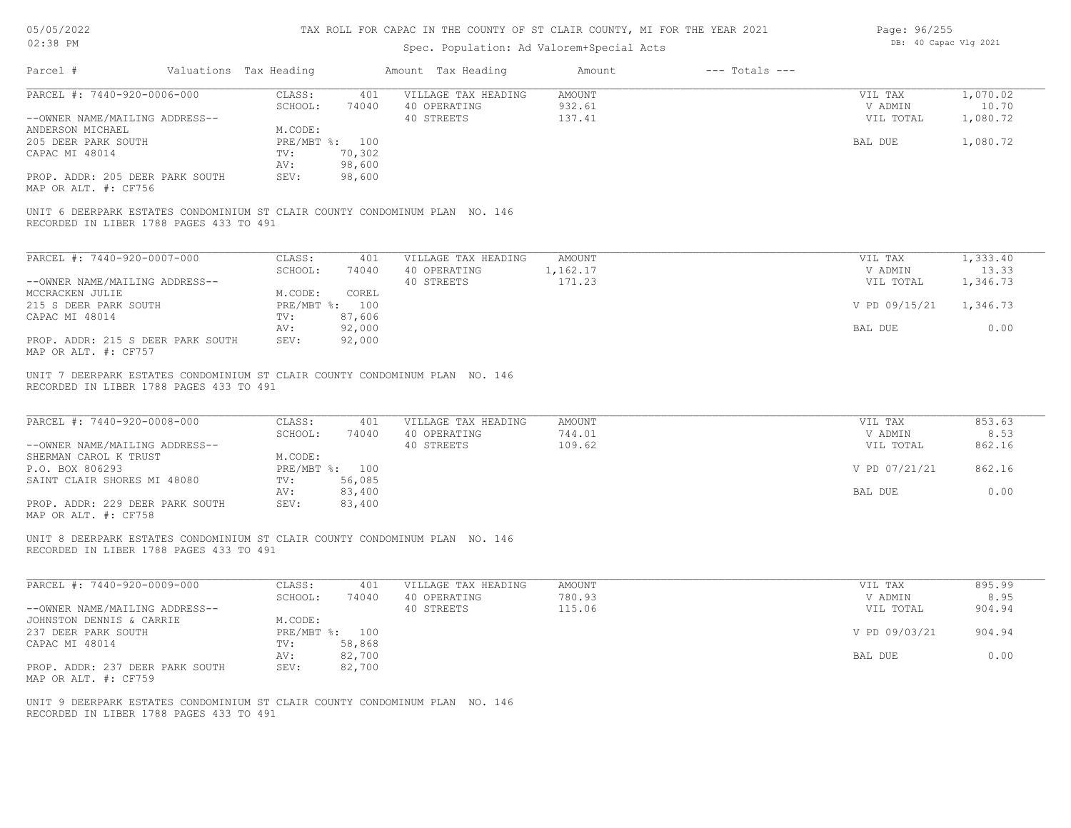| 05/05/2022 |  |
|------------|--|
| 02:38 PM   |  |

| Page: 96/255 |  |                       |  |
|--------------|--|-----------------------|--|
|              |  | DB: 40 Capac Vlg 2021 |  |

| Parcel #                                                                                                               | Valuations Tax Heading |                                                 |                            | Amount Tax Heading                                | Amount                            | $---$ Totals $---$ |                                 |                               |
|------------------------------------------------------------------------------------------------------------------------|------------------------|-------------------------------------------------|----------------------------|---------------------------------------------------|-----------------------------------|--------------------|---------------------------------|-------------------------------|
| PARCEL #: 7440-920-0006-000<br>--OWNER NAME/MAILING ADDRESS--                                                          |                        | CLASS:<br>SCHOOL:                               | 401<br>74040               | VILLAGE TAX HEADING<br>40 OPERATING<br>40 STREETS | <b>AMOUNT</b><br>932.61<br>137.41 |                    | VIL TAX<br>V ADMIN<br>VIL TOTAL | 1,070.02<br>10.70<br>1,080.72 |
| ANDERSON MICHAEL<br>205 DEER PARK SOUTH<br>CAPAC MI 48014<br>PROP. ADDR: 205 DEER PARK SOUTH<br>MAP OR ALT. #: CF756   |                        | M.CODE:<br>PRE/MBT %: 100<br>TV:<br>AV:<br>SEV: | 70,302<br>98,600<br>98,600 |                                                   |                                   |                    | BAL DUE                         | 1,080.72                      |
| UNIT 6 DEERPARK ESTATES CONDOMINIUM ST CLAIR COUNTY CONDOMINUM PLAN NO. 146<br>RECORDED IN LIBER 1788 PAGES 433 TO 491 |                        |                                                 |                            |                                                   |                                   |                    |                                 |                               |
| PARCEL #: 7440-920-0007-000                                                                                            |                        | CLASS:                                          | 401                        | VILLAGE TAX HEADING                               | AMOUNT                            |                    | VIL TAX                         | 1,333.40                      |
| --OWNER NAME/MAILING ADDRESS--                                                                                         |                        | SCHOOL:                                         | 74040                      | 40 OPERATING<br>40 STREETS                        | 1,162.17<br>171.23                |                    | V ADMIN<br>VIL TOTAL            | 13.33<br>1,346.73             |
| MCCRACKEN JULIE<br>215 S DEER PARK SOUTH                                                                               |                        | M.CODE:<br>PRE/MBT %: 100                       | COREL                      |                                                   |                                   |                    | V PD 09/15/21                   | 1,346.73                      |
| CAPAC MI 48014                                                                                                         |                        | TV:<br>AV:                                      | 87,606<br>92,000           |                                                   |                                   |                    | BAL DUE                         | 0.00                          |
| PROP. ADDR: 215 S DEER PARK SOUTH<br>MAP OR ALT. #: CF757                                                              |                        | SEV:                                            | 92,000                     |                                                   |                                   |                    |                                 |                               |
| UNIT 7 DEERPARK ESTATES CONDOMINIUM ST CLAIR COUNTY CONDOMINUM PLAN NO. 146<br>RECORDED IN LIBER 1788 PAGES 433 TO 491 |                        |                                                 |                            |                                                   |                                   |                    |                                 |                               |
| PARCEL #: 7440-920-0008-000                                                                                            |                        | CLASS:<br>SCHOOL:                               | 401<br>74040               | VILLAGE TAX HEADING<br>40 OPERATING               | AMOUNT<br>744.01                  |                    | VIL TAX<br>V ADMIN              | 853.63<br>8.53                |
| --OWNER NAME/MAILING ADDRESS--<br>SHERMAN CAROL K TRUST<br>P.O. BOX 806293                                             |                        | M.CODE:<br>PRE/MBT %: 100                       |                            | 40 STREETS                                        | 109.62                            |                    | VIL TOTAL<br>V PD 07/21/21      | 862.16<br>862.16              |
| SAINT CLAIR SHORES MI 48080                                                                                            |                        | TV:<br>AV:                                      | 56,085<br>83,400           |                                                   |                                   |                    | BAL DUE                         | 0.00                          |
| PROP. ADDR: 229 DEER PARK SOUTH<br>MAP OR ALT. #: CF758                                                                |                        | SEV:                                            | 83,400                     |                                                   |                                   |                    |                                 |                               |
| UNIT 8 DEERPARK ESTATES CONDOMINIUM ST CLAIR COUNTY CONDOMINUM PLAN NO. 146<br>RECORDED IN LIBER 1788 PAGES 433 TO 491 |                        |                                                 |                            |                                                   |                                   |                    |                                 |                               |
| PARCEL #: 7440-920-0009-000                                                                                            |                        | CLASS:                                          | 401                        | VILLAGE TAX HEADING                               | AMOUNT                            |                    | VIL TAX                         | 895.99                        |
| --OWNER NAME/MAILING ADDRESS--                                                                                         |                        | SCHOOL:                                         | 74040                      | 40 OPERATING<br>40 STREETS                        | 780.93<br>115.06                  |                    | V ADMIN<br>VIL TOTAL            | 8.95<br>904.94                |
| JOHNSTON DENNIS & CARRIE<br>237 DEER PARK SOUTH                                                                        |                        | M.CODE:<br>PRE/MBT %: 100                       |                            |                                                   |                                   |                    | V PD 09/03/21                   | 904.94                        |
| CAPAC MI 48014                                                                                                         |                        | TV:<br>AV:                                      | 58,868<br>82,700           |                                                   |                                   |                    | BAL DUE                         | 0.00                          |
| PROP. ADDR: 237 DEER PARK SOUTH<br>MAP OR ALT. #: CF759                                                                |                        | SEV:                                            | 82,700                     |                                                   |                                   |                    |                                 |                               |
| UNIT 9 DEERPARK ESTATES CONDOMINIUM ST CLAIR COUNTY CONDOMINUM PLAN NO. 146<br>RECORDED IN LIBER 1788 PAGES 433 TO 491 |                        |                                                 |                            |                                                   |                                   |                    |                                 |                               |
|                                                                                                                        |                        |                                                 |                            |                                                   |                                   |                    |                                 |                               |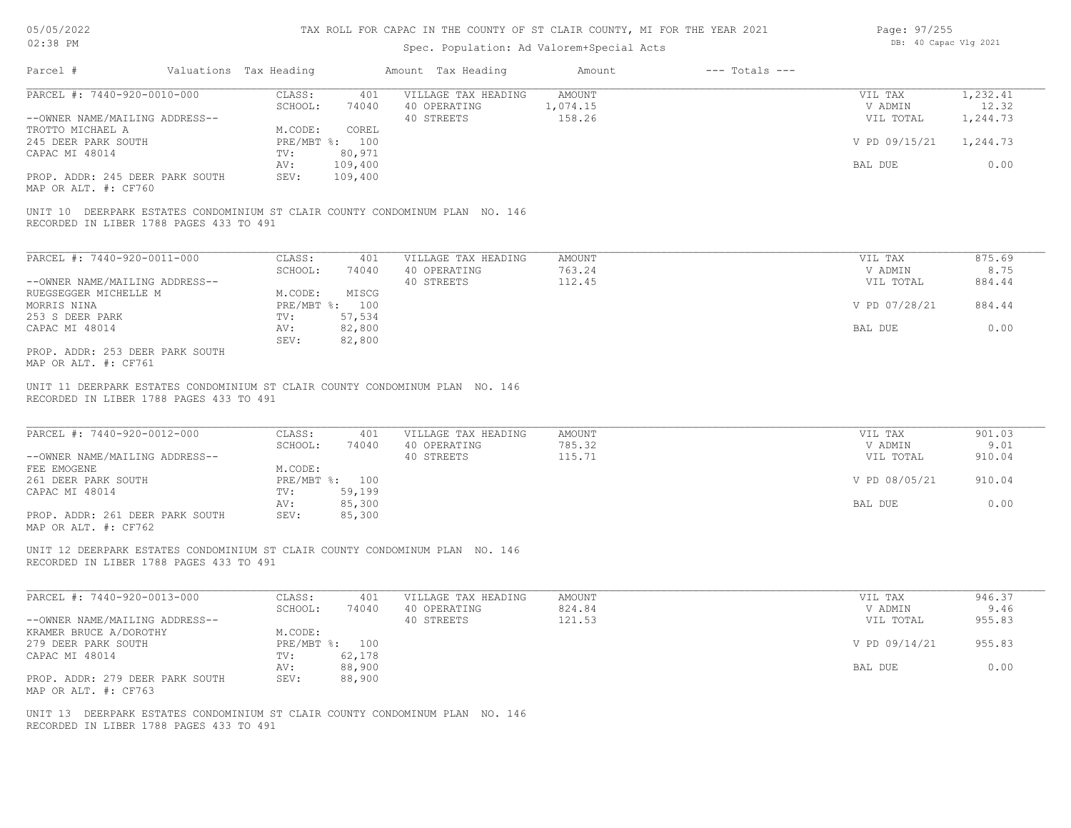| Page: 97/255 |                       |  |
|--------------|-----------------------|--|
|              | DB: 40 Capac Vlg 2021 |  |

| PARCEL #: 7440-920-0010-000                                                                                                                                                                                                                                                                                 | CLASS:<br>401                                | VILLAGE TAX HEADING                               | AMOUNT                            | VIL TAX                         | 1,232.41                 |
|-------------------------------------------------------------------------------------------------------------------------------------------------------------------------------------------------------------------------------------------------------------------------------------------------------------|----------------------------------------------|---------------------------------------------------|-----------------------------------|---------------------------------|--------------------------|
|                                                                                                                                                                                                                                                                                                             | SCHOOL:<br>74040                             | 40 OPERATING                                      | 1,074.15                          | V ADMIN                         | 12.32                    |
| --OWNER NAME/MAILING ADDRESS--                                                                                                                                                                                                                                                                              |                                              | 40 STREETS                                        | 158.26                            | VIL TOTAL                       | 1,244.73                 |
| TROTTO MICHAEL A                                                                                                                                                                                                                                                                                            | M.CODE:<br>COREL                             |                                                   |                                   |                                 |                          |
| 245 DEER PARK SOUTH<br>CAPAC MI 48014                                                                                                                                                                                                                                                                       | PRE/MBT %: 100<br>80,971<br>TV:              |                                                   |                                   | V PD 09/15/21                   | 1,244.73                 |
|                                                                                                                                                                                                                                                                                                             | 109,400<br>AV:                               |                                                   |                                   | BAL DUE                         | 0.00                     |
| PROP. ADDR: 245 DEER PARK SOUTH<br>MAP OR ALT. #: CF760                                                                                                                                                                                                                                                     | SEV:<br>109,400                              |                                                   |                                   |                                 |                          |
| UNIT 10 DEERPARK ESTATES CONDOMINIUM ST CLAIR COUNTY CONDOMINUM PLAN NO. 146<br>RECORDED IN LIBER 1788 PAGES 433 TO 491                                                                                                                                                                                     |                                              |                                                   |                                   |                                 |                          |
| PARCEL #: 7440-920-0011-000                                                                                                                                                                                                                                                                                 | CLASS:<br>401                                | VILLAGE TAX HEADING                               | <b>AMOUNT</b>                     | VIL TAX                         | 875.69                   |
|                                                                                                                                                                                                                                                                                                             | SCHOOL:<br>74040                             | 40 OPERATING                                      | 763.24                            | V ADMIN                         | 8.75                     |
| --OWNER NAME/MAILING ADDRESS--                                                                                                                                                                                                                                                                              |                                              | 40 STREETS                                        | 112.45                            | VIL TOTAL                       | 884.44                   |
| RUEGSEGGER MICHELLE M                                                                                                                                                                                                                                                                                       | M.CODE:<br>MISCG                             |                                                   |                                   |                                 |                          |
| MORRIS NINA                                                                                                                                                                                                                                                                                                 | PRE/MBT %: 100                               |                                                   |                                   | V PD 07/28/21                   | 884.44                   |
| 253 S DEER PARK                                                                                                                                                                                                                                                                                             | 57,534<br>TV:                                |                                                   |                                   |                                 |                          |
| CAPAC MI 48014                                                                                                                                                                                                                                                                                              | 82,800<br>AV:<br>SEV:<br>82,800              |                                                   |                                   | BAL DUE                         | 0.00                     |
| PROP. ADDR: 253 DEER PARK SOUTH<br>MAP OR ALT. #: CF761                                                                                                                                                                                                                                                     |                                              |                                                   |                                   |                                 |                          |
| UNIT 11 DEERPARK ESTATES CONDOMINIUM ST CLAIR COUNTY CONDOMINUM PLAN NO. 146<br>RECORDED IN LIBER 1788 PAGES 433 TO 491                                                                                                                                                                                     |                                              |                                                   |                                   |                                 |                          |
|                                                                                                                                                                                                                                                                                                             | CLASS:<br>401<br>SCHOOL:<br>74040<br>M.CODE: | VILLAGE TAX HEADING<br>40 OPERATING<br>40 STREETS | <b>AMOUNT</b><br>785.32<br>115.71 | VIL TAX<br>V ADMIN<br>VIL TOTAL | 901.03<br>9.01<br>910.04 |
|                                                                                                                                                                                                                                                                                                             | PRE/MBT %: 100                               |                                                   |                                   | V PD 08/05/21                   | 910.04                   |
|                                                                                                                                                                                                                                                                                                             | 59,199<br>TV:                                |                                                   |                                   |                                 |                          |
|                                                                                                                                                                                                                                                                                                             | 85,300<br>AV:<br>SEV:<br>85,300              |                                                   |                                   | BAL DUE                         | 0.00                     |
| PARCEL #: 7440-920-0012-000<br>--OWNER NAME/MAILING ADDRESS--<br>FEE EMOGENE<br>261 DEER PARK SOUTH<br>CAPAC MI 48014<br>PROP. ADDR: 261 DEER PARK SOUTH<br>MAP OR ALT. #: CF762<br>UNIT 12 DEERPARK ESTATES CONDOMINIUM ST CLAIR COUNTY CONDOMINUM PLAN NO. 146<br>RECORDED IN LIBER 1788 PAGES 433 TO 491 |                                              |                                                   |                                   |                                 |                          |
|                                                                                                                                                                                                                                                                                                             | CLASS:<br>401                                | VILLAGE TAX HEADING                               | <b>AMOUNT</b>                     | VIL TAX                         | 946.37                   |
|                                                                                                                                                                                                                                                                                                             | SCHOOL:<br>74040                             | 40 OPERATING                                      | 824.84                            | V ADMIN                         | 9.46                     |
|                                                                                                                                                                                                                                                                                                             |                                              | 40 STREETS                                        | 121.53                            | VIL TOTAL                       | 955.83                   |
|                                                                                                                                                                                                                                                                                                             | M.CODE:<br>PRE/MBT %: 100                    |                                                   |                                   | V PD 09/14/21                   | 955.83                   |
|                                                                                                                                                                                                                                                                                                             | 62,178<br>TV:                                |                                                   |                                   |                                 |                          |
|                                                                                                                                                                                                                                                                                                             | 88,900<br>AV:                                |                                                   |                                   | BAL DUE                         | 0.00                     |
| PARCEL #: 7440-920-0013-000<br>--OWNER NAME/MAILING ADDRESS--<br>KRAMER BRUCE A/DOROTHY<br>279 DEER PARK SOUTH<br>CAPAC MI 48014<br>PROP. ADDR: 279 DEER PARK SOUTH<br>MAP OR ALT. #: CF763                                                                                                                 | SEV:<br>88,900                               |                                                   |                                   |                                 |                          |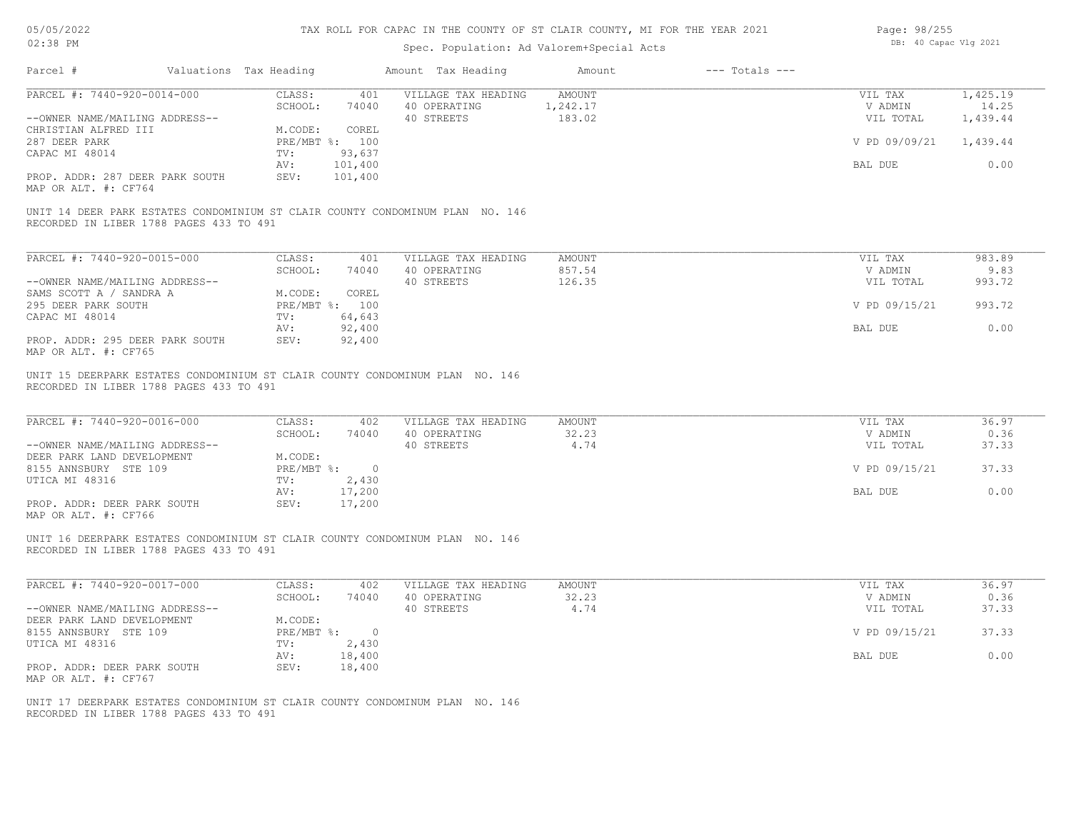| 05/05/2022 |  |
|------------|--|
| 02:38 PM   |  |

| Page: 98/255 |                       |  |
|--------------|-----------------------|--|
|              | DB: 40 Capac Vlg 2021 |  |

| Parcel #                                                                                               | Valuations Tax Heading       |                                         | Amount Tax Heading                                                            | Amount                       | $---$ Totals $---$ |                                                  |                                           |
|--------------------------------------------------------------------------------------------------------|------------------------------|-----------------------------------------|-------------------------------------------------------------------------------|------------------------------|--------------------|--------------------------------------------------|-------------------------------------------|
| PARCEL #: 7440-920-0014-000<br>--OWNER NAME/MAILING ADDRESS--<br>CHRISTIAN ALFRED III<br>287 DEER PARK | CLASS:<br>SCHOOL:<br>M.CODE: | 401<br>74040<br>COREL<br>PRE/MBT %: 100 | VILLAGE TAX HEADING<br>40 OPERATING<br>40 STREETS                             | AMOUNT<br>1,242.17<br>183.02 |                    | VIL TAX<br>V ADMIN<br>VIL TOTAL<br>V PD 09/09/21 | 1,425.19<br>14.25<br>1,439.44<br>1,439.44 |
| CAPAC MI 48014<br>PROP. ADDR: 287 DEER PARK SOUTH<br>MAP OR ALT. #: CF764                              | TV:<br>AV:<br>SEV:           | 93,637<br>101,400<br>101,400            |                                                                               |                              |                    | BAL DUE                                          | 0.00                                      |
| RECORDED IN LIBER 1788 PAGES 433 TO 491                                                                |                              |                                         | UNIT 14 DEER PARK ESTATES CONDOMINIUM ST CLAIR COUNTY CONDOMINUM PLAN NO. 146 |                              |                    |                                                  |                                           |
| PARCEL #: 7440-920-0015-000                                                                            | CLASS:                       | 401                                     | VILLAGE TAX HEADING                                                           | <b>AMOUNT</b>                |                    | VIL TAX                                          | 983.89                                    |
| --OWNER NAME/MAILING ADDRESS--                                                                         | SCHOOL:                      | 74040                                   | 40 OPERATING<br>40 STREETS                                                    | 857.54<br>126.35             |                    | V ADMIN<br>VIL TOTAL                             | 9.83<br>993.72                            |
| SAMS SCOTT A / SANDRA A<br>295 DEER PARK SOUTH                                                         | M.CODE:                      | COREL<br>PRE/MBT %: 100                 |                                                                               |                              |                    | V PD 09/15/21                                    | 993.72                                    |
| CAPAC MI 48014                                                                                         | TV:<br>AV:                   | 64,643<br>92,400                        |                                                                               |                              |                    | BAL DUE                                          | 0.00                                      |
| PROP. ADDR: 295 DEER PARK SOUTH<br>MAP OR ALT. #: CF765                                                | SEV:                         | 92,400                                  |                                                                               |                              |                    |                                                  |                                           |
| RECORDED IN LIBER 1788 PAGES 433 TO 491                                                                |                              |                                         | UNIT 15 DEERPARK ESTATES CONDOMINIUM ST CLAIR COUNTY CONDOMINUM PLAN NO. 146  |                              |                    |                                                  |                                           |
| PARCEL #: 7440-920-0016-000                                                                            | CLASS:<br>SCHOOL:            | 402<br>74040                            | VILLAGE TAX HEADING<br>40 OPERATING                                           | <b>AMOUNT</b><br>32.23       |                    | VIL TAX<br>V ADMIN                               | 36.97<br>0.36                             |
| --OWNER NAME/MAILING ADDRESS--<br>DEER PARK LAND DEVELOPMENT                                           | M.CODE:                      |                                         | 40 STREETS                                                                    | 4.74                         |                    | VIL TOTAL                                        | 37.33                                     |
| 8155 ANNSBURY STE 109<br>UTICA MI 48316                                                                | TV:                          | PRE/MBT %: 0<br>2,430                   |                                                                               |                              |                    | V PD 09/15/21                                    | 37.33                                     |
|                                                                                                        | AV:                          | 17,200                                  |                                                                               |                              |                    | BAL DUE                                          | 0.00                                      |
| PROP. ADDR: DEER PARK SOUTH<br>MAP OR ALT. #: CF766                                                    | SEV:                         | 17,200                                  |                                                                               |                              |                    |                                                  |                                           |
| RECORDED IN LIBER 1788 PAGES 433 TO 491                                                                |                              |                                         | UNIT 16 DEERPARK ESTATES CONDOMINIUM ST CLAIR COUNTY CONDOMINUM PLAN NO. 146  |                              |                    |                                                  |                                           |
| PARCEL #: 7440-920-0017-000                                                                            | CLASS:                       | 402                                     | VILLAGE TAX HEADING                                                           | AMOUNT                       |                    | VIL TAX                                          | 36.97                                     |
| --OWNER NAME/MAILING ADDRESS--                                                                         | SCHOOL:                      | 74040                                   | 40 OPERATING<br>40 STREETS                                                    | 32.23<br>4.74                |                    | V ADMIN<br>VIL TOTAL                             | 0.36<br>37.33                             |
| DEER PARK LAND DEVELOPMENT<br>8155 ANNSBURY STE 109                                                    | M.CODE:                      | PRE/MBT %: 0                            |                                                                               |                              |                    | V PD 09/15/21                                    | 37.33                                     |
| UTICA MI 48316                                                                                         | TV:<br>AV:                   | 2,430<br>18,400                         |                                                                               |                              |                    | BAL DUE                                          | 0.00                                      |
| PROP. ADDR: DEER PARK SOUTH<br>MAP OR ALT. #: CF767                                                    | SEV:                         | 18,400                                  |                                                                               |                              |                    |                                                  |                                           |
| RECORDED IN LIBER 1788 PAGES 433 TO 491                                                                |                              |                                         | UNIT 17 DEERPARK ESTATES CONDOMINIUM ST CLAIR COUNTY CONDOMINUM PLAN NO. 146  |                              |                    |                                                  |                                           |
|                                                                                                        |                              |                                         |                                                                               |                              |                    |                                                  |                                           |
|                                                                                                        |                              |                                         |                                                                               |                              |                    |                                                  |                                           |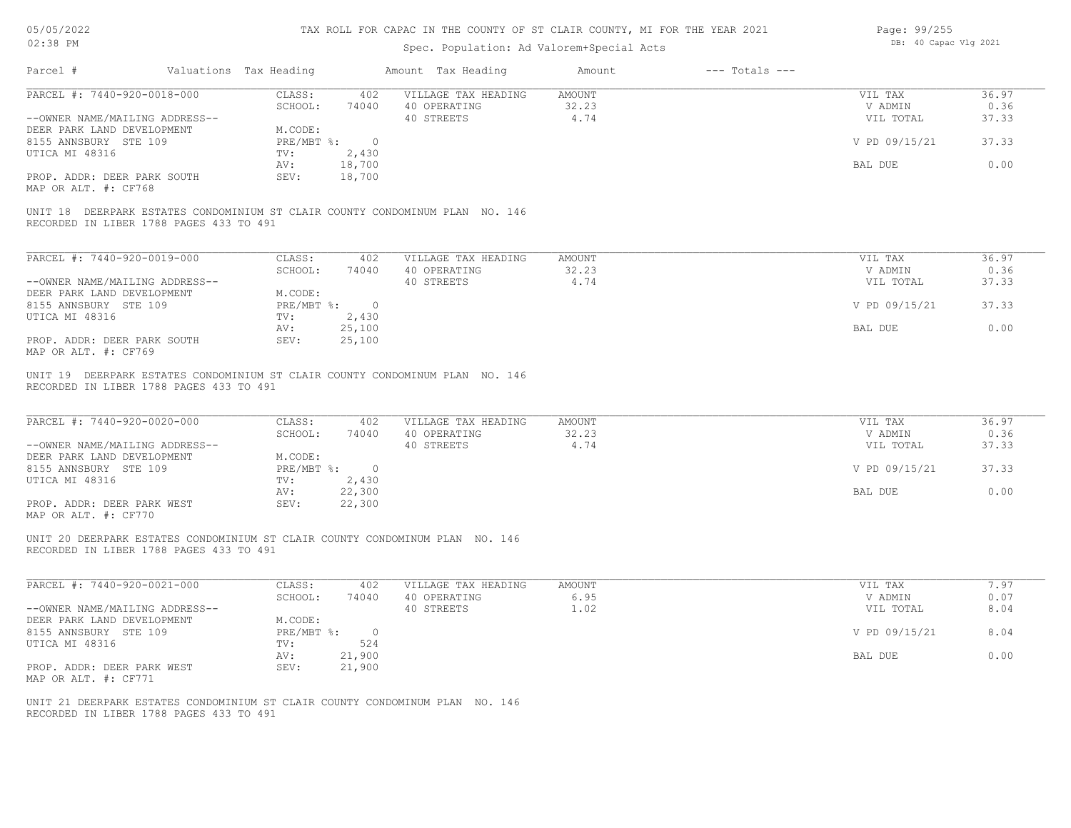| 05/05/2022 |  |
|------------|--|
| 02:38 PM   |  |

| Page: 99/255 |                       |  |
|--------------|-----------------------|--|
|              | DB: 40 Capac Vlg 2021 |  |

| Parcel #                                                                                                                | Valuations Tax Heading |                             |                             | Amount Tax Heading                                                           | Amount          | $---$ Totals $---$ |                            |                |
|-------------------------------------------------------------------------------------------------------------------------|------------------------|-----------------------------|-----------------------------|------------------------------------------------------------------------------|-----------------|--------------------|----------------------------|----------------|
| PARCEL #: 7440-920-0018-000                                                                                             |                        | CLASS:<br>SCHOOL:           | 402<br>74040                | VILLAGE TAX HEADING<br>40 OPERATING                                          | AMOUNT<br>32.23 |                    | VIL TAX<br>V ADMIN         | 36.97<br>0.36  |
| --OWNER NAME/MAILING ADDRESS--<br>DEER PARK LAND DEVELOPMENT                                                            |                        | M.CODE:                     | PRE/MBT %: 0                | 40 STREETS                                                                   | 4.74            |                    | VIL TOTAL<br>V PD 09/15/21 | 37.33<br>37.33 |
| 8155 ANNSBURY STE 109<br>UTICA MI 48316                                                                                 |                        | TV:<br>AV:                  | 2,430<br>18,700             |                                                                              |                 |                    | BAL DUE                    | 0.00           |
| PROP. ADDR: DEER PARK SOUTH<br>MAP OR ALT. #: CF768                                                                     |                        | SEV:                        | 18,700                      |                                                                              |                 |                    |                            |                |
| RECORDED IN LIBER 1788 PAGES 433 TO 491                                                                                 |                        |                             |                             | UNIT 18 DEERPARK ESTATES CONDOMINIUM ST CLAIR COUNTY CONDOMINUM PLAN NO. 146 |                 |                    |                            |                |
| PARCEL #: 7440-920-0019-000                                                                                             |                        | CLASS:                      | 402                         | VILLAGE TAX HEADING                                                          | AMOUNT          |                    | VIL TAX                    | 36.97          |
| --OWNER NAME/MAILING ADDRESS--                                                                                          |                        | SCHOOL:                     | 74040                       | 40 OPERATING<br>40 STREETS                                                   | 32.23<br>4.74   |                    | V ADMIN<br>VIL TOTAL       | 0.36<br>37.33  |
| DEER PARK LAND DEVELOPMENT<br>8155 ANNSBURY STE 109                                                                     |                        | M.CODE:                     | $PRE/MBT$ $\frac{1}{6}$ : 0 |                                                                              |                 |                    | V PD 09/15/21              | 37.33          |
| UTICA MI 48316                                                                                                          |                        | TV:<br>AV:                  | 2,430<br>25,100             |                                                                              |                 |                    | BAL DUE                    | 0.00           |
| PROP. ADDR: DEER PARK SOUTH<br>MAP OR ALT. #: CF769                                                                     |                        | SEV:                        | 25,100                      |                                                                              |                 |                    |                            |                |
| RECORDED IN LIBER 1788 PAGES 433 TO 491                                                                                 |                        |                             |                             | UNIT 19 DEERPARK ESTATES CONDOMINIUM ST CLAIR COUNTY CONDOMINUM PLAN NO. 146 |                 |                    |                            |                |
| PARCEL #: 7440-920-0020-000                                                                                             |                        | CLASS:                      | 402                         | VILLAGE TAX HEADING                                                          | AMOUNT<br>32.23 |                    | VIL TAX                    | 36.97          |
| --OWNER NAME/MAILING ADDRESS--<br>DEER PARK LAND DEVELOPMENT                                                            |                        | SCHOOL:<br>M.CODE:          | 74040                       | 40 OPERATING<br>40 STREETS                                                   | 4.74            |                    | V ADMIN<br>VIL TOTAL       | 0.36<br>37.33  |
| 8155 ANNSBURY STE 109<br>UTICA MI 48316                                                                                 |                        | TV:                         | PRE/MBT %: 0<br>2,430       |                                                                              |                 |                    | V PD 09/15/21              | 37.33          |
| PROP. ADDR: DEER PARK WEST                                                                                              |                        | AV:<br>SEV:                 | 22,300<br>22,300            |                                                                              |                 |                    | BAL DUE                    | 0.00           |
| MAP OR ALT. #: CF770                                                                                                    |                        |                             |                             |                                                                              |                 |                    |                            |                |
| UNIT 20 DEERPARK ESTATES CONDOMINIUM ST CLAIR COUNTY CONDOMINUM PLAN NO. 146<br>RECORDED IN LIBER 1788 PAGES 433 TO 491 |                        |                             |                             |                                                                              |                 |                    |                            |                |
| PARCEL #: 7440-920-0021-000                                                                                             |                        | CLASS:                      | 402                         | VILLAGE TAX HEADING                                                          | AMOUNT          |                    | VIL TAX                    | 7.97           |
| --OWNER NAME/MAILING ADDRESS--                                                                                          |                        | SCHOOL:                     | 74040                       | 40 OPERATING<br>40 STREETS                                                   | 6.95<br>1.02    |                    | V ADMIN<br>VIL TOTAL       | 0.07<br>8.04   |
| DEER PARK LAND DEVELOPMENT<br>8155 ANNSBURY STE 109                                                                     |                        | M.CODE:<br>$PRE/MBT$ $\div$ | $\overline{0}$              |                                                                              |                 |                    | V PD 09/15/21              | 8.04           |
| UTICA MI 48316                                                                                                          |                        | TV:<br>AV:                  | 524<br>21,900               |                                                                              |                 |                    | BAL DUE                    | 0.00           |
| PROP. ADDR: DEER PARK WEST<br>MAP OR ALT. #: CF771                                                                      |                        | SEV:                        | 21,900                      |                                                                              |                 |                    |                            |                |
| UNIT 21 DEERPARK ESTATES CONDOMINIUM ST CLAIR COUNTY CONDOMINUM PLAN NO. 146<br>RECORDED IN LIBER 1788 PAGES 433 TO 491 |                        |                             |                             |                                                                              |                 |                    |                            |                |
|                                                                                                                         |                        |                             |                             |                                                                              |                 |                    |                            |                |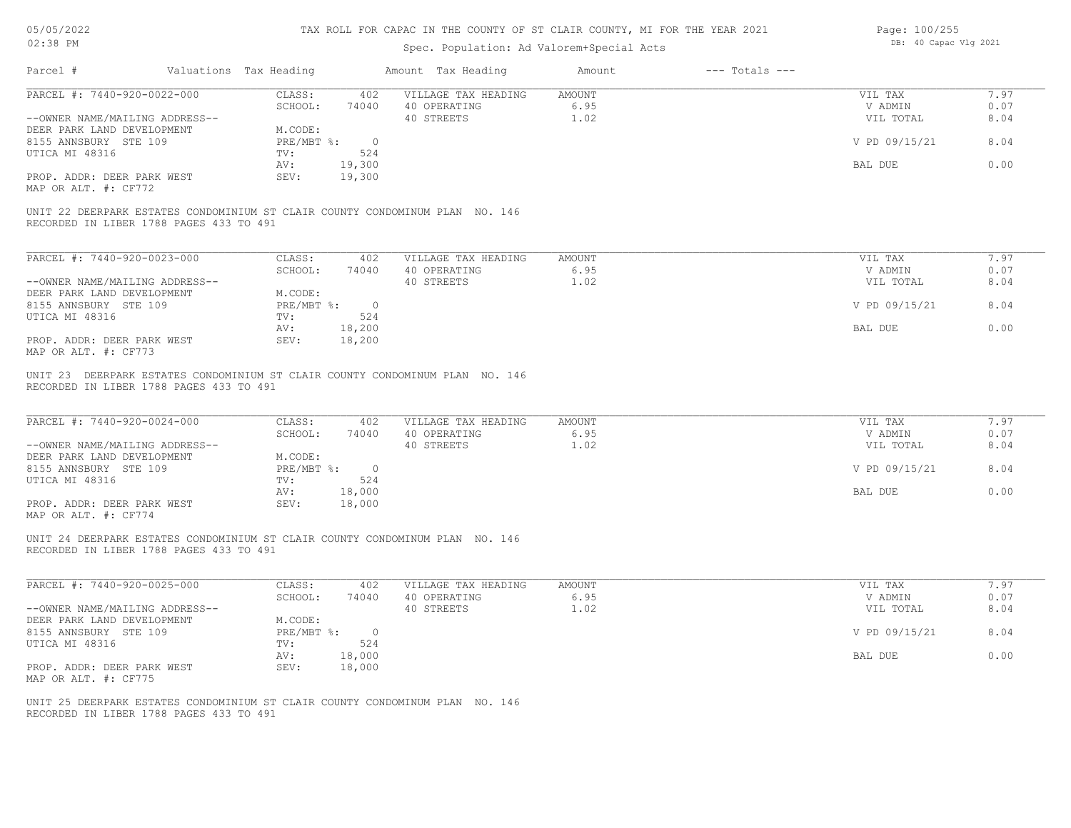### 05/05/2022 02:38 PM

# TAX ROLL FOR CAPAC IN THE COUNTY OF ST CLAIR COUNTY, MI FOR THE YEAR 2021

| Page: 100/255         |
|-----------------------|
| DB: 40 Capac Vlg 2021 |
|                       |

| Parcel #                                                                                                                | Valuations Tax Heading |                              |                   | Amount Tax Heading                                                           | Amount                        | $---$ Totals $---$ |                                 |                      |
|-------------------------------------------------------------------------------------------------------------------------|------------------------|------------------------------|-------------------|------------------------------------------------------------------------------|-------------------------------|--------------------|---------------------------------|----------------------|
| PARCEL #: 7440-920-0022-000<br>--OWNER NAME/MAILING ADDRESS--                                                           |                        | CLASS:<br>SCHOOL:            | 402<br>74040      | VILLAGE TAX HEADING<br>40 OPERATING<br>40 STREETS                            | <b>AMOUNT</b><br>6.95<br>1.02 |                    | VIL TAX<br>V ADMIN<br>VIL TOTAL | 7.97<br>0.07<br>8.04 |
| DEER PARK LAND DEVELOPMENT<br>8155 ANNSBURY STE 109<br>UTICA MI 48316                                                   |                        | M.CODE:<br>PRE/MBT %:<br>TV: | $\bigcirc$<br>524 |                                                                              |                               |                    | V PD 09/15/21                   | 8.04                 |
|                                                                                                                         |                        | AV:                          | 19,300            |                                                                              |                               |                    | BAL DUE                         | 0.00                 |
| PROP. ADDR: DEER PARK WEST<br>MAP OR ALT. #: CF772                                                                      |                        | SEV:                         | 19,300            |                                                                              |                               |                    |                                 |                      |
| UNIT 22 DEERPARK ESTATES CONDOMINIUM ST CLAIR COUNTY CONDOMINUM PLAN NO. 146<br>RECORDED IN LIBER 1788 PAGES 433 TO 491 |                        |                              |                   |                                                                              |                               |                    |                                 |                      |
| PARCEL #: 7440-920-0023-000                                                                                             |                        | CLASS:                       | 402               | VILLAGE TAX HEADING                                                          | <b>AMOUNT</b>                 |                    | VIL TAX                         | 7.97                 |
| --OWNER NAME/MAILING ADDRESS--                                                                                          |                        | SCHOOL:                      | 74040             | 40 OPERATING<br>40 STREETS                                                   | 6.95<br>1.02                  |                    | V ADMIN<br>VIL TOTAL            | 0.07<br>8.04         |
| DEER PARK LAND DEVELOPMENT<br>8155 ANNSBURY STE 109                                                                     |                        | M.CODE:<br>PRE/MBT %: 0      |                   |                                                                              |                               |                    | V PD 09/15/21                   | 8.04                 |
| UTICA MI 48316                                                                                                          |                        | TV:                          | 524               |                                                                              |                               |                    |                                 | 0.00                 |
| PROP. ADDR: DEER PARK WEST<br>MAP OR ALT. #: CF773                                                                      |                        | AV:<br>SEV:                  | 18,200<br>18,200  |                                                                              |                               |                    | BAL DUE                         |                      |
| RECORDED IN LIBER 1788 PAGES 433 TO 491                                                                                 |                        |                              |                   | UNIT 23 DEERPARK ESTATES CONDOMINIUM ST CLAIR COUNTY CONDOMINUM PLAN NO. 146 |                               |                    |                                 |                      |
| PARCEL #: 7440-920-0024-000                                                                                             |                        | CLASS:<br>SCHOOL:            | 402<br>74040      | VILLAGE TAX HEADING<br>40 OPERATING                                          | <b>AMOUNT</b><br>6.95         |                    | VIL TAX<br>V ADMIN              | 7.97<br>0.07         |
| --OWNER NAME/MAILING ADDRESS--<br>DEER PARK LAND DEVELOPMENT                                                            |                        | M.CODE:                      |                   | 40 STREETS                                                                   | 1.02                          |                    | VIL TOTAL                       | 8.04                 |
| 8155 ANNSBURY STE 109<br>UTICA MI 48316                                                                                 |                        | PRE/MBT %: 0<br>TV:          | 524               |                                                                              |                               |                    | V PD 09/15/21                   | 8.04                 |
| PROP. ADDR: DEER PARK WEST<br>MAP OR ALT. #: CF774                                                                      |                        | AV:<br>SEV:                  | 18,000<br>18,000  |                                                                              |                               |                    | BAL DUE                         | 0.00                 |
| UNIT 24 DEERPARK ESTATES CONDOMINIUM ST CLAIR COUNTY CONDOMINUM PLAN NO. 146<br>RECORDED IN LIBER 1788 PAGES 433 TO 491 |                        |                              |                   |                                                                              |                               |                    |                                 |                      |
| PARCEL #: 7440-920-0025-000                                                                                             |                        | CLASS:                       | 402               | VILLAGE TAX HEADING                                                          | <b>AMOUNT</b>                 |                    | VIL TAX                         | 7.97                 |
| --OWNER NAME/MAILING ADDRESS--                                                                                          |                        | SCHOOL:                      | 74040             | 40 OPERATING<br>40 STREETS                                                   | 6.95<br>1.02                  |                    | V ADMIN<br>VIL TOTAL            | 0.07<br>8.04         |
| DEER PARK LAND DEVELOPMENT<br>8155 ANNSBURY STE 109                                                                     |                        | M.CODE:<br>PRE/MBT %:        | $\overline{0}$    |                                                                              |                               |                    | V PD 09/15/21                   | 8.04                 |
| UTICA MI 48316                                                                                                          |                        | TV:<br>AV:                   | 524<br>18,000     |                                                                              |                               |                    | BAL DUE                         | 0.00                 |
| PROP. ADDR: DEER PARK WEST<br>MAP OR ALT. #: CF775                                                                      |                        | SEV:                         | 18,000            |                                                                              |                               |                    |                                 |                      |
| UNIT 25 DEERPARK ESTATES CONDOMINIUM ST CLAIR COUNTY CONDOMINUM PLAN NO. 146<br>RECORDED IN LIBER 1788 PAGES 433 TO 491 |                        |                              |                   |                                                                              |                               |                    |                                 |                      |
|                                                                                                                         |                        |                              |                   |                                                                              |                               |                    |                                 |                      |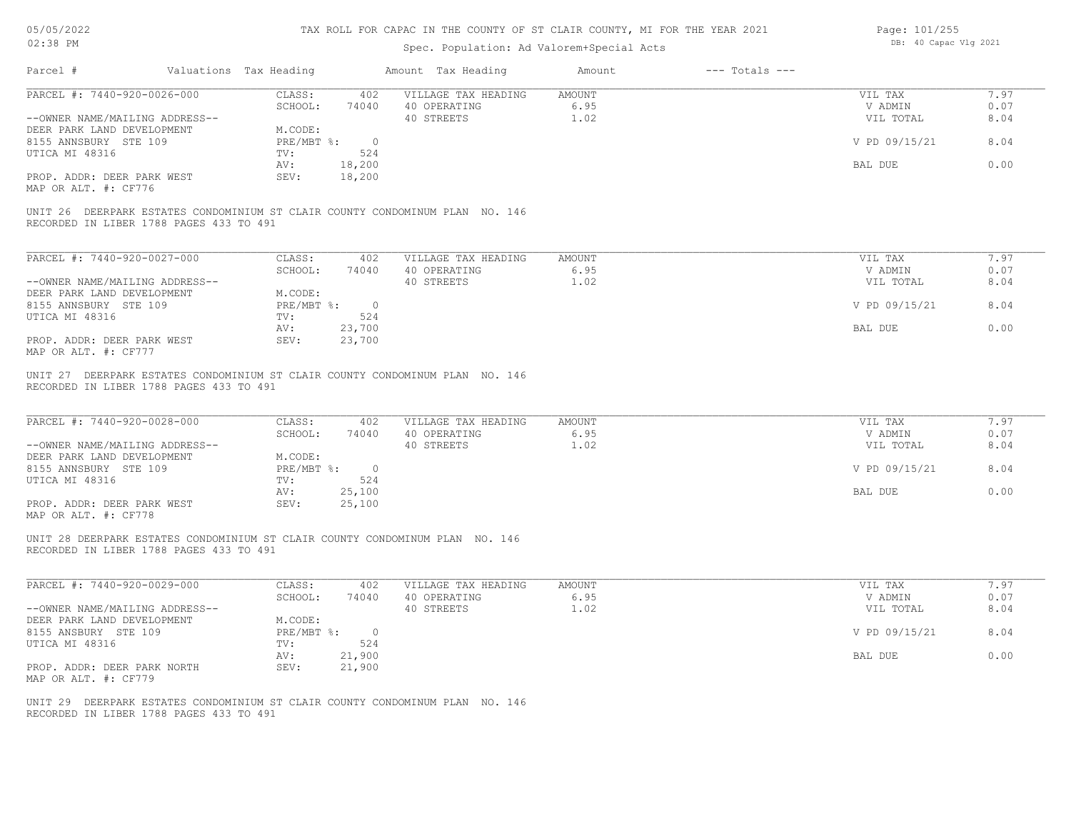| 05/05/2022 |  |
|------------|--|
| 02:38 PM   |  |

| Page: 101/255 |                       |  |
|---------------|-----------------------|--|
|               | DB: 40 Capac Vlg 2021 |  |

| 7.97<br>CLASS:<br>402<br>VILLAGE TAX HEADING<br><b>AMOUNT</b><br>VIL TAX<br>SCHOOL:<br>6.95<br>0.07<br>74040<br>40 OPERATING<br>V ADMIN<br>40 STREETS<br>1.02<br>8.04<br>--OWNER NAME/MAILING ADDRESS--<br>VIL TOTAL<br>DEER PARK LAND DEVELOPMENT<br>M.CODE:<br>8155 ANNSBURY STE 109<br>$PRE/MBT$ $\frac{1}{6}$ : 0<br>V PD 09/15/21<br>8.04<br>UTICA MI 48316<br>TV:<br>524<br>18,200<br>0.00<br>AV:<br>BAL DUE<br>18,200<br>PROP. ADDR: DEER PARK WEST<br>SEV:<br>MAP OR ALT. #: CF776<br>UNIT 26 DEERPARK ESTATES CONDOMINIUM ST CLAIR COUNTY CONDOMINUM PLAN NO. 146<br>RECORDED IN LIBER 1788 PAGES 433 TO 491<br>PARCEL #: 7440-920-0027-000<br>7.97<br>CLASS:<br>402<br>VILLAGE TAX HEADING<br><b>AMOUNT</b><br>VIL TAX<br>SCHOOL:<br>6.95<br>0.07<br>74040<br>40 OPERATING<br>V ADMIN<br>40 STREETS<br>1.02<br>8.04<br>--OWNER NAME/MAILING ADDRESS--<br>VIL TOTAL<br>DEER PARK LAND DEVELOPMENT<br>M.CODE:<br>8155 ANNSBURY STE 109<br>PRE/MBT %: 0<br>V PD 09/15/21<br>8.04<br>UTICA MI 48316<br>TV:<br>524<br>23,700<br>0.00<br>AV:<br>BAL DUE<br>PROP. ADDR: DEER PARK WEST<br>23,700<br>SEV:<br>MAP OR ALT. #: CF777<br>UNIT 27 DEERPARK ESTATES CONDOMINIUM ST CLAIR COUNTY CONDOMINUM PLAN NO. 146<br>RECORDED IN LIBER 1788 PAGES 433 TO 491<br>PARCEL #: 7440-920-0028-000<br>7.97<br>CLASS:<br>402<br>VILLAGE TAX HEADING<br><b>AMOUNT</b><br>VIL TAX<br>SCHOOL:<br>40 OPERATING<br>6.95<br>74040<br>V ADMIN<br>0.07<br>40 STREETS<br>1.02<br>8.04<br>--OWNER NAME/MAILING ADDRESS--<br>VIL TOTAL<br>DEER PARK LAND DEVELOPMENT<br>M.CODE:<br>PRE/MBT %: 0<br>8.04<br>8155 ANNSBURY STE 109<br>V PD 09/15/21<br>UTICA MI 48316<br>TV:<br>524<br>25,100<br>0.00<br>AV:<br>BAL DUE<br>PROP. ADDR: DEER PARK WEST<br>25,100<br>SEV:<br>MAP OR ALT. #: CF778<br>UNIT 28 DEERPARK ESTATES CONDOMINIUM ST CLAIR COUNTY CONDOMINUM PLAN NO. 146<br>RECORDED IN LIBER 1788 PAGES 433 TO 491<br>PARCEL #: 7440-920-0029-000<br>CLASS:<br><b>AMOUNT</b><br>7.97<br>402<br>VILLAGE TAX HEADING<br>VIL TAX<br>6.95<br>SCHOOL:<br>74040<br>40 OPERATING<br>V ADMIN<br>0.07<br>40 STREETS<br>1.02<br>8.04<br>--OWNER NAME/MAILING ADDRESS--<br>VIL TOTAL<br>M.CODE:<br>DEER PARK LAND DEVELOPMENT<br>8155 ANSBURY STE 109<br>PRE/MBT %: 0<br>V PD 09/15/21<br>8.04<br>524<br>UTICA MI 48316<br>TV:<br>21,900<br>BAL DUE<br>0.00<br>AV:<br>PROP. ADDR: DEER PARK NORTH<br>SEV:<br>21,900<br>MAP OR ALT. #: CF779<br>UNIT 29 DEERPARK ESTATES CONDOMINIUM ST CLAIR COUNTY CONDOMINUM PLAN NO. 146<br>RECORDED IN LIBER 1788 PAGES 433 TO 491 | Parcel #                    | Valuations Tax Heading | Amount Tax Heading | $---$ Totals $---$<br>Amount |  |
|--------------------------------------------------------------------------------------------------------------------------------------------------------------------------------------------------------------------------------------------------------------------------------------------------------------------------------------------------------------------------------------------------------------------------------------------------------------------------------------------------------------------------------------------------------------------------------------------------------------------------------------------------------------------------------------------------------------------------------------------------------------------------------------------------------------------------------------------------------------------------------------------------------------------------------------------------------------------------------------------------------------------------------------------------------------------------------------------------------------------------------------------------------------------------------------------------------------------------------------------------------------------------------------------------------------------------------------------------------------------------------------------------------------------------------------------------------------------------------------------------------------------------------------------------------------------------------------------------------------------------------------------------------------------------------------------------------------------------------------------------------------------------------------------------------------------------------------------------------------------------------------------------------------------------------------------------------------------------------------------------------------------------------------------------------------------------------------------------------------------------------------------------------------------------------------------------------------------------------------------------------------------------------------------------------------------------------------------------------------------------------------------------------------------------------------------------------------------------------------------------------------------------------------------------|-----------------------------|------------------------|--------------------|------------------------------|--|
|                                                                                                                                                                                                                                                                                                                                                                                                                                                                                                                                                                                                                                                                                                                                                                                                                                                                                                                                                                                                                                                                                                                                                                                                                                                                                                                                                                                                                                                                                                                                                                                                                                                                                                                                                                                                                                                                                                                                                                                                                                                                                                                                                                                                                                                                                                                                                                                                                                                                                                                                                  | PARCEL #: 7440-920-0026-000 |                        |                    |                              |  |
|                                                                                                                                                                                                                                                                                                                                                                                                                                                                                                                                                                                                                                                                                                                                                                                                                                                                                                                                                                                                                                                                                                                                                                                                                                                                                                                                                                                                                                                                                                                                                                                                                                                                                                                                                                                                                                                                                                                                                                                                                                                                                                                                                                                                                                                                                                                                                                                                                                                                                                                                                  |                             |                        |                    |                              |  |
|                                                                                                                                                                                                                                                                                                                                                                                                                                                                                                                                                                                                                                                                                                                                                                                                                                                                                                                                                                                                                                                                                                                                                                                                                                                                                                                                                                                                                                                                                                                                                                                                                                                                                                                                                                                                                                                                                                                                                                                                                                                                                                                                                                                                                                                                                                                                                                                                                                                                                                                                                  |                             |                        |                    |                              |  |
|                                                                                                                                                                                                                                                                                                                                                                                                                                                                                                                                                                                                                                                                                                                                                                                                                                                                                                                                                                                                                                                                                                                                                                                                                                                                                                                                                                                                                                                                                                                                                                                                                                                                                                                                                                                                                                                                                                                                                                                                                                                                                                                                                                                                                                                                                                                                                                                                                                                                                                                                                  |                             |                        |                    |                              |  |
|                                                                                                                                                                                                                                                                                                                                                                                                                                                                                                                                                                                                                                                                                                                                                                                                                                                                                                                                                                                                                                                                                                                                                                                                                                                                                                                                                                                                                                                                                                                                                                                                                                                                                                                                                                                                                                                                                                                                                                                                                                                                                                                                                                                                                                                                                                                                                                                                                                                                                                                                                  |                             |                        |                    |                              |  |
|                                                                                                                                                                                                                                                                                                                                                                                                                                                                                                                                                                                                                                                                                                                                                                                                                                                                                                                                                                                                                                                                                                                                                                                                                                                                                                                                                                                                                                                                                                                                                                                                                                                                                                                                                                                                                                                                                                                                                                                                                                                                                                                                                                                                                                                                                                                                                                                                                                                                                                                                                  |                             |                        |                    |                              |  |
|                                                                                                                                                                                                                                                                                                                                                                                                                                                                                                                                                                                                                                                                                                                                                                                                                                                                                                                                                                                                                                                                                                                                                                                                                                                                                                                                                                                                                                                                                                                                                                                                                                                                                                                                                                                                                                                                                                                                                                                                                                                                                                                                                                                                                                                                                                                                                                                                                                                                                                                                                  |                             |                        |                    |                              |  |
|                                                                                                                                                                                                                                                                                                                                                                                                                                                                                                                                                                                                                                                                                                                                                                                                                                                                                                                                                                                                                                                                                                                                                                                                                                                                                                                                                                                                                                                                                                                                                                                                                                                                                                                                                                                                                                                                                                                                                                                                                                                                                                                                                                                                                                                                                                                                                                                                                                                                                                                                                  |                             |                        |                    |                              |  |
|                                                                                                                                                                                                                                                                                                                                                                                                                                                                                                                                                                                                                                                                                                                                                                                                                                                                                                                                                                                                                                                                                                                                                                                                                                                                                                                                                                                                                                                                                                                                                                                                                                                                                                                                                                                                                                                                                                                                                                                                                                                                                                                                                                                                                                                                                                                                                                                                                                                                                                                                                  |                             |                        |                    |                              |  |
|                                                                                                                                                                                                                                                                                                                                                                                                                                                                                                                                                                                                                                                                                                                                                                                                                                                                                                                                                                                                                                                                                                                                                                                                                                                                                                                                                                                                                                                                                                                                                                                                                                                                                                                                                                                                                                                                                                                                                                                                                                                                                                                                                                                                                                                                                                                                                                                                                                                                                                                                                  |                             |                        |                    |                              |  |
|                                                                                                                                                                                                                                                                                                                                                                                                                                                                                                                                                                                                                                                                                                                                                                                                                                                                                                                                                                                                                                                                                                                                                                                                                                                                                                                                                                                                                                                                                                                                                                                                                                                                                                                                                                                                                                                                                                                                                                                                                                                                                                                                                                                                                                                                                                                                                                                                                                                                                                                                                  |                             |                        |                    |                              |  |
|                                                                                                                                                                                                                                                                                                                                                                                                                                                                                                                                                                                                                                                                                                                                                                                                                                                                                                                                                                                                                                                                                                                                                                                                                                                                                                                                                                                                                                                                                                                                                                                                                                                                                                                                                                                                                                                                                                                                                                                                                                                                                                                                                                                                                                                                                                                                                                                                                                                                                                                                                  |                             |                        |                    |                              |  |
|                                                                                                                                                                                                                                                                                                                                                                                                                                                                                                                                                                                                                                                                                                                                                                                                                                                                                                                                                                                                                                                                                                                                                                                                                                                                                                                                                                                                                                                                                                                                                                                                                                                                                                                                                                                                                                                                                                                                                                                                                                                                                                                                                                                                                                                                                                                                                                                                                                                                                                                                                  |                             |                        |                    |                              |  |
|                                                                                                                                                                                                                                                                                                                                                                                                                                                                                                                                                                                                                                                                                                                                                                                                                                                                                                                                                                                                                                                                                                                                                                                                                                                                                                                                                                                                                                                                                                                                                                                                                                                                                                                                                                                                                                                                                                                                                                                                                                                                                                                                                                                                                                                                                                                                                                                                                                                                                                                                                  |                             |                        |                    |                              |  |
|                                                                                                                                                                                                                                                                                                                                                                                                                                                                                                                                                                                                                                                                                                                                                                                                                                                                                                                                                                                                                                                                                                                                                                                                                                                                                                                                                                                                                                                                                                                                                                                                                                                                                                                                                                                                                                                                                                                                                                                                                                                                                                                                                                                                                                                                                                                                                                                                                                                                                                                                                  |                             |                        |                    |                              |  |
|                                                                                                                                                                                                                                                                                                                                                                                                                                                                                                                                                                                                                                                                                                                                                                                                                                                                                                                                                                                                                                                                                                                                                                                                                                                                                                                                                                                                                                                                                                                                                                                                                                                                                                                                                                                                                                                                                                                                                                                                                                                                                                                                                                                                                                                                                                                                                                                                                                                                                                                                                  |                             |                        |                    |                              |  |
|                                                                                                                                                                                                                                                                                                                                                                                                                                                                                                                                                                                                                                                                                                                                                                                                                                                                                                                                                                                                                                                                                                                                                                                                                                                                                                                                                                                                                                                                                                                                                                                                                                                                                                                                                                                                                                                                                                                                                                                                                                                                                                                                                                                                                                                                                                                                                                                                                                                                                                                                                  |                             |                        |                    |                              |  |
|                                                                                                                                                                                                                                                                                                                                                                                                                                                                                                                                                                                                                                                                                                                                                                                                                                                                                                                                                                                                                                                                                                                                                                                                                                                                                                                                                                                                                                                                                                                                                                                                                                                                                                                                                                                                                                                                                                                                                                                                                                                                                                                                                                                                                                                                                                                                                                                                                                                                                                                                                  |                             |                        |                    |                              |  |
|                                                                                                                                                                                                                                                                                                                                                                                                                                                                                                                                                                                                                                                                                                                                                                                                                                                                                                                                                                                                                                                                                                                                                                                                                                                                                                                                                                                                                                                                                                                                                                                                                                                                                                                                                                                                                                                                                                                                                                                                                                                                                                                                                                                                                                                                                                                                                                                                                                                                                                                                                  |                             |                        |                    |                              |  |
|                                                                                                                                                                                                                                                                                                                                                                                                                                                                                                                                                                                                                                                                                                                                                                                                                                                                                                                                                                                                                                                                                                                                                                                                                                                                                                                                                                                                                                                                                                                                                                                                                                                                                                                                                                                                                                                                                                                                                                                                                                                                                                                                                                                                                                                                                                                                                                                                                                                                                                                                                  |                             |                        |                    |                              |  |
|                                                                                                                                                                                                                                                                                                                                                                                                                                                                                                                                                                                                                                                                                                                                                                                                                                                                                                                                                                                                                                                                                                                                                                                                                                                                                                                                                                                                                                                                                                                                                                                                                                                                                                                                                                                                                                                                                                                                                                                                                                                                                                                                                                                                                                                                                                                                                                                                                                                                                                                                                  |                             |                        |                    |                              |  |
|                                                                                                                                                                                                                                                                                                                                                                                                                                                                                                                                                                                                                                                                                                                                                                                                                                                                                                                                                                                                                                                                                                                                                                                                                                                                                                                                                                                                                                                                                                                                                                                                                                                                                                                                                                                                                                                                                                                                                                                                                                                                                                                                                                                                                                                                                                                                                                                                                                                                                                                                                  |                             |                        |                    |                              |  |
|                                                                                                                                                                                                                                                                                                                                                                                                                                                                                                                                                                                                                                                                                                                                                                                                                                                                                                                                                                                                                                                                                                                                                                                                                                                                                                                                                                                                                                                                                                                                                                                                                                                                                                                                                                                                                                                                                                                                                                                                                                                                                                                                                                                                                                                                                                                                                                                                                                                                                                                                                  |                             |                        |                    |                              |  |
|                                                                                                                                                                                                                                                                                                                                                                                                                                                                                                                                                                                                                                                                                                                                                                                                                                                                                                                                                                                                                                                                                                                                                                                                                                                                                                                                                                                                                                                                                                                                                                                                                                                                                                                                                                                                                                                                                                                                                                                                                                                                                                                                                                                                                                                                                                                                                                                                                                                                                                                                                  |                             |                        |                    |                              |  |
|                                                                                                                                                                                                                                                                                                                                                                                                                                                                                                                                                                                                                                                                                                                                                                                                                                                                                                                                                                                                                                                                                                                                                                                                                                                                                                                                                                                                                                                                                                                                                                                                                                                                                                                                                                                                                                                                                                                                                                                                                                                                                                                                                                                                                                                                                                                                                                                                                                                                                                                                                  |                             |                        |                    |                              |  |
|                                                                                                                                                                                                                                                                                                                                                                                                                                                                                                                                                                                                                                                                                                                                                                                                                                                                                                                                                                                                                                                                                                                                                                                                                                                                                                                                                                                                                                                                                                                                                                                                                                                                                                                                                                                                                                                                                                                                                                                                                                                                                                                                                                                                                                                                                                                                                                                                                                                                                                                                                  |                             |                        |                    |                              |  |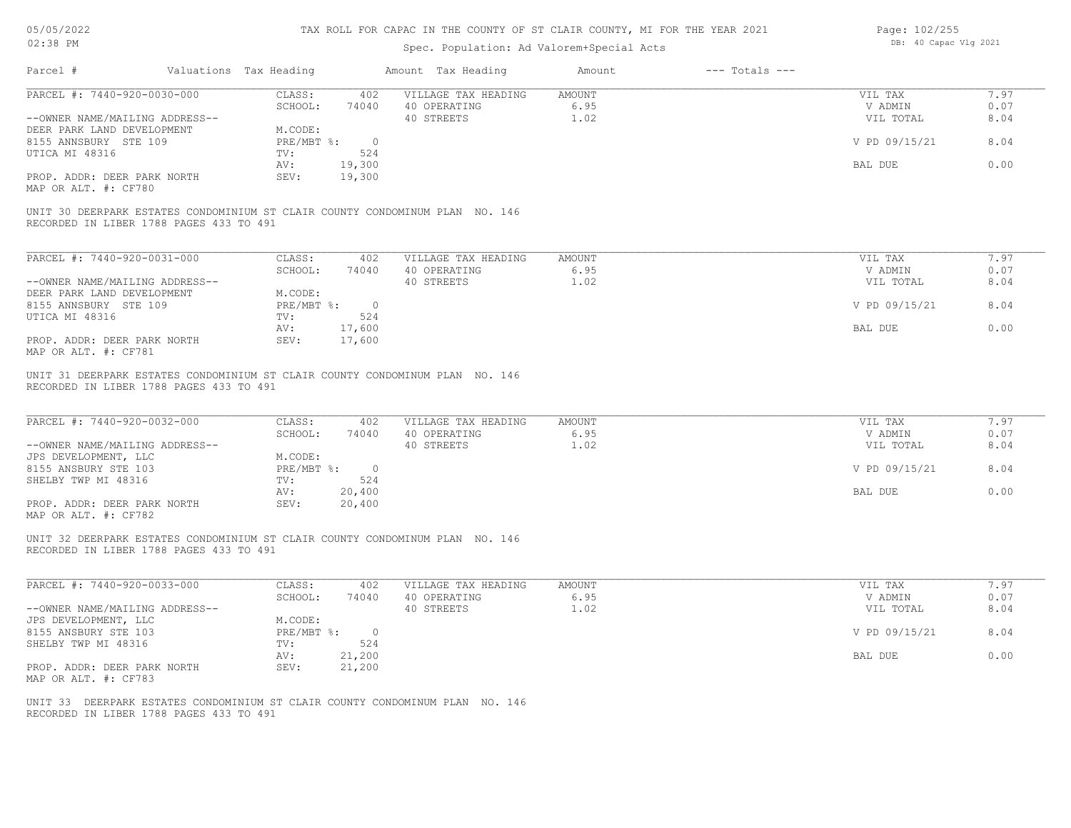### 05/05/2022 02:38 PM

# TAX ROLL FOR CAPAC IN THE COUNTY OF ST CLAIR COUNTY, MI FOR THE YEAR 2021

| Page: 102/255         |
|-----------------------|
| DB: 40 Capac Vlg 2021 |
|                       |

| Parcel #                                                              | Valuations Tax Heading       |                          | Amount Tax Heading                                                           | Amount                 | $---$ Totals $---$ |                                 |                      |
|-----------------------------------------------------------------------|------------------------------|--------------------------|------------------------------------------------------------------------------|------------------------|--------------------|---------------------------------|----------------------|
| PARCEL #: 7440-920-0030-000<br>--OWNER NAME/MAILING ADDRESS--         | CLASS:<br>SCHOOL:            | 402<br>74040             | VILLAGE TAX HEADING<br>40 OPERATING<br>40 STREETS                            | AMOUNT<br>6.95<br>1.02 |                    | VIL TAX<br>V ADMIN<br>VIL TOTAL | 7.97<br>0.07<br>8.04 |
| DEER PARK LAND DEVELOPMENT<br>8155 ANNSBURY STE 109<br>UTICA MI 48316 | M.CODE:<br>PRE/MBT %:<br>TV: | $\overline{0}$<br>524    |                                                                              |                        |                    | V PD 09/15/21                   | 8.04                 |
| PROP. ADDR: DEER PARK NORTH                                           | AV:<br>SEV:                  | 19,300<br>19,300         |                                                                              |                        |                    | BAL DUE                         | 0.00                 |
| MAP OR ALT. #: CF780                                                  |                              |                          |                                                                              |                        |                    |                                 |                      |
| RECORDED IN LIBER 1788 PAGES 433 TO 491                               |                              |                          | UNIT 30 DEERPARK ESTATES CONDOMINIUM ST CLAIR COUNTY CONDOMINUM PLAN NO. 146 |                        |                    |                                 |                      |
| PARCEL #: 7440-920-0031-000                                           | CLASS:                       | 402                      | VILLAGE TAX HEADING                                                          | <b>AMOUNT</b>          |                    | VIL TAX                         | 7.97                 |
| --OWNER NAME/MAILING ADDRESS--                                        | SCHOOL:                      | 74040                    | 40 OPERATING<br>40 STREETS                                                   | 6.95<br>1.02           |                    | V ADMIN<br>VIL TOTAL            | 0.07<br>8.04         |
| DEER PARK LAND DEVELOPMENT<br>8155 ANNSBURY STE 109                   | M.CODE:<br>PRE/MBT %:        | $\overline{\phantom{0}}$ |                                                                              |                        |                    | V PD 09/15/21                   | 8.04                 |
| UTICA MI 48316                                                        | TV:<br>AV:                   | 524<br>17,600            |                                                                              |                        |                    | BAL DUE                         | 0.00                 |
| PROP. ADDR: DEER PARK NORTH<br>MAP OR ALT. #: CF781                   | SEV:                         | 17,600                   |                                                                              |                        |                    |                                 |                      |
| RECORDED IN LIBER 1788 PAGES 433 TO 491                               |                              |                          | UNIT 31 DEERPARK ESTATES CONDOMINIUM ST CLAIR COUNTY CONDOMINUM PLAN NO. 146 |                        |                    |                                 |                      |
| PARCEL #: 7440-920-0032-000                                           | CLASS:                       | 402                      | VILLAGE TAX HEADING                                                          | <b>AMOUNT</b>          |                    | VIL TAX                         | 7.97                 |
| --OWNER NAME/MAILING ADDRESS--                                        | SCHOOL:                      | 74040                    | 40 OPERATING<br>40 STREETS                                                   | 6.95<br>1.02           |                    | V ADMIN<br>VIL TOTAL            | 0.07<br>8.04         |
| JPS DEVELOPMENT, LLC<br>8155 ANSBURY STE 103                          | M.CODE:<br>PRE/MBT %:        | $\overline{0}$           |                                                                              |                        |                    | V PD 09/15/21                   | 8.04                 |
| SHELBY TWP MI 48316                                                   | TV:<br>AV:                   | 524<br>20,400            |                                                                              |                        |                    | BAL DUE                         | 0.00                 |
| PROP. ADDR: DEER PARK NORTH<br>MAP OR ALT. #: CF782                   | SEV:                         | 20,400                   |                                                                              |                        |                    |                                 |                      |
| RECORDED IN LIBER 1788 PAGES 433 TO 491                               |                              |                          | UNIT 32 DEERPARK ESTATES CONDOMINIUM ST CLAIR COUNTY CONDOMINUM PLAN NO. 146 |                        |                    |                                 |                      |
| PARCEL #: 7440-920-0033-000                                           | CLASS:                       | 402                      | VILLAGE TAX HEADING                                                          | <b>AMOUNT</b>          |                    | VIL TAX                         | 7.97                 |
| --OWNER NAME/MAILING ADDRESS--                                        | SCHOOL:                      | 74040                    | 40 OPERATING<br>40 STREETS                                                   | 6.95<br>1.02           |                    | V ADMIN<br>VIL TOTAL            | 0.07<br>8.04         |
| JPS DEVELOPMENT, LLC<br>8155 ANSBURY STE 103                          | M.CODE:<br>$PRE/MBT$ $\div$  | $\overline{\phantom{0}}$ |                                                                              |                        |                    | V PD 09/15/21                   | 8.04                 |
| SHELBY TWP MI 48316                                                   | TV:<br>AV:                   | 524<br>21,200            |                                                                              |                        |                    | BAL DUE                         | 0.00                 |
| PROP. ADDR: DEER PARK NORTH<br>MAP OR ALT. #: CF783                   | SEV:                         | 21,200                   |                                                                              |                        |                    |                                 |                      |
| RECORDED IN LIBER 1788 PAGES 433 TO 491                               |                              |                          | UNIT 33 DEERPARK ESTATES CONDOMINIUM ST CLAIR COUNTY CONDOMINUM PLAN NO. 146 |                        |                    |                                 |                      |
|                                                                       |                              |                          |                                                                              |                        |                    |                                 |                      |
|                                                                       |                              |                          |                                                                              |                        |                    |                                 |                      |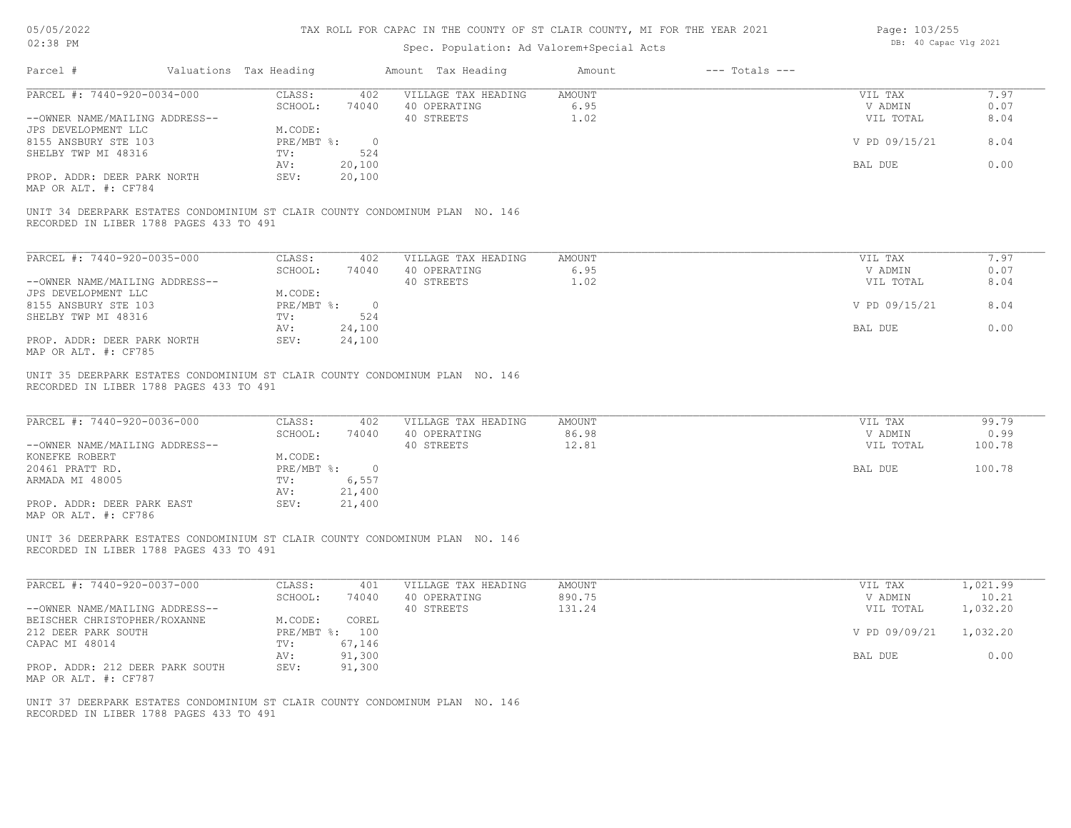### 05/05/2022 02:38 PM

#### TAX ROLL FOR CAPAC IN THE COUNTY OF ST CLAIR COUNTY, MI FOR THE YEAR 2021

| Page: 103/255 |                       |  |
|---------------|-----------------------|--|
|               | DB: 40 Capac Vlg 2021 |  |

| PARCEL #: 7440-920-0034-000                                                                                                            | CLASS:                                                                                        | 402 VILLAGE TAX HEADING                           | AMOUNT                          | VIL TAX                                    | 7.97                              |
|----------------------------------------------------------------------------------------------------------------------------------------|-----------------------------------------------------------------------------------------------|---------------------------------------------------|---------------------------------|--------------------------------------------|-----------------------------------|
| --OWNER NAME/MAILING ADDRESS--                                                                                                         | SCHOOL:                                                                                       | 74040 40 OPERATING<br>40 STREETS                  | 6.95<br>1.02                    | V ADMIN<br>VIL TOTAL                       | 0.07<br>8.04                      |
| JPS DEVELOPMENT LLC                                                                                                                    | M.CODE:                                                                                       |                                                   |                                 |                                            |                                   |
| 8155 ANSBURY STE 103                                                                                                                   | PRE/MBT %: 0                                                                                  |                                                   |                                 | V PD 09/15/21                              | 8.04                              |
| SHELBY TWP MI 48316                                                                                                                    | TV:<br>524                                                                                    |                                                   |                                 |                                            |                                   |
|                                                                                                                                        | 20,100<br>AV:                                                                                 |                                                   |                                 | BAL DUE                                    | 0.00                              |
| PROP. ADDR: DEER PARK NORTH<br>MAP OR ALT. #: CF784                                                                                    | SEV:<br>20,100                                                                                |                                                   |                                 |                                            |                                   |
| UNIT 34 DEERPARK ESTATES CONDOMINIUM ST CLAIR COUNTY CONDOMINUM PLAN NO. 146<br>RECORDED IN LIBER 1788 PAGES 433 TO 491                |                                                                                               |                                                   |                                 |                                            |                                   |
| PARCEL #: 7440-920-0035-000                                                                                                            | CLASS:<br>402                                                                                 | VILLAGE TAX HEADING                               | AMOUNT                          | VIL TAX                                    | 7.97                              |
|                                                                                                                                        | SCHOOL:<br>74040                                                                              | 40 OPERATING                                      | 6.95                            | V ADMIN                                    | 0.07                              |
| --OWNER NAME/MAILING ADDRESS--                                                                                                         |                                                                                               | 40 STREETS                                        | 1.02                            | VIL TOTAL                                  | 8.04                              |
| JPS DEVELOPMENT LLC                                                                                                                    | M.CODE:                                                                                       |                                                   |                                 |                                            |                                   |
| 8155 ANSBURY STE 103                                                                                                                   | $PRE/MBT$ $\div$ 0                                                                            |                                                   |                                 | V PD 09/15/21                              | 8.04                              |
| SHELBY TWP MI 48316                                                                                                                    | 524<br>TV:                                                                                    |                                                   |                                 |                                            |                                   |
|                                                                                                                                        | 24,100<br>AV:                                                                                 |                                                   |                                 | BAL DUE                                    | 0.00                              |
| PROP. ADDR: DEER PARK NORTH<br>MAP OR ALT. #: CF785                                                                                    | 24,100<br>SEV:                                                                                |                                                   |                                 |                                            |                                   |
| UNIT 35 DEERPARK ESTATES CONDOMINIUM ST CLAIR COUNTY CONDOMINUM PLAN NO. 146<br>RECORDED IN LIBER 1788 PAGES 433 TO 491                |                                                                                               |                                                   |                                 |                                            |                                   |
| PARCEL #: 7440-920-0036-000<br>--OWNER NAME/MAILING ADDRESS--<br>KONEFKE ROBERT<br>20461 PRATT RD.<br>ARMADA MI 48005                  | CLASS:<br>402<br>SCHOOL:<br>74040<br>M.CODE:<br>PRE/MBT %: 0<br>6,557<br>TV:<br>21,400<br>AV: | VILLAGE TAX HEADING<br>40 OPERATING<br>40 STREETS | <b>AMOUNT</b><br>86.98<br>12.81 | VIL TAX<br>V ADMIN<br>VIL TOTAL<br>BAL DUE | 99.79<br>0.99<br>100.78<br>100.78 |
| PROP. ADDR: DEER PARK EAST<br>MAP OR ALT. #: CF786                                                                                     | 21,400<br>SEV:                                                                                |                                                   |                                 |                                            |                                   |
| UNIT 36 DEERPARK ESTATES CONDOMINIUM ST CLAIR COUNTY CONDOMINUM PLAN NO. 146<br>RECORDED IN LIBER 1788 PAGES 433 TO 491                |                                                                                               |                                                   |                                 |                                            |                                   |
|                                                                                                                                        | CLASS:<br>401                                                                                 | VILLAGE TAX HEADING                               | <b>AMOUNT</b>                   | VIL TAX                                    | 1,021.99                          |
|                                                                                                                                        | SCHOOL:<br>74040                                                                              | 40 OPERATING                                      | 890.75                          | V ADMIN                                    | 10.21                             |
|                                                                                                                                        |                                                                                               | 40 STREETS                                        | 131.24                          | VIL TOTAL                                  | 1,032.20                          |
|                                                                                                                                        | M.CODE:<br>COREL                                                                              |                                                   |                                 |                                            |                                   |
|                                                                                                                                        | PRE/MBT %: 100                                                                                |                                                   |                                 | V PD 09/09/21                              | 1,032.20                          |
| PARCEL #: 7440-920-0037-000<br>--OWNER NAME/MAILING ADDRESS--<br>BEISCHER CHRISTOPHER/ROXANNE<br>212 DEER PARK SOUTH<br>CAPAC MI 48014 | 67,146<br>TV:                                                                                 |                                                   |                                 |                                            |                                   |
|                                                                                                                                        | 91,300<br>AV:                                                                                 |                                                   |                                 | BAL DUE                                    | 0.00                              |
| PROP. ADDR: 212 DEER PARK SOUTH<br>MAP OR ALT. #: CF787                                                                                | SEV:<br>91,300                                                                                |                                                   |                                 |                                            |                                   |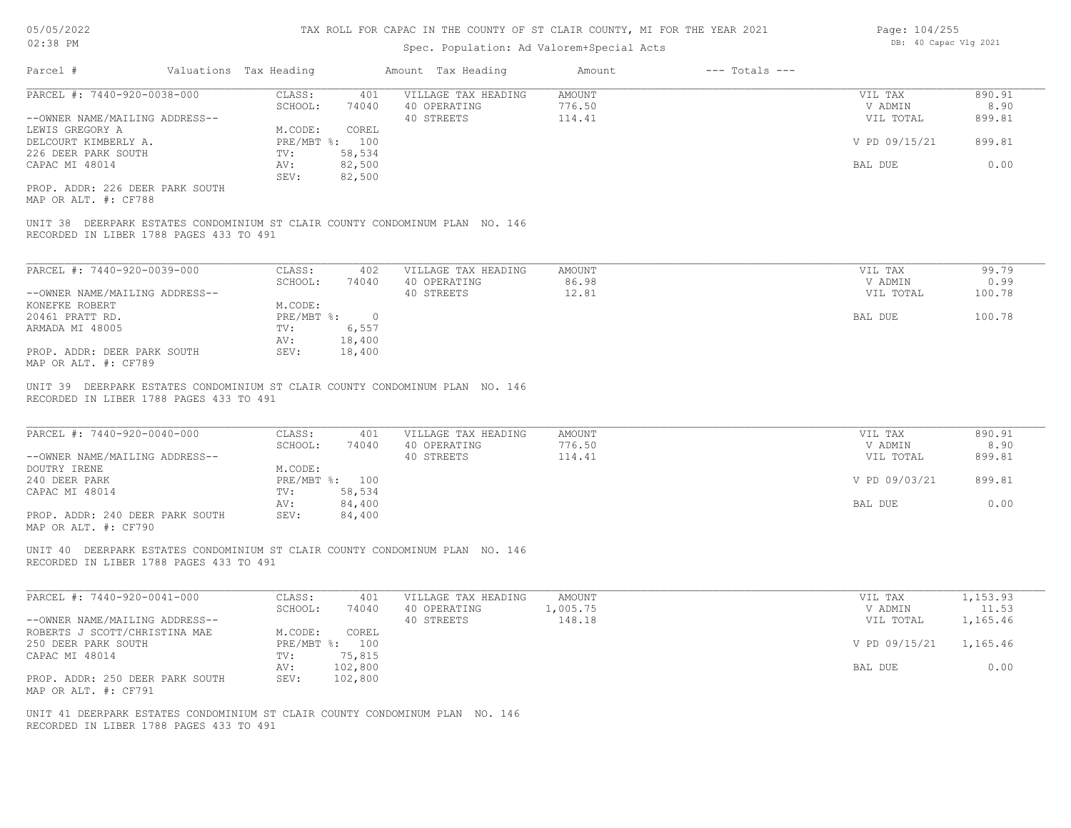|  | Page: 104/255         |
|--|-----------------------|
|  | DB: 40 Capac Vlg 2021 |
|  |                       |
|  |                       |

| Parcel #                                                | Valuations Tax Heading             | Amount Tax Heading                                                           | Amount             | $---$ Totals $---$ |                      |                   |
|---------------------------------------------------------|------------------------------------|------------------------------------------------------------------------------|--------------------|--------------------|----------------------|-------------------|
| PARCEL #: 7440-920-0038-000                             | CLASS:<br>SCHOOL:<br>74040         | VILLAGE TAX HEADING<br>401<br>40 OPERATING                                   | AMOUNT<br>776.50   |                    | VIL TAX<br>V ADMIN   | 890.91<br>8.90    |
| --OWNER NAME/MAILING ADDRESS--                          |                                    | 40 STREETS                                                                   | 114.41             |                    | VIL TOTAL            | 899.81            |
| LEWIS GREGORY A<br>DELCOURT KIMBERLY A.                 | M.CODE:<br>COREL<br>PRE/MBT %: 100 |                                                                              |                    |                    | V PD 09/15/21        | 899.81            |
| 226 DEER PARK SOUTH<br>CAPAC MI 48014                   | 58,534<br>TV:<br>82,500<br>AV:     |                                                                              |                    |                    | BAL DUE              | 0.00              |
|                                                         | SEV:<br>82,500                     |                                                                              |                    |                    |                      |                   |
| PROP. ADDR: 226 DEER PARK SOUTH<br>MAP OR ALT. #: CF788 |                                    |                                                                              |                    |                    |                      |                   |
| RECORDED IN LIBER 1788 PAGES 433 TO 491                 |                                    | UNIT 38 DEERPARK ESTATES CONDOMINIUM ST CLAIR COUNTY CONDOMINUM PLAN NO. 146 |                    |                    |                      |                   |
| PARCEL #: 7440-920-0039-000                             | CLASS:                             | VILLAGE TAX HEADING<br>402                                                   | AMOUNT             |                    | VIL TAX              | 99.79             |
|                                                         | 74040<br>SCHOOL:                   | 40 OPERATING                                                                 | 86.98              |                    | V ADMIN              | 0.99              |
| --OWNER NAME/MAILING ADDRESS--<br>KONEFKE ROBERT        | M.CODE:                            | 40 STREETS                                                                   | 12.81              |                    | VIL TOTAL            | 100.78            |
| 20461 PRATT RD.                                         | $PRE/MBT$ $\frac{1}{6}$ : 0        |                                                                              |                    |                    | BAL DUE              | 100.78            |
| ARMADA MI 48005                                         | 6,557<br>TV:<br>18,400<br>AV:      |                                                                              |                    |                    |                      |                   |
| PROP. ADDR: DEER PARK SOUTH<br>MAP OR ALT. #: CF789     | SEV:<br>18,400                     |                                                                              |                    |                    |                      |                   |
| PARCEL #: 7440-920-0040-000                             | CLASS:<br>SCHOOL:<br>74040         | 401<br>VILLAGE TAX HEADING<br>40 OPERATING                                   | AMOUNT<br>776.50   |                    | VIL TAX<br>V ADMIN   | 890.91<br>8.90    |
| --OWNER NAME/MAILING ADDRESS--                          |                                    | 40 STREETS                                                                   | 114.41             |                    | VIL TOTAL            | 899.81            |
| DOUTRY IRENE<br>240 DEER PARK                           | M.CODE:<br>PRE/MBT %: 100          |                                                                              |                    |                    | V PD 09/03/21        | 899.81            |
| CAPAC MI 48014                                          | 58,534<br>TV:<br>84,400<br>AV:     |                                                                              |                    | BAL DUE            | 0.00                 |                   |
| PROP. ADDR: 240 DEER PARK SOUTH<br>MAP OR ALT. #: CF790 | SEV:<br>84,400                     |                                                                              |                    |                    |                      |                   |
| RECORDED IN LIBER 1788 PAGES 433 TO 491                 |                                    | UNIT 40 DEERPARK ESTATES CONDOMINIUM ST CLAIR COUNTY CONDOMINUM PLAN NO. 146 |                    |                    |                      |                   |
| PARCEL #: 7440-920-0041-000                             | CLASS:                             | 401<br>VILLAGE TAX HEADING                                                   | AMOUNT             |                    | VIL TAX              | 1,153.93          |
| --OWNER NAME/MAILING ADDRESS--                          | SCHOOL:<br>74040                   | 40 OPERATING<br>40 STREETS                                                   | 1,005.75<br>148.18 |                    | V ADMIN<br>VIL TOTAL | 11.53<br>1,165.46 |
| ROBERTS J SCOTT/CHRISTINA MAE<br>250 DEER PARK SOUTH    | COREL<br>M.CODE:<br>PRE/MBT %: 100 |                                                                              |                    |                    | V PD 09/15/21        | 1,165.46          |
| CAPAC MI 48014                                          | 75,815<br>TV:                      |                                                                              |                    |                    | BAL DUE 0.00         |                   |
| PROP. ADDR: 250 DEER PARK SOUTH<br>MAP OR ALT. #: CF791 | AV: 102,800<br>SEV:<br>102,800     |                                                                              |                    |                    |                      |                   |
|                                                         |                                    | UNIT 41 DEERPARK ESTATES CONDOMINIUM ST CLAIR COUNTY CONDOMINUM PLAN NO. 146 |                    |                    |                      |                   |
| RECORDED IN LIBER 1788 PAGES 433 TO 491                 |                                    |                                                                              |                    |                    |                      |                   |
|                                                         |                                    |                                                                              |                    |                    |                      |                   |
|                                                         |                                    |                                                                              |                    |                    |                      |                   |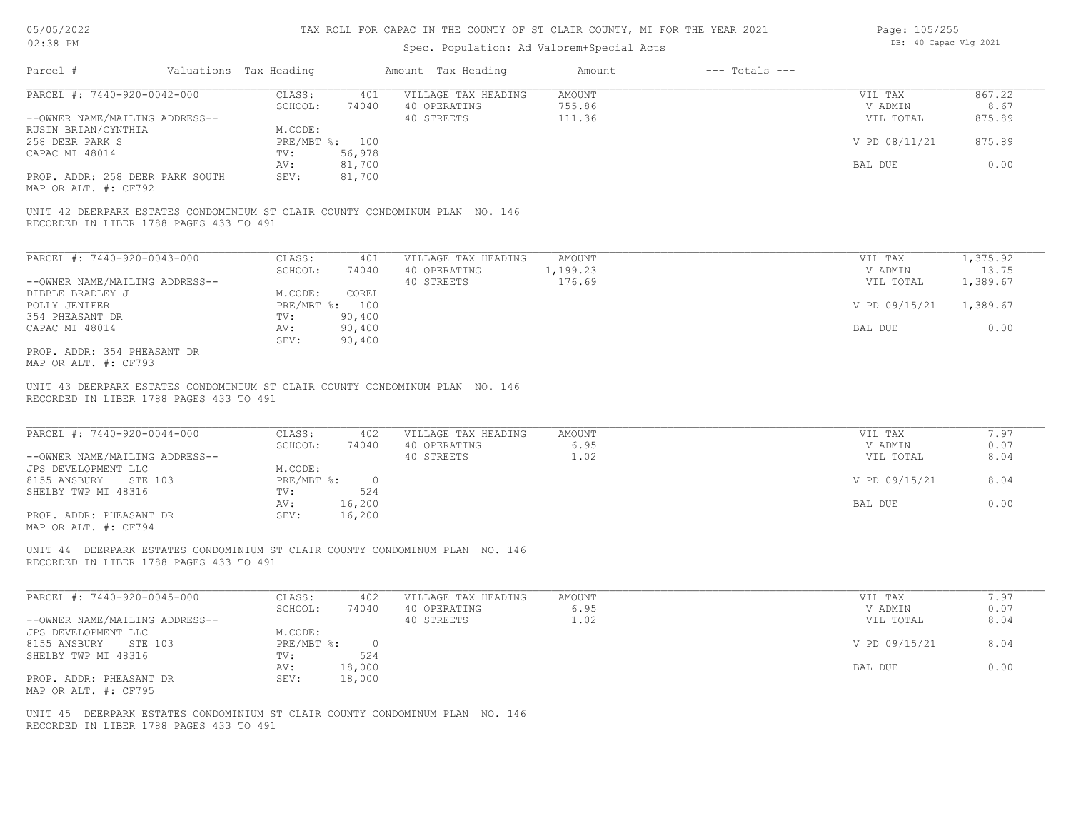# 05/05/2022 02:38 PM

#### TAX ROLL FOR CAPAC IN THE COUNTY OF ST CLAIR COUNTY, MI FOR THE YEAR 2021

| Page: 105/255 |                       |  |
|---------------|-----------------------|--|
|               | DB: 40 Capac Vlg 2021 |  |

|                                                                                  | Valuations Tax Heading                                                       | Amount Tax Heading                  | Amount                  | $---$ Totals $---$ |                            |                   |
|----------------------------------------------------------------------------------|------------------------------------------------------------------------------|-------------------------------------|-------------------------|--------------------|----------------------------|-------------------|
| PARCEL #: 7440-920-0042-000                                                      | CLASS:<br>401<br>SCHOOL:<br>74040                                            | VILLAGE TAX HEADING<br>40 OPERATING | <b>AMOUNT</b><br>755.86 |                    | VIL TAX<br>V ADMIN         | 867.22<br>8.67    |
| --OWNER NAME/MAILING ADDRESS--<br>RUSIN BRIAN/CYNTHIA<br>258 DEER PARK S         | M.CODE:<br>PRE/MBT %: 100                                                    | 40 STREETS                          | 111.36                  |                    | VIL TOTAL<br>V PD 08/11/21 | 875.89<br>875.89  |
| CAPAC MI 48014                                                                   | 56,978<br>TV:<br>81,700<br>AV:                                               |                                     |                         |                    | BAL DUE                    | 0.00              |
| PROP. ADDR: 258 DEER PARK SOUTH<br>MAP OR ALT. #: CF792                          | 81,700<br>SEV:                                                               |                                     |                         |                    |                            |                   |
| RECORDED IN LIBER 1788 PAGES 433 TO 491                                          | UNIT 42 DEERPARK ESTATES CONDOMINIUM ST CLAIR COUNTY CONDOMINUM PLAN NO. 146 |                                     |                         |                    |                            |                   |
| PARCEL #: 7440-920-0043-000                                                      | CLASS:<br>401                                                                | VILLAGE TAX HEADING                 | AMOUNT                  |                    | VIL TAX                    | 1,375.92          |
| --OWNER NAME/MAILING ADDRESS--                                                   | SCHOOL:<br>74040                                                             | 40 OPERATING<br>40 STREETS          | 1,199.23<br>176.69      |                    | V ADMIN<br>VIL TOTAL       | 13.75<br>1,389.67 |
| DIBBLE BRADLEY J<br>POLLY JENIFER                                                | M.CODE:<br>COREL<br>PRE/MBT %: 100                                           |                                     |                         |                    | V PD 09/15/21              | 1,389.67          |
| 354 PHEASANT DR<br>CAPAC MI 48014                                                | 90,400<br>TV:<br>AV:<br>90,400                                               |                                     |                         |                    | BAL DUE                    | 0.00              |
| PROP. ADDR: 354 PHEASANT DR<br>MAP OR ALT. #: CF793                              | SEV:<br>90,400                                                               |                                     |                         |                    |                            |                   |
| PARCEL #: 7440-920-0044-000                                                      | CLASS:<br>402<br>SCHOOL:<br>74040                                            | VILLAGE TAX HEADING<br>40 OPERATING | <b>AMOUNT</b><br>6.95   |                    | VIL TAX<br>V ADMIN         | 7.97<br>0.07      |
| --OWNER NAME/MAILING ADDRESS--<br>JPS DEVELOPMENT LLC<br>8155 ANSBURY<br>STE 103 | M.CODE:<br>$PRE/MBT$ $\div$<br>$\overline{0}$                                | 40 STREETS                          | 1.02                    |                    | VIL TOTAL<br>V PD 09/15/21 | 8.04<br>8.04      |
| SHELBY TWP MI 48316                                                              | TV:<br>524<br>16,200                                                         |                                     |                         |                    | BAL DUE                    | 0.00              |
|                                                                                  |                                                                              |                                     |                         |                    |                            |                   |
| PROP. ADDR: PHEASANT DR                                                          | AV:<br>SEV:<br>16,200                                                        |                                     |                         |                    |                            |                   |
| MAP OR ALT. #: CF794<br>RECORDED IN LIBER 1788 PAGES 433 TO 491                  | UNIT 44 DEERPARK ESTATES CONDOMINIUM ST CLAIR COUNTY CONDOMINUM PLAN NO. 146 |                                     |                         |                    |                            |                   |
| PARCEL #: 7440-920-0045-000                                                      | CLASS:<br>402                                                                | VILLAGE TAX HEADING                 | AMOUNT                  |                    | VIL TAX                    | 7.97              |
| --OWNER NAME/MAILING ADDRESS--                                                   | SCHOOL:<br>74040                                                             | 40 OPERATING<br>40 STREETS          | 6.95<br>1.02            |                    | V ADMIN<br>VIL TOTAL       | 0.07<br>8.04      |
| JPS DEVELOPMENT LLC<br>8155 ANSBURY STE 103                                      | M.CODE:<br>$PRE/MBT$ $\div$<br>$\circ$                                       |                                     |                         |                    | V PD 09/15/21              | 8.04              |
| SHELBY TWP MI 48316                                                              | 524<br>TV:<br>18,000<br>AV:                                                  |                                     |                         |                    | BAL DUE                    | 0.00              |
| PROP. ADDR: PHEASANT DR<br>MAP OR ALT. #: CF795                                  | SEV:<br>18,000                                                               |                                     |                         |                    |                            |                   |
| RECORDED IN LIBER 1788 PAGES 433 TO 491                                          | UNIT 45 DEERPARK ESTATES CONDOMINIUM ST CLAIR COUNTY CONDOMINUM PLAN NO. 146 |                                     |                         |                    |                            |                   |
|                                                                                  |                                                                              |                                     |                         |                    |                            |                   |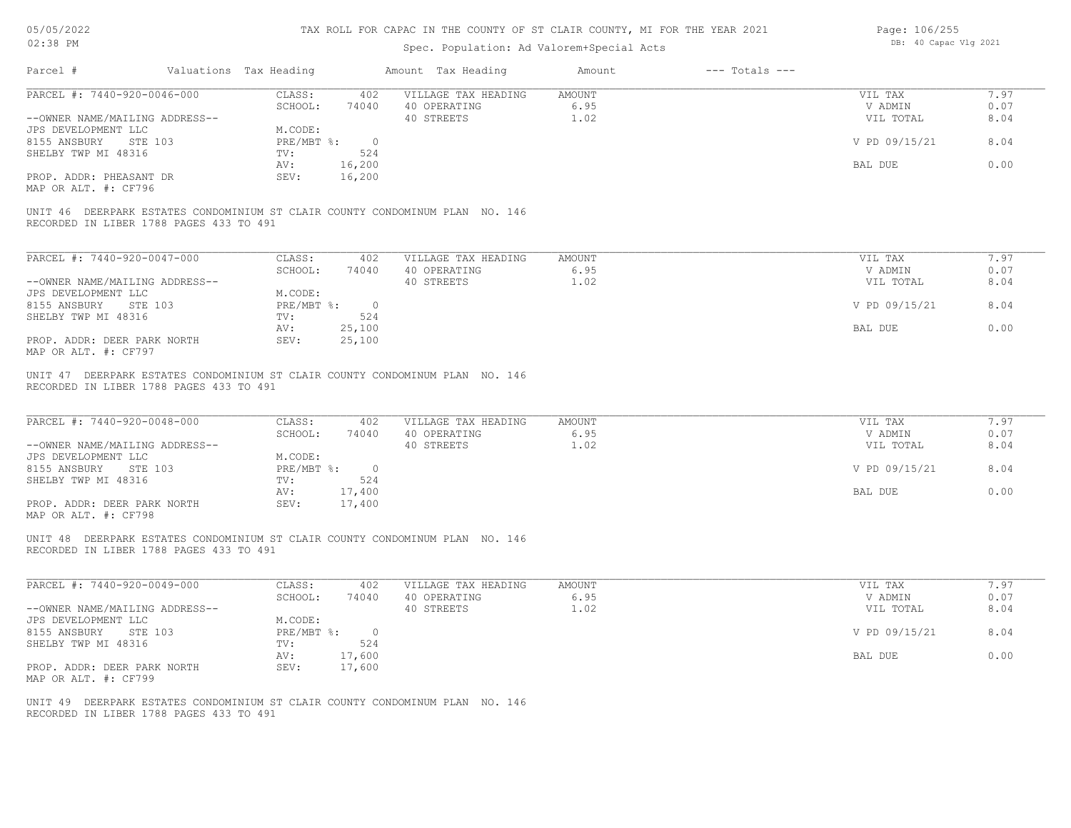| 05/05/2022 |  |
|------------|--|
| 02:38 PM   |  |

| Page: 106/255 |                       |  |
|---------------|-----------------------|--|
|               | DB: 40 Capac Vlg 2021 |  |

| Parcel #                                                                                                                | Valuations Tax Heading |                                |                       | Amount Tax Heading                                | Amount                        | $---$ Totals $---$ |                                 |                      |
|-------------------------------------------------------------------------------------------------------------------------|------------------------|--------------------------------|-----------------------|---------------------------------------------------|-------------------------------|--------------------|---------------------------------|----------------------|
| PARCEL #: 7440-920-0046-000<br>--OWNER NAME/MAILING ADDRESS--                                                           |                        | CLASS:<br>SCHOOL:              | 402<br>74040          | VILLAGE TAX HEADING<br>40 OPERATING<br>40 STREETS | <b>AMOUNT</b><br>6.95<br>1.02 |                    | VIL TAX<br>V ADMIN<br>VIL TOTAL | 7.97<br>0.07<br>8.04 |
| JPS DEVELOPMENT LLC<br>8155 ANSBURY<br>STE 103<br>SHELBY TWP MI 48316                                                   |                        | M.CODE:<br>$PRE/MBT$ %:<br>TV: | $\overline{0}$<br>524 |                                                   |                               |                    | V PD 09/15/21                   | 8.04                 |
| PROP. ADDR: PHEASANT DR                                                                                                 |                        | AV:<br>SEV:                    | 16,200<br>16,200      |                                                   |                               |                    | BAL DUE                         | 0.00                 |
| MAP OR ALT. #: CF796                                                                                                    |                        |                                |                       |                                                   |                               |                    |                                 |                      |
| UNIT 46 DEERPARK ESTATES CONDOMINIUM ST CLAIR COUNTY CONDOMINUM PLAN NO. 146<br>RECORDED IN LIBER 1788 PAGES 433 TO 491 |                        |                                |                       |                                                   |                               |                    |                                 |                      |
| PARCEL #: 7440-920-0047-000                                                                                             |                        | CLASS:                         | 402                   | VILLAGE TAX HEADING                               | <b>AMOUNT</b>                 |                    | VIL TAX                         | 7.97                 |
| --OWNER NAME/MAILING ADDRESS--                                                                                          |                        | SCHOOL:                        | 74040                 | 40 OPERATING<br>40 STREETS                        | 6.95<br>1.02                  |                    | V ADMIN<br>VIL TOTAL            | 0.07<br>8.04         |
| JPS DEVELOPMENT LLC<br>8155 ANSBURY STE 103                                                                             |                        | M.CODE:<br>$PRE/MBT$ %:        | $\overline{0}$        |                                                   |                               |                    | V PD 09/15/21                   | 8.04                 |
| SHELBY TWP MI 48316                                                                                                     |                        | TV:<br>AV:                     | 524<br>25,100         |                                                   |                               |                    | BAL DUE                         | 0.00                 |
| PROP. ADDR: DEER PARK NORTH<br>MAP OR ALT. #: CF797                                                                     |                        | SEV:                           | 25,100                |                                                   |                               |                    |                                 |                      |
| UNIT 47 DEERPARK ESTATES CONDOMINIUM ST CLAIR COUNTY CONDOMINUM PLAN NO. 146<br>RECORDED IN LIBER 1788 PAGES 433 TO 491 |                        |                                |                       |                                                   |                               |                    |                                 |                      |
| PARCEL #: 7440-920-0048-000                                                                                             |                        | CLASS:                         | 402                   | VILLAGE TAX HEADING                               | <b>AMOUNT</b>                 |                    | VIL TAX                         | 7.97                 |
| --OWNER NAME/MAILING ADDRESS--                                                                                          |                        | SCHOOL:                        | 74040                 | 40 OPERATING<br>40 STREETS                        | 6.95<br>1.02                  |                    | V ADMIN<br>VIL TOTAL            | 0.07<br>8.04         |
| JPS DEVELOPMENT LLC<br>8155 ANSBURY STE 103                                                                             |                        | M.CODE:<br>$PRE/MBT$ %:        | $\overline{0}$        |                                                   |                               |                    | V PD 09/15/21                   | 8.04                 |
| SHELBY TWP MI 48316                                                                                                     |                        | TV:<br>AV:                     | 524<br>17,400         |                                                   |                               |                    | BAL DUE                         | 0.00                 |
| PROP. ADDR: DEER PARK NORTH<br>MAP OR ALT. #: CF798                                                                     |                        | SEV:                           | 17,400                |                                                   |                               |                    |                                 |                      |
| UNIT 48 DEERPARK ESTATES CONDOMINIUM ST CLAIR COUNTY CONDOMINUM PLAN NO. 146<br>RECORDED IN LIBER 1788 PAGES 433 TO 491 |                        |                                |                       |                                                   |                               |                    |                                 |                      |
| PARCEL #: 7440-920-0049-000                                                                                             |                        | CLASS:                         | 402                   | VILLAGE TAX HEADING                               | <b>AMOUNT</b>                 |                    | VIL TAX                         | 7.97                 |
| --OWNER NAME/MAILING ADDRESS--                                                                                          |                        | SCHOOL:                        | 74040                 | 40 OPERATING<br>40 STREETS                        | 6.95<br>1.02                  |                    | V ADMIN<br>VIL TOTAL            | 0.07<br>8.04         |
| JPS DEVELOPMENT LLC<br>8155 ANSBURY STE 103                                                                             |                        | M.CODE:<br>$PRE/MBT$ $\div$    | $\overline{0}$        |                                                   |                               |                    | V PD 09/15/21                   | 8.04                 |
| SHELBY TWP MI 48316                                                                                                     |                        | TV:<br>AV:                     | 524<br>17,600         |                                                   |                               |                    | BAL DUE                         | 0.00                 |
| PROP. ADDR: DEER PARK NORTH<br>MAP OR ALT. #: CF799                                                                     |                        | SEV:                           | 17,600                |                                                   |                               |                    |                                 |                      |
| UNIT 49 DEERPARK ESTATES CONDOMINIUM ST CLAIR COUNTY CONDOMINUM PLAN NO. 146<br>RECORDED IN LIBER 1788 PAGES 433 TO 491 |                        |                                |                       |                                                   |                               |                    |                                 |                      |
|                                                                                                                         |                        |                                |                       |                                                   |                               |                    |                                 |                      |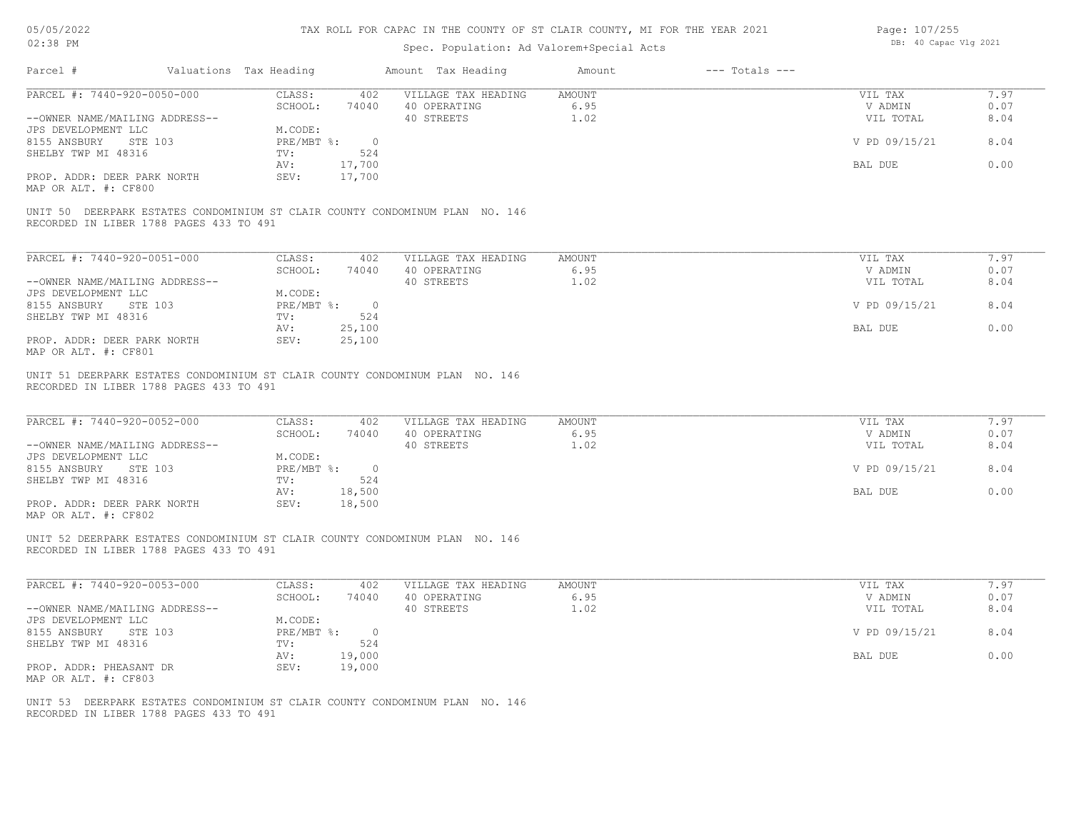| 05/05/2022 |  |
|------------|--|
| 02:38 PM   |  |

| Page: 107/255 |                       |  |
|---------------|-----------------------|--|
|               | DB: 40 Capac Vlg 2021 |  |

| Parcel #                                                                                                                                                                                   |         | Valuations Tax Heading                                             |                                         | Amount Tax Heading                                                           | Amount                        | $---$ Totals $---$ |                                                             |                                      |
|--------------------------------------------------------------------------------------------------------------------------------------------------------------------------------------------|---------|--------------------------------------------------------------------|-----------------------------------------|------------------------------------------------------------------------------|-------------------------------|--------------------|-------------------------------------------------------------|--------------------------------------|
| PARCEL #: 7440-920-0050-000<br>--OWNER NAME/MAILING ADDRESS--<br>JPS DEVELOPMENT LLC<br>8155 ANSBURY STE 103<br>SHELBY TWP MI 48316<br>PROP. ADDR: DEER PARK NORTH<br>MAP OR ALT. #: CF800 |         | CLASS:<br>SCHOOL:<br>M.CODE:<br>PRE/MBT %: 0<br>TV:<br>AV:<br>SEV: | 402<br>74040<br>524<br>17,700<br>17,700 | VILLAGE TAX HEADING<br>40 OPERATING<br>40 STREETS                            | <b>AMOUNT</b><br>6.95<br>1.02 |                    | VIL TAX<br>V ADMIN<br>VIL TOTAL<br>V PD 09/15/21<br>BAL DUE | 7.97<br>0.07<br>8.04<br>8.04<br>0.00 |
| RECORDED IN LIBER 1788 PAGES 433 TO 491                                                                                                                                                    |         |                                                                    |                                         | UNIT 50 DEERPARK ESTATES CONDOMINIUM ST CLAIR COUNTY CONDOMINUM PLAN NO. 146 |                               |                    |                                                             |                                      |
| PARCEL #: 7440-920-0051-000<br>--OWNER NAME/MAILING ADDRESS--<br>JPS DEVELOPMENT LLC<br>8155 ANSBURY STE 103<br>SHELBY TWP MI 48316<br>PROP. ADDR: DEER PARK NORTH<br>MAP OR ALT. #: CF801 |         | CLASS:<br>SCHOOL:<br>M.CODE:<br>PRE/MBT %: 0<br>TV:<br>AV:<br>SEV: | 402<br>74040<br>524<br>25,100<br>25,100 | VILLAGE TAX HEADING<br>40 OPERATING<br>40 STREETS                            | AMOUNT<br>6.95<br>1.02        |                    | VIL TAX<br>V ADMIN<br>VIL TOTAL<br>V PD 09/15/21<br>BAL DUE | 7.97<br>0.07<br>8.04<br>8.04<br>0.00 |
| RECORDED IN LIBER 1788 PAGES 433 TO 491                                                                                                                                                    |         |                                                                    |                                         | UNIT 51 DEERPARK ESTATES CONDOMINIUM ST CLAIR COUNTY CONDOMINUM PLAN NO. 146 |                               |                    |                                                             |                                      |
| PARCEL #: 7440-920-0052-000<br>--OWNER NAME/MAILING ADDRESS--<br>JPS DEVELOPMENT LLC<br>8155 ANSBURY<br>SHELBY TWP MI 48316<br>PROP. ADDR: DEER PARK NORTH<br>MAP OR ALT. #: CF802         | STE 103 | CLASS:<br>SCHOOL:<br>M.CODE:<br>PRE/MBT %: 0<br>TV:<br>AV:<br>SEV: | 402<br>74040<br>524<br>18,500<br>18,500 | VILLAGE TAX HEADING<br>40 OPERATING<br>40 STREETS                            | AMOUNT<br>6.95<br>1.02        |                    | VIL TAX<br>V ADMIN<br>VIL TOTAL<br>V PD 09/15/21<br>BAL DUE | 7.97<br>0.07<br>8.04<br>8.04<br>0.00 |
| RECORDED IN LIBER 1788 PAGES 433 TO 491                                                                                                                                                    |         |                                                                    |                                         | UNIT 52 DEERPARK ESTATES CONDOMINIUM ST CLAIR COUNTY CONDOMINUM PLAN NO. 146 |                               |                    |                                                             |                                      |
| PARCEL #: 7440-920-0053-000<br>--OWNER NAME/MAILING ADDRESS--<br>JPS DEVELOPMENT LLC<br>8155 ANSBURY STE 103<br>SHELBY TWP MI 48316<br>PROP. ADDR: PHEASANT DR<br>MAP OR ALT. #: CF803     |         | CLASS:<br>SCHOOL:<br>M.CODE:<br>PRE/MBT %: 0<br>TV:<br>AV:<br>SEV: | 402<br>74040<br>524<br>19,000<br>19,000 | VILLAGE TAX HEADING<br>40 OPERATING<br>40 STREETS                            | <b>AMOUNT</b><br>6.95<br>1.02 |                    | VIL TAX<br>V ADMIN<br>VIL TOTAL<br>V PD 09/15/21<br>BAL DUE | 7.97<br>0.07<br>8.04<br>8.04<br>0.00 |
| RECORDED IN LIBER 1788 PAGES 433 TO 491                                                                                                                                                    |         |                                                                    |                                         | UNIT 53 DEERPARK ESTATES CONDOMINIUM ST CLAIR COUNTY CONDOMINUM PLAN NO. 146 |                               |                    |                                                             |                                      |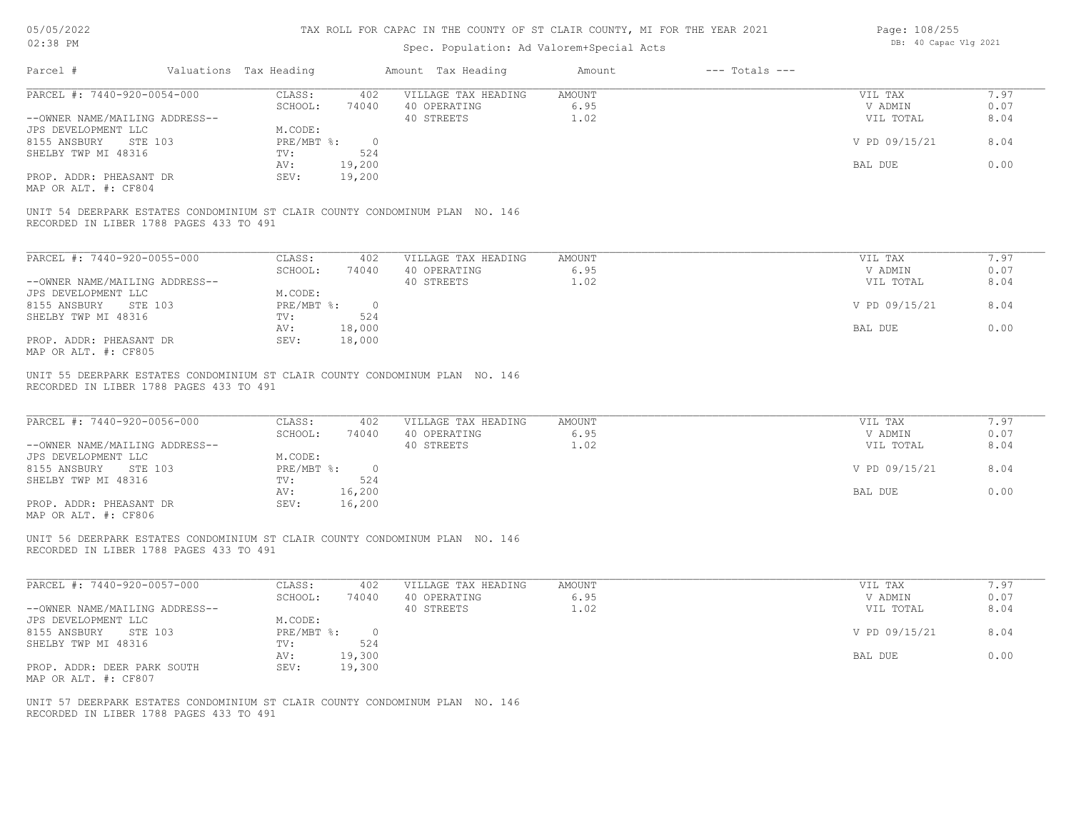| Page: 108/255 |                       |  |
|---------------|-----------------------|--|
|               | DB: 40 Capac Vlg 2021 |  |

| Parcel #<br>Valuations Tax Heading<br>Amount Tax Heading<br>$---$ Totals $---$<br>Amount<br>PARCEL #: 7440-920-0054-000<br>CLASS:<br>VILLAGE TAX HEADING<br>AMOUNT<br>402<br>VIL TAX<br>SCHOOL:<br>6.95<br>74040<br>40 OPERATING<br>V ADMIN<br>40 STREETS<br>1.02<br>--OWNER NAME/MAILING ADDRESS--<br>VIL TOTAL<br>JPS DEVELOPMENT LLC<br>M.CODE:<br>8155 ANSBURY STE 103<br>$PRE/MBT$ %:<br>V PD 09/15/21<br>$\overline{\phantom{0}}$<br>SHELBY TWP MI 48316<br>TV:<br>524<br>19,200<br>BAL DUE<br>AV:<br>PROP. ADDR: PHEASANT DR<br>SEV:<br>19,200<br>MAP OR ALT. #: CF804<br>UNIT 54 DEERPARK ESTATES CONDOMINIUM ST CLAIR COUNTY CONDOMINUM PLAN NO. 146<br>RECORDED IN LIBER 1788 PAGES 433 TO 491<br>PARCEL #: 7440-920-0055-000<br><b>AMOUNT</b><br>CLASS:<br>402<br>VILLAGE TAX HEADING<br>VIL TAX<br>SCHOOL:<br>40 OPERATING<br>6.95<br>V ADMIN<br>74040<br>40 STREETS<br>1.02<br>--OWNER NAME/MAILING ADDRESS--<br>VIL TOTAL<br>JPS DEVELOPMENT LLC<br>M.CODE:<br>8155 ANSBURY STE 103<br>$PRE/MBT$ %:<br>V PD 09/15/21<br>$\overline{\phantom{0}}$<br>SHELBY TWP MI 48316<br>524<br>TV:<br>AV:<br>18,000<br>BAL DUE<br>PROP. ADDR: PHEASANT DR<br>SEV:<br>18,000<br>MAP OR ALT. #: CF805<br>UNIT 55 DEERPARK ESTATES CONDOMINIUM ST CLAIR COUNTY CONDOMINUM PLAN NO. 146<br>RECORDED IN LIBER 1788 PAGES 433 TO 491<br>PARCEL #: 7440-920-0056-000<br>CLASS:<br>402<br>VILLAGE TAX HEADING<br><b>AMOUNT</b><br>VIL TAX<br>SCHOOL:<br>74040<br>40 OPERATING<br>6.95<br>V ADMIN<br>--OWNER NAME/MAILING ADDRESS--<br>40 STREETS<br>1.02<br>VIL TOTAL<br>JPS DEVELOPMENT LLC<br>M.CODE:<br>$PRE/MBT$ %:<br>8155 ANSBURY STE 103<br>V PD 09/15/21<br>$\overline{\phantom{0}}$<br>SHELBY TWP MI 48316<br>524<br>TV:<br>16,200<br>BAL DUE<br>AV:<br>16,200<br>PROP. ADDR: PHEASANT DR<br>SEV:<br>MAP OR ALT. #: CF806<br>UNIT 56 DEERPARK ESTATES CONDOMINIUM ST CLAIR COUNTY CONDOMINUM PLAN NO. 146<br>RECORDED IN LIBER 1788 PAGES 433 TO 491<br>PARCEL #: 7440-920-0057-000<br>CLASS:<br>402<br>VILLAGE TAX HEADING<br><b>AMOUNT</b><br>VIL TAX<br>SCHOOL:<br>40 OPERATING<br>6.95<br>V ADMIN<br>74040<br>40 STREETS<br>1.02<br>--OWNER NAME/MAILING ADDRESS--<br>VIL TOTAL<br>JPS DEVELOPMENT LLC<br>M.CODE:<br>8155 ANSBURY STE 103<br>$PRE/MBT$ %:<br>V PD 09/15/21<br>$\overline{0}$<br>SHELBY TWP MI 48316<br>524<br>TV:<br>19,300<br>BAL DUE<br>AV:<br>SEV:<br>19,300<br>PROP. ADDR: DEER PARK SOUTH<br>MAP OR ALT. #: CF807<br>UNIT 57 DEERPARK ESTATES CONDOMINIUM ST CLAIR COUNTY CONDOMINUM PLAN NO. 146 | 7.97<br>0.07<br>8.04<br>8.04<br>0.00<br>7.97<br>0.07<br>8.04<br>8.04<br>0.00<br>7.97<br>0.07<br>8.04<br>8.04<br>0.00<br>7.97<br>0.07<br>8.04<br>8.04<br>0.00 |  | Spec. Population: Ad Valorem+Special Acts |  |  |  |
|------------------------------------------------------------------------------------------------------------------------------------------------------------------------------------------------------------------------------------------------------------------------------------------------------------------------------------------------------------------------------------------------------------------------------------------------------------------------------------------------------------------------------------------------------------------------------------------------------------------------------------------------------------------------------------------------------------------------------------------------------------------------------------------------------------------------------------------------------------------------------------------------------------------------------------------------------------------------------------------------------------------------------------------------------------------------------------------------------------------------------------------------------------------------------------------------------------------------------------------------------------------------------------------------------------------------------------------------------------------------------------------------------------------------------------------------------------------------------------------------------------------------------------------------------------------------------------------------------------------------------------------------------------------------------------------------------------------------------------------------------------------------------------------------------------------------------------------------------------------------------------------------------------------------------------------------------------------------------------------------------------------------------------------------------------------------------------------------------------------------------------------------------------------------------------------------------------------------------------------------------------------------------------------------------------------------------------------------------------------------------------------------------------------------------------------------------------------------------------------------------------------------------|--------------------------------------------------------------------------------------------------------------------------------------------------------------|--|-------------------------------------------|--|--|--|
|                                                                                                                                                                                                                                                                                                                                                                                                                                                                                                                                                                                                                                                                                                                                                                                                                                                                                                                                                                                                                                                                                                                                                                                                                                                                                                                                                                                                                                                                                                                                                                                                                                                                                                                                                                                                                                                                                                                                                                                                                                                                                                                                                                                                                                                                                                                                                                                                                                                                                                                              |                                                                                                                                                              |  |                                           |  |  |  |
|                                                                                                                                                                                                                                                                                                                                                                                                                                                                                                                                                                                                                                                                                                                                                                                                                                                                                                                                                                                                                                                                                                                                                                                                                                                                                                                                                                                                                                                                                                                                                                                                                                                                                                                                                                                                                                                                                                                                                                                                                                                                                                                                                                                                                                                                                                                                                                                                                                                                                                                              |                                                                                                                                                              |  |                                           |  |  |  |
|                                                                                                                                                                                                                                                                                                                                                                                                                                                                                                                                                                                                                                                                                                                                                                                                                                                                                                                                                                                                                                                                                                                                                                                                                                                                                                                                                                                                                                                                                                                                                                                                                                                                                                                                                                                                                                                                                                                                                                                                                                                                                                                                                                                                                                                                                                                                                                                                                                                                                                                              |                                                                                                                                                              |  |                                           |  |  |  |
|                                                                                                                                                                                                                                                                                                                                                                                                                                                                                                                                                                                                                                                                                                                                                                                                                                                                                                                                                                                                                                                                                                                                                                                                                                                                                                                                                                                                                                                                                                                                                                                                                                                                                                                                                                                                                                                                                                                                                                                                                                                                                                                                                                                                                                                                                                                                                                                                                                                                                                                              |                                                                                                                                                              |  |                                           |  |  |  |
|                                                                                                                                                                                                                                                                                                                                                                                                                                                                                                                                                                                                                                                                                                                                                                                                                                                                                                                                                                                                                                                                                                                                                                                                                                                                                                                                                                                                                                                                                                                                                                                                                                                                                                                                                                                                                                                                                                                                                                                                                                                                                                                                                                                                                                                                                                                                                                                                                                                                                                                              |                                                                                                                                                              |  |                                           |  |  |  |
|                                                                                                                                                                                                                                                                                                                                                                                                                                                                                                                                                                                                                                                                                                                                                                                                                                                                                                                                                                                                                                                                                                                                                                                                                                                                                                                                                                                                                                                                                                                                                                                                                                                                                                                                                                                                                                                                                                                                                                                                                                                                                                                                                                                                                                                                                                                                                                                                                                                                                                                              |                                                                                                                                                              |  |                                           |  |  |  |
|                                                                                                                                                                                                                                                                                                                                                                                                                                                                                                                                                                                                                                                                                                                                                                                                                                                                                                                                                                                                                                                                                                                                                                                                                                                                                                                                                                                                                                                                                                                                                                                                                                                                                                                                                                                                                                                                                                                                                                                                                                                                                                                                                                                                                                                                                                                                                                                                                                                                                                                              |                                                                                                                                                              |  |                                           |  |  |  |
|                                                                                                                                                                                                                                                                                                                                                                                                                                                                                                                                                                                                                                                                                                                                                                                                                                                                                                                                                                                                                                                                                                                                                                                                                                                                                                                                                                                                                                                                                                                                                                                                                                                                                                                                                                                                                                                                                                                                                                                                                                                                                                                                                                                                                                                                                                                                                                                                                                                                                                                              |                                                                                                                                                              |  |                                           |  |  |  |
|                                                                                                                                                                                                                                                                                                                                                                                                                                                                                                                                                                                                                                                                                                                                                                                                                                                                                                                                                                                                                                                                                                                                                                                                                                                                                                                                                                                                                                                                                                                                                                                                                                                                                                                                                                                                                                                                                                                                                                                                                                                                                                                                                                                                                                                                                                                                                                                                                                                                                                                              |                                                                                                                                                              |  |                                           |  |  |  |
|                                                                                                                                                                                                                                                                                                                                                                                                                                                                                                                                                                                                                                                                                                                                                                                                                                                                                                                                                                                                                                                                                                                                                                                                                                                                                                                                                                                                                                                                                                                                                                                                                                                                                                                                                                                                                                                                                                                                                                                                                                                                                                                                                                                                                                                                                                                                                                                                                                                                                                                              |                                                                                                                                                              |  |                                           |  |  |  |
|                                                                                                                                                                                                                                                                                                                                                                                                                                                                                                                                                                                                                                                                                                                                                                                                                                                                                                                                                                                                                                                                                                                                                                                                                                                                                                                                                                                                                                                                                                                                                                                                                                                                                                                                                                                                                                                                                                                                                                                                                                                                                                                                                                                                                                                                                                                                                                                                                                                                                                                              |                                                                                                                                                              |  |                                           |  |  |  |
|                                                                                                                                                                                                                                                                                                                                                                                                                                                                                                                                                                                                                                                                                                                                                                                                                                                                                                                                                                                                                                                                                                                                                                                                                                                                                                                                                                                                                                                                                                                                                                                                                                                                                                                                                                                                                                                                                                                                                                                                                                                                                                                                                                                                                                                                                                                                                                                                                                                                                                                              |                                                                                                                                                              |  |                                           |  |  |  |
|                                                                                                                                                                                                                                                                                                                                                                                                                                                                                                                                                                                                                                                                                                                                                                                                                                                                                                                                                                                                                                                                                                                                                                                                                                                                                                                                                                                                                                                                                                                                                                                                                                                                                                                                                                                                                                                                                                                                                                                                                                                                                                                                                                                                                                                                                                                                                                                                                                                                                                                              |                                                                                                                                                              |  |                                           |  |  |  |
|                                                                                                                                                                                                                                                                                                                                                                                                                                                                                                                                                                                                                                                                                                                                                                                                                                                                                                                                                                                                                                                                                                                                                                                                                                                                                                                                                                                                                                                                                                                                                                                                                                                                                                                                                                                                                                                                                                                                                                                                                                                                                                                                                                                                                                                                                                                                                                                                                                                                                                                              |                                                                                                                                                              |  |                                           |  |  |  |
|                                                                                                                                                                                                                                                                                                                                                                                                                                                                                                                                                                                                                                                                                                                                                                                                                                                                                                                                                                                                                                                                                                                                                                                                                                                                                                                                                                                                                                                                                                                                                                                                                                                                                                                                                                                                                                                                                                                                                                                                                                                                                                                                                                                                                                                                                                                                                                                                                                                                                                                              |                                                                                                                                                              |  |                                           |  |  |  |
|                                                                                                                                                                                                                                                                                                                                                                                                                                                                                                                                                                                                                                                                                                                                                                                                                                                                                                                                                                                                                                                                                                                                                                                                                                                                                                                                                                                                                                                                                                                                                                                                                                                                                                                                                                                                                                                                                                                                                                                                                                                                                                                                                                                                                                                                                                                                                                                                                                                                                                                              |                                                                                                                                                              |  |                                           |  |  |  |
|                                                                                                                                                                                                                                                                                                                                                                                                                                                                                                                                                                                                                                                                                                                                                                                                                                                                                                                                                                                                                                                                                                                                                                                                                                                                                                                                                                                                                                                                                                                                                                                                                                                                                                                                                                                                                                                                                                                                                                                                                                                                                                                                                                                                                                                                                                                                                                                                                                                                                                                              |                                                                                                                                                              |  |                                           |  |  |  |
|                                                                                                                                                                                                                                                                                                                                                                                                                                                                                                                                                                                                                                                                                                                                                                                                                                                                                                                                                                                                                                                                                                                                                                                                                                                                                                                                                                                                                                                                                                                                                                                                                                                                                                                                                                                                                                                                                                                                                                                                                                                                                                                                                                                                                                                                                                                                                                                                                                                                                                                              |                                                                                                                                                              |  |                                           |  |  |  |
|                                                                                                                                                                                                                                                                                                                                                                                                                                                                                                                                                                                                                                                                                                                                                                                                                                                                                                                                                                                                                                                                                                                                                                                                                                                                                                                                                                                                                                                                                                                                                                                                                                                                                                                                                                                                                                                                                                                                                                                                                                                                                                                                                                                                                                                                                                                                                                                                                                                                                                                              |                                                                                                                                                              |  |                                           |  |  |  |
|                                                                                                                                                                                                                                                                                                                                                                                                                                                                                                                                                                                                                                                                                                                                                                                                                                                                                                                                                                                                                                                                                                                                                                                                                                                                                                                                                                                                                                                                                                                                                                                                                                                                                                                                                                                                                                                                                                                                                                                                                                                                                                                                                                                                                                                                                                                                                                                                                                                                                                                              |                                                                                                                                                              |  |                                           |  |  |  |
|                                                                                                                                                                                                                                                                                                                                                                                                                                                                                                                                                                                                                                                                                                                                                                                                                                                                                                                                                                                                                                                                                                                                                                                                                                                                                                                                                                                                                                                                                                                                                                                                                                                                                                                                                                                                                                                                                                                                                                                                                                                                                                                                                                                                                                                                                                                                                                                                                                                                                                                              |                                                                                                                                                              |  |                                           |  |  |  |
|                                                                                                                                                                                                                                                                                                                                                                                                                                                                                                                                                                                                                                                                                                                                                                                                                                                                                                                                                                                                                                                                                                                                                                                                                                                                                                                                                                                                                                                                                                                                                                                                                                                                                                                                                                                                                                                                                                                                                                                                                                                                                                                                                                                                                                                                                                                                                                                                                                                                                                                              |                                                                                                                                                              |  |                                           |  |  |  |
|                                                                                                                                                                                                                                                                                                                                                                                                                                                                                                                                                                                                                                                                                                                                                                                                                                                                                                                                                                                                                                                                                                                                                                                                                                                                                                                                                                                                                                                                                                                                                                                                                                                                                                                                                                                                                                                                                                                                                                                                                                                                                                                                                                                                                                                                                                                                                                                                                                                                                                                              |                                                                                                                                                              |  |                                           |  |  |  |
|                                                                                                                                                                                                                                                                                                                                                                                                                                                                                                                                                                                                                                                                                                                                                                                                                                                                                                                                                                                                                                                                                                                                                                                                                                                                                                                                                                                                                                                                                                                                                                                                                                                                                                                                                                                                                                                                                                                                                                                                                                                                                                                                                                                                                                                                                                                                                                                                                                                                                                                              |                                                                                                                                                              |  |                                           |  |  |  |
|                                                                                                                                                                                                                                                                                                                                                                                                                                                                                                                                                                                                                                                                                                                                                                                                                                                                                                                                                                                                                                                                                                                                                                                                                                                                                                                                                                                                                                                                                                                                                                                                                                                                                                                                                                                                                                                                                                                                                                                                                                                                                                                                                                                                                                                                                                                                                                                                                                                                                                                              |                                                                                                                                                              |  |                                           |  |  |  |
|                                                                                                                                                                                                                                                                                                                                                                                                                                                                                                                                                                                                                                                                                                                                                                                                                                                                                                                                                                                                                                                                                                                                                                                                                                                                                                                                                                                                                                                                                                                                                                                                                                                                                                                                                                                                                                                                                                                                                                                                                                                                                                                                                                                                                                                                                                                                                                                                                                                                                                                              |                                                                                                                                                              |  |                                           |  |  |  |
|                                                                                                                                                                                                                                                                                                                                                                                                                                                                                                                                                                                                                                                                                                                                                                                                                                                                                                                                                                                                                                                                                                                                                                                                                                                                                                                                                                                                                                                                                                                                                                                                                                                                                                                                                                                                                                                                                                                                                                                                                                                                                                                                                                                                                                                                                                                                                                                                                                                                                                                              |                                                                                                                                                              |  |                                           |  |  |  |
|                                                                                                                                                                                                                                                                                                                                                                                                                                                                                                                                                                                                                                                                                                                                                                                                                                                                                                                                                                                                                                                                                                                                                                                                                                                                                                                                                                                                                                                                                                                                                                                                                                                                                                                                                                                                                                                                                                                                                                                                                                                                                                                                                                                                                                                                                                                                                                                                                                                                                                                              |                                                                                                                                                              |  |                                           |  |  |  |
|                                                                                                                                                                                                                                                                                                                                                                                                                                                                                                                                                                                                                                                                                                                                                                                                                                                                                                                                                                                                                                                                                                                                                                                                                                                                                                                                                                                                                                                                                                                                                                                                                                                                                                                                                                                                                                                                                                                                                                                                                                                                                                                                                                                                                                                                                                                                                                                                                                                                                                                              |                                                                                                                                                              |  |                                           |  |  |  |
|                                                                                                                                                                                                                                                                                                                                                                                                                                                                                                                                                                                                                                                                                                                                                                                                                                                                                                                                                                                                                                                                                                                                                                                                                                                                                                                                                                                                                                                                                                                                                                                                                                                                                                                                                                                                                                                                                                                                                                                                                                                                                                                                                                                                                                                                                                                                                                                                                                                                                                                              |                                                                                                                                                              |  |                                           |  |  |  |
|                                                                                                                                                                                                                                                                                                                                                                                                                                                                                                                                                                                                                                                                                                                                                                                                                                                                                                                                                                                                                                                                                                                                                                                                                                                                                                                                                                                                                                                                                                                                                                                                                                                                                                                                                                                                                                                                                                                                                                                                                                                                                                                                                                                                                                                                                                                                                                                                                                                                                                                              |                                                                                                                                                              |  |                                           |  |  |  |
|                                                                                                                                                                                                                                                                                                                                                                                                                                                                                                                                                                                                                                                                                                                                                                                                                                                                                                                                                                                                                                                                                                                                                                                                                                                                                                                                                                                                                                                                                                                                                                                                                                                                                                                                                                                                                                                                                                                                                                                                                                                                                                                                                                                                                                                                                                                                                                                                                                                                                                                              |                                                                                                                                                              |  |                                           |  |  |  |
| RECORDED IN LIBER 1788 PAGES 433 TO 491                                                                                                                                                                                                                                                                                                                                                                                                                                                                                                                                                                                                                                                                                                                                                                                                                                                                                                                                                                                                                                                                                                                                                                                                                                                                                                                                                                                                                                                                                                                                                                                                                                                                                                                                                                                                                                                                                                                                                                                                                                                                                                                                                                                                                                                                                                                                                                                                                                                                                      |                                                                                                                                                              |  |                                           |  |  |  |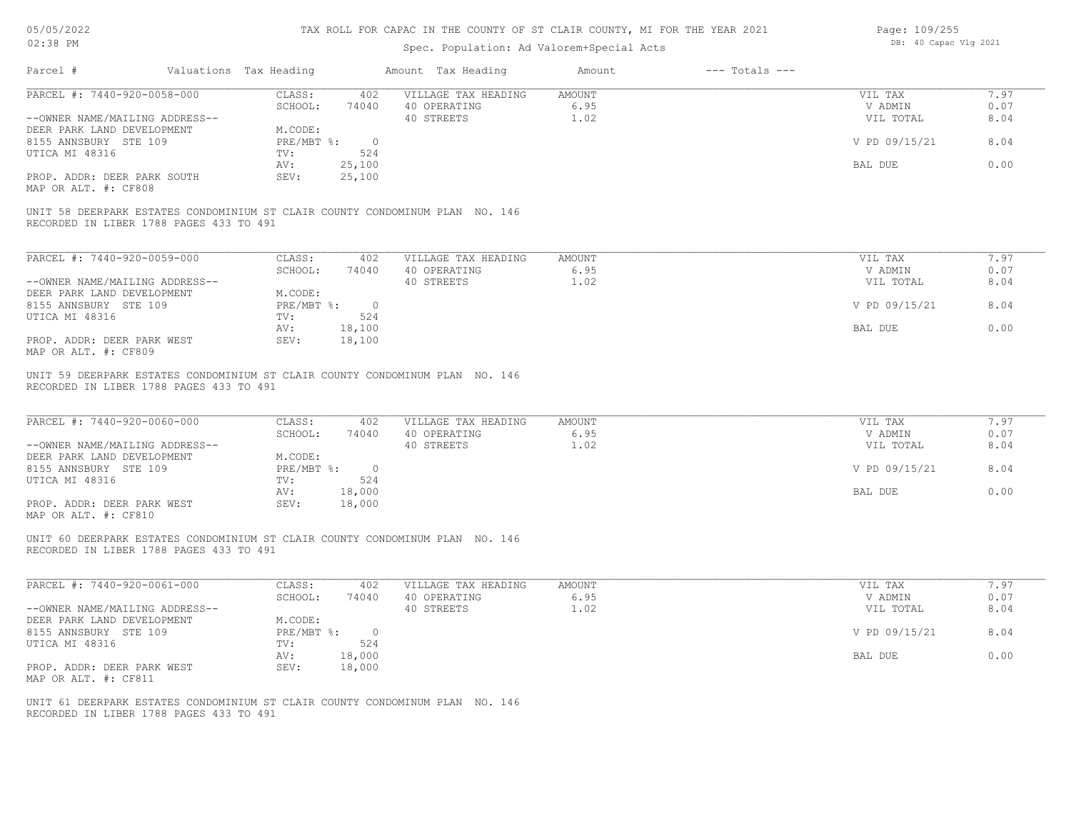# TAX ROLL FOR CAPAC IN THE COUNTY OF ST CLAIR COUNTY, MI FOR THE YEAR 2021

# Spec. Population: Ad Valorem+Special Acts

| Page: 109/255 |                       |  |
|---------------|-----------------------|--|
|               | DB: 40 Capac Vlg 2021 |  |

| Parcel #                                                               | Valuations Tax Heading |                                 | Amount Tax Heading                                                           | Amount                        | $---$ Totals $---$ |                                 |                      |
|------------------------------------------------------------------------|------------------------|---------------------------------|------------------------------------------------------------------------------|-------------------------------|--------------------|---------------------------------|----------------------|
| PARCEL #: 7440-920-0058-000<br>--OWNER NAME/MAILING ADDRESS--          |                        | CLASS:<br>SCHOOL:               | 402<br>VILLAGE TAX HEADING<br>74040<br>40 OPERATING<br>40 STREETS            | <b>AMOUNT</b><br>6.95<br>1.02 |                    | VIL TAX<br>V ADMIN<br>VIL TOTAL | 7.97<br>0.07<br>8.04 |
| DEER PARK LAND DEVELOPMENT<br>8155 ANNSBURY STE 109                    |                        | M.CODE:<br>PRE/MBT %: 0         |                                                                              |                               |                    | V PD 09/15/21                   | 8.04                 |
| UTICA MI 48316                                                         |                        | 524<br>TV:<br>25,100<br>AV:     |                                                                              |                               |                    | BAL DUE                         | 0.00                 |
| PROP. ADDR: DEER PARK SOUTH<br>MAP OR ALT. #: CF808                    |                        | 25,100<br>SEV:                  |                                                                              |                               |                    |                                 |                      |
| RECORDED IN LIBER 1788 PAGES 433 TO 491                                |                        |                                 | UNIT 58 DEERPARK ESTATES CONDOMINIUM ST CLAIR COUNTY CONDOMINUM PLAN NO. 146 |                               |                    |                                 |                      |
| PARCEL #: 7440-920-0059-000                                            |                        | CLASS:                          | 402<br>VILLAGE TAX HEADING                                                   | AMOUNT                        |                    | VIL TAX                         | 7.97                 |
| --OWNER NAME/MAILING ADDRESS--                                         |                        | SCHOOL:                         | 74040<br>40 OPERATING<br>40 STREETS                                          | 6.95<br>1.02                  |                    | V ADMIN<br>VIL TOTAL            | 0.07<br>8.04         |
| DEER PARK LAND DEVELOPMENT<br>8155 ANNSBURY STE 109                    |                        | M.CODE:<br>PRE/MBT %: 0         |                                                                              |                               |                    | V PD 09/15/21                   | 8.04                 |
| UTICA MI 48316                                                         |                        | TV:                             | 524                                                                          |                               |                    |                                 | 0.00                 |
| PROP. ADDR: DEER PARK WEST<br>MAP OR ALT. #: CF809                     |                        | AV:<br>18,100<br>SEV:<br>18,100 |                                                                              |                               |                    | BAL DUE                         |                      |
| RECORDED IN LIBER 1788 PAGES 433 TO 491<br>PARCEL #: 7440-920-0060-000 |                        | CLASS:                          | 402<br>VILLAGE TAX HEADING                                                   | AMOUNT                        |                    | VIL TAX                         | 7.97                 |
| --OWNER NAME/MAILING ADDRESS--                                         |                        | SCHOOL:<br>74040                | 40 OPERATING<br>40 STREETS                                                   | 6.95<br>1.02                  |                    | V ADMIN<br>VIL TOTAL            | 0.07<br>8.04         |
| DEER PARK LAND DEVELOPMENT<br>8155 ANNSBURY STE 109                    |                        | M.CODE:<br>PRE/MBT %: 0         |                                                                              |                               |                    | V PD 09/15/21                   | 8.04                 |
| UTICA MI 48316                                                         |                        | TV:                             | 524                                                                          |                               |                    |                                 |                      |
| PROP. ADDR: DEER PARK WEST<br>MAP OR ALT. #: CF810                     |                        | 18,000<br>AV:<br>18,000<br>SEV: |                                                                              |                               |                    | BAL DUE                         | 0.00                 |
| RECORDED IN LIBER 1788 PAGES 433 TO 491                                |                        |                                 | UNIT 60 DEERPARK ESTATES CONDOMINIUM ST CLAIR COUNTY CONDOMINUM PLAN NO. 146 |                               |                    |                                 |                      |
|                                                                        |                        |                                 |                                                                              |                               |                    |                                 |                      |
| PARCEL #: 7440-920-0061-000                                            |                        | CLASS:<br>SCHOOL:<br>74040      | 402<br>VILLAGE TAX HEADING<br>40 OPERATING                                   | <b>AMOUNT</b><br>6.95         |                    | VIL TAX<br>V ADMIN              | 7.97<br>0.07         |
| --OWNER NAME/MAILING ADDRESS--<br>DEER PARK LAND DEVELOPMENT           |                        | M.CODE:                         | 40 STREETS                                                                   | 1.02                          |                    | VIL TOTAL                       | 8.04                 |
| 8155 ANNSBURY STE 109<br>UTICA MI 48316                                |                        | PRE/MBT %: 0<br>TV:             | 524                                                                          |                               |                    | V PD 09/15/21                   | 8.04                 |
| PROP. ADDR: DEER PARK WEST                                             |                        | 18,000<br>AV:<br>18,000<br>SEV: |                                                                              |                               |                    | BAL DUE                         | 0.00                 |
| MAP OR ALT. #: CF811                                                   |                        |                                 |                                                                              |                               |                    |                                 |                      |
| RECORDED IN LIBER 1788 PAGES 433 TO 491                                |                        |                                 | UNIT 61 DEERPARK ESTATES CONDOMINIUM ST CLAIR COUNTY CONDOMINUM PLAN NO. 146 |                               |                    |                                 |                      |
|                                                                        |                        |                                 |                                                                              |                               |                    |                                 |                      |
|                                                                        |                        |                                 |                                                                              |                               |                    |                                 |                      |
|                                                                        |                        |                                 |                                                                              |                               |                    |                                 |                      |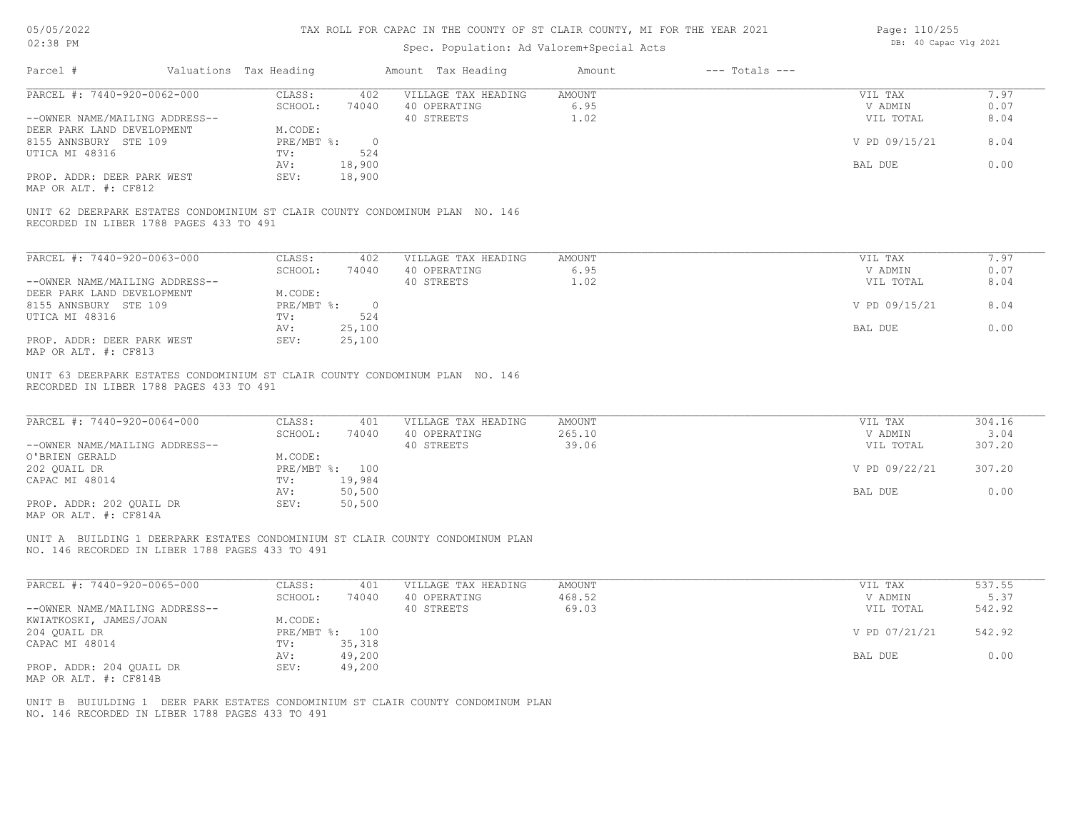### TAX ROLL FOR CAPAC IN THE COUNTY OF ST CLAIR COUNTY, MI FOR THE YEAR 2021

# Spec. Population: Ad Valorem+Special Acts

| Page: 110/255 |  |                       |  |  |
|---------------|--|-----------------------|--|--|
|               |  | DB: 40 Capac Vlg 2021 |  |  |

| PARCEL #: 7440-920-0062-000<br>--OWNER NAME/MAILING ADDRESS--<br>DEER PARK LAND DEVELOPMENT<br>8155 ANNSBURY STE 109<br>UTICA MI 48316<br>PROP. ADDR: DEER PARK WEST<br>MAP OR ALT. #: CF812<br>UNIT 62 DEERPARK ESTATES CONDOMINIUM ST CLAIR COUNTY CONDOMINUM PLAN NO. 146 | CLASS:<br>SCHOOL:<br>74040<br>M.CODE:<br>PRE/MBT %: 0<br>TV:<br>AV:<br>18,900<br>SEV:<br>18,900 | 402<br>VILLAGE TAX HEADING<br>40 OPERATING<br>40 STREETS<br>524   | AMOUNT<br>6.95<br>1.02           | VIL TAX<br>V ADMIN<br>VIL TOTAL | 7.97<br>0.07<br>8.04     |
|------------------------------------------------------------------------------------------------------------------------------------------------------------------------------------------------------------------------------------------------------------------------------|-------------------------------------------------------------------------------------------------|-------------------------------------------------------------------|----------------------------------|---------------------------------|--------------------------|
|                                                                                                                                                                                                                                                                              |                                                                                                 |                                                                   |                                  |                                 |                          |
|                                                                                                                                                                                                                                                                              |                                                                                                 |                                                                   |                                  |                                 |                          |
|                                                                                                                                                                                                                                                                              |                                                                                                 |                                                                   |                                  |                                 |                          |
|                                                                                                                                                                                                                                                                              |                                                                                                 |                                                                   |                                  | V PD 09/15/21                   | 8.04                     |
|                                                                                                                                                                                                                                                                              |                                                                                                 |                                                                   |                                  |                                 |                          |
|                                                                                                                                                                                                                                                                              |                                                                                                 |                                                                   |                                  | BAL DUE                         | 0.00                     |
|                                                                                                                                                                                                                                                                              |                                                                                                 |                                                                   |                                  |                                 |                          |
| RECORDED IN LIBER 1788 PAGES 433 TO 491                                                                                                                                                                                                                                      |                                                                                                 |                                                                   |                                  |                                 |                          |
| PARCEL #: 7440-920-0063-000                                                                                                                                                                                                                                                  | CLASS:                                                                                          | 402<br>VILLAGE TAX HEADING                                        | AMOUNT                           | VIL TAX                         | 7.97                     |
|                                                                                                                                                                                                                                                                              | SCHOOL:<br>74040                                                                                | 40 OPERATING                                                      | 6.95                             | V ADMIN                         | 0.07                     |
| --OWNER NAME/MAILING ADDRESS--                                                                                                                                                                                                                                               |                                                                                                 | 40 STREETS                                                        | 1.02                             | VIL TOTAL                       | 8.04                     |
| DEER PARK LAND DEVELOPMENT                                                                                                                                                                                                                                                   | M.CODE:                                                                                         |                                                                   |                                  |                                 |                          |
| 8155 ANNSBURY STE 109                                                                                                                                                                                                                                                        | $PRE/MBT$ $\div$ 0                                                                              |                                                                   |                                  | V PD 09/15/21                   | 8.04                     |
| UTICA MI 48316                                                                                                                                                                                                                                                               | TV:                                                                                             | 524                                                               |                                  |                                 |                          |
| PROP. ADDR: DEER PARK WEST<br>MAP OR ALT. #: CF813                                                                                                                                                                                                                           | 25,100<br>AV:<br>SEV:<br>25,100                                                                 |                                                                   |                                  | BAL DUE                         | 0.00                     |
| PARCEL #: 7440-920-0064-000<br>--OWNER NAME/MAILING ADDRESS--                                                                                                                                                                                                                | CLASS:<br>SCHOOL:                                                                               | VILLAGE TAX HEADING<br>401<br>40 OPERATING<br>74040<br>40 STREETS | <b>AMOUNT</b><br>265.10<br>39.06 | VIL TAX<br>V ADMIN<br>VIL TOTAL | 304.16<br>3.04<br>307.20 |
| O'BRIEN GERALD<br>202 QUAIL DR                                                                                                                                                                                                                                               | M.CODE:<br>PRE/MBT %: 100                                                                       |                                                                   |                                  | V PD 09/22/21                   | 307.20                   |
| CAPAC MI 48014                                                                                                                                                                                                                                                               | TV:<br>19,984                                                                                   |                                                                   |                                  |                                 |                          |
| PROP. ADDR: 202 QUAIL DR<br>MAP OR ALT. #: CF814A                                                                                                                                                                                                                            | 50,500<br>AV:<br>50,500<br>SEV:                                                                 |                                                                   |                                  | BAL DUE                         | 0.00                     |
| UNIT A BUILDING 1 DEERPARK ESTATES CONDOMINIUM ST CLAIR COUNTY CONDOMINUM PLAN<br>NO. 146 RECORDED IN LIBER 1788 PAGES 433 TO 491                                                                                                                                            |                                                                                                 |                                                                   |                                  |                                 |                          |
| PARCEL #: 7440-920-0065-000                                                                                                                                                                                                                                                  | CLASS:                                                                                          | 401<br>VILLAGE TAX HEADING                                        | <b>AMOUNT</b>                    | VIL TAX                         | 537.55                   |
|                                                                                                                                                                                                                                                                              | SCHOOL:<br>74040                                                                                | 40 OPERATING                                                      | 468.52                           | V ADMIN                         | 5.37                     |
| --OWNER NAME/MAILING ADDRESS--                                                                                                                                                                                                                                               |                                                                                                 | 40 STREETS                                                        | 69.03                            | VIL TOTAL                       | 542.92                   |
| KWIATKOSKI, JAMES/JOAN                                                                                                                                                                                                                                                       | M.CODE:                                                                                         |                                                                   |                                  |                                 |                          |
| 204 QUAIL DR<br>CAPAC MI 48014                                                                                                                                                                                                                                               | PRE/MBT %: 100<br>35,318<br>TV:                                                                 |                                                                   |                                  | V PD 07/21/21                   | 542.92                   |
|                                                                                                                                                                                                                                                                              | 49,200<br>AV:                                                                                   |                                                                   |                                  | BAL DUE                         | 0.00                     |
| PROP. ADDR: 204 QUAIL DR<br>MAP OR ALT. #: CF814B                                                                                                                                                                                                                            | 49,200<br>SEV:                                                                                  |                                                                   |                                  |                                 |                          |
| UNIT B BUIULDING 1 DEER PARK ESTATES CONDOMINIUM ST CLAIR COUNTY CONDOMINUM PLAN                                                                                                                                                                                             |                                                                                                 |                                                                   |                                  |                                 |                          |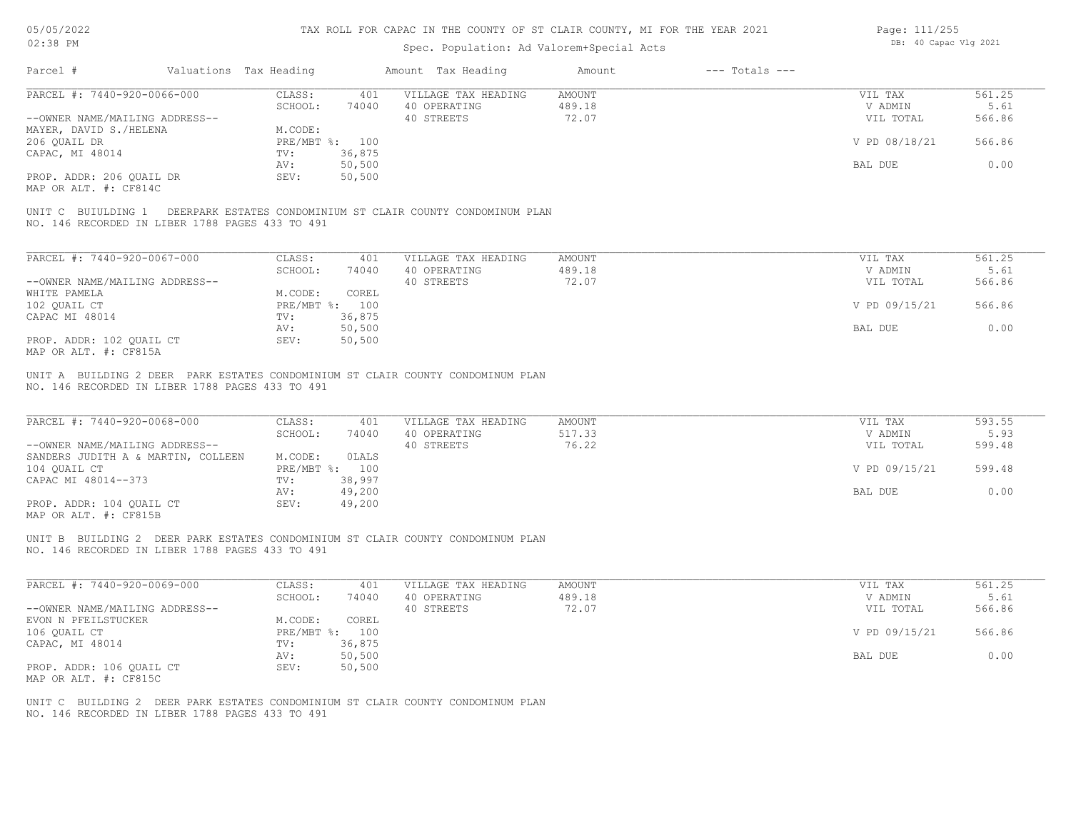| Page: 111/255 |                       |  |
|---------------|-----------------------|--|
|               | DB: 40 Capac Vlg 2021 |  |

| 02:38 PM                                                                                                                           |                                    | Spec. Population: Ad Valorem+Special Acts |                              | DB: 40 Capac Vlg 2021 |                |
|------------------------------------------------------------------------------------------------------------------------------------|------------------------------------|-------------------------------------------|------------------------------|-----------------------|----------------|
| Parcel #                                                                                                                           | Valuations Tax Heading             | Amount Tax Heading                        | $---$ Totals $---$<br>Amount |                       |                |
| PARCEL #: 7440-920-0066-000                                                                                                        | CLASS:<br>401                      | VILLAGE TAX HEADING                       | AMOUNT                       | VIL TAX               | 561.25         |
|                                                                                                                                    | SCHOOL:<br>74040                   | 40 OPERATING                              | 489.18                       | V ADMIN               | 5.61           |
| --OWNER NAME/MAILING ADDRESS--                                                                                                     |                                    | 40 STREETS                                | 72.07                        | VIL TOTAL             | 566.86         |
| MAYER, DAVID S./HELENA                                                                                                             | M.CODE:                            |                                           |                              |                       |                |
| 206 QUAIL DR                                                                                                                       | PRE/MBT %: 100                     |                                           |                              | V PD 08/18/21         | 566.86         |
| CAPAC, MI 48014                                                                                                                    | 36,875<br>TV:                      |                                           |                              |                       |                |
|                                                                                                                                    | 50,500<br>AV:                      |                                           |                              | BAL DUE               | 0.00           |
| PROP. ADDR: 206 QUAIL DR<br>MAP OR ALT. #: CF814C                                                                                  | 50,500<br>SEV:                     |                                           |                              |                       |                |
| UNIT C BUIULDING 1 DEERPARK ESTATES CONDOMINIUM ST CLAIR COUNTY CONDOMINUM PLAN<br>NO. 146 RECORDED IN LIBER 1788 PAGES 433 TO 491 |                                    |                                           |                              |                       |                |
| PARCEL #: 7440-920-0067-000                                                                                                        | CLASS:<br>401                      | VILLAGE TAX HEADING                       | AMOUNT                       | VIL TAX               | 561.25         |
|                                                                                                                                    | SCHOOL:<br>74040                   | 40 OPERATING                              | 489.18                       | V ADMIN               | 5.61           |
| --OWNER NAME/MAILING ADDRESS--                                                                                                     |                                    | 40 STREETS                                | 72.07                        | VIL TOTAL             | 566.86         |
| WHITE PAMELA                                                                                                                       | M.CODE:<br>COREL                   |                                           |                              |                       |                |
| 102 QUAIL CT                                                                                                                       | PRE/MBT %: 100                     |                                           |                              | V PD 09/15/21         | 566.86         |
| CAPAC MI 48014                                                                                                                     | 36,875<br>TV:                      |                                           |                              |                       |                |
|                                                                                                                                    | 50,500<br>AV:                      |                                           |                              | BAL DUE               | 0.00           |
| PROP. ADDR: 102 QUAIL CT                                                                                                           | 50, 500<br>SEV:                    |                                           |                              |                       |                |
| MAP OR ALT. #: CF815A                                                                                                              |                                    |                                           |                              |                       |                |
| PARCEL #: 7440-920-0068-000                                                                                                        | CLASS:<br>401<br>SCHOOL:<br>74040  | VILLAGE TAX HEADING<br>40 OPERATING       | AMOUNT<br>517.33             | VIL TAX<br>V ADMIN    | 593.55<br>5.93 |
| --OWNER NAME/MAILING ADDRESS--                                                                                                     |                                    | 40 STREETS                                | 76.22                        | VIL TOTAL             | 599.48         |
| SANDERS JUDITH A & MARTIN, COLLEEN                                                                                                 | M.CODE:<br>OLALS<br>PRE/MBT %: 100 |                                           |                              | V PD 09/15/21         | 599.48         |
| 104 QUAIL CT<br>CAPAC MI 48014--373                                                                                                | 38,997<br>TV:                      |                                           |                              |                       |                |
|                                                                                                                                    | 49,200<br>AV:                      |                                           |                              | BAL DUE               | 0.00           |
| PROP. ADDR: 104 QUAIL CT<br>MAP OR ALT. #: CF815B                                                                                  | SEV:<br>49,200                     |                                           |                              |                       |                |
| UNIT B BUILDING 2 DEER PARK ESTATES CONDOMINIUM ST CLAIR COUNTY CONDOMINUM PLAN<br>NO. 146 RECORDED IN LIBER 1788 PAGES 433 TO 491 |                                    |                                           |                              |                       |                |
| PARCEL #: 7440-920-0069-000                                                                                                        | CLASS:<br>401                      | VILLAGE TAX HEADING                       | AMOUNT                       | VIL TAX               | 561.25         |
|                                                                                                                                    | SCHOOL:<br>74040                   | 40 OPERATING                              | 489.18                       | V ADMIN               | 5.61           |
| --OWNER NAME/MAILING ADDRESS--                                                                                                     |                                    | 40 STREETS                                | 72.07                        | VIL TOTAL             | 566.86         |
| EVON N PFEILSTUCKER                                                                                                                | M.CODE:<br>COREL                   |                                           |                              |                       |                |
| 106 OUAIL CT                                                                                                                       | PRE/MBT %: 100                     |                                           |                              | V PD 09/15/21         | 566.86         |
| CAPAC, MI 48014                                                                                                                    | 36,875<br>TV:                      |                                           |                              |                       |                |
|                                                                                                                                    | 50,500<br>AV:                      |                                           |                              | BAL DUE               | 0.00           |
| PROP. ADDR: 106 QUAIL CT<br>MAP OR ALT. #: CF815C                                                                                  | SEV:<br>50, 500                    |                                           |                              |                       |                |
| UNIT C BUILDING 2 DEER PARK ESTATES CONDOMINIUM ST CLAIR COUNTY CONDOMINUM PLAN<br>NO. 146 RECORDED IN LIBER 1788 PAGES 433 TO 491 |                                    |                                           |                              |                       |                |
|                                                                                                                                    |                                    |                                           |                              |                       |                |
|                                                                                                                                    |                                    |                                           |                              |                       |                |
|                                                                                                                                    |                                    |                                           |                              |                       |                |
|                                                                                                                                    |                                    |                                           |                              |                       |                |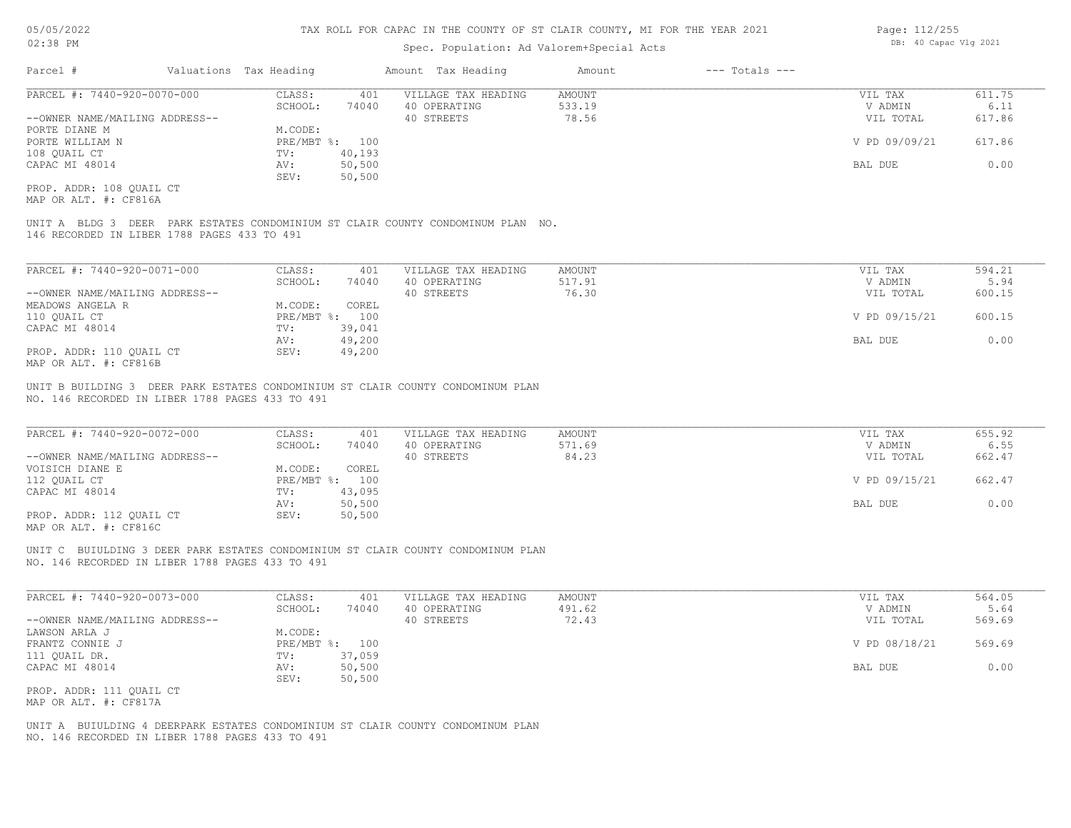### Spec. Population: Ad Valorem+Special Acts

| Page: 112/255 |                       |  |
|---------------|-----------------------|--|
|               | DB: 40 Capac Vlg 2021 |  |

| Parcel #                       | Valuations Tax Heading |        | Amount Tax Heading  | Amount | $---$ Totals $---$ |               |        |
|--------------------------------|------------------------|--------|---------------------|--------|--------------------|---------------|--------|
| PARCEL #: 7440-920-0070-000    | CLASS:                 | 401    | VILLAGE TAX HEADING | AMOUNT |                    | VIL TAX       | 611.75 |
|                                | SCHOOL:                | 74040  | 40 OPERATING        | 533.19 |                    | V ADMIN       | 6.11   |
| --OWNER NAME/MAILING ADDRESS-- |                        |        | 40 STREETS          | 78.56  |                    | VIL TOTAL     | 617.86 |
| PORTE DIANE M                  | M.CODE:                |        |                     |        |                    |               |        |
| PORTE WILLIAM N                | PRE/MBT %: 100         |        |                     |        |                    | V PD 09/09/21 | 617.86 |
| 108 QUAIL CT                   | TV:                    | 40,193 |                     |        |                    |               |        |
| CAPAC MI 48014                 | AV:                    | 50,500 |                     |        |                    | BAL DUE       | 0.00   |
|                                | SEV:                   | 50,500 |                     |        |                    |               |        |
| PROP. ADDR: 108 OUAIL CT       |                        |        |                     |        |                    |               |        |

MAP OR ALT. #: CF816A

146 RECORDED IN LIBER 1788 PAGES 433 TO 491 UNIT A BLDG 3 DEER PARK ESTATES CONDOMINIUM ST CLAIR COUNTY CONDOMINUM PLAN NO.

| PARCEL #: 7440-920-0071-000    | CLASS:  | 401            | VILLAGE TAX HEADING | AMOUNT | VIL TAX       | 594.21 |
|--------------------------------|---------|----------------|---------------------|--------|---------------|--------|
|                                | SCHOOL: | 74040          | 40 OPERATING        | 517.91 | V ADMIN       | 5.94   |
| --OWNER NAME/MAILING ADDRESS-- |         |                | 40 STREETS          | 76.30  | VIL TOTAL     | 600.15 |
| MEADOWS ANGELA R               | M.CODE: | COREL          |                     |        |               |        |
| 110 OUAIL CT                   |         | PRE/MBT %: 100 |                     |        | V PD 09/15/21 | 600.15 |
| CAPAC MI 48014                 | TV:     | 39,041         |                     |        |               |        |
|                                | AV:     | 49,200         |                     |        | BAL DUE       | 0.00   |
| PROP. ADDR: 110 OUAIL CT       | SEV:    | 49,200         |                     |        |               |        |
| MAP OR ALT. #: CF816B          |         |                |                     |        |               |        |

NO. 146 RECORDED IN LIBER 1788 PAGES 433 TO 491 UNIT B BUILDING 3 DEER PARK ESTATES CONDOMINIUM ST CLAIR COUNTY CONDOMINUM PLAN

| PARCEL #: 7440-920-0072-000                           | CLASS:       | 401    | VILLAGE TAX HEADING | AMOUNT | VIL TAX       | 655.92 |
|-------------------------------------------------------|--------------|--------|---------------------|--------|---------------|--------|
|                                                       | SCHOOL:      | 74040  | 40 OPERATING        | 571.69 | V ADMIN       | 6.55   |
| --OWNER NAME/MAILING ADDRESS--                        |              |        | 40 STREETS          | 84.23  | VIL TOTAL     | 662.47 |
| VOISICH DIANE E                                       | M.CODE:      | COREL  |                     |        |               |        |
| 112 OUAIL CT                                          | $PRE/MBT$ %: | 100    |                     |        | V PD 09/15/21 | 662.47 |
| CAPAC MI 48014                                        | TV:          | 43,095 |                     |        |               |        |
|                                                       | AV:          | 50,500 |                     |        | BAL DUE       | 0.00   |
| PROP. ADDR: 112 OUAIL CT                              | SEV:         | 50,500 |                     |        |               |        |
| $\cdots$ $\cdots$ $\cdots$ $\cdots$ $\cdots$ $\cdots$ |              |        |                     |        |               |        |

 $\mathcal{L}_\mathcal{L} = \mathcal{L}_\mathcal{L} = \mathcal{L}_\mathcal{L} = \mathcal{L}_\mathcal{L} = \mathcal{L}_\mathcal{L} = \mathcal{L}_\mathcal{L} = \mathcal{L}_\mathcal{L} = \mathcal{L}_\mathcal{L} = \mathcal{L}_\mathcal{L} = \mathcal{L}_\mathcal{L} = \mathcal{L}_\mathcal{L} = \mathcal{L}_\mathcal{L} = \mathcal{L}_\mathcal{L} = \mathcal{L}_\mathcal{L} = \mathcal{L}_\mathcal{L} = \mathcal{L}_\mathcal{L} = \mathcal{L}_\mathcal{L}$ 

MAP OR ALT. #: CF816C

NO. 146 RECORDED IN LIBER 1788 PAGES 433 TO 491 UNIT C BUIULDING 3 DEER PARK ESTATES CONDOMINIUM ST CLAIR COUNTY CONDOMINUM PLAN

| PARCEL #: 7440-920-0073-000    | CLASS:         | 401    | VILLAGE TAX HEADING | AMOUNT | VIL TAX       | 564.05 |
|--------------------------------|----------------|--------|---------------------|--------|---------------|--------|
|                                | SCHOOL:        | 74040  | 40 OPERATING        | 491.62 | V ADMIN       | 5.64   |
| --OWNER NAME/MAILING ADDRESS-- |                |        | 40 STREETS          | 72.43  | VIL TOTAL     | 569.69 |
| LAWSON ARLA J                  | M.CODE:        |        |                     |        |               |        |
| FRANTZ CONNIE J                | PRE/MBT %: 100 |        |                     |        | V PD 08/18/21 | 569.69 |
| 111 QUAIL DR.                  | TV:            | 37,059 |                     |        |               |        |
| CAPAC MI 48014                 | AV:            | 50,500 |                     |        | BAL DUE       | 0.00   |
|                                | SEV:           | 50,500 |                     |        |               |        |
| PROP. ADDR: 111 QUAIL CT       |                |        |                     |        |               |        |

MAP OR ALT. #: CF817A

NO. 146 RECORDED IN LIBER 1788 PAGES 433 TO 491 UNIT A BUIULDING 4 DEERPARK ESTATES CONDOMINIUM ST CLAIR COUNTY CONDOMINUM PLAN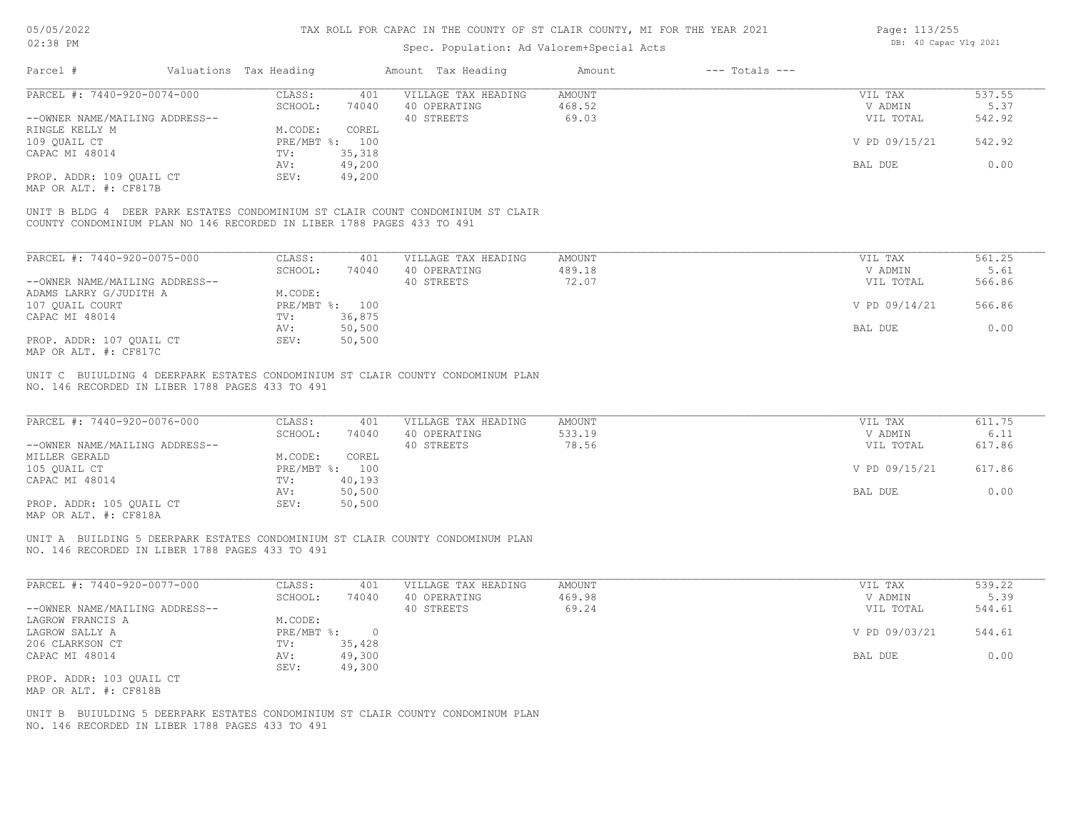| Page: 113/255 |                       |  |
|---------------|-----------------------|--|
|               | DB: 40 Capac Vlg 2021 |  |

| Valuations Tax Heading<br>Parcel #<br>Amount Tax Heading<br>Amount<br>PARCEL #: 7440-920-0074-000<br>CLASS:<br>401<br>VILLAGE TAX HEADING<br><b>AMOUNT</b><br>SCHOOL:<br>40 OPERATING<br>468.52<br>74040<br>--OWNER NAME/MAILING ADDRESS--<br>40 STREETS<br>69.03<br>M.CODE:<br>RINGLE KELLY M<br>COREL | $---$ Totals $---$<br>537.55<br>VIL TAX<br>V ADMIN<br>5.37 |
|---------------------------------------------------------------------------------------------------------------------------------------------------------------------------------------------------------------------------------------------------------------------------------------------------------|------------------------------------------------------------|
|                                                                                                                                                                                                                                                                                                         |                                                            |
|                                                                                                                                                                                                                                                                                                         |                                                            |
|                                                                                                                                                                                                                                                                                                         |                                                            |
|                                                                                                                                                                                                                                                                                                         | 542.92<br>VIL TOTAL                                        |
|                                                                                                                                                                                                                                                                                                         |                                                            |
| 109 QUAIL CT<br>PRE/MBT %: 100                                                                                                                                                                                                                                                                          | 542.92<br>V PD 09/15/21                                    |
| 35,318<br>CAPAC MI 48014<br>TV:                                                                                                                                                                                                                                                                         |                                                            |
| 49,200<br>AV:                                                                                                                                                                                                                                                                                           | 0.00<br>BAL DUE                                            |
| PROP. ADDR: 109 OUAIL CT<br>SEV:<br>49,200                                                                                                                                                                                                                                                              |                                                            |
| MAP OR ALT. #: CF817B                                                                                                                                                                                                                                                                                   |                                                            |
| UNIT B BLDG 4 DEER PARK ESTATES CONDOMINIUM ST CLAIR COUNT CONDOMINIUM ST CLAIR                                                                                                                                                                                                                         |                                                            |
| COUNTY CONDOMINIUM PLAN NO 146 RECORDED IN LIBER 1788 PAGES 433 TO 491                                                                                                                                                                                                                                  |                                                            |
|                                                                                                                                                                                                                                                                                                         |                                                            |
| PARCEL #: 7440-920-0075-000<br>CLASS:<br>VILLAGE TAX HEADING<br><b>AMOUNT</b><br>401                                                                                                                                                                                                                    | VIL TAX<br>561.25                                          |
| 489.18<br>SCHOOL:<br>74040<br>40 OPERATING                                                                                                                                                                                                                                                              | 5.61<br>V ADMIN                                            |
| --OWNER NAME/MAILING ADDRESS--<br>40 STREETS<br>72.07                                                                                                                                                                                                                                                   | 566.86<br>VIL TOTAL                                        |
| ADAMS LARRY G/JUDITH A<br>M.CODE:                                                                                                                                                                                                                                                                       |                                                            |
| 107 QUAIL COURT<br>PRE/MBT %: 100                                                                                                                                                                                                                                                                       | 566.86<br>V PD 09/14/21                                    |
| CAPAC MI 48014<br>36,875<br>TV:                                                                                                                                                                                                                                                                         |                                                            |
| 50,500<br>AV:                                                                                                                                                                                                                                                                                           | 0.00<br>BAL DUE                                            |
| PROP. ADDR: 107 OUAIL CT<br>SEV:<br>50,500                                                                                                                                                                                                                                                              |                                                            |
| MAP OR ALT. #: CF817C                                                                                                                                                                                                                                                                                   |                                                            |
| UNIT C BUIULDING 4 DEERPARK ESTATES CONDOMINIUM ST CLAIR COUNTY CONDOMINUM PLAN                                                                                                                                                                                                                         |                                                            |
| NO. 146 RECORDED IN LIBER 1788 PAGES 433 TO 491                                                                                                                                                                                                                                                         |                                                            |
|                                                                                                                                                                                                                                                                                                         |                                                            |
| PARCEL #: 7440-920-0076-000<br>VILLAGE TAX HEADING<br>CLASS:<br>401<br><b>AMOUNT</b>                                                                                                                                                                                                                    | 611.75<br>VIL TAX                                          |
| 533.19<br>74040<br>40 OPERATING<br>SCHOOL:                                                                                                                                                                                                                                                              | 6.11<br>V ADMIN                                            |
| --OWNER NAME/MAILING ADDRESS--<br>40 STREETS<br>78.56                                                                                                                                                                                                                                                   | 617.86<br>VIL TOTAL                                        |
| MILLER GERALD<br>M.CODE:<br>COREL                                                                                                                                                                                                                                                                       |                                                            |
| PRE/MBT %: 100<br>105 QUAIL CT                                                                                                                                                                                                                                                                          | 617.86<br>V PD 09/15/21                                    |
| CAPAC MI 48014<br>40,193<br>TV:                                                                                                                                                                                                                                                                         |                                                            |
|                                                                                                                                                                                                                                                                                                         | BAL DUE<br>0.00                                            |
|                                                                                                                                                                                                                                                                                                         |                                                            |
| 50,500<br>AV:                                                                                                                                                                                                                                                                                           |                                                            |
| PROP. ADDR: 105 QUAIL CT<br>50,500<br>SEV:<br>MAP OR ALT. #: CF818A                                                                                                                                                                                                                                     |                                                            |

NO. 146 RECORDED IN LIBER 1788 PAGES 433 TO 491

| PARCEL #: 7440-920-0077-000    | CLASS:     | 401    | VILLAGE TAX HEADING | AMOUNT | VIL TAX       | 539.22 |
|--------------------------------|------------|--------|---------------------|--------|---------------|--------|
|                                | SCHOOL:    | 74040  | 40 OPERATING        | 469.98 | V ADMIN       | 5.39   |
| --OWNER NAME/MAILING ADDRESS-- |            |        | 40 STREETS          | 69.24  | VIL TOTAL     | 544.61 |
| LAGROW FRANCIS A               | M.CODE:    |        |                     |        |               |        |
| LAGROW SALLY A                 | PRE/MBT %: |        |                     |        | V PD 09/03/21 | 544.61 |
| 206 CLARKSON CT                | TV:        | 35,428 |                     |        |               |        |
| CAPAC MI 48014                 | AV:        | 49,300 |                     |        | BAL DUE       | 0.00   |
|                                | SEV:       | 49,300 |                     |        |               |        |
| PROP. ADDR: 103 OUAIL CT       |            |        |                     |        |               |        |

MAP OR ALT. #: CF818B

NO. 146 RECORDED IN LIBER 1788 PAGES 433 TO 491 UNIT B BUIULDING 5 DEERPARK ESTATES CONDOMINIUM ST CLAIR COUNTY CONDOMINUM PLAN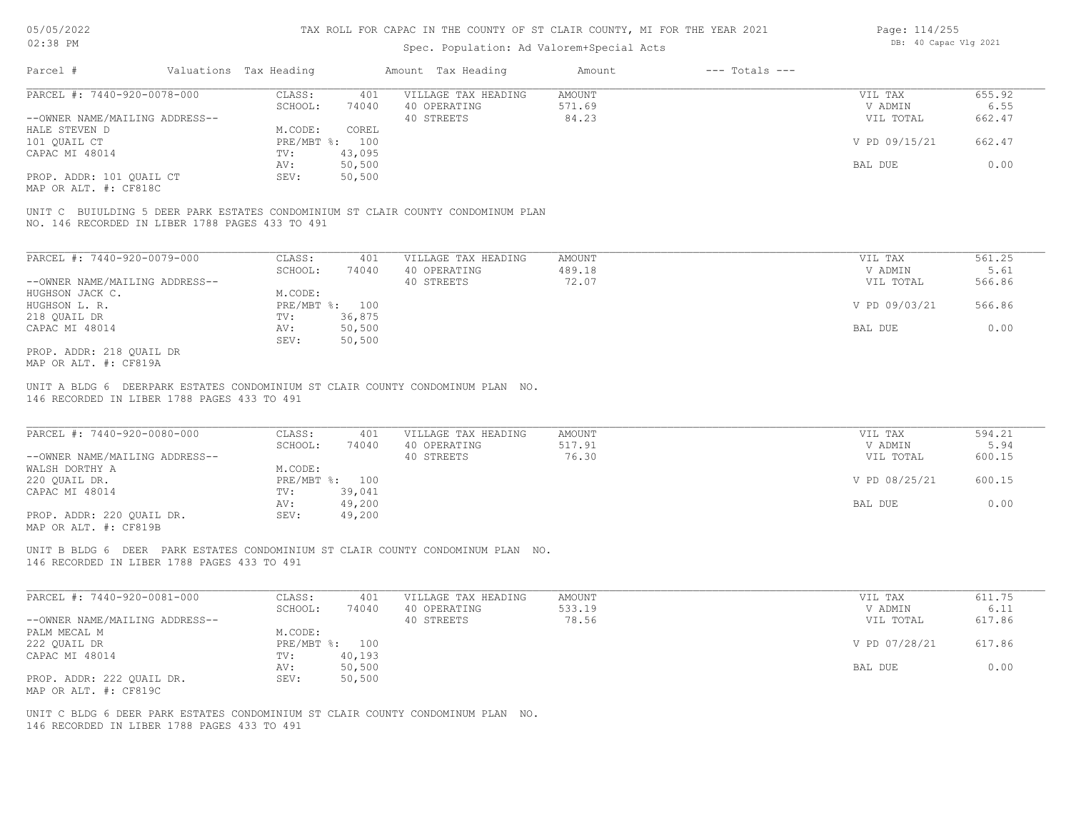### Spec. Population: Ad Valorem+Special Acts

| Page: 114/255 |                       |  |
|---------------|-----------------------|--|
|               | DB: 40 Capac Vlg 2021 |  |

| Parcel #                       | Valuations Tax Heading |        | Amount Tax Heading  | Amount | $---$ Totals $---$ |               |        |
|--------------------------------|------------------------|--------|---------------------|--------|--------------------|---------------|--------|
| PARCEL #: 7440-920-0078-000    | CLASS:                 | 401    | VILLAGE TAX HEADING | AMOUNT |                    | VIL TAX       | 655.92 |
|                                | SCHOOL:                | 74040  | 40 OPERATING        | 571.69 |                    | V ADMIN       | 6.55   |
| --OWNER NAME/MAILING ADDRESS-- |                        |        | 40 STREETS          | 84.23  |                    | VIL TOTAL     | 662.47 |
| HALE STEVEN D                  | M.CODE:                | COREL  |                     |        |                    |               |        |
| 101 OUAIL CT                   | PRE/MBT %: 100         |        |                     |        |                    | V PD 09/15/21 | 662.47 |
| CAPAC MI 48014                 | TV:                    | 43,095 |                     |        |                    |               |        |
|                                | AV:                    | 50,500 |                     |        |                    | BAL DUE       | 0.00   |
| PROP. ADDR: 101 QUAIL CT       | SEV:                   | 50,500 |                     |        |                    |               |        |
|                                |                        |        |                     |        |                    |               |        |

MAP OR ALT. #: CF818C

NO. 146 RECORDED IN LIBER 1788 PAGES 433 TO 491 UNIT C BUIULDING 5 DEER PARK ESTATES CONDOMINIUM ST CLAIR COUNTY CONDOMINUM PLAN

| PARCEL #: 7440-920-0079-000    | CLASS:                    | 401    | VILLAGE TAX HEADING | AMOUNT | VIL TAX       | 561.25 |
|--------------------------------|---------------------------|--------|---------------------|--------|---------------|--------|
|                                | SCHOOL:                   | 74040  | 40 OPERATING        | 489.18 | V ADMIN       | 5.61   |
| --OWNER NAME/MAILING ADDRESS-- |                           |        | 40 STREETS          | 72.07  | VIL TOTAL     | 566.86 |
| HUGHSON JACK C.                | M.CODE:                   |        |                     |        |               |        |
| HUGHSON L. R.                  | $PRE/MBT$ $\frac{6}{3}$ : | 100    |                     |        | V PD 09/03/21 | 566.86 |
| 218 OUAIL DR                   | TV:                       | 36,875 |                     |        |               |        |
| CAPAC MI 48014                 | AV:                       | 50,500 |                     |        | BAL DUE       | 0.00   |
|                                | SEV:                      | 50,500 |                     |        |               |        |
| PROP. ADDR: 218 OUAIL DR       |                           |        |                     |        |               |        |

MAP OR ALT. #: CF819A

146 RECORDED IN LIBER 1788 PAGES 433 TO 491 UNIT A BLDG 6 DEERPARK ESTATES CONDOMINIUM ST CLAIR COUNTY CONDOMINUM PLAN NO.

| PARCEL #: 7440-920-0080-000    | CLASS:       | 401    | VILLAGE TAX HEADING | AMOUNT | VIL TAX       | 594.21 |
|--------------------------------|--------------|--------|---------------------|--------|---------------|--------|
|                                | SCHOOL:      | 74040  | 40 OPERATING        | 517.91 | V ADMIN       | 5.94   |
| --OWNER NAME/MAILING ADDRESS-- |              |        | 40 STREETS          | 76.30  | VIL TOTAL     | 600.15 |
| WALSH DORTHY A                 | M.CODE:      |        |                     |        |               |        |
| 220 OUAIL DR.                  | $PRE/MBT$ %: | 100    |                     |        | V PD 08/25/21 | 600.15 |
| CAPAC MI 48014                 | TV:          | 39,041 |                     |        |               |        |
|                                | AV:          | 49,200 |                     |        | BAL DUE       | 0.00   |
| PROP. ADDR: 220 OUAIL DR.      | SEV:         | 49,200 |                     |        |               |        |
|                                |              |        |                     |        |               |        |

 $\mathcal{L}_\mathcal{L} = \mathcal{L}_\mathcal{L} = \mathcal{L}_\mathcal{L} = \mathcal{L}_\mathcal{L} = \mathcal{L}_\mathcal{L} = \mathcal{L}_\mathcal{L} = \mathcal{L}_\mathcal{L} = \mathcal{L}_\mathcal{L} = \mathcal{L}_\mathcal{L} = \mathcal{L}_\mathcal{L} = \mathcal{L}_\mathcal{L} = \mathcal{L}_\mathcal{L} = \mathcal{L}_\mathcal{L} = \mathcal{L}_\mathcal{L} = \mathcal{L}_\mathcal{L} = \mathcal{L}_\mathcal{L} = \mathcal{L}_\mathcal{L}$ 

MAP OR ALT. #: CF819B

146 RECORDED IN LIBER 1788 PAGES 433 TO 491 UNIT B BLDG 6 DEER PARK ESTATES CONDOMINIUM ST CLAIR COUNTY CONDOMINUM PLAN NO.

| PARCEL #: 7440-920-0081-000    | CLASS:  | 401            | VILLAGE TAX HEADING | AMOUNT | VIL TAX       | 611.75 |
|--------------------------------|---------|----------------|---------------------|--------|---------------|--------|
|                                | SCHOOL: | 74040          | 40 OPERATING        | 533.19 | V ADMIN       | 6.11   |
| --OWNER NAME/MAILING ADDRESS-- |         |                | 40 STREETS          | 78.56  | VIL TOTAL     | 617.86 |
| PALM MECAL M                   | M.CODE: |                |                     |        |               |        |
| 222 QUAIL DR                   |         | PRE/MBT %: 100 |                     |        | V PD 07/28/21 | 617.86 |
| CAPAC MI 48014                 | TV:     | 40,193         |                     |        |               |        |
|                                | AV:     | 50,500         |                     |        | BAL DUE       | 0.00   |
| PROP. ADDR: 222 QUAIL DR.      | SEV:    | 50,500         |                     |        |               |        |
| MAP OR ALT. #: CF819C          |         |                |                     |        |               |        |

146 RECORDED IN LIBER 1788 PAGES 433 TO 491 UNIT C BLDG 6 DEER PARK ESTATES CONDOMINIUM ST CLAIR COUNTY CONDOMINUM PLAN NO.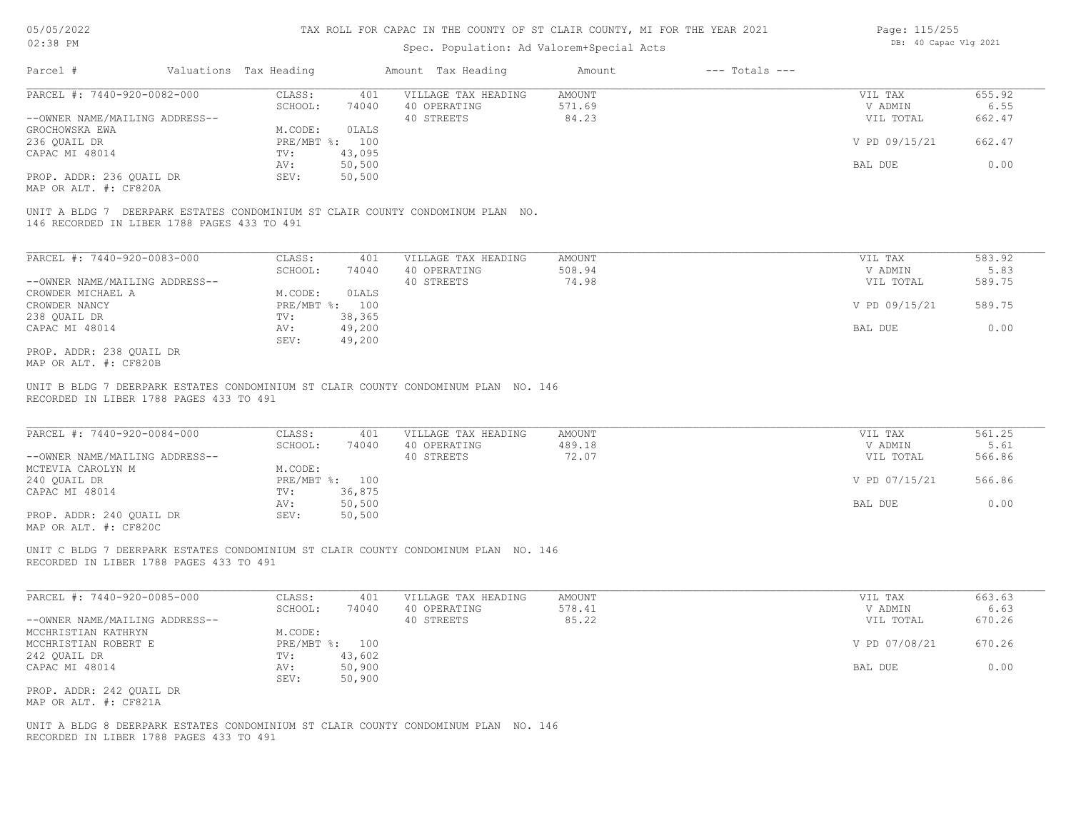### Spec. Population: Ad Valorem+Special Acts

| Page: 115/255 |                       |  |
|---------------|-----------------------|--|
|               | DB: 40 Capac Vlg 2021 |  |

| Parcel #                       | Valuations Tax Heading |        | Amount Tax Heading  | Amount | $---$ Totals $---$ |               |        |
|--------------------------------|------------------------|--------|---------------------|--------|--------------------|---------------|--------|
| PARCEL #: 7440-920-0082-000    | CLASS:                 | 401    | VILLAGE TAX HEADING | AMOUNT |                    | VIL TAX       | 655.92 |
|                                | SCHOOL:                | 74040  | 40 OPERATING        | 571.69 |                    | V ADMIN       | 6.55   |
| --OWNER NAME/MAILING ADDRESS-- |                        |        | 40 STREETS          | 84.23  |                    | VIL TOTAL     | 662.47 |
| GROCHOWSKA EWA                 | M.CODE:                | OLALS  |                     |        |                    |               |        |
| 236 OUAIL DR                   | PRE/MBT %: 100         |        |                     |        |                    | V PD 09/15/21 | 662.47 |
| CAPAC MI 48014                 | TV:                    | 43,095 |                     |        |                    |               |        |
|                                | AV:                    | 50,500 |                     |        |                    | BAL DUE       | 0.00   |
| PROP. ADDR: 236 QUAIL DR       | SEV:                   | 50,500 |                     |        |                    |               |        |
| MAP OR ALT. #: CF820A          |                        |        |                     |        |                    |               |        |

146 RECORDED IN LIBER 1788 PAGES 433 TO 491 UNIT A BLDG 7 DEERPARK ESTATES CONDOMINIUM ST CLAIR COUNTY CONDOMINUM PLAN NO.

| PARCEL #: 7440-920-0083-000    | CLASS:     | 401    | VILLAGE TAX HEADING | AMOUNT | VIL TAX |               | 583.92 |
|--------------------------------|------------|--------|---------------------|--------|---------|---------------|--------|
|                                | SCHOOL:    | 74040  | 40 OPERATING        | 508.94 |         | V ADMIN       | 5.83   |
| --OWNER NAME/MAILING ADDRESS-- |            |        | 40 STREETS          | 74.98  |         | VIL TOTAL     | 589.75 |
| CROWDER MICHAEL A              | M.CODE:    | OLALS  |                     |        |         |               |        |
| CROWDER NANCY                  | PRE/MBT %: | 100    |                     |        |         | V PD 09/15/21 | 589.75 |
| 238 OUAIL DR                   | TV:        | 38,365 |                     |        |         |               |        |
| CAPAC MI 48014                 | AV:        | 49,200 |                     |        | BAL DUE |               | 0.00   |
|                                | SEV:       | 49,200 |                     |        |         |               |        |
| PROP. ADDR: 238 OUAIL DR       |            |        |                     |        |         |               |        |

MAP OR ALT. #: CF820B

RECORDED IN LIBER 1788 PAGES 433 TO 491 UNIT B BLDG 7 DEERPARK ESTATES CONDOMINIUM ST CLAIR COUNTY CONDOMINUM PLAN NO. 146

| PARCEL #: 7440-920-0084-000    | CLASS:       | 401    | VILLAGE TAX HEADING | AMOUNT | VIL TAX       | 561.25 |  |
|--------------------------------|--------------|--------|---------------------|--------|---------------|--------|--|
|                                | SCHOOL:      | 74040  | 40 OPERATING        | 489.18 | V ADMIN       | 5.61   |  |
| --OWNER NAME/MAILING ADDRESS-- |              |        | 40 STREETS          | 72.07  | VIL TOTAL     | 566.86 |  |
| MCTEVIA CAROLYN M              | M.CODE:      |        |                     |        |               |        |  |
| 240 OUAIL DR                   | $PRE/MBT$ %: | 100    |                     |        | V PD 07/15/21 | 566.86 |  |
| CAPAC MI 48014                 | TV:          | 36,875 |                     |        |               |        |  |
|                                | AV:          | 50,500 |                     |        | BAL DUE       | 0.00   |  |
| PROP. ADDR: 240 OUAIL DR       | SEV:         | 50,500 |                     |        |               |        |  |
|                                |              |        |                     |        |               |        |  |

 $\mathcal{L}_\mathcal{L} = \mathcal{L}_\mathcal{L} = \mathcal{L}_\mathcal{L} = \mathcal{L}_\mathcal{L} = \mathcal{L}_\mathcal{L} = \mathcal{L}_\mathcal{L} = \mathcal{L}_\mathcal{L} = \mathcal{L}_\mathcal{L} = \mathcal{L}_\mathcal{L} = \mathcal{L}_\mathcal{L} = \mathcal{L}_\mathcal{L} = \mathcal{L}_\mathcal{L} = \mathcal{L}_\mathcal{L} = \mathcal{L}_\mathcal{L} = \mathcal{L}_\mathcal{L} = \mathcal{L}_\mathcal{L} = \mathcal{L}_\mathcal{L}$ 

MAP OR ALT. #: CF820C

RECORDED IN LIBER 1788 PAGES 433 TO 491 UNIT C BLDG 7 DEERPARK ESTATES CONDOMINIUM ST CLAIR COUNTY CONDOMINUM PLAN NO. 146

| PARCEL #: 7440-920-0085-000    | CLASS:  | 401            | VILLAGE TAX HEADING | AMOUNT | VIL TAX       | 663.63 |
|--------------------------------|---------|----------------|---------------------|--------|---------------|--------|
|                                | SCHOOL: | 74040          | 40 OPERATING        | 578.41 | V ADMIN       | 6.63   |
| --OWNER NAME/MAILING ADDRESS-- |         |                | 40 STREETS          | 85.22  | VIL TOTAL     | 670.26 |
| MCCHRISTIAN KATHRYN            | M.CODE: |                |                     |        |               |        |
| MCCHRISTIAN ROBERT E           |         | PRE/MBT %: 100 |                     |        | V PD 07/08/21 | 670.26 |
| 242 QUAIL DR                   | TV:     | 43,602         |                     |        |               |        |
| CAPAC MI 48014                 | AV:     | 50,900         |                     |        | BAL DUE       | 0.00   |
|                                | SEV:    | 50,900         |                     |        |               |        |
| PROP. ADDR: 242 QUAIL DR       |         |                |                     |        |               |        |
| MAP OR ALT. #: CF821A          |         |                |                     |        |               |        |

RECORDED IN LIBER 1788 PAGES 433 TO 491 UNIT A BLDG 8 DEERPARK ESTATES CONDOMINIUM ST CLAIR COUNTY CONDOMINUM PLAN NO. 146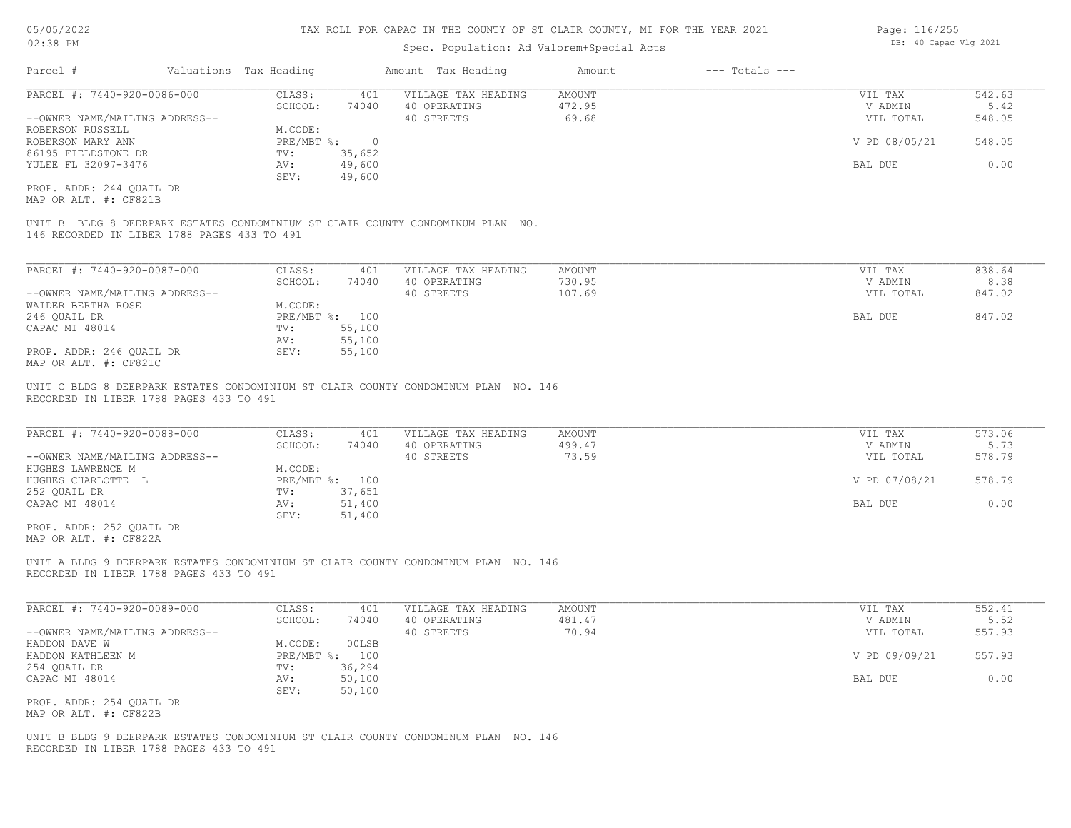### Spec. Population: Ad Valorem+Special Acts

| Parcel #                       | Valuations Tax Heading |        | Amount Tax Heading  | Amount | $---$ Totals $---$ |               |        |
|--------------------------------|------------------------|--------|---------------------|--------|--------------------|---------------|--------|
| PARCEL #: 7440-920-0086-000    | CLASS:                 | 401    | VILLAGE TAX HEADING | AMOUNT |                    | VIL TAX       | 542.63 |
|                                | SCHOOL:                | 74040  | 40 OPERATING        | 472.95 |                    | V ADMIN       | 5.42   |
| --OWNER NAME/MAILING ADDRESS-- |                        |        | 40 STREETS          | 69.68  |                    | VIL TOTAL     | 548.05 |
| ROBERSON RUSSELL               | M.CODE:                |        |                     |        |                    |               |        |
| ROBERSON MARY ANN              | PRE/MBT %:             |        |                     |        |                    | V PD 08/05/21 | 548.05 |
| 86195 FIELDSTONE DR            | TV:                    | 35,652 |                     |        |                    |               |        |
| YULEE FL 32097-3476            | AV:                    | 49,600 |                     |        |                    | BAL DUE       | 0.00   |
|                                | SEV:                   | 49,600 |                     |        |                    |               |        |
| PROP. ADDR: 244 OUAIL DR       |                        |        |                     |        |                    |               |        |

MAP OR ALT. #: CF821B

146 RECORDED IN LIBER 1788 PAGES 433 TO 491 UNIT B BLDG 8 DEERPARK ESTATES CONDOMINIUM ST CLAIR COUNTY CONDOMINUM PLAN NO.

| PARCEL #: 7440-920-0087-000    | CLASS:  | 401            | VILLAGE TAX HEADING | AMOUNT | VIL TAX   | 838.64 |
|--------------------------------|---------|----------------|---------------------|--------|-----------|--------|
|                                | SCHOOL: | 74040          | 40 OPERATING        | 730.95 | V ADMIN   | 8.38   |
| --OWNER NAME/MAILING ADDRESS-- |         |                | 40 STREETS          | 107.69 | VIL TOTAL | 847.02 |
| WAIDER BERTHA ROSE             | M.CODE: |                |                     |        |           |        |
| 246 QUAIL DR                   |         | PRE/MBT %: 100 |                     |        | BAL DUE   | 847.02 |
| CAPAC MI 48014                 | TV:     | 55,100         |                     |        |           |        |
|                                | AV:     | 55,100         |                     |        |           |        |
| PROP. ADDR: 246 OUAIL DR       | SEV:    | 55,100         |                     |        |           |        |
| MAP OR ALT. #: CF821C          |         |                |                     |        |           |        |

RECORDED IN LIBER 1788 PAGES 433 TO 491 UNIT C BLDG 8 DEERPARK ESTATES CONDOMINIUM ST CLAIR COUNTY CONDOMINUM PLAN NO. 146

| PARCEL #: 7440-920-0088-000    | CLASS:  | 401            | VILLAGE TAX HEADING | AMOUNT | VIL TAX       | 573.06 |
|--------------------------------|---------|----------------|---------------------|--------|---------------|--------|
|                                | SCHOOL: | 74040          | 40 OPERATING        | 499.47 | V ADMIN       | 5.73   |
| --OWNER NAME/MAILING ADDRESS-- |         |                | 40 STREETS          | 73.59  | VIL TOTAL     | 578.79 |
| HUGHES LAWRENCE M              | M.CODE: |                |                     |        |               |        |
| HUGHES CHARLOTTE L             |         | PRE/MBT %: 100 |                     |        | V PD 07/08/21 | 578.79 |
| 252 QUAIL DR                   | TV:     | 37,651         |                     |        |               |        |
| CAPAC MI 48014                 | AV:     | 51,400         |                     |        | BAL DUE       | 0.00   |
|                                | SEV:    | 51,400         |                     |        |               |        |
| PROP. ADDR: 252 OUAIL DR       |         |                |                     |        |               |        |

MAP OR ALT. #: CF822A

RECORDED IN LIBER 1788 PAGES 433 TO 491 UNIT A BLDG 9 DEERPARK ESTATES CONDOMINIUM ST CLAIR COUNTY CONDOMINUM PLAN NO. 146

| PARCEL #: 7440-920-0089-000    | CLASS:     | 401    | VILLAGE TAX HEADING | AMOUNT | VIL TAX       | 552.41 |
|--------------------------------|------------|--------|---------------------|--------|---------------|--------|
|                                | SCHOOL:    | 74040  | 40 OPERATING        | 481.47 | V ADMIN       | 5.52   |
| --OWNER NAME/MAILING ADDRESS-- |            |        | 40 STREETS          | 70.94  | VIL TOTAL     | 557.93 |
| HADDON DAVE W                  | M.CODE:    | 00LSB  |                     |        |               |        |
| HADDON KATHLEEN M              | PRE/MBT %: | 100    |                     |        | V PD 09/09/21 | 557.93 |
| 254 QUAIL DR                   | TV:        | 36,294 |                     |        |               |        |
| CAPAC MI 48014                 | AV:        | 50,100 |                     |        | BAL DUE       | 0.00   |
|                                | SEV:       | 50,100 |                     |        |               |        |
| PROP. ADDR: 254 QUAIL DR       |            |        |                     |        |               |        |
|                                |            |        |                     |        |               |        |

MAP OR ALT. #: CF822B

RECORDED IN LIBER 1788 PAGES 433 TO 491 UNIT B BLDG 9 DEERPARK ESTATES CONDOMINIUM ST CLAIR COUNTY CONDOMINUM PLAN NO. 146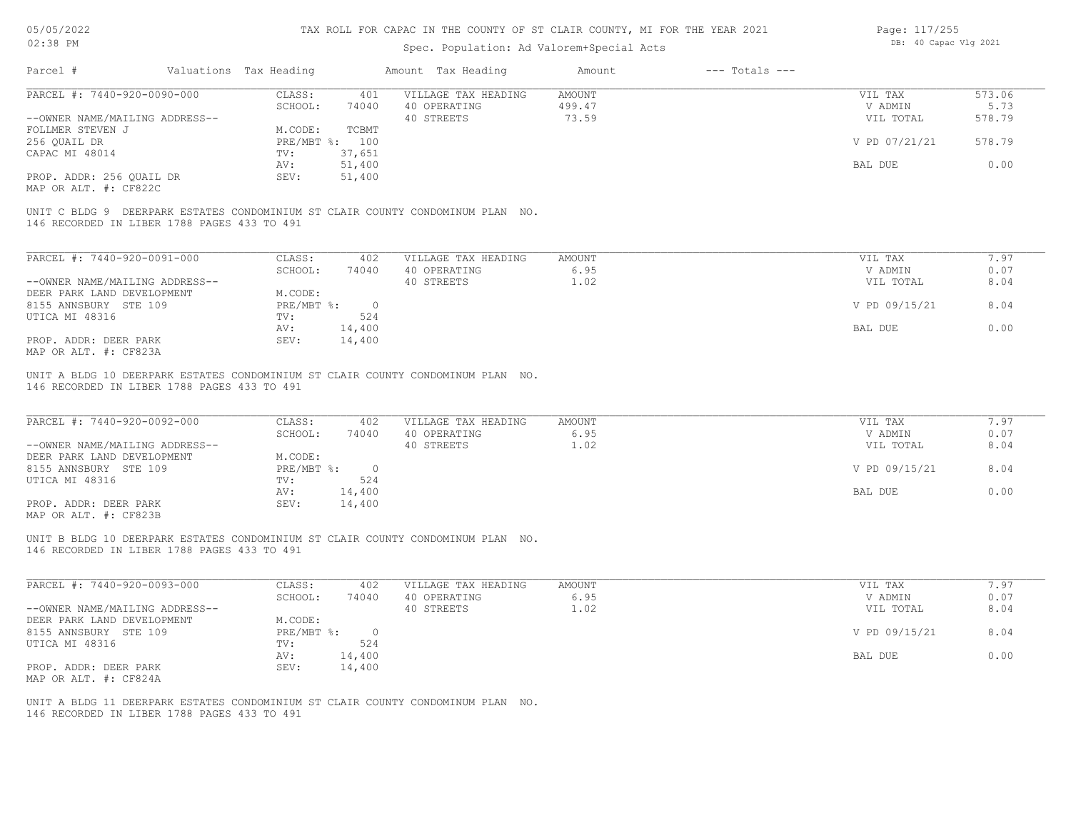# Spec. Population: Ad Valorem+Special Acts

| Page: 117/255 |                       |  |
|---------------|-----------------------|--|
|               | DB: 40 Capac Vlg 2021 |  |

| Parcel #                                                           | Valuations Tax Heading |                           |                  | Amount Tax Heading                                                              | Amount           | $---$ Totals $---$ |                            |                  |
|--------------------------------------------------------------------|------------------------|---------------------------|------------------|---------------------------------------------------------------------------------|------------------|--------------------|----------------------------|------------------|
| PARCEL #: 7440-920-0090-000                                        |                        | CLASS:<br>SCHOOL:         | 401<br>74040     | VILLAGE TAX HEADING<br>40 OPERATING                                             | AMOUNT<br>499.47 |                    | VIL TAX<br>V ADMIN         | 573.06<br>5.73   |
| --OWNER NAME/MAILING ADDRESS--<br>FOLLMER STEVEN J<br>256 QUAIL DR |                        | M.CODE:<br>PRE/MBT %: 100 | TCBMT            | 40 STREETS                                                                      | 73.59            |                    | VIL TOTAL<br>V PD 07/21/21 | 578.79<br>578.79 |
| CAPAC MI 48014                                                     |                        | TV:                       | 37,651<br>51,400 |                                                                                 |                  |                    | BAL DUE                    | 0.00             |
| PROP. ADDR: 256 QUAIL DR<br>MAP OR ALT. #: CF822C                  |                        | AV:<br>SEV:               | 51,400           |                                                                                 |                  |                    |                            |                  |
| 146 RECORDED IN LIBER 1788 PAGES 433 TO 491                        |                        |                           |                  | UNIT C BLDG 9 DEERPARK ESTATES CONDOMINIUM ST CLAIR COUNTY CONDOMINUM PLAN NO.  |                  |                    |                            |                  |
| PARCEL #: 7440-920-0091-000                                        |                        | CLASS:                    | 402              | VILLAGE TAX HEADING                                                             | AMOUNT           |                    | VIL TAX                    | 7.97             |
|                                                                    |                        | SCHOOL:                   | 74040            | 40 OPERATING                                                                    | 6.95             |                    | V ADMIN                    | 0.07             |
| --OWNER NAME/MAILING ADDRESS--<br>DEER PARK LAND DEVELOPMENT       |                        | M.CODE:                   |                  | 40 STREETS                                                                      | 1.02             |                    | VIL TOTAL                  | 8.04             |
| 8155 ANNSBURY STE 109<br>UTICA MI 48316                            |                        | $PRE/MBT$ $\div$ 0<br>TV: | 524              |                                                                                 |                  |                    | V PD 09/15/21              | 8.04             |
| PROP. ADDR: DEER PARK                                              |                        | AV:<br>SEV:               | 14,400<br>14,400 |                                                                                 |                  |                    | BAL DUE                    | 0.00             |
| MAP OR ALT. #: CF823A                                              |                        |                           |                  |                                                                                 |                  |                    |                            |                  |
| 146 RECORDED IN LIBER 1788 PAGES 433 TO 491                        |                        |                           |                  | UNIT A BLDG 10 DEERPARK ESTATES CONDOMINIUM ST CLAIR COUNTY CONDOMINUM PLAN NO. |                  |                    |                            |                  |
| PARCEL #: 7440-920-0092-000                                        |                        | CLASS:                    | 402              | VILLAGE TAX HEADING                                                             | AMOUNT           |                    | VIL TAX                    | 7.97             |
|                                                                    |                        | SCHOOL:                   | 74040            | 40 OPERATING                                                                    | 6.95             |                    | V ADMIN                    | 0.07             |
| --OWNER NAME/MAILING ADDRESS--<br>DEER PARK LAND DEVELOPMENT       |                        | M.CODE:                   |                  | 40 STREETS                                                                      | 1.02             |                    | VIL TOTAL                  | 8.04             |
| 8155 ANNSBURY STE 109                                              |                        | $PRE/MBT$ $\div$ 0        |                  |                                                                                 |                  |                    | V PD 09/15/21              | 8.04             |
| UTICA MI 48316                                                     |                        | TV:<br>AV:                | 524<br>14,400    |                                                                                 |                  |                    | BAL DUE                    | 0.00             |
| PROP. ADDR: DEER PARK<br>MAP OR ALT. #: CF823B                     |                        | SEV:                      | 14,400           |                                                                                 |                  |                    |                            |                  |
| 146 RECORDED IN LIBER 1788 PAGES 433 TO 491                        |                        |                           |                  | UNIT B BLDG 10 DEERPARK ESTATES CONDOMINIUM ST CLAIR COUNTY CONDOMINUM PLAN NO. |                  |                    |                            |                  |
|                                                                    |                        |                           |                  |                                                                                 |                  |                    |                            |                  |
| PARCEL #: 7440-920-0093-000                                        |                        | CLASS:                    | 402              | VILLAGE TAX HEADING                                                             | AMOUNT           |                    | VIL TAX                    | 7.97             |
| --OWNER NAME/MAILING ADDRESS--                                     |                        | SCHOOL:                   | 74040            | 40 OPERATING<br>40 STREETS                                                      | 6.95<br>1.02     |                    | V ADMIN<br>VIL TOTAL       | 0.07<br>8.04     |
| DEER PARK LAND DEVELOPMENT<br>8155 ANNSBURY STE 109                |                        | M.CODE:<br>$PRE/MBT$ %:   | $\overline{0}$   |                                                                                 |                  |                    | V PD 09/15/21              | 8.04             |
| UTICA MI 48316                                                     |                        | TV:<br>AV: 14,400         | 524              |                                                                                 |                  |                    | BAL DUE                    | 0.00             |
| PROP. ADDR: DEER PARK<br>MAP OR ALT. #: CF824A                     |                        | SEV:                      | 14,400           |                                                                                 |                  |                    |                            |                  |
| 146 RECORDED IN LIBER 1788 PAGES 433 TO 491                        |                        |                           |                  | UNIT A BLDG 11 DEERPARK ESTATES CONDOMINIUM ST CLAIR COUNTY CONDOMINUM PLAN NO. |                  |                    |                            |                  |
|                                                                    |                        |                           |                  |                                                                                 |                  |                    |                            |                  |
|                                                                    |                        |                           |                  |                                                                                 |                  |                    |                            |                  |
|                                                                    |                        |                           |                  |                                                                                 |                  |                    |                            |                  |
|                                                                    |                        |                           |                  |                                                                                 |                  |                    |                            |                  |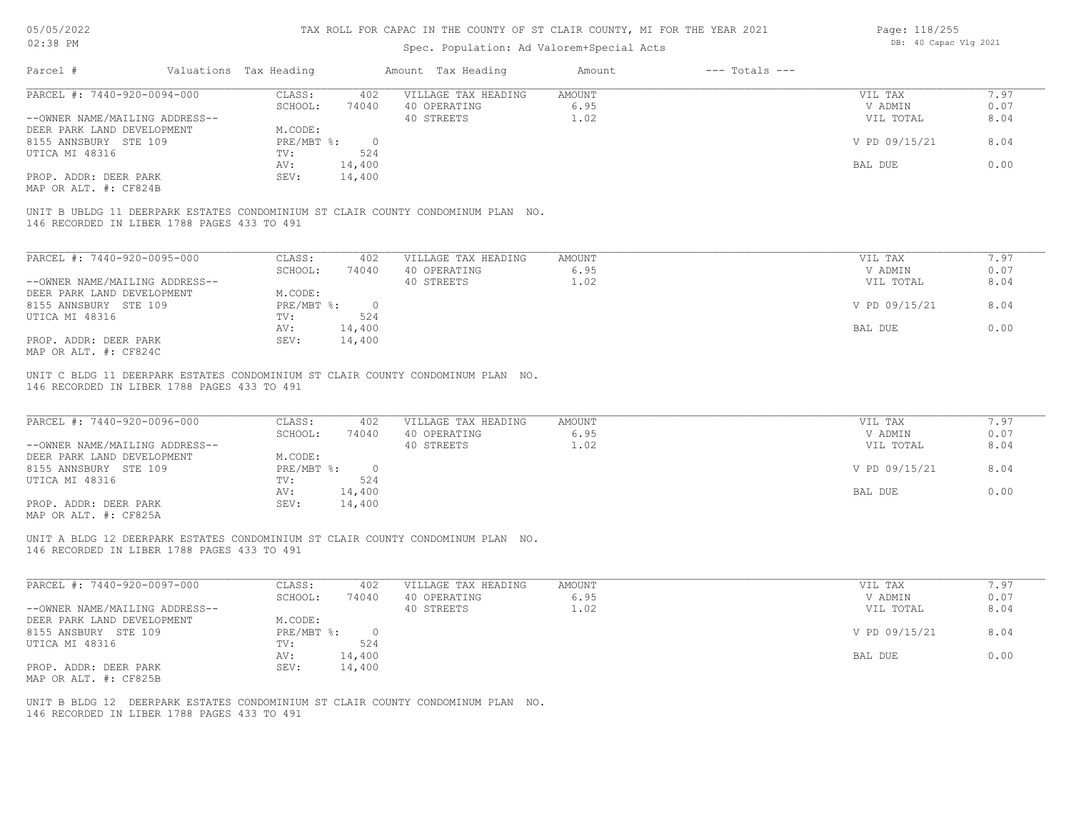#### Spec. Population: Ad Valorem+Special Acts

| Page: 118/255 |                       |  |  |  |
|---------------|-----------------------|--|--|--|
|               | DB: 40 Capac Vlg 2021 |  |  |  |

| Parcel #<br>Valuations Tax Heading<br>Amount Tax Heading<br>$---$ Totals $---$<br>Amount<br>PARCEL #: 7440-920-0094-000<br>VILLAGE TAX HEADING<br>CLASS:<br>402<br>AMOUNT<br>VIL TAX<br>SCHOOL:<br>6.95<br>74040<br>40 OPERATING<br>V ADMIN<br>40 STREETS<br>8.04<br>--OWNER NAME/MAILING ADDRESS--<br>1.02<br>VIL TOTAL<br>M.CODE:<br>PRE/MBT %:<br>$\overline{0}$<br>V PD 09/15/21<br>8.04<br>UTICA MI 48316<br>524<br>TV:<br>0.00<br>AV:<br>14,400<br>BAL DUE<br>PROP. ADDR: DEER PARK<br>SEV:<br>14,400<br>MAP OR ALT. #: CF824B<br>UNIT B UBLDG 11 DEERPARK ESTATES CONDOMINIUM ST CLAIR COUNTY CONDOMINUM PLAN NO.<br>146 RECORDED IN LIBER 1788 PAGES 433 TO 491<br>PARCEL #: 7440-920-0095-000<br>CLASS:<br>402<br>VILLAGE TAX HEADING<br>AMOUNT<br>7.97<br>VIL TAX<br>SCHOOL:<br>74040<br>40 OPERATING<br>6.95<br>V ADMIN<br>8.04<br>--OWNER NAME/MAILING ADDRESS--<br>40 STREETS<br>1.02<br>VIL TOTAL<br>DEER PARK LAND DEVELOPMENT<br>M.CODE:<br>8.04<br>8155 ANNSBURY STE 109<br>$PRE/MBT$ $\frac{1}{6}$ :<br>V PD 09/15/21<br>$\overline{0}$<br>UTICA MI 48316<br>TV:<br>524<br>0.00<br>14,400<br>BAL DUE<br>AV:<br>14,400<br>PROP. ADDR: DEER PARK<br>SEV:<br>MAP OR ALT. #: CF824C<br>UNIT C BLDG 11 DEERPARK ESTATES CONDOMINIUM ST CLAIR COUNTY CONDOMINUM PLAN NO.<br>146 RECORDED IN LIBER 1788 PAGES 433 TO 491<br>PARCEL #: 7440-920-0096-000<br>CLASS:<br>402<br>VILLAGE TAX HEADING<br>AMOUNT<br>VIL TAX<br>6.95<br>0.07<br>SCHOOL:<br>74040<br>40 OPERATING<br>V ADMIN<br>--OWNER NAME/MAILING ADDRESS--<br>40 STREETS<br>1.02<br>8.04<br>VIL TOTAL<br>DEER PARK LAND DEVELOPMENT<br>M.CODE:<br>8.04<br>$PRE/MBT$ %:<br>$\overline{0}$<br>V PD 09/15/21<br>UTICA MI 48316<br>524<br>TV:<br>0.00<br>14,400<br>AV:<br>BAL DUE<br>PROP. ADDR: DEER PARK<br>SEV:<br>14,400<br>MAP OR ALT. #: CF825A<br>UNIT A BLDG 12 DEERPARK ESTATES CONDOMINIUM ST CLAIR COUNTY CONDOMINUM PLAN NO.<br>146 RECORDED IN LIBER 1788 PAGES 433 TO 491<br>PARCEL #: 7440-920-0097-000<br>CLASS:<br>402<br>VILLAGE TAX HEADING<br>AMOUNT<br>VIL TAX<br>40 OPERATING<br>6.95<br>0.07<br>SCHOOL:<br>74040<br>V ADMIN<br>1.02<br>8.04<br>--OWNER NAME/MAILING ADDRESS--<br>40 STREETS<br>VIL TOTAL<br>DEER PARK LAND DEVELOPMENT<br>M.CODE:<br>8155 ANSBURY STE 109<br>$PRE/MBT$ %:<br>V PD 09/15/21<br>8.04<br>$\overline{0}$<br>524<br>UTICA MI 48316<br>TV:<br>14,400<br>BAL DUE<br>0.00<br>AV:<br>14,400<br>PROP. ADDR: DEER PARK<br>SEV:<br>MAP OR ALT. #: CF825B<br>UNIT B BLDG 12 DEERPARK ESTATES CONDOMINIUM ST CLAIR COUNTY CONDOMINUM PLAN NO.<br>146 RECORDED IN LIBER 1788 PAGES 433 TO 491 | UZ JU LII                  | Spec. Population: Ad Valorem+Special Acts |  |      |
|---------------------------------------------------------------------------------------------------------------------------------------------------------------------------------------------------------------------------------------------------------------------------------------------------------------------------------------------------------------------------------------------------------------------------------------------------------------------------------------------------------------------------------------------------------------------------------------------------------------------------------------------------------------------------------------------------------------------------------------------------------------------------------------------------------------------------------------------------------------------------------------------------------------------------------------------------------------------------------------------------------------------------------------------------------------------------------------------------------------------------------------------------------------------------------------------------------------------------------------------------------------------------------------------------------------------------------------------------------------------------------------------------------------------------------------------------------------------------------------------------------------------------------------------------------------------------------------------------------------------------------------------------------------------------------------------------------------------------------------------------------------------------------------------------------------------------------------------------------------------------------------------------------------------------------------------------------------------------------------------------------------------------------------------------------------------------------------------------------------------------------------------------------------------------------------------------------------------------------------------------------------------------------------------------------------------------------------------------------------------------------------------------------------------------------------------------------------------------------------------------------------------------------------------------------------------------------------------------------|----------------------------|-------------------------------------------|--|------|
|                                                                                                                                                                                                                                                                                                                                                                                                                                                                                                                                                                                                                                                                                                                                                                                                                                                                                                                                                                                                                                                                                                                                                                                                                                                                                                                                                                                                                                                                                                                                                                                                                                                                                                                                                                                                                                                                                                                                                                                                                                                                                                                                                                                                                                                                                                                                                                                                                                                                                                                                                                                                         |                            |                                           |  |      |
| 0.07<br>0.07<br>7.97<br>7.97                                                                                                                                                                                                                                                                                                                                                                                                                                                                                                                                                                                                                                                                                                                                                                                                                                                                                                                                                                                                                                                                                                                                                                                                                                                                                                                                                                                                                                                                                                                                                                                                                                                                                                                                                                                                                                                                                                                                                                                                                                                                                                                                                                                                                                                                                                                                                                                                                                                                                                                                                                            |                            |                                           |  | 7.97 |
|                                                                                                                                                                                                                                                                                                                                                                                                                                                                                                                                                                                                                                                                                                                                                                                                                                                                                                                                                                                                                                                                                                                                                                                                                                                                                                                                                                                                                                                                                                                                                                                                                                                                                                                                                                                                                                                                                                                                                                                                                                                                                                                                                                                                                                                                                                                                                                                                                                                                                                                                                                                                         |                            |                                           |  |      |
|                                                                                                                                                                                                                                                                                                                                                                                                                                                                                                                                                                                                                                                                                                                                                                                                                                                                                                                                                                                                                                                                                                                                                                                                                                                                                                                                                                                                                                                                                                                                                                                                                                                                                                                                                                                                                                                                                                                                                                                                                                                                                                                                                                                                                                                                                                                                                                                                                                                                                                                                                                                                         |                            |                                           |  |      |
|                                                                                                                                                                                                                                                                                                                                                                                                                                                                                                                                                                                                                                                                                                                                                                                                                                                                                                                                                                                                                                                                                                                                                                                                                                                                                                                                                                                                                                                                                                                                                                                                                                                                                                                                                                                                                                                                                                                                                                                                                                                                                                                                                                                                                                                                                                                                                                                                                                                                                                                                                                                                         | DEER PARK LAND DEVELOPMENT |                                           |  |      |
|                                                                                                                                                                                                                                                                                                                                                                                                                                                                                                                                                                                                                                                                                                                                                                                                                                                                                                                                                                                                                                                                                                                                                                                                                                                                                                                                                                                                                                                                                                                                                                                                                                                                                                                                                                                                                                                                                                                                                                                                                                                                                                                                                                                                                                                                                                                                                                                                                                                                                                                                                                                                         | 8155 ANNSBURY STE 109      |                                           |  |      |
|                                                                                                                                                                                                                                                                                                                                                                                                                                                                                                                                                                                                                                                                                                                                                                                                                                                                                                                                                                                                                                                                                                                                                                                                                                                                                                                                                                                                                                                                                                                                                                                                                                                                                                                                                                                                                                                                                                                                                                                                                                                                                                                                                                                                                                                                                                                                                                                                                                                                                                                                                                                                         |                            |                                           |  |      |
|                                                                                                                                                                                                                                                                                                                                                                                                                                                                                                                                                                                                                                                                                                                                                                                                                                                                                                                                                                                                                                                                                                                                                                                                                                                                                                                                                                                                                                                                                                                                                                                                                                                                                                                                                                                                                                                                                                                                                                                                                                                                                                                                                                                                                                                                                                                                                                                                                                                                                                                                                                                                         |                            |                                           |  |      |
|                                                                                                                                                                                                                                                                                                                                                                                                                                                                                                                                                                                                                                                                                                                                                                                                                                                                                                                                                                                                                                                                                                                                                                                                                                                                                                                                                                                                                                                                                                                                                                                                                                                                                                                                                                                                                                                                                                                                                                                                                                                                                                                                                                                                                                                                                                                                                                                                                                                                                                                                                                                                         |                            |                                           |  |      |
|                                                                                                                                                                                                                                                                                                                                                                                                                                                                                                                                                                                                                                                                                                                                                                                                                                                                                                                                                                                                                                                                                                                                                                                                                                                                                                                                                                                                                                                                                                                                                                                                                                                                                                                                                                                                                                                                                                                                                                                                                                                                                                                                                                                                                                                                                                                                                                                                                                                                                                                                                                                                         |                            |                                           |  |      |
|                                                                                                                                                                                                                                                                                                                                                                                                                                                                                                                                                                                                                                                                                                                                                                                                                                                                                                                                                                                                                                                                                                                                                                                                                                                                                                                                                                                                                                                                                                                                                                                                                                                                                                                                                                                                                                                                                                                                                                                                                                                                                                                                                                                                                                                                                                                                                                                                                                                                                                                                                                                                         |                            |                                           |  |      |
|                                                                                                                                                                                                                                                                                                                                                                                                                                                                                                                                                                                                                                                                                                                                                                                                                                                                                                                                                                                                                                                                                                                                                                                                                                                                                                                                                                                                                                                                                                                                                                                                                                                                                                                                                                                                                                                                                                                                                                                                                                                                                                                                                                                                                                                                                                                                                                                                                                                                                                                                                                                                         |                            |                                           |  |      |
|                                                                                                                                                                                                                                                                                                                                                                                                                                                                                                                                                                                                                                                                                                                                                                                                                                                                                                                                                                                                                                                                                                                                                                                                                                                                                                                                                                                                                                                                                                                                                                                                                                                                                                                                                                                                                                                                                                                                                                                                                                                                                                                                                                                                                                                                                                                                                                                                                                                                                                                                                                                                         |                            |                                           |  |      |
|                                                                                                                                                                                                                                                                                                                                                                                                                                                                                                                                                                                                                                                                                                                                                                                                                                                                                                                                                                                                                                                                                                                                                                                                                                                                                                                                                                                                                                                                                                                                                                                                                                                                                                                                                                                                                                                                                                                                                                                                                                                                                                                                                                                                                                                                                                                                                                                                                                                                                                                                                                                                         |                            |                                           |  |      |
|                                                                                                                                                                                                                                                                                                                                                                                                                                                                                                                                                                                                                                                                                                                                                                                                                                                                                                                                                                                                                                                                                                                                                                                                                                                                                                                                                                                                                                                                                                                                                                                                                                                                                                                                                                                                                                                                                                                                                                                                                                                                                                                                                                                                                                                                                                                                                                                                                                                                                                                                                                                                         |                            |                                           |  |      |
|                                                                                                                                                                                                                                                                                                                                                                                                                                                                                                                                                                                                                                                                                                                                                                                                                                                                                                                                                                                                                                                                                                                                                                                                                                                                                                                                                                                                                                                                                                                                                                                                                                                                                                                                                                                                                                                                                                                                                                                                                                                                                                                                                                                                                                                                                                                                                                                                                                                                                                                                                                                                         |                            |                                           |  |      |
|                                                                                                                                                                                                                                                                                                                                                                                                                                                                                                                                                                                                                                                                                                                                                                                                                                                                                                                                                                                                                                                                                                                                                                                                                                                                                                                                                                                                                                                                                                                                                                                                                                                                                                                                                                                                                                                                                                                                                                                                                                                                                                                                                                                                                                                                                                                                                                                                                                                                                                                                                                                                         |                            |                                           |  |      |
|                                                                                                                                                                                                                                                                                                                                                                                                                                                                                                                                                                                                                                                                                                                                                                                                                                                                                                                                                                                                                                                                                                                                                                                                                                                                                                                                                                                                                                                                                                                                                                                                                                                                                                                                                                                                                                                                                                                                                                                                                                                                                                                                                                                                                                                                                                                                                                                                                                                                                                                                                                                                         |                            |                                           |  |      |
|                                                                                                                                                                                                                                                                                                                                                                                                                                                                                                                                                                                                                                                                                                                                                                                                                                                                                                                                                                                                                                                                                                                                                                                                                                                                                                                                                                                                                                                                                                                                                                                                                                                                                                                                                                                                                                                                                                                                                                                                                                                                                                                                                                                                                                                                                                                                                                                                                                                                                                                                                                                                         |                            |                                           |  |      |
|                                                                                                                                                                                                                                                                                                                                                                                                                                                                                                                                                                                                                                                                                                                                                                                                                                                                                                                                                                                                                                                                                                                                                                                                                                                                                                                                                                                                                                                                                                                                                                                                                                                                                                                                                                                                                                                                                                                                                                                                                                                                                                                                                                                                                                                                                                                                                                                                                                                                                                                                                                                                         |                            |                                           |  |      |
|                                                                                                                                                                                                                                                                                                                                                                                                                                                                                                                                                                                                                                                                                                                                                                                                                                                                                                                                                                                                                                                                                                                                                                                                                                                                                                                                                                                                                                                                                                                                                                                                                                                                                                                                                                                                                                                                                                                                                                                                                                                                                                                                                                                                                                                                                                                                                                                                                                                                                                                                                                                                         |                            |                                           |  |      |
|                                                                                                                                                                                                                                                                                                                                                                                                                                                                                                                                                                                                                                                                                                                                                                                                                                                                                                                                                                                                                                                                                                                                                                                                                                                                                                                                                                                                                                                                                                                                                                                                                                                                                                                                                                                                                                                                                                                                                                                                                                                                                                                                                                                                                                                                                                                                                                                                                                                                                                                                                                                                         |                            |                                           |  |      |
|                                                                                                                                                                                                                                                                                                                                                                                                                                                                                                                                                                                                                                                                                                                                                                                                                                                                                                                                                                                                                                                                                                                                                                                                                                                                                                                                                                                                                                                                                                                                                                                                                                                                                                                                                                                                                                                                                                                                                                                                                                                                                                                                                                                                                                                                                                                                                                                                                                                                                                                                                                                                         | 8155 ANNSBURY STE 109      |                                           |  |      |
|                                                                                                                                                                                                                                                                                                                                                                                                                                                                                                                                                                                                                                                                                                                                                                                                                                                                                                                                                                                                                                                                                                                                                                                                                                                                                                                                                                                                                                                                                                                                                                                                                                                                                                                                                                                                                                                                                                                                                                                                                                                                                                                                                                                                                                                                                                                                                                                                                                                                                                                                                                                                         |                            |                                           |  |      |
|                                                                                                                                                                                                                                                                                                                                                                                                                                                                                                                                                                                                                                                                                                                                                                                                                                                                                                                                                                                                                                                                                                                                                                                                                                                                                                                                                                                                                                                                                                                                                                                                                                                                                                                                                                                                                                                                                                                                                                                                                                                                                                                                                                                                                                                                                                                                                                                                                                                                                                                                                                                                         |                            |                                           |  |      |
|                                                                                                                                                                                                                                                                                                                                                                                                                                                                                                                                                                                                                                                                                                                                                                                                                                                                                                                                                                                                                                                                                                                                                                                                                                                                                                                                                                                                                                                                                                                                                                                                                                                                                                                                                                                                                                                                                                                                                                                                                                                                                                                                                                                                                                                                                                                                                                                                                                                                                                                                                                                                         |                            |                                           |  |      |
|                                                                                                                                                                                                                                                                                                                                                                                                                                                                                                                                                                                                                                                                                                                                                                                                                                                                                                                                                                                                                                                                                                                                                                                                                                                                                                                                                                                                                                                                                                                                                                                                                                                                                                                                                                                                                                                                                                                                                                                                                                                                                                                                                                                                                                                                                                                                                                                                                                                                                                                                                                                                         |                            |                                           |  |      |
|                                                                                                                                                                                                                                                                                                                                                                                                                                                                                                                                                                                                                                                                                                                                                                                                                                                                                                                                                                                                                                                                                                                                                                                                                                                                                                                                                                                                                                                                                                                                                                                                                                                                                                                                                                                                                                                                                                                                                                                                                                                                                                                                                                                                                                                                                                                                                                                                                                                                                                                                                                                                         |                            |                                           |  |      |
|                                                                                                                                                                                                                                                                                                                                                                                                                                                                                                                                                                                                                                                                                                                                                                                                                                                                                                                                                                                                                                                                                                                                                                                                                                                                                                                                                                                                                                                                                                                                                                                                                                                                                                                                                                                                                                                                                                                                                                                                                                                                                                                                                                                                                                                                                                                                                                                                                                                                                                                                                                                                         |                            |                                           |  |      |
|                                                                                                                                                                                                                                                                                                                                                                                                                                                                                                                                                                                                                                                                                                                                                                                                                                                                                                                                                                                                                                                                                                                                                                                                                                                                                                                                                                                                                                                                                                                                                                                                                                                                                                                                                                                                                                                                                                                                                                                                                                                                                                                                                                                                                                                                                                                                                                                                                                                                                                                                                                                                         |                            |                                           |  |      |
|                                                                                                                                                                                                                                                                                                                                                                                                                                                                                                                                                                                                                                                                                                                                                                                                                                                                                                                                                                                                                                                                                                                                                                                                                                                                                                                                                                                                                                                                                                                                                                                                                                                                                                                                                                                                                                                                                                                                                                                                                                                                                                                                                                                                                                                                                                                                                                                                                                                                                                                                                                                                         |                            |                                           |  |      |
|                                                                                                                                                                                                                                                                                                                                                                                                                                                                                                                                                                                                                                                                                                                                                                                                                                                                                                                                                                                                                                                                                                                                                                                                                                                                                                                                                                                                                                                                                                                                                                                                                                                                                                                                                                                                                                                                                                                                                                                                                                                                                                                                                                                                                                                                                                                                                                                                                                                                                                                                                                                                         |                            |                                           |  |      |
|                                                                                                                                                                                                                                                                                                                                                                                                                                                                                                                                                                                                                                                                                                                                                                                                                                                                                                                                                                                                                                                                                                                                                                                                                                                                                                                                                                                                                                                                                                                                                                                                                                                                                                                                                                                                                                                                                                                                                                                                                                                                                                                                                                                                                                                                                                                                                                                                                                                                                                                                                                                                         |                            |                                           |  |      |
|                                                                                                                                                                                                                                                                                                                                                                                                                                                                                                                                                                                                                                                                                                                                                                                                                                                                                                                                                                                                                                                                                                                                                                                                                                                                                                                                                                                                                                                                                                                                                                                                                                                                                                                                                                                                                                                                                                                                                                                                                                                                                                                                                                                                                                                                                                                                                                                                                                                                                                                                                                                                         |                            |                                           |  |      |
|                                                                                                                                                                                                                                                                                                                                                                                                                                                                                                                                                                                                                                                                                                                                                                                                                                                                                                                                                                                                                                                                                                                                                                                                                                                                                                                                                                                                                                                                                                                                                                                                                                                                                                                                                                                                                                                                                                                                                                                                                                                                                                                                                                                                                                                                                                                                                                                                                                                                                                                                                                                                         |                            |                                           |  |      |
|                                                                                                                                                                                                                                                                                                                                                                                                                                                                                                                                                                                                                                                                                                                                                                                                                                                                                                                                                                                                                                                                                                                                                                                                                                                                                                                                                                                                                                                                                                                                                                                                                                                                                                                                                                                                                                                                                                                                                                                                                                                                                                                                                                                                                                                                                                                                                                                                                                                                                                                                                                                                         |                            |                                           |  |      |
|                                                                                                                                                                                                                                                                                                                                                                                                                                                                                                                                                                                                                                                                                                                                                                                                                                                                                                                                                                                                                                                                                                                                                                                                                                                                                                                                                                                                                                                                                                                                                                                                                                                                                                                                                                                                                                                                                                                                                                                                                                                                                                                                                                                                                                                                                                                                                                                                                                                                                                                                                                                                         |                            |                                           |  |      |
|                                                                                                                                                                                                                                                                                                                                                                                                                                                                                                                                                                                                                                                                                                                                                                                                                                                                                                                                                                                                                                                                                                                                                                                                                                                                                                                                                                                                                                                                                                                                                                                                                                                                                                                                                                                                                                                                                                                                                                                                                                                                                                                                                                                                                                                                                                                                                                                                                                                                                                                                                                                                         |                            |                                           |  |      |
|                                                                                                                                                                                                                                                                                                                                                                                                                                                                                                                                                                                                                                                                                                                                                                                                                                                                                                                                                                                                                                                                                                                                                                                                                                                                                                                                                                                                                                                                                                                                                                                                                                                                                                                                                                                                                                                                                                                                                                                                                                                                                                                                                                                                                                                                                                                                                                                                                                                                                                                                                                                                         |                            |                                           |  |      |
|                                                                                                                                                                                                                                                                                                                                                                                                                                                                                                                                                                                                                                                                                                                                                                                                                                                                                                                                                                                                                                                                                                                                                                                                                                                                                                                                                                                                                                                                                                                                                                                                                                                                                                                                                                                                                                                                                                                                                                                                                                                                                                                                                                                                                                                                                                                                                                                                                                                                                                                                                                                                         |                            |                                           |  |      |
|                                                                                                                                                                                                                                                                                                                                                                                                                                                                                                                                                                                                                                                                                                                                                                                                                                                                                                                                                                                                                                                                                                                                                                                                                                                                                                                                                                                                                                                                                                                                                                                                                                                                                                                                                                                                                                                                                                                                                                                                                                                                                                                                                                                                                                                                                                                                                                                                                                                                                                                                                                                                         |                            |                                           |  |      |
|                                                                                                                                                                                                                                                                                                                                                                                                                                                                                                                                                                                                                                                                                                                                                                                                                                                                                                                                                                                                                                                                                                                                                                                                                                                                                                                                                                                                                                                                                                                                                                                                                                                                                                                                                                                                                                                                                                                                                                                                                                                                                                                                                                                                                                                                                                                                                                                                                                                                                                                                                                                                         |                            |                                           |  |      |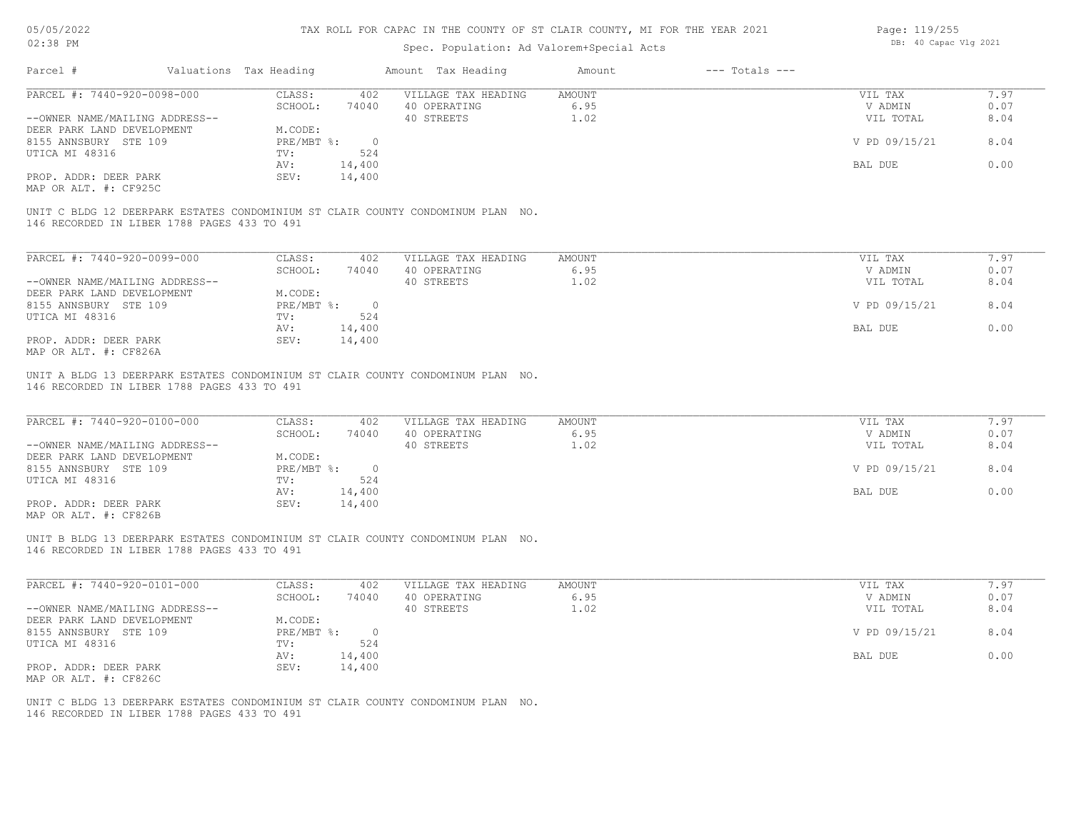| 05/05/2022                                                                                                                     |                                        | TAX ROLL FOR CAPAC IN THE COUNTY OF ST CLAIR COUNTY, MI FOR THE YEAR 2021 |               |                    | Page: 119/255         |      |
|--------------------------------------------------------------------------------------------------------------------------------|----------------------------------------|---------------------------------------------------------------------------|---------------|--------------------|-----------------------|------|
| 02:38 PM                                                                                                                       |                                        | Spec. Population: Ad Valorem+Special Acts                                 |               |                    | DB: 40 Capac Vlg 2021 |      |
| Parcel #                                                                                                                       | Valuations Tax Heading                 | Amount Tax Heading                                                        | Amount        | $---$ Totals $---$ |                       |      |
| PARCEL #: 7440-920-0098-000                                                                                                    | CLASS:<br>402                          | VILLAGE TAX HEADING                                                       | AMOUNT        |                    | VIL TAX               | 7.97 |
|                                                                                                                                | SCHOOL:<br>74040                       | 40 OPERATING                                                              | 6.95          |                    | V ADMIN               | 0.07 |
| --OWNER NAME/MAILING ADDRESS--                                                                                                 |                                        | 40 STREETS                                                                | 1.02          |                    | VIL TOTAL             | 8.04 |
| DEER PARK LAND DEVELOPMENT                                                                                                     | M.CODE:                                |                                                                           |               |                    |                       |      |
| 8155 ANNSBURY STE 109                                                                                                          | PRE/MBT %:<br>$\overline{0}$           |                                                                           |               |                    | V PD 09/15/21         | 8.04 |
| UTICA MI 48316                                                                                                                 | 524<br>TV:                             |                                                                           |               |                    |                       |      |
|                                                                                                                                | AV:<br>14,400                          |                                                                           |               |                    | BAL DUE               | 0.00 |
| PROP. ADDR: DEER PARK                                                                                                          | 14,400<br>SEV:                         |                                                                           |               |                    |                       |      |
| MAP OR ALT. #: CF925C                                                                                                          |                                        |                                                                           |               |                    |                       |      |
| UNIT C BLDG 12 DEERPARK ESTATES CONDOMINIUM ST CLAIR COUNTY CONDOMINUM PLAN NO.<br>146 RECORDED IN LIBER 1788 PAGES 433 TO 491 |                                        |                                                                           |               |                    |                       |      |
| PARCEL #: 7440-920-0099-000                                                                                                    | CLASS:<br>402                          | VILLAGE TAX HEADING                                                       | <b>AMOUNT</b> |                    | VIL TAX               | 7.97 |
|                                                                                                                                | SCHOOL:<br>74040                       | 40 OPERATING                                                              | 6.95          |                    | V ADMIN               | 0.07 |
| --OWNER NAME/MAILING ADDRESS--                                                                                                 |                                        | 40 STREETS                                                                | 1.02          |                    | VIL TOTAL             | 8.04 |
| DEER PARK LAND DEVELOPMENT                                                                                                     | M.CODE:                                |                                                                           |               |                    |                       |      |
| 8155 ANNSBURY STE 109                                                                                                          | PRE/MBT %:<br>$\overline{0}$           |                                                                           |               |                    | V PD 09/15/21         | 8.04 |
| UTICA MI 48316                                                                                                                 | 524<br>TV:                             |                                                                           |               |                    |                       |      |
|                                                                                                                                | 14,400<br>AV:                          |                                                                           |               |                    | BAL DUE               | 0.00 |
| PROP. ADDR: DEER PARK                                                                                                          | SEV:<br>14,400                         |                                                                           |               |                    |                       |      |
| MAP OR ALT. #: CF826A                                                                                                          |                                        |                                                                           |               |                    |                       |      |
| UNIT A BLDG 13 DEERPARK ESTATES CONDOMINIUM ST CLAIR COUNTY CONDOMINUM PLAN NO.<br>146 RECORDED IN LIBER 1788 PAGES 433 TO 491 |                                        |                                                                           |               |                    |                       |      |
| PARCEL #: 7440-920-0100-000                                                                                                    | CLASS:<br>402                          | VILLAGE TAX HEADING                                                       | AMOUNT        |                    | VIL TAX               | 7.97 |
|                                                                                                                                | SCHOOL:<br>74040                       | 40 OPERATING                                                              | 6.95          |                    | V ADMIN               | 0.07 |
| --OWNER NAME/MAILING ADDRESS--                                                                                                 |                                        | 40 STREETS                                                                | 1.02          |                    | VIL TOTAL             | 8.04 |
| DEER PARK LAND DEVELOPMENT                                                                                                     | M.CODE:                                |                                                                           |               |                    |                       |      |
| 8155 ANNSBURY STE 109                                                                                                          | PRE/MBT %:<br>$\overline{\phantom{0}}$ |                                                                           |               |                    | V PD 09/15/21         | 8.04 |
| UTICA MI 48316                                                                                                                 | 524<br>TV:                             |                                                                           |               |                    |                       |      |
|                                                                                                                                | 14,400<br>AV:                          |                                                                           |               |                    | BAL DUE               | 0.00 |
| PROP. ADDR: DEER PARK                                                                                                          | SEV:<br>14,400                         |                                                                           |               |                    |                       |      |
| MAP OR ALT. #: CF826B                                                                                                          |                                        |                                                                           |               |                    |                       |      |
| UNIT B BLDG 13 DEERPARK ESTATES CONDOMINIUM ST CLAIR COUNTY CONDOMINUM PLAN NO.<br>146 RECORDED IN LIBER 1788 PAGES 433 TO 491 |                                        |                                                                           |               |                    |                       |      |
|                                                                                                                                |                                        |                                                                           |               |                    |                       |      |
| PARCEL #: 7440-920-0101-000                                                                                                    | CLASS:<br>402                          | VILLAGE TAX HEADING                                                       | AMOUNT        |                    | VIL TAX               | 7.97 |
|                                                                                                                                | SCHOOL:<br>74040                       | 40 OPERATING                                                              | 6.95          |                    | V ADMIN               | 0.07 |
| --OWNER NAME/MAILING ADDRESS--                                                                                                 |                                        | 40 STREETS                                                                | 1.02          |                    | VIL TOTAL             | 8.04 |
| DEER PARK LAND DEVELOPMENT                                                                                                     | M.CODE:                                |                                                                           |               |                    |                       |      |
| 8155 ANNSBURY STE 109                                                                                                          | PRE/MBT %:<br>$\overline{0}$           |                                                                           |               |                    | V PD 09/15/21         | 8.04 |
| UTICA MI 48316                                                                                                                 | TV:<br>524                             |                                                                           |               |                    |                       |      |
| PROP. ADDR: DEER PARK                                                                                                          | AV:<br>14,400<br>SEV: 14.400           |                                                                           |               |                    | BAL DUE               | 0.00 |
|                                                                                                                                |                                        |                                                                           |               |                    |                       |      |

MAP OR ALT. #: CF826C PROP. ADDR: DEER PARK SEV: 14,400

146 RECORDED IN LIBER 1788 PAGES 433 TO 491 UNIT C BLDG 13 DEERPARK ESTATES CONDOMINIUM ST CLAIR COUNTY CONDOMINUM PLAN NO.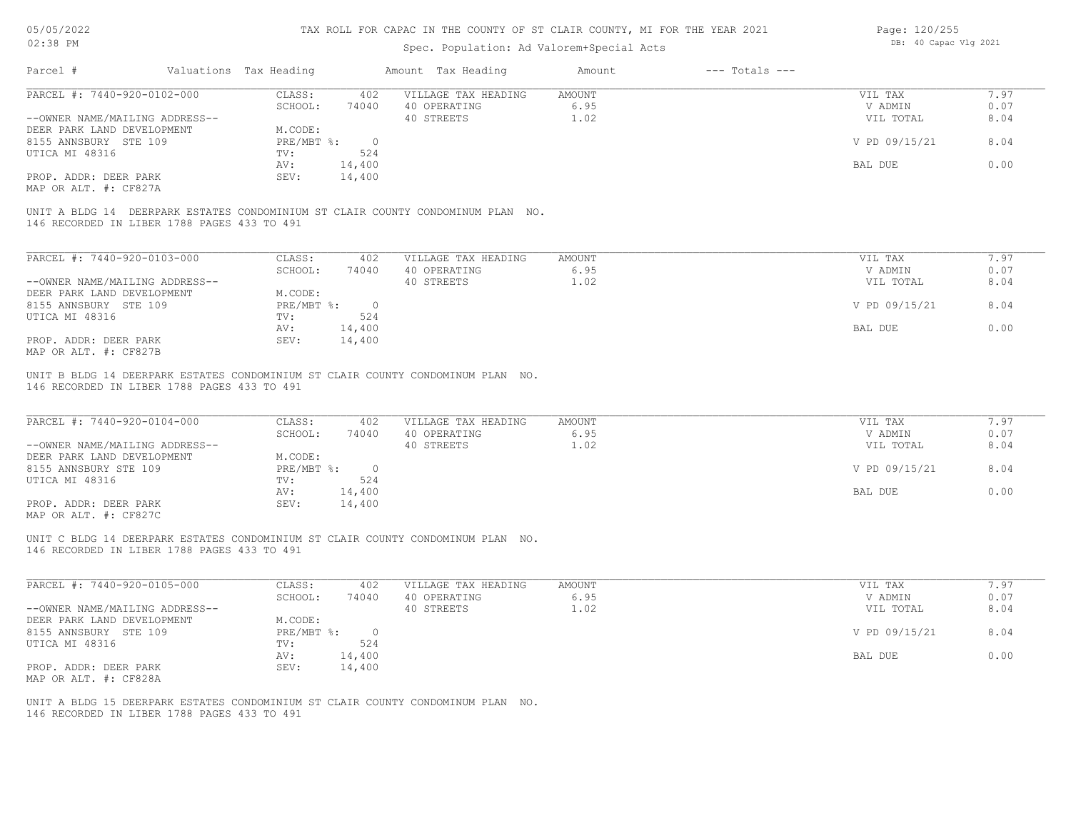| Page: 120/255 |                       |  |
|---------------|-----------------------|--|
|               | DB: 40 Capac Vlg 2021 |  |

| UZ:20 FM                                                                                                                       |                                   | Spec. Population: Ad Valorem+Special Acts         |                              | pp. to capac vig zvzi |              |
|--------------------------------------------------------------------------------------------------------------------------------|-----------------------------------|---------------------------------------------------|------------------------------|-----------------------|--------------|
| Parcel #                                                                                                                       | Valuations Tax Heading            | Amount Tax Heading                                | $---$ Totals $---$<br>Amount |                       |              |
| PARCEL #: 7440-920-0102-000                                                                                                    | CLASS:<br>402                     | VILLAGE TAX HEADING                               | <b>AMOUNT</b>                | VIL TAX               | 7.97         |
|                                                                                                                                | SCHOOL:<br>74040                  | 40 OPERATING                                      | 6.95                         | V ADMIN               | 0.07         |
| --OWNER NAME/MAILING ADDRESS--                                                                                                 |                                   | 40 STREETS                                        | 1.02                         | VIL TOTAL             | 8.04         |
| DEER PARK LAND DEVELOPMENT                                                                                                     | M.CODE:                           |                                                   |                              |                       |              |
| 8155 ANNSBURY STE 109                                                                                                          | $PRE/MBT$ $\div$<br>$\circ$       |                                                   |                              | V PD 09/15/21         | 8.04         |
| UTICA MI 48316                                                                                                                 | 524<br>TV:                        |                                                   |                              |                       |              |
|                                                                                                                                |                                   |                                                   |                              |                       |              |
|                                                                                                                                | 14,400<br>AV:                     |                                                   |                              | BAL DUE               | 0.00         |
| PROP. ADDR: DEER PARK<br>MAP OR ALT. #: CF827A                                                                                 | 14,400<br>SEV:                    |                                                   |                              |                       |              |
| UNIT A BLDG 14 DEERPARK ESTATES CONDOMINIUM ST CLAIR COUNTY CONDOMINUM PLAN NO.<br>146 RECORDED IN LIBER 1788 PAGES 433 TO 491 |                                   |                                                   |                              |                       |              |
| PARCEL #: 7440-920-0103-000                                                                                                    |                                   |                                                   |                              |                       | 7.97         |
|                                                                                                                                | CLASS:<br>402                     | VILLAGE TAX HEADING                               | <b>AMOUNT</b>                | VIL TAX               |              |
|                                                                                                                                | SCHOOL:<br>74040                  | 40 OPERATING                                      | 6.95                         | V ADMIN               | 0.07         |
| --OWNER NAME/MAILING ADDRESS--                                                                                                 |                                   | 40 STREETS                                        | 1.02                         | VIL TOTAL             | 8.04         |
| DEER PARK LAND DEVELOPMENT                                                                                                     | M.CODE:                           |                                                   |                              |                       |              |
| 8155 ANNSBURY STE 109                                                                                                          | $PRE/MBT$ $\div$<br>$\circ$       |                                                   |                              | V PD 09/15/21         | 8.04         |
| UTICA MI 48316                                                                                                                 | 524<br>TV:                        |                                                   |                              |                       |              |
|                                                                                                                                | AV:                               |                                                   |                              | BAL DUE               | 0.00         |
|                                                                                                                                | 14,400                            |                                                   |                              |                       |              |
| PROP. ADDR: DEER PARK<br>MAP OR ALT. #: CF827B                                                                                 | SEV:<br>14,400                    |                                                   |                              |                       |              |
| PARCEL #: 7440-920-0104-000<br>--OWNER NAME/MAILING ADDRESS--                                                                  | CLASS:<br>402<br>SCHOOL:<br>74040 | VILLAGE TAX HEADING<br>40 OPERATING<br>40 STREETS | AMOUNT<br>6.95<br>1.02       | VIL TAX<br>V ADMIN    | 7.97<br>0.07 |
|                                                                                                                                |                                   |                                                   |                              | VIL TOTAL             | 8.04         |
| DEER PARK LAND DEVELOPMENT                                                                                                     | M.CODE:                           |                                                   |                              |                       |              |
| 8155 ANNSBURY STE 109                                                                                                          | PRE/MBT %:<br>$\overline{0}$      |                                                   |                              | V PD 09/15/21         | 8.04         |
| UTICA MI 48316                                                                                                                 | TV:<br>524                        |                                                   |                              |                       |              |
|                                                                                                                                | 14,400<br>AV:                     |                                                   |                              | BAL DUE               | 0.00         |
| PROP. ADDR: DEER PARK<br>MAP OR ALT. #: CF827C                                                                                 | 14,400<br>SEV:                    |                                                   |                              |                       |              |
| UNIT C BLDG 14 DEERPARK ESTATES CONDOMINIUM ST CLAIR COUNTY CONDOMINUM PLAN NO.<br>146 RECORDED IN LIBER 1788 PAGES 433 TO 491 |                                   |                                                   |                              |                       |              |
| PARCEL #: 7440-920-0105-000                                                                                                    | CLASS:<br>402                     | VILLAGE TAX HEADING                               | AMOUNT                       | VIL TAX               | 7.97         |
|                                                                                                                                | SCHOOL:<br>74040                  | 40 OPERATING                                      | 6.95                         | V ADMIN               | 0.07         |
| --OWNER NAME/MAILING ADDRESS--                                                                                                 |                                   | 40 STREETS                                        | 1.02                         | VIL TOTAL             | 8.04         |
|                                                                                                                                |                                   |                                                   |                              |                       |              |
| DEER PARK LAND DEVELOPMENT                                                                                                     | M.CODE:                           |                                                   |                              |                       |              |
| 8155 ANNSBURY STE 109                                                                                                          | PRE/MBT %:<br>$\circ$             |                                                   |                              | V PD 09/15/21         | 8.04         |
| UTICA MI 48316                                                                                                                 | TV:<br>524                        |                                                   |                              |                       |              |
|                                                                                                                                | 14,400<br>AV:                     |                                                   |                              | BAL DUE               | 0.00         |
| PROP. ADDR: DEER PARK                                                                                                          | SEV:<br>14,400                    |                                                   |                              |                       |              |
| MAP OR ALT. #: CF828A                                                                                                          |                                   |                                                   |                              |                       |              |
| UNIT A BLDG 15 DEERPARK ESTATES CONDOMINIUM ST CLAIR COUNTY CONDOMINUM PLAN NO.                                                |                                   |                                                   |                              |                       |              |
| 146 RECORDED IN LIBER 1788 PAGES 433 TO 491                                                                                    |                                   |                                                   |                              |                       |              |
|                                                                                                                                |                                   |                                                   |                              |                       |              |
|                                                                                                                                |                                   |                                                   |                              |                       |              |
|                                                                                                                                |                                   |                                                   |                              |                       |              |
|                                                                                                                                |                                   |                                                   |                              |                       |              |
|                                                                                                                                |                                   |                                                   |                              |                       |              |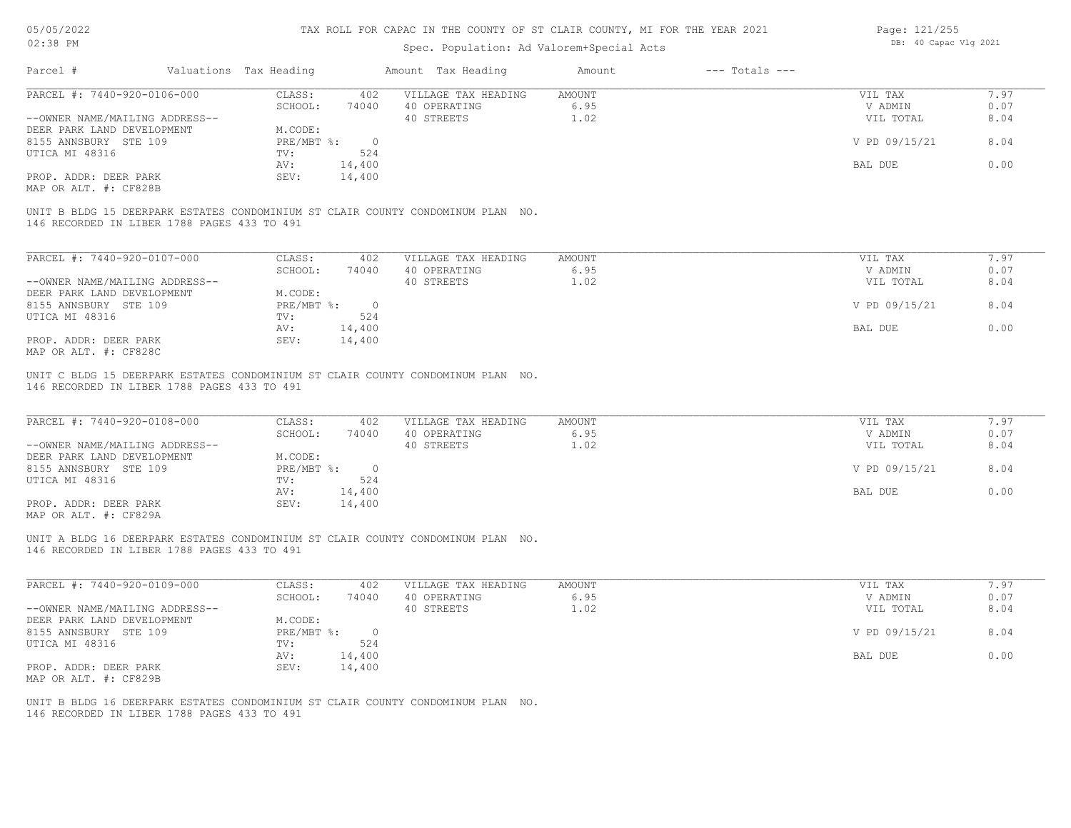### Spec. Population: Ad Valorem+Special Acts

| Page: 121/255 |                       |  |
|---------------|-----------------------|--|
|               | DB: 40 Capac Vlg 2021 |  |

| Parcel #                                    | Valuations Tax Heading |                | Amount Tax Heading                                                              | Amount | $---$ Totals $---$ |               |      |
|---------------------------------------------|------------------------|----------------|---------------------------------------------------------------------------------|--------|--------------------|---------------|------|
| PARCEL #: 7440-920-0106-000                 | CLASS:                 | 402            | VILLAGE TAX HEADING                                                             | AMOUNT |                    | VIL TAX       | 7.97 |
|                                             | SCHOOL:                | 74040          | 40 OPERATING                                                                    | 6.95   |                    | V ADMIN       | 0.07 |
| --OWNER NAME/MAILING ADDRESS--              |                        |                | 40 STREETS                                                                      | 1.02   |                    | VIL TOTAL     | 8.04 |
| DEER PARK LAND DEVELOPMENT                  | M.CODE:                |                |                                                                                 |        |                    |               |      |
| 8155 ANNSBURY STE 109                       | $PRE/MBT$ $\div$       | $\overline{0}$ |                                                                                 |        |                    | V PD 09/15/21 | 8.04 |
| UTICA MI 48316                              | TV:                    | 524            |                                                                                 |        |                    |               |      |
|                                             | AV:                    | 14,400         |                                                                                 |        |                    | BAL DUE       | 0.00 |
| PROP. ADDR: DEER PARK                       | SEV:                   | 14,400         |                                                                                 |        |                    |               |      |
| MAP OR ALT. #: CF828B                       |                        |                |                                                                                 |        |                    |               |      |
| 146 RECORDED IN LIBER 1788 PAGES 433 TO 491 |                        |                | UNIT B BLDG 15 DEERPARK ESTATES CONDOMINIUM ST CLAIR COUNTY CONDOMINUM PLAN NO. |        |                    |               |      |
|                                             |                        |                |                                                                                 |        |                    |               |      |
| PARCEL #: 7440-920-0107-000                 | CLASS:                 | 402            | VILLAGE TAX HEADING                                                             | AMOUNT |                    | VIL TAX       | 7.97 |
|                                             | SCHOOL:                | 74040          | 40 OPERATING                                                                    | 6.95   |                    | V ADMIN       | 0.07 |
| --OWNER NAME/MAILING ADDRESS--              |                        |                |                                                                                 |        |                    |               |      |
|                                             |                        |                | 40 STREETS                                                                      | 1.02   |                    | VIL TOTAL     | 8.04 |
| DEER PARK LAND DEVELOPMENT                  | M.CODE:                |                |                                                                                 |        |                    |               |      |
| 8155 ANNSBURY STE 109                       | PRE/MBT %:             | $\overline{0}$ |                                                                                 |        |                    | V PD 09/15/21 | 8.04 |
| UTICA MI 48316                              | TV:                    | 524            |                                                                                 |        |                    |               |      |

MAP OR ALT. #: CF828C PROP. ADDR: DEER PARK SEV: 14,400

146 RECORDED IN LIBER 1788 PAGES 433 TO 491 UNIT C BLDG 15 DEERPARK ESTATES CONDOMINIUM ST CLAIR COUNTY CONDOMINUM PLAN NO.

| PARCEL #: 7440-920-0108-000    | CLASS:     | 402    | VILLAGE TAX HEADING | AMOUNT | VIL TAX       | 7.97 |
|--------------------------------|------------|--------|---------------------|--------|---------------|------|
|                                | SCHOOL:    | 74040  | 40 OPERATING        | 6.95   | V ADMIN       | 0.07 |
| --OWNER NAME/MAILING ADDRESS-- |            |        | 40 STREETS          | 1.02   | VIL TOTAL     | 8.04 |
| DEER PARK LAND DEVELOPMENT     | M.CODE:    |        |                     |        |               |      |
| 8155 ANNSBURY STE 109          | PRE/MBT %: |        |                     |        | V PD 09/15/21 | 8.04 |
| UTICA MI 48316                 | TV:        | 524    |                     |        |               |      |
|                                | AV:        | 14,400 |                     |        | BAL DUE       | 0.00 |
| PROP. ADDR: DEER PARK          | SEV:       | 14,400 |                     |        |               |      |

 $\mathcal{L}_\mathcal{L} = \mathcal{L}_\mathcal{L} = \mathcal{L}_\mathcal{L} = \mathcal{L}_\mathcal{L} = \mathcal{L}_\mathcal{L} = \mathcal{L}_\mathcal{L} = \mathcal{L}_\mathcal{L} = \mathcal{L}_\mathcal{L} = \mathcal{L}_\mathcal{L} = \mathcal{L}_\mathcal{L} = \mathcal{L}_\mathcal{L} = \mathcal{L}_\mathcal{L} = \mathcal{L}_\mathcal{L} = \mathcal{L}_\mathcal{L} = \mathcal{L}_\mathcal{L} = \mathcal{L}_\mathcal{L} = \mathcal{L}_\mathcal{L}$ 

 $\mathcal{L}_\mathcal{L} = \mathcal{L}_\mathcal{L} = \mathcal{L}_\mathcal{L} = \mathcal{L}_\mathcal{L} = \mathcal{L}_\mathcal{L} = \mathcal{L}_\mathcal{L} = \mathcal{L}_\mathcal{L} = \mathcal{L}_\mathcal{L} = \mathcal{L}_\mathcal{L} = \mathcal{L}_\mathcal{L} = \mathcal{L}_\mathcal{L} = \mathcal{L}_\mathcal{L} = \mathcal{L}_\mathcal{L} = \mathcal{L}_\mathcal{L} = \mathcal{L}_\mathcal{L} = \mathcal{L}_\mathcal{L} = \mathcal{L}_\mathcal{L}$ 

MAP OR ALT. #: CF829A

146 RECORDED IN LIBER 1788 PAGES 433 TO 491 UNIT A BLDG 16 DEERPARK ESTATES CONDOMINIUM ST CLAIR COUNTY CONDOMINUM PLAN NO.

| PARCEL #: 7440-920-0109-000    | CLASS:     | 402    | VILLAGE TAX HEADING | AMOUNT | VIL TAX       | 7.97 |
|--------------------------------|------------|--------|---------------------|--------|---------------|------|
|                                | SCHOOL:    | 74040  | 40 OPERATING        | 6.95   | V ADMIN       | 0.07 |
| --OWNER NAME/MAILING ADDRESS-- |            |        | 40 STREETS          | 1.02   | VIL TOTAL     | 8.04 |
| DEER PARK LAND DEVELOPMENT     | M.CODE:    |        |                     |        |               |      |
| 8155 ANNSBURY STE 109          | PRE/MBT %: |        |                     |        | V PD 09/15/21 | 8.04 |
| UTICA MI 48316                 | TV:        | 524    |                     |        |               |      |
|                                | AV:        | 14,400 |                     |        | BAL DUE       | 0.00 |
| PROP. ADDR: DEER PARK          | SEV:       | 14,400 |                     |        |               |      |
| MAP OR ALT. #: CF829B          |            |        |                     |        |               |      |

146 RECORDED IN LIBER 1788 PAGES 433 TO 491 UNIT B BLDG 16 DEERPARK ESTATES CONDOMINIUM ST CLAIR COUNTY CONDOMINUM PLAN NO.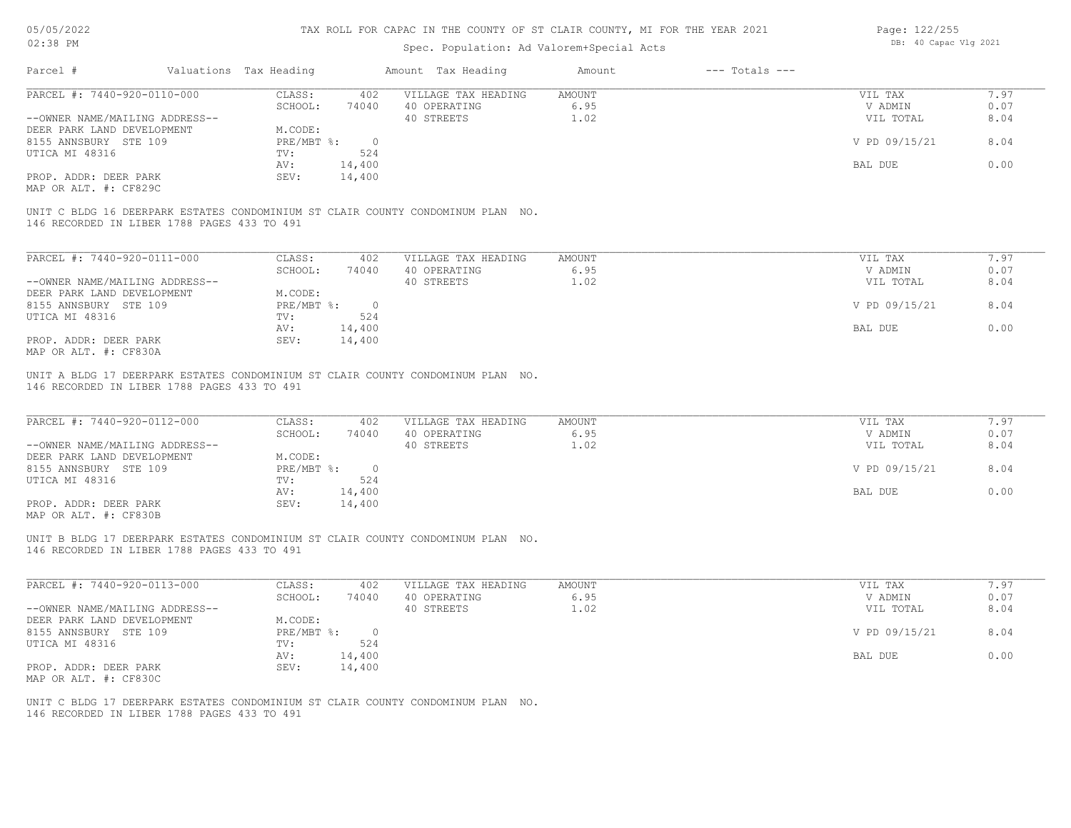# Spec. Population: Ad Valorem+Special Acts

| Page: 122/255 |                       |  |  |  |  |  |
|---------------|-----------------------|--|--|--|--|--|
|               | DB: 40 Capac Vlg 2021 |  |  |  |  |  |

|                                             |                        |                   |                | Spec. Population: Ad Valorem+Special Acts                                       |                |                    |                    |      |
|---------------------------------------------|------------------------|-------------------|----------------|---------------------------------------------------------------------------------|----------------|--------------------|--------------------|------|
| Parcel #                                    | Valuations Tax Heading |                   |                | Amount Tax Heading                                                              | Amount         | $---$ Totals $---$ |                    |      |
| PARCEL #: 7440-920-0110-000                 |                        | CLASS:            | 402            | VILLAGE TAX HEADING                                                             | <b>AMOUNT</b>  |                    | VIL TAX            | 7.97 |
|                                             |                        | SCHOOL:           | 74040          | 40 OPERATING                                                                    | 6.95           |                    | V ADMIN            | 0.07 |
| --OWNER NAME/MAILING ADDRESS--              |                        |                   |                | 40 STREETS                                                                      | 1.02           |                    | VIL TOTAL          | 8.04 |
| DEER PARK LAND DEVELOPMENT                  |                        | M.CODE:           |                |                                                                                 |                |                    |                    |      |
| 8155 ANNSBURY STE 109                       |                        | $PRE/MBT$ %:      | $\overline{0}$ |                                                                                 |                |                    | V PD 09/15/21      | 8.04 |
| UTICA MI 48316                              |                        | TV:               | 524            |                                                                                 |                |                    |                    |      |
|                                             |                        | AV:               | 14,400         |                                                                                 |                |                    | BAL DUE            | 0.00 |
| PROP. ADDR: DEER PARK                       |                        | SEV:              | 14,400         |                                                                                 |                |                    |                    |      |
| MAP OR ALT. #: CF829C                       |                        |                   |                |                                                                                 |                |                    |                    |      |
|                                             |                        |                   |                | UNIT C BLDG 16 DEERPARK ESTATES CONDOMINIUM ST CLAIR COUNTY CONDOMINUM PLAN NO. |                |                    |                    |      |
| 146 RECORDED IN LIBER 1788 PAGES 433 TO 491 |                        |                   |                |                                                                                 |                |                    |                    |      |
|                                             |                        |                   |                |                                                                                 |                |                    |                    |      |
|                                             |                        |                   |                |                                                                                 |                |                    |                    |      |
| PARCEL #: 7440-920-0111-000                 |                        | CLASS:            | 402            | VILLAGE TAX HEADING                                                             | <b>AMOUNT</b>  |                    | VIL TAX            | 7.97 |
|                                             |                        | SCHOOL:           | 74040          | 40 OPERATING                                                                    | 6.95           |                    | V ADMIN            | 0.07 |
| --OWNER NAME/MAILING ADDRESS--              |                        |                   |                | 40 STREETS                                                                      | 1.02           |                    | VIL TOTAL          | 8.04 |
| DEER PARK LAND DEVELOPMENT                  |                        | M.CODE:           |                |                                                                                 |                |                    |                    |      |
| 8155 ANNSBURY STE 109                       |                        | PRE/MBT %:        | $\overline{0}$ |                                                                                 |                |                    | V PD 09/15/21      | 8.04 |
| UTICA MI 48316                              |                        | TV:               | 524            |                                                                                 |                |                    |                    |      |
|                                             |                        | AV:               | 14,400         |                                                                                 |                |                    | BAL DUE            | 0.00 |
| PROP. ADDR: DEER PARK                       |                        | SEV:              | 14,400         |                                                                                 |                |                    |                    |      |
| MAP OR ALT. #: CF830A                       |                        |                   |                |                                                                                 |                |                    |                    |      |
|                                             |                        |                   |                |                                                                                 |                |                    |                    |      |
|                                             |                        |                   |                | UNIT A BLDG 17 DEERPARK ESTATES CONDOMINIUM ST CLAIR COUNTY CONDOMINUM PLAN NO. |                |                    |                    |      |
| 146 RECORDED IN LIBER 1788 PAGES 433 TO 491 |                        |                   |                |                                                                                 |                |                    |                    |      |
|                                             |                        |                   |                |                                                                                 |                |                    |                    |      |
| PARCEL #: 7440-920-0112-000                 |                        |                   |                | VILLAGE TAX HEADING                                                             |                |                    |                    | 7.97 |
|                                             |                        | CLASS:<br>SCHOOL: | 402<br>74040   | 40 OPERATING                                                                    | AMOUNT<br>6.95 |                    | VIL TAX<br>V ADMIN | 0.07 |
|                                             |                        |                   |                |                                                                                 |                |                    |                    |      |

|                                                       | SUMUUL:    | 74040  | 40 uplkating | 0.95 | ADMIN         | $\cup$ . $\cup$ / |
|-------------------------------------------------------|------------|--------|--------------|------|---------------|-------------------|
| --OWNER NAME/MAILING ADDRESS--                        |            |        | 40 STREETS   | 1.02 | VIL TOTAL     | 8.04              |
| DEER PARK LAND DEVELOPMENT                            | M.CODE:    |        |              |      |               |                   |
| 8155 ANNSBURY STE 109                                 | PRE/MBT %: | $\cap$ |              |      | V PD 09/15/21 | 8.04              |
| UTICA MI 48316                                        | TV:        | 524    |              |      |               |                   |
|                                                       | AV:        | 14,400 |              |      | BAL DUE       | 0.00              |
| PROP. ADDR: DEER PARK                                 | SEV:       | 14,400 |              |      |               |                   |
| $\cdots$ $\cdots$ $\cdots$ $\cdots$ $\cdots$ $\cdots$ |            |        |              |      |               |                   |

MAP OR ALT. #: CF830B

146 RECORDED IN LIBER 1788 PAGES 433 TO 491 UNIT B BLDG 17 DEERPARK ESTATES CONDOMINIUM ST CLAIR COUNTY CONDOMINUM PLAN NO.

| PARCEL #: 7440-920-0113-000    | CLASS:     | 402      | VILLAGE TAX HEADING | AMOUNT | VIL TAX       | 7.97 |
|--------------------------------|------------|----------|---------------------|--------|---------------|------|
|                                | SCHOOL:    | 74040    | 40 OPERATING        | 6.95   | V ADMIN       | 0.07 |
| --OWNER NAME/MAILING ADDRESS-- |            |          | 40 STREETS          | 1.02   | VIL TOTAL     | 8.04 |
| DEER PARK LAND DEVELOPMENT     | M.CODE:    |          |                     |        |               |      |
| 8155 ANNSBURY STE 109          | PRE/MBT %: | $\Omega$ |                     |        | V PD 09/15/21 | 8.04 |
| UTICA MI 48316                 | TV:        | 524      |                     |        |               |      |
|                                | AV:        | 14,400   |                     |        | BAL DUE       | 0.00 |
| PROP. ADDR: DEER PARK          | SEV:       | 14,400   |                     |        |               |      |
| MAP OR ALT. #: CF830C          |            |          |                     |        |               |      |

 $\mathcal{L}_\mathcal{L} = \mathcal{L}_\mathcal{L} = \mathcal{L}_\mathcal{L} = \mathcal{L}_\mathcal{L} = \mathcal{L}_\mathcal{L} = \mathcal{L}_\mathcal{L} = \mathcal{L}_\mathcal{L} = \mathcal{L}_\mathcal{L} = \mathcal{L}_\mathcal{L} = \mathcal{L}_\mathcal{L} = \mathcal{L}_\mathcal{L} = \mathcal{L}_\mathcal{L} = \mathcal{L}_\mathcal{L} = \mathcal{L}_\mathcal{L} = \mathcal{L}_\mathcal{L} = \mathcal{L}_\mathcal{L} = \mathcal{L}_\mathcal{L}$ 

146 RECORDED IN LIBER 1788 PAGES 433 TO 491 UNIT C BLDG 17 DEERPARK ESTATES CONDOMINIUM ST CLAIR COUNTY CONDOMINUM PLAN NO.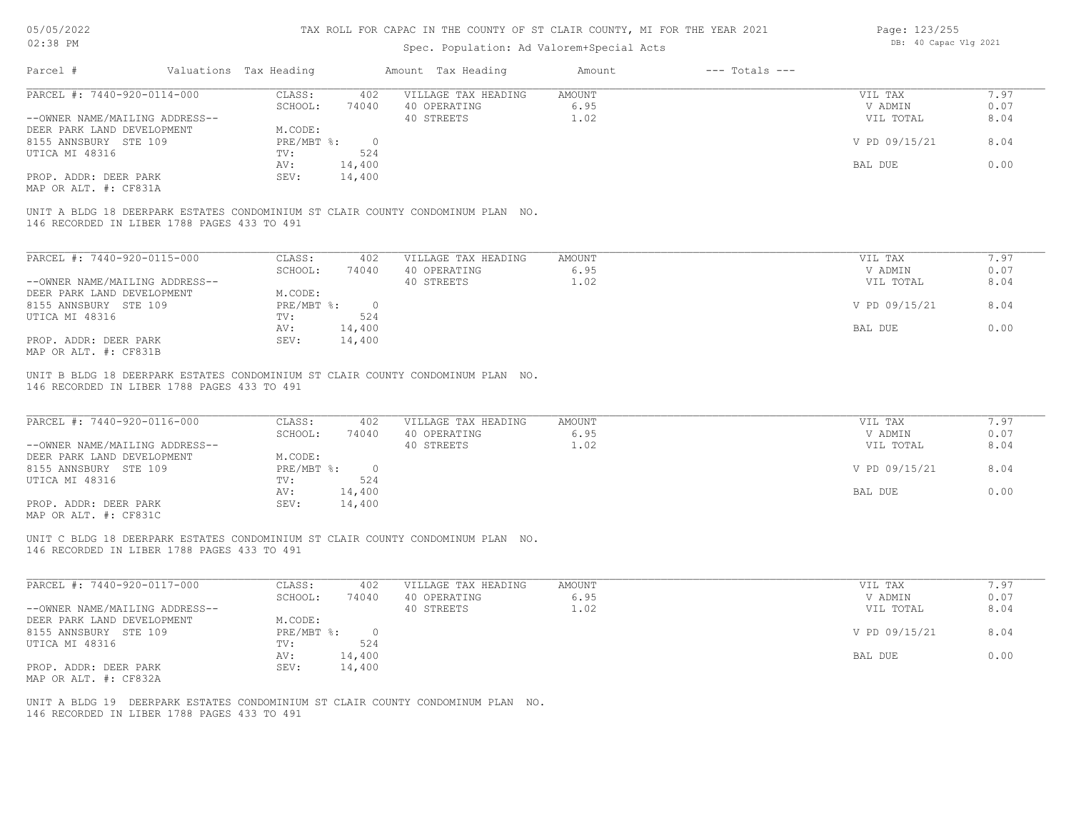# Spec. Population: Ad Valorem+Special Acts

| Page: 123/255 |                       |  |  |  |  |  |
|---------------|-----------------------|--|--|--|--|--|
|               | DB: 40 Capac Vlg 2021 |  |  |  |  |  |

| PARCEL #: 7440-920-0114-000                                                                                                             | CLASS:        | 402            | VILLAGE TAX HEADING | AMOUNT | VIL TAX       | 7.97 |
|-----------------------------------------------------------------------------------------------------------------------------------------|---------------|----------------|---------------------|--------|---------------|------|
|                                                                                                                                         | SCHOOL:       | 74040          | 40 OPERATING        | 6.95   | V ADMIN       | 0.07 |
| --OWNER NAME/MAILING ADDRESS--                                                                                                          |               |                | 40 STREETS          | 1.02   | VIL TOTAL     | 8.04 |
| DEER PARK LAND DEVELOPMENT                                                                                                              | M.CODE:       |                |                     |        |               |      |
| 8155 ANNSBURY STE 109                                                                                                                   | PRE/MBT %:    | $\overline{0}$ |                     |        | V PD 09/15/21 | 8.04 |
| UTICA MI 48316                                                                                                                          | TV:           | 524            |                     |        |               |      |
|                                                                                                                                         | 14,400<br>AV: |                |                     |        | BAL DUE       | 0.00 |
| PROP. ADDR: DEER PARK                                                                                                                   | SEV:          | 14,400         |                     |        |               |      |
|                                                                                                                                         |               |                |                     |        |               |      |
| 146 RECORDED IN LIBER 1788 PAGES 433 TO 491                                                                                             |               |                |                     |        |               |      |
| MAP OR ALT. #: CF831A<br>UNIT A BLDG 18 DEERPARK ESTATES CONDOMINIUM ST CLAIR COUNTY CONDOMINUM PLAN NO.<br>PARCEL #: 7440-920-0115-000 | CLASS:        | 402            | VILLAGE TAX HEADING | AMOUNT | VIL TAX       | 7.97 |
|                                                                                                                                         | SCHOOL:       | 74040          | 40 OPERATING        | 6.95   | V ADMIN       | 0.07 |
| --OWNER NAME/MAILING ADDRESS--                                                                                                          |               |                | 40 STREETS          | 1.02   | VIL TOTAL     | 8.04 |
| DEER PARK LAND DEVELOPMENT                                                                                                              | M.CODE:       |                |                     |        |               |      |
| 8155 ANNSBURY STE 109                                                                                                                   | PRE/MBT %:    | $\bigcirc$     |                     |        | V PD 09/15/21 | 8.04 |
|                                                                                                                                         | TV:           | 524            |                     |        |               |      |
| UTICA MI 48316                                                                                                                          | 14,400<br>AV: |                |                     |        | BAL DUE       | 0.00 |
| PROP. ADDR: DEER PARK<br>MAP OR ALT. #: CF831B                                                                                          | SEV:          | 14,400         |                     |        |               |      |

146 RECORDED IN LIBER 1788 PAGES 433 TO 491

| PARCEL #: 7440-920-0116-000    | CLASS:     | 402    | VILLAGE TAX HEADING | AMOUNT | VIL TAX       | 7.97 |
|--------------------------------|------------|--------|---------------------|--------|---------------|------|
|                                | SCHOOL:    | 74040  | 40 OPERATING        | 6.95   | V ADMIN       | 0.07 |
| --OWNER NAME/MAILING ADDRESS-- |            |        | 40 STREETS          | 1.02   | VIL TOTAL     | 8.04 |
| DEER PARK LAND DEVELOPMENT     | M.CODE:    |        |                     |        |               |      |
| 8155 ANNSBURY STE 109          | PRE/MBT %: |        |                     |        | V PD 09/15/21 | 8.04 |
| UTICA MI 48316                 | TV:        | 524    |                     |        |               |      |
|                                | AV:        | 14,400 |                     |        | BAL DUE       | 0.00 |
| PROP. ADDR: DEER PARK          | SEV:       | 14,400 |                     |        |               |      |
| MAP OR ALT. #: CF831C          |            |        |                     |        |               |      |

146 RECORDED IN LIBER 1788 PAGES 433 TO 491 UNIT C BLDG 18 DEERPARK ESTATES CONDOMINIUM ST CLAIR COUNTY CONDOMINUM PLAN NO.

| PARCEL #: 7440-920-0117-000    | CLASS:       | 402    | VILLAGE TAX HEADING | AMOUNT | VIL TAX       | .97  |
|--------------------------------|--------------|--------|---------------------|--------|---------------|------|
|                                | SCHOOL:      | 74040  | 40 OPERATING        | 6.95   | V ADMIN       | 0.07 |
| --OWNER NAME/MAILING ADDRESS-- |              |        | 40 STREETS          | 1.02   | VIL TOTAL     | 8.04 |
| DEER PARK LAND DEVELOPMENT     | M.CODE:      |        |                     |        |               |      |
| 8155 ANNSBURY STE 109          | $PRE/MBT$ %: |        |                     |        | V PD 09/15/21 | 8.04 |
| UTICA MI 48316                 | TV:          | 524    |                     |        |               |      |
|                                | AV:          | 14,400 |                     |        | BAL DUE       | 0.00 |
| PROP. ADDR: DEER PARK          | SEV:         | 14,400 |                     |        |               |      |
| MAP OR ALT. #: CF832A          |              |        |                     |        |               |      |

146 RECORDED IN LIBER 1788 PAGES 433 TO 491 UNIT A BLDG 19 DEERPARK ESTATES CONDOMINIUM ST CLAIR COUNTY CONDOMINUM PLAN NO.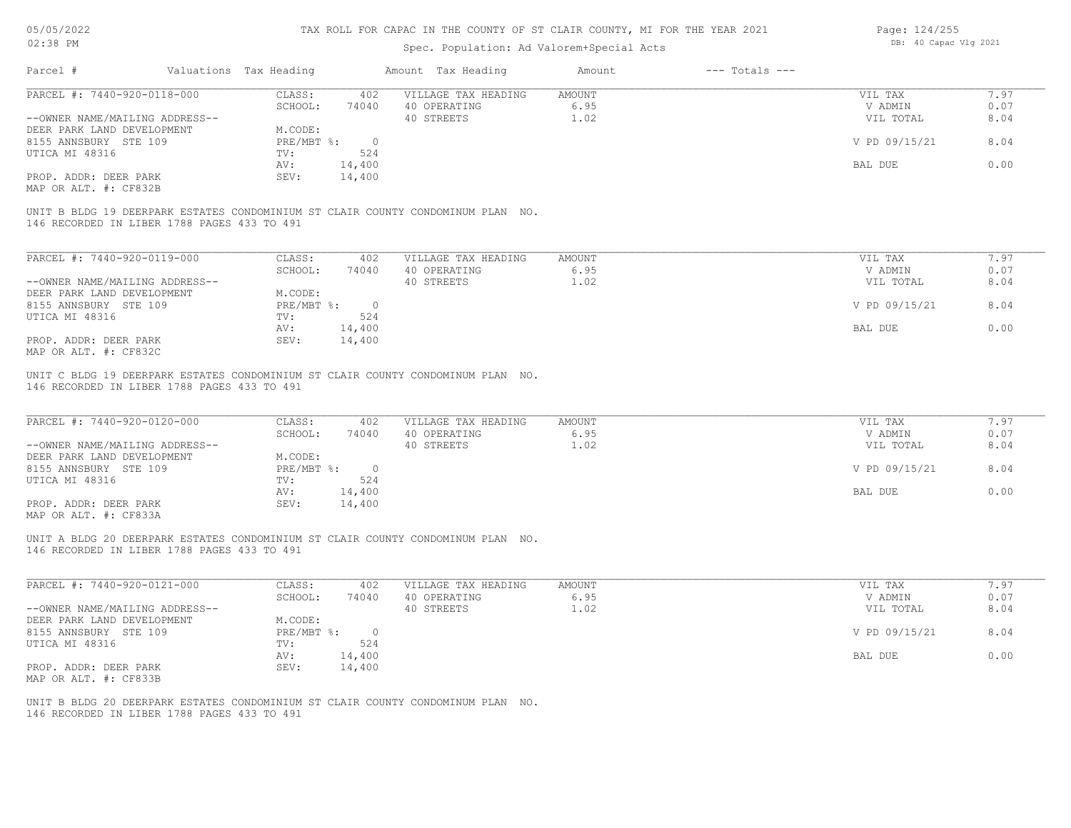### Spec. Population: Ad Valorem+Special Acts

| Page: 124/255 |                       |  |  |  |  |  |
|---------------|-----------------------|--|--|--|--|--|
|               | DB: 40 Capac Vlg 2021 |  |  |  |  |  |

| Parcel #                                                                                                                       | Valuations Tax Heading       | Amount Tax Heading  | Amount        | $---$ Totals $---$ |               |      |
|--------------------------------------------------------------------------------------------------------------------------------|------------------------------|---------------------|---------------|--------------------|---------------|------|
| PARCEL #: 7440-920-0118-000                                                                                                    | CLASS:<br>402                | VILLAGE TAX HEADING | <b>AMOUNT</b> |                    | VIL TAX       | 7.97 |
|                                                                                                                                | 74040<br>SCHOOL:             | 40 OPERATING        | 6.95          |                    | V ADMIN       | 0.07 |
| --OWNER NAME/MAILING ADDRESS--                                                                                                 |                              | 40 STREETS          | 1.02          |                    | VIL TOTAL     | 8.04 |
| DEER PARK LAND DEVELOPMENT                                                                                                     | M.CODE:                      |                     |               |                    |               |      |
| 8155 ANNSBURY STE 109                                                                                                          | PRE/MBT %:<br>$\overline{0}$ |                     |               |                    | V PD 09/15/21 | 8.04 |
| UTICA MI 48316                                                                                                                 | 524<br>TV:                   |                     |               |                    |               |      |
|                                                                                                                                | 14,400<br>AV:                |                     |               |                    | BAL DUE       | 0.00 |
| PROP. ADDR: DEER PARK                                                                                                          | SEV:<br>14,400               |                     |               |                    |               |      |
| MAP OR ALT. #: CF832B                                                                                                          |                              |                     |               |                    |               |      |
| UNIT B BLDG 19 DEERPARK ESTATES CONDOMINIUM ST CLAIR COUNTY CONDOMINUM PLAN NO.<br>146 RECORDED IN LIBER 1788 PAGES 433 TO 491 |                              |                     |               |                    |               |      |
|                                                                                                                                |                              |                     |               |                    |               |      |
| PARCEL #: 7440-920-0119-000                                                                                                    | CLASS:<br>402                | VILLAGE TAX HEADING | AMOUNT        |                    | VIL TAX       | 7.97 |
|                                                                                                                                | 74040<br>SCHOOL:             | 40 OPERATING        | 6.95          |                    | V ADMIN       | 0.07 |
| --OWNER NAME/MAILING ADDRESS--                                                                                                 |                              | 40 STREETS          | 1.02          |                    | VIL TOTAL     | 8.04 |
| DEER PARK LAND DEVELOPMENT                                                                                                     | M.CODE:                      |                     |               |                    |               |      |
| 8155 ANNSBURY STE 109                                                                                                          | PRE/MBT %:<br>$\circ$        |                     |               |                    | V PD 09/15/21 | 8.04 |
| UTICA MI 48316                                                                                                                 | 524<br>TV:                   |                     |               |                    |               |      |
|                                                                                                                                | 14,400<br>AV:                |                     |               |                    | BAL DUE       | 0.00 |

MAP OR ALT. #: CF832C

146 RECORDED IN LIBER 1788 PAGES 433 TO 491 UNIT C BLDG 19 DEERPARK ESTATES CONDOMINIUM ST CLAIR COUNTY CONDOMINUM PLAN NO.

| PARCEL #: 7440-920-0120-000    | CLASS:     | 402    | VILLAGE TAX HEADING | AMOUNT | VIL TAX       | 7.97 |
|--------------------------------|------------|--------|---------------------|--------|---------------|------|
|                                | SCHOOL:    | 74040  | 40 OPERATING        | 6.95   | V ADMIN       | 0.07 |
| --OWNER NAME/MAILING ADDRESS-- |            |        | 40 STREETS          | 1.02   | VIL TOTAL     | 8.04 |
| DEER PARK LAND DEVELOPMENT     | M.CODE:    |        |                     |        |               |      |
| 8155 ANNSBURY STE 109          | PRE/MBT %: |        |                     |        | V PD 09/15/21 | 8.04 |
| UTICA MI 48316                 | TV:        | 524    |                     |        |               |      |
|                                | AV:        | 14,400 |                     |        | BAL DUE       | 0.00 |
| PROP. ADDR: DEER PARK          | SEV:       | 14,400 |                     |        |               |      |
| $\cdots$                       |            |        |                     |        |               |      |

 $\mathcal{L}_\mathcal{L} = \mathcal{L}_\mathcal{L} = \mathcal{L}_\mathcal{L} = \mathcal{L}_\mathcal{L} = \mathcal{L}_\mathcal{L} = \mathcal{L}_\mathcal{L} = \mathcal{L}_\mathcal{L} = \mathcal{L}_\mathcal{L} = \mathcal{L}_\mathcal{L} = \mathcal{L}_\mathcal{L} = \mathcal{L}_\mathcal{L} = \mathcal{L}_\mathcal{L} = \mathcal{L}_\mathcal{L} = \mathcal{L}_\mathcal{L} = \mathcal{L}_\mathcal{L} = \mathcal{L}_\mathcal{L} = \mathcal{L}_\mathcal{L}$ 

 $\mathcal{L}_\mathcal{L} = \mathcal{L}_\mathcal{L} = \mathcal{L}_\mathcal{L} = \mathcal{L}_\mathcal{L} = \mathcal{L}_\mathcal{L} = \mathcal{L}_\mathcal{L} = \mathcal{L}_\mathcal{L} = \mathcal{L}_\mathcal{L} = \mathcal{L}_\mathcal{L} = \mathcal{L}_\mathcal{L} = \mathcal{L}_\mathcal{L} = \mathcal{L}_\mathcal{L} = \mathcal{L}_\mathcal{L} = \mathcal{L}_\mathcal{L} = \mathcal{L}_\mathcal{L} = \mathcal{L}_\mathcal{L} = \mathcal{L}_\mathcal{L}$ 

MAP OR ALT. #: CF833A

146 RECORDED IN LIBER 1788 PAGES 433 TO 491 UNIT A BLDG 20 DEERPARK ESTATES CONDOMINIUM ST CLAIR COUNTY CONDOMINUM PLAN NO.

| PARCEL #: 7440-920-0121-000    | CLASS:     | 402    | VILLAGE TAX HEADING | AMOUNT | VIL TAX       | 7.97 |
|--------------------------------|------------|--------|---------------------|--------|---------------|------|
|                                | SCHOOL:    | 74040  | 40 OPERATING        | 6.95   | V ADMIN       | 0.07 |
| --OWNER NAME/MAILING ADDRESS-- |            |        | 40 STREETS          | 1.02   | VIL TOTAL     | 8.04 |
| DEER PARK LAND DEVELOPMENT     | M.CODE:    |        |                     |        |               |      |
| 8155 ANNSBURY STE 109          | PRE/MBT %: |        |                     |        | V PD 09/15/21 | 8.04 |
| UTICA MI 48316                 | TV:        | 524    |                     |        |               |      |
|                                | AV:        | 14,400 |                     |        | BAL DUE       | 0.00 |
| PROP. ADDR: DEER PARK          | SEV:       | 14,400 |                     |        |               |      |
| MAP OR ALT. #: CF833B          |            |        |                     |        |               |      |

146 RECORDED IN LIBER 1788 PAGES 433 TO 491 UNIT B BLDG 20 DEERPARK ESTATES CONDOMINIUM ST CLAIR COUNTY CONDOMINUM PLAN NO.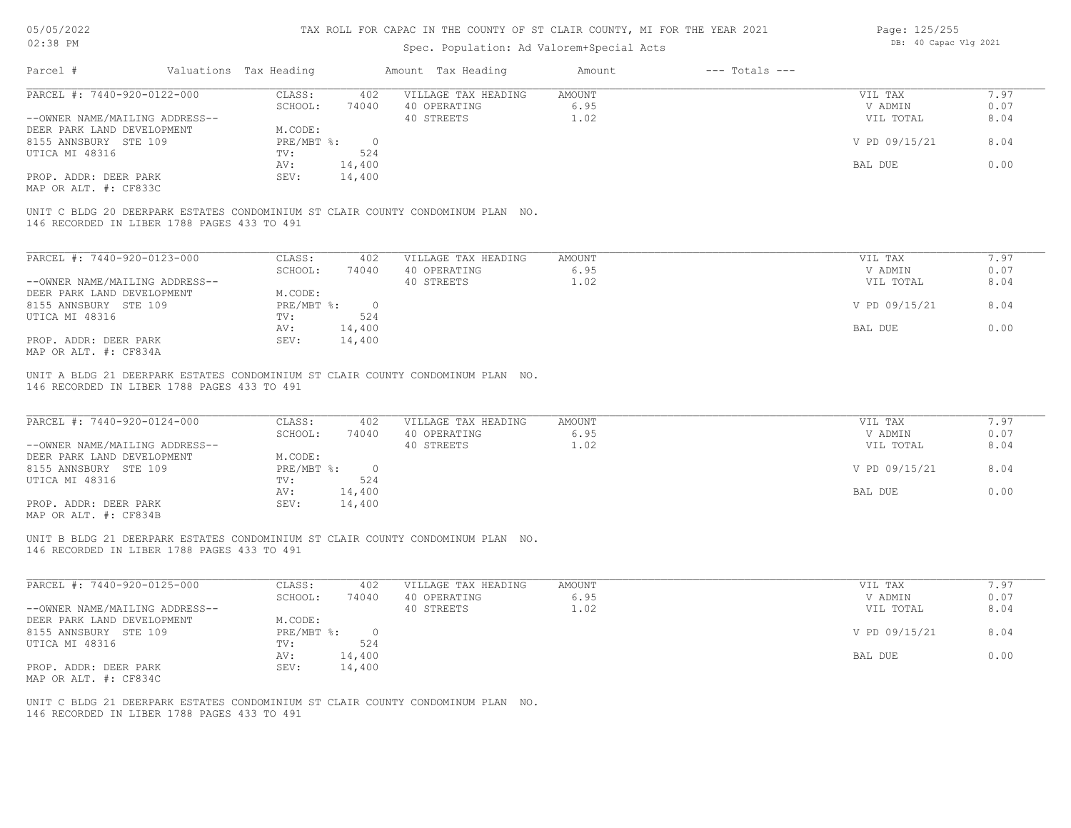### Spec. Population: Ad Valorem+Special Acts

| Page: 125/255 |                       |  |
|---------------|-----------------------|--|
|               | DB: 40 Capac Vlg 2021 |  |

| Parcel #                                    | Valuations Tax Heading |          | Amount Tax Heading                                                              | Amount | $---$ Totals $---$ |               |      |
|---------------------------------------------|------------------------|----------|---------------------------------------------------------------------------------|--------|--------------------|---------------|------|
| PARCEL #: 7440-920-0122-000                 | CLASS:                 | 402      | VILLAGE TAX HEADING                                                             | AMOUNT |                    | VIL TAX       | 7.97 |
|                                             | SCHOOL:                | 74040    | 40 OPERATING                                                                    | 6.95   |                    | V ADMIN       | 0.07 |
| --OWNER NAME/MAILING ADDRESS--              |                        |          | 40 STREETS                                                                      | 1.02   |                    | VIL TOTAL     | 8.04 |
| DEER PARK LAND DEVELOPMENT                  | M.CODE:                |          |                                                                                 |        |                    |               |      |
| 8155 ANNSBURY STE 109                       | PRE/MBT %:             | $\Omega$ |                                                                                 |        |                    | V PD 09/15/21 | 8.04 |
| UTICA MI 48316                              | TV:                    | 524      |                                                                                 |        |                    |               |      |
|                                             | AV:                    | 14,400   |                                                                                 |        |                    | BAL DUE       | 0.00 |
| PROP. ADDR: DEER PARK                       | SEV:                   | 14,400   |                                                                                 |        |                    |               |      |
| MAP OR ALT. #: CF833C                       |                        |          |                                                                                 |        |                    |               |      |
| 146 RECORDED IN LIBER 1788 PAGES 433 TO 491 |                        |          | UNIT C BLDG 20 DEERPARK ESTATES CONDOMINIUM ST CLAIR COUNTY CONDOMINUM PLAN NO. |        |                    |               |      |
| PARCEL #: 7440-920-0123-000                 | CLASS:                 | 402      | VILLAGE TAX HEADING                                                             | AMOUNT |                    | VIL TAX       | 7.97 |
|                                             | SCHOOL:                | 74040    | 40 OPERATING                                                                    | 6.95   |                    | V ADMIN       | 0.07 |
| --OWNER NAME/MAILING ADDRESS--              |                        |          | 40 STREETS                                                                      | 1.02   |                    | VIL TOTAL     | 8.04 |
| DEER PARK LAND DEVELOPMENT                  | M.CODE:                |          |                                                                                 |        |                    |               |      |
| 8155 ANNSBURY STE 109                       | $PRE/MBT$ %:           | $\circ$  |                                                                                 |        |                    | V PD 09/15/21 | 8.04 |

MAP OR ALT. #: CF834A PROP. ADDR: DEER PARK SEV: 14,400

146 RECORDED IN LIBER 1788 PAGES 433 TO 491 UNIT A BLDG 21 DEERPARK ESTATES CONDOMINIUM ST CLAIR COUNTY CONDOMINUM PLAN NO.

UTICA MI 48316 TV: 524<br>
AV: 14,400

| PARCEL #: 7440-920-0124-000    | CLASS:     | 402    | VILLAGE TAX HEADING | AMOUNT | VIL TAX       | 7.97 |
|--------------------------------|------------|--------|---------------------|--------|---------------|------|
|                                | SCHOOL:    | 74040  | 40 OPERATING        | 6.95   | V ADMIN       | 0.07 |
| --OWNER NAME/MAILING ADDRESS-- |            |        | 40 STREETS          | 1.02   | VIL TOTAL     | 8.04 |
| DEER PARK LAND DEVELOPMENT     | M.CODE:    |        |                     |        |               |      |
| 8155 ANNSBURY STE 109          | PRE/MBT %: |        |                     |        | V PD 09/15/21 | 8.04 |
| UTICA MI 48316                 | TV:        | 524    |                     |        |               |      |
|                                | AV:        | 14,400 |                     |        | BAL DUE       | 0.00 |
| PROP. ADDR: DEER PARK          | SEV:       | 14,400 |                     |        |               |      |
| $\cdots$                       |            |        |                     |        |               |      |

 $\mathcal{L}_\mathcal{L} = \mathcal{L}_\mathcal{L} = \mathcal{L}_\mathcal{L} = \mathcal{L}_\mathcal{L} = \mathcal{L}_\mathcal{L} = \mathcal{L}_\mathcal{L} = \mathcal{L}_\mathcal{L} = \mathcal{L}_\mathcal{L} = \mathcal{L}_\mathcal{L} = \mathcal{L}_\mathcal{L} = \mathcal{L}_\mathcal{L} = \mathcal{L}_\mathcal{L} = \mathcal{L}_\mathcal{L} = \mathcal{L}_\mathcal{L} = \mathcal{L}_\mathcal{L} = \mathcal{L}_\mathcal{L} = \mathcal{L}_\mathcal{L}$ 

 $\mathcal{L}_\mathcal{L} = \mathcal{L}_\mathcal{L} = \mathcal{L}_\mathcal{L} = \mathcal{L}_\mathcal{L} = \mathcal{L}_\mathcal{L} = \mathcal{L}_\mathcal{L} = \mathcal{L}_\mathcal{L} = \mathcal{L}_\mathcal{L} = \mathcal{L}_\mathcal{L} = \mathcal{L}_\mathcal{L} = \mathcal{L}_\mathcal{L} = \mathcal{L}_\mathcal{L} = \mathcal{L}_\mathcal{L} = \mathcal{L}_\mathcal{L} = \mathcal{L}_\mathcal{L} = \mathcal{L}_\mathcal{L} = \mathcal{L}_\mathcal{L}$ 

AV: 14,400 BAL DUE 0.00

MAP OR ALT. #: CF834B

146 RECORDED IN LIBER 1788 PAGES 433 TO 491 UNIT B BLDG 21 DEERPARK ESTATES CONDOMINIUM ST CLAIR COUNTY CONDOMINUM PLAN NO.

| PARCEL #: 7440-920-0125-000    | CLASS:     | 402      | VILLAGE TAX HEADING | AMOUNT | VIL TAX       | 7.97 |
|--------------------------------|------------|----------|---------------------|--------|---------------|------|
|                                | SCHOOL:    | 74040    | 40 OPERATING        | 6.95   | V ADMIN       | 0.07 |
| --OWNER NAME/MAILING ADDRESS-- |            |          | 40 STREETS          | 1.02   | VIL TOTAL     | 8.04 |
| DEER PARK LAND DEVELOPMENT     | M.CODE:    |          |                     |        |               |      |
| 8155 ANNSBURY STE 109          | PRE/MBT %: | $\Omega$ |                     |        | V PD 09/15/21 | 8.04 |
| UTICA MI 48316                 | TV:        | 524      |                     |        |               |      |
|                                | AV:        | 14,400   |                     |        | BAL DUE       | 0.00 |
| PROP. ADDR: DEER PARK          | SEV:       | 14,400   |                     |        |               |      |
| MAP OR ALT. #: CF834C          |            |          |                     |        |               |      |

146 RECORDED IN LIBER 1788 PAGES 433 TO 491 UNIT C BLDG 21 DEERPARK ESTATES CONDOMINIUM ST CLAIR COUNTY CONDOMINUM PLAN NO.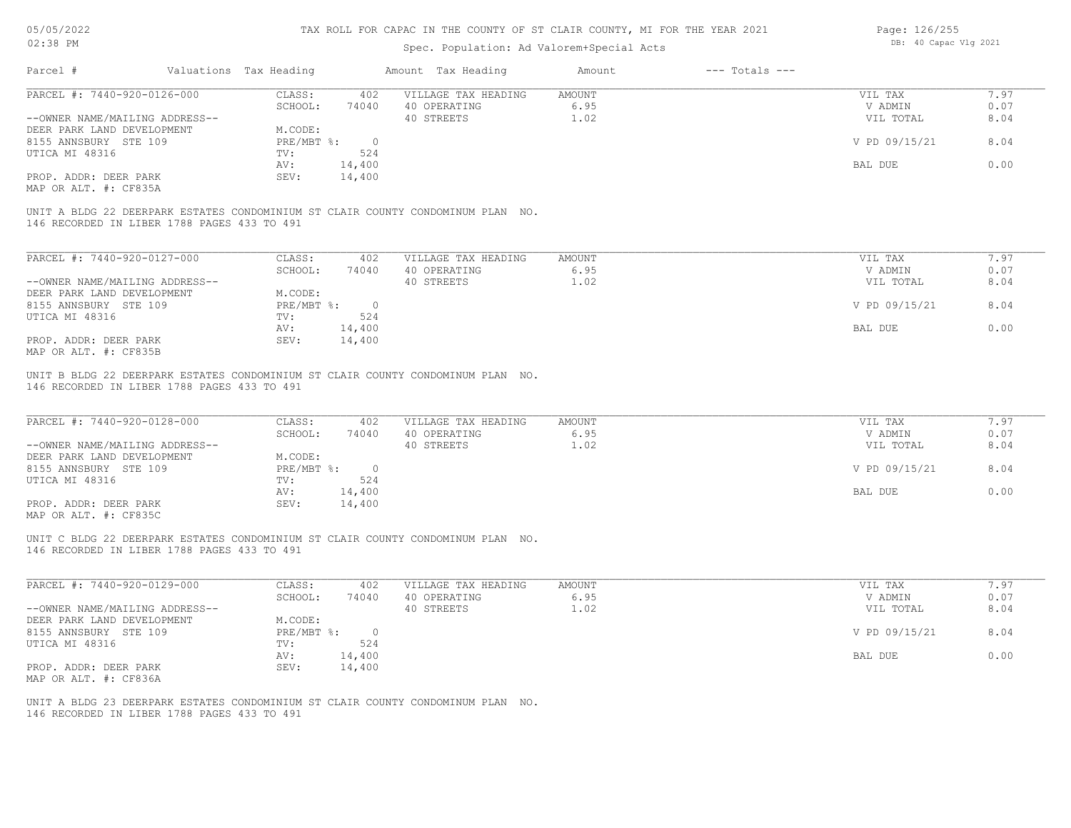### Spec. Population: Ad Valorem+Special Acts

| Page: 126/255 |                       |  |
|---------------|-----------------------|--|
|               | DB: 40 Capac Vlg 2021 |  |

| Parcel #                                    | Valuations Tax Heading |        | Amount Tax Heading                                                              | Amount | $---$ Totals $---$ |               |      |
|---------------------------------------------|------------------------|--------|---------------------------------------------------------------------------------|--------|--------------------|---------------|------|
| PARCEL #: 7440-920-0126-000                 | CLASS:                 | 402    | VILLAGE TAX HEADING                                                             | AMOUNT |                    | VIL TAX       | 7.97 |
|                                             | SCHOOL:                | 74040  | 40 OPERATING                                                                    | 6.95   |                    | V ADMIN       | 0.07 |
| --OWNER NAME/MAILING ADDRESS--              |                        |        | 40 STREETS                                                                      | 1.02   |                    | VIL TOTAL     | 8.04 |
| DEER PARK LAND DEVELOPMENT                  | M.CODE:                |        |                                                                                 |        |                    |               |      |
| 8155 ANNSBURY STE 109                       | PRE/MBT %:             | - 0    |                                                                                 |        |                    | V PD 09/15/21 | 8.04 |
| UTICA MI 48316                              | TV:                    | 524    |                                                                                 |        |                    |               |      |
|                                             | AV:                    | 14,400 |                                                                                 |        |                    | BAL DUE       | 0.00 |
| PROP. ADDR: DEER PARK                       | SEV:                   | 14,400 |                                                                                 |        |                    |               |      |
| MAP OR ALT. #: CF835A                       |                        |        |                                                                                 |        |                    |               |      |
| 146 RECORDED IN LIBER 1788 PAGES 433 TO 491 |                        |        | UNIT A BLDG 22 DEERPARK ESTATES CONDOMINIUM ST CLAIR COUNTY CONDOMINUM PLAN NO. |        |                    |               |      |
| PARCEL #: 7440-920-0127-000                 | CLASS:                 | 402    | VILLAGE TAX HEADING                                                             | AMOUNT |                    | VIL TAX       | 7.97 |
|                                             | SCHOOL:                | 74040  | 40 OPERATING                                                                    | 6.95   |                    | V ADMIN       | 0.07 |
|                                             |                        |        |                                                                                 |        |                    |               |      |

|                                | SCHOOL:    | 74040  | 40 OPERATING | 6.Y5 | V ADMIN       | 0.07 |
|--------------------------------|------------|--------|--------------|------|---------------|------|
| --OWNER NAME/MAILING ADDRESS-- |            |        | 40 STREETS   | 1.02 | VIL TOTAL     | 8.04 |
| DEER PARK LAND DEVELOPMENT     | M.CODE:    |        |              |      |               |      |
| 8155 ANNSBURY STE 109          | PRE/MBT %: |        |              |      | V PD 09/15/21 | 8.04 |
| UTICA MI 48316                 | TV:        | 524    |              |      |               |      |
|                                | AV:        | 14,400 |              |      | BAL DUE       | 0.00 |
| PROP. ADDR: DEER PARK          | SEV:       | 14,400 |              |      |               |      |
| MAP OR ALT. #: CF835B          |            |        |              |      |               |      |

146 RECORDED IN LIBER 1788 PAGES 433 TO 491 UNIT B BLDG 22 DEERPARK ESTATES CONDOMINIUM ST CLAIR COUNTY CONDOMINUM PLAN NO.

| PARCEL #: 7440-920-0128-000                           | CLASS:     | 402    | VILLAGE TAX HEADING | AMOUNT | VIL TAX       | 7.97 |
|-------------------------------------------------------|------------|--------|---------------------|--------|---------------|------|
|                                                       | SCHOOL:    | 74040  | 40 OPERATING        | 6.95   | V ADMIN       | 0.07 |
| --OWNER NAME/MAILING ADDRESS--                        |            |        | 40 STREETS          | 1.02   | VIL TOTAL     | 8.04 |
| DEER PARK LAND DEVELOPMENT                            | M.CODE:    |        |                     |        |               |      |
| 8155 ANNSBURY STE 109                                 | PRE/MBT %: |        |                     |        | V PD 09/15/21 | 8.04 |
| UTICA MI 48316                                        | TV:        | 524    |                     |        |               |      |
|                                                       | AV:        | 14,400 |                     |        | BAL DUE       | 0.00 |
| PROP. ADDR: DEER PARK                                 | SEV:       | 14,400 |                     |        |               |      |
| $\cdots$ $\cdots$ $\cdots$ $\cdots$ $\cdots$ $\cdots$ |            |        |                     |        |               |      |

MAP OR ALT. #: CF835C

146 RECORDED IN LIBER 1788 PAGES 433 TO 491 UNIT C BLDG 22 DEERPARK ESTATES CONDOMINIUM ST CLAIR COUNTY CONDOMINUM PLAN NO.

| PARCEL #: 7440-920-0129-000    | CLASS:     | 402    | VILLAGE TAX HEADING | AMOUNT | VIL TAX       | 7.97 |
|--------------------------------|------------|--------|---------------------|--------|---------------|------|
|                                | SCHOOL:    | 74040  | 40 OPERATING        | 6.95   | V ADMIN       | 0.07 |
| --OWNER NAME/MAILING ADDRESS-- |            |        | 40 STREETS          | 1.02   | VIL TOTAL     | 8.04 |
| DEER PARK LAND DEVELOPMENT     | M.CODE:    |        |                     |        |               |      |
| 8155 ANNSBURY STE 109          | PRE/MBT %: |        |                     |        | V PD 09/15/21 | 8.04 |
| UTICA MI 48316                 | TV:        | 524    |                     |        |               |      |
|                                | AV:        | 14,400 |                     |        | BAL DUE       | 0.00 |
| PROP. ADDR: DEER PARK          | SEV:       | 14,400 |                     |        |               |      |
| MAP OR ALT. #: CF836A          |            |        |                     |        |               |      |

 $\mathcal{L}_\mathcal{L} = \mathcal{L}_\mathcal{L} = \mathcal{L}_\mathcal{L} = \mathcal{L}_\mathcal{L} = \mathcal{L}_\mathcal{L} = \mathcal{L}_\mathcal{L} = \mathcal{L}_\mathcal{L} = \mathcal{L}_\mathcal{L} = \mathcal{L}_\mathcal{L} = \mathcal{L}_\mathcal{L} = \mathcal{L}_\mathcal{L} = \mathcal{L}_\mathcal{L} = \mathcal{L}_\mathcal{L} = \mathcal{L}_\mathcal{L} = \mathcal{L}_\mathcal{L} = \mathcal{L}_\mathcal{L} = \mathcal{L}_\mathcal{L}$ 

146 RECORDED IN LIBER 1788 PAGES 433 TO 491 UNIT A BLDG 23 DEERPARK ESTATES CONDOMINIUM ST CLAIR COUNTY CONDOMINUM PLAN NO.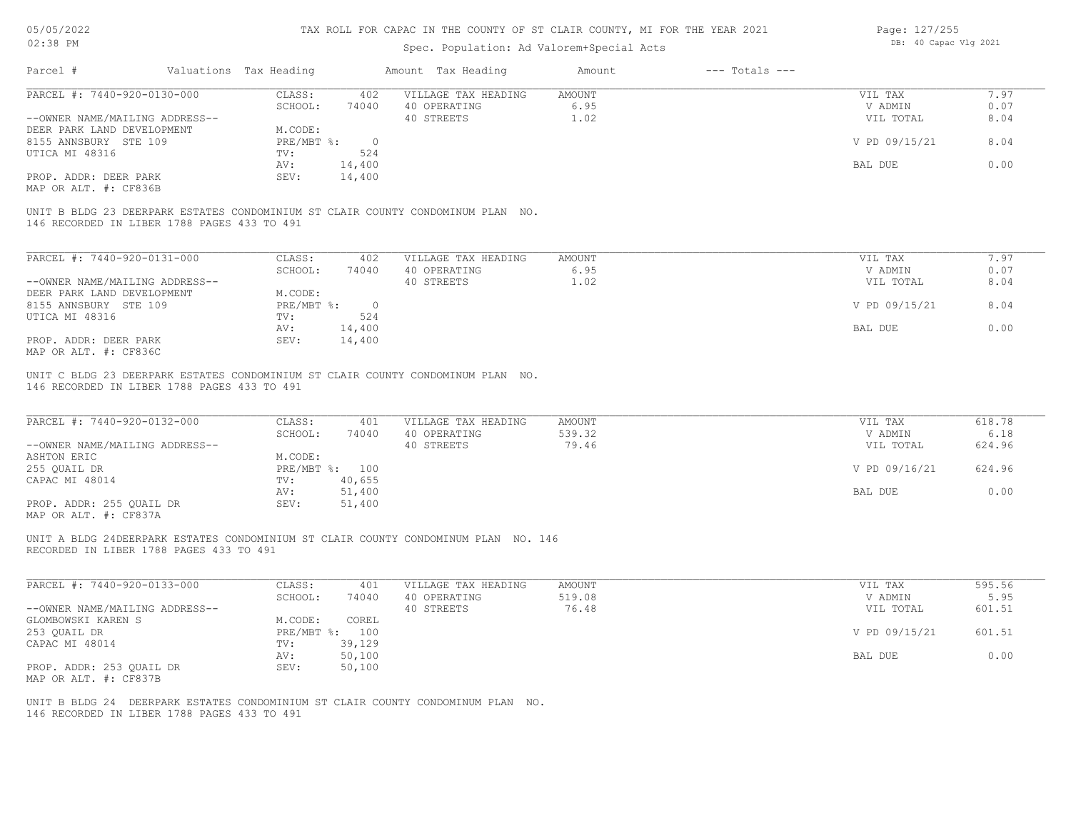### Spec. Population: Ad Valorem+Special Acts

| Page: 127/255 |                       |  |
|---------------|-----------------------|--|
|               | DB: 40 Capac Vlg 2021 |  |

| Parcel #                                    | Valuations Tax Heading |            | Amount Tax Heading                                                              | Amount | $---$ Totals $---$ |               |      |
|---------------------------------------------|------------------------|------------|---------------------------------------------------------------------------------|--------|--------------------|---------------|------|
| PARCEL #: 7440-920-0130-000                 | CLASS:                 | 402        | VILLAGE TAX HEADING                                                             | AMOUNT |                    | VIL TAX       | 7.97 |
|                                             | SCHOOL:                | 74040      | 40 OPERATING                                                                    | 6.95   |                    | V ADMIN       | 0.07 |
| --OWNER NAME/MAILING ADDRESS--              |                        |            | 40 STREETS                                                                      | 1.02   |                    | VIL TOTAL     | 8.04 |
| DEER PARK LAND DEVELOPMENT                  | M.CODE:                |            |                                                                                 |        |                    |               |      |
| 8155 ANNSBURY STE 109                       | PRE/MBT %:             | $\bigcirc$ |                                                                                 |        |                    | V PD 09/15/21 | 8.04 |
| UTICA MI 48316                              | TV:                    | 524        |                                                                                 |        |                    |               |      |
|                                             | AV:                    | 14,400     |                                                                                 |        |                    | BAL DUE       | 0.00 |
| PROP. ADDR: DEER PARK                       | SEV:                   | 14,400     |                                                                                 |        |                    |               |      |
| MAP OR ALT. #: CF836B                       |                        |            |                                                                                 |        |                    |               |      |
| 146 RECORDED IN LIBER 1788 PAGES 433 TO 491 |                        |            | UNIT B BLDG 23 DEERPARK ESTATES CONDOMINIUM ST CLAIR COUNTY CONDOMINUM PLAN NO. |        |                    |               |      |
| PARCEL #: 7440-920-0131-000                 | CLASS:                 | 402        | VILLAGE TAX HEADING                                                             | AMOUNT |                    | VIL TAX       | 7.97 |
|                                             | SCHOOL:                | 74040      | 40 OPERATING                                                                    | 6.95   |                    | V ADMIN       | 0.07 |
| --OWNER NAME/MAILING ADDRESS--              |                        |            | 40 STREETS                                                                      | 1.02   |                    | VIL TOTAL     | 8.04 |
| DEER PARK LAND DEVELOPMENT                  | M.CODE:                |            |                                                                                 |        |                    |               |      |
| 8155 ANNSBURY STE 109                       | $PRE/MBT$ $\div$       |            |                                                                                 |        |                    | V PD 09/15/21 | 8.04 |

MAP OR ALT. #: CF836C PROP. ADDR: DEER PARK SEV: 14,400

146 RECORDED IN LIBER 1788 PAGES 433 TO 491 UNIT C BLDG 23 DEERPARK ESTATES CONDOMINIUM ST CLAIR COUNTY CONDOMINUM PLAN NO.

UTICA MI 48316 TV:  $524$ <br>AV:  $14,400$ 

| PARCEL #: 7440-920-0132-000    | CLASS:  | 401            | VILLAGE TAX HEADING | AMOUNT | VIL TAX       | 618.78 |
|--------------------------------|---------|----------------|---------------------|--------|---------------|--------|
|                                | SCHOOL: | 74040          | 40 OPERATING        | 539.32 | V ADMIN       | 6.18   |
| --OWNER NAME/MAILING ADDRESS-- |         |                | 40 STREETS          | 79.46  | VIL TOTAL     | 624.96 |
| ASHTON ERIC                    | M.CODE: |                |                     |        |               |        |
| 255 QUAIL DR                   |         | PRE/MBT %: 100 |                     |        | V PD 09/16/21 | 624.96 |
| CAPAC MI 48014                 | TV:     | 40,655         |                     |        |               |        |
|                                | AV:     | 51,400         |                     |        | BAL DUE       | 0.00   |
| PROP. ADDR: 255 QUAIL DR       | SEV:    | 51,400         |                     |        |               |        |
|                                |         |                |                     |        |               |        |

AV: 14,400 BAL DUE 0.00

MAP OR ALT. #: CF837A

RECORDED IN LIBER 1788 PAGES 433 TO 491 UNIT A BLDG 24DEERPARK ESTATES CONDOMINIUM ST CLAIR COUNTY CONDOMINUM PLAN NO. 146

| PARCEL #: 7440-920-0133-000    | CLASS:       | 401    | VILLAGE TAX HEADING | AMOUNT | VIL TAX       | 595.56 |
|--------------------------------|--------------|--------|---------------------|--------|---------------|--------|
|                                | SCHOOL:      | 74040  | 40 OPERATING        | 519.08 | V ADMIN       | 5.95   |
| --OWNER NAME/MAILING ADDRESS-- |              |        | 40 STREETS          | 76.48  | VIL TOTAL     | 601.51 |
| GLOMBOWSKI KAREN S             | M.CODE:      | COREL  |                     |        |               |        |
| 253 OUAIL DR                   | $PRE/MBT$ %: | 100    |                     |        | V PD 09/15/21 | 601.51 |
| CAPAC MI 48014                 | TV:          | 39,129 |                     |        |               |        |
|                                | AV:          | 50,100 |                     |        | BAL DUE       | 0.00   |
| PROP. ADDR: 253 OUAIL DR       | SEV:         | 50,100 |                     |        |               |        |
| MAP OR ALT. #: CF837B          |              |        |                     |        |               |        |

 $\mathcal{L}_\mathcal{L} = \mathcal{L}_\mathcal{L} = \mathcal{L}_\mathcal{L} = \mathcal{L}_\mathcal{L} = \mathcal{L}_\mathcal{L} = \mathcal{L}_\mathcal{L} = \mathcal{L}_\mathcal{L} = \mathcal{L}_\mathcal{L} = \mathcal{L}_\mathcal{L} = \mathcal{L}_\mathcal{L} = \mathcal{L}_\mathcal{L} = \mathcal{L}_\mathcal{L} = \mathcal{L}_\mathcal{L} = \mathcal{L}_\mathcal{L} = \mathcal{L}_\mathcal{L} = \mathcal{L}_\mathcal{L} = \mathcal{L}_\mathcal{L}$ 

146 RECORDED IN LIBER 1788 PAGES 433 TO 491 UNIT B BLDG 24 DEERPARK ESTATES CONDOMINIUM ST CLAIR COUNTY CONDOMINUM PLAN NO.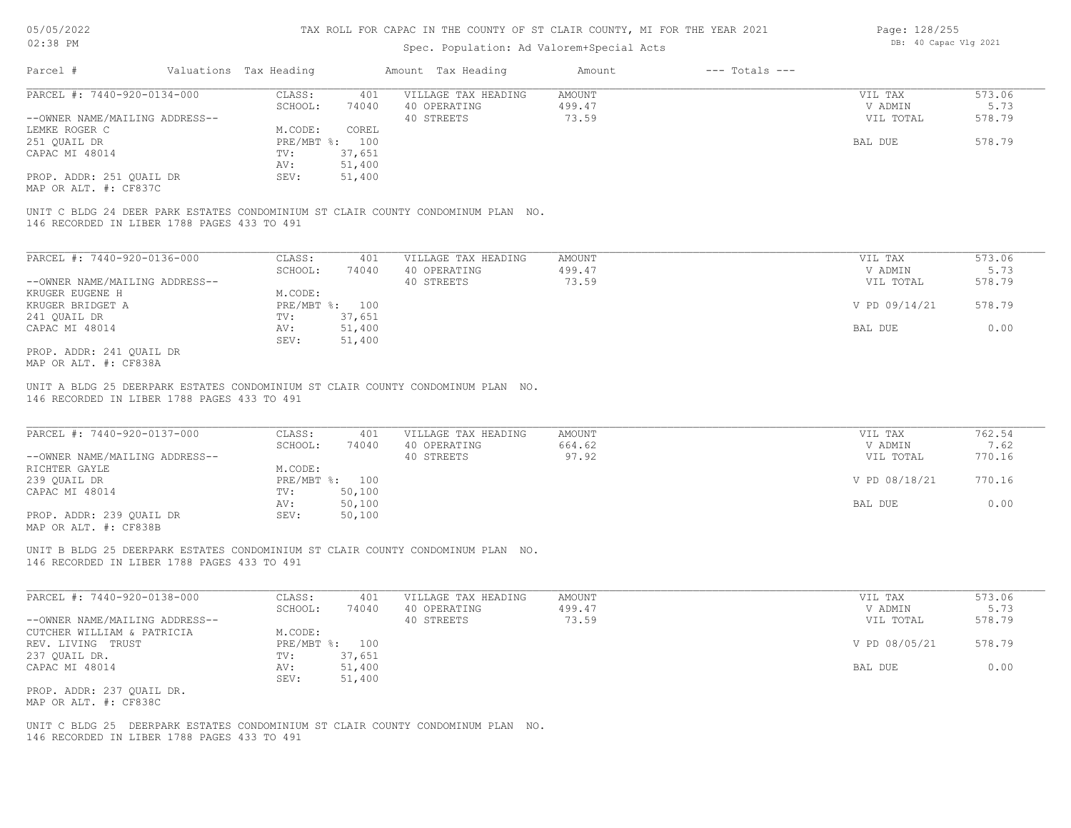### Spec. Population: Ad Valorem+Special Acts

| Page: 128/255 |                       |  |
|---------------|-----------------------|--|
|               | DB: 40 Capac Vlg 2021 |  |

| Parcel #                       | Valuations Tax Heading |                | Amount Tax Heading  | Amount | $---$ Totals $---$ |           |        |
|--------------------------------|------------------------|----------------|---------------------|--------|--------------------|-----------|--------|
| PARCEL #: 7440-920-0134-000    | CLASS:                 | 401            | VILLAGE TAX HEADING | AMOUNT |                    | VIL TAX   | 573.06 |
|                                | SCHOOL:                | 74040          | 40 OPERATING        | 499.47 |                    | V ADMIN   | 5.73   |
| --OWNER NAME/MAILING ADDRESS-- |                        |                | 40 STREETS          | 73.59  |                    | VIL TOTAL | 578.79 |
| LEMKE ROGER C                  | M.CODE:                | COREL          |                     |        |                    |           |        |
| 251 QUAIL DR                   |                        | PRE/MBT %: 100 |                     |        |                    | BAL DUE   | 578.79 |
| CAPAC MI 48014                 | TV:                    | 37,651         |                     |        |                    |           |        |
|                                | AV:                    | 51,400         |                     |        |                    |           |        |
| PROP. ADDR: 251 QUAIL DR       | SEV:                   | 51,400         |                     |        |                    |           |        |
|                                |                        |                |                     |        |                    |           |        |

MAP OR ALT. #: CF837C

146 RECORDED IN LIBER 1788 PAGES 433 TO 491 UNIT C BLDG 24 DEER PARK ESTATES CONDOMINIUM ST CLAIR COUNTY CONDOMINUM PLAN NO.

| PARCEL #: 7440-920-0136-000    | CLASS:           | 401    | VILLAGE TAX HEADING | AMOUNT | VIL TAX       | 573.06 |
|--------------------------------|------------------|--------|---------------------|--------|---------------|--------|
|                                | SCHOOL:          | 74040  | 40 OPERATING        | 499.47 | V ADMIN       | 5.73   |
| --OWNER NAME/MAILING ADDRESS-- |                  |        | 40 STREETS          | 73.59  | VIL TOTAL     | 578.79 |
| KRUGER EUGENE H                | M.CODE:          |        |                     |        |               |        |
| KRUGER BRIDGET A               | $PRE/MBT$ $\div$ | 100    |                     |        | V PD 09/14/21 | 578.79 |
| 241 OUAIL DR                   | TV:              | 37,651 |                     |        |               |        |
| CAPAC MI 48014                 | AV:              | 51,400 |                     |        | BAL DUE       | 0.00   |
|                                | SEV:             | 51,400 |                     |        |               |        |
| PROP. ADDR: 241 OUAIL DR       |                  |        |                     |        |               |        |

MAP OR ALT. #: CF838A

146 RECORDED IN LIBER 1788 PAGES 433 TO 491 UNIT A BLDG 25 DEERPARK ESTATES CONDOMINIUM ST CLAIR COUNTY CONDOMINUM PLAN NO.

| PARCEL #: 7440-920-0137-000                           | CLASS:       | 401    | VILLAGE TAX HEADING | AMOUNT | VIL TAX       | 762.54 |
|-------------------------------------------------------|--------------|--------|---------------------|--------|---------------|--------|
|                                                       | SCHOOL:      | 74040  | 40 OPERATING        | 664.62 | V ADMIN       | 7.62   |
| --OWNER NAME/MAILING ADDRESS--                        |              |        | 40 STREETS          | 97.92  | VIL TOTAL     | 770.16 |
| RICHTER GAYLE                                         | M.CODE:      |        |                     |        |               |        |
| 239 OUAIL DR                                          | $PRE/MBT$ %: | 100    |                     |        | V PD 08/18/21 | 770.16 |
| CAPAC MI 48014                                        | TV:          | 50,100 |                     |        |               |        |
|                                                       | AV:          | 50,100 |                     |        | BAL DUE       | 0.00   |
| PROP. ADDR: 239 OUAIL DR                              | SEV:         | 50,100 |                     |        |               |        |
| $\cdots$ $\cdots$ $\cdots$ $\cdots$ $\cdots$ $\cdots$ |              |        |                     |        |               |        |

 $\mathcal{L}_\mathcal{L} = \mathcal{L}_\mathcal{L} = \mathcal{L}_\mathcal{L} = \mathcal{L}_\mathcal{L} = \mathcal{L}_\mathcal{L} = \mathcal{L}_\mathcal{L} = \mathcal{L}_\mathcal{L} = \mathcal{L}_\mathcal{L} = \mathcal{L}_\mathcal{L} = \mathcal{L}_\mathcal{L} = \mathcal{L}_\mathcal{L} = \mathcal{L}_\mathcal{L} = \mathcal{L}_\mathcal{L} = \mathcal{L}_\mathcal{L} = \mathcal{L}_\mathcal{L} = \mathcal{L}_\mathcal{L} = \mathcal{L}_\mathcal{L}$ 

MAP OR ALT. #: CF838B

146 RECORDED IN LIBER 1788 PAGES 433 TO 491 UNIT B BLDG 25 DEERPARK ESTATES CONDOMINIUM ST CLAIR COUNTY CONDOMINUM PLAN NO.

| PARCEL #: 7440-920-0138-000    | CLASS:  | 401            | VILLAGE TAX HEADING | AMOUNT | VIL TAX       | 573.06 |
|--------------------------------|---------|----------------|---------------------|--------|---------------|--------|
|                                | SCHOOL: | 74040          | 40 OPERATING        | 499.47 | V ADMIN       | 5.73   |
| --OWNER NAME/MAILING ADDRESS-- |         |                | 40 STREETS          | 73.59  | VIL TOTAL     | 578.79 |
| CUTCHER WILLIAM & PATRICIA     | M.CODE: |                |                     |        |               |        |
| REV. LIVING TRUST              |         | PRE/MBT %: 100 |                     |        | V PD 08/05/21 | 578.79 |
| 237 QUAIL DR.                  | TV:     | 37,651         |                     |        |               |        |
| CAPAC MI 48014                 | AV:     | 51,400         |                     |        | BAL DUE       | 0.00   |
|                                | SEV:    | 51,400         |                     |        |               |        |
| PROP. ADDR: 237 QUAIL DR.      |         |                |                     |        |               |        |
| MAP OR ALT. #: CF838C          |         |                |                     |        |               |        |

146 RECORDED IN LIBER 1788 PAGES 433 TO 491 UNIT C BLDG 25 DEERPARK ESTATES CONDOMINIUM ST CLAIR COUNTY CONDOMINUM PLAN NO.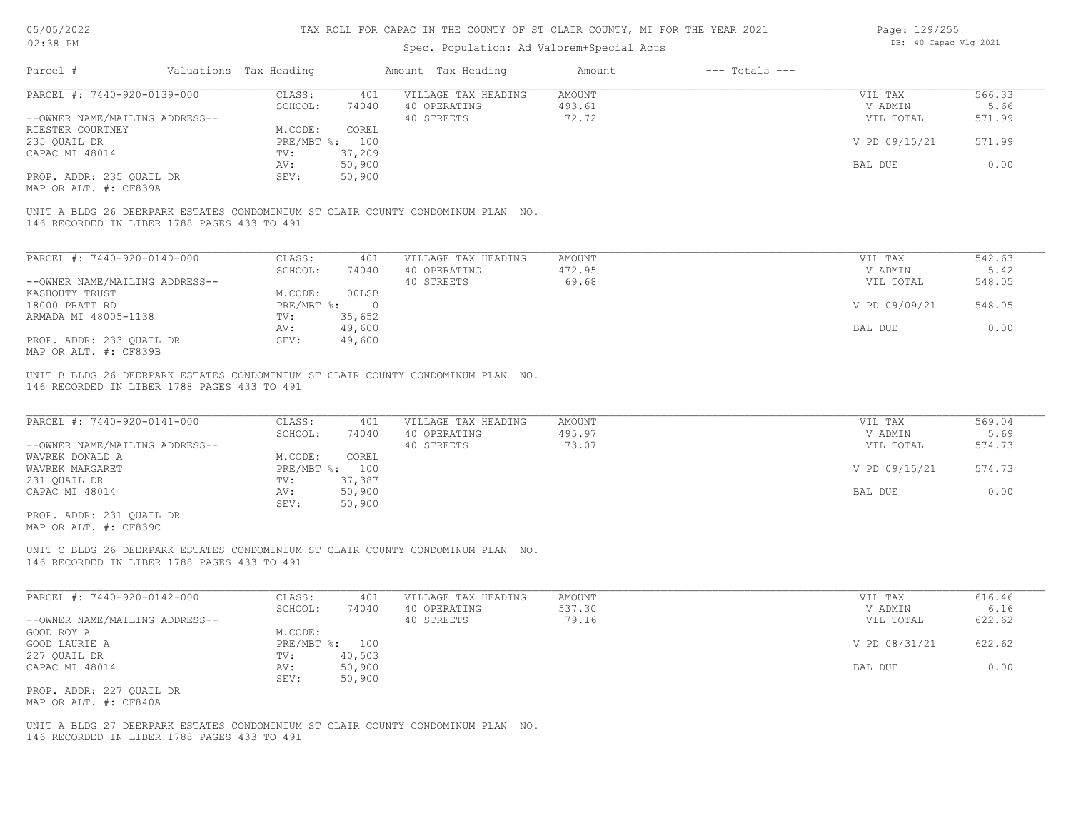### Spec. Population: Ad Valorem+Special Acts

| Page: 129/255 |                       |  |  |  |  |  |
|---------------|-----------------------|--|--|--|--|--|
|               | DB: 40 Capac Vlg 2021 |  |  |  |  |  |

| Parcel #                       | Valuations Tax Heading |        | Amount Tax Heading  | Amount | $---$ Totals $---$ |               |        |
|--------------------------------|------------------------|--------|---------------------|--------|--------------------|---------------|--------|
| PARCEL #: 7440-920-0139-000    | CLASS:                 | 401    | VILLAGE TAX HEADING | AMOUNT |                    | VIL TAX       | 566.33 |
|                                | SCHOOL:                | 74040  | 40 OPERATING        | 493.61 |                    | V ADMIN       | 5.66   |
| --OWNER NAME/MAILING ADDRESS-- |                        |        | 40 STREETS          | 72.72  |                    | VIL TOTAL     | 571.99 |
| RIESTER COURTNEY               | M.CODE:                | COREL  |                     |        |                    |               |        |
| 235 QUAIL DR                   | PRE/MBT %: 100         |        |                     |        |                    | V PD 09/15/21 | 571.99 |
| CAPAC MI 48014                 | TV:                    | 37,209 |                     |        |                    |               |        |
|                                | AV:                    | 50,900 |                     |        |                    | BAL DUE       | 0.00   |
| PROP. ADDR: 235 OUAIL DR       | SEV:                   | 50,900 |                     |        |                    |               |        |
|                                |                        |        |                     |        |                    |               |        |

MAP OR ALT. #: CF839A

146 RECORDED IN LIBER 1788 PAGES 433 TO 491 UNIT A BLDG 26 DEERPARK ESTATES CONDOMINIUM ST CLAIR COUNTY CONDOMINUM PLAN NO.

| PARCEL #: 7440-920-0140-000    | CLASS:     | 401    | VILLAGE TAX HEADING | AMOUNT | VIL TAX       | 542.63 |
|--------------------------------|------------|--------|---------------------|--------|---------------|--------|
|                                | SCHOOL:    | 74040  | 40 OPERATING        | 472.95 | V ADMIN       | 5.42   |
| --OWNER NAME/MAILING ADDRESS-- |            |        | 40 STREETS          | 69.68  | VIL TOTAL     | 548.05 |
| KASHOUTY TRUST                 | M.CODE:    | 00LSB  |                     |        |               |        |
| 18000 PRATT RD                 | PRE/MBT %: |        |                     |        | V PD 09/09/21 | 548.05 |
| ARMADA MI 48005-1138           | TV:        | 35,652 |                     |        |               |        |
|                                | AV:        | 49,600 |                     |        | BAL DUE       | 0.00   |
| PROP. ADDR: 233 OUAIL DR       | SEV:       | 49,600 |                     |        |               |        |
| MAP OR ALT. #: CF839B          |            |        |                     |        |               |        |

146 RECORDED IN LIBER 1788 PAGES 433 TO 491 UNIT B BLDG 26 DEERPARK ESTATES CONDOMINIUM ST CLAIR COUNTY CONDOMINUM PLAN NO.

| PARCEL #: 7440-920-0141-000    | CLASS:  | 401            | VILLAGE TAX HEADING | AMOUNT | VIL TAX       | 569.04 |
|--------------------------------|---------|----------------|---------------------|--------|---------------|--------|
|                                | SCHOOL: | 74040          | 40 OPERATING        | 495.97 | V ADMIN       | 5.69   |
| --OWNER NAME/MAILING ADDRESS-- |         |                | 40 STREETS          | 73.07  | VIL TOTAL     | 574.73 |
| WAVREK DONALD A                | M.CODE: | COREL          |                     |        |               |        |
| WAVREK MARGARET                |         | PRE/MBT %: 100 |                     |        | V PD 09/15/21 | 574.73 |
| 231 QUAIL DR                   | TV:     | 37,387         |                     |        |               |        |
| CAPAC MI 48014                 | AV:     | 50,900         |                     |        | BAL DUE       | 0.00   |
|                                | SEV:    | 50,900         |                     |        |               |        |
| PROP. ADDR: 231 OUAIL DR       |         |                |                     |        |               |        |

MAP OR ALT. #: CF839C

146 RECORDED IN LIBER 1788 PAGES 433 TO 491 UNIT C BLDG 26 DEERPARK ESTATES CONDOMINIUM ST CLAIR COUNTY CONDOMINUM PLAN NO.

| PARCEL #: 7440-920-0142-000    | CLASS:  | 401            | VILLAGE TAX HEADING | AMOUNT | VIL TAX       | 616.46 |
|--------------------------------|---------|----------------|---------------------|--------|---------------|--------|
|                                | SCHOOL: | 74040          | 40 OPERATING        | 537.30 | V ADMIN       | 6.16   |
| --OWNER NAME/MAILING ADDRESS-- |         |                | 40 STREETS          | 79.16  | VIL TOTAL     | 622.62 |
| GOOD ROY A                     | M.CODE: |                |                     |        |               |        |
| GOOD LAURIE A                  |         | PRE/MBT %: 100 |                     |        | V PD 08/31/21 | 622.62 |
| 227 QUAIL DR                   | TV:     | 40,503         |                     |        |               |        |
| CAPAC MI 48014                 | AV:     | 50,900         |                     |        | BAL DUE       | 0.00   |
|                                | SEV:    | 50,900         |                     |        |               |        |
| PROP. ADDR: 227 QUAIL DR       |         |                |                     |        |               |        |
| MAP OR ALT. #: CF840A          |         |                |                     |        |               |        |

146 RECORDED IN LIBER 1788 PAGES 433 TO 491 UNIT A BLDG 27 DEERPARK ESTATES CONDOMINIUM ST CLAIR COUNTY CONDOMINUM PLAN NO.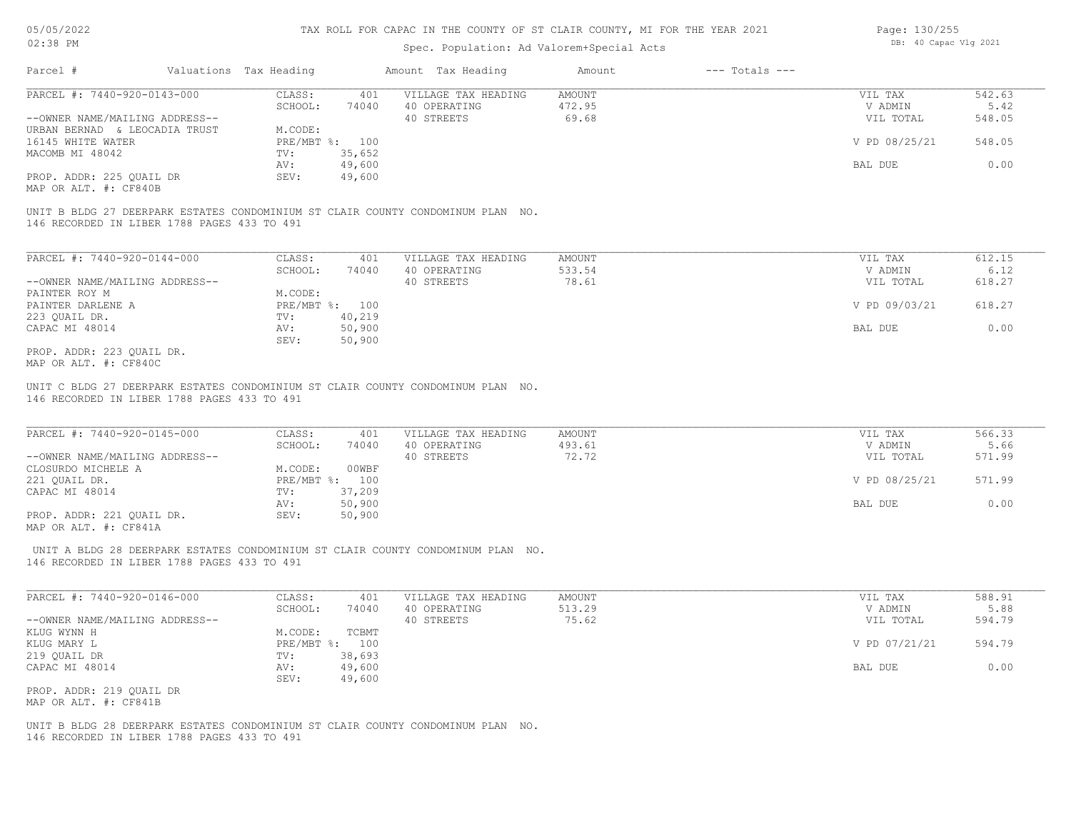### Spec. Population: Ad Valorem+Special Acts

| Page: 130/255 |                       |  |
|---------------|-----------------------|--|
|               | DB: 40 Capac Vlg 2021 |  |

| Parcel #                       | Valuations Tax Heading |        | Amount Tax Heading  | Amount | $---$ Totals $---$ |               |        |
|--------------------------------|------------------------|--------|---------------------|--------|--------------------|---------------|--------|
| PARCEL #: 7440-920-0143-000    | CLASS:                 | 401    | VILLAGE TAX HEADING | AMOUNT |                    | VIL TAX       | 542.63 |
|                                | SCHOOL:                | 74040  | 40 OPERATING        | 472.95 |                    | V ADMIN       | 5.42   |
| --OWNER NAME/MAILING ADDRESS-- |                        |        | 40 STREETS          | 69.68  |                    | VIL TOTAL     | 548.05 |
| URBAN BERNAD & LEOCADIA TRUST  | M.CODE:                |        |                     |        |                    |               |        |
| 16145 WHITE WATER              | PRE/MBT %: 100         |        |                     |        |                    | V PD 08/25/21 | 548.05 |
| MACOMB MI 48042                | TV:                    | 35,652 |                     |        |                    |               |        |
|                                | AV:                    | 49,600 |                     |        |                    | BAL DUE       | 0.00   |
| PROP. ADDR: 225 OUAIL DR       | SEV:                   | 49,600 |                     |        |                    |               |        |
|                                |                        |        |                     |        |                    |               |        |

MAP OR ALT. #: CF840B

146 RECORDED IN LIBER 1788 PAGES 433 TO 491 UNIT B BLDG 27 DEERPARK ESTATES CONDOMINIUM ST CLAIR COUNTY CONDOMINUM PLAN NO.

| PARCEL #: 7440-920-0144-000    | CLASS:           | 401    | VILLAGE TAX HEADING | AMOUNT | VIL TAX       | 612.15 |
|--------------------------------|------------------|--------|---------------------|--------|---------------|--------|
|                                | SCHOOL:          | 74040  | 40 OPERATING        | 533.54 | V ADMIN       | 6.12   |
| --OWNER NAME/MAILING ADDRESS-- |                  |        | 40 STREETS          | 78.61  | VIL TOTAL     | 618.27 |
| PAINTER ROY M                  | M.CODE:          |        |                     |        |               |        |
| PAINTER DARLENE A              | $PRE/MBT$ $\div$ | 100    |                     |        | V PD 09/03/21 | 618.27 |
| 223 OUAIL DR.                  | TV:              | 40,219 |                     |        |               |        |
| CAPAC MI 48014                 | AV:              | 50,900 |                     |        | BAL DUE       | 0.00   |
|                                | SEV:             | 50,900 |                     |        |               |        |
| PROP. ADDR: 223 OUAIL DR.      |                  |        |                     |        |               |        |

MAP OR ALT. #: CF840C

146 RECORDED IN LIBER 1788 PAGES 433 TO 491 UNIT C BLDG 27 DEERPARK ESTATES CONDOMINIUM ST CLAIR COUNTY CONDOMINUM PLAN NO.

| PARCEL #: 7440-920-0145-000    | CLASS:       | 401    | VILLAGE TAX HEADING | AMOUNT | VIL TAX       | 566.33 |  |
|--------------------------------|--------------|--------|---------------------|--------|---------------|--------|--|
|                                | SCHOOL:      | 74040  | 40 OPERATING        | 493.61 | V ADMIN       | 5.66   |  |
| --OWNER NAME/MAILING ADDRESS-- |              |        | 40 STREETS          | 72.72  | VIL TOTAL     | 571.99 |  |
| CLOSURDO MICHELE A             | M.CODE:      | 00WBF  |                     |        |               |        |  |
| 221 OUAIL DR.                  | $PRE/MBT$ %: | 100    |                     |        | V PD 08/25/21 | 571.99 |  |
| CAPAC MI 48014                 | TV:          | 37,209 |                     |        |               |        |  |
|                                | AV:          | 50,900 |                     |        | BAL DUE       | 0.00   |  |
| PROP. ADDR: 221 QUAIL DR.      | SEV:         | 50,900 |                     |        |               |        |  |
|                                |              |        |                     |        |               |        |  |

 $\mathcal{L}_\mathcal{L} = \mathcal{L}_\mathcal{L} = \mathcal{L}_\mathcal{L} = \mathcal{L}_\mathcal{L} = \mathcal{L}_\mathcal{L} = \mathcal{L}_\mathcal{L} = \mathcal{L}_\mathcal{L} = \mathcal{L}_\mathcal{L} = \mathcal{L}_\mathcal{L} = \mathcal{L}_\mathcal{L} = \mathcal{L}_\mathcal{L} = \mathcal{L}_\mathcal{L} = \mathcal{L}_\mathcal{L} = \mathcal{L}_\mathcal{L} = \mathcal{L}_\mathcal{L} = \mathcal{L}_\mathcal{L} = \mathcal{L}_\mathcal{L}$ 

MAP OR ALT. #: CF841A

146 RECORDED IN LIBER 1788 PAGES 433 TO 491 UNIT A BLDG 28 DEERPARK ESTATES CONDOMINIUM ST CLAIR COUNTY CONDOMINUM PLAN NO.

| PARCEL #: 7440-920-0146-000    | CLASS:     | 401    | VILLAGE TAX HEADING | AMOUNT | VIL TAX       | 588.91 |
|--------------------------------|------------|--------|---------------------|--------|---------------|--------|
|                                | SCHOOL:    | 74040  | 40 OPERATING        | 513.29 | V ADMIN       | 5.88   |
| --OWNER NAME/MAILING ADDRESS-- |            |        | 40 STREETS          | 75.62  | VIL TOTAL     | 594.79 |
| KLUG WYNN H                    | M.CODE:    | TCBMT  |                     |        |               |        |
| KLUG MARY L                    | PRE/MBT %: | 100    |                     |        | V PD 07/21/21 | 594.79 |
| 219 QUAIL DR                   | TV:        | 38,693 |                     |        |               |        |
| CAPAC MI 48014                 | AV:        | 49,600 |                     |        | BAL DUE       | 0.00   |
|                                | SEV:       | 49,600 |                     |        |               |        |
| PROP. ADDR: 219 QUAIL DR       |            |        |                     |        |               |        |

MAP OR ALT. #: CF841B

146 RECORDED IN LIBER 1788 PAGES 433 TO 491 UNIT B BLDG 28 DEERPARK ESTATES CONDOMINIUM ST CLAIR COUNTY CONDOMINUM PLAN NO.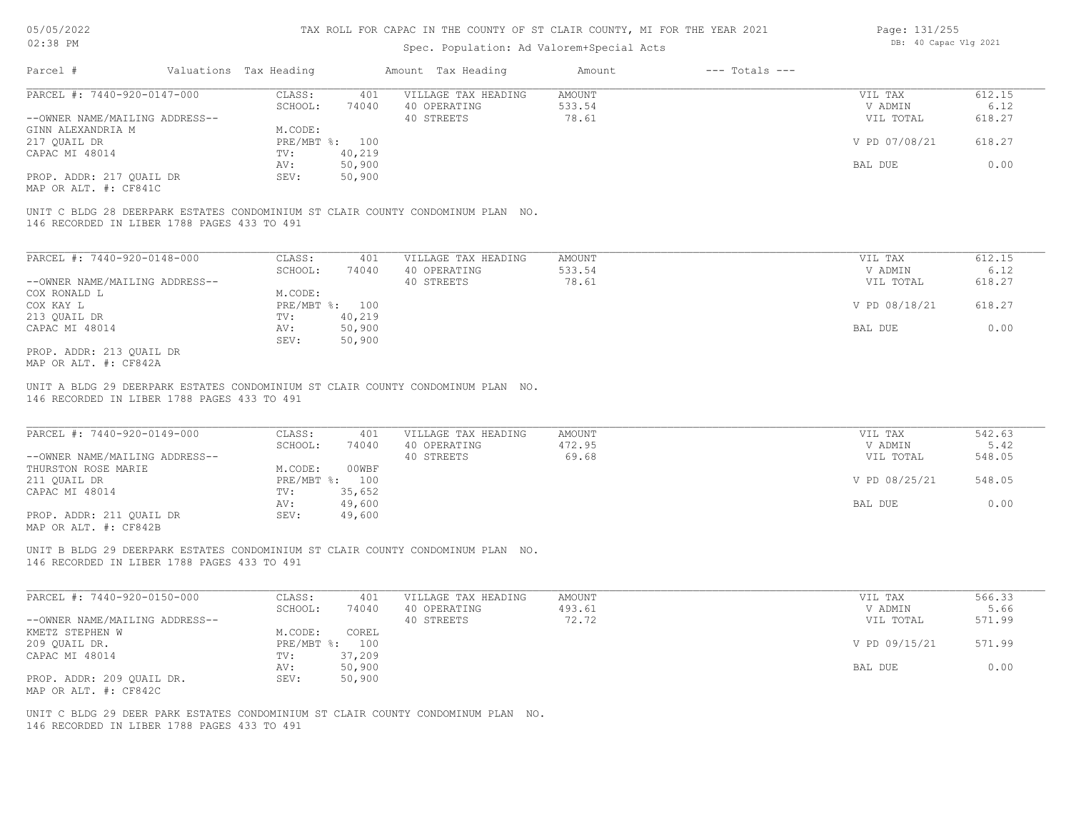#### Spec. Population: Ad Valorem+Special Acts

| Page: 131/255 |                       |  |
|---------------|-----------------------|--|
|               | DB: 40 Capac Vlg 2021 |  |

| Parcel #                       | Valuations Tax Heading |        | Amount Tax Heading  | Amount | $---$ Totals $---$ |               |        |
|--------------------------------|------------------------|--------|---------------------|--------|--------------------|---------------|--------|
| PARCEL #: 7440-920-0147-000    | CLASS:                 | 401    | VILLAGE TAX HEADING | AMOUNT |                    | VIL TAX       | 612.15 |
|                                | SCHOOL:                | 74040  | 40 OPERATING        | 533.54 |                    | V ADMIN       | 6.12   |
| --OWNER NAME/MAILING ADDRESS-- |                        |        | 40 STREETS          | 78.61  |                    | VIL TOTAL     | 618.27 |
| GINN ALEXANDRIA M              | M.CODE:                |        |                     |        |                    |               |        |
| 217 QUAIL DR                   | PRE/MBT %: 100         |        |                     |        |                    | V PD 07/08/21 | 618.27 |
| CAPAC MI 48014                 | TV:                    | 40,219 |                     |        |                    |               |        |
|                                | AV:                    | 50,900 |                     |        |                    | BAL DUE       | 0.00   |
| PROP. ADDR: 217 QUAIL DR       | SEV:                   | 50,900 |                     |        |                    |               |        |
|                                |                        |        |                     |        |                    |               |        |

MAP OR ALT. #: CF841C

146 RECORDED IN LIBER 1788 PAGES 433 TO 491 UNIT C BLDG 28 DEERPARK ESTATES CONDOMINIUM ST CLAIR COUNTY CONDOMINUM PLAN NO.

| PARCEL #: 7440-920-0148-000    | CLASS:       | 401    | VILLAGE TAX HEADING | AMOUNT | VIL TAX       | 612.15 |
|--------------------------------|--------------|--------|---------------------|--------|---------------|--------|
|                                | SCHOOL:      | 74040  | 40 OPERATING        | 533.54 | V ADMIN       | 6.12   |
| --OWNER NAME/MAILING ADDRESS-- |              |        | 40 STREETS          | 78.61  | VIL TOTAL     | 618.27 |
| COX RONALD L                   | M.CODE:      |        |                     |        |               |        |
| COX KAY L                      | $PRE/MBT$ %: | 100    |                     |        | V PD 08/18/21 | 618.27 |
| 213 QUAIL DR                   | TV:          | 40,219 |                     |        |               |        |
| CAPAC MI 48014                 | AV:          | 50,900 |                     |        | BAL DUE       | 0.00   |
|                                | SEV:         | 50,900 |                     |        |               |        |
| PROP. ADDR: 213 OUAIL DR       |              |        |                     |        |               |        |

MAP OR ALT. #: CF842A

146 RECORDED IN LIBER 1788 PAGES 433 TO 491 UNIT A BLDG 29 DEERPARK ESTATES CONDOMINIUM ST CLAIR COUNTY CONDOMINUM PLAN NO.

| PARCEL #: 7440-920-0149-000    | CLASS:       | 401    | VILLAGE TAX HEADING | AMOUNT | VIL TAX       | 542.63 |
|--------------------------------|--------------|--------|---------------------|--------|---------------|--------|
|                                | SCHOOL:      | 74040  | 40 OPERATING        | 472.95 | V ADMIN       | 5.42   |
| --OWNER NAME/MAILING ADDRESS-- |              |        | 40 STREETS          | 69.68  | VIL TOTAL     | 548.05 |
| THURSTON ROSE MARIE            | M.CODE:      | 00WBF  |                     |        |               |        |
| 211 OUAIL DR                   | $PRE/MBT$ %: | 100    |                     |        | V PD 08/25/21 | 548.05 |
| CAPAC MI 48014                 | TV:          | 35,652 |                     |        |               |        |
|                                | AV:          | 49,600 |                     |        | BAL DUE       | 0.00   |
| PROP. ADDR: 211 OUAIL DR       | SEV:         | 49,600 |                     |        |               |        |
|                                |              |        |                     |        |               |        |

 $\mathcal{L}_\mathcal{L} = \mathcal{L}_\mathcal{L} = \mathcal{L}_\mathcal{L} = \mathcal{L}_\mathcal{L} = \mathcal{L}_\mathcal{L} = \mathcal{L}_\mathcal{L} = \mathcal{L}_\mathcal{L} = \mathcal{L}_\mathcal{L} = \mathcal{L}_\mathcal{L} = \mathcal{L}_\mathcal{L} = \mathcal{L}_\mathcal{L} = \mathcal{L}_\mathcal{L} = \mathcal{L}_\mathcal{L} = \mathcal{L}_\mathcal{L} = \mathcal{L}_\mathcal{L} = \mathcal{L}_\mathcal{L} = \mathcal{L}_\mathcal{L}$ 

MAP OR ALT. #: CF842B

146 RECORDED IN LIBER 1788 PAGES 433 TO 491 UNIT B BLDG 29 DEERPARK ESTATES CONDOMINIUM ST CLAIR COUNTY CONDOMINUM PLAN NO.

| PARCEL #: 7440-920-0150-000    | CLASS:  | 401            | VILLAGE TAX HEADING | AMOUNT | VIL TAX       | 566.33 |
|--------------------------------|---------|----------------|---------------------|--------|---------------|--------|
|                                | SCHOOL: | 74040          | 40 OPERATING        | 493.61 | V ADMIN       | 5.66   |
| --OWNER NAME/MAILING ADDRESS-- |         |                | 40 STREETS          | 72.72  | VIL TOTAL     | 571.99 |
| KMETZ STEPHEN W                | M.CODE: | COREL          |                     |        |               |        |
| 209 QUAIL DR.                  |         | PRE/MBT %: 100 |                     |        | V PD 09/15/21 | 571.99 |
| CAPAC MI 48014                 | TV:     | 37,209         |                     |        |               |        |
|                                | AV:     | 50,900         |                     |        | BAL DUE       | 0.00   |
| PROP. ADDR: 209 QUAIL DR.      | SEV:    | 50,900         |                     |        |               |        |
| MAP OR ALT. #: CF842C          |         |                |                     |        |               |        |

146 RECORDED IN LIBER 1788 PAGES 433 TO 491 UNIT C BLDG 29 DEER PARK ESTATES CONDOMINIUM ST CLAIR COUNTY CONDOMINUM PLAN NO.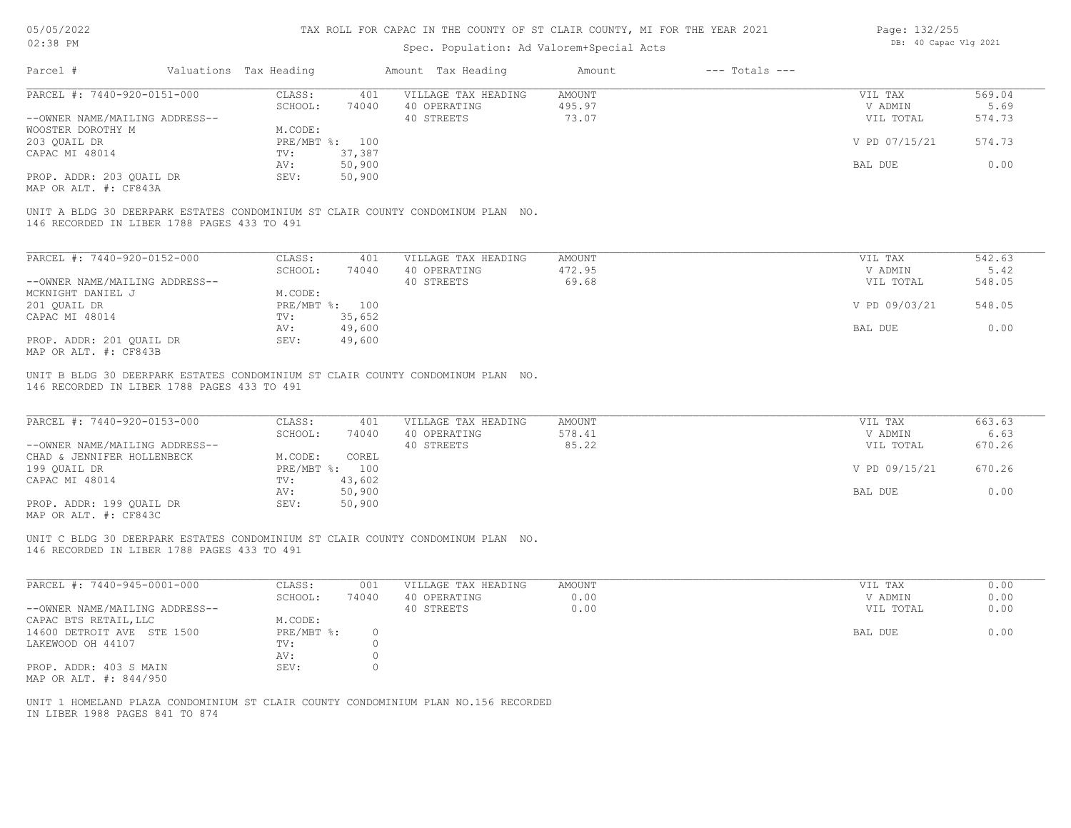| 05/05/2022 |  |
|------------|--|
|            |  |

#### Spec. Population: Ad Valorem+Special Acts

| Page: 132/255 |                       |  |
|---------------|-----------------------|--|
|               | DB: 40 Capac Vlg 2021 |  |

| Parcel #                                    | Valuations Tax Heading |                | Amount Tax Heading                                                              | Amount | $---$ Totals $---$ |               |        |
|---------------------------------------------|------------------------|----------------|---------------------------------------------------------------------------------|--------|--------------------|---------------|--------|
| PARCEL #: 7440-920-0151-000                 | CLASS:                 | 401            | VILLAGE TAX HEADING                                                             | AMOUNT |                    | VIL TAX       | 569.04 |
|                                             | SCHOOL:                | 74040          | 40 OPERATING                                                                    | 495.97 |                    | V ADMIN       | 5.69   |
| --OWNER NAME/MAILING ADDRESS--              |                        |                | 40 STREETS                                                                      | 73.07  |                    | VIL TOTAL     | 574.73 |
| WOOSTER DOROTHY M                           | M.CODE:                |                |                                                                                 |        |                    |               |        |
| 203 QUAIL DR                                |                        | PRE/MBT %: 100 |                                                                                 |        |                    | V PD 07/15/21 | 574.73 |
| CAPAC MI 48014                              | TV:                    | 37,387         |                                                                                 |        |                    |               |        |
|                                             | AV:                    | 50,900         |                                                                                 |        |                    | BAL DUE       | 0.00   |
| PROP. ADDR: 203 OUAIL DR                    | SEV:                   | 50,900         |                                                                                 |        |                    |               |        |
| MAP OR ALT. #: CF843A                       |                        |                |                                                                                 |        |                    |               |        |
| 146 RECORDED IN LIBER 1788 PAGES 433 TO 491 |                        |                | UNIT A BLDG 30 DEERPARK ESTATES CONDOMINIUM ST CLAIR COUNTY CONDOMINUM PLAN NO. |        |                    |               |        |
| PARCEL #: 7440-920-0152-000                 | CLASS:                 | 401            | VILLAGE TAX HEADING                                                             | AMOUNT |                    | VIL TAX       | 542.63 |

| PARCEL #: 7440-920-0152-000    | CLASS:       | 401    | VILLAGE TAX HEADING | AMOUNT | VIL TAX       | 542.63 |
|--------------------------------|--------------|--------|---------------------|--------|---------------|--------|
|                                | SCHOOL:      | 74040  | 40 OPERATING        | 472.95 | V ADMIN       | 5.42   |
| --OWNER NAME/MAILING ADDRESS-- |              |        | 40 STREETS          | 69.68  | VIL TOTAL     | 548.05 |
| MCKNIGHT DANIEL J              | M.CODE:      |        |                     |        |               |        |
| 201 QUAIL DR                   | $PRE/MBT$ %: | 100    |                     |        | V PD 09/03/21 | 548.05 |
| CAPAC MI 48014                 | TV:          | 35,652 |                     |        |               |        |
|                                | AV:          | 49,600 |                     |        | BAL DUE       | 0.00   |
| PROP. ADDR: 201 OUAIL DR       | SEV:         | 49,600 |                     |        |               |        |
| MAP OR ALT. #: CF843B          |              |        |                     |        |               |        |

146 RECORDED IN LIBER 1788 PAGES 433 TO 491 UNIT B BLDG 30 DEERPARK ESTATES CONDOMINIUM ST CLAIR COUNTY CONDOMINUM PLAN NO.

| PARCEL #: 7440-920-0153-000    | CLASS:  | 401            | VILLAGE TAX HEADING | AMOUNT | VIL TAX       | 663.63 |
|--------------------------------|---------|----------------|---------------------|--------|---------------|--------|
|                                | SCHOOL: | 74040          | 40 OPERATING        | 578.41 | V ADMIN       | 6.63   |
| --OWNER NAME/MAILING ADDRESS-- |         |                | 40 STREETS          | 85.22  | VIL TOTAL     | 670.26 |
| CHAD & JENNIFER HOLLENBECK     | M.CODE: | COREL          |                     |        |               |        |
| 199 QUAIL DR                   |         | PRE/MBT %: 100 |                     |        | V PD 09/15/21 | 670.26 |
| CAPAC MI 48014                 | TV:     | 43,602         |                     |        |               |        |
|                                | AV:     | 50,900         |                     |        | BAL DUE       | 0.00   |
| PROP. ADDR: 199 QUAIL DR       | SEV:    | 50,900         |                     |        |               |        |
|                                |         |                |                     |        |               |        |

MAP OR ALT. #: CF843C

146 RECORDED IN LIBER 1788 PAGES 433 TO 491 UNIT C BLDG 30 DEERPARK ESTATES CONDOMINIUM ST CLAIR COUNTY CONDOMINUM PLAN NO.

| PARCEL #: 7440-945-0001-000    | CLASS:     | 001   | VILLAGE TAX HEADING | AMOUNT | VIL TAX   | 0.00 |
|--------------------------------|------------|-------|---------------------|--------|-----------|------|
|                                | SCHOOL:    | 74040 | 40 OPERATING        | 0.00   | V ADMIN   | 0.00 |
| --OWNER NAME/MAILING ADDRESS-- |            |       | 40 STREETS          | 0.00   | VIL TOTAL | 0.00 |
| CAPAC BTS RETAIL, LLC          | M.CODE:    |       |                     |        |           |      |
| 14600 DETROIT AVE STE 1500     | PRE/MBT %: |       |                     |        | BAL DUE   | 0.00 |
| LAKEWOOD OH 44107              | TV:        |       |                     |        |           |      |
|                                | AV:        |       |                     |        |           |      |
| PROP. ADDR: 403 S MAIN         | SEV:       |       |                     |        |           |      |
| MAP OR ALT. #: 844/950         |            |       |                     |        |           |      |

IN LIBER 1988 PAGES 841 TO 874 UNIT 1 HOMELAND PLAZA CONDOMINIUM ST CLAIR COUNTY CONDOMINIUM PLAN NO.156 RECORDED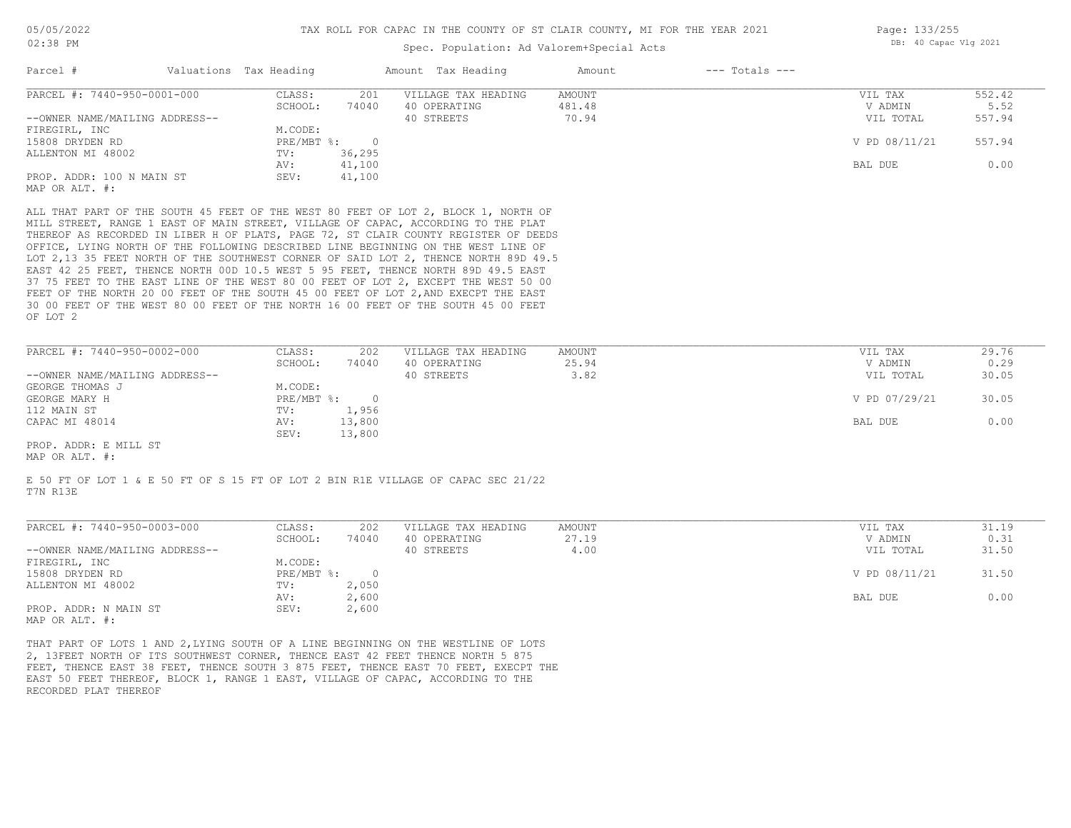### Spec. Population: Ad Valorem+Special Acts

| Page: 133/255 |                       |  |
|---------------|-----------------------|--|
|               | DB: 40 Capac Vlg 2021 |  |

| Parcel #                                                                                                                                                                                                                                                                                                                                                                                                                                                                                                                                                                                                                          | Valuations Tax Heading |                | Amount Tax Heading  | Amount | $---$ Totals $---$ |               |                                     |
|-----------------------------------------------------------------------------------------------------------------------------------------------------------------------------------------------------------------------------------------------------------------------------------------------------------------------------------------------------------------------------------------------------------------------------------------------------------------------------------------------------------------------------------------------------------------------------------------------------------------------------------|------------------------|----------------|---------------------|--------|--------------------|---------------|-------------------------------------|
| PARCEL #: 7440-950-0001-000                                                                                                                                                                                                                                                                                                                                                                                                                                                                                                                                                                                                       | CLASS:                 | 201            | VILLAGE TAX HEADING | AMOUNT |                    | VIL TAX       | 552.42                              |
|                                                                                                                                                                                                                                                                                                                                                                                                                                                                                                                                                                                                                                   | SCHOOL:                | 74040          | 40 OPERATING        | 481.48 |                    | V ADMIN       | 5.52                                |
| --OWNER NAME/MAILING ADDRESS--                                                                                                                                                                                                                                                                                                                                                                                                                                                                                                                                                                                                    |                        |                | 40 STREETS          | 70.94  |                    | VIL TOTAL     | 557.94                              |
| FIREGIRL, INC                                                                                                                                                                                                                                                                                                                                                                                                                                                                                                                                                                                                                     | M.CODE:                |                |                     |        |                    |               |                                     |
| 15808 DRYDEN RD                                                                                                                                                                                                                                                                                                                                                                                                                                                                                                                                                                                                                   | $PRE/MBT$ %:           | $\overline{0}$ |                     |        |                    | V PD 08/11/21 | 557.94                              |
| ALLENTON MI 48002                                                                                                                                                                                                                                                                                                                                                                                                                                                                                                                                                                                                                 | TV:                    | 36,295         |                     |        |                    |               |                                     |
|                                                                                                                                                                                                                                                                                                                                                                                                                                                                                                                                                                                                                                   | AV:                    | 41,100         |                     |        |                    | BAL DUE       | 0.00                                |
| PROP. ADDR: 100 N MAIN ST                                                                                                                                                                                                                                                                                                                                                                                                                                                                                                                                                                                                         | SEV:                   | 41,100         |                     |        |                    |               |                                     |
| MAP OR ALT. #:                                                                                                                                                                                                                                                                                                                                                                                                                                                                                                                                                                                                                    |                        |                |                     |        |                    |               |                                     |
| THEREOF AS RECORDED IN LIBER H OF PLATS, PAGE 72, ST CLAIR COUNTY REGISTER OF DEEDS<br>OFFICE, LYING NORTH OF THE FOLLOWING DESCRIBED LINE BEGINNING ON THE WEST LINE OF<br>LOT 2,13 35 FEET NORTH OF THE SOUTHWEST CORNER OF SAID LOT 2, THENCE NORTH 89D 49.5<br>EAST 42 25 FEET, THENCE NORTH 00D 10.5 WEST 5 95 FEET, THENCE NORTH 89D 49.5 EAST<br>37 75 FEET TO THE EAST LINE OF THE WEST 80 00 FEET OF LOT 2, EXCEPT THE WEST 50 00<br>FEET OF THE NORTH 20 00 FEET OF THE SOUTH 45 00 FEET OF LOT 2, AND EXECPT THE EAST<br>30 00 FEET OF THE WEST 80 00 FEET OF THE NORTH 16 00 FEET OF THE SOUTH 45 00 FEET<br>OF LOT 2 |                        |                |                     |        |                    |               |                                     |
| PARCEL #: 7440-950-0002-000                                                                                                                                                                                                                                                                                                                                                                                                                                                                                                                                                                                                       | CLASS:                 | 202            | VILLAGE TAX HEADING | AMOUNT |                    | VIL TAX       | 29.76                               |
|                                                                                                                                                                                                                                                                                                                                                                                                                                                                                                                                                                                                                                   | SCHOOL:                | 74040          | 40 OPERATING        | 25.94  |                    | V ADMIN       | 0.29                                |
| --OWNER NAME/MAILING ADDRESS--                                                                                                                                                                                                                                                                                                                                                                                                                                                                                                                                                                                                    |                        |                | 40 STREETS          | 3.82   |                    | VIL TOTAL     | 30.05                               |
| GEORGE THOMAS J                                                                                                                                                                                                                                                                                                                                                                                                                                                                                                                                                                                                                   | M.CODE:                |                |                     |        |                    |               |                                     |
|                                                                                                                                                                                                                                                                                                                                                                                                                                                                                                                                                                                                                                   |                        |                |                     |        |                    |               | the contract of the contract of the |

PROP. ADDR: E MILL ST SEV: 13,800 CAPAC MI 48014 AV: 13,800 BAL DUE 0.00 112 MAIN ST TV: 1,956 GEORGE MARY H PRE/MBT %: 0 V PD 07/29/21 30.05

MAP OR ALT. #:

T7N R13E E 50 FT OF LOT 1 & E 50 FT OF S 15 FT OF LOT 2 BIN R1E VILLAGE OF CAPAC SEC 21/22

| PARCEL #: 7440-950-0003-000    | CLASS:     | 202    | VILLAGE TAX HEADING | AMOUNT | VIL TAX       | 31.19 |
|--------------------------------|------------|--------|---------------------|--------|---------------|-------|
|                                | SCHOOL:    | 74040  | 40 OPERATING        | 27.19  | V ADMIN       | 0.31  |
| --OWNER NAME/MAILING ADDRESS-- |            |        | 40 STREETS          | 4.00   | VIL TOTAL     | 31.50 |
| FIREGIRL, INC                  | M.CODE:    |        |                     |        |               |       |
| 15808 DRYDEN RD                | PRE/MBT %: | $\cap$ |                     |        | V PD 08/11/21 | 31.50 |
| ALLENTON MI 48002              | TV:        | 2,050  |                     |        |               |       |
|                                | AV:        | 2,600  |                     |        | BAL DUE       | 0.00  |
| PROP. ADDR: N MAIN ST          | SEV:       | 2,600  |                     |        |               |       |
| MAP OR ALT. #:                 |            |        |                     |        |               |       |

RECORDED PLAT THEREOF EAST 50 FEET THEREOF, BLOCK 1, RANGE 1 EAST, VILLAGE OF CAPAC, ACCORDING TO THE FEET, THENCE EAST 38 FEET, THENCE SOUTH 3 875 FEET, THENCE EAST 70 FEET, EXECPT THE 2, 13FEET NORTH OF ITS SOUTHWEST CORNER, THENCE EAST 42 FEET THENCE NORTH 5 875 THAT PART OF LOTS 1 AND 2,LYING SOUTH OF A LINE BEGINNING ON THE WESTLINE OF LOTS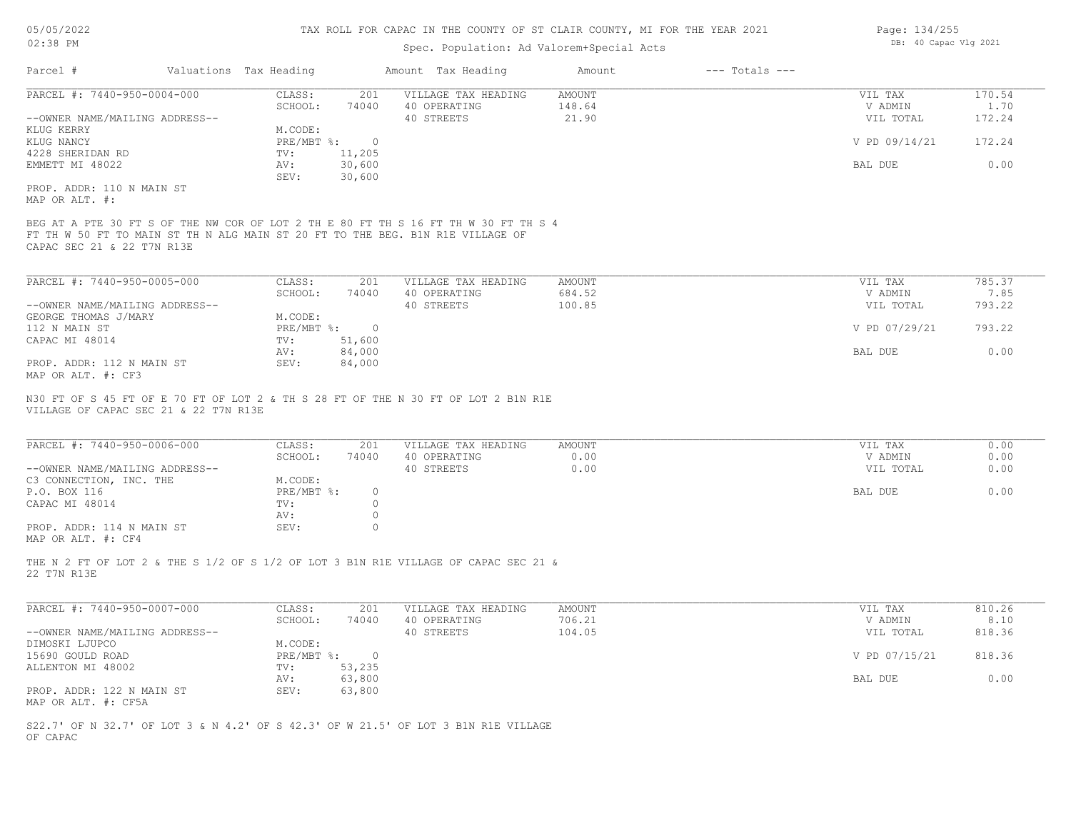# Spec. Population: Ad Valorem+Special Acts

| Page: 134/255 |                       |  |
|---------------|-----------------------|--|
|               | DB: 40 Capac Vlg 2021 |  |

|                                                 | Valuations Tax Heading      |                  | Amount Tax Heading                                                                  | Amount                  | $---$ Totals $---$ |                      |                |
|-------------------------------------------------|-----------------------------|------------------|-------------------------------------------------------------------------------------|-------------------------|--------------------|----------------------|----------------|
| PARCEL #: 7440-950-0004-000                     | CLASS:                      | 201              | VILLAGE TAX HEADING                                                                 | <b>AMOUNT</b>           |                    | VIL TAX              | 170.54         |
|                                                 | SCHOOL:                     | 74040            | 40 OPERATING                                                                        | 148.64                  |                    | V ADMIN              | 1.70           |
| --OWNER NAME/MAILING ADDRESS--                  |                             |                  | 40 STREETS                                                                          | 21.90                   |                    | VIL TOTAL            | 172.24         |
| KLUG KERRY<br>KLUG NANCY                        | M.CODE:<br>$PRE/MBT$ $\div$ | $\overline{0}$   |                                                                                     |                         |                    | V PD 09/14/21        | 172.24         |
| 4228 SHERIDAN RD                                | TV:                         | 11,205           |                                                                                     |                         |                    |                      |                |
| EMMETT MI 48022                                 | AV:                         | 30,600           |                                                                                     |                         |                    | BAL DUE              | 0.00           |
|                                                 | SEV:                        | 30,600           |                                                                                     |                         |                    |                      |                |
| PROP. ADDR: 110 N MAIN ST                       |                             |                  |                                                                                     |                         |                    |                      |                |
| MAP OR ALT. #:                                  |                             |                  |                                                                                     |                         |                    |                      |                |
|                                                 |                             |                  | BEG AT A PTE 30 FT S OF THE NW COR OF LOT 2 TH E 80 FT TH S 16 FT TH W 30 FT TH S 4 |                         |                    |                      |                |
|                                                 |                             |                  | FT TH W 50 FT TO MAIN ST TH N ALG MAIN ST 20 FT TO THE BEG. B1N R1E VILLAGE OF      |                         |                    |                      |                |
| CAPAC SEC 21 & 22 T7N R13E                      |                             |                  |                                                                                     |                         |                    |                      |                |
|                                                 |                             |                  |                                                                                     |                         |                    |                      |                |
| PARCEL #: 7440-950-0005-000                     | CLASS:                      | 201              | VILLAGE TAX HEADING                                                                 | AMOUNT                  |                    | VIL TAX              | 785.37         |
|                                                 | SCHOOL:                     | 74040            | 40 OPERATING                                                                        | 684.52                  |                    | V ADMIN              | 7.85           |
| --OWNER NAME/MAILING ADDRESS--                  |                             |                  | 40 STREETS                                                                          | 100.85                  |                    | VIL TOTAL            | 793.22         |
| GEORGE THOMAS J/MARY                            | M.CODE:                     |                  |                                                                                     |                         |                    |                      |                |
| 112 N MAIN ST                                   | $PRE/MBT$ $\frac{6}{3}$ :   | $\overline{0}$   |                                                                                     |                         |                    | V PD 07/29/21        | 793.22         |
| CAPAC MI 48014                                  | TV:                         | 51,600           |                                                                                     |                         |                    |                      |                |
|                                                 | AV:<br>SEV:                 | 84,000<br>84,000 |                                                                                     |                         |                    | BAL DUE              | 0.00           |
| PROP. ADDR: 112 N MAIN ST<br>MAP OR ALT. #: CF3 |                             |                  |                                                                                     |                         |                    |                      |                |
|                                                 |                             |                  |                                                                                     |                         |                    |                      |                |
|                                                 |                             |                  | N30 FT OF S 45 FT OF E 70 FT OF LOT 2 & TH S 28 FT OF THE N 30 FT OF LOT 2 B1N R1E  |                         |                    |                      |                |
|                                                 |                             |                  |                                                                                     |                         |                    |                      |                |
| VILLAGE OF CAPAC SEC 21 & 22 T7N R13E           |                             |                  |                                                                                     |                         |                    |                      |                |
|                                                 |                             |                  |                                                                                     |                         |                    |                      |                |
|                                                 |                             |                  |                                                                                     |                         |                    |                      |                |
| PARCEL #: 7440-950-0006-000                     | CLASS:<br>SCHOOL:           | 201<br>74040     | VILLAGE TAX HEADING<br>40 OPERATING                                                 | <b>AMOUNT</b><br>0.00   |                    | VIL TAX<br>V ADMIN   | 0.00<br>0.00   |
| --OWNER NAME/MAILING ADDRESS--                  |                             |                  | 40 STREETS                                                                          | 0.00                    |                    | VIL TOTAL            | 0.00           |
| C3 CONNECTION, INC. THE                         | M.CODE:                     |                  |                                                                                     |                         |                    |                      |                |
| P.O. BOX 116                                    | PRE/MBT %:                  | $\circ$          |                                                                                     |                         |                    | BAL DUE              | 0.00           |
| CAPAC MI 48014                                  | TV:                         | $\circ$          |                                                                                     |                         |                    |                      |                |
|                                                 | AV:                         | $\circ$          |                                                                                     |                         |                    |                      |                |
| PROP. ADDR: 114 N MAIN ST                       | SEV:                        | $\circ$          |                                                                                     |                         |                    |                      |                |
| MAP OR ALT. #: CF4                              |                             |                  |                                                                                     |                         |                    |                      |                |
|                                                 |                             |                  | THE N 2 FT OF LOT 2 & THE S 1/2 OF S 1/2 OF LOT 3 B1N R1E VILLAGE OF CAPAC SEC 21 & |                         |                    |                      |                |
| 22 T7N R13E                                     |                             |                  |                                                                                     |                         |                    |                      |                |
|                                                 |                             |                  |                                                                                     |                         |                    |                      |                |
|                                                 |                             |                  |                                                                                     |                         |                    |                      |                |
| PARCEL #: 7440-950-0007-000                     | CLASS:                      | 201              | VILLAGE TAX HEADING                                                                 | <b>AMOUNT</b><br>706.21 |                    | VIL TAX              | 810.26<br>8.10 |
| --OWNER NAME/MAILING ADDRESS--                  | SCHOOL:                     | 74040            | 40 OPERATING<br>40 STREETS                                                          | 104.05                  |                    | V ADMIN<br>VIL TOTAL | 818.36         |
| DIMOSKI LJUPCO                                  | M.CODE:                     |                  |                                                                                     |                         |                    |                      |                |
| 15690 GOULD ROAD                                | $PRE/MBT$ $\frac{1}{6}$ :   | $\overline{0}$   |                                                                                     |                         |                    | V PD 07/15/21        | 818.36         |
| ALLENTON MI 48002                               | TV:                         | 53,235           |                                                                                     |                         |                    |                      |                |
|                                                 | AV:                         | 63,800           |                                                                                     |                         |                    | BAL DUE              | 0.00           |
| PROP. ADDR: 122 N MAIN ST                       | SEV:                        | 63,800           |                                                                                     |                         |                    |                      |                |
| MAP OR ALT. #: CF5A                             |                             |                  |                                                                                     |                         |                    |                      |                |
|                                                 |                             |                  | S22.7' OF N 32.7' OF LOT 3 & N 4.2' OF S 42.3' OF W 21.5' OF LOT 3 B1N R1E VILLAGE  |                         |                    |                      |                |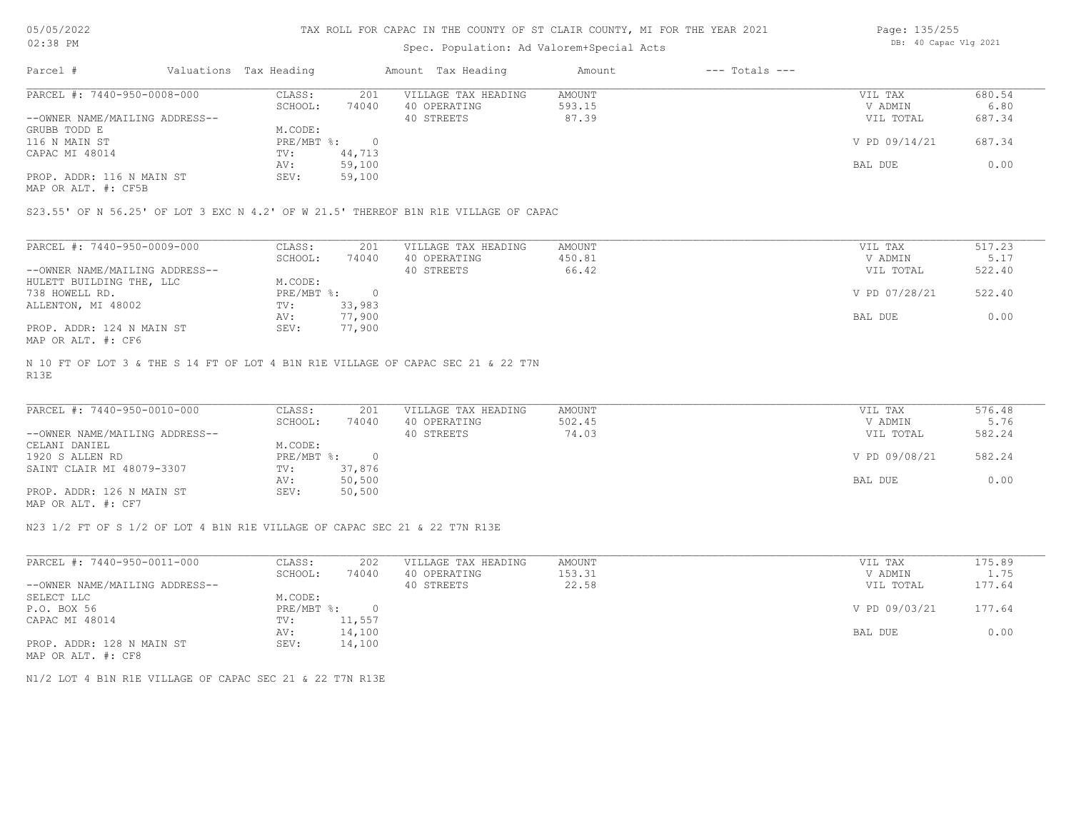#### TAX ROLL FOR CAPAC IN THE COUNTY OF ST CLAIR COUNTY, MI FOR THE YEAR 2021

## Spec. Population: Ad Valorem+Special Acts

| Page: 135/255 |                       |  |
|---------------|-----------------------|--|
|               | DB: 40 Capac Vlg 2021 |  |

| Parcel #                       | Valuations Tax Heading |        | Amount Tax Heading  | Amount | $---$ Totals $---$ |               |        |
|--------------------------------|------------------------|--------|---------------------|--------|--------------------|---------------|--------|
| PARCEL #: 7440-950-0008-000    | CLASS:                 | 201    | VILLAGE TAX HEADING | AMOUNT |                    | VIL TAX       | 680.54 |
|                                | SCHOOL:                | 74040  | 40 OPERATING        | 593.15 |                    | V ADMIN       | 6.80   |
| --OWNER NAME/MAILING ADDRESS-- |                        |        | 40 STREETS          | 87.39  |                    | VIL TOTAL     | 687.34 |
| GRUBB TODD E                   | M.CODE:                |        |                     |        |                    |               |        |
| 116 N MAIN ST                  | PRE/MBT %:             |        |                     |        |                    | V PD 09/14/21 | 687.34 |
| CAPAC MI 48014                 | TV:                    | 44,713 |                     |        |                    |               |        |
|                                | AV:                    | 59,100 |                     |        |                    | BAL DUE       | 0.00   |
| PROP. ADDR: 116 N MAIN ST      | SEV:                   | 59,100 |                     |        |                    |               |        |
|                                |                        |        |                     |        |                    |               |        |

MAP OR ALT. #: CF5B

S23.55' OF N 56.25' OF LOT 3 EXC N 4.2' OF W 21.5' THEREOF B1N R1E VILLAGE OF CAPAC

| PARCEL #: 7440-950-0009-000    | CLASS:     | 201    | VILLAGE TAX HEADING | AMOUNT | VIL TAX       | 517.23 |
|--------------------------------|------------|--------|---------------------|--------|---------------|--------|
|                                | SCHOOL:    | 74040  | 40 OPERATING        | 450.81 | V ADMIN       | 5.17   |
| --OWNER NAME/MAILING ADDRESS-- |            |        | 40 STREETS          | 66.42  | VIL TOTAL     | 522.40 |
| HULETT BUILDING THE, LLC       | M.CODE:    |        |                     |        |               |        |
| 738 HOWELL RD.                 | PRE/MBT %: |        |                     |        | V PD 07/28/21 | 522.40 |
| ALLENTON, MI 48002             | TV:        | 33,983 |                     |        |               |        |
|                                | AV:        | 77,900 |                     |        | BAL DUE       | 0.00   |
| PROP. ADDR: 124 N MAIN ST      | SEV:       | 77,900 |                     |        |               |        |
| MAP OR ALT. #: CF6             |            |        |                     |        |               |        |

R13E N 10 FT OF LOT 3 & THE S 14 FT OF LOT 4 B1N R1E VILLAGE OF CAPAC SEC 21 & 22 T7N

| PARCEL #: 7440-950-0010-000    | CLASS:     | 201       | VILLAGE TAX HEADING | AMOUNT | VIL TAX       | 576.48 |  |
|--------------------------------|------------|-----------|---------------------|--------|---------------|--------|--|
|                                | SCHOOL:    | 74040     | 40 OPERATING        | 502.45 | V ADMIN       | 5.76   |  |
| --OWNER NAME/MAILING ADDRESS-- |            |           | 40 STREETS          | 74.03  | VIL TOTAL     | 582.24 |  |
| CELANI DANIEL                  | M.CODE:    |           |                     |        |               |        |  |
| 1920 S ALLEN RD                | PRE/MBT %: | $\bigcap$ |                     |        | V PD 09/08/21 | 582.24 |  |
| SAINT CLAIR MI 48079-3307      | TV:        | 37,876    |                     |        |               |        |  |
|                                | AV:        | 50,500    |                     |        | BAL DUE       | 0.00   |  |
| PROP. ADDR: 126 N MAIN ST      | SEV:       | 50,500    |                     |        |               |        |  |
| MAP OR ALT. #: CF7             |            |           |                     |        |               |        |  |

 $\mathcal{L}_\mathcal{L} = \mathcal{L}_\mathcal{L} = \mathcal{L}_\mathcal{L} = \mathcal{L}_\mathcal{L} = \mathcal{L}_\mathcal{L} = \mathcal{L}_\mathcal{L} = \mathcal{L}_\mathcal{L} = \mathcal{L}_\mathcal{L} = \mathcal{L}_\mathcal{L} = \mathcal{L}_\mathcal{L} = \mathcal{L}_\mathcal{L} = \mathcal{L}_\mathcal{L} = \mathcal{L}_\mathcal{L} = \mathcal{L}_\mathcal{L} = \mathcal{L}_\mathcal{L} = \mathcal{L}_\mathcal{L} = \mathcal{L}_\mathcal{L}$ 

N23 1/2 FT OF S 1/2 OF LOT 4 B1N R1E VILLAGE OF CAPAC SEC 21 & 22 T7N R13E

| PARCEL #: 7440-950-0011-000    | CLASS:       | 202    | VILLAGE TAX HEADING | AMOUNT | VIL TAX       | 175.89 |
|--------------------------------|--------------|--------|---------------------|--------|---------------|--------|
|                                | SCHOOL:      | 74040  | 40 OPERATING        | 153.31 | V ADMIN       | 1.75   |
| --OWNER NAME/MAILING ADDRESS-- |              |        | 40 STREETS          | 22.58  | VIL TOTAL     | 177.64 |
| SELECT LLC                     | M.CODE:      |        |                     |        |               |        |
| P.O. BOX 56                    | $PRE/MBT$ %: |        |                     |        | V PD 09/03/21 | 177.64 |
| CAPAC MI 48014                 | TV:          | 11,557 |                     |        |               |        |
|                                | AV:          | 14,100 |                     |        | BAL DUE       | 0.00   |
| PROP. ADDR: 128 N MAIN ST      | SEV:         | 14,100 |                     |        |               |        |
| MAP OR ALT. #: CF8             |              |        |                     |        |               |        |

N1/2 LOT 4 B1N R1E VILLAGE OF CAPAC SEC 21 & 22 T7N R13E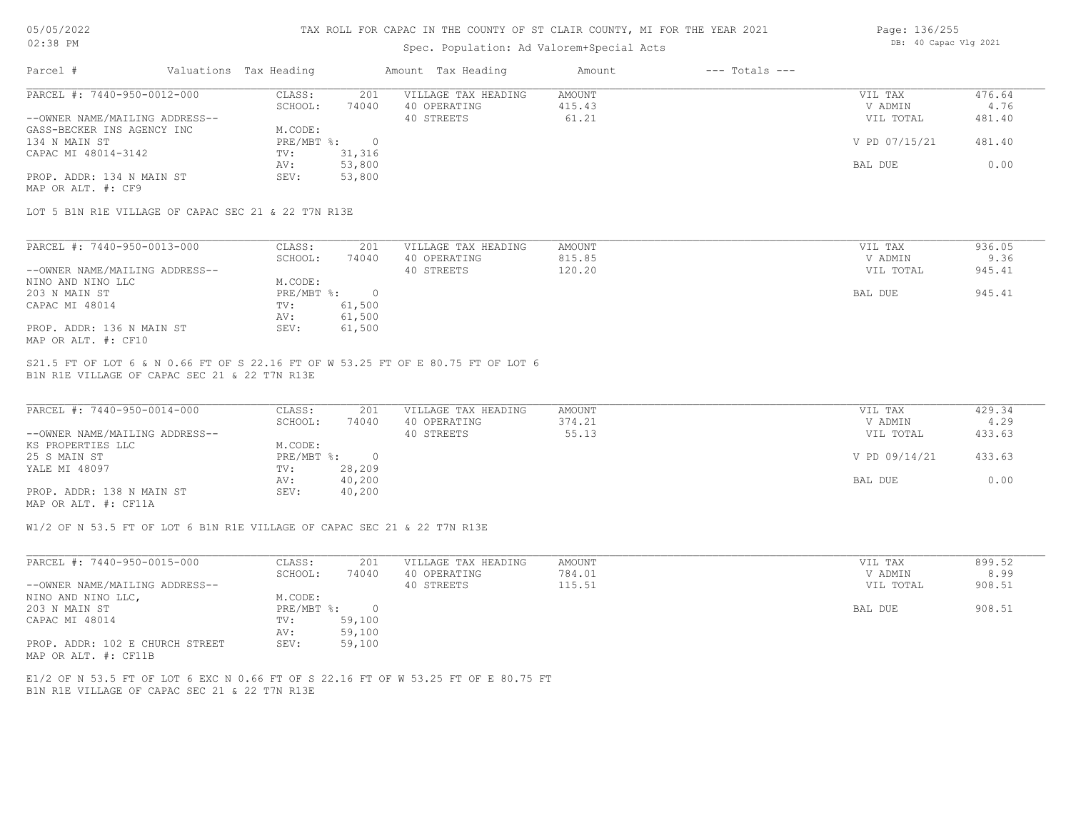### TAX ROLL FOR CAPAC IN THE COUNTY OF ST CLAIR COUNTY, MI FOR THE YEAR 2021

# Spec. Population: Ad Valorem+Special Acts

| Page: 136/255 |                       |  |
|---------------|-----------------------|--|
|               | DB: 40 Capac Vlg 2021 |  |

| PARCEL #: 7440-950-0012-000<br>201<br>CLASS:<br>VILLAGE TAX HEADING<br>AMOUNT<br>VIL TAX<br>SCHOOL:<br>40 OPERATING<br>415.43<br>74040<br>V ADMIN<br>--OWNER NAME/MAILING ADDRESS--<br>40 STREETS<br>61.21<br>VIL TOTAL<br>GASS-BECKER INS AGENCY INC<br>M.CODE:<br>$PRE/MBT$ %:<br>V PD 07/15/21<br>134 N MAIN ST<br>$\overline{0}$<br>31,316<br>CAPAC MI 48014-3142<br>TV:<br>53,800<br>BAL DUE<br>AV:<br>53,800<br>PROP. ADDR: 134 N MAIN ST<br>SEV:<br>MAP OR ALT. #: CF9<br>LOT 5 B1N R1E VILLAGE OF CAPAC SEC 21 & 22 T7N R13E<br>PARCEL #: 7440-950-0013-000<br>201<br>CLASS:<br>VILLAGE TAX HEADING<br>AMOUNT<br>VIL TAX<br>SCHOOL:<br>40 OPERATING<br>74040<br>815.85<br>V ADMIN | 476.64<br>4.76<br>481.40<br>481.40<br>0.00 |
|-------------------------------------------------------------------------------------------------------------------------------------------------------------------------------------------------------------------------------------------------------------------------------------------------------------------------------------------------------------------------------------------------------------------------------------------------------------------------------------------------------------------------------------------------------------------------------------------------------------------------------------------------------------------------------------------|--------------------------------------------|
|                                                                                                                                                                                                                                                                                                                                                                                                                                                                                                                                                                                                                                                                                           |                                            |
|                                                                                                                                                                                                                                                                                                                                                                                                                                                                                                                                                                                                                                                                                           |                                            |
|                                                                                                                                                                                                                                                                                                                                                                                                                                                                                                                                                                                                                                                                                           |                                            |
|                                                                                                                                                                                                                                                                                                                                                                                                                                                                                                                                                                                                                                                                                           |                                            |
|                                                                                                                                                                                                                                                                                                                                                                                                                                                                                                                                                                                                                                                                                           |                                            |
|                                                                                                                                                                                                                                                                                                                                                                                                                                                                                                                                                                                                                                                                                           |                                            |
|                                                                                                                                                                                                                                                                                                                                                                                                                                                                                                                                                                                                                                                                                           |                                            |
|                                                                                                                                                                                                                                                                                                                                                                                                                                                                                                                                                                                                                                                                                           |                                            |
|                                                                                                                                                                                                                                                                                                                                                                                                                                                                                                                                                                                                                                                                                           |                                            |
|                                                                                                                                                                                                                                                                                                                                                                                                                                                                                                                                                                                                                                                                                           | 936.05                                     |
|                                                                                                                                                                                                                                                                                                                                                                                                                                                                                                                                                                                                                                                                                           | 9.36                                       |
| --OWNER NAME/MAILING ADDRESS--<br>120.20<br>40 STREETS<br>VIL TOTAL                                                                                                                                                                                                                                                                                                                                                                                                                                                                                                                                                                                                                       | 945.41                                     |
| NINO AND NINO LLC<br>M.CODE:                                                                                                                                                                                                                                                                                                                                                                                                                                                                                                                                                                                                                                                              |                                            |
| $PRE/MBT$ $\div$<br>203 N MAIN ST<br>$\overline{0}$<br>BAL DUE                                                                                                                                                                                                                                                                                                                                                                                                                                                                                                                                                                                                                            | 945.41                                     |
| 61,500<br>CAPAC MI 48014<br>TV:                                                                                                                                                                                                                                                                                                                                                                                                                                                                                                                                                                                                                                                           |                                            |
| 61,500<br>AV:                                                                                                                                                                                                                                                                                                                                                                                                                                                                                                                                                                                                                                                                             |                                            |
| PROP. ADDR: 136 N MAIN ST<br>61,500<br>SEV:                                                                                                                                                                                                                                                                                                                                                                                                                                                                                                                                                                                                                                               |                                            |
| MAP OR ALT. #: CF10                                                                                                                                                                                                                                                                                                                                                                                                                                                                                                                                                                                                                                                                       |                                            |

| PARCEL #: 7440-950-0014-000    | CLASS:     | 201    | VILLAGE TAX HEADING | AMOUNT | VIL TAX       | 429.34 |
|--------------------------------|------------|--------|---------------------|--------|---------------|--------|
|                                | SCHOOL:    | 74040  | 40 OPERATING        | 374.21 | V ADMIN       | 4.29   |
| --OWNER NAME/MAILING ADDRESS-- |            |        | 40 STREETS          | 55.13  | VIL TOTAL     | 433.63 |
| KS PROPERTIES LLC              | M.CODE:    |        |                     |        |               |        |
| 25 S MAIN ST                   | PRE/MBT %: | $\cap$ |                     |        | V PD 09/14/21 | 433.63 |
| YALE MI 48097                  | TV:        | 28,209 |                     |        |               |        |
|                                | AV:        | 40,200 |                     |        | BAL DUE       | 0.00   |
| PROP. ADDR: 138 N MAIN ST      | SEV:       | 40,200 |                     |        |               |        |
| MAP OR ALT. #: CF11A           |            |        |                     |        |               |        |

 $\mathcal{L}_\mathcal{L} = \mathcal{L}_\mathcal{L} = \mathcal{L}_\mathcal{L} = \mathcal{L}_\mathcal{L} = \mathcal{L}_\mathcal{L} = \mathcal{L}_\mathcal{L} = \mathcal{L}_\mathcal{L} = \mathcal{L}_\mathcal{L} = \mathcal{L}_\mathcal{L} = \mathcal{L}_\mathcal{L} = \mathcal{L}_\mathcal{L} = \mathcal{L}_\mathcal{L} = \mathcal{L}_\mathcal{L} = \mathcal{L}_\mathcal{L} = \mathcal{L}_\mathcal{L} = \mathcal{L}_\mathcal{L} = \mathcal{L}_\mathcal{L}$ 

W1/2 OF N 53.5 FT OF LOT 6 B1N R1E VILLAGE OF CAPAC SEC 21 & 22 T7N R13E

| PARCEL #: 7440-950-0015-000     | CLASS:     | 201    | VILLAGE TAX HEADING | AMOUNT | VIL TAX   | 899.52 |
|---------------------------------|------------|--------|---------------------|--------|-----------|--------|
|                                 | SCHOOL:    | 74040  | 40 OPERATING        | 784.01 | V ADMIN   | 8.99   |
| --OWNER NAME/MAILING ADDRESS--  |            |        | 40 STREETS          | 115.51 | VIL TOTAL | 908.51 |
| NINO AND NINO LLC,              | M.CODE:    |        |                     |        |           |        |
| 203 N MAIN ST                   | PRE/MBT %: |        |                     |        | BAL DUE   | 908.51 |
| CAPAC MI 48014                  | TV:        | 59,100 |                     |        |           |        |
|                                 | AV:        | 59,100 |                     |        |           |        |
| PROP. ADDR: 102 E CHURCH STREET | SEV:       | 59,100 |                     |        |           |        |
| MAP OR ALT. #: CF11B            |            |        |                     |        |           |        |

B1N R1E VILLAGE OF CAPAC SEC 21 & 22 T7N R13E E1/2 OF N 53.5 FT OF LOT 6 EXC N 0.66 FT OF S 22.16 FT OF W 53.25 FT OF E 80.75 FT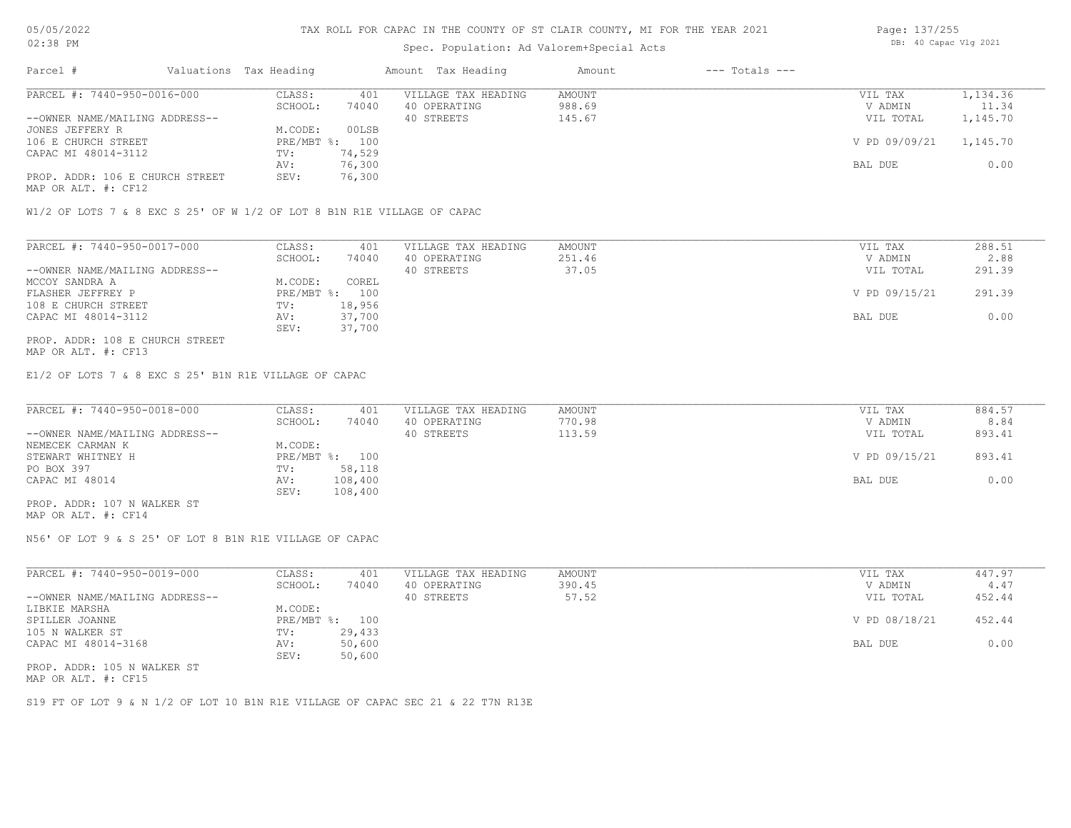#### Spec. Population: Ad Valorem+Special Acts

| Page: 137/255 |                       |  |
|---------------|-----------------------|--|
|               | DB: 40 Capac Vlg 2021 |  |

| Parcel #                        | Valuations Tax Heading |        | Amount Tax Heading  | Amount | $---$ Totals $---$ |               |          |
|---------------------------------|------------------------|--------|---------------------|--------|--------------------|---------------|----------|
| PARCEL #: 7440-950-0016-000     | CLASS:                 | 401    | VILLAGE TAX HEADING | AMOUNT |                    | VIL TAX       | 1,134.36 |
|                                 | SCHOOL:                | 74040  | 40 OPERATING        | 988.69 |                    | V ADMIN       | 11.34    |
| --OWNER NAME/MAILING ADDRESS--  |                        |        | 40 STREETS          | 145.67 |                    | VIL TOTAL     | 1,145.70 |
| JONES JEFFERY R                 | M.CODE:                | 00LSB  |                     |        |                    |               |          |
| 106 E CHURCH STREET             | PRE/MBT %: 100         |        |                     |        |                    | V PD 09/09/21 | 1,145.70 |
| CAPAC MI 48014-3112             | TV:                    | 74,529 |                     |        |                    |               |          |
|                                 | AV:                    | 76,300 |                     |        |                    | BAL DUE       | 0.00     |
| PROP. ADDR: 106 E CHURCH STREET | SEV:                   | 76,300 |                     |        |                    |               |          |
|                                 |                        |        |                     |        |                    |               |          |

MAP OR ALT. #: CF12

W1/2 OF LOTS 7 & 8 EXC S 25' OF W 1/2 OF LOT 8 B1N R1E VILLAGE OF CAPAC

| PARCEL #: 7440-950-0017-000    | CLASS:  | 401            | VILLAGE TAX HEADING | AMOUNT | VIL TAX       | 288.51 |
|--------------------------------|---------|----------------|---------------------|--------|---------------|--------|
|                                | SCHOOL: | 74040          | 40 OPERATING        | 251.46 | V ADMIN       | 2.88   |
| --OWNER NAME/MAILING ADDRESS-- |         |                | 40 STREETS          | 37.05  | VIL TOTAL     | 291.39 |
| MCCOY SANDRA A                 | M.CODE: | COREL          |                     |        |               |        |
| FLASHER JEFFREY P              |         | PRE/MBT %: 100 |                     |        | V PD 09/15/21 | 291.39 |
| 108 E CHURCH STREET            | TV:     | 18,956         |                     |        |               |        |
| CAPAC MI 48014-3112            | AV:     | 37,700         |                     |        | BAL DUE       | 0.00   |
|                                | SEV:    | 37,700         |                     |        |               |        |
|                                |         |                |                     |        |               |        |

MAP OR ALT. #: CF13 PROP. ADDR: 108 E CHURCH STREET

E1/2 OF LOTS 7 & 8 EXC S 25' B1N R1E VILLAGE OF CAPAC

| PARCEL #: 7440-950-0018-000    | CLASS:  | 401            | VILLAGE TAX HEADING | AMOUNT | VIL TAX       | 884.57 |
|--------------------------------|---------|----------------|---------------------|--------|---------------|--------|
|                                | SCHOOL: | 74040          | 40 OPERATING        | 770.98 | V ADMIN       | 8.84   |
| --OWNER NAME/MAILING ADDRESS-- |         |                | 40 STREETS          | 113.59 | VIL TOTAL     | 893.41 |
| NEMECEK CARMAN K               | M.CODE: |                |                     |        |               |        |
| STEWART WHITNEY H              |         | PRE/MBT %: 100 |                     |        | V PD 09/15/21 | 893.41 |
| PO BOX 397                     | TV:     | 58,118         |                     |        |               |        |
| CAPAC MI 48014                 | AV:     | 108,400        |                     |        | BAL DUE       | 0.00   |
|                                | SEV:    | 108,400        |                     |        |               |        |
| PROP. ADDR: 107 N WALKER ST    |         |                |                     |        |               |        |

MAP OR ALT. #: CF14

N56' OF LOT 9 & S 25' OF LOT 8 B1N R1E VILLAGE OF CAPAC

| PARCEL #: 7440-950-0019-000    | CLASS:     | 401    | VILLAGE TAX HEADING | AMOUNT | VIL TAX       | 447.97 |
|--------------------------------|------------|--------|---------------------|--------|---------------|--------|
|                                | SCHOOL:    | 74040  | 40 OPERATING        | 390.45 | V ADMIN       | 4.47   |
| --OWNER NAME/MAILING ADDRESS-- |            |        | 40 STREETS          | 57.52  | VIL TOTAL     | 452.44 |
| LIBKIE MARSHA                  | M.CODE:    |        |                     |        |               |        |
| SPILLER JOANNE                 | PRE/MBT %: | 100    |                     |        | V PD 08/18/21 | 452.44 |
| 105 N WALKER ST                | TV:        | 29,433 |                     |        |               |        |
| CAPAC MI 48014-3168            | AV:        | 50,600 |                     |        | BAL DUE       | 0.00   |
|                                | SEV:       | 50,600 |                     |        |               |        |
| PROP. ADDR: 105 N WALKER ST    |            |        |                     |        |               |        |

MAP OR ALT. #: CF15

S19 FT OF LOT 9 & N 1/2 OF LOT 10 B1N R1E VILLAGE OF CAPAC SEC 21 & 22 T7N R13E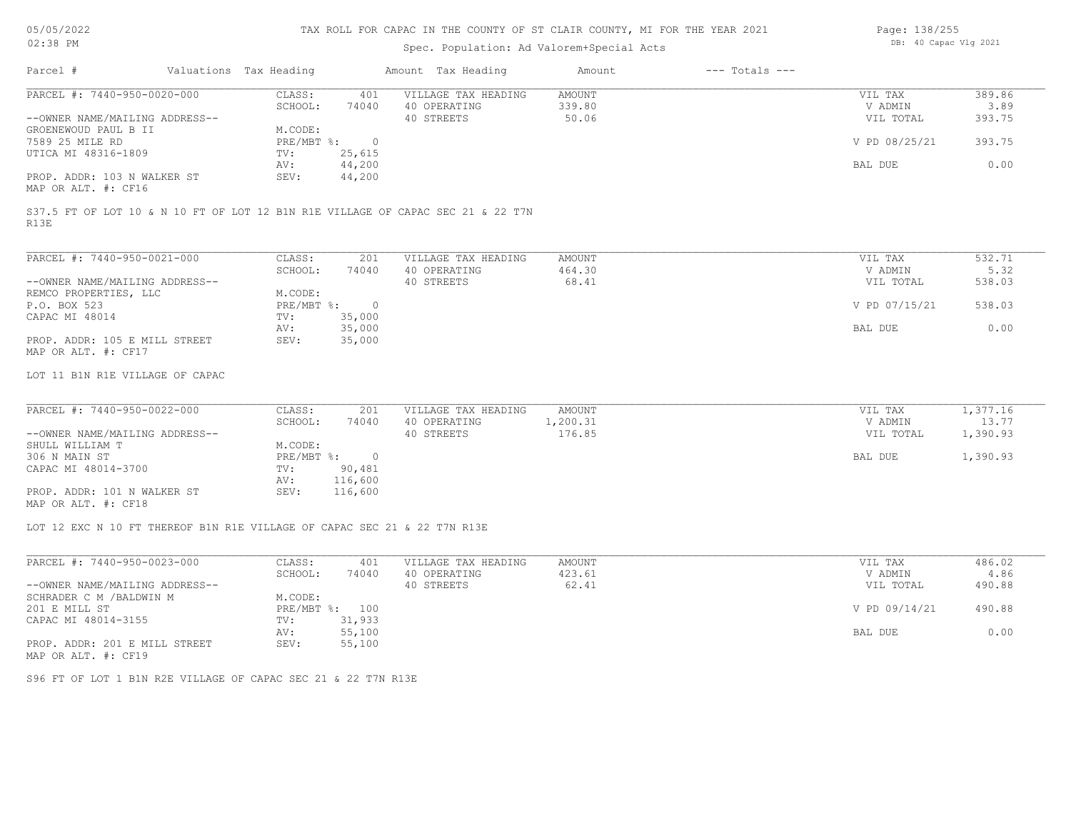# Spec. Population: Ad Valorem+Special Acts

| Page: 138/255 |                       |  |
|---------------|-----------------------|--|
|               | DB: 40 Capac Vlg 2021 |  |

| PARCEL #: 7440-950-0020-000<br>--OWNER NAME/MAILING ADDRESS--<br>GROENEWOUD PAUL B II<br>7589 25 MILE RD<br>UTICA MI 48316-1809<br>PROP. ADDR: 103 N WALKER ST<br>MAP OR ALT. #: CF16<br>S37.5 FT OF LOT 10 & N 10 FT OF LOT 12 B1N R1E VILLAGE OF CAPAC SEC 21 & 22 T7N<br>R13E<br>PARCEL #: 7440-950-0021-000 | CLASS:<br>401<br>74040<br>SCHOOL:<br>M.CODE:<br>$\overline{0}$<br>$PRE/MBT$ $\div$<br>25,615<br>TV:<br>44,200<br>AV:<br>SEV:<br>44,200 | VILLAGE TAX HEADING<br>40 OPERATING<br>40 STREETS | <b>AMOUNT</b><br>339.80<br>50.06 | VIL TAX<br>V ADMIN<br>VIL TOTAL<br>V PD 08/25/21 | 389.86<br>3.89<br>393.75 |
|-----------------------------------------------------------------------------------------------------------------------------------------------------------------------------------------------------------------------------------------------------------------------------------------------------------------|----------------------------------------------------------------------------------------------------------------------------------------|---------------------------------------------------|----------------------------------|--------------------------------------------------|--------------------------|
|                                                                                                                                                                                                                                                                                                                 |                                                                                                                                        |                                                   |                                  |                                                  |                          |
|                                                                                                                                                                                                                                                                                                                 |                                                                                                                                        |                                                   |                                  |                                                  |                          |
|                                                                                                                                                                                                                                                                                                                 |                                                                                                                                        |                                                   |                                  |                                                  |                          |
|                                                                                                                                                                                                                                                                                                                 |                                                                                                                                        |                                                   |                                  |                                                  |                          |
|                                                                                                                                                                                                                                                                                                                 |                                                                                                                                        |                                                   |                                  |                                                  | 393.75                   |
|                                                                                                                                                                                                                                                                                                                 |                                                                                                                                        |                                                   |                                  |                                                  |                          |
|                                                                                                                                                                                                                                                                                                                 |                                                                                                                                        |                                                   |                                  | BAL DUE                                          | 0.00                     |
|                                                                                                                                                                                                                                                                                                                 |                                                                                                                                        |                                                   |                                  |                                                  |                          |
|                                                                                                                                                                                                                                                                                                                 |                                                                                                                                        |                                                   |                                  |                                                  |                          |
|                                                                                                                                                                                                                                                                                                                 |                                                                                                                                        |                                                   |                                  |                                                  |                          |
|                                                                                                                                                                                                                                                                                                                 |                                                                                                                                        |                                                   |                                  |                                                  |                          |
|                                                                                                                                                                                                                                                                                                                 | CLASS:<br>201                                                                                                                          | VILLAGE TAX HEADING                               | AMOUNT                           | VIL TAX                                          | 532.71                   |
|                                                                                                                                                                                                                                                                                                                 | SCHOOL:<br>74040                                                                                                                       | 40 OPERATING                                      | 464.30                           | V ADMIN                                          | 5.32                     |
| --OWNER NAME/MAILING ADDRESS--                                                                                                                                                                                                                                                                                  |                                                                                                                                        | 40 STREETS                                        | 68.41                            | VIL TOTAL                                        | 538.03                   |
| REMCO PROPERTIES, LLC                                                                                                                                                                                                                                                                                           | M.CODE:                                                                                                                                |                                                   |                                  |                                                  |                          |
| P.O. BOX 523                                                                                                                                                                                                                                                                                                    | $PRE/MBT$ $\frac{1}{6}$ :<br>$\overline{\phantom{0}}$                                                                                  |                                                   |                                  | V PD 07/15/21                                    | 538.03                   |
| CAPAC MI 48014                                                                                                                                                                                                                                                                                                  | 35,000<br>TV:                                                                                                                          |                                                   |                                  |                                                  |                          |
|                                                                                                                                                                                                                                                                                                                 | 35,000<br>AV:                                                                                                                          |                                                   |                                  | BAL DUE                                          | 0.00                     |
| PROP. ADDR: 105 E MILL STREET                                                                                                                                                                                                                                                                                   | 35,000<br>SEV:                                                                                                                         |                                                   |                                  |                                                  |                          |
| MAP OR ALT. #: CF17                                                                                                                                                                                                                                                                                             |                                                                                                                                        |                                                   |                                  |                                                  |                          |
| LOT 11 B1N R1E VILLAGE OF CAPAC                                                                                                                                                                                                                                                                                 |                                                                                                                                        |                                                   |                                  |                                                  |                          |
|                                                                                                                                                                                                                                                                                                                 |                                                                                                                                        |                                                   |                                  |                                                  |                          |
| PARCEL #: 7440-950-0022-000                                                                                                                                                                                                                                                                                     | CLASS:<br>201                                                                                                                          | VILLAGE TAX HEADING                               | <b>AMOUNT</b>                    | VIL TAX                                          | 1,377.16                 |
|                                                                                                                                                                                                                                                                                                                 | SCHOOL:<br>74040                                                                                                                       | 40 OPERATING                                      | 1,200.31                         | V ADMIN                                          | 13.77                    |
| --OWNER NAME/MAILING ADDRESS--                                                                                                                                                                                                                                                                                  |                                                                                                                                        | 40 STREETS                                        | 176.85                           | VIL TOTAL                                        | 1,390.93                 |
| SHULL WILLIAM T                                                                                                                                                                                                                                                                                                 | M.CODE:                                                                                                                                |                                                   |                                  |                                                  |                          |
| 306 N MAIN ST<br>CAPAC MI 48014-3700                                                                                                                                                                                                                                                                            | $PRE/MBT$ %:<br>$\overline{0}$<br>$\texttt{TV}$ :<br>90,481                                                                            |                                                   |                                  | BAL DUE                                          | 1,390.93                 |
|                                                                                                                                                                                                                                                                                                                 | 116,600<br>AV:                                                                                                                         |                                                   |                                  |                                                  |                          |
| PROP. ADDR: 101 N WALKER ST                                                                                                                                                                                                                                                                                     | 116,600<br>SEV:                                                                                                                        |                                                   |                                  |                                                  |                          |
| MAP OR ALT. #: CF18                                                                                                                                                                                                                                                                                             |                                                                                                                                        |                                                   |                                  |                                                  |                          |
| LOT 12 EXC N 10 FT THEREOF B1N R1E VILLAGE OF CAPAC SEC 21 & 22 T7N R13E                                                                                                                                                                                                                                        |                                                                                                                                        |                                                   |                                  |                                                  |                          |
|                                                                                                                                                                                                                                                                                                                 |                                                                                                                                        |                                                   |                                  |                                                  |                          |
| PARCEL #: 7440-950-0023-000                                                                                                                                                                                                                                                                                     | CLASS:<br>401                                                                                                                          | VILLAGE TAX HEADING                               | AMOUNT                           | VIL TAX                                          | 486.02                   |
|                                                                                                                                                                                                                                                                                                                 | SCHOOL:<br>74040                                                                                                                       | 40 OPERATING                                      | 423.61                           | V ADMIN                                          | 4.86                     |
| --OWNER NAME/MAILING ADDRESS--                                                                                                                                                                                                                                                                                  |                                                                                                                                        | 40 STREETS                                        | 62.41                            | VIL TOTAL                                        | 490.88                   |
| SCHRADER C M / BALDWIN M                                                                                                                                                                                                                                                                                        | M.CODE:                                                                                                                                |                                                   |                                  |                                                  |                          |
| 201 E MILL ST                                                                                                                                                                                                                                                                                                   | PRE/MBT %: 100                                                                                                                         |                                                   |                                  | V PD 09/14/21                                    | 490.88                   |
| CAPAC MI 48014-3155                                                                                                                                                                                                                                                                                             | 31,933<br>TV:                                                                                                                          |                                                   |                                  |                                                  |                          |
|                                                                                                                                                                                                                                                                                                                 | 55,100<br>AV:                                                                                                                          |                                                   |                                  | BAL DUE                                          | 0.00                     |
| PROP. ADDR: 201 E MILL STREET<br>MAP OR ALT. #: CF19                                                                                                                                                                                                                                                            | 55,100<br>SEV:                                                                                                                         |                                                   |                                  |                                                  |                          |
| S96 FT OF LOT 1 B1N R2E VILLAGE OF CAPAC SEC 21 & 22 T7N R13E                                                                                                                                                                                                                                                   |                                                                                                                                        |                                                   |                                  |                                                  |                          |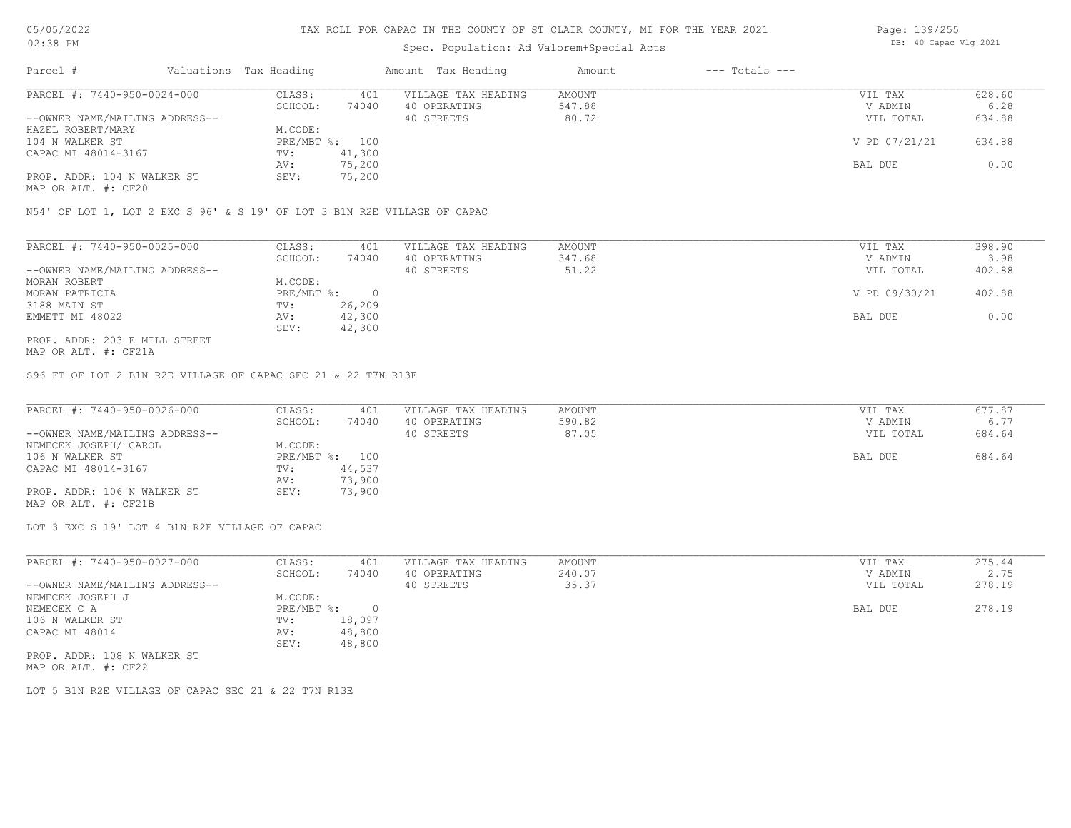# Spec. Population: Ad Valorem+Special Acts

| Page: 139/255 |                       |  |
|---------------|-----------------------|--|
|               | DB: 40 Capac Vlg 2021 |  |

| Parcel #                       | Valuations Tax Heading |        | Amount Tax Heading  | Amount | $---$ Totals $---$ |               |        |
|--------------------------------|------------------------|--------|---------------------|--------|--------------------|---------------|--------|
| PARCEL #: 7440-950-0024-000    | CLASS:                 | 401    | VILLAGE TAX HEADING | AMOUNT |                    | VIL TAX       | 628.60 |
|                                | SCHOOL:                | 74040  | 40 OPERATING        | 547.88 |                    | V ADMIN       | 6.28   |
| --OWNER NAME/MAILING ADDRESS-- |                        |        | 40 STREETS          | 80.72  |                    | VIL TOTAL     | 634.88 |
| HAZEL ROBERT/MARY              | M.CODE:                |        |                     |        |                    |               |        |
| 104 N WALKER ST                | PRE/MBT %: 100         |        |                     |        |                    | V PD 07/21/21 | 634.88 |
| CAPAC MI 48014-3167            | TV:                    | 41,300 |                     |        |                    |               |        |
|                                | AV:                    | 75,200 |                     |        |                    | BAL DUE       | 0.00   |
| PROP. ADDR: 104 N WALKER ST    | SEV:                   | 75,200 |                     |        |                    |               |        |
|                                |                        |        |                     |        |                    |               |        |

MAP OR ALT. #: CF20

N54' OF LOT 1, LOT 2 EXC S 96' & S 19' OF LOT 3 B1N R2E VILLAGE OF CAPAC

| PARCEL #: 7440-950-0025-000    | CLASS:     | 401    | VILLAGE TAX HEADING | AMOUNT | VIL TAX       | 398.90 |
|--------------------------------|------------|--------|---------------------|--------|---------------|--------|
|                                | SCHOOL:    | 74040  | 40 OPERATING        | 347.68 | V ADMIN       | 3.98   |
| --OWNER NAME/MAILING ADDRESS-- |            |        | 40 STREETS          | 51.22  | VIL TOTAL     | 402.88 |
| MORAN ROBERT                   | M.CODE:    |        |                     |        |               |        |
| MORAN PATRICIA                 | PRE/MBT %: |        |                     |        | V PD 09/30/21 | 402.88 |
| 3188 MAIN ST                   | TV:        | 26,209 |                     |        |               |        |
| EMMETT MI 48022                | AV:        | 42,300 |                     |        | BAL DUE       | 0.00   |
|                                | SEV:       | 42,300 |                     |        |               |        |
| PROP. ADDR: 203 E MILL STREET  |            |        |                     |        |               |        |

MAP OR ALT. #: CF21A

S96 FT OF LOT 2 B1N R2E VILLAGE OF CAPAC SEC 21 & 22 T7N R13E

| PARCEL #: 7440-950-0026-000    | CLASS:  | 401            | VILLAGE TAX HEADING | AMOUNT | VIL TAX   | 677.87 |
|--------------------------------|---------|----------------|---------------------|--------|-----------|--------|
|                                | SCHOOL: | 74040          | 40 OPERATING        | 590.82 | V ADMIN   | 6.77   |
| --OWNER NAME/MAILING ADDRESS-- |         |                | 40 STREETS          | 87.05  | VIL TOTAL | 684.64 |
| NEMECEK JOSEPH/ CAROL          | M.CODE: |                |                     |        |           |        |
| 106 N WALKER ST                |         | PRE/MBT %: 100 |                     |        | BAL DUE   | 684.64 |
| CAPAC MI 48014-3167            | TV:     | 44,537         |                     |        |           |        |
|                                | AV:     | 73,900         |                     |        |           |        |
| PROP. ADDR: 106 N WALKER ST    | SEV:    | 73,900         |                     |        |           |        |
| MAP OR ALT. #: CF21B           |         |                |                     |        |           |        |

LOT 3 EXC S 19' LOT 4 B1N R2E VILLAGE OF CAPAC

| PARCEL #: 7440-950-0027-000    | CLASS:     | 401    | VILLAGE TAX HEADING | AMOUNT | VIL TAX   | 275.44 |
|--------------------------------|------------|--------|---------------------|--------|-----------|--------|
|                                | SCHOOL:    | 74040  | 40 OPERATING        | 240.07 | V ADMIN   | 2.75   |
| --OWNER NAME/MAILING ADDRESS-- |            |        | 40 STREETS          | 35.37  | VIL TOTAL | 278.19 |
| NEMECEK JOSEPH J               | M.CODE:    |        |                     |        |           |        |
| NEMECEK C A                    | PRE/MBT %: |        |                     |        | BAL DUE   | 278.19 |
| 106 N WALKER ST                | TV:        | 18,097 |                     |        |           |        |
| CAPAC MI 48014                 | AV:        | 48,800 |                     |        |           |        |
|                                | SEV:       | 48,800 |                     |        |           |        |
| PROP. ADDR: 108 N WALKER ST    |            |        |                     |        |           |        |

MAP OR ALT. #: CF22

LOT 5 B1N R2E VILLAGE OF CAPAC SEC 21 & 22 T7N R13E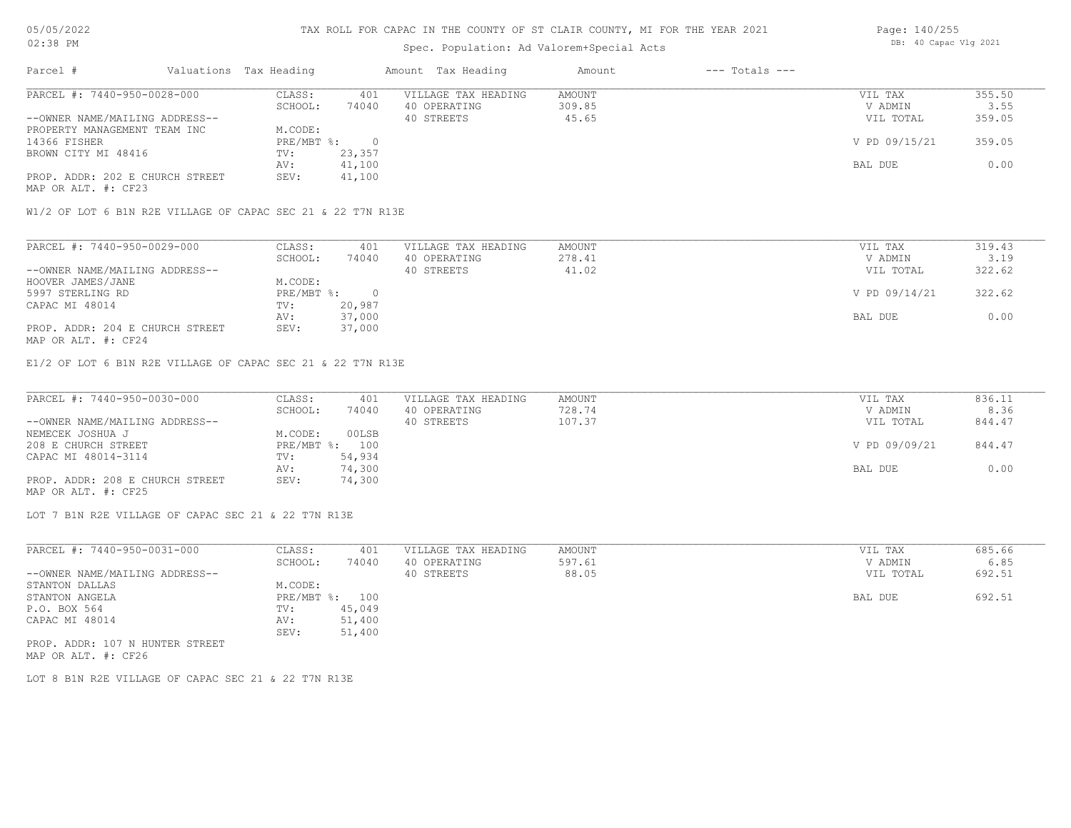### TAX ROLL FOR CAPAC IN THE COUNTY OF ST CLAIR COUNTY, MI FOR THE YEAR 2021

# Spec. Population: Ad Valorem+Special Acts

|                                 |         |                        |                     | Amount             | $---$ Totals $---$ |               |        |
|---------------------------------|---------|------------------------|---------------------|--------------------|--------------------|---------------|--------|
| PARCEL #: 7440-950-0028-000     | CLASS:  | 401                    | VILLAGE TAX HEADING | AMOUNT             |                    | VIL TAX       | 355.50 |
|                                 | SCHOOL: | 74040                  | 40 OPERATING        | 309.85             |                    | V ADMIN       | 3.55   |
| --OWNER NAME/MAILING ADDRESS--  |         |                        | 40 STREETS          | 45.65              |                    | VIL TOTAL     | 359.05 |
| PROPERTY MANAGEMENT TEAM INC    | M.CODE: |                        |                     |                    |                    |               |        |
|                                 |         |                        |                     |                    |                    | V PD 09/15/21 | 359.05 |
| BROWN CITY MI 48416             | TV:     | 23,357                 |                     |                    |                    |               |        |
|                                 | AV:     | 41,100                 |                     |                    |                    | BAL DUE       | 0.00   |
| PROP. ADDR: 202 E CHURCH STREET | SEV:    | 41,100                 |                     |                    |                    |               |        |
|                                 |         | Valuations Tax Heading | PRE/MBT %:          | Amount Tax Heading |                    |               |        |

MAP OR ALT. #: CF23

W1/2 OF LOT 6 B1N R2E VILLAGE OF CAPAC SEC 21 & 22 T7N R13E

| PARCEL #: 7440-950-0029-000     | CLASS:     | 401    | VILLAGE TAX HEADING | AMOUNT | VIL TAX       | 319.43 |
|---------------------------------|------------|--------|---------------------|--------|---------------|--------|
|                                 | SCHOOL:    | 74040  | 40 OPERATING        | 278.41 | V ADMIN       | 3.19   |
| --OWNER NAME/MAILING ADDRESS--  |            |        | 40 STREETS          | 41.02  | VIL TOTAL     | 322.62 |
| HOOVER JAMES/JANE               | M.CODE:    |        |                     |        |               |        |
| 5997 STERLING RD                | PRE/MBT %: |        |                     |        | V PD 09/14/21 | 322.62 |
| CAPAC MI 48014                  | TV:        | 20,987 |                     |        |               |        |
|                                 | AV:        | 37,000 |                     |        | BAL DUE       | 0.00   |
| PROP. ADDR: 204 E CHURCH STREET | SEV:       | 37,000 |                     |        |               |        |
| MAP OR ALT. #: CF24             |            |        |                     |        |               |        |

E1/2 OF LOT 6 B1N R2E VILLAGE OF CAPAC SEC 21 & 22 T7N R13E

| PARCEL #: 7440-950-0030-000     | CLASS:  | 401            | VILLAGE TAX HEADING | AMOUNT | VIL TAX       | 836.11 |
|---------------------------------|---------|----------------|---------------------|--------|---------------|--------|
|                                 | SCHOOL: | 74040          | 40 OPERATING        | 728.74 | V ADMIN       | 8.36   |
| --OWNER NAME/MAILING ADDRESS--  |         |                | 40 STREETS          | 107.37 | VIL TOTAL     | 844.47 |
| NEMECEK JOSHUA J                | M.CODE: | 00LSB          |                     |        |               |        |
| 208 E CHURCH STREET             |         | PRE/MBT %: 100 |                     |        | V PD 09/09/21 | 844.47 |
| CAPAC MI 48014-3114             | TV:     | 54,934         |                     |        |               |        |
|                                 | AV:     | 74,300         |                     |        | BAL DUE       | 0.00   |
| PROP. ADDR: 208 E CHURCH STREET | SEV:    | 74,300         |                     |        |               |        |
| MAP OR ALT. #: CF25             |         |                |                     |        |               |        |

LOT 7 B1N R2E VILLAGE OF CAPAC SEC 21 & 22 T7N R13E

| PARCEL #: 7440-950-0031-000     | CLASS:       | 401    | VILLAGE TAX HEADING | AMOUNT | VIL TAX   | 685.66 |
|---------------------------------|--------------|--------|---------------------|--------|-----------|--------|
|                                 | SCHOOL:      | 74040  | 40 OPERATING        | 597.61 | V ADMIN   | 6.85   |
| --OWNER NAME/MAILING ADDRESS--  |              |        | 40 STREETS          | 88.05  | VIL TOTAL | 692.51 |
| STANTON DALLAS                  | M.CODE:      |        |                     |        |           |        |
| STANTON ANGELA                  | $PRE/MBT$ %: | 100    |                     |        | BAL DUE   | 692.51 |
| P.O. BOX 564                    | TV:          | 45,049 |                     |        |           |        |
| CAPAC MI 48014                  | AV:          | 51,400 |                     |        |           |        |
|                                 | SEV:         | 51,400 |                     |        |           |        |
| PROP. ADDR: 107 N HUNTER STREET |              |        |                     |        |           |        |

MAP OR ALT. #: CF26

LOT 8 B1N R2E VILLAGE OF CAPAC SEC 21 & 22 T7N R13E

Page: 140/255 DB: 40 Capac Vlg 2021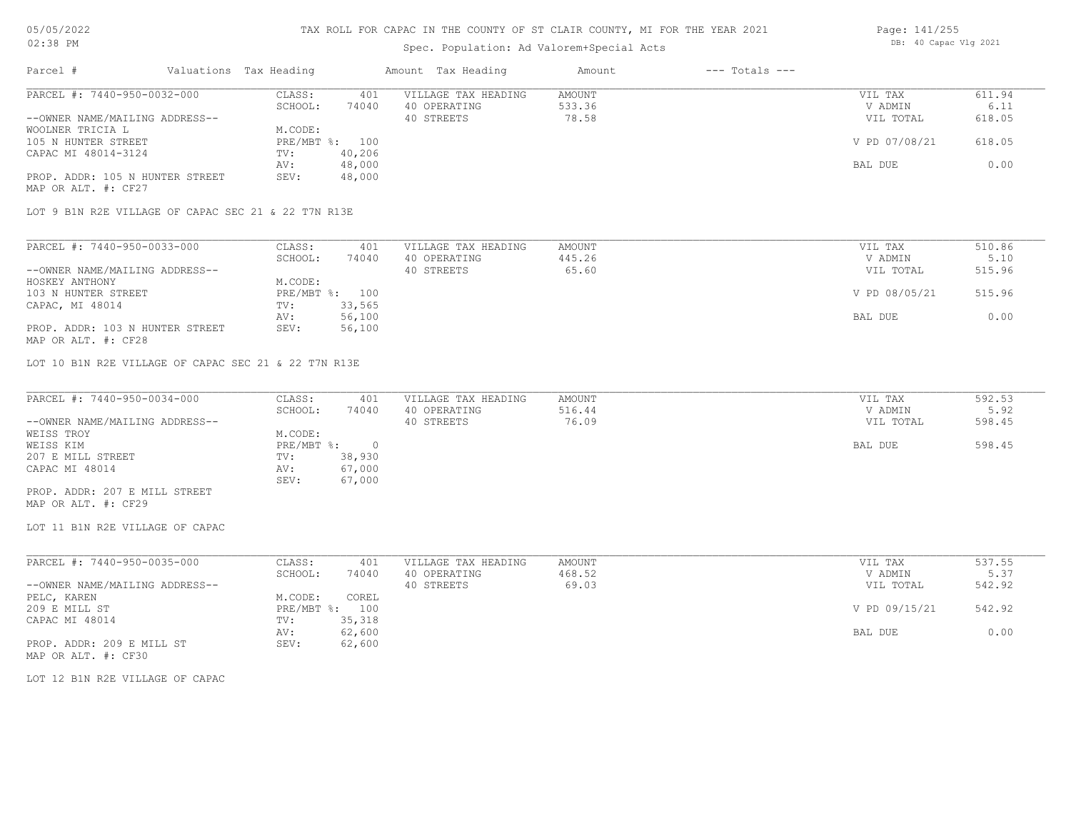### TAX ROLL FOR CAPAC IN THE COUNTY OF ST CLAIR COUNTY, MI FOR THE YEAR 2021

# Spec. Population: Ad Valorem+Special Acts

| Page: 141/255 |                       |  |  |  |  |  |
|---------------|-----------------------|--|--|--|--|--|
|               | DB: 40 Capac Vlg 2021 |  |  |  |  |  |

| PARCEL #: 7440-950-0032-000<br>--OWNER NAME/MAILING ADDRESS-- | CLASS:<br>401<br>SCHOOL:<br>74040          | VILLAGE TAX HEADING<br>40 OPERATING<br>40 STREETS | <b>AMOUNT</b><br>533.36<br>78.58 | VIL TAX<br>V ADMIN<br>VIL TOTAL | 611.94<br>6.11<br>618.05 |
|---------------------------------------------------------------|--------------------------------------------|---------------------------------------------------|----------------------------------|---------------------------------|--------------------------|
| WOOLNER TRICIA L<br>105 N HUNTER STREET                       | M.CODE:<br>PRE/MBT %: 100                  |                                                   |                                  | V PD 07/08/21                   | 618.05                   |
| CAPAC MI 48014-3124                                           | 40,206<br>TV:<br>48,000<br>AV:             |                                                   |                                  | BAL DUE                         | 0.00                     |
| PROP. ADDR: 105 N HUNTER STREET<br>MAP OR ALT. #: CF27        | 48,000<br>SEV:                             |                                                   |                                  |                                 |                          |
| LOT 9 B1N R2E VILLAGE OF CAPAC SEC 21 & 22 T7N R13E           |                                            |                                                   |                                  |                                 |                          |
| PARCEL #: 7440-950-0033-000                                   | CLASS:<br>401                              | VILLAGE TAX HEADING                               | AMOUNT                           | VIL TAX                         | 510.86                   |
| --OWNER NAME/MAILING ADDRESS--                                | SCHOOL:<br>74040                           | 40 OPERATING<br>40 STREETS                        | 445.26<br>65.60                  | V ADMIN<br>VIL TOTAL            | 5.10<br>515.96           |
| HOSKEY ANTHONY<br>103 N HUNTER STREET                         | M.CODE:<br>PRE/MBT %: 100<br>TV:<br>33,565 |                                                   |                                  | V PD 08/05/21                   | 515.96                   |
| CAPAC, MI 48014                                               | 56,100<br>AV:<br>56,100<br>SEV:            |                                                   |                                  | BAL DUE                         | 0.00                     |
| PROP. ADDR: 103 N HUNTER STREET<br>MAP OR ALT. #: CF28        |                                            |                                                   |                                  |                                 |                          |
| LOT 10 B1N R2E VILLAGE OF CAPAC SEC 21 & 22 T7N R13E          |                                            |                                                   |                                  |                                 |                          |
| PARCEL #: 7440-950-0034-000                                   | CLASS:<br>401                              | VILLAGE TAX HEADING<br>40 OPERATING               | <b>AMOUNT</b>                    | VIL TAX                         | 592.53                   |
| --OWNER NAME/MAILING ADDRESS--<br>WEISS TROY                  | SCHOOL:<br>74040<br>M.CODE:                | 40 STREETS                                        | 516.44<br>76.09                  | V ADMIN<br>VIL TOTAL            | 5.92<br>598.45           |
| WEISS KIM<br>207 E MILL STREET                                | $PRE/MBT$ $\div$ 0<br>38,930<br>TV:        |                                                   |                                  | BAL DUE                         | 598.45                   |
| CAPAC MI 48014                                                | 67,000<br>AV:                              |                                                   |                                  |                                 |                          |
|                                                               |                                            |                                                   |                                  |                                 |                          |
| PROP. ADDR: 207 E MILL STREET<br>MAP OR ALT. #: CF29          | 67,000<br>SEV:                             |                                                   |                                  |                                 |                          |
| LOT 11 B1N R2E VILLAGE OF CAPAC                               |                                            |                                                   |                                  |                                 |                          |
| PARCEL #: 7440-950-0035-000                                   | CLASS:<br>401                              | VILLAGE TAX HEADING                               | AMOUNT                           | VIL TAX                         | 537.55                   |
| --OWNER NAME/MAILING ADDRESS--                                | SCHOOL:<br>74040                           | 40 OPERATING<br>40 STREETS                        | 468.52<br>69.03                  | V ADMIN<br>VIL TOTAL            | 5.37<br>542.92           |
| PELC, KAREN<br>209 E MILL ST                                  | M.CODE:<br>COREL<br>PRE/MBT %: 100         |                                                   |                                  | V PD 09/15/21                   | 542.92                   |
| CAPAC MI 48014                                                | 35,318<br>TV:<br>62,600<br>AV:             |                                                   |                                  | BAL DUE                         | 0.00                     |
| PROP. ADDR: 209 E MILL ST<br>MAP OR ALT. #: CF30              | SEV:<br>62,600                             |                                                   |                                  |                                 |                          |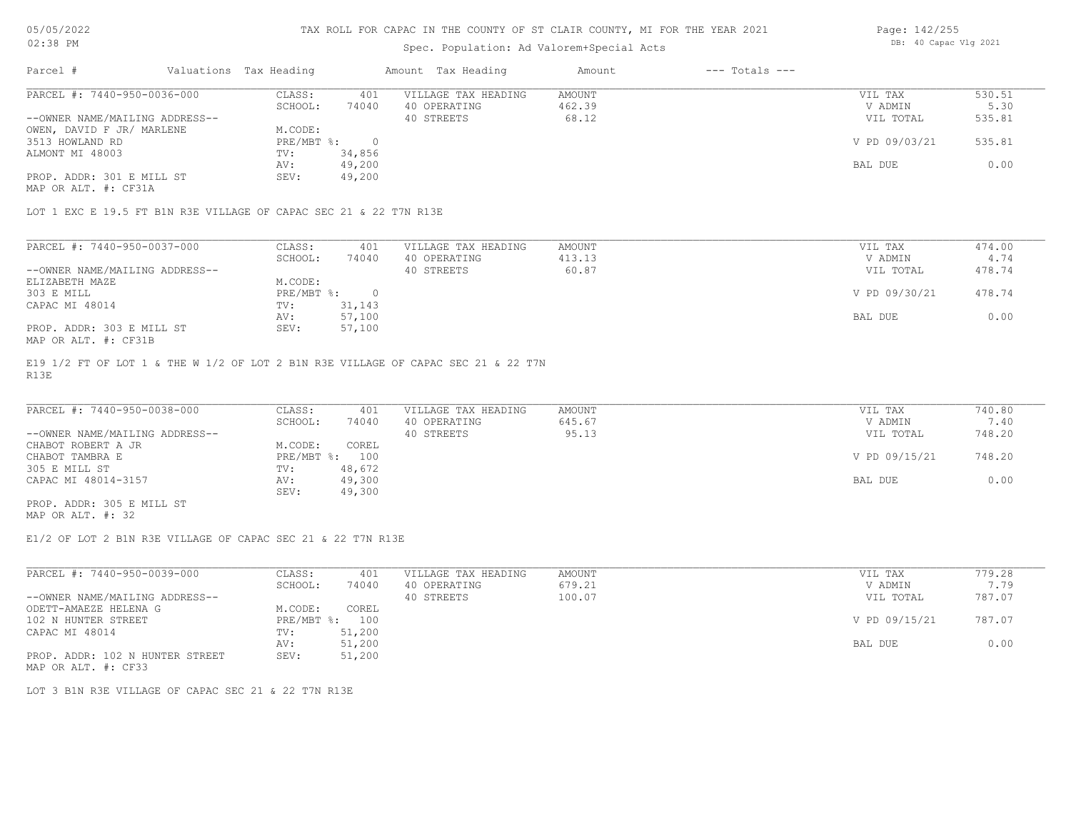# Spec. Population: Ad Valorem+Special Acts

| Page: 142/255 |                       |  |  |  |  |  |
|---------------|-----------------------|--|--|--|--|--|
|               | DB: 40 Capac Vlg 2021 |  |  |  |  |  |

| Parcel #                       | Valuations Tax Heading |        | Amount Tax Heading  | Amount | $---$ Totals $---$ |               |        |
|--------------------------------|------------------------|--------|---------------------|--------|--------------------|---------------|--------|
| PARCEL #: 7440-950-0036-000    | CLASS:                 | 401    | VILLAGE TAX HEADING | AMOUNT |                    | VIL TAX       | 530.51 |
|                                | SCHOOL:                | 74040  | 40 OPERATING        | 462.39 |                    | V ADMIN       | 5.30   |
| --OWNER NAME/MAILING ADDRESS-- |                        |        | 40 STREETS          | 68.12  |                    | VIL TOTAL     | 535.81 |
| OWEN, DAVID F JR/ MARLENE      | M.CODE:                |        |                     |        |                    |               |        |
| 3513 HOWLAND RD                | PRE/MBT %:             |        |                     |        |                    | V PD 09/03/21 | 535.81 |
| ALMONT MI 48003                | TV:                    | 34,856 |                     |        |                    |               |        |
|                                | AV:                    | 49,200 |                     |        |                    | BAL DUE       | 0.00   |
| PROP. ADDR: 301 E MILL ST      | SEV:                   | 49,200 |                     |        |                    |               |        |
|                                |                        |        |                     |        |                    |               |        |

MAP OR ALT. #: CF31A

LOT 1 EXC E 19.5 FT B1N R3E VILLAGE OF CAPAC SEC 21 & 22 T7N R13E

| PARCEL #: 7440-950-0037-000    | CLASS:     | 401    | VILLAGE TAX HEADING | AMOUNT | VIL TAX       | 474.00 |
|--------------------------------|------------|--------|---------------------|--------|---------------|--------|
|                                | SCHOOL:    | 74040  | 40 OPERATING        | 413.13 | V ADMIN       | 4.74   |
| --OWNER NAME/MAILING ADDRESS-- |            |        | 40 STREETS          | 60.87  | VIL TOTAL     | 478.74 |
| ELIZABETH MAZE                 | M.CODE:    |        |                     |        |               |        |
| 303 E MILL                     | PRE/MBT %: |        |                     |        | V PD 09/30/21 | 478.74 |
| CAPAC MI 48014                 | TV:        | 31,143 |                     |        |               |        |
|                                | AV:        | 57,100 |                     |        | BAL DUE       | 0.00   |
| PROP. ADDR: 303 E MILL ST      | SEV:       | 57,100 |                     |        |               |        |
| MAP OR ALT. #: CF31B           |            |        |                     |        |               |        |

R13E E19 1/2 FT OF LOT 1 & THE W 1/2 OF LOT 2 B1N R3E VILLAGE OF CAPAC SEC 21 & 22 T7N

| PARCEL #: 7440-950-0038-000    | CLASS:       | 401    | VILLAGE TAX HEADING | AMOUNT | VIL TAX       | 740.80 |
|--------------------------------|--------------|--------|---------------------|--------|---------------|--------|
|                                | SCHOOL:      | 74040  | 40 OPERATING        | 645.67 | V ADMIN       | 7.40   |
| --OWNER NAME/MAILING ADDRESS-- |              |        | 40 STREETS          | 95.13  | VIL TOTAL     | 748.20 |
| CHABOT ROBERT A JR             | M.CODE:      | COREL  |                     |        |               |        |
| CHABOT TAMBRA E                | $PRE/MBT$ %: | 100    |                     |        | V PD 09/15/21 | 748.20 |
| 305 E MILL ST                  | TV:          | 48,672 |                     |        |               |        |
| CAPAC MI 48014-3157            | AV:          | 49,300 |                     |        | BAL DUE       | 0.00   |
|                                | SEV:         | 49,300 |                     |        |               |        |
| PROP. ADDR: 305 E MILL ST      |              |        |                     |        |               |        |

MAP OR ALT. #: 32

E1/2 OF LOT 2 B1N R3E VILLAGE OF CAPAC SEC 21 & 22 T7N R13E

| PARCEL #: 7440-950-0039-000     | CLASS:     | 401    | VILLAGE TAX HEADING | AMOUNT | VIL TAX       | 779.28 |
|---------------------------------|------------|--------|---------------------|--------|---------------|--------|
|                                 | SCHOOL:    | 74040  | 40 OPERATING        | 679.21 | V ADMIN       | 7.79   |
| --OWNER NAME/MAILING ADDRESS--  |            |        | 40 STREETS          | 100.07 | VIL TOTAL     | 787.07 |
| ODETT-AMAEZE HELENA G           | M.CODE:    | COREL  |                     |        |               |        |
| 102 N HUNTER STREET             | PRE/MBT %: | 100    |                     |        | V PD 09/15/21 | 787.07 |
| CAPAC MI 48014                  | TV:        | 51,200 |                     |        |               |        |
|                                 | AV:        | 51,200 |                     |        | BAL DUE       | 0.00   |
| PROP. ADDR: 102 N HUNTER STREET | SEV:       | 51,200 |                     |        |               |        |
|                                 |            |        |                     |        |               |        |

MAP OR ALT. #: CF33

LOT 3 B1N R3E VILLAGE OF CAPAC SEC 21 & 22 T7N R13E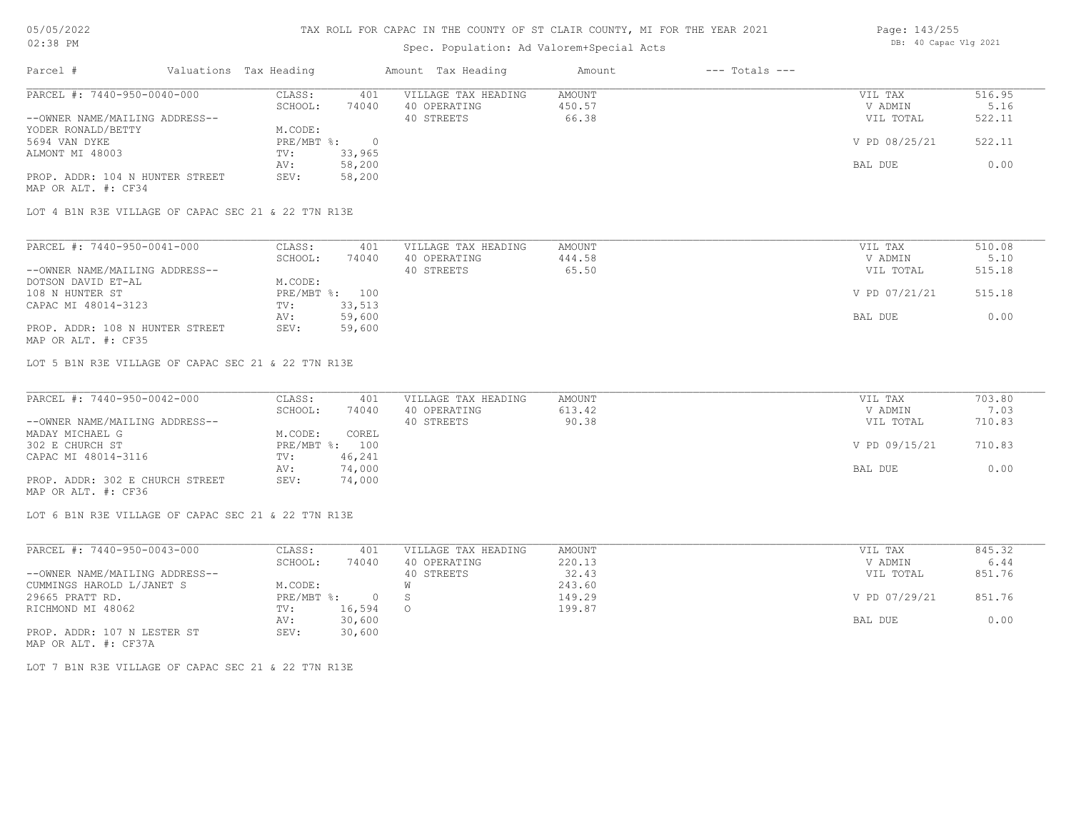MAP OR ALT. #: CF34

#### TAX ROLL FOR CAPAC IN THE COUNTY OF ST CLAIR COUNTY, MI FOR THE YEAR 2021

# Spec. Population: Ad Valorem+Special Acts

| spec. ropulation. Ad valorem special Acts |  |                        |        |                     |        |                    |               |        |
|-------------------------------------------|--|------------------------|--------|---------------------|--------|--------------------|---------------|--------|
| Parcel #                                  |  | Valuations Tax Heading |        | Amount Tax Heading  | Amount | $---$ Totals $---$ |               |        |
| PARCEL #: 7440-950-0040-000               |  | CLASS:                 | 401    | VILLAGE TAX HEADING | AMOUNT |                    | VIL TAX       | 516.95 |
|                                           |  | SCHOOL:                | 74040  | 40 OPERATING        | 450.57 |                    | V ADMIN       | 5.16   |
| --OWNER NAME/MAILING ADDRESS--            |  |                        |        | 40 STREETS          | 66.38  |                    | VIL TOTAL     | 522.11 |
| YODER RONALD/BETTY                        |  | M.CODE:                |        |                     |        |                    |               |        |
| 5694 VAN DYKE                             |  | PRE/MBT %:             |        |                     |        |                    | V PD 08/25/21 | 522.11 |
| ALMONT MI 48003                           |  | TV:                    | 33,965 |                     |        |                    |               |        |
|                                           |  | AV:                    | 58,200 |                     |        |                    | BAL DUE       | 0.00   |

LOT 4 B1N R3E VILLAGE OF CAPAC SEC 21 & 22 T7N R13E

PROP. ADDR: 104 N HUNTER STREET SEV: 58,200

| PARCEL #: 7440-950-0041-000     | CLASS:  | 401            | VILLAGE TAX HEADING | AMOUNT | VIL TAX       | 510.08 |
|---------------------------------|---------|----------------|---------------------|--------|---------------|--------|
|                                 | SCHOOL: | 74040          | 40 OPERATING        | 444.58 | V ADMIN       | 5.10   |
| --OWNER NAME/MAILING ADDRESS--  |         |                | 40 STREETS          | 65.50  | VIL TOTAL     | 515.18 |
| DOTSON DAVID ET-AL              | M.CODE: |                |                     |        |               |        |
| 108 N HUNTER ST                 |         | PRE/MBT %: 100 |                     |        | V PD 07/21/21 | 515.18 |
| CAPAC MI 48014-3123             | TV:     | 33,513         |                     |        |               |        |
|                                 | AV:     | 59,600         |                     |        | BAL DUE       | 0.00   |
| PROP. ADDR: 108 N HUNTER STREET | SEV:    | 59,600         |                     |        |               |        |
| MAP OR ALT. #: CF35             |         |                |                     |        |               |        |

LOT 5 B1N R3E VILLAGE OF CAPAC SEC 21 & 22 T7N R13E

| PARCEL #: 7440-950-0042-000     | CLASS:  | 401            | VILLAGE TAX HEADING | AMOUNT | VIL TAX       | 703.80 |
|---------------------------------|---------|----------------|---------------------|--------|---------------|--------|
|                                 | SCHOOL: | 74040          | 40 OPERATING        | 613.42 | V ADMIN       | 7.03   |
| --OWNER NAME/MAILING ADDRESS--  |         |                | 40 STREETS          | 90.38  | VIL TOTAL     | 710.83 |
| MADAY MICHAEL G                 | M.CODE: | COREL          |                     |        |               |        |
| 302 E CHURCH ST                 |         | PRE/MBT %: 100 |                     |        | V PD 09/15/21 | 710.83 |
| CAPAC MI 48014-3116             | TV:     | 46,241         |                     |        |               |        |
|                                 | AV:     | 74,000         |                     |        | BAL DUE       | 0.00   |
| PROP. ADDR: 302 E CHURCH STREET | SEV:    | 74,000         |                     |        |               |        |
| MAP OR ALT. #: CF36             |         |                |                     |        |               |        |

LOT 6 B1N R3E VILLAGE OF CAPAC SEC 21 & 22 T7N R13E

| PARCEL #: 7440-950-0043-000    | CLASS:     | 401    | VILLAGE TAX HEADING | AMOUNT | VIL TAX       | 845.32 |
|--------------------------------|------------|--------|---------------------|--------|---------------|--------|
|                                | SCHOOL:    | 74040  | 40 OPERATING        | 220.13 | V ADMIN       | 6.44   |
| --OWNER NAME/MAILING ADDRESS-- |            |        | 40 STREETS          | 32.43  | VIL TOTAL     | 851.76 |
| CUMMINGS HAROLD L/JANET S      | M.CODE:    |        | W                   | 243.60 |               |        |
| 29665 PRATT RD.                | PRE/MBT %: |        | $\Omega$ S          | 149.29 | V PD 07/29/21 | 851.76 |
| RICHMOND MI 48062              | TV:        | 16,594 | $\circ$             | 199.87 |               |        |
|                                | AV:        | 30,600 |                     |        | BAL DUE       | 0.00   |
| PROP. ADDR: 107 N LESTER ST    | SEV:       | 30,600 |                     |        |               |        |
| MAP OR ALT. #: CF37A           |            |        |                     |        |               |        |

LOT 7 B1N R3E VILLAGE OF CAPAC SEC 21 & 22 T7N R13E

Page: 143/255 DB: 40 Capac Vlg 2021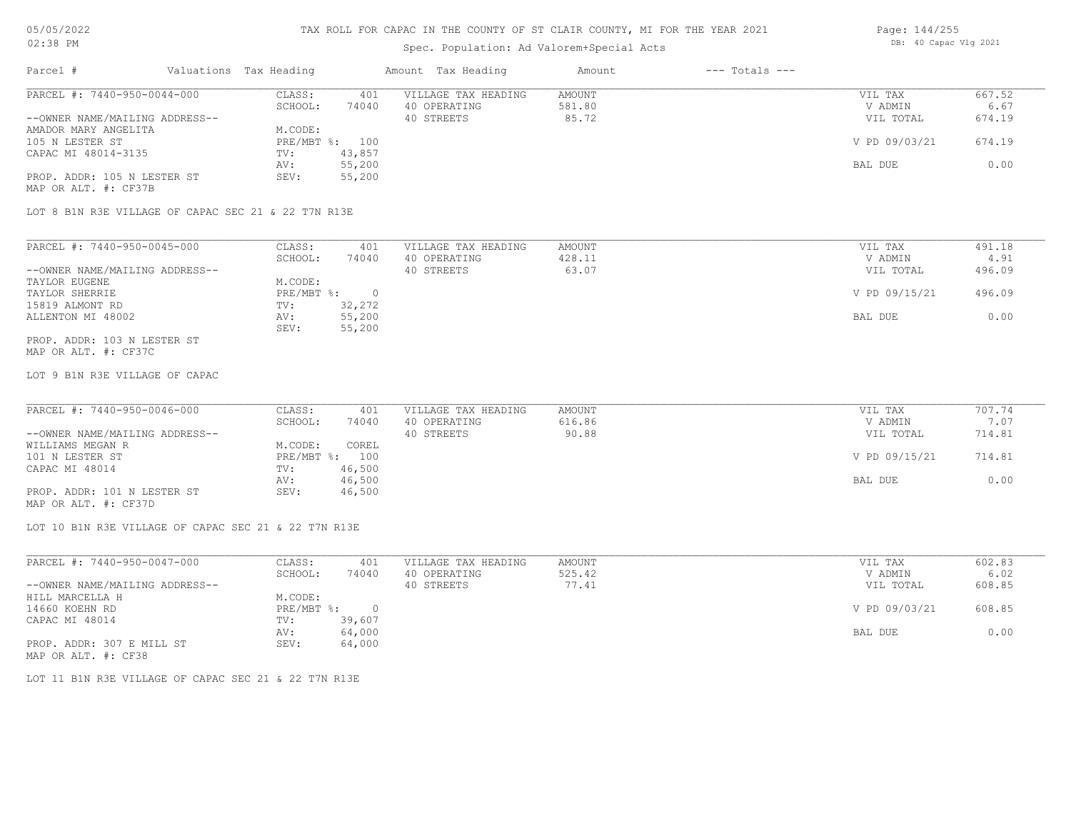#### TAX ROLL FOR CAPAC IN THE COUNTY OF ST CLAIR COUNTY, MI FOR THE YEAR 2021

### Spec. Population: Ad Valorem+Special Acts

|  | Page: 144/255         |  |  |  |  |  |  |
|--|-----------------------|--|--|--|--|--|--|
|  | DB: 40 Capac Vlg 2021 |  |  |  |  |  |  |

| Parcel #                       |  | Valuations Tax Heading | Amount Tax Heading |                     | Amount | $---$ Totals $---$ |               |        |
|--------------------------------|--|------------------------|--------------------|---------------------|--------|--------------------|---------------|--------|
| PARCEL #: 7440-950-0044-000    |  | CLASS:                 | 401                | VILLAGE TAX HEADING | AMOUNT |                    | VIL TAX       | 667.52 |
|                                |  | SCHOOL:                | 74040              | 40 OPERATING        | 581.80 |                    | V ADMIN       | 6.67   |
| --OWNER NAME/MAILING ADDRESS-- |  |                        |                    | 40 STREETS          | 85.72  |                    | VIL TOTAL     | 674.19 |
| AMADOR MARY ANGELITA           |  | M.CODE:                |                    |                     |        |                    |               |        |
| 105 N LESTER ST                |  | PRE/MBT %: 100         |                    |                     |        |                    | V PD 09/03/21 | 674.19 |
| CAPAC MI 48014-3135            |  | TV:                    | 43,857             |                     |        |                    |               |        |
|                                |  | AV:                    | 55,200             |                     |        |                    | BAL DUE       | 0.00   |
| PROP. ADDR: 105 N LESTER ST    |  | SEV:                   | 55,200             |                     |        |                    |               |        |
| MAP OR ALT. #: CF37B           |  |                        |                    |                     |        |                    |               |        |

LOT 8 B1N R3E VILLAGE OF CAPAC SEC 21 & 22 T7N R13E

| PARCEL #: 7440-950-0045-000    | CLASS:     | 401    | VILLAGE TAX HEADING | AMOUNT | VIL TAX       | 491.18 |
|--------------------------------|------------|--------|---------------------|--------|---------------|--------|
|                                | SCHOOL:    | 74040  | 40 OPERATING        | 428.11 | V ADMIN       | 4.91   |
| --OWNER NAME/MAILING ADDRESS-- |            |        | 40 STREETS          | 63.07  | VIL TOTAL     | 496.09 |
| TAYLOR EUGENE                  | M.CODE:    |        |                     |        |               |        |
| TAYLOR SHERRIE                 | PRE/MBT %: |        |                     |        | V PD 09/15/21 | 496.09 |
| 15819 ALMONT RD                | TV:        | 32,272 |                     |        |               |        |
| ALLENTON MI 48002              | AV:        | 55,200 |                     |        | BAL DUE       | 0.00   |
|                                | SEV:       | 55,200 |                     |        |               |        |
| PROP. ADDR: 103 N LESTER ST    |            |        |                     |        |               |        |

MAP OR ALT. #: CF37C

LOT 9 B1N R3E VILLAGE OF CAPAC

| PARCEL #: 7440-950-0046-000    | CLASS:         | 401    | VILLAGE TAX HEADING | AMOUNT | VIL TAX       | 707.74 |
|--------------------------------|----------------|--------|---------------------|--------|---------------|--------|
|                                | SCHOOL:        | 74040  | 40 OPERATING        | 616.86 | V ADMIN       | 7.07   |
| --OWNER NAME/MAILING ADDRESS-- |                |        | 40 STREETS          | 90.88  | VIL TOTAL     | 714.81 |
| WILLIAMS MEGAN R               | M.CODE:        | COREL  |                     |        |               |        |
| 101 N LESTER ST                | PRE/MBT %: 100 |        |                     |        | V PD 09/15/21 | 714.81 |
| CAPAC MI 48014                 | TV:            | 46,500 |                     |        |               |        |
|                                | AV:            | 46,500 |                     |        | BAL DUE       | 0.00   |
| PROP. ADDR: 101 N LESTER ST    | SEV:           | 46,500 |                     |        |               |        |

MAP OR ALT. #: CF37D

LOT 10 B1N R3E VILLAGE OF CAPAC SEC 21 & 22 T7N R13E

| PARCEL #: 7440-950-0047-000    | CLASS:       | 401    | VILLAGE TAX HEADING | AMOUNT | VIL TAX       | 602.83 |
|--------------------------------|--------------|--------|---------------------|--------|---------------|--------|
|                                | SCHOOL:      | 74040  | 40 OPERATING        | 525.42 | V ADMIN       | 6.02   |
| --OWNER NAME/MAILING ADDRESS-- |              |        | 40 STREETS          | 77.41  | VIL TOTAL     | 608.85 |
| HILL MARCELLA H                | M.CODE:      |        |                     |        |               |        |
| 14660 KOEHN RD                 | $PRE/MBT$ %: |        |                     |        | V PD 09/03/21 | 608.85 |
| CAPAC MI 48014                 | TV:          | 39,607 |                     |        |               |        |
|                                | AV:          | 64,000 |                     |        | BAL DUE       | 0.00   |
| PROP. ADDR: 307 E MILL ST      | SEV:         | 64,000 |                     |        |               |        |
| MAP OR ALT. #: CF38            |              |        |                     |        |               |        |

LOT 11 B1N R3E VILLAGE OF CAPAC SEC 21 & 22 T7N R13E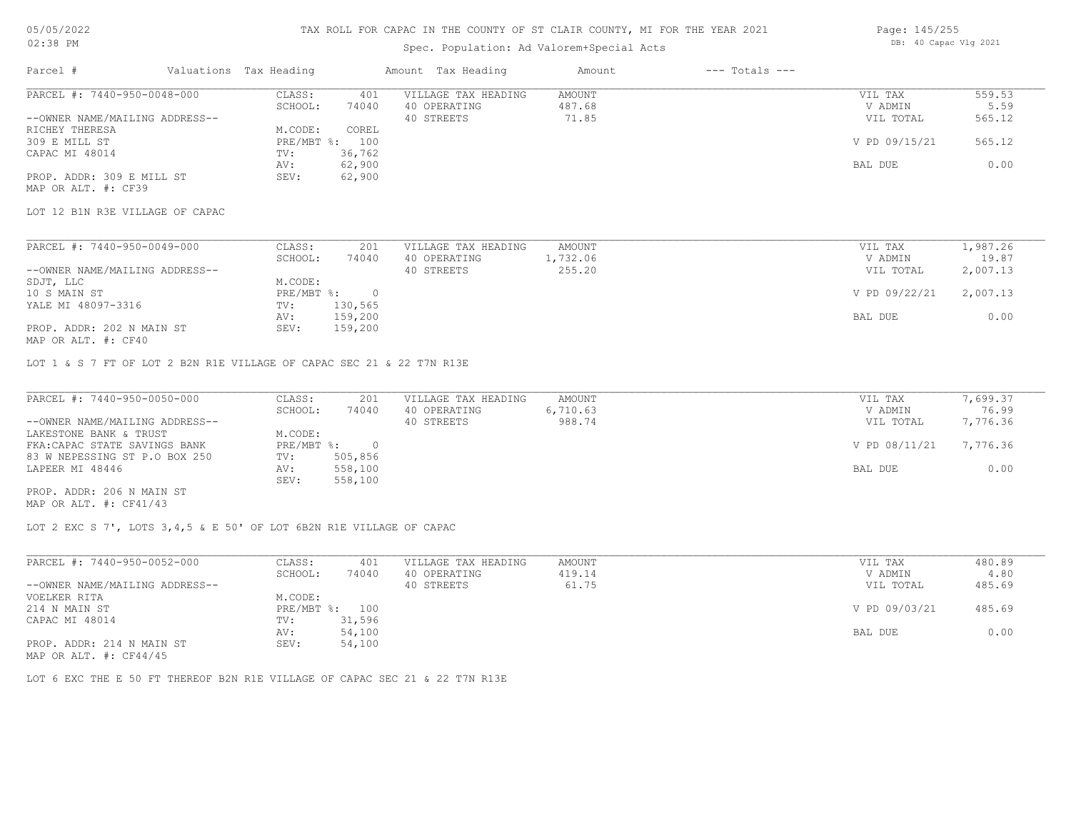## Spec. Population: Ad Valorem+Special Acts

| Page: 145/255 |                       |  |  |  |  |  |
|---------------|-----------------------|--|--|--|--|--|
|               | DB: 40 Capac Vlg 2021 |  |  |  |  |  |

| Parcel #                        | Valuations Tax Heading |        | Amount Tax Heading  | Amount   | $---$ Totals $---$ |               |          |
|---------------------------------|------------------------|--------|---------------------|----------|--------------------|---------------|----------|
| PARCEL #: 7440-950-0048-000     | CLASS:                 | 401    | VILLAGE TAX HEADING | AMOUNT   |                    | VIL TAX       | 559.53   |
|                                 | SCHOOL:                | 74040  | 40 OPERATING        | 487.68   |                    | V ADMIN       | 5.59     |
| --OWNER NAME/MAILING ADDRESS--  |                        |        | 40 STREETS          | 71.85    |                    | VIL TOTAL     | 565.12   |
| RICHEY THERESA                  | M.CODE:                | COREL  |                     |          |                    |               |          |
| 309 E MILL ST                   | PRE/MBT %: 100         |        |                     |          |                    | V PD 09/15/21 | 565.12   |
| CAPAC MI 48014                  | TV:                    | 36,762 |                     |          |                    |               |          |
|                                 | AV:                    | 62,900 |                     |          |                    | BAL DUE       | 0.00     |
| PROP. ADDR: 309 E MILL ST       | SEV:                   | 62,900 |                     |          |                    |               |          |
| MAP OR ALT. #: CF39             |                        |        |                     |          |                    |               |          |
| LOT 12 B1N R3E VILLAGE OF CAPAC |                        |        |                     |          |                    |               |          |
|                                 |                        |        |                     |          |                    |               |          |
| PARCEL #: 7440-950-0049-000     | CLASS:                 | 201    | VILLAGE TAX HEADING | AMOUNT   |                    | VIL TAX       | 1,987.26 |
|                                 | SCHOOL:                | 74040  | 40 OPERATING        | 1,732.06 |                    | V ADMIN       | 19.87    |

|                                | -------      | .       |            | - <i>- - - - - - -</i> | --------      | . <i>.</i> . |
|--------------------------------|--------------|---------|------------|------------------------|---------------|--------------|
| --OWNER NAME/MAILING ADDRESS-- |              |         | 40 STREETS | 255.20                 | VIL TOTAL     | 2,007.13     |
| SDJT, LLC                      | M.CODE:      |         |            |                        |               |              |
| 10 S MAIN ST                   | $PRE/MBT$ %: | $\Box$  |            |                        | V PD 09/22/21 | 2,007.13     |
| YALE MI 48097-3316             | TV:          | 130,565 |            |                        |               |              |
|                                | AV:          | 159,200 |            |                        | BAL DUE       | 0.00         |
| PROP. ADDR: 202 N MAIN ST      | SEV:         | 159,200 |            |                        |               |              |
| MAP OR ALT. #: CF40            |              |         |            |                        |               |              |

LOT 1 & S 7 FT OF LOT 2 B2N R1E VILLAGE OF CAPAC SEC 21 & 22 T7N R13E

| PARCEL #: 7440-950-0050-000    | CLASS:     | 201     | VILLAGE TAX HEADING | AMOUNT   | VIL TAX       | 7,699.37 |
|--------------------------------|------------|---------|---------------------|----------|---------------|----------|
|                                | SCHOOL:    | 74040   | 40 OPERATING        | 6,710.63 | V ADMIN       | 76.99    |
| --OWNER NAME/MAILING ADDRESS-- |            |         | 40 STREETS          | 988.74   | VIL TOTAL     | 7,776.36 |
| LAKESTONE BANK & TRUST         | M.CODE:    |         |                     |          |               |          |
| FKA: CAPAC STATE SAVINGS BANK  | PRE/MBT %: |         |                     |          | V PD 08/11/21 | 7,776.36 |
| 83 W NEPESSING ST P.O BOX 250  | TV:        | 505,856 |                     |          |               |          |
| LAPEER MI 48446                | AV:        | 558,100 |                     |          | BAL DUE       | 0.00     |
|                                | SEV:       | 558,100 |                     |          |               |          |
| PROP. ADDR: 206 N MAIN ST      |            |         |                     |          |               |          |

MAP OR ALT. #: CF41/43

LOT 2 EXC S 7', LOTS 3,4,5 & E 50' OF LOT 6B2N R1E VILLAGE OF CAPAC

| PARCEL #: 7440-950-0052-000    | CLASS:  | 401            | VILLAGE TAX HEADING | AMOUNT | VIL TAX       | 480.89 |
|--------------------------------|---------|----------------|---------------------|--------|---------------|--------|
|                                | SCHOOL: | 74040          | 40 OPERATING        | 419.14 | V ADMIN       | 4.80   |
| --OWNER NAME/MAILING ADDRESS-- |         |                | 40 STREETS          | 61.75  | VIL TOTAL     | 485.69 |
| VOELKER RITA                   | M.CODE: |                |                     |        |               |        |
| 214 N MAIN ST                  |         | PRE/MBT %: 100 |                     |        | V PD 09/03/21 | 485.69 |
| CAPAC MI 48014                 | TV:     | 31,596         |                     |        |               |        |
|                                | AV:     | 54,100         |                     |        | BAL DUE       | 0.00   |
| PROP. ADDR: 214 N MAIN ST      | SEV:    | 54,100         |                     |        |               |        |
| MAP OR ALT. $\#$ : CF44/45     |         |                |                     |        |               |        |

LOT 6 EXC THE E 50 FT THEREOF B2N R1E VILLAGE OF CAPAC SEC 21 & 22 T7N R13E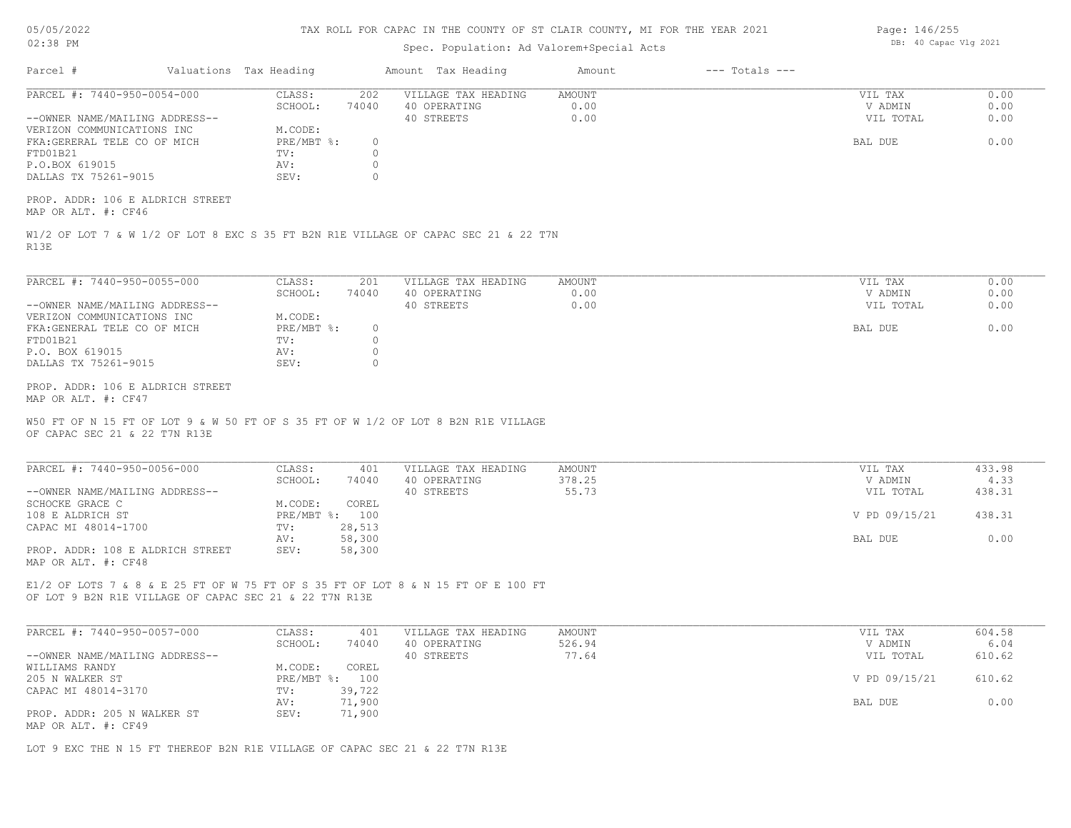| 05/05/2022 |  |
|------------|--|
| 02:38 PM   |  |

# Spec. Population: Ad Valorem+Special Acts

| Page: 146/255 |  |                       |  |  |
|---------------|--|-----------------------|--|--|
|               |  | DB: 40 Capac Vlg 2021 |  |  |

| Parcel #                                                      | Valuations Tax Heading                                                                                                                      | Amount Tax Heading                                | Amount                        | $---$ Totals $---$ |                                 |                      |
|---------------------------------------------------------------|---------------------------------------------------------------------------------------------------------------------------------------------|---------------------------------------------------|-------------------------------|--------------------|---------------------------------|----------------------|
| PARCEL #: 7440-950-0054-000<br>--OWNER NAME/MAILING ADDRESS-- | CLASS:<br>202<br>SCHOOL:<br>74040                                                                                                           | VILLAGE TAX HEADING<br>40 OPERATING<br>40 STREETS | <b>AMOUNT</b><br>0.00<br>0.00 |                    | VIL TAX<br>V ADMIN<br>VIL TOTAL | 0.00<br>0.00<br>0.00 |
| VERIZON COMMUNICATIONS INC<br>FKA: GERERAL TELE CO OF MICH    | M.CODE:<br>PRE/MBT %:                                                                                                                       | $\circ$                                           |                               |                    | BAL DUE                         | 0.00                 |
| FTD01B21<br>P.O.BOX 619015                                    | TV:<br>AV:                                                                                                                                  | $\circ$<br>$\circ$                                |                               |                    |                                 |                      |
| DALLAS TX 75261-9015                                          | SEV:                                                                                                                                        | $\circ$                                           |                               |                    |                                 |                      |
| PROP. ADDR: 106 E ALDRICH STREET<br>MAP OR ALT. #: CF46       |                                                                                                                                             |                                                   |                               |                    |                                 |                      |
| R13E                                                          | W1/2 OF LOT 7 & W 1/2 OF LOT 8 EXC S 35 FT B2N R1E VILLAGE OF CAPAC SEC 21 & 22 T7N                                                         |                                                   |                               |                    |                                 |                      |
| PARCEL #: 7440-950-0055-000                                   | CLASS:<br>201                                                                                                                               | VILLAGE TAX HEADING                               | <b>AMOUNT</b>                 |                    | VIL TAX                         | 0.00                 |
|                                                               | SCHOOL:<br>74040                                                                                                                            | 40 OPERATING                                      | 0.00                          |                    | V ADMIN                         | 0.00                 |
| --OWNER NAME/MAILING ADDRESS--                                |                                                                                                                                             | 40 STREETS                                        | 0.00                          |                    | VIL TOTAL                       | 0.00                 |
| VERIZON COMMUNICATIONS INC<br>FKA: GENERAL TELE CO OF MICH    | M.CODE:<br>PRE/MBT %:                                                                                                                       | $\circ$                                           |                               |                    | BAL DUE                         | 0.00                 |
| FTD01B21                                                      | TV:                                                                                                                                         | $\circ$                                           |                               |                    |                                 |                      |
| P.O. BOX 619015                                               | AV:                                                                                                                                         | $\circ$                                           |                               |                    |                                 |                      |
| DALLAS TX 75261-9015                                          | SEV:                                                                                                                                        | $\circ$                                           |                               |                    |                                 |                      |
| PROP. ADDR: 106 E ALDRICH STREET                              |                                                                                                                                             |                                                   |                               |                    |                                 |                      |
| MAP OR ALT. #: CF47                                           |                                                                                                                                             |                                                   |                               |                    |                                 |                      |
| OF CAPAC SEC 21 & 22 T7N R13E                                 | W50 FT OF N 15 FT OF LOT 9 & W 50 FT OF S 35 FT OF W 1/2 OF LOT 8 B2N R1E VILLAGE                                                           |                                                   |                               |                    |                                 |                      |
| PARCEL #: 7440-950-0056-000                                   | CLASS:<br>401                                                                                                                               | VILLAGE TAX HEADING                               | <b>AMOUNT</b>                 |                    | VIL TAX                         | 433.98               |
|                                                               | SCHOOL:<br>74040                                                                                                                            | 40 OPERATING                                      | 378.25                        |                    | V ADMIN                         | 4.33                 |
| --OWNER NAME/MAILING ADDRESS--<br>SCHOCKE GRACE C             | M.CODE:<br>COREL                                                                                                                            | 40 STREETS                                        | 55.73                         |                    | VIL TOTAL                       | 438.31               |
| 108 E ALDRICH ST                                              | PRE/MBT %: 100                                                                                                                              |                                                   |                               |                    | V PD 09/15/21                   | 438.31               |
| CAPAC MI 48014-1700                                           | TV:<br>28,513                                                                                                                               |                                                   |                               |                    |                                 |                      |
| PROP. ADDR: 108 E ALDRICH STREET<br>MAP OR ALT. #: CF48       | 58,300<br>AV:<br>58,300<br>SEV:                                                                                                             |                                                   |                               |                    | BAL DUE                         | 0.00                 |
|                                                               | E1/2 OF LOTS 7 & 8 & E 25 FT OF W 75 FT OF S 35 FT OF LOT 8 & N 15 FT OF E 100 FT<br>OF LOT 9 B2N R1E VILLAGE OF CAPAC SEC 21 & 22 T7N R13E |                                                   |                               |                    |                                 |                      |
|                                                               |                                                                                                                                             |                                                   |                               |                    |                                 |                      |
| PARCEL #: 7440-950-0057-000                                   | CLASS:<br>401                                                                                                                               | VILLAGE TAX HEADING                               | <b>AMOUNT</b>                 |                    | VIL TAX                         | 604.58               |
| --OWNER NAME/MAILING ADDRESS--                                | SCHOOL:<br>74040                                                                                                                            | 40 OPERATING<br>40 STREETS                        | 526.94<br>77.64               |                    | V ADMIN<br>VIL TOTAL            | 6.04<br>610.62       |
| WILLIAMS RANDY                                                | COREL<br>M.CODE:                                                                                                                            |                                                   |                               |                    |                                 |                      |
| 205 N WALKER ST                                               | PRE/MBT %: 100                                                                                                                              |                                                   |                               |                    | V PD 09/15/21                   | 610.62               |
| CAPAC MI 48014-3170                                           | 39,722<br>TV:<br>71,900<br>AV:                                                                                                              |                                                   |                               |                    | BAL DUE                         | 0.00                 |

LOT 9 EXC THE N 15 FT THEREOF B2N R1E VILLAGE OF CAPAC SEC 21 & 22 T7N R13E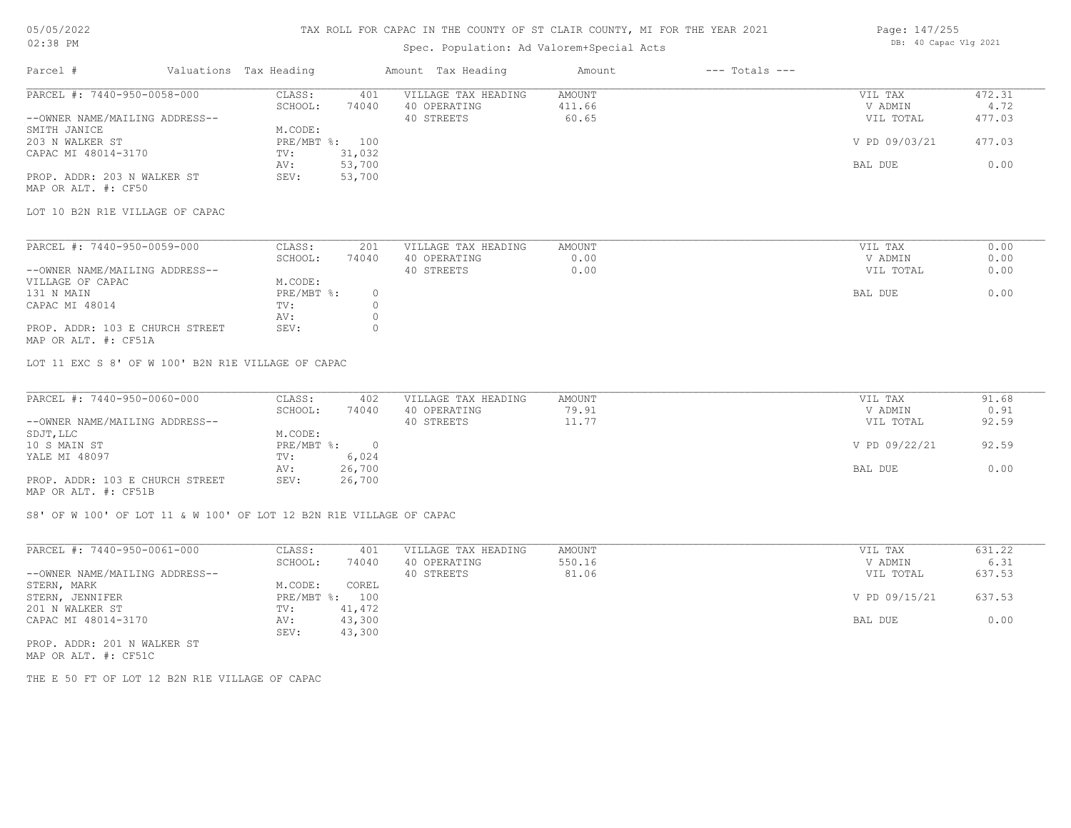### TAX ROLL FOR CAPAC IN THE COUNTY OF ST CLAIR COUNTY, MI FOR THE YEAR 2021

# Spec. Population: Ad Valorem+Special Acts

| Parcel #                       | Valuations Tax Heading |        | Amount Tax Heading  | Amount | $---$ Totals $---$ |               |        |
|--------------------------------|------------------------|--------|---------------------|--------|--------------------|---------------|--------|
| PARCEL #: 7440-950-0058-000    | CLASS:                 | 401    | VILLAGE TAX HEADING | AMOUNT |                    | VIL TAX       | 472.31 |
|                                | SCHOOL:                | 74040  | 40 OPERATING        | 411.66 |                    | V ADMIN       | 4.72   |
| --OWNER NAME/MAILING ADDRESS-- |                        |        | 40 STREETS          | 60.65  |                    | VIL TOTAL     | 477.03 |
| SMITH JANICE                   | M.CODE:                |        |                     |        |                    |               |        |
| 203 N WALKER ST                | PRE/MBT %: 100         |        |                     |        |                    | V PD 09/03/21 | 477.03 |
| CAPAC MI 48014-3170            | TV:                    | 31,032 |                     |        |                    |               |        |
|                                | AV:                    | 53,700 |                     |        |                    | BAL DUE       | 0.00   |
| PROP. ADDR: 203 N WALKER ST    | SEV:                   | 53,700 |                     |        |                    |               |        |
|                                |                        |        |                     |        |                    |               |        |

MAP OR ALT. #: CF50

LOT 10 B2N R1E VILLAGE OF CAPAC

| PARCEL #: 7440-950-0059-000                                                                                                                                                                                                     | CLASS:     | 201   | VILLAGE TAX HEADING | AMOUNT | VIL TAX   | 0.00 |
|---------------------------------------------------------------------------------------------------------------------------------------------------------------------------------------------------------------------------------|------------|-------|---------------------|--------|-----------|------|
|                                                                                                                                                                                                                                 | SCHOOL:    | 74040 | 40 OPERATING        | 0.00   | V ADMIN   | 0.00 |
| --OWNER NAME/MAILING ADDRESS--                                                                                                                                                                                                  |            |       | 40 STREETS          | 0.00   | VIL TOTAL | 0.00 |
| VILLAGE OF CAPAC                                                                                                                                                                                                                | M.CODE:    |       |                     |        |           |      |
| 131 N MAIN                                                                                                                                                                                                                      | PRE/MBT %: |       |                     |        | BAL DUE   | 0.00 |
| CAPAC MI 48014                                                                                                                                                                                                                  | TV:        |       |                     |        |           |      |
|                                                                                                                                                                                                                                 | AV:        |       |                     |        |           |      |
| PROP. ADDR: 103 E CHURCH STREET                                                                                                                                                                                                 | SEV:       |       |                     |        |           |      |
| $\sim$ . The contract of the contract of the contract of the contract of the contract of the contract of the contract of the contract of the contract of the contract of the contract of the contract of the contract of the co |            |       |                     |        |           |      |

MAP OR ALT. #: CF51A

LOT 11 EXC S 8' OF W 100' B2N R1E VILLAGE OF CAPAC

| PARCEL #: 7440-950-0060-000     | CLASS:     | 402    | VILLAGE TAX HEADING | AMOUNT | VIL TAX       | 91.68 |
|---------------------------------|------------|--------|---------------------|--------|---------------|-------|
|                                 | SCHOOL:    | 74040  | 40 OPERATING        | 79.91  | V ADMIN       | 0.91  |
| --OWNER NAME/MAILING ADDRESS--  |            |        | 40 STREETS          | 11.77  | VIL TOTAL     | 92.59 |
| SDJT, LLC                       | M.CODE:    |        |                     |        |               |       |
| 10 S MAIN ST                    | PRE/MBT %: |        |                     |        | V PD 09/22/21 | 92.59 |
| YALE MI 48097                   | TV:        | 6,024  |                     |        |               |       |
|                                 | AV:        | 26,700 |                     |        | BAL DUE       | 0.00  |
| PROP. ADDR: 103 E CHURCH STREET | SEV:       | 26,700 |                     |        |               |       |
| MAP OR ALT. #: CF51B            |            |        |                     |        |               |       |

S8' OF W 100' OF LOT 11 & W 100' OF LOT 12 B2N R1E VILLAGE OF CAPAC

| PARCEL #: 7440-950-0061-000    | CLASS:       | 401    | VILLAGE TAX HEADING | AMOUNT | VIL TAX       | 631.22 |
|--------------------------------|--------------|--------|---------------------|--------|---------------|--------|
|                                | SCHOOL:      | 74040  | 40 OPERATING        | 550.16 | V ADMIN       | 6.31   |
| --OWNER NAME/MAILING ADDRESS-- |              |        | 40 STREETS          | 81.06  | VIL TOTAL     | 637.53 |
| STERN, MARK                    | M.CODE:      | COREL  |                     |        |               |        |
| STERN, JENNIFER                | $PRE/MBT$ %: | 100    |                     |        | V PD 09/15/21 | 637.53 |
| 201 N WALKER ST                | TV:          | 41,472 |                     |        |               |        |
| CAPAC MI 48014-3170            | AV:          | 43,300 |                     |        | BAL DUE       | 0.00   |
|                                | SEV:         | 43,300 |                     |        |               |        |
| PROP. ADDR: 201 N WALKER ST    |              |        |                     |        |               |        |

MAP OR ALT. #: CF51C

THE E 50 FT OF LOT 12 B2N R1E VILLAGE OF CAPAC

Page: 147/255 DB: 40 Capac Vlg 2021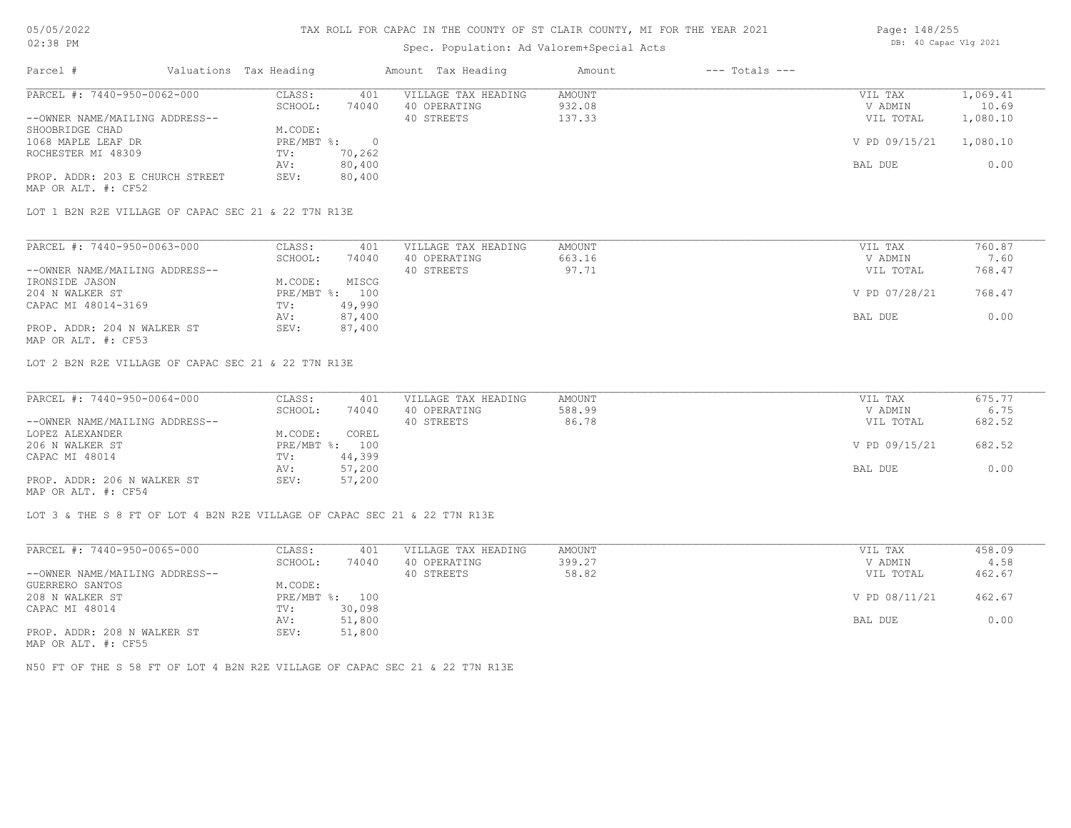#### TAX ROLL FOR CAPAC IN THE COUNTY OF ST CLAIR COUNTY, MI FOR THE YEAR 2021

## Spec. Population: Ad Valorem+Special Acts

| Page: 148/255 |                       |  |
|---------------|-----------------------|--|
|               | DB: 40 Capac Vlg 2021 |  |

| Parcel #                        | Valuations Tax Heading |        | Amount Tax Heading  | Amount | $---$ Totals $---$ |               |          |
|---------------------------------|------------------------|--------|---------------------|--------|--------------------|---------------|----------|
| PARCEL #: 7440-950-0062-000     | CLASS:                 | 401    | VILLAGE TAX HEADING | AMOUNT |                    | VIL TAX       | 1,069.41 |
|                                 | SCHOOL:                | 74040  | 40 OPERATING        | 932.08 |                    | V ADMIN       | 10.69    |
| --OWNER NAME/MAILING ADDRESS--  |                        |        | 40 STREETS          | 137.33 |                    | VIL TOTAL     | 1,080.10 |
| SHOOBRIDGE CHAD                 | M.CODE:                |        |                     |        |                    |               |          |
| 1068 MAPLE LEAF DR              | PRE/MBT %:             |        |                     |        |                    | V PD 09/15/21 | 1,080.10 |
| ROCHESTER MI 48309              | TV:                    | 70,262 |                     |        |                    |               |          |
|                                 | AV:                    | 80,400 |                     |        |                    | BAL DUE       | 0.00     |
| PROP. ADDR: 203 E CHURCH STREET | SEV:                   | 80,400 |                     |        |                    |               |          |
| MAP OR ALT. #: CF52             |                        |        |                     |        |                    |               |          |

LOT 1 B2N R2E VILLAGE OF CAPAC SEC 21 & 22 T7N R13E

| PARCEL #: 7440-950-0063-000    | CLASS:  | 401            | VILLAGE TAX HEADING | AMOUNT | VIL TAX       | 760.87 |
|--------------------------------|---------|----------------|---------------------|--------|---------------|--------|
|                                | SCHOOL: | 74040          | 40 OPERATING        | 663.16 | V ADMIN       | 7.60   |
| --OWNER NAME/MAILING ADDRESS-- |         |                | 40 STREETS          | 97.71  | VIL TOTAL     | 768.47 |
| IRONSIDE JASON                 | M.CODE: | MISCG          |                     |        |               |        |
| 204 N WALKER ST                |         | PRE/MBT %: 100 |                     |        | V PD 07/28/21 | 768.47 |
| CAPAC MI 48014-3169            | TV:     | 49,990         |                     |        |               |        |
|                                | AV:     | 87,400         |                     |        | BAL DUE       | 0.00   |
| PROP. ADDR: 204 N WALKER ST    | SEV:    | 87,400         |                     |        |               |        |
| MAP OR ALT. #: CF53            |         |                |                     |        |               |        |

LOT 2 B2N R2E VILLAGE OF CAPAC SEC 21 & 22 T7N R13E

| PARCEL #: 7440-950-0064-000    | CLASS:  | 401            | VILLAGE TAX HEADING | AMOUNT | VIL TAX       | 675.77 |
|--------------------------------|---------|----------------|---------------------|--------|---------------|--------|
|                                | SCHOOL: | 74040          | 40 OPERATING        | 588.99 | V ADMIN       | 6.75   |
| --OWNER NAME/MAILING ADDRESS-- |         |                | 40 STREETS          | 86.78  | VIL TOTAL     | 682.52 |
| LOPEZ ALEXANDER                | M.CODE: | COREL          |                     |        |               |        |
| 206 N WALKER ST                |         | PRE/MBT %: 100 |                     |        | V PD 09/15/21 | 682.52 |
| CAPAC MI 48014                 | TV:     | 44,399         |                     |        |               |        |
|                                | AV:     | 57,200         |                     |        | BAL DUE       | 0.00   |
| PROP. ADDR: 206 N WALKER ST    | SEV:    | 57,200         |                     |        |               |        |
|                                |         |                |                     |        |               |        |

MAP OR ALT. #: CF54

LOT 3 & THE S 8 FT OF LOT 4 B2N R2E VILLAGE OF CAPAC SEC 21 & 22 T7N R13E

| PARCEL #: 7440-950-0065-000                       | CLASS:     | 401    | VILLAGE TAX HEADING | AMOUNT | VIL TAX       | 458.09 |
|---------------------------------------------------|------------|--------|---------------------|--------|---------------|--------|
|                                                   | SCHOOL:    | 74040  | 40 OPERATING        | 399.27 | V ADMIN       | 4.58   |
| --OWNER NAME/MAILING ADDRESS--                    |            |        | 40 STREETS          | 58.82  | VIL TOTAL     | 462.67 |
| GUERRERO SANTOS                                   | M.CODE:    |        |                     |        |               |        |
| 208 N WALKER ST                                   | PRE/MBT %: | 100    |                     |        | V PD 08/11/21 | 462.67 |
| CAPAC MI 48014                                    | TV:        | 30,098 |                     |        |               |        |
|                                                   | AV:        | 51,800 |                     |        | BAL DUE       | 0.00   |
| PROP. ADDR: 208 N WALKER ST<br>MAD OD ATM 4. OBEE | SEV:       | 51,800 |                     |        |               |        |

MAP OR ALT. #: CF55

N50 FT OF THE S 58 FT OF LOT 4 B2N R2E VILLAGE OF CAPAC SEC 21 & 22 T7N R13E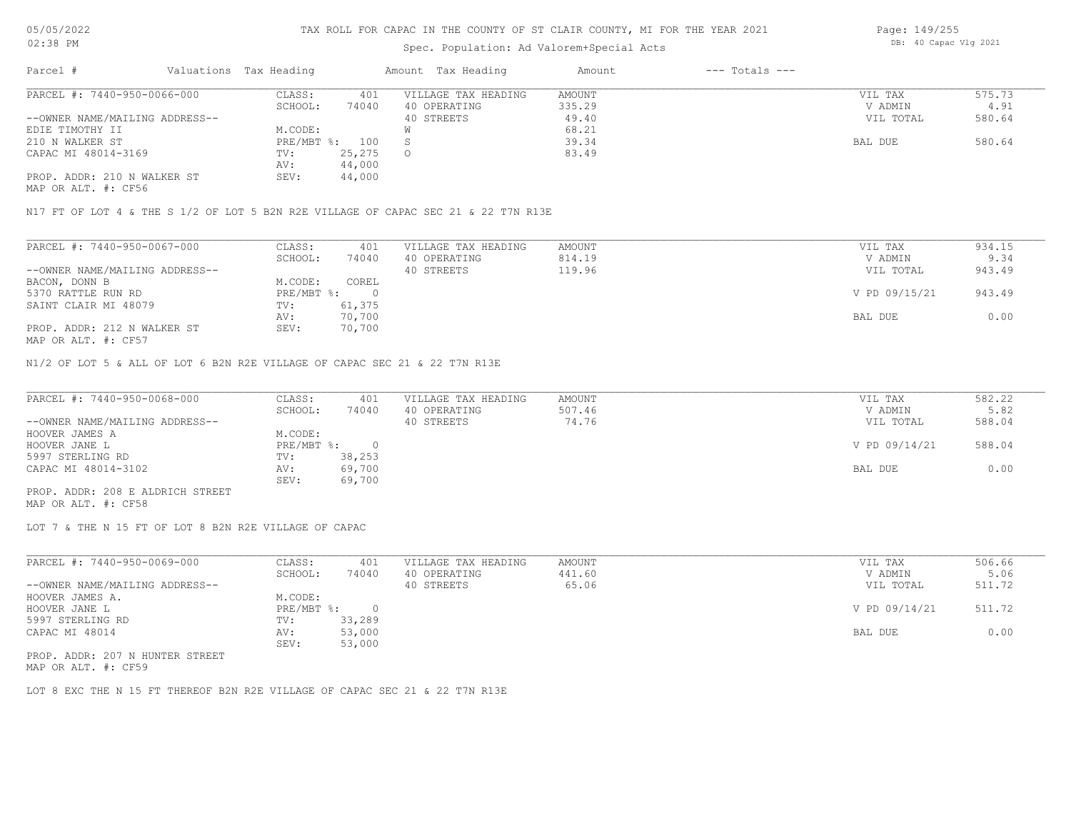### Spec. Population: Ad Valorem+Special Acts

| Parcel #                       | Valuations Tax Heading |        | Amount Tax Heading  | Amount | $---$ Totals $---$ |           |        |
|--------------------------------|------------------------|--------|---------------------|--------|--------------------|-----------|--------|
| PARCEL #: 7440-950-0066-000    | CLASS:                 | 401    | VILLAGE TAX HEADING | AMOUNT |                    | VIL TAX   | 575.73 |
|                                | SCHOOL:                | 74040  | 40 OPERATING        | 335.29 |                    | V ADMIN   | 4.91   |
| --OWNER NAME/MAILING ADDRESS-- |                        |        | 40 STREETS          | 49.40  |                    | VIL TOTAL | 580.64 |
| EDIE TIMOTHY II                | M.CODE:                |        |                     | 68.21  |                    |           |        |
| 210 N WALKER ST                | PRE/MBT %: 100         |        |                     | 39.34  |                    | BAL DUE   | 580.64 |
| CAPAC MI 48014-3169            | TV:                    | 25,275 | $\circ$             | 83.49  |                    |           |        |
|                                | AV:                    | 44,000 |                     |        |                    |           |        |
| PROP. ADDR: 210 N WALKER ST    | SEV:                   | 44,000 |                     |        |                    |           |        |
|                                |                        |        |                     |        |                    |           |        |

MAP OR ALT. #: CF56

N17 FT OF LOT 4 & THE S 1/2 OF LOT 5 B2N R2E VILLAGE OF CAPAC SEC 21 & 22 T7N R13E

| PARCEL #: 7440-950-0067-000    | CLASS:     | 401    | VILLAGE TAX HEADING | AMOUNT | VIL TAX       | 934.15 |
|--------------------------------|------------|--------|---------------------|--------|---------------|--------|
|                                | SCHOOL:    | 74040  | 40 OPERATING        | 814.19 | V ADMIN       | 9.34   |
| --OWNER NAME/MAILING ADDRESS-- |            |        | 40 STREETS          | 119.96 | VIL TOTAL     | 943.49 |
| BACON, DONN B                  | M.CODE:    | COREL  |                     |        |               |        |
| 5370 RATTLE RUN RD             | PRE/MBT %: |        |                     |        | V PD 09/15/21 | 943.49 |
| SAINT CLAIR MI 48079           | TV:        | 61,375 |                     |        |               |        |
|                                | AV:        | 70,700 |                     |        | BAL DUE       | 0.00   |
| PROP. ADDR: 212 N WALKER ST    | SEV:       | 70,700 |                     |        |               |        |
|                                |            |        |                     |        |               |        |

MAP OR ALT. #: CF57

N1/2 OF LOT 5 & ALL OF LOT 6 B2N R2E VILLAGE OF CAPAC SEC 21 & 22 T7N R13E

| PARCEL #: 7440-950-0068-000      | CLASS:     | 401    | VILLAGE TAX HEADING | AMOUNT | VIL TAX       | 582.22 |
|----------------------------------|------------|--------|---------------------|--------|---------------|--------|
|                                  | SCHOOL:    | 74040  | 40 OPERATING        | 507.46 | V ADMIN       | 5.82   |
| --OWNER NAME/MAILING ADDRESS--   |            |        | 40 STREETS          | 74.76  | VIL TOTAL     | 588.04 |
| HOOVER JAMES A                   | M.CODE:    |        |                     |        |               |        |
| HOOVER JANE L                    | PRE/MBT %: |        |                     |        | V PD 09/14/21 | 588.04 |
| 5997 STERLING RD                 | TV:        | 38,253 |                     |        |               |        |
| CAPAC MI 48014-3102              | AV:        | 69,700 |                     |        | BAL DUE       | 0.00   |
|                                  | SEV:       | 69,700 |                     |        |               |        |
| PROP. ADDR: 208 E ALDRICH STREET |            |        |                     |        |               |        |

MAP OR ALT. #: CF58

LOT 7 & THE N 15 FT OF LOT 8 B2N R2E VILLAGE OF CAPAC

| PARCEL #: 7440-950-0069-000     | CLASS:       | 401    | VILLAGE TAX HEADING | AMOUNT | VIL TAX       | 506.66 |
|---------------------------------|--------------|--------|---------------------|--------|---------------|--------|
|                                 | SCHOOL:      | 74040  | 40 OPERATING        | 441.60 | V ADMIN       | 5.06   |
| --OWNER NAME/MAILING ADDRESS--  |              |        | 40 STREETS          | 65.06  | VIL TOTAL     | 511.72 |
| HOOVER JAMES A.                 | M.CODE:      |        |                     |        |               |        |
| HOOVER JANE L                   | $PRE/MBT$ %: |        |                     |        | V PD 09/14/21 | 511.72 |
| 5997 STERLING RD                | TV:          | 33,289 |                     |        |               |        |
| CAPAC MI 48014                  | AV:          | 53,000 |                     |        | BAL DUE       | 0.00   |
|                                 | SEV:         | 53,000 |                     |        |               |        |
| PROP. ADDR: 207 N HUNTER STREET |              |        |                     |        |               |        |

MAP OR ALT. #: CF59

LOT 8 EXC THE N 15 FT THEREOF B2N R2E VILLAGE OF CAPAC SEC 21 & 22 T7N R13E

Page: 149/255 DB: 40 Capac Vlg 2021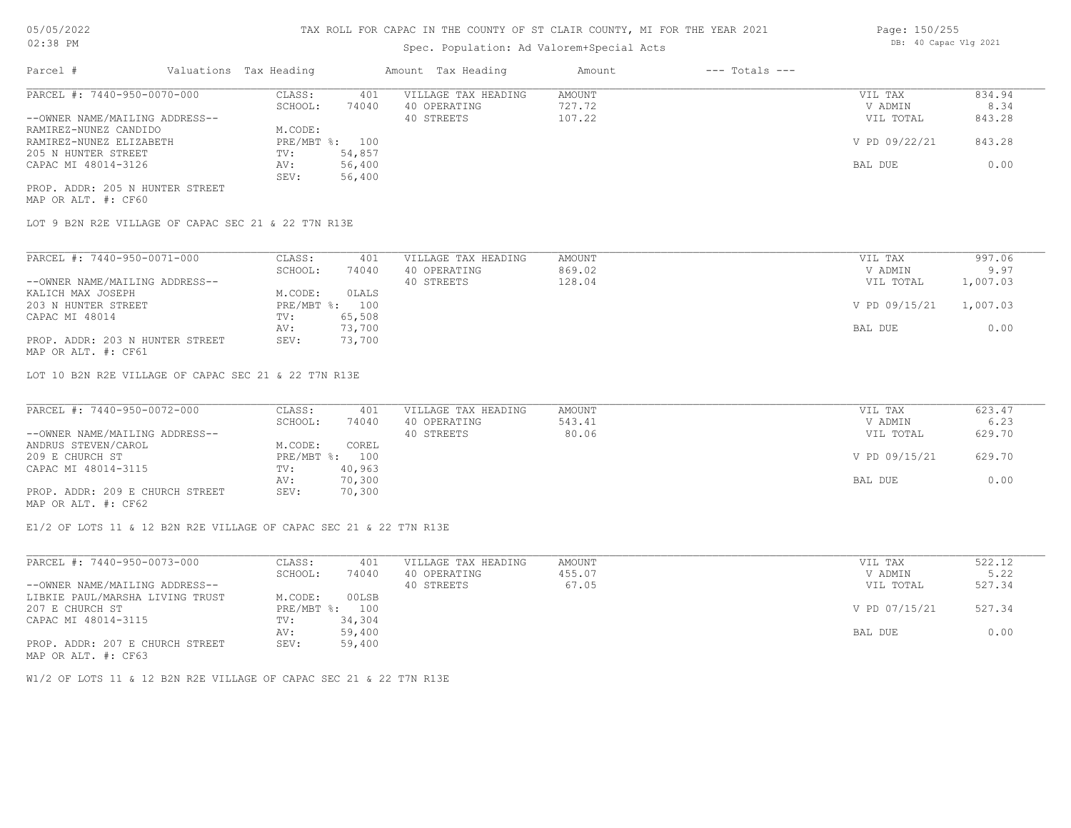## Spec. Population: Ad Valorem+Special Acts

| Parcel #                       |  | Valuations Tax Heading |        | Amount Tax Heading  | Amount | --- Totals --- |               |        |
|--------------------------------|--|------------------------|--------|---------------------|--------|----------------|---------------|--------|
| PARCEL #: 7440-950-0070-000    |  | CLASS:                 | 401    | VILLAGE TAX HEADING | AMOUNT |                | VIL TAX       | 834.94 |
|                                |  | SCHOOL:                | 74040  | 40 OPERATING        | 727.72 |                | V ADMIN       | 8.34   |
| --OWNER NAME/MAILING ADDRESS-- |  |                        |        | 40 STREETS          | 107.22 |                | VIL TOTAL     | 843.28 |
| RAMIREZ-NUNEZ CANDIDO          |  | M.CODE:                |        |                     |        |                |               |        |
| RAMIREZ-NUNEZ ELIZABETH        |  | PRE/MBT %: 100         |        |                     |        |                | V PD 09/22/21 | 843.28 |
| 205 N HUNTER STREET            |  | TV:                    | 54,857 |                     |        |                |               |        |
| CAPAC MI 48014-3126            |  | AV:                    | 56,400 |                     |        |                | BAL DUE       | 0.00   |
|                                |  | SEV:                   | 56,400 |                     |        |                |               |        |

MAP OR ALT. #: CF60 PROP. ADDR: 205 N HUNTER STREET

LOT 9 B2N R2E VILLAGE OF CAPAC SEC 21 & 22 T7N R13E

| PARCEL #: 7440-950-0071-000     | CLASS:       | 401    | VILLAGE TAX HEADING | AMOUNT | VIL TAX       | 997.06   |
|---------------------------------|--------------|--------|---------------------|--------|---------------|----------|
|                                 | SCHOOL:      | 74040  | 40 OPERATING        | 869.02 | V ADMIN       | 9.97     |
| --OWNER NAME/MAILING ADDRESS--  |              |        | 40 STREETS          | 128.04 | VIL TOTAL     | 1,007.03 |
| KALICH MAX JOSEPH               | M.CODE:      | OLALS  |                     |        |               |          |
| 203 N HUNTER STREET             | $PRE/MBT$ %: | 100    |                     |        | V PD 09/15/21 | 1,007.03 |
| CAPAC MI 48014                  | TV:          | 65,508 |                     |        |               |          |
|                                 | AV:          | 73,700 |                     |        | BAL DUE       | 0.00     |
| PROP. ADDR: 203 N HUNTER STREET | SEV:         | 73,700 |                     |        |               |          |
| MAP OR ALT. #: CF61             |              |        |                     |        |               |          |

LOT 10 B2N R2E VILLAGE OF CAPAC SEC 21 & 22 T7N R13E

| PARCEL #: 7440-950-0072-000     | CLASS:  | 401            | VILLAGE TAX HEADING | AMOUNT | VIL TAX       | 623.47 |
|---------------------------------|---------|----------------|---------------------|--------|---------------|--------|
|                                 | SCHOOL: | 74040          | 40 OPERATING        | 543.41 | V ADMIN       | 6.23   |
| --OWNER NAME/MAILING ADDRESS--  |         |                | 40 STREETS          | 80.06  | VIL TOTAL     | 629.70 |
| ANDRUS STEVEN/CAROL             | M.CODE: | COREL          |                     |        |               |        |
| 209 E CHURCH ST                 |         | PRE/MBT %: 100 |                     |        | V PD 09/15/21 | 629.70 |
| CAPAC MI 48014-3115             | TV:     | 40,963         |                     |        |               |        |
|                                 | AV:     | 70,300         |                     |        | BAL DUE       | 0.00   |
| PROP. ADDR: 209 E CHURCH STREET | SEV:    | 70,300         |                     |        |               |        |
|                                 |         |                |                     |        |               |        |

MAP OR ALT. #: CF62

E1/2 OF LOTS 11 & 12 B2N R2E VILLAGE OF CAPAC SEC 21 & 22 T7N R13E

| PARCEL #: 7440-950-0073-000     | CLASS:  | 401            | VILLAGE TAX HEADING | AMOUNT | VIL TAX       | 522.12 |
|---------------------------------|---------|----------------|---------------------|--------|---------------|--------|
|                                 | SCHOOL: | 74040          | 40 OPERATING        | 455.07 | V ADMIN       | 5.22   |
| --OWNER NAME/MAILING ADDRESS--  |         |                | 40 STREETS          | 67.05  | VIL TOTAL     | 527.34 |
| LIBKIE PAUL/MARSHA LIVING TRUST | M.CODE: | 00LSB          |                     |        |               |        |
| 207 E CHURCH ST                 |         | PRE/MBT %: 100 |                     |        | V PD 07/15/21 | 527.34 |
| CAPAC MI 48014-3115             | TV:     | 34,304         |                     |        |               |        |
|                                 | AV:     | 59,400         |                     |        | BAL DUE       | 0.00   |
| PROP. ADDR: 207 E CHURCH STREET | SEV:    | 59,400         |                     |        |               |        |
| MAP OR ALT. #: CF63             |         |                |                     |        |               |        |

W1/2 OF LOTS 11 & 12 B2N R2E VILLAGE OF CAPAC SEC 21 & 22 T7N R13E

Page: 150/255 DB: 40 Capac Vlg 2021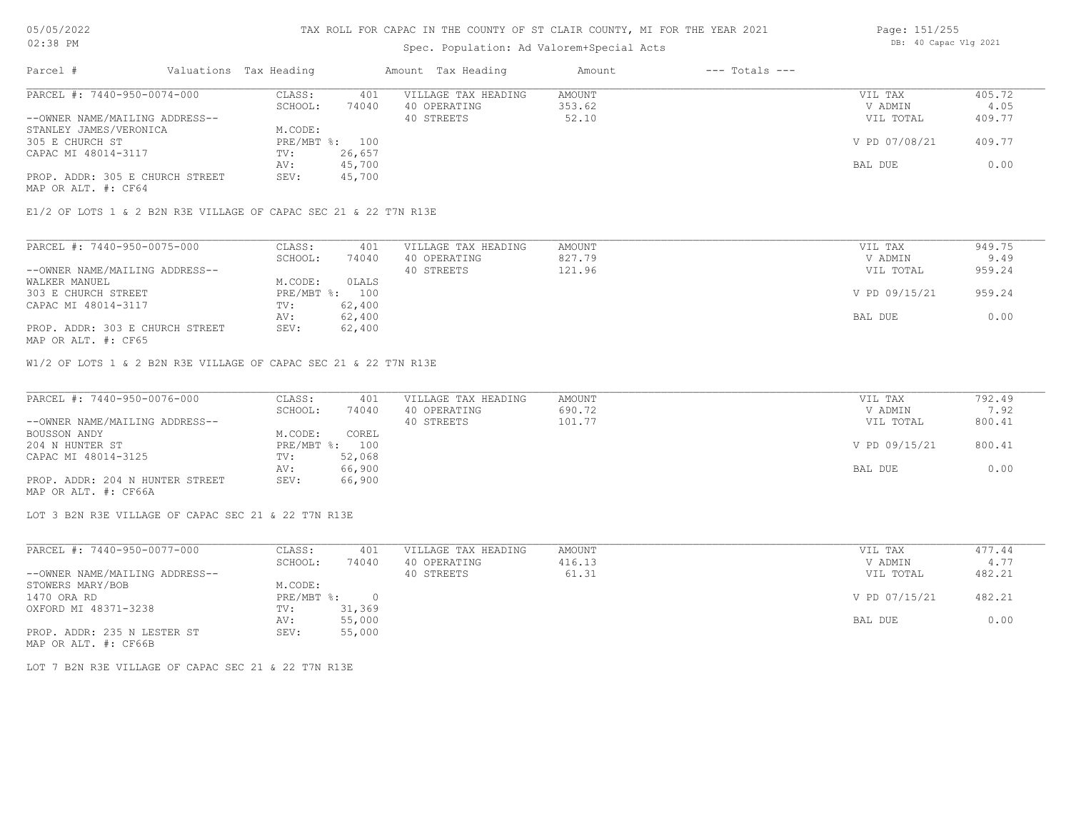### TAX ROLL FOR CAPAC IN THE COUNTY OF ST CLAIR COUNTY, MI FOR THE YEAR 2021

## Spec. Population: Ad Valorem+Special Acts

| Parcel #                        | Valuations Tax Heading |                | Amount Tax Heading  | Amount | $---$ Totals $---$ |               |        |
|---------------------------------|------------------------|----------------|---------------------|--------|--------------------|---------------|--------|
| PARCEL #: 7440-950-0074-000     | CLASS:                 | 401            | VILLAGE TAX HEADING | AMOUNT |                    | VIL TAX       | 405.72 |
|                                 | SCHOOL:                | 74040          | 40 OPERATING        | 353.62 |                    | V ADMIN       | 4.05   |
| --OWNER NAME/MAILING ADDRESS--  |                        |                | 40 STREETS          | 52.10  |                    | VIL TOTAL     | 409.77 |
| STANLEY JAMES/VERONICA          | M.CODE:                |                |                     |        |                    |               |        |
| 305 E CHURCH ST                 |                        | PRE/MBT %: 100 |                     |        |                    | V PD 07/08/21 | 409.77 |
| CAPAC MI 48014-3117             | TV:                    | 26,657         |                     |        |                    |               |        |
|                                 | AV:                    | 45,700         |                     |        |                    | BAL DUE       | 0.00   |
| PROP. ADDR: 305 E CHURCH STREET | SEV:                   | 45,700         |                     |        |                    |               |        |
|                                 |                        |                |                     |        |                    |               |        |

MAP OR ALT. #: CF64

E1/2 OF LOTS 1 & 2 B2N R3E VILLAGE OF CAPAC SEC 21 & 22 T7N R13E

| PARCEL #: 7440-950-0075-000     | CLASS:  | 401            | VILLAGE TAX HEADING | AMOUNT | VIL TAX       | 949.75 |
|---------------------------------|---------|----------------|---------------------|--------|---------------|--------|
|                                 | SCHOOL: | 74040          | 40 OPERATING        | 827.79 | V ADMIN       | 9.49   |
| --OWNER NAME/MAILING ADDRESS--  |         |                | 40 STREETS          | 121.96 | VIL TOTAL     | 959.24 |
| WALKER MANUEL                   | M.CODE: | OLALS          |                     |        |               |        |
| 303 E CHURCH STREET             |         | PRE/MBT %: 100 |                     |        | V PD 09/15/21 | 959.24 |
| CAPAC MI 48014-3117             | TV:     | 62,400         |                     |        |               |        |
|                                 | AV:     | 62,400         |                     |        | BAL DUE       | 0.00   |
| PROP. ADDR: 303 E CHURCH STREET | SEV:    | 62,400         |                     |        |               |        |
| MAP OR ALT. #: CF65             |         |                |                     |        |               |        |

W1/2 OF LOTS 1 & 2 B2N R3E VILLAGE OF CAPAC SEC 21 & 22 T7N R13E

| PARCEL #: 7440-950-0076-000     | CLASS:  | 401            | VILLAGE TAX HEADING | AMOUNT | VIL TAX       | 792.49 |
|---------------------------------|---------|----------------|---------------------|--------|---------------|--------|
|                                 | SCHOOL: | 74040          | 40 OPERATING        | 690.72 | V ADMIN       | 7.92   |
| --OWNER NAME/MAILING ADDRESS--  |         |                | 40 STREETS          | 101.77 | VIL TOTAL     | 800.41 |
| BOUSSON ANDY                    | M.CODE: | COREL          |                     |        |               |        |
| 204 N HUNTER ST                 |         | PRE/MBT %: 100 |                     |        | V PD 09/15/21 | 800.41 |
| CAPAC MI 48014-3125             | TV:     | 52,068         |                     |        |               |        |
|                                 | AV:     | 66,900         |                     |        | BAL DUE       | 0.00   |
| PROP. ADDR: 204 N HUNTER STREET | SEV:    | 66,900         |                     |        |               |        |
| MAP OR ALT. #: CF66A            |         |                |                     |        |               |        |

LOT 3 B2N R3E VILLAGE OF CAPAC SEC 21 & 22 T7N R13E

| PARCEL #: 7440-950-0077-000    | CLASS:     | 401      | VILLAGE TAX HEADING | AMOUNT | VIL TAX       | 477.44 |
|--------------------------------|------------|----------|---------------------|--------|---------------|--------|
|                                | SCHOOL:    | 74040    | 40 OPERATING        | 416.13 | V ADMIN       | 4.77   |
| --OWNER NAME/MAILING ADDRESS-- |            |          | 40 STREETS          | 61.31  | VIL TOTAL     | 482.21 |
| STOWERS MARY/BOB               | M.CODE:    |          |                     |        |               |        |
| 1470 ORA RD                    | PRE/MBT %: | $\Omega$ |                     |        | V PD 07/15/21 | 482.21 |
| OXFORD MI 48371-3238           | TV:        | 31,369   |                     |        |               |        |
|                                | AV:        | 55,000   |                     |        | BAL DUE       | 0.00   |
| PROP. ADDR: 235 N LESTER ST    | SEV:       | 55,000   |                     |        |               |        |
| MAP OR ALT. #: CF66B           |            |          |                     |        |               |        |

LOT 7 B2N R3E VILLAGE OF CAPAC SEC 21 & 22 T7N R13E

Page: 151/255 DB: 40 Capac Vlg 2021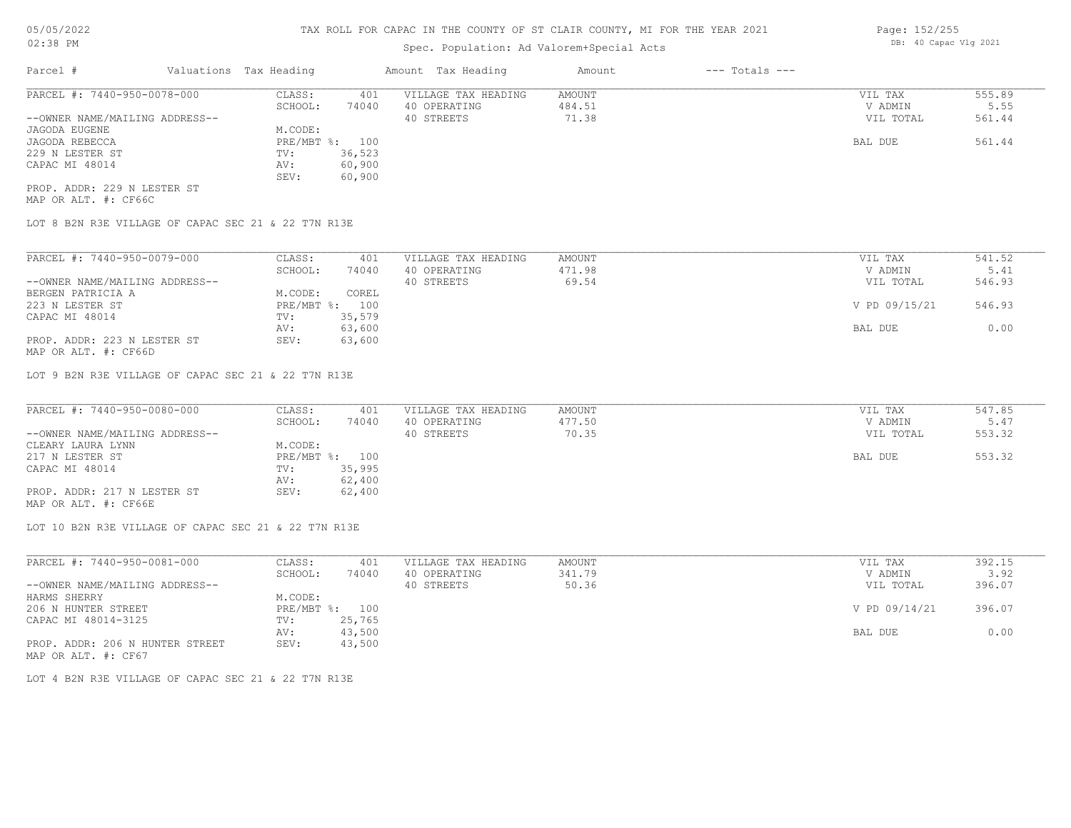## Spec. Population: Ad Valorem+Special Acts

| Parcel #                       | Valuations Tax Heading |        | Amount Tax Heading  | Amount | $---$ Totals $---$ |           |        |
|--------------------------------|------------------------|--------|---------------------|--------|--------------------|-----------|--------|
| PARCEL #: 7440-950-0078-000    | CLASS:                 | 401    | VILLAGE TAX HEADING | AMOUNT |                    | VIL TAX   | 555.89 |
|                                | SCHOOL:                | 74040  | 40 OPERATING        | 484.51 |                    | V ADMIN   | 5.55   |
| --OWNER NAME/MAILING ADDRESS-- |                        |        | 40 STREETS          | 71.38  |                    | VIL TOTAL | 561.44 |
| JAGODA EUGENE                  | M.CODE:                |        |                     |        |                    |           |        |
| JAGODA REBECCA                 | PRE/MBT %:             | 100    |                     |        |                    | BAL DUE   | 561.44 |
| 229 N LESTER ST                | TV:                    | 36,523 |                     |        |                    |           |        |
| CAPAC MI 48014                 | AV:                    | 60,900 |                     |        |                    |           |        |
|                                | SEV:                   | 60,900 |                     |        |                    |           |        |
| PROP. ADDR: 229 N LESTER ST    |                        |        |                     |        |                    |           |        |

MAP OR ALT. #: CF66C

LOT 8 B2N R3E VILLAGE OF CAPAC SEC 21 & 22 T7N R13E

| PARCEL #: 7440-950-0079-000    | CLASS:       | 401    | VILLAGE TAX HEADING | AMOUNT | VIL TAX       | 541.52 |
|--------------------------------|--------------|--------|---------------------|--------|---------------|--------|
|                                | SCHOOL:      | 74040  | 40 OPERATING        | 471.98 | V ADMIN       | 5.41   |
| --OWNER NAME/MAILING ADDRESS-- |              |        | 40 STREETS          | 69.54  | VIL TOTAL     | 546.93 |
| BERGEN PATRICIA A              | M.CODE:      | COREL  |                     |        |               |        |
| 223 N LESTER ST                | $PRE/MBT$ %: | 100    |                     |        | V PD 09/15/21 | 546.93 |
| CAPAC MI 48014                 | TV:          | 35,579 |                     |        |               |        |
|                                | AV:          | 63,600 |                     |        | BAL DUE       | 0.00   |
| PROP. ADDR: 223 N LESTER ST    | SEV:         | 63,600 |                     |        |               |        |

MAP OR ALT. #: CF66D

LOT 9 B2N R3E VILLAGE OF CAPAC SEC 21 & 22 T7N R13E

| PARCEL #: 7440-950-0080-000    | CLASS:  | 401            | VILLAGE TAX HEADING | AMOUNT | VIL TAX   | 547.85 |
|--------------------------------|---------|----------------|---------------------|--------|-----------|--------|
|                                | SCHOOL: | 74040          | 40 OPERATING        | 477.50 | V ADMIN   | 5.47   |
| --OWNER NAME/MAILING ADDRESS-- |         |                | 40 STREETS          | 70.35  | VIL TOTAL | 553.32 |
| CLEARY LAURA LYNN              | M.CODE: |                |                     |        |           |        |
| 217 N LESTER ST                |         | PRE/MBT %: 100 |                     |        | BAL DUE   | 553.32 |
| CAPAC MI 48014                 | TV:     | 35,995         |                     |        |           |        |
|                                | AV:     | 62,400         |                     |        |           |        |
| PROP. ADDR: 217 N LESTER ST    | SEV:    | 62,400         |                     |        |           |        |
| MAP OR ALT. #: CF66E           |         |                |                     |        |           |        |

LOT 10 B2N R3E VILLAGE OF CAPAC SEC 21 & 22 T7N R13E

| PARCEL #: 7440-950-0081-000     | CLASS:  | 401            | VILLAGE TAX HEADING | AMOUNT | VIL TAX       | 392.15 |
|---------------------------------|---------|----------------|---------------------|--------|---------------|--------|
|                                 | SCHOOL: | 74040          | 40 OPERATING        | 341.79 | V ADMIN       | 3.92   |
| --OWNER NAME/MAILING ADDRESS--  |         |                | 40 STREETS          | 50.36  | VIL TOTAL     | 396.07 |
| HARMS SHERRY                    | M.CODE: |                |                     |        |               |        |
| 206 N HUNTER STREET             |         | PRE/MBT %: 100 |                     |        | V PD 09/14/21 | 396.07 |
| CAPAC MI 48014-3125             | TV:     | 25,765         |                     |        |               |        |
|                                 | AV:     | 43,500         |                     |        | BAL DUE       | 0.00   |
| PROP. ADDR: 206 N HUNTER STREET | SEV:    | 43,500         |                     |        |               |        |
| MAP OR ALT. #: CF67             |         |                |                     |        |               |        |

LOT 4 B2N R3E VILLAGE OF CAPAC SEC 21 & 22 T7N R13E

Page: 152/255 DB: 40 Capac Vlg 2021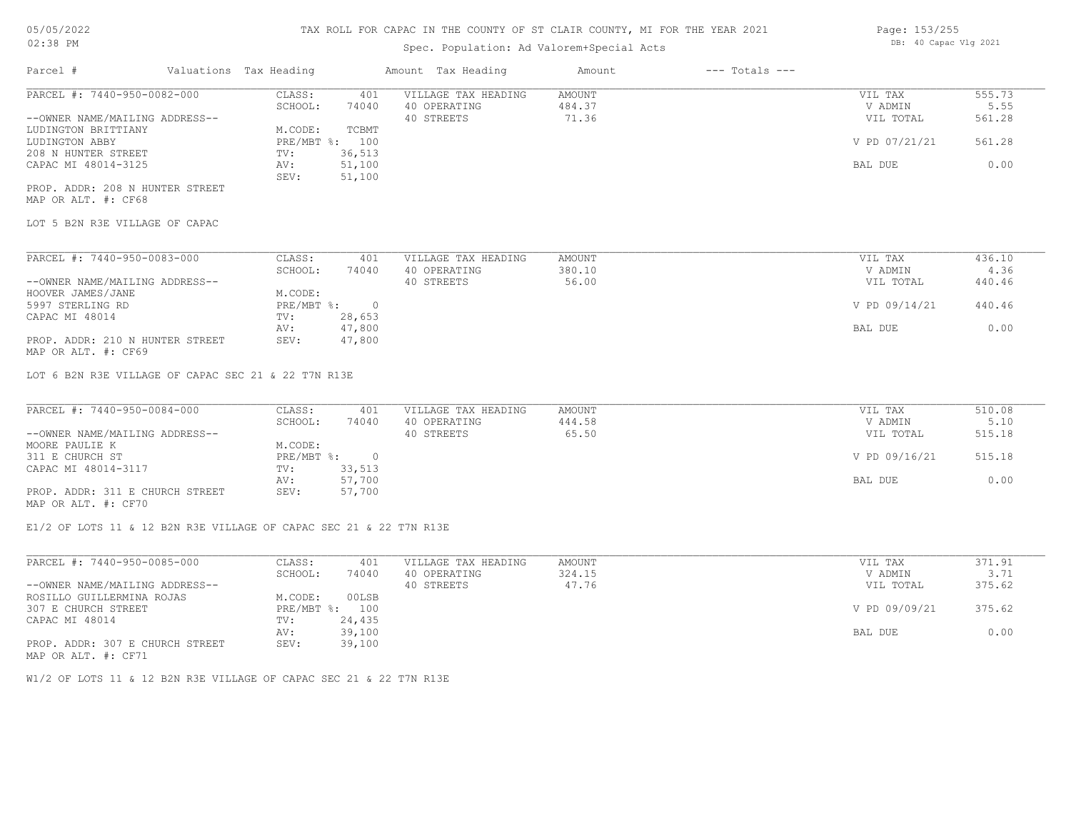## Spec. Population: Ad Val

|                    | CLAIR COUNTY, MI FOR THE YEAR 2021 | Page: 153/255         |
|--------------------|------------------------------------|-----------------------|
| lorem+Special Acts |                                    | DB: 40 Capac Vlg 2021 |
| Amount             | --- Totals ---                     |                       |

| PARCEL #: 7440-950-0082-000    | CLASS:         | 401    | VILLAGE TAX HEADING | AMOUNT | VIL TAX       | 555.73 |
|--------------------------------|----------------|--------|---------------------|--------|---------------|--------|
|                                | SCHOOL:        | 74040  | 40 OPERATING        | 484.37 | V ADMIN       | 5.55   |
| --OWNER NAME/MAILING ADDRESS-- |                |        | 40 STREETS          | 71.36  | VIL TOTAL     | 561.28 |
| LUDINGTON BRITTIANY            | M.CODE:        | TCBMT  |                     |        |               |        |
| LUDINGTON ABBY                 | PRE/MBT %: 100 |        |                     |        | V PD 07/21/21 | 561.28 |
| 208 N HUNTER STREET            | TV:            | 36,513 |                     |        |               |        |
| CAPAC MI 48014-3125            | AV:            | 51,100 |                     |        | BAL DUE       | 0.00   |
|                                | SEV:           | 51,100 |                     |        |               |        |

MAP OR ALT. #: CF68 PROP. ADDR: 208 N HUNTER STREET

LOT 5 B2N R3E VILLAGE OF CAPAC

| PARCEL #: 7440-950-0083-000     | CLASS:     | 401    | VILLAGE TAX HEADING | AMOUNT | VIL TAX       | 436.10 |
|---------------------------------|------------|--------|---------------------|--------|---------------|--------|
|                                 | SCHOOL:    | 74040  | 40 OPERATING        | 380.10 | V ADMIN       | 4.36   |
| --OWNER NAME/MAILING ADDRESS--  |            |        | 40 STREETS          | 56.00  | VIL TOTAL     | 440.46 |
| HOOVER JAMES/JANE               | M.CODE:    |        |                     |        |               |        |
| 5997 STERLING RD                | PRE/MBT %: |        |                     |        | V PD 09/14/21 | 440.46 |
| CAPAC MI 48014                  | TV:        | 28,653 |                     |        |               |        |
|                                 | AV:        | 47,800 |                     |        | BAL DUE       | 0.00   |
| PROP. ADDR: 210 N HUNTER STREET | SEV:       | 47,800 |                     |        |               |        |

MAP OR ALT. #: CF69

LOT 6 B2N R3E VILLAGE OF CAPAC SEC 21 & 22 T7N R13E

Parcel # Valuations Tax Heading --- Amount Tax Heading

| PARCEL #: 7440-950-0084-000     | CLASS:       | 401    | VILLAGE TAX HEADING | AMOUNT | VIL TAX       | 510.08 |
|---------------------------------|--------------|--------|---------------------|--------|---------------|--------|
|                                 | SCHOOL:      | 74040  | 40 OPERATING        | 444.58 | V ADMIN       | 5.10   |
| --OWNER NAME/MAILING ADDRESS--  |              |        | 40 STREETS          | 65.50  | VIL TOTAL     | 515.18 |
| MOORE PAULIE K                  | M.CODE:      |        |                     |        |               |        |
| 311 E CHURCH ST                 | $PRE/MBT$ %: |        |                     |        | V PD 09/16/21 | 515.18 |
| CAPAC MI 48014-3117             | TV:          | 33,513 |                     |        |               |        |
|                                 | AV:          | 57,700 |                     |        | BAL DUE       | 0.00   |
| PROP. ADDR: 311 E CHURCH STREET | SEV:         | 57,700 |                     |        |               |        |
| MAP OR ALT. #: CF70             |              |        |                     |        |               |        |

E1/2 OF LOTS 11 & 12 B2N R3E VILLAGE OF CAPAC SEC 21 & 22 T7N R13E

| PARCEL #: 7440-950-0085-000     | CLASS:  | 401            | VILLAGE TAX HEADING | AMOUNT | VIL TAX       | 371.91 |
|---------------------------------|---------|----------------|---------------------|--------|---------------|--------|
|                                 | SCHOOL: | 74040          | 40 OPERATING        | 324.15 | V ADMIN       | 3.71   |
| --OWNER NAME/MAILING ADDRESS--  |         |                | 40 STREETS          | 47.76  | VIL TOTAL     | 375.62 |
| ROSILLO GUILLERMINA ROJAS       | M.CODE: | 00LSB          |                     |        |               |        |
| 307 E CHURCH STREET             |         | PRE/MBT %: 100 |                     |        | V PD 09/09/21 | 375.62 |
| CAPAC MI 48014                  | TV:     | 24,435         |                     |        |               |        |
|                                 | AV:     | 39,100         |                     |        | BAL DUE       | 0.00   |
| PROP. ADDR: 307 E CHURCH STREET | SEV:    | 39,100         |                     |        |               |        |
| MAP OR ALT. #: CF71             |         |                |                     |        |               |        |

W1/2 OF LOTS 11 & 12 B2N R3E VILLAGE OF CAPAC SEC 21 & 22 T7N R13E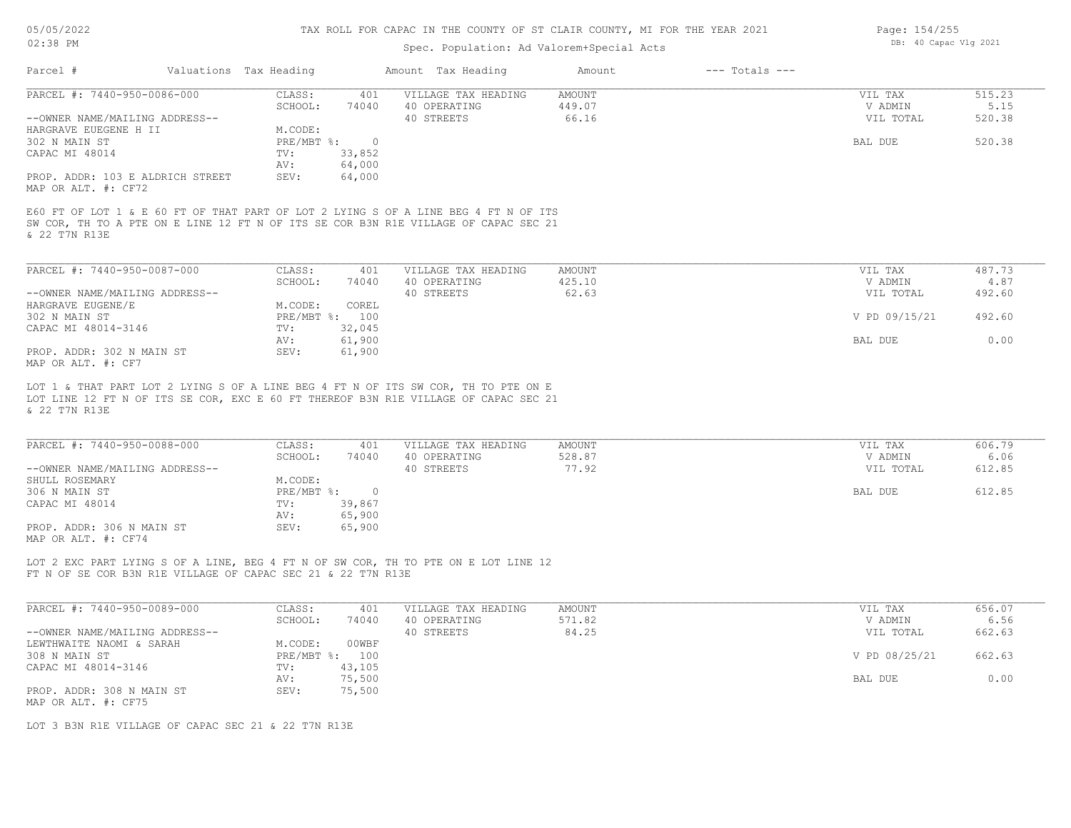# Spec. Population: Ad Valorem+Special Acts

| Page: 154/255 |                       |  |
|---------------|-----------------------|--|
|               | DB: 40 Capac Vlg 2021 |  |

| Parcel #                                                                                                                                                                                    | Valuations Tax Heading |                   |                          | Amount Tax Heading                                | Amount                           | $---$ Totals $---$ |                                 |                          |
|---------------------------------------------------------------------------------------------------------------------------------------------------------------------------------------------|------------------------|-------------------|--------------------------|---------------------------------------------------|----------------------------------|--------------------|---------------------------------|--------------------------|
| PARCEL #: 7440-950-0086-000                                                                                                                                                                 |                        | CLASS:            | 401                      | VILLAGE TAX HEADING                               | AMOUNT                           |                    | VIL TAX                         | 515.23                   |
| --OWNER NAME/MAILING ADDRESS--                                                                                                                                                              |                        | SCHOOL:           | 74040                    | 40 OPERATING<br>40 STREETS                        | 449.07<br>66.16                  |                    | V ADMIN<br>VIL TOTAL            | 5.15<br>520.38           |
| HARGRAVE EUEGENE H II                                                                                                                                                                       |                        | M.CODE:           |                          |                                                   |                                  |                    |                                 |                          |
| 302 N MAIN ST<br>CAPAC MI 48014                                                                                                                                                             |                        | PRE/MBT %:<br>TV: | $\overline{0}$<br>33,852 |                                                   |                                  |                    | BAL DUE                         | 520.38                   |
|                                                                                                                                                                                             |                        | AV:               | 64,000                   |                                                   |                                  |                    |                                 |                          |
| PROP. ADDR: 103 E ALDRICH STREET<br>MAP OR ALT. #: CF72                                                                                                                                     |                        | SEV:              | 64,000                   |                                                   |                                  |                    |                                 |                          |
| E60 FT OF LOT 1 & E 60 FT OF THAT PART OF LOT 2 LYING S OF A LINE BEG 4 FT N OF ITS<br>SW COR, TH TO A PTE ON E LINE 12 FT N OF ITS SE COR B3N R1E VILLAGE OF CAPAC SEC 21<br>& 22 T7N R13E |                        |                   |                          |                                                   |                                  |                    |                                 |                          |
| PARCEL #: 7440-950-0087-000                                                                                                                                                                 |                        | CLASS:            | 401                      | VILLAGE TAX HEADING                               | AMOUNT                           |                    | VIL TAX                         | 487.73                   |
|                                                                                                                                                                                             |                        | SCHOOL:           | 74040                    | 40 OPERATING                                      | 425.10                           |                    | V ADMIN                         | 4.87                     |
| --OWNER NAME/MAILING ADDRESS--                                                                                                                                                              |                        |                   |                          | 40 STREETS                                        | 62.63                            |                    | VIL TOTAL                       | 492.60                   |
| HARGRAVE EUGENE/E                                                                                                                                                                           |                        | M.CODE:           | COREL                    |                                                   |                                  |                    |                                 |                          |
| 302 N MAIN ST                                                                                                                                                                               |                        |                   | PRE/MBT %: 100           |                                                   |                                  |                    | V PD 09/15/21                   | 492.60                   |
| CAPAC MI 48014-3146                                                                                                                                                                         |                        | TV:               | 32,045                   |                                                   |                                  |                    |                                 |                          |
| PROP. ADDR: 302 N MAIN ST<br>MAP OR ALT. #: CF7                                                                                                                                             |                        | AV:<br>SEV:       | 61,900<br>61,900         |                                                   |                                  |                    | BAL DUE                         | 0.00                     |
| & 22 T7N R13E<br>PARCEL #: 7440-950-0088-000<br>--OWNER NAME/MAILING ADDRESS--                                                                                                              |                        | CLASS:<br>SCHOOL: | 401<br>74040             | VILLAGE TAX HEADING<br>40 OPERATING<br>40 STREETS | <b>AMOUNT</b><br>528.87<br>77.92 |                    | VIL TAX<br>V ADMIN<br>VIL TOTAL | 606.79<br>6.06<br>612.85 |
| SHULL ROSEMARY                                                                                                                                                                              |                        | M.CODE:           |                          |                                                   |                                  |                    |                                 |                          |
| 306 N MAIN ST                                                                                                                                                                               |                        | PRE/MBT %:        | $\overline{0}$           |                                                   |                                  |                    | BAL DUE                         | 612.85                   |
| CAPAC MI 48014                                                                                                                                                                              |                        | TV:<br>AV:        | 39,867<br>65,900         |                                                   |                                  |                    |                                 |                          |
| PROP. ADDR: 306 N MAIN ST<br>MAP OR ALT. #: CF74                                                                                                                                            |                        | SEV:              | 65,900                   |                                                   |                                  |                    |                                 |                          |
| LOT 2 EXC PART LYING S OF A LINE, BEG 4 FT N OF SW COR, TH TO PTE ON E LOT LINE 12<br>FT N OF SE COR B3N R1E VILLAGE OF CAPAC SEC 21 & 22 T7N R13E                                          |                        |                   |                          |                                                   |                                  |                    |                                 |                          |
| PARCEL #: 7440-950-0089-000                                                                                                                                                                 |                        |                   |                          |                                                   |                                  |                    |                                 |                          |
|                                                                                                                                                                                             |                        | CLASS:            | 401                      | VILLAGE TAX HEADING                               | AMOUNT                           |                    | VIL TAX                         | 656.07                   |
| --OWNER NAME/MAILING ADDRESS--                                                                                                                                                              |                        | SCHOOL:           | 74040                    | 40 OPERATING                                      | 571.82                           |                    | V ADMIN                         | 6.56                     |
|                                                                                                                                                                                             |                        |                   |                          | 40 STREETS                                        | 84.25                            |                    | VIL TOTAL                       | 662.63                   |
| LEWTHWAITE NAOMI & SARAH                                                                                                                                                                    |                        | M.CODE:           | 00WBF                    |                                                   |                                  |                    |                                 |                          |
| 308 N MAIN ST                                                                                                                                                                               |                        |                   | PRE/MBT %: 100           |                                                   |                                  |                    | V PD 08/25/21                   | 662.63                   |
| CAPAC MI 48014-3146                                                                                                                                                                         |                        | TV:               | 43,105                   |                                                   |                                  |                    |                                 |                          |
| PROP. ADDR: 308 N MAIN ST                                                                                                                                                                   |                        | AV:<br>SEV:       | 75,500<br>75,500         |                                                   |                                  |                    | BAL DUE                         | 0.00                     |

MAP OR ALT. #: CF75

LOT 3 B3N R1E VILLAGE OF CAPAC SEC 21 & 22 T7N R13E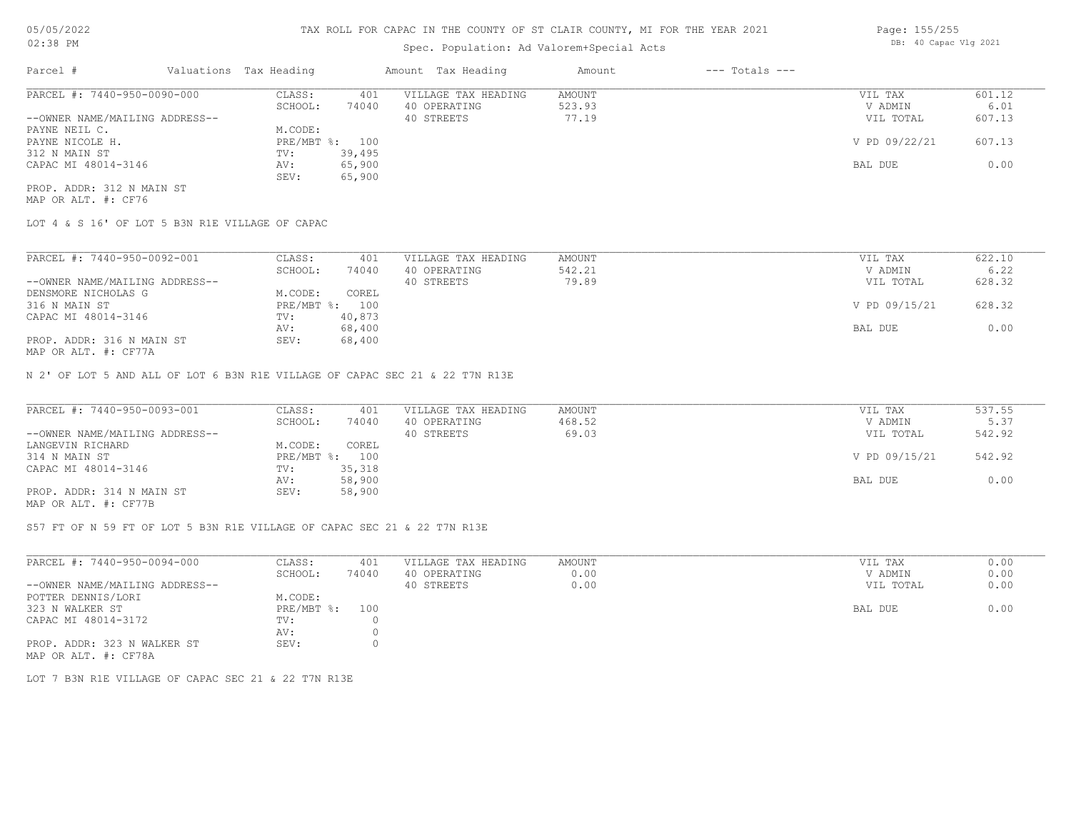## Spec. Population: Ad Valorem+Special Acts

| Parcel #                       | Valuations Tax Heading |        | Amount Tax Heading  | Amount | $---$ Totals $---$ |               |        |
|--------------------------------|------------------------|--------|---------------------|--------|--------------------|---------------|--------|
| PARCEL #: 7440-950-0090-000    | CLASS:                 | 401    | VILLAGE TAX HEADING | AMOUNT |                    | VIL TAX       | 601.12 |
|                                | SCHOOL:                | 74040  | 40 OPERATING        | 523.93 |                    | V ADMIN       | 6.01   |
| --OWNER NAME/MAILING ADDRESS-- |                        |        | 40 STREETS          | 77.19  |                    | VIL TOTAL     | 607.13 |
| PAYNE NEIL C.                  | M.CODE:                |        |                     |        |                    |               |        |
| PAYNE NICOLE H.                | PRE/MBT %: 100         |        |                     |        |                    | V PD 09/22/21 | 607.13 |
| 312 N MAIN ST                  | TV:                    | 39,495 |                     |        |                    |               |        |
| CAPAC MI 48014-3146            | AV:                    | 65,900 |                     |        |                    | BAL DUE       | 0.00   |
|                                | SEV:                   | 65,900 |                     |        |                    |               |        |
| PROP. ADDR: 312 N MAIN ST      |                        |        |                     |        |                    |               |        |

MAP OR ALT. #: CF76

LOT 4 & S 16' OF LOT 5 B3N R1E VILLAGE OF CAPAC

| PARCEL #: 7440-950-0092-001                                                           | CLASS:       | 401    | VILLAGE TAX HEADING | AMOUNT | VIL TAX       | 622.10 |
|---------------------------------------------------------------------------------------|--------------|--------|---------------------|--------|---------------|--------|
|                                                                                       | SCHOOL:      | 74040  | 40 OPERATING        | 542.21 | V ADMIN       | 6.22   |
| --OWNER NAME/MAILING ADDRESS--                                                        |              |        | 40 STREETS          | 79.89  | VIL TOTAL     | 628.32 |
| DENSMORE NICHOLAS G                                                                   | M.CODE:      | COREL  |                     |        |               |        |
| 316 N MAIN ST                                                                         | $PRE/MBT$ %: | 100    |                     |        | V PD 09/15/21 | 628.32 |
| CAPAC MI 48014-3146                                                                   | TV:          | 40,873 |                     |        |               |        |
|                                                                                       | AV:          | 68,400 |                     |        | BAL DUE       | 0.00   |
| PROP. ADDR: 316 N MAIN ST                                                             | SEV:         | 68,400 |                     |        |               |        |
| $\overline{1110}$ $\overline{20}$ $\overline{210}$ $\overline{11}$ $\overline{21722}$ |              |        |                     |        |               |        |

MAP OR ALT. #: CF77A

N 2' OF LOT 5 AND ALL OF LOT 6 B3N R1E VILLAGE OF CAPAC SEC 21 & 22 T7N R13E

| PARCEL #: 7440-950-0093-001                           | CLASS:  | 401            | VILLAGE TAX HEADING | AMOUNT | VIL TAX       | 537.55 |
|-------------------------------------------------------|---------|----------------|---------------------|--------|---------------|--------|
|                                                       | SCHOOL: | 74040          | 40 OPERATING        | 468.52 | V ADMIN       | 5.37   |
| --OWNER NAME/MAILING ADDRESS--                        |         |                | 40 STREETS          | 69.03  | VIL TOTAL     | 542.92 |
| LANGEVIN RICHARD                                      | M.CODE: | COREL          |                     |        |               |        |
| 314 N MAIN ST                                         |         | PRE/MBT %: 100 |                     |        | V PD 09/15/21 | 542.92 |
| CAPAC MI 48014-3146                                   | TV:     | 35,318         |                     |        |               |        |
|                                                       | AV:     | 58,900         |                     |        | BAL DUE       | 0.00   |
| PROP. ADDR: 314 N MAIN ST                             | SEV:    | 58,900         |                     |        |               |        |
| $\cdots$ $\cdots$ $\cdots$ $\cdots$ $\cdots$ $\cdots$ |         |                |                     |        |               |        |

MAP OR ALT. #: CF77B

S57 FT OF N 59 FT OF LOT 5 B3N R1E VILLAGE OF CAPAC SEC 21 & 22 T7N R13E

| PARCEL #: 7440-950-0094-000                         | CLASS:         | 401   | VILLAGE TAX HEADING | AMOUNT | VIL TAX   | 0.00 |
|-----------------------------------------------------|----------------|-------|---------------------|--------|-----------|------|
|                                                     | SCHOOL:        | 74040 | 40 OPERATING        | 0.00   | V ADMIN   | 0.00 |
| --OWNER NAME/MAILING ADDRESS--                      |                |       | 40 STREETS          | 0.00   | VIL TOTAL | 0.00 |
| POTTER DENNIS/LORI                                  | M.CODE:        |       |                     |        |           |      |
| 323 N WALKER ST                                     | PRE/MBT %: 100 |       |                     |        | BAL DUE   | 0.00 |
| CAPAC MI 48014-3172                                 | TV:            |       |                     |        |           |      |
|                                                     | AV:            |       |                     |        |           |      |
| PROP. ADDR: 323 N WALKER ST<br>MAP OR ALT. #: CF78A | SEV:           |       |                     |        |           |      |

LOT 7 B3N R1E VILLAGE OF CAPAC SEC 21 & 22 T7N R13E

Page: 155/255 DB: 40 Capac Vlg 2021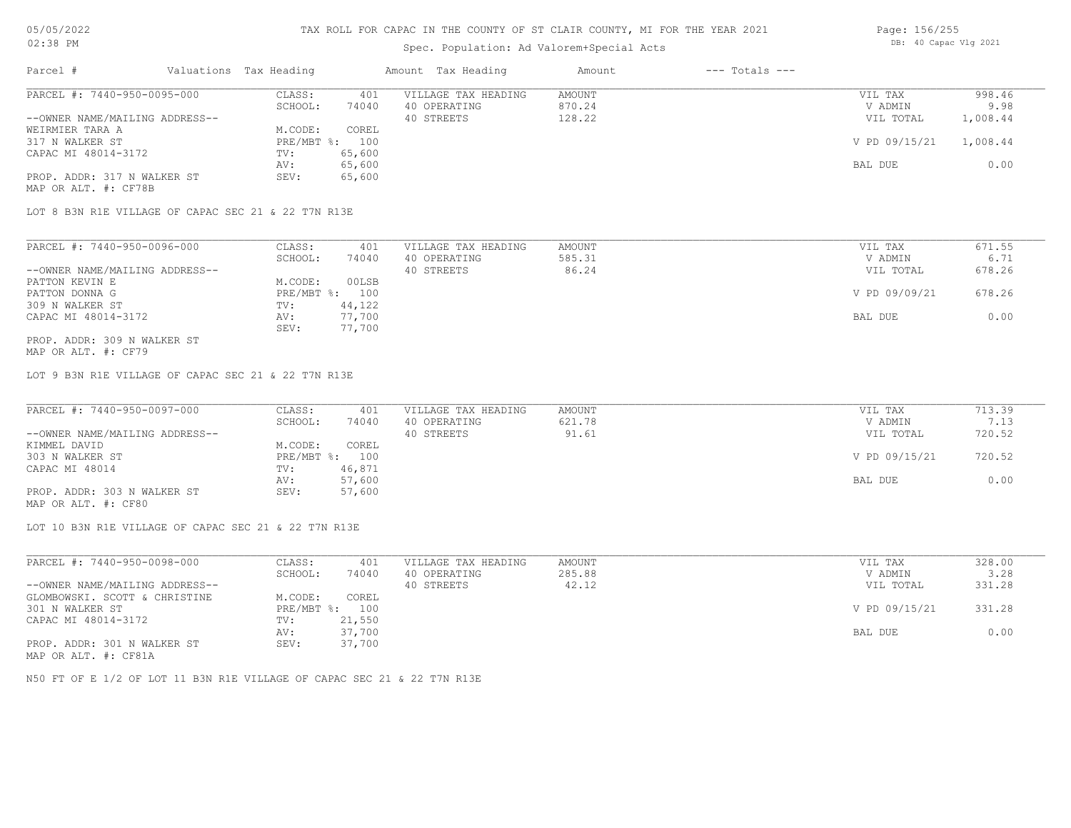### Spec. Population: Ad Valorem+Special Acts

| Page: 156/255 |                       |  |
|---------------|-----------------------|--|
|               | DB: 40 Capac Vlg 2021 |  |

| Parcel #                       | Valuations Tax Heading |        | Amount Tax Heading  | Amount | $---$ Totals $---$ |               |          |
|--------------------------------|------------------------|--------|---------------------|--------|--------------------|---------------|----------|
| PARCEL #: 7440-950-0095-000    | CLASS:                 | 401    | VILLAGE TAX HEADING | AMOUNT |                    | VIL TAX       | 998.46   |
|                                | SCHOOL:                | 74040  | 40 OPERATING        | 870.24 |                    | V ADMIN       | 9.98     |
| --OWNER NAME/MAILING ADDRESS-- |                        |        | 40 STREETS          | 128.22 |                    | VIL TOTAL     | 1,008.44 |
| WEIRMIER TARA A                | M.CODE:                | COREL  |                     |        |                    |               |          |
| 317 N WALKER ST                | $PRE/MBT$ %:           | 100    |                     |        |                    | V PD 09/15/21 | 1,008.44 |
| CAPAC MI 48014-3172            | TV:                    | 65,600 |                     |        |                    |               |          |
|                                | AV:                    | 65,600 |                     |        |                    | BAL DUE       | 0.00     |
| PROP. ADDR: 317 N WALKER ST    | SEV:                   | 65,600 |                     |        |                    |               |          |
| MAP OR ALT. #: CF78B           |                        |        |                     |        |                    |               |          |

LOT 8 B3N R1E VILLAGE OF CAPAC SEC 21 & 22 T7N R13E

| PARCEL #: 7440-950-0096-000    | CLASS:     | 401    | VILLAGE TAX HEADING | AMOUNT | VIL TAX       | 671.55 |
|--------------------------------|------------|--------|---------------------|--------|---------------|--------|
|                                | SCHOOL:    | 74040  | 40 OPERATING        | 585.31 | V ADMIN       | 6.71   |
| --OWNER NAME/MAILING ADDRESS-- |            |        | 40 STREETS          | 86.24  | VIL TOTAL     | 678.26 |
| PATTON KEVIN E                 | M.CODE:    | 00LSB  |                     |        |               |        |
| PATTON DONNA G                 | PRE/MBT %: | 100    |                     |        | V PD 09/09/21 | 678.26 |
| 309 N WALKER ST                | TV:        | 44,122 |                     |        |               |        |
| CAPAC MI 48014-3172            | AV:        | 77,700 |                     |        | BAL DUE       | 0.00   |
|                                | SEV:       | 77,700 |                     |        |               |        |
| PROP. ADDR: 309 N WALKER ST    |            |        |                     |        |               |        |

MAP OR ALT. #: CF79

LOT 9 B3N R1E VILLAGE OF CAPAC SEC 21 & 22 T7N R13E

| PARCEL #: 7440-950-0097-000    | CLASS:     | 401    | VILLAGE TAX HEADING | AMOUNT | VIL TAX       | 713.39 |
|--------------------------------|------------|--------|---------------------|--------|---------------|--------|
|                                | SCHOOL:    | 74040  | 40 OPERATING        | 621.78 | V ADMIN       | 7.13   |
| --OWNER NAME/MAILING ADDRESS-- |            |        | 40 STREETS          | 91.61  | VIL TOTAL     | 720.52 |
| KIMMEL DAVID                   | M.CODE:    | COREL  |                     |        |               |        |
| 303 N WALKER ST                | PRE/MBT %: | 100    |                     |        | V PD 09/15/21 | 720.52 |
| CAPAC MI 48014                 | TV:        | 46,871 |                     |        |               |        |
|                                | AV:        | 57,600 |                     |        | BAL DUE       | 0.00   |
| PROP. ADDR: 303 N WALKER ST    | SEV:       | 57,600 |                     |        |               |        |
| MAP OR ALT. #: CF80            |            |        |                     |        |               |        |

LOT 10 B3N R1E VILLAGE OF CAPAC SEC 21 & 22 T7N R13E

| PARCEL #: 7440-950-0098-000    | CLASS:     | 401    | VILLAGE TAX HEADING | AMOUNT | VIL TAX       | 328.00 |
|--------------------------------|------------|--------|---------------------|--------|---------------|--------|
|                                | SCHOOL:    | 74040  | 40 OPERATING        | 285.88 | V ADMIN       | 3.28   |
| --OWNER NAME/MAILING ADDRESS-- |            |        | 40 STREETS          | 42.12  | VIL TOTAL     | 331.28 |
| GLOMBOWSKI. SCOTT & CHRISTINE  | M.CODE:    | COREL  |                     |        |               |        |
| 301 N WALKER ST                | PRE/MBT %: | 100    |                     |        | V PD 09/15/21 | 331.28 |
| CAPAC MI 48014-3172            | TV:        | 21,550 |                     |        |               |        |
|                                | AV:        | 37,700 |                     |        | BAL DUE       | 0.00   |
| PROP. ADDR: 301 N WALKER ST    | SEV:       | 37,700 |                     |        |               |        |
| MAP OR ALT. #: CF81A           |            |        |                     |        |               |        |

N50 FT OF E 1/2 OF LOT 11 B3N R1E VILLAGE OF CAPAC SEC 21 & 22 T7N R13E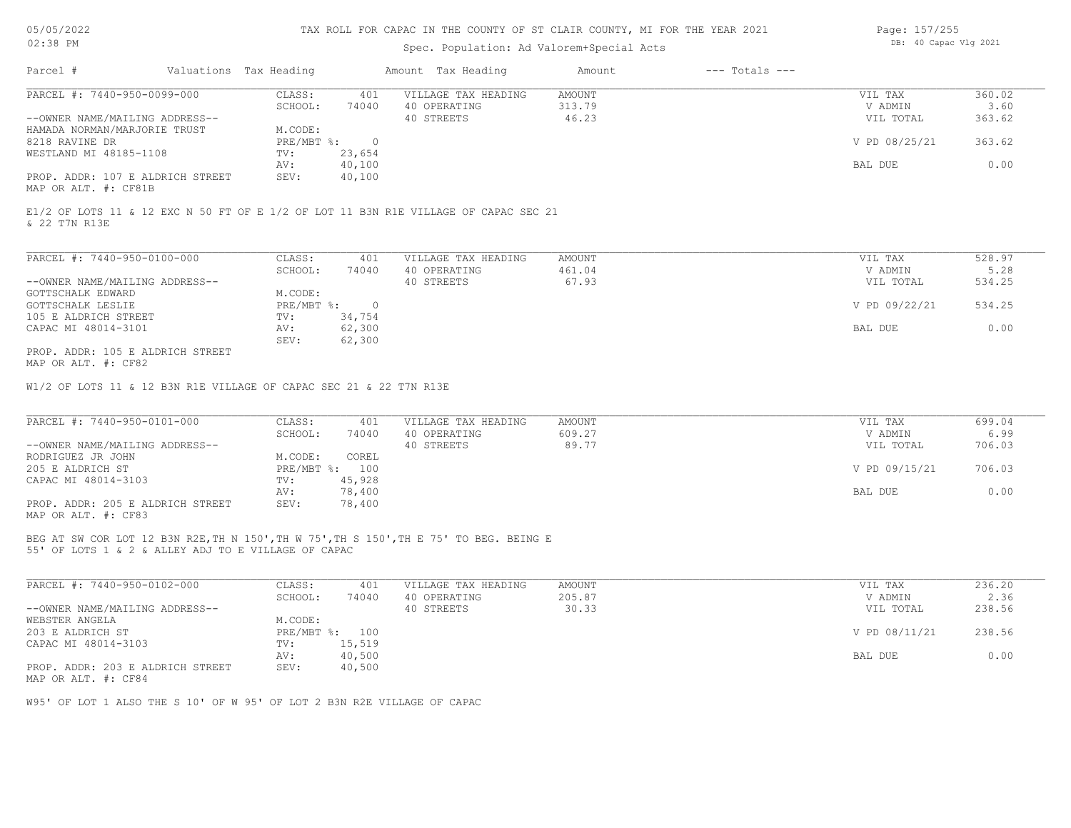#### TAX ROLL FOR CAPAC IN THE COUNTY OF ST CLAIR COUNTY, MI FOR THE YEAR 2021

### Spec. Population: Ad Valorem+Special Acts

| Page: 157/255 |                       |  |
|---------------|-----------------------|--|
|               | DB: 40 Capac Vlg 2021 |  |

| Parcel #                         | Valuations Tax Heading |        | Amount Tax Heading  | Amount | $---$ Totals $---$ |               |        |
|----------------------------------|------------------------|--------|---------------------|--------|--------------------|---------------|--------|
| PARCEL #: 7440-950-0099-000      | CLASS:                 | 401    | VILLAGE TAX HEADING | AMOUNT |                    | VIL TAX       | 360.02 |
|                                  | SCHOOL:                | 74040  | 40 OPERATING        | 313.79 |                    | V ADMIN       | 3.60   |
| --OWNER NAME/MAILING ADDRESS--   |                        |        | 40 STREETS          | 46.23  |                    | VIL TOTAL     | 363.62 |
| HAMADA NORMAN/MARJORIE TRUST     | M.CODE:                |        |                     |        |                    |               |        |
| 8218 RAVINE DR                   | PRE/MBT %:             |        |                     |        |                    | V PD 08/25/21 | 363.62 |
| WESTLAND MI 48185-1108           | TV:                    | 23,654 |                     |        |                    |               |        |
|                                  | AV:                    | 40,100 |                     |        |                    | BAL DUE       | 0.00   |
| PROP. ADDR: 107 E ALDRICH STREET | SEV:                   | 40,100 |                     |        |                    |               |        |
|                                  |                        |        |                     |        |                    |               |        |

MAP OR ALT. #: CF81B

& 22 T7N R13E E1/2 OF LOTS 11 & 12 EXC N 50 FT OF E 1/2 OF LOT 11 B3N R1E VILLAGE OF CAPAC SEC 21

| PARCEL #: 7440-950-0100-000      | CLASS:     | 401    | VILLAGE TAX HEADING | AMOUNT | VIL TAX       | 528.97 |
|----------------------------------|------------|--------|---------------------|--------|---------------|--------|
|                                  | SCHOOL:    | 74040  | 40 OPERATING        | 461.04 | V ADMIN       | 5.28   |
| --OWNER NAME/MAILING ADDRESS--   |            |        | 40 STREETS          | 67.93  | VIL TOTAL     | 534.25 |
| GOTTSCHALK EDWARD                | M.CODE:    |        |                     |        |               |        |
| GOTTSCHALK LESLIE                | PRE/MBT %: |        |                     |        | V PD 09/22/21 | 534.25 |
| 105 E ALDRICH STREET             | TV:        | 34,754 |                     |        |               |        |
| CAPAC MI 48014-3101              | AV:        | 62,300 |                     |        | BAL DUE       | 0.00   |
|                                  | SEV:       | 62,300 |                     |        |               |        |
| PROP. ADDR: 105 E ALDRICH STREET |            |        |                     |        |               |        |

MAP OR ALT. #: CF82

W1/2 OF LOTS 11 & 12 B3N R1E VILLAGE OF CAPAC SEC 21 & 22 T7N R13E

| PARCEL #: 7440-950-0101-000      | CLASS:     | 401    | VILLAGE TAX HEADING | AMOUNT | VIL TAX       | 699.04 |
|----------------------------------|------------|--------|---------------------|--------|---------------|--------|
|                                  | SCHOOL:    | 74040  | 40 OPERATING        | 609.27 | V ADMIN       | 6.99   |
| --OWNER NAME/MAILING ADDRESS--   |            |        | 40 STREETS          | 89.77  | VIL TOTAL     | 706.03 |
| RODRIGUEZ JR JOHN                | M.CODE:    | COREL  |                     |        |               |        |
| 205 E ALDRICH ST                 | PRE/MBT %: | 100    |                     |        | V PD 09/15/21 | 706.03 |
| CAPAC MI 48014-3103              | TV:        | 45,928 |                     |        |               |        |
|                                  | AV:        | 78,400 |                     |        | BAL DUE       | 0.00   |
| PROP. ADDR: 205 E ALDRICH STREET | SEV:       | 78,400 |                     |        |               |        |
| ---- -- --- " ----               |            |        |                     |        |               |        |

MAP OR ALT. #: CF83

55' OF LOTS 1 & 2 & ALLEY ADJ TO E VILLAGE OF CAPAC BEG AT SW COR LOT 12 B3N R2E,TH N 150',TH W 75',TH S 150',TH E 75' TO BEG. BEING E

| PARCEL #: 7440-950-0102-000      | CLASS:  | 401            | VILLAGE TAX HEADING | AMOUNT | VIL TAX       | 236.20 |
|----------------------------------|---------|----------------|---------------------|--------|---------------|--------|
|                                  | SCHOOL: | 74040          | 40 OPERATING        | 205.87 | V ADMIN       | 2.36   |
| --OWNER NAME/MAILING ADDRESS--   |         |                | 40 STREETS          | 30.33  | VIL TOTAL     | 238.56 |
| WEBSTER ANGELA                   | M.CODE: |                |                     |        |               |        |
| 203 E ALDRICH ST                 |         | PRE/MBT %: 100 |                     |        | V PD 08/11/21 | 238.56 |
| CAPAC MI 48014-3103              | TV:     | 15,519         |                     |        |               |        |
|                                  | AV:     | 40,500         |                     |        | BAL DUE       | 0.00   |
| PROP. ADDR: 203 E ALDRICH STREET | SEV:    | 40,500         |                     |        |               |        |
| MAP OR ALT. #: CF84              |         |                |                     |        |               |        |

W95' OF LOT 1 ALSO THE S 10' OF W 95' OF LOT 2 B3N R2E VILLAGE OF CAPAC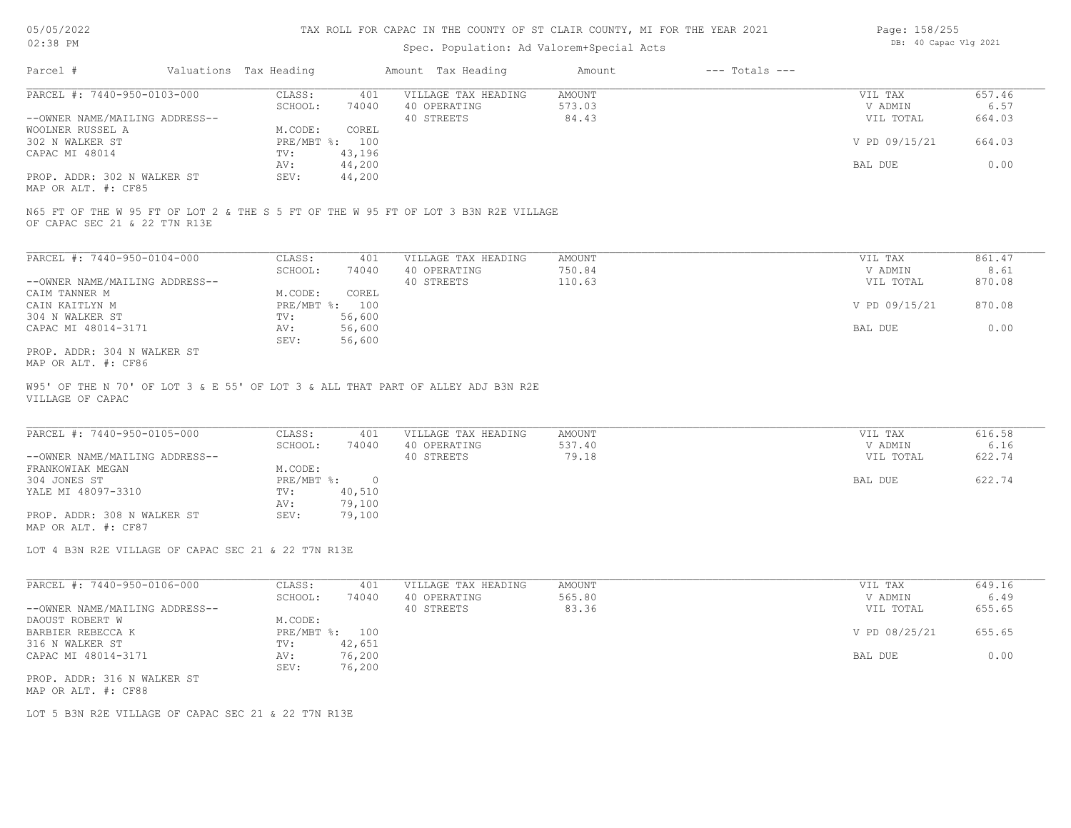# Spec. Population: Ad Valorem+Special Acts

| Page: 158/255 |                       |  |
|---------------|-----------------------|--|
|               | DB: 40 Capac Vlg 2021 |  |

| Parcel #                       | Valuations Tax Heading |        | Amount Tax Heading  | Amount | $---$ Totals $---$ |               |        |
|--------------------------------|------------------------|--------|---------------------|--------|--------------------|---------------|--------|
| PARCEL #: 7440-950-0103-000    | CLASS:                 | 401    | VILLAGE TAX HEADING | AMOUNT |                    | VIL TAX       | 657.46 |
|                                | SCHOOL:                | 74040  | 40 OPERATING        | 573.03 |                    | V ADMIN       | 6.57   |
| --OWNER NAME/MAILING ADDRESS-- |                        |        | 40 STREETS          | 84.43  |                    | VIL TOTAL     | 664.03 |
| WOOLNER RUSSEL A               | M.CODE:                | COREL  |                     |        |                    |               |        |
| 302 N WALKER ST                | PRE/MBT %: 100         |        |                     |        |                    | V PD 09/15/21 | 664.03 |
| CAPAC MI 48014                 | TV:                    | 43,196 |                     |        |                    |               |        |
|                                | AV:                    | 44,200 |                     |        |                    | BAL DUE       | 0.00   |
| PROP. ADDR: 302 N WALKER ST    | SEV:                   | 44,200 |                     |        |                    |               |        |
|                                |                        |        |                     |        |                    |               |        |

MAP OR ALT. #: CF85

OF CAPAC SEC 21 & 22 T7N R13E N65 FT OF THE W 95 FT OF LOT 2 & THE S 5 FT OF THE W 95 FT OF LOT 3 B3N R2E VILLAGE

| PARCEL #: 7440-950-0104-000    | CLASS:     | 401    | VILLAGE TAX HEADING | AMOUNT | VIL TAX       | 861.47 |
|--------------------------------|------------|--------|---------------------|--------|---------------|--------|
|                                | SCHOOL:    | 74040  | 40 OPERATING        | 750.84 | V ADMIN       | 8.61   |
| --OWNER NAME/MAILING ADDRESS-- |            |        | 40 STREETS          | 110.63 | VIL TOTAL     | 870.08 |
| CAIM TANNER M                  | M.CODE:    | COREL  |                     |        |               |        |
| CAIN KAITLYN M                 | PRE/MBT %: | 100    |                     |        | V PD 09/15/21 | 870.08 |
| 304 N WALKER ST                | TV:        | 56,600 |                     |        |               |        |
| CAPAC MI 48014-3171            | AV:        | 56,600 |                     |        | BAL DUE       | 0.00   |
|                                | SEV:       | 56,600 |                     |        |               |        |
| PROP. ADDR: 304 N WALKER ST    |            |        |                     |        |               |        |

MAP OR ALT. #: CF86

VILLAGE OF CAPAC W95' OF THE N 70' OF LOT 3 & E 55' OF LOT 3 & ALL THAT PART OF ALLEY ADJ B3N R2E

| PARCEL #: 7440-950-0105-000    | CLASS:       | 401    | VILLAGE TAX HEADING | AMOUNT | VIL TAX   | 616.58 |
|--------------------------------|--------------|--------|---------------------|--------|-----------|--------|
|                                | SCHOOL:      | 74040  | 40 OPERATING        | 537.40 | V ADMIN   | 6.16   |
| --OWNER NAME/MAILING ADDRESS-- |              |        | 40 STREETS          | 79.18  | VIL TOTAL | 622.74 |
| FRANKOWIAK MEGAN               | M.CODE:      |        |                     |        |           |        |
| 304 JONES ST                   | $PRE/MBT$ %: | $\Box$ |                     |        | BAL DUE   | 622.74 |
| YALE MI 48097-3310             | TV:          | 40,510 |                     |        |           |        |
|                                | AV:          | 79,100 |                     |        |           |        |
| PROP. ADDR: 308 N WALKER ST    | SEV:         | 79,100 |                     |        |           |        |
| MAP OR ALT. #: CF87            |              |        |                     |        |           |        |

 $\_$  , and the state of the state of the state of the state of the state of the state of the state of the state of the state of the state of the state of the state of the state of the state of the state of the state of the

LOT 4 B3N R2E VILLAGE OF CAPAC SEC 21 & 22 T7N R13E

| PARCEL #: 7440-950-0106-000    | CLASS:                    | 401    | VILLAGE TAX HEADING | AMOUNT | VIL TAX       | 649.16 |
|--------------------------------|---------------------------|--------|---------------------|--------|---------------|--------|
|                                | SCHOOL:                   | 74040  | 40 OPERATING        | 565.80 | V ADMIN       | 6.49   |
| --OWNER NAME/MAILING ADDRESS-- |                           |        | 40 STREETS          | 83.36  | VIL TOTAL     | 655.65 |
| DAOUST ROBERT W                | M.CODE:                   |        |                     |        |               |        |
| BARBIER REBECCA K              | $PRE/MBT$ $\frac{1}{6}$ : | 100    |                     |        | V PD 08/25/21 | 655.65 |
| 316 N WALKER ST                | TV:                       | 42,651 |                     |        |               |        |
| CAPAC MI 48014-3171            | AV:                       | 76,200 |                     |        | BAL DUE       | 0.00   |
|                                | SEV:                      | 76,200 |                     |        |               |        |
| PROP. ADDR: 316 N WALKER ST    |                           |        |                     |        |               |        |
|                                |                           |        |                     |        |               |        |

MAP OR ALT. #: CF88

LOT 5 B3N R2E VILLAGE OF CAPAC SEC 21 & 22 T7N R13E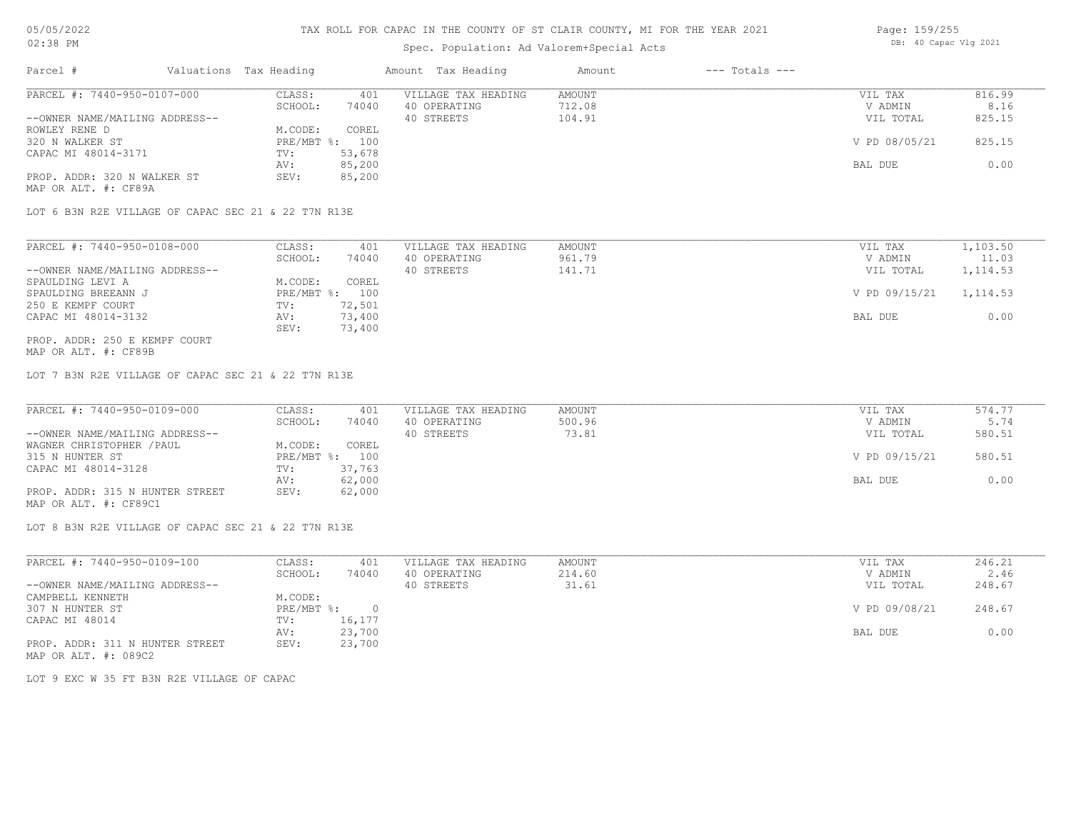## Spec. Population: Ad Valorem+Special Acts

| Page: 159/255 |                       |  |
|---------------|-----------------------|--|
|               | DB: 40 Capac Vlg 2021 |  |

| Parcel #                       | Valuations Tax Heading |        | Amount Tax Heading  | Amount | $---$ Totals $---$ |               |        |
|--------------------------------|------------------------|--------|---------------------|--------|--------------------|---------------|--------|
| PARCEL #: 7440-950-0107-000    | CLASS:                 | 401    | VILLAGE TAX HEADING | AMOUNT |                    | VIL TAX       | 816.99 |
|                                | SCHOOL:                | 74040  | 40 OPERATING        | 712.08 |                    | V ADMIN       | 8.16   |
| --OWNER NAME/MAILING ADDRESS-- |                        |        | 40 STREETS          | 104.91 |                    | VIL TOTAL     | 825.15 |
| ROWLEY RENE D                  | M.CODE:                | COREL  |                     |        |                    |               |        |
| 320 N WALKER ST                | PRE/MBT %: 100         |        |                     |        |                    | V PD 08/05/21 | 825.15 |
| CAPAC MI 48014-3171            | TV:                    | 53,678 |                     |        |                    |               |        |
|                                | AV:                    | 85,200 |                     |        |                    | BAL DUE       | 0.00   |
| PROP. ADDR: 320 N WALKER ST    | SEV:                   | 85,200 |                     |        |                    |               |        |
| MAP OR ALT. #: CF89A           |                        |        |                     |        |                    |               |        |

LOT 6 B3N R2E VILLAGE OF CAPAC SEC 21 & 22 T7N R13E

| PARCEL #: 7440-950-0108-000    | CLASS:     | 401    | VILLAGE TAX HEADING | AMOUNT | VIL TAX       | 1,103.50  |
|--------------------------------|------------|--------|---------------------|--------|---------------|-----------|
|                                | SCHOOL:    | 74040  | 40 OPERATING        | 961.79 | V ADMIN       | 11.03     |
| --OWNER NAME/MAILING ADDRESS-- |            |        | 40 STREETS          | 141.71 | VIL TOTAL     | 1, 114.53 |
| SPAULDING LEVI A               | M.CODE:    | COREL  |                     |        |               |           |
| SPAULDING BREEANN J            | PRE/MBT %: | 100    |                     |        | V PD 09/15/21 | 1, 114.53 |
| 250 E KEMPF COURT              | TV:        | 72,501 |                     |        |               |           |
| CAPAC MI 48014-3132            | AV:        | 73,400 |                     |        | BAL DUE       | 0.00      |
|                                | SEV:       | 73,400 |                     |        |               |           |
| PROP. ADDR: 250 E KEMPF COURT  |            |        |                     |        |               |           |

MAP OR ALT. #: CF89B

LOT 7 B3N R2E VILLAGE OF CAPAC SEC 21 & 22 T7N R13E

| PARCEL #: 7440-950-0109-000     | CLASS:  | 401            | VILLAGE TAX HEADING | AMOUNT | VIL TAX       | 574.77 |
|---------------------------------|---------|----------------|---------------------|--------|---------------|--------|
|                                 | SCHOOL: | 74040          | 40 OPERATING        | 500.96 | V ADMIN       | 5.74   |
| --OWNER NAME/MAILING ADDRESS--  |         |                | 40 STREETS          | 73.81  | VIL TOTAL     | 580.51 |
| WAGNER CHRISTOPHER / PAUL       | M.CODE: | COREL          |                     |        |               |        |
| 315 N HUNTER ST                 |         | PRE/MBT %: 100 |                     |        | V PD 09/15/21 | 580.51 |
| CAPAC MI 48014-3128             | TV:     | 37,763         |                     |        |               |        |
|                                 | AV:     | 62,000         |                     |        | BAL DUE       | 0.00   |
| PROP. ADDR: 315 N HUNTER STREET | SEV:    | 62,000         |                     |        |               |        |
| MAP OR ALT. #: CF89C1           |         |                |                     |        |               |        |

LOT 8 B3N R2E VILLAGE OF CAPAC SEC 21 & 22 T7N R13E

| PARCEL #: 7440-950-0109-100     | CLASS:       | 401    | VILLAGE TAX HEADING | AMOUNT | VIL TAX       | 246.21 |
|---------------------------------|--------------|--------|---------------------|--------|---------------|--------|
|                                 | SCHOOL:      | 74040  | 40 OPERATING        | 214.60 | V ADMIN       | 2.46   |
| --OWNER NAME/MAILING ADDRESS--  |              |        | 40 STREETS          | 31.61  | VIL TOTAL     | 248.67 |
| CAMPBELL KENNETH                | M.CODE:      |        |                     |        |               |        |
| 307 N HUNTER ST                 | $PRE/MBT$ %: |        |                     |        | V PD 09/08/21 | 248.67 |
| CAPAC MI 48014                  | TV:          | 16,177 |                     |        |               |        |
|                                 | AV:          | 23,700 |                     |        | BAL DUE       | 0.00   |
| PROP. ADDR: 311 N HUNTER STREET | SEV:         | 23,700 |                     |        |               |        |
| MAP OR ALT. #: 089C2            |              |        |                     |        |               |        |

LOT 9 EXC W 35 FT B3N R2E VILLAGE OF CAPAC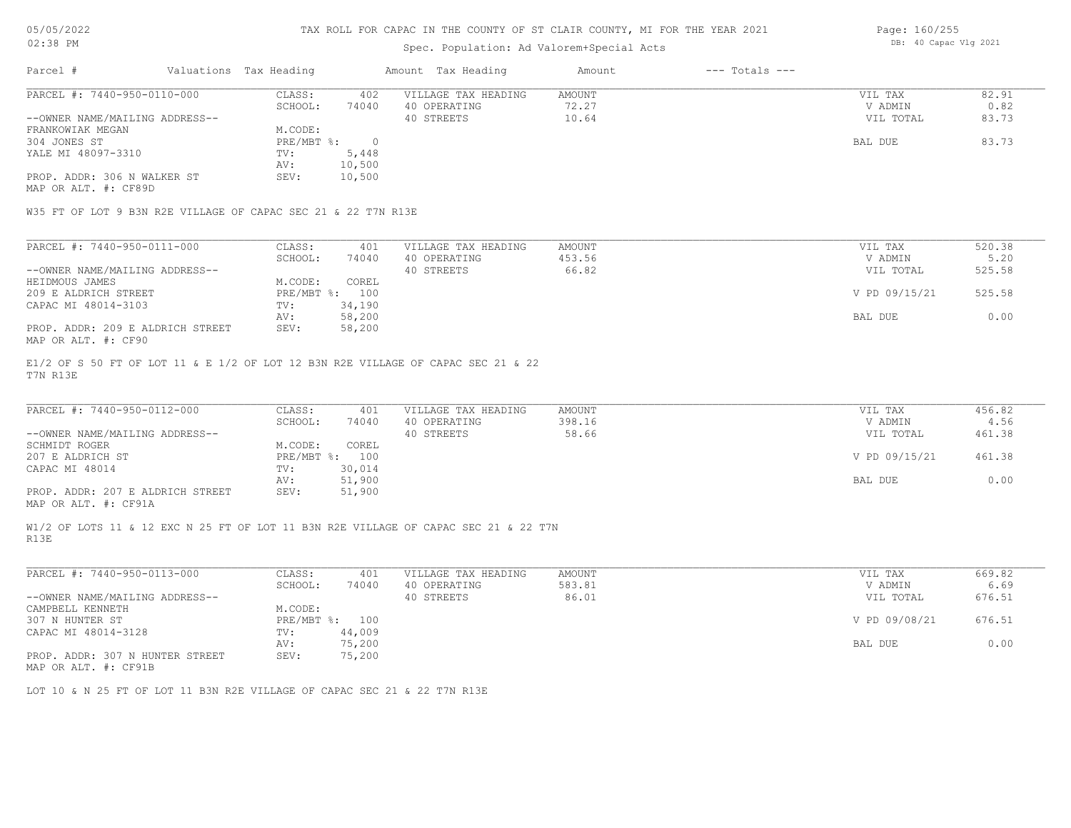#### TAX ROLL FOR CAPAC IN THE COUNTY OF ST CLAIR COUNTY, MI FOR THE YEAR 2021

### Spec. Population: Ad Valorem+Special Acts

| Page: 160/255 |                       |  |
|---------------|-----------------------|--|
|               | DB: 40 Capac Vlg 2021 |  |

| Parcel #                       | Valuations Tax Heading |        | Amount Tax Heading  | Amount | $---$ Totals $---$ |           |       |
|--------------------------------|------------------------|--------|---------------------|--------|--------------------|-----------|-------|
| PARCEL #: 7440-950-0110-000    | CLASS:                 | 402    | VILLAGE TAX HEADING | AMOUNT |                    | VIL TAX   | 82.91 |
|                                | SCHOOL:                | 74040  | 40 OPERATING        | 72.27  |                    | V ADMIN   | 0.82  |
| --OWNER NAME/MAILING ADDRESS-- |                        |        | 40 STREETS          | 10.64  |                    | VIL TOTAL | 83.73 |
| FRANKOWIAK MEGAN               | M.CODE:                |        |                     |        |                    |           |       |
| 304 JONES ST                   | $PRE/MBT$ %:           |        |                     |        |                    | BAL DUE   | 83.73 |
| YALE MI 48097-3310             | TV:                    | 5,448  |                     |        |                    |           |       |
|                                | AV:                    | 10,500 |                     |        |                    |           |       |
| PROP. ADDR: 306 N WALKER ST    | SEV:                   | 10,500 |                     |        |                    |           |       |

MAP OR ALT. #: CF89D

W35 FT OF LOT 9 B3N R2E VILLAGE OF CAPAC SEC 21 & 22 T7N R13E

| PARCEL #: 7440-950-0111-000      | CLASS:     | 401    | VILLAGE TAX HEADING | AMOUNT | VIL TAX       | 520.38 |
|----------------------------------|------------|--------|---------------------|--------|---------------|--------|
|                                  | SCHOOL:    | 74040  | 40 OPERATING        | 453.56 | V ADMIN       | 5.20   |
| --OWNER NAME/MAILING ADDRESS--   |            |        | 40 STREETS          | 66.82  | VIL TOTAL     | 525.58 |
| HEIDMOUS JAMES                   | M.CODE:    | COREL  |                     |        |               |        |
| 209 E ALDRICH STREET             | PRE/MBT %: | 100    |                     |        | V PD 09/15/21 | 525.58 |
| CAPAC MI 48014-3103              | TV:        | 34,190 |                     |        |               |        |
|                                  | AV:        | 58,200 |                     |        | BAL DUE       | 0.00   |
| PROP. ADDR: 209 E ALDRICH STREET | SEV:       | 58,200 |                     |        |               |        |
| MAP OR ALT. #: CF90              |            |        |                     |        |               |        |

T7N R13E E1/2 OF S 50 FT OF LOT 11 & E 1/2 OF LOT 12 B3N R2E VILLAGE OF CAPAC SEC 21 & 22

| PARCEL #: 7440-950-0112-000      | CLASS:         | 401    | VILLAGE TAX HEADING | AMOUNT | VIL TAX       | 456.82 |
|----------------------------------|----------------|--------|---------------------|--------|---------------|--------|
|                                  | SCHOOL:        | 74040  | 40 OPERATING        | 398.16 | V ADMIN       | 4.56   |
| --OWNER NAME/MAILING ADDRESS--   |                |        | 40 STREETS          | 58.66  | VIL TOTAL     | 461.38 |
| SCHMIDT ROGER                    | M.CODE:        | COREL  |                     |        |               |        |
| 207 E ALDRICH ST                 | PRE/MBT %: 100 |        |                     |        | V PD 09/15/21 | 461.38 |
| CAPAC MI 48014                   | TV:            | 30,014 |                     |        |               |        |
|                                  | AV:            | 51,900 |                     |        | BAL DUE       | 0.00   |
| PROP. ADDR: 207 E ALDRICH STREET | SEV:           | 51,900 |                     |        |               |        |
|                                  |                |        |                     |        |               |        |

 $\_$  , and the state of the state of the state of the state of the state of the state of the state of the state of the state of the state of the state of the state of the state of the state of the state of the state of the

MAP OR ALT. #: CF91A

R13E W1/2 OF LOTS 11 & 12 EXC N 25 FT OF LOT 11 B3N R2E VILLAGE OF CAPAC SEC 21 & 22 T7N

| PARCEL #: 7440-950-0113-000                  | CLASS:       | 401    | VILLAGE TAX HEADING | AMOUNT | VIL TAX       | 669.82 |
|----------------------------------------------|--------------|--------|---------------------|--------|---------------|--------|
|                                              | SCHOOL:      | 74040  | 40 OPERATING        | 583.81 | V ADMIN       | 6.69   |
| --OWNER NAME/MAILING ADDRESS--               |              |        | 40 STREETS          | 86.01  | VIL TOTAL     | 676.51 |
| CAMPBELL KENNETH                             | M.CODE:      |        |                     |        |               |        |
| 307 N HUNTER ST                              | $PRE/MBT$ %: | 100    |                     |        | V PD 09/08/21 | 676.51 |
| CAPAC MI 48014-3128                          | TV:          | 44,009 |                     |        |               |        |
|                                              | AV:          | 75,200 |                     |        | BAL DUE       | 0.00   |
| PROP. ADDR: 307 N HUNTER STREET              | SEV:         | 75,200 |                     |        |               |        |
| $\cdots$ $\cdots$ $\cdots$ $\cdots$ $\cdots$ |              |        |                     |        |               |        |

MAP OR ALT. #: CF91B

LOT 10 & N 25 FT OF LOT 11 B3N R2E VILLAGE OF CAPAC SEC 21 & 22 T7N R13E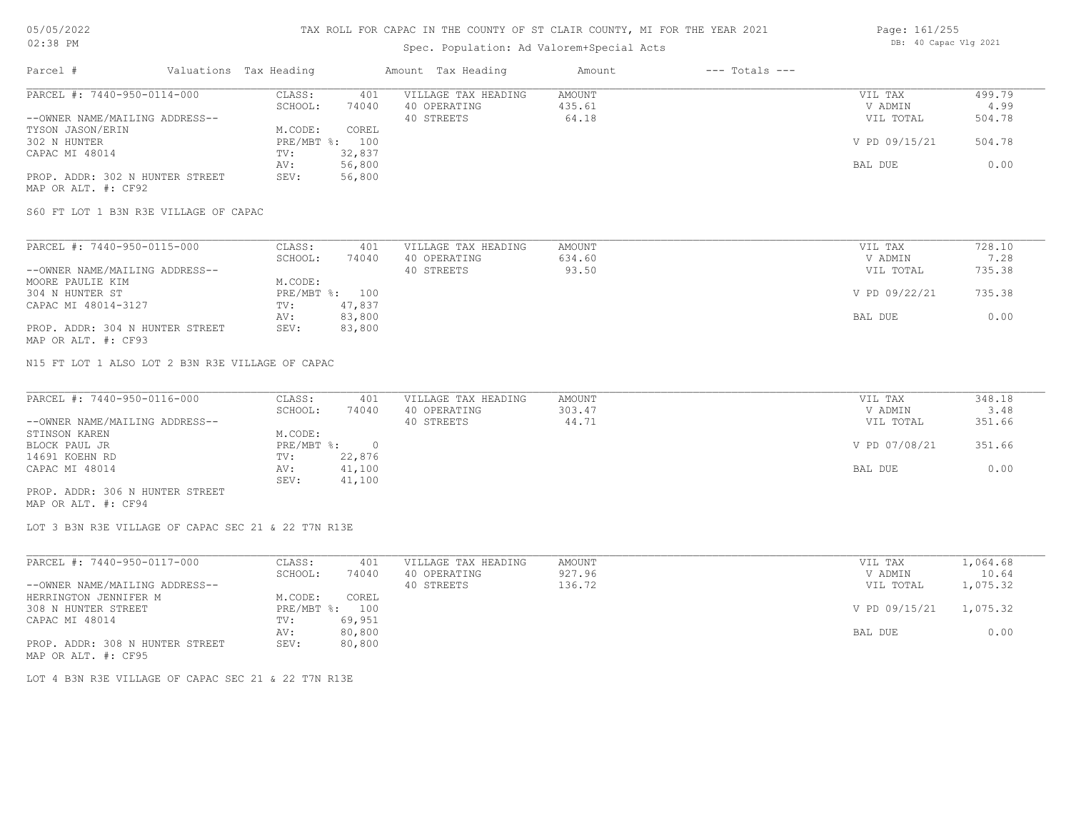## Spec. Population: Ad Valorem+Special Acts

| Page: 161/255 |                       |  |
|---------------|-----------------------|--|
|               | DB: 40 Capac Vlg 2021 |  |

| Parcel #                        | Valuations Tax Heading |        | Amount Tax Heading  | Amount | $---$ Totals $---$ |               |        |
|---------------------------------|------------------------|--------|---------------------|--------|--------------------|---------------|--------|
| PARCEL #: 7440-950-0114-000     | CLASS:                 | 401    | VILLAGE TAX HEADING | AMOUNT |                    | VIL TAX       | 499.79 |
|                                 | SCHOOL:                | 74040  | 40 OPERATING        | 435.61 |                    | V ADMIN       | 4.99   |
| --OWNER NAME/MAILING ADDRESS--  |                        |        | 40 STREETS          | 64.18  |                    | VIL TOTAL     | 504.78 |
| TYSON JASON/ERIN                | M.CODE:                | COREL  |                     |        |                    |               |        |
| 302 N HUNTER                    | $PRE/MBT$ %:           | 100    |                     |        |                    | V PD 09/15/21 | 504.78 |
| CAPAC MI 48014                  | TV:                    | 32,837 |                     |        |                    |               |        |
|                                 | AV:                    | 56,800 |                     |        |                    | BAL DUE       | 0.00   |
| PROP. ADDR: 302 N HUNTER STREET | SEV:                   | 56,800 |                     |        |                    |               |        |
| MAP OR ALT. #: CF92             |                        |        |                     |        |                    |               |        |

S60 FT LOT 1 B3N R3E VILLAGE OF CAPAC

| PARCEL #: 7440-950-0115-000     | CLASS:  | 401            | VILLAGE TAX HEADING | AMOUNT | VIL TAX       | 728.10 |
|---------------------------------|---------|----------------|---------------------|--------|---------------|--------|
|                                 | SCHOOL: | 74040          | 40 OPERATING        | 634.60 | V ADMIN       | 7.28   |
| --OWNER NAME/MAILING ADDRESS--  |         |                | 40 STREETS          | 93.50  | VIL TOTAL     | 735.38 |
| MOORE PAULIE KIM                | M.CODE: |                |                     |        |               |        |
| 304 N HUNTER ST                 |         | PRE/MBT %: 100 |                     |        | V PD 09/22/21 | 735.38 |
| CAPAC MI 48014-3127             | TV:     | 47,837         |                     |        |               |        |
|                                 | AV:     | 83,800         |                     |        | BAL DUE       | 0.00   |
| PROP. ADDR: 304 N HUNTER STREET | SEV:    | 83,800         |                     |        |               |        |
| MAP OR ALT. #: CF93             |         |                |                     |        |               |        |

N15 FT LOT 1 ALSO LOT 2 B3N R3E VILLAGE OF CAPAC

| PARCEL #: 7440-950-0116-000     | CLASS:     | 401    | VILLAGE TAX HEADING | AMOUNT | VIL TAX       | 348.18 |
|---------------------------------|------------|--------|---------------------|--------|---------------|--------|
|                                 | SCHOOL:    | 74040  | 40 OPERATING        | 303.47 | V ADMIN       | 3.48   |
| --OWNER NAME/MAILING ADDRESS--  |            |        | 40 STREETS          | 44.71  | VIL TOTAL     | 351.66 |
| STINSON KAREN                   | M.CODE:    |        |                     |        |               |        |
| BLOCK PAUL JR                   | PRE/MBT %: |        |                     |        | V PD 07/08/21 | 351.66 |
| 14691 KOEHN RD                  | TV:        | 22,876 |                     |        |               |        |
| CAPAC MI 48014                  | AV:        | 41,100 |                     |        | BAL DUE       | 0.00   |
|                                 | SEV:       | 41,100 |                     |        |               |        |
| PROP. ADDR: 306 N HUNTER STREET |            |        |                     |        |               |        |

MAP OR ALT. #: CF94

LOT 3 B3N R3E VILLAGE OF CAPAC SEC 21 & 22 T7N R13E

| PARCEL #: 7440-950-0117-000     | CLASS:  | 401            | VILLAGE TAX HEADING | AMOUNT | VIL TAX       | 1,064.68 |
|---------------------------------|---------|----------------|---------------------|--------|---------------|----------|
|                                 | SCHOOL: | 74040          | 40 OPERATING        | 927.96 | V ADMIN       | 10.64    |
| --OWNER NAME/MAILING ADDRESS--  |         |                | 40 STREETS          | 136.72 | VIL TOTAL     | 1,075.32 |
| HERRINGTON JENNIFER M           | M.CODE: | COREL          |                     |        |               |          |
| 308 N HUNTER STREET             |         | PRE/MBT %: 100 |                     |        | V PD 09/15/21 | 1,075.32 |
| CAPAC MI 48014                  | TV:     | 69,951         |                     |        |               |          |
|                                 | AV:     | 80,800         |                     |        | BAL DUE       | 0.00     |
| PROP. ADDR: 308 N HUNTER STREET | SEV:    | 80,800         |                     |        |               |          |
| MAP OR ALT. #: CF95             |         |                |                     |        |               |          |

LOT 4 B3N R3E VILLAGE OF CAPAC SEC 21 & 22 T7N R13E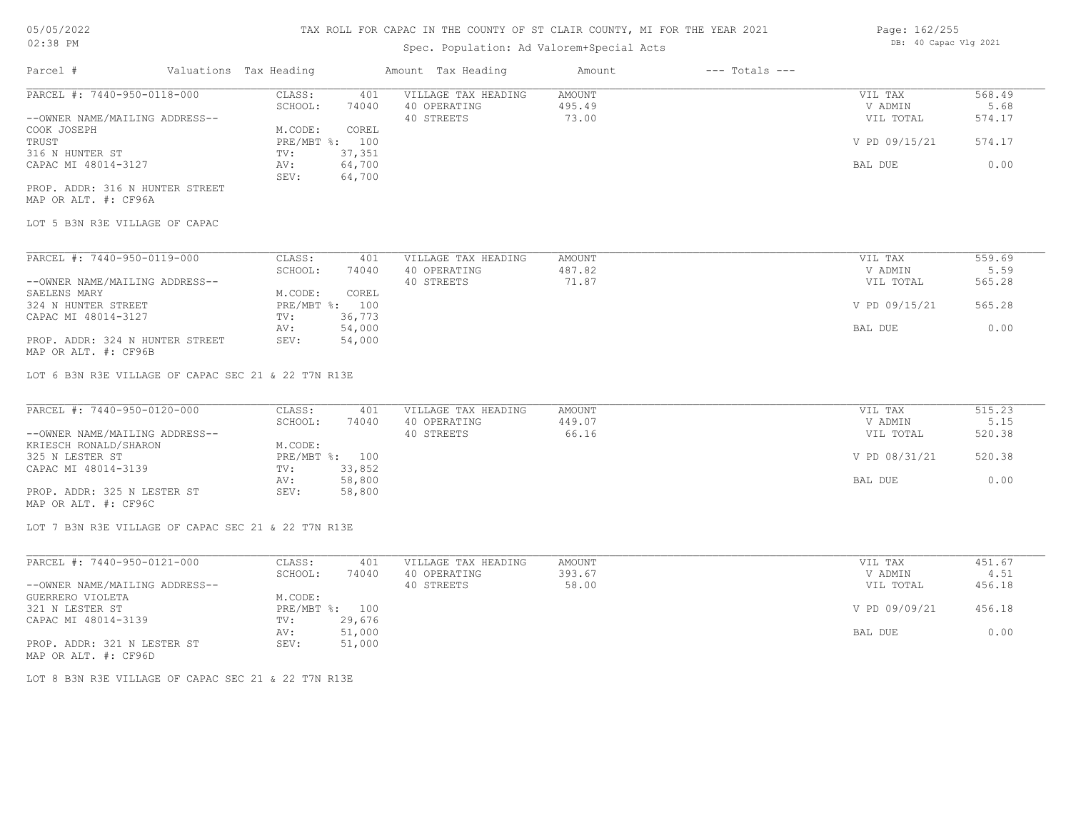# Spec. Population: Ad Valorem+Special Acts

| Page: 162/255 |  |                       |  |  |
|---------------|--|-----------------------|--|--|
|               |  | DB: 40 Capac Vlg 2021 |  |  |

| Parcel #                        | Valuations Tax Heading |        | Amount Tax Heading  | Amount | $---$ Totals $---$ |               |        |
|---------------------------------|------------------------|--------|---------------------|--------|--------------------|---------------|--------|
| PARCEL #: 7440-950-0118-000     | CLASS:                 | 401    | VILLAGE TAX HEADING | AMOUNT |                    | VIL TAX       | 568.49 |
|                                 | SCHOOL:                | 74040  | 40 OPERATING        | 495.49 |                    | V ADMIN       | 5.68   |
| --OWNER NAME/MAILING ADDRESS--  |                        |        | 40 STREETS          | 73.00  |                    | VIL TOTAL     | 574.17 |
| COOK JOSEPH                     | M.CODE:                | COREL  |                     |        |                    |               |        |
| TRUST                           | PRE/MBT %: 100         |        |                     |        |                    | V PD 09/15/21 | 574.17 |
| 316 N HUNTER ST                 | TV:                    | 37,351 |                     |        |                    |               |        |
| CAPAC MI 48014-3127             | AV:                    | 64,700 |                     |        |                    | BAL DUE       | 0.00   |
|                                 | SEV:                   | 64,700 |                     |        |                    |               |        |
| PROP. ADDR: 316 N HUNTER STREET |                        |        |                     |        |                    |               |        |

MAP OR ALT. #: CF96A

LOT 5 B3N R3E VILLAGE OF CAPAC

| PARCEL #: 7440-950-0119-000     | CLASS:       | 401    | VILLAGE TAX HEADING | AMOUNT | VIL TAX       | 559.69 |
|---------------------------------|--------------|--------|---------------------|--------|---------------|--------|
|                                 | SCHOOL:      | 74040  | 40 OPERATING        | 487.82 | V ADMIN       | 5.59   |
| --OWNER NAME/MAILING ADDRESS--  |              |        | 40 STREETS          | 71.87  | VIL TOTAL     | 565.28 |
| SAELENS MARY                    | M.CODE:      | COREL  |                     |        |               |        |
| 324 N HUNTER STREET             | $PRE/MBT$ %: | 100    |                     |        | V PD 09/15/21 | 565.28 |
| CAPAC MI 48014-3127             | TV:          | 36,773 |                     |        |               |        |
|                                 | AV:          | 54,000 |                     |        | BAL DUE       | 0.00   |
| PROP. ADDR: 324 N HUNTER STREET | SEV:         | 54,000 |                     |        |               |        |

MAP OR ALT. #: CF96B

LOT 6 B3N R3E VILLAGE OF CAPAC SEC 21 & 22 T7N R13E

| PARCEL #: 7440-950-0120-000    | CLASS:  | 401            | VILLAGE TAX HEADING | AMOUNT | VIL TAX       | 515.23 |
|--------------------------------|---------|----------------|---------------------|--------|---------------|--------|
|                                | SCHOOL: | 74040          | 40 OPERATING        | 449.07 | V ADMIN       | 5.15   |
| --OWNER NAME/MAILING ADDRESS-- |         |                | 40 STREETS          | 66.16  | VIL TOTAL     | 520.38 |
| KRIESCH RONALD/SHARON          | M.CODE: |                |                     |        |               |        |
| 325 N LESTER ST                |         | PRE/MBT %: 100 |                     |        | V PD 08/31/21 | 520.38 |
| CAPAC MI 48014-3139            | TV:     | 33,852         |                     |        |               |        |
|                                | AV:     | 58,800         |                     |        | BAL DUE       | 0.00   |
| PROP. ADDR: 325 N LESTER ST    | SEV:    | 58,800         |                     |        |               |        |
|                                |         |                |                     |        |               |        |

MAP OR ALT. #: CF96C

LOT 7 B3N R3E VILLAGE OF CAPAC SEC 21 & 22 T7N R13E

| PARCEL #: 7440-950-0121-000    | CLASS:  | 401            | VILLAGE TAX HEADING | AMOUNT | VIL TAX       | 451.67 |
|--------------------------------|---------|----------------|---------------------|--------|---------------|--------|
|                                | SCHOOL: | 74040          | 40 OPERATING        | 393.67 | V ADMIN       | 4.51   |
| --OWNER NAME/MAILING ADDRESS-- |         |                | 40 STREETS          | 58.00  | VIL TOTAL     | 456.18 |
| GUERRERO VIOLETA               | M.CODE: |                |                     |        |               |        |
| 321 N LESTER ST                |         | PRE/MBT %: 100 |                     |        | V PD 09/09/21 | 456.18 |
| CAPAC MI 48014-3139            | TV:     | 29,676         |                     |        |               |        |
|                                | AV:     | 51,000         |                     |        | BAL DUE       | 0.00   |
| PROP. ADDR: 321 N LESTER ST    | SEV:    | 51,000         |                     |        |               |        |
| MAP OR ALT. #: CF96D           |         |                |                     |        |               |        |

LOT 8 B3N R3E VILLAGE OF CAPAC SEC 21 & 22 T7N R13E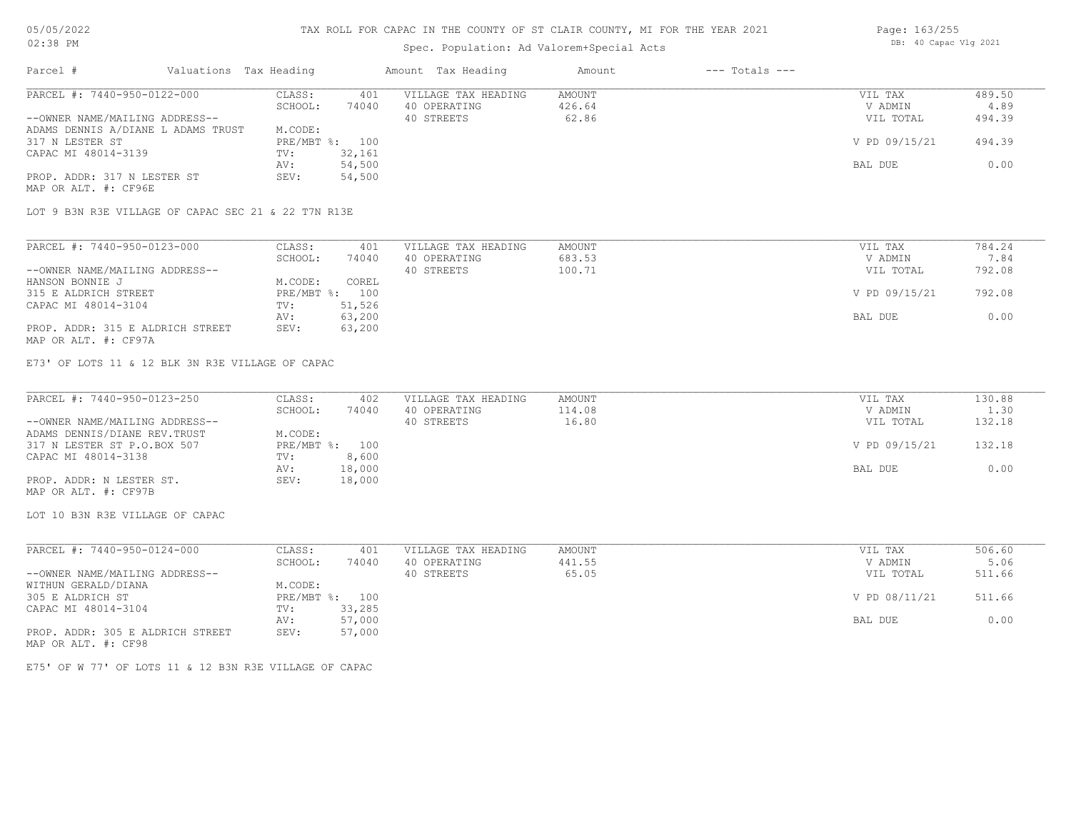# TAX ROLL FOR CAPAC IN THE COUNTY OF ST CLAIR COUNTY, MI FOR THE YEAR 2021

## Spec. Population: Ad Valorem+Special Acts

| Parcel #                                            | Valuations Tax Heading |                | Amount Tax Heading  | Amount | $---$ Totals $---$ |               |        |
|-----------------------------------------------------|------------------------|----------------|---------------------|--------|--------------------|---------------|--------|
| PARCEL #: 7440-950-0122-000                         | CLASS:                 | 401            | VILLAGE TAX HEADING | AMOUNT |                    | VIL TAX       | 489.50 |
|                                                     | SCHOOL:                | 74040          | 40 OPERATING        | 426.64 |                    | V ADMIN       | 4.89   |
| --OWNER NAME/MAILING ADDRESS--                      |                        |                | 40 STREETS          | 62.86  |                    | VIL TOTAL     | 494.39 |
| ADAMS DENNIS A/DIANE L ADAMS TRUST                  | M.CODE:                |                |                     |        |                    |               |        |
| 317 N LESTER ST                                     |                        | PRE/MBT %: 100 |                     |        |                    | V PD 09/15/21 | 494.39 |
| CAPAC MI 48014-3139                                 | TV:                    | 32,161         |                     |        |                    |               |        |
|                                                     | AV:                    | 54,500         |                     |        |                    | BAL DUE       | 0.00   |
| PROP. ADDR: 317 N LESTER ST<br>MAP OR ALT. #: CF96E | SEV:                   | 54,500         |                     |        |                    |               |        |

LOT 9 B3N R3E VILLAGE OF CAPAC SEC 21 & 22 T7N R13E

| PARCEL #: 7440-950-0123-000      | CLASS:  | 401            | VILLAGE TAX HEADING | AMOUNT | VIL TAX       | 784.24 |
|----------------------------------|---------|----------------|---------------------|--------|---------------|--------|
|                                  | SCHOOL: | 74040          | 40 OPERATING        | 683.53 | V ADMIN       | 7.84   |
| --OWNER NAME/MAILING ADDRESS--   |         |                | 40 STREETS          | 100.71 | VIL TOTAL     | 792.08 |
| HANSON BONNIE J                  | M.CODE: | COREL          |                     |        |               |        |
| 315 E ALDRICH STREET             |         | PRE/MBT %: 100 |                     |        | V PD 09/15/21 | 792.08 |
| CAPAC MI 48014-3104              | TV:     | 51,526         |                     |        |               |        |
|                                  | AV:     | 63,200         |                     |        | BAL DUE       | 0.00   |
| PROP. ADDR: 315 E ALDRICH STREET | SEV:    | 63,200         |                     |        |               |        |
| MAP OR ALT. #: CF97A             |         |                |                     |        |               |        |

E73' OF LOTS 11 & 12 BLK 3N R3E VILLAGE OF CAPAC

| PARCEL #: 7440-950-0123-250    | CLASS:         | 402    | VILLAGE TAX HEADING | AMOUNT | VIL TAX       | 130.88 |
|--------------------------------|----------------|--------|---------------------|--------|---------------|--------|
|                                | SCHOOL:        | 74040  | 40 OPERATING        | 114.08 | V ADMIN       | 1.30   |
| --OWNER NAME/MAILING ADDRESS-- |                |        | 40 STREETS          | 16.80  | VIL TOTAL     | 132.18 |
| ADAMS DENNIS/DIANE REV. TRUST  | M.CODE:        |        |                     |        |               |        |
| 317 N LESTER ST P.O.BOX 507    | PRE/MBT %: 100 |        |                     |        | V PD 09/15/21 | 132.18 |
| CAPAC MI 48014-3138            | TV:            | 8,600  |                     |        |               |        |
|                                | AV:            | 18,000 |                     |        | BAL DUE       | 0.00   |
| PROP. ADDR: N LESTER ST.       | SEV:           | 18,000 |                     |        |               |        |
| MAP OR ALT. #: CF97B           |                |        |                     |        |               |        |

LOT 10 B3N R3E VILLAGE OF CAPAC

| PARCEL #: 7440-950-0124-000      | CLASS:     | 401    | VILLAGE TAX HEADING | AMOUNT | VIL TAX       | 506.60 |
|----------------------------------|------------|--------|---------------------|--------|---------------|--------|
|                                  | SCHOOL:    | 74040  | 40 OPERATING        | 441.55 | V ADMIN       | 5.06   |
| --OWNER NAME/MAILING ADDRESS--   |            |        | 40 STREETS          | 65.05  | VIL TOTAL     | 511.66 |
| WITHUN GERALD/DIANA              | M.CODE:    |        |                     |        |               |        |
| 305 E ALDRICH ST                 | PRE/MBT %: | 100    |                     |        | V PD 08/11/21 | 511.66 |
| CAPAC MI 48014-3104              | TV:        | 33,285 |                     |        |               |        |
|                                  | AV:        | 57,000 |                     |        | BAL DUE       | 0.00   |
| PROP. ADDR: 305 E ALDRICH STREET | SEV:       | 57,000 |                     |        |               |        |
| MAP OR ALT. #: CF98              |            |        |                     |        |               |        |

E75' OF W 77' OF LOTS 11 & 12 B3N R3E VILLAGE OF CAPAC

Page: 163/255 DB: 40 Capac Vlg 2021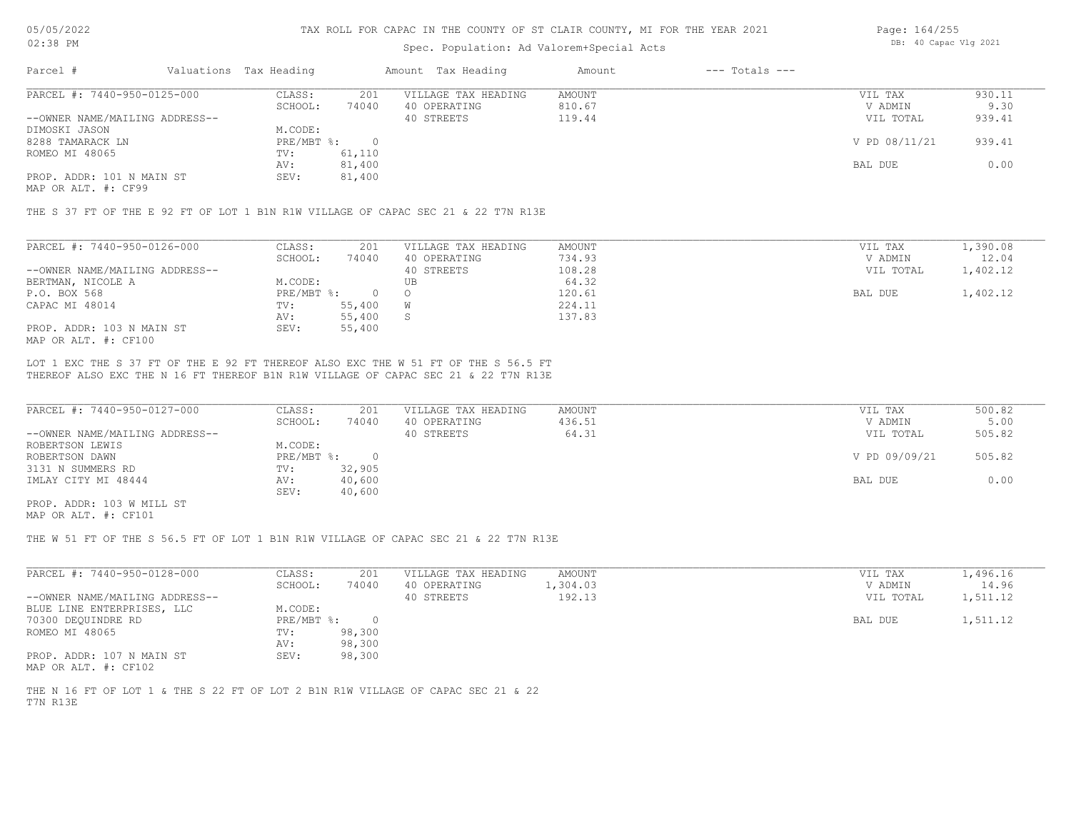### Spec. Population: Ad Valorem+Special Acts

| Page: 164/255 |                       |  |
|---------------|-----------------------|--|
|               | DB: 40 Capac Vlg 2021 |  |

| Parcel #                       | Valuations Tax Heading |        | Amount Tax Heading  | Amount | $---$ Totals $---$ |               |        |
|--------------------------------|------------------------|--------|---------------------|--------|--------------------|---------------|--------|
| PARCEL #: 7440-950-0125-000    | CLASS:                 | 201    | VILLAGE TAX HEADING | AMOUNT |                    | VIL TAX       | 930.11 |
|                                | SCHOOL:                | 74040  | 40 OPERATING        | 810.67 |                    | V ADMIN       | 9.30   |
| --OWNER NAME/MAILING ADDRESS-- |                        |        | 40 STREETS          | 119.44 |                    | VIL TOTAL     | 939.41 |
| DIMOSKI JASON                  | M.CODE:                |        |                     |        |                    |               |        |
| 8288 TAMARACK LN               | PRE/MBT %:             |        |                     |        |                    | V PD 08/11/21 | 939.41 |
| ROMEO MI 48065                 | TV:                    | 61,110 |                     |        |                    |               |        |
|                                | AV:                    | 81,400 |                     |        |                    | BAL DUE       | 0.00   |
| PROP. ADDR: 101 N MAIN ST      | SEV:                   | 81,400 |                     |        |                    |               |        |
|                                |                        |        |                     |        |                    |               |        |

MAP OR ALT. #: CF99

THE S 37 FT OF THE E 92 FT OF LOT 1 B1N R1W VILLAGE OF CAPAC SEC 21 & 22 T7N R13E

| PARCEL #: 7440-950-0126-000    | CLASS:     | 201    | VILLAGE TAX HEADING | AMOUNT | 1,390.08<br>VIL TAX   |
|--------------------------------|------------|--------|---------------------|--------|-----------------------|
|                                | SCHOOL:    | 74040  | 40 OPERATING        | 734.93 | 12.04<br>V ADMIN      |
| --OWNER NAME/MAILING ADDRESS-- |            |        | 40 STREETS          | 108.28 | 1,402.12<br>VIL TOTAL |
| BERTMAN, NICOLE A              | M.CODE:    |        | UB                  | 64.32  |                       |
| P.O. BOX 568                   | PRE/MBT %: |        |                     | 120.61 | 1,402.12<br>BAL DUE   |
| CAPAC MI 48014                 | TV:        | 55,400 |                     | 224.11 |                       |
|                                | AV:        | 55,400 |                     | 137.83 |                       |
| PROP. ADDR: 103 N MAIN ST      | SEV:       | 55,400 |                     |        |                       |
| MAP OR ALT. #: CF100           |            |        |                     |        |                       |

THEREOF ALSO EXC THE N 16 FT THEREOF B1N R1W VILLAGE OF CAPAC SEC 21 & 22 T7N R13E LOT 1 EXC THE S 37 FT OF THE E 92 FT THEREOF ALSO EXC THE W 51 FT OF THE S 56.5 FT

| PARCEL #: 7440-950-0127-000    | CLASS:       | 201    | VILLAGE TAX HEADING | AMOUNT | VIL TAX       | 500.82 |
|--------------------------------|--------------|--------|---------------------|--------|---------------|--------|
|                                | SCHOOL:      | 74040  | 40 OPERATING        | 436.51 | V ADMIN       | 5.00   |
| --OWNER NAME/MAILING ADDRESS-- |              |        | 40 STREETS          | 64.31  | VIL TOTAL     | 505.82 |
| ROBERTSON LEWIS                | M.CODE:      |        |                     |        |               |        |
| ROBERTSON DAWN                 | $PRE/MBT$ %: |        |                     |        | V PD 09/09/21 | 505.82 |
| 3131 N SUMMERS RD              | TV:          | 32,905 |                     |        |               |        |
| IMLAY CITY MI 48444            | AV:          | 40,600 |                     |        | BAL DUE       | 0.00   |
|                                | SEV:         | 40,600 |                     |        |               |        |
| PROP. ADDR: 103 W MILL ST      |              |        |                     |        |               |        |

MAP OR ALT. #: CF101

THE W 51 FT OF THE S 56.5 FT OF LOT 1 B1N R1W VILLAGE OF CAPAC SEC 21 & 22 T7N R13E

| PARCEL #: 7440-950-0128-000    | CLASS:     | 201    | VILLAGE TAX HEADING | AMOUNT   | VIL TAX   | 1,496.16 |
|--------------------------------|------------|--------|---------------------|----------|-----------|----------|
|                                | SCHOOL:    | 74040  | 40 OPERATING        | 1,304.03 | V ADMIN   | 14.96    |
| --OWNER NAME/MAILING ADDRESS-- |            |        | 40 STREETS          | 192.13   | VIL TOTAL | 1,511.12 |
| BLUE LINE ENTERPRISES, LLC     | M.CODE:    |        |                     |          |           |          |
| 70300 DEQUINDRE RD             | PRE/MBT %: |        |                     |          | BAL DUE   | 1,511.12 |
| ROMEO MI 48065                 | TV:        | 98,300 |                     |          |           |          |
|                                | AV:        | 98,300 |                     |          |           |          |
| PROP. ADDR: 107 N MAIN ST      | SEV:       | 98,300 |                     |          |           |          |

MAP OR ALT. #: CF102

T7N R13E THE N 16 FT OF LOT 1 & THE S 22 FT OF LOT 2 B1N R1W VILLAGE OF CAPAC SEC 21 & 22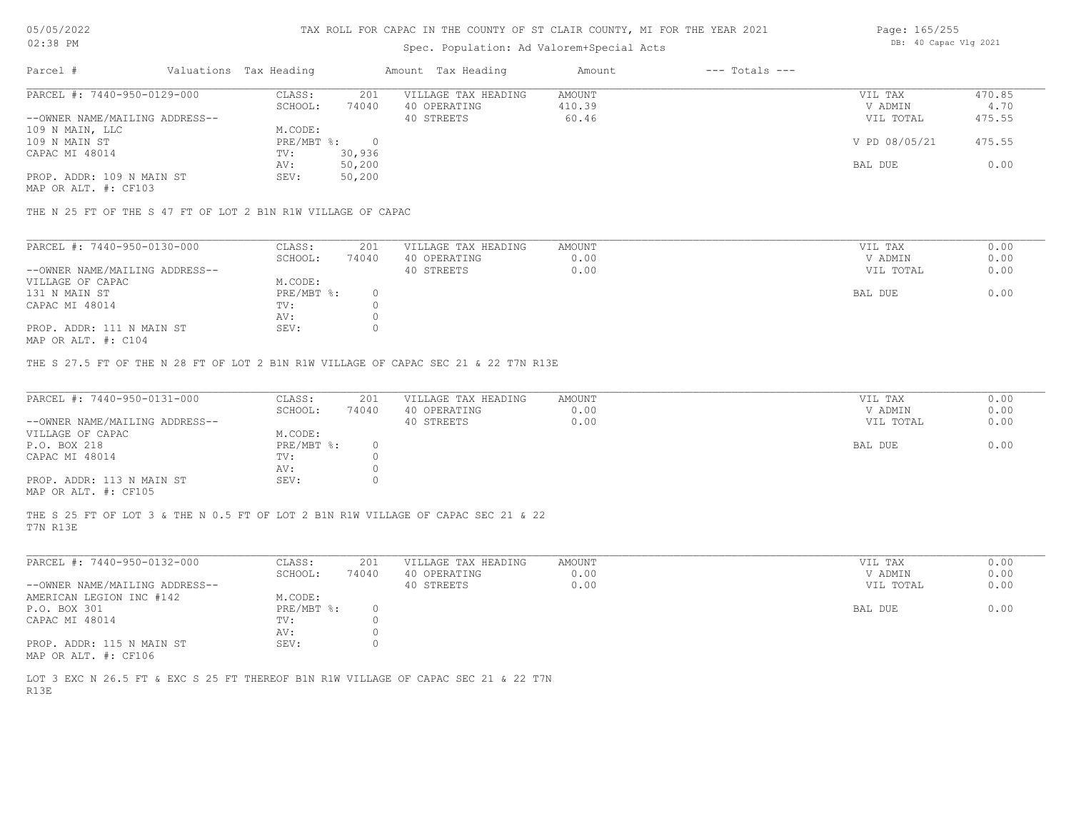# Spec. Population: Ad Valorem+Special Acts

| Page: 165/255 |                       |  |
|---------------|-----------------------|--|
|               | DB: 40 Capac Vlg 2021 |  |

| Parcel #                       | Valuations Tax Heading |        | Amount Tax Heading  | Amount | $---$ Totals $---$ |               |        |
|--------------------------------|------------------------|--------|---------------------|--------|--------------------|---------------|--------|
| PARCEL #: 7440-950-0129-000    | CLASS:                 | 201    | VILLAGE TAX HEADING | AMOUNT |                    | VIL TAX       | 470.85 |
|                                | SCHOOL:                | 74040  | 40 OPERATING        | 410.39 |                    | V ADMIN       | 4.70   |
| --OWNER NAME/MAILING ADDRESS-- |                        |        | 40 STREETS          | 60.46  |                    | VIL TOTAL     | 475.55 |
| 109 N MAIN, LLC                | M.CODE:                |        |                     |        |                    |               |        |
| 109 N MAIN ST                  | PRE/MBT %:             |        |                     |        |                    | V PD 08/05/21 | 475.55 |
| CAPAC MI 48014                 | TV:                    | 30,936 |                     |        |                    |               |        |
|                                | AV:                    | 50,200 |                     |        |                    | BAL DUE       | 0.00   |
| PROP. ADDR: 109 N MAIN ST      | SEV:                   | 50,200 |                     |        |                    |               |        |
|                                |                        |        |                     |        |                    |               |        |

MAP OR ALT. #: CF103

THE N 25 FT OF THE S 47 FT OF LOT 2 B1N R1W VILLAGE OF CAPAC

| PARCEL #: 7440-950-0130-000    | CLASS:     | 201   | VILLAGE TAX HEADING | AMOUNT | VIL TAX   | 0.00 |
|--------------------------------|------------|-------|---------------------|--------|-----------|------|
|                                | SCHOOL:    | 74040 | 40 OPERATING        | 0.00   | V ADMIN   | 0.00 |
| --OWNER NAME/MAILING ADDRESS-- |            |       | 40 STREETS          | 0.00   | VIL TOTAL | 0.00 |
| VILLAGE OF CAPAC               | M.CODE:    |       |                     |        |           |      |
| 131 N MAIN ST                  | PRE/MBT %: |       |                     |        | BAL DUE   | 0.00 |
| CAPAC MI 48014                 | TV:        |       |                     |        |           |      |
|                                | AV:        |       |                     |        |           |      |
| PROP. ADDR: 111 N MAIN ST      | SEV:       |       |                     |        |           |      |
|                                |            |       |                     |        |           |      |

MAP OR ALT. #: C104

THE S 27.5 FT OF THE N 28 FT OF LOT 2 B1N R1W VILLAGE OF CAPAC SEC 21 & 22 T7N R13E

| PARCEL #: 7440-950-0131-000    | CLASS:       | 201   | VILLAGE TAX HEADING | AMOUNT | VIL TAX   | 0.00 |
|--------------------------------|--------------|-------|---------------------|--------|-----------|------|
|                                | SCHOOL:      | 74040 | 40 OPERATING        | 0.00   | V ADMIN   | 0.00 |
| --OWNER NAME/MAILING ADDRESS-- |              |       | 40 STREETS          | 0.00   | VIL TOTAL | 0.00 |
| VILLAGE OF CAPAC               | M.CODE:      |       |                     |        |           |      |
| P.O. BOX 218                   | $PRE/MBT$ %: |       |                     |        | BAL DUE   | 0.00 |
| CAPAC MI 48014                 | TV:          |       |                     |        |           |      |
|                                | AV:          |       |                     |        |           |      |
| PROP. ADDR: 113 N MAIN ST      | SEV:         |       |                     |        |           |      |
| MAP OR ALT. #: CF105           |              |       |                     |        |           |      |

T7N R13E THE S 25 FT OF LOT 3 & THE N 0.5 FT OF LOT 2 B1N R1W VILLAGE OF CAPAC SEC 21 & 22

| PARCEL #: 7440-950-0132-000    | CLASS:     | 201   | VILLAGE TAX HEADING | AMOUNT | VIL TAX |           | 0.00 |
|--------------------------------|------------|-------|---------------------|--------|---------|-----------|------|
|                                | SCHOOL:    | 74040 | 40 OPERATING        | 0.00   |         | V ADMIN   | 0.00 |
| --OWNER NAME/MAILING ADDRESS-- |            |       | 40 STREETS          | 0.00   |         | VIL TOTAL | 0.00 |
| AMERICAN LEGION INC #142       | M.CODE:    |       |                     |        |         |           |      |
| P.O. BOX 301                   | PRE/MBT %: |       |                     |        | BAL DUE |           | 0.00 |
| CAPAC MI 48014                 | TV:        |       |                     |        |         |           |      |
|                                | AV:        |       |                     |        |         |           |      |
| PROP. ADDR: 115 N MAIN ST      | SEV:       |       |                     |        |         |           |      |
| MAP OR ALT. #: CF106           |            |       |                     |        |         |           |      |

R13E LOT 3 EXC N 26.5 FT & EXC S 25 FT THEREOF B1N R1W VILLAGE OF CAPAC SEC 21 & 22 T7N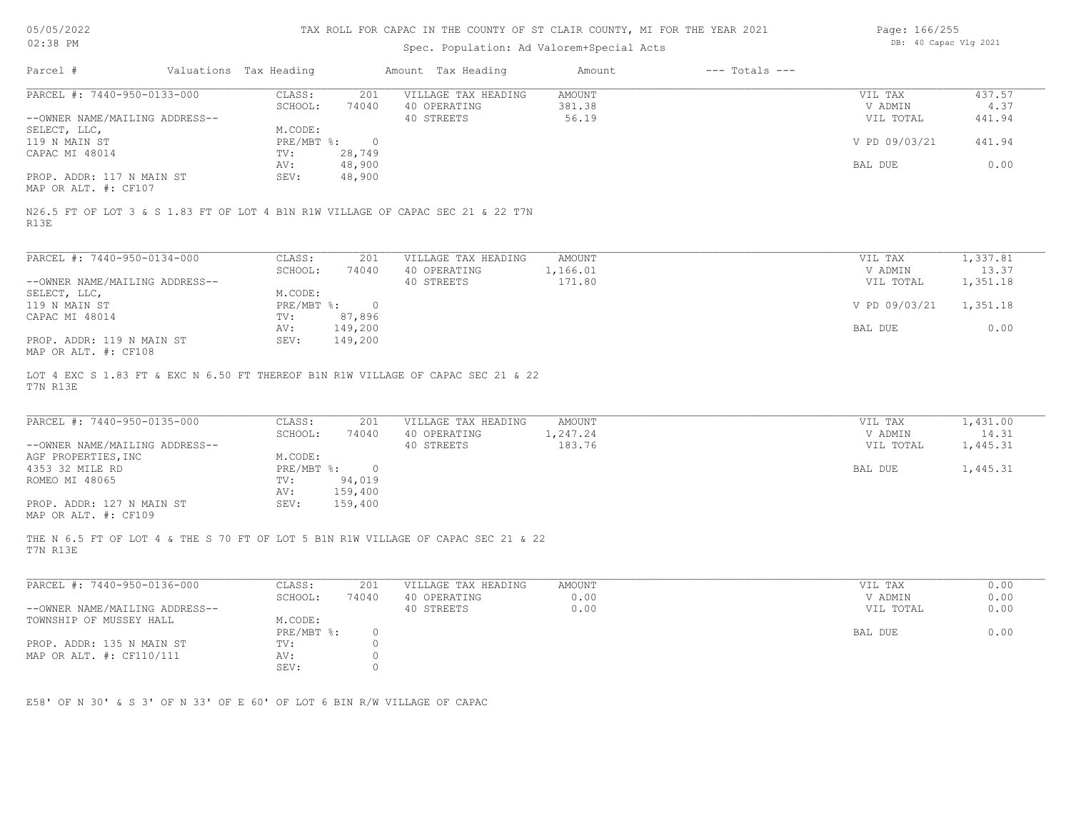| 05/05/2022 |  |
|------------|--|
| 02:38 PM   |  |

# Spec. Population: Ad Valorem+Special Acts

| Page: 166/255 |                       |  |
|---------------|-----------------------|--|
|               | DB: 40 Capac Vlg 2021 |  |

| PARCEL #: 7440-950-0133-000                                                                                                                                                                                               | CLASS:<br>201<br>SCHOOL:<br>74040                                                                               | VILLAGE TAX HEADING<br>40 OPERATING               | AMOUNT<br>381.38                    | VIL TAX<br>V ADMIN                         | 437.57<br>4.37                            |
|---------------------------------------------------------------------------------------------------------------------------------------------------------------------------------------------------------------------------|-----------------------------------------------------------------------------------------------------------------|---------------------------------------------------|-------------------------------------|--------------------------------------------|-------------------------------------------|
| --OWNER NAME/MAILING ADDRESS--                                                                                                                                                                                            |                                                                                                                 | 40 STREETS                                        | 56.19                               | VIL TOTAL                                  | 441.94                                    |
| SELECT, LLC,                                                                                                                                                                                                              | M.CODE:                                                                                                         |                                                   |                                     |                                            |                                           |
| 119 N MAIN ST                                                                                                                                                                                                             | $PRE/MBT$ %:<br>$\overline{0}$                                                                                  |                                                   |                                     | V PD 09/03/21                              | 441.94                                    |
| CAPAC MI 48014                                                                                                                                                                                                            | 28,749<br>TV:                                                                                                   |                                                   |                                     |                                            |                                           |
|                                                                                                                                                                                                                           | 48,900<br>AV:                                                                                                   |                                                   |                                     | BAL DUE                                    | 0.00                                      |
| PROP. ADDR: 117 N MAIN ST<br>MAP OR ALT. #: CF107                                                                                                                                                                         | 48,900<br>SEV:                                                                                                  |                                                   |                                     |                                            |                                           |
|                                                                                                                                                                                                                           |                                                                                                                 |                                                   |                                     |                                            |                                           |
| N26.5 FT OF LOT 3 & S 1.83 FT OF LOT 4 B1N R1W VILLAGE OF CAPAC SEC 21 & 22 T7N<br>R13E                                                                                                                                   |                                                                                                                 |                                                   |                                     |                                            |                                           |
|                                                                                                                                                                                                                           |                                                                                                                 |                                                   |                                     |                                            |                                           |
| PARCEL #: 7440-950-0134-000                                                                                                                                                                                               | CLASS:<br>201                                                                                                   | VILLAGE TAX HEADING                               | AMOUNT                              | VIL TAX                                    | 1,337.81                                  |
|                                                                                                                                                                                                                           | SCHOOL:<br>74040                                                                                                | 40 OPERATING                                      | 1,166.01                            | V ADMIN                                    | 13.37                                     |
| --OWNER NAME/MAILING ADDRESS--                                                                                                                                                                                            |                                                                                                                 | 40 STREETS                                        | 171.80                              | VIL TOTAL                                  | 1,351.18                                  |
| SELECT, LLC,                                                                                                                                                                                                              | M.CODE:                                                                                                         |                                                   |                                     |                                            |                                           |
| 119 N MAIN ST                                                                                                                                                                                                             | PRE/MBT %: 0                                                                                                    |                                                   |                                     | V PD 09/03/21                              | 1,351.18                                  |
| CAPAC MI 48014                                                                                                                                                                                                            | TV:<br>87,896<br>149,200<br>AV:                                                                                 |                                                   |                                     | BAL DUE                                    | 0.00                                      |
| PROP. ADDR: 119 N MAIN ST                                                                                                                                                                                                 | 149,200<br>SEV:                                                                                                 |                                                   |                                     |                                            |                                           |
| MAP OR ALT. #: CF108                                                                                                                                                                                                      |                                                                                                                 |                                                   |                                     |                                            |                                           |
|                                                                                                                                                                                                                           |                                                                                                                 |                                                   |                                     |                                            |                                           |
| LOT 4 EXC S 1.83 FT & EXC N 6.50 FT THEREOF B1N R1W VILLAGE OF CAPAC SEC 21 & 22<br>T7N R13E<br>PARCEL #: 7440-950-0135-000<br>--OWNER NAME/MAILING ADDRESS--<br>AGF PROPERTIES, INC<br>4353 32 MILE RD<br>ROMEO MI 48065 | CLASS:<br>201<br>SCHOOL:<br>74040<br>M.CODE:<br>PRE/MBT %:<br>$\overline{0}$<br>94,019<br>TV:<br>159,400<br>AV: | VILLAGE TAX HEADING<br>40 OPERATING<br>40 STREETS | <b>AMOUNT</b><br>1,247.24<br>183.76 | VIL TAX<br>V ADMIN<br>VIL TOTAL<br>BAL DUE |                                           |
| PROP. ADDR: 127 N MAIN ST<br>MAP OR ALT. #: CF109                                                                                                                                                                         | SEV:<br>159,400                                                                                                 |                                                   |                                     |                                            | 1,431.00<br>14.31<br>1,445.31<br>1,445.31 |
| THE N 6.5 FT OF LOT 4 & THE S 70 FT OF LOT 5 B1N R1W VILLAGE OF CAPAC SEC 21 & 22<br>T7N R13E                                                                                                                             |                                                                                                                 |                                                   |                                     |                                            |                                           |
| PARCEL #: 7440-950-0136-000                                                                                                                                                                                               | CLASS:<br>201                                                                                                   | VILLAGE TAX HEADING                               | AMOUNT                              | VIL TAX                                    | 0.00                                      |
|                                                                                                                                                                                                                           | SCHOOL:<br>74040                                                                                                | 40 OPERATING                                      | 0.00                                | V ADMIN                                    | 0.00                                      |
|                                                                                                                                                                                                                           |                                                                                                                 | 40 STREETS                                        | 0.00                                | VIL TOTAL                                  | 0.00                                      |
| --OWNER NAME/MAILING ADDRESS--<br>TOWNSHIP OF MUSSEY HALL                                                                                                                                                                 | M.CODE:                                                                                                         |                                                   |                                     |                                            |                                           |
|                                                                                                                                                                                                                           | PRE/MBT %:<br>$\circ$<br>$\Omega$<br>TV:                                                                        |                                                   |                                     | BAL DUE                                    |                                           |
| PROP. ADDR: 135 N MAIN ST<br>MAP OR ALT. #: CF110/111                                                                                                                                                                     | $\circ$<br>AV:                                                                                                  |                                                   |                                     |                                            |                                           |
|                                                                                                                                                                                                                           | SEV:<br>$\circ$                                                                                                 |                                                   |                                     |                                            | 0.00                                      |
|                                                                                                                                                                                                                           |                                                                                                                 |                                                   |                                     |                                            |                                           |
| E58' OF N 30' & S 3' OF N 33' OF E 60' OF LOT 6 BIN R/W VILLAGE OF CAPAC                                                                                                                                                  |                                                                                                                 |                                                   |                                     |                                            |                                           |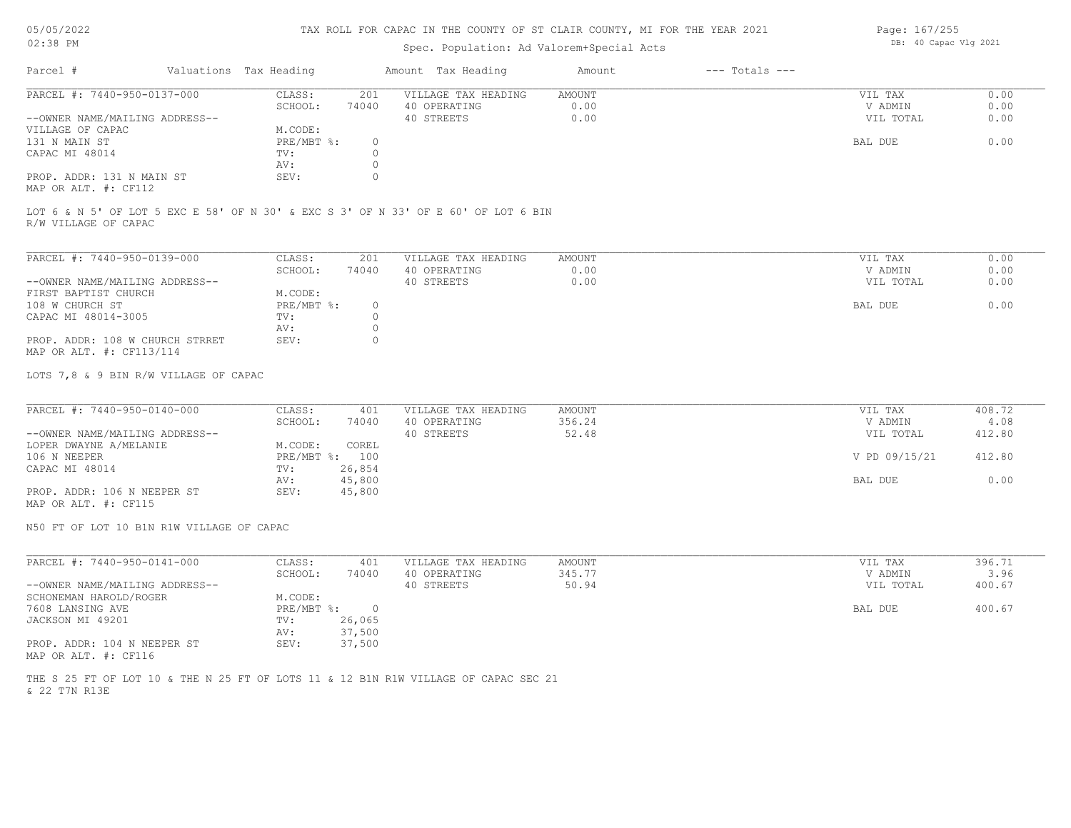### TAX ROLL FOR CAPAC IN THE COUNTY OF ST CLAIR COUNTY, MI FOR THE YEAR 2021

## Spec. Population: Ad Valorem+Special Acts

| Parcel #                                                                           | Valuations Tax Heading |       | Amount Tax Heading  | Amount | $---$ Totals $---$ |           |      |
|------------------------------------------------------------------------------------|------------------------|-------|---------------------|--------|--------------------|-----------|------|
| PARCEL #: 7440-950-0137-000                                                        | CLASS:                 | 201   | VILLAGE TAX HEADING | AMOUNT |                    | VIL TAX   | 0.00 |
|                                                                                    | SCHOOL:                | 74040 | 40 OPERATING        | 0.00   |                    | V ADMIN   | 0.00 |
| --OWNER NAME/MAILING ADDRESS--                                                     |                        |       | 40 STREETS          | 0.00   |                    | VIL TOTAL | 0.00 |
| VILLAGE OF CAPAC                                                                   | M.CODE:                |       |                     |        |                    |           |      |
| 131 N MAIN ST                                                                      | PRE/MBT %:             |       |                     |        |                    | BAL DUE   | 0.00 |
| CAPAC MI 48014                                                                     | TV:                    |       |                     |        |                    |           |      |
|                                                                                    | AV:                    |       |                     |        |                    |           |      |
| PROP. ADDR: 131 N MAIN ST<br>$\cdots$ $\cdots$ $\cdots$ $\cdots$ $\cdots$ $\cdots$ | SEV:                   |       |                     |        |                    |           |      |

MAP OR ALT. #: CF112

R/W VILLAGE OF CAPAC LOT 6 & N 5' OF LOT 5 EXC E 58' OF N 30' & EXC S 3' OF N 33' OF E 60' OF LOT 6 BIN

| PARCEL #: 7440-950-0139-000     | CLASS:     | 201   | VILLAGE TAX HEADING | AMOUNT | VIL TAX | 0.00              |
|---------------------------------|------------|-------|---------------------|--------|---------|-------------------|
|                                 | SCHOOL:    | 74040 | 40 OPERATING        | 0.00   | V ADMIN | 0.00              |
| --OWNER NAME/MAILING ADDRESS--  |            |       | 40 STREETS          | 0.00   |         | 0.00<br>VIL TOTAL |
| FIRST BAPTIST CHURCH            | M.CODE:    |       |                     |        |         |                   |
| 108 W CHURCH ST                 | PRE/MBT %: |       |                     |        | BAL DUE | 0.00              |
| CAPAC MI 48014-3005             | TV:        |       |                     |        |         |                   |
|                                 | AV:        |       |                     |        |         |                   |
| PROP. ADDR: 108 W CHURCH STRRET | SEV:       |       |                     |        |         |                   |
| MAP OR ALT. #: CF113/114        |            |       |                     |        |         |                   |

LOTS 7,8 & 9 BIN R/W VILLAGE OF CAPAC

| PARCEL #: 7440-950-0140-000    | CLASS:     | 401    | VILLAGE TAX HEADING | AMOUNT | VIL TAX       | 408.72 |
|--------------------------------|------------|--------|---------------------|--------|---------------|--------|
|                                | SCHOOL:    | 74040  | 40 OPERATING        | 356.24 | V ADMIN       | 4.08   |
| --OWNER NAME/MAILING ADDRESS-- |            |        | 40 STREETS          | 52.48  | VIL TOTAL     | 412.80 |
| LOPER DWAYNE A/MELANIE         | M.CODE:    | COREL  |                     |        |               |        |
| 106 N NEEPER                   | PRE/MBT %: | 100    |                     |        | V PD 09/15/21 | 412.80 |
| CAPAC MI 48014                 | TV:        | 26,854 |                     |        |               |        |
|                                | AV:        | 45,800 |                     |        | BAL DUE       | 0.00   |
| PROP. ADDR: 106 N NEEPER ST    | SEV:       | 45,800 |                     |        |               |        |
| MAP OR ALT. #: CF115           |            |        |                     |        |               |        |

N50 FT OF LOT 10 B1N R1W VILLAGE OF CAPAC

| PARCEL #: 7440-950-0141-000    | CLASS:     | 401    | VILLAGE TAX HEADING | AMOUNT | VIL TAX   | 396.71 |
|--------------------------------|------------|--------|---------------------|--------|-----------|--------|
|                                | SCHOOL:    | 74040  | 40 OPERATING        | 345.77 | V ADMIN   | 3.96   |
| --OWNER NAME/MAILING ADDRESS-- |            |        | 40 STREETS          | 50.94  | VIL TOTAL | 400.67 |
| SCHONEMAN HAROLD/ROGER         | M.CODE:    |        |                     |        |           |        |
| 7608 LANSING AVE               | PRE/MBT %: |        |                     |        | BAL DUE   | 400.67 |
| JACKSON MI 49201               | TV:        | 26,065 |                     |        |           |        |
|                                | AV:        | 37,500 |                     |        |           |        |
| PROP. ADDR: 104 N NEEPER ST    | SEV:       | 37,500 |                     |        |           |        |
| MAP OR ALT. #: CF116           |            |        |                     |        |           |        |

& 22 T7N R13E THE S 25 FT OF LOT 10 & THE N 25 FT OF LOTS 11 & 12 B1N R1W VILLAGE OF CAPAC SEC 21 Page: 167/255 DB: 40 Capac Vlg 2021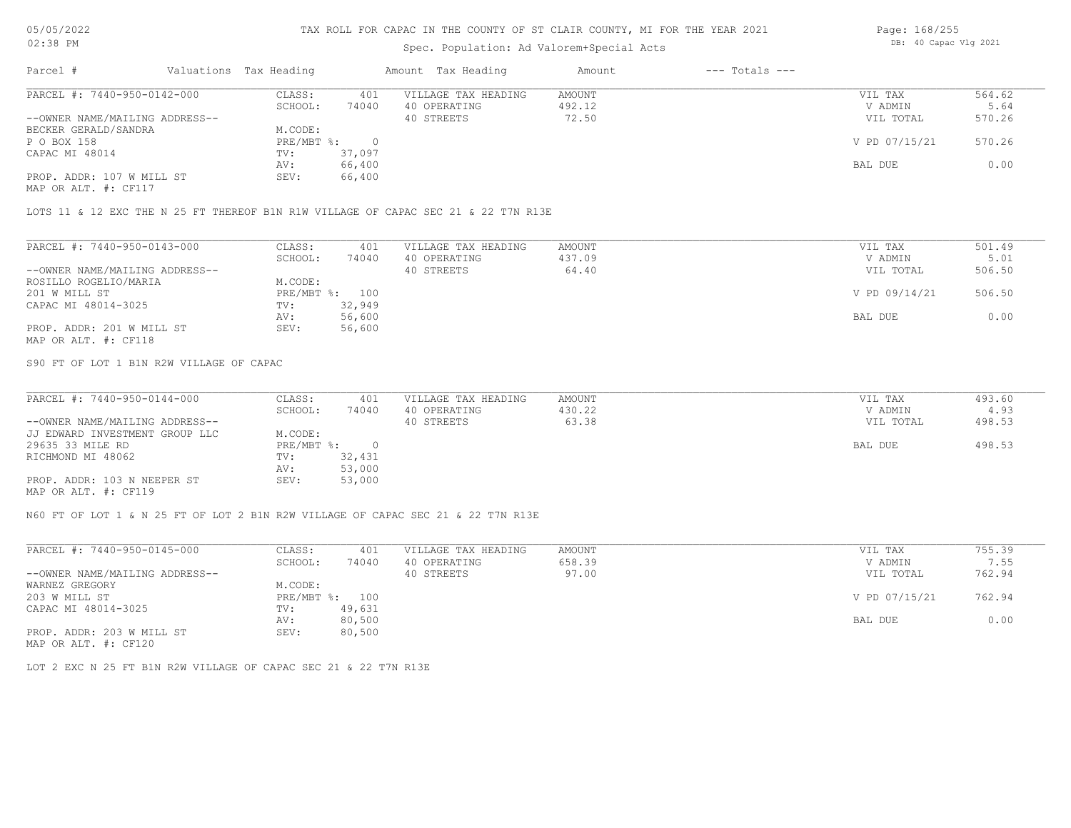# Spec. Population: Ad Valorem+Special Acts

| Page: 168/255 |                       |  |
|---------------|-----------------------|--|
|               | DB: 40 Capac Vlg 2021 |  |

| Parcel #                       | Valuations Tax Heading |        | Amount Tax Heading  | Amount | $---$ Totals $---$ |               |        |
|--------------------------------|------------------------|--------|---------------------|--------|--------------------|---------------|--------|
| PARCEL #: 7440-950-0142-000    | CLASS:                 | 401    | VILLAGE TAX HEADING | AMOUNT |                    | VIL TAX       | 564.62 |
|                                | SCHOOL:                | 74040  | 40 OPERATING        | 492.12 |                    | V ADMIN       | 5.64   |
| --OWNER NAME/MAILING ADDRESS-- |                        |        | 40 STREETS          | 72.50  |                    | VIL TOTAL     | 570.26 |
| BECKER GERALD/SANDRA           | M.CODE:                |        |                     |        |                    |               |        |
| P O BOX 158                    | $PRE/MBT$ %:           |        |                     |        |                    | V PD 07/15/21 | 570.26 |
| CAPAC MI 48014                 | TV:                    | 37,097 |                     |        |                    |               |        |
|                                | AV:                    | 66,400 |                     |        |                    | BAL DUE       | 0.00   |
| PROP. ADDR: 107 W MILL ST      | SEV:                   | 66,400 |                     |        |                    |               |        |
| MAP OR ALT. #: CF117           |                        |        |                     |        |                    |               |        |

LOTS 11 & 12 EXC THE N 25 FT THEREOF B1N R1W VILLAGE OF CAPAC SEC 21 & 22 T7N R13E

| PARCEL #: 7440-950-0143-000    | CLASS:  | 401            | VILLAGE TAX HEADING | AMOUNT | VIL TAX       | 501.49 |
|--------------------------------|---------|----------------|---------------------|--------|---------------|--------|
|                                | SCHOOL: | 74040          | 40 OPERATING        | 437.09 | V ADMIN       | 5.01   |
| --OWNER NAME/MAILING ADDRESS-- |         |                | 40 STREETS          | 64.40  | VIL TOTAL     | 506.50 |
| ROSILLO ROGELIO/MARIA          | M.CODE: |                |                     |        |               |        |
| 201 W MILL ST                  |         | PRE/MBT %: 100 |                     |        | V PD 09/14/21 | 506.50 |
| CAPAC MI 48014-3025            | TV:     | 32,949         |                     |        |               |        |
|                                | AV:     | 56,600         |                     |        | BAL DUE       | 0.00   |
| PROP. ADDR: 201 W MILL ST      | SEV:    | 56,600         |                     |        |               |        |
| MAP OR ALT. #: CF118           |         |                |                     |        |               |        |

S90 FT OF LOT 1 B1N R2W VILLAGE OF CAPAC

| PARCEL #: 7440-950-0144-000    | CLASS:     | 401    | VILLAGE TAX HEADING | AMOUNT | VIL TAX   | 493.60 |
|--------------------------------|------------|--------|---------------------|--------|-----------|--------|
|                                | SCHOOL:    | 74040  | 40 OPERATING        | 430.22 | V ADMIN   | 4.93   |
| --OWNER NAME/MAILING ADDRESS-- |            |        | 40 STREETS          | 63.38  | VIL TOTAL | 498.53 |
| JJ EDWARD INVESTMENT GROUP LLC | M.CODE:    |        |                     |        |           |        |
| 29635 33 MILE RD               | PRE/MBT %: |        |                     |        | BAL DUE   | 498.53 |
| RICHMOND MI 48062              | TV:        | 32,431 |                     |        |           |        |
|                                | AV:        | 53,000 |                     |        |           |        |
| PROP. ADDR: 103 N NEEPER ST    | SEV:       | 53,000 |                     |        |           |        |
| MAP OR ALT. #: CF119           |            |        |                     |        |           |        |

N60 FT OF LOT 1 & N 25 FT OF LOT 2 B1N R2W VILLAGE OF CAPAC SEC 21 & 22 T7N R13E

| PARCEL #: 7440-950-0145-000    | CLASS:     | 401    | VILLAGE TAX HEADING | AMOUNT | VIL TAX       | 755.39 |
|--------------------------------|------------|--------|---------------------|--------|---------------|--------|
|                                | SCHOOL:    | 74040  | 40 OPERATING        | 658.39 | V ADMIN       | 7.55   |
| --OWNER NAME/MAILING ADDRESS-- |            |        | 40 STREETS          | 97.00  | VIL TOTAL     | 762.94 |
| WARNEZ GREGORY                 | M.CODE:    |        |                     |        |               |        |
| 203 W MILL ST                  | PRE/MBT %: | 100    |                     |        | V PD 07/15/21 | 762.94 |
| CAPAC MI 48014-3025            | TV:        | 49,631 |                     |        |               |        |
|                                | AV:        | 80,500 |                     |        | BAL DUE       | 0.00   |
| PROP. ADDR: 203 W MILL ST      | SEV:       | 80,500 |                     |        |               |        |
| MAP OR ALT. #: CF120           |            |        |                     |        |               |        |

LOT 2 EXC N 25 FT B1N R2W VILLAGE OF CAPAC SEC 21 & 22 T7N R13E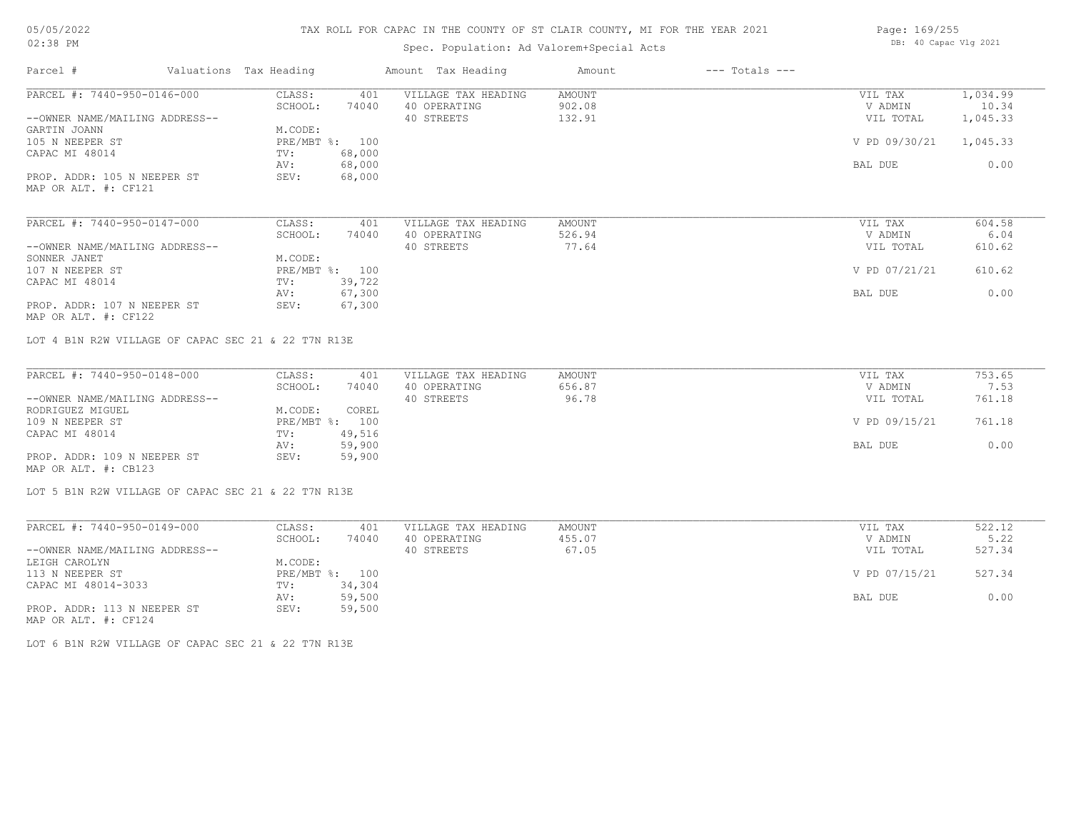# TAX ROLL FOR CAPAC IN THE COUNTY OF ST CLAIR COUNTY, MI FOR THE YEAR 2021

# Spec. Population: Ad Valorem+Special Acts

| Page: 169/255 |                       |  |  |
|---------------|-----------------------|--|--|
|               | DB: 40 Capac Vlg 2021 |  |  |

| Parcel #                                                      | Valuations Tax Heading            | Amount Tax Heading                                | $---$ Totals $---$<br>Amount |                                 |                               |
|---------------------------------------------------------------|-----------------------------------|---------------------------------------------------|------------------------------|---------------------------------|-------------------------------|
| PARCEL #: 7440-950-0146-000<br>--OWNER NAME/MAILING ADDRESS-- | CLASS:<br>401<br>SCHOOL:<br>74040 | VILLAGE TAX HEADING<br>40 OPERATING<br>40 STREETS | AMOUNT<br>902.08<br>132.91   | VIL TAX<br>V ADMIN<br>VIL TOTAL | 1,034.99<br>10.34<br>1,045.33 |
| GARTIN JOANN<br>105 N NEEPER ST                               | M.CODE:<br>PRE/MBT %: 100         |                                                   |                              | V PD 09/30/21                   | 1,045.33                      |
| CAPAC MI 48014                                                | 68,000<br>TV:<br>68,000<br>AV:    |                                                   |                              | BAL DUE                         | 0.00                          |
| PROP. ADDR: 105 N NEEPER ST<br>MAP OR ALT. #: CF121           | 68,000<br>SEV:                    |                                                   |                              |                                 |                               |
| PARCEL #: 7440-950-0147-000                                   | CLASS:<br>401                     | VILLAGE TAX HEADING                               | AMOUNT                       | VIL TAX                         | 604.58                        |
| --OWNER NAME/MAILING ADDRESS--                                | SCHOOL:<br>74040                  | 40 OPERATING<br>40 STREETS                        | 526.94<br>77.64              | V ADMIN<br>VIL TOTAL            | 6.04<br>610.62                |
| SONNER JANET                                                  | M.CODE:                           |                                                   |                              |                                 |                               |
| 107 N NEEPER ST<br>CAPAC MI 48014                             | PRE/MBT %: 100<br>39,722<br>TV:   |                                                   |                              | V PD 07/21/21                   | 610.62                        |
|                                                               | 67,300<br>AV:                     |                                                   |                              | BAL DUE                         | 0.00                          |
| PROP. ADDR: 107 N NEEPER ST<br>MAP OR ALT. #: CF122           | 67,300<br>SEV:                    |                                                   |                              |                                 |                               |
| LOT 4 B1N R2W VILLAGE OF CAPAC SEC 21 & 22 T7N R13E           |                                   |                                                   |                              |                                 |                               |
| PARCEL #: 7440-950-0148-000                                   | CLASS:<br>401                     | VILLAGE TAX HEADING                               | AMOUNT                       | VIL TAX                         | 753.65                        |
| --OWNER NAME/MAILING ADDRESS--                                | SCHOOL:<br>74040                  | 40 OPERATING<br>40 STREETS                        | 656.87<br>96.78              | V ADMIN<br>VIL TOTAL            | 7.53<br>761.18                |
| RODRIGUEZ MIGUEL                                              | M.CODE:<br>COREL                  |                                                   |                              |                                 |                               |
| 109 N NEEPER ST                                               | PRE/MBT %: 100                    |                                                   |                              | V PD 09/15/21                   | 761.18                        |
| CAPAC MI 48014                                                | 49,516<br>TV:<br>59,900<br>AV:    |                                                   |                              | BAL DUE                         | 0.00                          |
| PROP. ADDR: 109 N NEEPER ST<br>MAP OR ALT. #: CB123           | 59,900<br>SEV:                    |                                                   |                              |                                 |                               |
| LOT 5 B1N R2W VILLAGE OF CAPAC SEC 21 & 22 T7N R13E           |                                   |                                                   |                              |                                 |                               |
| PARCEL #: 7440-950-0149-000                                   | CLASS:<br>401                     | VILLAGE TAX HEADING                               | AMOUNT                       | VIL TAX                         | 522.12                        |
|                                                               | SCHOOL:<br>74040                  | 40 OPERATING                                      | 455.07                       | V ADMIN                         | 5.22                          |
| --OWNER NAME/MAILING ADDRESS--                                |                                   | 40 STREETS                                        | 67.05                        | VIL TOTAL                       | 527.34                        |
| LEIGH CAROLYN<br>113 N NEEPER ST                              | M.CODE:<br>PRE/MBT %: 100         |                                                   |                              | V PD 07/15/21                   | 527.34                        |
| CAPAC MI 48014-3033                                           | 34,304<br>TV:                     |                                                   |                              |                                 |                               |
|                                                               | 59,500<br>AV:                     |                                                   |                              | BAL DUE                         | 0.00                          |
| PROP. ADDR: 113 N NEEPER ST<br>MAP OR ALT. #: CF124           | SEV:<br>59,500                    |                                                   |                              |                                 |                               |

LOT 6 B1N R2W VILLAGE OF CAPAC SEC 21 & 22 T7N R13E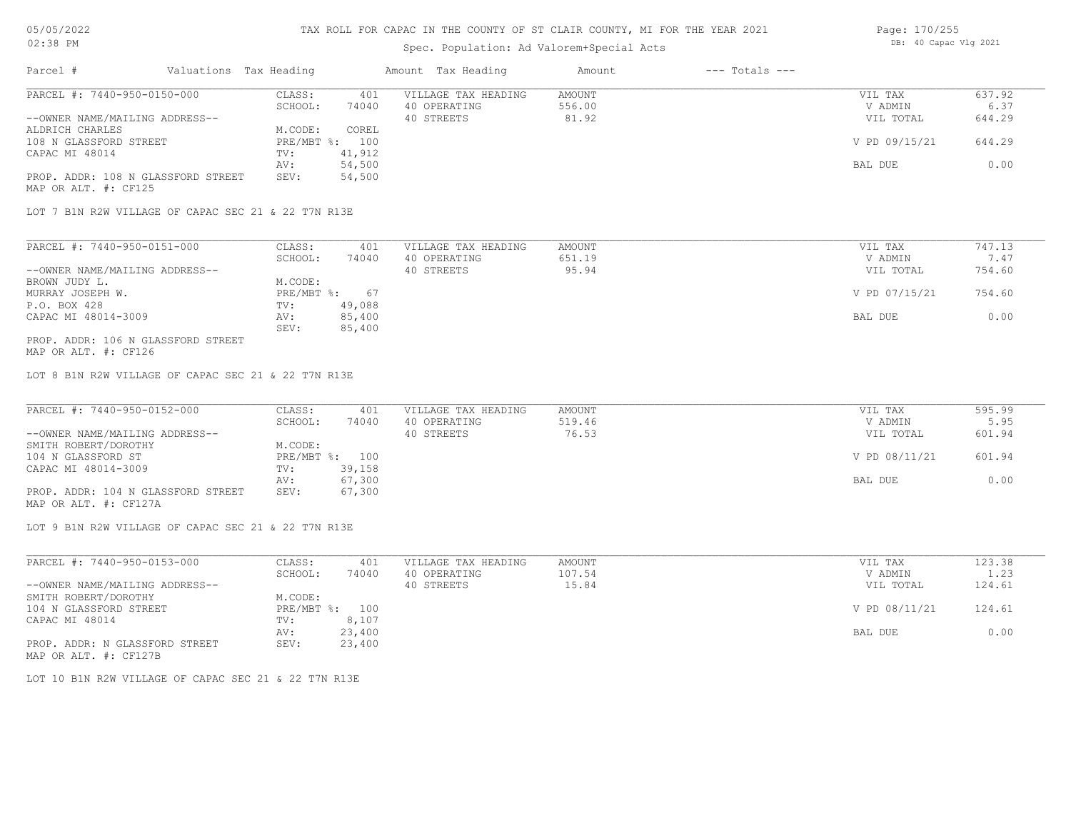### Spec. Population

| $02:38$ PM |                        | Spec. Population: Ad Valorem+Special Acts | DB: 40 Capac Vlg 2021 |                |  |
|------------|------------------------|-------------------------------------------|-----------------------|----------------|--|
| Parcel #   | Valuations Tax Heading | Amount Tax Heading                        | Amount                | --- Totals --- |  |
|            |                        |                                           |                       |                |  |

| PARCEL #: 7440-950-0150-000        | CLASS:                    | 401     | VILLAGE TAX HEADING | AMOUNT | VIL TAX       | 637.92 |
|------------------------------------|---------------------------|---------|---------------------|--------|---------------|--------|
|                                    | SCHOOL:                   | 74040   | 40 OPERATING        | 556.00 | V ADMIN       | 6.37   |
| --OWNER NAME/MAILING ADDRESS--     |                           |         | 40 STREETS          | 81.92  | VIL TOTAL     | 644.29 |
| ALDRICH CHARLES                    | M.CODE:                   | COREL   |                     |        |               |        |
| 108 N GLASSFORD STREET             | $PRE/MBT$ $\frac{1}{6}$ : | $100 -$ |                     |        | V PD 09/15/21 | 644.29 |
| CAPAC MI 48014                     | TV:                       | 41,912  |                     |        |               |        |
|                                    | AV:                       | 54,500  |                     |        | BAL DUE       | 0.00   |
| PROP. ADDR: 108 N GLASSFORD STREET | SEV:                      | 54,500  |                     |        |               |        |
| MAP OR ALT. #: CF125               |                           |         |                     |        |               |        |

LOT 7 B1N R2W VILLAGE OF CAPAC SEC 21 & 22 T7N R13E

| 74040<br>SCHOOL:<br>651.19<br>40 OPERATING<br>95.94<br>40 STREETS<br>M.CODE: | V ADMIN<br>VIL TOTAL | 7.47<br>754.60 |
|------------------------------------------------------------------------------|----------------------|----------------|
| --OWNER NAME/MAILING ADDRESS--<br>BROWN JUDY L.                              |                      |                |
|                                                                              |                      |                |
|                                                                              |                      |                |
| PRE/MBT %:<br>MURRAY JOSEPH W.<br>67                                         | V PD 07/15/21        | 754.60         |
| 49,088<br>P.O. BOX 428<br>TV:                                                |                      |                |
| CAPAC MI 48014-3009<br>85,400<br>AV:                                         | BAL DUE              | 0.00           |
| 85,400<br>SEV:                                                               |                      |                |

MAP OR ALT. #: CF126 PROP. ADDR: 106 N GLASSFORD STREET

LOT 8 B1N R2W VILLAGE OF CAPAC SEC 21 & 22 T7N R13E

| PARCEL #: 7440-950-0152-000        | CLASS:  | 401            | VILLAGE TAX HEADING | AMOUNT | VIL TAX       | 595.99 |
|------------------------------------|---------|----------------|---------------------|--------|---------------|--------|
|                                    | SCHOOL: | 74040          | 40 OPERATING        | 519.46 | V ADMIN       | 5.95   |
| --OWNER NAME/MAILING ADDRESS--     |         |                | 40 STREETS          | 76.53  | VIL TOTAL     | 601.94 |
| SMITH ROBERT/DOROTHY               | M.CODE: |                |                     |        |               |        |
| 104 N GLASSFORD ST                 |         | PRE/MBT %: 100 |                     |        | V PD 08/11/21 | 601.94 |
| CAPAC MI 48014-3009                | TV:     | 39,158         |                     |        |               |        |
|                                    | AV:     | 67,300         |                     |        | BAL DUE       | 0.00   |
| PROP. ADDR: 104 N GLASSFORD STREET | SEV:    | 67,300         |                     |        |               |        |
| MAP OR ALT. #: CF127A              |         |                |                     |        |               |        |

LOT 9 B1N R2W VILLAGE OF CAPAC SEC 21 & 22 T7N R13E

| PARCEL #: 7440-950-0153-000    | CLASS:  | 401            | VILLAGE TAX HEADING | AMOUNT | VIL TAX       | 123.38 |
|--------------------------------|---------|----------------|---------------------|--------|---------------|--------|
|                                | SCHOOL: | 74040          | 40 OPERATING        | 107.54 | V ADMIN       | 1.23   |
| --OWNER NAME/MAILING ADDRESS-- |         |                | 40 STREETS          | 15.84  | VIL TOTAL     | 124.61 |
| SMITH ROBERT/DOROTHY           | M.CODE: |                |                     |        |               |        |
| 104 N GLASSFORD STREET         |         | PRE/MBT %: 100 |                     |        | V PD 08/11/21 | 124.61 |
| CAPAC MI 48014                 | TV:     | 8,107          |                     |        |               |        |
|                                | AV:     | 23,400         |                     |        | BAL DUE       | 0.00   |
| PROP. ADDR: N GLASSFORD STREET | SEV:    | 23,400         |                     |        |               |        |
| MAP OR ALT. #: CF127B          |         |                |                     |        |               |        |

LOT 10 B1N R2W VILLAGE OF CAPAC SEC 21 & 22 T7N R13E

Page: 170/255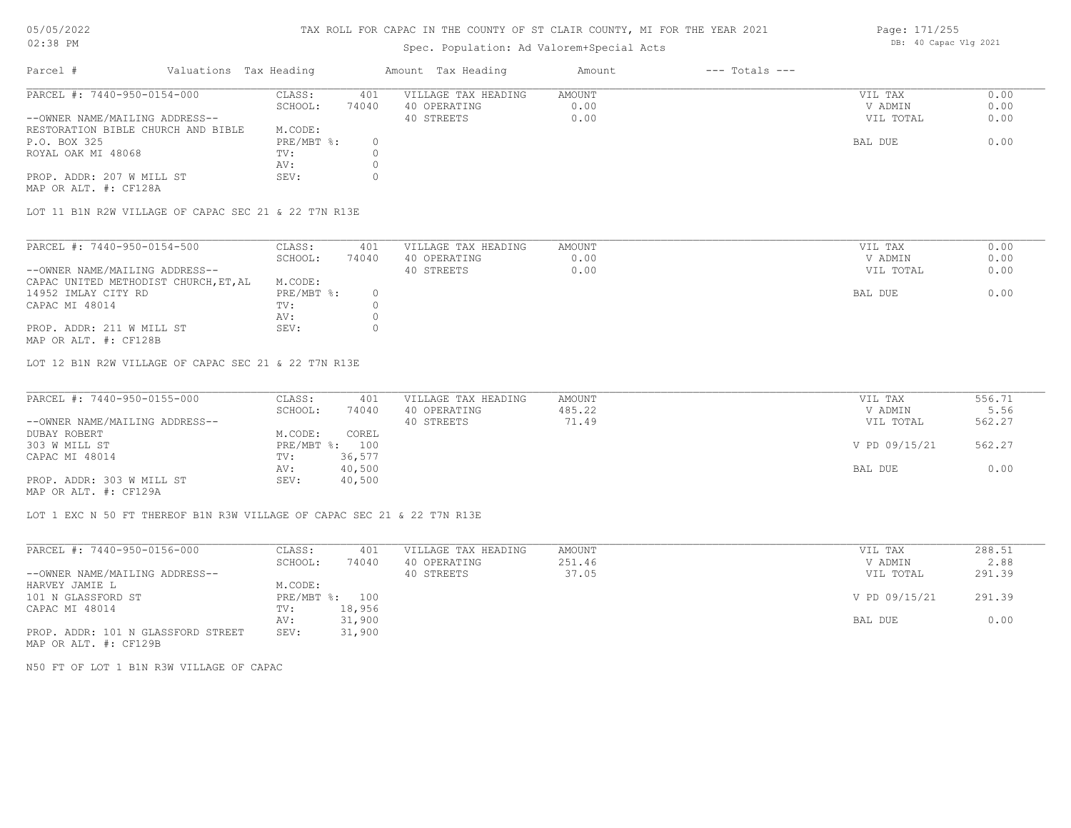### TAX ROLL FOR CAPAC IN THE COUNTY OF ST CLAIR COUNTY, MI FOR THE YEAR 2021

# Spec. Population: Ad Valorem+Special Acts

| Parcel #                           | Valuations Tax Heading |            |       | Amount Tax Heading  | Amount | $---$ Totals $---$ |           |      |
|------------------------------------|------------------------|------------|-------|---------------------|--------|--------------------|-----------|------|
| PARCEL #: 7440-950-0154-000        |                        | CLASS:     | 401   | VILLAGE TAX HEADING | AMOUNT |                    | VIL TAX   | 0.00 |
|                                    |                        | SCHOOL:    | 74040 | 40 OPERATING        | 0.00   |                    | V ADMIN   | 0.00 |
| --OWNER NAME/MAILING ADDRESS--     |                        |            |       | 40 STREETS          | 0.00   |                    | VIL TOTAL | 0.00 |
| RESTORATION BIBLE CHURCH AND BIBLE |                        | M.CODE:    |       |                     |        |                    |           |      |
| P.O. BOX 325                       |                        | PRE/MBT %: |       |                     |        |                    | BAL DUE   | 0.00 |
| ROYAL OAK MI 48068                 |                        | TV:        |       |                     |        |                    |           |      |
|                                    |                        | AV:        |       |                     |        |                    |           |      |
| PROP. ADDR: 207 W MILL ST          |                        | SEV:       |       |                     |        |                    |           |      |
|                                    |                        |            |       |                     |        |                    |           |      |

MAP OR ALT. #: CF128A

LOT 11 B1N R2W VILLAGE OF CAPAC SEC 21 & 22 T7N R13E

| PARCEL #: 7440-950-0154-500           | CLASS:     | 401   | VILLAGE TAX HEADING | AMOUNT | VIL TAX   | 0.00 |
|---------------------------------------|------------|-------|---------------------|--------|-----------|------|
|                                       | SCHOOL:    | 74040 | 40 OPERATING        | 0.00   | V ADMIN   | 0.00 |
| --OWNER NAME/MAILING ADDRESS--        |            |       | 40 STREETS          | 0.00   | VIL TOTAL | 0.00 |
| CAPAC UNITED METHODIST CHURCH, ET, AL | M.CODE:    |       |                     |        |           |      |
| 14952 IMLAY CITY RD                   | PRE/MBT %: |       |                     |        | BAL DUE   | 0.00 |
| CAPAC MI 48014                        | TV:        |       |                     |        |           |      |
|                                       | AV:        |       |                     |        |           |      |
| PROP. ADDR: 211 W MILL ST             | SEV:       |       |                     |        |           |      |

MAP OR ALT. #: CF128B

LOT 12 B1N R2W VILLAGE OF CAPAC SEC 21 & 22 T7N R13E

| PARCEL #: 7440-950-0155-000    | CLASS:     | 401    | VILLAGE TAX HEADING | AMOUNT | VIL TAX       | 556.71 |
|--------------------------------|------------|--------|---------------------|--------|---------------|--------|
|                                | SCHOOL:    | 74040  | 40 OPERATING        | 485.22 | V ADMIN       | 5.56   |
| --OWNER NAME/MAILING ADDRESS-- |            |        | 40 STREETS          | 71.49  | VIL TOTAL     | 562.27 |
| DUBAY ROBERT                   | M.CODE:    | COREL  |                     |        |               |        |
| 303 W MILL ST                  | PRE/MBT %: | 100    |                     |        | V PD 09/15/21 | 562.27 |
| CAPAC MI 48014                 | TV:        | 36,577 |                     |        |               |        |
|                                | AV:        | 40,500 |                     |        | BAL DUE       | 0.00   |
| PROP. ADDR: 303 W MILL ST      | SEV:       | 40,500 |                     |        |               |        |
| MAP OR ALT. #: CF129A          |            |        |                     |        |               |        |

 $\_$  , and the state of the state of the state of the state of the state of the state of the state of the state of the state of the state of the state of the state of the state of the state of the state of the state of the

LOT 1 EXC N 50 FT THEREOF B1N R3W VILLAGE OF CAPAC SEC 21 & 22 T7N R13E

| PARCEL #: 7440-950-0156-000        | CLASS:  | 401            | VILLAGE TAX HEADING | AMOUNT | VIL TAX       | 288.51 |
|------------------------------------|---------|----------------|---------------------|--------|---------------|--------|
|                                    | SCHOOL: | 74040          | 40 OPERATING        | 251.46 | V ADMIN       | 2.88   |
| --OWNER NAME/MAILING ADDRESS--     |         |                | 40 STREETS          | 37.05  | VIL TOTAL     | 291.39 |
| HARVEY JAMIE L                     | M.CODE: |                |                     |        |               |        |
| 101 N GLASSFORD ST                 |         | PRE/MBT %: 100 |                     |        | V PD 09/15/21 | 291.39 |
| CAPAC MI 48014                     | TV:     | 18,956         |                     |        |               |        |
|                                    | AV:     | 31,900         |                     |        | BAL DUE       | 0.00   |
| PROP. ADDR: 101 N GLASSFORD STREET | SEV:    | 31,900         |                     |        |               |        |
| MAP OR ALT. #: CF129B              |         |                |                     |        |               |        |

N50 FT OF LOT 1 B1N R3W VILLAGE OF CAPAC

Page: 171/255 DB: 40 Capac Vlg 2021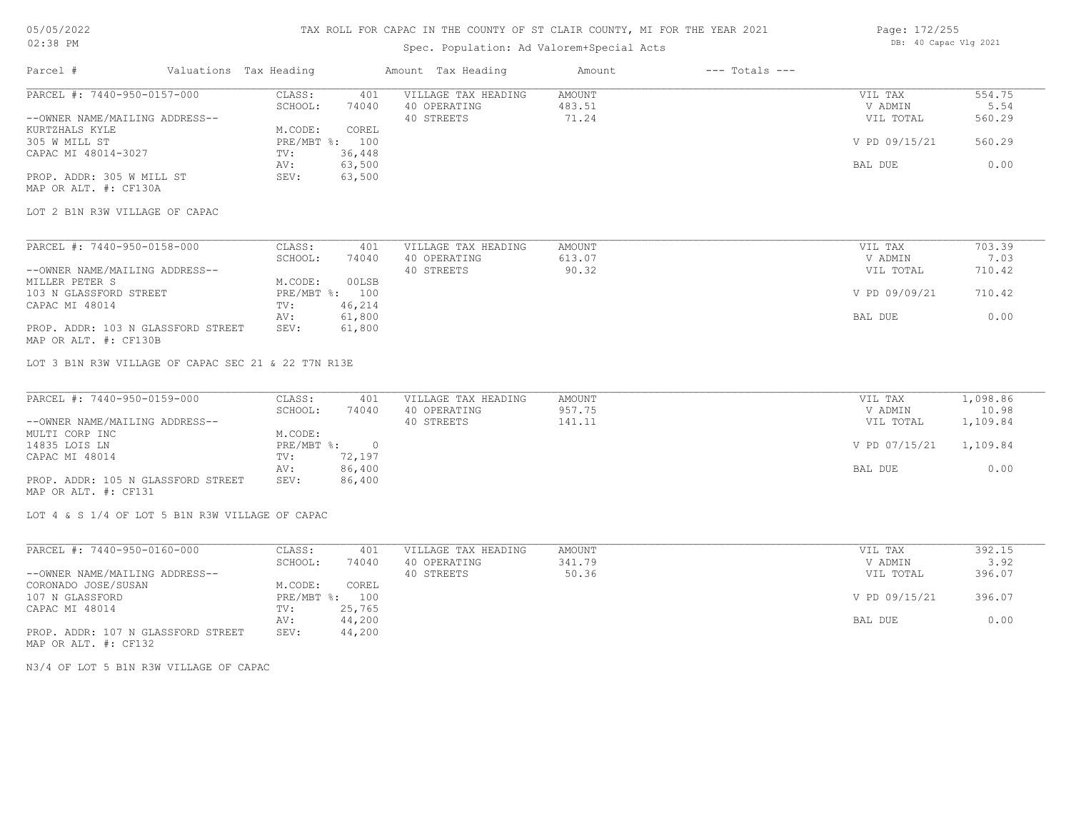## TAX ROLL FOR CAPAC IN THE COUNTY OF ST CLAIR COUNTY, MI FOR THE YEAR 2021

# Spec. Population: Ad Valorem+Special Acts

| Page: 172/255 |                       |  |
|---------------|-----------------------|--|
|               | DB: 40 Capac Vlg 2021 |  |

| Parcel #                                                                           | Valuations Tax Heading |                             | Amount Tax Heading  | Amount        | $---$ Totals $---$ |               |          |
|------------------------------------------------------------------------------------|------------------------|-----------------------------|---------------------|---------------|--------------------|---------------|----------|
| PARCEL #: 7440-950-0157-000                                                        | CLASS:                 | 401                         | VILLAGE TAX HEADING | AMOUNT        |                    | VIL TAX       | 554.75   |
|                                                                                    | SCHOOL:                | 74040                       | 40 OPERATING        | 483.51        |                    | V ADMIN       | 5.54     |
| --OWNER NAME/MAILING ADDRESS--<br>KURTZHALS KYLE                                   | M.CODE:                | COREL                       | 40 STREETS          | 71.24         |                    | VIL TOTAL     | 560.29   |
| 305 W MILL ST                                                                      |                        | PRE/MBT %: 100              |                     |               |                    | V PD 09/15/21 | 560.29   |
| CAPAC MI 48014-3027                                                                |                        |                             |                     |               |                    |               |          |
|                                                                                    | TV:<br>AV:             | 36,448<br>63,500            |                     |               |                    | BAL DUE       | 0.00     |
| PROP. ADDR: 305 W MILL ST                                                          | SEV:                   | 63,500                      |                     |               |                    |               |          |
| MAP OR ALT. #: CF130A                                                              |                        |                             |                     |               |                    |               |          |
| LOT 2 B1N R3W VILLAGE OF CAPAC                                                     |                        |                             |                     |               |                    |               |          |
| PARCEL #: 7440-950-0158-000                                                        | CLASS:                 | 401                         | VILLAGE TAX HEADING | AMOUNT        |                    | VIL TAX       | 703.39   |
|                                                                                    | SCHOOL:                | 74040                       | 40 OPERATING        | 613.07        |                    | V ADMIN       | 7.03     |
| --OWNER NAME/MAILING ADDRESS--                                                     |                        |                             | 40 STREETS          | 90.32         |                    | VIL TOTAL     | 710.42   |
| MILLER PETER S                                                                     | M.CODE:                | 00LSB                       |                     |               |                    |               |          |
| 103 N GLASSFORD STREET                                                             |                        | PRE/MBT %: 100              |                     |               |                    | V PD 09/09/21 | 710.42   |
| CAPAC MI 48014                                                                     | TV:                    | 46,214                      |                     |               |                    |               |          |
|                                                                                    | AV:                    | 61,800                      |                     |               |                    | BAL DUE       | 0.00     |
| PROP. ADDR: 103 N GLASSFORD STREET<br>MAP OR ALT. #: CF130B                        | SEV:                   | 61,800                      |                     |               |                    |               |          |
| LOT 3 B1N R3W VILLAGE OF CAPAC SEC 21 & 22 T7N R13E<br>PARCEL #: 7440-950-0159-000 | CLASS:                 | 401                         | VILLAGE TAX HEADING | AMOUNT        |                    | VIL TAX       | 1,098.86 |
|                                                                                    | SCHOOL:                | 74040                       | 40 OPERATING        | 957.75        |                    | V ADMIN       | 10.98    |
| --OWNER NAME/MAILING ADDRESS--                                                     |                        |                             | 40 STREETS          | 141.11        |                    | VIL TOTAL     | 1,109.84 |
| MULTI CORP INC                                                                     | M.CODE:                |                             |                     |               |                    |               |          |
| 14835 LOIS LN                                                                      |                        | $PRE/MBT$ $\frac{1}{6}$ : 0 |                     |               |                    | V PD 07/15/21 | 1,109.84 |
| CAPAC MI 48014                                                                     | TV:                    | 72,197                      |                     |               |                    |               |          |
|                                                                                    | AV:                    | 86,400                      |                     |               |                    | BAL DUE       | 0.00     |
| PROP. ADDR: 105 N GLASSFORD STREET<br>MAP OR ALT. #: CF131                         | SEV:                   | 86,400                      |                     |               |                    |               |          |
| LOT 4 & S 1/4 OF LOT 5 B1N R3W VILLAGE OF CAPAC                                    |                        |                             |                     |               |                    |               |          |
| PARCEL #: 7440-950-0160-000                                                        | CLASS:                 | 401                         | VILLAGE TAX HEADING | <b>AMOUNT</b> |                    | VIL TAX       | 392.15   |
|                                                                                    | SCHOOL:                | 74040                       | 40 OPERATING        | 341.79        |                    | V ADMIN       | 3.92     |
| --OWNER NAME/MAILING ADDRESS--                                                     |                        |                             | 40 STREETS          | 50.36         |                    | VIL TOTAL     | 396.07   |
| CORONADO JOSE/SUSAN                                                                | M.CODE:                | COREL                       |                     |               |                    |               |          |
| 107 N GLASSFORD                                                                    |                        | PRE/MBT %: 100              |                     |               |                    | V PD 09/15/21 | 396.07   |
| CAPAC MI 48014                                                                     | TV:                    | 25,765                      |                     |               |                    |               |          |
|                                                                                    | AV:                    | 44,200                      |                     |               |                    | BAL DUE       | 0.00     |
| PROP. ADDR: 107 N GLASSFORD STREET                                                 | SEV:                   | 44,200                      |                     |               |                    |               |          |

MAP OR ALT. #: CF132

N3/4 OF LOT 5 B1N R3W VILLAGE OF CAPAC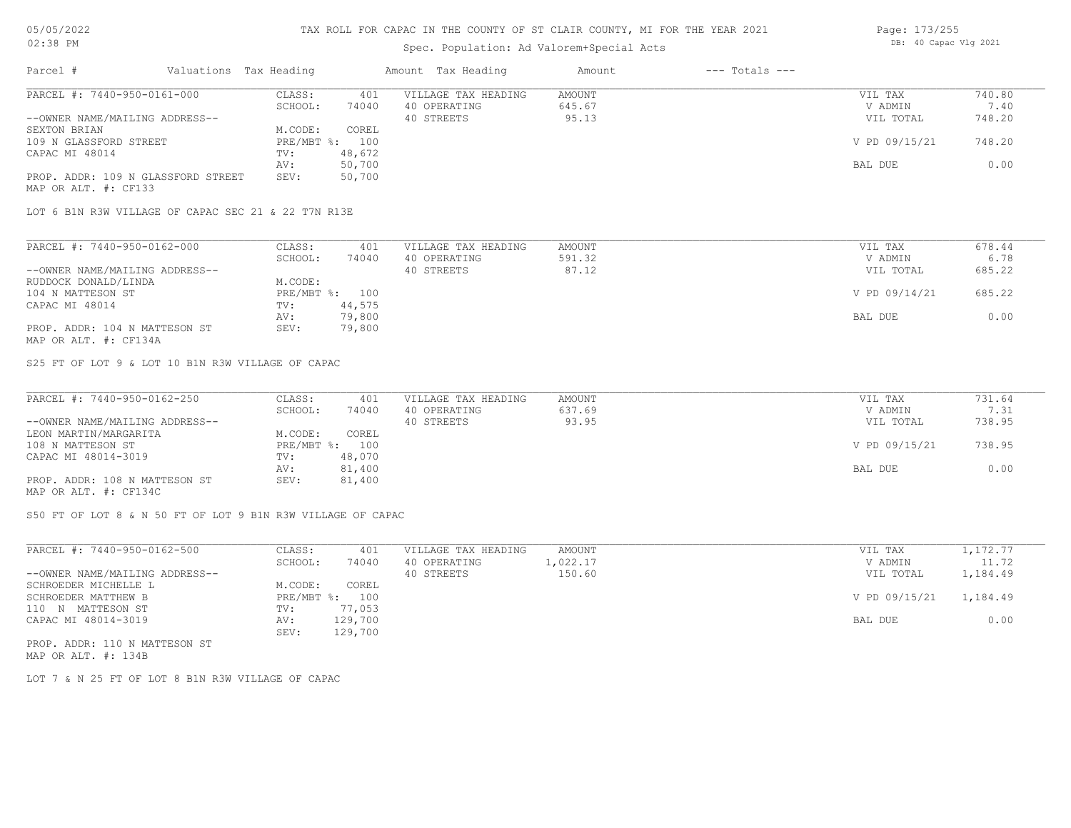## Spec. Population: Ad Valorem+Special Acts

| Page: 173/255 |                       |  |
|---------------|-----------------------|--|
|               | DB: 40 Capac Vlg 2021 |  |

| Parcel #                           | Valuations Tax Heading |        | Amount Tax Heading  | Amount | $---$ Totals $---$ |               |        |
|------------------------------------|------------------------|--------|---------------------|--------|--------------------|---------------|--------|
| PARCEL #: 7440-950-0161-000        | CLASS:                 | 401    | VILLAGE TAX HEADING | AMOUNT |                    | VIL TAX       | 740.80 |
|                                    | SCHOOL:                | 74040  | 40 OPERATING        | 645.67 |                    | V ADMIN       | 7.40   |
| --OWNER NAME/MAILING ADDRESS--     |                        |        | 40 STREETS          | 95.13  |                    | VIL TOTAL     | 748.20 |
| SEXTON BRIAN                       | M.CODE:                | COREL  |                     |        |                    |               |        |
| 109 N GLASSFORD STREET             | $PRE/MBT$ %:           | 100    |                     |        |                    | V PD 09/15/21 | 748.20 |
| CAPAC MI 48014                     | TV:                    | 48,672 |                     |        |                    |               |        |
|                                    | AV:                    | 50,700 |                     |        |                    | BAL DUE       | 0.00   |
| PROP. ADDR: 109 N GLASSFORD STREET | SEV:                   | 50,700 |                     |        |                    |               |        |
| MAP OR ALT. #: CF133               |                        |        |                     |        |                    |               |        |

LOT 6 B1N R3W VILLAGE OF CAPAC SEC 21 & 22 T7N R13E

| PARCEL #: 7440-950-0162-000    | CLASS:  | 401            | VILLAGE TAX HEADING | AMOUNT | VIL TAX       | 678.44 |
|--------------------------------|---------|----------------|---------------------|--------|---------------|--------|
|                                | SCHOOL: | 74040          | 40 OPERATING        | 591.32 | V ADMIN       | 6.78   |
| --OWNER NAME/MAILING ADDRESS-- |         |                | 40 STREETS          | 87.12  | VIL TOTAL     | 685.22 |
| RUDDOCK DONALD/LINDA           | M.CODE: |                |                     |        |               |        |
| 104 N MATTESON ST              |         | PRE/MBT %: 100 |                     |        | V PD 09/14/21 | 685.22 |
| CAPAC MI 48014                 | TV:     | 44,575         |                     |        |               |        |
|                                | AV:     | 79,800         |                     |        | BAL DUE       | 0.00   |
| PROP. ADDR: 104 N MATTESON ST  | SEV:    | 79,800         |                     |        |               |        |
| MAP OR ALT. #: CF134A          |         |                |                     |        |               |        |

S25 FT OF LOT 9 & LOT 10 B1N R3W VILLAGE OF CAPAC

| PARCEL #: 7440-950-0162-250    | CLASS:  | 401            | VILLAGE TAX HEADING | AMOUNT | VIL TAX       | 731.64 |
|--------------------------------|---------|----------------|---------------------|--------|---------------|--------|
|                                | SCHOOL: | 74040          | 40 OPERATING        | 637.69 | V ADMIN       | 7.31   |
| --OWNER NAME/MAILING ADDRESS-- |         |                | 40 STREETS          | 93.95  | VIL TOTAL     | 738.95 |
| LEON MARTIN/MARGARITA          | M.CODE: | COREL          |                     |        |               |        |
| 108 N MATTESON ST              |         | PRE/MBT %: 100 |                     |        | V PD 09/15/21 | 738.95 |
| CAPAC MI 48014-3019            | TV:     | 48,070         |                     |        |               |        |
|                                | AV:     | 81,400         |                     |        | BAL DUE       | 0.00   |
| PROP. ADDR: 108 N MATTESON ST  | SEV:    | 81,400         |                     |        |               |        |
| MAP OR ALT. #: CF134C          |         |                |                     |        |               |        |

S50 FT OF LOT 8 & N 50 FT OF LOT 9 B1N R3W VILLAGE OF CAPAC

| PARCEL #: 7440-950-0162-500    | CLASS:     | 401     | VILLAGE TAX HEADING | AMOUNT   | VIL TAX       | 1,172.77 |
|--------------------------------|------------|---------|---------------------|----------|---------------|----------|
|                                | SCHOOL:    | 74040   | 40 OPERATING        | 1,022.17 | V ADMIN       | 11.72    |
| --OWNER NAME/MAILING ADDRESS-- |            |         | 40 STREETS          | 150.60   | VIL TOTAL     | 1,184.49 |
| SCHROEDER MICHELLE L           | M.CODE:    | COREL   |                     |          |               |          |
| SCHROEDER MATTHEW B            | PRE/MBT %: | 100     |                     |          | V PD 09/15/21 | 1,184.49 |
| 110 N MATTESON ST              | TV:        | 77,053  |                     |          |               |          |
| CAPAC MI 48014-3019            | AV:        | 129,700 |                     |          | BAL DUE       | 0.00     |
|                                | SEV:       | 129,700 |                     |          |               |          |
| PROP. ADDR: 110 N MATTESON ST  |            |         |                     |          |               |          |

MAP OR ALT. #: 134B

LOT 7 & N 25 FT OF LOT 8 B1N R3W VILLAGE OF CAPAC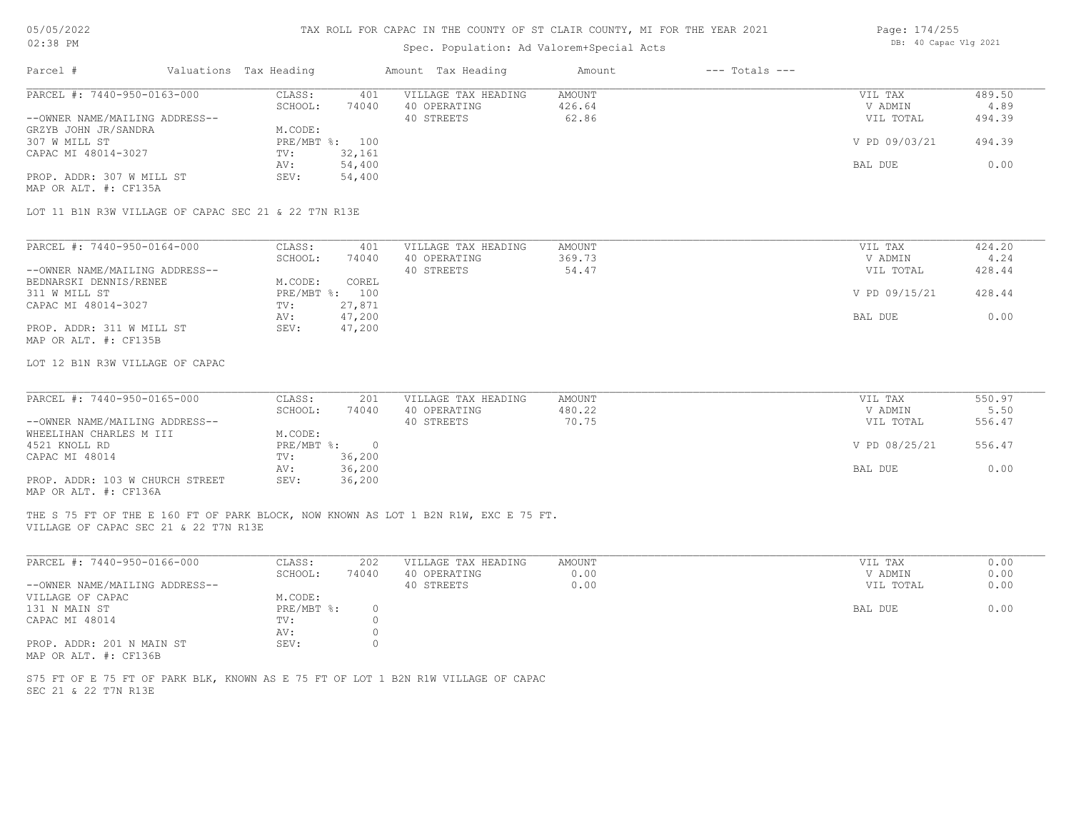# TAX ROLL FOR CAPAC IN THE COUNTY OF ST CLAIR COUNTY, MI FOR THE YEAR 2021

# Spec. Population: Ad Valorem+Special Acts

| Page: 174/255 |                       |  |
|---------------|-----------------------|--|
|               | DB: 40 Capac Vlg 2021 |  |

| Valuations Tax Heading<br>Parcel #                                                                                           |                                   | Amount Tax Heading                  | $---$ Totals $---$<br>Amount |                    |                |
|------------------------------------------------------------------------------------------------------------------------------|-----------------------------------|-------------------------------------|------------------------------|--------------------|----------------|
| PARCEL #: 7440-950-0163-000                                                                                                  | CLASS:<br>401<br>SCHOOL:<br>74040 | VILLAGE TAX HEADING<br>40 OPERATING | AMOUNT<br>426.64             | VIL TAX<br>V ADMIN | 489.50<br>4.89 |
| --OWNER NAME/MAILING ADDRESS--<br>GRZYB JOHN JR/SANDRA                                                                       | M.CODE:                           | 40 STREETS                          | 62.86                        | VIL TOTAL          | 494.39         |
| 307 W MILL ST                                                                                                                | PRE/MBT %: 100                    |                                     |                              | V PD 09/03/21      | 494.39         |
| CAPAC MI 48014-3027                                                                                                          | 32,161<br>TV:                     |                                     |                              |                    |                |
|                                                                                                                              | 54,400<br>AV:                     |                                     |                              | BAL DUE            | 0.00           |
| PROP. ADDR: 307 W MILL ST<br>MAP OR ALT. #: CF135A                                                                           | 54,400<br>SEV:                    |                                     |                              |                    |                |
| LOT 11 B1N R3W VILLAGE OF CAPAC SEC 21 & 22 T7N R13E                                                                         |                                   |                                     |                              |                    |                |
| PARCEL #: 7440-950-0164-000                                                                                                  | CLASS:<br>401                     | VILLAGE TAX HEADING                 | AMOUNT                       | VIL TAX            | 424.20         |
|                                                                                                                              | SCHOOL:<br>74040                  | 40 OPERATING                        | 369.73                       | V ADMIN            | 4.24           |
| --OWNER NAME/MAILING ADDRESS--                                                                                               |                                   | 40 STREETS                          | 54.47                        | VIL TOTAL          | 428.44         |
| BEDNARSKI DENNIS/RENEE                                                                                                       | M.CODE:<br>COREL                  |                                     |                              |                    |                |
| 311 W MILL ST                                                                                                                | PRE/MBT %: 100                    |                                     |                              | V PD 09/15/21      | 428.44         |
| CAPAC MI 48014-3027                                                                                                          | 27,871<br>TV:                     |                                     |                              |                    |                |
| PROP. ADDR: 311 W MILL ST                                                                                                    | 47,200<br>AV:<br>SEV:<br>47,200   |                                     |                              | BAL DUE            | 0.00           |
| MAP OR ALT. #: CF135B                                                                                                        |                                   |                                     |                              |                    |                |
| LOT 12 B1N R3W VILLAGE OF CAPAC                                                                                              |                                   |                                     |                              |                    |                |
|                                                                                                                              |                                   |                                     |                              |                    |                |
| PARCEL #: 7440-950-0165-000                                                                                                  | CLASS:<br>201                     | VILLAGE TAX HEADING                 | <b>AMOUNT</b>                | VIL TAX            | 550.97         |
|                                                                                                                              | SCHOOL:<br>74040                  | 40 OPERATING                        | 480.22                       | V ADMIN            | 5.50           |
| --OWNER NAME/MAILING ADDRESS--                                                                                               |                                   | 40 STREETS                          | 70.75                        | VIL TOTAL          | 556.47         |
| WHEELIHAN CHARLES M III                                                                                                      | M.CODE:                           |                                     |                              |                    |                |
| 4521 KNOLL RD                                                                                                                | $PRE/MBT$ %:<br>$\overline{0}$    |                                     |                              | V PD 08/25/21      | 556.47         |
| CAPAC MI 48014                                                                                                               | 36,200<br>TV:<br>36,200<br>AV:    |                                     |                              | BAL DUE            | 0.00           |
| PROP. ADDR: 103 W CHURCH STREET<br>MAP OR ALT. #: CF136A                                                                     | SEV:<br>36,200                    |                                     |                              |                    |                |
| THE S 75 FT OF THE E 160 FT OF PARK BLOCK, NOW KNOWN AS LOT 1 B2N R1W, EXC E 75 FT.<br>VILLAGE OF CAPAC SEC 21 & 22 T7N R13E |                                   |                                     |                              |                    |                |
|                                                                                                                              |                                   |                                     |                              |                    |                |
| PARCEL #: 7440-950-0166-000                                                                                                  | CLASS:<br>202                     | VILLAGE TAX HEADING                 | <b>AMOUNT</b>                | VIL TAX            | 0.00           |
|                                                                                                                              | SCHOOL:<br>74040                  | 40 OPERATING                        | 0.00                         | V ADMIN            | 0.00           |
| --OWNER NAME/MAILING ADDRESS--                                                                                               |                                   | 40 STREETS                          | 0.00                         | VIL TOTAL          | 0.00           |
| VILLAGE OF CAPAC                                                                                                             | M.CODE:<br>$\circ$                |                                     |                              |                    | 0.00           |
| 131 N MAIN ST<br>CAPAC MI 48014                                                                                              | PRE/MBT %:<br>$\circ$<br>TV:      |                                     |                              | BAL DUE            |                |
|                                                                                                                              | $\circ$<br>AV:                    |                                     |                              |                    |                |
| PROP. ADDR: 201 N MAIN ST                                                                                                    | $\circ$<br>SEV:                   |                                     |                              |                    |                |
| MAP OR ALT. #: CF136B                                                                                                        |                                   |                                     |                              |                    |                |
|                                                                                                                              |                                   |                                     |                              |                    |                |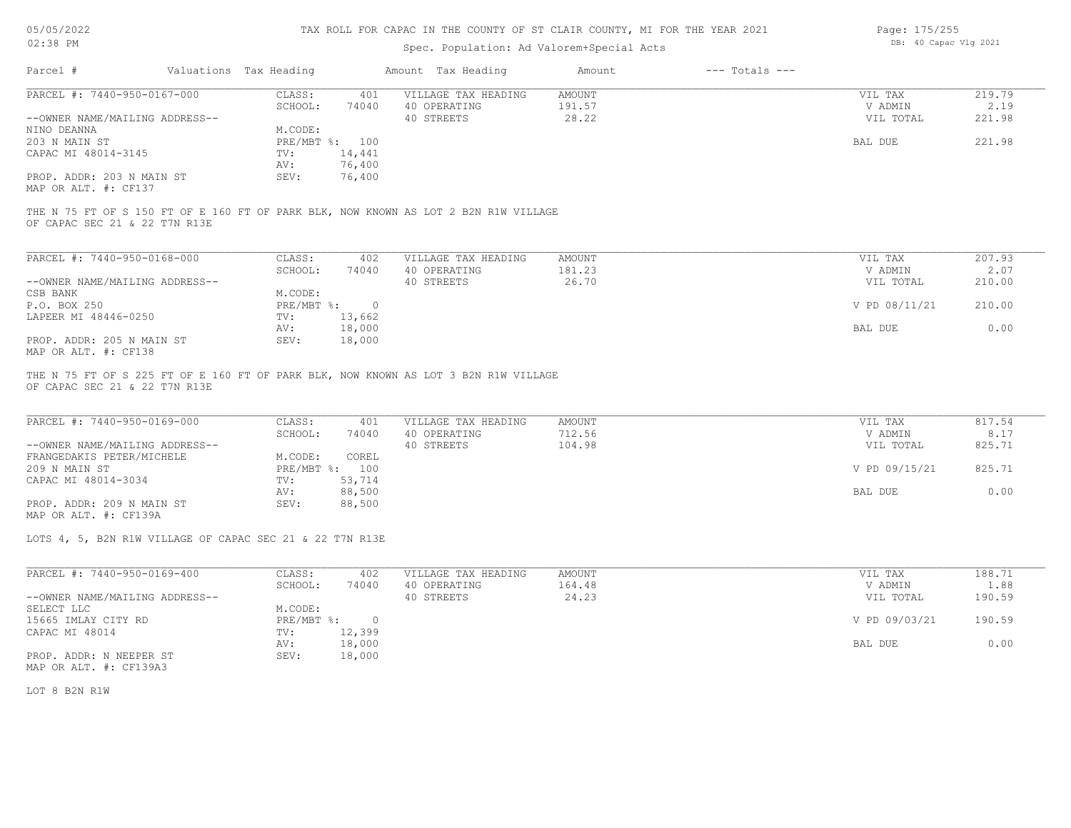| Page: 175/255 |                       |  |
|---------------|-----------------------|--|
|               | DB: 40 Capac Vlg 2021 |  |

| $02:38$ PM                                               |                        |                |                | Spec. Population: Ad Valorem+Special Acts                                           | DB: 40 Capac Vlg 2021 |                    |               |        |
|----------------------------------------------------------|------------------------|----------------|----------------|-------------------------------------------------------------------------------------|-----------------------|--------------------|---------------|--------|
| Parcel #                                                 | Valuations Tax Heading |                |                | Amount Tax Heading                                                                  | Amount                | $---$ Totals $---$ |               |        |
| PARCEL #: 7440-950-0167-000                              |                        | CLASS:         | 401            | VILLAGE TAX HEADING                                                                 | <b>AMOUNT</b>         |                    | VIL TAX       | 219.79 |
|                                                          |                        | SCHOOL:        | 74040          | 40 OPERATING                                                                        | 191.57                |                    | V ADMIN       | 2.19   |
| --OWNER NAME/MAILING ADDRESS--                           |                        |                |                | 40 STREETS                                                                          | 28.22                 |                    | VIL TOTAL     | 221.98 |
| NINO DEANNA                                              |                        | M.CODE:        |                |                                                                                     |                       |                    |               |        |
| 203 N MAIN ST                                            |                        | PRE/MBT %: 100 |                |                                                                                     |                       |                    | BAL DUE       | 221.98 |
| CAPAC MI 48014-3145                                      |                        | TV:            | 14,441         |                                                                                     |                       |                    |               |        |
|                                                          |                        | AV:            | 76,400         |                                                                                     |                       |                    |               |        |
| PROP. ADDR: 203 N MAIN ST<br>MAP OR ALT. #: CF137        |                        | SEV:           | 76,400         |                                                                                     |                       |                    |               |        |
| OF CAPAC SEC 21 & 22 T7N R13E                            |                        |                |                | THE N 75 FT OF S 150 FT OF E 160 FT OF PARK BLK, NOW KNOWN AS LOT 2 B2N R1W VILLAGE |                       |                    |               |        |
|                                                          |                        |                |                |                                                                                     |                       |                    |               |        |
| PARCEL #: 7440-950-0168-000                              |                        | CLASS:         | 402            | VILLAGE TAX HEADING                                                                 | <b>AMOUNT</b>         |                    | VIL TAX       | 207.93 |
|                                                          |                        | SCHOOL:        | 74040          | 40 OPERATING                                                                        | 181.23                |                    | V ADMIN       | 2.07   |
| --OWNER NAME/MAILING ADDRESS--                           |                        |                |                | 40 STREETS                                                                          | 26.70                 |                    | VIL TOTAL     | 210.00 |
| CSB BANK                                                 |                        | M.CODE:        |                |                                                                                     |                       |                    |               |        |
| P.O. BOX 250                                             |                        | $PRE/MBT$ %:   | $\overline{0}$ |                                                                                     |                       |                    | V PD 08/11/21 | 210.00 |
| LAPEER MI 48446-0250                                     |                        | TV:            | 13,662         |                                                                                     |                       |                    |               |        |
|                                                          |                        | AV:            | 18,000         |                                                                                     |                       |                    | BAL DUE       | 0.00   |
| PROP. ADDR: 205 N MAIN ST                                |                        | SEV:           | 18,000         |                                                                                     |                       |                    |               |        |
| MAP OR ALT. #: CF138                                     |                        |                |                | THE N 75 FT OF S 225 FT OF E 160 FT OF PARK BLK, NOW KNOWN AS LOT 3 B2N R1W VILLAGE |                       |                    |               |        |
| OF CAPAC SEC 21 & 22 T7N R13E                            |                        |                |                |                                                                                     |                       |                    |               |        |
| PARCEL #: 7440-950-0169-000                              |                        | CLASS:         | 401            | VILLAGE TAX HEADING                                                                 | <b>AMOUNT</b>         |                    | VIL TAX       | 817.54 |
|                                                          |                        | SCHOOL:        | 74040          | 40 OPERATING                                                                        | 712.56                |                    | V ADMIN       | 8.17   |
| --OWNER NAME/MAILING ADDRESS--                           |                        |                |                | 40 STREETS                                                                          | 104.98                |                    | VIL TOTAL     | 825.71 |
| FRANGEDAKIS PETER/MICHELE                                |                        | M.CODE:        | COREL          |                                                                                     |                       |                    |               |        |
| 209 N MAIN ST                                            |                        | PRE/MBT %: 100 |                |                                                                                     |                       |                    | V PD 09/15/21 | 825.71 |
| CAPAC MI 48014-3034                                      |                        | TV:            | 53,714         |                                                                                     |                       |                    |               |        |
|                                                          |                        | AV:            | 88,500         |                                                                                     |                       |                    | BAL DUE       | 0.00   |
| PROP. ADDR: 209 N MAIN ST<br>MAP OR ALT. #: CF139A       |                        | SEV:           | 88,500         |                                                                                     |                       |                    |               |        |
| LOTS 4, 5, B2N R1W VILLAGE OF CAPAC SEC 21 & 22 T7N R13E |                        |                |                |                                                                                     |                       |                    |               |        |
|                                                          |                        |                |                |                                                                                     |                       |                    |               |        |
| PARCEL #: 7440-950-0169-400                              |                        | CLASS:         | 402            | VILLAGE TAX HEADING                                                                 | <b>AMOUNT</b>         |                    | VIL TAX       | 188.71 |
|                                                          |                        | SCHOOL:        | 74040          | 40 OPERATING                                                                        | 164.48                |                    | V ADMIN       | 1.88   |
| --OWNER NAME/MAILING ADDRESS--                           |                        |                |                | 40 STREETS                                                                          | 24.23                 |                    | VIL TOTAL     | 190.59 |
| SELECT LLC                                               |                        | M.CODE:        |                |                                                                                     |                       |                    |               |        |
| 15665 IMLAY CITY RD                                      |                        | PRE/MBT %:     | $\overline{0}$ |                                                                                     |                       |                    | V PD 09/03/21 | 190.59 |
| CAPAC MI 48014                                           |                        | TV:            | 12,399         |                                                                                     |                       |                    |               |        |
|                                                          |                        | AV:            | 18,000         |                                                                                     |                       |                    | BAL DUE       | 0.00   |
| PROP. ADDR: N NEEPER ST                                  |                        | SEV:           | 18,000         |                                                                                     |                       |                    |               |        |

PROP. ADDR: N NEEPER ST<br>MAP OR ALT. #: CF139A3

LOT 8 B2N R1W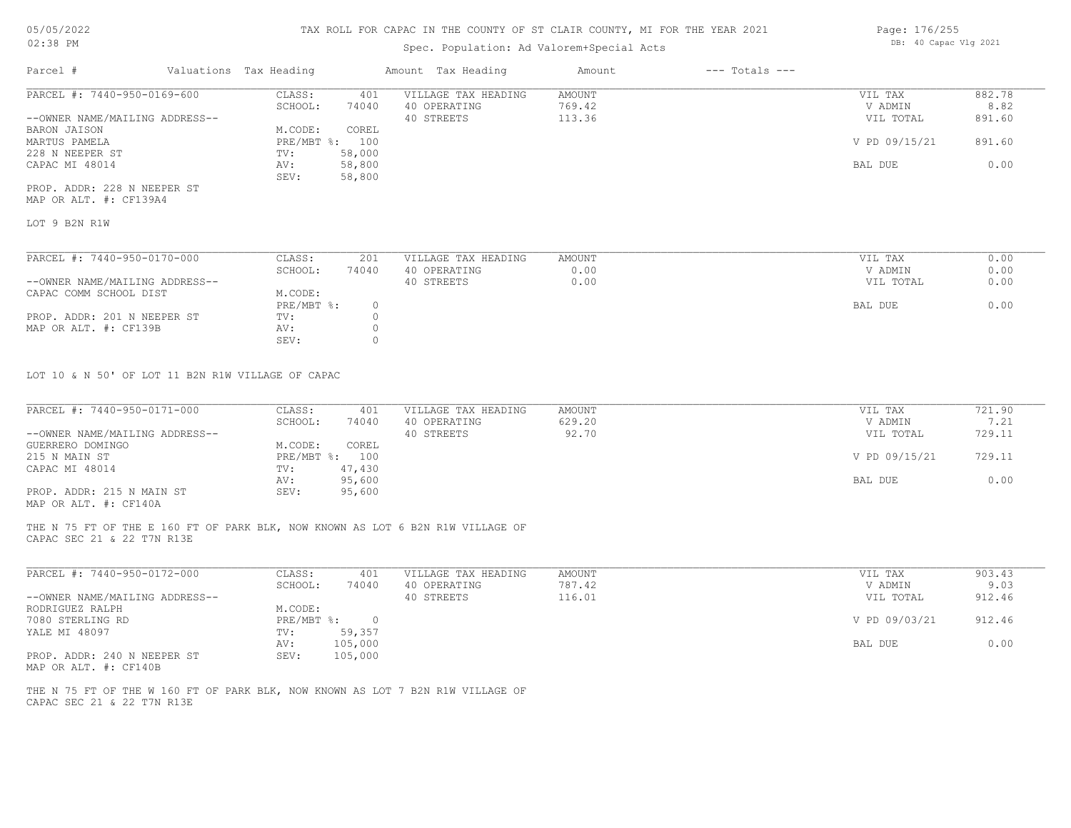# Spec. Population: Ad Valorem+Special Acts

| Page: 176/255 |  |                       |  |  |
|---------------|--|-----------------------|--|--|
|               |  | DB: 40 Capac Vlg 2021 |  |  |

| Parcel #                       | Valuations Tax Heading |        | Amount Tax Heading  | Amount | $---$ Totals $---$ |               |        |
|--------------------------------|------------------------|--------|---------------------|--------|--------------------|---------------|--------|
| PARCEL #: 7440-950-0169-600    | CLASS:                 | 401    | VILLAGE TAX HEADING | AMOUNT |                    | VIL TAX       | 882.78 |
|                                | SCHOOL:                | 74040  | 40 OPERATING        | 769.42 |                    | V ADMIN       | 8.82   |
| --OWNER NAME/MAILING ADDRESS-- |                        |        | 40 STREETS          | 113.36 |                    | VIL TOTAL     | 891.60 |
| BARON JAISON                   | M.CODE:                | COREL  |                     |        |                    |               |        |
| MARTUS PAMELA                  | $PRE/MBT$ %:           | 100    |                     |        |                    | V PD 09/15/21 | 891.60 |
| 228 N NEEPER ST                | TV:                    | 58,000 |                     |        |                    |               |        |
| CAPAC MI 48014                 | AV:                    | 58,800 |                     |        |                    | BAL DUE       | 0.00   |
|                                | SEV:                   | 58,800 |                     |        |                    |               |        |
| PROP. ADDR: 228 N NEEPER ST    |                        |        |                     |        |                    |               |        |

MAP OR ALT. #: CF139A4

LOT 9 B2N R1W

| PARCEL #: 7440-950-0170-000    | CLASS:     | 201   | VILLAGE TAX HEADING | AMOUNT | VIL TAX   | 0.00 |
|--------------------------------|------------|-------|---------------------|--------|-----------|------|
|                                | SCHOOL:    | 74040 | 40 OPERATING        | 0.00   | V ADMIN   | 0.00 |
| --OWNER NAME/MAILING ADDRESS-- |            |       | 40 STREETS          | 0.00   | VIL TOTAL | 0.00 |
| CAPAC COMM SCHOOL DIST         | M.CODE:    |       |                     |        |           |      |
|                                | PRE/MBT %: | (     |                     |        | BAL DUE   | 0.00 |
| PROP. ADDR: 201 N NEEPER ST    | TV:        |       |                     |        |           |      |
| MAP OR ALT. #: CF139B          | AV:        |       |                     |        |           |      |
|                                | SEV:       |       |                     |        |           |      |

LOT 10 & N 50' OF LOT 11 B2N R1W VILLAGE OF CAPAC

| PARCEL #: 7440-950-0171-000    | CLASS:  | 401            | VILLAGE TAX HEADING | AMOUNT | VIL TAX       | 721.90 |
|--------------------------------|---------|----------------|---------------------|--------|---------------|--------|
|                                | SCHOOL: | 74040          | 40 OPERATING        | 629.20 | V ADMIN       | 7.21   |
| --OWNER NAME/MAILING ADDRESS-- |         |                | 40 STREETS          | 92.70  | VIL TOTAL     | 729.11 |
| GUERRERO DOMINGO               | M.CODE: | COREL          |                     |        |               |        |
| 215 N MAIN ST                  |         | PRE/MBT %: 100 |                     |        | V PD 09/15/21 | 729.11 |
| CAPAC MI 48014                 | TV:     | 47,430         |                     |        |               |        |
|                                | AV:     | 95,600         |                     |        | BAL DUE       | 0.00   |
| PROP. ADDR: 215 N MAIN ST      | SEV:    | 95,600         |                     |        |               |        |
|                                |         |                |                     |        |               |        |

MAP OR ALT. #: CF140A

CAPAC SEC 21 & 22 T7N R13E THE N 75 FT OF THE E 160 FT OF PARK BLK, NOW KNOWN AS LOT 6 B2N R1W VILLAGE OF

| PARCEL #: 7440-950-0172-000                                                                                                                    | CLASS:     | 401     | VILLAGE TAX HEADING | AMOUNT | VIL TAX       | 903.43 |
|------------------------------------------------------------------------------------------------------------------------------------------------|------------|---------|---------------------|--------|---------------|--------|
|                                                                                                                                                | SCHOOL:    | 74040   | OPERATING<br>40.    | 787.42 | V ADMIN       | 9.03   |
| --OWNER NAME/MAILING ADDRESS--                                                                                                                 |            |         | 40 STREETS          | 116.01 | VIL TOTAL     | 912.46 |
| RODRIGUEZ RALPH                                                                                                                                | M.CODE:    |         |                     |        |               |        |
| 7080 STERLING RD                                                                                                                               | PRE/MBT %: |         |                     |        | V PD 09/03/21 | 912.46 |
| YALE MI 48097                                                                                                                                  | TV:        | 59,357  |                     |        |               |        |
|                                                                                                                                                | AV:        | 105,000 |                     |        | BAL DUE       | 0.00   |
| PROP. ADDR: 240 N NEEPER ST<br>the contract of the contract of the contract of the contract of the contract of the contract of the contract of | SEV:       | 105,000 |                     |        |               |        |

MAP OR ALT. #: CF140B

CAPAC SEC 21 & 22 T7N R13E THE N 75 FT OF THE W 160 FT OF PARK BLK, NOW KNOWN AS LOT 7 B2N R1W VILLAGE OF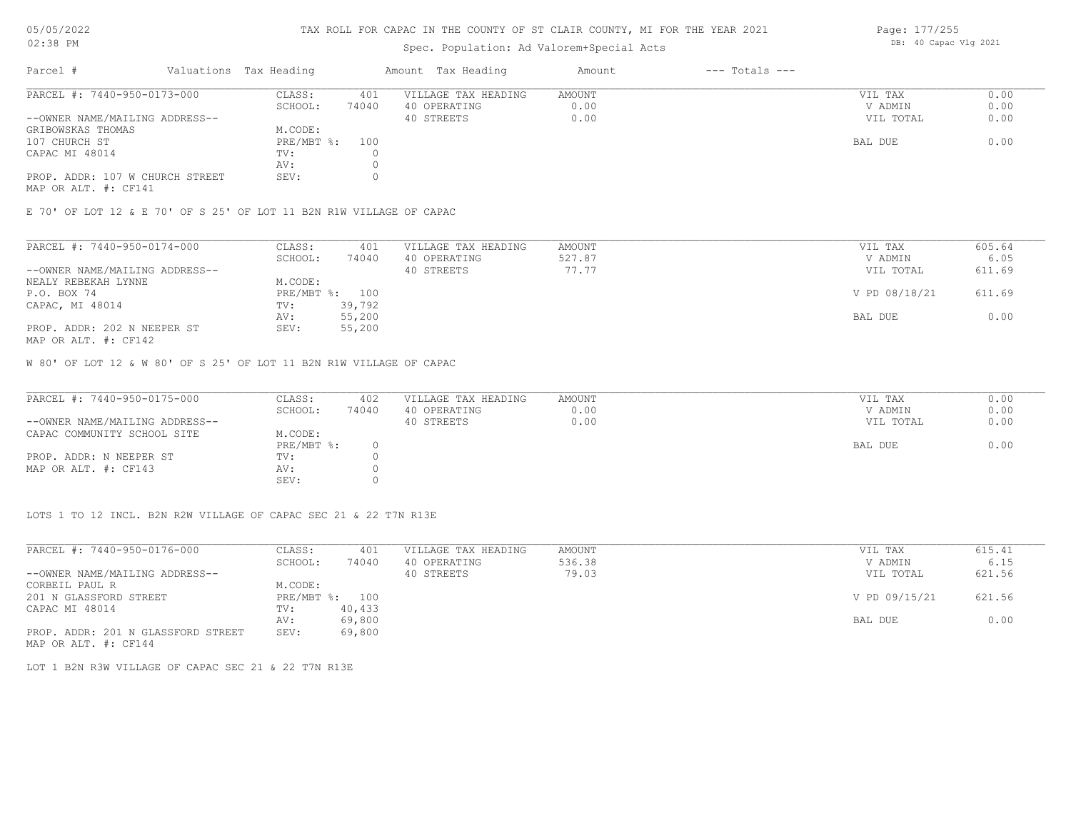### TAX ROLL FOR CAPAC IN THE COUNTY OF ST CLAIR COUNTY, MI FOR THE YEAR 2021

# Spec. Population: Ad Valorem+Special Acts

| Parcel #                        | Valuations Tax Heading |       | Amount Tax Heading  | Amount | $---$ Totals $---$ |           |      |
|---------------------------------|------------------------|-------|---------------------|--------|--------------------|-----------|------|
| PARCEL #: 7440-950-0173-000     | CLASS:                 | 401   | VILLAGE TAX HEADING | AMOUNT |                    | VIL TAX   | 0.00 |
|                                 | SCHOOL:                | 74040 | 40 OPERATING        | 0.00   |                    | V ADMIN   | 0.00 |
| --OWNER NAME/MAILING ADDRESS--  |                        |       | 40 STREETS          | 0.00   |                    | VIL TOTAL | 0.00 |
| GRIBOWSKAS THOMAS               | M.CODE:                |       |                     |        |                    |           |      |
| 107 CHURCH ST                   | PRE/MBT %:             | 100   |                     |        |                    | BAL DUE   | 0.00 |
| CAPAC MI 48014                  | TV:                    |       |                     |        |                    |           |      |
|                                 | AV:                    |       |                     |        |                    |           |      |
| PROP. ADDR: 107 W CHURCH STREET | SEV:                   |       |                     |        |                    |           |      |
|                                 |                        |       |                     |        |                    |           |      |

MAP OR ALT. #: CF141

E 70' OF LOT 12 & E 70' OF S 25' OF LOT 11 B2N R1W VILLAGE OF CAPAC

| PARCEL #: 7440-950-0174-000    | CLASS:  | 401            | VILLAGE TAX HEADING | AMOUNT | VIL TAX       | 605.64 |
|--------------------------------|---------|----------------|---------------------|--------|---------------|--------|
|                                | SCHOOL: | 74040          | 40 OPERATING        | 527.87 | V ADMIN       | 6.05   |
| --OWNER NAME/MAILING ADDRESS-- |         |                | 40 STREETS          | 77.77  | VIL TOTAL     | 611.69 |
| NEALY REBEKAH LYNNE            | M.CODE: |                |                     |        |               |        |
| P.O. BOX 74                    |         | PRE/MBT %: 100 |                     |        | V PD 08/18/21 | 611.69 |
| CAPAC, MI 48014                | TV:     | 39,792         |                     |        |               |        |
|                                | AV:     | 55,200         |                     |        | BAL DUE       | 0.00   |
| PROP. ADDR: 202 N NEEPER ST    | SEV:    | 55,200         |                     |        |               |        |
|                                |         |                |                     |        |               |        |

MAP OR ALT. #: CF142

W 80' OF LOT 12 & W 80' OF S 25' OF LOT 11 B2N R1W VILLAGE OF CAPAC

| PARCEL #: 7440-950-0175-000    | CLASS:     | 402   | VILLAGE TAX HEADING | AMOUNT | VIL TAX   | 0.00 |
|--------------------------------|------------|-------|---------------------|--------|-----------|------|
|                                | SCHOOL:    | 74040 | 40 OPERATING        | 0.00   | V ADMIN   | 0.00 |
| --OWNER NAME/MAILING ADDRESS-- |            |       | 40 STREETS          | 0.00   | VIL TOTAL | 0.00 |
| CAPAC COMMUNITY SCHOOL SITE    | M.CODE:    |       |                     |        |           |      |
|                                | PRE/MBT %: |       |                     |        | BAL DUE   | 0.00 |
| PROP. ADDR: N NEEPER ST        | TV:        |       |                     |        |           |      |
| MAP OR ALT. #: CF143           | AV:        |       |                     |        |           |      |
|                                | SEV:       |       |                     |        |           |      |

LOTS 1 TO 12 INCL. B2N R2W VILLAGE OF CAPAC SEC 21 & 22 T7N R13E

| PARCEL #: 7440-950-0176-000        | CLASS:       | 401    | VILLAGE TAX HEADING | AMOUNT | VIL TAX       | 615.41 |
|------------------------------------|--------------|--------|---------------------|--------|---------------|--------|
|                                    | SCHOOL:      | 74040  | 40 OPERATING        | 536.38 | V ADMIN       | 6.15   |
| --OWNER NAME/MAILING ADDRESS--     |              |        | 40 STREETS          | 79.03  | VIL TOTAL     | 621.56 |
| CORBEIL PAUL R                     | M.CODE:      |        |                     |        |               |        |
| 201 N GLASSFORD STREET             | $PRE/MBT$ %: | 100    |                     |        | V PD 09/15/21 | 621.56 |
| CAPAC MI 48014                     | TV:          | 40,433 |                     |        |               |        |
|                                    | AV:          | 69,800 |                     |        | BAL DUE       | 0.00   |
| PROP. ADDR: 201 N GLASSFORD STREET | SEV:         | 69,800 |                     |        |               |        |
| MAP OR ALT. #: CF144               |              |        |                     |        |               |        |

LOT 1 B2N R3W VILLAGE OF CAPAC SEC 21 & 22 T7N R13E

Page: 177/255 DB: 40 Capac Vlg 2021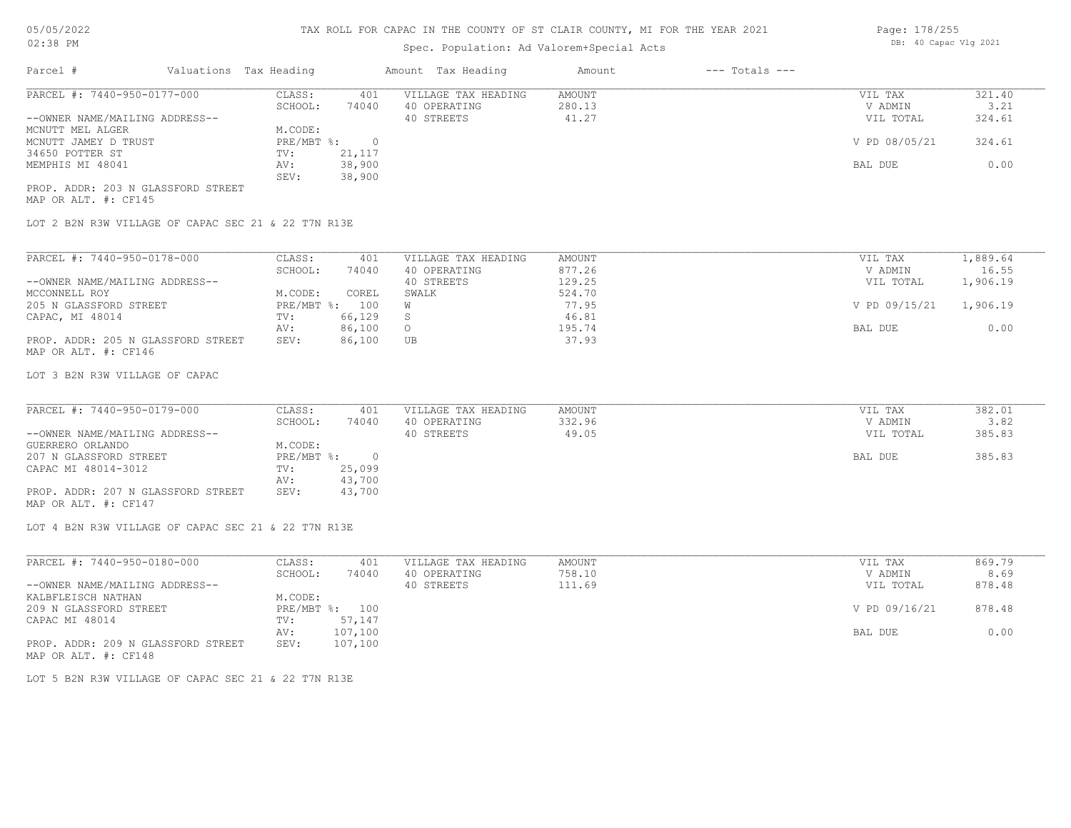## Spec. Population: Ad Valorem+Special Acts

| Parcel #                       | Valuations Tax Heading |        | Amount Tax Heading  | Amount | $---$ Totals $---$ |               |        |
|--------------------------------|------------------------|--------|---------------------|--------|--------------------|---------------|--------|
| PARCEL #: 7440-950-0177-000    | CLASS:                 | 401    | VILLAGE TAX HEADING | AMOUNT |                    | VIL TAX       | 321.40 |
|                                | SCHOOL:                | 74040  | 40 OPERATING        | 280.13 |                    | V ADMIN       | 3.21   |
| --OWNER NAME/MAILING ADDRESS-- |                        |        | 40 STREETS          | 41.27  |                    | VIL TOTAL     | 324.61 |
| MCNUTT MEL ALGER               | M.CODE:                |        |                     |        |                    |               |        |
| MCNUTT JAMEY D TRUST           | $PRE/MBT$ %:           |        |                     |        |                    | V PD 08/05/21 | 324.61 |
| 34650 POTTER ST                | TV:                    | 21,117 |                     |        |                    |               |        |
| MEMPHIS MI 48041               | AV:                    | 38,900 |                     |        |                    | BAL DUE       | 0.00   |
|                                | SEV:                   | 38,900 |                     |        |                    |               |        |
|                                |                        |        |                     |        |                    |               |        |

MAP OR ALT. #: CF145 PROP. ADDR: 203 N GLASSFORD STREET

LOT 2 B2N R3W VILLAGE OF CAPAC SEC 21 & 22 T7N R13E

| PARCEL #: 7440-950-0178-000        | CLASS:     | 401    | VILLAGE TAX HEADING | AMOUNT | VIL TAX       | 1,889.64 |
|------------------------------------|------------|--------|---------------------|--------|---------------|----------|
|                                    | SCHOOL:    | 74040  | 40 OPERATING        | 877.26 | V ADMIN       | 16.55    |
| --OWNER NAME/MAILING ADDRESS--     |            |        | 40 STREETS          | 129.25 | VIL TOTAL     | 1,906.19 |
| MCCONNELL ROY                      | M.CODE:    | COREL  | SWALK               | 524.70 |               |          |
| 205 N GLASSFORD STREET             | PRE/MBT %: | 100    | W                   | 77.95  | V PD 09/15/21 | 1,906.19 |
| CAPAC, MI 48014                    | TV:        | 66,129 | - S                 | 46.81  |               |          |
|                                    | AV:        | 86,100 | $\circ$             | 195.74 | BAL DUE       | 0.00     |
| PROP. ADDR: 205 N GLASSFORD STREET | SEV:       | 86,100 | UB                  | 37.93  |               |          |
| MAP OR ALT. #: CF146               |            |        |                     |        |               |          |

LOT 3 B2N R3W VILLAGE OF CAPAC

| PARCEL #: 7440-950-0179-000        | CLASS:     | 401    | VILLAGE TAX HEADING | AMOUNT | VIL TAX   | 382.01 |
|------------------------------------|------------|--------|---------------------|--------|-----------|--------|
|                                    | SCHOOL:    | 74040  | 40 OPERATING        | 332.96 | V ADMIN   | 3.82   |
| --OWNER NAME/MAILING ADDRESS--     |            |        | 40 STREETS          | 49.05  | VIL TOTAL | 385.83 |
| GUERRERO ORLANDO                   | M.CODE:    |        |                     |        |           |        |
| 207 N GLASSFORD STREET             | PRE/MBT %: |        |                     |        | BAL DUE   | 385.83 |
| CAPAC MI 48014-3012                | TV:        | 25,099 |                     |        |           |        |
|                                    | AV:        | 43,700 |                     |        |           |        |
| PROP. ADDR: 207 N GLASSFORD STREET | SEV:       | 43,700 |                     |        |           |        |
| MAP OR ALT. #: CF147               |            |        |                     |        |           |        |

LOT 4 B2N R3W VILLAGE OF CAPAC SEC 21 & 22 T7N R13E

| PARCEL #: 7440-950-0180-000        | CLASS:  | 401            | VILLAGE TAX HEADING | AMOUNT | VIL TAX       | 869.79 |
|------------------------------------|---------|----------------|---------------------|--------|---------------|--------|
|                                    | SCHOOL: | 74040          | 40 OPERATING        | 758.10 | V ADMIN       | 8.69   |
| --OWNER NAME/MAILING ADDRESS--     |         |                | 40 STREETS          | 111.69 | VIL TOTAL     | 878.48 |
| KALBFLEISCH NATHAN                 | M.CODE: |                |                     |        |               |        |
| 209 N GLASSFORD STREET             |         | PRE/MBT %: 100 |                     |        | V PD 09/16/21 | 878.48 |
| CAPAC MI 48014                     | TV:     | 57,147         |                     |        |               |        |
|                                    | AV:     | 107,100        |                     |        | BAL DUE       | 0.00   |
| PROP. ADDR: 209 N GLASSFORD STREET | SEV:    | 107,100        |                     |        |               |        |
| MAP OR ALT. #: CF148               |         |                |                     |        |               |        |

LOT 5 B2N R3W VILLAGE OF CAPAC SEC 21 & 22 T7N R13E

Page: 178/255 DB: 40 Capac Vlg 2021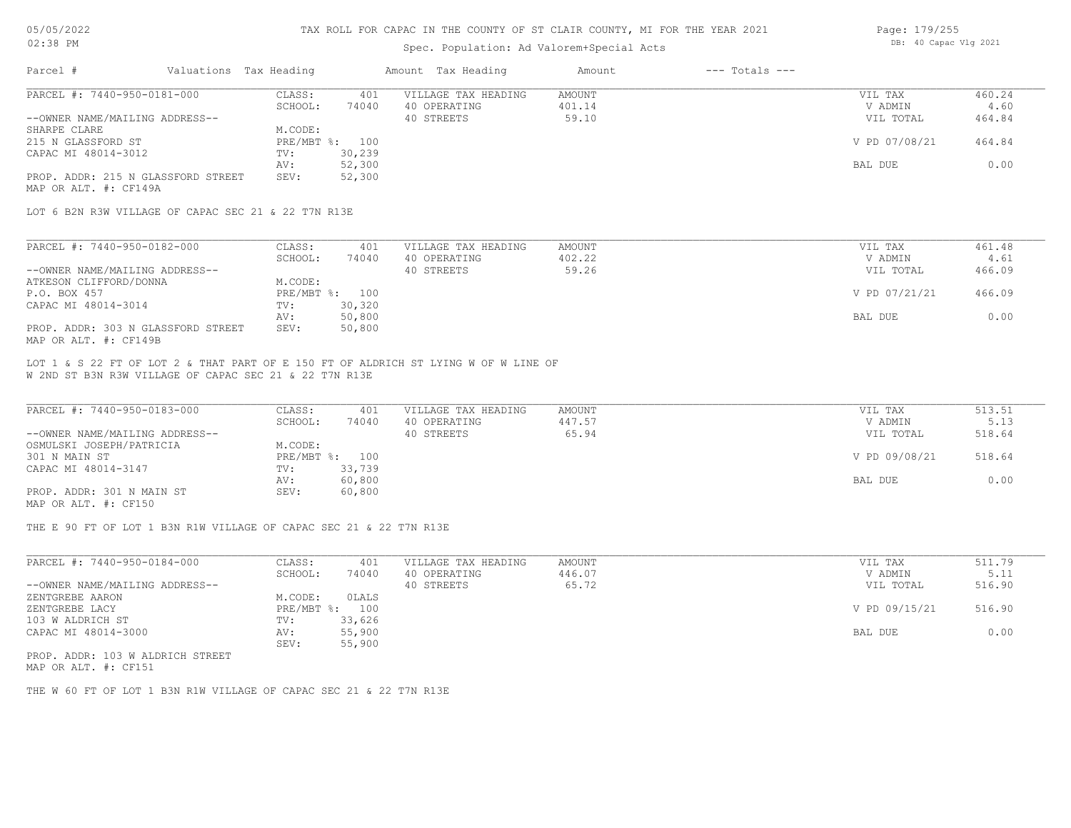## TAX ROLL FOR CAPAC IN THE COUNTY OF ST CLAIR COUNTY, MI FOR THE YEAR 2021

### Spec. Population: Ad Valorem+Special Acts

| Page: 179/255 |                       |  |
|---------------|-----------------------|--|
|               | DB: 40 Capac Vlg 2021 |  |

| Parcel #                                                    |  | Valuations Tax Heading |                | Amount Tax Heading  | Amount | $---$ Totals $---$ |               |        |
|-------------------------------------------------------------|--|------------------------|----------------|---------------------|--------|--------------------|---------------|--------|
| PARCEL #: 7440-950-0181-000                                 |  | CLASS:                 | 401            | VILLAGE TAX HEADING | AMOUNT |                    | VIL TAX       | 460.24 |
|                                                             |  | SCHOOL:                | 74040          | 40 OPERATING        | 401.14 |                    | V ADMIN       | 4.60   |
| --OWNER NAME/MAILING ADDRESS--                              |  |                        |                | 40 STREETS          | 59.10  |                    | VIL TOTAL     | 464.84 |
| SHARPE CLARE                                                |  | M.CODE:                |                |                     |        |                    |               |        |
| 215 N GLASSFORD ST                                          |  |                        | PRE/MBT %: 100 |                     |        |                    | V PD 07/08/21 | 464.84 |
| CAPAC MI 48014-3012                                         |  | TV:                    | 30,239         |                     |        |                    |               |        |
|                                                             |  | AV:                    | 52,300         |                     |        |                    | BAL DUE       | 0.00   |
| PROP. ADDR: 215 N GLASSFORD STREET<br>MAP OR ALT. #: CF149A |  | SEV:                   | 52,300         |                     |        |                    |               |        |

LOT 6 B2N R3W VILLAGE OF CAPAC SEC 21 & 22 T7N R13E

| PARCEL #: 7440-950-0182-000        | CLASS:     | 401    | VILLAGE TAX HEADING | AMOUNT | VIL TAX       | 461.48 |
|------------------------------------|------------|--------|---------------------|--------|---------------|--------|
|                                    | SCHOOL:    | 74040  | 40 OPERATING        | 402.22 | V ADMIN       | 4.61   |
| --OWNER NAME/MAILING ADDRESS--     |            |        | 40 STREETS          | 59.26  | VIL TOTAL     | 466.09 |
| ATKESON CLIFFORD/DONNA             | M.CODE:    |        |                     |        |               |        |
| P.O. BOX 457                       | PRE/MBT %: | 100    |                     |        | V PD 07/21/21 | 466.09 |
| CAPAC MI 48014-3014                | TV:        | 30,320 |                     |        |               |        |
|                                    | AV:        | 50,800 |                     |        | BAL DUE       | 0.00   |
| PROP. ADDR: 303 N GLASSFORD STREET | SEV:       | 50,800 |                     |        |               |        |
| MAP OR ALT. #: CF149B              |            |        |                     |        |               |        |

W 2ND ST B3N R3W VILLAGE OF CAPAC SEC 21 & 22 T7N R13E LOT 1 & S 22 FT OF LOT 2 & THAT PART OF E 150 FT OF ALDRICH ST LYING W OF W LINE OF

| PARCEL #: 7440-950-0183-000    | CLASS:  | 401            | VILLAGE TAX HEADING | AMOUNT | VIL TAX       | 513.51 |
|--------------------------------|---------|----------------|---------------------|--------|---------------|--------|
|                                | SCHOOL: | 74040          | 40 OPERATING        | 447.57 | V ADMIN       | 5.13   |
| --OWNER NAME/MAILING ADDRESS-- |         |                | 40 STREETS          | 65.94  | VIL TOTAL     | 518.64 |
| OSMULSKI JOSEPH/PATRICIA       | M.CODE: |                |                     |        |               |        |
| 301 N MAIN ST                  |         | PRE/MBT %: 100 |                     |        | V PD 09/08/21 | 518.64 |
| CAPAC MI 48014-3147            | TV:     | 33,739         |                     |        |               |        |
|                                | AV:     | 60,800         |                     |        | BAL DUE       | 0.00   |
| PROP. ADDR: 301 N MAIN ST      | SEV:    | 60,800         |                     |        |               |        |
| MAP OR ALT. #: CF150           |         |                |                     |        |               |        |

THE E 90 FT OF LOT 1 B3N R1W VILLAGE OF CAPAC SEC 21 & 22 T7N R13E

| V ADMIN<br>VIL TOTAL | 5.11<br>516.90 |
|----------------------|----------------|
|                      |                |
|                      |                |
|                      |                |
| V PD 09/15/21        | 516.90         |
|                      |                |
| BAL DUE              | 0.00           |
|                      |                |
|                      |                |

MAP OR ALT. #: CF151 PROP. ADDR: 103 W ALDRICH STREET

THE W 60 FT OF LOT 1 B3N R1W VILLAGE OF CAPAC SEC 21 & 22 T7N R13E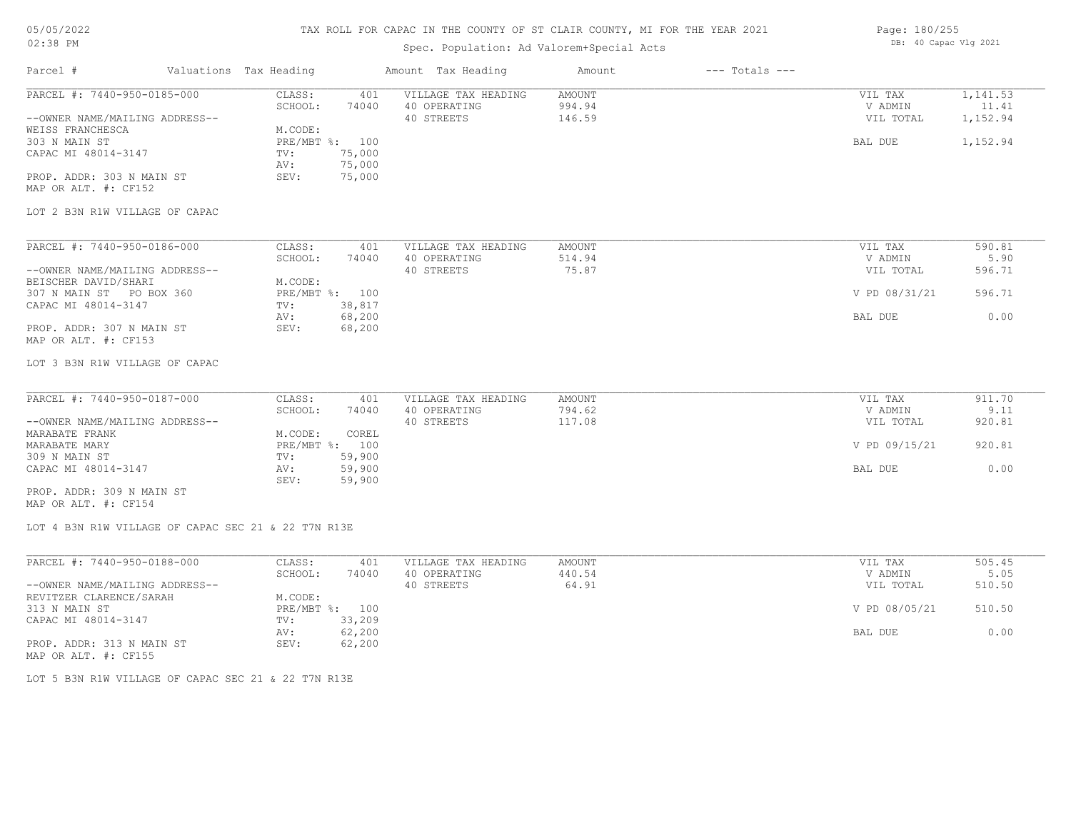# TAX ROLL FOR CAPAC IN THE COUNTY OF ST CLAIR COUNTY, MI FOR THE YEAR 2021

# Spec. Population: Ad Valorem+Special Acts

| Page: 180/255 |                       |  |
|---------------|-----------------------|--|
|               | DB: 40 Capac Vlg 2021 |  |

| Parcel #                                                                          | Valuations Tax Heading |                                                                    | Amount Tax Heading                                       | Amount                     | $---$ Totals $---$ |                                 |                               |
|-----------------------------------------------------------------------------------|------------------------|--------------------------------------------------------------------|----------------------------------------------------------|----------------------------|--------------------|---------------------------------|-------------------------------|
| PARCEL #: 7440-950-0185-000<br>--OWNER NAME/MAILING ADDRESS--<br>WEISS FRANCHESCA |                        | CLASS:<br>SCHOOL:<br>74040<br>M.CODE:                              | VILLAGE TAX HEADING<br>401<br>40 OPERATING<br>40 STREETS | AMOUNT<br>994.94<br>146.59 |                    | VIL TAX<br>V ADMIN<br>VIL TOTAL | 1,141.53<br>11.41<br>1,152.94 |
| 303 N MAIN ST<br>CAPAC MI 48014-3147<br>PROP. ADDR: 303 N MAIN ST                 |                        | PRE/MBT %: 100<br>75,000<br>TV:<br>75,000<br>AV:<br>75,000<br>SEV: |                                                          |                            |                    | BAL DUE                         | 1,152.94                      |
| MAP OR ALT. #: CF152                                                              |                        |                                                                    |                                                          |                            |                    |                                 |                               |
| LOT 2 B3N R1W VILLAGE OF CAPAC                                                    |                        |                                                                    |                                                          |                            |                    |                                 |                               |
| PARCEL #: 7440-950-0186-000                                                       |                        | CLASS:                                                             | VILLAGE TAX HEADING<br>401                               | AMOUNT                     |                    | VIL TAX                         | 590.81                        |
| --OWNER NAME/MAILING ADDRESS--                                                    |                        | SCHOOL:<br>74040                                                   | 40 OPERATING<br>40 STREETS                               | 514.94<br>75.87            |                    | V ADMIN<br>VIL TOTAL            | 5.90<br>596.71                |
| BEISCHER DAVID/SHARI<br>307 N MAIN ST PO BOX 360<br>CAPAC MI 48014-3147           |                        | M.CODE:<br>PRE/MBT %: 100<br>38,817<br>TV:                         |                                                          |                            |                    | V PD 08/31/21                   | 596.71                        |
| PROP. ADDR: 307 N MAIN ST<br>MAP OR ALT. #: CF153                                 |                        | 68,200<br>AV:<br>68,200<br>SEV:                                    |                                                          |                            |                    | BAL DUE                         | 0.00                          |
| LOT 3 B3N R1W VILLAGE OF CAPAC                                                    |                        |                                                                    |                                                          |                            |                    |                                 |                               |
| PARCEL #: 7440-950-0187-000                                                       |                        | CLASS:                                                             | VILLAGE TAX HEADING<br>401                               | AMOUNT                     |                    | VIL TAX                         | 911.70                        |
| --OWNER NAME/MAILING ADDRESS--                                                    |                        | SCHOOL:<br>74040                                                   | 40 OPERATING<br>40 STREETS                               | 794.62<br>117.08           |                    | V ADMIN<br>VIL TOTAL            | 9.11<br>920.81                |
| MARABATE FRANK<br>MARABATE MARY                                                   |                        | M.CODE:<br>COREL<br>PRE/MBT %: 100                                 |                                                          |                            |                    | V PD 09/15/21                   | 920.81                        |
| 309 N MAIN ST<br>CAPAC MI 48014-3147                                              |                        | 59,900<br>TV:<br>59,900<br>AV:<br>59,900<br>SEV:                   |                                                          |                            |                    | BAL DUE                         | 0.00                          |
| PROP. ADDR: 309 N MAIN ST<br>MAP OR ALT. #: CF154                                 |                        |                                                                    |                                                          |                            |                    |                                 |                               |
| LOT 4 B3N R1W VILLAGE OF CAPAC SEC 21 & 22 T7N R13E                               |                        |                                                                    |                                                          |                            |                    |                                 |                               |
| PARCEL #: 7440-950-0188-000                                                       |                        | CLASS:<br>SCHOOL:<br>74040                                         | 401<br>VILLAGE TAX HEADING<br>40 OPERATING               | AMOUNT<br>440.54           |                    | VIL TAX<br>V ADMIN              | 505.45<br>5.05                |
| --OWNER NAME/MAILING ADDRESS--<br>REVITZER CLARENCE/SARAH                         |                        | M.CODE:                                                            | 40 STREETS                                               | 64.91                      |                    | VIL TOTAL                       | 510.50                        |
| 313 N MAIN ST<br>CAPAC MI 48014-3147                                              |                        | PRE/MBT %: 100<br>33,209<br>TV:                                    |                                                          |                            |                    | V PD 08/05/21                   | 510.50                        |
| PROP. ADDR: 313 N MAIN ST<br>MAP OR ALT. #: CF155                                 |                        | 62,200<br>AV:<br>62,200<br>SEV:                                    |                                                          |                            |                    | BAL DUE                         | 0.00                          |

LOT 5 B3N R1W VILLAGE OF CAPAC SEC 21 & 22 T7N R13E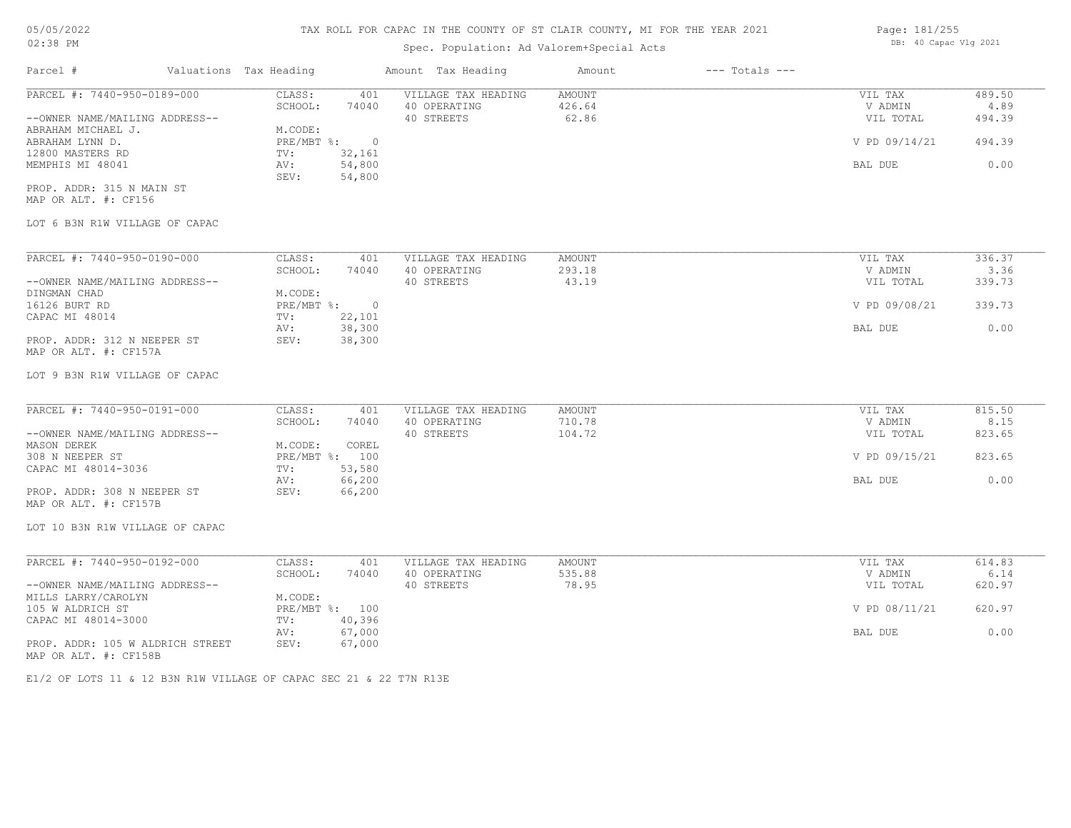# Spec. Population: Ad Valorem+Special Acts

| PARCEL #: 7440-950-0189-000<br>--OWNER NAME/MAILING ADDRESS-- | CLASS:<br>SCHOOL:<br>M.CODE:<br>PRE/MBT %: | 401<br>74040 | VILLAGE TAX HEADING<br>40 OPERATING<br>40 STREETS | AMOUNT<br>426.64<br>62.86 | VIL TAX<br>V ADMIN<br>VIL TOTAL | 489.50<br>4.89<br>494.39 |
|---------------------------------------------------------------|--------------------------------------------|--------------|---------------------------------------------------|---------------------------|---------------------------------|--------------------------|
|                                                               |                                            |              |                                                   |                           |                                 |                          |
|                                                               |                                            |              |                                                   |                           |                                 |                          |
|                                                               |                                            |              |                                                   |                           |                                 |                          |
|                                                               |                                            |              |                                                   |                           |                                 |                          |
|                                                               |                                            | $\circ$      |                                                   |                           | V PD 09/14/21                   | 494.39                   |
|                                                               | TV:                                        | 32,161       |                                                   |                           |                                 |                          |
|                                                               | AV:                                        | 54,800       |                                                   |                           | BAL DUE                         | 0.00                     |
|                                                               | SEV:                                       | 54,800       |                                                   |                           |                                 |                          |
| PROP. ADDR: 315 N MAIN ST                                     |                                            |              |                                                   |                           |                                 |                          |
|                                                               |                                            |              |                                                   |                           |                                 |                          |
| LOT 6 B3N R1W VILLAGE OF CAPAC                                |                                            |              |                                                   |                           |                                 |                          |
|                                                               |                                            |              |                                                   |                           |                                 |                          |

| PARCEL #: 7440-950-0190-000    | CLASS:     | 401    | VILLAGE TAX HEADING | AMOUNT | VIL TAX       | 336.37 |
|--------------------------------|------------|--------|---------------------|--------|---------------|--------|
|                                | SCHOOL:    | 74040  | 40 OPERATING        | 293.18 | V ADMIN       | 3.36   |
| --OWNER NAME/MAILING ADDRESS-- |            |        | 40 STREETS          | 43.19  | VIL TOTAL     | 339.73 |
| DINGMAN CHAD                   | M.CODE:    |        |                     |        |               |        |
| 16126 BURT RD                  | PRE/MBT %: | $\Box$ |                     |        | V PD 09/08/21 | 339.73 |
| CAPAC MI 48014                 | TV:        | 22,101 |                     |        |               |        |
|                                | AV:        | 38,300 |                     |        | BAL DUE       | 0.00   |
| PROP. ADDR: 312 N NEEPER ST    | SEV:       | 38,300 |                     |        |               |        |
| MAP OR ALT. #: CF157A          |            |        |                     |        |               |        |

#### LOT 9 B3N R1W VILLAGE OF CAPAC

| PARCEL #: 7440-950-0191-000    | CLASS:  | 401            | VILLAGE TAX HEADING | AMOUNT | VIL TAX       | 815.50 |
|--------------------------------|---------|----------------|---------------------|--------|---------------|--------|
|                                | SCHOOL: | 74040          | 40 OPERATING        | 710.78 | V ADMIN       | 8.15   |
| --OWNER NAME/MAILING ADDRESS-- |         |                | 40 STREETS          | 104.72 | VIL TOTAL     | 823.65 |
| MASON DEREK                    | M.CODE: | COREL          |                     |        |               |        |
| 308 N NEEPER ST                |         | PRE/MBT %: 100 |                     |        | V PD 09/15/21 | 823.65 |
| CAPAC MI 48014-3036            | TV:     | 53,580         |                     |        |               |        |
|                                | AV:     | 66,200         |                     |        | BAL DUE       | 0.00   |
| PROP. ADDR: 308 N NEEPER ST    | SEV:    | 66,200         |                     |        |               |        |
| MAP OR ALT. #: CF157B          |         |                |                     |        |               |        |

LOT 10 B3N R1W VILLAGE OF CAPAC

| PARCEL #: 7440-950-0192-000      | CLASS:  | 401            | VILLAGE TAX HEADING | AMOUNT | VIL TAX       | 614.83 |
|----------------------------------|---------|----------------|---------------------|--------|---------------|--------|
|                                  | SCHOOL: | 74040          | 40 OPERATING        | 535.88 | V ADMIN       | 6.14   |
| --OWNER NAME/MAILING ADDRESS--   |         |                | 40 STREETS          | 78.95  | VIL TOTAL     | 620.97 |
| MILLS LARRY/CAROLYN              | M.CODE: |                |                     |        |               |        |
| 105 W ALDRICH ST                 |         | PRE/MBT %: 100 |                     |        | V PD 08/11/21 | 620.97 |
| CAPAC MI 48014-3000              | TV:     | 40,396         |                     |        |               |        |
|                                  | AV:     | 67,000         |                     |        | BAL DUE       | 0.00   |
| PROP. ADDR: 105 W ALDRICH STREET | SEV:    | 67,000         |                     |        |               |        |
| MAP OR ALT. #: CF158B            |         |                |                     |        |               |        |

E1/2 OF LOTS 11 & 12 B3N R1W VILLAGE OF CAPAC SEC 21 & 22 T7N R13E

Page: 181/255 DB: 40 Capac Vlg 2021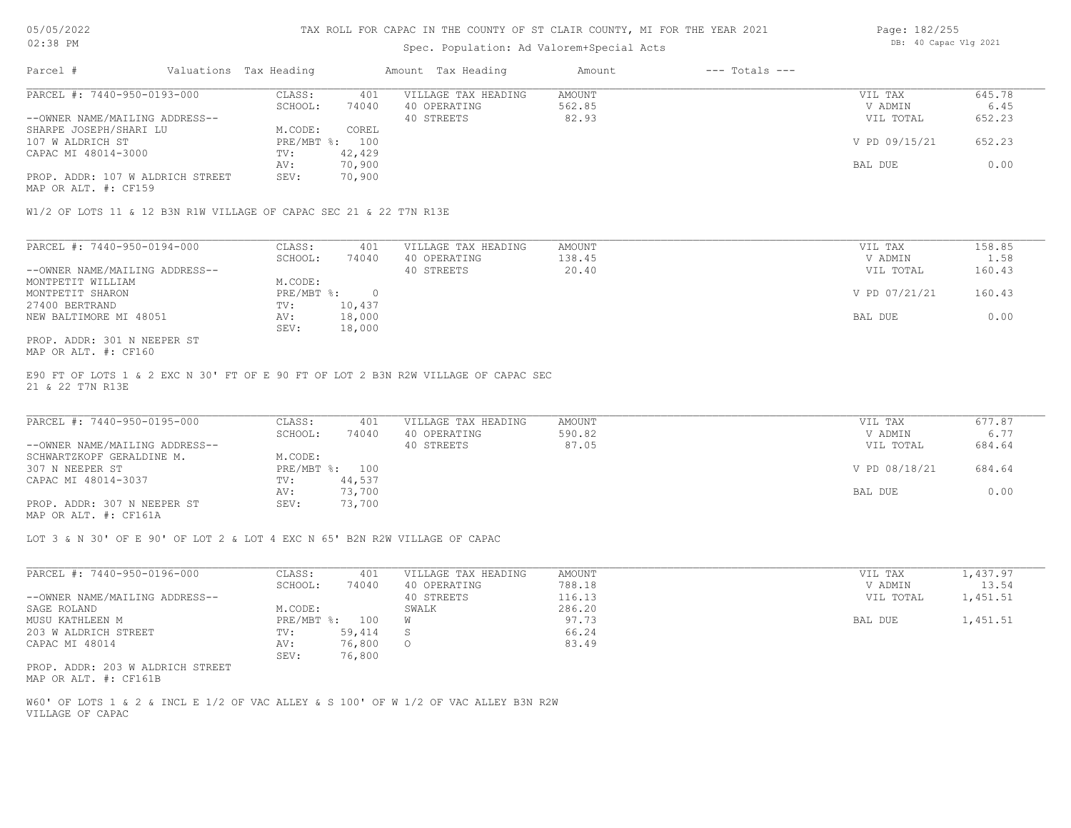### Spec. Population: Ad Valorem+Special Acts

| Page: 182/255 |                       |  |
|---------------|-----------------------|--|
|               | DB: 40 Capac Vlg 2021 |  |

| Parcel #                         | Valuations Tax Heading |        | Amount Tax Heading  | Amount | $---$ Totals $---$ |               |        |
|----------------------------------|------------------------|--------|---------------------|--------|--------------------|---------------|--------|
| PARCEL #: 7440-950-0193-000      | CLASS:                 | 401    | VILLAGE TAX HEADING | AMOUNT |                    | VIL TAX       | 645.78 |
|                                  | SCHOOL:                | 74040  | 40 OPERATING        | 562.85 |                    | V ADMIN       | 6.45   |
| --OWNER NAME/MAILING ADDRESS--   |                        |        | 40 STREETS          | 82.93  |                    | VIL TOTAL     | 652.23 |
| SHARPE JOSEPH/SHARI LU           | M.CODE:                | COREL  |                     |        |                    |               |        |
| 107 W ALDRICH ST                 | PRE/MBT %: 100         |        |                     |        |                    | V PD 09/15/21 | 652.23 |
| CAPAC MI 48014-3000              | TV:                    | 42,429 |                     |        |                    |               |        |
|                                  | AV:                    | 70,900 |                     |        |                    | BAL DUE       | 0.00   |
| PROP. ADDR: 107 W ALDRICH STREET | SEV:                   | 70,900 |                     |        |                    |               |        |
|                                  |                        |        |                     |        |                    |               |        |

MAP OR ALT. #: CF159

W1/2 OF LOTS 11 & 12 B3N R1W VILLAGE OF CAPAC SEC 21 & 22 T7N R13E

| PARCEL #: 7440-950-0194-000    | CLASS:     | 401    | VILLAGE TAX HEADING | AMOUNT | VIL TAX       | 158.85 |
|--------------------------------|------------|--------|---------------------|--------|---------------|--------|
|                                | SCHOOL:    | 74040  | 40 OPERATING        | 138.45 | V ADMIN       | 1.58   |
| --OWNER NAME/MAILING ADDRESS-- |            |        | 40 STREETS          | 20.40  | VIL TOTAL     | 160.43 |
| MONTPETIT WILLIAM              | M.CODE:    |        |                     |        |               |        |
| MONTPETIT SHARON               | PRE/MBT %: |        |                     |        | V PD 07/21/21 | 160.43 |
| 27400 BERTRAND                 | TV:        | 10,437 |                     |        |               |        |
| NEW BALTIMORE MI 48051         | AV:        | 18,000 |                     |        | BAL DUE       | 0.00   |
|                                | SEV:       | 18,000 |                     |        |               |        |
| PROP. ADDR: 301 N NEEPER ST    |            |        |                     |        |               |        |

MAP OR ALT. #: CF160

21 & 22 T7N R13E E90 FT OF LOTS 1 & 2 EXC N 30' FT OF E 90 FT OF LOT 2 B3N R2W VILLAGE OF CAPAC SEC

| PARCEL #: 7440-950-0195-000    | CLASS:  | 401            | VILLAGE TAX HEADING | AMOUNT | VIL TAX       | 677.87 |
|--------------------------------|---------|----------------|---------------------|--------|---------------|--------|
|                                | SCHOOL: | 74040          | 40 OPERATING        | 590.82 | V ADMIN       | 6.77   |
| --OWNER NAME/MAILING ADDRESS-- |         |                | 40 STREETS          | 87.05  | VIL TOTAL     | 684.64 |
| SCHWARTZKOPF GERALDINE M.      | M.CODE: |                |                     |        |               |        |
| 307 N NEEPER ST                |         | PRE/MBT %: 100 |                     |        | V PD 08/18/21 | 684.64 |
| CAPAC MI 48014-3037            | TV:     | 44,537         |                     |        |               |        |
|                                | AV:     | 73,700         |                     |        | BAL DUE       | 0.00   |
| PROP. ADDR: 307 N NEEPER ST    | SEV:    | 73,700         |                     |        |               |        |
|                                |         |                |                     |        |               |        |

MAP OR ALT. #: CF161A

LOT 3 & N 30' OF E 90' OF LOT 2 & LOT 4 EXC N 65' B2N R2W VILLAGE OF CAPAC

| PARCEL #: 7440-950-0196-000    | CLASS:     | 401    | VILLAGE TAX HEADING | AMOUNT | VIL TAX   | 1,437.97 |
|--------------------------------|------------|--------|---------------------|--------|-----------|----------|
|                                | SCHOOL:    | 74040  | 40 OPERATING        | 788.18 | V ADMIN   | 13.54    |
| --OWNER NAME/MAILING ADDRESS-- |            |        | 40 STREETS          | 116.13 | VIL TOTAL | 1,451.51 |
| SAGE ROLAND                    | M.CODE:    |        | SWALK               | 286.20 |           |          |
| MUSU KATHLEEN M                | PRE/MBT %: | 100    | W                   | 97.73  | BAL DUE   | 1,451.51 |
| 203 W ALDRICH STREET           | TV:        | 59,414 |                     | 66.24  |           |          |
| CAPAC MI 48014                 | AV:        | 76,800 | $\circ$             | 83.49  |           |          |
|                                | SEV:       | 76,800 |                     |        |           |          |

MAP OR ALT. #: CF161B PROP. ADDR: 203 W ALDRICH STREET

VILLAGE OF CAPAC W60' OF LOTS 1 & 2 & INCL E 1/2 OF VAC ALLEY & S 100' OF W 1/2 OF VAC ALLEY B3N R2W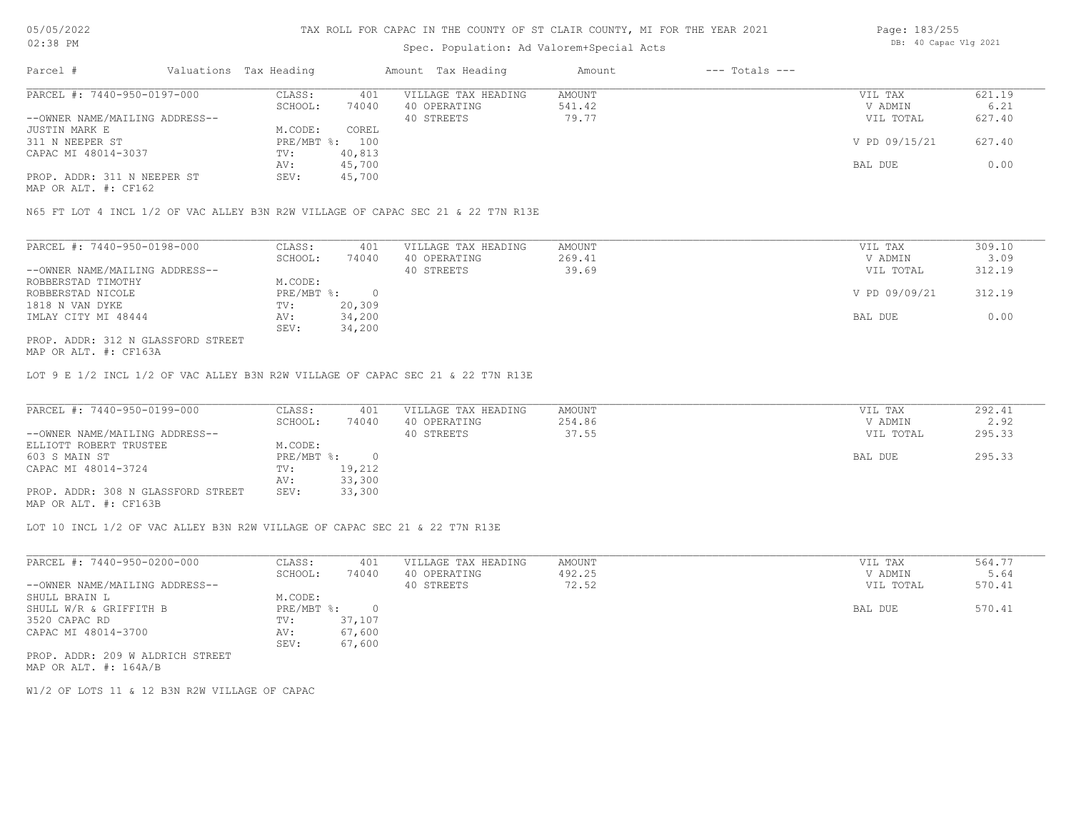# Spec. Population: Ad Valorem+Special Acts

| Page: 183/255 |                       |  |
|---------------|-----------------------|--|
|               | DB: 40 Capac Vlg 2021 |  |

| Parcel #                       | Valuations Tax Heading |        | Amount Tax Heading  | Amount | $---$ Totals $---$ |               |        |
|--------------------------------|------------------------|--------|---------------------|--------|--------------------|---------------|--------|
| PARCEL #: 7440-950-0197-000    | CLASS:                 | 401    | VILLAGE TAX HEADING | AMOUNT |                    | VIL TAX       | 621.19 |
|                                | SCHOOL:                | 74040  | 40 OPERATING        | 541.42 |                    | V ADMIN       | 6.21   |
| --OWNER NAME/MAILING ADDRESS-- |                        |        | 40 STREETS          | 79.77  |                    | VIL TOTAL     | 627.40 |
| JUSTIN MARK E                  | M.CODE:                | COREL  |                     |        |                    |               |        |
| 311 N NEEPER ST                | PRE/MBT %: 100         |        |                     |        |                    | V PD 09/15/21 | 627.40 |
| CAPAC MI 48014-3037            | TV:                    | 40,813 |                     |        |                    |               |        |
|                                | AV:                    | 45,700 |                     |        |                    | BAL DUE       | 0.00   |
| PROP. ADDR: 311 N NEEPER ST    | SEV:                   | 45,700 |                     |        |                    |               |        |
|                                |                        |        |                     |        |                    |               |        |

MAP OR ALT. #: CF162

N65 FT LOT 4 INCL 1/2 OF VAC ALLEY B3N R2W VILLAGE OF CAPAC SEC 21 & 22 T7N R13E

| PARCEL #: 7440-950-0198-000        | CLASS:     | 401    | VILLAGE TAX HEADING | AMOUNT | VIL TAX       | 309.10 |
|------------------------------------|------------|--------|---------------------|--------|---------------|--------|
|                                    | SCHOOL:    | 74040  | 40 OPERATING        | 269.41 | V ADMIN       | 3.09   |
| --OWNER NAME/MAILING ADDRESS--     |            |        | 40 STREETS          | 39.69  | VIL TOTAL     | 312.19 |
| ROBBERSTAD TIMOTHY                 | M.CODE:    |        |                     |        |               |        |
| ROBBERSTAD NICOLE                  | PRE/MBT %: |        |                     |        | V PD 09/09/21 | 312.19 |
| 1818 N VAN DYKE                    | TV:        | 20,309 |                     |        |               |        |
| IMLAY CITY MI 48444                | AV:        | 34,200 |                     |        | BAL DUE       | 0.00   |
|                                    | SEV:       | 34,200 |                     |        |               |        |
| PROP. ADDR: 312 N GLASSFORD STREET |            |        |                     |        |               |        |

MAP OR ALT. #: CF163A

LOT 9 E 1/2 INCL 1/2 OF VAC ALLEY B3N R2W VILLAGE OF CAPAC SEC 21 & 22 T7N R13E

| PARCEL #: 7440-950-0199-000        | CLASS:       | 401    | VILLAGE TAX HEADING | AMOUNT | VIL TAX   | 292.41 |
|------------------------------------|--------------|--------|---------------------|--------|-----------|--------|
|                                    | SCHOOL:      | 74040  | 40 OPERATING        | 254.86 | V ADMIN   | 2.92   |
| --OWNER NAME/MAILING ADDRESS--     |              |        | 40 STREETS          | 37.55  | VIL TOTAL | 295.33 |
| ELLIOTT ROBERT TRUSTEE             | M.CODE:      |        |                     |        |           |        |
| 603 S MAIN ST                      | $PRE/MBT$ %: |        |                     |        | BAL DUE   | 295.33 |
| CAPAC MI 48014-3724                | TV:          | 19,212 |                     |        |           |        |
|                                    | AV:          | 33,300 |                     |        |           |        |
| PROP. ADDR: 308 N GLASSFORD STREET | SEV:         | 33,300 |                     |        |           |        |
| MAP OR ALT. #: CF163B              |              |        |                     |        |           |        |

LOT 10 INCL 1/2 OF VAC ALLEY B3N R2W VILLAGE OF CAPAC SEC 21 & 22 T7N R13E

| PARCEL #: 7440-950-0200-000      | CLASS:     | 401    | VILLAGE TAX HEADING | AMOUNT | VIL TAX   | 564.77 |
|----------------------------------|------------|--------|---------------------|--------|-----------|--------|
|                                  | SCHOOL:    | 74040  | 40 OPERATING        | 492.25 | V ADMIN   | 5.64   |
| --OWNER NAME/MAILING ADDRESS--   |            |        | 40 STREETS          | 72.52  | VIL TOTAL | 570.41 |
| SHULL BRAIN L                    | M.CODE:    |        |                     |        |           |        |
| SHULL W/R & GRIFFITH B           | PRE/MBT %: |        |                     |        | BAL DUE   | 570.41 |
| 3520 CAPAC RD                    | TV:        | 37,107 |                     |        |           |        |
| CAPAC MI 48014-3700              | AV:        | 67,600 |                     |        |           |        |
|                                  | SEV:       | 67,600 |                     |        |           |        |
| PROP. ADDR: 209 W ALDRICH STREET |            |        |                     |        |           |        |

MAP OR ALT. #: 164A/B

W1/2 OF LOTS 11 & 12 B3N R2W VILLAGE OF CAPAC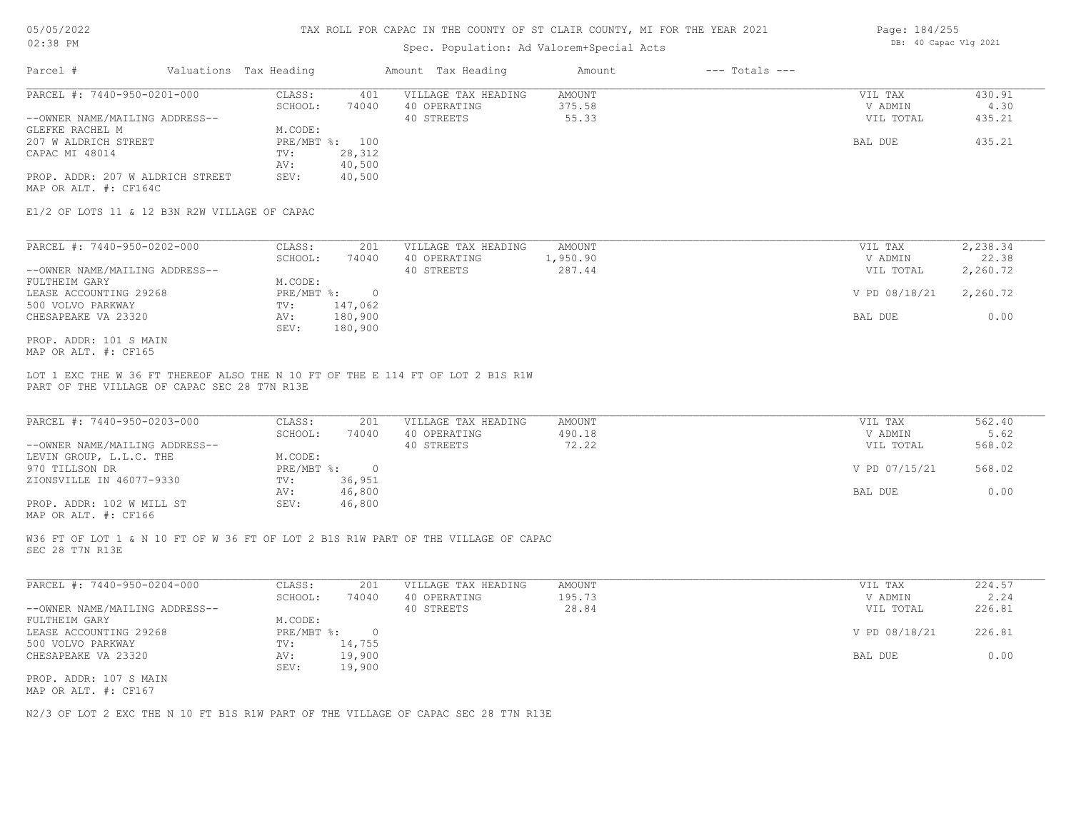## Spec. Population: Ad Valorem+Special Acts

| $---$ Totals $---$<br>Valuations Tax Heading<br>Amount Tax Heading<br>Amount             |        |
|------------------------------------------------------------------------------------------|--------|
| PARCEL #: 7440-950-0201-000<br>VILLAGE TAX HEADING<br>CLASS:<br>AMOUNT<br>401<br>VIL TAX | 430.91 |
| 74040<br>375.58<br>SCHOOL:<br>40 OPERATING<br>V ADMIN                                    | 4.30   |
| --OWNER NAME/MAILING ADDRESS--<br>55.33<br>VIL TOTAL<br>40 STREETS                       | 435.21 |
| M.CODE:<br>GLEFKE RACHEL M                                                               |        |
| PRE/MBT %: 100<br>207 W ALDRICH STREET<br>BAL DUE                                        | 435.21 |
| 28,312<br>CAPAC MI 48014<br>TV:                                                          |        |
| 40,500<br>AV:                                                                            |        |
| PROP. ADDR: 207 W ALDRICH STREET<br>SEV:<br>40,500                                       |        |

MAP OR ALT. #: CF164C

E1/2 OF LOTS 11 & 12 B3N R2W VILLAGE OF CAPAC

| PARCEL #: 7440-950-0202-000    | 201<br>VILLAGE TAX HEADING<br>CLASS:<br>AMOUNT | 2,238.34<br>VIL TAX       |
|--------------------------------|------------------------------------------------|---------------------------|
|                                | 74040<br>1,950.90<br>SCHOOL:<br>40 OPERATING   | 22.38<br>V ADMIN          |
| --OWNER NAME/MAILING ADDRESS-- | 287.44<br>40 STREETS                           | 2,260.72<br>VIL TOTAL     |
| FULTHEIM GARY                  | M.CODE:                                        |                           |
| LEASE ACCOUNTING 29268         | PRE/MBT %:                                     | V PD 08/18/21<br>2,260.72 |
| 500 VOLVO PARKWAY              | 147,062<br>TV:                                 |                           |
| CHESAPEAKE VA 23320            | 180,900<br>AV:                                 | 0.00<br>BAL DUE           |
|                                | 180,900<br>SEV:                                |                           |
| PROP. ADDR: 101 S MAIN         |                                                |                           |

MAP OR ALT. #: CF165

PART OF THE VILLAGE OF CAPAC SEC 28 T7N R13E LOT 1 EXC THE W 36 FT THEREOF ALSO THE N 10 FT OF THE E 114 FT OF LOT 2 B1S R1W

| PARCEL #: 7440-950-0203-000    | CLASS:       | 201    | VILLAGE TAX HEADING | AMOUNT | VIL TAX       | 562.40 |
|--------------------------------|--------------|--------|---------------------|--------|---------------|--------|
|                                | SCHOOL:      | 74040  | 40 OPERATING        | 490.18 | V ADMIN       | 5.62   |
| --OWNER NAME/MAILING ADDRESS-- |              |        | 40 STREETS          | 72.22  | VIL TOTAL     | 568.02 |
| LEVIN GROUP, L.L.C. THE        | M.CODE:      |        |                     |        |               |        |
| 970 TILLSON DR                 | $PRE/MBT$ %: |        |                     |        | V PD 07/15/21 | 568.02 |
| ZIONSVILLE IN 46077-9330       | TV:          | 36,951 |                     |        |               |        |
|                                | AV:          | 46,800 |                     |        | BAL DUE       | 0.00   |
| PROP. ADDR: 102 W MILL ST      | SEV:         | 46,800 |                     |        |               |        |
|                                |              |        |                     |        |               |        |

MAP OR ALT. #: CF166

SEC 28 T7N R13E W36 FT OF LOT 1 & N 10 FT OF W 36 FT OF LOT 2 B1S R1W PART OF THE VILLAGE OF CAPAC

| PARCEL #: 7440-950-0204-000    | CLASS:       | 201    | VILLAGE TAX HEADING | AMOUNT | VIL TAX       | 224.57 |
|--------------------------------|--------------|--------|---------------------|--------|---------------|--------|
|                                | SCHOOL:      | 74040  | 40 OPERATING        | 195.73 | V ADMIN       | 2.24   |
| --OWNER NAME/MAILING ADDRESS-- |              |        | 40 STREETS          | 28.84  | VIL TOTAL     | 226.81 |
| FULTHEIM GARY                  | M.CODE:      |        |                     |        |               |        |
| LEASE ACCOUNTING 29268         | $PRE/MBT$ %: |        |                     |        | V PD 08/18/21 | 226.81 |
| 500 VOLVO PARKWAY              | TV:          | 14,755 |                     |        |               |        |
| CHESAPEAKE VA 23320            | AV:          | 19,900 |                     |        | BAL DUE       | 0.00   |
|                                | SEV:         | 19,900 |                     |        |               |        |
| PROP. ADDR: 107 S MAIN         |              |        |                     |        |               |        |

MAP OR ALT. #: CF167

N2/3 OF LOT 2 EXC THE N 10 FT B1S R1W PART OF THE VILLAGE OF CAPAC SEC 28 T7N R13E

Page: 184/255 DB: 40 Capac Vlg 2021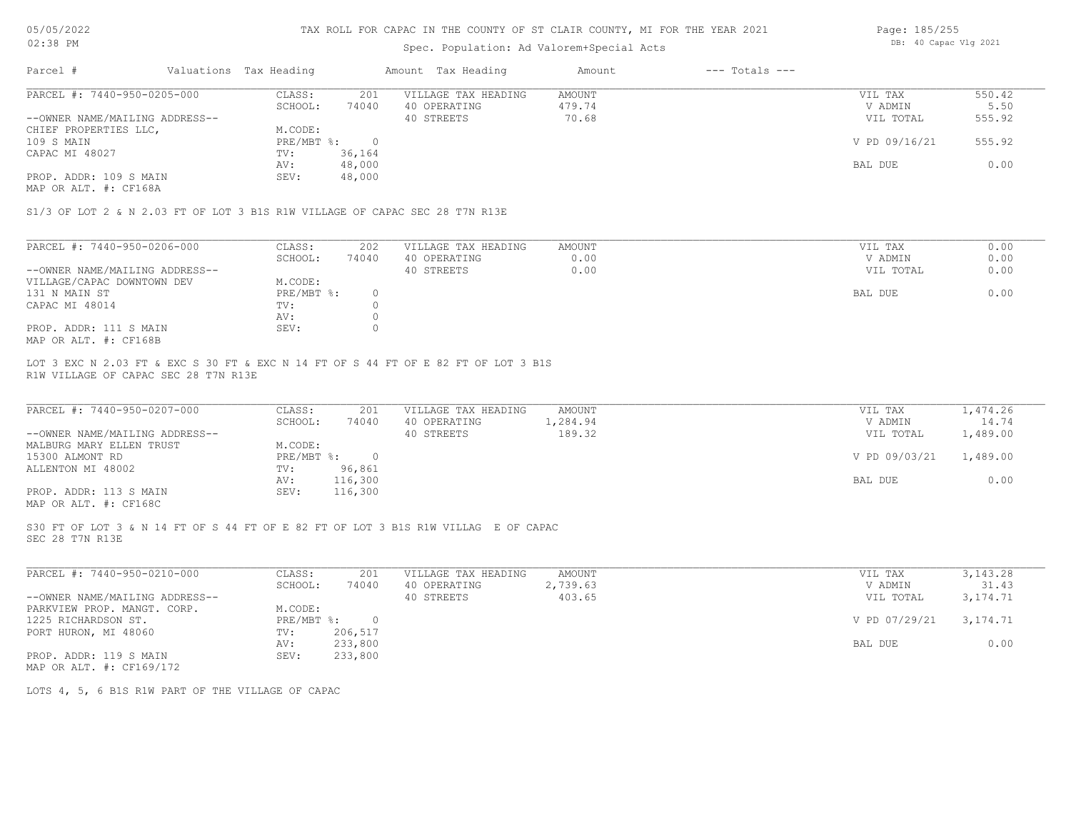## Spec. Population: Ad Valorem+Special Acts

| Page: 185/255 |                       |  |
|---------------|-----------------------|--|
|               | DB: 40 Capac Vlg 2021 |  |

| Parcel #                       | Valuations Tax Heading |        | Amount Tax Heading  | Amount | $---$ Totals $---$ |               |        |
|--------------------------------|------------------------|--------|---------------------|--------|--------------------|---------------|--------|
| PARCEL #: 7440-950-0205-000    | CLASS:                 | 201    | VILLAGE TAX HEADING | AMOUNT |                    | VIL TAX       | 550.42 |
|                                | SCHOOL:                | 74040  | 40 OPERATING        | 479.74 |                    | V ADMIN       | 5.50   |
| --OWNER NAME/MAILING ADDRESS-- |                        |        | 40 STREETS          | 70.68  |                    | VIL TOTAL     | 555.92 |
| CHIEF PROPERTIES LLC,          | M.CODE:                |        |                     |        |                    |               |        |
| 109 S MAIN                     | PRE/MBT %:             |        |                     |        |                    | V PD 09/16/21 | 555.92 |
| CAPAC MI 48027                 | TV:                    | 36,164 |                     |        |                    |               |        |
|                                | AV:                    | 48,000 |                     |        |                    | BAL DUE       | 0.00   |
| PROP. ADDR: 109 S MAIN         | SEV:                   | 48,000 |                     |        |                    |               |        |
|                                |                        |        |                     |        |                    |               |        |

MAP OR ALT. #: CF168A

S1/3 OF LOT 2 & N 2.03 FT OF LOT 3 B1S R1W VILLAGE OF CAPAC SEC 28 T7N R13E

| PARCEL #: 7440-950-0206-000    | CLASS:     | 202   | VILLAGE TAX HEADING | AMOUNT | VIL TAX   | 0.00 |
|--------------------------------|------------|-------|---------------------|--------|-----------|------|
|                                | SCHOOL:    | 74040 | 40 OPERATING        | 0.00   | V ADMIN   | 0.00 |
| --OWNER NAME/MAILING ADDRESS-- |            |       | 40 STREETS          | 0.00   | VIL TOTAL | 0.00 |
| VILLAGE/CAPAC DOWNTOWN DEV     | M.CODE:    |       |                     |        |           |      |
| 131 N MAIN ST                  | PRE/MBT %: |       |                     |        | BAL DUE   | 0.00 |
| CAPAC MI 48014                 | TV:        |       |                     |        |           |      |
|                                | AV:        |       |                     |        |           |      |
| PROP. ADDR: 111 S MAIN         | SEV:       |       |                     |        |           |      |
| MAP OR ALT. #: CF168B          |            |       |                     |        |           |      |

R1W VILLAGE OF CAPAC SEC 28 T7N R13E LOT 3 EXC N 2.03 FT & EXC S 30 FT & EXC N 14 FT OF S 44 FT OF E 82 FT OF LOT 3 B1S

| PARCEL #: 7440-950-0207-000                           | CLASS:     | 201     | VILLAGE TAX HEADING | AMOUNT   | VIL TAX       | 1,474.26 |
|-------------------------------------------------------|------------|---------|---------------------|----------|---------------|----------|
|                                                       | SCHOOL:    | 74040   | 40 OPERATING        | 1,284.94 | V ADMIN       | 14.74    |
| --OWNER NAME/MAILING ADDRESS--                        |            |         | 40 STREETS          | 189.32   | VIL TOTAL     | 1,489.00 |
| MALBURG MARY ELLEN TRUST                              | M.CODE:    |         |                     |          |               |          |
| 15300 ALMONT RD                                       | PRE/MBT %: | $\cap$  |                     |          | V PD 09/03/21 | 1,489.00 |
| ALLENTON MI 48002                                     | TV:        | 96,861  |                     |          |               |          |
|                                                       | AV:        | 116,300 |                     |          | BAL DUE       | 0.00     |
| PROP. ADDR: 113 S MAIN                                | SEV:       | 116,300 |                     |          |               |          |
| $\cdots$ $\cdots$ $\cdots$ $\cdots$ $\cdots$ $\cdots$ |            |         |                     |          |               |          |

 $\_$  , and the state of the state of the state of the state of the state of the state of the state of the state of the state of the state of the state of the state of the state of the state of the state of the state of the

MAP OR ALT. #: CF168C

SEC 28 T7N R13E S30 FT OF LOT 3 & N 14 FT OF S 44 FT OF E 82 FT OF LOT 3 B1S R1W VILLAG E OF CAPAC

| PARCEL #: 7440-950-0210-000    | CLASS:     | 201     | VILLAGE TAX HEADING | AMOUNT   | VIL TAX       | 3, 143. 28 |
|--------------------------------|------------|---------|---------------------|----------|---------------|------------|
|                                | SCHOOL:    | 74040   | 40 OPERATING        | 2,739.63 | V ADMIN       | 31.43      |
| --OWNER NAME/MAILING ADDRESS-- |            |         | 40 STREETS          | 403.65   | VIL TOTAL     | 3,174.71   |
| PARKVIEW PROP. MANGT. CORP.    | M.CODE:    |         |                     |          |               |            |
| 1225 RICHARDSON ST.            | PRE/MBT %: | $\cap$  |                     |          | V PD 07/29/21 | 3,174.71   |
| PORT HURON, MI 48060           | TV:        | 206,517 |                     |          |               |            |
|                                | AV:        | 233,800 |                     |          | BAL DUE       | 0.00       |
| PROP. ADDR: 119 S MAIN         | SEV:       | 233,800 |                     |          |               |            |
| MAP OR ALT. #: CF169/172       |            |         |                     |          |               |            |

LOTS 4, 5, 6 B1S R1W PART OF THE VILLAGE OF CAPAC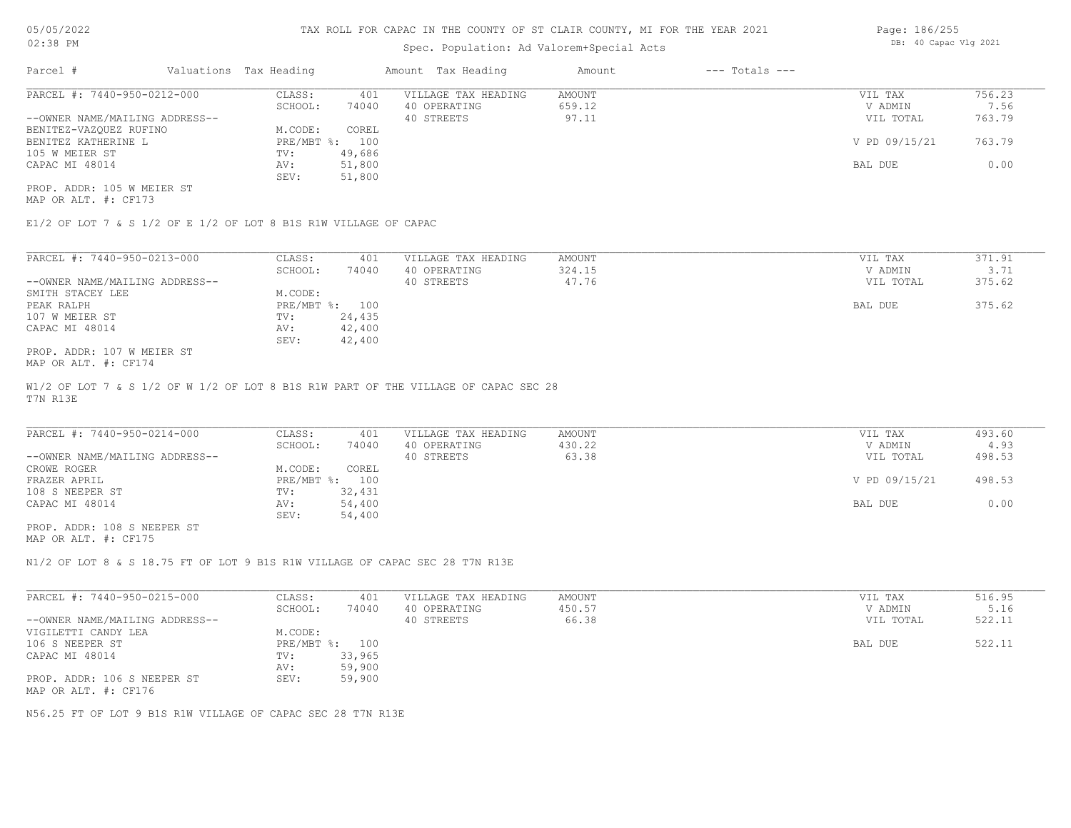### Spec. Population: Ad Valorem+Special Acts

| Page: 186/255 |                       |  |
|---------------|-----------------------|--|
|               | DB: 40 Capac Vlg 2021 |  |

| Parcel #                       | Valuations Tax Heading |        | Amount Tax Heading  | Amount | $---$ Totals $---$ |               |        |
|--------------------------------|------------------------|--------|---------------------|--------|--------------------|---------------|--------|
| PARCEL #: 7440-950-0212-000    | CLASS:                 | 401    | VILLAGE TAX HEADING | AMOUNT |                    | VIL TAX       | 756.23 |
|                                | SCHOOL:                | 74040  | 40 OPERATING        | 659.12 |                    | V ADMIN       | 7.56   |
| --OWNER NAME/MAILING ADDRESS-- |                        |        | 40 STREETS          | 97.11  |                    | VIL TOTAL     | 763.79 |
| BENITEZ-VAZQUEZ RUFINO         | M.CODE:                | COREL  |                     |        |                    |               |        |
| BENITEZ KATHERINE L            | PRE/MBT %: 100         |        |                     |        |                    | V PD 09/15/21 | 763.79 |
| 105 W MEIER ST                 | TV:                    | 49,686 |                     |        |                    |               |        |
| CAPAC MI 48014                 | AV:                    | 51,800 |                     |        |                    | BAL DUE       | 0.00   |
|                                | SEV:                   | 51,800 |                     |        |                    |               |        |
| PROP. ADDR: 105 W MEIER ST     |                        |        |                     |        |                    |               |        |

MAP OR ALT. #: CF173

E1/2 OF LOT 7 & S 1/2 OF E 1/2 OF LOT 8 B1S R1W VILLAGE OF CAPAC

| PARCEL #: 7440-950-0213-000    | CLASS:     | 401    | VILLAGE TAX HEADING | AMOUNT | VIL TAX   | 371.91 |
|--------------------------------|------------|--------|---------------------|--------|-----------|--------|
|                                | SCHOOL:    | 74040  | 40 OPERATING        | 324.15 | V ADMIN   | 3.71   |
| --OWNER NAME/MAILING ADDRESS-- |            |        | 40 STREETS          | 47.76  | VIL TOTAL | 375.62 |
| SMITH STACEY LEE               | M.CODE:    |        |                     |        |           |        |
| PEAK RALPH                     | PRE/MBT %: | 100    |                     |        | BAL DUE   | 375.62 |
| 107 W MEIER ST                 | TV:        | 24,435 |                     |        |           |        |
| CAPAC MI 48014                 | AV:        | 42,400 |                     |        |           |        |
|                                | SEV:       | 42,400 |                     |        |           |        |
| PROP. ADDR: 107 W MEIER ST     |            |        |                     |        |           |        |

MAP OR ALT. #: CF174

T7N R13E W1/2 OF LOT 7 & S 1/2 OF W 1/2 OF LOT 8 B1S R1W PART OF THE VILLAGE OF CAPAC SEC 28

| PARCEL #: 7440-950-0214-000    | CLASS:  | 401            | VILLAGE TAX HEADING | AMOUNT | VIL TAX       | 493.60 |
|--------------------------------|---------|----------------|---------------------|--------|---------------|--------|
|                                | SCHOOL: | 74040          | 40 OPERATING        | 430.22 | V ADMIN       | 4.93   |
| --OWNER NAME/MAILING ADDRESS-- |         |                | 40 STREETS          | 63.38  | VIL TOTAL     | 498.53 |
| CROWE ROGER                    | M.CODE: | COREL          |                     |        |               |        |
| FRAZER APRIL                   |         | PRE/MBT %: 100 |                     |        | V PD 09/15/21 | 498.53 |
| 108 S NEEPER ST                | TV:     | 32,431         |                     |        |               |        |
| CAPAC MI 48014                 | AV:     | 54,400         |                     |        | BAL DUE       | 0.00   |
|                                | SEV:    | 54,400         |                     |        |               |        |
| PROP. ADDR: 108 S NEEPER ST    |         |                |                     |        |               |        |

MAP OR ALT. #: CF175

N1/2 OF LOT 8 & S 18.75 FT OF LOT 9 B1S R1W VILLAGE OF CAPAC SEC 28 T7N R13E

| PARCEL #: 7440-950-0215-000    | CLASS:     | 401    | VILLAGE TAX HEADING | AMOUNT | VIL TAX   | 516.95 |
|--------------------------------|------------|--------|---------------------|--------|-----------|--------|
|                                | SCHOOL:    | 74040  | 40 OPERATING        | 450.57 | V ADMIN   | 5.16   |
| --OWNER NAME/MAILING ADDRESS-- |            |        | 40 STREETS          | 66.38  | VIL TOTAL | 522.11 |
| VIGILETTI CANDY LEA            | M.CODE:    |        |                     |        |           |        |
| 106 S NEEPER ST                | PRE/MBT %: | 100    |                     |        | BAL DUE   | 522.11 |
| CAPAC MI 48014                 | TV:        | 33,965 |                     |        |           |        |
|                                | AV:        | 59,900 |                     |        |           |        |
| PROP. ADDR: 106 S NEEPER ST    | SEV:       | 59,900 |                     |        |           |        |
| MAP OR ALT. #: CF176           |            |        |                     |        |           |        |

N56.25 FT OF LOT 9 B1S R1W VILLAGE OF CAPAC SEC 28 T7N R13E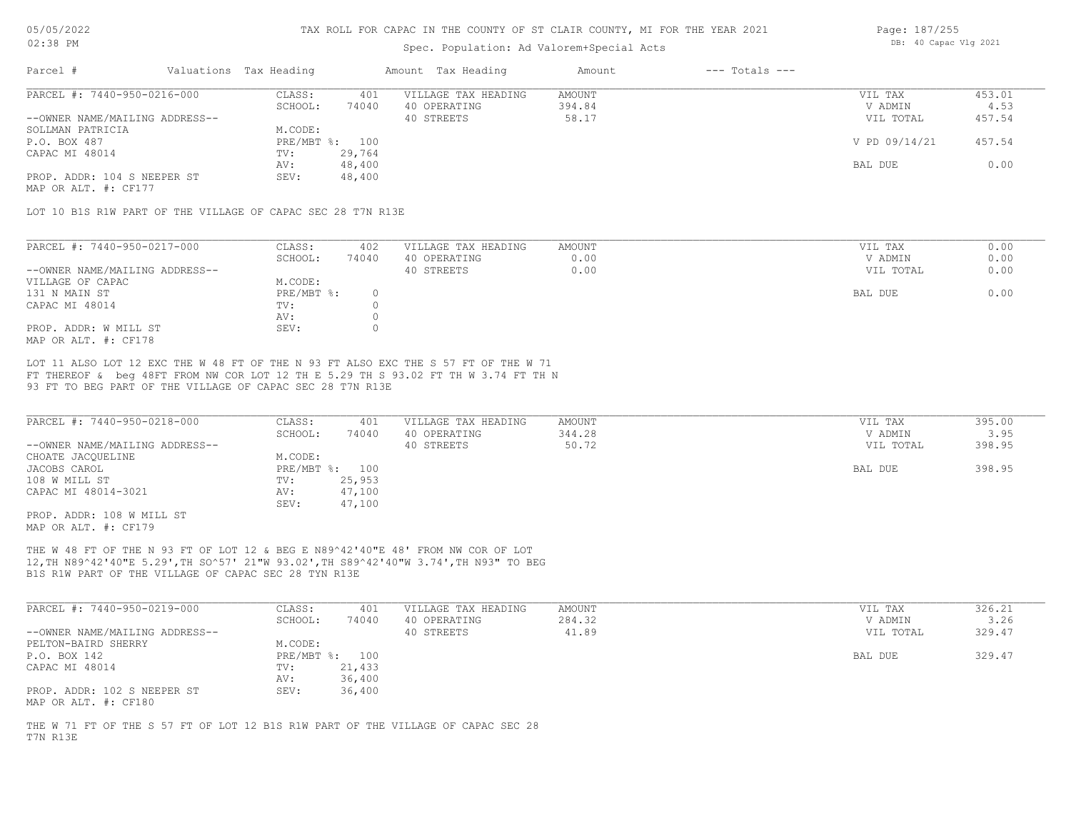## Spec. Population: Ad Valorem+Special Acts

| Page: 187/255 |                       |  |
|---------------|-----------------------|--|
|               | DB: 40 Capac Vlg 2021 |  |

| Parcel #                       | Valuations Tax Heading |        | Amount Tax Heading  | Amount | $---$ Totals $---$ |               |        |
|--------------------------------|------------------------|--------|---------------------|--------|--------------------|---------------|--------|
| PARCEL #: 7440-950-0216-000    | CLASS:                 | 401    | VILLAGE TAX HEADING | AMOUNT |                    | VIL TAX       | 453.01 |
|                                | SCHOOL:                | 74040  | 40 OPERATING        | 394.84 |                    | V ADMIN       | 4.53   |
| --OWNER NAME/MAILING ADDRESS-- |                        |        | 40 STREETS          | 58.17  |                    | VIL TOTAL     | 457.54 |
| SOLLMAN PATRICIA               | M.CODE:                |        |                     |        |                    |               |        |
| P.O. BOX 487                   | PRE/MBT %: 100         |        |                     |        |                    | V PD 09/14/21 | 457.54 |
| CAPAC MI 48014                 | TV:                    | 29,764 |                     |        |                    |               |        |
|                                | AV:                    | 48,400 |                     |        |                    | BAL DUE       | 0.00   |
| PROP. ADDR: 104 S NEEPER ST    | SEV:                   | 48,400 |                     |        |                    |               |        |
|                                |                        |        |                     |        |                    |               |        |

MAP OR ALT. #: CF177

LOT 10 B1S R1W PART OF THE VILLAGE OF CAPAC SEC 28 T7N R13E

| PARCEL #: 7440-950-0217-000    | CLASS:     | 402   | VILLAGE TAX HEADING | AMOUNT | VIL TAX   | 0.00 |
|--------------------------------|------------|-------|---------------------|--------|-----------|------|
|                                | SCHOOL:    | 74040 | 40 OPERATING        | 0.00   | V ADMIN   | 0.00 |
| --OWNER NAME/MAILING ADDRESS-- |            |       | 40 STREETS          | 0.00   | VIL TOTAL | 0.00 |
| VILLAGE OF CAPAC               | M.CODE:    |       |                     |        |           |      |
| 131 N MAIN ST                  | PRE/MBT %: |       |                     |        | BAL DUE   | 0.00 |
| CAPAC MI 48014                 | TV:        |       |                     |        |           |      |
|                                | AV:        |       |                     |        |           |      |
| PROP. ADDR: W MILL ST          | SEV:       |       |                     |        |           |      |
| MAP OR ALT. #: CF178           |            |       |                     |        |           |      |

93 FT TO BEG PART OF THE VILLAGE OF CAPAC SEC 28 T7N R13E FT THEREOF & beg 48FT FROM NW COR LOT 12 TH E 5.29 TH S 93.02 FT TH W 3.74 FT TH N LOT 11 ALSO LOT 12 EXC THE W 48 FT OF THE N 93 FT ALSO EXC THE S 57 FT OF THE W 71

| PARCEL #: 7440-950-0218-000    | CLASS:       | 401    | VILLAGE TAX HEADING | AMOUNT | VIL TAX   | 395.00 |
|--------------------------------|--------------|--------|---------------------|--------|-----------|--------|
|                                | SCHOOL:      | 74040  | 40 OPERATING        | 344.28 | V ADMIN   | 3.95   |
| --OWNER NAME/MAILING ADDRESS-- |              |        | 40 STREETS          | 50.72  | VIL TOTAL | 398.95 |
| CHOATE JACQUELINE              | M.CODE:      |        |                     |        |           |        |
| JACOBS CAROL                   | $PRE/MBT$ %: | 100    |                     |        | BAL DUE   | 398.95 |
| 108 W MILL ST                  | TV:          | 25,953 |                     |        |           |        |
| CAPAC MI 48014-3021            | AV:          | 47,100 |                     |        |           |        |
|                                | SEV:         | 47,100 |                     |        |           |        |
| PROP. ADDR: 108 W MILL ST      |              |        |                     |        |           |        |

MAP OR ALT. #: CF179

B1S R1W PART OF THE VILLAGE OF CAPAC SEC 28 TYN R13E 12,TH N89^42'40"E 5.29',TH SO^57' 21"W 93.02',TH S89^42'40"W 3.74',TH N93" TO BEG THE W 48 FT OF THE N 93 FT OF LOT 12 & BEG E N89^42'40"E 48' FROM NW COR OF LOT

| PARCEL #: 7440-950-0219-000                         | CLASS:  | 401            | VILLAGE TAX HEADING | AMOUNT | VIL TAX   | 326.21 |
|-----------------------------------------------------|---------|----------------|---------------------|--------|-----------|--------|
|                                                     | SCHOOL: | 74040          | 40 OPERATING        | 284.32 | V ADMIN   | 3.26   |
| --OWNER NAME/MAILING ADDRESS--                      |         |                | 40 STREETS          | 41.89  | VIL TOTAL | 329.47 |
| PELTON-BAIRD SHERRY                                 | M.CODE: |                |                     |        |           |        |
| P.O. BOX 142                                        |         | PRE/MBT %: 100 |                     |        | BAL DUE   | 329.47 |
| CAPAC MI 48014                                      | TV:     | 21,433         |                     |        |           |        |
|                                                     | AV:     | 36,400         |                     |        |           |        |
| PROP. ADDR: 102 S NEEPER ST<br>MAP OR ALT. #: CF180 | SEV:    | 36,400         |                     |        |           |        |

T7N R13E THE W 71 FT OF THE S 57 FT OF LOT 12 B1S R1W PART OF THE VILLAGE OF CAPAC SEC 28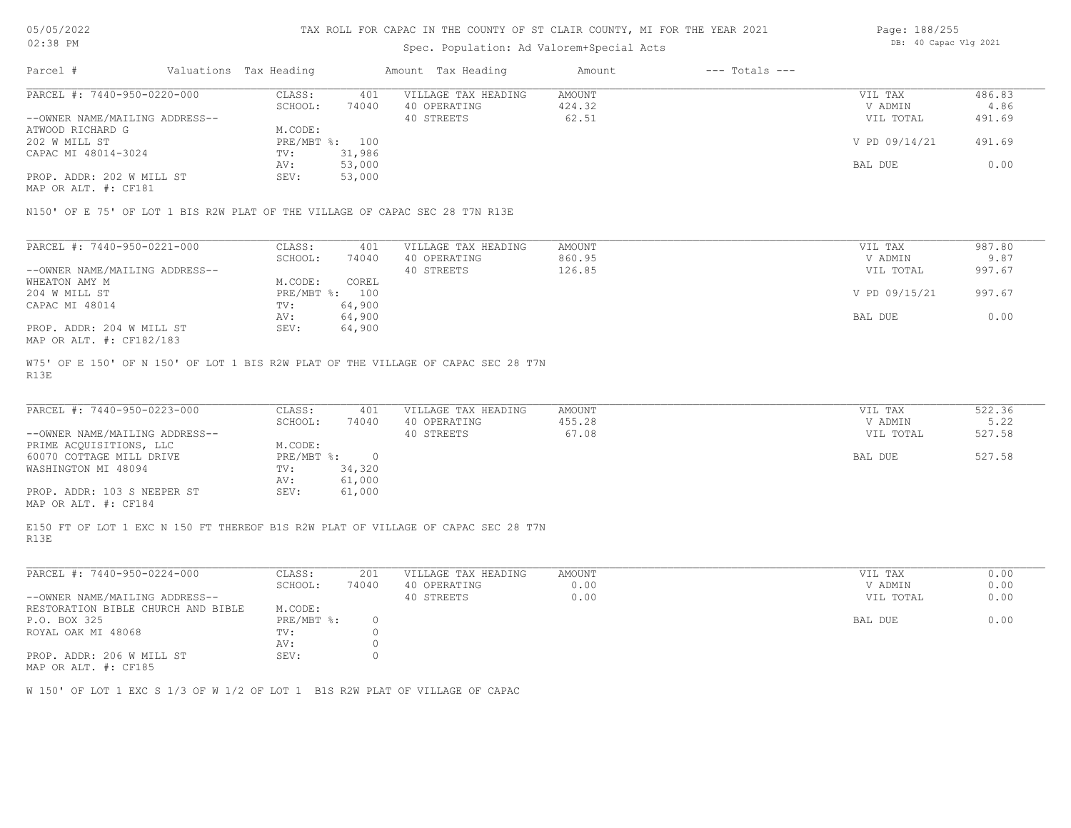# Spec. Population: Ad Valorem+Special Acts

| Page: 188/255 |                       |  |
|---------------|-----------------------|--|
|               | DB: 40 Capac Vlg 2021 |  |

| $---$ Totals $---$<br>Parcel #<br>Valuations Tax Heading<br>Amount Tax Heading<br>Amount                                                                                                                                                                                                           |        |
|----------------------------------------------------------------------------------------------------------------------------------------------------------------------------------------------------------------------------------------------------------------------------------------------------|--------|
| PARCEL #: 7440-950-0220-000<br>CLASS:<br>VILLAGE TAX HEADING<br>AMOUNT<br>VIL TAX<br>401<br>424.32<br>SCHOOL:<br>74040<br>40 OPERATING<br>V ADMIN<br>62.51<br>40 STREETS<br>VIL TOTAL<br>M.CODE:<br>V PD 09/14/21<br>PRE/MBT %: 100<br>31,986<br>TV:<br>53,000<br>BAL DUE<br>AV:<br>53,000<br>SEV: | 486.83 |
|                                                                                                                                                                                                                                                                                                    | 4.86   |
| --OWNER NAME/MAILING ADDRESS--                                                                                                                                                                                                                                                                     | 491.69 |
| ATWOOD RICHARD G                                                                                                                                                                                                                                                                                   |        |
| 202 W MILL ST                                                                                                                                                                                                                                                                                      | 491.69 |
| CAPAC MI 48014-3024                                                                                                                                                                                                                                                                                |        |
|                                                                                                                                                                                                                                                                                                    | 0.00   |
| PROP. ADDR: 202 W MILL ST                                                                                                                                                                                                                                                                          |        |
| MAP OR ALT. #: CF181                                                                                                                                                                                                                                                                               |        |
|                                                                                                                                                                                                                                                                                                    |        |
| N150' OF E 75' OF LOT 1 BIS R2W PLAT OF THE VILLAGE OF CAPAC SEC 28 T7N R13E                                                                                                                                                                                                                       |        |
|                                                                                                                                                                                                                                                                                                    |        |
| $- - - - -$ " $- 110$ and another and<br>$\sim$ $\sim$ $\sim$<br>---- - ---                                                                                                                                                                                                                        | 0.0000 |

| PARCEL #: 7440-950-0221-000    | CLASS:     | 401    | VILLAGE TAX HEADING | AMOUNT | VIL TAX       | 987.80 |
|--------------------------------|------------|--------|---------------------|--------|---------------|--------|
|                                | SCHOOL:    | 74040  | 40 OPERATING        | 860.95 | V ADMIN       | 9.87   |
| --OWNER NAME/MAILING ADDRESS-- |            |        | 40 STREETS          | 126.85 | VIL TOTAL     | 997.67 |
| WHEATON AMY M                  | M.CODE:    | COREL  |                     |        |               |        |
| 204 W MILL ST                  | PRE/MBT %: | 100    |                     |        | V PD 09/15/21 | 997.67 |
| CAPAC MI 48014                 | TV:        | 64,900 |                     |        |               |        |
|                                | AV:        | 64,900 |                     |        | BAL DUE       | 0.00   |
| PROP. ADDR: 204 W MILL ST      | SEV:       | 64,900 |                     |        |               |        |
|                                |            |        |                     |        |               |        |

MAP OR ALT. #: CF182/183

R13E W75' OF E 150' OF N 150' OF LOT 1 BIS R2W PLAT OF THE VILLAGE OF CAPAC SEC 28 T7N

| PARCEL #: 7440-950-0223-000    | CLASS:       | 401    | VILLAGE TAX HEADING | AMOUNT | VIL TAX   | 522.36 |
|--------------------------------|--------------|--------|---------------------|--------|-----------|--------|
|                                | SCHOOL:      | 74040  | 40 OPERATING        | 455.28 | V ADMIN   | 5.22   |
| --OWNER NAME/MAILING ADDRESS-- |              |        | 40 STREETS          | 67.08  | VIL TOTAL | 527.58 |
| PRIME ACQUISITIONS, LLC        | M.CODE:      |        |                     |        |           |        |
| 60070 COTTAGE MILL DRIVE       | $PRE/MBT$ %: |        |                     |        | BAL DUE   | 527.58 |
| WASHINGTON MI 48094            | TV:          | 34,320 |                     |        |           |        |
|                                | AV:          | 61,000 |                     |        |           |        |
| PROP. ADDR: 103 S NEEPER ST    | SEV:         | 61,000 |                     |        |           |        |
| MAP OR ALT. #: CF184           |              |        |                     |        |           |        |

R13E E150 FT OF LOT 1 EXC N 150 FT THEREOF B1S R2W PLAT OF VILLAGE OF CAPAC SEC 28 T7N

| PARCEL #: 7440-950-0224-000                | CLASS:     | 201   | VILLAGE TAX HEADING | AMOUNT | 0.00<br>VIL TAX   |
|--------------------------------------------|------------|-------|---------------------|--------|-------------------|
|                                            | SCHOOL:    | 74040 | 40 OPERATING        | 0.00   | 0.00<br>V ADMIN   |
| --OWNER NAME/MAILING ADDRESS--             |            |       | 40 STREETS          | 0.00   | 0.00<br>VIL TOTAL |
| RESTORATION BIBLE CHURCH AND BIBLE         | M.CODE:    |       |                     |        |                   |
| P.O. BOX 325                               | PRE/MBT %: | n.    |                     |        | BAL DUE<br>0.00   |
| ROYAL OAK MI 48068                         | TV:        |       |                     |        |                   |
|                                            | AV:        |       |                     |        |                   |
| PROP. ADDR: 206 W MILL ST<br>$\frac{1}{2}$ | SEV:       |       |                     |        |                   |

MAP OR ALT. #: CF185

W 150' OF LOT 1 EXC S 1/3 OF W 1/2 OF LOT 1 B1S R2W PLAT OF VILLAGE OF CAPAC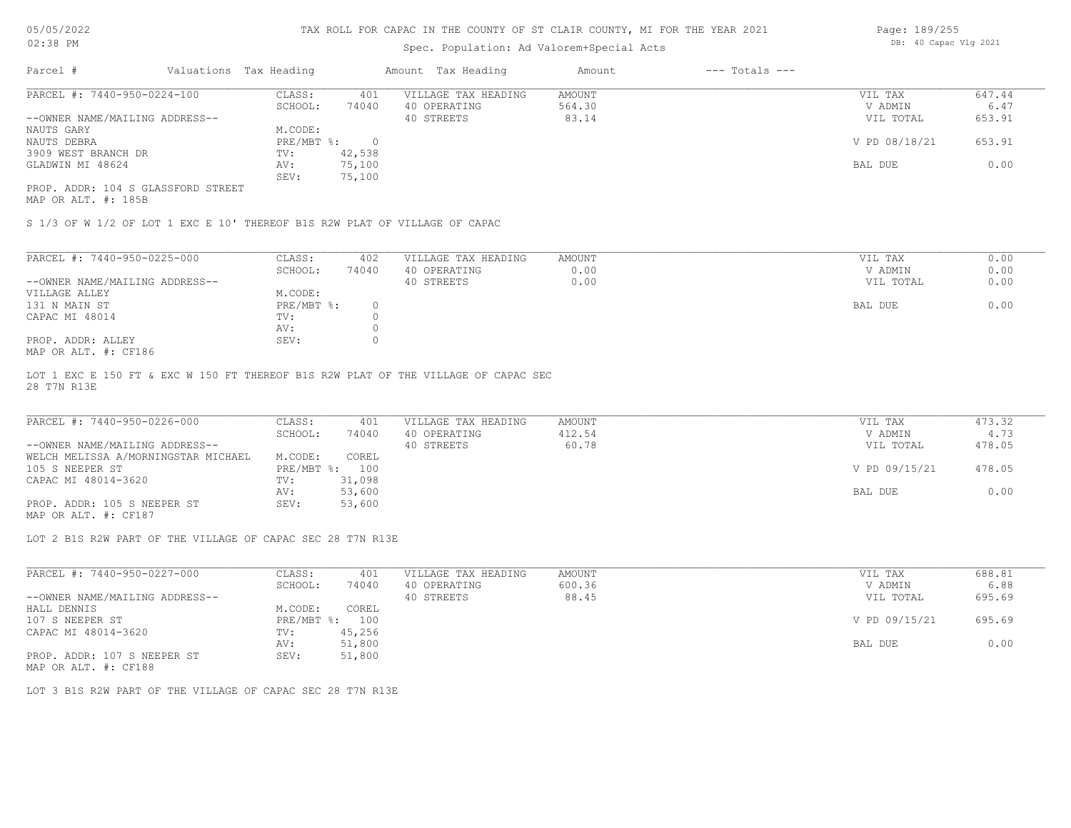## Spec. Population: Ad Valorem+Special Acts

| Page: 189/255 |                       |  |
|---------------|-----------------------|--|
|               | DB: 40 Capac Vlg 2021 |  |

| Parcel #                           | Valuations Tax Heading |        | Amount Tax Heading  | Amount | $---$ Totals $---$ |               |        |
|------------------------------------|------------------------|--------|---------------------|--------|--------------------|---------------|--------|
| PARCEL #: 7440-950-0224-100        | CLASS:                 | 401    | VILLAGE TAX HEADING | AMOUNT |                    | VIL TAX       | 647.44 |
|                                    | SCHOOL:                | 74040  | 40 OPERATING        | 564.30 |                    | V ADMIN       | 6.47   |
| --OWNER NAME/MAILING ADDRESS--     |                        |        | 40 STREETS          | 83.14  |                    | VIL TOTAL     | 653.91 |
| NAUTS GARY                         | M.CODE:                |        |                     |        |                    |               |        |
| NAUTS DEBRA                        | PRE/MBT %:             |        |                     |        |                    | V PD 08/18/21 | 653.91 |
| 3909 WEST BRANCH DR                | TV:                    | 42,538 |                     |        |                    |               |        |
| GLADWIN MI 48624                   | AV:                    | 75,100 |                     |        |                    | BAL DUE       | 0.00   |
|                                    | SEV:                   | 75,100 |                     |        |                    |               |        |
| PROP. ADDR: 104 S GLASSFORD STREET |                        |        |                     |        |                    |               |        |

MAP OR ALT. #: 185B

S 1/3 OF W 1/2 OF LOT 1 EXC E 10' THEREOF B1S R2W PLAT OF VILLAGE OF CAPAC

| PARCEL #: 7440-950-0225-000    | CLASS:     | 402   | VILLAGE TAX HEADING | AMOUNT | VIL TAX           | 0.00 |
|--------------------------------|------------|-------|---------------------|--------|-------------------|------|
|                                | SCHOOL:    | 74040 | 40 OPERATING        | 0.00   | 0.00<br>V ADMIN   |      |
| --OWNER NAME/MAILING ADDRESS-- |            |       | 40 STREETS          | 0.00   | 0.00<br>VIL TOTAL |      |
| VILLAGE ALLEY                  | M.CODE:    |       |                     |        |                   |      |
| 131 N MAIN ST                  | PRE/MBT %: |       |                     |        | 0.00<br>BAL DUE   |      |
| CAPAC MI 48014                 | TV:        |       |                     |        |                   |      |
|                                | AV:        |       |                     |        |                   |      |
| PROP. ADDR: ALLEY              | SEV:       |       |                     |        |                   |      |
| $MAD$ $CD$ $ATH$ $L$ $CD10C$   |            |       |                     |        |                   |      |

MAP OR ALT. #: CF186

28 T7N R13E LOT 1 EXC E 150 FT & EXC W 150 FT THEREOF B1S R2W PLAT OF THE VILLAGE OF CAPAC SEC

| PARCEL #: 7440-950-0226-000         | CLASS:  | 401            | VILLAGE TAX HEADING | AMOUNT | VIL TAX       | 473.32 |
|-------------------------------------|---------|----------------|---------------------|--------|---------------|--------|
|                                     | SCHOOL: | 74040          | 40 OPERATING        | 412.54 | V ADMIN       | 4.73   |
| --OWNER NAME/MAILING ADDRESS--      |         |                | 40 STREETS          | 60.78  | VIL TOTAL     | 478.05 |
| WELCH MELISSA A/MORNINGSTAR MICHAEL | M.CODE: | COREL          |                     |        |               |        |
| 105 S NEEPER ST                     |         | PRE/MBT %: 100 |                     |        | V PD 09/15/21 | 478.05 |
| CAPAC MI 48014-3620                 | TV:     | 31,098         |                     |        |               |        |
|                                     | AV:     | 53,600         |                     |        | BAL DUE       | 0.00   |
| PROP. ADDR: 105 S NEEPER ST         | SEV:    | 53,600         |                     |        |               |        |

MAP OR ALT. #: CF187

LOT 2 B1S R2W PART OF THE VILLAGE OF CAPAC SEC 28 T7N R13E

| PARCEL #: 7440-950-0227-000    | CLASS:     | 401    | VILLAGE TAX HEADING | AMOUNT | VIL TAX       | 688.81 |
|--------------------------------|------------|--------|---------------------|--------|---------------|--------|
|                                | SCHOOL:    | 74040  | 40 OPERATING        | 600.36 | V ADMIN       | 6.88   |
| --OWNER NAME/MAILING ADDRESS-- |            |        | 40 STREETS          | 88.45  | VIL TOTAL     | 695.69 |
| HALL DENNIS                    | M.CODE:    | COREL  |                     |        |               |        |
| 107 S NEEPER ST                | PRE/MBT %: | 100    |                     |        | V PD 09/15/21 | 695.69 |
| CAPAC MI 48014-3620            | TV:        | 45,256 |                     |        |               |        |
|                                | AV:        | 51,800 |                     |        | BAL DUE       | 0.00   |
| PROP. ADDR: 107 S NEEPER ST    | SEV:       | 51,800 |                     |        |               |        |

MAP OR ALT. #: CF188

LOT 3 B1S R2W PART OF THE VILLAGE OF CAPAC SEC 28 T7N R13E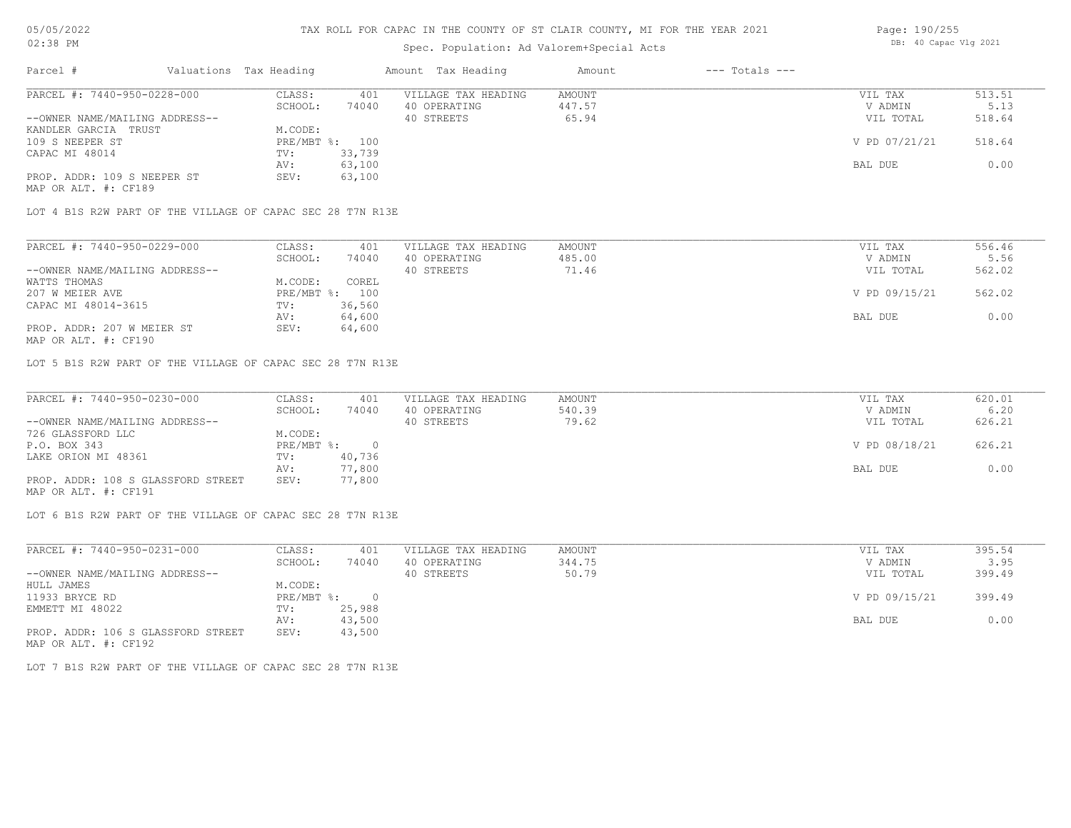# Spec. Population: Ad Valorem+Special Acts

| Page: 190/255 |                       |  |  |  |  |  |
|---------------|-----------------------|--|--|--|--|--|
|               | DB: 40 Capac Vlg 2021 |  |  |  |  |  |

| Parcel #                       | Valuations Tax Heading |        | Amount Tax Heading  | Amount | $---$ Totals $---$ |               |        |
|--------------------------------|------------------------|--------|---------------------|--------|--------------------|---------------|--------|
| PARCEL #: 7440-950-0228-000    | CLASS:                 | 401    | VILLAGE TAX HEADING | AMOUNT |                    | VIL TAX       | 513.51 |
|                                | SCHOOL:                | 74040  | 40 OPERATING        | 447.57 |                    | V ADMIN       | 5.13   |
| --OWNER NAME/MAILING ADDRESS-- |                        |        | 40 STREETS          | 65.94  |                    | VIL TOTAL     | 518.64 |
| KANDLER GARCIA TRUST           | M.CODE:                |        |                     |        |                    |               |        |
| 109 S NEEPER ST                | PRE/MBT %: 100         |        |                     |        |                    | V PD 07/21/21 | 518.64 |
| CAPAC MI 48014                 | TV:                    | 33,739 |                     |        |                    |               |        |
|                                | AV:                    | 63,100 |                     |        |                    | BAL DUE       | 0.00   |
| PROP. ADDR: 109 S NEEPER ST    | SEV:                   | 63,100 |                     |        |                    |               |        |
|                                |                        |        |                     |        |                    |               |        |

MAP OR ALT. #: CF189

LOT 4 B1S R2W PART OF THE VILLAGE OF CAPAC SEC 28 T7N R13E

| PARCEL #: 7440-950-0229-000    | CLASS:     | 401    | VILLAGE TAX HEADING | AMOUNT | VIL TAX       | 556.46 |
|--------------------------------|------------|--------|---------------------|--------|---------------|--------|
|                                | SCHOOL:    | 74040  | 40 OPERATING        | 485.00 | V ADMIN       | 5.56   |
| --OWNER NAME/MAILING ADDRESS-- |            |        | 40 STREETS          | 71.46  | VIL TOTAL     | 562.02 |
| WATTS THOMAS                   | M.CODE:    | COREL  |                     |        |               |        |
| 207 W MEIER AVE                | PRE/MBT %: | 100    |                     |        | V PD 09/15/21 | 562.02 |
| CAPAC MI 48014-3615            | TV:        | 36,560 |                     |        |               |        |
|                                | AV:        | 64,600 |                     |        | BAL DUE       | 0.00   |
| PROP. ADDR: 207 W MEIER ST     | SEV:       | 64,600 |                     |        |               |        |
|                                |            |        |                     |        |               |        |

MAP OR ALT. #: CF190

LOT 5 B1S R2W PART OF THE VILLAGE OF CAPAC SEC 28 T7N R13E

| PARCEL #: 7440-950-0230-000        | CLASS:     | 401    | VILLAGE TAX HEADING | AMOUNT | VIL TAX       | 620.01 |
|------------------------------------|------------|--------|---------------------|--------|---------------|--------|
|                                    | SCHOOL:    | 74040  | 40 OPERATING        | 540.39 | V ADMIN       | 6.20   |
| --OWNER NAME/MAILING ADDRESS--     |            |        | 40 STREETS          | 79.62  | VIL TOTAL     | 626.21 |
| 726 GLASSFORD LLC                  | M.CODE:    |        |                     |        |               |        |
| P.O. BOX 343                       | PRE/MBT %: |        |                     |        | V PD 08/18/21 | 626.21 |
| LAKE ORION MI 48361                | TV:        | 40,736 |                     |        |               |        |
|                                    | AV:        | 77,800 |                     |        | BAL DUE       | 0.00   |
| PROP. ADDR: 108 S GLASSFORD STREET | SEV:       | 77,800 |                     |        |               |        |
| MAP OR ALT. #: CF191               |            |        |                     |        |               |        |

LOT 6 B1S R2W PART OF THE VILLAGE OF CAPAC SEC 28 T7N R13E

| PARCEL #: 7440-950-0231-000        | CLASS:     | 401    | VILLAGE TAX HEADING | AMOUNT | VIL TAX       | 395.54 |
|------------------------------------|------------|--------|---------------------|--------|---------------|--------|
|                                    | SCHOOL:    | 74040  | 40 OPERATING        | 344.75 | V ADMIN       | 3.95   |
| --OWNER NAME/MAILING ADDRESS--     |            |        | 40 STREETS          | 50.79  | VIL TOTAL     | 399.49 |
| HULL JAMES                         | M.CODE:    |        |                     |        |               |        |
| 11933 BRYCE RD                     | PRE/MBT %: | $\cap$ |                     |        | V PD 09/15/21 | 399.49 |
| EMMETT MI 48022                    | TV:        | 25,988 |                     |        |               |        |
|                                    | AV:        | 43,500 |                     |        | BAL DUE       | 0.00   |
| PROP. ADDR: 106 S GLASSFORD STREET | SEV:       | 43,500 |                     |        |               |        |
| MAP OR ALT. #: CF192               |            |        |                     |        |               |        |

LOT 7 B1S R2W PART OF THE VILLAGE OF CAPAC SEC 28 T7N R13E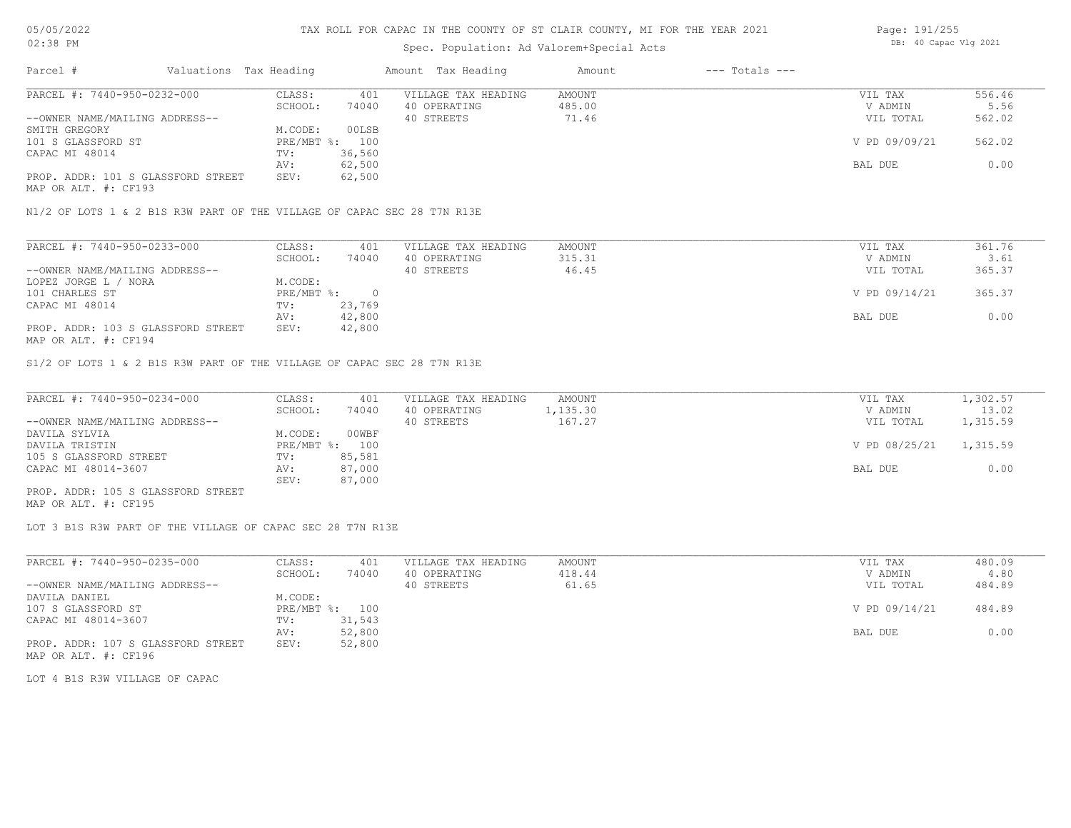# Spec. Population: Ad Valorem+Special Acts

| Page: 191/255 |                       |  |
|---------------|-----------------------|--|
|               | DB: 40 Capac Vlg 2021 |  |

| Parcel #                           | Valuations Tax Heading |        | Amount Tax Heading  | Amount | $---$ Totals $---$ |               |        |
|------------------------------------|------------------------|--------|---------------------|--------|--------------------|---------------|--------|
| PARCEL #: 7440-950-0232-000        | CLASS:                 | 401    | VILLAGE TAX HEADING | AMOUNT |                    | VIL TAX       | 556.46 |
|                                    | SCHOOL:                | 74040  | 40 OPERATING        | 485.00 |                    | V ADMIN       | 5.56   |
| --OWNER NAME/MAILING ADDRESS--     |                        |        | 40 STREETS          | 71.46  |                    | VIL TOTAL     | 562.02 |
| SMITH GREGORY                      | M.CODE:                | 00LSB  |                     |        |                    |               |        |
| 101 S GLASSFORD ST                 | PRE/MBT %: 100         |        |                     |        |                    | V PD 09/09/21 | 562.02 |
| CAPAC MI 48014                     | TV:                    | 36,560 |                     |        |                    |               |        |
|                                    | AV:                    | 62,500 |                     |        |                    | BAL DUE       | 0.00   |
| PROP. ADDR: 101 S GLASSFORD STREET | SEV:                   | 62,500 |                     |        |                    |               |        |
|                                    |                        |        |                     |        |                    |               |        |

MAP OR ALT. #: CF193

N1/2 OF LOTS 1 & 2 B1S R3W PART OF THE VILLAGE OF CAPAC SEC 28 T7N R13E

| PARCEL #: 7440-950-0233-000        | CLASS:     | 401    | VILLAGE TAX HEADING | AMOUNT | VIL TAX       | 361.76 |
|------------------------------------|------------|--------|---------------------|--------|---------------|--------|
|                                    | SCHOOL:    | 74040  | 40 OPERATING        | 315.31 | V ADMIN       | 3.61   |
| --OWNER NAME/MAILING ADDRESS--     |            |        | 40 STREETS          | 46.45  | VIL TOTAL     | 365.37 |
| LOPEZ JORGE L / NORA               | M.CODE:    |        |                     |        |               |        |
| 101 CHARLES ST                     | PRE/MBT %: |        |                     |        | V PD 09/14/21 | 365.37 |
| CAPAC MI 48014                     | TV:        | 23,769 |                     |        |               |        |
|                                    | AV:        | 42,800 |                     |        | BAL DUE       | 0.00   |
| PROP. ADDR: 103 S GLASSFORD STREET | SEV:       | 42,800 |                     |        |               |        |
| MAP OR ALT. #: CF194               |            |        |                     |        |               |        |

S1/2 OF LOTS 1 & 2 B1S R3W PART OF THE VILLAGE OF CAPAC SEC 28 T7N R13E

| PARCEL #: 7440-950-0234-000        | CLASS:  | 401            | VILLAGE TAX HEADING | AMOUNT   | VIL TAX       | 1,302.57 |
|------------------------------------|---------|----------------|---------------------|----------|---------------|----------|
|                                    | SCHOOL: | 74040          | 40 OPERATING        | 1,135.30 | V ADMIN       | 13.02    |
| --OWNER NAME/MAILING ADDRESS--     |         |                | 40 STREETS          | 167.27   | VIL TOTAL     | 1,315.59 |
| DAVILA SYLVIA                      | M.CODE: | 00WBF          |                     |          |               |          |
| DAVILA TRISTIN                     |         | PRE/MBT %: 100 |                     |          | V PD 08/25/21 | 1,315.59 |
| 105 S GLASSFORD STREET             | TV:     | 85,581         |                     |          |               |          |
| CAPAC MI 48014-3607                | AV:     | 87,000         |                     |          | BAL DUE       | 0.00     |
|                                    | SEV:    | 87,000         |                     |          |               |          |
| PROP. ADDR: 105 S GLASSFORD STREET |         |                |                     |          |               |          |

MAP OR ALT. #: CF195

LOT 3 B1S R3W PART OF THE VILLAGE OF CAPAC SEC 28 T7N R13E

| PARCEL #: 7440-950-0235-000        | CLASS:  | 401            | VILLAGE TAX HEADING | AMOUNT | VIL TAX       | 480.09 |
|------------------------------------|---------|----------------|---------------------|--------|---------------|--------|
|                                    | SCHOOL: | 74040          | 40 OPERATING        | 418.44 | V ADMIN       | 4.80   |
| --OWNER NAME/MAILING ADDRESS--     |         |                | 40 STREETS          | 61.65  | VIL TOTAL     | 484.89 |
| DAVILA DANIEL                      | M.CODE: |                |                     |        |               |        |
| 107 S GLASSFORD ST                 |         | PRE/MBT %: 100 |                     |        | V PD 09/14/21 | 484.89 |
| CAPAC MI 48014-3607                | TV:     | 31,543         |                     |        |               |        |
|                                    | AV:     | 52,800         |                     |        | BAL DUE       | 0.00   |
| PROP. ADDR: 107 S GLASSFORD STREET | SEV:    | 52,800         |                     |        |               |        |
| MAP OR ALT. #: CF196               |         |                |                     |        |               |        |

LOT 4 B1S R3W VILLAGE OF CAPAC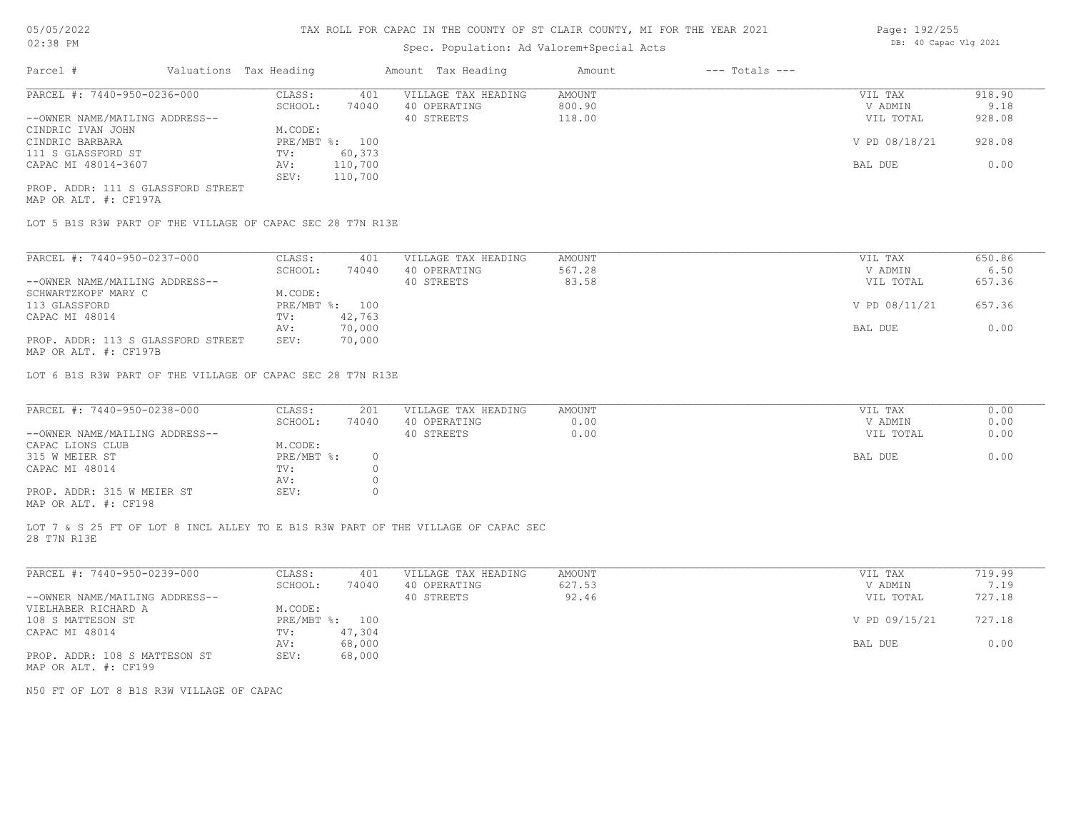## Spec. Population: Ad Valorem+Special Acts

| Page: 192/255 |                       |  |
|---------------|-----------------------|--|
|               | DB: 40 Capac Vlg 2021 |  |

| Parcel #                           | Valuations Tax Heading |                | Amount Tax Heading  | Amount | $---$ Totals $---$ |               |        |
|------------------------------------|------------------------|----------------|---------------------|--------|--------------------|---------------|--------|
| PARCEL #: 7440-950-0236-000        | CLASS:                 | 401            | VILLAGE TAX HEADING | AMOUNT |                    | VIL TAX       | 918.90 |
|                                    | SCHOOL:                | 74040          | 40 OPERATING        | 800.90 |                    | V ADMIN       | 9.18   |
| --OWNER NAME/MAILING ADDRESS--     |                        |                | 40 STREETS          | 118.00 |                    | VIL TOTAL     | 928.08 |
| CINDRIC IVAN JOHN                  | M.CODE:                |                |                     |        |                    |               |        |
| CINDRIC BARBARA                    |                        | PRE/MBT %: 100 |                     |        |                    | V PD 08/18/21 | 928.08 |
| 111 S GLASSFORD ST                 | TV:                    | 60,373         |                     |        |                    |               |        |
| CAPAC MI 48014-3607                | AV:                    | 110,700        |                     |        |                    | BAL DUE       | 0.00   |
|                                    | SEV:                   | 110,700        |                     |        |                    |               |        |
| PROP. ADDR: 111 S GLASSFORD STREET |                        |                |                     |        |                    |               |        |

MAP OR ALT. #: CF197A

LOT 5 B1S R3W PART OF THE VILLAGE OF CAPAC SEC 28 T7N R13E

| PARCEL #: 7440-950-0237-000                           | CLASS:     | 401    | VILLAGE TAX HEADING | AMOUNT | VIL TAX       | 650.86 |
|-------------------------------------------------------|------------|--------|---------------------|--------|---------------|--------|
|                                                       | SCHOOL:    | 74040  | 40 OPERATING        | 567.28 | V ADMIN       | 6.50   |
| --OWNER NAME/MAILING ADDRESS--                        |            |        | 40 STREETS          | 83.58  | VIL TOTAL     | 657.36 |
| SCHWARTZKOPF MARY C                                   | M.CODE:    |        |                     |        |               |        |
| 113 GLASSFORD                                         | PRE/MBT %: | 100    |                     |        | V PD 08/11/21 | 657.36 |
| CAPAC MI 48014                                        | TV:        | 42,763 |                     |        |               |        |
|                                                       | AV:        | 70,000 |                     |        | BAL DUE       | 0.00   |
| PROP. ADDR: 113 S GLASSFORD STREET                    | SEV:       | 70,000 |                     |        |               |        |
| $\cdots$ $\cdots$ $\cdots$ $\cdots$ $\cdots$ $\cdots$ |            |        |                     |        |               |        |

MAP OR ALT. #: CF197B

LOT 6 B1S R3W PART OF THE VILLAGE OF CAPAC SEC 28 T7N R13E

| PARCEL #: 7440-950-0238-000                           | CLASS:     | 201   | VILLAGE TAX HEADING | AMOUNT | VIL TAX   | 0.00 |
|-------------------------------------------------------|------------|-------|---------------------|--------|-----------|------|
|                                                       | SCHOOL:    | 74040 | 40 OPERATING        | 0.00   | V ADMIN   | 0.00 |
| --OWNER NAME/MAILING ADDRESS--                        |            |       | 40 STREETS          | 0.00   | VIL TOTAL | 0.00 |
| CAPAC LIONS CLUB                                      | M.CODE:    |       |                     |        |           |      |
| 315 W MEIER ST                                        | PRE/MBT %: |       |                     |        | BAL DUE   | 0.00 |
| CAPAC MI 48014                                        | TV:        |       |                     |        |           |      |
|                                                       | AV:        |       |                     |        |           |      |
| PROP. ADDR: 315 W MEIER ST                            | SEV:       |       |                     |        |           |      |
| $\cdots$ $\cdots$ $\cdots$ $\cdots$ $\cdots$ $\cdots$ |            |       |                     |        |           |      |

MAP OR ALT. #: CF198

28 T7N R13E LOT 7 & S 25 FT OF LOT 8 INCL ALLEY TO E B1S R3W PART OF THE VILLAGE OF CAPAC SEC

| PARCEL #: 7440-950-0239-000    | CLASS:     | 401    | VILLAGE TAX HEADING | AMOUNT | VIL TAX       | 719.99 |
|--------------------------------|------------|--------|---------------------|--------|---------------|--------|
|                                | SCHOOL:    | 74040  | 40 OPERATING        | 627.53 | V ADMIN       | 7.19   |
| --OWNER NAME/MAILING ADDRESS-- |            |        | 40 STREETS          | 92.46  | VIL TOTAL     | 727.18 |
| VIELHABER RICHARD A            | M.CODE:    |        |                     |        |               |        |
| 108 S MATTESON ST              | PRE/MBT %: | 100    |                     |        | V PD 09/15/21 | 727.18 |
| CAPAC MI 48014                 | TV:        | 47,304 |                     |        |               |        |
|                                | AV:        | 68,000 |                     |        | BAL DUE       | 0.00   |
| PROP. ADDR: 108 S MATTESON ST  | SEV:       | 68,000 |                     |        |               |        |
| MAP OR ALT. #: CF199           |            |        |                     |        |               |        |

N50 FT OF LOT 8 B1S R3W VILLAGE OF CAPAC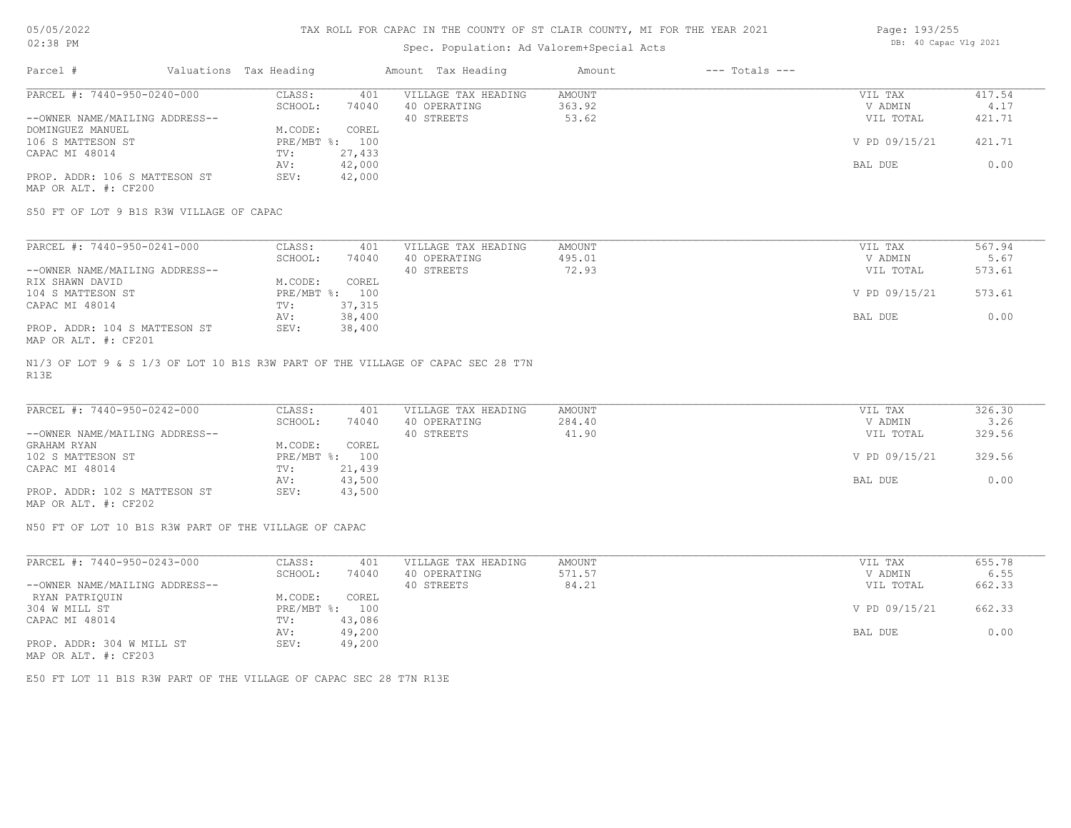# Spec. Population: Ad Valorem+Special Acts

| Page: 193/255 |                       |  |
|---------------|-----------------------|--|
|               | DB: 40 Capac Vlg 2021 |  |

| Parcel #                       | Valuations Tax Heading |        | Amount Tax Heading  | Amount | $---$ Totals $---$ |               |        |
|--------------------------------|------------------------|--------|---------------------|--------|--------------------|---------------|--------|
| PARCEL #: 7440-950-0240-000    | CLASS:                 | 401    | VILLAGE TAX HEADING | AMOUNT |                    | VIL TAX       | 417.54 |
|                                | SCHOOL:                | 74040  | 40 OPERATING        | 363.92 |                    | V ADMIN       | 4.17   |
| --OWNER NAME/MAILING ADDRESS-- |                        |        | 40 STREETS          | 53.62  |                    | VIL TOTAL     | 421.71 |
| DOMINGUEZ MANUEL               | M.CODE:                | COREL  |                     |        |                    |               |        |
| 106 S MATTESON ST              | $PRE/MBT$ %:           | 100    |                     |        |                    | V PD 09/15/21 | 421.71 |
| CAPAC MI 48014                 | TV:                    | 27,433 |                     |        |                    |               |        |
|                                | AV:                    | 42,000 |                     |        |                    | BAL DUE       | 0.00   |
| PROP. ADDR: 106 S MATTESON ST  | SEV:                   | 42,000 |                     |        |                    |               |        |
| MAP OR ALT. #: CF200           |                        |        |                     |        |                    |               |        |

S50 FT OF LOT 9 B1S R3W VILLAGE OF CAPAC

| PARCEL #: 7440-950-0241-000    | CLASS:     | 401    | VILLAGE TAX HEADING | AMOUNT | VIL TAX       | 567.94 |
|--------------------------------|------------|--------|---------------------|--------|---------------|--------|
|                                | SCHOOL:    | 74040  | 40 OPERATING        | 495.01 | V ADMIN       | 5.67   |
| --OWNER NAME/MAILING ADDRESS-- |            |        | 40 STREETS          | 72.93  | VIL TOTAL     | 573.61 |
| RIX SHAWN DAVID                | M.CODE:    | COREL  |                     |        |               |        |
| 104 S MATTESON ST              | PRE/MBT %: | 100    |                     |        | V PD 09/15/21 | 573.61 |
| CAPAC MI 48014                 | TV:        | 37,315 |                     |        |               |        |
|                                | AV:        | 38,400 |                     |        | BAL DUE       | 0.00   |
| PROP. ADDR: 104 S MATTESON ST  | SEV:       | 38,400 |                     |        |               |        |
| MAP OR ALT. #: CF201           |            |        |                     |        |               |        |

R13E N1/3 OF LOT 9 & S 1/3 OF LOT 10 B1S R3W PART OF THE VILLAGE OF CAPAC SEC 28 T7N

| PARCEL #: 7440-950-0242-000    | CLASS:  | 401            | VILLAGE TAX HEADING | AMOUNT | VIL TAX       | 326.30 |
|--------------------------------|---------|----------------|---------------------|--------|---------------|--------|
|                                | SCHOOL: | 74040          | 40 OPERATING        | 284.40 | V ADMIN       | 3.26   |
| --OWNER NAME/MAILING ADDRESS-- |         |                | 40 STREETS          | 41.90  | VIL TOTAL     | 329.56 |
| GRAHAM RYAN                    | M.CODE: | COREL          |                     |        |               |        |
| 102 S MATTESON ST              |         | PRE/MBT %: 100 |                     |        | V PD 09/15/21 | 329.56 |
| CAPAC MI 48014                 | TV:     | 21,439         |                     |        |               |        |
|                                | AV:     | 43,500         |                     |        | BAL DUE       | 0.00   |
| PROP. ADDR: 102 S MATTESON ST  | SEV:    | 43,500         |                     |        |               |        |
| MAP OR ALT. #: CF202           |         |                |                     |        |               |        |

N50 FT OF LOT 10 B1S R3W PART OF THE VILLAGE OF CAPAC

| PARCEL #: 7440-950-0243-000    | CLASS:       | 401    | VILLAGE TAX HEADING | AMOUNT | VIL TAX       | 655.78 |
|--------------------------------|--------------|--------|---------------------|--------|---------------|--------|
|                                | SCHOOL:      | 74040  | 40 OPERATING        | 571.57 | V ADMIN       | 6.55   |
| --OWNER NAME/MAILING ADDRESS-- |              |        | 40 STREETS          | 84.21  | VIL TOTAL     | 662.33 |
| RYAN PATRIQUIN                 | M.CODE:      | COREL  |                     |        |               |        |
| 304 W MILL ST                  | $PRE/MBT$ %: | 100    |                     |        | V PD 09/15/21 | 662.33 |
| CAPAC MI 48014                 | TV:          | 43,086 |                     |        |               |        |
|                                | AV:          | 49,200 |                     |        | BAL DUE       | 0.00   |
| PROP. ADDR: 304 W MILL ST      | SEV:         | 49,200 |                     |        |               |        |
| MAP OR ALT. #: CF203           |              |        |                     |        |               |        |

E50 FT LOT 11 B1S R3W PART OF THE VILLAGE OF CAPAC SEC 28 T7N R13E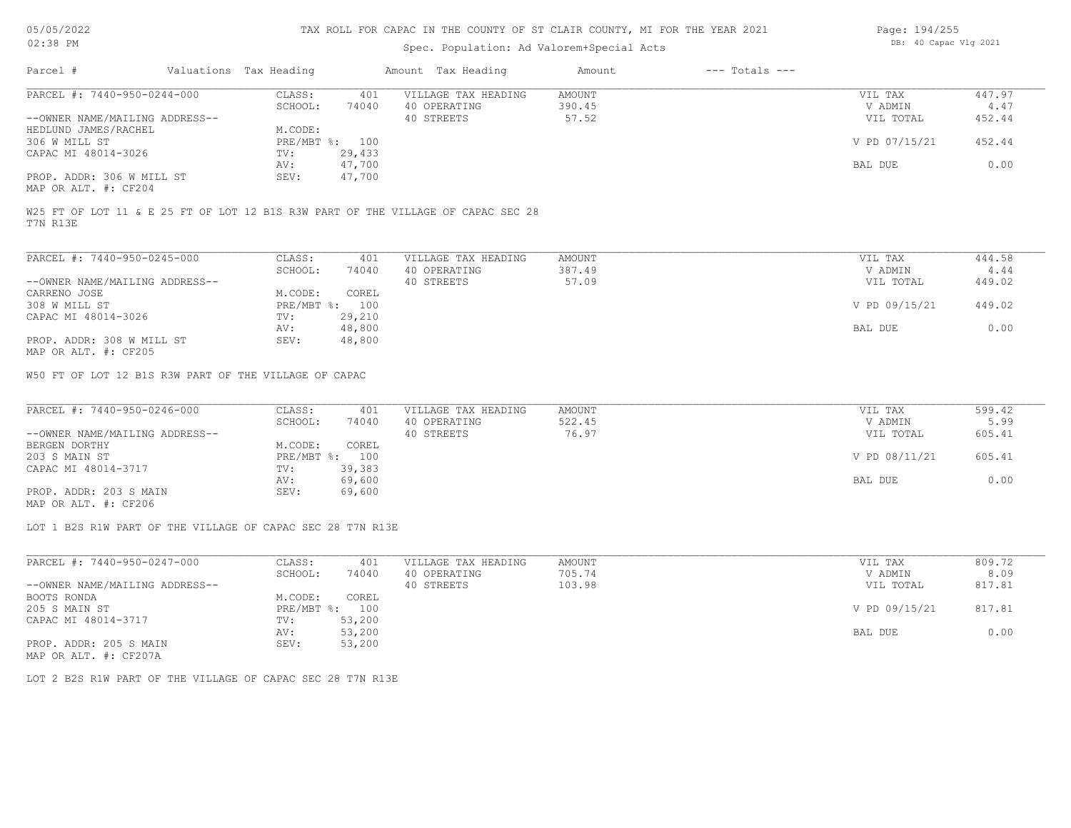## Spec. Population: Ad Valorem+Special Acts

| Page: 194/255 |                       |  |
|---------------|-----------------------|--|
|               | DB: 40 Capac Vlg 2021 |  |

| Parcel #                       | Valuations Tax Heading |                | Amount Tax Heading                                                               | Amount | $---$ Totals $---$ |               |        |
|--------------------------------|------------------------|----------------|----------------------------------------------------------------------------------|--------|--------------------|---------------|--------|
| PARCEL #: 7440-950-0244-000    | CLASS:                 | 401            | VILLAGE TAX HEADING                                                              | AMOUNT |                    | VIL TAX       | 447.97 |
|                                | SCHOOL:                | 74040          | 40 OPERATING                                                                     | 390.45 |                    | V ADMIN       | 4.47   |
| --OWNER NAME/MAILING ADDRESS-- |                        |                | 40 STREETS                                                                       | 57.52  |                    | VIL TOTAL     | 452.44 |
| HEDLUND JAMES/RACHEL           | M.CODE:                |                |                                                                                  |        |                    |               |        |
| 306 W MILL ST                  |                        | PRE/MBT %: 100 |                                                                                  |        |                    | V PD 07/15/21 | 452.44 |
| CAPAC MI 48014-3026            | TV:                    | 29,433         |                                                                                  |        |                    |               |        |
|                                | AV:                    | 47,700         |                                                                                  |        |                    | BAL DUE       | 0.00   |
| PROP. ADDR: 306 W MILL ST      | SEV:                   | 47,700         |                                                                                  |        |                    |               |        |
| MAP OR ALT. #: CF204           |                        |                |                                                                                  |        |                    |               |        |
| T7N R13E                       |                        |                | W25 FT OF LOT 11 & E 25 FT OF LOT 12 B1S R3W PART OF THE VILLAGE OF CAPAC SEC 28 |        |                    |               |        |
|                                |                        |                |                                                                                  |        |                    |               |        |
| PARCEL #: 7440-950-0245-000    | CLASS:                 | 401            | VILLAGE TAX HEADING                                                              | AMOUNT |                    | VIL TAX       | 444.58 |

| TINGUU M. TIIU JJU ULIJ UUU    | ------                    | − ⊃ ⊥  | , TARIA TIRI TIATIN TIA | 1 X T J O T A T |               | 777.VV |  |
|--------------------------------|---------------------------|--------|-------------------------|-----------------|---------------|--------|--|
|                                | SCHOOL:                   | 74040  | 40 OPERATING            | 387.49          | V ADMIN       | 4.44   |  |
| --OWNER NAME/MAILING ADDRESS-- |                           |        | 40 STREETS              | 57.09           | VIL TOTAL     | 449.02 |  |
| CARRENO JOSE                   | M.CODE:                   | COREL  |                         |                 |               |        |  |
| 308 W MILL ST                  | $PRE/MBT$ $\frac{1}{6}$ : | 100    |                         |                 | V PD 09/15/21 | 449.02 |  |
| CAPAC MI 48014-3026            | TV:                       | 29,210 |                         |                 |               |        |  |
|                                | AV:                       | 48,800 |                         |                 | BAL DUE       | 0.00   |  |
| PROP. ADDR: 308 W MILL ST      | SEV:                      | 48,800 |                         |                 |               |        |  |
| MAP OR ALT. #: CF205           |                           |        |                         |                 |               |        |  |

W50 FT OF LOT 12 B1S R3W PART OF THE VILLAGE OF CAPAC

| PARCEL #: 7440-950-0246-000    | CLASS:  | 401            | VILLAGE TAX HEADING | AMOUNT | VIL TAX       | 599.42 |
|--------------------------------|---------|----------------|---------------------|--------|---------------|--------|
|                                | SCHOOL: | 74040          | 40 OPERATING        | 522.45 | V ADMIN       | 5.99   |
| --OWNER NAME/MAILING ADDRESS-- |         |                | 40 STREETS          | 76.97  | VIL TOTAL     | 605.41 |
| BERGEN DORTHY                  | M.CODE: | COREL          |                     |        |               |        |
| 203 S MAIN ST                  |         | PRE/MBT %: 100 |                     |        | V PD 08/11/21 | 605.41 |
| CAPAC MI 48014-3717            | TV:     | 39,383         |                     |        |               |        |
|                                | AV:     | 69,600         |                     |        | BAL DUE       | 0.00   |
| PROP. ADDR: 203 S MAIN         | SEV:    | 69,600         |                     |        |               |        |
|                                |         |                |                     |        |               |        |

MAP OR ALT. #: CF206

LOT 1 B2S R1W PART OF THE VILLAGE OF CAPAC SEC 28 T7N R13E

| PARCEL #: 7440-950-0247-000    | CLASS:  | 401            | VILLAGE TAX HEADING | AMOUNT | VIL TAX       | 809.72 |
|--------------------------------|---------|----------------|---------------------|--------|---------------|--------|
|                                | SCHOOL: | 74040          | 40 OPERATING        | 705.74 | V ADMIN       | 8.09   |
| --OWNER NAME/MAILING ADDRESS-- |         |                | 40 STREETS          | 103.98 | VIL TOTAL     | 817.81 |
| BOOTS RONDA                    | M.CODE: | COREL          |                     |        |               |        |
| 205 S MAIN ST                  |         | PRE/MBT %: 100 |                     |        | V PD 09/15/21 | 817.81 |
| CAPAC MI 48014-3717            | TV:     | 53,200         |                     |        |               |        |
|                                | AV:     | 53,200         |                     |        | BAL DUE       | 0.00   |
| PROP. ADDR: 205 S MAIN         | SEV:    | 53,200         |                     |        |               |        |
| MAP OR ALT. #: CF207A          |         |                |                     |        |               |        |

LOT 2 B2S R1W PART OF THE VILLAGE OF CAPAC SEC 28 T7N R13E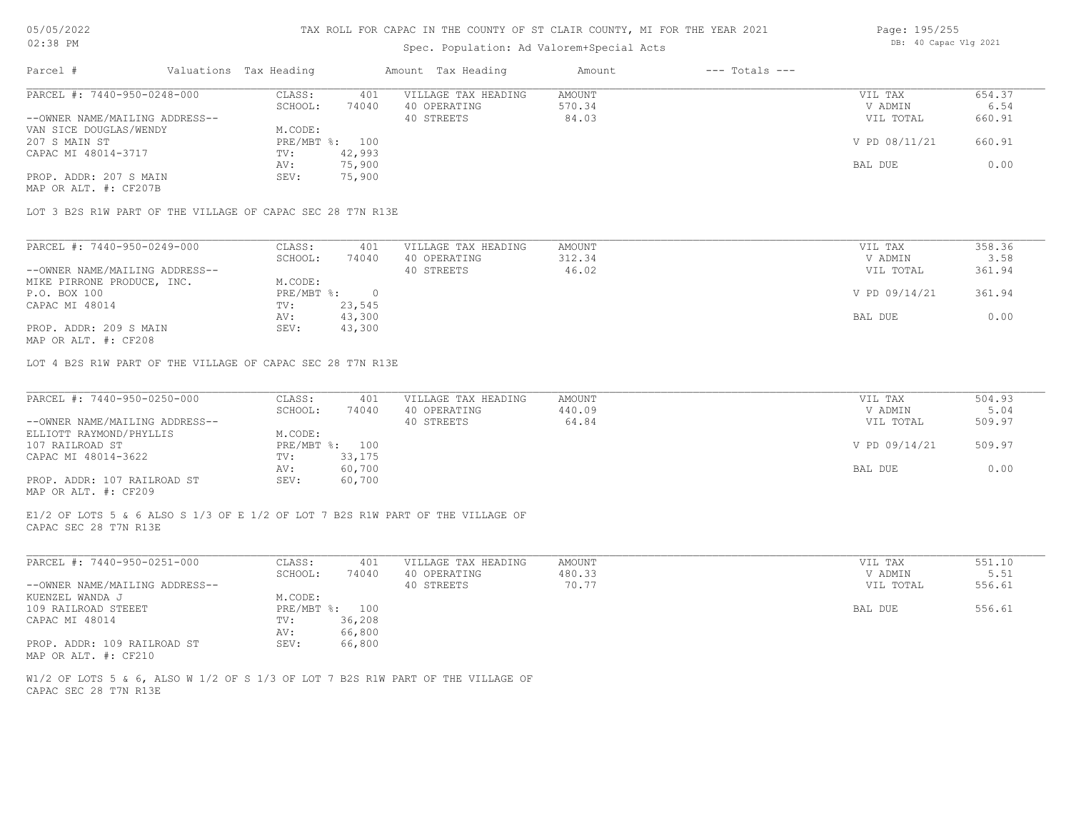### Spec. Population: Ad Valorem+Special Acts

| Page: 195/255 |                       |  |
|---------------|-----------------------|--|
|               | DB: 40 Capac Vlg 2021 |  |

| Parcel #                       | Valuations Tax Heading |        | Amount Tax Heading  | Amount | $---$ Totals $---$ |               |        |
|--------------------------------|------------------------|--------|---------------------|--------|--------------------|---------------|--------|
| PARCEL #: 7440-950-0248-000    | CLASS:                 | 401    | VILLAGE TAX HEADING | AMOUNT |                    | VIL TAX       | 654.37 |
|                                | SCHOOL:                | 74040  | 40 OPERATING        | 570.34 |                    | V ADMIN       | 6.54   |
| --OWNER NAME/MAILING ADDRESS-- |                        |        | 40 STREETS          | 84.03  |                    | VIL TOTAL     | 660.91 |
| VAN SICE DOUGLAS/WENDY         | M.CODE:                |        |                     |        |                    |               |        |
| 207 S MAIN ST                  | PRE/MBT %: 100         |        |                     |        |                    | V PD 08/11/21 | 660.91 |
| CAPAC MI 48014-3717            | TV:                    | 42,993 |                     |        |                    |               |        |
|                                | AV:                    | 75,900 |                     |        |                    | BAL DUE       | 0.00   |
| PROP. ADDR: 207 S MAIN         | SEV:                   | 75,900 |                     |        |                    |               |        |
| MAP OR ALT. #: CF207B          |                        |        |                     |        |                    |               |        |

LOT 3 B2S R1W PART OF THE VILLAGE OF CAPAC SEC 28 T7N R13E

| PARCEL #: 7440-950-0249-000    | CLASS:     | 401    | VILLAGE TAX HEADING | AMOUNT | VIL TAX       | 358.36 |
|--------------------------------|------------|--------|---------------------|--------|---------------|--------|
|                                | SCHOOL:    | 74040  | 40 OPERATING        | 312.34 | V ADMIN       | 3.58   |
| --OWNER NAME/MAILING ADDRESS-- |            |        | 40 STREETS          | 46.02  | VIL TOTAL     | 361.94 |
| MIKE PIRRONE PRODUCE, INC.     | M.CODE:    |        |                     |        |               |        |
| P.O. BOX 100                   | PRE/MBT %: |        |                     |        | V PD 09/14/21 | 361.94 |
| CAPAC MI 48014                 | TV:        | 23,545 |                     |        |               |        |
|                                | AV:        | 43,300 |                     |        | BAL DUE       | 0.00   |
| PROP. ADDR: 209 S MAIN         | SEV:       | 43,300 |                     |        |               |        |
|                                |            |        |                     |        |               |        |

MAP OR ALT. #: CF208

LOT 4 B2S R1W PART OF THE VILLAGE OF CAPAC SEC 28 T7N R13E

| PARCEL #: 7440-950-0250-000    | CLASS:  | 401            | VILLAGE TAX HEADING | AMOUNT | VIL TAX       | 504.93 |
|--------------------------------|---------|----------------|---------------------|--------|---------------|--------|
|                                | SCHOOL: | 74040          | 40 OPERATING        | 440.09 | V ADMIN       | 5.04   |
| --OWNER NAME/MAILING ADDRESS-- |         |                | 40 STREETS          | 64.84  | VIL TOTAL     | 509.97 |
| ELLIOTT RAYMOND/PHYLLIS        | M.CODE: |                |                     |        |               |        |
| 107 RAILROAD ST                |         | PRE/MBT %: 100 |                     |        | V PD 09/14/21 | 509.97 |
| CAPAC MI 48014-3622            | TV:     | 33,175         |                     |        |               |        |
|                                | AV:     | 60,700         |                     |        | BAL DUE       | 0.00   |
| PROP. ADDR: 107 RAILROAD ST    | SEV:    | 60,700         |                     |        |               |        |
| MAP OR ALT. #: CF209           |         |                |                     |        |               |        |

CAPAC SEC 28 T7N R13E E1/2 OF LOTS 5 & 6 ALSO S 1/3 OF E 1/2 OF LOT 7 B2S R1W PART OF THE VILLAGE OF

| PARCEL #: 7440-950-0251-000    | CLASS:  | 401            | VILLAGE TAX HEADING | AMOUNT | VIL TAX   | 551.10 |
|--------------------------------|---------|----------------|---------------------|--------|-----------|--------|
|                                | SCHOOL: | 74040          | 40 OPERATING        | 480.33 | V ADMIN   | 5.51   |
| --OWNER NAME/MAILING ADDRESS-- |         |                | 40 STREETS          | 70.77  | VIL TOTAL | 556.61 |
| KUENZEL WANDA J                | M.CODE: |                |                     |        |           |        |
| 109 RAILROAD STEEET            |         | PRE/MBT %: 100 |                     |        | BAL DUE   | 556.61 |
| CAPAC MI 48014                 | TV:     | 36,208         |                     |        |           |        |
|                                | AV:     | 66,800         |                     |        |           |        |
| PROP. ADDR: 109 RAILROAD ST    | SEV:    | 66,800         |                     |        |           |        |
| MAP OR ALT. #: CF210           |         |                |                     |        |           |        |

CAPAC SEC 28 T7N R13E W1/2 OF LOTS 5 & 6, ALSO W 1/2 OF S 1/3 OF LOT 7 B2S R1W PART OF THE VILLAGE OF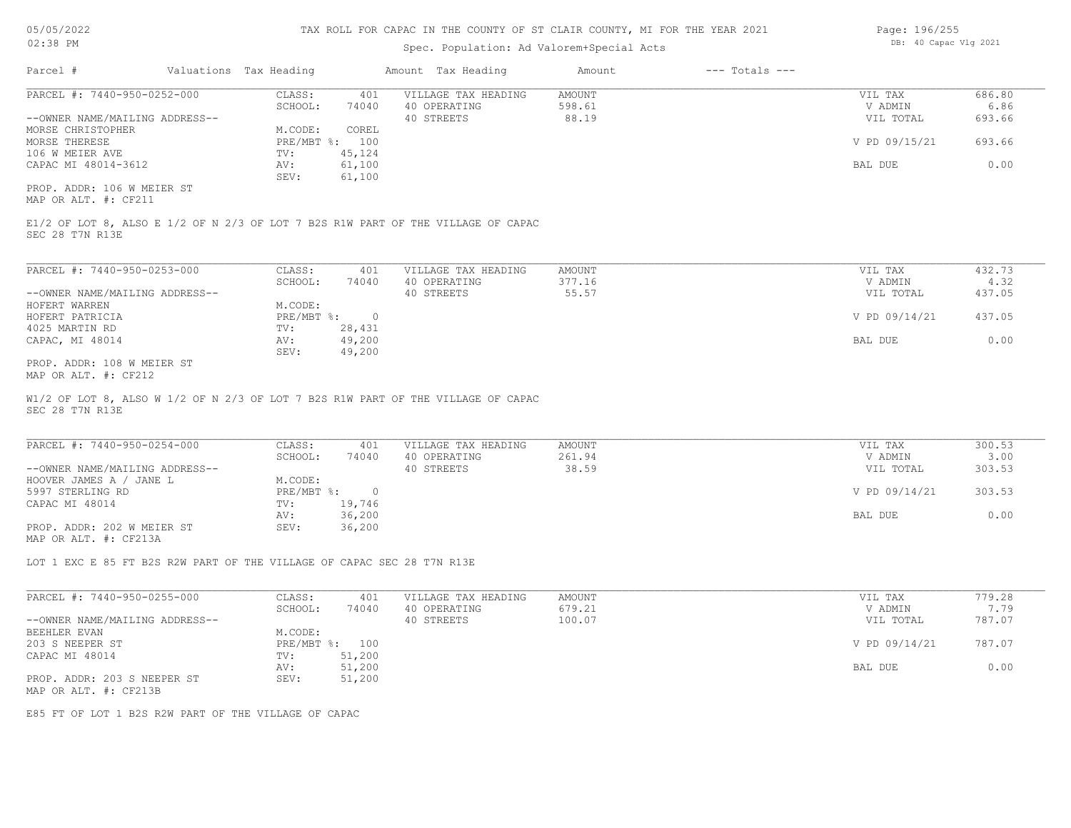## Spec. Population: Ad Valorem+Special Acts

| Page: 196/255 |                       |  |
|---------------|-----------------------|--|
|               | DB: 40 Capac Vlg 2021 |  |

| Parcel #                       | Valuations Tax Heading |        | Amount Tax Heading  | Amount | $---$ Totals $---$ |               |        |
|--------------------------------|------------------------|--------|---------------------|--------|--------------------|---------------|--------|
| PARCEL #: 7440-950-0252-000    | CLASS:                 | 401    | VILLAGE TAX HEADING | AMOUNT |                    | VIL TAX       | 686.80 |
|                                | SCHOOL:                | 74040  | 40 OPERATING        | 598.61 |                    | V ADMIN       | 6.86   |
| --OWNER NAME/MAILING ADDRESS-- |                        |        | 40 STREETS          | 88.19  |                    | VIL TOTAL     | 693.66 |
| MORSE CHRISTOPHER              | M.CODE:                | COREL  |                     |        |                    |               |        |
| MORSE THERESE                  | $PRE/MBT$ %:           | 100    |                     |        |                    | V PD 09/15/21 | 693.66 |
| 106 W MEIER AVE                | TV:                    | 45,124 |                     |        |                    |               |        |
| CAPAC MI 48014-3612            | AV:                    | 61,100 |                     |        |                    | BAL DUE       | 0.00   |
|                                | SEV:                   | 61,100 |                     |        |                    |               |        |
| PROP. ADDR: 106 W MEIER ST     |                        |        |                     |        |                    |               |        |

MAP OR ALT. #: CF211

SEC 28 T7N R13E E1/2 OF LOT 8, ALSO E 1/2 OF N 2/3 OF LOT 7 B2S R1W PART OF THE VILLAGE OF CAPAC

| PARCEL #: 7440-950-0253-000    | CLASS:       | 401    | VILLAGE TAX HEADING | AMOUNT | VIL TAX       | 432.73 |
|--------------------------------|--------------|--------|---------------------|--------|---------------|--------|
|                                | SCHOOL:      | 74040  | 40 OPERATING        | 377.16 | V ADMIN       | 4.32   |
| --OWNER NAME/MAILING ADDRESS-- |              |        | 40 STREETS          | 55.57  | VIL TOTAL     | 437.05 |
| HOFERT WARREN                  | M.CODE:      |        |                     |        |               |        |
| HOFERT PATRICIA                | $PRE/MBT$ %: |        |                     |        | V PD 09/14/21 | 437.05 |
| 4025 MARTIN RD                 | TV:          | 28,431 |                     |        |               |        |
| CAPAC, MI 48014                | AV:          | 49,200 |                     |        | BAL DUE       | 0.00   |
|                                | SEV:         | 49,200 |                     |        |               |        |
| PROP. ADDR: 108 W MEIER ST     |              |        |                     |        |               |        |

MAP OR ALT. #: CF212

SEC 28 T7N R13E W1/2 OF LOT 8, ALSO W 1/2 OF N 2/3 OF LOT 7 B2S R1W PART OF THE VILLAGE OF CAPAC

| PARCEL #: 7440-950-0254-000    | CLASS:       | 401    | VILLAGE TAX HEADING | AMOUNT | VIL TAX       | 300.53 |
|--------------------------------|--------------|--------|---------------------|--------|---------------|--------|
|                                | SCHOOL:      | 74040  | 40 OPERATING        | 261.94 | V ADMIN       | 3.00   |
| --OWNER NAME/MAILING ADDRESS-- |              |        | 40 STREETS          | 38.59  | VIL TOTAL     | 303.53 |
| HOOVER JAMES A / JANE L        | M.CODE:      |        |                     |        |               |        |
| 5997 STERLING RD               | $PRE/MBT$ %: |        |                     |        | V PD 09/14/21 | 303.53 |
| CAPAC MI 48014                 | TV:          | 19,746 |                     |        |               |        |
|                                | AV:          | 36,200 |                     |        | BAL DUE       | 0.00   |
| PROP. ADDR: 202 W MEIER ST     | SEV:         | 36,200 |                     |        |               |        |
| MAP OR ALT. #: CF213A          |              |        |                     |        |               |        |

LOT 1 EXC E 85 FT B2S R2W PART OF THE VILLAGE OF CAPAC SEC 28 T7N R13E

| PARCEL #: 7440-950-0255-000    | CLASS:  | 401            | VILLAGE TAX HEADING | AMOUNT | VIL TAX       | 779.28 |
|--------------------------------|---------|----------------|---------------------|--------|---------------|--------|
|                                | SCHOOL: | 74040          | 40 OPERATING        | 679.21 | V ADMIN       | 7.79   |
| --OWNER NAME/MAILING ADDRESS-- |         |                | 40 STREETS          | 100.07 | VIL TOTAL     | 787.07 |
| BEEHLER EVAN                   | M.CODE: |                |                     |        |               |        |
| 203 S NEEPER ST                |         | PRE/MBT %: 100 |                     |        | V PD 09/14/21 | 787.07 |
| CAPAC MI 48014                 | TV:     | 51,200         |                     |        |               |        |
|                                | AV:     | 51,200         |                     |        | BAL DUE       | 0.00   |
| PROP. ADDR: 203 S NEEPER ST    | SEV:    | 51,200         |                     |        |               |        |
| MAP OR ALT. #: CF213B          |         |                |                     |        |               |        |

E85 FT OF LOT 1 B2S R2W PART OF THE VILLAGE OF CAPAC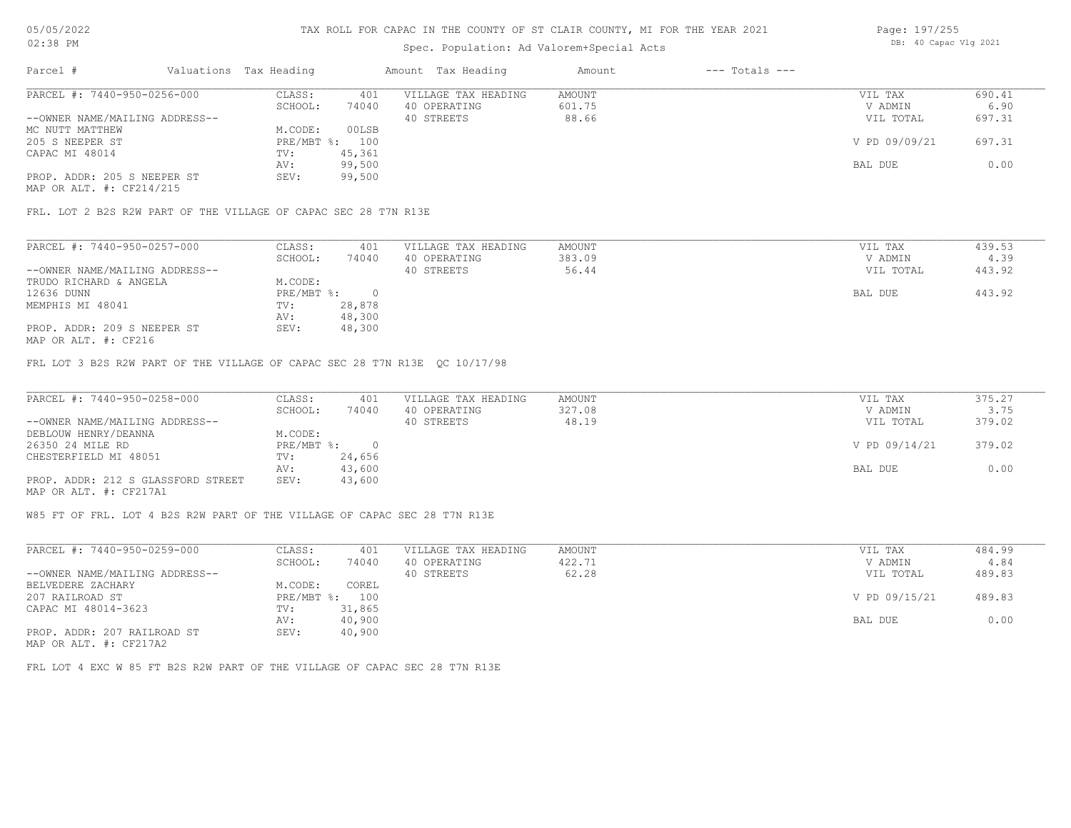# Spec. Population: Ad Valorem+Special Acts

| Page: 197/255 |                       |  |
|---------------|-----------------------|--|
|               | DB: 40 Capac Vlg 2021 |  |

| Parcel #                       | Valuations Tax Heading |        | Amount Tax Heading  | Amount | $---$ Totals $---$ |               |        |
|--------------------------------|------------------------|--------|---------------------|--------|--------------------|---------------|--------|
| PARCEL #: 7440-950-0256-000    | CLASS:                 | 401    | VILLAGE TAX HEADING | AMOUNT |                    | VIL TAX       | 690.41 |
|                                | SCHOOL:                | 74040  | 40 OPERATING        | 601.75 |                    | V ADMIN       | 6.90   |
| --OWNER NAME/MAILING ADDRESS-- |                        |        | 40 STREETS          | 88.66  |                    | VIL TOTAL     | 697.31 |
| MC NUTT MATTHEW                | M.CODE:                | 00LSB  |                     |        |                    |               |        |
| 205 S NEEPER ST                | PRE/MBT %: 100         |        |                     |        |                    | V PD 09/09/21 | 697.31 |
| CAPAC MI 48014                 | TV:                    | 45,361 |                     |        |                    |               |        |
|                                | AV:                    | 99,500 |                     |        |                    | BAL DUE       | 0.00   |
| PROP. ADDR: 205 S NEEPER ST    | SEV:                   | 99,500 |                     |        |                    |               |        |
|                                |                        |        |                     |        |                    |               |        |

MAP OR ALT. #: CF214/215

FRL. LOT 2 B2S R2W PART OF THE VILLAGE OF CAPAC SEC 28 T7N R13E

| PARCEL #: 7440-950-0257-000    | CLASS:     | 401    | VILLAGE TAX HEADING | AMOUNT | VIL TAX   | 439.53 |
|--------------------------------|------------|--------|---------------------|--------|-----------|--------|
|                                | SCHOOL:    | 74040  | 40 OPERATING        | 383.09 | V ADMIN   | 4.39   |
| --OWNER NAME/MAILING ADDRESS-- |            |        | 40 STREETS          | 56.44  | VIL TOTAL | 443.92 |
| TRUDO RICHARD & ANGELA         | M.CODE:    |        |                     |        |           |        |
| 12636 DUNN                     | PRE/MBT %: |        |                     |        | BAL DUE   | 443.92 |
| MEMPHIS MI 48041               | TV:        | 28,878 |                     |        |           |        |
|                                | AV:        | 48,300 |                     |        |           |        |
| PROP. ADDR: 209 S NEEPER ST    | SEV:       | 48,300 |                     |        |           |        |
|                                |            |        |                     |        |           |        |

MAP OR ALT. #: CF216

FRL LOT 3 B2S R2W PART OF THE VILLAGE OF CAPAC SEC 28 T7N R13E QC 10/17/98

| PARCEL #: 7440-950-0258-000        | CLASS:       | 401    | VILLAGE TAX HEADING | AMOUNT | VIL TAX       | 375.27 |
|------------------------------------|--------------|--------|---------------------|--------|---------------|--------|
|                                    | SCHOOL:      | 74040  | 40 OPERATING        | 327.08 | V ADMIN       | 3.75   |
| --OWNER NAME/MAILING ADDRESS--     |              |        | 40 STREETS          | 48.19  | VIL TOTAL     | 379.02 |
| DEBLOUW HENRY/DEANNA               | M.CODE:      |        |                     |        |               |        |
| 26350 24 MILE RD                   | $PRE/MBT$ %: |        |                     |        | V PD 09/14/21 | 379.02 |
| CHESTERFIELD MI 48051              | TV:          | 24,656 |                     |        |               |        |
|                                    | AV:          | 43,600 |                     |        | BAL DUE       | 0.00   |
| PROP. ADDR: 212 S GLASSFORD STREET | SEV:         | 43,600 |                     |        |               |        |
| MAP OR ALT. #: CF217A1             |              |        |                     |        |               |        |

W85 FT OF FRL. LOT 4 B2S R2W PART OF THE VILLAGE OF CAPAC SEC 28 T7N R13E

| PARCEL #: 7440-950-0259-000                                                                                          | CLASS:     | 401    | VILLAGE TAX HEADING | AMOUNT | VIL TAX       | 484.99 |
|----------------------------------------------------------------------------------------------------------------------|------------|--------|---------------------|--------|---------------|--------|
|                                                                                                                      | SCHOOL:    | 74040  | 40 OPERATING        | 422.71 | V ADMIN       | 4.84   |
| --OWNER NAME/MAILING ADDRESS--                                                                                       |            |        | 40 STREETS          | 62.28  | VIL TOTAL     | 489.83 |
| BELVEDERE ZACHARY                                                                                                    | M.CODE:    | COREL  |                     |        |               |        |
| 207 RAILROAD ST                                                                                                      | PRE/MBT %: | 100    |                     |        | V PD 09/15/21 | 489.83 |
| CAPAC MI 48014-3623                                                                                                  | TV:        | 31,865 |                     |        |               |        |
|                                                                                                                      | AV:        | 40,900 |                     |        | BAL DUE       | 0.00   |
| PROP. ADDR: 207 RAILROAD ST<br>$\overline{1000}$ $\overline{200}$ $\overline{250}$ $\overline{250}$ $\overline{250}$ | SEV:       | 40,900 |                     |        |               |        |

MAP OR ALT. #: CF217A2

FRL LOT 4 EXC W 85 FT B2S R2W PART OF THE VILLAGE OF CAPAC SEC 28 T7N R13E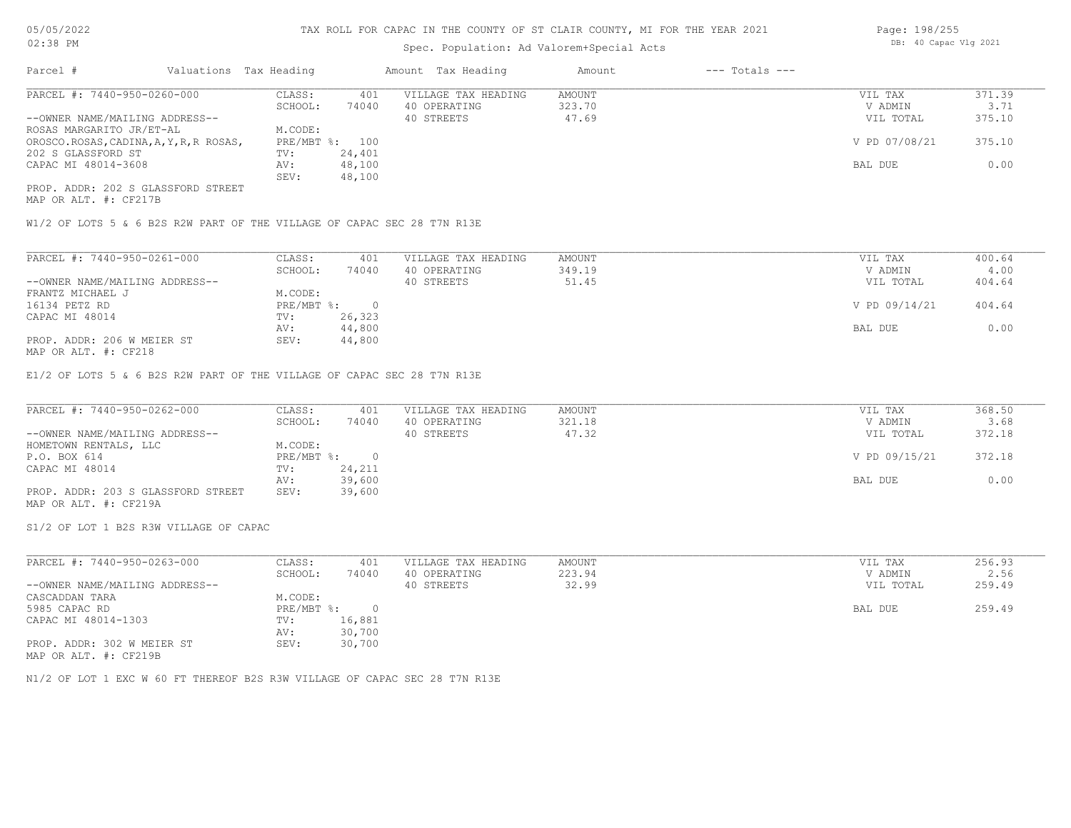## Spec. Population: Ad Valorem+Special Acts

| Page: 198/255 |                       |  |
|---------------|-----------------------|--|
|               | DB: 40 Capac Vlg 2021 |  |

| Parcel #                                |         | Valuations Tax Heading |                | Amount Tax Heading  | Amount | $---$ Totals $---$ |               |        |
|-----------------------------------------|---------|------------------------|----------------|---------------------|--------|--------------------|---------------|--------|
| PARCEL #: 7440-950-0260-000             |         | CLASS:                 | 401            | VILLAGE TAX HEADING | AMOUNT |                    | VIL TAX       | 371.39 |
|                                         | SCHOOL: | 74040                  | 40 OPERATING   | 323.70              |        | V ADMIN            | 3.71          |        |
| --OWNER NAME/MAILING ADDRESS--          |         |                        |                | 40 STREETS          | 47.69  |                    | VIL TOTAL     | 375.10 |
| ROSAS MARGARITO JR/ET-AL                |         | M.CODE:                |                |                     |        |                    |               |        |
| OROSCO.ROSAS, CADINA, A, Y, R, R ROSAS, |         |                        | PRE/MBT %: 100 |                     |        |                    | V PD 07/08/21 | 375.10 |
| 202 S GLASSFORD ST                      |         | TV:                    | 24,401         |                     |        |                    |               |        |
| CAPAC MI 48014-3608                     |         | AV:                    | 48,100         |                     |        |                    | BAL DUE       | 0.00   |
|                                         |         | SEV:                   | 48,100         |                     |        |                    |               |        |
| PROP. ADDR: 202 S GLASSFORD STREET      |         |                        |                |                     |        |                    |               |        |

MAP OR ALT. #: CF217B

W1/2 OF LOTS 5 & 6 B2S R2W PART OF THE VILLAGE OF CAPAC SEC 28 T7N R13E

| PARCEL #: 7440-950-0261-000                                  | CLASS:     | 401      | VILLAGE TAX HEADING | AMOUNT | VIL TAX       | 400.64 |
|--------------------------------------------------------------|------------|----------|---------------------|--------|---------------|--------|
|                                                              | SCHOOL:    | 74040    | 40 OPERATING        | 349.19 | V ADMIN       | 4.00   |
| --OWNER NAME/MAILING ADDRESS--                               |            |          | 40 STREETS          | 51.45  | VIL TOTAL     | 404.64 |
| FRANTZ MICHAEL J                                             | M.CODE:    |          |                     |        |               |        |
| 16134 PETZ RD                                                | PRE/MBT %: | $\Omega$ |                     |        | V PD 09/14/21 | 404.64 |
| CAPAC MI 48014                                               | TV:        | 26,323   |                     |        |               |        |
|                                                              | AV:        | 44,800   |                     |        | BAL DUE       | 0.00   |
| PROP. ADDR: 206 W MEIER ST<br>$MAD$ $CD$ $ATM$ $H$ , $CDQ1Q$ | SEV:       | 44,800   |                     |        |               |        |

MAP OR ALT. #: CF218

E1/2 OF LOTS 5 & 6 B2S R2W PART OF THE VILLAGE OF CAPAC SEC 28 T7N R13E

| PARCEL #: 7440-950-0262-000        | CLASS:     | 401    | VILLAGE TAX HEADING | AMOUNT | VIL TAX       | 368.50 |
|------------------------------------|------------|--------|---------------------|--------|---------------|--------|
|                                    | SCHOOL:    | 74040  | 40 OPERATING        | 321.18 | V ADMIN       | 3.68   |
| --OWNER NAME/MAILING ADDRESS--     |            |        | 40 STREETS          | 47.32  | VIL TOTAL     | 372.18 |
| HOMETOWN RENTALS, LLC              | M.CODE:    |        |                     |        |               |        |
| P.O. BOX 614                       | PRE/MBT %: |        |                     |        | V PD 09/15/21 | 372.18 |
| CAPAC MI 48014                     | TV:        | 24,211 |                     |        |               |        |
|                                    | AV:        | 39,600 |                     |        | BAL DUE       | 0.00   |
| PROP. ADDR: 203 S GLASSFORD STREET | SEV:       | 39,600 |                     |        |               |        |
| MAP OR ALT. #: CF219A              |            |        |                     |        |               |        |

S1/2 OF LOT 1 B2S R3W VILLAGE OF CAPAC

| PARCEL #: 7440-950-0263-000                         | CLASS:     | 401    | VILLAGE TAX HEADING | AMOUNT | VIL TAX   | 256.93 |
|-----------------------------------------------------|------------|--------|---------------------|--------|-----------|--------|
|                                                     | SCHOOL:    | 74040  | 40 OPERATING        | 223.94 | V ADMIN   | 2.56   |
| --OWNER NAME/MAILING ADDRESS--                      |            |        | 40 STREETS          | 32.99  | VIL TOTAL | 259.49 |
| CASCADDAN TARA                                      | M.CODE:    |        |                     |        |           |        |
| 5985 CAPAC RD                                       | PRE/MBT %: |        |                     |        | BAL DUE   | 259.49 |
| CAPAC MI 48014-1303                                 | TV:        | 16,881 |                     |        |           |        |
|                                                     | AV:        | 30,700 |                     |        |           |        |
| PROP. ADDR: 302 W MEIER ST<br>MAP OR ALT. #: CF219B | SEV:       | 30,700 |                     |        |           |        |

N1/2 OF LOT 1 EXC W 60 FT THEREOF B2S R3W VILLAGE OF CAPAC SEC 28 T7N R13E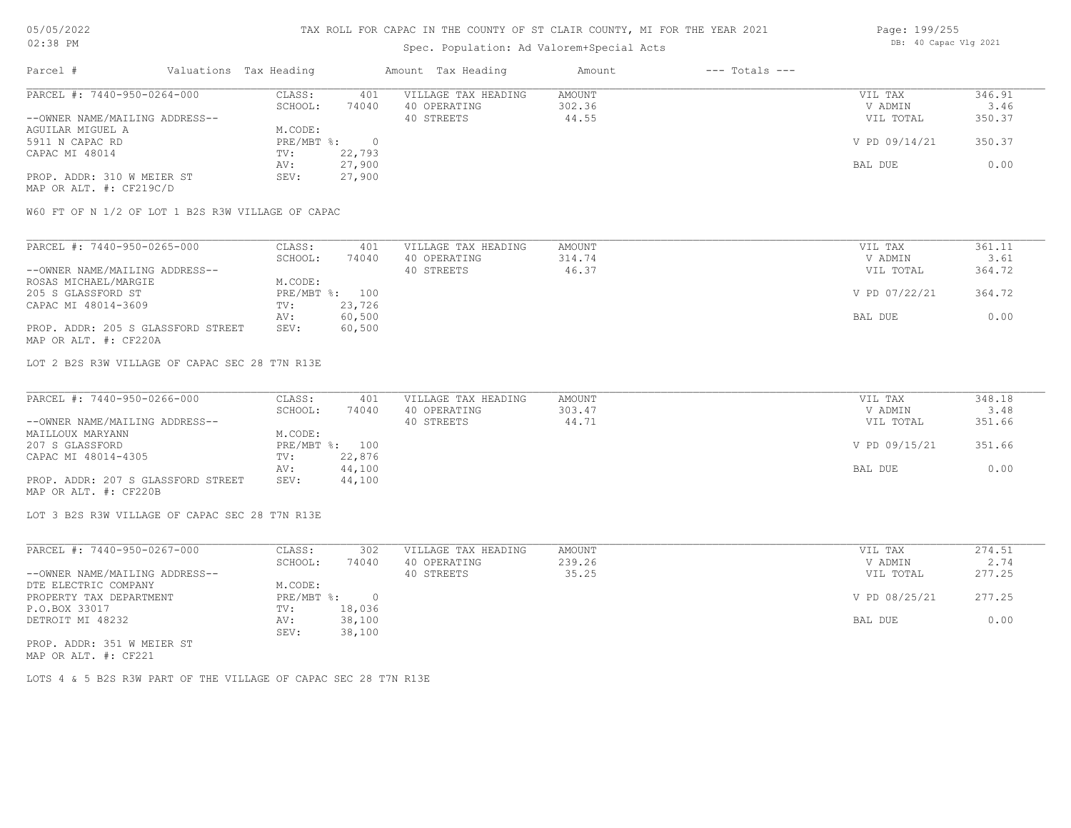### Spec. Population: Ad Valorem+Special Acts

| Page: 199/255 |                       |  |
|---------------|-----------------------|--|
|               | DB: 40 Capac Vlg 2021 |  |

| Parcel #                       |         | Valuations Tax Heading |              | Amount Tax Heading  | Amount | $---$ Totals $---$ |               |        |
|--------------------------------|---------|------------------------|--------------|---------------------|--------|--------------------|---------------|--------|
| PARCEL #: 7440-950-0264-000    |         | CLASS:                 | 401          | VILLAGE TAX HEADING | AMOUNT |                    | VIL TAX       | 346.91 |
|                                | SCHOOL: | 74040                  | 40 OPERATING | 302.36              |        | V ADMIN            | 3.46          |        |
| --OWNER NAME/MAILING ADDRESS-- |         |                        |              | 40 STREETS          | 44.55  |                    | VIL TOTAL     | 350.37 |
| AGUILAR MIGUEL A               |         | M.CODE:                |              |                     |        |                    |               |        |
| 5911 N CAPAC RD                |         | PRE/MBT %:             |              |                     |        |                    | V PD 09/14/21 | 350.37 |
| CAPAC MI 48014                 |         | TV:                    | 22,793       |                     |        |                    |               |        |
|                                |         | AV:                    | 27,900       |                     |        |                    | BAL DUE       | 0.00   |
| PROP. ADDR: 310 W MEIER ST     |         | SEV:                   | 27,900       |                     |        |                    |               |        |
|                                |         |                        |              |                     |        |                    |               |        |

MAP OR ALT. #: CF219C/D

W60 FT OF N 1/2 OF LOT 1 B2S R3W VILLAGE OF CAPAC

| PARCEL #: 7440-950-0265-000        | CLASS:  | 401            | VILLAGE TAX HEADING | AMOUNT | VIL TAX       | 361.11 |
|------------------------------------|---------|----------------|---------------------|--------|---------------|--------|
|                                    | SCHOOL: | 74040          | 40 OPERATING        | 314.74 | V ADMIN       | 3.61   |
| --OWNER NAME/MAILING ADDRESS--     |         |                | 40 STREETS          | 46.37  | VIL TOTAL     | 364.72 |
| ROSAS MICHAEL/MARGIE               | M.CODE: |                |                     |        |               |        |
| 205 S GLASSFORD ST                 |         | PRE/MBT %: 100 |                     |        | V PD 07/22/21 | 364.72 |
| CAPAC MI 48014-3609                | TV:     | 23,726         |                     |        |               |        |
|                                    | AV:     | 60,500         |                     |        | BAL DUE       | 0.00   |
| PROP. ADDR: 205 S GLASSFORD STREET | SEV:    | 60,500         |                     |        |               |        |
| MAP OR ALT. #: CF220A              |         |                |                     |        |               |        |

LOT 2 B2S R3W VILLAGE OF CAPAC SEC 28 T7N R13E

| PARCEL #: 7440-950-0266-000        | CLASS:  | 401            | VILLAGE TAX HEADING | AMOUNT | VIL TAX       | 348.18 |
|------------------------------------|---------|----------------|---------------------|--------|---------------|--------|
|                                    | SCHOOL: | 74040          | 40 OPERATING        | 303.47 | V ADMIN       | 3.48   |
| --OWNER NAME/MAILING ADDRESS--     |         |                | 40 STREETS          | 44.71  | VIL TOTAL     | 351.66 |
| MAILLOUX MARYANN                   | M.CODE: |                |                     |        |               |        |
| 207 S GLASSFORD                    |         | PRE/MBT %: 100 |                     |        | V PD 09/15/21 | 351.66 |
| CAPAC MI 48014-4305                | TV:     | 22,876         |                     |        |               |        |
|                                    | AV:     | 44,100         |                     |        | BAL DUE       | 0.00   |
| PROP. ADDR: 207 S GLASSFORD STREET | SEV:    | 44,100         |                     |        |               |        |
| MAP OR ALT. #: CF220B              |         |                |                     |        |               |        |

LOT 3 B2S R3W VILLAGE OF CAPAC SEC 28 T7N R13E

| PARCEL #: 7440-950-0267-000    | CLASS:     | 302      | VILLAGE TAX HEADING | AMOUNT | VIL TAX       | 274.51 |
|--------------------------------|------------|----------|---------------------|--------|---------------|--------|
|                                | SCHOOL:    | 74040    | 40 OPERATING        | 239.26 | V ADMIN       | 2.74   |
| --OWNER NAME/MAILING ADDRESS-- |            |          | 40 STREETS          | 35.25  | VIL TOTAL     | 277.25 |
| DTE ELECTRIC COMPANY           | M.CODE:    |          |                     |        |               |        |
| PROPERTY TAX DEPARTMENT        | PRE/MBT %: | $\Omega$ |                     |        | V PD 08/25/21 | 277.25 |
| P.O.BOX 33017                  | TV:        | 18,036   |                     |        |               |        |
| DETROIT MI 48232               | AV:        | 38,100   |                     |        | BAL DUE       | 0.00   |
|                                | SEV:       | 38,100   |                     |        |               |        |
| PROP. ADDR: 351 W MEIER ST     |            |          |                     |        |               |        |

MAP OR ALT. #: CF221

LOTS 4 & 5 B2S R3W PART OF THE VILLAGE OF CAPAC SEC 28 T7N R13E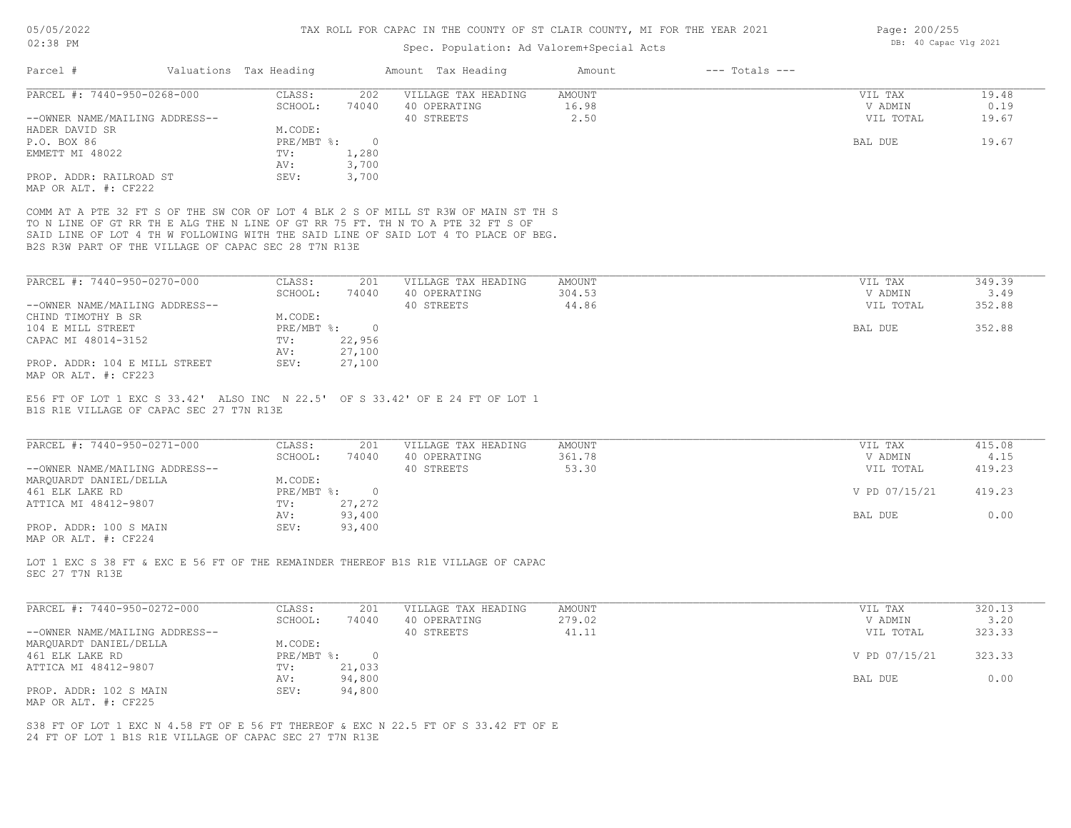# Spec. Population: Ad Valorem+Special Acts

| Parcel #                                                                                            | Valuations Tax Heading |                  | Amount Tax Heading                                                                                                                                                                                                                                            | Amount        | $---$ Totals $---$ |               |        |
|-----------------------------------------------------------------------------------------------------|------------------------|------------------|---------------------------------------------------------------------------------------------------------------------------------------------------------------------------------------------------------------------------------------------------------------|---------------|--------------------|---------------|--------|
| PARCEL #: 7440-950-0268-000                                                                         | CLASS:                 | 202              | VILLAGE TAX HEADING                                                                                                                                                                                                                                           | AMOUNT        |                    | VIL TAX       | 19.48  |
|                                                                                                     | SCHOOL:                | 74040            | 40 OPERATING                                                                                                                                                                                                                                                  | 16.98         |                    | V ADMIN       | 0.19   |
| --OWNER NAME/MAILING ADDRESS--                                                                      |                        |                  | 40 STREETS                                                                                                                                                                                                                                                    | 2.50          |                    | VIL TOTAL     | 19.67  |
| HADER DAVID SR                                                                                      | M.CODE:                |                  |                                                                                                                                                                                                                                                               |               |                    |               |        |
| P.O. BOX 86                                                                                         | PRE/MBT %:             | $\circ$          |                                                                                                                                                                                                                                                               |               |                    | BAL DUE       | 19.67  |
| EMMETT MI 48022                                                                                     | TV:                    | 1,280            |                                                                                                                                                                                                                                                               |               |                    |               |        |
|                                                                                                     | AV:                    | 3,700            |                                                                                                                                                                                                                                                               |               |                    |               |        |
| PROP. ADDR: RAILROAD ST                                                                             | SEV:                   | 3,700            |                                                                                                                                                                                                                                                               |               |                    |               |        |
| MAP OR ALT. #: CF222                                                                                |                        |                  |                                                                                                                                                                                                                                                               |               |                    |               |        |
| B2S R3W PART OF THE VILLAGE OF CAPAC SEC 28 T7N R13E                                                |                        |                  | COMM AT A PTE 32 FT S OF THE SW COR OF LOT 4 BLK 2 S OF MILL ST R3W OF MAIN ST TH S<br>TO N LINE OF GT RR TH E ALG THE N LINE OF GT RR 75 FT. TH N TO A PTE 32 FT S OF<br>SAID LINE OF LOT 4 TH W FOLLOWING WITH THE SAID LINE OF SAID LOT 4 TO PLACE OF BEG. |               |                    |               |        |
|                                                                                                     |                        |                  |                                                                                                                                                                                                                                                               |               |                    |               |        |
| PARCEL #: 7440-950-0270-000                                                                         | CLASS:                 | 201              | VILLAGE TAX HEADING                                                                                                                                                                                                                                           | <b>AMOUNT</b> |                    | VIL TAX       | 349.39 |
|                                                                                                     | SCHOOL:                | 74040            | 40 OPERATING                                                                                                                                                                                                                                                  | 304.53        |                    | V ADMIN       | 3.49   |
| --OWNER NAME/MAILING ADDRESS--                                                                      |                        |                  | 40 STREETS                                                                                                                                                                                                                                                    | 44.86         |                    | VIL TOTAL     | 352.88 |
| CHIND TIMOTHY B SR                                                                                  | M.CODE:                |                  |                                                                                                                                                                                                                                                               |               |                    |               |        |
| 104 E MILL STREET                                                                                   | $PRE/MBT$ %:           | $\overline{0}$   |                                                                                                                                                                                                                                                               |               |                    | BAL DUE       | 352.88 |
| CAPAC MI 48014-3152                                                                                 | TV:<br>AV:             | 22,956<br>27,100 |                                                                                                                                                                                                                                                               |               |                    |               |        |
| PROP. ADDR: 104 E MILL STREET                                                                       | SEV:                   | 27,100           |                                                                                                                                                                                                                                                               |               |                    |               |        |
| MAP OR ALT. #: CF223                                                                                |                        |                  |                                                                                                                                                                                                                                                               |               |                    |               |        |
| PARCEL #: 7440-950-0271-000                                                                         | CLASS:                 | 201              | VILLAGE TAX HEADING                                                                                                                                                                                                                                           | AMOUNT        |                    | VIL TAX       | 415.08 |
|                                                                                                     | SCHOOL:                | 74040            | 40 OPERATING                                                                                                                                                                                                                                                  | 361.78        |                    | V ADMIN       | 4.15   |
| --OWNER NAME/MAILING ADDRESS--                                                                      |                        |                  | 40 STREETS                                                                                                                                                                                                                                                    | 53.30         |                    | VIL TOTAL     | 419.23 |
| MAROUARDT DANIEL/DELLA                                                                              | M.CODE:                |                  |                                                                                                                                                                                                                                                               |               |                    |               |        |
| 461 ELK LAKE RD                                                                                     | $PRE/MBT$ $\div$       | $\circ$          |                                                                                                                                                                                                                                                               |               |                    | V PD 07/15/21 | 419.23 |
| ATTICA MI 48412-9807                                                                                | TV:                    | 27,272           |                                                                                                                                                                                                                                                               |               |                    |               |        |
|                                                                                                     | AV:                    | 93,400           |                                                                                                                                                                                                                                                               |               |                    | BAL DUE       | 0.00   |
| PROP. ADDR: 100 S MAIN<br>MAP OR ALT. #: CF224                                                      | SEV:                   | 93,400           |                                                                                                                                                                                                                                                               |               |                    |               |        |
| SEC 27 T7N R13E                                                                                     |                        |                  | LOT 1 EXC S 38 FT & EXC E 56 FT OF THE REMAINDER THEREOF B1S R1E VILLAGE OF CAPAC                                                                                                                                                                             |               |                    |               |        |
|                                                                                                     |                        |                  |                                                                                                                                                                                                                                                               |               |                    |               |        |
| PARCEL #: 7440-950-0272-000                                                                         | CLASS:                 | 201              | VILLAGE TAX HEADING                                                                                                                                                                                                                                           | <b>AMOUNT</b> |                    | VIL TAX       | 320.13 |
|                                                                                                     | SCHOOL:                | 74040            | 40 OPERATING                                                                                                                                                                                                                                                  | 279.02        |                    | V ADMIN       | 3.20   |
|                                                                                                     |                        |                  | 40 STREETS                                                                                                                                                                                                                                                    | 41.11         |                    | VIL TOTAL     | 323.33 |
|                                                                                                     |                        |                  |                                                                                                                                                                                                                                                               |               |                    |               |        |
|                                                                                                     | M.CODE:                |                  |                                                                                                                                                                                                                                                               |               |                    |               |        |
|                                                                                                     | $PRE/MBT$ $\div$       | $\circ$          |                                                                                                                                                                                                                                                               |               |                    | V PD 07/15/21 | 323.33 |
|                                                                                                     | TV:                    | 21,033           |                                                                                                                                                                                                                                                               |               |                    |               |        |
| --OWNER NAME/MAILING ADDRESS--<br>MARQUARDT DANIEL/DELLA<br>461 ELK LAKE RD<br>ATTICA MI 48412-9807 | AV:                    | 94,800           |                                                                                                                                                                                                                                                               |               |                    | BAL DUE       | 0.00   |
| PROP. ADDR: 102 S MAIN                                                                              | SEV:                   | 94,800           |                                                                                                                                                                                                                                                               |               |                    |               |        |
| MAP OR ALT. #: CF225                                                                                |                        |                  |                                                                                                                                                                                                                                                               |               |                    |               |        |

Page: 200/255 DB: 40 Capac Vlg 2021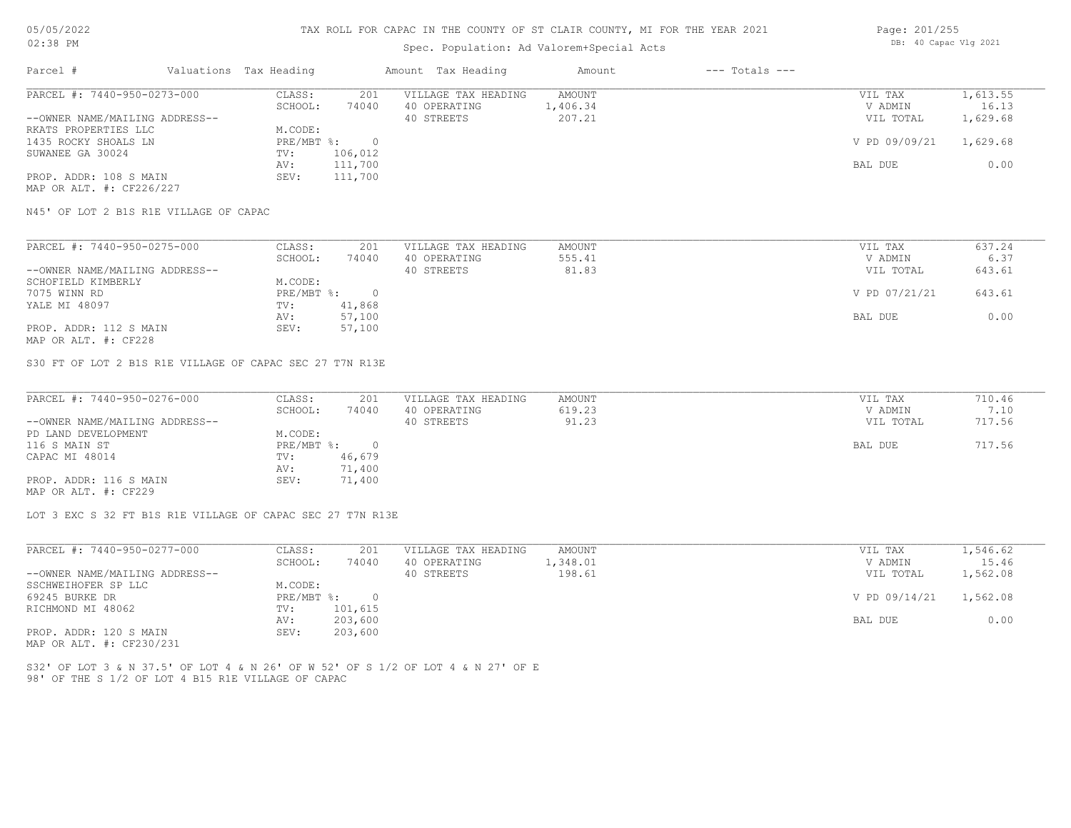## Spec. Population: Ad Valorem+Special Acts

| Page: 201/255 |                       |  |
|---------------|-----------------------|--|
|               | DB: 40 Capac Vlg 2021 |  |

| Parcel #                       |         | Valuations Tax Heading |              | Amount Tax Heading  | Amount | $---$ Totals $---$ |               |          |
|--------------------------------|---------|------------------------|--------------|---------------------|--------|--------------------|---------------|----------|
| PARCEL #: 7440-950-0273-000    |         | CLASS:                 | 201          | VILLAGE TAX HEADING | AMOUNT |                    | VIL TAX       | 1,613.55 |
|                                | SCHOOL: | 74040                  | 40 OPERATING | 1,406.34            |        | V ADMIN            | 16.13         |          |
| --OWNER NAME/MAILING ADDRESS-- |         |                        |              | 40 STREETS          | 207.21 |                    | VIL TOTAL     | 1,629.68 |
| RKATS PROPERTIES LLC           |         | M.CODE:                |              |                     |        |                    |               |          |
| 1435 ROCKY SHOALS LN           |         | $PRE/MBT$ %:           |              |                     |        |                    | V PD 09/09/21 | 1,629.68 |
| SUWANEE GA 30024               |         | TV:                    | 106,012      |                     |        |                    |               |          |
|                                |         | AV:                    | 111,700      |                     |        |                    | BAL DUE       | 0.00     |
| PROP. ADDR: 108 S MAIN         |         | SEV:                   | 111,700      |                     |        |                    |               |          |
| MAP OR ALT. #: CF226/227       |         |                        |              |                     |        |                    |               |          |

N45' OF LOT 2 B1S R1E VILLAGE OF CAPAC

| PARCEL #: 7440-950-0275-000    | CLASS:     | 201    | VILLAGE TAX HEADING | AMOUNT | VIL TAX       | 637.24 |
|--------------------------------|------------|--------|---------------------|--------|---------------|--------|
|                                | SCHOOL:    | 74040  | 40 OPERATING        | 555.41 | V ADMIN       | 6.37   |
| --OWNER NAME/MAILING ADDRESS-- |            |        | 40 STREETS          | 81.83  | VIL TOTAL     | 643.61 |
| SCHOFIELD KIMBERLY             | M.CODE:    |        |                     |        |               |        |
| 7075 WINN RD                   | PRE/MBT %: |        |                     |        | V PD 07/21/21 | 643.61 |
| YALE MI 48097                  | TV:        | 41,868 |                     |        |               |        |
|                                | AV:        | 57,100 |                     |        | BAL DUE       | 0.00   |
| PROP. ADDR: 112 S MAIN         | SEV:       | 57,100 |                     |        |               |        |
|                                |            |        |                     |        |               |        |

MAP OR ALT. #: CF228

S30 FT OF LOT 2 B1S R1E VILLAGE OF CAPAC SEC 27 T7N R13E

| PARCEL #: 7440-950-0276-000    | CLASS:       | 201    | VILLAGE TAX HEADING | AMOUNT | VIL TAX   | 710.46 |
|--------------------------------|--------------|--------|---------------------|--------|-----------|--------|
|                                | SCHOOL:      | 74040  | 40 OPERATING        | 619.23 | V ADMIN   | 7.10   |
| --OWNER NAME/MAILING ADDRESS-- |              |        | 40 STREETS          | 91.23  | VIL TOTAL | 717.56 |
| PD LAND DEVELOPMENT            | M.CODE:      |        |                     |        |           |        |
| 116 S MAIN ST                  | $PRE/MBT$ %: |        |                     |        | BAL DUE   | 717.56 |
| CAPAC MI 48014                 | TV:          | 46,679 |                     |        |           |        |
|                                | AV:          | 71,400 |                     |        |           |        |
| PROP. ADDR: 116 S MAIN         | SEV:         | 71,400 |                     |        |           |        |
| MAP OR ALT. #: CF229           |              |        |                     |        |           |        |

LOT 3 EXC S 32 FT B1S R1E VILLAGE OF CAPAC SEC 27 T7N R13E

| PARCEL #: 7440-950-0277-000    | CLASS:     | 201      | VILLAGE TAX HEADING | AMOUNT   | VIL TAX                | 1,546.62 |
|--------------------------------|------------|----------|---------------------|----------|------------------------|----------|
|                                | SCHOOL:    | 74040    | 40 OPERATING        | 1,348.01 | V ADMIN                | 15.46    |
| --OWNER NAME/MAILING ADDRESS-- |            |          | 40 STREETS          | 198.61   | VIL TOTAL              | 1,562.08 |
| SSCHWEIHOFER SP LLC            | M.CODE:    |          |                     |          |                        |          |
| 69245 BURKE DR                 | PRE/MBT %: | $\Omega$ |                     |          | V PD 09/14/21 1,562.08 |          |
| RICHMOND MI 48062              | TV:        | 101,615  |                     |          |                        |          |
|                                | AV:        | 203,600  |                     |          | BAL DUE                | 0.00     |
| PROP. ADDR: 120 S MAIN         | SEV:       | 203,600  |                     |          |                        |          |
|                                |            |          |                     |          |                        |          |

MAP OR ALT. #: CF230/231

98' OF THE S 1/2 OF LOT 4 B15 R1E VILLAGE OF CAPAC S32' OF LOT 3 & N 37.5' OF LOT 4 & N 26' OF W 52' OF S 1/2 OF LOT 4 & N 27' OF E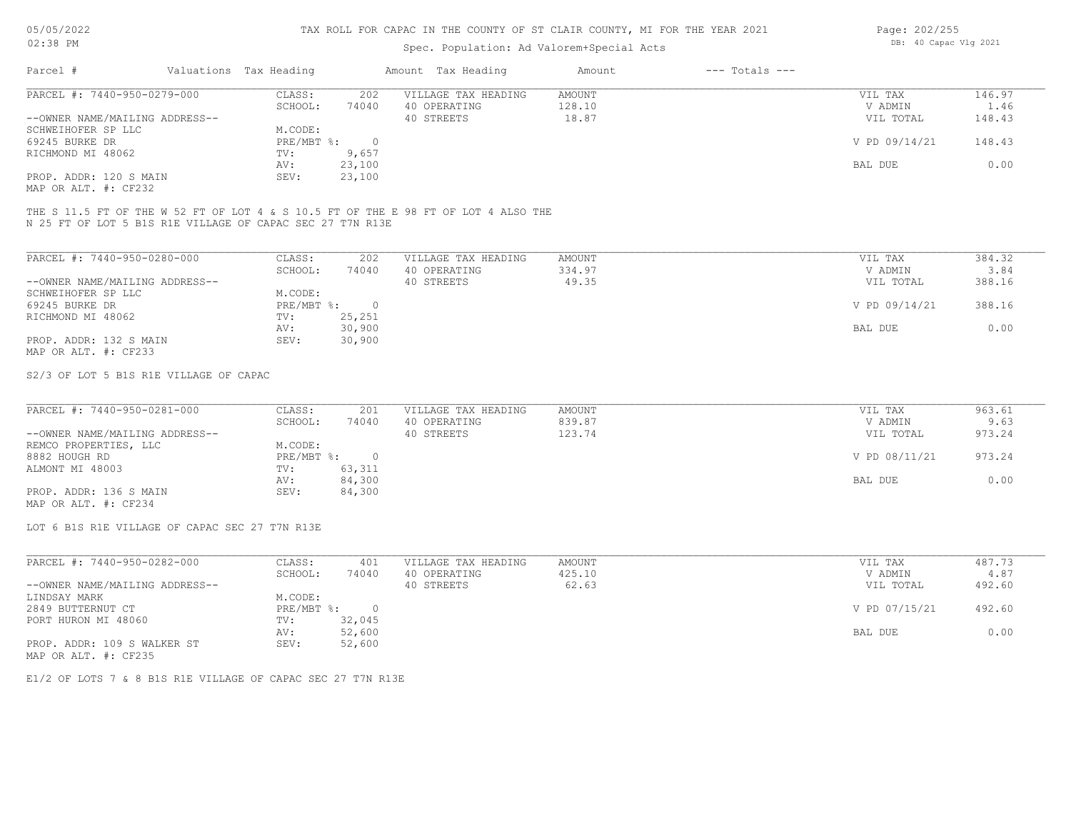## Spec. Population: Ad Valorem+Special Acts

| Page: 202/255 |                       |  |
|---------------|-----------------------|--|
|               | DB: 40 Capac Vlg 2021 |  |

| Parcel #                       | Valuations Tax Heading |        | Amount Tax Heading  | Amount | $---$ Totals $---$ |               |        |
|--------------------------------|------------------------|--------|---------------------|--------|--------------------|---------------|--------|
| PARCEL #: 7440-950-0279-000    | CLASS:                 | 202    | VILLAGE TAX HEADING | AMOUNT |                    | VIL TAX       | 146.97 |
|                                | SCHOOL:                | 74040  | 40 OPERATING        | 128.10 |                    | V ADMIN       | 1.46   |
| --OWNER NAME/MAILING ADDRESS-- |                        |        | 40 STREETS          | 18.87  |                    | VIL TOTAL     | 148.43 |
| SCHWEIHOFER SP LLC             | M.CODE:                |        |                     |        |                    |               |        |
| 69245 BURKE DR                 | PRE/MBT %:             |        |                     |        |                    | V PD 09/14/21 | 148.43 |
| RICHMOND MI 48062              | TV:                    | 9,657  |                     |        |                    |               |        |
|                                | AV:                    | 23,100 |                     |        |                    | BAL DUE       | 0.00   |
| PROP. ADDR: 120 S MAIN         | SEV:                   | 23,100 |                     |        |                    |               |        |
|                                |                        |        |                     |        |                    |               |        |

MAP OR ALT. #: CF232

N 25 FT OF LOT 5 B1S R1E VILLAGE OF CAPAC SEC 27 T7N R13E THE S 11.5 FT OF THE W 52 FT OF LOT 4 & S 10.5 FT OF THE E 98 FT OF LOT 4 ALSO THE

| PARCEL #: 7440-950-0280-000    | CLASS:     | 202    | VILLAGE TAX HEADING | AMOUNT | VIL TAX       | 384.32 |
|--------------------------------|------------|--------|---------------------|--------|---------------|--------|
|                                | SCHOOL:    | 74040  | 40 OPERATING        | 334.97 | V ADMIN       | 3.84   |
| --OWNER NAME/MAILING ADDRESS-- |            |        | 40 STREETS          | 49.35  | VIL TOTAL     | 388.16 |
| SCHWEIHOFER SP LLC             | M.CODE:    |        |                     |        |               |        |
| 69245 BURKE DR                 | PRE/MBT %: | $\Box$ |                     |        | V PD 09/14/21 | 388.16 |
| RICHMOND MI 48062              | TV:        | 25,251 |                     |        |               |        |
|                                | AV:        | 30,900 |                     |        | BAL DUE       | 0.00   |
| PROP. ADDR: 132 S MAIN         | SEV:       | 30,900 |                     |        |               |        |
| MAP OR ALT. #: CF233           |            |        |                     |        |               |        |

S2/3 OF LOT 5 B1S R1E VILLAGE OF CAPAC

| PARCEL #: 7440-950-0281-000    | CLASS:     | 201    | VILLAGE TAX HEADING | AMOUNT | VIL TAX       | 963.61 |
|--------------------------------|------------|--------|---------------------|--------|---------------|--------|
|                                | SCHOOL:    | 74040  | 40 OPERATING        | 839.87 | V ADMIN       | 9.63   |
| --OWNER NAME/MAILING ADDRESS-- |            |        | 40 STREETS          | 123.74 | VIL TOTAL     | 973.24 |
| REMCO PROPERTIES, LLC          | M.CODE:    |        |                     |        |               |        |
| 8882 HOUGH RD                  | PRE/MBT %: |        |                     |        | V PD 08/11/21 | 973.24 |
| ALMONT MI 48003                | TV:        | 63,311 |                     |        |               |        |
|                                | AV:        | 84,300 |                     |        | BAL DUE       | 0.00   |
| PROP. ADDR: 136 S MAIN         | SEV:       | 84,300 |                     |        |               |        |
|                                |            |        |                     |        |               |        |

MAP OR ALT. #: CF234

LOT 6 B1S R1E VILLAGE OF CAPAC SEC 27 T7N R13E

| PARCEL #: 7440-950-0282-000    | CLASS:       | 401    | VILLAGE TAX HEADING | AMOUNT | VIL TAX       | 487.73 |
|--------------------------------|--------------|--------|---------------------|--------|---------------|--------|
|                                | SCHOOL:      | 74040  | 40 OPERATING        | 425.10 | V ADMIN       | 4.87   |
| --OWNER NAME/MAILING ADDRESS-- |              |        | 40 STREETS          | 62.63  | VIL TOTAL     | 492.60 |
| LINDSAY MARK                   | M.CODE:      |        |                     |        |               |        |
| 2849 BUTTERNUT CT              | $PRE/MBT$ %: |        |                     |        | V PD 07/15/21 | 492.60 |
| PORT HURON MI 48060            | TV:          | 32,045 |                     |        |               |        |
|                                | AV:          | 52,600 |                     |        | BAL DUE       | 0.00   |
| PROP. ADDR: 109 S WALKER ST    | SEV:         | 52,600 |                     |        |               |        |
| MAP OR ALT. #: CF235           |              |        |                     |        |               |        |

E1/2 OF LOTS 7 & 8 B1S R1E VILLAGE OF CAPAC SEC 27 T7N R13E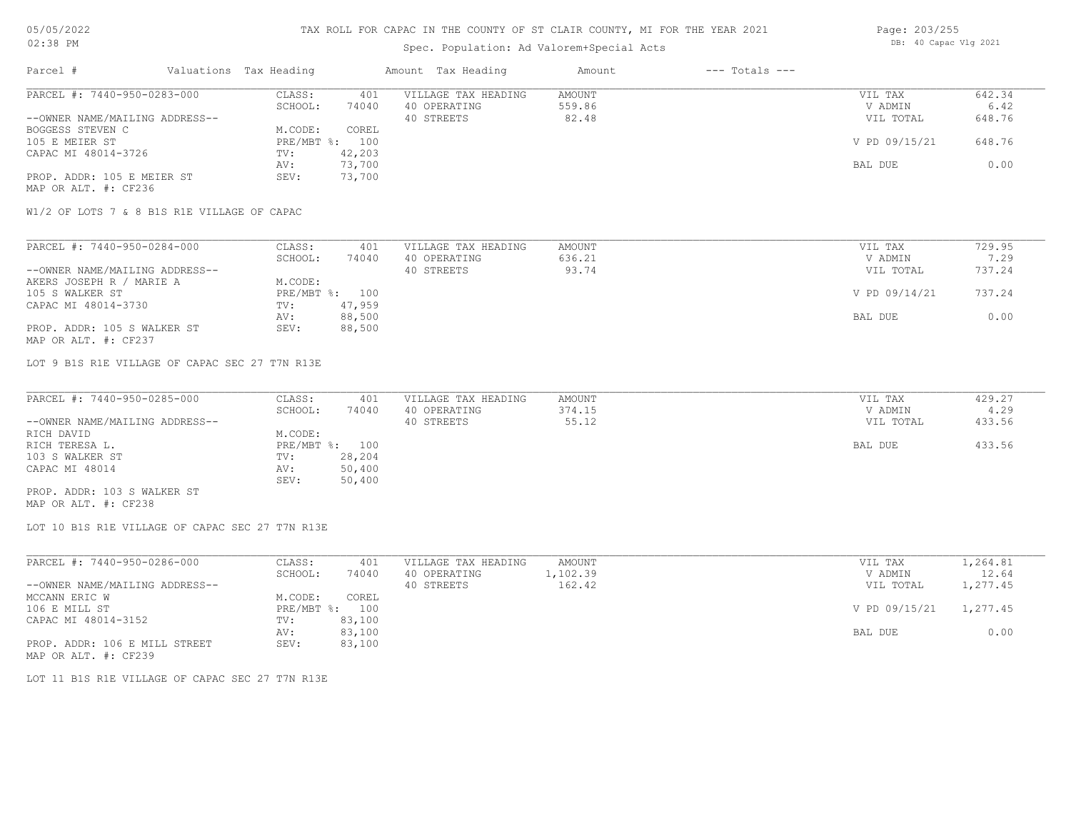# Spec. Population: Ad Valorem+Special Acts

| Page: 203/255 |                       |  |
|---------------|-----------------------|--|
|               | DB: 40 Capac Vlg 2021 |  |

| Parcel #                       | Valuations Tax Heading |        | Amount Tax Heading  | Amount | $---$ Totals $---$ |               |        |
|--------------------------------|------------------------|--------|---------------------|--------|--------------------|---------------|--------|
| PARCEL #: 7440-950-0283-000    | CLASS:                 | 401    | VILLAGE TAX HEADING | AMOUNT |                    | VIL TAX       | 642.34 |
|                                | SCHOOL:                | 74040  | 40 OPERATING        | 559.86 |                    | V ADMIN       | 6.42   |
| --OWNER NAME/MAILING ADDRESS-- |                        |        | 40 STREETS          | 82.48  |                    | VIL TOTAL     | 648.76 |
| BOGGESS STEVEN C               | M.CODE:                | COREL  |                     |        |                    |               |        |
| 105 E MEIER ST                 | $PRE/MBT$ %:           | 100    |                     |        |                    | V PD 09/15/21 | 648.76 |
| CAPAC MI 48014-3726            | TV:                    | 42,203 |                     |        |                    |               |        |
|                                | AV:                    | 73,700 |                     |        |                    | BAL DUE       | 0.00   |
| PROP. ADDR: 105 E MEIER ST     | SEV:                   | 73,700 |                     |        |                    |               |        |
| MAP OR ALT. #: CF236           |                        |        |                     |        |                    |               |        |

W1/2 OF LOTS 7 & 8 B1S R1E VILLAGE OF CAPAC

| PARCEL #: 7440-950-0284-000    | CLASS:  | 401            | VILLAGE TAX HEADING | AMOUNT | VIL TAX       | 729.95 |
|--------------------------------|---------|----------------|---------------------|--------|---------------|--------|
|                                | SCHOOL: | 74040          | 40 OPERATING        | 636.21 | V ADMIN       | 7.29   |
| --OWNER NAME/MAILING ADDRESS-- |         |                | 40 STREETS          | 93.74  | VIL TOTAL     | 737.24 |
| AKERS JOSEPH R / MARIE A       | M.CODE: |                |                     |        |               |        |
| 105 S WALKER ST                |         | PRE/MBT %: 100 |                     |        | V PD 09/14/21 | 737.24 |
| CAPAC MI 48014-3730            | TV:     | 47,959         |                     |        |               |        |
|                                | AV:     | 88,500         |                     |        | BAL DUE       | 0.00   |
| PROP. ADDR: 105 S WALKER ST    | SEV:    | 88,500         |                     |        |               |        |
| MAP OR ALT. #: CF237           |         |                |                     |        |               |        |

LOT 9 B1S R1E VILLAGE OF CAPAC SEC 27 T7N R13E

| PARCEL #: 7440-950-0285-000    | CLASS:         | 401    | VILLAGE TAX HEADING | AMOUNT | VIL TAX   | 429.27 |
|--------------------------------|----------------|--------|---------------------|--------|-----------|--------|
|                                | SCHOOL:        | 74040  | 40 OPERATING        | 374.15 | V ADMIN   | 4.29   |
| --OWNER NAME/MAILING ADDRESS-- |                |        | 40 STREETS          | 55.12  | VIL TOTAL | 433.56 |
| RICH DAVID                     | M.CODE:        |        |                     |        |           |        |
| RICH TERESA L.                 | PRE/MBT %: 100 |        |                     |        | BAL DUE   | 433.56 |
| 103 S WALKER ST                | TV:            | 28,204 |                     |        |           |        |
| CAPAC MI 48014                 | AV:            | 50,400 |                     |        |           |        |
|                                | SEV:           | 50,400 |                     |        |           |        |
| PROP. ADDR: 103 S WALKER ST    |                |        |                     |        |           |        |

MAP OR ALT. #: CF238

LOT 10 B1S R1E VILLAGE OF CAPAC SEC 27 T7N R13E

| PARCEL #: 7440-950-0286-000    | CLASS:  | 401            | VILLAGE TAX HEADING | AMOUNT   | VIL TAX       | 1,264.81 |
|--------------------------------|---------|----------------|---------------------|----------|---------------|----------|
|                                | SCHOOL: | 74040          | 40 OPERATING        | 1,102.39 | V ADMIN       | 12.64    |
| --OWNER NAME/MAILING ADDRESS-- |         |                | 40 STREETS          | 162.42   | VIL TOTAL     | 1,277.45 |
| MCCANN ERIC W                  | M.CODE: | COREL          |                     |          |               |          |
| 106 E MILL ST                  |         | PRE/MBT %: 100 |                     |          | V PD 09/15/21 | 1,277.45 |
| CAPAC MI 48014-3152            | TV:     | 83,100         |                     |          |               |          |
|                                | AV:     | 83,100         |                     |          | BAL DUE       | 0.00     |
| PROP. ADDR: 106 E MILL STREET  | SEV:    | 83,100         |                     |          |               |          |
| MAP OR ALT. #: CF239           |         |                |                     |          |               |          |

LOT 11 B1S R1E VILLAGE OF CAPAC SEC 27 T7N R13E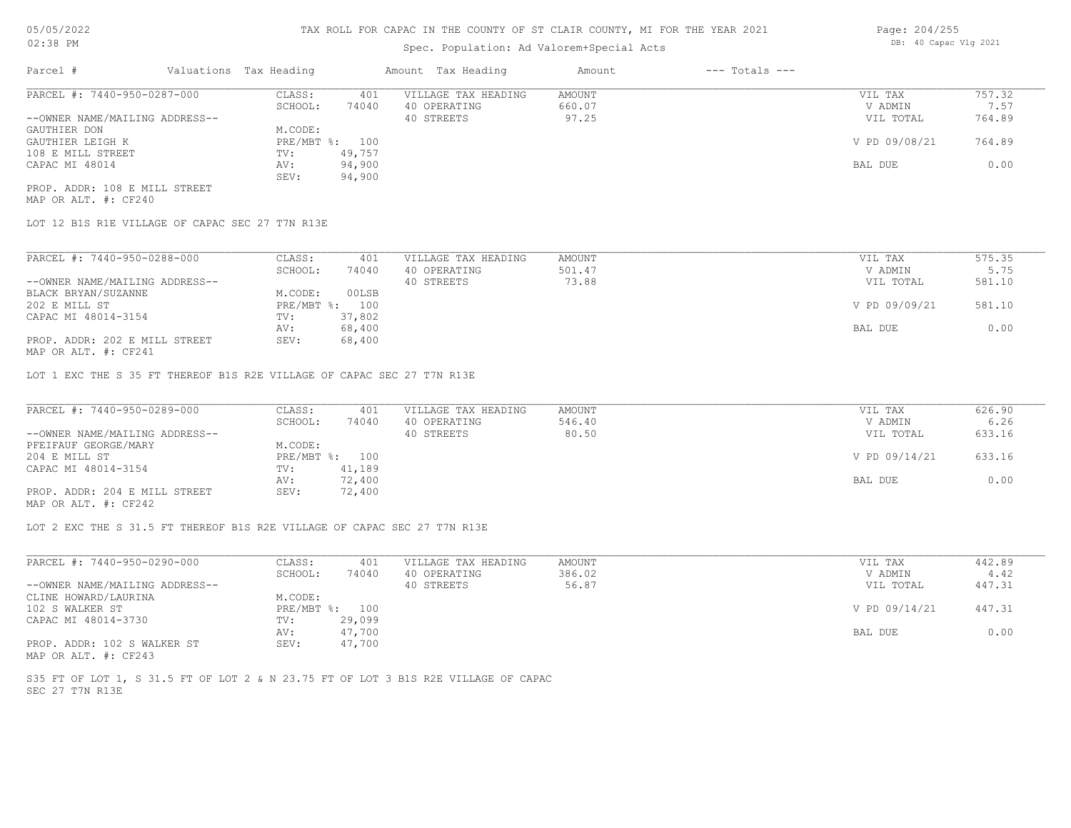## Spec. Population: Ad Valorem+Special Acts

| Parcel #                       | Valuations Tax Heading |        | Amount Tax Heading  | Amount | $---$ Totals $---$ |               |        |
|--------------------------------|------------------------|--------|---------------------|--------|--------------------|---------------|--------|
| PARCEL #: 7440-950-0287-000    | CLASS:                 | 401    | VILLAGE TAX HEADING | AMOUNT |                    | VIL TAX       | 757.32 |
|                                | SCHOOL:                | 74040  | 40 OPERATING        | 660.07 |                    | V ADMIN       | 7.57   |
| --OWNER NAME/MAILING ADDRESS-- |                        |        | 40 STREETS          | 97.25  |                    | VIL TOTAL     | 764.89 |
| GAUTHIER DON                   | M.CODE:                |        |                     |        |                    |               |        |
| GAUTHIER LEIGH K               | PRE/MBT %: 100         |        |                     |        |                    | V PD 09/08/21 | 764.89 |
| 108 E MILL STREET              | TV:                    | 49,757 |                     |        |                    |               |        |
| CAPAC MI 48014                 | AV:                    | 94,900 |                     |        |                    | BAL DUE       | 0.00   |
|                                | SEV:                   | 94,900 |                     |        |                    |               |        |
| PROP. ADDR: 108 E MILL STREET  |                        |        |                     |        |                    |               |        |

MAP OR ALT. #: CF240

LOT 12 B1S R1E VILLAGE OF CAPAC SEC 27 T7N R13E

| PARCEL #: 7440-950-0288-000                    | CLASS:       | 401    | VILLAGE TAX HEADING | AMOUNT | VIL TAX       | 575.35 |
|------------------------------------------------|--------------|--------|---------------------|--------|---------------|--------|
|                                                | SCHOOL:      | 74040  | 40 OPERATING        | 501.47 | V ADMIN       | 5.75   |
| --OWNER NAME/MAILING ADDRESS--                 |              |        | 40 STREETS          | 73.88  | VIL TOTAL     | 581.10 |
| BLACK BRYAN/SUZANNE                            | M.CODE:      | 00LSB  |                     |        |               |        |
| 202 E MILL ST                                  | $PRE/MBT$ %: | 100    |                     |        | V PD 09/09/21 | 581.10 |
| CAPAC MI 48014-3154                            | TV:          | 37,802 |                     |        |               |        |
|                                                | AV:          | 68,400 |                     |        | BAL DUE       | 0.00   |
| PROP. ADDR: 202 E MILL STREET<br>$\frac{1}{2}$ | SEV:         | 68,400 |                     |        |               |        |

MAP OR ALT. #: CF241

LOT 1 EXC THE S 35 FT THEREOF B1S R2E VILLAGE OF CAPAC SEC 27 T7N R13E

| PARCEL #: 7440-950-0289-000    | CLASS:  | 401            | VILLAGE TAX HEADING | AMOUNT | VIL TAX       | 626.90 |
|--------------------------------|---------|----------------|---------------------|--------|---------------|--------|
|                                | SCHOOL: | 74040          | 40 OPERATING        | 546.40 | V ADMIN       | 6.26   |
| --OWNER NAME/MAILING ADDRESS-- |         |                | 40 STREETS          | 80.50  | VIL TOTAL     | 633.16 |
| PFEIFAUF GEORGE/MARY           | M.CODE: |                |                     |        |               |        |
| 204 E MILL ST                  |         | PRE/MBT %: 100 |                     |        | V PD 09/14/21 | 633.16 |
| CAPAC MI 48014-3154            | TV:     | 41,189         |                     |        |               |        |
|                                | AV:     | 72,400         |                     |        | BAL DUE       | 0.00   |
| PROP. ADDR: 204 E MILL STREET  | SEV:    | 72,400         |                     |        |               |        |
|                                |         |                |                     |        |               |        |

MAP OR ALT. #: CF242

LOT 2 EXC THE S 31.5 FT THEREOF B1S R2E VILLAGE OF CAPAC SEC 27 T7N R13E

| PARCEL #: 7440-950-0290-000    | CLASS:  | 401            | VILLAGE TAX HEADING | AMOUNT | VIL TAX       | 442.89 |
|--------------------------------|---------|----------------|---------------------|--------|---------------|--------|
|                                | SCHOOL: | 74040          | 40 OPERATING        | 386.02 | V ADMIN       | 4.42   |
| --OWNER NAME/MAILING ADDRESS-- |         |                | 40 STREETS          | 56.87  | VIL TOTAL     | 447.31 |
| CLINE HOWARD/LAURINA           | M.CODE: |                |                     |        |               |        |
| 102 S WALKER ST                |         | PRE/MBT %: 100 |                     |        | V PD 09/14/21 | 447.31 |
| CAPAC MI 48014-3730            | TV:     | 29,099         |                     |        |               |        |
|                                | AV:     | 47,700         |                     |        | BAL DUE       | 0.00   |
| PROP. ADDR: 102 S WALKER ST    | SEV:    | 47,700         |                     |        |               |        |
| MAP OR ALT. #: CF243           |         |                |                     |        |               |        |

SEC 27 T7N R13E S35 FT OF LOT 1, S 31.5 FT OF LOT 2 & N 23.75 FT OF LOT 3 B1S R2E VILLAGE OF CAPAC Page: 204/255 DB: 40 Capac Vlg 2021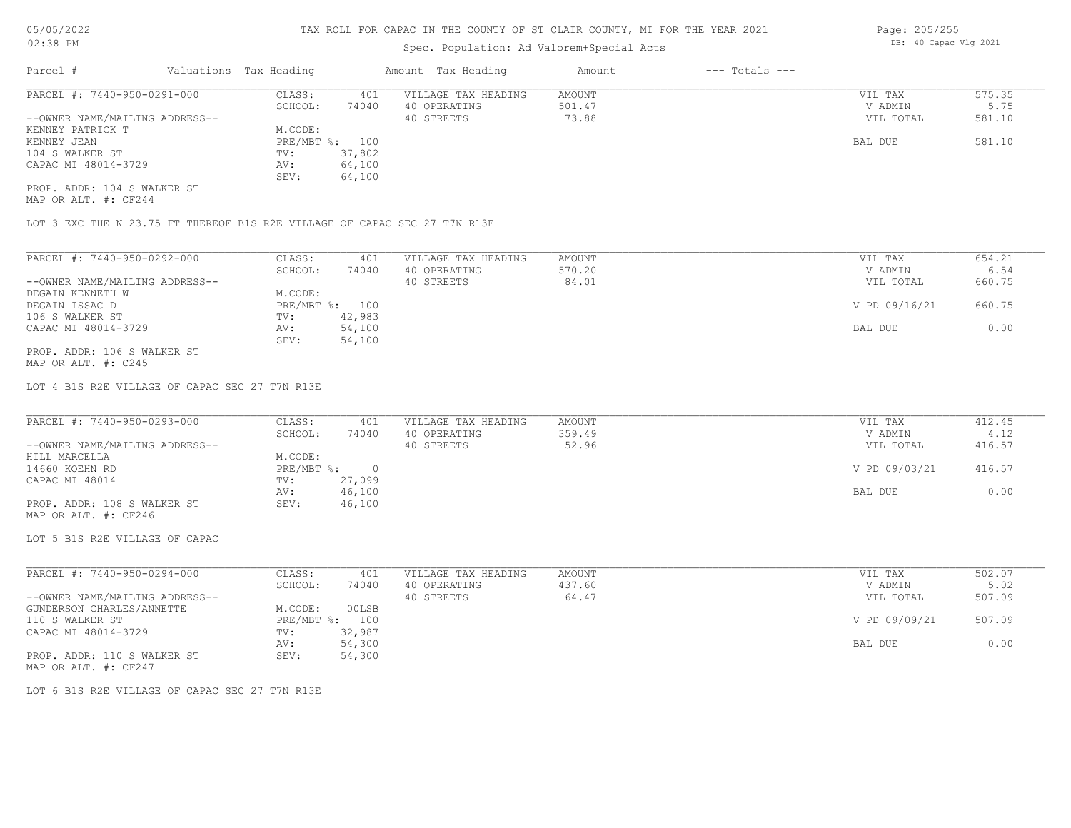# Spec. Population: Ad Valorem+Special Acts

| Parcel #                       | Valuations Tax Heading |        | Amount Tax Heading  | Amount | $---$ Totals $---$ |           |        |
|--------------------------------|------------------------|--------|---------------------|--------|--------------------|-----------|--------|
| PARCEL #: 7440-950-0291-000    | CLASS:                 | 401    | VILLAGE TAX HEADING | AMOUNT |                    | VIL TAX   | 575.35 |
|                                | SCHOOL:                | 74040  | 40 OPERATING        | 501.47 |                    | V ADMIN   | 5.75   |
| --OWNER NAME/MAILING ADDRESS-- |                        |        | 40 STREETS          | 73.88  |                    | VIL TOTAL | 581.10 |
| KENNEY PATRICK T               | M.CODE:                |        |                     |        |                    |           |        |
| KENNEY JEAN                    | PRE/MBT %: 100         |        |                     |        |                    | BAL DUE   | 581.10 |
| 104 S WALKER ST                | TV:                    | 37,802 |                     |        |                    |           |        |
| CAPAC MI 48014-3729            | AV:                    | 64,100 |                     |        |                    |           |        |
|                                | SEV:                   | 64,100 |                     |        |                    |           |        |
| PROP. ADDR: 104 S WALKER ST    |                        |        |                     |        |                    |           |        |

MAP OR ALT. #: CF244

LOT 3 EXC THE N 23.75 FT THEREOF B1S R2E VILLAGE OF CAPAC SEC 27 T7N R13E

| PARCEL #: 7440-950-0292-000    | CLASS:     | 401    | VILLAGE TAX HEADING | AMOUNT | VIL TAX       | 654.21 |
|--------------------------------|------------|--------|---------------------|--------|---------------|--------|
|                                | SCHOOL:    | 74040  | 40 OPERATING        | 570.20 | V ADMIN       | 6.54   |
| --OWNER NAME/MAILING ADDRESS-- |            |        | 40 STREETS          | 84.01  | VIL TOTAL     | 660.75 |
| DEGAIN KENNETH W               | M.CODE:    |        |                     |        |               |        |
| DEGAIN ISSAC D                 | PRE/MBT %: | 100    |                     |        | V PD 09/16/21 | 660.75 |
| 106 S WALKER ST                | TV:        | 42,983 |                     |        |               |        |
| CAPAC MI 48014-3729            | AV:        | 54,100 |                     |        | BAL DUE       | 0.00   |
|                                | SEV:       | 54,100 |                     |        |               |        |
| PROP. ADDR: 106 S WALKER ST    |            |        |                     |        |               |        |

MAP OR ALT. #: C245

LOT 4 B1S R2E VILLAGE OF CAPAC SEC 27 T7N R13E

| PARCEL #: 7440-950-0293-000    | CLASS:     | 401    | VILLAGE TAX HEADING | AMOUNT | VIL TAX       | 412.45 |
|--------------------------------|------------|--------|---------------------|--------|---------------|--------|
|                                | SCHOOL:    | 74040  | 40 OPERATING        | 359.49 | V ADMIN       | 4.12   |
| --OWNER NAME/MAILING ADDRESS-- |            |        | 40 STREETS          | 52.96  | VIL TOTAL     | 416.57 |
| HILL MARCELLA                  | M.CODE:    |        |                     |        |               |        |
| 14660 KOEHN RD                 | PRE/MBT %: |        |                     |        | V PD 09/03/21 | 416.57 |
| CAPAC MI 48014                 | TV:        | 27,099 |                     |        |               |        |
|                                | AV:        | 46,100 |                     |        | BAL DUE       | 0.00   |
| PROP. ADDR: 108 S WALKER ST    | SEV:       | 46,100 |                     |        |               |        |
| MAP OR ALT. #: CF246           |            |        |                     |        |               |        |

LOT 5 B1S R2E VILLAGE OF CAPAC

| PARCEL #: 7440-950-0294-000    | CLASS:     | 401    | VILLAGE TAX HEADING | AMOUNT | VIL TAX       | 502.07 |
|--------------------------------|------------|--------|---------------------|--------|---------------|--------|
|                                | SCHOOL:    | 74040  | 40 OPERATING        | 437.60 | V ADMIN       | 5.02   |
| --OWNER NAME/MAILING ADDRESS-- |            |        | 40 STREETS          | 64.47  | VIL TOTAL     | 507.09 |
| GUNDERSON CHARLES/ANNETTE      | M.CODE:    | 00LSB  |                     |        |               |        |
| 110 S WALKER ST                | PRE/MBT %: | 100    |                     |        | V PD 09/09/21 | 507.09 |
| CAPAC MI 48014-3729            | TV:        | 32,987 |                     |        |               |        |
|                                | AV:        | 54,300 |                     |        | BAL DUE       | 0.00   |
| PROP. ADDR: 110 S WALKER ST    | SEV:       | 54,300 |                     |        |               |        |

MAP OR ALT. #: CF247

LOT 6 B1S R2E VILLAGE OF CAPAC SEC 27 T7N R13E

Page: 205/255 DB: 40 Capac Vlg 2021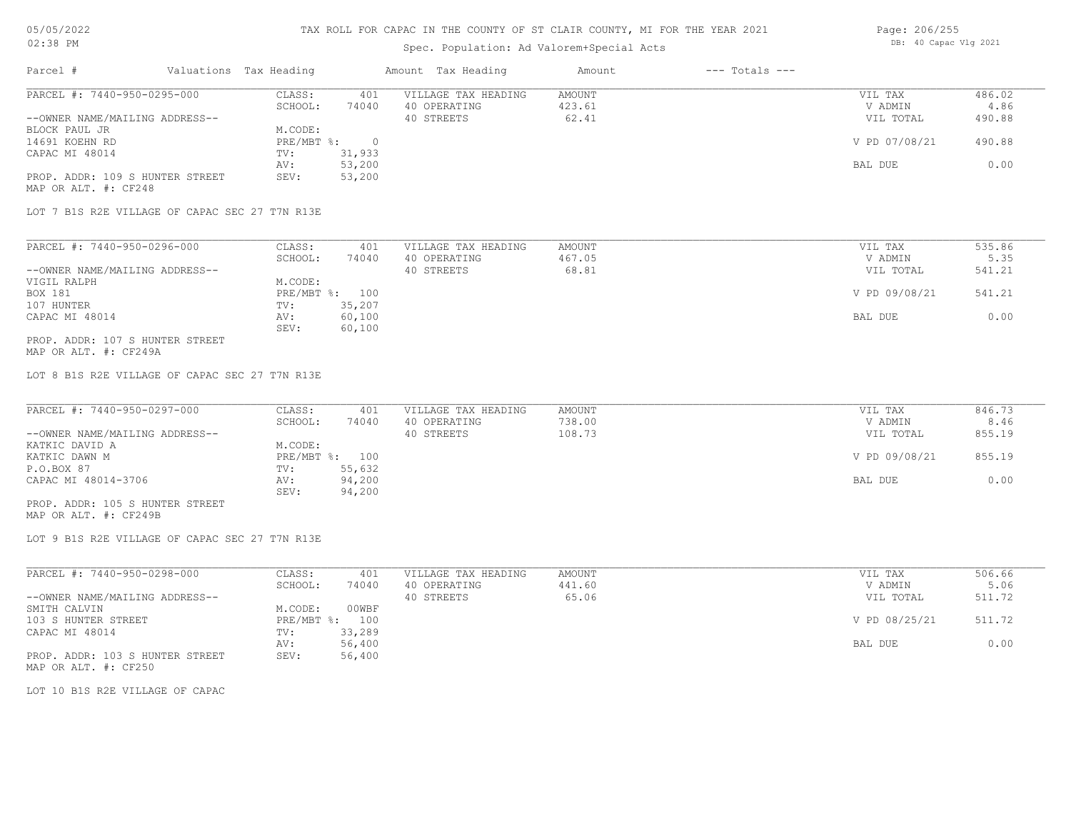## Spec. Population: Ad Valorem+Special Acts

| Page: 206/255 |                       |  |
|---------------|-----------------------|--|
|               | DB: 40 Capac Vlg 2021 |  |

| Parcel #                        | Valuations Tax Heading |        | Amount Tax Heading  | Amount | $---$ Totals $---$ |               |        |
|---------------------------------|------------------------|--------|---------------------|--------|--------------------|---------------|--------|
| PARCEL #: 7440-950-0295-000     | CLASS:                 | 401    | VILLAGE TAX HEADING | AMOUNT |                    | VIL TAX       | 486.02 |
|                                 | SCHOOL:                | 74040  | 40 OPERATING        | 423.61 |                    | V ADMIN       | 4.86   |
| --OWNER NAME/MAILING ADDRESS--  |                        |        | 40 STREETS          | 62.41  |                    | VIL TOTAL     | 490.88 |
| BLOCK PAUL JR                   | M.CODE:                |        |                     |        |                    |               |        |
| 14691 KOEHN RD                  | $PRE/MBT$ %:           |        |                     |        |                    | V PD 07/08/21 | 490.88 |
| CAPAC MI 48014                  | TV:                    | 31,933 |                     |        |                    |               |        |
|                                 | AV:                    | 53,200 |                     |        |                    | BAL DUE       | 0.00   |
| PROP. ADDR: 109 S HUNTER STREET | SEV:                   | 53,200 |                     |        |                    |               |        |
| MAP OR ALT. #: CF248            |                        |        |                     |        |                    |               |        |

LOT 7 B1S R2E VILLAGE OF CAPAC SEC 27 T7N R13E

| PARCEL #: 7440-950-0296-000     | CLASS:  | 401            | VILLAGE TAX HEADING | AMOUNT | VIL TAX       | 535.86 |
|---------------------------------|---------|----------------|---------------------|--------|---------------|--------|
|                                 | SCHOOL: | 74040          | 40 OPERATING        | 467.05 | V ADMIN       | 5.35   |
| --OWNER NAME/MAILING ADDRESS--  |         |                | 40 STREETS          | 68.81  | VIL TOTAL     | 541.21 |
| VIGIL RALPH                     | M.CODE: |                |                     |        |               |        |
| BOX 181                         |         | PRE/MBT %: 100 |                     |        | V PD 09/08/21 | 541.21 |
| 107 HUNTER                      | TV:     | 35,207         |                     |        |               |        |
| CAPAC MI 48014                  | AV:     | 60,100         |                     |        | BAL DUE       | 0.00   |
|                                 | SEV:    | 60,100         |                     |        |               |        |
| PROP. ADDR: 107 S HUNTER STREET |         |                |                     |        |               |        |

MAP OR ALT. #: CF249A

LOT 8 B1S R2E VILLAGE OF CAPAC SEC 27 T7N R13E

| PARCEL #: 7440-950-0297-000     | CLASS:  | 401            | VILLAGE TAX HEADING | AMOUNT | VIL TAX       | 846.73 |
|---------------------------------|---------|----------------|---------------------|--------|---------------|--------|
|                                 | SCHOOL: | 74040          | 40 OPERATING        | 738.00 | V ADMIN       | 8.46   |
| --OWNER NAME/MAILING ADDRESS--  |         |                | 40 STREETS          | 108.73 | VIL TOTAL     | 855.19 |
| KATKIC DAVID A                  | M.CODE: |                |                     |        |               |        |
| KATKIC DAWN M                   |         | PRE/MBT %: 100 |                     |        | V PD 09/08/21 | 855.19 |
| P.O.BOX 87                      | TV:     | 55,632         |                     |        |               |        |
| CAPAC MI 48014-3706             | AV:     | 94,200         |                     |        | BAL DUE       | 0.00   |
|                                 | SEV:    | 94,200         |                     |        |               |        |
| PROP. ADDR: 105 S HUNTER STREET |         |                |                     |        |               |        |

MAP OR ALT. #: CF249B

LOT 9 B1S R2E VILLAGE OF CAPAC SEC 27 T7N R13E

| PARCEL #: 7440-950-0298-000     | CLASS:       | 401    | VILLAGE TAX HEADING | AMOUNT | VIL TAX       | 506.66 |
|---------------------------------|--------------|--------|---------------------|--------|---------------|--------|
|                                 | SCHOOL:      | 74040  | 40 OPERATING        | 441.60 | V ADMIN       | 5.06   |
| --OWNER NAME/MAILING ADDRESS--  |              |        | 40 STREETS          | 65.06  | VIL TOTAL     | 511.72 |
| SMITH CALVIN                    | M.CODE:      | 00WBF  |                     |        |               |        |
| 103 S HUNTER STREET             | $PRE/MBT$ %: | 100    |                     |        | V PD 08/25/21 | 511.72 |
| CAPAC MI 48014                  | TV:          | 33,289 |                     |        |               |        |
|                                 | AV:          | 56,400 |                     |        | BAL DUE       | 0.00   |
| PROP. ADDR: 103 S HUNTER STREET | SEV:         | 56,400 |                     |        |               |        |
| MAP OR ALT. #: CF250            |              |        |                     |        |               |        |

LOT 10 B1S R2E VILLAGE OF CAPAC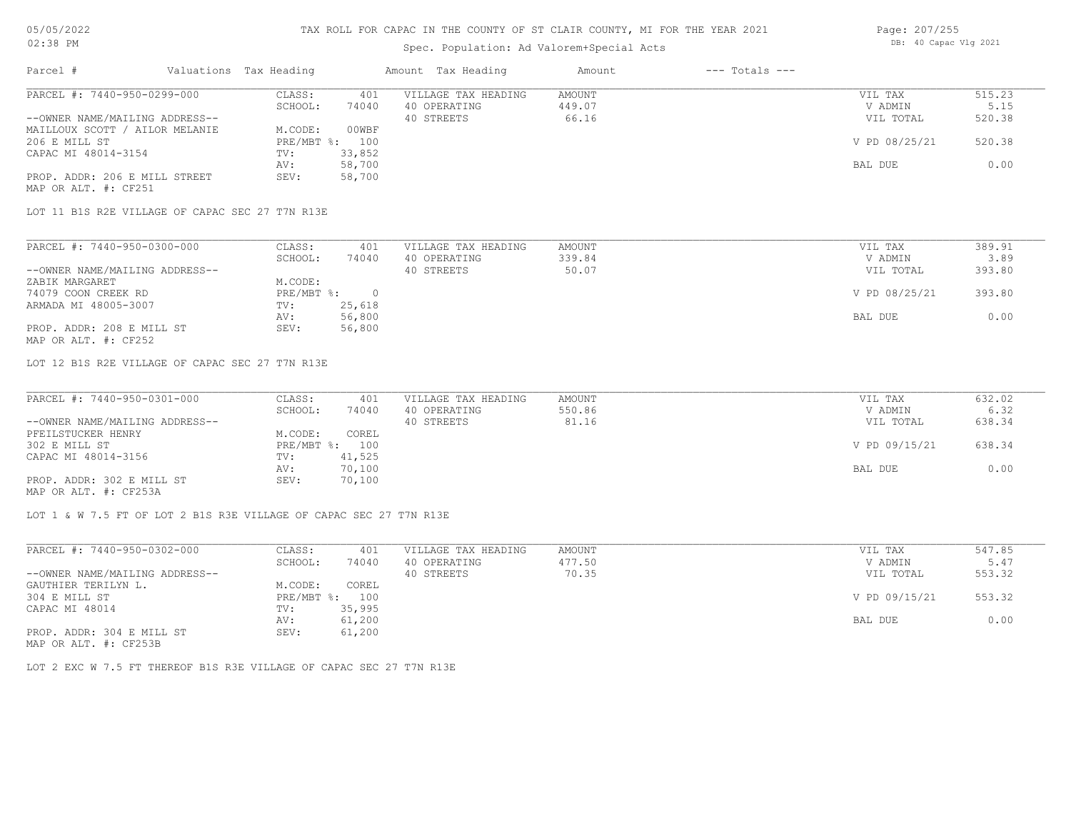## Spec. Population: Ad Valorem+Special Acts

| Page: 207/255 |                       |  |
|---------------|-----------------------|--|
|               | DB: 40 Capac Vlg 2021 |  |

| Parcel #                       | Valuations Tax Heading |        | Amount Tax Heading  | Amount | $---$ Totals $---$ |               |        |
|--------------------------------|------------------------|--------|---------------------|--------|--------------------|---------------|--------|
| PARCEL #: 7440-950-0299-000    | CLASS:                 | 401    | VILLAGE TAX HEADING | AMOUNT |                    | VIL TAX       | 515.23 |
|                                | SCHOOL:                | 74040  | 40 OPERATING        | 449.07 |                    | V ADMIN       | 5.15   |
| --OWNER NAME/MAILING ADDRESS-- |                        |        | 40 STREETS          | 66.16  |                    | VIL TOTAL     | 520.38 |
| MAILLOUX SCOTT / AILOR MELANIE | M.CODE:                | 00WBF  |                     |        |                    |               |        |
| 206 E MILL ST                  | $PRE/MBT$ %:           | 100    |                     |        |                    | V PD 08/25/21 | 520.38 |
| CAPAC MI 48014-3154            | TV:                    | 33,852 |                     |        |                    |               |        |
|                                | AV:                    | 58,700 |                     |        |                    | BAL DUE       | 0.00   |
| PROP. ADDR: 206 E MILL STREET  | SEV:                   | 58,700 |                     |        |                    |               |        |
| MAP OR ALT. #: CF251           |                        |        |                     |        |                    |               |        |

LOT 11 B1S R2E VILLAGE OF CAPAC SEC 27 T7N R13E

| PARCEL #: 7440-950-0300-000    | CLASS:     | 401    | VILLAGE TAX HEADING | AMOUNT | VIL TAX       | 389.91 |
|--------------------------------|------------|--------|---------------------|--------|---------------|--------|
|                                | SCHOOL:    | 74040  | 40 OPERATING        | 339.84 | V ADMIN       | 3.89   |
| --OWNER NAME/MAILING ADDRESS-- |            |        | 40 STREETS          | 50.07  | VIL TOTAL     | 393.80 |
| ZABIK MARGARET                 | M.CODE:    |        |                     |        |               |        |
| 74079 COON CREEK RD            | PRE/MBT %: |        |                     |        | V PD 08/25/21 | 393.80 |
| ARMADA MI 48005-3007           | TV:        | 25,618 |                     |        |               |        |
|                                | AV:        | 56,800 |                     |        | BAL DUE       | 0.00   |
| PROP. ADDR: 208 E MILL ST      | SEV:       | 56,800 |                     |        |               |        |
| MAP OR ALT. #: CF252           |            |        |                     |        |               |        |

LOT 12 B1S R2E VILLAGE OF CAPAC SEC 27 T7N R13E

| PARCEL #: 7440-950-0301-000    | CLASS:  | 401            | VILLAGE TAX HEADING | AMOUNT | VIL TAX       | 632.02 |
|--------------------------------|---------|----------------|---------------------|--------|---------------|--------|
|                                | SCHOOL: | 74040          | 40 OPERATING        | 550.86 | V ADMIN       | 6.32   |
| --OWNER NAME/MAILING ADDRESS-- |         |                | 40 STREETS          | 81.16  | VIL TOTAL     | 638.34 |
| PFEILSTUCKER HENRY             | M.CODE: | COREL          |                     |        |               |        |
| 302 E MILL ST                  |         | PRE/MBT %: 100 |                     |        | V PD 09/15/21 | 638.34 |
| CAPAC MI 48014-3156            | TV:     | 41,525         |                     |        |               |        |
|                                | AV:     | 70,100         |                     |        | BAL DUE       | 0.00   |
| PROP. ADDR: 302 E MILL ST      | SEV:    | 70,100         |                     |        |               |        |
| MAP OR ALT. #: CF253A          |         |                |                     |        |               |        |

LOT 1 & W 7.5 FT OF LOT 2 B1S R3E VILLAGE OF CAPAC SEC 27 T7N R13E

| PARCEL #: 7440-950-0302-000                | CLASS:     | 401    | VILLAGE TAX HEADING | AMOUNT | VIL TAX       | 547.85 |
|--------------------------------------------|------------|--------|---------------------|--------|---------------|--------|
|                                            | SCHOOL:    | 74040  | 40 OPERATING        | 477.50 | V ADMIN       | 5.47   |
| --OWNER NAME/MAILING ADDRESS--             |            |        | 40 STREETS          | 70.35  | VIL TOTAL     | 553.32 |
| GAUTHIER TERILYN L.                        | M.CODE:    | COREL  |                     |        |               |        |
| 304 E MILL ST                              | PRE/MBT %: | 100    |                     |        | V PD 09/15/21 | 553.32 |
| CAPAC MI 48014                             | TV:        | 35,995 |                     |        |               |        |
|                                            | AV:        | 61,200 |                     |        | BAL DUE       | 0.00   |
| PROP. ADDR: 304 E MILL ST<br>$\frac{1}{2}$ | SEV:       | 61,200 |                     |        |               |        |

MAP OR ALT. #: CF253B

LOT 2 EXC W 7.5 FT THEREOF B1S R3E VILLAGE OF CAPAC SEC 27 T7N R13E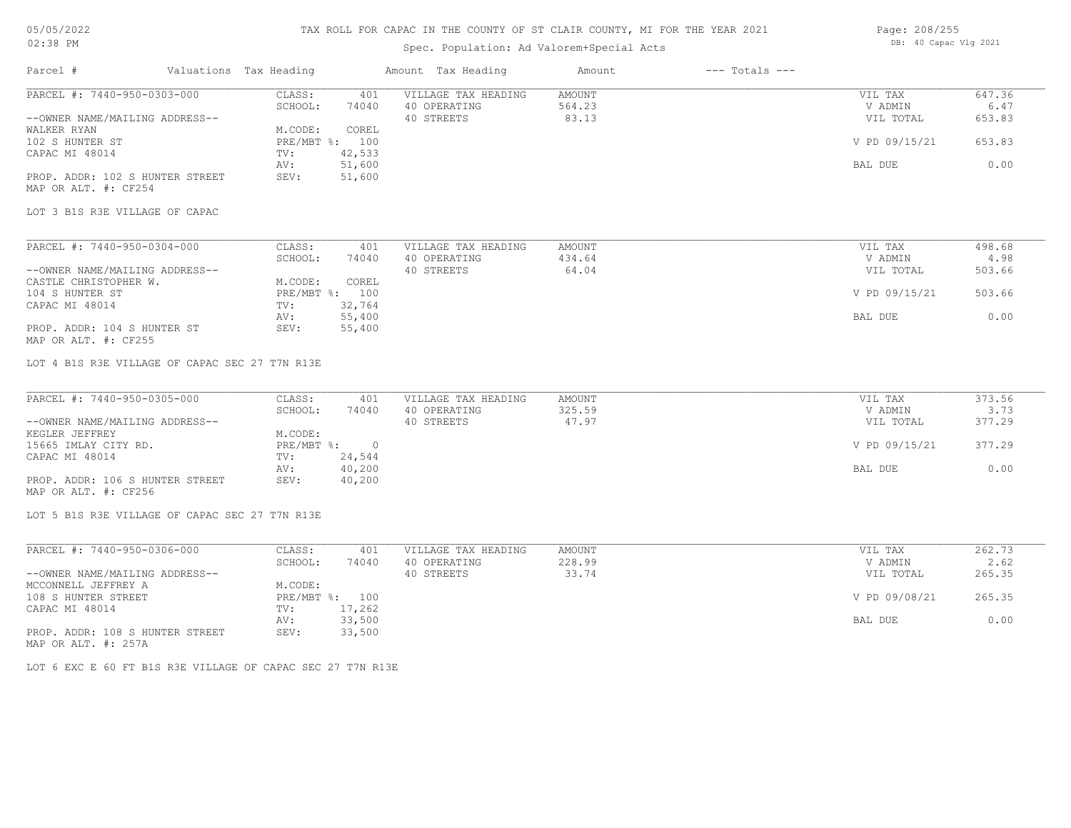## 05/05/2022 02:38 PM

## TAX ROLL FOR CAPAC IN THE COUNTY OF ST CLAIR COUNTY, MI FOR THE YEAR 2021

# Spec. Population: Ad Valorem+Special Acts

| Page: 208/255 |                       |  |  |
|---------------|-----------------------|--|--|
|               | DB: 40 Capac Vlg 2021 |  |  |

| Parcel #                                                | Valuations Tax Heading |                          | Amount Tax Heading                  | Amount           | $---$ Totals $---$ |                    |                |
|---------------------------------------------------------|------------------------|--------------------------|-------------------------------------|------------------|--------------------|--------------------|----------------|
| PARCEL #: 7440-950-0303-000                             | CLASS:<br>SCHOOL:      | 401<br>74040             | VILLAGE TAX HEADING<br>40 OPERATING | AMOUNT<br>564.23 |                    | VIL TAX<br>V ADMIN | 647.36<br>6.47 |
| --OWNER NAME/MAILING ADDRESS--                          |                        |                          | 40 STREETS                          | 83.13            |                    | VIL TOTAL          | 653.83         |
| WALKER RYAN<br>102 S HUNTER ST                          | M.CODE:                | COREL<br>PRE/MBT %: 100  |                                     |                  |                    | V PD 09/15/21      | 653.83         |
| CAPAC MI 48014                                          | TV:                    | 42,533                   |                                     |                  |                    |                    |                |
|                                                         | AV:                    | 51,600                   |                                     |                  |                    | BAL DUE            | 0.00           |
| PROP. ADDR: 102 S HUNTER STREET<br>MAP OR ALT. #: CF254 | SEV:                   | 51,600                   |                                     |                  |                    |                    |                |
| LOT 3 B1S R3E VILLAGE OF CAPAC                          |                        |                          |                                     |                  |                    |                    |                |
| PARCEL #: 7440-950-0304-000                             | CLASS:                 | 401                      | VILLAGE TAX HEADING                 | AMOUNT           |                    | VIL TAX            | 498.68         |
|                                                         | SCHOOL:                | 74040                    | 40 OPERATING                        | 434.64           |                    | V ADMIN            | 4.98           |
| --OWNER NAME/MAILING ADDRESS--                          |                        |                          | 40 STREETS                          | 64.04            |                    | VIL TOTAL          | 503.66         |
| CASTLE CHRISTOPHER W.                                   | M.CODE:                | COREL                    |                                     |                  |                    |                    |                |
| 104 S HUNTER ST<br>CAPAC MI 48014                       | TV:                    | PRE/MBT %: 100<br>32,764 |                                     |                  |                    | V PD 09/15/21      | 503.66         |
|                                                         | AV:                    | 55,400                   |                                     |                  |                    | BAL DUE            | 0.00           |
| PROP. ADDR: 104 S HUNTER ST<br>MAP OR ALT. #: CF255     | SEV:                   | 55,400                   |                                     |                  |                    |                    |                |
| LOT 4 B1S R3E VILLAGE OF CAPAC SEC 27 T7N R13E          |                        |                          |                                     |                  |                    |                    |                |
| PARCEL #: 7440-950-0305-000                             | CLASS:<br>SCHOOL:      | 401<br>74040             | VILLAGE TAX HEADING<br>40 OPERATING | AMOUNT<br>325.59 |                    | VIL TAX<br>V ADMIN | 373.56<br>3.73 |
| --OWNER NAME/MAILING ADDRESS--                          |                        |                          | 40 STREETS                          | 47.97            |                    | VIL TOTAL          | 377.29         |
| KEGLER JEFFREY                                          | M.CODE:                |                          |                                     |                  |                    |                    |                |
| 15665 IMLAY CITY RD.                                    |                        | PRE/MBT %: 0             |                                     |                  |                    | V PD 09/15/21      | 377.29         |
| CAPAC MI 48014                                          | TV:                    | 24,544                   |                                     |                  |                    |                    |                |
|                                                         | AV:                    | 40,200                   |                                     |                  |                    | BAL DUE            | 0.00           |
| PROP. ADDR: 106 S HUNTER STREET<br>MAP OR ALT. #: CF256 | SEV:                   | 40,200                   |                                     |                  |                    |                    |                |
| LOT 5 B1S R3E VILLAGE OF CAPAC SEC 27 T7N R13E          |                        |                          |                                     |                  |                    |                    |                |
| PARCEL #: 7440-950-0306-000                             | CLASS:                 | 401                      | VILLAGE TAX HEADING                 | AMOUNT           |                    | VIL TAX            | 262.73         |
|                                                         | SCHOOL:                | 74040                    | 40 OPERATING                        | 228.99           |                    | V ADMIN            | 2.62           |
| --OWNER NAME/MAILING ADDRESS--                          |                        |                          | 40 STREETS                          | 33.74            |                    | VIL TOTAL          | 265.35         |
| MCCONNELL JEFFREY A                                     | M.CODE:                |                          |                                     |                  |                    |                    |                |
| 108 S HUNTER STREET                                     |                        | PRE/MBT %: 100           |                                     |                  |                    | V PD 09/08/21      | 265.35         |
| CAPAC MI 48014                                          | TV:                    | 17,262                   |                                     |                  |                    |                    |                |
|                                                         | AV:                    | 33,500                   |                                     |                  |                    | BAL DUE            | 0.00           |
| PROP. ADDR: 108 S HUNTER STREET                         | SEV:                   | 33,500                   |                                     |                  |                    |                    |                |

MAP OR ALT. #: 257A

LOT 6 EXC E 60 FT B1S R3E VILLAGE OF CAPAC SEC 27 T7N R13E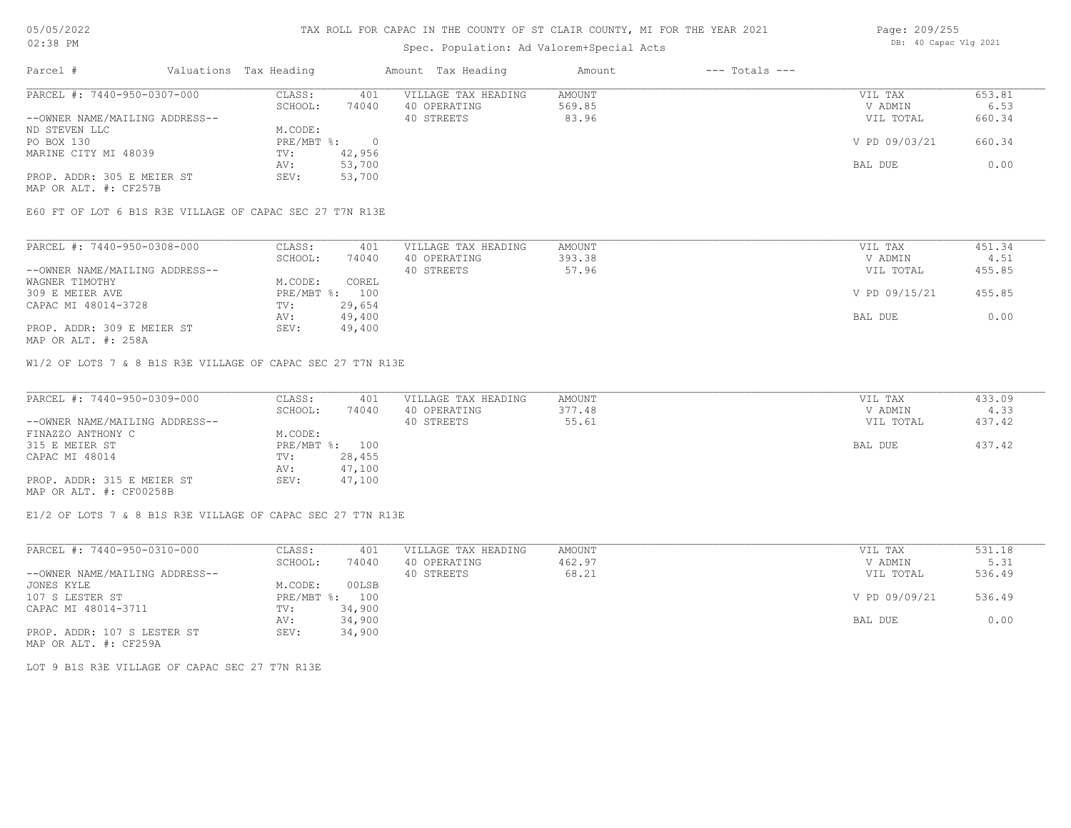### Spec. Population: Ad Valorem+Special Acts

| Page: 209/255 |                       |  |
|---------------|-----------------------|--|
|               | DB: 40 Capac Vlg 2021 |  |

| Parcel #                       | Valuations Tax Heading |        | Amount Tax Heading  | Amount | $---$ Totals $---$ |               |        |
|--------------------------------|------------------------|--------|---------------------|--------|--------------------|---------------|--------|
| PARCEL #: 7440-950-0307-000    | CLASS:                 | 401    | VILLAGE TAX HEADING | AMOUNT |                    | VIL TAX       | 653.81 |
|                                | SCHOOL:                | 74040  | 40 OPERATING        | 569.85 |                    | V ADMIN       | 6.53   |
| --OWNER NAME/MAILING ADDRESS-- |                        |        | 40 STREETS          | 83.96  |                    | VIL TOTAL     | 660.34 |
| ND STEVEN LLC                  | M.CODE:                |        |                     |        |                    |               |        |
| PO BOX 130                     | PRE/MBT %:             |        |                     |        |                    | V PD 09/03/21 | 660.34 |
| MARINE CITY MI 48039           | TV:                    | 42,956 |                     |        |                    |               |        |
|                                | AV:                    | 53,700 |                     |        |                    | BAL DUE       | 0.00   |
| PROP. ADDR: 305 E MEIER ST     | SEV:                   | 53,700 |                     |        |                    |               |        |
| MAP OR ALT. #: CF257B          |                        |        |                     |        |                    |               |        |

E60 FT OF LOT 6 B1S R3E VILLAGE OF CAPAC SEC 27 T7N R13E

| PARCEL #: 7440-950-0308-000    | CLASS:         | 401    | VILLAGE TAX HEADING | AMOUNT | VIL TAX       | 451.34 |
|--------------------------------|----------------|--------|---------------------|--------|---------------|--------|
|                                | SCHOOL:        | 74040  | 40 OPERATING        | 393.38 | V ADMIN       | 4.51   |
| --OWNER NAME/MAILING ADDRESS-- |                |        | 40 STREETS          | 57.96  | VIL TOTAL     | 455.85 |
| WAGNER TIMOTHY                 | M.CODE:        | COREL  |                     |        |               |        |
| 309 E MEIER AVE                | PRE/MBT %: 100 |        |                     |        | V PD 09/15/21 | 455.85 |
| CAPAC MI 48014-3728            | TV:            | 29,654 |                     |        |               |        |
|                                | AV:            | 49,400 |                     |        | BAL DUE       | 0.00   |
| PROP. ADDR: 309 E MEIER ST     | SEV:           | 49,400 |                     |        |               |        |

MAP OR ALT. #: 258A

W1/2 OF LOTS 7 & 8 B1S R3E VILLAGE OF CAPAC SEC 27 T7N R13E

| PARCEL #: 7440-950-0309-000    | CLASS:  | 401            | VILLAGE TAX HEADING | AMOUNT | VIL TAX   | 433.09 |
|--------------------------------|---------|----------------|---------------------|--------|-----------|--------|
|                                | SCHOOL: | 74040          | 40 OPERATING        | 377.48 | V ADMIN   | 4.33   |
| --OWNER NAME/MAILING ADDRESS-- |         |                | 40 STREETS          | 55.61  | VIL TOTAL | 437.42 |
| FINAZZO ANTHONY C              | M.CODE: |                |                     |        |           |        |
| 315 E MEIER ST                 |         | PRE/MBT %: 100 |                     |        | BAL DUE   | 437.42 |
| CAPAC MI 48014                 | TV:     | 28,455         |                     |        |           |        |
|                                | AV:     | 47,100         |                     |        |           |        |
| PROP. ADDR: 315 E MEIER ST     | SEV:    | 47,100         |                     |        |           |        |
| MAP OR ALT. #: CF00258B        |         |                |                     |        |           |        |

E1/2 OF LOTS 7 & 8 B1S R3E VILLAGE OF CAPAC SEC 27 T7N R13E

| PARCEL #: 7440-950-0310-000    | CLASS:     | 401    | VILLAGE TAX HEADING | AMOUNT | VIL TAX       | 531.18 |
|--------------------------------|------------|--------|---------------------|--------|---------------|--------|
|                                | SCHOOL:    | 74040  | 40 OPERATING        | 462.97 | V ADMIN       | 5.31   |
| --OWNER NAME/MAILING ADDRESS-- |            |        | 40 STREETS          | 68.21  | VIL TOTAL     | 536.49 |
| JONES KYLE                     | M.CODE:    | 00LSB  |                     |        |               |        |
| 107 S LESTER ST                | PRE/MBT %: | 100    |                     |        | V PD 09/09/21 | 536.49 |
| CAPAC MI 48014-3711            | TV:        | 34,900 |                     |        |               |        |
|                                | AV:        | 34,900 |                     |        | BAL DUE       | 0.00   |
| PROP. ADDR: 107 S LESTER ST    | SEV:       | 34,900 |                     |        |               |        |

MAP OR ALT. #: CF259A

LOT 9 B1S R3E VILLAGE OF CAPAC SEC 27 T7N R13E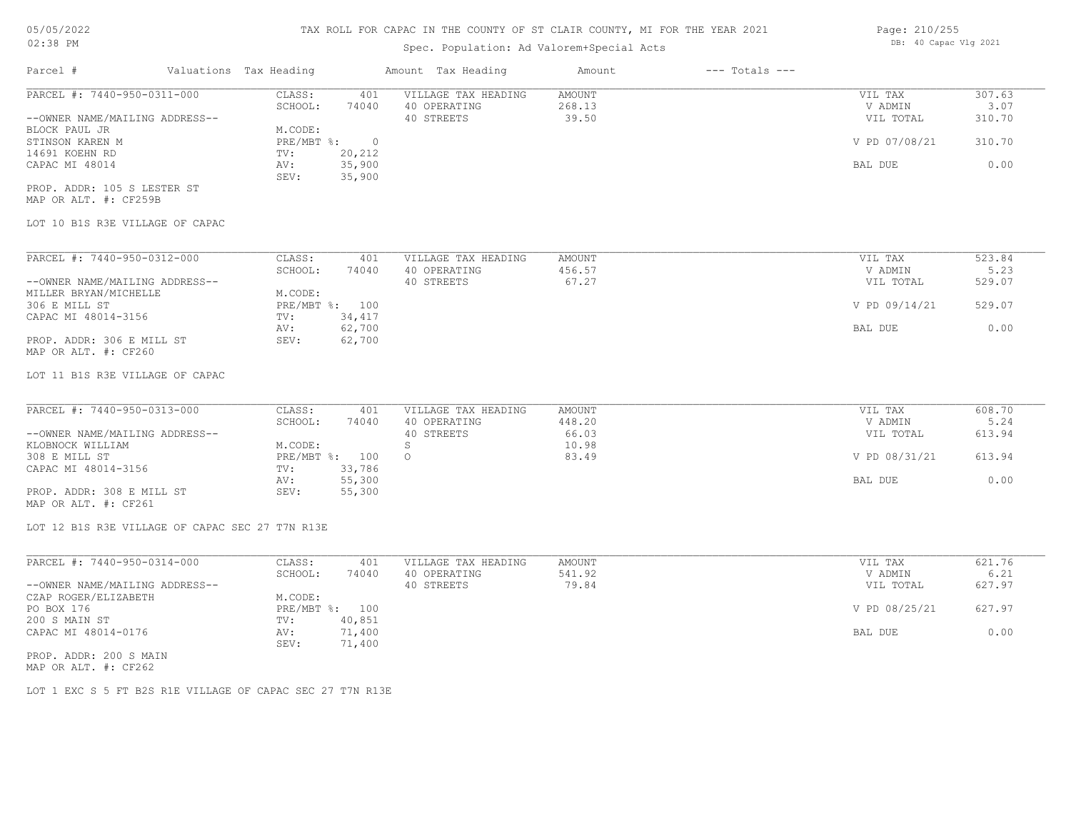## Spec. Population: Ad Valorem+Special Acts

| Page: 210/255 |                       |  |
|---------------|-----------------------|--|
|               | DB: 40 Capac Vlg 2021 |  |
|               |                       |  |

| Parcel #                       | Valuations Tax Heading |        | Amount Tax Heading  | Amount | $---$ Totals $---$ |               |        |
|--------------------------------|------------------------|--------|---------------------|--------|--------------------|---------------|--------|
| PARCEL #: 7440-950-0311-000    | CLASS:                 | 401    | VILLAGE TAX HEADING | AMOUNT |                    | VIL TAX       | 307.63 |
|                                | SCHOOL:                | 74040  | 40 OPERATING        | 268.13 |                    | V ADMIN       | 3.07   |
| --OWNER NAME/MAILING ADDRESS-- |                        |        | 40 STREETS          | 39.50  |                    | VIL TOTAL     | 310.70 |
| BLOCK PAUL JR                  | M.CODE:                |        |                     |        |                    |               |        |
| STINSON KAREN M                | PRE/MBT %:             |        |                     |        |                    | V PD 07/08/21 | 310.70 |
| 14691 KOEHN RD                 | TV:                    | 20,212 |                     |        |                    |               |        |
| CAPAC MI 48014                 | AV:                    | 35,900 |                     |        |                    | BAL DUE       | 0.00   |
|                                | SEV:                   | 35,900 |                     |        |                    |               |        |
| PROP. ADDR: 105 S LESTER ST    |                        |        |                     |        |                    |               |        |

MAP OR ALT. #: CF259B

## LOT 10 B1S R3E VILLAGE OF CAPAC

| PARCEL #: 7440-950-0312-000    | CLASS:     | 401    | VILLAGE TAX HEADING | AMOUNT | VIL TAX       | 523.84 |
|--------------------------------|------------|--------|---------------------|--------|---------------|--------|
|                                | SCHOOL:    | 74040  | 40 OPERATING        | 456.57 | V ADMIN       | 5.23   |
| --OWNER NAME/MAILING ADDRESS-- |            |        | 40 STREETS          | 67.27  | VIL TOTAL     | 529.07 |
| MILLER BRYAN/MICHELLE          | M.CODE:    |        |                     |        |               |        |
| 306 E MILL ST                  | PRE/MBT %: | 100    |                     |        | V PD 09/14/21 | 529.07 |
| CAPAC MI 48014-3156            | TV:        | 34,417 |                     |        |               |        |
|                                | AV:        | 62,700 |                     |        | BAL DUE       | 0.00   |
| PROP. ADDR: 306 E MILL ST      | SEV:       | 62,700 |                     |        |               |        |
| MAP OR ALT. #: CF260           |            |        |                     |        |               |        |

LOT 11 B1S R3E VILLAGE OF CAPAC

| PARCEL #: 7440-950-0313-000    | CLASS:     | 401    | VILLAGE TAX HEADING | AMOUNT | VIL TAX       | 608.70 |
|--------------------------------|------------|--------|---------------------|--------|---------------|--------|
|                                | SCHOOL:    | 74040  | 40 OPERATING        | 448.20 | V ADMIN       | 5.24   |
| --OWNER NAME/MAILING ADDRESS-- |            |        | 40 STREETS          | 66.03  | VIL TOTAL     | 613.94 |
| KLOBNOCK WILLIAM               | M.CODE:    |        |                     | 10.98  |               |        |
| 308 E MILL ST                  | PRE/MBT %: | 100    |                     | 83.49  | V PD 08/31/21 | 613.94 |
| CAPAC MI 48014-3156            | TV:        | 33,786 |                     |        |               |        |
|                                | AV:        | 55,300 |                     |        | BAL DUE       | 0.00   |
| PROP. ADDR: 308 E MILL ST      | SEV:       | 55,300 |                     |        |               |        |

MAP OR ALT. #: CF261

LOT 12 B1S R3E VILLAGE OF CAPAC SEC 27 T7N R13E

| PARCEL #: 7440-950-0314-000    | CLASS:  | 401            | VILLAGE TAX HEADING | AMOUNT | VIL TAX       | 621.76 |
|--------------------------------|---------|----------------|---------------------|--------|---------------|--------|
|                                | SCHOOL: | 74040          | 40 OPERATING        | 541.92 | V ADMIN       | 6.21   |
| --OWNER NAME/MAILING ADDRESS-- |         |                | 40 STREETS          | 79.84  | VIL TOTAL     | 627.97 |
| CZAP ROGER/ELIZABETH           | M.CODE: |                |                     |        |               |        |
| PO BOX 176                     |         | PRE/MBT %: 100 |                     |        | V PD 08/25/21 | 627.97 |
| 200 S MAIN ST                  | TV:     | 40,851         |                     |        |               |        |
| CAPAC MI 48014-0176            | AV:     | 71,400         |                     |        | BAL DUE       | 0.00   |
|                                | SEV:    | 71,400         |                     |        |               |        |
| PROP. ADDR: 200 S MAIN         |         |                |                     |        |               |        |

MAP OR ALT. #: CF262

LOT 1 EXC S 5 FT B2S R1E VILLAGE OF CAPAC SEC 27 T7N R13E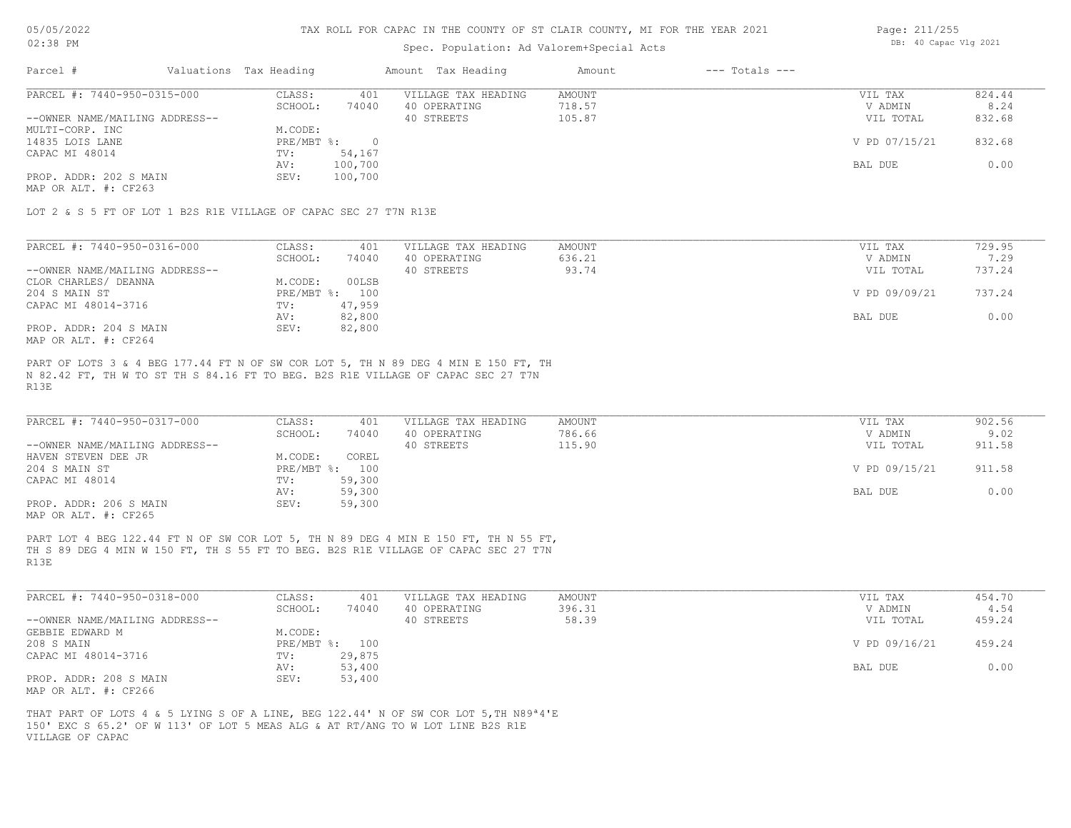## Spec. Population: Ad Valorem+Special Acts

| Page: 211/255 |                       |  |
|---------------|-----------------------|--|
|               | DB: 40 Capac Vlg 2021 |  |

| PARCEL #: 7440-950-0315-000<br>824.44<br>VILLAGE TAX HEADING<br>CLASS:<br>AMOUNT<br>VIL TAX<br>401<br>718.57<br>74040<br>SCHOOL:<br>8.24<br>40 OPERATING<br>V ADMIN<br>--OWNER NAME/MAILING ADDRESS--<br>105.87<br>832.68<br>VIL TOTAL<br>40 STREETS<br>M.CODE:<br>MULTI-CORP. INC<br>PRE/MBT %:<br>V PD 07/15/21<br>832.68<br>14835 LOIS LANE<br>54,167<br>CAPAC MI 48014<br>TV:<br>100,700<br>0.00<br>AV:<br>BAL DUE<br>PROP. ADDR: 202 S MAIN<br>SEV:<br>100,700 | Parcel # | Valuations Tax Heading | Amount Tax Heading | Amount | $---$ Totals $---$ |  |
|---------------------------------------------------------------------------------------------------------------------------------------------------------------------------------------------------------------------------------------------------------------------------------------------------------------------------------------------------------------------------------------------------------------------------------------------------------------------|----------|------------------------|--------------------|--------|--------------------|--|
|                                                                                                                                                                                                                                                                                                                                                                                                                                                                     |          |                        |                    |        |                    |  |
|                                                                                                                                                                                                                                                                                                                                                                                                                                                                     |          |                        |                    |        |                    |  |
|                                                                                                                                                                                                                                                                                                                                                                                                                                                                     |          |                        |                    |        |                    |  |
|                                                                                                                                                                                                                                                                                                                                                                                                                                                                     |          |                        |                    |        |                    |  |
|                                                                                                                                                                                                                                                                                                                                                                                                                                                                     |          |                        |                    |        |                    |  |
|                                                                                                                                                                                                                                                                                                                                                                                                                                                                     |          |                        |                    |        |                    |  |
|                                                                                                                                                                                                                                                                                                                                                                                                                                                                     |          |                        |                    |        |                    |  |
|                                                                                                                                                                                                                                                                                                                                                                                                                                                                     |          |                        |                    |        |                    |  |

MAP OR ALT. #: CF263

LOT 2 & S 5 FT OF LOT 1 B2S R1E VILLAGE OF CAPAC SEC 27 T7N R13E

| PARCEL #: 7440-950-0316-000    | CLASS:     | 401    | VILLAGE TAX HEADING | AMOUNT | VIL TAX       | 729.95 |
|--------------------------------|------------|--------|---------------------|--------|---------------|--------|
|                                | SCHOOL:    | 74040  | 40 OPERATING        | 636.21 | V ADMIN       | 7.29   |
| --OWNER NAME/MAILING ADDRESS-- |            |        | 40 STREETS          | 93.74  | VIL TOTAL     | 737.24 |
| CLOR CHARLES/ DEANNA           | M.CODE:    | 00LSB  |                     |        |               |        |
| 204 S MAIN ST                  | PRE/MBT %: | 100    |                     |        | V PD 09/09/21 | 737.24 |
| CAPAC MI 48014-3716            | TV:        | 47,959 |                     |        |               |        |
|                                | AV:        | 82,800 |                     |        | BAL DUE       | 0.00   |
| PROP. ADDR: 204 S MAIN         | SEV:       | 82,800 |                     |        |               |        |
| MAP OR ALT. #: CF264           |            |        |                     |        |               |        |

R13E N 82.42 FT, TH W TO ST TH S 84.16 FT TO BEG. B2S R1E VILLAGE OF CAPAC SEC 27 T7N PART OF LOTS 3 & 4 BEG 177.44 FT N OF SW COR LOT 5, TH N 89 DEG 4 MIN E 150 FT, TH

| PARCEL #: 7440-950-0317-000                                                                                                                                                                                                     | CLASS:         | 401    | VILLAGE TAX HEADING | AMOUNT | VIL TAX       | 902.56 |
|---------------------------------------------------------------------------------------------------------------------------------------------------------------------------------------------------------------------------------|----------------|--------|---------------------|--------|---------------|--------|
|                                                                                                                                                                                                                                 | SCHOOL:        | 74040  | 40 OPERATING        | 786.66 | V ADMIN       | 9.02   |
| --OWNER NAME/MAILING ADDRESS--                                                                                                                                                                                                  |                |        | 40 STREETS          | 115.90 | VIL TOTAL     | 911.58 |
| HAVEN STEVEN DEE JR                                                                                                                                                                                                             | M.CODE:        | COREL  |                     |        |               |        |
| 204 S MAIN ST                                                                                                                                                                                                                   | PRE/MBT %: 100 |        |                     |        | V PD 09/15/21 | 911.58 |
| CAPAC MI 48014                                                                                                                                                                                                                  | TV:            | 59,300 |                     |        |               |        |
|                                                                                                                                                                                                                                 | AV:            | 59,300 |                     |        | BAL DUE       | 0.00   |
| PROP. ADDR: 206 S MAIN                                                                                                                                                                                                          | SEV:           | 59,300 |                     |        |               |        |
| $\sim$ . The contract of the contract of the contract of the contract of the contract of the contract of the contract of the contract of the contract of the contract of the contract of the contract of the contract of the co |                |        |                     |        |               |        |

MAP OR ALT. #: CF265

R13E TH S 89 DEG 4 MIN W 150 FT, TH S 55 FT TO BEG. B2S R1E VILLAGE OF CAPAC SEC 27 T7N PART LOT 4 BEG 122.44 FT N OF SW COR LOT 5, TH N 89 DEG 4 MIN E 150 FT, TH N 55 FT,

| PARCEL #: 7440-950-0318-000    | CLASS:     | 401    | VILLAGE TAX HEADING | AMOUNT | VIL TAX       | 454.70 |
|--------------------------------|------------|--------|---------------------|--------|---------------|--------|
|                                | SCHOOL:    | 74040  | 40 OPERATING        | 396.31 | V ADMIN       | 4.54   |
| --OWNER NAME/MAILING ADDRESS-- |            |        | 40 STREETS          | 58.39  | VIL TOTAL     | 459.24 |
| GEBBIE EDWARD M                | M.CODE:    |        |                     |        |               |        |
| 208 S MAIN                     | PRE/MBT %: | 100    |                     |        | V PD 09/16/21 | 459.24 |
| CAPAC MI 48014-3716            | TV:        | 29,875 |                     |        |               |        |
|                                | AV:        | 53,400 |                     |        | BAL DUE       | 0.00   |
| PROP. ADDR: 208 S MAIN         | SEV:       | 53,400 |                     |        |               |        |
| MAP OR ALT. #: CF266           |            |        |                     |        |               |        |

VILLAGE OF CAPAC 150' EXC S 65.2' OF W 113' OF LOT 5 MEAS ALG & AT RT/ANG TO W LOT LINE B2S R1E THAT PART OF LOTS 4 & 5 LYING S OF A LINE, BEG 122.44' N OF SW COR LOT 5,TH N89ª4'E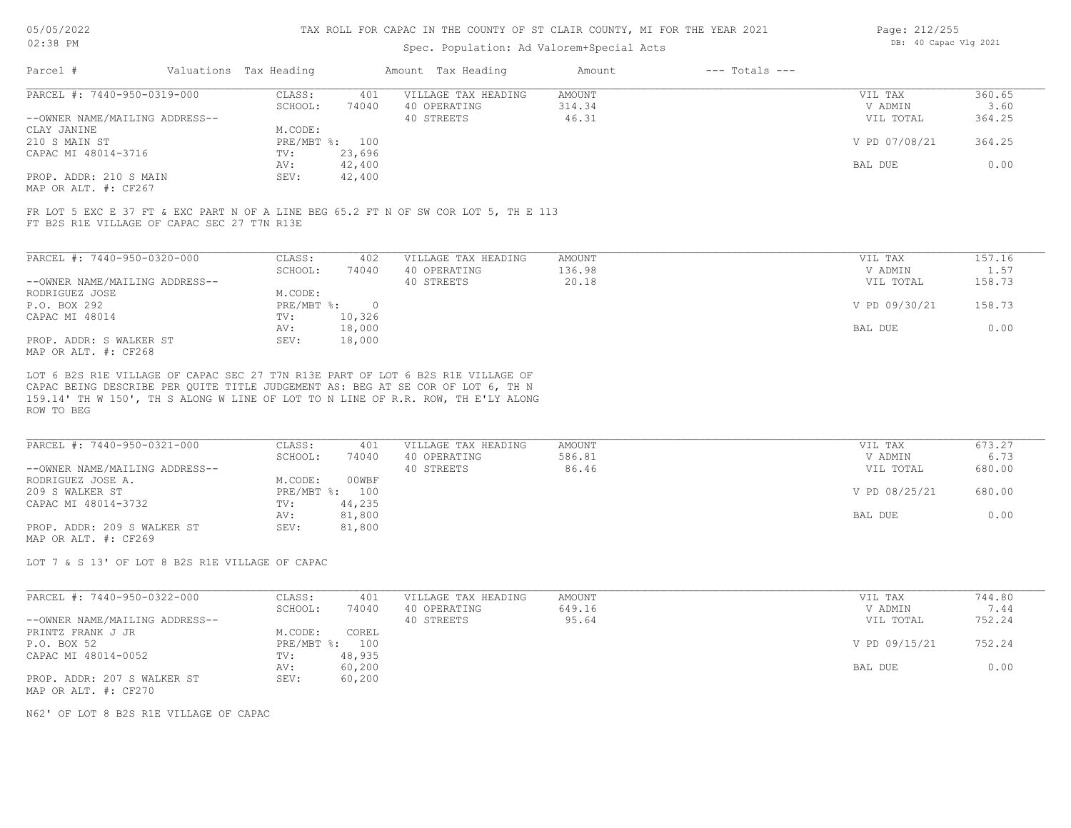### Spec. Population: Ad Valorem+Special Acts

| Page: 212/255 |                       |  |
|---------------|-----------------------|--|
|               | DB: 40 Capac Vlg 2021 |  |

| Parcel #                                              | Valuations Tax Heading |        | Amount Tax Heading  | Amount | $---$ Totals $---$ |               |        |
|-------------------------------------------------------|------------------------|--------|---------------------|--------|--------------------|---------------|--------|
| PARCEL #: 7440-950-0319-000                           | CLASS:                 | 401    | VILLAGE TAX HEADING | AMOUNT |                    | VIL TAX       | 360.65 |
|                                                       | SCHOOL:                | 74040  | 40 OPERATING        | 314.34 |                    | V ADMIN       | 3.60   |
| --OWNER NAME/MAILING ADDRESS--                        |                        |        | 40 STREETS          | 46.31  |                    | VIL TOTAL     | 364.25 |
| CLAY JANINE                                           | M.CODE:                |        |                     |        |                    |               |        |
| 210 S MAIN ST                                         | PRE/MBT %: 100         |        |                     |        |                    | V PD 07/08/21 | 364.25 |
| CAPAC MI 48014-3716                                   | TV:                    | 23,696 |                     |        |                    |               |        |
|                                                       | AV:                    | 42,400 |                     |        |                    | BAL DUE       | 0.00   |
| PROP. ADDR: 210 S MAIN                                | SEV:                   | 42,400 |                     |        |                    |               |        |
| $\cdots$ $\cdots$ $\cdots$ $\cdots$ $\cdots$ $\cdots$ |                        |        |                     |        |                    |               |        |

MAP OR ALT. #: CF267

FT B2S R1E VILLAGE OF CAPAC SEC 27 T7N R13E FR LOT 5 EXC E 37 FT & EXC PART N OF A LINE BEG 65.2 FT N OF SW COR LOT 5, TH E 113

| PARCEL #: 7440-950-0320-000    | CLASS:     | 402    | VILLAGE TAX HEADING | AMOUNT | VIL TAX       | 157.16 |
|--------------------------------|------------|--------|---------------------|--------|---------------|--------|
|                                | SCHOOL:    | 74040  | 40 OPERATING        | 136.98 | V ADMIN       | 1.57   |
| --OWNER NAME/MAILING ADDRESS-- |            |        | 40 STREETS          | 20.18  | VIL TOTAL     | 158.73 |
| RODRIGUEZ JOSE                 | M.CODE:    |        |                     |        |               |        |
| P.O. BOX 292                   | PRE/MBT %: |        |                     |        | V PD 09/30/21 | 158.73 |
| CAPAC MI 48014                 | TV:        | 10,326 |                     |        |               |        |
|                                | AV:        | 18,000 |                     |        | BAL DUE       | 0.00   |
| PROP. ADDR: S WALKER ST        | SEV:       | 18,000 |                     |        |               |        |
| MAP OR ALT. #: CF268           |            |        |                     |        |               |        |

ROW TO BEG 159.14' TH W 150', TH S ALONG W LINE OF LOT TO N LINE OF R.R. ROW, TH E'LY ALONG CAPAC BEING DESCRIBE PER QUITE TITLE JUDGEMENT AS: BEG AT SE COR OF LOT 6, TH N LOT 6 B2S R1E VILLAGE OF CAPAC SEC 27 T7N R13E PART OF LOT 6 B2S R1E VILLAGE OF

| PARCEL #: 7440-950-0321-000    | CLASS:     | 401    | VILLAGE TAX HEADING | AMOUNT | VIL TAX       | 673.27 |
|--------------------------------|------------|--------|---------------------|--------|---------------|--------|
|                                | SCHOOL:    | 74040  | 40 OPERATING        | 586.81 | V ADMIN       | 6.73   |
| --OWNER NAME/MAILING ADDRESS-- |            |        | 40 STREETS          | 86.46  | VIL TOTAL     | 680.00 |
| RODRIGUEZ JOSE A.              | M.CODE:    | 00WBF  |                     |        |               |        |
| 209 S WALKER ST                | PRE/MBT %: | 100    |                     |        | V PD 08/25/21 | 680.00 |
| CAPAC MI 48014-3732            | TV:        | 44,235 |                     |        |               |        |
|                                | AV:        | 81,800 |                     |        | BAL DUE       | 0.00   |
| PROP. ADDR: 209 S WALKER ST    | SEV:       | 81,800 |                     |        |               |        |
| MAP OR ALT. #: CF269           |            |        |                     |        |               |        |

LOT 7 & S 13' OF LOT 8 B2S R1E VILLAGE OF CAPAC

| PARCEL #: 7440-950-0322-000    | CLASS:  | 401            | VILLAGE TAX HEADING | AMOUNT | VIL TAX       | 744.80 |
|--------------------------------|---------|----------------|---------------------|--------|---------------|--------|
|                                | SCHOOL: | 74040          | 40 OPERATING        | 649.16 | V ADMIN       | 7.44   |
| --OWNER NAME/MAILING ADDRESS-- |         |                | 40 STREETS          | 95.64  | VIL TOTAL     | 752.24 |
| PRINTZ FRANK J JR              | M.CODE: | COREL          |                     |        |               |        |
| P.O. BOX 52                    |         | PRE/MBT %: 100 |                     |        | V PD 09/15/21 | 752.24 |
| CAPAC MI 48014-0052            | TV:     | 48,935         |                     |        |               |        |
|                                | AV:     | 60,200         |                     |        | BAL DUE       | 0.00   |
| PROP. ADDR: 207 S WALKER ST    | SEV:    | 60,200         |                     |        |               |        |
| MAP OR ALT. #: CF270           |         |                |                     |        |               |        |

N62' OF LOT 8 B2S R1E VILLAGE OF CAPAC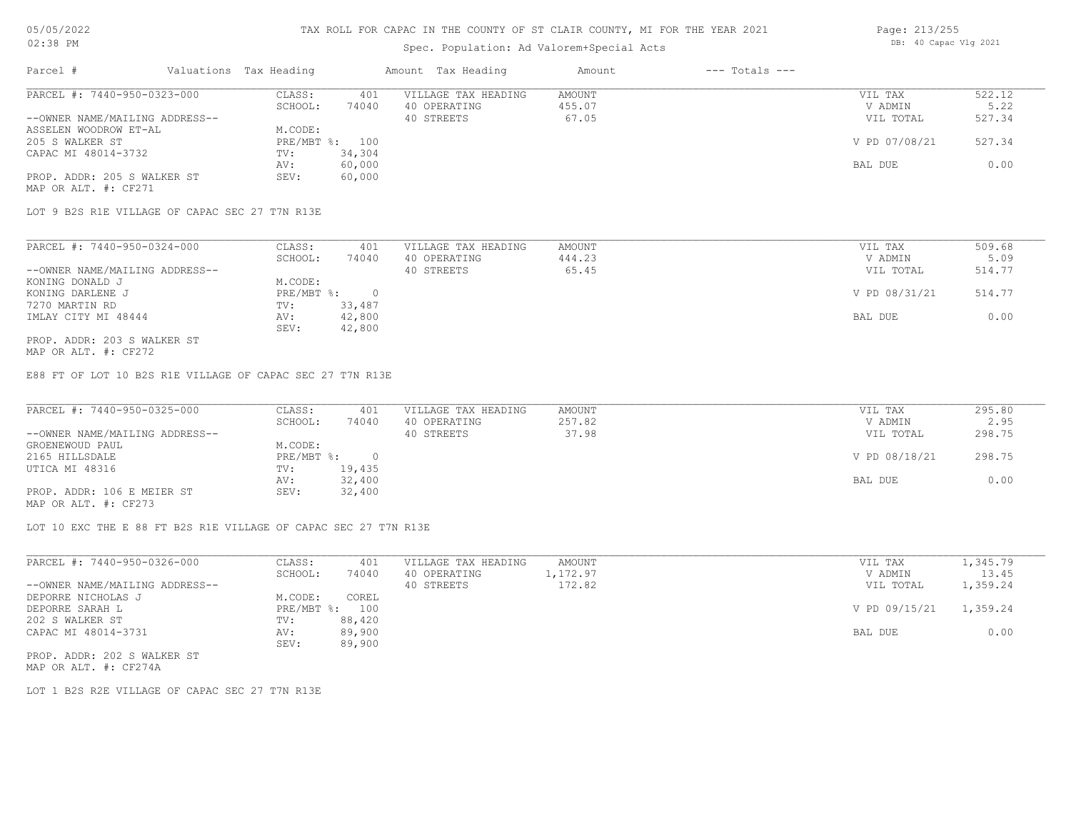### Spec. Population: Ad Valorem+Special Acts

| Page: 213/255 |                       |  |
|---------------|-----------------------|--|
|               | DB: 40 Capac Vlg 2021 |  |

| Parcel #                       | Valuations Tax Heading |                | Amount Tax Heading  | Amount | $---$ Totals $---$ |               |        |
|--------------------------------|------------------------|----------------|---------------------|--------|--------------------|---------------|--------|
| PARCEL #: 7440-950-0323-000    | CLASS:                 | 401            | VILLAGE TAX HEADING | AMOUNT |                    | VIL TAX       | 522.12 |
|                                | SCHOOL:                | 74040          | 40 OPERATING        | 455.07 |                    | V ADMIN       | 5.22   |
| --OWNER NAME/MAILING ADDRESS-- |                        |                | 40 STREETS          | 67.05  |                    | VIL TOTAL     | 527.34 |
| ASSELEN WOODROW ET-AL          | M.CODE:                |                |                     |        |                    |               |        |
| 205 S WALKER ST                |                        | PRE/MBT %: 100 |                     |        |                    | V PD 07/08/21 | 527.34 |
| CAPAC MI 48014-3732            | TV:                    | 34,304         |                     |        |                    |               |        |
|                                | AV:                    | 60,000         |                     |        |                    | BAL DUE       | 0.00   |
| PROP. ADDR: 205 S WALKER ST    | SEV:                   | 60,000         |                     |        |                    |               |        |
|                                |                        |                |                     |        |                    |               |        |

MAP OR ALT. #: CF271

LOT 9 B2S R1E VILLAGE OF CAPAC SEC 27 T7N R13E

| PARCEL #: 7440-950-0324-000    | CLASS:     | 401    | VILLAGE TAX HEADING | AMOUNT | VIL TAX       | 509.68 |
|--------------------------------|------------|--------|---------------------|--------|---------------|--------|
|                                | SCHOOL:    | 74040  | 40 OPERATING        | 444.23 | V ADMIN       | 5.09   |
| --OWNER NAME/MAILING ADDRESS-- |            |        | 40 STREETS          | 65.45  | VIL TOTAL     | 514.77 |
| KONING DONALD J                | M.CODE:    |        |                     |        |               |        |
| KONING DARLENE J               | PRE/MBT %: |        |                     |        | V PD 08/31/21 | 514.77 |
| 7270 MARTIN RD                 | TV:        | 33,487 |                     |        |               |        |
| IMLAY CITY MI 48444            | AV:        | 42,800 |                     |        | BAL DUE       | 0.00   |
|                                | SEV:       | 42,800 |                     |        |               |        |
| PROP. ADDR: 203 S WALKER ST    |            |        |                     |        |               |        |

MAP OR ALT. #: CF272

E88 FT OF LOT 10 B2S R1E VILLAGE OF CAPAC SEC 27 T7N R13E

| PARCEL #: 7440-950-0325-000    | CLASS:       | 401    | VILLAGE TAX HEADING | AMOUNT | VIL TAX       | 295.80 |
|--------------------------------|--------------|--------|---------------------|--------|---------------|--------|
|                                | SCHOOL:      | 74040  | 40 OPERATING        | 257.82 | V ADMIN       | 2.95   |
| --OWNER NAME/MAILING ADDRESS-- |              |        | 40 STREETS          | 37.98  | VIL TOTAL     | 298.75 |
| GROENEWOUD PAUL                | M.CODE:      |        |                     |        |               |        |
| 2165 HILLSDALE                 | $PRE/MBT$ %: |        |                     |        | V PD 08/18/21 | 298.75 |
| UTICA MI 48316                 | TV:          | 19,435 |                     |        |               |        |
|                                | AV:          | 32,400 |                     |        | BAL DUE       | 0.00   |
| PROP. ADDR: 106 E MEIER ST     | SEV:         | 32,400 |                     |        |               |        |
| MAP OR ALT. #: CF273           |              |        |                     |        |               |        |

LOT 10 EXC THE E 88 FT B2S R1E VILLAGE OF CAPAC SEC 27 T7N R13E

PROP. ADDR: 202 S WALKER ST SEV: 89,900 CAPAC MI 48014-3731 AV: 89,900 AV: 89,900 BAL DUE 0.00 202 S WALKER ST TV: 88,420 DEPORRE SARAH L PRE/MBT %: 100 V PD 09/15/21 1,359.24 DEPORRE NICHOLAS J M.CODE: COREL --OWNER NAME/MAILING ADDRESS-- 40 STREETS 40 STREETS 172.82 40 STREETS 17359.24 SCHOOL: 74040 40 OPERATING 1,172.97 <br>
V ADMIN 13.45 PARCEL #: 7440-950-0326-000 CLASS: 401 VILLAGE TAX HEADING AMOUNT NULLAGE TAX VIL TAX 1,345.79  $\_$  , and the state of the state of the state of the state of the state of the state of the state of the state of the state of the state of the state of the state of the state of the state of the state of the state of the

MAP OR ALT. #: CF274A

LOT 1 B2S R2E VILLAGE OF CAPAC SEC 27 T7N R13E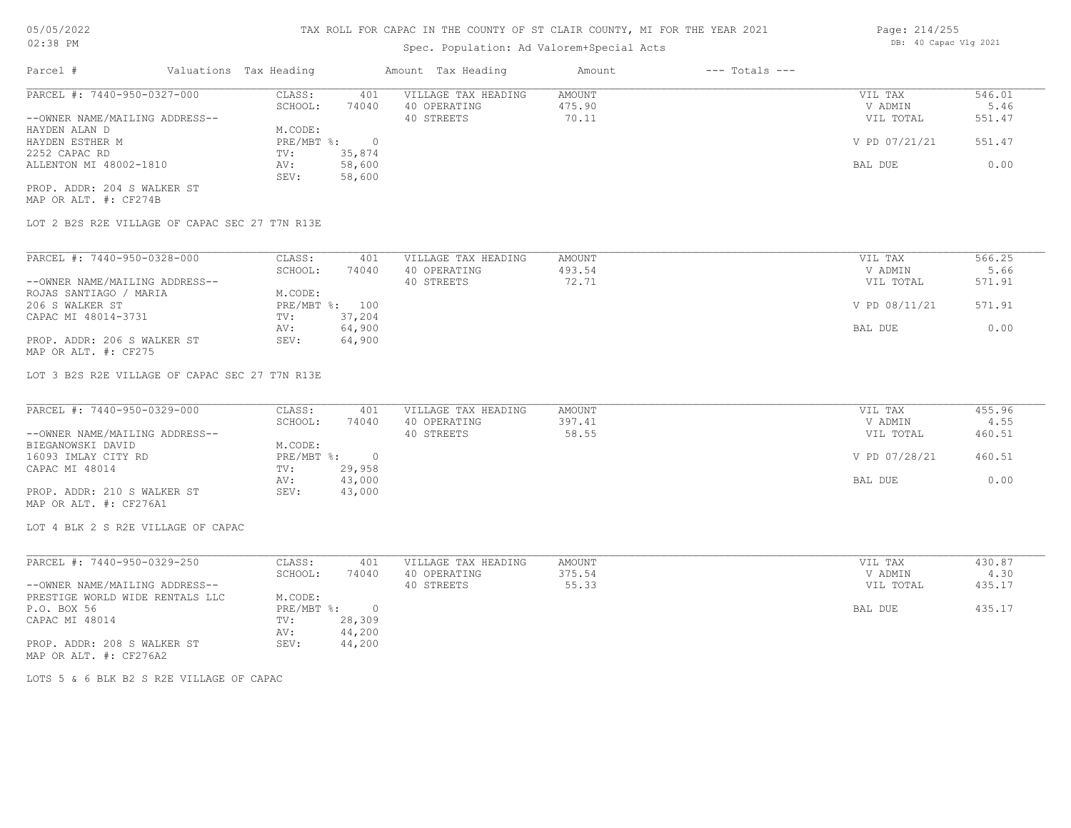# Spec. Population: Ad Valorem+Special Acts

| Parcel #                       | Valuations Tax Heading |        | Amount Tax Heading  | Amount | $---$ Totals $---$ |               |        |
|--------------------------------|------------------------|--------|---------------------|--------|--------------------|---------------|--------|
| PARCEL #: 7440-950-0327-000    | CLASS:                 | 401    | VILLAGE TAX HEADING | AMOUNT |                    | VIL TAX       | 546.01 |
|                                | SCHOOL:                | 74040  | 40 OPERATING        | 475.90 |                    | V ADMIN       | 5.46   |
| --OWNER NAME/MAILING ADDRESS-- |                        |        | 40 STREETS          | 70.11  |                    | VIL TOTAL     | 551.47 |
| HAYDEN ALAN D                  | M.CODE:                |        |                     |        |                    |               |        |
| HAYDEN ESTHER M                | PRE/MBT %:             |        |                     |        |                    | V PD 07/21/21 | 551.47 |
| 2252 CAPAC RD                  | TV:                    | 35,874 |                     |        |                    |               |        |
| ALLENTON MI 48002-1810         | AV:                    | 58,600 |                     |        |                    | BAL DUE       | 0.00   |
|                                | SEV:                   | 58,600 |                     |        |                    |               |        |
| PROP. ADDR: 204 S WALKER ST    |                        |        |                     |        |                    |               |        |

MAP OR ALT. #: CF274B

LOT 2 B2S R2E VILLAGE OF CAPAC SEC 27 T7N R13E

| PARCEL #: 7440-950-0328-000    | CLASS:  | 401            | VILLAGE TAX HEADING | AMOUNT | VIL TAX       | 566.25 |
|--------------------------------|---------|----------------|---------------------|--------|---------------|--------|
|                                | SCHOOL: | 74040          | 40 OPERATING        | 493.54 | V ADMIN       | 5.66   |
| --OWNER NAME/MAILING ADDRESS-- |         |                | 40 STREETS          | 72.71  | VIL TOTAL     | 571.91 |
| ROJAS SANTIAGO / MARIA         | M.CODE: |                |                     |        |               |        |
| 206 S WALKER ST                |         | PRE/MBT %: 100 |                     |        | V PD 08/11/21 | 571.91 |
| CAPAC MI 48014-3731            | TV:     | 37,204         |                     |        |               |        |
|                                | AV:     | 64,900         |                     |        | BAL DUE       | 0.00   |
| PROP. ADDR: 206 S WALKER ST    | SEV:    | 64,900         |                     |        |               |        |
| MAP OR ALT. #: CF275           |         |                |                     |        |               |        |

LOT 3 B2S R2E VILLAGE OF CAPAC SEC 27 T7N R13E

| PARCEL #: 7440-950-0329-000    | CLASS:     | 401    | VILLAGE TAX HEADING | AMOUNT | VIL TAX       | 455.96 |
|--------------------------------|------------|--------|---------------------|--------|---------------|--------|
|                                | SCHOOL:    | 74040  | 40 OPERATING        | 397.41 | V ADMIN       | 4.55   |
| --OWNER NAME/MAILING ADDRESS-- |            |        | 40 STREETS          | 58.55  | VIL TOTAL     | 460.51 |
| BIEGANOWSKI DAVID              | M.CODE:    |        |                     |        |               |        |
| 16093 IMLAY CITY RD            | PRE/MBT %: |        |                     |        | V PD 07/28/21 | 460.51 |
| CAPAC MI 48014                 | TV:        | 29,958 |                     |        |               |        |
|                                | AV:        | 43,000 |                     |        | BAL DUE       | 0.00   |
| PROP. ADDR: 210 S WALKER ST    | SEV:       | 43,000 |                     |        |               |        |
| MAP OR ALT. #: CF276A1         |            |        |                     |        |               |        |

LOT 4 BLK 2 S R2E VILLAGE OF CAPAC

| PARCEL #: 7440-950-0329-250     | CLASS:     | 401    | VILLAGE TAX HEADING | AMOUNT | VIL TAX   | 430.87 |
|---------------------------------|------------|--------|---------------------|--------|-----------|--------|
|                                 | SCHOOL:    | 74040  | 40 OPERATING        | 375.54 | V ADMIN   | 4.30   |
| --OWNER NAME/MAILING ADDRESS--  |            |        | 40 STREETS          | 55.33  | VIL TOTAL | 435.17 |
| PRESTIGE WORLD WIDE RENTALS LLC | M.CODE:    |        |                     |        |           |        |
| P.O. BOX 56                     | PRE/MBT %: |        |                     |        | BAL DUE   | 435.17 |
| CAPAC MI 48014                  | TV:        | 28,309 |                     |        |           |        |
|                                 | AV:        | 44,200 |                     |        |           |        |
| PROP. ADDR: 208 S WALKER ST     | SEV:       | 44,200 |                     |        |           |        |
| MAP OR ALT. #: CF276A2          |            |        |                     |        |           |        |

LOTS 5 & 6 BLK B2 S R2E VILLAGE OF CAPAC

Page: 214/255 DB: 40 Capac Vlg 2021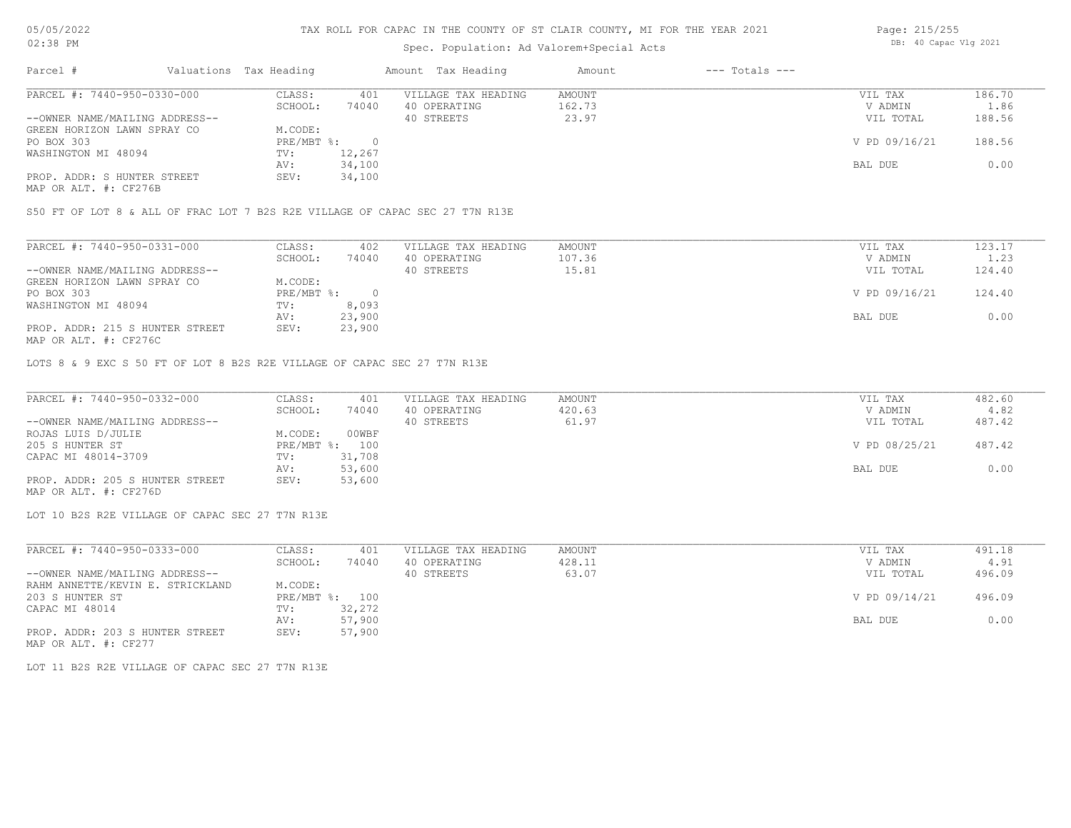# Spec. Population: Ad Valorem+Special Acts

| Page: 215/255 |                       |  |
|---------------|-----------------------|--|
|               | DB: 40 Capac Vlg 2021 |  |

| Parcel #                       | Valuations Tax Heading |        | Amount Tax Heading  | Amount | $---$ Totals $---$ |               |        |
|--------------------------------|------------------------|--------|---------------------|--------|--------------------|---------------|--------|
| PARCEL #: 7440-950-0330-000    | CLASS:                 | 401    | VILLAGE TAX HEADING | AMOUNT |                    | VIL TAX       | 186.70 |
|                                | SCHOOL:                | 74040  | 40 OPERATING        | 162.73 |                    | V ADMIN       | 1.86   |
| --OWNER NAME/MAILING ADDRESS-- |                        |        | 40 STREETS          | 23.97  |                    | VIL TOTAL     | 188.56 |
| GREEN HORIZON LAWN SPRAY CO    | M.CODE:                |        |                     |        |                    |               |        |
| PO BOX 303                     | PRE/MBT %:             |        |                     |        |                    | V PD 09/16/21 | 188.56 |
| WASHINGTON MI 48094            | TV:                    | 12,267 |                     |        |                    |               |        |
|                                | AV:                    | 34,100 |                     |        |                    | BAL DUE       | 0.00   |
| PROP. ADDR: S HUNTER STREET    | SEV:                   | 34,100 |                     |        |                    |               |        |
|                                |                        |        |                     |        |                    |               |        |

MAP OR ALT. #: CF276B

S50 FT OF LOT 8 & ALL OF FRAC LOT 7 B2S R2E VILLAGE OF CAPAC SEC 27 T7N R13E

| PARCEL #: 7440-950-0331-000     | CLASS:     | 402    | VILLAGE TAX HEADING | AMOUNT | VIL TAX       | 123.17 |
|---------------------------------|------------|--------|---------------------|--------|---------------|--------|
|                                 | SCHOOL:    | 74040  | 40 OPERATING        | 107.36 | V ADMIN       | 1.23   |
| --OWNER NAME/MAILING ADDRESS--  |            |        | 40 STREETS          | 15.81  | VIL TOTAL     | 124.40 |
| GREEN HORIZON LAWN SPRAY CO     | M.CODE:    |        |                     |        |               |        |
| PO BOX 303                      | PRE/MBT %: |        |                     |        | V PD 09/16/21 | 124.40 |
| WASHINGTON MI 48094             | TV:        | 8,093  |                     |        |               |        |
|                                 | AV:        | 23,900 |                     |        | BAL DUE       | 0.00   |
| PROP. ADDR: 215 S HUNTER STREET | SEV:       | 23,900 |                     |        |               |        |
| MAP OR ALT. #: CF276C           |            |        |                     |        |               |        |

LOTS 8 & 9 EXC S 50 FT OF LOT 8 B2S R2E VILLAGE OF CAPAC SEC 27 T7N R13E

| PARCEL #: 7440-950-0332-000     | CLASS:  | 401            | VILLAGE TAX HEADING | AMOUNT | VIL TAX       | 482.60 |
|---------------------------------|---------|----------------|---------------------|--------|---------------|--------|
|                                 | SCHOOL: | 74040          | 40 OPERATING        | 420.63 | V ADMIN       | 4.82   |
| --OWNER NAME/MAILING ADDRESS--  |         |                | 40 STREETS          | 61.97  | VIL TOTAL     | 487.42 |
| ROJAS LUIS D/JULIE              | M.CODE: | 00WBF          |                     |        |               |        |
| 205 S HUNTER ST                 |         | PRE/MBT %: 100 |                     |        | V PD 08/25/21 | 487.42 |
| CAPAC MI 48014-3709             | TV:     | 31,708         |                     |        |               |        |
|                                 | AV:     | 53,600         |                     |        | BAL DUE       | 0.00   |
| PROP. ADDR: 205 S HUNTER STREET | SEV:    | 53,600         |                     |        |               |        |
| MAP OR ALT. #: CF276D           |         |                |                     |        |               |        |

LOT 10 B2S R2E VILLAGE OF CAPAC SEC 27 T7N R13E

| PARCEL #: 7440-950-0333-000                                                                                     | CLASS:  | 401            | VILLAGE TAX HEADING | AMOUNT | VIL TAX       | 491.18 |
|-----------------------------------------------------------------------------------------------------------------|---------|----------------|---------------------|--------|---------------|--------|
|                                                                                                                 | SCHOOL: | 74040          | 40 OPERATING        | 428.11 | V ADMIN       | 4.91   |
| --OWNER NAME/MAILING ADDRESS--                                                                                  |         |                | 40 STREETS          | 63.07  | VIL TOTAL     | 496.09 |
| RAHM ANNETTE/KEVIN E. STRICKLAND                                                                                | M.CODE: |                |                     |        |               |        |
| 203 S HUNTER ST                                                                                                 |         | PRE/MBT %: 100 |                     |        | V PD 09/14/21 | 496.09 |
| CAPAC MI 48014                                                                                                  | TV:     | 32,272         |                     |        |               |        |
|                                                                                                                 | AV:     | 57,900         |                     |        | BAL DUE       | 0.00   |
| PROP. ADDR: 203 S HUNTER STREET                                                                                 | SEV:    | 57,900         |                     |        |               |        |
| the contract of the contract of the contract of the contract of the contract of the contract of the contract of |         |                |                     |        |               |        |

MAP OR ALT. #: CF277

LOT 11 B2S R2E VILLAGE OF CAPAC SEC 27 T7N R13E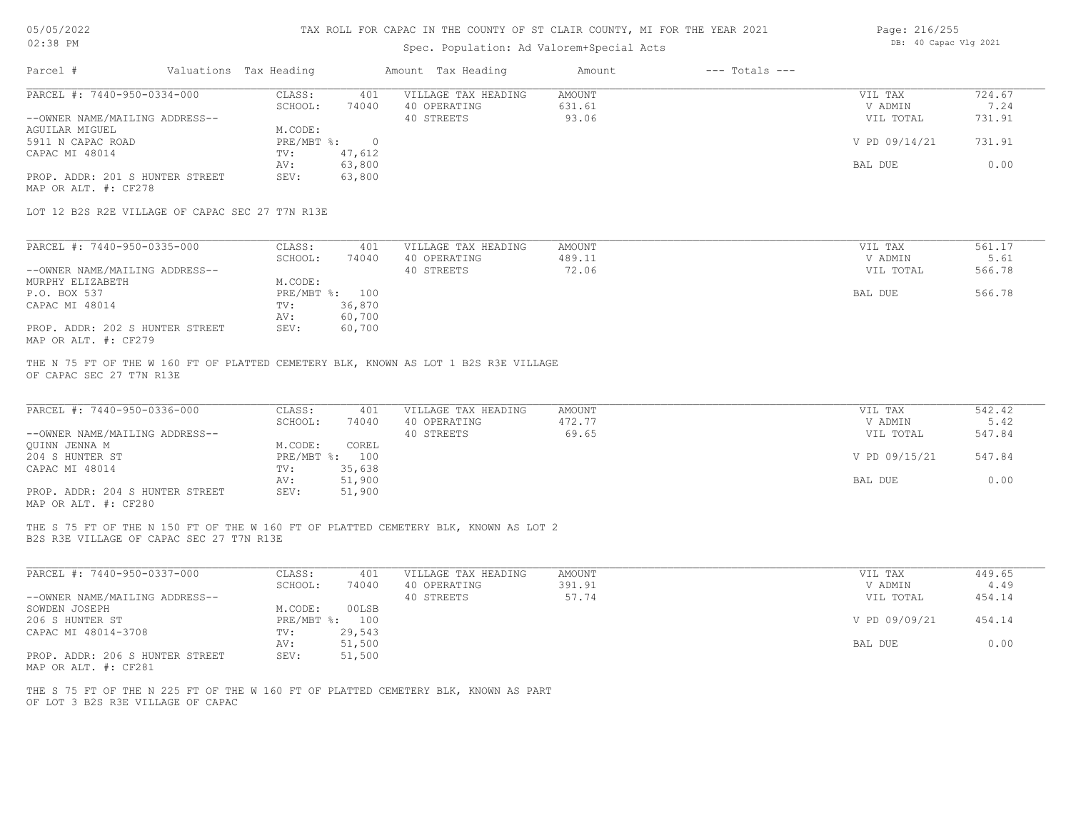# 05/05/2022 02:38 PM

# TAX ROLL FOR CAPAC IN THE COUNTY OF ST CLAIR COUNTY, MI FOR THE YEAR 2021

# Spec. Population: Ad Valorem+Special Acts

| Page: 216/255 |                       |  |
|---------------|-----------------------|--|
|               | DB: 40 Capac Vlg 2021 |  |

| PARCEL #: 7440-950-0334-000<br>VILLAGE TAX HEADING<br>CLASS:<br>401<br><b>AMOUNT</b><br>631.61<br>SCHOOL:<br>74040<br>40 OPERATING<br>--OWNER NAME/MAILING ADDRESS--<br>40 STREETS<br>93.06<br><b>AGUILAR MIGUEL</b><br>M.CODE:<br>5911 N CAPAC ROAD<br>$PRE/MBT$ $\div$<br>$\overline{0}$<br>CAPAC MI 48014<br>47,612<br>TV:<br>63,800<br>AV:<br>PROP. ADDR: 201 S HUNTER STREET<br>63,800<br>SEV:<br>MAP OR ALT. #: CF278<br>LOT 12 B2S R2E VILLAGE OF CAPAC SEC 27 T7N R13E | 724.67<br>VIL TAX<br>7.24<br>V ADMIN<br>731.91<br>VIL TOTAL<br>V PD 09/14/21<br>731.91<br>0.00<br>BAL DUE |
|--------------------------------------------------------------------------------------------------------------------------------------------------------------------------------------------------------------------------------------------------------------------------------------------------------------------------------------------------------------------------------------------------------------------------------------------------------------------------------|-----------------------------------------------------------------------------------------------------------|
|                                                                                                                                                                                                                                                                                                                                                                                                                                                                                |                                                                                                           |
|                                                                                                                                                                                                                                                                                                                                                                                                                                                                                |                                                                                                           |
|                                                                                                                                                                                                                                                                                                                                                                                                                                                                                |                                                                                                           |
|                                                                                                                                                                                                                                                                                                                                                                                                                                                                                |                                                                                                           |
|                                                                                                                                                                                                                                                                                                                                                                                                                                                                                |                                                                                                           |
|                                                                                                                                                                                                                                                                                                                                                                                                                                                                                |                                                                                                           |
|                                                                                                                                                                                                                                                                                                                                                                                                                                                                                |                                                                                                           |
|                                                                                                                                                                                                                                                                                                                                                                                                                                                                                |                                                                                                           |
|                                                                                                                                                                                                                                                                                                                                                                                                                                                                                |                                                                                                           |
| PARCEL #: 7440-950-0335-000<br>CLASS:<br>401<br>VILLAGE TAX HEADING<br>AMOUNT                                                                                                                                                                                                                                                                                                                                                                                                  | VIL TAX<br>561.17                                                                                         |
| SCHOOL:<br>74040<br>40 OPERATING<br>489.11                                                                                                                                                                                                                                                                                                                                                                                                                                     | V ADMIN<br>5.61                                                                                           |
| 40 STREETS<br>72.06<br>--OWNER NAME/MAILING ADDRESS--                                                                                                                                                                                                                                                                                                                                                                                                                          | VIL TOTAL<br>566.78                                                                                       |
| M.CODE:<br>MURPHY ELIZABETH                                                                                                                                                                                                                                                                                                                                                                                                                                                    |                                                                                                           |
| P.O. BOX 537<br>PRE/MBT %: 100                                                                                                                                                                                                                                                                                                                                                                                                                                                 | BAL DUE<br>566.78                                                                                         |
| 36,870<br>CAPAC MI 48014<br>TV:                                                                                                                                                                                                                                                                                                                                                                                                                                                |                                                                                                           |
| 60,700<br>AV:                                                                                                                                                                                                                                                                                                                                                                                                                                                                  |                                                                                                           |
| 60,700<br>PROP. ADDR: 202 S HUNTER STREET<br>SEV:<br>MAP OR ALT. #: CF279                                                                                                                                                                                                                                                                                                                                                                                                      |                                                                                                           |
| PARCEL #: 7440-950-0336-000<br>CLASS:<br>VILLAGE TAX HEADING<br><b>AMOUNT</b><br>401<br>472.77<br>SCHOOL:<br>40 OPERATING<br>74040                                                                                                                                                                                                                                                                                                                                             | 542.42<br>VIL TAX<br>5.42<br>V ADMIN                                                                      |
| 40 STREETS<br>69.65<br>--OWNER NAME/MAILING ADDRESS--                                                                                                                                                                                                                                                                                                                                                                                                                          | VIL TOTAL<br>547.84                                                                                       |
| QUINN JENNA M<br>M.CODE:<br>COREL                                                                                                                                                                                                                                                                                                                                                                                                                                              |                                                                                                           |
| 204 S HUNTER ST<br>PRE/MBT %: 100<br>35,638<br>CAPAC MI 48014<br>TV:                                                                                                                                                                                                                                                                                                                                                                                                           | V PD 09/15/21<br>547.84                                                                                   |
| 51,900<br>AV:                                                                                                                                                                                                                                                                                                                                                                                                                                                                  | 0.00<br>BAL DUE                                                                                           |
| PROP. ADDR: 204 S HUNTER STREET<br>SEV:<br>51,900<br>MAP OR ALT. #: CF280                                                                                                                                                                                                                                                                                                                                                                                                      |                                                                                                           |
|                                                                                                                                                                                                                                                                                                                                                                                                                                                                                |                                                                                                           |
| THE S 75 FT OF THE N 150 FT OF THE W 160 FT OF PLATTED CEMETERY BLK, KNOWN AS LOT 2<br>B2S R3E VILLAGE OF CAPAC SEC 27 T7N R13E                                                                                                                                                                                                                                                                                                                                                |                                                                                                           |
| PARCEL #: 7440-950-0337-000<br>CLASS:<br>401<br>VILLAGE TAX HEADING<br><b>AMOUNT</b>                                                                                                                                                                                                                                                                                                                                                                                           | 449.65<br>VIL TAX                                                                                         |
| SCHOOL:<br>40 OPERATING<br>391.91<br>74040                                                                                                                                                                                                                                                                                                                                                                                                                                     | V ADMIN<br>4.49                                                                                           |
| 40 STREETS<br>57.74                                                                                                                                                                                                                                                                                                                                                                                                                                                            | 454.14<br>VIL TOTAL                                                                                       |
| 00LSB<br>M.CODE:                                                                                                                                                                                                                                                                                                                                                                                                                                                               |                                                                                                           |
| PRE/MBT %: 100                                                                                                                                                                                                                                                                                                                                                                                                                                                                 | 454.14<br>V PD 09/09/21                                                                                   |
| --OWNER NAME/MAILING ADDRESS--<br>SOWDEN JOSEPH<br>206 S HUNTER ST<br>CAPAC MI 48014-3708<br>TV:<br>29,543<br>51,500<br>AV:                                                                                                                                                                                                                                                                                                                                                    | BAL DUE<br>0.00                                                                                           |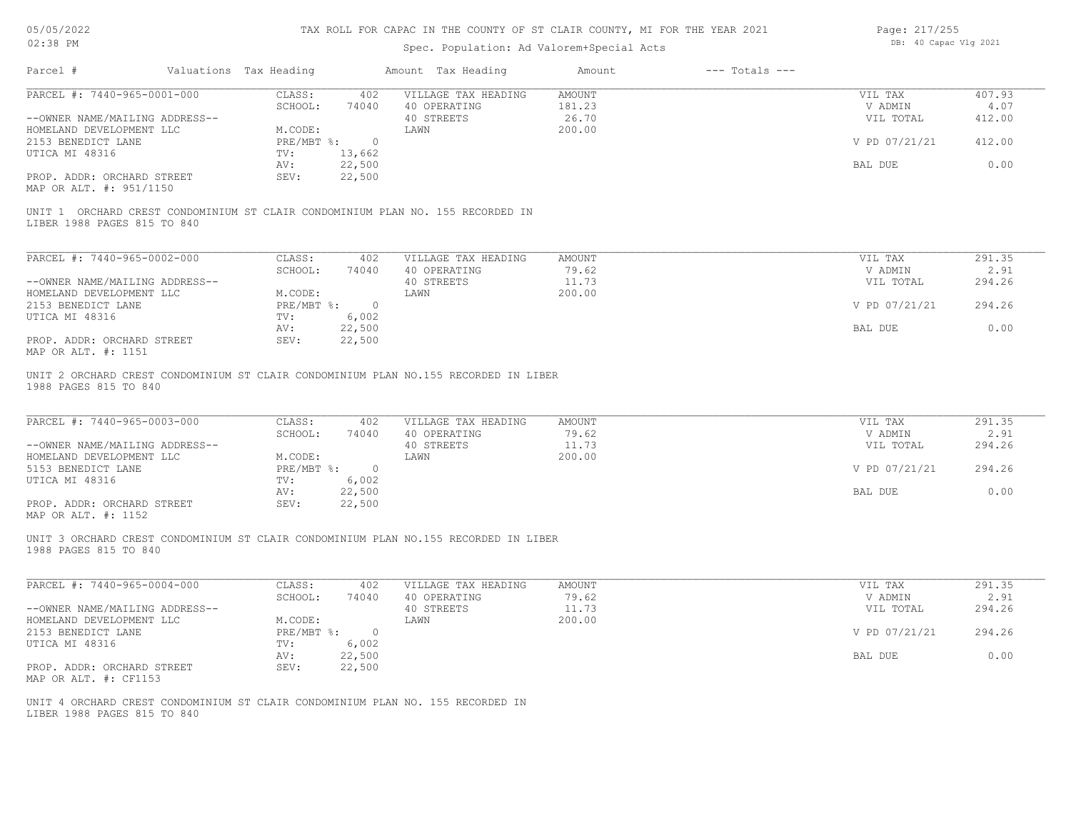### Spec. Population: Ad Valorem+Special Acts

| Page: 217/255 |  |                       |  |  |
|---------------|--|-----------------------|--|--|
|               |  | DB: 40 Capac Vlg 2021 |  |  |

| PARCEL #: 7440-965-0001-000<br>CLASS:<br>407.93<br>402<br>VILLAGE TAX HEADING<br><b>AMOUNT</b><br>VIL TAX<br>181.23<br>SCHOOL:<br>74040<br>40 OPERATING<br>V ADMIN<br>26.70<br>40 STREETS<br>VIL TOTAL<br>412.00<br>--OWNER NAME/MAILING ADDRESS--<br>200.00<br>HOMELAND DEVELOPMENT LLC<br>M.CODE:<br>LAWN<br>V PD 07/21/21<br>412.00<br>$PRE/MBT$ $\frac{1}{6}$ :<br>$\overline{0}$<br>2153 BENEDICT LANE<br>13,662<br>UTICA MI 48316<br>TV:<br>22,500<br>AV:<br>BAL DUE<br>22,500<br>PROP. ADDR: ORCHARD STREET<br>SEV:<br>MAP OR ALT. #: 951/1150<br>UNIT 1 ORCHARD CREST CONDOMINIUM ST CLAIR CONDOMINIUM PLAN NO. 155 RECORDED IN | 4.07<br>0.00 |
|-----------------------------------------------------------------------------------------------------------------------------------------------------------------------------------------------------------------------------------------------------------------------------------------------------------------------------------------------------------------------------------------------------------------------------------------------------------------------------------------------------------------------------------------------------------------------------------------------------------------------------------------|--------------|
|                                                                                                                                                                                                                                                                                                                                                                                                                                                                                                                                                                                                                                         |              |
|                                                                                                                                                                                                                                                                                                                                                                                                                                                                                                                                                                                                                                         |              |
|                                                                                                                                                                                                                                                                                                                                                                                                                                                                                                                                                                                                                                         |              |
| LIBER 1988 PAGES 815 TO 840                                                                                                                                                                                                                                                                                                                                                                                                                                                                                                                                                                                                             |              |
| PARCEL #: 7440-965-0002-000<br>CLASS:<br>VILLAGE TAX HEADING<br><b>AMOUNT</b><br>VIL TAX<br>291.35<br>402<br>SCHOOL:<br>40 OPERATING<br>79.62<br>74040<br>V ADMIN                                                                                                                                                                                                                                                                                                                                                                                                                                                                       | 2.91         |
| 11.73<br>40 STREETS<br>294.26<br>VIL TOTAL<br>--OWNER NAME/MAILING ADDRESS--<br>M.CODE:<br>200.00<br>HOMELAND DEVELOPMENT LLC<br>LAWN                                                                                                                                                                                                                                                                                                                                                                                                                                                                                                   |              |
| 2153 BENEDICT LANE<br>PRE/MBT %: 0<br>V PD 07/21/21<br>294.26<br>TV:<br>6,002<br>UTICA MI 48316                                                                                                                                                                                                                                                                                                                                                                                                                                                                                                                                         |              |
| 22,500<br>BAL DUE<br>AV:<br>22,500<br>PROP. ADDR: ORCHARD STREET<br>SEV:<br>MAP OR ALT. #: 1151                                                                                                                                                                                                                                                                                                                                                                                                                                                                                                                                         | 0.00         |
| 1988 PAGES 815 TO 840<br>PARCEL #: 7440-965-0003-000<br>CLASS:<br>402<br>VILLAGE TAX HEADING<br>AMOUNT<br>VIL TAX<br>291.35<br>79.62<br>SCHOOL:<br>74040<br>40 OPERATING<br>V ADMIN<br>40 STREETS<br>11.73<br>294.26<br>--OWNER NAME/MAILING ADDRESS--<br>VIL TOTAL                                                                                                                                                                                                                                                                                                                                                                     | 2.91         |
| 200.00<br>HOMELAND DEVELOPMENT LLC<br>M.CODE:<br>LAWN<br>$PRE/MBT$ $\frac{6}{3}$ :<br>$\overline{0}$<br>V PD 07/21/21<br>294.26<br>5153 BENEDICT LANE                                                                                                                                                                                                                                                                                                                                                                                                                                                                                   |              |
| UTICA MI 48316<br>TV:<br>6,002<br>22,500<br>BAL DUE<br>AV:<br>PROP. ADDR: ORCHARD STREET<br>SEV:<br>22,500<br>MAP OR ALT. #: 1152                                                                                                                                                                                                                                                                                                                                                                                                                                                                                                       | 0.00         |
|                                                                                                                                                                                                                                                                                                                                                                                                                                                                                                                                                                                                                                         |              |
| UNIT 3 ORCHARD CREST CONDOMINIUM ST CLAIR CONDOMINIUM PLAN NO.155 RECORDED IN LIBER<br>1988 PAGES 815 TO 840                                                                                                                                                                                                                                                                                                                                                                                                                                                                                                                            |              |
| CLASS:<br>291.35<br>PARCEL #: 7440-965-0004-000<br>402<br>VILLAGE TAX HEADING<br><b>AMOUNT</b><br>VIL TAX<br>40 OPERATING<br>79.62<br>SCHOOL:<br>74040<br>V ADMIN                                                                                                                                                                                                                                                                                                                                                                                                                                                                       | 2.91         |
| 11.73<br>--OWNER NAME/MAILING ADDRESS--<br>40 STREETS<br>VIL TOTAL<br>294.26<br>200.00<br>HOMELAND DEVELOPMENT LLC<br>M.CODE:<br>LAWN                                                                                                                                                                                                                                                                                                                                                                                                                                                                                                   |              |
| PRE/MBT %:<br>V PD 07/21/21<br>294.26<br>2153 BENEDICT LANE<br>$\overline{0}$<br>UTICA MI 48316<br>6,002<br>TV:                                                                                                                                                                                                                                                                                                                                                                                                                                                                                                                         |              |
| AV:<br>22,500<br>BAL DUE<br>SEV:<br>22,500<br>PROP. ADDR: ORCHARD STREET<br>MAP OR ALT. #: CF1153                                                                                                                                                                                                                                                                                                                                                                                                                                                                                                                                       | 0.00         |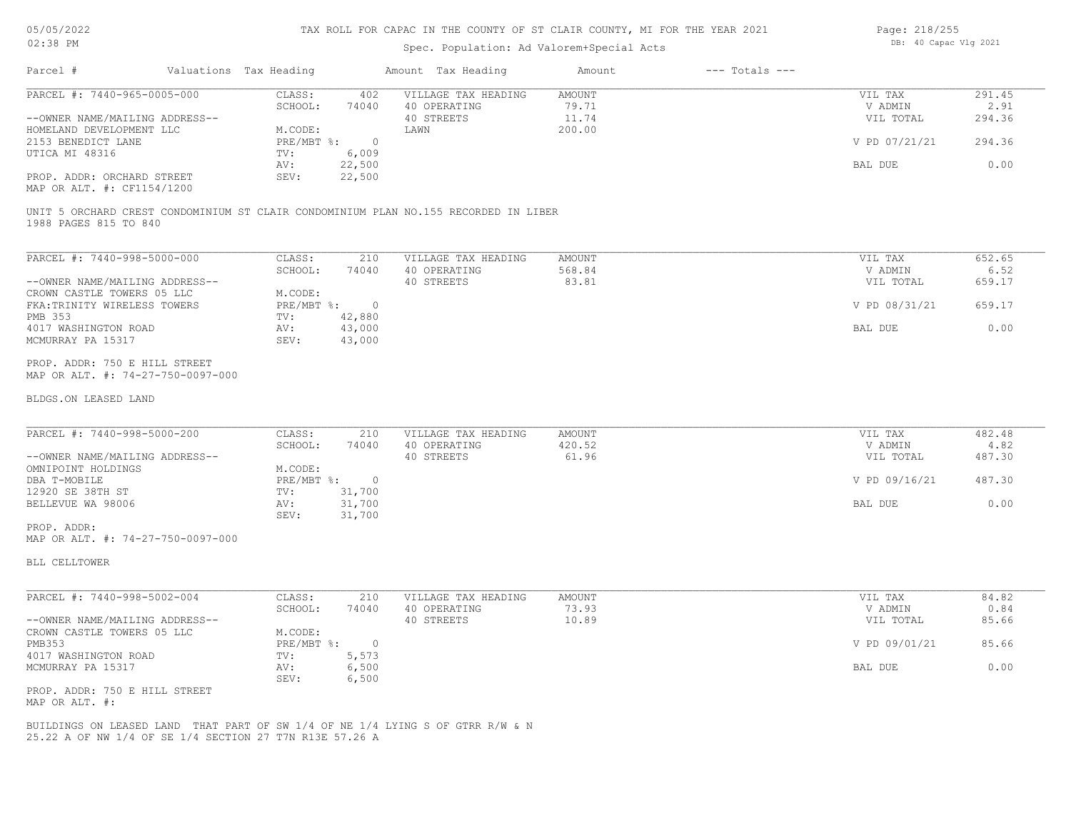### Spec. Population: Ad Valorem+Special Acts

| Page: 218/255 |  |                       |  |  |
|---------------|--|-----------------------|--|--|
|               |  | DB: 40 Capac Vlg 2021 |  |  |

| Parcel #                       | Valuations Tax Heading |        | Amount Tax Heading  | Amount | $---$ Totals $---$ |               |        |
|--------------------------------|------------------------|--------|---------------------|--------|--------------------|---------------|--------|
| PARCEL #: 7440-965-0005-000    | CLASS:                 | 402    | VILLAGE TAX HEADING | AMOUNT |                    | VIL TAX       | 291.45 |
|                                | SCHOOL:                | 74040  | 40 OPERATING        | 79.71  |                    | V ADMIN       | 2.91   |
| --OWNER NAME/MAILING ADDRESS-- |                        |        | 40 STREETS          | 11.74  |                    | VIL TOTAL     | 294.36 |
| HOMELAND DEVELOPMENT LLC       | M.CODE:                |        | LAWN                | 200.00 |                    |               |        |
| 2153 BENEDICT LANE             | PRE/MBT %:             |        |                     |        |                    | V PD 07/21/21 | 294.36 |
| UTICA MI 48316                 | TV:                    | 6,009  |                     |        |                    |               |        |
|                                | AV:                    | 22,500 |                     |        |                    | BAL DUE       | 0.00   |
| PROP. ADDR: ORCHARD STREET     | SEV:                   | 22,500 |                     |        |                    |               |        |
|                                |                        |        |                     |        |                    |               |        |

MAP OR ALT. #: CF1154/1200

1988 PAGES 815 TO 840 UNIT 5 ORCHARD CREST CONDOMINIUM ST CLAIR CONDOMINIUM PLAN NO.155 RECORDED IN LIBER

| PARCEL #: 7440-998-5000-000    | CLASS:     | 210    | VILLAGE TAX HEADING | AMOUNT | VIL TAX       | 652.65 |
|--------------------------------|------------|--------|---------------------|--------|---------------|--------|
|                                | SCHOOL:    | 74040  | 40 OPERATING        | 568.84 | V ADMIN       | 6.52   |
| --OWNER NAME/MAILING ADDRESS-- |            |        | 40 STREETS          | 83.81  | VIL TOTAL     | 659.17 |
| CROWN CASTLE TOWERS 05 LLC     | M.CODE:    |        |                     |        |               |        |
| FKA: TRINITY WIRELESS TOWERS   | PRE/MBT %: |        |                     |        | V PD 08/31/21 | 659.17 |
| PMB 353                        | TV:        | 42,880 |                     |        |               |        |
| 4017 WASHINGTON ROAD           | AV:        | 43,000 |                     |        | BAL DUE       | 0.00   |
| MCMURRAY PA 15317              | SEV:       | 43,000 |                     |        |               |        |
|                                |            |        |                     |        |               |        |

MAP OR ALT. #: 74-27-750-0097-000 PROP. ADDR: 750 E HILL STREET

#### BLDGS.ON LEASED LAND

| PARCEL #: 7440-998-5000-200    | CLASS:     | 210    | VILLAGE TAX HEADING | AMOUNT | VIL TAX       | 482.48 |
|--------------------------------|------------|--------|---------------------|--------|---------------|--------|
|                                | SCHOOL:    | 74040  | 40 OPERATING        | 420.52 | V ADMIN       | 4.82   |
| --OWNER NAME/MAILING ADDRESS-- |            |        | 40 STREETS          | 61.96  | VIL TOTAL     | 487.30 |
| OMNIPOINT HOLDINGS             | M.CODE:    |        |                     |        |               |        |
| DBA T-MOBILE                   | PRE/MBT %: |        |                     |        | V PD 09/16/21 | 487.30 |
| 12920 SE 38TH ST               | TV:        | 31,700 |                     |        |               |        |
| BELLEVUE WA 98006              | AV:        | 31,700 |                     |        | BAL DUE       | 0.00   |
|                                | SEV:       | 31,700 |                     |        |               |        |
| PROP. ADDR:                    |            |        |                     |        |               |        |

 $\_$  , and the state of the state of the state of the state of the state of the state of the state of the state of the state of the state of the state of the state of the state of the state of the state of the state of the

MAP OR ALT. #: 74-27-750-0097-000

BLL CELLTOWER

| PARCEL #: 7440-998-5002-004    | CLASS:     | 210   | VILLAGE TAX HEADING | AMOUNT | VIL TAX       | 84.82 |
|--------------------------------|------------|-------|---------------------|--------|---------------|-------|
|                                | SCHOOL:    | 74040 | 40 OPERATING        | 73.93  | V ADMIN       | 0.84  |
| --OWNER NAME/MAILING ADDRESS-- |            |       | 40 STREETS          | 10.89  | VIL TOTAL     | 85.66 |
| CROWN CASTLE TOWERS 05 LLC     | M.CODE:    |       |                     |        |               |       |
| PMB353                         | PRE/MBT %: |       |                     |        | V PD 09/01/21 | 85.66 |
| 4017 WASHINGTON ROAD           | TV:        | 5,573 |                     |        |               |       |
| MCMURRAY PA 15317              | AV:        | 6,500 |                     |        | BAL DUE       | 0.00  |
|                                | SEV:       | 6,500 |                     |        |               |       |
| PROP. ADDR: 750 E HILL STREET  |            |       |                     |        |               |       |

MAP OR ALT. #:

25.22 A OF NW 1/4 OF SE 1/4 SECTION 27 T7N R13E 57.26 A BUILDINGS ON LEASED LAND THAT PART OF SW 1/4 OF NE 1/4 LYING S OF GTRR R/W & N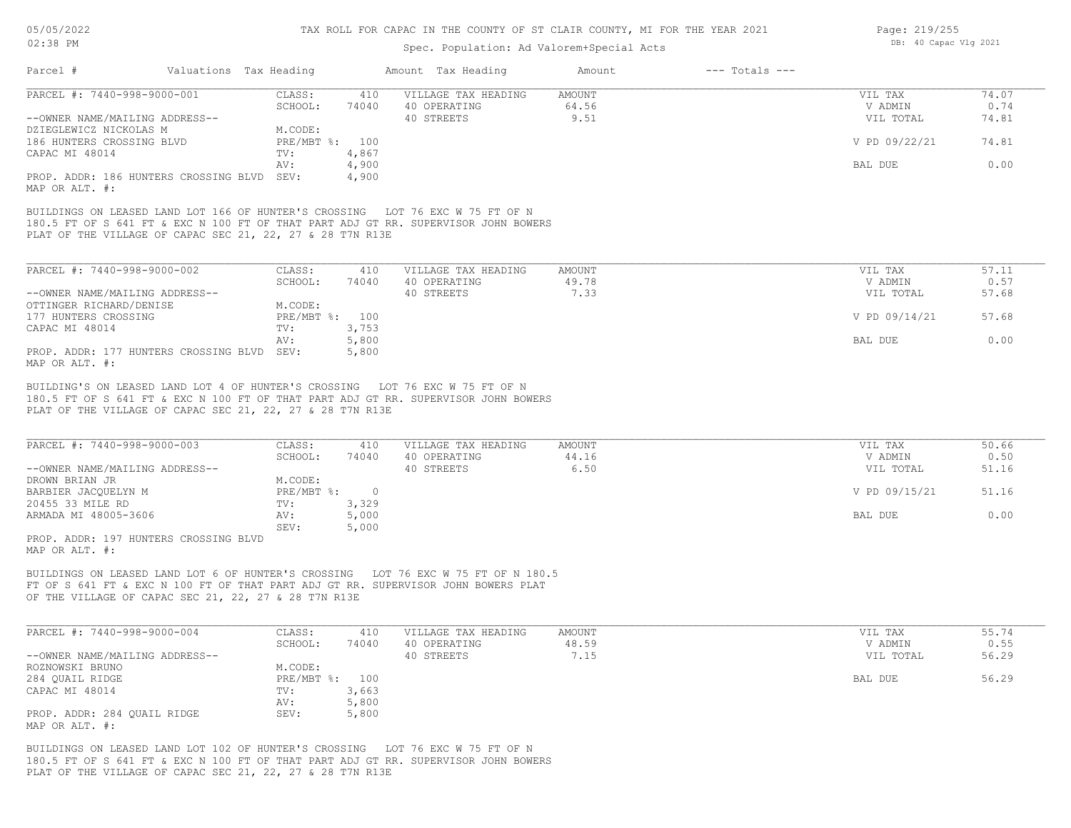#### Spec. Population: Ad Valorem+Special Acts

| Parcel #                                                                                                           | Valuations Tax Heading |                         |              | Amount Tax Heading                                                                                            | Amount        | $---$ Totals $---$ |               |       |
|--------------------------------------------------------------------------------------------------------------------|------------------------|-------------------------|--------------|---------------------------------------------------------------------------------------------------------------|---------------|--------------------|---------------|-------|
| PARCEL #: 7440-998-9000-001                                                                                        |                        | CLASS:                  | 410          | VILLAGE TAX HEADING                                                                                           | <b>AMOUNT</b> |                    | VIL TAX       | 74.07 |
|                                                                                                                    |                        | SCHOOL:                 | 74040        | 40 OPERATING                                                                                                  | 64.56         |                    | V ADMIN       | 0.74  |
| --OWNER NAME/MAILING ADDRESS--                                                                                     |                        |                         |              | 40 STREETS                                                                                                    | 9.51          |                    | VIL TOTAL     | 74.81 |
| DZIEGLEWICZ NICKOLAS M                                                                                             |                        | M.CODE:                 |              |                                                                                                               |               |                    |               |       |
| 186 HUNTERS CROSSING BLVD                                                                                          |                        | PRE/MBT %: 100          |              |                                                                                                               |               |                    | V PD 09/22/21 | 74.81 |
| CAPAC MI 48014                                                                                                     |                        | TV:                     | 4,867        |                                                                                                               |               |                    |               |       |
|                                                                                                                    |                        | AV:                     | 4,900        |                                                                                                               |               |                    | BAL DUE       | 0.00  |
| PROP. ADDR: 186 HUNTERS CROSSING BLVD<br>MAP OR ALT. #:                                                            |                        | SEV:                    | 4,900        |                                                                                                               |               |                    |               |       |
| BUILDINGS ON LEASED LAND LOT 166 OF HUNTER'S CROSSING<br>PLAT OF THE VILLAGE OF CAPAC SEC 21, 22, 27 & 28 T7N R13E |                        |                         |              | LOT 76 EXC W 75 FT OF N<br>180.5 FT OF S 641 FT & EXC N 100 FT OF THAT PART ADJ GT RR. SUPERVISOR JOHN BOWERS |               |                    |               |       |
|                                                                                                                    |                        |                         |              |                                                                                                               |               |                    |               |       |
|                                                                                                                    |                        |                         |              |                                                                                                               |               |                    |               |       |
| PARCEL #: 7440-998-9000-002                                                                                        |                        | CLASS:                  | 410          | VILLAGE TAX HEADING                                                                                           | AMOUNT        |                    | VIL TAX       | 57.11 |
|                                                                                                                    |                        | SCHOOL:                 | 74040        | 40 OPERATING                                                                                                  | 49.78         |                    | V ADMIN       | 0.57  |
| --OWNER NAME/MAILING ADDRESS--                                                                                     |                        |                         |              | 40 STREETS                                                                                                    | 7.33          |                    | VIL TOTAL     | 57.68 |
| OTTINGER RICHARD/DENISE                                                                                            |                        | M.CODE:                 |              |                                                                                                               |               |                    |               |       |
| 177 HUNTERS CROSSING<br>CAPAC MI 48014                                                                             |                        | $PRE/MBT$ $\div$<br>TV: | 100<br>3,753 |                                                                                                               |               |                    | V PD 09/14/21 | 57.68 |

AV: 5,800 BAL DUE 0.00

MAP OR ALT. #: PROP. ADDR: 177 HUNTERS CROSSING BLVD SEV: 5,800

PLAT OF THE VILLAGE OF CAPAC SEC 21, 22, 27 & 28 T7N R13E 180.5 FT OF S 641 FT & EXC N 100 FT OF THAT PART ADJ GT RR. SUPERVISOR JOHN BOWERS BUILDING'S ON LEASED LAND LOT 4 OF HUNTER'S CROSSING LOT 76 EXC W 75 FT OF N

| PARCEL #: 7440-998-9000-003        | CLASS:     | 410   | VILLAGE TAX HEADING | AMOUNT | VIL TAX       | 50.66 |
|------------------------------------|------------|-------|---------------------|--------|---------------|-------|
|                                    | SCHOOL:    | 74040 | 40 OPERATING        | 44.16  | V ADMIN       | 0.50  |
| --OWNER NAME/MAILING ADDRESS--     |            |       | 40 STREETS          | 6.50   | VIL TOTAL     | 51.16 |
| DROWN BRIAN JR                     | M.CODE:    |       |                     |        |               |       |
| BARBIER JACOUELYN M                | PRE/MBT %: |       |                     |        | V PD 09/15/21 | 51.16 |
| 20455 33 MILE RD                   | TV:        | 3,329 |                     |        |               |       |
| ARMADA MI 48005-3606               | AV:        | 5,000 |                     |        | BAL DUE       | 0.00  |
|                                    | SEV:       | 5,000 |                     |        |               |       |
| ppop 100 107 HIMPERS SPOSSING BILD |            |       |                     |        |               |       |

MAP OR ALT. #: PROP. ADDR: 197 HUNTERS CROSSING BLVD

OF THE VILLAGE OF CAPAC SEC 21, 22, 27 & 28 T7N R13E FT OF S 641 FT & EXC N 100 FT OF THAT PART ADJ GT RR. SUPERVISOR JOHN BOWERS PLAT BUILDINGS ON LEASED LAND LOT 6 OF HUNTER'S CROSSING LOT 76 EXC W 75 FT OF N 180.5

| PARCEL #: 7440-998-9000-004    | CLASS:       | 410   | VILLAGE TAX HEADING | AMOUNT | VIL TAX   | 55.74 |
|--------------------------------|--------------|-------|---------------------|--------|-----------|-------|
|                                | SCHOOL:      | 74040 | 40 OPERATING        | 48.59  | V ADMIN   | 0.55  |
| --OWNER NAME/MAILING ADDRESS-- |              |       | 40 STREETS          | 7.15   | VIL TOTAL | 56.29 |
| ROZNOWSKI BRUNO                | M.CODE:      |       |                     |        |           |       |
| 284 QUAIL RIDGE                | $PRE/MBT$ %: | 100   |                     |        | BAL DUE   | 56.29 |
| CAPAC MI 48014                 | TV:          | 3,663 |                     |        |           |       |
|                                | AV:          | 5,800 |                     |        |           |       |
| PROP. ADDR: 284 QUAIL RIDGE    | SEV:         | 5,800 |                     |        |           |       |
| MAP OR ALT. #:                 |              |       |                     |        |           |       |

PLAT OF THE VILLAGE OF CAPAC SEC 21, 22, 27 & 28 T7N R13E 180.5 FT OF S 641 FT & EXC N 100 FT OF THAT PART ADJ GT RR. SUPERVISOR JOHN BOWERS BUILDINGS ON LEASED LAND LOT 102 OF HUNTER'S CROSSING LOT 76 EXC W 75 FT OF N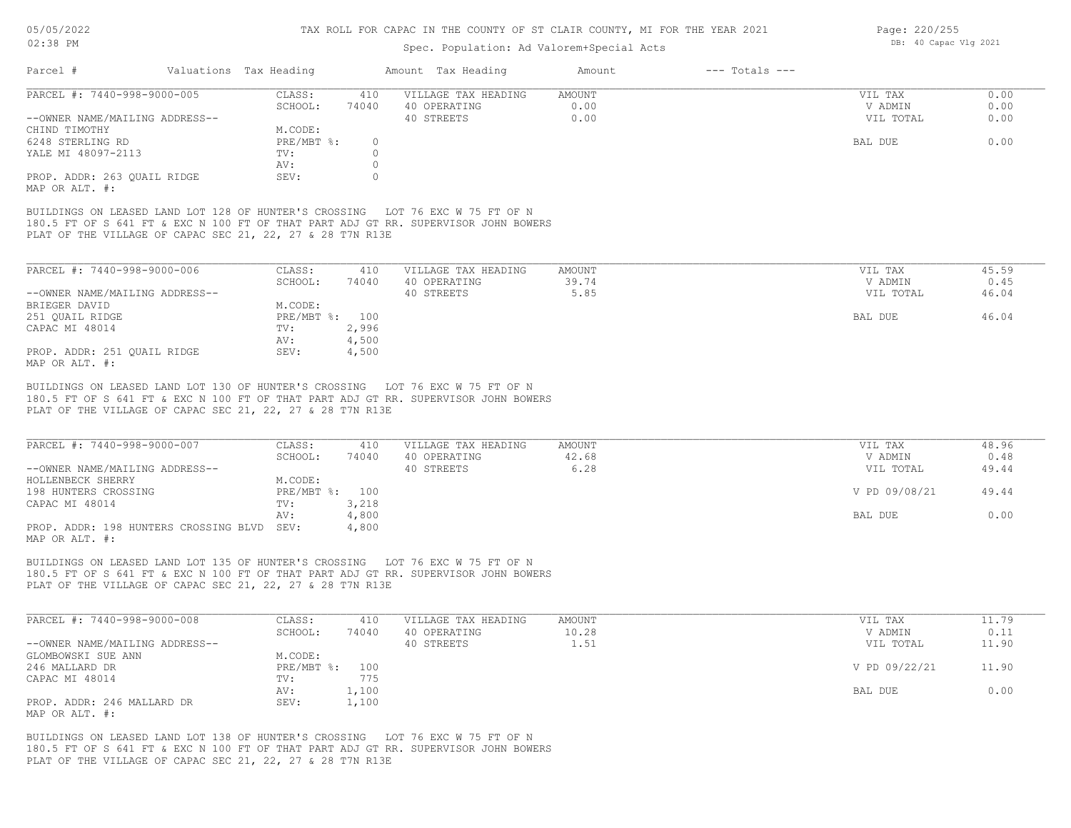#### TAX ROLL FOR CAPAC IN THE COUNTY OF ST CLAIR COUNTY, MI FOR THE YEAR 2021

### Spec. Population: Ad Valorem+Special Acts

| Parcel #                                                                                                           | Valuations Tax Heading |          | Amount Tax Heading                                                                                            | Amount | $---$ Totals $---$ |           |       |
|--------------------------------------------------------------------------------------------------------------------|------------------------|----------|---------------------------------------------------------------------------------------------------------------|--------|--------------------|-----------|-------|
| PARCEL #: 7440-998-9000-005                                                                                        | CLASS:                 | 410      | VILLAGE TAX HEADING                                                                                           | AMOUNT |                    | VIL TAX   | 0.00  |
|                                                                                                                    | SCHOOL:                | 74040    | 40 OPERATING                                                                                                  | 0.00   |                    | V ADMIN   | 0.00  |
| --OWNER NAME/MAILING ADDRESS--                                                                                     |                        |          | 40 STREETS                                                                                                    | 0.00   |                    | VIL TOTAL | 0.00  |
| CHIND TIMOTHY                                                                                                      | M.CODE:                |          |                                                                                                               |        |                    |           |       |
| 6248 STERLING RD                                                                                                   | PRE/MBT %:             | $\Omega$ |                                                                                                               |        |                    | BAL DUE   | 0.00  |
| YALE MI 48097-2113                                                                                                 | TV:                    |          |                                                                                                               |        |                    |           |       |
|                                                                                                                    | AV:                    |          |                                                                                                               |        |                    |           |       |
| PROP. ADDR: 263 OUAIL RIDGE                                                                                        | SEV:                   |          |                                                                                                               |        |                    |           |       |
| MAP OR ALT. #:                                                                                                     |                        |          |                                                                                                               |        |                    |           |       |
| BUILDINGS ON LEASED LAND LOT 128 OF HUNTER'S CROSSING<br>PLAT OF THE VILLAGE OF CAPAC SEC 21, 22, 27 & 28 T7N R13E |                        |          | LOT 76 EXC W 75 FT OF N<br>180.5 FT OF S 641 FT & EXC N 100 FT OF THAT PART ADJ GT RR. SUPERVISOR JOHN BOWERS |        |                    |           |       |
|                                                                                                                    |                        |          |                                                                                                               |        |                    |           |       |
| PARCEL #: 7440-998-9000-006                                                                                        | CLASS:                 | 410      | VILLAGE TAX HEADING                                                                                           | AMOUNT |                    | VIL TAX   | 45.59 |

| --OWNER NAME/MAILING ADDRESS-- |            |       | 40 STREETS | 5.85 | VIL TOTAL | 46.04 |
|--------------------------------|------------|-------|------------|------|-----------|-------|
| BRIEGER DAVID                  | M.CODE:    |       |            |      |           |       |
| 251 QUAIL RIDGE                | PRE/MBT %: | 100   |            |      | BAL DUE   | 46.04 |
| CAPAC MI 48014                 | TV:        | 2,996 |            |      |           |       |
|                                | AV:        | 4,500 |            |      |           |       |
| PROP. ADDR: 251 OUAIL RIDGE    | SEV:       | 4,500 |            |      |           |       |
| MAP OR ALT. #:                 |            |       |            |      |           |       |

PLAT OF THE VILLAGE OF CAPAC SEC 21, 22, 27 & 28 T7N R13E 180.5 FT OF S 641 FT & EXC N 100 FT OF THAT PART ADJ GT RR. SUPERVISOR JOHN BOWERS BUILDINGS ON LEASED LAND LOT 130 OF HUNTER'S CROSSING LOT 76 EXC W 75 FT OF N

| PARCEL #: 7440-998-9000-007                | CLASS:         | 410   | VILLAGE TAX HEADING | AMOUNT | VIL TAX       | 48.96 |
|--------------------------------------------|----------------|-------|---------------------|--------|---------------|-------|
|                                            | SCHOOL:        | 74040 | 40 OPERATING        | 42.68  | V ADMIN       | 0.48  |
| --OWNER NAME/MAILING ADDRESS--             |                |       | 40 STREETS          | 6.28   | VIL TOTAL     | 49.44 |
| HOLLENBECK SHERRY                          | M.CODE:        |       |                     |        |               |       |
| 198 HUNTERS CROSSING                       | PRE/MBT %: 100 |       |                     |        | V PD 09/08/21 | 49.44 |
| CAPAC MI 48014                             | TV:            | 3,218 |                     |        |               |       |
|                                            | AV:            | 4,800 |                     |        | BAL DUE       | 0.00  |
| PROP. ADDR: 198 HUNTERS CROSSING BLVD SEV: |                | 4,800 |                     |        |               |       |
| $\frac{1}{2}$                              |                |       |                     |        |               |       |

MAP OR ALT. #:

PLAT OF THE VILLAGE OF CAPAC SEC 21, 22, 27 & 28 T7N R13E 180.5 FT OF S 641 FT & EXC N 100 FT OF THAT PART ADJ GT RR. SUPERVISOR JOHN BOWERS BUILDINGS ON LEASED LAND LOT 135 OF HUNTER'S CROSSING LOT 76 EXC W 75 FT OF N

| PARCEL #: 7440-998-9000-008    | CLASS:         | 410   | VILLAGE TAX HEADING | AMOUNT | VIL TAX       | 11.79 |
|--------------------------------|----------------|-------|---------------------|--------|---------------|-------|
|                                | SCHOOL:        | 74040 | 40 OPERATING        | 10.28  | V ADMIN       | 0.11  |
| --OWNER NAME/MAILING ADDRESS-- |                |       | 40 STREETS          | 1.51   | VIL TOTAL     | 11.90 |
| GLOMBOWSKI SUE ANN             | M.CODE:        |       |                     |        |               |       |
| 246 MALLARD DR                 | PRE/MBT %: 100 |       |                     |        | V PD 09/22/21 | 11.90 |
| CAPAC MI 48014                 | TV:            | 775   |                     |        |               |       |
|                                | AV:            | 1,100 |                     |        | BAL DUE       | 0.00  |
| PROP. ADDR: 246 MALLARD DR     | SEV:           | 1,100 |                     |        |               |       |
| MAP OR ALT. #:                 |                |       |                     |        |               |       |

PLAT OF THE VILLAGE OF CAPAC SEC 21, 22, 27 & 28 T7N R13E 180.5 FT OF S 641 FT & EXC N 100 FT OF THAT PART ADJ GT RR. SUPERVISOR JOHN BOWERS BUILDINGS ON LEASED LAND LOT 138 OF HUNTER'S CROSSING LOT 76 EXC W 75 FT OF N

Page: 220/255 DB: 40 Capac Vlg 2021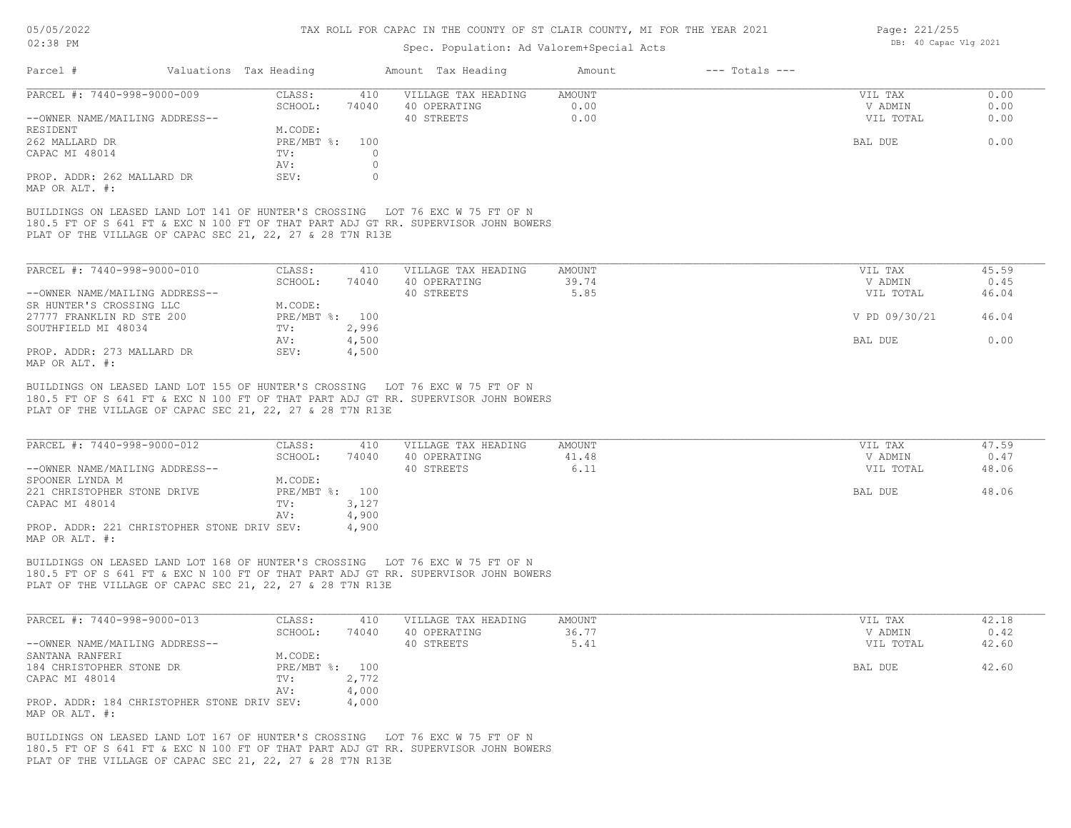# Spec. Population: Ad Valorem+Special Acts

| Parcel #                       | Valuations Tax Heading |       | Amount Tax Heading  | Amount | $---$ Totals $---$ |           |      |
|--------------------------------|------------------------|-------|---------------------|--------|--------------------|-----------|------|
| PARCEL #: 7440-998-9000-009    | CLASS:                 | 410   | VILLAGE TAX HEADING | AMOUNT |                    | VIL TAX   | 0.00 |
|                                | SCHOOL:                | 74040 | 40 OPERATING        | 0.00   |                    | V ADMIN   | 0.00 |
| --OWNER NAME/MAILING ADDRESS-- |                        |       | 40 STREETS          | 0.00   |                    | VIL TOTAL | 0.00 |
| RESIDENT                       | M.CODE:                |       |                     |        |                    |           |      |
| 262 MALLARD DR                 | $PRE/MBT$ %:           | 100   |                     |        |                    | BAL DUE   | 0.00 |
| CAPAC MI 48014                 | TV:                    |       |                     |        |                    |           |      |
|                                | AV:                    |       |                     |        |                    |           |      |
| PROP. ADDR: 262 MALLARD DR     | SEV:                   |       |                     |        |                    |           |      |
| MAP OR ALT. #:                 |                        |       |                     |        |                    |           |      |
|                                |                        |       |                     |        |                    |           |      |

PLAT OF THE VILLAGE OF CAPAC SEC 21, 22, 27 & 28 T7N R13E 180.5 FT OF S 641 FT & EXC N 100 FT OF THAT PART ADJ GT RR. SUPERVISOR JOHN BOWERS BUILDINGS ON LEASED LAND LOT 141 OF HUNTER'S CROSSING LOT 76 EXC W 75 FT OF N

| PARCEL #: 7440-998-9000-010    | CLASS:         | 410   | VILLAGE TAX HEADING | AMOUNT | VIL TAX       | 45.59 |
|--------------------------------|----------------|-------|---------------------|--------|---------------|-------|
|                                | SCHOOL:        | 74040 | 40 OPERATING        | 39.74  | V ADMIN       | 0.45  |
| --OWNER NAME/MAILING ADDRESS-- |                |       | 40 STREETS          | 5.85   | VIL TOTAL     | 46.04 |
| SR HUNTER'S CROSSING LLC       | M.CODE:        |       |                     |        |               |       |
| 27777 FRANKLIN RD STE 200      | PRE/MBT %: 100 |       |                     |        | V PD 09/30/21 | 46.04 |
| SOUTHFIELD MI 48034            | TV:            | 2,996 |                     |        |               |       |
|                                | AV:            | 4,500 |                     |        | BAL DUE       | 0.00  |
| PROP. ADDR: 273 MALLARD DR     | SEV:           | 4,500 |                     |        |               |       |
| MAP OR ALT. #:                 |                |       |                     |        |               |       |

PLAT OF THE VILLAGE OF CAPAC SEC 21, 22, 27 & 28 T7N R13E 180.5 FT OF S 641 FT & EXC N 100 FT OF THAT PART ADJ GT RR. SUPERVISOR JOHN BOWERS BUILDINGS ON LEASED LAND LOT 155 OF HUNTER'S CROSSING LOT 76 EXC W 75 FT OF N

| PARCEL #: 7440-998-9000-012                 | CLASS:         | 410   | VILLAGE TAX HEADING | AMOUNT | VIL TAX   | 47.59 |
|---------------------------------------------|----------------|-------|---------------------|--------|-----------|-------|
|                                             | SCHOOL:        | 74040 | 40 OPERATING        | 41.48  | V ADMIN   | 0.47  |
| --OWNER NAME/MAILING ADDRESS--              |                |       | 40 STREETS          | 6.11   | VIL TOTAL | 48.06 |
| SPOONER LYNDA M                             | M.CODE:        |       |                     |        |           |       |
| 221 CHRISTOPHER STONE DRIVE                 | PRE/MBT %: 100 |       |                     |        | BAL DUE   | 48.06 |
| CAPAC MI 48014                              | TV:            | 3,127 |                     |        |           |       |
|                                             | AV:            | 4,900 |                     |        |           |       |
| PROP. ADDR: 221 CHRISTOPHER STONE DRIV SEV: |                | 4,900 |                     |        |           |       |
| MAP OR ALT. #:                              |                |       |                     |        |           |       |

PLAT OF THE VILLAGE OF CAPAC SEC 21, 22, 27 & 28 T7N R13E 180.5 FT OF S 641 FT & EXC N 100 FT OF THAT PART ADJ GT RR. SUPERVISOR JOHN BOWERS BUILDINGS ON LEASED LAND LOT 168 OF HUNTER'S CROSSING LOT 76 EXC W 75 FT OF N

| PARCEL #: 7440-998-9000-013                                   | CLASS:         | 410   | VILLAGE TAX HEADING | AMOUNT | VIL TAX   | 42.18 |
|---------------------------------------------------------------|----------------|-------|---------------------|--------|-----------|-------|
|                                                               | SCHOOL:        | 74040 | 40 OPERATING        | 36.77  | V ADMIN   | 0.42  |
| --OWNER NAME/MAILING ADDRESS--                                |                |       | 40 STREETS          | 5.41   | VIL TOTAL | 42.60 |
| SANTANA RANFERI                                               | M.CODE:        |       |                     |        |           |       |
| 184 CHRISTOPHER STONE DR                                      | PRE/MBT %: 100 |       |                     |        | BAL DUE   | 42.60 |
| CAPAC MI 48014                                                | TV:            | 2,772 |                     |        |           |       |
|                                                               | AV:            | 4,000 |                     |        |           |       |
| PROP. ADDR: 184 CHRISTOPHER STONE DRIV SEV:<br>MAP OR ALT. #: |                | 4,000 |                     |        |           |       |

PLAT OF THE VILLAGE OF CAPAC SEC 21, 22, 27 & 28 T7N R13E 180.5 FT OF S 641 FT & EXC N 100 FT OF THAT PART ADJ GT RR. SUPERVISOR JOHN BOWERS BUILDINGS ON LEASED LAND LOT 167 OF HUNTER'S CROSSING LOT 76 EXC W 75 FT OF N

Page: 221/255 DB: 40 Capac Vlg 2021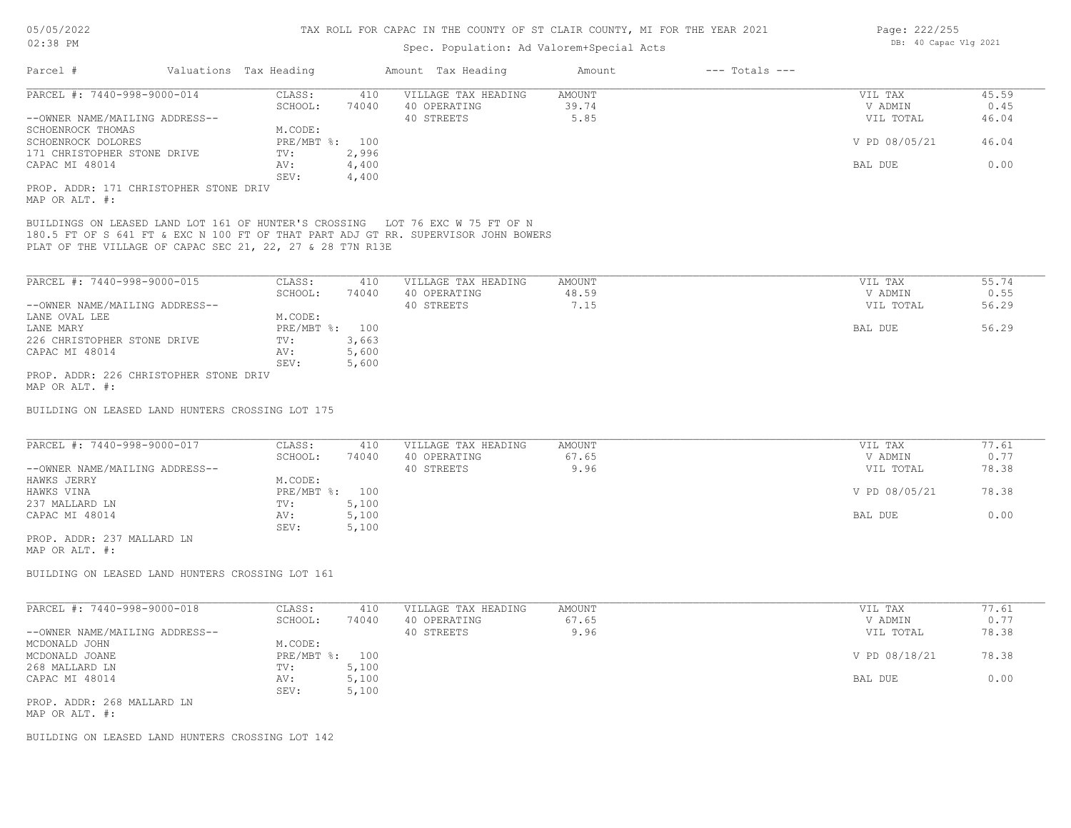| Valuations Tax Heading<br>Amount Tax Heading<br>$---$ Totals $---$<br>Parcel #<br>Amount<br>PARCEL #: 7440-998-9000-014<br>CLASS:<br>VILLAGE TAX HEADING<br><b>AMOUNT</b><br>410<br>39.74<br>SCHOOL:<br>74040<br>40 OPERATING | VIL TAX<br>V ADMIN<br>VIL TOTAL | 45.59<br>0.45 |
|-------------------------------------------------------------------------------------------------------------------------------------------------------------------------------------------------------------------------------|---------------------------------|---------------|
|                                                                                                                                                                                                                               |                                 |               |
|                                                                                                                                                                                                                               |                                 |               |
|                                                                                                                                                                                                                               |                                 |               |
| 5.85<br>40 STREETS<br>--OWNER NAME/MAILING ADDRESS--                                                                                                                                                                          |                                 | 46.04         |
| M.CODE:<br>SCHOENROCK THOMAS                                                                                                                                                                                                  |                                 |               |
| PRE/MBT %: 100<br>SCHOENROCK DOLORES                                                                                                                                                                                          | V PD 08/05/21                   | 46.04         |
| 2,996<br>171 CHRISTOPHER STONE DRIVE<br>TV:                                                                                                                                                                                   |                                 |               |
| CAPAC MI 48014<br>4,400<br>AV:                                                                                                                                                                                                | BAL DUE                         | 0.00          |
| 4,400<br>SEV:<br>PROP. ADDR: 171 CHRISTOPHER STONE DRIV                                                                                                                                                                       |                                 |               |
| MAP OR ALT. #:                                                                                                                                                                                                                |                                 |               |
| BUILDINGS ON LEASED LAND LOT 161 OF HUNTER'S CROSSING LOT 76 EXC W 75 FT OF N                                                                                                                                                 |                                 |               |
| 180.5 FT OF S 641 FT & EXC N 100 FT OF THAT PART ADJ GT RR. SUPERVISOR JOHN BOWERS                                                                                                                                            |                                 |               |
| PLAT OF THE VILLAGE OF CAPAC SEC 21, 22, 27 & 28 T7N R13E                                                                                                                                                                     |                                 |               |
|                                                                                                                                                                                                                               |                                 |               |
| PARCEL #: 7440-998-9000-015<br>CLASS:<br><b>AMOUNT</b><br>410<br>VILLAGE TAX HEADING                                                                                                                                          | VIL TAX                         | 55.74         |
| 48.59<br>SCHOOL:<br>40 OPERATING<br>74040                                                                                                                                                                                     | V ADMIN                         | 0.55          |
| 7.15<br>--OWNER NAME/MAILING ADDRESS--<br>40 STREETS                                                                                                                                                                          | VIL TOTAL                       | 56.29         |
| M.CODE:<br>LANE OVAL LEE                                                                                                                                                                                                      |                                 |               |
| PRE/MBT %: 100<br>LANE MARY                                                                                                                                                                                                   | BAL DUE                         | 56.29         |
|                                                                                                                                                                                                                               |                                 |               |
| 3,663<br>226 CHRISTOPHER STONE DRIVE<br>TV:                                                                                                                                                                                   |                                 |               |
| CAPAC MI 48014<br>5,600<br>AV:                                                                                                                                                                                                |                                 |               |
| 5,600<br>SEV:                                                                                                                                                                                                                 |                                 |               |
| PROP. ADDR: 226 CHRISTOPHER STONE DRIV                                                                                                                                                                                        |                                 |               |
| MAP OR ALT. #:                                                                                                                                                                                                                |                                 |               |
| BUILDING ON LEASED LAND HUNTERS CROSSING LOT 175                                                                                                                                                                              |                                 |               |
| PARCEL #: 7440-998-9000-017<br>CLASS:<br>VILLAGE TAX HEADING<br>AMOUNT<br>410                                                                                                                                                 | VIL TAX                         | 77.61         |
| 67.65<br>SCHOOL:<br>40 OPERATING<br>74040                                                                                                                                                                                     | V ADMIN                         | 0.77          |
| 9.96<br>--OWNER NAME/MAILING ADDRESS--<br>40 STREETS                                                                                                                                                                          | VIL TOTAL                       | 78.38         |
| M.CODE:<br>HAWKS JERRY                                                                                                                                                                                                        |                                 |               |
| HAWKS VINA<br>PRE/MBT %: 100                                                                                                                                                                                                  | V PD 08/05/21                   | 78.38         |
| 5,100<br>237 MALLARD LN<br>TV:                                                                                                                                                                                                |                                 |               |
| 5,100<br>CAPAC MI 48014<br>AV:                                                                                                                                                                                                | BAL DUE                         | 0.00          |
| SEV:<br>5,100                                                                                                                                                                                                                 |                                 |               |
| PROP. ADDR: 237 MALLARD LN                                                                                                                                                                                                    |                                 |               |
| MAP OR ALT. #:                                                                                                                                                                                                                |                                 |               |
|                                                                                                                                                                                                                               |                                 |               |
| BUILDING ON LEASED LAND HUNTERS CROSSING LOT 161                                                                                                                                                                              |                                 |               |
|                                                                                                                                                                                                                               |                                 |               |
| PARCEL #: 7440-998-9000-018<br>CLASS:<br>VILLAGE TAX HEADING<br><b>AMOUNT</b><br>410                                                                                                                                          | VIL TAX                         | 77.61         |
| SCHOOL:<br>40 OPERATING<br>67.65<br>74040                                                                                                                                                                                     | V ADMIN                         | 0.77          |
| 9.96<br>--OWNER NAME/MAILING ADDRESS--<br>40 STREETS                                                                                                                                                                          | VIL TOTAL                       | 78.38         |
| MCDONALD JOHN<br>M.CODE:                                                                                                                                                                                                      |                                 |               |
| PRE/MBT %: 100<br>MCDONALD JOANE                                                                                                                                                                                              | V PD 08/18/21                   | 78.38         |
| 268 MALLARD LN<br>5,100<br>TV:                                                                                                                                                                                                |                                 |               |
| 5,100<br>CAPAC MI 48014<br>AV:                                                                                                                                                                                                | BAL DUE                         | 0.00          |
| SEV:<br>5,100                                                                                                                                                                                                                 |                                 |               |
| PROP. ADDR: 268 MALLARD LN                                                                                                                                                                                                    |                                 |               |

MAP OR ALT. #:

BUILDING ON LEASED LAND HUNTERS CROSSING LOT 142

Page: 222/255 DB: 40 Capac Vlg 2021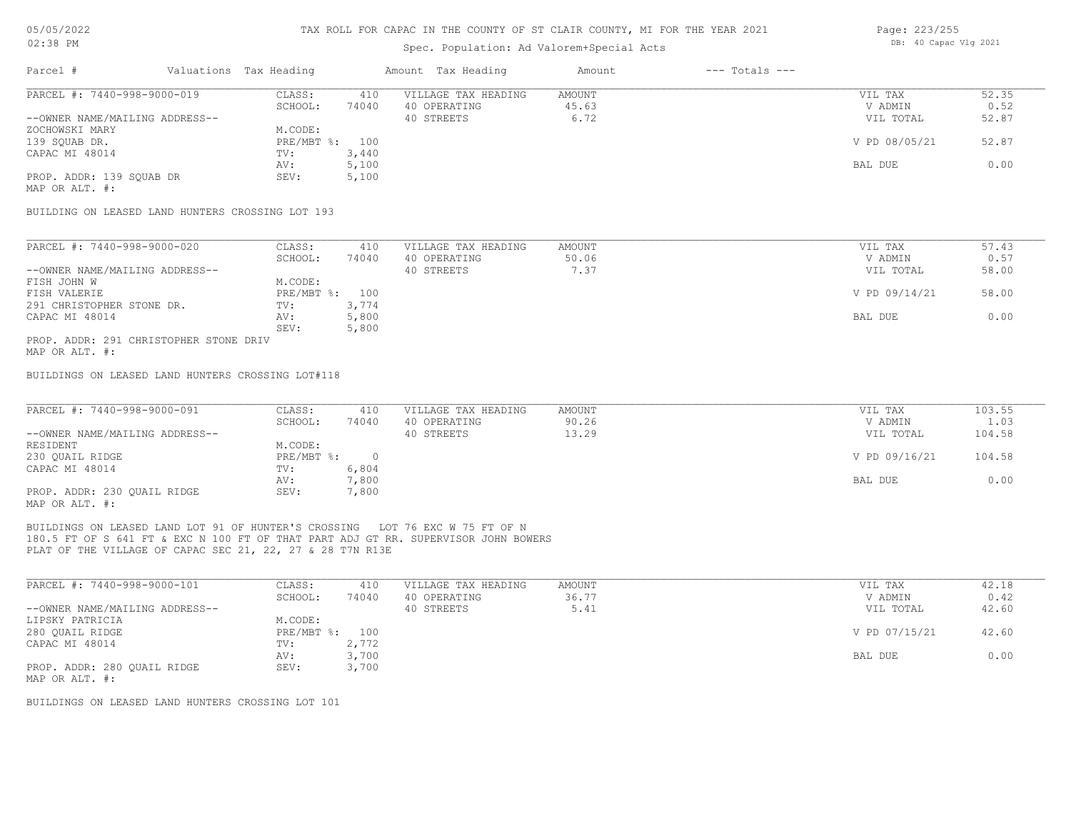### Spec. Population: Ad Valorem+Special Acts

| Parcel #                       | Valuations Tax Heading |       | Amount Tax Heading  | Amount | $---$ Totals $---$ |               |       |
|--------------------------------|------------------------|-------|---------------------|--------|--------------------|---------------|-------|
| PARCEL #: 7440-998-9000-019    | CLASS:                 | 410   | VILLAGE TAX HEADING | AMOUNT |                    | VIL TAX       | 52.35 |
|                                | SCHOOL:                | 74040 | 40 OPERATING        | 45.63  |                    | V ADMIN       | 0.52  |
| --OWNER NAME/MAILING ADDRESS-- |                        |       | 40 STREETS          | 6.72   |                    | VIL TOTAL     | 52.87 |
| ZOCHOWSKI MARY                 | M.CODE:                |       |                     |        |                    |               |       |
| 139 SOUAB DR.                  | $PRE/MBT$ %:           | 100   |                     |        |                    | V PD 08/05/21 | 52.87 |
| CAPAC MI 48014                 | TV:                    | 3,440 |                     |        |                    |               |       |
|                                | AV:                    | 5,100 |                     |        |                    | BAL DUE       | 0.00  |
| PROP. ADDR: 139 SOUAB DR       | SEV:                   | 5,100 |                     |        |                    |               |       |
|                                |                        |       |                     |        |                    |               |       |

MAP OR ALT. #:

BUILDING ON LEASED LAND HUNTERS CROSSING LOT 193

| PARCEL #: 7440-998-9000-020            | CLASS:         | 410   | VILLAGE TAX HEADING | AMOUNT | VIL TAX       | 57.43 |
|----------------------------------------|----------------|-------|---------------------|--------|---------------|-------|
|                                        | SCHOOL:        | 74040 | 40 OPERATING        | 50.06  | V ADMIN       | 0.57  |
| --OWNER NAME/MAILING ADDRESS--         |                |       | 40 STREETS          | 7.37   | VIL TOTAL     | 58.00 |
| FISH JOHN W                            | M.CODE:        |       |                     |        |               |       |
| FISH VALERIE                           | PRE/MBT %: 100 |       |                     |        | V PD 09/14/21 | 58.00 |
| 291 CHRISTOPHER STONE DR.              | TV:            | 3,774 |                     |        |               |       |
| CAPAC MI 48014                         | AV:            | 5,800 |                     |        | BAL DUE       | 0.00  |
|                                        | SEV:           | 5,800 |                     |        |               |       |
| PROP. ADDR: 291 CHRISTOPHER STONE DRIV |                |       |                     |        |               |       |

MAP OR ALT. #:

BUILDINGS ON LEASED LAND HUNTERS CROSSING LOT#118

| PARCEL #: 7440-998-9000-091    | CLASS:       | 410   | VILLAGE TAX HEADING | AMOUNT | VIL TAX       | 103.55 |
|--------------------------------|--------------|-------|---------------------|--------|---------------|--------|
|                                | SCHOOL:      | 74040 | 40 OPERATING        | 90.26  | V ADMIN       | 1.03   |
| --OWNER NAME/MAILING ADDRESS-- |              |       | 40 STREETS          | 13.29  | VIL TOTAL     | 104.58 |
| RESIDENT                       | M.CODE:      |       |                     |        |               |        |
| 230 OUAIL RIDGE                | $PRE/MBT$ %: |       |                     |        | V PD 09/16/21 | 104.58 |
| CAPAC MI 48014                 | TV:          | 6,804 |                     |        |               |        |
|                                | AV:          | 7,800 |                     |        | BAL DUE       | 0.00   |
| PROP. ADDR: 230 QUAIL RIDGE    | SEV:         | 7,800 |                     |        |               |        |
| MAP OR ALT. #:                 |              |       |                     |        |               |        |

PLAT OF THE VILLAGE OF CAPAC SEC 21, 22, 27 & 28 T7N R13E 180.5 FT OF S 641 FT & EXC N 100 FT OF THAT PART ADJ GT RR. SUPERVISOR JOHN BOWERS BUILDINGS ON LEASED LAND LOT 91 OF HUNTER'S CROSSING LOT 76 EXC W 75 FT OF N

| PARCEL #: 7440-998-9000-101    | CLASS:       | 410   | VILLAGE TAX HEADING | AMOUNT | VIL TAX       | 42.18 |
|--------------------------------|--------------|-------|---------------------|--------|---------------|-------|
|                                | SCHOOL:      | 74040 | 40 OPERATING        | 36.77  | V ADMIN       | 0.42  |
| --OWNER NAME/MAILING ADDRESS-- |              |       | 40 STREETS          | 5.41   | VIL TOTAL     | 42.60 |
| LIPSKY PATRICIA                | M.CODE:      |       |                     |        |               |       |
| 280 QUAIL RIDGE                | $PRE/MBT$ %: | 100   |                     |        | V PD 07/15/21 | 42.60 |
| CAPAC MI 48014                 | TV:          | 2,772 |                     |        |               |       |
|                                | AV:          | 3,700 |                     |        | BAL DUE       | 0.00  |
| PROP. ADDR: 280 QUAIL RIDGE    | SEV:         | 3,700 |                     |        |               |       |
| MAP OR ALT. #:                 |              |       |                     |        |               |       |

BUILDINGS ON LEASED LAND HUNTERS CROSSING LOT 101

Page: 223/255 DB: 40 Capac Vlg 2021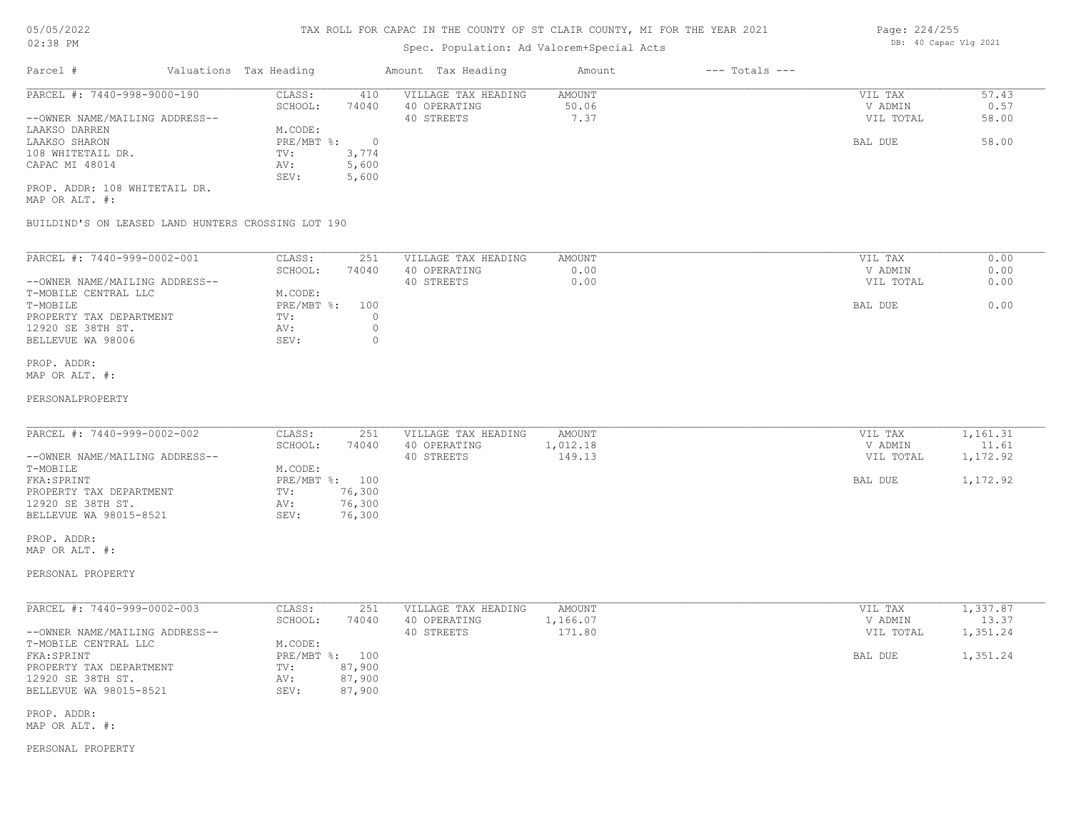### Spec. Population: Ad Valorem+Special Acts

| Parcel #                       | Valuations Tax Heading |       | Amount Tax Heading  | Amount | $---$ Totals $---$ |           |       |
|--------------------------------|------------------------|-------|---------------------|--------|--------------------|-----------|-------|
| PARCEL #: 7440-998-9000-190    | CLASS:                 | 410   | VILLAGE TAX HEADING | AMOUNT |                    | VIL TAX   | 57.43 |
|                                | SCHOOL:                | 74040 | 40 OPERATING        | 50.06  |                    | V ADMIN   | 0.57  |
| --OWNER NAME/MAILING ADDRESS-- |                        |       | 40 STREETS          | 7.37   |                    | VIL TOTAL | 58.00 |
| LAAKSO DARREN                  | M.CODE:                |       |                     |        |                    |           |       |
| LAAKSO SHARON                  | PRE/MBT %:             |       |                     |        |                    | BAL DUE   | 58.00 |
| 108 WHITETAIL DR.              | TV:                    | 3,774 |                     |        |                    |           |       |
| CAPAC MI 48014                 | AV:                    | 5,600 |                     |        |                    |           |       |
|                                | SEV:                   | 5,600 |                     |        |                    |           |       |
| PROP. ADDR: 108 WHITETAIL DR.  |                        |       |                     |        |                    |           |       |

MAP OR ALT. #:

BUILDIND'S ON LEASED LAND HUNTERS CROSSING LOT 190

| PARCEL #: 7440-999-0002-001    | CLASS:     | 251   | VILLAGE TAX HEADING | AMOUNT | 0.00<br>VIL TAX   |  |
|--------------------------------|------------|-------|---------------------|--------|-------------------|--|
|                                | SCHOOL:    | 74040 | 40 OPERATING        | 0.00   | 0.00<br>V ADMIN   |  |
| --OWNER NAME/MAILING ADDRESS-- |            |       | 40 STREETS          | 0.00   | 0.00<br>VIL TOTAL |  |
| T-MOBILE CENTRAL LLC           | M.CODE:    |       |                     |        |                   |  |
| T-MOBILE                       | PRE/MBT %: | 100   |                     |        | 0.00<br>BAL DUE   |  |
| PROPERTY TAX DEPARTMENT        | TV:        |       |                     |        |                   |  |
| 12920 SE 38TH ST.              | AV:        |       |                     |        |                   |  |
| BELLEVUE WA 98006              | SEV:       |       |                     |        |                   |  |
|                                |            |       |                     |        |                   |  |

### MAP OR ALT. #: PROP. ADDR:

#### PERSONALPROPERTY

| PARCEL #: 7440-999-0002-002    | CLASS:       | 251    | VILLAGE TAX HEADING | AMOUNT  | VIL TAX   | 1,161.31 |
|--------------------------------|--------------|--------|---------------------|---------|-----------|----------|
|                                | SCHOOL:      | 74040  | 40 OPERATING        | ,012.18 | V ADMIN   | 11.61    |
| --OWNER NAME/MAILING ADDRESS-- |              |        | 40 STREETS          | 149.13  | VIL TOTAL | 1,172.92 |
| T-MOBILE                       | M.CODE:      |        |                     |         |           |          |
| FKA: SPRINT                    | $PRE/MBT$ %: | 100    |                     |         | BAL DUE   | 1,172.92 |
| PROPERTY TAX DEPARTMENT        | TV:          | 76,300 |                     |         |           |          |
| 12920 SE 38TH ST.              | AV:          | 76,300 |                     |         |           |          |
| BELLEVUE WA 98015-8521         | SEV:         | 76,300 |                     |         |           |          |

 $\_$  , and the state of the state of the state of the state of the state of the state of the state of the state of the state of the state of the state of the state of the state of the state of the state of the state of the

MAP OR ALT. #: PROP. ADDR:

#### PERSONAL PROPERTY

| PARCEL #: 7440-999-0002-003    | CLASS:       | 251    | VILLAGE TAX HEADING | AMOUNT   | VIL TAX   | 1,337.87 |
|--------------------------------|--------------|--------|---------------------|----------|-----------|----------|
|                                | SCHOOL:      | 74040  | 40 OPERATING        | 1,166.07 | V ADMIN   | 13.37    |
| --OWNER NAME/MAILING ADDRESS-- |              |        | 40 STREETS          | 171.80   | VIL TOTAL | 1,351.24 |
| T-MOBILE CENTRAL LLC           | M.CODE:      |        |                     |          |           |          |
| FKA: SPRINT                    | $PRE/MBT$ %: | 100    |                     |          | BAL DUE   | 1,351.24 |
| PROPERTY TAX DEPARTMENT        | TV:          | 87,900 |                     |          |           |          |
| 12920 SE 38TH ST.              | AV:          | 87,900 |                     |          |           |          |
| BELLEVUE WA 98015-8521         | SEV:         | 87,900 |                     |          |           |          |

MAP OR ALT. #: PROP. ADDR:

#### PERSONAL PROPERTY

Page: 224/255 DB: 40 Capac Vlg 2021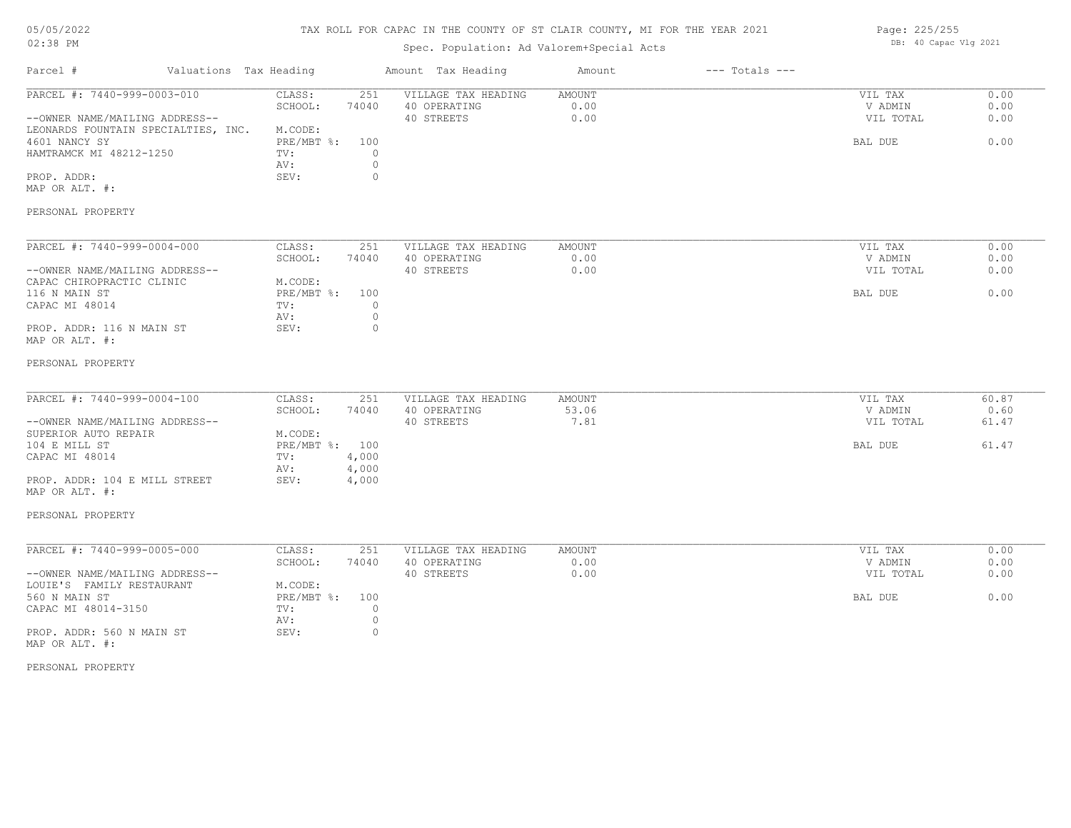### TAX ROLL FOR CAPAC IN THE COUNTY OF ST CLAIR COUNTY, MI FOR THE YEAR 2021

### Spec. Population: Ad Valorem+Special Acts

| Parcel #                                                                                                                                                                                                              | Valuations Tax Heading |                                                                      |                                                       | Amount Tax Heading                                | Amount                  | $---$ Totals $---$ |                                            |                                 |
|-----------------------------------------------------------------------------------------------------------------------------------------------------------------------------------------------------------------------|------------------------|----------------------------------------------------------------------|-------------------------------------------------------|---------------------------------------------------|-------------------------|--------------------|--------------------------------------------|---------------------------------|
| PARCEL #: 7440-999-0003-010<br>--OWNER NAME/MAILING ADDRESS--<br>LEONARDS FOUNTAIN SPECIALTIES, INC.<br>4601 NANCY SY<br>HAMTRAMCK MI 48212-1250<br>PROP. ADDR:<br>MAP OR ALT. #:<br>PERSONAL PROPERTY                |                        | CLASS:<br>SCHOOL:<br>M.CODE:<br>PRE/MBT %: 100<br>TV:<br>AV:<br>SEV: | 251<br>74040<br>$\Omega$<br>$\circ$<br>$\overline{0}$ | VILLAGE TAX HEADING<br>40 OPERATING<br>40 STREETS | AMOUNT<br>0.00<br>0.00  |                    | VIL TAX<br>V ADMIN<br>VIL TOTAL<br>BAL DUE | 0.00<br>0.00<br>0.00<br>0.00    |
| PARCEL #: 7440-999-0004-000<br>--OWNER NAME/MAILING ADDRESS--<br>CAPAC CHIROPRACTIC CLINIC<br>116 N MAIN ST<br>CAPAC MI 48014<br>PROP. ADDR: 116 N MAIN ST<br>MAP OR ALT. #:                                          |                        | CLASS:<br>SCHOOL:<br>M.CODE:<br>PRE/MBT %: 100<br>TV:<br>AV:<br>SEV: | 251<br>74040<br>$\circ$<br>$\circ$<br>$\circ$         | VILLAGE TAX HEADING<br>40 OPERATING<br>40 STREETS | AMOUNT<br>0.00<br>0.00  |                    | VIL TAX<br>V ADMIN<br>VIL TOTAL<br>BAL DUE | 0.00<br>0.00<br>0.00<br>0.00    |
| PERSONAL PROPERTY<br>PARCEL #: 7440-999-0004-100<br>--OWNER NAME/MAILING ADDRESS--<br>SUPERIOR AUTO REPAIR<br>104 E MILL ST<br>CAPAC MI 48014<br>PROP. ADDR: 104 E MILL STREET<br>MAP OR ALT. #:<br>PERSONAL PROPERTY |                        | CLASS:<br>SCHOOL:<br>M.CODE:<br>PRE/MBT %: 100<br>TV:<br>AV:<br>SEV: | 251<br>74040<br>4,000<br>4,000<br>4,000               | VILLAGE TAX HEADING<br>40 OPERATING<br>40 STREETS | AMOUNT<br>53.06<br>7.81 |                    | VIL TAX<br>V ADMIN<br>VIL TOTAL<br>BAL DUE | 60.87<br>0.60<br>61.47<br>61.47 |
| PARCEL #: 7440-999-0005-000<br>--OWNER NAME/MAILING ADDRESS--<br>LOUIE'S FAMILY RESTAURANT<br>560 N MAIN ST<br>CAPAC MI 48014-3150<br>PROP. ADDR: 560 N MAIN ST<br>MAP OR ALT. #:<br>PERSONAL PROPERTY                |                        | CLASS:<br>SCHOOL:<br>M.CODE:<br>PRE/MBT %: 100<br>TV:<br>AV:<br>SEV: | 251<br>74040<br>$\circ$<br>$\overline{0}$<br>$\circ$  | VILLAGE TAX HEADING<br>40 OPERATING<br>40 STREETS | AMOUNT<br>0.00<br>0.00  |                    | VIL TAX<br>V ADMIN<br>VIL TOTAL<br>BAL DUE | 0.00<br>0.00<br>0.00<br>0.00    |

Page: 225/255 DB: 40 Capac Vlg 2021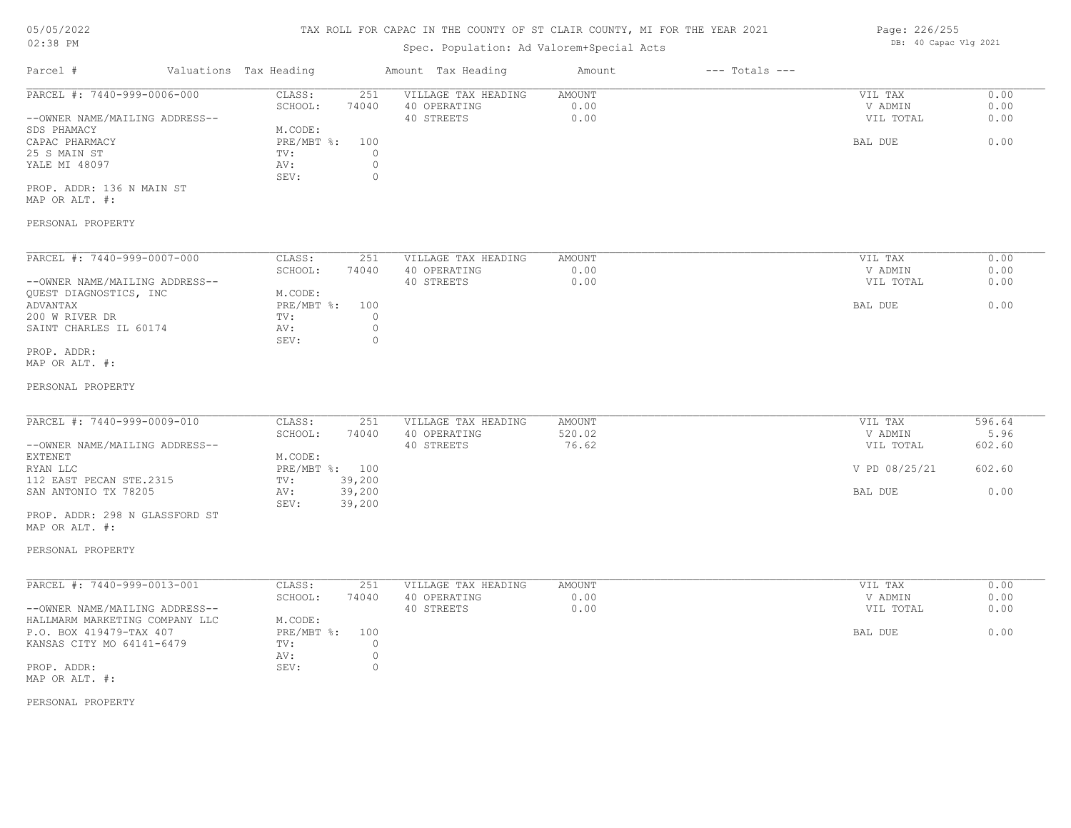# 05/05/2022

### 02:38 PM

#### TAX ROLL FOR CAPAC IN THE COUNTY OF ST CLAIR COUNTY, MI FOR THE YEAR 2021 PAGE: 226/255

## Spec. Population: Ad Valorem+Special Acts

| UU / UU / LULL<br>$02:38$ PM |                        | IAA KUBB FUN UALAU IN INS UUUNII UF UI UBAIN UUUNII, NI FUN INS ISAN 2021<br>Spec. Population: Ad Valorem+Special Acts |        |                | Layt. 220/200<br>DB: 40 Capac Vlg 2021 |
|------------------------------|------------------------|------------------------------------------------------------------------------------------------------------------------|--------|----------------|----------------------------------------|
| Parcel #                     | Valuations Tax Heading | Amount Tax Heading                                                                                                     | Amount | --- Totals --- |                                        |

| PARCEL #: 7440-999-0006-000    | CLASS:     | 251   | VILLAGE TAX HEADING | AMOUNT | VIL TAX   | 0.00 |
|--------------------------------|------------|-------|---------------------|--------|-----------|------|
|                                | SCHOOL:    | 74040 | 40 OPERATING        | 0.00   | V ADMIN   | 0.00 |
| --OWNER NAME/MAILING ADDRESS-- |            |       | 40 STREETS          | 0.00   | VIL TOTAL | 0.00 |
| SDS PHAMACY                    | M.CODE:    |       |                     |        |           |      |
| CAPAC PHARMACY                 | PRE/MBT %: | 100   |                     |        | BAL DUE   | 0.00 |
| 25 S MAIN ST                   | TV:        |       |                     |        |           |      |
| YALE MI 48097                  | AV:        |       |                     |        |           |      |
|                                | SEV:       |       |                     |        |           |      |
| PROP. ADDR: 136 N MAIN ST      |            |       |                     |        |           |      |

MAP OR ALT. #:

### PERSONAL PROPERTY

| PARCEL #: 7440-999-0007-000    | CLASS:     | 251   | VILLAGE TAX HEADING | AMOUNT | 0.00<br>VIL TAX   |
|--------------------------------|------------|-------|---------------------|--------|-------------------|
|                                | SCHOOL:    | 74040 | 40 OPERATING        | 0.00   | 0.00<br>V ADMIN   |
| --OWNER NAME/MAILING ADDRESS-- |            |       | 40 STREETS          | 0.00   | 0.00<br>VIL TOTAL |
| OUEST DIAGNOSTICS, INC         | M.CODE:    |       |                     |        |                   |
| ADVANTAX                       | PRE/MBT %: | 100   |                     |        | 0.00<br>BAL DUE   |
| 200 W RIVER DR                 | TV:        |       |                     |        |                   |
| SAINT CHARLES IL 60174         | AV:        |       |                     |        |                   |
|                                | SEV:       |       |                     |        |                   |
| PROP. ADDR:                    |            |       |                     |        |                   |

MAP OR ALT. #:

#### PERSONAL PROPERTY

| PARCEL #: 7440-999-0009-010    | CLASS:         | 251    | VILLAGE TAX HEADING | AMOUNT | VIL TAX       | 596.64 |
|--------------------------------|----------------|--------|---------------------|--------|---------------|--------|
|                                | SCHOOL:        | 74040  | 40 OPERATING        | 520.02 | V ADMIN       | 5.96   |
| --OWNER NAME/MAILING ADDRESS-- |                |        | 40 STREETS          | 76.62  | VIL TOTAL     | 602.60 |
| EXTENET                        | M.CODE:        |        |                     |        |               |        |
| RYAN LLC                       | PRE/MBT %: 100 |        |                     |        | V PD 08/25/21 | 602.60 |
| 112 EAST PECAN STE.2315        | TV:            | 39,200 |                     |        |               |        |
| SAN ANTONIO TX 78205           | AV:            | 39,200 |                     |        | BAL DUE       | 0.00   |
|                                | SEV:           | 39,200 |                     |        |               |        |

MAP OR ALT. #: PROP. ADDR: 298 N GLASSFORD ST

#### PERSONAL PROPERTY

| PARCEL #: 7440-999-0013-001    | CLASS:     | 251   | VILLAGE TAX HEADING | AMOUNT | VIL TAX   | 0.00 |
|--------------------------------|------------|-------|---------------------|--------|-----------|------|
|                                | SCHOOL:    | 74040 | 40 OPERATING        | 0.00   | V ADMIN   | 0.00 |
| --OWNER NAME/MAILING ADDRESS-- |            |       | 40 STREETS          | 0.00   | VIL TOTAL | 0.00 |
| HALLMARM MARKETING COMPANY LLC | M.CODE:    |       |                     |        |           |      |
| P.O. BOX 419479-TAX 407        | PRE/MBT %: | 100   |                     |        | BAL DUE   | 0.00 |
| KANSAS CITY MO 64141-6479      | TV:        |       |                     |        |           |      |
|                                | AV:        |       |                     |        |           |      |
| PROP. ADDR:                    | SEV:       |       |                     |        |           |      |
| MAP OR ALT. #:                 |            |       |                     |        |           |      |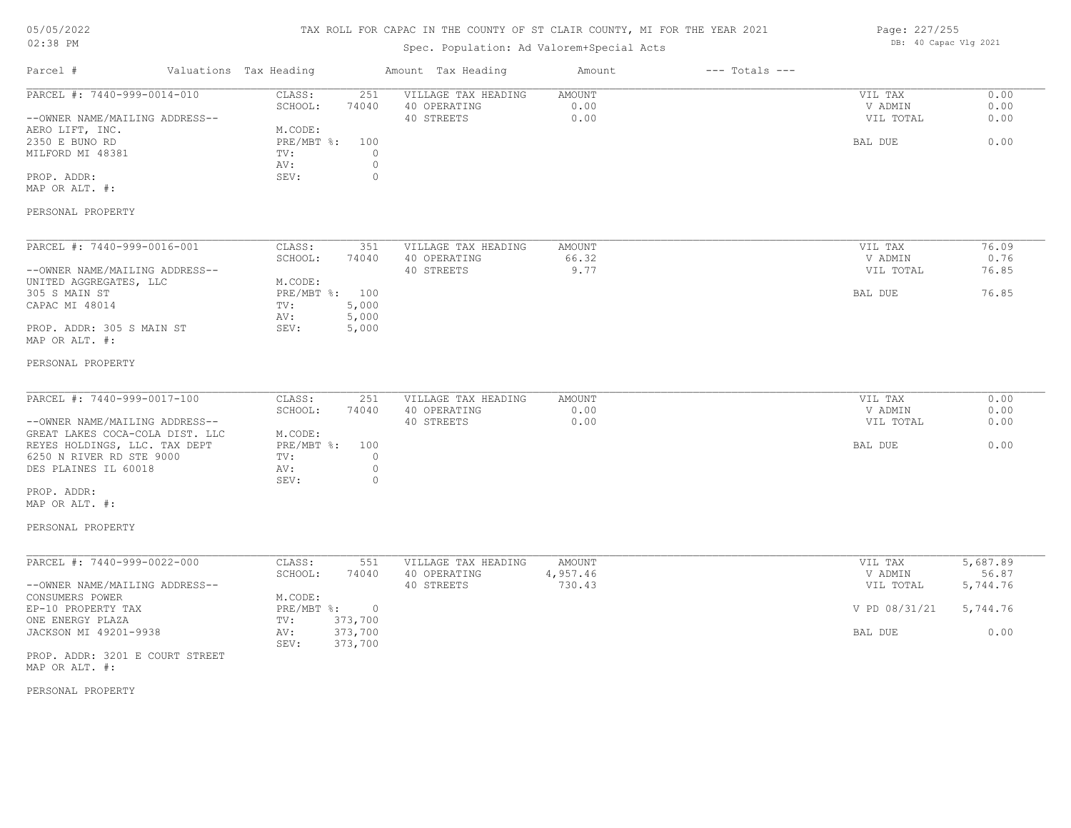### TAX ROLL FOR CAPAC IN THE COUNTY OF ST CLAIR COUNTY, MI FOR THE YEAR 2021

### Spec. Population: Ad Valorem+Special Acts

Page: 227/255 DB: 40 Capac Vlg 2021

| Parcel #                                                                                                                                                                                                                                    | Valuations Tax Heading                                                                                              | Amount Tax Heading                                                                 | Amount                       | $---$ Totals $---$ |                                                             |                                                   |
|---------------------------------------------------------------------------------------------------------------------------------------------------------------------------------------------------------------------------------------------|---------------------------------------------------------------------------------------------------------------------|------------------------------------------------------------------------------------|------------------------------|--------------------|-------------------------------------------------------------|---------------------------------------------------|
| PARCEL #: 7440-999-0014-010<br>--OWNER NAME/MAILING ADDRESS--<br>AERO LIFT, INC.<br>2350 E BUNO RD<br>MILFORD MI 48381<br>PROP. ADDR:<br>MAP OR ALT. #:                                                                                     | CLASS:<br>251<br>SCHOOL:<br>74040<br>M.CODE:<br>$PRE/MBT$ %:<br>100<br>TV:<br>AV:<br>SEV:                           | VILLAGE TAX HEADING<br>40 OPERATING<br>40 STREETS<br>$\circ$<br>$\circ$<br>0       | AMOUNT<br>0.00<br>0.00       |                    | VIL TAX<br>V ADMIN<br>VIL TOTAL<br>BAL DUE                  | 0.00<br>0.00<br>0.00<br>0.00                      |
| PERSONAL PROPERTY                                                                                                                                                                                                                           |                                                                                                                     |                                                                                    |                              |                    |                                                             |                                                   |
| PARCEL #: 7440-999-0016-001<br>--OWNER NAME/MAILING ADDRESS--<br>UNITED AGGREGATES, LLC<br>305 S MAIN ST<br>CAPAC MI 48014<br>PROP. ADDR: 305 S MAIN ST<br>MAP OR ALT. #:                                                                   | CLASS:<br>351<br>SCHOOL:<br>74040<br>M.CODE:<br>PRE/MBT %: 100<br>5,000<br>TV:<br>5,000<br>AV:<br>SEV:<br>5,000     | VILLAGE TAX HEADING<br>40 OPERATING<br>40 STREETS                                  | AMOUNT<br>66.32<br>9.77      |                    | VIL TAX<br>V ADMIN<br>VIL TOTAL<br>BAL DUE                  | 76.09<br>0.76<br>76.85<br>76.85                   |
| PERSONAL PROPERTY                                                                                                                                                                                                                           |                                                                                                                     |                                                                                    |                              |                    |                                                             |                                                   |
| PARCEL #: 7440-999-0017-100<br>--OWNER NAME/MAILING ADDRESS--<br>GREAT LAKES COCA-COLA DIST. LLC<br>REYES HOLDINGS, LLC. TAX DEPT<br>6250 N RIVER RD STE 9000<br>DES PLAINES IL 60018<br>PROP. ADDR:<br>MAP OR ALT. #:<br>PERSONAL PROPERTY | CLASS:<br>251<br>SCHOOL:<br>74040<br>M.CODE:<br>PRE/MBT %:<br>100<br>TV:<br>AV:<br>SEV:                             | VILLAGE TAX HEADING<br>40 OPERATING<br>40 STREETS<br>$\circ$<br>$\circ$<br>$\circ$ | AMOUNT<br>0.00<br>0.00       |                    | VIL TAX<br>V ADMIN<br>VIL TOTAL<br>BAL DUE                  | 0.00<br>0.00<br>0.00<br>0.00                      |
| PARCEL #: 7440-999-0022-000<br>--OWNER NAME/MAILING ADDRESS--<br>CONSUMERS POWER<br>EP-10 PROPERTY TAX<br>ONE ENERGY PLAZA<br>JACKSON MI 49201-9938<br>PROP. ADDR: 3201 E COURT STREET<br>MAP OR ALT. #:                                    | CLASS:<br>551<br>SCHOOL:<br>74040<br>M.CODE:<br>PRE/MBT %: 0<br>373,700<br>TV:<br>373,700<br>AV:<br>SEV:<br>373,700 | VILLAGE TAX HEADING<br>40 OPERATING<br>40 STREETS                                  | AMOUNT<br>4,957.46<br>730.43 |                    | VIL TAX<br>V ADMIN<br>VIL TOTAL<br>V PD 08/31/21<br>BAL DUE | 5,687.89<br>56.87<br>5,744.76<br>5,744.76<br>0.00 |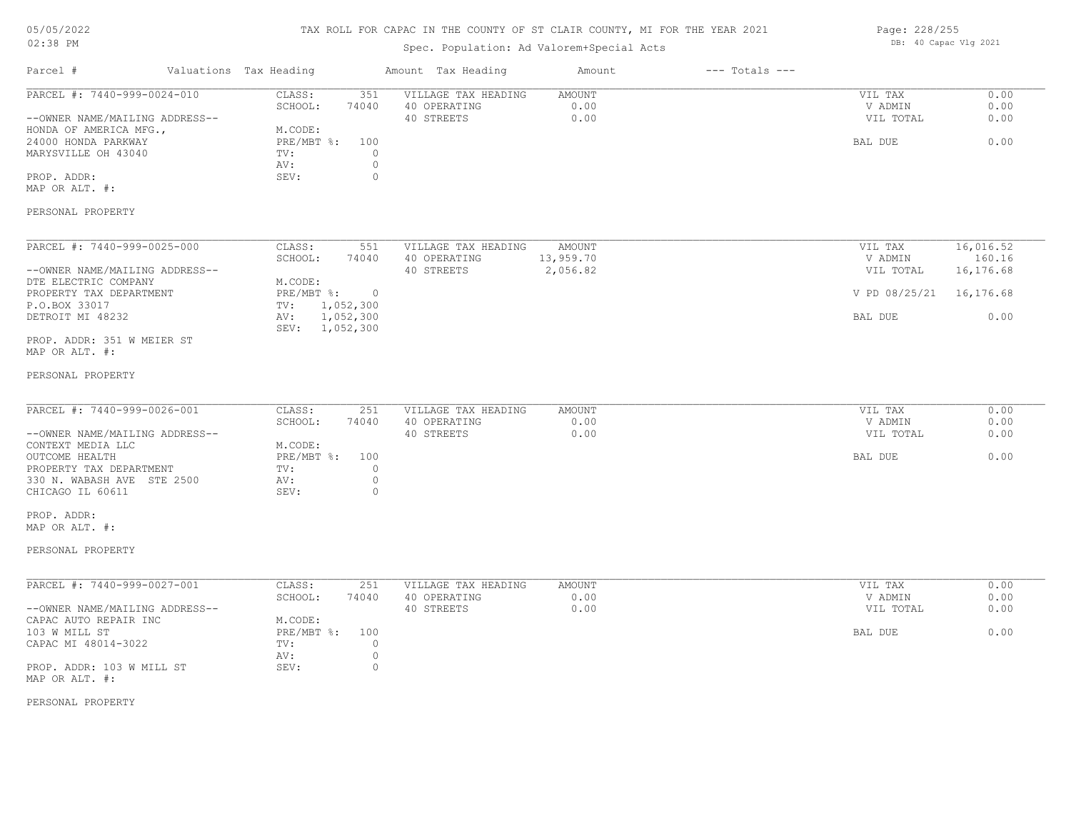### TAX ROLL FOR CAPAC IN THE COUNTY OF ST CLAIR COUNTY, MI FOR THE YEAR 2021

### Spec. Population: Ad Valorem+Special Acts

| Page: 228/255 |                       |  |
|---------------|-----------------------|--|
|               | DB: 40 Capac Vlg 2021 |  |

| Parcel #                                       | Valuations Tax Heading        |                             | Amount Tax Heading                  | Amount         | $---$ Totals $---$ |                    |              |
|------------------------------------------------|-------------------------------|-----------------------------|-------------------------------------|----------------|--------------------|--------------------|--------------|
| PARCEL #: 7440-999-0024-010                    | CLASS:<br>SCHOOL:             | 351<br>74040                | VILLAGE TAX HEADING<br>40 OPERATING | AMOUNT<br>0.00 |                    | VIL TAX<br>V ADMIN | 0.00<br>0.00 |
| --OWNER NAME/MAILING ADDRESS--                 |                               |                             | 40 STREETS                          | 0.00           |                    | VIL TOTAL          | 0.00         |
| HONDA OF AMERICA MFG.,                         | M.CODE:                       |                             |                                     |                |                    |                    |              |
| 24000 HONDA PARKWAY                            | PRE/MBT %:                    | 100                         |                                     |                |                    | BAL DUE            | 0.00         |
| MARYSVILLE OH 43040                            | TV:<br>AV:                    | $\circ$<br>$\circ$          |                                     |                |                    |                    |              |
| PROP. ADDR:                                    | SEV:                          | $\circ$                     |                                     |                |                    |                    |              |
| MAP OR ALT. #:                                 |                               |                             |                                     |                |                    |                    |              |
| PERSONAL PROPERTY                              |                               |                             |                                     |                |                    |                    |              |
|                                                |                               |                             |                                     |                |                    |                    |              |
| PARCEL #: 7440-999-0025-000                    | CLASS:                        | 551                         | VILLAGE TAX HEADING                 | AMOUNT         |                    | VIL TAX            | 16,016.52    |
|                                                | SCHOOL:                       | 74040                       | 40 OPERATING                        | 13,959.70      |                    | V ADMIN            | 160.16       |
| --OWNER NAME/MAILING ADDRESS--                 |                               |                             | 40 STREETS                          | 2,056.82       |                    | VIL TOTAL          | 16,176.68    |
| DTE ELECTRIC COMPANY                           | M.CODE:                       |                             |                                     |                |                    |                    |              |
| PROPERTY TAX DEPARTMENT<br>P.O.BOX 33017       | PRE/MBT %:<br>$\texttt{TV}$ : | $\overline{0}$<br>1,052,300 |                                     |                |                    | V PD 08/25/21      | 16,176.68    |
| DETROIT MI 48232                               | AV:                           | 1,052,300                   |                                     |                |                    | BAL DUE            | 0.00         |
|                                                | SEV: 1,052,300                |                             |                                     |                |                    |                    |              |
| PROP. ADDR: 351 W MEIER ST                     |                               |                             |                                     |                |                    |                    |              |
| MAP OR ALT. #:                                 |                               |                             |                                     |                |                    |                    |              |
| PERSONAL PROPERTY                              |                               |                             |                                     |                |                    |                    |              |
|                                                |                               |                             |                                     |                |                    |                    |              |
| PARCEL #: 7440-999-0026-001                    | CLASS:                        | 251                         | VILLAGE TAX HEADING                 | <b>AMOUNT</b>  |                    | VIL TAX            | 0.00         |
|                                                | SCHOOL:                       | 74040                       | 40 OPERATING                        | 0.00           |                    | V ADMIN            | 0.00         |
| --OWNER NAME/MAILING ADDRESS--                 |                               |                             | 40 STREETS                          | 0.00           |                    | VIL TOTAL          | 0.00         |
| CONTEXT MEDIA LLC                              | M.CODE:                       |                             |                                     |                |                    |                    |              |
| OUTCOME HEALTH                                 | PRE/MBT %:                    | 100                         |                                     |                |                    | BAL DUE            | 0.00         |
| PROPERTY TAX DEPARTMENT                        | TV:                           | $\circ$                     |                                     |                |                    |                    |              |
| 330 N. WABASH AVE STE 2500<br>CHICAGO IL 60611 | AV:<br>SEV:                   | $\circ$<br>$\circ$          |                                     |                |                    |                    |              |
|                                                |                               |                             |                                     |                |                    |                    |              |
| PROP. ADDR:                                    |                               |                             |                                     |                |                    |                    |              |
| MAP OR ALT. #:                                 |                               |                             |                                     |                |                    |                    |              |
| PERSONAL PROPERTY                              |                               |                             |                                     |                |                    |                    |              |
|                                                |                               |                             |                                     |                |                    |                    |              |
| PARCEL #: 7440-999-0027-001                    | CLASS:                        | 251                         | VILLAGE TAX HEADING                 | AMOUNT         |                    | VIL TAX            | 0.00         |
|                                                | SCHOOL:                       | 74040                       | 40 OPERATING                        | 0.00           |                    | V ADMIN            | 0.00         |
| --OWNER NAME/MAILING ADDRESS--                 |                               |                             | 40 STREETS                          | 0.00           |                    | VIL TOTAL          | 0.00         |
| CAPAC AUTO REPAIR INC                          | M.CODE:                       |                             |                                     |                |                    |                    |              |
| 103 W MILL ST                                  | $PRE/MBT$ $\div$              | 100                         |                                     |                |                    | BAL DUE            | 0.00         |
| CAPAC MI 48014-3022                            | TV:                           | $\mathbb O$                 |                                     |                |                    |                    |              |
| PROP. ADDR: 103 W MILL ST                      | AV:<br>SEV:                   | $\circ$<br>$\circ$          |                                     |                |                    |                    |              |
| MAP OR ALT. #:                                 |                               |                             |                                     |                |                    |                    |              |
|                                                |                               |                             |                                     |                |                    |                    |              |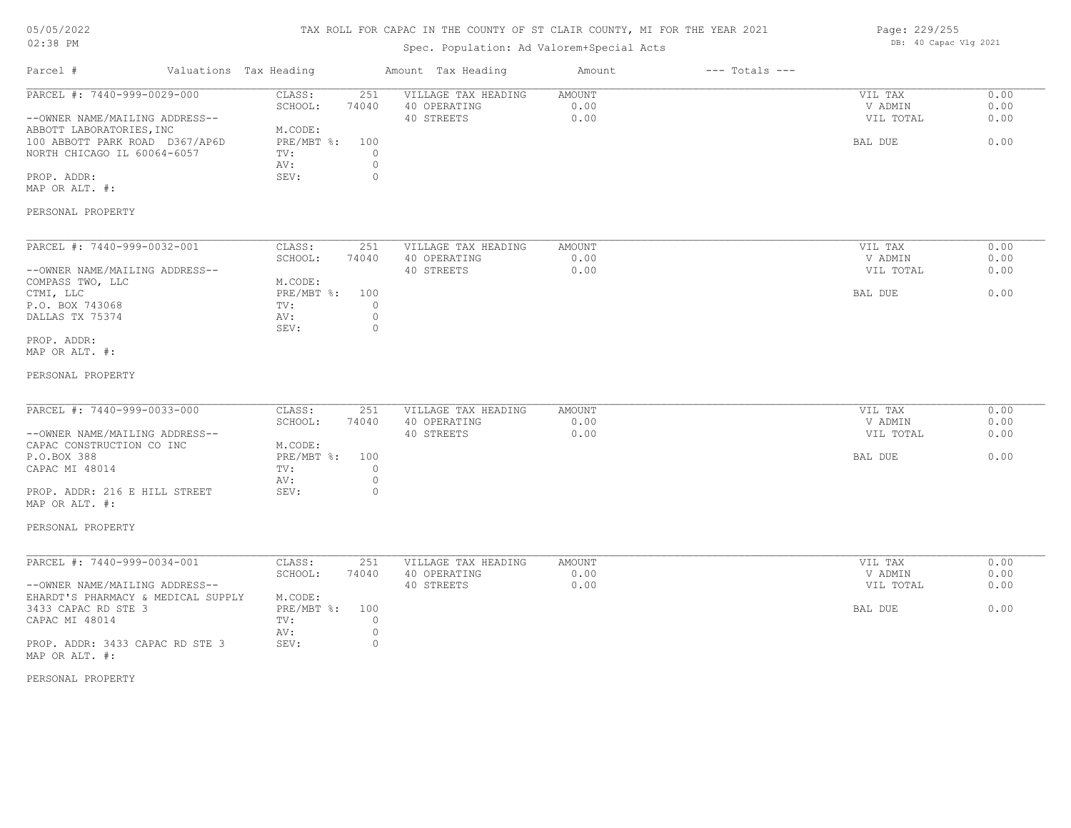### TAX ROLL FOR CAPAC IN THE COUNTY OF ST CLAIR COUNTY, MI FOR THE YEAR 2021

### Spec. Population: Ad Valorem+Special Acts

| Page: 229/255 |                       |  |  |
|---------------|-----------------------|--|--|
|               | DB: 40 Capac Vlg 2021 |  |  |

| Parcel #                                                   | Valuations Tax Heading            | Amount Tax Heading                  | Amount                | $---$ Totals $---$ |                    |              |
|------------------------------------------------------------|-----------------------------------|-------------------------------------|-----------------------|--------------------|--------------------|--------------|
| PARCEL #: 7440-999-0029-000                                | 251<br>CLASS:<br>SCHOOL:<br>74040 | VILLAGE TAX HEADING<br>40 OPERATING | <b>AMOUNT</b><br>0.00 |                    | VIL TAX<br>V ADMIN | 0.00<br>0.00 |
| --OWNER NAME/MAILING ADDRESS--                             | M.CODE:                           | 40 STREETS                          | 0.00                  |                    | VIL TOTAL          | 0.00         |
| ABBOTT LABORATORIES, INC<br>100 ABBOTT PARK ROAD D367/AP6D | PRE/MBT %:<br>100                 |                                     |                       |                    | BAL DUE            | 0.00         |
| NORTH CHICAGO IL 60064-6057                                | $\circ$<br>TV:                    |                                     |                       |                    |                    |              |
|                                                            | $\circ$<br>AV:                    |                                     |                       |                    |                    |              |
| PROP. ADDR:                                                | SEV:<br>$\circ$                   |                                     |                       |                    |                    |              |
| MAP OR ALT. #:                                             |                                   |                                     |                       |                    |                    |              |
| PERSONAL PROPERTY                                          |                                   |                                     |                       |                    |                    |              |
| PARCEL #: 7440-999-0032-001                                | CLASS:<br>251                     | VILLAGE TAX HEADING                 | <b>AMOUNT</b>         |                    | VIL TAX            | 0.00         |
|                                                            | SCHOOL:<br>74040                  | 40 OPERATING                        | 0.00                  |                    | V ADMIN            | 0.00         |
| --OWNER NAME/MAILING ADDRESS--                             |                                   | 40 STREETS                          | 0.00                  |                    | VIL TOTAL          | 0.00         |
| COMPASS TWO, LLC                                           | M.CODE:                           |                                     |                       |                    |                    |              |
| CTMI, LLC                                                  | PRE/MBT %:<br>100<br>$\circ$      |                                     |                       |                    | BAL DUE            | 0.00         |
| P.O. BOX 743068                                            | TV:<br>$\circ$<br>AV:             |                                     |                       |                    |                    |              |
| DALLAS TX 75374                                            | $\circ$<br>SEV:                   |                                     |                       |                    |                    |              |
| PROP. ADDR:<br>MAP OR ALT. #:                              |                                   |                                     |                       |                    |                    |              |
| PERSONAL PROPERTY                                          |                                   |                                     |                       |                    |                    |              |
| PARCEL #: 7440-999-0033-000                                | CLASS:<br>251                     | VILLAGE TAX HEADING                 | AMOUNT                |                    | VIL TAX            | 0.00         |
|                                                            | SCHOOL:<br>74040                  | 40 OPERATING                        | 0.00                  |                    | V ADMIN            | 0.00         |
| --OWNER NAME/MAILING ADDRESS--                             |                                   | 40 STREETS                          | 0.00                  |                    | VIL TOTAL          | 0.00         |
| CAPAC CONSTRUCTION CO INC                                  | M.CODE:                           |                                     |                       |                    |                    |              |
| P.O.BOX 388                                                | PRE/MBT %:<br>100                 |                                     |                       |                    | BAL DUE            | 0.00         |
| CAPAC MI 48014                                             | $\circ$<br>TV:                    |                                     |                       |                    |                    |              |
|                                                            | $\circ$<br>AV:                    |                                     |                       |                    |                    |              |
| PROP. ADDR: 216 E HILL STREET<br>MAP OR ALT. #:            | SEV:<br>$\circ$                   |                                     |                       |                    |                    |              |
| PERSONAL PROPERTY                                          |                                   |                                     |                       |                    |                    |              |
| PARCEL #: 7440-999-0034-001                                | CLASS:<br>251                     | VILLAGE TAX HEADING                 | <b>AMOUNT</b>         |                    | VIL TAX            | 0.00         |
|                                                            | SCHOOL:<br>74040                  | 40 OPERATING                        | 0.00                  |                    | V ADMIN            | 0.00         |
| --OWNER NAME/MAILING ADDRESS--                             |                                   | 40 STREETS                          | 0.00                  |                    | VIL TOTAL          | 0.00         |
| EHARDT'S PHARMACY & MEDICAL SUPPLY                         | M.CODE:                           |                                     |                       |                    |                    |              |
| 3433 CAPAC RD STE 3                                        | $PRE/MBT$ $\div$<br>100           |                                     |                       |                    | BAL DUE            | 0.00         |
| CAPAC MI 48014                                             | TV:<br>$\circ$                    |                                     |                       |                    |                    |              |
|                                                            | $\circ$<br>AV:                    |                                     |                       |                    |                    |              |
|                                                            |                                   |                                     |                       |                    |                    |              |
| PROP. ADDR: 3433 CAPAC RD STE 3<br>MAP OR ALT. #:          | $\circ$<br>SEV:                   |                                     |                       |                    |                    |              |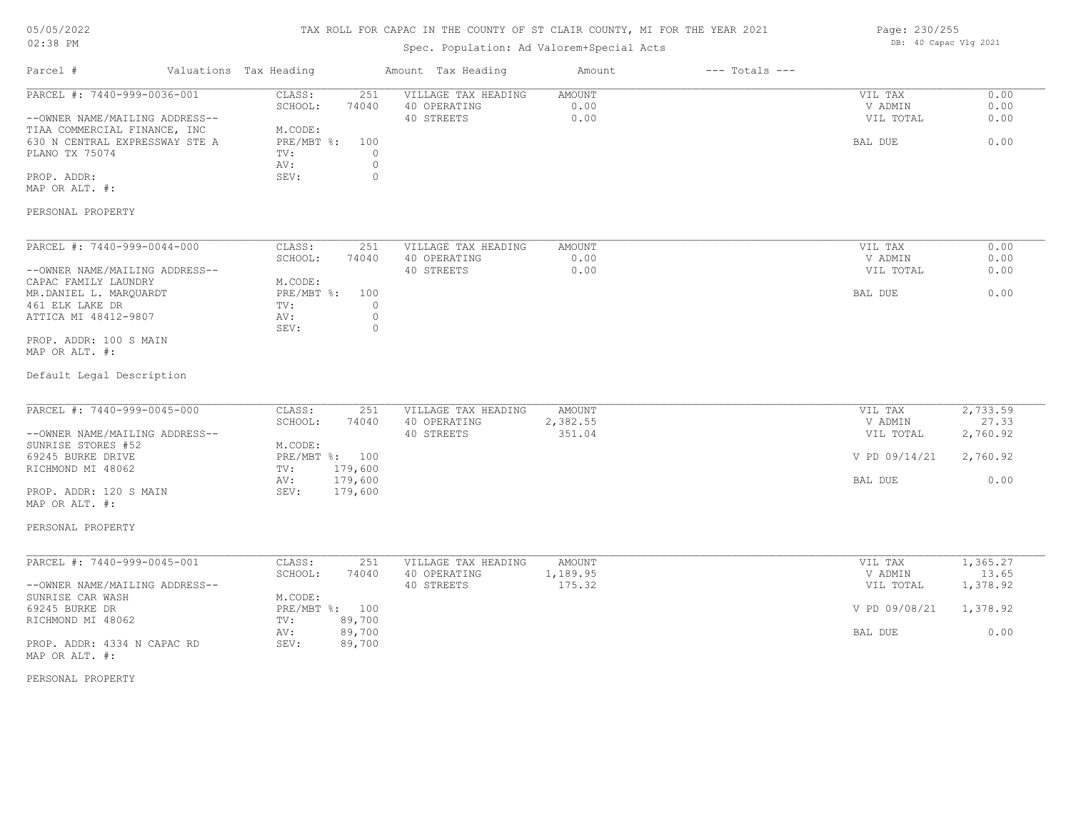### TAX ROLL FOR CAPAC IN THE COUNTY OF ST CLAIR COUNTY, MI FOR THE YEAR 2021

### Spec. Population: Ad Valorem+Special Acts

| Page: 230/255 |                       |  |
|---------------|-----------------------|--|
|               | DB: 40 Capac Vlg 2021 |  |

| Parcel #                                                                                                                                                                                                | Valuations Tax Heading |                                                                                                                          | Amount Tax Heading                                | Amount                 | $---$ Totals $---$ |                                            |                              |
|---------------------------------------------------------------------------------------------------------------------------------------------------------------------------------------------------------|------------------------|--------------------------------------------------------------------------------------------------------------------------|---------------------------------------------------|------------------------|--------------------|--------------------------------------------|------------------------------|
| PARCEL #: 7440-999-0036-001<br>--OWNER NAME/MAILING ADDRESS--<br>TIAA COMMERCIAL FINANCE, INC<br>630 N CENTRAL EXPRESSWAY STE A<br>PLANO TX 75074<br>PROP. ADDR:<br>MAP OR ALT. #:<br>PERSONAL PROPERTY |                        | CLASS:<br>251<br>SCHOOL:<br>74040<br>M.CODE:<br>PRE/MBT %:<br>100<br>TV:<br>$\circ$<br>$\circ$<br>AV:<br>$\circ$<br>SEV: | VILLAGE TAX HEADING<br>40 OPERATING<br>40 STREETS | AMOUNT<br>0.00<br>0.00 |                    | VIL TAX<br>V ADMIN<br>VIL TOTAL<br>BAL DUE | 0.00<br>0.00<br>0.00<br>0.00 |
|                                                                                                                                                                                                         |                        |                                                                                                                          |                                                   |                        |                    |                                            |                              |
| PARCEL #: 7440-999-0044-000<br>--OWNER NAME/MAILING ADDRESS--<br>CAPAC FAMILY LAUNDRY<br>MR.DANIEL L. MARQUARDT<br>461 ELK LAKE DR<br>ATTICA MI 48412-9807                                              |                        | CLASS:<br>251<br>SCHOOL:<br>74040<br>M.CODE:<br>PRE/MBT %:<br>100<br>TV:<br>$\circ$<br>$\circ$<br>AV:                    | VILLAGE TAX HEADING<br>40 OPERATING<br>40 STREETS | AMOUNT<br>0.00<br>0.00 |                    | VIL TAX<br>V ADMIN<br>VIL TOTAL<br>BAL DUE | 0.00<br>0.00<br>0.00<br>0.00 |
| PROP. ADDR: 100 S MAIN<br>MAP OR ALT. #:<br>Default Legal Description                                                                                                                                   |                        | SEV:<br>$\circ$                                                                                                          |                                                   |                        |                    |                                            |                              |
| PARCEL #: 7440-999-0045-000                                                                                                                                                                             |                        | CLASS:<br>251                                                                                                            | VILLAGE TAX HEADING                               | AMOUNT                 |                    | VIL TAX                                    | 2,733.59                     |
| --OWNER NAME/MAILING ADDRESS--                                                                                                                                                                          |                        | SCHOOL:<br>74040                                                                                                         | 40 OPERATING<br>40 STREETS                        | 2,382.55<br>351.04     |                    | V ADMIN<br>VIL TOTAL                       | 27.33<br>2,760.92            |
| SUNRISE STORES #52<br>69245 BURKE DRIVE<br>RICHMOND MI 48062                                                                                                                                            |                        | M.CODE:<br>PRE/MBT %: 100<br>TV:<br>179,600                                                                              |                                                   |                        |                    | V PD 09/14/21                              | 2,760.92                     |
| PROP. ADDR: 120 S MAIN<br>MAP OR ALT. #:                                                                                                                                                                |                        | 179,600<br>AV:<br>SEV:<br>179,600                                                                                        |                                                   |                        |                    | BAL DUE                                    | 0.00                         |
| PERSONAL PROPERTY                                                                                                                                                                                       |                        |                                                                                                                          |                                                   |                        |                    |                                            |                              |
| PARCEL #: 7440-999-0045-001                                                                                                                                                                             |                        | CLASS:<br>251                                                                                                            | VILLAGE TAX HEADING                               | AMOUNT                 |                    | VIL TAX                                    | 1,365.27                     |
| --OWNER NAME/MAILING ADDRESS--                                                                                                                                                                          |                        | SCHOOL:<br>74040                                                                                                         | 40 OPERATING<br>40 STREETS                        | 1,189.95<br>175.32     |                    | V ADMIN<br>VIL TOTAL                       | 13.65<br>1,378.92            |
| SUNRISE CAR WASH<br>69245 BURKE DR<br>RICHMOND MI 48062                                                                                                                                                 |                        | M.CODE:<br>PRE/MBT %: 100<br>89,700<br>TV:                                                                               |                                                   |                        |                    | V PD 09/08/21                              | 1,378.92                     |
| PROP. ADDR: 4334 N CAPAC RD<br>MAP OR ALT. #:                                                                                                                                                           |                        | 89,700<br>AV:<br>SEV:<br>89,700                                                                                          |                                                   |                        |                    | BAL DUE                                    | 0.00                         |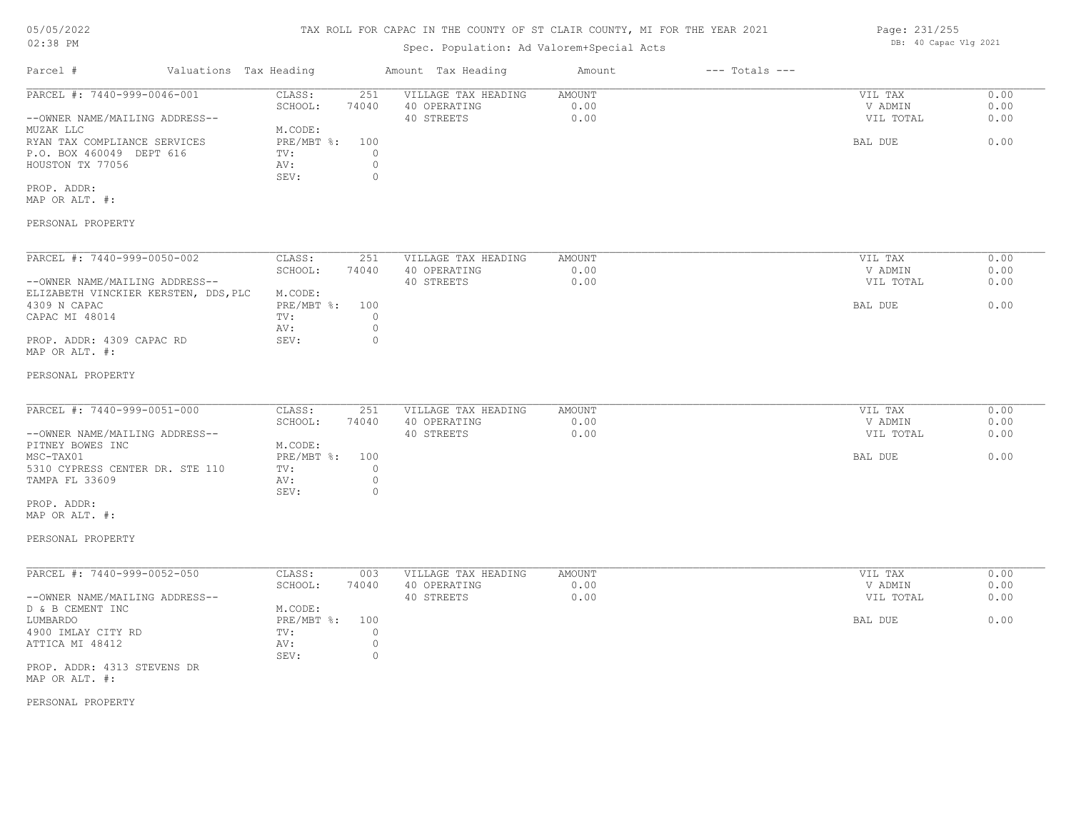# 05/05/2022

### 02:38 PM

# TAX ROLL FOR CAPAC IN THE COUNTY OF ST CLAIR COUNTY, MI FOR THE YEAR 2021

### Spec. Population: Ad Valorem+Special Acts

| Parcel #                       | Valuations Tax Heading |       | Amount Tax Heading  | Amount | $---$ Totals $---$ |           |      |
|--------------------------------|------------------------|-------|---------------------|--------|--------------------|-----------|------|
| PARCEL #: 7440-999-0046-001    | CLASS:                 | 251   | VILLAGE TAX HEADING | AMOUNT |                    | VIL TAX   | 0.00 |
|                                | SCHOOL:                | 74040 | 40 OPERATING        | 0.00   |                    | V ADMIN   | 0.00 |
| --OWNER NAME/MAILING ADDRESS-- |                        |       | 40 STREETS          | 0.00   |                    | VIL TOTAL | 0.00 |
| MUZAK LLC                      | M.CODE:                |       |                     |        |                    |           |      |
| RYAN TAX COMPLIANCE SERVICES   | PRE/MBT %: 100         |       |                     |        |                    | BAL DUE   | 0.00 |
| P.O. BOX 460049 DEPT 616       | TV:                    |       |                     |        |                    |           |      |
| HOUSTON TX 77056               | AV:                    |       |                     |        |                    |           |      |
|                                | SEV:                   |       |                     |        |                    |           |      |
| PROP. ADDR:                    |                        |       |                     |        |                    |           |      |
| MAP OR ALT. #:                 |                        |       |                     |        |                    |           |      |
|                                |                        |       |                     |        |                    |           |      |

#### PERSONAL PROPERTY

| PARCEL #: 7440-999-0050-002          | CLASS:     | 251   | VILLAGE TAX HEADING | AMOUNT | 0.00<br>VIL TAX   |  |
|--------------------------------------|------------|-------|---------------------|--------|-------------------|--|
|                                      | SCHOOL:    | 74040 | 40 OPERATING        | 0.00   | 0.00<br>V ADMIN   |  |
| --OWNER NAME/MAILING ADDRESS--       |            |       | 40 STREETS          | 0.00   | 0.00<br>VIL TOTAL |  |
| ELIZABETH VINCKIER KERSTEN, DDS, PLC | M.CODE:    |       |                     |        |                   |  |
| 4309 N CAPAC                         | PRE/MBT %: | 100   |                     |        | 0.00<br>BAL DUE   |  |
| CAPAC MI 48014                       | TV:        |       |                     |        |                   |  |
|                                      | AV:        |       |                     |        |                   |  |
| PROP. ADDR: 4309 CAPAC RD            | SEV:       |       |                     |        |                   |  |
| MAP OR ALT. #:                       |            |       |                     |        |                   |  |

#### PERSONAL PROPERTY

| PARCEL #: 7440-999-0051-000     | CLASS:         | 251   | VILLAGE TAX HEADING | AMOUNT |         | VIL TAX   | 0.00 |
|---------------------------------|----------------|-------|---------------------|--------|---------|-----------|------|
|                                 | SCHOOL:        | 74040 | 40 OPERATING        | 0.00   |         | V ADMIN   | 0.00 |
| --OWNER NAME/MAILING ADDRESS--  |                |       | 40 STREETS          | 0.00   |         | VIL TOTAL | 0.00 |
| PITNEY BOWES INC                | M.CODE:        |       |                     |        |         |           |      |
| MSC-TAX01                       | PRE/MBT %: 100 |       |                     |        | BAL DUE |           | 0.00 |
| 5310 CYPRESS CENTER DR. STE 110 | TV:            |       |                     |        |         |           |      |
| TAMPA FL 33609                  | AV:            |       |                     |        |         |           |      |
|                                 | SEV:           |       |                     |        |         |           |      |
| PROP. ADDR:                     |                |       |                     |        |         |           |      |

# MAP OR ALT. #:

# PERSONAL PROPERTY

| PARCEL #: 7440-999-0052-050    | CLASS:     | 003      | VILLAGE TAX HEADING | AMOUNT | VIL TAX   | 0.00 |
|--------------------------------|------------|----------|---------------------|--------|-----------|------|
|                                | SCHOOL:    | 74040    | 40 OPERATING        | 0.00   | V ADMIN   | 0.00 |
| --OWNER NAME/MAILING ADDRESS-- |            |          | 40 STREETS          | 0.00   | VIL TOTAL | 0.00 |
| D & B CEMENT INC               | M.CODE:    |          |                     |        |           |      |
| LUMBARDO                       | PRE/MBT %: | 100      |                     |        | BAL DUE   | 0.00 |
| 4900 IMLAY CITY RD             | TV:        |          |                     |        |           |      |
| ATTICA MI 48412                | AV:        |          |                     |        |           |      |
|                                | SEV:       | $^{(1)}$ |                     |        |           |      |
| PROP. ADDR: 4313 STEVENS DR    |            |          |                     |        |           |      |
| MAP OR ALT. #:                 |            |          |                     |        |           |      |

# PERSONAL PROPERTY

Page: 231/255 DB: 40 Capac Vlg 2021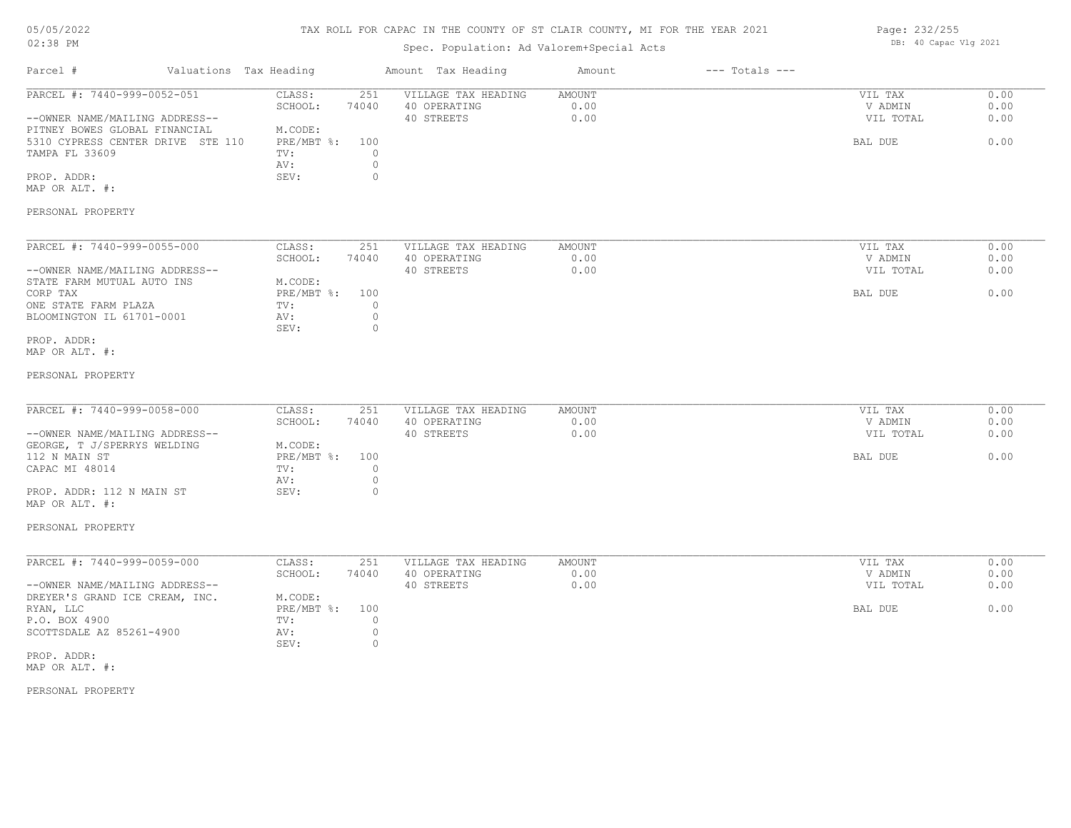### TAX ROLL FOR CAPAC IN THE COUNTY OF ST CLAIR COUNTY, MI FOR THE YEAR 2021

### Spec. Population: Ad Valorem+Special Acts

| Page: 232/255 |                       |  |
|---------------|-----------------------|--|
|               | DB: 40 Capac Vlg 2021 |  |

| Parcel #                                                                                                                                                                                            | Valuations Tax Heading |                                                                        |                                                      | Amount Tax Heading                                | Amount                        | $---$ Totals $---$ |                                            |                              |
|-----------------------------------------------------------------------------------------------------------------------------------------------------------------------------------------------------|------------------------|------------------------------------------------------------------------|------------------------------------------------------|---------------------------------------------------|-------------------------------|--------------------|--------------------------------------------|------------------------------|
| PARCEL #: 7440-999-0052-051<br>--OWNER NAME/MAILING ADDRESS--<br>PITNEY BOWES GLOBAL FINANCIAL<br>5310 CYPRESS CENTER DRIVE STE 110<br>TAMPA FL 33609<br>PROP. ADDR:<br>MAP OR ALT. #:              |                        | CLASS:<br>SCHOOL:<br>M.CODE:<br>PRE/MBT %: 100<br>TV:<br>AV:<br>SEV:   | 251<br>74040<br>$\circ$<br>$\circ$<br>$\circ$        | VILLAGE TAX HEADING<br>40 OPERATING<br>40 STREETS | <b>AMOUNT</b><br>0.00<br>0.00 |                    | VIL TAX<br>V ADMIN<br>VIL TOTAL<br>BAL DUE | 0.00<br>0.00<br>0.00<br>0.00 |
| PERSONAL PROPERTY                                                                                                                                                                                   |                        |                                                                        |                                                      |                                                   |                               |                    |                                            |                              |
| PARCEL #: 7440-999-0055-000<br>--OWNER NAME/MAILING ADDRESS--<br>STATE FARM MUTUAL AUTO INS<br>CORP TAX<br>ONE STATE FARM PLAZA<br>BLOOMINGTON IL 61701-0001<br>PROP. ADDR:<br>MAP OR ALT. #:       |                        | CLASS:<br>SCHOOL:<br>M.CODE:<br>$PRE/MBT$ $\div$<br>TV:<br>AV:<br>SEV: | 251<br>74040<br>100<br>$\circ$<br>$\circ$<br>$\circ$ | VILLAGE TAX HEADING<br>40 OPERATING<br>40 STREETS | AMOUNT<br>0.00<br>0.00        |                    | VIL TAX<br>V ADMIN<br>VIL TOTAL<br>BAL DUE | 0.00<br>0.00<br>0.00<br>0.00 |
| PERSONAL PROPERTY                                                                                                                                                                                   |                        |                                                                        |                                                      |                                                   |                               |                    |                                            |                              |
| PARCEL #: 7440-999-0058-000<br>--OWNER NAME/MAILING ADDRESS--<br>GEORGE, T J/SPERRYS WELDING<br>112 N MAIN ST<br>CAPAC MI 48014<br>PROP. ADDR: 112 N MAIN ST<br>MAP OR ALT. #:<br>PERSONAL PROPERTY |                        | CLASS:<br>SCHOOL:<br>M.CODE:<br>$PRE/MBT$ $\div$<br>TV:<br>AV:<br>SEV: | 251<br>74040<br>100<br>$\circ$<br>$\circ$<br>$\circ$ | VILLAGE TAX HEADING<br>40 OPERATING<br>40 STREETS | <b>AMOUNT</b><br>0.00<br>0.00 |                    | VIL TAX<br>V ADMIN<br>VIL TOTAL<br>BAL DUE | 0.00<br>0.00<br>0.00<br>0.00 |
| PARCEL #: 7440-999-0059-000<br>--OWNER NAME/MAILING ADDRESS--<br>DREYER'S GRAND ICE CREAM, INC.<br>RYAN, LLC<br>P.O. BOX 4900<br>SCOTTSDALE AZ 85261-4900<br>PROP. ADDR:                            |                        | CLASS:<br>SCHOOL:<br>M.CODE:<br>PRE/MBT %:<br>TV:<br>AV:<br>SEV:       | 251<br>74040<br>100<br>$\circ$<br>$\circ$<br>$\circ$ | VILLAGE TAX HEADING<br>40 OPERATING<br>40 STREETS | <b>AMOUNT</b><br>0.00<br>0.00 |                    | VIL TAX<br>V ADMIN<br>VIL TOTAL<br>BAL DUE | 0.00<br>0.00<br>0.00<br>0.00 |
| MAP OR ALT. #:<br>DERGONIAI DRODEDEV                                                                                                                                                                |                        |                                                                        |                                                      |                                                   |                               |                    |                                            |                              |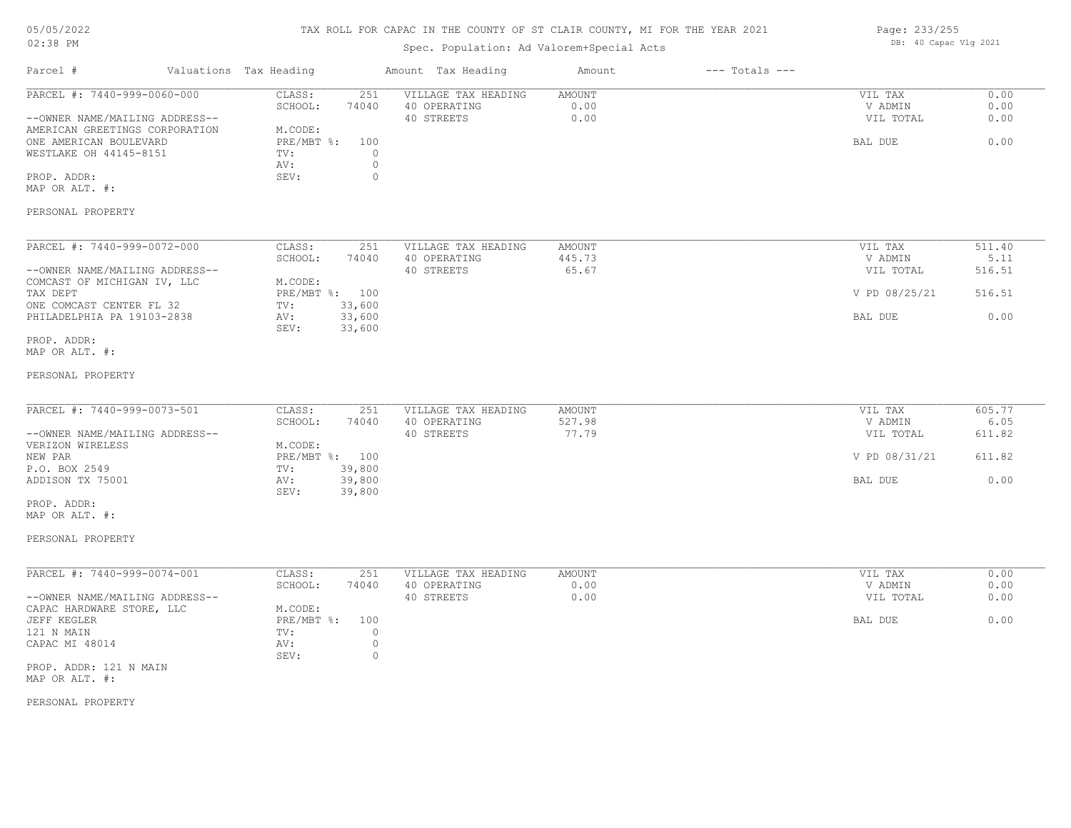### TAX ROLL FOR CAPAC IN THE COUNTY OF ST CLAIR COUNTY, MI FOR THE YEAR 2021

### Spec. Population: Ad Valorem+Special Acts

| Page: 233/255 |                       |  |
|---------------|-----------------------|--|
|               | DB: 40 Capac Vlg 2021 |  |

| Parcel #                                                                                                                                                                                            | Valuations Tax Heading |                                                                                                                          | Amount Tax Heading                                | Amount                        | $---$ Totals $---$ |                                                             |                                            |
|-----------------------------------------------------------------------------------------------------------------------------------------------------------------------------------------------------|------------------------|--------------------------------------------------------------------------------------------------------------------------|---------------------------------------------------|-------------------------------|--------------------|-------------------------------------------------------------|--------------------------------------------|
| PARCEL #: 7440-999-0060-000<br>--OWNER NAME/MAILING ADDRESS--<br>AMERICAN GREETINGS CORPORATION<br>ONE AMERICAN BOULEVARD<br>WESTLAKE OH 44145-8151<br>PROP. ADDR:<br>MAP OR ALT. #:                |                        | CLASS:<br>251<br>74040<br>SCHOOL:<br>M.CODE:<br>PRE/MBT %:<br>100<br>$\circ$<br>TV:<br>$\circ$<br>AV:<br>SEV:<br>$\circ$ | VILLAGE TAX HEADING<br>40 OPERATING<br>40 STREETS | AMOUNT<br>0.00<br>0.00        |                    | VIL TAX<br>V ADMIN<br>VIL TOTAL<br>BAL DUE                  | 0.00<br>0.00<br>0.00<br>0.00               |
| PERSONAL PROPERTY                                                                                                                                                                                   |                        |                                                                                                                          |                                                   |                               |                    |                                                             |                                            |
| PARCEL #: 7440-999-0072-000<br>--OWNER NAME/MAILING ADDRESS--<br>COMCAST OF MICHIGAN IV, LLC<br>TAX DEPT<br>ONE COMCAST CENTER FL 32<br>PHILADELPHIA PA 19103-2838<br>PROP. ADDR:<br>MAP OR ALT. #: |                        | CLASS:<br>251<br>SCHOOL:<br>74040<br>M.CODE:<br>PRE/MBT %: 100<br>33,600<br>TV:<br>33,600<br>AV:<br>SEV:<br>33,600       | VILLAGE TAX HEADING<br>40 OPERATING<br>40 STREETS | AMOUNT<br>445.73<br>65.67     |                    | VIL TAX<br>V ADMIN<br>VIL TOTAL<br>V PD 08/25/21<br>BAL DUE | 511.40<br>5.11<br>516.51<br>516.51<br>0.00 |
| PERSONAL PROPERTY                                                                                                                                                                                   |                        |                                                                                                                          |                                                   |                               |                    |                                                             |                                            |
| PARCEL #: 7440-999-0073-501<br>--OWNER NAME/MAILING ADDRESS--<br>VERIZON WIRELESS<br>NEW PAR<br>P.O. BOX 2549<br>ADDISON TX 75001<br>PROP. ADDR:<br>MAP OR ALT. #:                                  |                        | CLASS:<br>251<br>SCHOOL:<br>74040<br>M.CODE:<br>PRE/MBT %: 100<br>TV:<br>39,800<br>39,800<br>AV:<br>SEV:<br>39,800       | VILLAGE TAX HEADING<br>40 OPERATING<br>40 STREETS | AMOUNT<br>527.98<br>77.79     |                    | VIL TAX<br>V ADMIN<br>VIL TOTAL<br>V PD 08/31/21<br>BAL DUE | 605.77<br>6.05<br>611.82<br>611.82<br>0.00 |
| PERSONAL PROPERTY                                                                                                                                                                                   |                        |                                                                                                                          |                                                   |                               |                    |                                                             |                                            |
| PARCEL #: 7440-999-0074-001<br>--OWNER NAME/MAILING ADDRESS--<br>CAPAC HARDWARE STORE, LLC<br>JEFF KEGLER<br>121 N MAIN<br>CAPAC MI 48014<br>PROP. ADDR: 121 N MAIN<br>MAP OR ALT. #:               |                        | CLASS:<br>251<br>SCHOOL:<br>74040<br>M.CODE:<br>PRE/MBT %:<br>100<br>$\circ$<br>TV:<br>AV:<br>$\circ$<br>$\circ$<br>SEV: | VILLAGE TAX HEADING<br>40 OPERATING<br>40 STREETS | <b>AMOUNT</b><br>0.00<br>0.00 |                    | VIL TAX<br>V ADMIN<br>VIL TOTAL<br>BAL DUE                  | 0.00<br>0.00<br>0.00<br>0.00               |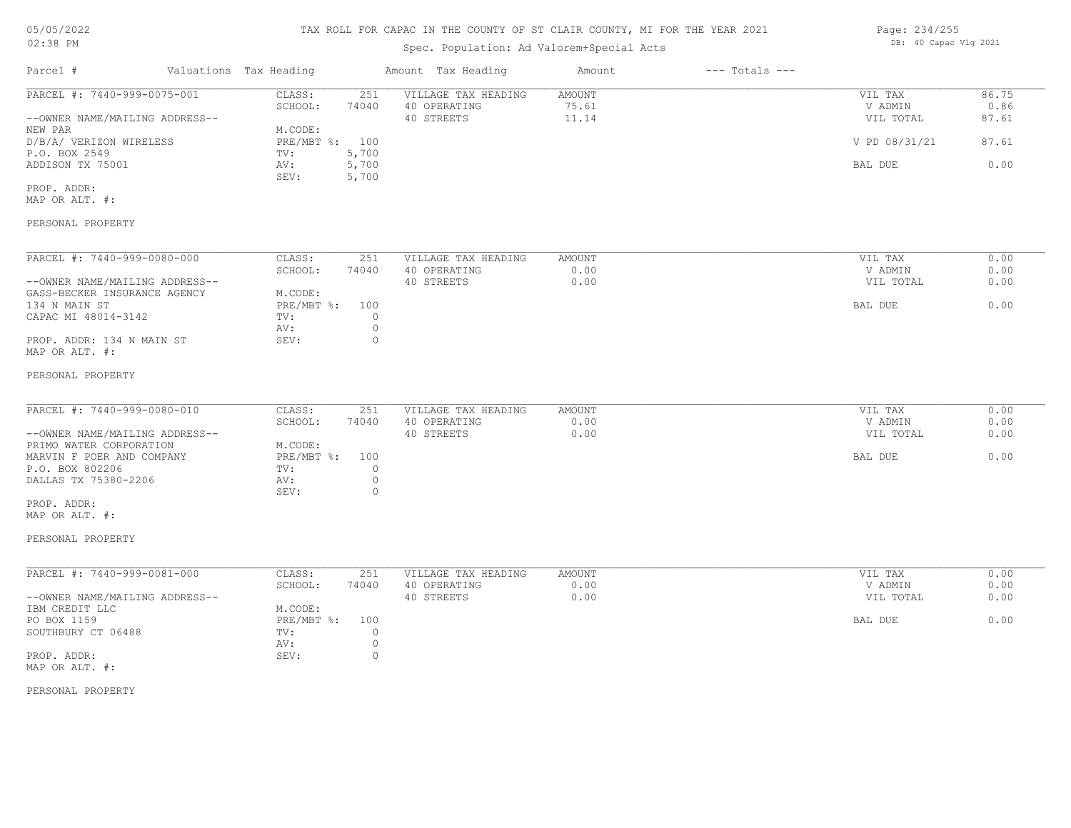Page: 234/255 DB: 40 Capac Vlg 2021

# Spec. Population: Ad Valorem+Special Acts

| Valuations Tax Heading<br>Parcel #                                                                                                       |                                                                                         | Amount Tax Heading                                | Amount<br>$---$ Totals $---$  |                                            |                              |
|------------------------------------------------------------------------------------------------------------------------------------------|-----------------------------------------------------------------------------------------|---------------------------------------------------|-------------------------------|--------------------------------------------|------------------------------|
| PARCEL #: 7440-999-0075-001<br>--OWNER NAME/MAILING ADDRESS--<br>NEW PAR                                                                 | CLASS:<br>251<br>SCHOOL:<br>74040<br>M.CODE:                                            | VILLAGE TAX HEADING<br>40 OPERATING<br>40 STREETS | AMOUNT<br>75.61<br>11.14      | VIL TAX<br>V ADMIN<br>VIL TOTAL            | 86.75<br>0.86<br>87.61       |
| D/B/A/ VERIZON WIRELESS<br>P.O. BOX 2549<br>ADDISON TX 75001                                                                             | PRE/MBT %: 100<br>TV:<br>5,700<br>5,700<br>AV:<br>5,700<br>SEV:                         |                                                   |                               | V PD 08/31/21<br>BAL DUE                   | 87.61<br>0.00                |
| PROP. ADDR:<br>MAP OR ALT. #:                                                                                                            |                                                                                         |                                                   |                               |                                            |                              |
| PERSONAL PROPERTY                                                                                                                        |                                                                                         |                                                   |                               |                                            |                              |
| PARCEL #: 7440-999-0080-000<br>--OWNER NAME/MAILING ADDRESS--                                                                            | CLASS:<br>251<br>SCHOOL:<br>74040                                                       | VILLAGE TAX HEADING<br>40 OPERATING<br>40 STREETS | <b>AMOUNT</b><br>0.00<br>0.00 | VIL TAX<br>V ADMIN<br>VIL TOTAL            | 0.00<br>0.00<br>0.00         |
| GASS-BECKER INSURANCE AGENCY<br>134 N MAIN ST<br>CAPAC MI 48014-3142                                                                     | M.CODE:<br>PRE/MBT %: 100<br>$\circ$<br>TV:                                             |                                                   |                               | BAL DUE                                    | 0.00                         |
| PROP. ADDR: 134 N MAIN ST<br>MAP OR ALT. #:                                                                                              | $\circ$<br>AV:<br>$\Omega$<br>SEV:                                                      |                                                   |                               |                                            |                              |
| PERSONAL PROPERTY                                                                                                                        |                                                                                         |                                                   |                               |                                            |                              |
| PARCEL #: 7440-999-0080-010<br>--OWNER NAME/MAILING ADDRESS--<br>PRIMO WATER CORPORATION<br>MARVIN F POER AND COMPANY<br>P.O. BOX 802206 | CLASS:<br>251<br>SCHOOL:<br>74040<br>M.CODE:<br>PRE/MBT %: 100<br>TV:<br>$\circ$        | VILLAGE TAX HEADING<br>40 OPERATING<br>40 STREETS | AMOUNT<br>0.00<br>0.00        | VIL TAX<br>V ADMIN<br>VIL TOTAL<br>BAL DUE | 0.00<br>0.00<br>0.00<br>0.00 |
| DALLAS TX 75380-2206<br>PROP. ADDR:<br>MAP OR ALT. #:                                                                                    | $\circ$<br>AV:<br>SEV:<br>$\circ$                                                       |                                                   |                               |                                            |                              |
| PERSONAL PROPERTY                                                                                                                        |                                                                                         |                                                   |                               |                                            |                              |
| PARCEL #: 7440-999-0081-000<br>--OWNER NAME/MAILING ADDRESS--                                                                            | CLASS:<br>251<br>SCHOOL:<br>74040                                                       | VILLAGE TAX HEADING<br>40 OPERATING<br>40 STREETS | AMOUNT<br>0.00<br>0.00        | VIL TAX<br>V ADMIN<br>VIL TOTAL            | 0.00<br>0.00<br>0.00         |
| IBM CREDIT LLC<br>PO BOX 1159<br>SOUTHBURY CT 06488<br>PROP. ADDR:                                                                       | M.CODE:<br>PRE/MBT %: 100<br>TV:<br>$\circ$<br>$\circledcirc$<br>AV:<br>$\circ$<br>SEV: |                                                   |                               | BAL DUE                                    | 0.00                         |
| MAP OR ALT. #:                                                                                                                           |                                                                                         |                                                   |                               |                                            |                              |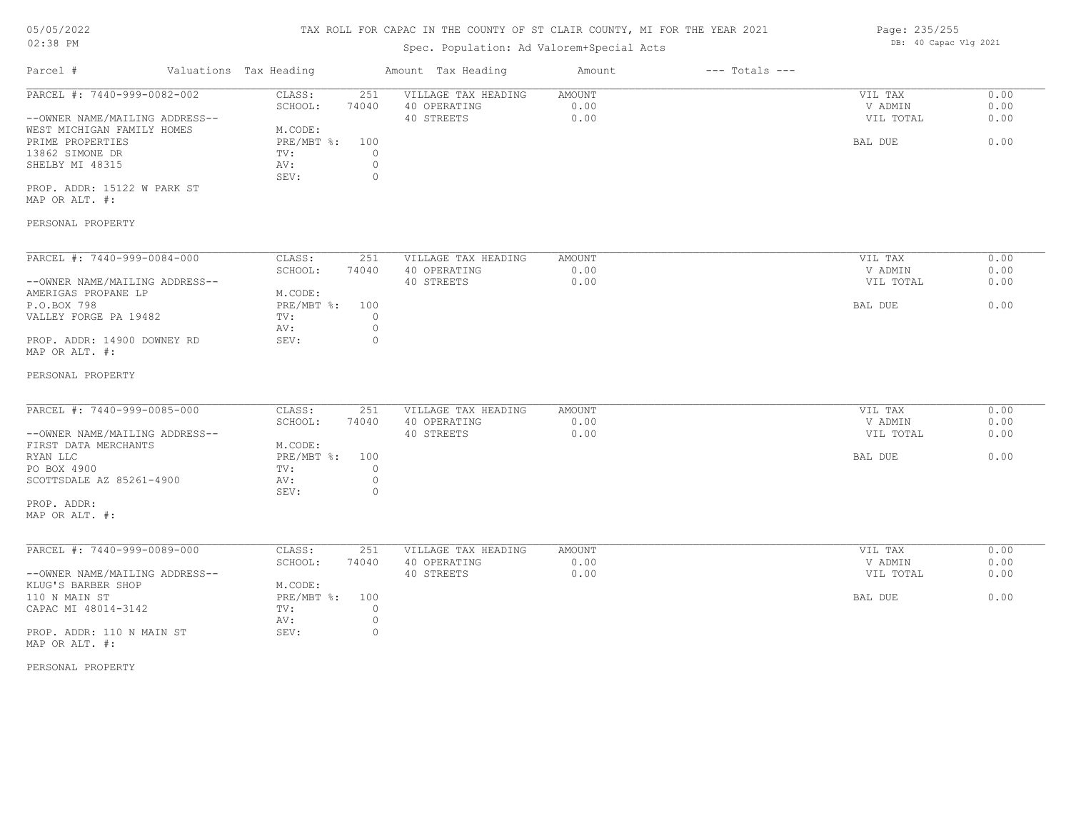### TAX ROLL FOR CAPAC IN THE COUNTY OF ST CLAIR COUNTY, MI FOR THE YEAR 2021

| UJ/UJ/ZUZZ                     | IAA RULL FUR CAPAC IN IND COUNTI OF SI CLAIR COUNTI, MI FUR IND IDAR 2021 |                                           |                                     |                       |                    | raye: 200/200<br>DB: 40 Capac Vlg 2021 |              |  |
|--------------------------------|---------------------------------------------------------------------------|-------------------------------------------|-------------------------------------|-----------------------|--------------------|----------------------------------------|--------------|--|
| 02:38 PM                       |                                                                           | Spec. Population: Ad Valorem+Special Acts |                                     |                       |                    |                                        |              |  |
| Parcel #                       | Valuations Tax Heading                                                    |                                           | Amount Tax Heading                  | Amount                | $---$ Totals $---$ |                                        |              |  |
| PARCEL #: 7440-999-0082-002    | CLASS:                                                                    | 251                                       | VILLAGE TAX HEADING                 | <b>AMOUNT</b>         |                    | VIL TAX                                | 0.00         |  |
|                                | SCHOOL:                                                                   | 74040                                     | 40 OPERATING                        | 0.00                  |                    | V ADMIN                                | 0.00         |  |
| --OWNER NAME/MAILING ADDRESS-- |                                                                           |                                           | 40 STREETS                          | 0.00                  |                    | VIL TOTAL                              | 0.00         |  |
| WEST MICHIGAN FAMILY HOMES     | M.CODE:                                                                   |                                           |                                     |                       |                    |                                        |              |  |
| PRIME PROPERTIES               | PRE/MBT %:                                                                | 100                                       |                                     |                       |                    | BAL DUE                                | 0.00         |  |
| 13862 SIMONE DR                | TV:                                                                       | $\circ$                                   |                                     |                       |                    |                                        |              |  |
| SHELBY MI 48315                | AV:                                                                       | $\circ$                                   |                                     |                       |                    |                                        |              |  |
|                                | SEV:                                                                      | $\circ$                                   |                                     |                       |                    |                                        |              |  |
| PROP. ADDR: 15122 W PARK ST    |                                                                           |                                           |                                     |                       |                    |                                        |              |  |
| MAP OR ALT. #:                 |                                                                           |                                           |                                     |                       |                    |                                        |              |  |
| PERSONAL PROPERTY              |                                                                           |                                           |                                     |                       |                    |                                        |              |  |
| PARCEL #: 7440-999-0084-000    |                                                                           |                                           |                                     |                       |                    |                                        |              |  |
|                                | CLASS:<br>SCHOOL:                                                         | 251<br>74040                              | VILLAGE TAX HEADING<br>40 OPERATING | <b>AMOUNT</b><br>0.00 |                    | VIL TAX<br>V ADMIN                     | 0.00<br>0.00 |  |
| --OWNER NAME/MAILING ADDRESS-- |                                                                           |                                           | 40 STREETS                          | 0.00                  |                    |                                        | 0.00         |  |
| AMERIGAS PROPANE LP            | M.CODE:                                                                   |                                           |                                     |                       |                    | VIL TOTAL                              |              |  |
| P.O.BOX 798                    | PRE/MBT %:                                                                | 100                                       |                                     |                       |                    | BAL DUE                                | 0.00         |  |
| VALLEY FORGE PA 19482          | TV:                                                                       | $\circ$                                   |                                     |                       |                    |                                        |              |  |
|                                | AV:                                                                       | 0                                         |                                     |                       |                    |                                        |              |  |
| PROP. ADDR: 14900 DOWNEY RD    | SEV:                                                                      | $\Omega$                                  |                                     |                       |                    |                                        |              |  |
| MAP OR ALT. #:                 |                                                                           |                                           |                                     |                       |                    |                                        |              |  |
| PERSONAL PROPERTY              |                                                                           |                                           |                                     |                       |                    |                                        |              |  |
|                                |                                                                           |                                           |                                     |                       |                    |                                        |              |  |
| PARCEL #: 7440-999-0085-000    | CLASS:                                                                    | 251                                       | VILLAGE TAX HEADING                 | AMOUNT                |                    | VIL TAX                                | 0.00         |  |
|                                | SCHOOL:                                                                   | 74040                                     | 40 OPERATING                        | 0.00                  |                    | V ADMIN                                | 0.00         |  |
| --OWNER NAME/MAILING ADDRESS-- |                                                                           |                                           | 40 STREETS                          | 0.00                  |                    | VIL TOTAL                              | 0.00         |  |
| FIRST DATA MERCHANTS           | M.CODE:                                                                   |                                           |                                     |                       |                    |                                        |              |  |
| RYAN LLC                       | PRE/MBT %:                                                                | 100                                       |                                     |                       |                    | BAL DUE                                | 0.00         |  |
| PO BOX 4900                    | TV:                                                                       | $\circ$                                   |                                     |                       |                    |                                        |              |  |
| SCOTTSDALE AZ 85261-4900       | AV:<br>SEV:                                                               | $\circ$<br>$\circ$                        |                                     |                       |                    |                                        |              |  |
| PROP ADDR.                     |                                                                           |                                           |                                     |                       |                    |                                        |              |  |
|                                |                                                                           |                                           |                                     |                       |                    |                                        |              |  |

MAP OR ALT. #: PROP. ADDR:

| PARCEL #: 7440-999-0089-000    | CLASS:       | 251   | VILLAGE TAX HEADING | AMOUNT | VIL TAX   | 0.00 |
|--------------------------------|--------------|-------|---------------------|--------|-----------|------|
|                                | SCHOOL:      | 74040 | 40 OPERATING        | 0.00   | V ADMIN   | 0.00 |
| --OWNER NAME/MAILING ADDRESS-- |              |       | 40 STREETS          | 0.00   | VIL TOTAL | 0.00 |
| KLUG'S BARBER SHOP             | M.CODE:      |       |                     |        |           |      |
| 110 N MAIN ST                  | $PRE/MBT$ %: | 100   |                     |        | BAL DUE   | 0.00 |
| CAPAC MI 48014-3142            | TV:          |       |                     |        |           |      |
|                                | AV:          |       |                     |        |           |      |
| PROP. ADDR: 110 N MAIN ST      | SEV:         |       |                     |        |           |      |

MAP OR ALT. #:

PERSONAL PROPERTY

Page: 235/255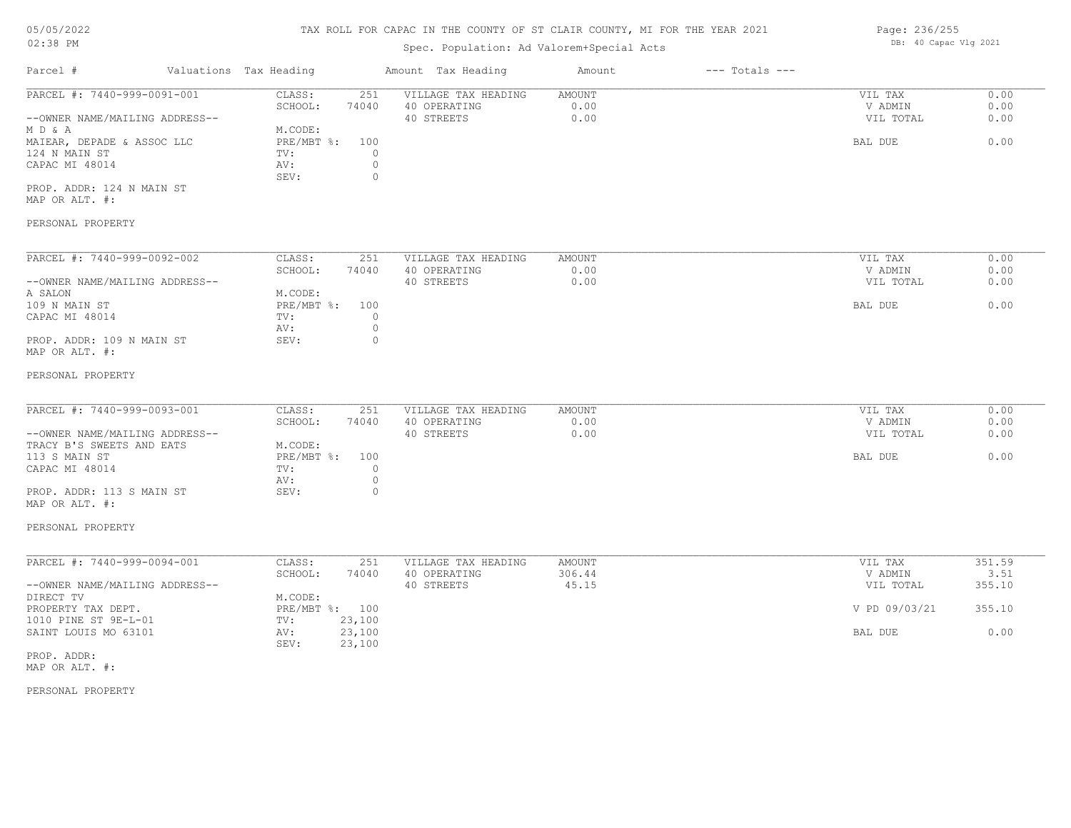# 05/05/2022

### 02:38 PM

### TAX ROLL FOR CAPAC IN THE COUNTY OF ST CLAIR COUNTY, MI FOR THE YEAR 2021

### Spec. Population: Ad Valorem+Special Acts

| Parcel #                       | Valuations Tax Heading |       | Amount Tax Heading  | Amount | $---$ Totals $---$ |           |      |
|--------------------------------|------------------------|-------|---------------------|--------|--------------------|-----------|------|
| PARCEL #: 7440-999-0091-001    | CLASS:                 | 251   | VILLAGE TAX HEADING | AMOUNT |                    | VIL TAX   | 0.00 |
|                                | SCHOOL:                | 74040 | 40 OPERATING        | 0.00   |                    | V ADMIN   | 0.00 |
| --OWNER NAME/MAILING ADDRESS-- |                        |       | 40 STREETS          | 0.00   |                    | VIL TOTAL | 0.00 |
| MD&A                           | M.CODE:                |       |                     |        |                    |           |      |
| MAIEAR, DEPADE & ASSOC LLC     | PRE/MBT %:             | 100   |                     |        |                    | BAL DUE   | 0.00 |
| 124 N MAIN ST                  | TV:                    |       |                     |        |                    |           |      |
| CAPAC MI 48014                 | AV:                    |       |                     |        |                    |           |      |
|                                | SEV:                   |       |                     |        |                    |           |      |
| PROP. ADDR: 124 N MAIN ST      |                        |       |                     |        |                    |           |      |

MAP OR ALT. #:

### PERSONAL PROPERTY

| PARCEL #: 7440-999-0092-002    | CLASS:     | 251   | VILLAGE TAX HEADING | AMOUNT | VIL TAX   | 0.00 |
|--------------------------------|------------|-------|---------------------|--------|-----------|------|
|                                | SCHOOL:    | 74040 | 40 OPERATING        | 0.00   | V ADMIN   | 0.00 |
| --OWNER NAME/MAILING ADDRESS-- |            |       | 40 STREETS          | 0.00   | VIL TOTAL | 0.00 |
| A SALON                        | M.CODE:    |       |                     |        |           |      |
| 109 N MAIN ST                  | PRE/MBT %: | 100   |                     |        | BAL DUE   | 0.00 |
| CAPAC MI 48014                 | TV:        |       |                     |        |           |      |
|                                | AV:        |       |                     |        |           |      |
| PROP. ADDR: 109 N MAIN ST      | SEV:       |       |                     |        |           |      |
| MAP OR ALT. #:                 |            |       |                     |        |           |      |

#### PERSONAL PROPERTY

| PARCEL #: 7440-999-0093-001    | CLASS:     | 251   | VILLAGE TAX HEADING | AMOUNT | VIL TAX   | 0.00 |
|--------------------------------|------------|-------|---------------------|--------|-----------|------|
|                                | SCHOOL:    | 74040 | 40 OPERATING        | 0.00   | V ADMIN   | 0.00 |
| --OWNER NAME/MAILING ADDRESS-- |            |       | 40 STREETS          | 0.00   | VIL TOTAL | 0.00 |
| TRACY B'S SWEETS AND EATS      | M.CODE:    |       |                     |        |           |      |
| 113 S MAIN ST                  | PRE/MBT %: | 100   |                     |        | BAL DUE   | 0.00 |
| CAPAC MI 48014                 | TV:        |       |                     |        |           |      |
|                                | AV:        |       |                     |        |           |      |
| PROP. ADDR: 113 S MAIN ST      | SEV:       |       |                     |        |           |      |

## MAP OR ALT. #:

#### PERSONAL PROPERTY

| PARCEL #: 7440-999-0094-001    | CLASS:  | 251            | VILLAGE TAX HEADING | AMOUNT | VIL TAX       | 351.59 |
|--------------------------------|---------|----------------|---------------------|--------|---------------|--------|
|                                | SCHOOL: | 74040          | 40 OPERATING        | 306.44 | V ADMIN       | 3.51   |
| --OWNER NAME/MAILING ADDRESS-- |         |                | 40 STREETS          | 45.15  | VIL TOTAL     | 355.10 |
| DIRECT TV                      | M.CODE: |                |                     |        |               |        |
| PROPERTY TAX DEPT.             |         | PRE/MBT %: 100 |                     |        | V PD 09/03/21 | 355.10 |
| 1010 PINE ST 9E-L-01           | TV:     | 23,100         |                     |        |               |        |
| SAINT LOUIS MO 63101           | AV:     | 23,100         |                     |        | BAL DUE       | 0.00   |
|                                | SEV:    | 23,100         |                     |        |               |        |
| PROP. ADDR:                    |         |                |                     |        |               |        |

MAP OR ALT. #:

PERSONAL PROPERTY

Page: 236/255 DB: 40 Capac Vlg 2021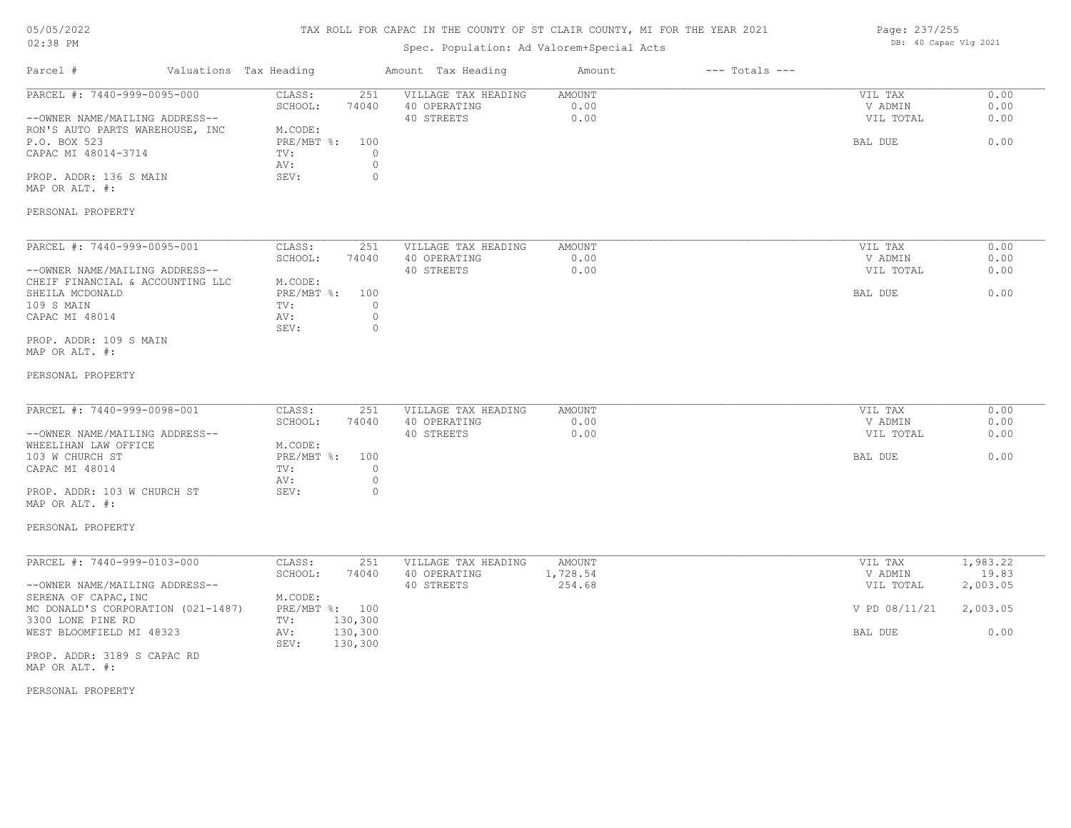### TAX ROLL FOR CAPAC IN THE COUNTY OF ST CLAIR COUNTY, MI FOR THE YEAR 2021

### Spec. Population: Ad Valorem+Special Acts

| Page: 237/255 |                       |  |
|---------------|-----------------------|--|
|               | DB: 40 Capac Vlg 2021 |  |

| Parcel #                                                                                                                                                                                                 | Valuations Tax Heading |                                                                                                                                | Amount Tax Heading                                | Amount                 | $---$ Totals $---$ |                                            |                              |
|----------------------------------------------------------------------------------------------------------------------------------------------------------------------------------------------------------|------------------------|--------------------------------------------------------------------------------------------------------------------------------|---------------------------------------------------|------------------------|--------------------|--------------------------------------------|------------------------------|
| PARCEL #: 7440-999-0095-000<br>--OWNER NAME/MAILING ADDRESS--<br>RON'S AUTO PARTS WAREHOUSE, INC<br>P.O. BOX 523<br>CAPAC MI 48014-3714<br>PROP. ADDR: 136 S MAIN<br>MAP OR ALT. #:<br>PERSONAL PROPERTY |                        | CLASS:<br>251<br>SCHOOL:<br>74040<br>M.CODE:<br>$PRE/MBT$ $\div$<br>100<br>$\circ$<br>TV:<br>$\circ$<br>AV:<br>$\circ$<br>SEV: | VILLAGE TAX HEADING<br>40 OPERATING<br>40 STREETS | AMOUNT<br>0.00<br>0.00 |                    | VIL TAX<br>V ADMIN<br>VIL TOTAL<br>BAL DUE | 0.00<br>0.00<br>0.00<br>0.00 |
| PARCEL #: 7440-999-0095-001                                                                                                                                                                              |                        | CLASS:<br>251<br>SCHOOL:<br>74040                                                                                              | VILLAGE TAX HEADING<br>40 OPERATING               | <b>AMOUNT</b><br>0.00  |                    | VIL TAX<br>V ADMIN                         | 0.00<br>0.00                 |
| --OWNER NAME/MAILING ADDRESS--                                                                                                                                                                           |                        |                                                                                                                                | 40 STREETS                                        | 0.00                   |                    | VIL TOTAL                                  | 0.00                         |
| CHEIF FINANCIAL & ACCOUNTING LLC<br>SHEILA MCDONALD<br>109 S MAIN<br>CAPAC MI 48014                                                                                                                      |                        | M.CODE:<br>PRE/MBT %:<br>100<br>$\circ$<br>TV:<br>$\circ$<br>AV:<br>SEV:<br>$\circ$                                            |                                                   |                        |                    | BAL DUE                                    | 0.00                         |
| PROP. ADDR: 109 S MAIN<br>MAP OR ALT. #:                                                                                                                                                                 |                        |                                                                                                                                |                                                   |                        |                    |                                            |                              |
| PERSONAL PROPERTY                                                                                                                                                                                        |                        |                                                                                                                                |                                                   |                        |                    |                                            |                              |
| PARCEL #: 7440-999-0098-001<br>--OWNER NAME/MAILING ADDRESS--                                                                                                                                            |                        | CLASS:<br>251<br>SCHOOL:<br>74040                                                                                              | VILLAGE TAX HEADING<br>40 OPERATING<br>40 STREETS | AMOUNT<br>0.00<br>0.00 |                    | VIL TAX<br>V ADMIN<br>VIL TOTAL            | 0.00<br>0.00<br>0.00         |
| WHEELIHAN LAW OFFICE<br>103 W CHURCH ST<br>CAPAC MI 48014                                                                                                                                                |                        | M.CODE:<br>PRE/MBT %:<br>100<br>TV:<br>$\circ$<br>$\circ$<br>AV:                                                               |                                                   |                        |                    | BAL DUE                                    | 0.00                         |
| PROP. ADDR: 103 W CHURCH ST<br>MAP OR ALT. #:                                                                                                                                                            |                        | SEV:<br>$\circ$                                                                                                                |                                                   |                        |                    |                                            |                              |
| PERSONAL PROPERTY                                                                                                                                                                                        |                        |                                                                                                                                |                                                   |                        |                    |                                            |                              |
| PARCEL #: 7440-999-0103-000                                                                                                                                                                              |                        | CLASS:<br>251<br>SCHOOL:<br>74040                                                                                              | VILLAGE TAX HEADING<br>40 OPERATING               | AMOUNT<br>1,728.54     |                    | VIL TAX<br>V ADMIN                         | 1,983.22<br>19.83            |
| --OWNER NAME/MAILING ADDRESS--<br>SERENA OF CAPAC, INC                                                                                                                                                   |                        | M.CODE:                                                                                                                        | 40 STREETS                                        | 254.68                 |                    | VIL TOTAL                                  | 2,003.05                     |
| MC DONALD'S CORPORATION (021-1487)<br>3300 LONE PINE RD                                                                                                                                                  |                        | PRE/MBT %: 100<br>130,300<br>TV:                                                                                               |                                                   |                        |                    | V PD 08/11/21                              | 2,003.05                     |
| WEST BLOOMFIELD MI 48323                                                                                                                                                                                 |                        | 130,300<br>AV:<br>130,300<br>SEV:                                                                                              |                                                   |                        |                    | BAL DUE                                    | 0.00                         |
| PROP. ADDR: 3189 S CAPAC RD                                                                                                                                                                              |                        |                                                                                                                                |                                                   |                        |                    |                                            |                              |

MAP OR ALT. #: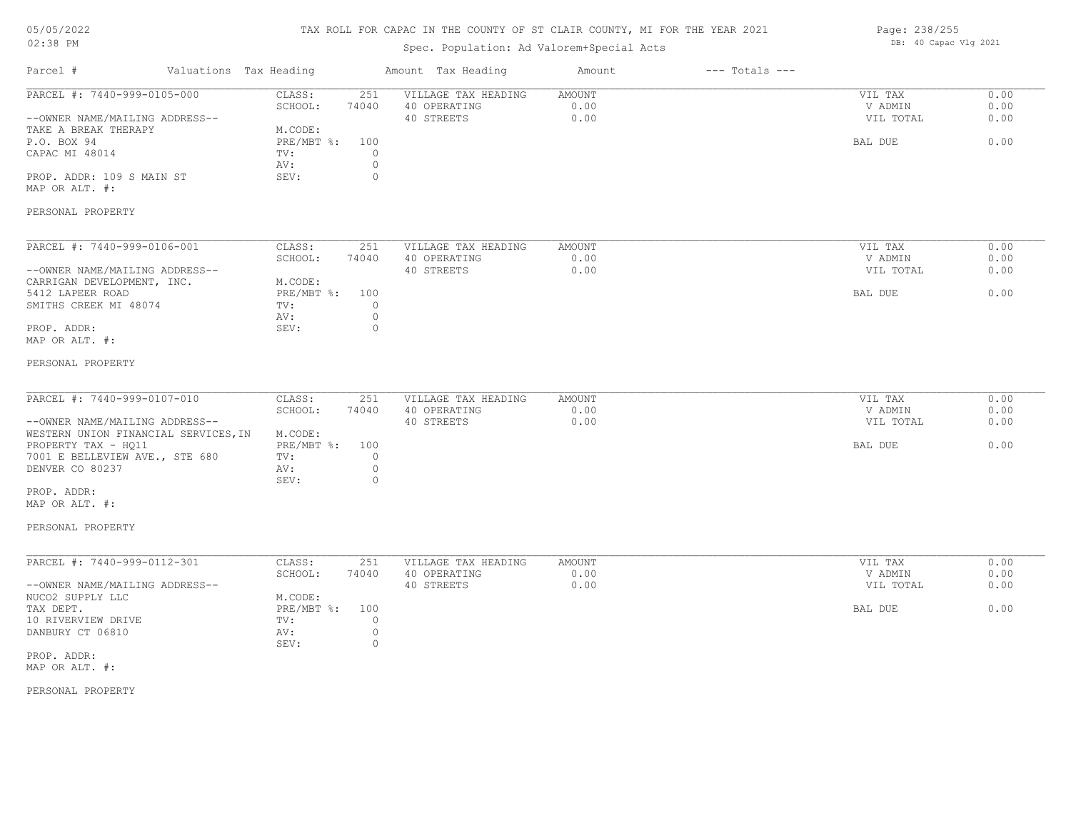### TAX ROLL FOR CAPAC IN THE COUNTY OF ST CLAIR COUNTY, MI FOR THE YEAR 2021

### Spec. Population: Ad Valorem+Special Acts

Page: 238/255 DB: 40 Capac Vlg 2021

| Valuations Tax Heading<br>Parcel #                                       |                                                                           | Amount Tax Heading                                | Amount                 | $---$ Totals $---$ |                                 |                      |
|--------------------------------------------------------------------------|---------------------------------------------------------------------------|---------------------------------------------------|------------------------|--------------------|---------------------------------|----------------------|
| PARCEL #: 7440-999-0105-000<br>--OWNER NAME/MAILING ADDRESS--            | CLASS:<br>251<br>SCHOOL:<br>74040                                         | VILLAGE TAX HEADING<br>40 OPERATING<br>40 STREETS | AMOUNT<br>0.00<br>0.00 |                    | VIL TAX<br>V ADMIN<br>VIL TOTAL | 0.00<br>0.00<br>0.00 |
| TAKE A BREAK THERAPY<br>P.O. BOX 94<br>CAPAC MI 48014                    | M.CODE:<br>$PRE/MBT$ %:<br>100<br>$\circ$<br>TV:<br>$\mathbb O$<br>AV:    |                                                   |                        |                    | BAL DUE                         | 0.00                 |
| PROP. ADDR: 109 S MAIN ST<br>MAP OR ALT. #:                              | SEV:<br>$\circ$                                                           |                                                   |                        |                    |                                 |                      |
| PERSONAL PROPERTY                                                        |                                                                           |                                                   |                        |                    |                                 |                      |
| PARCEL #: 7440-999-0106-001                                              | CLASS:<br>251<br>SCHOOL:<br>74040                                         | VILLAGE TAX HEADING<br>40 OPERATING               | <b>AMOUNT</b><br>0.00  |                    | VIL TAX<br>V ADMIN              | 0.00<br>0.00         |
| --OWNER NAME/MAILING ADDRESS--                                           |                                                                           | 40 STREETS                                        | 0.00                   |                    | VIL TOTAL                       | 0.00                 |
| CARRIGAN DEVELOPMENT, INC.<br>5412 LAPEER ROAD<br>SMITHS CREEK MI 48074  | M.CODE:<br>$PRE/MBT$ $\div$ :<br>100<br>$\circ$<br>TV:<br>$\circ$<br>AV:  |                                                   |                        |                    | BAL DUE                         | 0.00                 |
| PROP. ADDR:<br>MAP OR ALT. #:                                            | SEV:<br>$\circ$                                                           |                                                   |                        |                    |                                 |                      |
| PERSONAL PROPERTY                                                        |                                                                           |                                                   |                        |                    |                                 |                      |
| PARCEL #: 7440-999-0107-010                                              | CLASS:<br>251<br>SCHOOL:<br>74040                                         | VILLAGE TAX HEADING<br>40 OPERATING               | AMOUNT<br>0.00         |                    | VIL TAX<br>V ADMIN              | 0.00<br>0.00         |
| --OWNER NAME/MAILING ADDRESS--<br>WESTERN UNION FINANCIAL SERVICES, IN   | M.CODE:                                                                   | 40 STREETS                                        | 0.00                   |                    | VIL TOTAL                       | 0.00                 |
| PROPERTY TAX - HQ11<br>7001 E BELLEVIEW AVE., STE 680<br>DENVER CO 80237 | PRE/MBT %:<br>100<br>$\circ$<br>TV:<br>$\circ$<br>AV:<br>$\Omega$<br>SEV: |                                                   |                        |                    | BAL DUE                         | 0.00                 |
| PROP. ADDR:<br>MAP OR ALT. #:                                            |                                                                           |                                                   |                        |                    |                                 |                      |
| PERSONAL PROPERTY                                                        |                                                                           |                                                   |                        |                    |                                 |                      |
| PARCEL #: 7440-999-0112-301                                              | CLASS:<br>251                                                             | VILLAGE TAX HEADING                               | AMOUNT                 |                    | VIL TAX                         | 0.00                 |
| --OWNER NAME/MAILING ADDRESS--<br>NUCO2 SUPPLY LLC                       | SCHOOL:<br>74040<br>M.CODE:                                               | 40 OPERATING<br>40 STREETS                        | 0.00<br>0.00           |                    | V ADMIN<br>VIL TOTAL            | 0.00<br>0.00         |
| TAX DEPT.<br>10 RIVERVIEW DRIVE                                          | PRE/MBT %:<br>100<br>TV:<br>$\circ$                                       |                                                   |                        |                    | BAL DUE                         | 0.00                 |
| DANBURY CT 06810                                                         | $\circ$<br>AV:<br>$\mathbb O$<br>SEV:                                     |                                                   |                        |                    |                                 |                      |
| PROP. ADDR:<br>MAP OR ALT. #:                                            |                                                                           |                                                   |                        |                    |                                 |                      |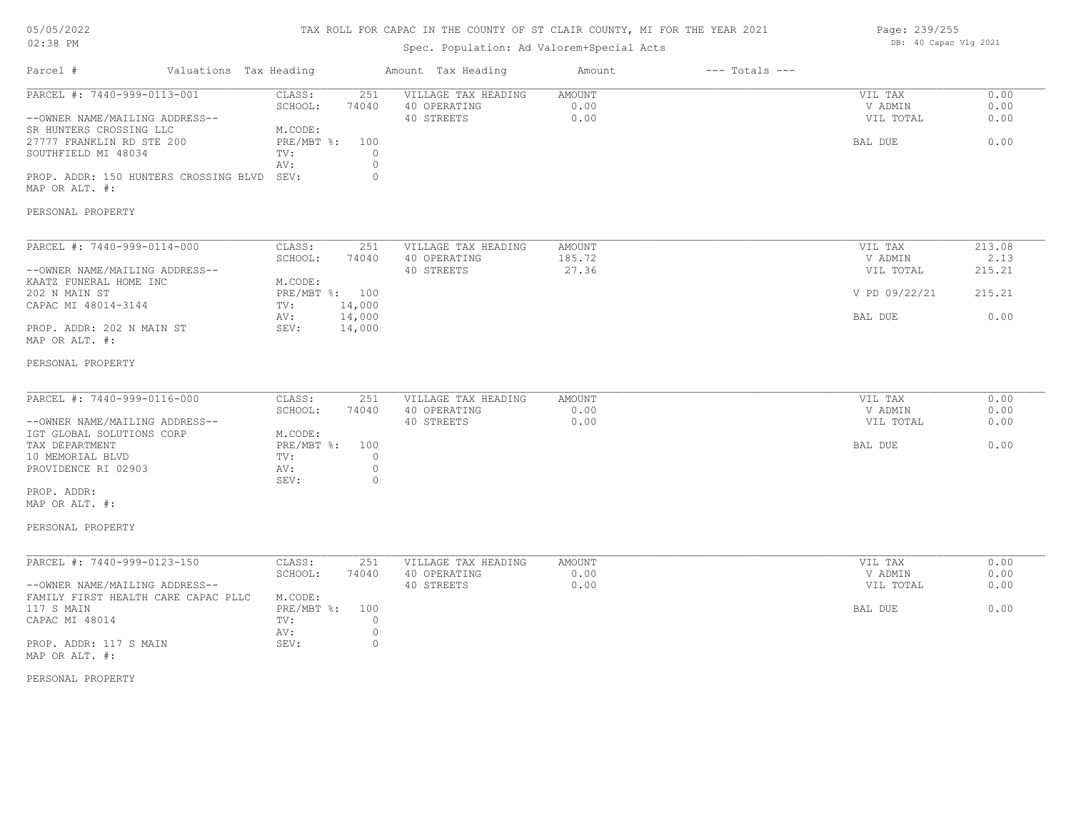### TAX ROLL FOR CAPAC IN THE COUNTY OF ST CLAIR COUNTY, MI FOR THE YEAR 2021

### Spec. Population: Ad Valorem+Special Acts

| Page: 239/255 |                       |  |
|---------------|-----------------------|--|
|               | DB: 40 Capac Vlg 2021 |  |

| Parcel #                                                                                                                                                                                                                           | Valuations Tax Heading                                                                                             | Amount Tax Heading                                                                  | Amount                           | $---$ Totals $---$ |                                                             |                                            |
|------------------------------------------------------------------------------------------------------------------------------------------------------------------------------------------------------------------------------------|--------------------------------------------------------------------------------------------------------------------|-------------------------------------------------------------------------------------|----------------------------------|--------------------|-------------------------------------------------------------|--------------------------------------------|
| PARCEL #: 7440-999-0113-001<br>--OWNER NAME/MAILING ADDRESS--<br>SR HUNTERS CROSSING LLC<br>27777 FRANKLIN RD STE 200<br>SOUTHFIELD MI 48034<br>PROP. ADDR: 150 HUNTERS CROSSING BLVD SEV:<br>MAP OR ALT. #:<br>PERSONAL PROPERTY  | CLASS:<br>251<br>SCHOOL:<br>74040<br>M.CODE:<br>PRE/MBT %:<br>100<br>TV:<br>AV:                                    | VILLAGE TAX HEADING<br>40 OPERATING<br>40 STREETS<br>$\Omega$<br>$\circ$<br>$\circ$ | AMOUNT<br>0.00<br>0.00           |                    | VIL TAX<br>V ADMIN<br>VIL TOTAL<br>BAL DUE                  | 0.00<br>0.00<br>0.00<br>0.00               |
| PARCEL #: 7440-999-0114-000<br>--OWNER NAME/MAILING ADDRESS--<br>KAATZ FUNERAL HOME INC<br>202 N MAIN ST<br>CAPAC MI 48014-3144<br>PROP. ADDR: 202 N MAIN ST<br>MAP OR ALT. #:                                                     | CLASS:<br>251<br>SCHOOL:<br>74040<br>M.CODE:<br>PRE/MBT %: 100<br>14,000<br>TV:<br>14,000<br>AV:<br>SEV:<br>14,000 | VILLAGE TAX HEADING<br>40 OPERATING<br>40 STREETS                                   | <b>AMOUNT</b><br>185.72<br>27.36 |                    | VIL TAX<br>V ADMIN<br>VIL TOTAL<br>V PD 09/22/21<br>BAL DUE | 213.08<br>2.13<br>215.21<br>215.21<br>0.00 |
| PERSONAL PROPERTY<br>PARCEL #: 7440-999-0116-000<br>--OWNER NAME/MAILING ADDRESS--<br>IGT GLOBAL SOLUTIONS CORP<br>TAX DEPARTMENT<br>10 MEMORIAL BLVD<br>PROVIDENCE RI 02903<br>PROP. ADDR:<br>MAP OR ALT. #:<br>PERSONAL PROPERTY | CLASS:<br>251<br>SCHOOL:<br>74040<br>M.CODE:<br>PRE/MBT %:<br>100<br>TV:<br>AV:<br>SEV:                            | VILLAGE TAX HEADING<br>40 OPERATING<br>40 STREETS<br>$\circ$<br>$\circ$<br>0        | AMOUNT<br>0.00<br>0.00           |                    | VIL TAX<br>V ADMIN<br>VIL TOTAL<br>BAL DUE                  | 0.00<br>0.00<br>0.00<br>0.00               |
| PARCEL #: 7440-999-0123-150<br>--OWNER NAME/MAILING ADDRESS--<br>FAMILY FIRST HEALTH CARE CAPAC PLLC<br>117 S MAIN<br>CAPAC MI 48014<br>PROP. ADDR: 117 S MAIN<br>MAP OR ALT. #:                                                   | CLASS:<br>251<br>SCHOOL:<br>74040<br>M.CODE:<br>PRE/MBT %:<br>100<br>TV:<br>AV:<br>SEV:                            | VILLAGE TAX HEADING<br>40 OPERATING<br>40 STREETS<br>$\circ$<br>$\circ$<br>$\circ$  | AMOUNT<br>0.00<br>0.00           |                    | VIL TAX<br>V ADMIN<br>VIL TOTAL<br>BAL DUE                  | 0.00<br>0.00<br>0.00<br>0.00               |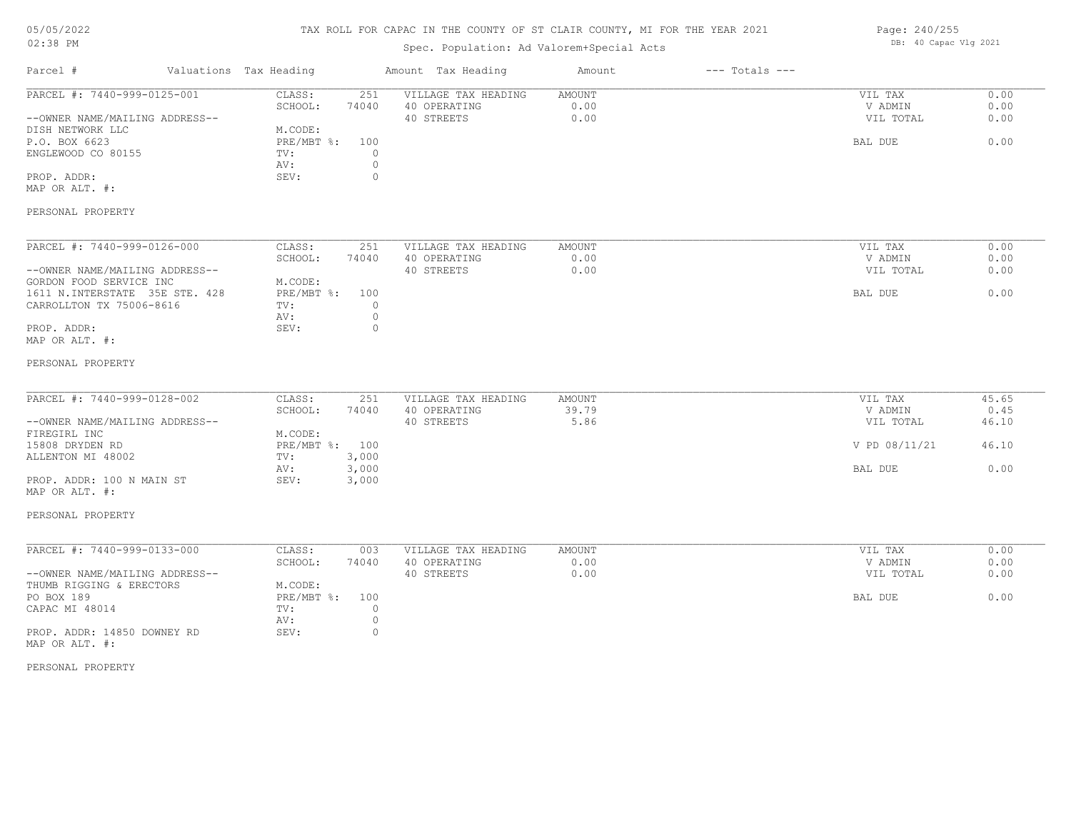### TAX ROLL FOR CAPAC IN THE COUNTY OF ST CLAIR COUNTY, MI FOR THE YEAR 2021

### Spec. Population: Ad Valorem+Special Acts

| Page: 240/255 |                       |  |
|---------------|-----------------------|--|
|               | DB: 40 Capac Vlg 2021 |  |

| Parcel #<br>Valuations Tax Heading |                     | Amount Tax Heading  | Amount | $---$ Totals $---$ |               |       |
|------------------------------------|---------------------|---------------------|--------|--------------------|---------------|-------|
| PARCEL #: 7440-999-0125-001        | CLASS:<br>251       | VILLAGE TAX HEADING | AMOUNT |                    | VIL TAX       | 0.00  |
|                                    | SCHOOL:<br>74040    | 40 OPERATING        | 0.00   |                    | V ADMIN       | 0.00  |
| --OWNER NAME/MAILING ADDRESS--     |                     | 40 STREETS          | 0.00   |                    | VIL TOTAL     | 0.00  |
| DISH NETWORK LLC                   | M.CODE:             |                     |        |                    |               |       |
| P.O. BOX 6623                      | $PRE/MBT$ %:<br>100 |                     |        |                    | BAL DUE       | 0.00  |
| ENGLEWOOD CO 80155                 | $\circ$<br>TV:      |                     |        |                    |               |       |
|                                    | $\circ$<br>AV:      |                     |        |                    |               |       |
| PROP. ADDR:                        | SEV:<br>$\circ$     |                     |        |                    |               |       |
| MAP OR ALT. #:                     |                     |                     |        |                    |               |       |
| PERSONAL PROPERTY                  |                     |                     |        |                    |               |       |
|                                    |                     |                     |        |                    |               |       |
| PARCEL #: 7440-999-0126-000        | CLASS:<br>251       | VILLAGE TAX HEADING | AMOUNT |                    | VIL TAX       | 0.00  |
|                                    | SCHOOL:<br>74040    | 40 OPERATING        | 0.00   |                    | V ADMIN       | 0.00  |
| --OWNER NAME/MAILING ADDRESS--     |                     | 40 STREETS          | 0.00   |                    | VIL TOTAL     | 0.00  |
| GORDON FOOD SERVICE INC            | M.CODE:             |                     |        |                    |               |       |
| 1611 N.INTERSTATE 35E STE. 428     | PRE/MBT %:<br>100   |                     |        |                    | BAL DUE       | 0.00  |
| CARROLLTON TX 75006-8616           | $\circ$<br>TV:      |                     |        |                    |               |       |
|                                    | $\circ$<br>AV:      |                     |        |                    |               |       |
| PROP. ADDR:                        | $\circ$<br>SEV:     |                     |        |                    |               |       |
| MAP OR ALT. #:                     |                     |                     |        |                    |               |       |
| PERSONAL PROPERTY                  |                     |                     |        |                    |               |       |
|                                    |                     |                     |        |                    |               |       |
| PARCEL #: 7440-999-0128-002        | CLASS:<br>251       | VILLAGE TAX HEADING | AMOUNT |                    | VIL TAX       | 45.65 |
|                                    | 74040<br>SCHOOL:    | 40 OPERATING        | 39.79  |                    | V ADMIN       | 0.45  |
| --OWNER NAME/MAILING ADDRESS--     |                     | 40 STREETS          | 5.86   |                    | VIL TOTAL     | 46.10 |
| FIREGIRL INC                       | M.CODE:             |                     |        |                    |               |       |
| 15808 DRYDEN RD                    | PRE/MBT %: 100      |                     |        |                    | V PD 08/11/21 | 46.10 |
| ALLENTON MI 48002                  | 3,000<br>TV:        |                     |        |                    |               |       |
|                                    | 3,000<br>AV:        |                     |        |                    | BAL DUE       | 0.00  |
| PROP. ADDR: 100 N MAIN ST          | SEV:<br>3,000       |                     |        |                    |               |       |
| MAP OR ALT. #:                     |                     |                     |        |                    |               |       |
| PERSONAL PROPERTY                  |                     |                     |        |                    |               |       |
|                                    |                     |                     |        |                    |               |       |
| PARCEL #: 7440-999-0133-000        | CLASS:<br>003       | VILLAGE TAX HEADING | AMOUNT |                    | VIL TAX       | 0.00  |
|                                    | SCHOOL:<br>74040    | 40 OPERATING        | 0.00   |                    | V ADMIN       | 0.00  |
| --OWNER NAME/MAILING ADDRESS--     |                     | 40 STREETS          | 0.00   |                    | VIL TOTAL     | 0.00  |
| THUMB RIGGING & ERECTORS           | M.CODE:             |                     |        |                    |               |       |
| PO BOX 189                         | PRE/MBT %:<br>100   |                     |        |                    | BAL DUE       | 0.00  |
| CAPAC MI 48014                     | $\circ$<br>TV:      |                     |        |                    |               |       |
|                                    | $\circ$<br>AV:      |                     |        |                    |               |       |
| PROP. ADDR: 14850 DOWNEY RD        |                     |                     |        |                    |               |       |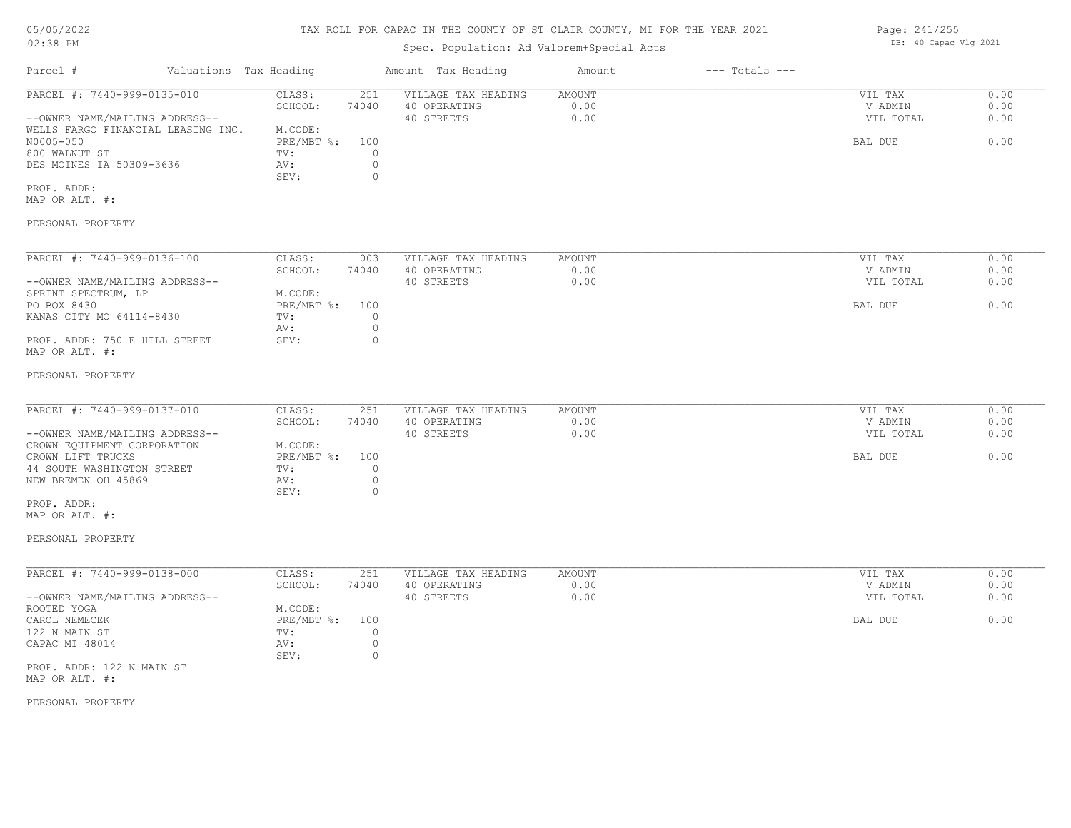# 05/05/2022

02:38 PM

### TAX ROLL FOR CAPAC IN THE COUNTY OF ST CLAIR COUNTY, MI FOR THE YEAR 2021

### Spec. Population: Ad Valorem+Special Acts

| Valuations Tax Heading<br>Parcel #                                                                             |                   | Amount Tax Heading  | Amount | $---$ Totals $---$ |           |      |
|----------------------------------------------------------------------------------------------------------------|-------------------|---------------------|--------|--------------------|-----------|------|
| PARCEL #: 7440-999-0135-010                                                                                    | 251<br>CLASS:     | VILLAGE TAX HEADING | AMOUNT |                    | VIL TAX   | 0.00 |
|                                                                                                                | SCHOOL:<br>74040  | 40 OPERATING        | 0.00   |                    | V ADMIN   | 0.00 |
| --OWNER NAME/MAILING ADDRESS--                                                                                 |                   | 40 STREETS          | 0.00   |                    | VIL TOTAL | 0.00 |
| WELLS FARGO FINANCIAL LEASING INC.                                                                             | M.CODE:           |                     |        |                    |           |      |
| N0005-050                                                                                                      | PRE/MBT %:<br>100 |                     |        |                    | BAL DUE   | 0.00 |
| 800 WALNUT ST                                                                                                  | TV:               |                     |        |                    |           |      |
| DES MOINES IA 50309-3636                                                                                       | AV:               |                     |        |                    |           |      |
|                                                                                                                | 0<br>SEV:         |                     |        |                    |           |      |
| PROP. ADDR:                                                                                                    |                   |                     |        |                    |           |      |
| MAP OR ALT. #:                                                                                                 |                   |                     |        |                    |           |      |
| PERSONAL PROPERTY                                                                                              |                   |                     |        |                    |           |      |
| PARCEL #: 7440-999-0136-100                                                                                    | 003<br>CLASS:     | VILLAGE TAX HEADING | AMOUNT |                    | VIL TAX   | 0.00 |
|                                                                                                                | SCHOOL:<br>74040  | 40 OPERATING        | 0.00   |                    | V ADMIN   | 0.00 |
| --OWNER NAME/MAILING ADDRESS--                                                                                 |                   | 40 STREETS          | 0.00   |                    | VIL TOTAL | 0.00 |
| SPRINT SPECTRUM, LP                                                                                            | M.CODE:           |                     |        |                    |           |      |
| PO BOX 8430                                                                                                    | PRE/MBT %:<br>100 |                     |        |                    | BAL DUE   | 0.00 |
| KANAS CITY MO 64114-8430                                                                                       | TV:               |                     |        |                    |           |      |
|                                                                                                                | AV:               |                     |        |                    |           |      |
| PROP. ADDR: 750 E HILL STREET                                                                                  | $\Omega$<br>SEV:  |                     |        |                    |           |      |
| MAP OR ALT. #:                                                                                                 |                   |                     |        |                    |           |      |
| 그 아이들은 그 사람들은 아이들을 만들어 보이는 것이 아니라 아이들이 아니라 아이들이 아니라 아이들이 아니라 아이들이 아니라 아이들이 아니라 아이들이 아니라 아이들이 아니라 아이들이 아니라 아이들이 |                   |                     |        |                    |           |      |

#### PERSONAL PROPERTY

| PARCEL #: 7440-999-0137-010    | CLASS:         | 251   | VILLAGE TAX HEADING | AMOUNT | VIL TAX   | 0.00 |
|--------------------------------|----------------|-------|---------------------|--------|-----------|------|
|                                | SCHOOL:        | 74040 | 40 OPERATING        | 0.00   | V ADMIN   | 0.00 |
| --OWNER NAME/MAILING ADDRESS-- |                |       | 40 STREETS          | 0.00   | VIL TOTAL | 0.00 |
| CROWN EQUIPMENT CORPORATION    | M.CODE:        |       |                     |        |           |      |
| CROWN LIFT TRUCKS              | PRE/MBT %: 100 |       |                     |        | BAL DUE   | 0.00 |
| 44 SOUTH WASHINGTON STREET     | TV:            |       |                     |        |           |      |
| NEW BREMEN OH 45869            | AV:            |       |                     |        |           |      |
|                                | SEV:           |       |                     |        |           |      |
| PROP. ADDR:                    |                |       |                     |        |           |      |

MAP OR ALT. #:

#### PERSONAL PROPERTY

| PARCEL #: 7440-999-0138-000    | CLASS:     | 251   | VILLAGE TAX HEADING | AMOUNT | 0.00<br>VIL TAX   |
|--------------------------------|------------|-------|---------------------|--------|-------------------|
|                                | SCHOOL:    | 74040 | 40 OPERATING        | 0.00   | 0.00<br>V ADMIN   |
| --OWNER NAME/MAILING ADDRESS-- |            |       | 40 STREETS          | 0.00   | 0.00<br>VIL TOTAL |
| ROOTED YOGA                    | M.CODE:    |       |                     |        |                   |
| CAROL NEMECEK                  | PRE/MBT %: | 100   |                     |        | 0.00<br>BAL DUE   |
| 122 N MAIN ST                  | TV:        |       |                     |        |                   |
| CAPAC MI 48014                 | AV:        |       |                     |        |                   |
|                                | SEV:       |       |                     |        |                   |
| PROP. ADDR: 122 N MAIN ST      |            |       |                     |        |                   |
|                                |            |       |                     |        |                   |

MAP OR ALT. #:

PERSONAL PROPERTY

Page: 241/255 DB: 40 Capac Vlg 2021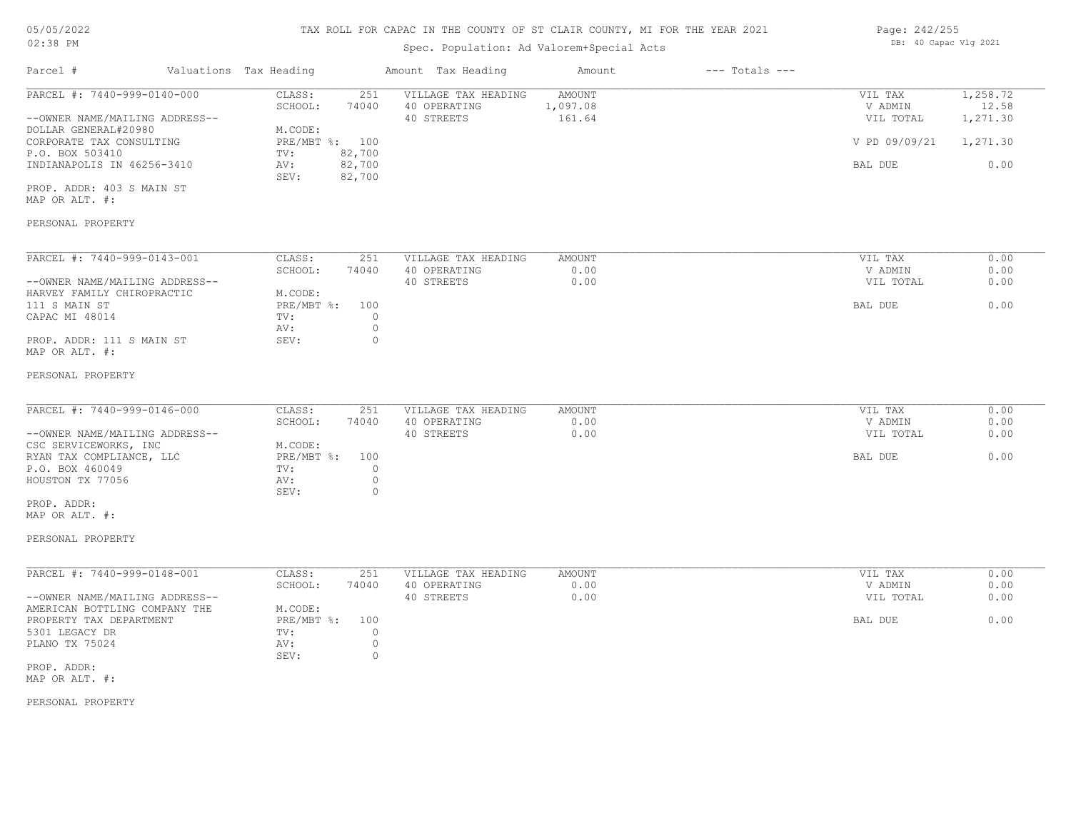# 05/05/2022

### 02:38 PM

### TAX ROLL FOR CAPAC IN THE COUNTY OF ST CLAIR COUNTY, MI FOR THE YEAR 2021

### Spec. Population: Ad Valorem+Special Acts

| Page: 242/255 |                       |  |
|---------------|-----------------------|--|
|               | DB: 40 Capac Vlg 2021 |  |

| Parcel #                                                                                                                                                                                                            | Valuations Tax Heading |                                                                                                                          | Amount Tax Heading                                | Amount                              | $---$ Totals $---$ |                                                             |                                                   |
|---------------------------------------------------------------------------------------------------------------------------------------------------------------------------------------------------------------------|------------------------|--------------------------------------------------------------------------------------------------------------------------|---------------------------------------------------|-------------------------------------|--------------------|-------------------------------------------------------------|---------------------------------------------------|
| PARCEL #: 7440-999-0140-000<br>--OWNER NAME/MAILING ADDRESS--<br>DOLLAR GENERAL#20980<br>CORPORATE TAX CONSULTING<br>P.O. BOX 503410<br>INDIANAPOLIS IN 46256-3410<br>PROP. ADDR: 403 S MAIN ST<br>MAP OR ALT. #:   |                        | CLASS:<br>251<br>SCHOOL:<br>74040<br>M.CODE:<br>PRE/MBT %: 100<br>82,700<br>TV:<br>AV:<br>82,700<br>SEV:<br>82,700       | VILLAGE TAX HEADING<br>40 OPERATING<br>40 STREETS | <b>AMOUNT</b><br>1,097.08<br>161.64 |                    | VIL TAX<br>V ADMIN<br>VIL TOTAL<br>V PD 09/09/21<br>BAL DUE | 1,258.72<br>12.58<br>1,271.30<br>1,271.30<br>0.00 |
| PERSONAL PROPERTY                                                                                                                                                                                                   |                        |                                                                                                                          |                                                   |                                     |                    |                                                             |                                                   |
| PARCEL #: 7440-999-0143-001<br>--OWNER NAME/MAILING ADDRESS--<br>HARVEY FAMILY CHIROPRACTIC<br>111 S MAIN ST<br>CAPAC MI 48014<br>PROP. ADDR: 111 S MAIN ST                                                         |                        | CLASS:<br>251<br>SCHOOL:<br>74040<br>M.CODE:<br>PRE/MBT %:<br>100<br>$\circ$<br>TV:<br>$\circ$<br>AV:<br>SEV:<br>$\circ$ | VILLAGE TAX HEADING<br>40 OPERATING<br>40 STREETS | AMOUNT<br>0.00<br>0.00              |                    | VIL TAX<br>V ADMIN<br>VIL TOTAL<br>BAL DUE                  | 0.00<br>0.00<br>0.00<br>0.00                      |
| MAP OR ALT. #:<br>PERSONAL PROPERTY                                                                                                                                                                                 |                        |                                                                                                                          |                                                   |                                     |                    |                                                             |                                                   |
| PARCEL #: 7440-999-0146-000<br>--OWNER NAME/MAILING ADDRESS--<br>CSC SERVICEWORKS, INC<br>RYAN TAX COMPLIANCE, LLC<br>P.O. BOX 460049<br>HOUSTON TX 77056<br>PROP. ADDR:<br>MAP OR ALT. #:<br>PERSONAL PROPERTY     |                        | CLASS:<br>251<br>SCHOOL:<br>74040<br>M.CODE:<br>PRE/MBT %:<br>100<br>TV:<br>$\circ$<br>$\circ$<br>AV:<br>SEV:<br>$\circ$ | VILLAGE TAX HEADING<br>40 OPERATING<br>40 STREETS | AMOUNT<br>0.00<br>0.00              |                    | VIL TAX<br>V ADMIN<br>VIL TOTAL<br>BAL DUE                  | 0.00<br>0.00<br>0.00<br>0.00                      |
| PARCEL #: 7440-999-0148-001<br>--OWNER NAME/MAILING ADDRESS--<br>AMERICAN BOTTLING COMPANY THE<br>PROPERTY TAX DEPARTMENT<br>5301 LEGACY DR<br>PLANO TX 75024<br>PROP. ADDR:<br>MAP OR ALT. #:<br>PERSONAL PROPERTY |                        | CLASS:<br>251<br>SCHOOL:<br>74040<br>M.CODE:<br>PRE/MBT %:<br>100<br>TV:<br>$\circ$<br>$\circ$<br>AV:<br>SEV:<br>$\circ$ | VILLAGE TAX HEADING<br>40 OPERATING<br>40 STREETS | <b>AMOUNT</b><br>0.00<br>0.00       |                    | VIL TAX<br>V ADMIN<br>VIL TOTAL<br>BAL DUE                  | 0.00<br>0.00<br>0.00<br>0.00                      |
|                                                                                                                                                                                                                     |                        |                                                                                                                          |                                                   |                                     |                    |                                                             |                                                   |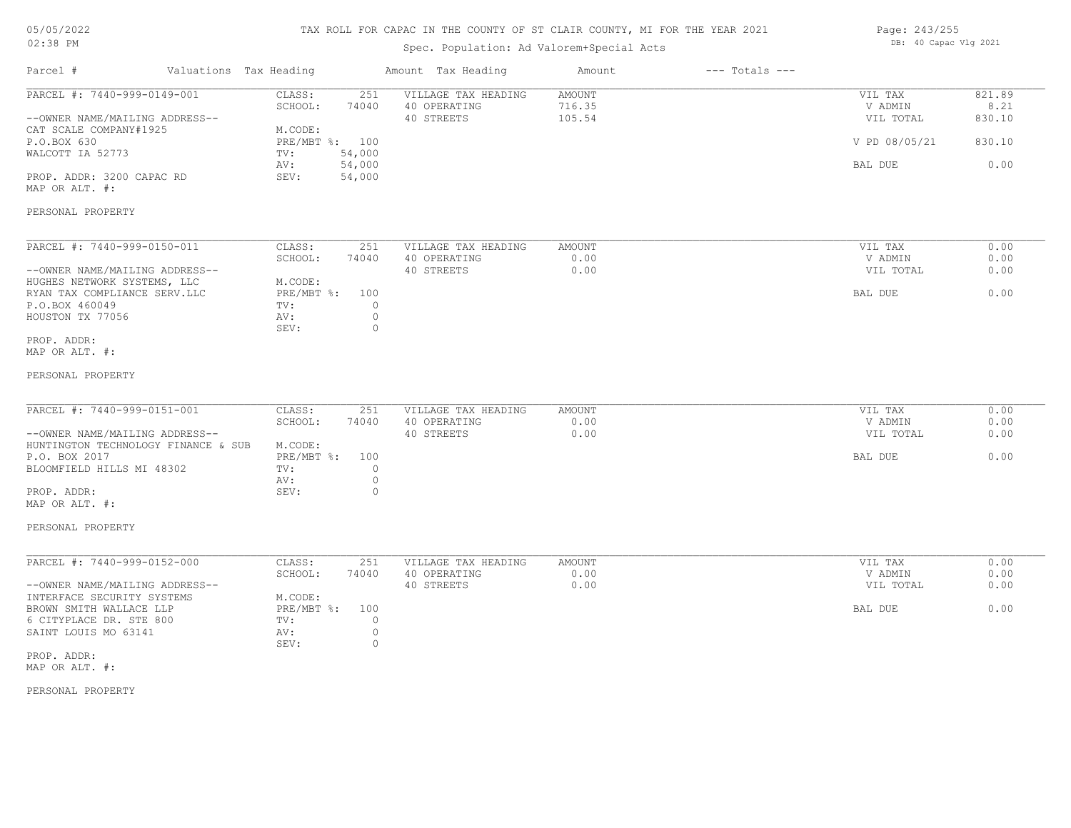### TAX ROLL FOR CAPAC IN THE COUNTY OF ST CLAIR COUNTY, MI FOR THE YEAR 2021

### Spec. Population: Ad Valorem+Special Acts

| Page: 243/255 |                       |  |
|---------------|-----------------------|--|
|               | DB: 40 Capac Vlg 2021 |  |

| Parcel #                                                      | Valuations Tax Heading    |                               | Amount Tax Heading                                | Amount                     | $---$ Totals $---$ |                                 |                          |
|---------------------------------------------------------------|---------------------------|-------------------------------|---------------------------------------------------|----------------------------|--------------------|---------------------------------|--------------------------|
| PARCEL #: 7440-999-0149-001<br>--OWNER NAME/MAILING ADDRESS-- | CLASS:<br>SCHOOL:         | 251<br>74040                  | VILLAGE TAX HEADING<br>40 OPERATING<br>40 STREETS | AMOUNT<br>716.35<br>105.54 |                    | VIL TAX<br>V ADMIN<br>VIL TOTAL | 821.89<br>8.21<br>830.10 |
| CAT SCALE COMPANY#1925<br>P.O.BOX 630                         | M.CODE:<br>PRE/MBT %: 100 |                               |                                                   |                            |                    | V PD 08/05/21                   | 830.10                   |
| WALCOTT IA 52773                                              | TV:<br>AV:                | 54,000<br>54,000              |                                                   |                            |                    | BAL DUE                         | 0.00                     |
| PROP. ADDR: 3200 CAPAC RD<br>MAP OR ALT. #:                   | SEV:                      | 54,000                        |                                                   |                            |                    |                                 |                          |
| PERSONAL PROPERTY                                             |                           |                               |                                                   |                            |                    |                                 |                          |
| PARCEL #: 7440-999-0150-011                                   | CLASS:                    | 251                           | VILLAGE TAX HEADING                               | AMOUNT                     |                    | VIL TAX                         | 0.00                     |
| --OWNER NAME/MAILING ADDRESS--                                | SCHOOL:                   | 74040                         | 40 OPERATING<br>40 STREETS                        | 0.00<br>0.00               |                    | V ADMIN<br>VIL TOTAL            | 0.00<br>0.00             |
| HUGHES NETWORK SYSTEMS, LLC<br>RYAN TAX COMPLIANCE SERV.LLC   | M.CODE:<br>PRE/MBT %: 100 |                               |                                                   |                            |                    | BAL DUE                         | 0.00                     |
| P.O.BOX 460049<br>HOUSTON TX 77056                            | TV:<br>AV:                | $\circ$<br>$\circ$            |                                                   |                            |                    |                                 |                          |
| PROP. ADDR:<br>MAP OR ALT. #:                                 | SEV:                      | $\circ$                       |                                                   |                            |                    |                                 |                          |
| PERSONAL PROPERTY                                             |                           |                               |                                                   |                            |                    |                                 |                          |
| PARCEL #: 7440-999-0151-001                                   | CLASS:                    | 251                           | VILLAGE TAX HEADING                               | AMOUNT                     |                    | VIL TAX                         | 0.00                     |
| --OWNER NAME/MAILING ADDRESS--                                | SCHOOL:                   | 74040                         | 40 OPERATING<br>40 STREETS                        | 0.00<br>0.00               |                    | V ADMIN<br>VIL TOTAL            | 0.00<br>0.00             |
| HUNTINGTON TECHNOLOGY FINANCE & SUB                           | M.CODE:                   |                               |                                                   |                            |                    |                                 |                          |
| P.O. BOX 2017<br>BLOOMFIELD HILLS MI 48302                    | $PRE/MBT$ $\div$<br>TV:   | 100<br>$\circ$                |                                                   |                            |                    | BAL DUE                         | 0.00                     |
| PROP. ADDR:<br>MAP OR ALT. #:                                 | AV:<br>SEV:               | $\circ$<br>$\circ$            |                                                   |                            |                    |                                 |                          |
| PERSONAL PROPERTY                                             |                           |                               |                                                   |                            |                    |                                 |                          |
|                                                               |                           |                               |                                                   |                            |                    |                                 |                          |
| PARCEL #: 7440-999-0152-000                                   | CLASS:<br>SCHOOL:         | 251<br>74040                  | VILLAGE TAX HEADING<br>40 OPERATING               | AMOUNT<br>0.00             |                    | VIL TAX<br>V ADMIN              | 0.00<br>0.00             |
| --OWNER NAME/MAILING ADDRESS--<br>INTERFACE SECURITY SYSTEMS  | M.CODE:                   |                               | 40 STREETS                                        | 0.00                       |                    | VIL TOTAL                       | 0.00                     |
| BROWN SMITH WALLACE LLP                                       | PRE/MBT %: 100            |                               |                                                   |                            |                    | BAL DUE                         | 0.00                     |
| 6 CITYPLACE DR. STE 800<br>SAINT LOUIS MO 63141               | TV:<br>AV:<br>SEV:        | $\circ$<br>$\circ$<br>$\circ$ |                                                   |                            |                    |                                 |                          |
| PROP. ADDR:<br>MAP OR ALT. #:                                 |                           |                               |                                                   |                            |                    |                                 |                          |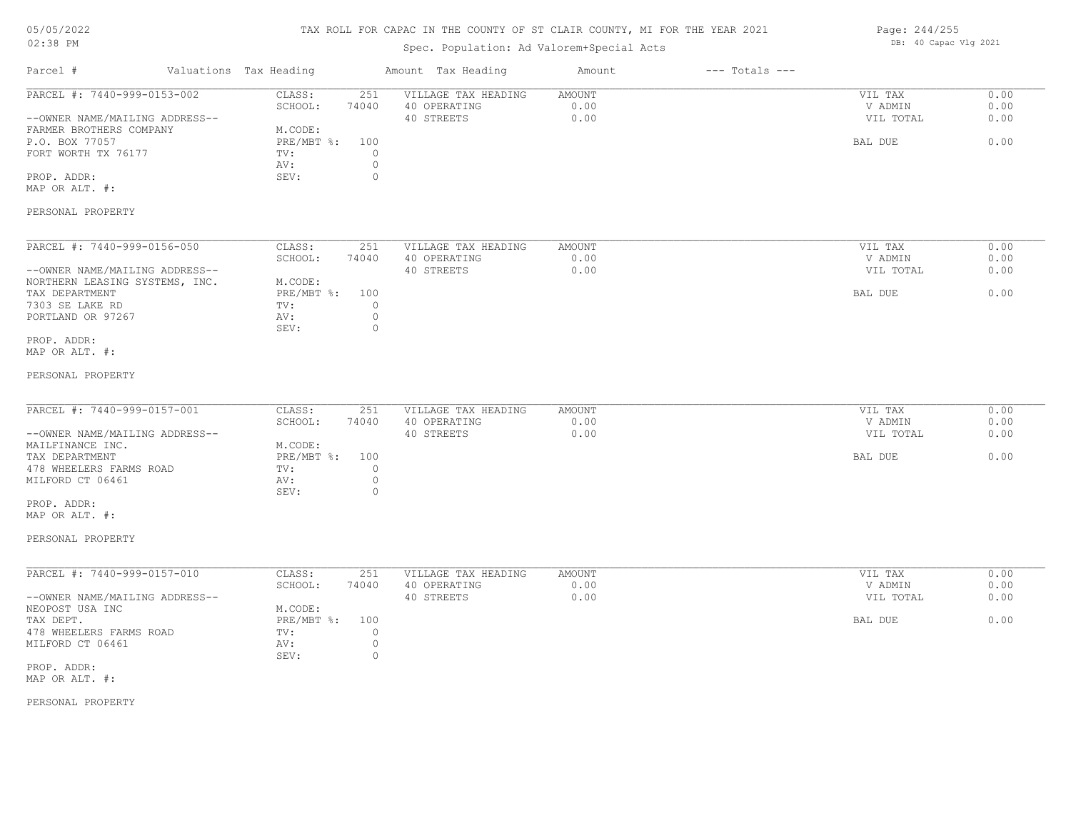### TAX ROLL FOR CAPAC IN THE COUNTY OF ST CLAIR COUNTY, MI FOR THE YEAR 2021

### Spec. Population: Ad Valorem+Special Acts

Page: 244/255 DB: 40 Capac Vlg 2021

| Parcel #                                                  | Valuations Tax Heading            | Amount Tax Heading                  | Amount                | $---$ Totals $---$ |                    |              |
|-----------------------------------------------------------|-----------------------------------|-------------------------------------|-----------------------|--------------------|--------------------|--------------|
| PARCEL #: 7440-999-0153-002                               | CLASS:<br>251<br>SCHOOL:<br>74040 | VILLAGE TAX HEADING<br>40 OPERATING | <b>AMOUNT</b><br>0.00 |                    | VIL TAX<br>V ADMIN | 0.00<br>0.00 |
| --OWNER NAME/MAILING ADDRESS--<br>FARMER BROTHERS COMPANY | M.CODE:                           | 40 STREETS                          | 0.00                  |                    | VIL TOTAL          | 0.00         |
| P.O. BOX 77057                                            | $PRE/MBT$ $\div$<br>100           |                                     |                       |                    | BAL DUE            | 0.00         |
| FORT WORTH TX 76177                                       | $\circ$<br>TV:                    |                                     |                       |                    |                    |              |
|                                                           | $\circ$<br>AV:                    |                                     |                       |                    |                    |              |
| PROP. ADDR:                                               | SEV:<br>$\circ$                   |                                     |                       |                    |                    |              |
| MAP OR ALT. #:                                            |                                   |                                     |                       |                    |                    |              |
| PERSONAL PROPERTY                                         |                                   |                                     |                       |                    |                    |              |
| PARCEL #: 7440-999-0156-050                               | CLASS:<br>251                     | VILLAGE TAX HEADING                 | AMOUNT                |                    | VIL TAX            | 0.00         |
|                                                           | SCHOOL:<br>74040                  | 40 OPERATING                        | 0.00                  |                    | V ADMIN            | 0.00         |
| --OWNER NAME/MAILING ADDRESS--                            |                                   | 40 STREETS                          | 0.00                  |                    | VIL TOTAL          | 0.00         |
| NORTHERN LEASING SYSTEMS, INC.                            | M.CODE:                           |                                     |                       |                    |                    |              |
| TAX DEPARTMENT                                            | PRE/MBT %:<br>100                 |                                     |                       |                    | BAL DUE            | 0.00         |
| 7303 SE LAKE RD                                           | $\circ$<br>TV:                    |                                     |                       |                    |                    |              |
| PORTLAND OR 97267                                         | $\circ$<br>AV:                    |                                     |                       |                    |                    |              |
|                                                           | $\circ$<br>SEV:                   |                                     |                       |                    |                    |              |
| PROP. ADDR:                                               |                                   |                                     |                       |                    |                    |              |
| MAP OR ALT. #:                                            |                                   |                                     |                       |                    |                    |              |
| PERSONAL PROPERTY                                         |                                   |                                     |                       |                    |                    |              |
| PARCEL #: 7440-999-0157-001                               | CLASS:<br>251                     | VILLAGE TAX HEADING                 | <b>AMOUNT</b>         |                    | VIL TAX            | 0.00         |
|                                                           | SCHOOL:<br>74040                  | 40 OPERATING                        | 0.00                  |                    | V ADMIN            | 0.00         |
| --OWNER NAME/MAILING ADDRESS--                            |                                   | 40 STREETS                          | 0.00                  |                    | VIL TOTAL          | 0.00         |
| MAILFINANCE INC.                                          | M.CODE:                           |                                     |                       |                    |                    |              |
| TAX DEPARTMENT                                            | PRE/MBT %:<br>100                 |                                     |                       |                    | BAL DUE            | 0.00         |
| 478 WHEELERS FARMS ROAD                                   | $\circ$<br>TV:                    |                                     |                       |                    |                    |              |
| MILFORD CT 06461                                          | $\mathbb O$<br>AV:                |                                     |                       |                    |                    |              |
|                                                           | SEV:<br>$\circ$                   |                                     |                       |                    |                    |              |
| PROP. ADDR:                                               |                                   |                                     |                       |                    |                    |              |
| MAP OR ALT. #:                                            |                                   |                                     |                       |                    |                    |              |
|                                                           |                                   |                                     |                       |                    |                    |              |
| PERSONAL PROPERTY                                         |                                   |                                     |                       |                    |                    |              |
| PARCEL #: 7440-999-0157-010                               | CLASS:<br>251                     | VILLAGE TAX HEADING                 | <b>AMOUNT</b>         |                    | VIL TAX            | 0.00         |
|                                                           | SCHOOL:<br>74040                  | 40 OPERATING                        | 0.00                  |                    | V ADMIN            | 0.00         |
| --OWNER NAME/MAILING ADDRESS--                            |                                   | 40 STREETS                          | 0.00                  |                    | VIL TOTAL          | 0.00         |
| NEOPOST USA INC                                           | M.CODE:                           |                                     |                       |                    |                    |              |
| TAX DEPT.                                                 | PRE/MBT %:<br>100                 |                                     |                       |                    | BAL DUE            | 0.00         |
| 478 WHEELERS FARMS ROAD                                   | $\circ$<br>TV:                    |                                     |                       |                    |                    |              |
| MILFORD CT 06461                                          | $\circ$<br>AV:<br>SEV:<br>$\circ$ |                                     |                       |                    |                    |              |
| PROP. ADDR:                                               |                                   |                                     |                       |                    |                    |              |
| MAP OR ALT. #:                                            |                                   |                                     |                       |                    |                    |              |
|                                                           |                                   |                                     |                       |                    |                    |              |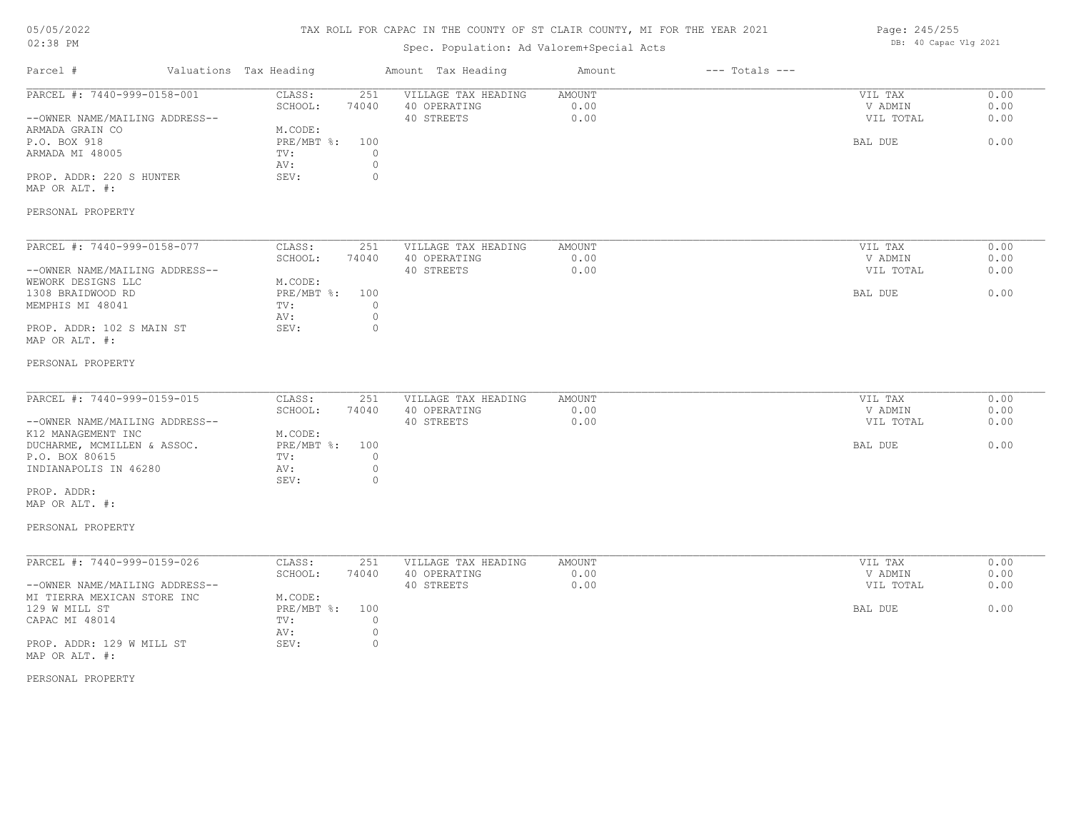### TAX ROLL FOR CAPAC IN THE COUNTY OF ST CLAIR COUNTY, MI FOR THE YEAR 2021

### Spec. Population: Ad Valorem+Special Acts

| Page: 245/255 |                       |  |
|---------------|-----------------------|--|
|               | DB: 40 Capac Vlg 2021 |  |

| Parcel #                                                      | Valuations Tax Heading             | Amount Tax Heading                  | Amount         | $---$ Totals $---$ |                    |              |
|---------------------------------------------------------------|------------------------------------|-------------------------------------|----------------|--------------------|--------------------|--------------|
| PARCEL #: 7440-999-0158-001                                   | CLASS:<br>251<br>SCHOOL:<br>74040  | VILLAGE TAX HEADING<br>40 OPERATING | AMOUNT<br>0.00 |                    | VIL TAX<br>V ADMIN | 0.00<br>0.00 |
| --OWNER NAME/MAILING ADDRESS--                                |                                    | 40 STREETS                          | 0.00           |                    | VIL TOTAL          | 0.00         |
| ARMADA GRAIN CO<br>P.O. BOX 918                               | M.CODE:<br>PRE/MBT %:<br>100       |                                     |                |                    | BAL DUE            | 0.00         |
| ARMADA MI 48005                                               | TV:<br>0<br>$\circ$<br>AV:         |                                     |                |                    |                    |              |
| PROP. ADDR: 220 S HUNTER                                      | $\circ$<br>SEV:                    |                                     |                |                    |                    |              |
| MAP OR ALT. #:                                                |                                    |                                     |                |                    |                    |              |
| PERSONAL PROPERTY                                             |                                    |                                     |                |                    |                    |              |
| PARCEL #: 7440-999-0158-077                                   | CLASS:<br>251                      | VILLAGE TAX HEADING                 | AMOUNT         |                    | VIL TAX            | 0.00         |
|                                                               | SCHOOL:<br>74040                   | 40 OPERATING                        | 0.00           |                    | V ADMIN            | 0.00         |
| --OWNER NAME/MAILING ADDRESS--                                |                                    | 40 STREETS                          | 0.00           |                    | VIL TOTAL          | 0.00         |
| WEWORK DESIGNS LLC<br>1308 BRAIDWOOD RD                       | M.CODE:<br>$PRE/MBT$ $\div$<br>100 |                                     |                |                    | BAL DUE            | 0.00         |
| MEMPHIS MI 48041                                              | $\circ$<br>TV:                     |                                     |                |                    |                    |              |
|                                                               | $\circ$<br>AV:                     |                                     |                |                    |                    |              |
| PROP. ADDR: 102 S MAIN ST                                     | SEV:<br>0                          |                                     |                |                    |                    |              |
| MAP OR ALT. #:                                                |                                    |                                     |                |                    |                    |              |
| PERSONAL PROPERTY                                             |                                    |                                     |                |                    |                    |              |
| PARCEL #: 7440-999-0159-015                                   | CLASS:<br>251                      | VILLAGE TAX HEADING                 | <b>AMOUNT</b>  |                    | VIL TAX            | 0.00         |
|                                                               | SCHOOL:<br>74040                   | 40 OPERATING                        | 0.00           |                    | V ADMIN            | 0.00         |
| --OWNER NAME/MAILING ADDRESS--                                |                                    | 40 STREETS                          | 0.00           |                    | VIL TOTAL          | 0.00         |
| K12 MANAGEMENT INC                                            | M.CODE:                            |                                     |                |                    |                    |              |
| DUCHARME, MCMILLEN & ASSOC.                                   | $PRE/MBT$ $\frac{1}{6}$ :<br>100   |                                     |                |                    | BAL DUE            | 0.00         |
| P.O. BOX 80615                                                | TV:<br>$\circ$                     |                                     |                |                    |                    |              |
| INDIANAPOLIS IN 46280                                         | AV:<br>$\circ$<br>SEV:<br>$\circ$  |                                     |                |                    |                    |              |
| PROP. ADDR:                                                   |                                    |                                     |                |                    |                    |              |
| MAP OR ALT. #:                                                |                                    |                                     |                |                    |                    |              |
| PERSONAL PROPERTY                                             |                                    |                                     |                |                    |                    |              |
|                                                               |                                    |                                     |                |                    |                    |              |
| PARCEL #: 7440-999-0159-026                                   | CLASS:<br>251                      | VILLAGE TAX HEADING                 | AMOUNT         |                    | VIL TAX            | 0.00         |
|                                                               | SCHOOL:<br>74040                   | 40 OPERATING<br>40 STREETS          | 0.00<br>0.00   |                    | V ADMIN            | 0.00<br>0.00 |
| --OWNER NAME/MAILING ADDRESS--<br>MI TIERRA MEXICAN STORE INC | M.CODE:                            |                                     |                |                    | VIL TOTAL          |              |
| 129 W MILL ST                                                 | PRE/MBT %:<br>100                  |                                     |                |                    | BAL DUE            | 0.00         |
| CAPAC MI 48014                                                | $\circ$<br>TV:                     |                                     |                |                    |                    |              |
|                                                               | $\circ$<br>AV:                     |                                     |                |                    |                    |              |
| PROP. ADDR: 129 W MILL ST                                     | $\circ$<br>SEV:                    |                                     |                |                    |                    |              |
| MAP OR ALT. #:                                                |                                    |                                     |                |                    |                    |              |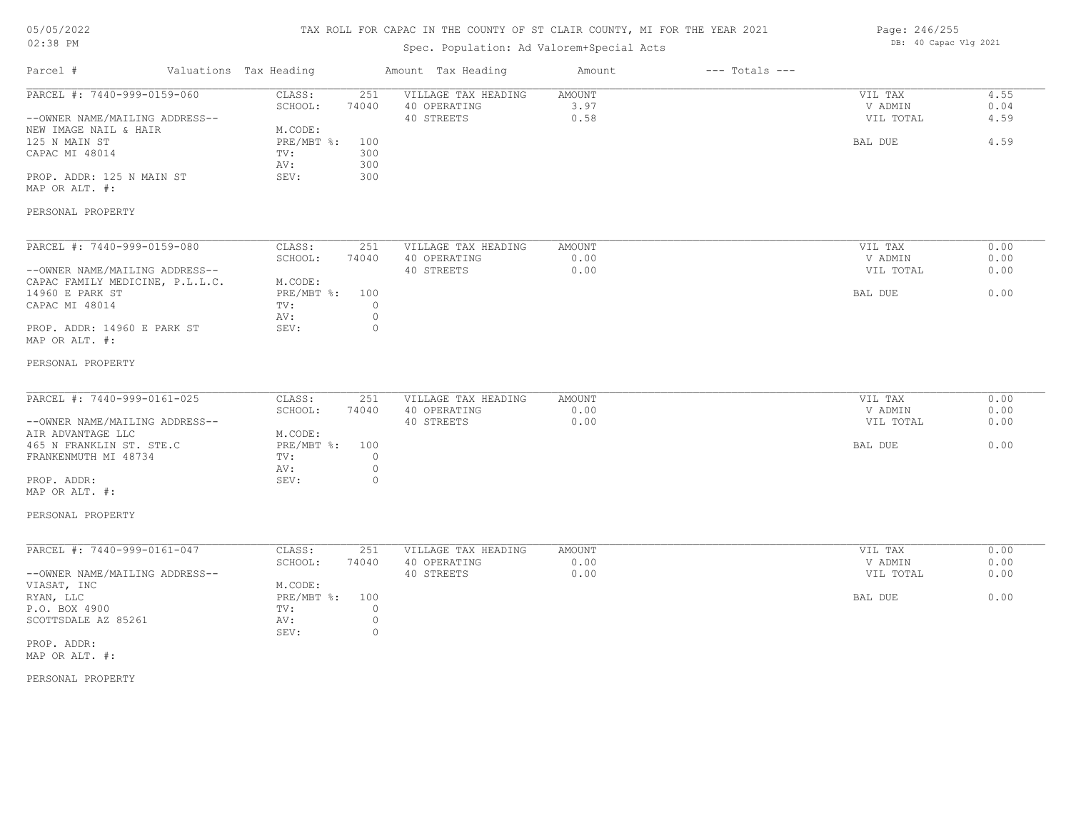### TAX ROLL FOR CAPAC IN THE COUNTY OF ST CLAIR COUNTY, MI FOR THE YEAR 2021

### Spec. Population: Ad Valorem+Special Acts

| Page: 246/255 |                       |  |
|---------------|-----------------------|--|
|               | DB: 40 Capac Vlg 2021 |  |

| Parcel #                                                                                                                                                                                                                                         | Valuations Tax Heading                                                                                       | Amount Tax Heading                                                                     | Amount                        | $---$ Totals $---$ |                                            |                              |
|--------------------------------------------------------------------------------------------------------------------------------------------------------------------------------------------------------------------------------------------------|--------------------------------------------------------------------------------------------------------------|----------------------------------------------------------------------------------------|-------------------------------|--------------------|--------------------------------------------|------------------------------|
| PARCEL #: 7440-999-0159-060<br>--OWNER NAME/MAILING ADDRESS--<br>NEW IMAGE NAIL & HAIR<br>125 N MAIN ST<br>CAPAC MI 48014<br>PROP. ADDR: 125 N MAIN ST<br>MAP OR ALT. #:                                                                         | CLASS:<br>251<br>74040<br>SCHOOL:<br>M.CODE:<br>PRE/MBT %:<br>100<br>300<br>TV:<br>300<br>AV:<br>SEV:<br>300 | VILLAGE TAX HEADING<br>40 OPERATING<br>40 STREETS                                      | <b>AMOUNT</b><br>3.97<br>0.58 |                    | VIL TAX<br>V ADMIN<br>VIL TOTAL<br>BAL DUE | 4.55<br>0.04<br>4.59<br>4.59 |
| PERSONAL PROPERTY                                                                                                                                                                                                                                |                                                                                                              |                                                                                        |                               |                    |                                            |                              |
| PARCEL #: 7440-999-0159-080<br>--OWNER NAME/MAILING ADDRESS--<br>CAPAC FAMILY MEDICINE, P.L.L.C.<br>14960 E PARK ST<br>CAPAC MI 48014<br>PROP. ADDR: 14960 E PARK ST<br>MAP OR ALT. #:                                                           | CLASS:<br>251<br>SCHOOL:<br>74040<br>M.CODE:<br>PRE/MBT %:<br>100<br>TV:<br>AV:<br>SEV:                      | VILLAGE TAX HEADING<br>40 OPERATING<br>40 STREETS<br>$\circ$<br>$\mathbb O$<br>$\circ$ | <b>AMOUNT</b><br>0.00<br>0.00 |                    | VIL TAX<br>V ADMIN<br>VIL TOTAL<br>BAL DUE | 0.00<br>0.00<br>0.00<br>0.00 |
| PERSONAL PROPERTY<br>PARCEL #: 7440-999-0161-025                                                                                                                                                                                                 | CLASS:<br>251<br>SCHOOL:<br>74040                                                                            | VILLAGE TAX HEADING<br>40 OPERATING                                                    | AMOUNT<br>0.00                |                    | VIL TAX<br>V ADMIN                         | 0.00<br>0.00                 |
| --OWNER NAME/MAILING ADDRESS--<br>AIR ADVANTAGE LLC<br>465 N FRANKLIN ST. STE.C<br>FRANKENMUTH MI 48734<br>PROP. ADDR:<br>MAP OR ALT. #:                                                                                                         | M.CODE:<br>PRE/MBT %:<br>100<br>TV:<br>AV:<br>SEV:                                                           | 40 STREETS<br>$\circ$<br>$\circ$<br>$\circ$                                            | 0.00                          |                    | VIL TOTAL<br>BAL DUE                       | 0.00<br>0.00                 |
| PERSONAL PROPERTY                                                                                                                                                                                                                                |                                                                                                              |                                                                                        |                               |                    |                                            |                              |
| PARCEL #: 7440-999-0161-047<br>--OWNER NAME/MAILING ADDRESS--<br>VIASAT, INC                                                                                                                                                                     | CLASS:<br>251<br>SCHOOL:<br>74040<br>M.CODE:                                                                 | VILLAGE TAX HEADING<br>40 OPERATING<br>40 STREETS                                      | <b>AMOUNT</b><br>0.00<br>0.00 |                    | VIL TAX<br>V ADMIN<br>VIL TOTAL            | 0.00<br>0.00<br>0.00         |
| RYAN, LLC<br>P.O. BOX 4900<br>SCOTTSDALE AZ 85261<br>PROP. ADDR:                                                                                                                                                                                 | PRE/MBT %:<br>100<br>TV:<br>AV:<br>SEV:                                                                      | $\circ$<br>$\circ$<br>$\circ$                                                          |                               |                    | BAL DUE                                    | 0.00                         |
| MAP OR ALT. #:<br>in the teachers' contract the second second second second second second second second second second second second second second second second second second second second second second second second second second second sec |                                                                                                              |                                                                                        |                               |                    |                                            |                              |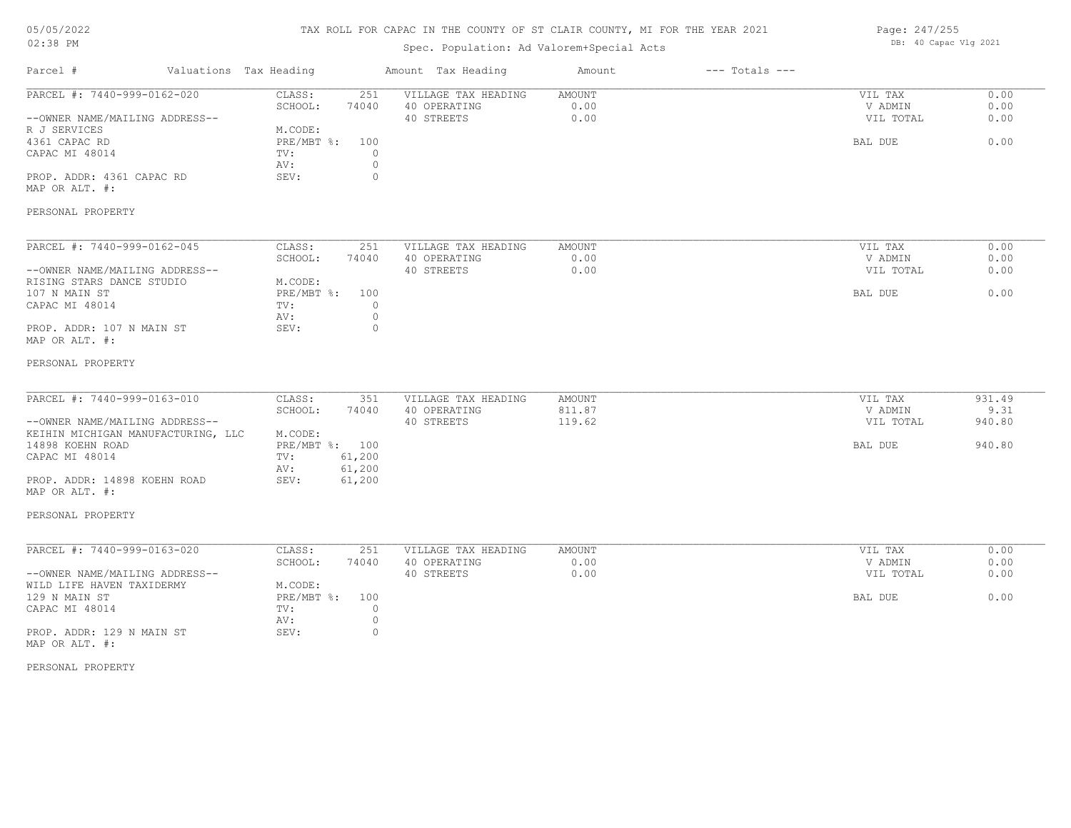### TAX ROLL FOR CAPAC IN THE COUNTY OF ST CLAIR COUNTY, MI FOR THE YEAR 2021

### Spec. Population: Ad Valorem+Special Acts

| Page: 247/255 |                       |  |
|---------------|-----------------------|--|
|               | DB: 40 Capac Vlg 2021 |  |

| Parcel #                                       | Valuations Tax Heading | Amount Tax Heading  | Amount | $---$ Totals $---$ |           |        |
|------------------------------------------------|------------------------|---------------------|--------|--------------------|-----------|--------|
| PARCEL #: 7440-999-0162-020                    | 251<br>CLASS:          | VILLAGE TAX HEADING | AMOUNT |                    | VIL TAX   | 0.00   |
|                                                | SCHOOL:<br>74040       | 40 OPERATING        | 0.00   |                    | V ADMIN   | 0.00   |
| --OWNER NAME/MAILING ADDRESS--                 |                        | 40 STREETS          | 0.00   |                    | VIL TOTAL | 0.00   |
| R J SERVICES                                   | M.CODE:                |                     |        |                    |           |        |
| 4361 CAPAC RD                                  | PRE/MBT %:<br>100      |                     |        |                    | BAL DUE   | 0.00   |
| CAPAC MI 48014                                 | TV:                    | $\circ$             |        |                    |           |        |
|                                                | AV:                    | $\circ$             |        |                    |           |        |
| PROP. ADDR: 4361 CAPAC RD                      | SEV:                   | $\circ$             |        |                    |           |        |
| MAP OR ALT. #:                                 |                        |                     |        |                    |           |        |
|                                                |                        |                     |        |                    |           |        |
| PERSONAL PROPERTY                              |                        |                     |        |                    |           |        |
| PARCEL #: 7440-999-0162-045                    | CLASS:<br>251          | VILLAGE TAX HEADING | AMOUNT |                    | VIL TAX   | 0.00   |
|                                                | SCHOOL:<br>74040       | 40 OPERATING        | 0.00   |                    | V ADMIN   | 0.00   |
|                                                |                        |                     | 0.00   |                    | VIL TOTAL | 0.00   |
| --OWNER NAME/MAILING ADDRESS--                 |                        | 40 STREETS          |        |                    |           |        |
| RISING STARS DANCE STUDIO                      | M.CODE:                |                     |        |                    |           |        |
| 107 N MAIN ST                                  | PRE/MBT %:<br>100      |                     |        |                    | BAL DUE   | 0.00   |
| CAPAC MI 48014                                 | TV:                    | $\circ$             |        |                    |           |        |
|                                                | AV:                    | $\circ$             |        |                    |           |        |
| PROP. ADDR: 107 N MAIN ST<br>MAP OR ALT. #:    | SEV:                   | $\circ$             |        |                    |           |        |
| PERSONAL PROPERTY                              |                        |                     |        |                    |           |        |
| PARCEL #: 7440-999-0163-010                    |                        |                     |        |                    |           |        |
|                                                | CLASS:<br>351          | VILLAGE TAX HEADING | AMOUNT |                    | VIL TAX   | 931.49 |
|                                                | SCHOOL:<br>74040       | 40 OPERATING        | 811.87 |                    | V ADMIN   | 9.31   |
| --OWNER NAME/MAILING ADDRESS--                 |                        | 40 STREETS          | 119.62 |                    | VIL TOTAL | 940.80 |
| KEIHIN MICHIGAN MANUFACTURING, LLC             | M.CODE:                |                     |        |                    |           |        |
| 14898 KOEHN ROAD                               | PRE/MBT %: 100         |                     |        |                    | BAL DUE   | 940.80 |
| CAPAC MI 48014                                 | 61,200<br>TV:          |                     |        |                    |           |        |
|                                                | 61,200<br>AV:          |                     |        |                    |           |        |
| PROP. ADDR: 14898 KOEHN ROAD<br>MAP OR ALT. #: | SEV:<br>61,200         |                     |        |                    |           |        |
| PERSONAL PROPERTY                              |                        |                     |        |                    |           |        |
| PARCEL #: 7440-999-0163-020                    | CLASS:<br>251          | VILLAGE TAX HEADING | AMOUNT |                    | VIL TAX   | 0.00   |
|                                                | SCHOOL:<br>74040       | 40 OPERATING        | 0.00   |                    | V ADMIN   | 0.00   |
| --OWNER NAME/MAILING ADDRESS--                 |                        | 40 STREETS          | 0.00   |                    | VIL TOTAL | 0.00   |
| WILD LIFE HAVEN TAXIDERMY                      | M.CODE:                |                     |        |                    |           |        |
| 129 N MAIN ST                                  | PRE/MBT %:<br>100      |                     |        |                    | BAL DUE   | 0.00   |
|                                                |                        |                     |        |                    |           |        |
| CAPAC MI 48014                                 | TV:                    | $\circ$             |        |                    |           |        |
|                                                | AV:                    | $\circ$             |        |                    |           |        |
| PROP. ADDR: 129 N MAIN ST<br>MAP OR ALT. #:    | SEV:                   | $\circ$             |        |                    |           |        |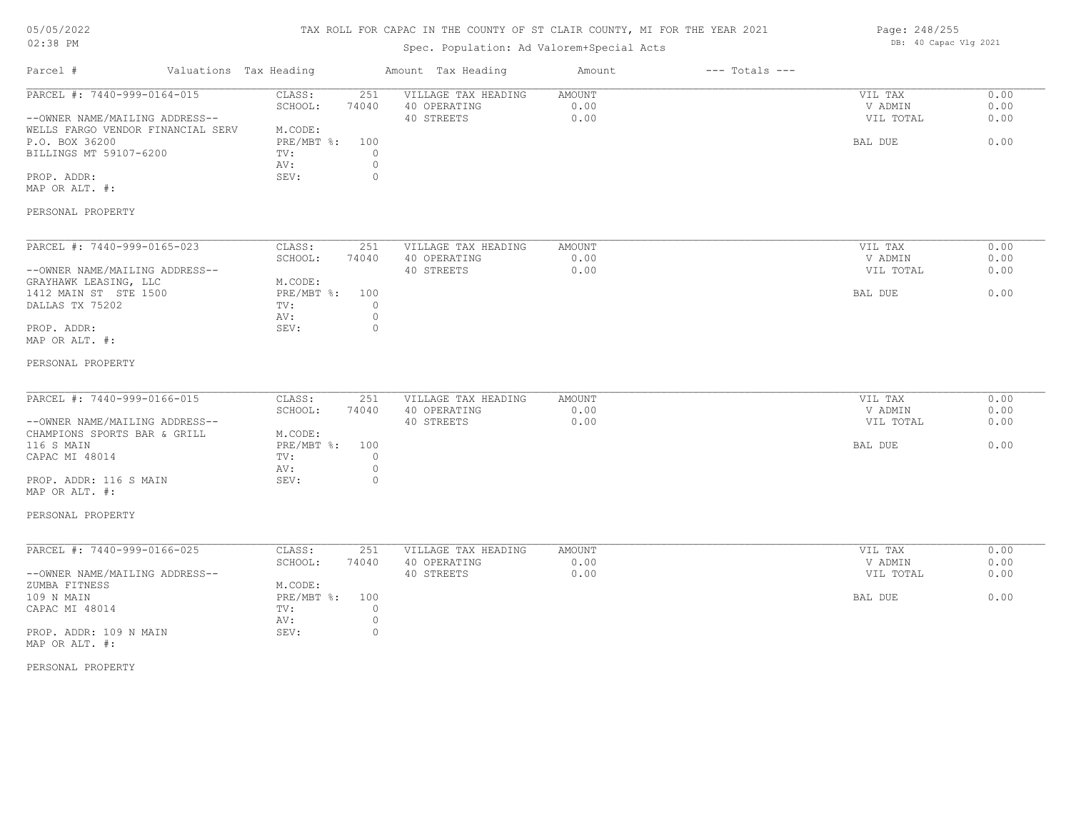# TAX ROLL FOR CAPAC IN THE COUNTY OF ST CLAIR COUNTY, MI FOR THE YEAR 2021

# Spec. Population: Ad Valorem+Special Acts

| Parcel #                                                                                                                                                                                             | Valuations Tax Heading |                                                                                                                    | Amount Tax Heading                                | Amount                        | $---$ Totals $---$ |                                            |                              |
|------------------------------------------------------------------------------------------------------------------------------------------------------------------------------------------------------|------------------------|--------------------------------------------------------------------------------------------------------------------|---------------------------------------------------|-------------------------------|--------------------|--------------------------------------------|------------------------------|
| PARCEL #: 7440-999-0164-015<br>--OWNER NAME/MAILING ADDRESS--<br>WELLS FARGO VENDOR FINANCIAL SERV<br>P.O. BOX 36200<br>BILLINGS MT 59107-6200<br>PROP. ADDR:<br>MAP OR ALT. #:<br>PERSONAL PROPERTY |                        | CLASS:<br>251<br>SCHOOL:<br>74040<br>M.CODE:<br>PRE/MBT %:<br>100<br>TV:<br>0<br>$\circ$<br>AV:<br>$\circ$<br>SEV: | VILLAGE TAX HEADING<br>40 OPERATING<br>40 STREETS | <b>AMOUNT</b><br>0.00<br>0.00 |                    | VIL TAX<br>V ADMIN<br>VIL TOTAL<br>BAL DUE | 0.00<br>0.00<br>0.00<br>0.00 |
|                                                                                                                                                                                                      |                        |                                                                                                                    |                                                   |                               |                    |                                            | 0.00                         |
| PARCEL #: 7440-999-0165-023                                                                                                                                                                          |                        | CLASS:<br>251<br>SCHOOL:<br>74040                                                                                  | VILLAGE TAX HEADING<br>40 OPERATING               | AMOUNT<br>0.00                |                    | VIL TAX<br>V ADMIN                         | 0.00                         |
| --OWNER NAME/MAILING ADDRESS--                                                                                                                                                                       |                        |                                                                                                                    | 40 STREETS                                        | 0.00                          |                    | VIL TOTAL                                  | 0.00                         |
| GRAYHAWK LEASING, LLC                                                                                                                                                                                |                        | M.CODE:                                                                                                            |                                                   |                               |                    |                                            |                              |
| 1412 MAIN ST STE 1500                                                                                                                                                                                |                        | $PRE/MBT$ $\div$<br>100                                                                                            |                                                   |                               |                    | BAL DUE                                    | 0.00                         |
| DALLAS TX 75202                                                                                                                                                                                      |                        | TV:<br>0                                                                                                           |                                                   |                               |                    |                                            |                              |
| PROP. ADDR:                                                                                                                                                                                          |                        | AV:<br>$\circ$<br>0<br>SEV:                                                                                        |                                                   |                               |                    |                                            |                              |
| MAP OR ALT. #:                                                                                                                                                                                       |                        |                                                                                                                    |                                                   |                               |                    |                                            |                              |
|                                                                                                                                                                                                      |                        |                                                                                                                    |                                                   |                               |                    |                                            |                              |
| PERSONAL PROPERTY                                                                                                                                                                                    |                        |                                                                                                                    |                                                   |                               |                    |                                            |                              |
| PARCEL #: 7440-999-0166-015                                                                                                                                                                          |                        | CLASS:<br>251                                                                                                      | VILLAGE TAX HEADING                               | <b>AMOUNT</b>                 |                    | VIL TAX                                    | 0.00                         |
|                                                                                                                                                                                                      |                        | SCHOOL:<br>74040                                                                                                   | 40 OPERATING                                      | 0.00                          |                    | V ADMIN                                    | 0.00                         |
| --OWNER NAME/MAILING ADDRESS--                                                                                                                                                                       |                        |                                                                                                                    | 40 STREETS                                        | 0.00                          |                    | VIL TOTAL                                  | 0.00                         |
| CHAMPIONS SPORTS BAR & GRILL                                                                                                                                                                         |                        | M.CODE:                                                                                                            |                                                   |                               |                    |                                            |                              |
| 116 S MAIN                                                                                                                                                                                           |                        | $PRE/MBT$ $\div$<br>100                                                                                            |                                                   |                               |                    | BAL DUE                                    | 0.00                         |
| CAPAC MI 48014                                                                                                                                                                                       |                        | $\circ$<br>TV:<br>AV:<br>$\circ$                                                                                   |                                                   |                               |                    |                                            |                              |
| PROP. ADDR: 116 S MAIN                                                                                                                                                                               |                        | $\circ$<br>SEV:                                                                                                    |                                                   |                               |                    |                                            |                              |
| MAP OR ALT. #:                                                                                                                                                                                       |                        |                                                                                                                    |                                                   |                               |                    |                                            |                              |
| PERSONAL PROPERTY                                                                                                                                                                                    |                        |                                                                                                                    |                                                   |                               |                    |                                            |                              |
|                                                                                                                                                                                                      |                        |                                                                                                                    |                                                   |                               |                    |                                            |                              |
| PARCEL #: 7440-999-0166-025                                                                                                                                                                          |                        | CLASS:<br>251                                                                                                      | VILLAGE TAX HEADING                               | AMOUNT                        |                    | VIL TAX                                    | 0.00                         |
| --OWNER NAME/MAILING ADDRESS--                                                                                                                                                                       |                        | SCHOOL:<br>74040                                                                                                   | 40 OPERATING<br>40 STREETS                        | 0.00<br>0.00                  |                    | V ADMIN<br>VIL TOTAL                       | 0.00<br>0.00                 |
| ZUMBA FITNESS                                                                                                                                                                                        |                        | M.CODE:                                                                                                            |                                                   |                               |                    |                                            |                              |
| 109 N MAIN                                                                                                                                                                                           |                        | $PRE/MBT$ $\div$<br>100                                                                                            |                                                   |                               |                    | BAL DUE                                    | 0.00                         |
| CAPAC MI 48014                                                                                                                                                                                       |                        | $\circ$<br>TV:                                                                                                     |                                                   |                               |                    |                                            |                              |
|                                                                                                                                                                                                      |                        | $\circ$<br>AV:                                                                                                     |                                                   |                               |                    |                                            |                              |
| PROP. ADDR: 109 N MAIN                                                                                                                                                                               |                        | SEV:<br>$\circ$                                                                                                    |                                                   |                               |                    |                                            |                              |
| MAP OR ALT. #:                                                                                                                                                                                       |                        |                                                                                                                    |                                                   |                               |                    |                                            |                              |
| PERSONAL PROPERTY                                                                                                                                                                                    |                        |                                                                                                                    |                                                   |                               |                    |                                            |                              |

Page: 248/255 DB: 40 Capac Vlg 2021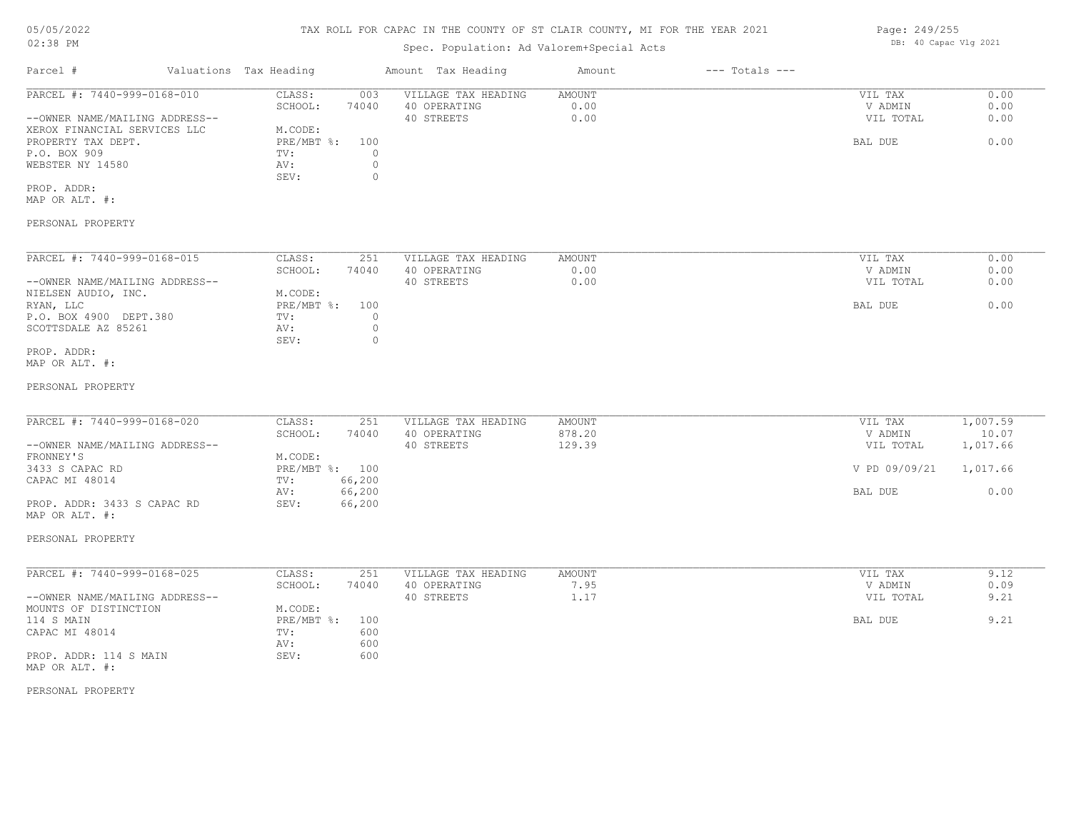### TAX ROLL FOR CAPAC IN THE COUNTY OF ST CLAIR COUNTY, MI FOR THE YEAR 2021

## Spec. Population: Ad Valorem+Special Acts

| Parcel #                       | Valuations Tax Heading |       | Amount Tax Heading  | Amount | $---$ Totals $---$ |           |      |
|--------------------------------|------------------------|-------|---------------------|--------|--------------------|-----------|------|
| PARCEL #: 7440-999-0168-010    | CLASS:                 | 003   | VILLAGE TAX HEADING | AMOUNT |                    | VIL TAX   | 0.00 |
|                                | SCHOOL:                | 74040 | 40 OPERATING        | 0.00   |                    | V ADMIN   | 0.00 |
| --OWNER NAME/MAILING ADDRESS-- |                        |       | 40 STREETS          | 0.00   |                    | VIL TOTAL | 0.00 |
| XEROX FINANCIAL SERVICES LLC   | M.CODE:                |       |                     |        |                    |           |      |
| PROPERTY TAX DEPT.             | PRE/MBT %:             | 100   |                     |        |                    | BAL DUE   | 0.00 |
| P.O. BOX 909                   | TV:                    |       |                     |        |                    |           |      |
| WEBSTER NY 14580               | AV:                    |       |                     |        |                    |           |      |
|                                | SEV:                   |       |                     |        |                    |           |      |
| PROP. ADDR:                    |                        |       |                     |        |                    |           |      |

MAP OR ALT. #:

### PERSONAL PROPERTY

| PARCEL #: 7440-999-0168-015    | CLASS:     | 251   | VILLAGE TAX HEADING | AMOUNT | 0.00<br>VIL TAX   |
|--------------------------------|------------|-------|---------------------|--------|-------------------|
|                                | SCHOOL:    | 74040 | 40 OPERATING        | 0.00   | 0.00<br>V ADMIN   |
| --OWNER NAME/MAILING ADDRESS-- |            |       | 40 STREETS          | 0.00   | VIL TOTAL<br>0.00 |
| NIELSEN AUDIO, INC.            | M.CODE:    |       |                     |        |                   |
| RYAN, LLC                      | PRE/MBT %: | 100   |                     |        | 0.00<br>BAL DUE   |
| P.O. BOX 4900 DEPT.380         | TV:        |       |                     |        |                   |
| SCOTTSDALE AZ 85261            | AV:        |       |                     |        |                   |
|                                | SEV:       |       |                     |        |                   |
| PROP. ADDR:                    |            |       |                     |        |                   |

MAP OR ALT. #:

#### PERSONAL PROPERTY

| PARCEL #: 7440-999-0168-020    | CLASS:  | 251            | VILLAGE TAX HEADING | AMOUNT | VIL TAX       | 1,007.59 |
|--------------------------------|---------|----------------|---------------------|--------|---------------|----------|
|                                | SCHOOL: | 74040          | 40 OPERATING        | 878.20 | V ADMIN       | 10.07    |
| --OWNER NAME/MAILING ADDRESS-- |         |                | 40 STREETS          | 129.39 | VIL TOTAL     | 1,017.66 |
| FRONNEY'S                      | M.CODE: |                |                     |        |               |          |
| 3433 S CAPAC RD                |         | PRE/MBT %: 100 |                     |        | V PD 09/09/21 | 1,017.66 |
| CAPAC MI 48014                 | TV:     | 66,200         |                     |        |               |          |
|                                | AV:     | 66,200         |                     |        | BAL DUE       | 0.00     |
| PROP. ADDR: 3433 S CAPAC RD    | SEV:    | 66,200         |                     |        |               |          |

#### PERSONAL PROPERTY

MAP OR ALT. #:

| PARCEL #: 7440-999-0168-025    | CLASS:     | 251   | VILLAGE TAX HEADING | AMOUNT | 9.12<br>VIL TAX   |
|--------------------------------|------------|-------|---------------------|--------|-------------------|
|                                | SCHOOL:    | 74040 | 40 OPERATING        | 7.95   | 0.09<br>V ADMIN   |
| --OWNER NAME/MAILING ADDRESS-- |            |       | 40 STREETS          | 1.17   | 9.21<br>VIL TOTAL |
| MOUNTS OF DISTINCTION          | M.CODE:    |       |                     |        |                   |
| 114 S MAIN                     | PRE/MBT %: | 100   |                     |        | 9.21<br>BAL DUE   |
| CAPAC MI 48014                 | TV:        | 600   |                     |        |                   |
|                                | AV:        | 600   |                     |        |                   |
| PROP. ADDR: 114 S MAIN         | SEV:       | 600   |                     |        |                   |
| MAP OR ALT. #:                 |            |       |                     |        |                   |

PERSONAL PROPERTY

Page: 249/255 DB: 40 Capac Vlg 2021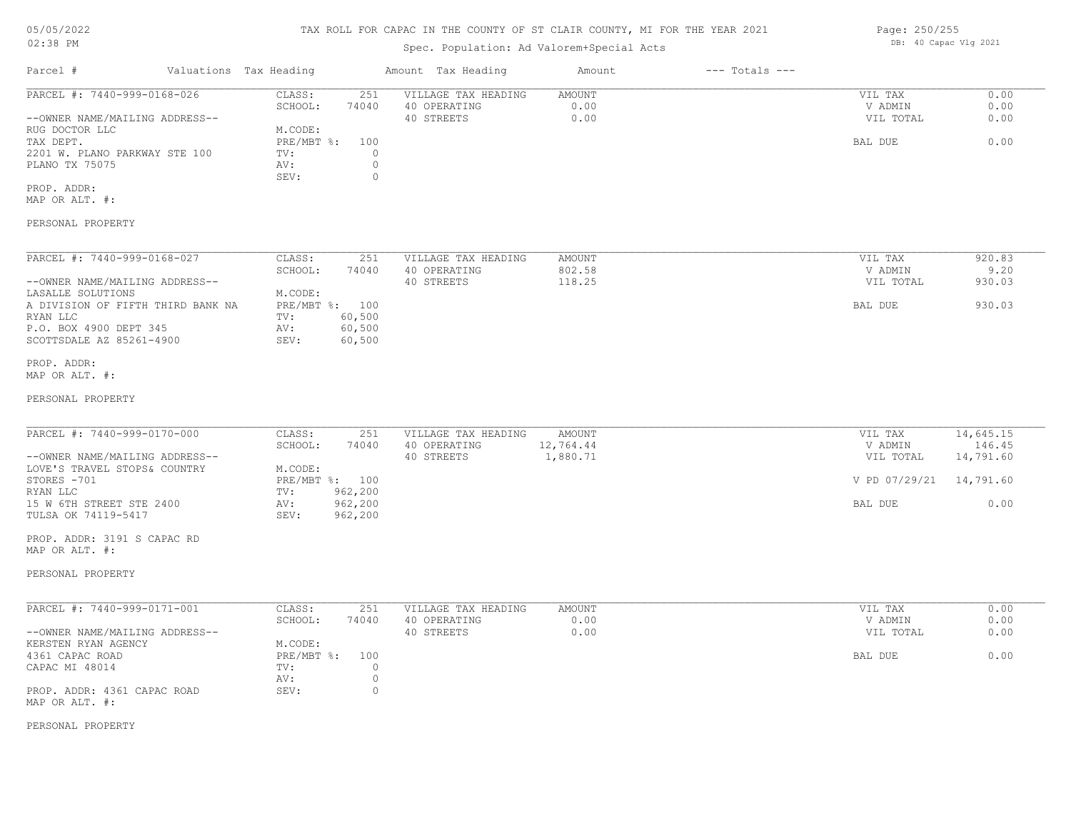### TAX ROLL FOR CAPAC IN THE COUNTY OF ST CLAIR COUNTY, MI FOR THE YEAR 2021

### Spec. Population: Ad Valorem+Special Acts

| Parcel #                       | Valuations Tax Heading |       | Amount Tax Heading  | Amount | $---$ Totals $---$ |           |      |
|--------------------------------|------------------------|-------|---------------------|--------|--------------------|-----------|------|
| PARCEL #: 7440-999-0168-026    | CLASS:                 | 251   | VILLAGE TAX HEADING | AMOUNT |                    | VIL TAX   | 0.00 |
|                                | SCHOOL:                | 74040 | 40 OPERATING        | 0.00   |                    | V ADMIN   | 0.00 |
| --OWNER NAME/MAILING ADDRESS-- |                        |       | 40 STREETS          | 0.00   |                    | VIL TOTAL | 0.00 |
| RUG DOCTOR LLC                 | M.CODE:                |       |                     |        |                    |           |      |
| TAX DEPT.                      | PRE/MBT %: 100         |       |                     |        |                    | BAL DUE   | 0.00 |
| 2201 W. PLANO PARKWAY STE 100  | TV:                    |       |                     |        |                    |           |      |
| PLANO TX 75075                 | AV:                    |       |                     |        |                    |           |      |
|                                | SEV:                   |       |                     |        |                    |           |      |
| PROP. ADDR:                    |                        |       |                     |        |                    |           |      |

MAP OR ALT. #:

PERSONAL PROPERTY

| PARCEL #: 7440-999-0168-027       | CLASS:     | 251    | VILLAGE TAX HEADING | AMOUNT | 920.83<br>VIL TAX   |  |
|-----------------------------------|------------|--------|---------------------|--------|---------------------|--|
|                                   | SCHOOL:    | 74040  | 40 OPERATING        | 802.58 | 9.20<br>V ADMIN     |  |
| --OWNER NAME/MAILING ADDRESS--    |            |        | 40 STREETS          | 118.25 | 930.03<br>VIL TOTAL |  |
| LASALLE SOLUTIONS                 | M.CODE:    |        |                     |        |                     |  |
| A DIVISION OF FIFTH THIRD BANK NA | PRE/MBT %: | 100    |                     |        | 930.03<br>BAL DUE   |  |
| RYAN LLC                          | TV:        | 60,500 |                     |        |                     |  |
| P.O. BOX 4900 DEPT 345            | AV:        | 60,500 |                     |        |                     |  |
| SCOTTSDALE AZ 85261-4900          | SEV:       | 60,500 |                     |        |                     |  |

#### MAP OR ALT. #: PROP. ADDR:

#### PERSONAL PROPERTY

| PARCEL #: 7440-999-0170-000    | CLASS:  | 251            | VILLAGE TAX HEADING | AMOUNT    | VIL TAX                 | 14,645.15 |
|--------------------------------|---------|----------------|---------------------|-----------|-------------------------|-----------|
|                                | SCHOOL: | 74040          | 40 OPERATING        | 12,764.44 | V ADMIN                 | 146.45    |
| --OWNER NAME/MAILING ADDRESS-- |         |                | 40 STREETS          | 1,880.71  | VIL TOTAL               | 14,791.60 |
| LOVE'S TRAVEL STOPS& COUNTRY   | M.CODE: |                |                     |           |                         |           |
| STORES -701                    |         | PRE/MBT %: 100 |                     |           | V PD 07/29/21 14,791.60 |           |
| RYAN LLC                       | TV:     | 962,200        |                     |           |                         |           |
| 15 W 6TH STREET STE 2400       | AV:     | 962,200        |                     |           | BAL DUE                 | 0.00      |
| TULSA OK 74119-5417            | SEV:    | 962,200        |                     |           |                         |           |

MAP OR ALT. #: PROP. ADDR: 3191 S CAPAC RD

#### PERSONAL PROPERTY

| PARCEL #: 7440-999-0171-001    | CLASS:     | 251   | VILLAGE TAX HEADING | AMOUNT | VIL TAX   | 0.00 |
|--------------------------------|------------|-------|---------------------|--------|-----------|------|
|                                | SCHOOL:    | 74040 | 40 OPERATING        | 0.00   | V ADMIN   | 0.00 |
| --OWNER NAME/MAILING ADDRESS-- |            |       | 40 STREETS          | 0.00   | VIL TOTAL | 0.00 |
| KERSTEN RYAN AGENCY            | M.CODE:    |       |                     |        |           |      |
| 4361 CAPAC ROAD                | PRE/MBT %: | 100   |                     |        | BAL DUE   | 0.00 |
| CAPAC MI 48014                 | TV:        |       |                     |        |           |      |
|                                | AV:        |       |                     |        |           |      |
| PROP. ADDR: 4361 CAPAC ROAD    | SEV:       |       |                     |        |           |      |
| MAP OR ALT. #:                 |            |       |                     |        |           |      |

PERSONAL PROPERTY

Page: 250/255 DB: 40 Capac Vlg 2021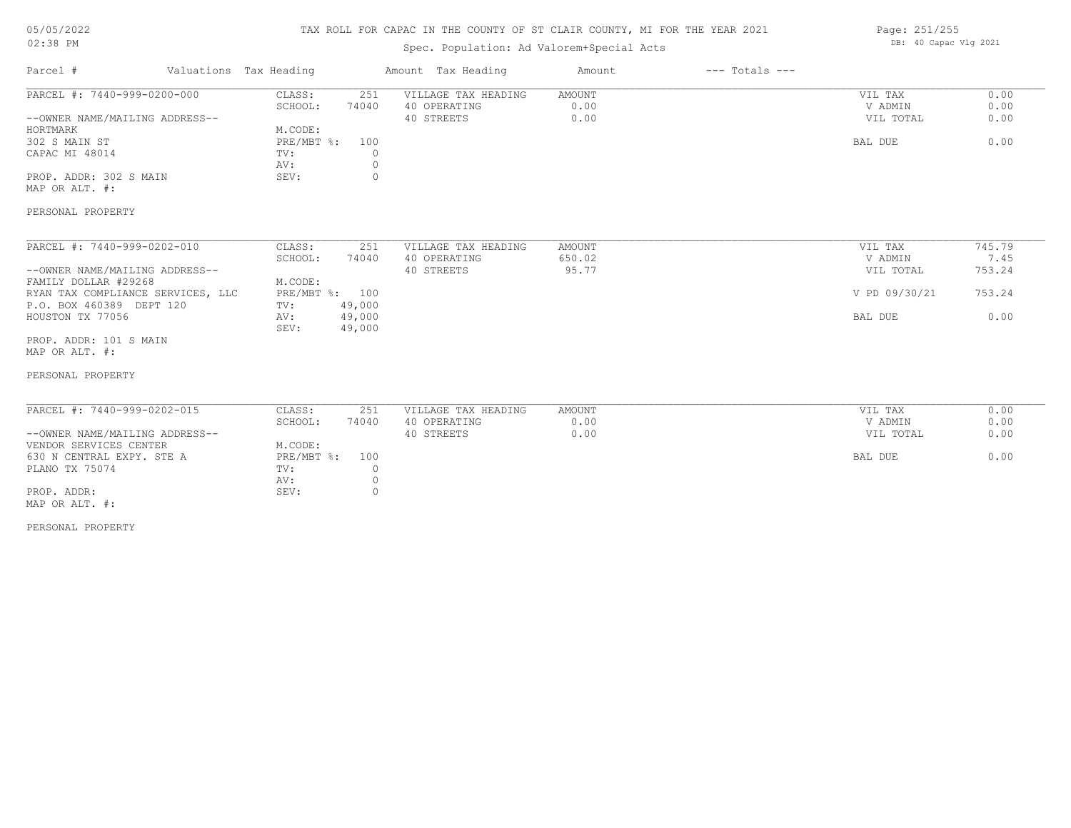### TAX ROLL FOR CAPAC IN THE COUNTY OF ST CLAIR COUNTY, MI FOR THE YEAR 2021

### Spec. Population: Ad Valorem+Special Acts

| Page: 251/255 |  |                       |  |  |
|---------------|--|-----------------------|--|--|
|               |  | DB: 40 Capac Vlg 2021 |  |  |

| Parcel #                                 | Valuations Tax Heading |         | Amount Tax Heading  | Amount        | $---$ Totals $---$ |               |        |
|------------------------------------------|------------------------|---------|---------------------|---------------|--------------------|---------------|--------|
| PARCEL #: 7440-999-0200-000              | CLASS:                 | 251     | VILLAGE TAX HEADING | <b>AMOUNT</b> |                    | VIL TAX       | 0.00   |
|                                          | SCHOOL:                | 74040   | 40 OPERATING        | 0.00          |                    | V ADMIN       | 0.00   |
| --OWNER NAME/MAILING ADDRESS--           |                        |         | 40 STREETS          | 0.00          |                    | VIL TOTAL     | 0.00   |
| HORTMARK                                 | M.CODE:                |         |                     |               |                    |               |        |
| 302 S MAIN ST                            | PRE/MBT %:             | 100     |                     |               |                    | BAL DUE       | 0.00   |
| CAPAC MI 48014                           | TV:                    | $\circ$ |                     |               |                    |               |        |
|                                          | AV:                    | 0       |                     |               |                    |               |        |
| PROP. ADDR: 302 S MAIN                   | SEV:                   | $\circ$ |                     |               |                    |               |        |
| MAP OR ALT. #:                           |                        |         |                     |               |                    |               |        |
| PERSONAL PROPERTY                        |                        |         |                     |               |                    |               |        |
| PARCEL #: 7440-999-0202-010              | CLASS:                 | 251     | VILLAGE TAX HEADING | <b>AMOUNT</b> |                    | VIL TAX       | 745.79 |
|                                          | SCHOOL:                | 74040   | 40 OPERATING        | 650.02        |                    | V ADMIN       | 7.45   |
| --OWNER NAME/MAILING ADDRESS--           |                        |         | 40 STREETS          | 95.77         |                    | VIL TOTAL     | 753.24 |
|                                          |                        |         |                     |               |                    |               |        |
| FAMILY DOLLAR #29268                     | M.CODE:                |         |                     |               |                    |               |        |
| RYAN TAX COMPLIANCE SERVICES, LLC        | PRE/MBT %: 100         |         |                     |               |                    | V PD 09/30/21 | 753.24 |
| P.O. BOX 460389 DEPT 120                 | TV:                    | 49,000  |                     |               |                    |               |        |
| HOUSTON TX 77056                         | AV:                    | 49,000  |                     |               |                    | BAL DUE       | 0.00   |
|                                          | SEV:                   | 49,000  |                     |               |                    |               |        |
| PROP. ADDR: 101 S MAIN<br>MAP OR ALT. #: |                        |         |                     |               |                    |               |        |
| PERSONAL PROPERTY                        |                        |         |                     |               |                    |               |        |
| PARCEL #: 7440-999-0202-015              | CLASS:                 | 251     | VILLAGE TAX HEADING | AMOUNT        |                    | VIL TAX       | 0.00   |
|                                          | SCHOOL:                | 74040   | 40 OPERATING        | 0.00          |                    | V ADMIN       | 0.00   |
| --OWNER NAME/MAILING ADDRESS--           |                        |         | 40 STREETS          | 0.00          |                    | VIL TOTAL     | 0.00   |
| VENDOR SERVICES CENTER                   | M.CODE:                |         |                     |               |                    |               |        |
| 630 N CENTRAL EXPY. STE A                | PRE/MBT %:             | 100     |                     |               |                    | BAL DUE       | 0.00   |
| PLANO TX 75074                           | TV:                    | $\circ$ |                     |               |                    |               |        |
|                                          | AV:                    | $\circ$ |                     |               |                    |               |        |
| PROP. ADDR:                              | SEV:                   | $\circ$ |                     |               |                    |               |        |
| MAP OR ALT. #:                           |                        |         |                     |               |                    |               |        |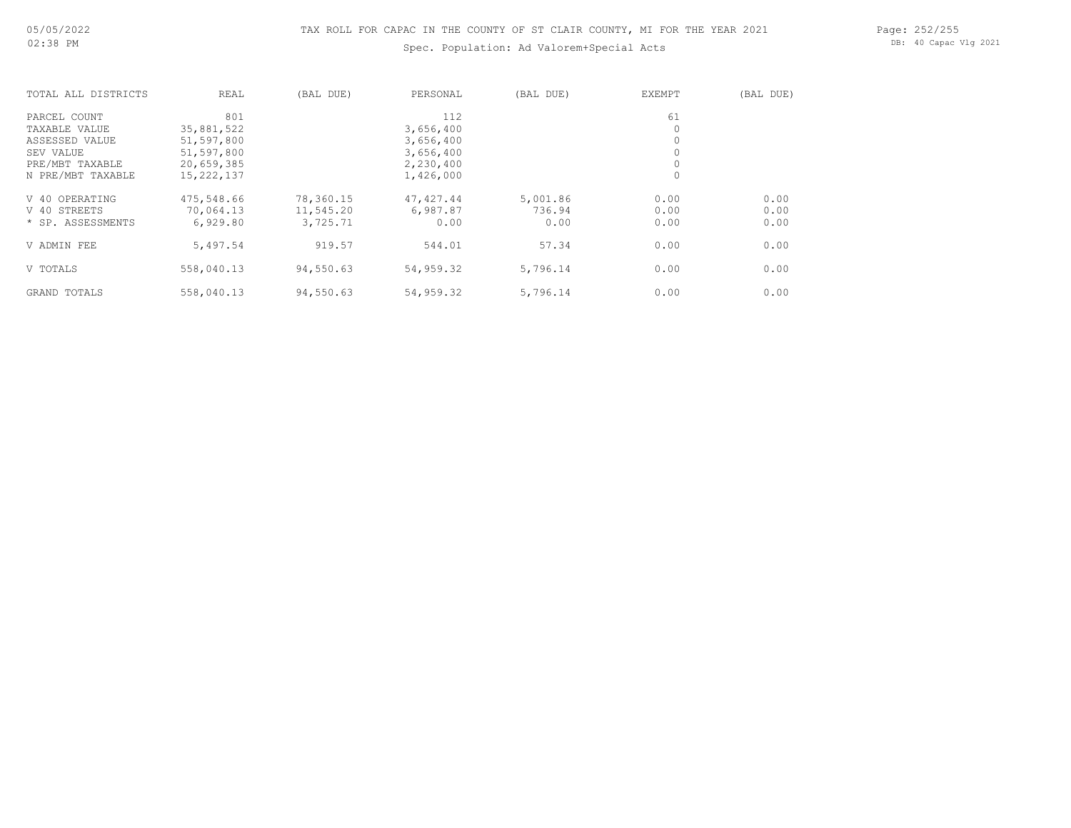### Spec. Population: Ad Valorem+Special Acts

Page: 252/255 DB: 40 Capac Vlg 2021

| TOTAL ALL DISTRICTS | REAL         | (BAL DUE) | PERSONAL   | (BAL DUE) | <b>EXEMPT</b> | (BAL DUE) |
|---------------------|--------------|-----------|------------|-----------|---------------|-----------|
| PARCEL COUNT        | 801          |           | 112        |           | 61            |           |
| TAXABLE VALUE       | 35,881,522   |           | 3,656,400  |           | 0             |           |
| ASSESSED VALUE      | 51,597,800   |           | 3,656,400  |           | 0             |           |
| SEV VALUE           | 51,597,800   |           | 3,656,400  |           | $\circ$       |           |
| PRE/MBT TAXABLE     | 20,659,385   |           | 2,230,400  |           | $\circ$       |           |
| N PRE/MBT TAXABLE   | 15, 222, 137 |           | 1,426,000  |           | $\circ$       |           |
| V 40 OPERATING      | 475,548.66   | 78,360.15 | 47, 427.44 | 5,001.86  | 0.00          | 0.00      |
| V 40 STREETS        | 70,064.13    | 11,545.20 | 6,987.87   | 736.94    | 0.00          | 0.00      |
| * SP. ASSESSMENTS   | 6,929.80     | 3,725.71  | 0.00       | 0.00      | 0.00          | 0.00      |
| V ADMIN FEE         | 5,497.54     | 919.57    | 544.01     | 57.34     | 0.00          | 0.00      |
| V TOTALS            | 558,040.13   | 94,550.63 | 54,959.32  | 5,796.14  | 0.00          | 0.00      |
| GRAND TOTALS        | 558,040.13   | 94,550.63 | 54,959.32  | 5,796.14  | 0.00          | 0.00      |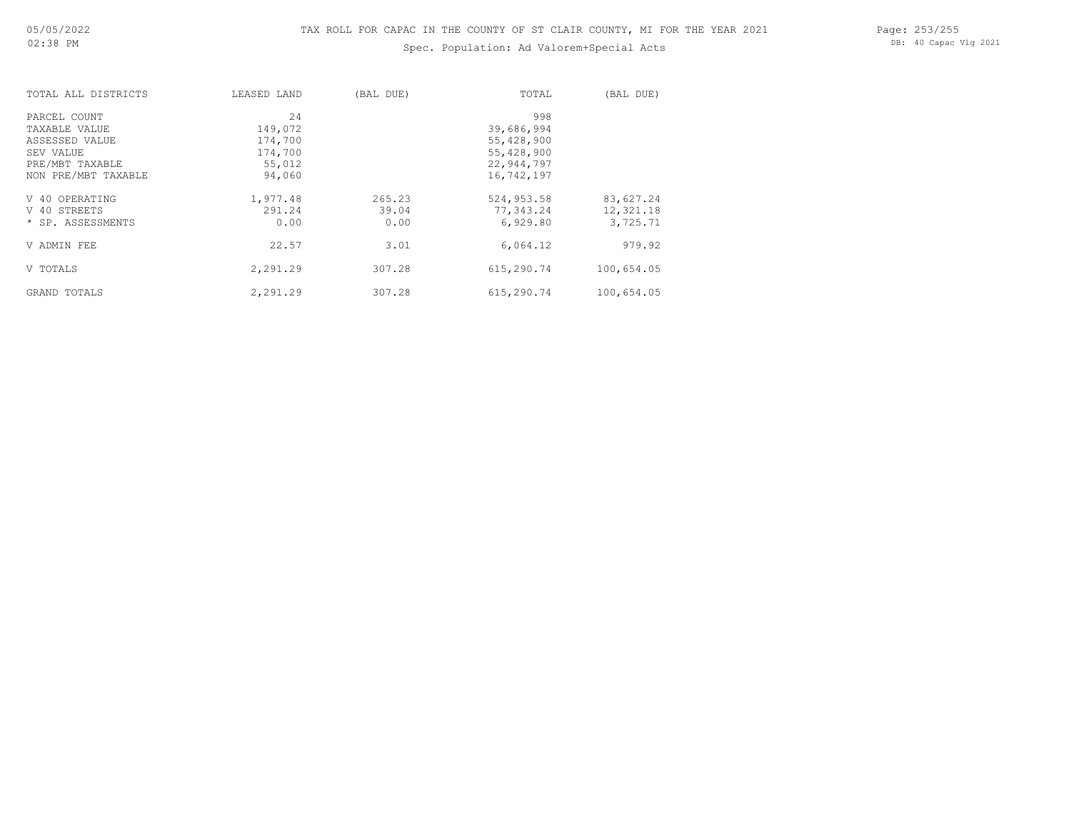## Spec. Population: Ad Valorem+Special Acts

Page: 253/255 DB: 40 Capac Vlg 2021

| TOTAL ALL DISTRICTS | LEASED LAND | (BAL DUE) | TOTAL      | (BAL DUE)  |
|---------------------|-------------|-----------|------------|------------|
| PARCEL COUNT        | 24          |           | 998        |            |
| TAXABLE VALUE       | 149,072     |           | 39,686,994 |            |
| ASSESSED VALUE      | 174,700     |           | 55,428,900 |            |
| SEV VALUE           | 174,700     |           | 55,428,900 |            |
| PRE/MBT TAXABLE     | 55,012      |           | 22,944,797 |            |
| NON PRE/MBT TAXABLE | 94,060      |           | 16,742,197 |            |
| V 40 OPERATING      | 1,977.48    | 265.23    | 524,953.58 | 83,627.24  |
| V 40 STREETS        | 291.24      | 39.04     | 77,343.24  | 12,321.18  |
| * SP. ASSESSMENTS   | 0.00        | 0.00      | 6,929.80   | 3,725.71   |
| V ADMIN FEE         | 22.57       | 3.01      | 6,064.12   | 979.92     |
| V TOTALS            | 2,291.29    | 307.28    | 615,290.74 | 100,654.05 |
| GRAND TOTALS        | 2,291.29    | 307.28    | 615,290.74 | 100,654.05 |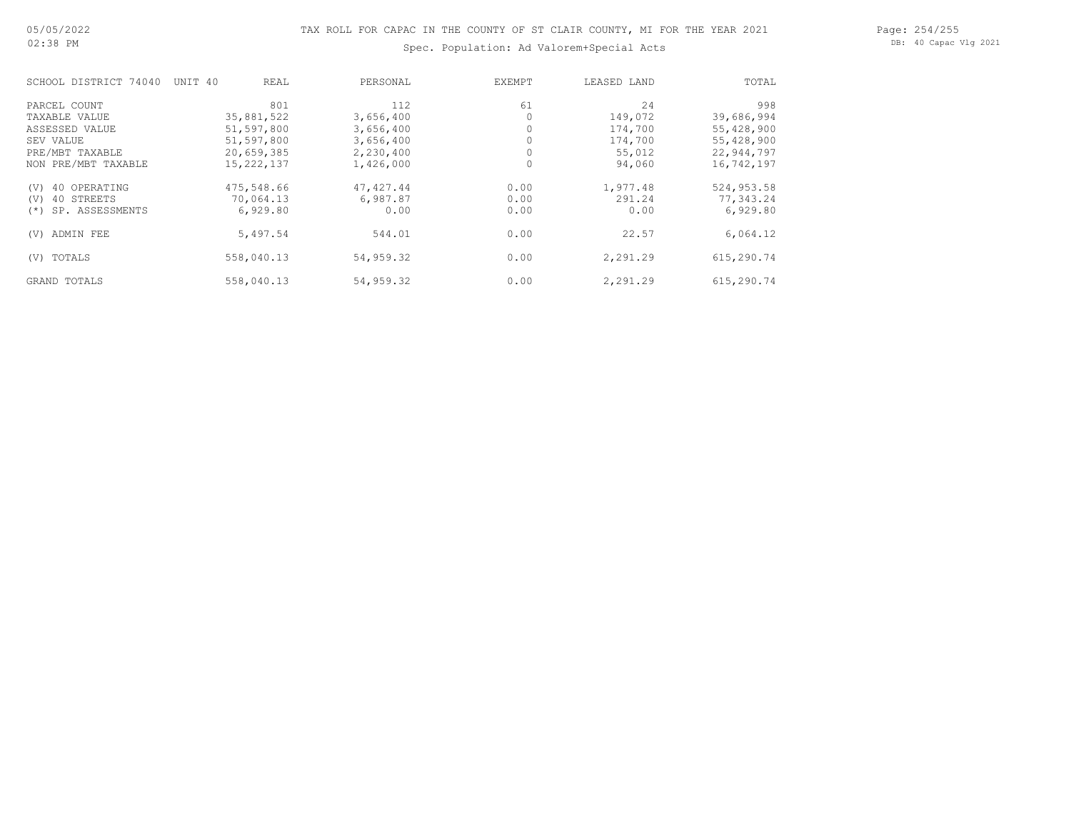## Spec. Population: Ad Valorem+Special Acts

Page: 254/255 DB: 40 Capac Vlg 2021

| SCHOOL DISTRICT 74040     | UNIT 40<br>REAL | PERSONAL   | EXEMPT | LEASED LAND | TOTAL      |
|---------------------------|-----------------|------------|--------|-------------|------------|
| PARCEL COUNT              | 801             | 112        | 61     | 24          | 998        |
| TAXABLE VALUE             | 35,881,522      | 3,656,400  |        | 149,072     | 39,686,994 |
| ASSESSED VALUE            | 51,597,800      | 3,656,400  |        | 174,700     | 55,428,900 |
| SEV VALUE                 | 51,597,800      | 3,656,400  |        | 174,700     | 55,428,900 |
| PRE/MBT TAXABLE           | 20,659,385      | 2,230,400  |        | 55,012      | 22,944,797 |
| NON PRE/MBT TAXABLE       | 15, 222, 137    | 1,426,000  |        | 94,060      | 16,742,197 |
| 40 OPERATING<br>(V)       | 475,548.66      | 47, 427.44 | 0.00   | 1,977.48    | 524,953.58 |
| 40 STREETS<br>(V)         | 70,064.13       | 6,987.87   | 0.00   | 291.24      | 77,343.24  |
| SP. ASSESSMENTS<br>$(* )$ | 6,929.80        | 0.00       | 0.00   | 0.00        | 6,929.80   |
| ADMIN FEE<br>(V)          | 5,497.54        | 544.01     | 0.00   | 22.57       | 6,064.12   |
| TOTALS<br>(V)             | 558,040.13      | 54,959.32  | 0.00   | 2,291.29    | 615,290.74 |
| GRAND TOTALS              | 558,040.13      | 54,959.32  | 0.00   | 2,291.29    | 615,290.74 |